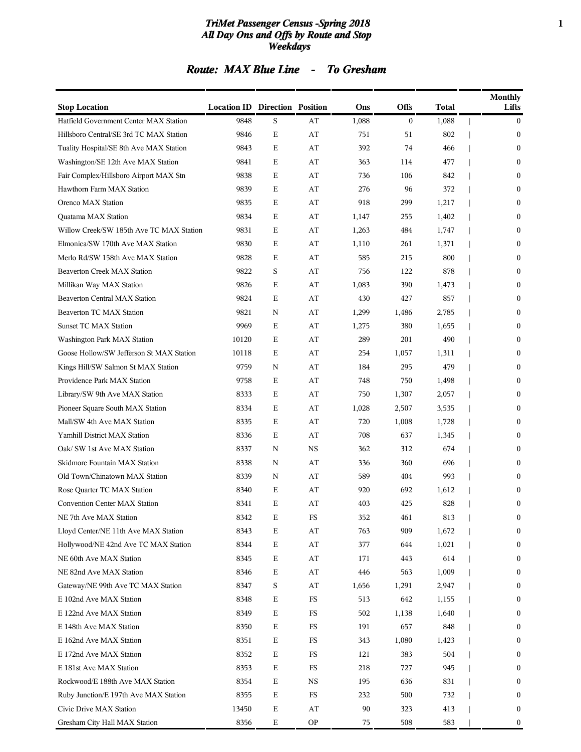#### *TriMet Passenger Census -Spring 2018* **1** *All Day Ons and Offs by Route and Stop Weekdays*

### *Route: MAX Blue Line - To Gresham*

| <b>Stop Location</b>                     | <b>Location ID Direction Position</b> |   |             | Ons   | <b>Offs</b>    | Total | Monthly<br>Lifts |
|------------------------------------------|---------------------------------------|---|-------------|-------|----------------|-------|------------------|
| Hatfield Government Center MAX Station   | 9848                                  | S | AT          | 1,088 | $\overline{0}$ | 1,088 | $\mathbf{0}$     |
| Hillsboro Central/SE 3rd TC MAX Station  | 9846                                  | E | AT          | 751   | 51             | 802   | $\mathbf{0}$     |
| Tuality Hospital/SE 8th Ave MAX Station  | 9843                                  | E | AT          | 392   | 74             | 466   | $\mathbf{0}$     |
| Washington/SE 12th Ave MAX Station       | 9841                                  | E | AT          | 363   | 114            | 477   | $\mathbf{0}$     |
| Fair Complex/Hillsboro Airport MAX Stn   | 9838                                  | Е | AT          | 736   | 106            | 842   | $\mathbf{0}$     |
| Hawthorn Farm MAX Station                | 9839                                  | E | AT          | 276   | 96             | 372   | $\mathbf{0}$     |
| Orenco MAX Station                       | 9835                                  | E | AT          | 918   | 299            | 1,217 | $\mathbf{0}$     |
| <b>Ouatama MAX Station</b>               | 9834                                  | E | AT          | 1,147 | 255            | 1,402 | $\mathbf{0}$     |
| Willow Creek/SW 185th Ave TC MAX Station | 9831                                  | E | AT          | 1,263 | 484            | 1,747 | $\mathbf{0}$     |
| Elmonica/SW 170th Ave MAX Station        | 9830                                  | Е | AT          | 1,110 | 261            | 1,371 | $\mathbf{0}$     |
| Merlo Rd/SW 158th Ave MAX Station        | 9828                                  | E | AT          | 585   | 215            | 800   | $\mathbf{0}$     |
| <b>Beaverton Creek MAX Station</b>       | 9822                                  | S | AT          | 756   | 122            | 878   | $\mathbf{0}$     |
| Millikan Way MAX Station                 | 9826                                  | E | AT          | 1,083 | 390            | 1,473 | $\mathbf{0}$     |
| <b>Beaverton Central MAX Station</b>     | 9824                                  | E | AT          | 430   | 427            | 857   | $\mathbf{0}$     |
| <b>Beaverton TC MAX Station</b>          | 9821                                  | N | AT          | 1,299 | 1,486          | 2,785 | $\mathbf{0}$     |
| <b>Sunset TC MAX Station</b>             | 9969                                  | Е | AT          | 1,275 | 380            | 1,655 | $\mathbf{0}$     |
| Washington Park MAX Station              | 10120                                 | E | AT          | 289   | 201            | 490   | $\mathbf{0}$     |
| Goose Hollow/SW Jefferson St MAX Station | 10118                                 | Е | AT          | 254   | 1,057          | 1,311 | $\mathbf{0}$     |
| Kings Hill/SW Salmon St MAX Station      | 9759                                  | N | AT          | 184   | 295            | 479   | $\mathbf{0}$     |
| Providence Park MAX Station              | 9758                                  | Е | AT          | 748   | 750            | 1,498 | $\mathbf{0}$     |
| Library/SW 9th Ave MAX Station           | 8333                                  | E | AT          | 750   | 1,307          | 2,057 | $\mathbf{0}$     |
| Pioneer Square South MAX Station         | 8334                                  | E | AT          | 1,028 | 2,507          | 3,535 | $\mathbf{0}$     |
| Mall/SW 4th Ave MAX Station              | 8335                                  | Е | AT          | 720   | 1,008          | 1,728 | $\mathbf{0}$     |
| Yamhill District MAX Station             | 8336                                  | E | AT          | 708   | 637            | 1,345 | $\mathbf{0}$     |
| Oak/ SW 1st Ave MAX Station              | 8337                                  | N | <b>NS</b>   | 362   | 312            | 674   | $\mathbf{0}$     |
| Skidmore Fountain MAX Station            | 8338                                  | N | AT          | 336   | 360            | 696   | 0                |
| Old Town/Chinatown MAX Station           | 8339                                  | N | AT          | 589   | 404            | 993   | $\mathbf{0}$     |
| Rose Quarter TC MAX Station              | 8340                                  | Е | AT          | 920   | 692            | 1,612 | $\bf{0}$         |
| <b>Convention Center MAX Station</b>     | 8341                                  | E | AT          | 403   | 425            | 828   | $\mathbf{0}$     |
| NE 7th Ave MAX Station                   | 8342                                  | Е | FS          | 352   | 461            | 813   | $\bf{0}$         |
| Lloyd Center/NE 11th Ave MAX Station     | 8343                                  | Е | AT          | 763   | 909            | 1,672 | $\mathbf{0}$     |
| Hollywood/NE 42nd Ave TC MAX Station     | 8344                                  | Е | AT          | 377   | 644            | 1,021 | $\boldsymbol{0}$ |
| NE 60th Ave MAX Station                  | 8345                                  | Е | AT          | 171   | 443            | 614   | $\boldsymbol{0}$ |
| NE 82nd Ave MAX Station                  | 8346                                  | Е | AT          | 446   | 563            | 1,009 | $\boldsymbol{0}$ |
| Gateway/NE 99th Ave TC MAX Station       | 8347                                  | S | AT          | 1,656 | 1,291          | 2,947 | $\boldsymbol{0}$ |
| E 102nd Ave MAX Station                  | 8348                                  | Е | $_{\rm FS}$ | 513   | 642            | 1,155 | $\boldsymbol{0}$ |
| E 122nd Ave MAX Station                  | 8349                                  | Е | FS          | 502   | 1,138          | 1,640 | $\boldsymbol{0}$ |
| E 148th Ave MAX Station                  | 8350                                  | Е | FS          | 191   | 657            | 848   | $\boldsymbol{0}$ |
| E 162nd Ave MAX Station                  | 8351                                  | Е | FS          | 343   | 1,080          | 1,423 | $\boldsymbol{0}$ |
| E 172nd Ave MAX Station                  | 8352                                  | Е | FS          | 121   | 383            | 504   | $\boldsymbol{0}$ |
| E 181st Ave MAX Station                  | 8353                                  | Е | FS          | 218   | 727            | 945   | $\boldsymbol{0}$ |
| Rockwood/E 188th Ave MAX Station         | 8354                                  | Е | NS          | 195   | 636            | 831   | $\boldsymbol{0}$ |
| Ruby Junction/E 197th Ave MAX Station    | 8355                                  | Е | FS          | 232   | 500            | 732   | $\boldsymbol{0}$ |
| Civic Drive MAX Station                  | 13450                                 | Е | AT          | 90    | 323            | 413   | $\boldsymbol{0}$ |
| Gresham City Hall MAX Station            | 8356                                  | Е | <b>OP</b>   | 75    | 508            | 583   | $\boldsymbol{0}$ |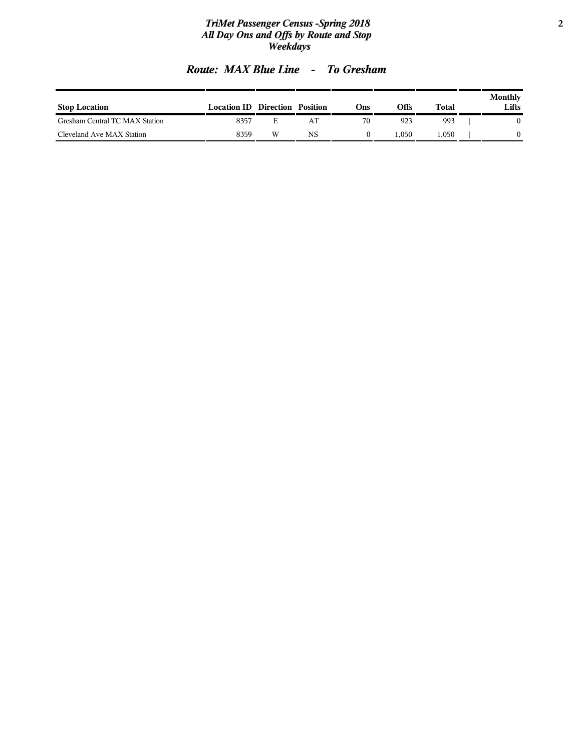#### *TriMet Passenger Census -Spring 2018* **2** *All Day Ons and Offs by Route and Stop Weekdays*

|  | <b>Route: MAX Blue Line</b> |  | <b>To Gresham</b> |  |
|--|-----------------------------|--|-------------------|--|
|--|-----------------------------|--|-------------------|--|

| <b>Stop Location</b>           | <b>Location ID Direction Position</b> |    |    | :)ns | Offs | <b>Total</b> | Monthly<br>Lifts |
|--------------------------------|---------------------------------------|----|----|------|------|--------------|------------------|
| Gresham Central TC MAX Station | 8357                                  | н. |    | 70   | 923  | 993          |                  |
| Cleveland Ave MAX Station      | 8359                                  | W  | NS |      | .050 | 1.050        |                  |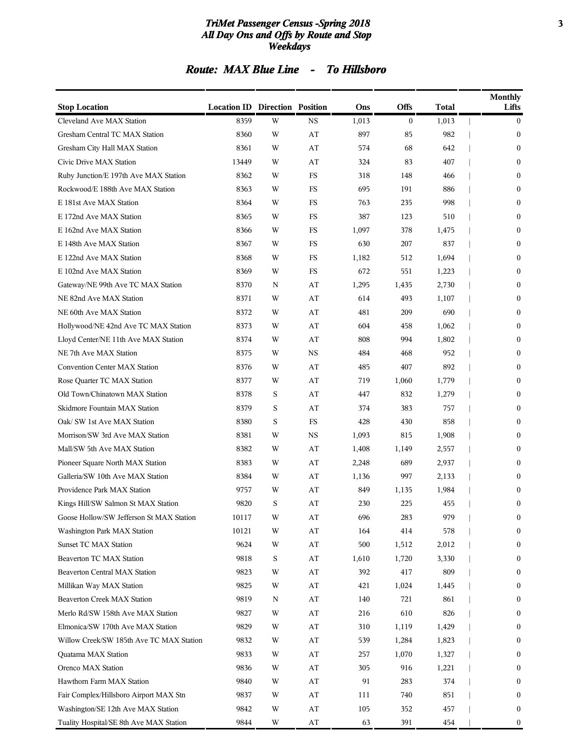#### *TriMet Passenger Census -Spring 2018* **3** *All Day Ons and Offs by Route and Stop Weekdays*

### *Route: MAX Blue Line - To Hillsboro*

| <b>Stop Location</b>                     | <b>Location ID Direction Position</b> |   |                        | Ons   | <b>Offs</b>    | Total | <b>Monthly</b><br>Lifts |
|------------------------------------------|---------------------------------------|---|------------------------|-------|----------------|-------|-------------------------|
| Cleveland Ave MAX Station                | 8359                                  | W | <b>NS</b>              | 1,013 | $\overline{0}$ | 1,013 | $\mathbf{0}$            |
| Gresham Central TC MAX Station           | 8360                                  | W | AT                     | 897   | 85             | 982   | $\mathbf{0}$            |
| Gresham City Hall MAX Station            | 8361                                  | W | AT                     | 574   | 68             | 642   | $\mathbf{0}$            |
| Civic Drive MAX Station                  | 13449                                 | W | AT                     | 324   | 83             | 407   | $\mathbf{0}$            |
| Ruby Junction/E 197th Ave MAX Station    | 8362                                  | W | FS                     | 318   | 148            | 466   | $\mathbf{0}$            |
| Rockwood/E 188th Ave MAX Station         | 8363                                  | W | <b>FS</b>              | 695   | 191            | 886   | $\mathbf{0}$            |
| E 181st Ave MAX Station                  | 8364                                  | W | FS                     | 763   | 235            | 998   | $\mathbf{0}$            |
| E 172nd Ave MAX Station                  | 8365                                  | W | FS                     | 387   | 123            | 510   | $\mathbf{0}$            |
| E 162nd Ave MAX Station                  | 8366                                  | W | FS                     | 1,097 | 378            | 1,475 | $\mathbf{0}$            |
| E 148th Ave MAX Station                  | 8367                                  | W | FS                     | 630   | 207            | 837   | $\mathbf{0}$            |
| E 122nd Ave MAX Station                  | 8368                                  | W | FS                     | 1,182 | 512            | 1,694 | $\mathbf{0}$            |
| E 102nd Ave MAX Station                  | 8369                                  | W | FS                     | 672   | 551            | 1,223 | $\mathbf{0}$            |
| Gateway/NE 99th Ave TC MAX Station       | 8370                                  | N | AT                     | 1,295 | 1,435          | 2,730 | $\mathbf{0}$            |
| NE 82nd Ave MAX Station                  | 8371                                  | W | AT                     | 614   | 493            | 1,107 | $\mathbf{0}$            |
| NE 60th Ave MAX Station                  | 8372                                  | W | AT                     | 481   | 209            | 690   | $\mathbf{0}$            |
| Hollywood/NE 42nd Ave TC MAX Station     | 8373                                  | W | AT                     | 604   | 458            | 1,062 | $\mathbf{0}$            |
| Lloyd Center/NE 11th Ave MAX Station     | 8374                                  | W | AT                     | 808   | 994            | 1,802 | $\mathbf{0}$            |
| NE 7th Ave MAX Station                   | 8375                                  | W | <b>NS</b>              | 484   | 468            | 952   | $\mathbf{0}$            |
| <b>Convention Center MAX Station</b>     | 8376                                  | W | AT                     | 485   | 407            | 892   | $\mathbf{0}$            |
| Rose Quarter TC MAX Station              | 8377                                  | W | AT                     | 719   | 1,060          | 1,779 | $\mathbf{0}$            |
| Old Town/Chinatown MAX Station           | 8378                                  | S | AT                     | 447   | 832            | 1,279 | $\mathbf{0}$            |
| Skidmore Fountain MAX Station            | 8379                                  | S | AT                     | 374   | 383            | 757   | $\mathbf{0}$            |
| Oak/ SW 1st Ave MAX Station              | 8380                                  | S | FS                     | 428   | 430            | 858   | $\mathbf{0}$            |
| Morrison/SW 3rd Ave MAX Station          | 8381                                  | W | <b>NS</b>              | 1,093 | 815            | 1,908 | $\mathbf{0}$            |
| Mall/SW 5th Ave MAX Station              | 8382                                  | W | AT                     | 1,408 | 1,149          | 2,557 | $\mathbf{0}$            |
| Pioneer Square North MAX Station         | 8383                                  | W | AT                     | 2,248 | 689            | 2,937 | 0                       |
| Galleria/SW 10th Ave MAX Station         | 8384                                  | W | AT                     | 1,136 | 997            | 2,133 | $\mathbf{0}$            |
| Providence Park MAX Station              | 9757                                  | W | AT                     | 849   | 1,135          | 1,984 | $\bf{0}$                |
| Kings Hill/SW Salmon St MAX Station      | 9820                                  | S | AT                     | 230   | 225            | 455   | $\mathbf{0}$            |
| Goose Hollow/SW Jefferson St MAX Station | 10117                                 | W | AT                     | 696   | 283            | 979   | $\bf{0}$                |
| Washington Park MAX Station              | 10121                                 | W | AT                     | 164   | 414            | 578   | $\mathbf{0}$            |
| <b>Sunset TC MAX Station</b>             | 9624                                  | W | AT                     | 500   | 1,512          | 2,012 | $\boldsymbol{0}$        |
| Beaverton TC MAX Station                 | 9818                                  | S | AT                     | 1,610 | 1,720          | 3,330 | $\mathbf{0}$            |
| Beaverton Central MAX Station            | 9823                                  | W | AT                     | 392   | 417            | 809   | $\boldsymbol{0}$        |
| Millikan Way MAX Station                 | 9825                                  | W | AT                     | 421   | 1,024          | 1,445 | 0                       |
| Beaverton Creek MAX Station              | 9819                                  | N | AT                     | 140   | 721            | 861   | 0                       |
| Merlo Rd/SW 158th Ave MAX Station        | 9827                                  | W | AT                     | 216   | 610            | 826   | $\boldsymbol{0}$        |
| Elmonica/SW 170th Ave MAX Station        | 9829                                  | W | AT                     | 310   | 1,119          | 1,429 | $\mathbf{0}$            |
| Willow Creek/SW 185th Ave TC MAX Station | 9832                                  | W | AT                     | 539   | 1,284          | 1,823 | $\boldsymbol{0}$        |
| Quatama MAX Station                      | 9833                                  | W | AT                     | 257   | 1,070          | 1,327 | 0                       |
| Orenco MAX Station                       | 9836                                  | W | AT                     | 305   | 916            | 1,221 | 0                       |
| Hawthorn Farm MAX Station                | 9840                                  | W | AT                     | 91    | 283            | 374   | $\boldsymbol{0}$        |
| Fair Complex/Hillsboro Airport MAX Stn   | 9837                                  | W | AT                     | 111   | 740            | 851   | $\mathbf{0}$            |
| Washington/SE 12th Ave MAX Station       | 9842                                  | W | AT                     | 105   | 352            | 457   | $\boldsymbol{0}$        |
| Tuality Hospital/SE 8th Ave MAX Station  | 9844                                  | W | $\mathbf{A}\mathbf{T}$ | 63    | 391            | 454   | $\boldsymbol{0}$        |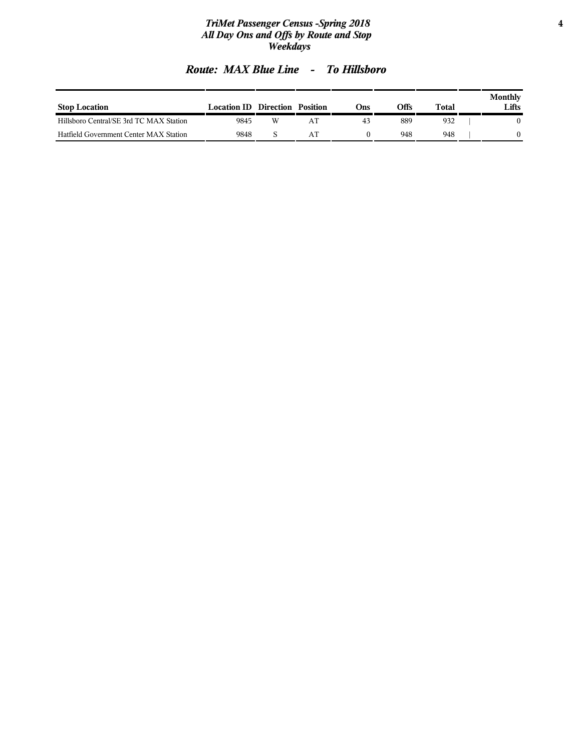#### *TriMet Passenger Census -Spring 2018* **4** *All Day Ons and Offs by Route and Stop Weekdays*

|  | <b>Route: MAX Blue Line</b> |  | <b>To Hillsboro</b> |
|--|-----------------------------|--|---------------------|
|--|-----------------------------|--|---------------------|

| <b>Stop Location</b>                    | <b>Location ID</b> Direction |   | Position | :)ns | Offs | Total | Monthly<br>Lifts |
|-----------------------------------------|------------------------------|---|----------|------|------|-------|------------------|
| Hillsboro Central/SE 3rd TC MAX Station | 9845                         | W |          | 43   | 889  | 932   |                  |
| Hatfield Government Center MAX Station  | 9848                         |   |          |      | 948  | 948   |                  |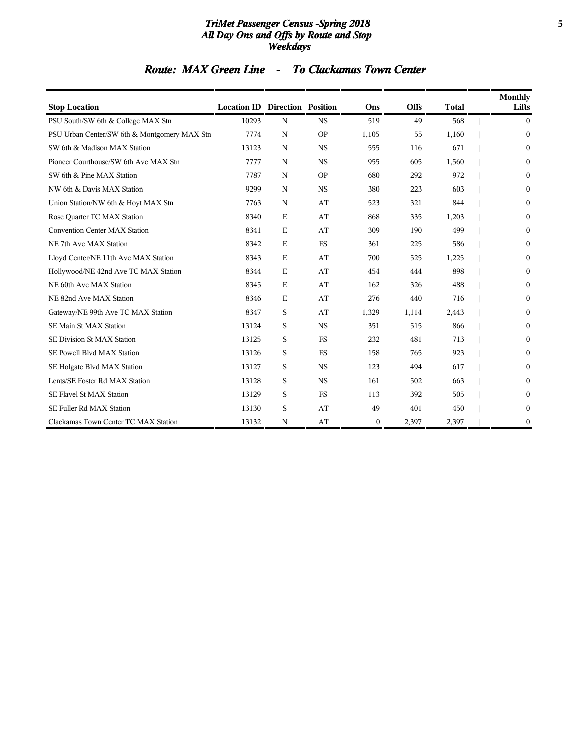#### *TriMet Passenger Census -Spring 2018* **5** *All Day Ons and Offs by Route and Stop Weekdays*

### *Route: MAX Green Line - To Clackamas Town Center*

| <b>Stop Location</b>                         | <b>Location ID Direction Position</b> |             |           | Ons          | <b>Offs</b> | <b>Total</b> | <b>Monthly</b><br>Lifts |
|----------------------------------------------|---------------------------------------|-------------|-----------|--------------|-------------|--------------|-------------------------|
| PSU South/SW 6th & College MAX Stn           | 10293                                 | N           | <b>NS</b> | 519          | 49          | 568          | $\mathbf{0}$            |
| PSU Urban Center/SW 6th & Montgomery MAX Stn | 7774                                  | $\mathbf N$ | <b>OP</b> | 1,105        | 55          | 1,160        | $\mathbf{0}$            |
| SW 6th & Madison MAX Station                 | 13123                                 | N           | <b>NS</b> | 555          | 116         | 671          | $\theta$                |
| Pioneer Courthouse/SW 6th Ave MAX Stn        | 7777                                  | N           | <b>NS</b> | 955          | 605         | 1,560        | $\Omega$                |
| SW 6th & Pine MAX Station                    | 7787                                  | N           | <b>OP</b> | 680          | 292         | 972          | $\Omega$                |
| NW 6th & Davis MAX Station                   | 9299                                  | $\mathbf N$ | <b>NS</b> | 380          | 223         | 603          | $\Omega$                |
| Union Station/NW 6th & Hoyt MAX Stn          | 7763                                  | N           | AT        | 523          | 321         | 844          | $\Omega$                |
| Rose Quarter TC MAX Station                  | 8340                                  | E           | AT        | 868          | 335         | 1,203        | 0                       |
| Convention Center MAX Station                | 8341                                  | E           | AT        | 309          | 190         | 499          | $\Omega$                |
| NE 7th Ave MAX Station                       | 8342                                  | E           | <b>FS</b> | 361          | 225         | 586          | $\Omega$                |
| Lloyd Center/NE 11th Ave MAX Station         | 8343                                  | E           | AT        | 700          | 525         | 1,225        | $\Omega$                |
| Hollywood/NE 42nd Ave TC MAX Station         | 8344                                  | E           | AT        | 454          | 444         | 898          | $\Omega$                |
| NE 60th Ave MAX Station                      | 8345                                  | E           | AT        | 162          | 326         | 488          | $\Omega$                |
| NE 82nd Ave MAX Station                      | 8346                                  | E           | AT        | 276          | 440         | 716          | $\Omega$                |
| Gateway/NE 99th Ave TC MAX Station           | 8347                                  | S           | AT        | 1,329        | 1,114       | 2,443        | $\Omega$                |
| SE Main St MAX Station                       | 13124                                 | S           | <b>NS</b> | 351          | 515         | 866          | $\Omega$                |
| SE Division St MAX Station                   | 13125                                 | S           | <b>FS</b> | 232          | 481         | 713          | $\Omega$                |
| SE Powell Blvd MAX Station                   | 13126                                 | S           | <b>FS</b> | 158          | 765         | 923          | $\Omega$                |
| SE Holgate Blvd MAX Station                  | 13127                                 | S           | <b>NS</b> | 123          | 494         | 617          | $\Omega$                |
| Lents/SE Foster Rd MAX Station               | 13128                                 | S           | <b>NS</b> | 161          | 502         | 663          | $\Omega$                |
| SE Flavel St MAX Station                     | 13129                                 | S           | <b>FS</b> | 113          | 392         | 505          | $\Omega$                |
| SE Fuller Rd MAX Station                     | 13130                                 | S           | AT        | 49           | 401         | 450          | 0                       |
| Clackamas Town Center TC MAX Station         | 13132                                 | N           | AT        | $\mathbf{0}$ | 2,397       | 2,397        | $\mathbf{0}$            |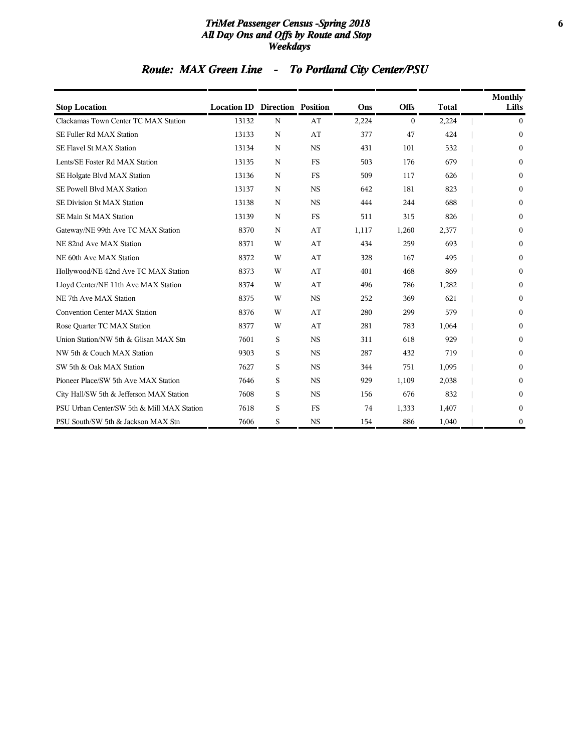#### *TriMet Passenger Census -Spring 2018* **6** *All Day Ons and Offs by Route and Stop Weekdays*

# *Route: MAX Green Line - To Portland City Center/PSU*

| <b>Stop Location</b>                       | <b>Location ID Direction Position</b> |             |           | Ons   | <b>Offs</b> | <b>Total</b> | <b>Monthly</b><br>Lifts |
|--------------------------------------------|---------------------------------------|-------------|-----------|-------|-------------|--------------|-------------------------|
| Clackamas Town Center TC MAX Station       | 13132                                 | $\mathbf N$ | AT        | 2,224 | $\theta$    | 2,224        | $\Omega$                |
| SE Fuller Rd MAX Station                   | 13133                                 | N           | AT        | 377   | 47          | 424          | $\boldsymbol{0}$        |
| SE Flavel St MAX Station                   | 13134                                 | N           | <b>NS</b> | 431   | 101         | 532          | 0                       |
| Lents/SE Foster Rd MAX Station             | 13135                                 | N           | <b>FS</b> | 503   | 176         | 679          | 0                       |
| SE Holgate Blvd MAX Station                | 13136                                 | N           | <b>FS</b> | 509   | 117         | 626          | 0                       |
| SE Powell Blvd MAX Station                 | 13137                                 | N           | <b>NS</b> | 642   | 181         | 823          | 0                       |
| SE Division St MAX Station                 | 13138                                 | N           | <b>NS</b> | 444   | 244         | 688          | $\Omega$                |
| SE Main St MAX Station                     | 13139                                 | N           | <b>FS</b> | 511   | 315         | 826          | 0                       |
| Gateway/NE 99th Ave TC MAX Station         | 8370                                  | N           | AT        | 1,117 | 1,260       | 2,377        | 0                       |
| NE 82nd Ave MAX Station                    | 8371                                  | W           | AT        | 434   | 259         | 693          | 0                       |
| NE 60th Ave MAX Station                    | 8372                                  | W           | AT        | 328   | 167         | 495          | $\Omega$                |
| Hollywood/NE 42nd Ave TC MAX Station       | 8373                                  | W           | AT        | 401   | 468         | 869          | 0                       |
| Lloyd Center/NE 11th Ave MAX Station       | 8374                                  | W           | AT        | 496   | 786         | 1,282        | 0                       |
| NE 7th Ave MAX Station                     | 8375                                  | W           | <b>NS</b> | 252   | 369         | 621          | 0                       |
| <b>Convention Center MAX Station</b>       | 8376                                  | W           | AT        | 280   | 299         | 579          | $\Omega$                |
| Rose Quarter TC MAX Station                | 8377                                  | W           | AT        | 281   | 783         | 1,064        | 0                       |
| Union Station/NW 5th & Glisan MAX Stn      | 7601                                  | S           | <b>NS</b> | 311   | 618         | 929          | 0                       |
| NW 5th & Couch MAX Station                 | 9303                                  | S           | <b>NS</b> | 287   | 432         | 719          | 0                       |
| SW 5th & Oak MAX Station                   | 7627                                  | S           | <b>NS</b> | 344   | 751         | 1,095        | 0                       |
| Pioneer Place/SW 5th Ave MAX Station       | 7646                                  | S           | <b>NS</b> | 929   | 1,109       | 2,038        | 0                       |
| City Hall/SW 5th & Jefferson MAX Station   | 7608                                  | S           | <b>NS</b> | 156   | 676         | 832          | 0                       |
| PSU Urban Center/SW 5th & Mill MAX Station | 7618                                  | S           | <b>FS</b> | 74    | 1,333       | 1,407        | $\mathbf{0}$            |
| PSU South/SW 5th & Jackson MAX Stn         | 7606                                  | S           | <b>NS</b> | 154   | 886         | 1,040        | 0                       |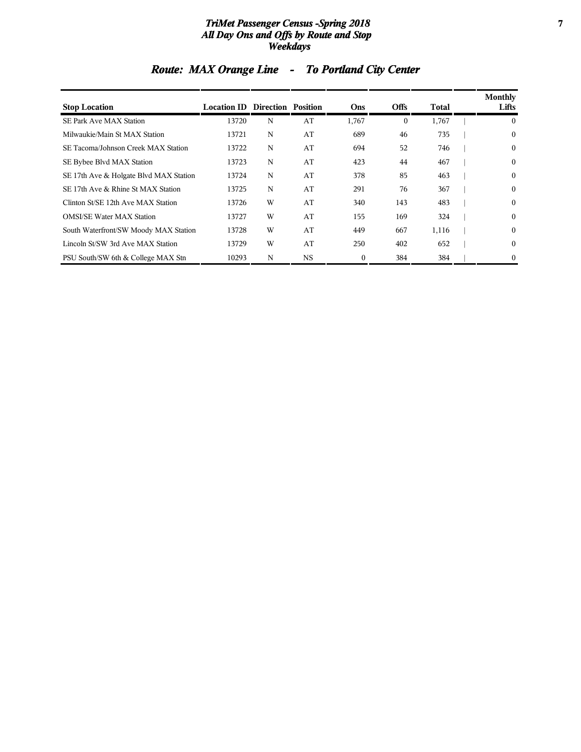#### *TriMet Passenger Census -Spring 2018* **7** *All Day Ons and Offs by Route and Stop Weekdays*

| <b>Stop Location</b>                   | <b>Location ID Direction Position</b> |   |           | Ons          | <b>Offs</b>  | Total | <b>Monthly</b><br>Lifts |
|----------------------------------------|---------------------------------------|---|-----------|--------------|--------------|-------|-------------------------|
| SE Park Ave MAX Station                | 13720                                 | N | AT        | 1,767        | $\mathbf{0}$ | 1,767 | $\theta$                |
| Milwaukie/Main St MAX Station          | 13721                                 | N | AT        | 689          | 46           | 735   | $\mathbf{0}$            |
| SE Tacoma/Johnson Creek MAX Station    | 13722                                 | N | AT        | 694          | 52           | 746   | $\bf{0}$                |
| SE Bybee Blvd MAX Station              | 13723                                 | N | AT        | 423          | 44           | 467   | $\mathbf{0}$            |
| SE 17th Ave & Holgate Blvd MAX Station | 13724                                 | N | AT        | 378          | 85           | 463   | $\mathbf{0}$            |
| SE 17th Ave & Rhine St MAX Station     | 13725                                 | N | AT        | 291          | 76           | 367   | $\mathbf{0}$            |
| Clinton St/SE 12th Ave MAX Station     | 13726                                 | W | AT        | 340          | 143          | 483   | $\mathbf{0}$            |
| <b>OMSI/SE Water MAX Station</b>       | 13727                                 | W | AT        | 155          | 169          | 324   | $\mathbf{0}$            |
| South Waterfront/SW Moody MAX Station  | 13728                                 | W | AT        | 449          | 667          | 1,116 | $\theta$                |
| Lincoln St/SW 3rd Ave MAX Station      | 13729                                 | W | AT        | 250          | 402          | 652   | $\mathbf{0}$            |
| PSU South/SW 6th & College MAX Stn     | 10293                                 | N | <b>NS</b> | $\mathbf{0}$ | 384          | 384   | $\mathbf{0}$            |

# *Route: MAX Orange Line - To Portland City Center*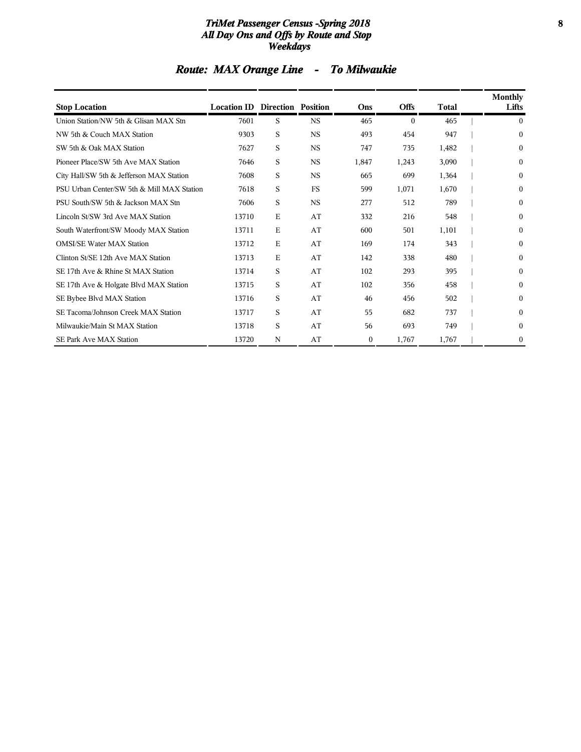#### *TriMet Passenger Census -Spring 2018* **8** *All Day Ons and Offs by Route and Stop Weekdays*

# *Route: MAX Orange Line - To Milwaukie*

| <b>Stop Location</b>                       | <b>Location ID Direction Position</b> |   |             | Ons              | <b>Offs</b> | <b>Total</b> | <b>Monthly</b><br>Lifts |
|--------------------------------------------|---------------------------------------|---|-------------|------------------|-------------|--------------|-------------------------|
| Union Station/NW 5th & Glisan MAX Stn      | 7601                                  | S | <b>NS</b>   | 465              | $\theta$    | 465          | 0                       |
| NW 5th & Couch MAX Station                 | 9303                                  | S | $_{\rm NS}$ | 493              | 454         | 947          | $\mathbf{0}$            |
| SW 5th & Oak MAX Station                   | 7627                                  | S | $_{\rm NS}$ | 747              | 735         | 1,482        | 0                       |
| Pioneer Place/SW 5th Ave MAX Station       | 7646                                  | S | <b>NS</b>   | 1,847            | 1,243       | 3,090        | $\mathbf{0}$            |
| City Hall/SW 5th & Jefferson MAX Station   | 7608                                  | S | $_{\rm NS}$ | 665              | 699         | 1,364        | 0                       |
| PSU Urban Center/SW 5th & Mill MAX Station | 7618                                  | S | <b>FS</b>   | 599              | 1,071       | 1,670        | 0                       |
| PSU South/SW 5th & Jackson MAX Stn         | 7606                                  | S | <b>NS</b>   | 277              | 512         | 789          | $\mathbf{0}$            |
| Lincoln St/SW 3rd Ave MAX Station          | 13710                                 | E | AT          | 332              | 216         | 548          | $\mathbf{0}$            |
| South Waterfront/SW Moody MAX Station      | 13711                                 | E | AT          | 600              | 501         | 1,101        | 0                       |
| <b>OMSI/SE Water MAX Station</b>           | 13712                                 | E | AT          | 169              | 174         | 343          | 0                       |
| Clinton St/SE 12th Ave MAX Station         | 13713                                 | E | AT          | 142              | 338         | 480          | $\mathbf{0}$            |
| SE 17th Ave & Rhine St MAX Station         | 13714                                 | S | AT          | 102              | 293         | 395          | 0                       |
| SE 17th Ave & Holgate Blvd MAX Station     | 13715                                 | S | AT          | 102              | 356         | 458          | 0                       |
| SE Bybee Blvd MAX Station                  | 13716                                 | S | AT          | 46               | 456         | 502          | $\mathbf{0}$            |
| SE Tacoma/Johnson Creek MAX Station        | 13717                                 | S | AT          | 55               | 682         | 737          | 0                       |
| Milwaukie/Main St MAX Station              | 13718                                 | S | AT          | 56               | 693         | 749          | 0                       |
| <b>SE Park Ave MAX Station</b>             | 13720                                 | N | AT          | $\boldsymbol{0}$ | 1,767       | 1,767        | 0                       |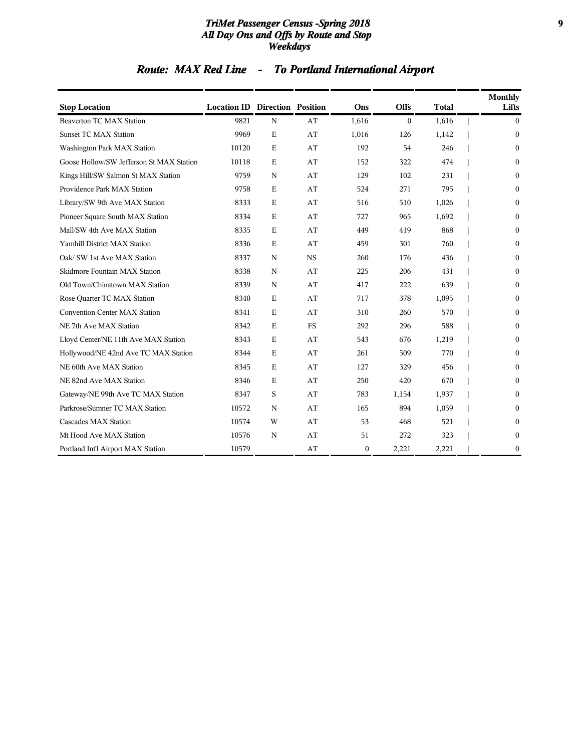#### *TriMet Passenger Census -Spring 2018* **9** *All Day Ons and Offs by Route and Stop Weekdays*

# *Route: MAX Red Line - To Portland International Airport*

| <b>Stop Location</b>                     | <b>Location ID Direction Position</b> |             |           | Ons      | <b>Offs</b>  | <b>Total</b> | <b>Monthly</b><br>Lifts |
|------------------------------------------|---------------------------------------|-------------|-----------|----------|--------------|--------------|-------------------------|
| <b>Beaverton TC MAX Station</b>          | 9821                                  | N           | AT        | 1,616    | $\mathbf{0}$ | 1,616        | $\mathbf{0}$            |
| <b>Sunset TC MAX Station</b>             | 9969                                  | $\mathbf E$ | AT        | 1,016    | 126          | 1,142        | $\mathbf{0}$            |
| Washington Park MAX Station              | 10120                                 | $\mathbf E$ | AT        | 192      | 54           | 246          | $\mathbf{0}$            |
| Goose Hollow/SW Jefferson St MAX Station | 10118                                 | $\mathbf E$ | AT        | 152      | 322          | 474          | $\theta$                |
| Kings Hill/SW Salmon St MAX Station      | 9759                                  | $\mathbf N$ | AT        | 129      | 102          | 231          | $\boldsymbol{0}$        |
| Providence Park MAX Station              | 9758                                  | $\mathbf E$ | AT        | 524      | 271          | 795          | $\boldsymbol{0}$        |
| Library/SW 9th Ave MAX Station           | 8333                                  | $\mathbf E$ | AT        | 516      | 510          | 1,026        | $\theta$                |
| Pioneer Square South MAX Station         | 8334                                  | $\mathbf E$ | AT        | 727      | 965          | 1,692        | $\boldsymbol{0}$        |
| Mall/SW 4th Ave MAX Station              | 8335                                  | $\mathbf E$ | AT        | 449      | 419          | 868          | $\mathbf{0}$            |
| Yamhill District MAX Station             | 8336                                  | $\mathbf E$ | AT        | 459      | 301          | 760          | $\boldsymbol{0}$        |
| Oak/ SW 1st Ave MAX Station              | 8337                                  | N           | <b>NS</b> | 260      | 176          | 436          | $\boldsymbol{0}$        |
| Skidmore Fountain MAX Station            | 8338                                  | $\mathbf N$ | AT        | 225      | 206          | 431          | $\theta$                |
| Old Town/Chinatown MAX Station           | 8339                                  | N           | AT        | 417      | 222          | 639          | $\theta$                |
| Rose Quarter TC MAX Station              | 8340                                  | $\mathbf E$ | AT        | 717      | 378          | 1,095        | $\theta$                |
| Convention Center MAX Station            | 8341                                  | $\mathbf E$ | AT        | 310      | 260          | 570          | $\mathbf{0}$            |
| NE 7th Ave MAX Station                   | 8342                                  | $\mathbf E$ | <b>FS</b> | 292      | 296          | 588          | $\boldsymbol{0}$        |
| Lloyd Center/NE 11th Ave MAX Station     | 8343                                  | $\mathbf E$ | AT        | 543      | 676          | 1,219        | $\theta$                |
| Hollywood/NE 42nd Ave TC MAX Station     | 8344                                  | $\mathbf E$ | AT        | 261      | 509          | 770          | $\Omega$                |
| NE 60th Ave MAX Station                  | 8345                                  | $\mathbf E$ | AT        | 127      | 329          | 456          | $\theta$                |
| NE 82nd Ave MAX Station                  | 8346                                  | Ε           | AT        | 250      | 420          | 670          | $\boldsymbol{0}$        |
| Gateway/NE 99th Ave TC MAX Station       | 8347                                  | S           | AT        | 783      | 1,154        | 1,937        | $\theta$                |
| Parkrose/Sumner TC MAX Station           | 10572                                 | $\mathbf N$ | AT        | 165      | 894          | 1,059        | $\theta$                |
| Cascades MAX Station                     | 10574                                 | W           | AT        | 53       | 468          | 521          | $\boldsymbol{0}$        |
| Mt Hood Ave MAX Station                  | 10576                                 | N           | AT        | 51       | 272          | 323          | $\boldsymbol{0}$        |
| Portland Int'l Airport MAX Station       | 10579                                 |             | AT        | $\bf{0}$ | 2,221        | 2,221        | $\boldsymbol{0}$        |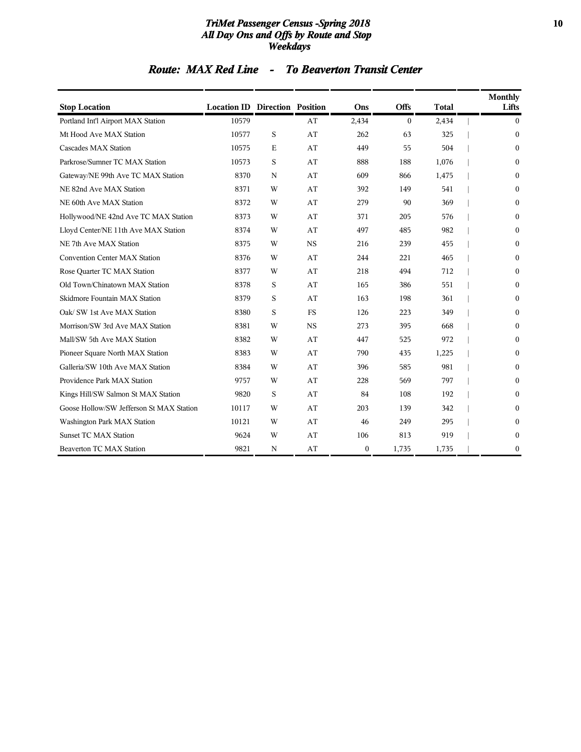#### *TriMet Passenger Census -Spring 2018* **10** *All Day Ons and Offs by Route and Stop Weekdays*

# *Route: MAX Red Line - To Beaverton Transit Center*

| <b>Stop Location</b>                     | <b>Location ID Direction Position</b> |             |           | Ons          | <b>Offs</b>  | <b>Total</b> | Monthly<br>Lifts |
|------------------------------------------|---------------------------------------|-------------|-----------|--------------|--------------|--------------|------------------|
| Portland Int'l Airport MAX Station       | 10579                                 |             | AT        | 2,434        | $\mathbf{0}$ | 2,434        | $\overline{0}$   |
| Mt Hood Ave MAX Station                  | 10577                                 | S           | AT        | 262          | 63           | 325          | $\theta$         |
| Cascades MAX Station                     | 10575                                 | $\mathbf E$ | AT        | 449          | 55           | 504          | $\theta$         |
| Parkrose/Sumner TC MAX Station           | 10573                                 | S           | AT        | 888          | 188          | 1,076        | $\theta$         |
| Gateway/NE 99th Ave TC MAX Station       | 8370                                  | $\mathbf N$ | AT        | 609          | 866          | 1,475        | $\mathbf{0}$     |
| NE 82nd Ave MAX Station                  | 8371                                  | W           | AT        | 392          | 149          | 541          | $\boldsymbol{0}$ |
| NE 60th Ave MAX Station                  | 8372                                  | W           | AT        | 279          | 90           | 369          | $\theta$         |
| Hollywood/NE 42nd Ave TC MAX Station     | 8373                                  | W           | AT        | 371          | 205          | 576          | $\theta$         |
| Lloyd Center/NE 11th Ave MAX Station     | 8374                                  | W           | AT        | 497          | 485          | 982          | $\theta$         |
| NE 7th Ave MAX Station                   | 8375                                  | W           | <b>NS</b> | 216          | 239          | 455          | $\boldsymbol{0}$ |
| Convention Center MAX Station            | 8376                                  | W           | AT        | 244          | 221          | 465          | $\theta$         |
| Rose Quarter TC MAX Station              | 8377                                  | W           | AT        | 218          | 494          | 712          | $\theta$         |
| Old Town/Chinatown MAX Station           | 8378                                  | S           | AT        | 165          | 386          | 551          | $\mathbf{0}$     |
| Skidmore Fountain MAX Station            | 8379                                  | S           | AT        | 163          | 198          | 361          | $\theta$         |
| Oak/ SW 1st Ave MAX Station              | 8380                                  | S           | <b>FS</b> | 126          | 223          | 349          | $\theta$         |
| Morrison/SW 3rd Ave MAX Station          | 8381                                  | W           | <b>NS</b> | 273          | 395          | 668          | $\theta$         |
| Mall/SW 5th Ave MAX Station              | 8382                                  | W           | AT        | 447          | 525          | 972          | $\theta$         |
| Pioneer Square North MAX Station         | 8383                                  | W           | AT        | 790          | 435          | 1,225        | $\mathbf{0}$     |
| Galleria/SW 10th Ave MAX Station         | 8384                                  | W           | AT        | 396          | 585          | 981          | $\boldsymbol{0}$ |
| Providence Park MAX Station              | 9757                                  | W           | AT        | 228          | 569          | 797          | $\theta$         |
| Kings Hill/SW Salmon St MAX Station      | 9820                                  | S           | AT        | 84           | 108          | 192          | $\theta$         |
| Goose Hollow/SW Jefferson St MAX Station | 10117                                 | W           | AT        | 203          | 139          | 342          | $\theta$         |
| Washington Park MAX Station              | 10121                                 | W           | AT        | 46           | 249          | 295          | $\mathbf{0}$     |
| <b>Sunset TC MAX Station</b>             | 9624                                  | W           | AT        | 106          | 813          | 919          | $\boldsymbol{0}$ |
| Beaverton TC MAX Station                 | 9821                                  | N           | AT        | $\mathbf{0}$ | 1,735        | 1,735        | $\mathbf{0}$     |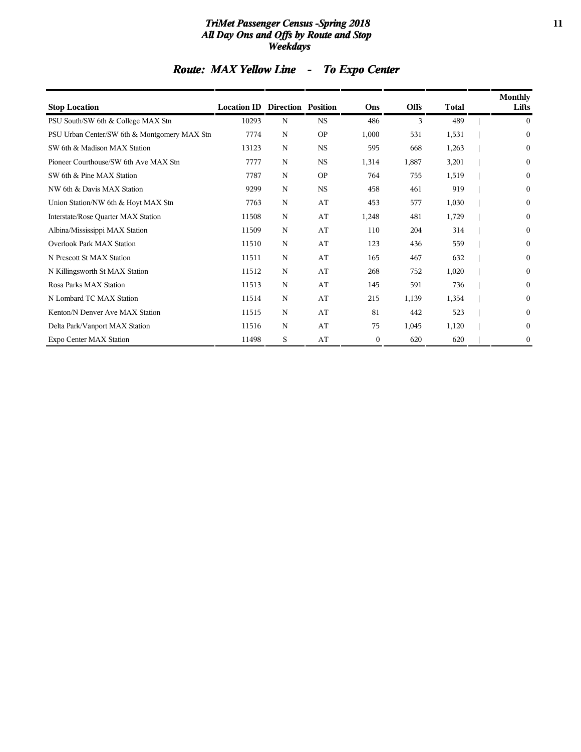#### *TriMet Passenger Census -Spring 2018* **11** *All Day Ons and Offs by Route and Stop Weekdays*

# *Route: MAX Yellow Line - To Expo Center*

| <b>Stop Location</b>                         | <b>Location ID Direction Position</b> |   |             | Ons          | <b>Offs</b> | <b>Total</b> | Monthly<br>Lifts |
|----------------------------------------------|---------------------------------------|---|-------------|--------------|-------------|--------------|------------------|
| PSU South/SW 6th & College MAX Stn           | 10293                                 | N | <b>NS</b>   | 486          | 3           | 489          | $\mathbf{0}$     |
| PSU Urban Center/SW 6th & Montgomery MAX Stn | 7774                                  | N | <b>OP</b>   | 1,000        | 531         | 1,531        | $\mathbf{0}$     |
| SW 6th & Madison MAX Station                 | 13123                                 | N | $_{\rm NS}$ | 595          | 668         | 1,263        | $\boldsymbol{0}$ |
| Pioneer Courthouse/SW 6th Ave MAX Stn        | 7777                                  | N | <b>NS</b>   | 1,314        | 1,887       | 3,201        | $\mathbf{0}$     |
| SW 6th & Pine MAX Station                    | 7787                                  | N | <b>OP</b>   | 764          | 755         | 1,519        | $\boldsymbol{0}$ |
| NW 6th & Davis MAX Station                   | 9299                                  | N | $_{\rm NS}$ | 458          | 461         | 919          | $\boldsymbol{0}$ |
| Union Station/NW 6th & Hoyt MAX Stn          | 7763                                  | N | AT          | 453          | 577         | 1,030        | $\mathbf{0}$     |
| Interstate/Rose Quarter MAX Station          | 11508                                 | N | AT          | 1,248        | 481         | 1,729        | $\mathbf{0}$     |
| Albina/Mississippi MAX Station               | 11509                                 | N | AT          | 110          | 204         | 314          | $\boldsymbol{0}$ |
| <b>Overlook Park MAX Station</b>             | 11510                                 | N | AT          | 123          | 436         | 559          | $\mathbf{0}$     |
| N Prescott St MAX Station                    | 11511                                 | N | AT          | 165          | 467         | 632          | $\mathbf{0}$     |
| N Killingsworth St MAX Station               | 11512                                 | N | AT          | 268          | 752         | 1,020        | $\boldsymbol{0}$ |
| Rosa Parks MAX Station                       | 11513                                 | N | AT          | 145          | 591         | 736          | $\boldsymbol{0}$ |
| N Lombard TC MAX Station                     | 11514                                 | N | AT          | 215          | 1,139       | 1,354        | $\mathbf{0}$     |
| Kenton/N Denver Ave MAX Station              | 11515                                 | N | AT          | 81           | 442         | 523          | $\boldsymbol{0}$ |
| Delta Park/Vanport MAX Station               | 11516                                 | N | AT          | 75           | 1,045       | 1,120        | $\boldsymbol{0}$ |
| Expo Center MAX Station                      | 11498                                 | S | AT          | $\mathbf{0}$ | 620         | 620          | $\boldsymbol{0}$ |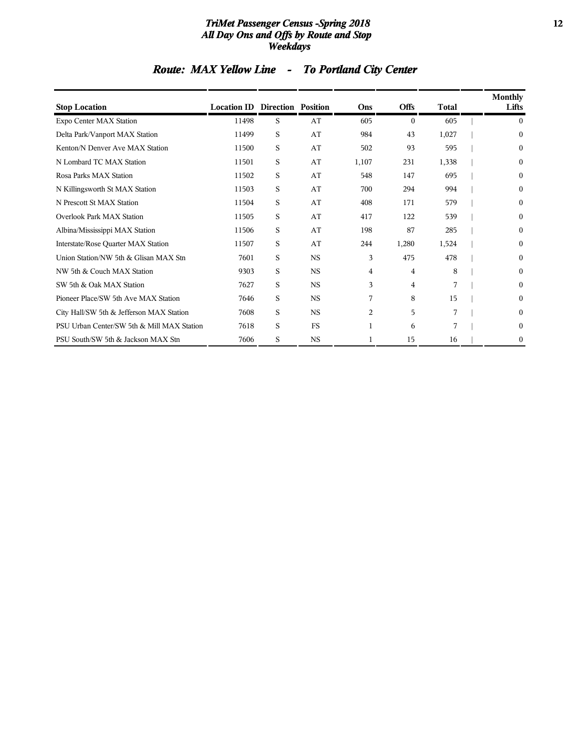#### *TriMet Passenger Census -Spring 2018* **12** *All Day Ons and Offs by Route and Stop Weekdays*

# *Route: MAX Yellow Line - To Portland City Center*

| <b>Stop Location</b>                       | <b>Location ID Direction Position</b> |   |             | Ons   | <b>Offs</b>    | <b>Total</b> | Monthly<br>Lifts |
|--------------------------------------------|---------------------------------------|---|-------------|-------|----------------|--------------|------------------|
| Expo Center MAX Station                    | 11498                                 | S | AT          | 605   | $\theta$       | 605          | 0                |
| Delta Park/Vanport MAX Station             | 11499                                 | S | AT          | 984   | 43             | 1,027        | $\mathbf{0}$     |
| Kenton/N Denver Ave MAX Station            | 11500                                 | S | AT          | 502   | 93             | 595          | $\mathbf{0}$     |
| N Lombard TC MAX Station                   | 11501                                 | S | AT          | 1,107 | 231            | 1,338        | $\mathbf{0}$     |
| Rosa Parks MAX Station                     | 11502                                 | S | AT          | 548   | 147            | 695          | $\mathbf{0}$     |
| N Killingsworth St MAX Station             | 11503                                 | S | AT          | 700   | 294            | 994          | $\mathbf{0}$     |
| N Prescott St MAX Station                  | 11504                                 | S | AT          | 408   | 171            | 579          | $\mathbf{0}$     |
| <b>Overlook Park MAX Station</b>           | 11505                                 | S | AT          | 417   | 122            | 539          | $\mathbf{0}$     |
| Albina/Mississippi MAX Station             | 11506                                 | S | AT          | 198   | 87             | 285          | $\Omega$         |
| Interstate/Rose Quarter MAX Station        | 11507                                 | S | AT          | 244   | 1,280          | 1,524        | 0                |
| Union Station/NW 5th & Glisan MAX Stn      | 7601                                  | S | $_{\rm NS}$ | 3     | 475            | 478          | $\mathbf{0}$     |
| NW 5th & Couch MAX Station                 | 9303                                  | S | <b>NS</b>   | 4     | $\overline{4}$ | 8            | $\mathbf{0}$     |
| SW 5th & Oak MAX Station                   | 7627                                  | S | <b>NS</b>   | 3     | 4              | 7            | $\mathbf{0}$     |
| Pioneer Place/SW 5th Ave MAX Station       | 7646                                  | S | <b>NS</b>   | 7     | 8              | 15           | $\mathbf{0}$     |
| City Hall/SW 5th & Jefferson MAX Station   | 7608                                  | S | $_{\rm NS}$ | 2     | 5              | 7            | $\mathbf{0}$     |
| PSU Urban Center/SW 5th & Mill MAX Station | 7618                                  | S | <b>FS</b>   | 1     | 6              | 7            | $\mathbf{0}$     |
| PSU South/SW 5th & Jackson MAX Stn         | 7606                                  | S | $_{\rm NS}$ | 1     | 15             | 16           | 0                |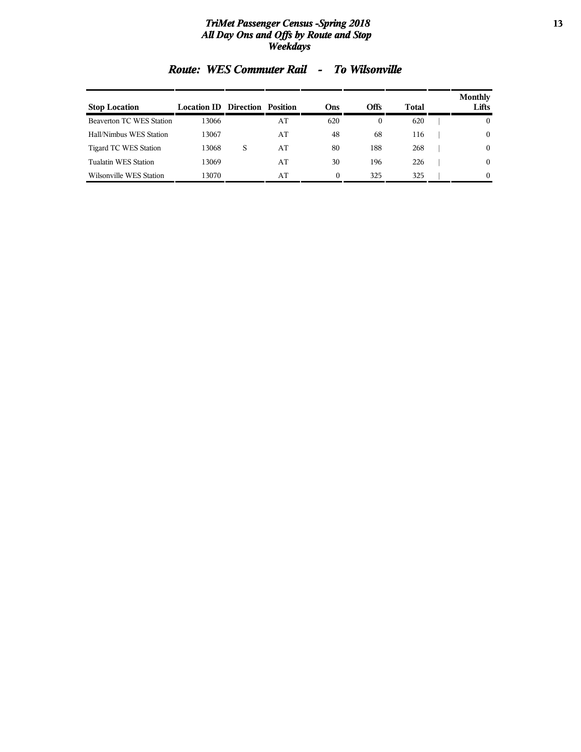#### *TriMet Passenger Census -Spring 2018* **13** *All Day Ons and Offs by Route and Stop Weekdays*

| <b>Stop Location</b>            | <b>Location ID Direction Position</b> |   |    | Ons      | Offs | Total | Monthly<br>Lifts |
|---------------------------------|---------------------------------------|---|----|----------|------|-------|------------------|
| <b>Beaverton TC WES Station</b> | 13066                                 |   | AT | 620      | 0    | 620   | $\mathbf{0}$     |
| Hall/Nimbus WES Station         | 13067                                 |   | AT | 48       | 68   | 116   | $\mathbf{0}$     |
| Tigard TC WES Station           | 13068                                 | S | AT | 80       | 188  | 268   | $\theta$         |
| Tualatin WES Station            | 13069                                 |   | AT | 30       | 196  | 226   | $\theta$         |
| Wilsonville WES Station         | 13070                                 |   | AT | $\theta$ | 325  | 325   | $\theta$         |

### *Route: WES Commuter Rail - To Wilsonville*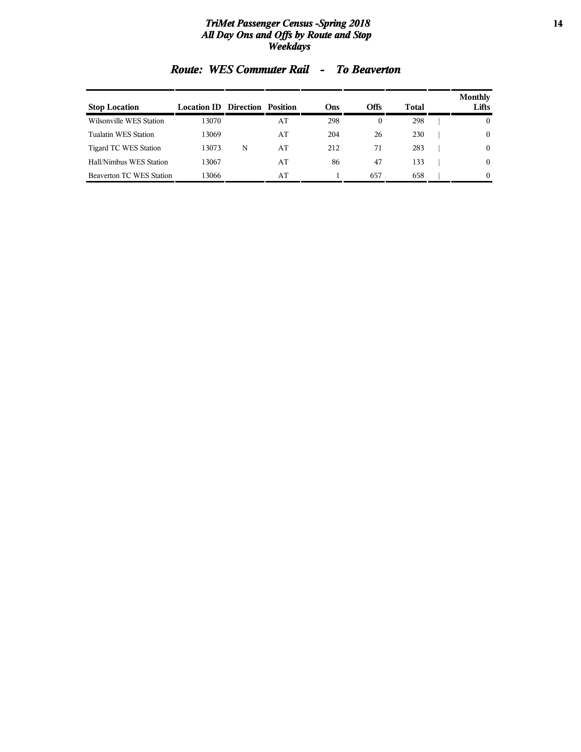#### *TriMet Passenger Census -Spring 2018* **14** *All Day Ons and Offs by Route and Stop Weekdays*

| <b>Stop Location</b>            | <b>Location ID</b> | Direction Position |    | Ons | <b>Offs</b> | Total | Monthly<br>Lifts |
|---------------------------------|--------------------|--------------------|----|-----|-------------|-------|------------------|
| Wilsonville WES Station         | 13070              |                    | AT | 298 | 0           | 298   | 0                |
| Tualatin WES Station            | 13069              |                    | AT | 204 | 26          | 230   | $\mathbf{0}$     |
| Tigard TC WES Station           | 13073              | N                  | AT | 212 | 71          | 283   | $\theta$         |
| Hall/Nimbus WES Station         | 13067              |                    | AT | 86  | 47          | 133   | $\theta$         |
| <b>Beaverton TC WES Station</b> | 13066              |                    | AT |     | 657         | 658   | $\theta$         |

### *Route: WES Commuter Rail - To Beaverton*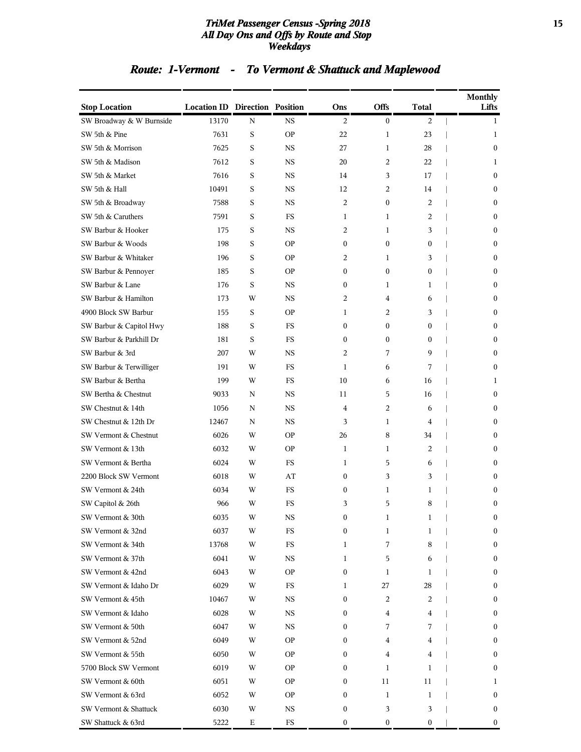#### *TriMet Passenger Census -Spring 2018* **15** *All Day Ons and Offs by Route and Stop Weekdays*

# *Route: 1-Vermont - To Vermont & Shattuck and Maplewood*

| <b>Stop Location</b>     | <b>Location ID Direction Position</b> |   |             | Ons              | <b>Offs</b>      | Total            | <b>Monthly</b><br>Lifts |
|--------------------------|---------------------------------------|---|-------------|------------------|------------------|------------------|-------------------------|
| SW Broadway & W Burnside | 13170                                 | N | <b>NS</b>   | 2                | $\boldsymbol{0}$ | 2                | $\mathbf{1}$            |
| SW 5th & Pine            | 7631                                  | S | <b>OP</b>   | 22               | 1                | 23               | 1                       |
| SW 5th & Morrison        | 7625                                  | S | <b>NS</b>   | 27               | $\mathbf{1}$     | 28               | $\overline{0}$          |
| SW 5th & Madison         | 7612                                  | S | NS          | 20               | 2                | 22               | 1                       |
| SW 5th & Market          | 7616                                  | S | <b>NS</b>   | 14               | 3                | 17               | $\overline{0}$          |
| SW 5th & Hall            | 10491                                 | S | <b>NS</b>   | 12               | 2                | 14               | $\overline{0}$          |
| SW 5th & Broadway        | 7588                                  | S | NS.         | 2                | $\boldsymbol{0}$ | 2                | $\overline{0}$          |
| SW 5th & Caruthers       | 7591                                  | S | <b>FS</b>   | 1                | 1                | 2                | $\overline{0}$          |
| SW Barbur & Hooker       | 175                                   | S | <b>NS</b>   | 2                | 1                | 3                | 0                       |
| SW Barbur & Woods        | 198                                   | S | <b>OP</b>   | $\overline{0}$   | $\mathbf{0}$     | $\mathbf{0}$     | $\overline{0}$          |
| SW Barbur & Whitaker     | 196                                   | S | <b>OP</b>   | 2                | 1                | 3                | $\overline{0}$          |
| SW Barbur & Pennoyer     | 185                                   | S | <b>OP</b>   | $\boldsymbol{0}$ | $\boldsymbol{0}$ | $\boldsymbol{0}$ | $\overline{0}$          |
| SW Barbur & Lane         | 176                                   | S | <b>NS</b>   | 0                | 1                | $\mathbf{1}$     | $\overline{0}$          |
| SW Barbur & Hamilton     | 173                                   | W | NS          | 2                | 4                | 6                | 0                       |
| 4900 Block SW Barbur     | 155                                   | S | <b>OP</b>   | 1                | 2                | 3                | $\overline{0}$          |
| SW Barbur & Capitol Hwy  | 188                                   | S | <b>FS</b>   | $\overline{0}$   | $\mathbf{0}$     | $\mathbf{0}$     | $\overline{0}$          |
| SW Barbur & Parkhill Dr  | 181                                   | S | FS          | $\boldsymbol{0}$ | $\boldsymbol{0}$ | 0                | $\overline{0}$          |
| SW Barbur & 3rd          | 207                                   | W | <b>NS</b>   | 2                | 7                | 9                | $\overline{0}$          |
| SW Barbur & Terwilliger  | 191                                   | W | FS          | 1                | 6                | 7                | $\overline{0}$          |
| SW Barbur & Bertha       | 199                                   | W | FS          | 10               | 6                | 16               | 1                       |
| SW Bertha & Chestnut     | 9033                                  | N | NS.         | 11               | 5                | 16               | $\overline{0}$          |
| SW Chestnut & 14th       | 1056                                  | N | NS.         | 4                | 2                | 6                | $\overline{0}$          |
| SW Chestnut & 12th Dr    | 12467                                 | N | <b>NS</b>   | 3                | 1                | 4                | $\overline{0}$          |
| SW Vermont & Chestnut    | 6026                                  | W | <b>OP</b>   | 26               | 8                | 34               | 0                       |
| SW Vermont & 13th        | 6032                                  | W | <b>OP</b>   | $\mathbf{1}$     | 1                | 2                | $\overline{0}$          |
| SW Vermont & Bertha      | 6024                                  | W | <b>FS</b>   | 1                | 5                | 6                | $\overline{0}$          |
| 2200 Block SW Vermont    | 6018                                  | W | AT          | 0                | 3                | 3                | $\mathbf{0}$            |
| SW Vermont & 24th        | 6034                                  | W | <b>FS</b>   | $\boldsymbol{0}$ | 1                | 1                | $\mathbf{0}$            |
| SW Capitol & 26th        | 966                                   | W | FS          | 3                | 5                | 8                | $\mathbf{0}$            |
| SW Vermont & 30th        | 6035                                  | W | $_{\rm NS}$ | 0                | 1                | 1                | $\boldsymbol{0}$        |
| SW Vermont & 32nd        | 6037                                  | W | $_{\rm FS}$ | 0                | 1                | 1                | $\overline{0}$          |
| SW Vermont & 34th        | 13768                                 | W | FS          | $\mathbf{1}$     | 7                | 8                | 0                       |
| SW Vermont & 37th        | 6041                                  | W | NS          | $\mathbf{1}$     | 5                | 6                | $\boldsymbol{0}$        |
| SW Vermont & 42nd        | 6043                                  | W | OP.         | 0                | 1                | 1                | $\boldsymbol{0}$        |
| SW Vermont & Idaho Dr    | 6029                                  | W | FS          | 1                | 27               | 28               | $\overline{0}$          |
| SW Vermont & 45th        | 10467                                 | W | NS          | 0                | 2                | 2                | 0                       |
| SW Vermont & Idaho       | 6028                                  | W | NS          | 0                | 4                | 4                | 0                       |
| SW Vermont & 50th        | 6047                                  | W | NS          | 0                | 7                | 7                | $\boldsymbol{0}$        |
| SW Vermont & 52nd        | 6049                                  | W | OP.         | 0                | 4                | 4                | $\boldsymbol{0}$        |
| SW Vermont & 55th        | 6050                                  | W | <b>OP</b>   | 0                | 4                | 4                | $\overline{0}$          |
| 5700 Block SW Vermont    | 6019                                  | W | <b>OP</b>   | 0                | 1                | 1                | $\overline{0}$          |
| SW Vermont & 60th        | 6051                                  | W | <b>OP</b>   | 0                | 11               | 11               | 1                       |
| SW Vermont & 63rd        | 6052                                  | W | OP.         | 0                | 1                | 1                | 0                       |
| SW Vermont & Shattuck    | 6030                                  | W | NS          | 0                | 3                | 3                | $\boldsymbol{0}$        |
| SW Shattuck & 63rd       | 5222                                  | Ε | FS          | 0                | 0                | 0                | $\boldsymbol{0}$        |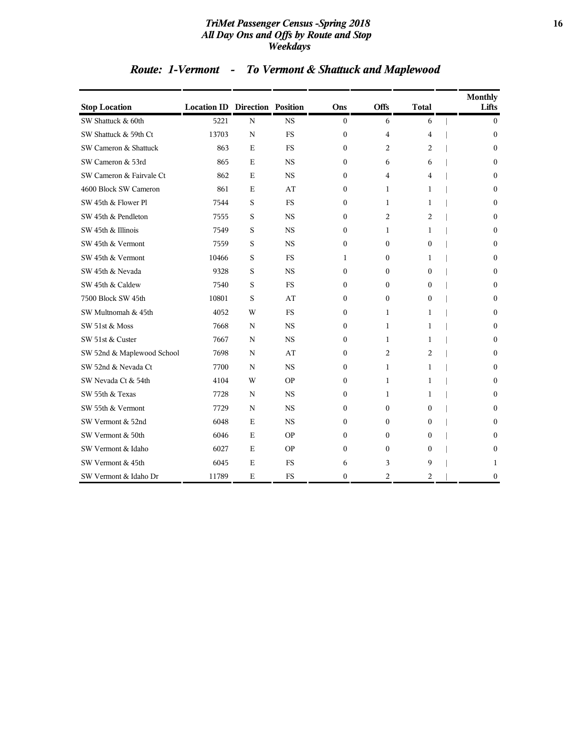#### *TriMet Passenger Census -Spring 2018* **16** *All Day Ons and Offs by Route and Stop Weekdays*

# *Route: 1-Vermont - To Vermont & Shattuck and Maplewood*

| <b>Stop Location</b>       | <b>Location ID Direction Position</b> |             |           | Ons          | <b>Offs</b> | <b>Total</b>   | <b>Monthly</b><br>Lifts |
|----------------------------|---------------------------------------|-------------|-----------|--------------|-------------|----------------|-------------------------|
| SW Shattuck & 60th         | 5221                                  | $\mathbf N$ | <b>NS</b> | $\mathbf{0}$ | 6           | 6              | $\mathbf{0}$            |
| SW Shattuck & 59th Ct      | 13703                                 | N           | <b>FS</b> | $\mathbf{0}$ | 4           | 4              | $\Omega$                |
| SW Cameron & Shattuck      | 863                                   | E           | <b>FS</b> | $\mathbf{0}$ | 2           | $\overline{c}$ | $\Omega$                |
| SW Cameron & 53rd          | 865                                   | E           | <b>NS</b> | $\mathbf{0}$ | 6           | 6              | $\Omega$                |
| SW Cameron & Fairvale Ct   | 862                                   | Ε           | <b>NS</b> | 0            | 4           | 4              | $\mathbf{0}$            |
| 4600 Block SW Cameron      | 861                                   | E           | AT        | 0            | 1           | 1              | $\Omega$                |
| SW 45th & Flower Pl        | 7544                                  | S           | <b>FS</b> | $\mathbf{0}$ | 1           | 1              | $\mathbf{0}$            |
| SW 45th & Pendleton        | 7555                                  | S           | <b>NS</b> | 0            | 2           | $\overline{c}$ | $\Omega$                |
| SW 45th & Illinois         | 7549                                  | S           | <b>NS</b> | $\mathbf{0}$ | 1           | 1              | $\Omega$                |
| SW 45th & Vermont          | 7559                                  | S           | <b>NS</b> | $\theta$     | $\Omega$    | $\Omega$       | $\Omega$                |
| SW 45th & Vermont          | 10466                                 | S           | <b>FS</b> | 1            | 0           | 1              | $\theta$                |
| SW 45th & Nevada           | 9328                                  | S           | <b>NS</b> | 0            | 0           | $\bf{0}$       | $\mathbf{0}$            |
| SW 45th & Caldew           | 7540                                  | S           | <b>FS</b> | 0            | 0           | $\mathbf{0}$   | $\mathbf{0}$            |
| 7500 Block SW 45th         | 10801                                 | S           | AT        | 0            | 0           | 0              | $\mathbf{0}$            |
| SW Multnomah & 45th        | 4052                                  | W           | <b>FS</b> | 0            | 1           | 1              | $\Omega$                |
| SW 51st & Moss             | 7668                                  | N           | <b>NS</b> | $\mathbf{0}$ | 1           | 1              | $\Omega$                |
| SW 51st & Custer           | 7667                                  | N           | <b>NS</b> | $\mathbf{0}$ | 1           | 1              | $\Omega$                |
| SW 52nd & Maplewood School | 7698                                  | N           | AT        | 0            | 2           | 2              | $\Omega$                |
| SW 52nd & Nevada Ct        | 7700                                  | N           | <b>NS</b> | 0            | 1           | 1              | $\mathbf{0}$            |
| SW Nevada Ct & 54th        | 4104                                  | W           | <b>OP</b> | 0            | 1           | 1              | $\mathbf{0}$            |
| SW 55th & Texas            | 7728                                  | N           | <b>NS</b> | $\mathbf{0}$ | 1           | 1              | $\Omega$                |
| SW 55th & Vermont          | 7729                                  | N           | <b>NS</b> | 0            | $\Omega$    | $\Omega$       | $\Omega$                |
| SW Vermont & 52nd          | 6048                                  | E           | <b>NS</b> | $\mathbf{0}$ | 0           | $\mathbf{0}$   | $\Omega$                |
| SW Vermont & 50th          | 6046                                  | E           | <b>OP</b> | $\theta$     | $\Omega$    | $\Omega$       | $\Omega$                |
| SW Vermont & Idaho         | 6027                                  | E           | <b>OP</b> | 0            | $\Omega$    | $\Omega$       | $\Omega$                |
| SW Vermont & 45th          | 6045                                  | E           | <b>FS</b> | 6            | 3           | 9              | 1                       |
| SW Vermont & Idaho Dr      | 11789                                 | Ε           | <b>FS</b> | 0            | 2           | 2              | $\mathbf{0}$            |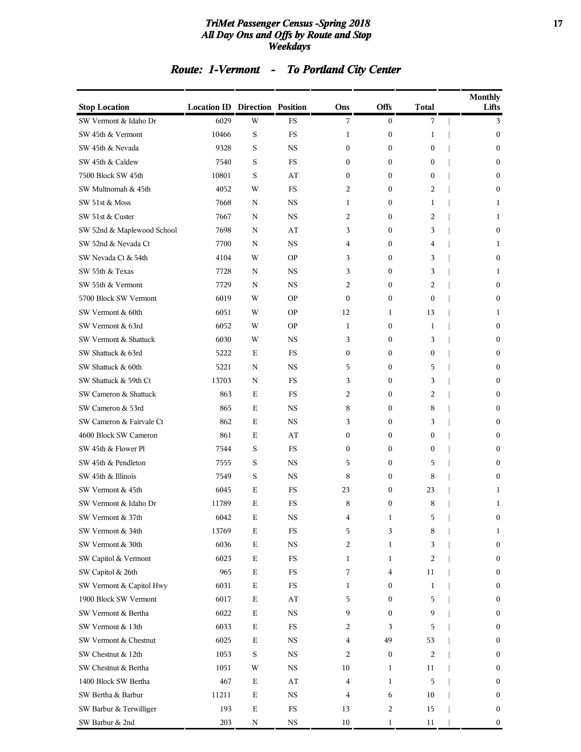#### *TriMet Passenger Census -Spring 2018* **17** *All Day Ons and Offs by Route and Stop Weekdays*

# *Route: 1-Vermont - To Portland City Center*

| <b>Stop Location</b>       | <b>Location ID Direction Position</b> |             |                        | Ons            | Offs             | Total        | <b>Monthly</b><br>Lifts |
|----------------------------|---------------------------------------|-------------|------------------------|----------------|------------------|--------------|-------------------------|
| SW Vermont & Idaho Dr      | 6029                                  | W           | FS                     | 7              | $\mathbf{0}$     | 7            | 3                       |
| SW 45th & Vermont          | 10466                                 | S           | FS                     | 1              | $\boldsymbol{0}$ | 1            | $\boldsymbol{0}$        |
| SW 45th & Nevada           | 9328                                  | S           | <b>NS</b>              | $\mathbf{0}$   | $\mathbf{0}$     | 0            | $\mathbf{0}$            |
| SW 45th & Caldew           | 7540                                  | S           | FS                     | $\mathbf{0}$   | $\boldsymbol{0}$ | $\mathbf{0}$ | $\mathbf{0}$            |
| 7500 Block SW 45th         | 10801                                 | S           | AT                     | $\mathbf{0}$   | $\boldsymbol{0}$ | $\mathbf{0}$ | $\mathbf{0}$            |
| SW Multnomah & 45th        | 4052                                  | W           | <b>FS</b>              | 2              | $\boldsymbol{0}$ | 2            | $\mathbf{0}$            |
| SW 51st & Moss             | 7668                                  | N           | <b>NS</b>              | 1              | $\boldsymbol{0}$ | 1            | 1                       |
| SW 51st & Custer           | 7667                                  | N           | <b>NS</b>              | 2              | $\boldsymbol{0}$ | 2            | 1                       |
| SW 52nd & Maplewood School | 7698                                  | N           | AT                     | 3              | $\boldsymbol{0}$ | 3            | $\mathbf{0}$            |
| SW 52nd & Nevada Ct        | 7700                                  | N           | <b>NS</b>              | 4              | $\boldsymbol{0}$ | 4            | 1                       |
| SW Nevada Ct & 54th        | 4104                                  | W           | <b>OP</b>              | 3              | $\boldsymbol{0}$ | 3            | $\mathbf{0}$            |
| SW 55th & Texas            | 7728                                  | N           | <b>NS</b>              | 3              | $\boldsymbol{0}$ | 3            | 1                       |
| SW 55th & Vermont          | 7729                                  | N           | <b>NS</b>              | 2              | $\boldsymbol{0}$ | 2            | $\mathbf{0}$            |
| 5700 Block SW Vermont      | 6019                                  | W           | <b>OP</b>              | $\mathbf{0}$   | $\boldsymbol{0}$ | $\mathbf{0}$ | $\mathbf{0}$            |
| SW Vermont & 60th          | 6051                                  | W           | <b>OP</b>              | 12             | 1                | 13           | 1                       |
| SW Vermont & 63rd          | 6052                                  | W           | <b>OP</b>              | 1              | $\boldsymbol{0}$ | 1            | $\mathbf{0}$            |
| SW Vermont & Shattuck      | 6030                                  | W           | <b>NS</b>              | 3              | $\boldsymbol{0}$ | 3            | $\mathbf{0}$            |
| SW Shattuck & 63rd         | 5222                                  | Ε           | <b>FS</b>              | $\mathbf{0}$   | $\boldsymbol{0}$ | 0            | $\mathbf{0}$            |
| SW Shattuck & 60th         | 5221                                  | N           | <b>NS</b>              | 5              | $\boldsymbol{0}$ | 5            | $\mathbf{0}$            |
| SW Shattuck & 59th Ct      | 13703                                 | N           | FS                     | 3              | $\boldsymbol{0}$ | 3            | $\mathbf{0}$            |
| SW Cameron & Shattuck      | 863                                   | Ε           | FS                     | 2              | $\boldsymbol{0}$ | 2            | $\mathbf{0}$            |
| SW Cameron & 53rd          | 865                                   | Ε           | <b>NS</b>              | 8              | $\boldsymbol{0}$ | 8            | $\mathbf{0}$            |
| SW Cameron & Fairvale Ct   | 862                                   | Ε           | <b>NS</b>              | 3              | $\boldsymbol{0}$ | 3            | $\mathbf{0}$            |
| 4600 Block SW Cameron      | 861                                   | Ε           | AT                     | $\mathbf{0}$   | $\boldsymbol{0}$ | $\mathbf{0}$ | $\mathbf{0}$            |
| SW 45th & Flower Pl        | 7544                                  | S           | FS                     | $\mathbf{0}$   | $\boldsymbol{0}$ | $\mathbf{0}$ | $\mathbf{0}$            |
| SW 45th & Pendleton        | 7555                                  | S           | <b>NS</b>              | 5              | $\boldsymbol{0}$ | 5            | $\mathbf{0}$            |
| SW 45th & Illinois         | 7549                                  | S           | <b>NS</b>              | 8              | $\boldsymbol{0}$ | 8            | $\mathbf{0}$            |
| SW Vermont & 45th          | 6045                                  | Ε           | FS                     | 23             | $\boldsymbol{0}$ | 23           | 1                       |
| SW Vermont & Idaho Dr      | 11789                                 | E           | FS                     | 8              | $\boldsymbol{0}$ | 8            | 1                       |
| SW Vermont & 37th          | 6042                                  | Ε           | NS                     | 4              | 1                | 5            | 0                       |
| SW Vermont & 34th          | 13769                                 | $\mathbf E$ | $_{\rm FS}$            | 5              | 3                | 8            | 1                       |
| SW Vermont & 30th          | 6036                                  | $\mathbf E$ | $_{\rm NS}$            | 2              | 1                | 3            | $\bf{0}$                |
| SW Capitol & Vermont       | 6023                                  | Ε           | $_{\rm FS}$            | 1              | 1                | 2            | $\boldsymbol{0}$        |
| SW Capitol & 26th          | 965                                   | $\mathbf E$ | $_{\rm FS}$            | 7              | 4                | 11           | $\bf{0}$                |
| SW Vermont & Capitol Hwy   | 6031                                  | Ε           | $_{\rm FS}$            | 1              | $\boldsymbol{0}$ | 1            | 0                       |
| 1900 Block SW Vermont      | 6017                                  | $\mathbf E$ | AT                     | 5              | $\boldsymbol{0}$ | 5            | $\bf{0}$                |
| SW Vermont & Bertha        | 6022                                  | $\mathbf E$ | $_{\rm NS}$            | 9              | $\boldsymbol{0}$ | 9            | 0                       |
| SW Vermont & 13th          | 6033                                  | Ε           | $_{\rm FS}$            | 2              | 3                | 5            | $\boldsymbol{0}$        |
| SW Vermont & Chestnut      | 6025                                  | $\mathbf E$ | $_{\rm NS}$            | 4              | 49               | 53           | $\bf{0}$                |
| SW Chestnut & 12th         | 1053                                  | $\mathbf S$ | $_{\rm NS}$            | 2              | $\bf{0}$         | 2            | 0                       |
| SW Chestnut & Bertha       | 1051                                  | W           | $_{\rm NS}$            | 10             | 1                | 11           | $\bf{0}$                |
| 1400 Block SW Bertha       | 467                                   | $\mathbf E$ | $\mathbf{A}\mathbf{T}$ | 4              | 1                | 5            | 0                       |
| SW Bertha & Barbur         | 11211                                 | $\mathbf E$ | $_{\rm NS}$            | $\overline{4}$ | 6                | 10           | $\boldsymbol{0}$        |
| SW Barbur & Terwilliger    | 193                                   | $\mathbf E$ | ${\rm FS}$             | 13             | 2                | 15           | 0                       |
| SW Barbur & 2nd            | 203                                   | N           | $_{\rm NS}$            | 10             | 1                | 11           | $\boldsymbol{0}$        |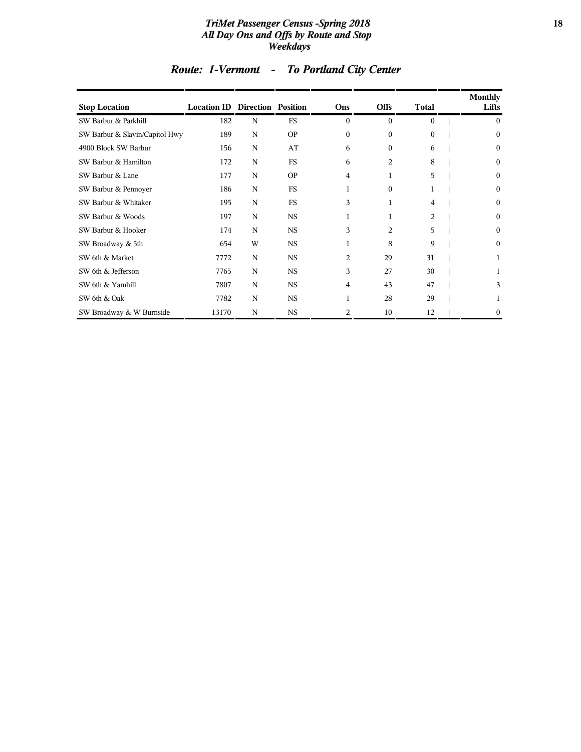#### *TriMet Passenger Census -Spring 2018* **18** *All Day Ons and Offs by Route and Stop Weekdays*

| <b>Stop Location</b>           | <b>Location ID Direction Position</b> |             |             | Ons            | <b>Offs</b>  | <b>Total</b> | Monthly<br>Lifts |
|--------------------------------|---------------------------------------|-------------|-------------|----------------|--------------|--------------|------------------|
| SW Barbur & Parkhill           | 182                                   | N           | <b>FS</b>   | $\Omega$       | $\mathbf{0}$ | $\mathbf{0}$ | $\mathbf{0}$     |
| SW Barbur & Slavin/Capitol Hwy | 189                                   | N           | <b>OP</b>   | $\theta$       | $\theta$     | $\Omega$     | $\mathbf{0}$     |
| 4900 Block SW Barbur           | 156                                   | N           | AT          | 6              | $\Omega$     | 6            | 0                |
| SW Barbur & Hamilton           | 172                                   | N           | <b>FS</b>   | 6              | 2            | 8            | 0                |
| SW Barbur & Lane               | 177                                   | $\mathbf N$ | <b>OP</b>   | $\overline{4}$ | 1            | 5            | $\boldsymbol{0}$ |
| SW Barbur & Pennoyer           | 186                                   | $\mathbf N$ | <b>FS</b>   | 1              | $\Omega$     |              | 0                |
| SW Barbur & Whitaker           | 195                                   | N           | <b>FS</b>   | 3              |              | 4            | 0                |
| SW Barbur & Woods              | 197                                   | N           | <b>NS</b>   |                |              | 2            | 0                |
| SW Barbur & Hooker             | 174                                   | N           | $_{\rm NS}$ | 3              | 2            | 5            | 0                |
| SW Broadway & 5th              | 654                                   | W           | <b>NS</b>   | 1              | 8            | 9            | 0                |
| SW 6th & Market                | 7772                                  | N           | <b>NS</b>   | 2              | 29           | 31           |                  |
| SW 6th & Jefferson             | 7765                                  | N           | <b>NS</b>   | 3              | 27           | 30           |                  |
| SW 6th & Yamhill               | 7807                                  | N           | <b>NS</b>   | $\overline{4}$ | 43           | 47           | 3                |
| SW 6th & Oak                   | 7782                                  | $\mathbf N$ | $_{\rm NS}$ | $\mathbf{1}$   | 28           | 29           |                  |
| SW Broadway & W Burnside       | 13170                                 | N           | <b>NS</b>   | 2              | 10           | 12           | 0                |

# *Route: 1-Vermont - To Portland City Center*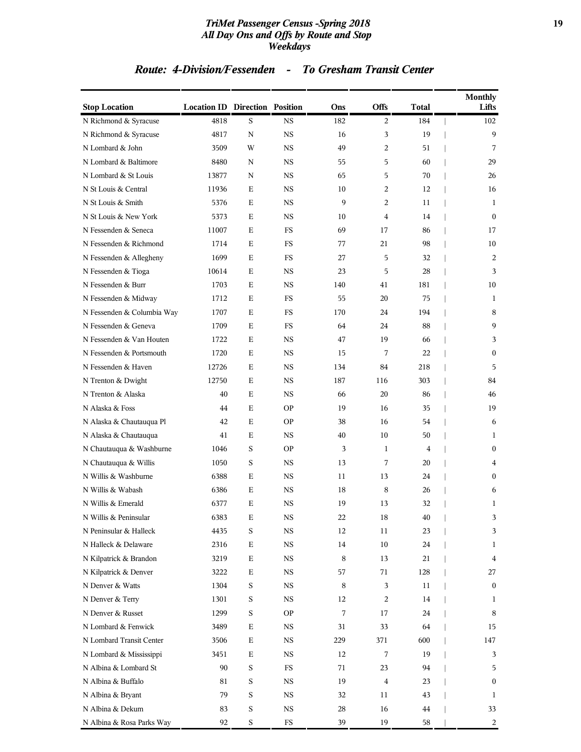#### *TriMet Passenger Census -Spring 2018* **19** *All Day Ons and Offs by Route and Stop Weekdays*

| <b>Stop Location</b>       | <b>Location ID Direction Position</b> |             |           | Ons | <b>Offs</b>    | <b>Total</b> | <b>Monthly</b><br>Lifts |
|----------------------------|---------------------------------------|-------------|-----------|-----|----------------|--------------|-------------------------|
| N Richmond & Syracuse      | 4818                                  | S           | NS        | 182 | 2              | 184          | 102                     |
| N Richmond & Syracuse      | 4817                                  | N           | NS        | 16  | 3              | 19           | 9                       |
| N Lombard & John           | 3509                                  | W           | <b>NS</b> | 49  | 2              | 51           | 7                       |
| N Lombard & Baltimore      | 8480                                  | N           | <b>NS</b> | 55  | 5              | 60           | 29                      |
| N Lombard & St Louis       | 13877                                 | N           | NS        | 65  | 5              | 70           | 26                      |
| N St Louis & Central       | 11936                                 | Ε           | <b>NS</b> | 10  | 2              | 12           | 16                      |
| N St Louis & Smith         | 5376                                  | Ε           | <b>NS</b> | 9   | $\overline{c}$ | 11           | 1                       |
| N St Louis & New York      | 5373                                  | Ε           | NS        | 10  | 4              | 14           | $\mathbf{0}$            |
| N Fessenden & Seneca       | 11007                                 | E           | <b>FS</b> | 69  | 17             | 86           | 17                      |
| N Fessenden & Richmond     | 1714                                  | E           | FS        | 77  | 21             | 98           | 10                      |
| N Fessenden & Allegheny    | 1699                                  | E           | FS        | 27  | 5              | 32           | 2                       |
| N Fessenden & Tioga        | 10614                                 | E           | <b>NS</b> | 23  | 5              | 28           | 3                       |
| N Fessenden & Burr         | 1703                                  | Ε           | NS        | 140 | 41             | 181          | 10                      |
| N Fessenden & Midway       | 1712                                  | E           | <b>FS</b> | 55  | 20             | 75           | 1                       |
| N Fessenden & Columbia Way | 1707                                  | E           | FS        | 170 | 24             | 194          | 8                       |
| N Fessenden & Geneva       | 1709                                  | E           | FS        | 64  | 24             | 88           | 9                       |
| N Fessenden & Van Houten   | 1722                                  | E           | <b>NS</b> | 47  | 19             | 66           | 3                       |
| N Fessenden & Portsmouth   | 1720                                  | Ε           | NS        | 15  | 7              | 22           | $\mathbf{0}$            |
| N Fessenden & Haven        | 12726                                 | E           | <b>NS</b> | 134 | 84             | 218          | 5                       |
| N Trenton & Dwight         | 12750                                 | E           | NS        | 187 | 116            | 303          | 84                      |
| N Trenton & Alaska         | 40                                    | Ε           | NS        | 66  | 20             | 86           | 46                      |
| N Alaska & Foss            | 44                                    | E           | <b>OP</b> | 19  | 16             | 35           | 19                      |
| N Alaska & Chautauqua Pl   | 42                                    | Ε           | <b>OP</b> | 38  | 16             | 54           | 6                       |
| N Alaska & Chautauqua      | 41                                    | E           | <b>NS</b> | 40  | 10             | 50           | $\mathbf{1}$            |
| N Chautauqua & Washburne   | 1046                                  | S           | <b>OP</b> | 3   | 1              | 4            | $\mathbf{0}$            |
| N Chautauqua & Willis      | 1050                                  | S           | NS        | 13  | 7              | 20           | 4                       |
| N Willis & Washburne       | 6388                                  | Ε           | <b>NS</b> | 11  | 13             | 24           | $\mathbf{0}$            |
| N Willis & Wabash          | 6386                                  | Ε           | NS        | 18  | 8              | 26           | 6                       |
| N Willis & Emerald         | 6377                                  | E           | <b>NS</b> | 19  | 13             | 32           | 1                       |
| N Willis & Peninsular      | 6383                                  | Ε           | NS        | 22  | 18             | 40           | 3                       |
| N Peninsular & Halleck     | 4435                                  | $\mathbf S$ | NS        | 12  | 11             | 23           | 3                       |
| N Halleck & Delaware       | 2316                                  | $\mathbf E$ | NS        | 14  | $10\,$         | 24           | $\mathbf{1}$            |
| N Kilpatrick & Brandon     | 3219                                  | Ε           | NS        | 8   | 13             | 21           | 4                       |
| N Kilpatrick & Denver      | 3222                                  | $\mathbf E$ | NS        | 57  | 71             | 128          | 27                      |
| N Denver & Watts           | 1304                                  | $\mathbf S$ | NS        | 8   | 3              | 11           | $\bf{0}$                |
| N Denver & Terry           | 1301                                  | $\mathbf S$ | NS        | 12  | 2              | 14           | 1                       |
| N Denver & Russet          | 1299                                  | $\mathbf S$ | <b>OP</b> | 7   | 17             | 24           | 8                       |
| N Lombard & Fenwick        | 3489                                  | Ε           | NS        | 31  | 33             | 64           | 15                      |
| N Lombard Transit Center   | 3506                                  | $\mathbf E$ | NS        | 229 | 371            | 600          | 147                     |
| N Lombard & Mississippi    | 3451                                  | Ε           | NS        | 12  | 7              | 19           | 3                       |
| N Albina & Lombard St      | 90                                    | $\mathbf S$ | FS        | 71  | 23             | 94           | 5                       |
| N Albina & Buffalo         | 81                                    | $\mathbf S$ | NS        | 19  | $\bf 4$        | 23           | 0                       |
| N Albina & Bryant          | 79                                    | $\mathbf S$ | NS        | 32  | 11             | 43           | $\mathbf{1}$            |
| N Albina & Dekum           | 83                                    | $\mathbf S$ | NS        | 28  | 16             | 44           | 33                      |
| N Albina & Rosa Parks Way  | 92                                    | $\mathbf S$ | FS        | 39  | 19             | 58           | 2                       |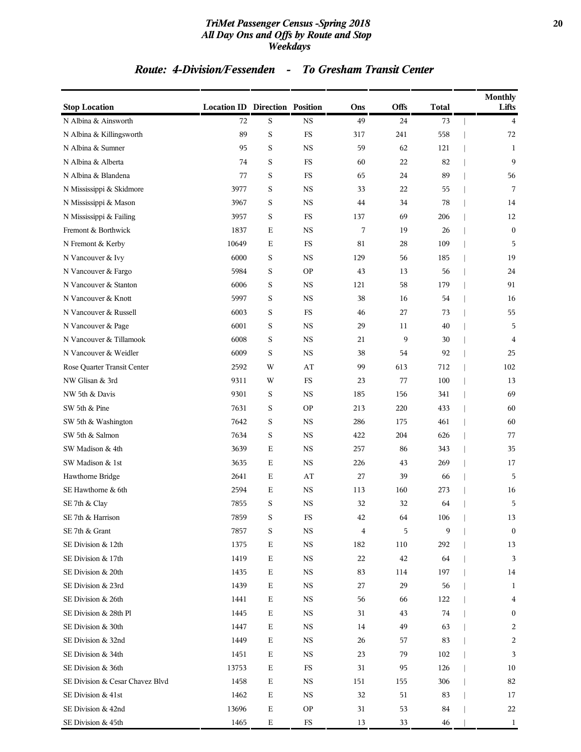#### *TriMet Passenger Census -Spring 2018* **20** *All Day Ons and Offs by Route and Stop Weekdays*

| <b>Stop Location</b>            | <b>Location ID Direction Position</b> |             |             | Ons | <b>Offs</b> | <b>Total</b> | <b>Monthly</b><br>Lifts |
|---------------------------------|---------------------------------------|-------------|-------------|-----|-------------|--------------|-------------------------|
| N Albina & Ainsworth            | 72                                    | S           | NS          | 49  | 24          | 73           | $\overline{4}$          |
| N Albina & Killingsworth        | 89                                    | $\rm S$     | ${\rm FS}$  | 317 | 241         | 558          | 72                      |
| N Albina & Sumner               | 95                                    | S           | <b>NS</b>   | 59  | 62          | 121          | 1                       |
| N Albina & Alberta              | 74                                    | $\rm S$     | FS          | 60  | $22\,$      | 82           | 9                       |
| N Albina & Blandena             | 77                                    | S           | FS          | 65  | 24          | 89           | 56                      |
| N Mississippi & Skidmore        | 3977                                  | S           | <b>NS</b>   | 33  | 22          | 55           | 7                       |
| N Mississippi & Mason           | 3967                                  | S           | <b>NS</b>   | 44  | 34          | 78           | 14                      |
| N Mississippi & Failing         | 3957                                  | S           | FS          | 137 | 69          | 206          | 12                      |
| Fremont & Borthwick             | 1837                                  | $\mathbf E$ | <b>NS</b>   | 7   | 19          | 26           | $\mathbf{0}$            |
| N Fremont & Kerby               | 10649                                 | Е           | FS          | 81  | 28          | 109          | 5                       |
| N Vancouver & Ivy               | 6000                                  | S           | <b>NS</b>   | 129 | 56          | 185          | 19                      |
| N Vancouver & Fargo             | 5984                                  | $\rm S$     | <b>OP</b>   | 43  | 13          | 56           | 24                      |
| N Vancouver & Stanton           | 6006                                  | S           | <b>NS</b>   | 121 | 58          | 179          | 91                      |
| N Vancouver & Knott             | 5997                                  | $\rm S$     | <b>NS</b>   | 38  | 16          | 54           | 16                      |
| N Vancouver & Russell           | 6003                                  | S           | FS          | 46  | 27          | 73           | 55                      |
| N Vancouver & Page              | 6001                                  | S           | <b>NS</b>   | 29  | 11          | 40           | 5                       |
| N Vancouver & Tillamook         | 6008                                  | S           | <b>NS</b>   | 21  | 9           | 30           | 4                       |
| N Vancouver & Weidler           | 6009                                  | S           | <b>NS</b>   | 38  | 54          | 92           | 25                      |
| Rose Quarter Transit Center     | 2592                                  | W           | AT          | 99  | 613         | 712          | 102                     |
| NW Glisan & 3rd                 | 9311                                  | W           | FS          | 23  | 77          | 100          | 13                      |
| NW 5th & Davis                  | 9301                                  | S           | <b>NS</b>   | 185 | 156         | 341          | 69                      |
| SW 5th & Pine                   | 7631                                  | S           | <b>OP</b>   | 213 | 220         | 433          | 60                      |
| SW 5th & Washington             | 7642                                  | S           | <b>NS</b>   | 286 | 175         | 461          | 60                      |
| SW 5th & Salmon                 | 7634                                  | $\rm S$     | $_{\rm NS}$ | 422 | 204         | 626          | 77                      |
| SW Madison & 4th                | 3639                                  | $\mathbf E$ | $_{\rm NS}$ | 257 | 86          | 343          | 35                      |
| SW Madison & 1st                | 3635                                  | $\mathbf E$ | <b>NS</b>   | 226 | 43          | 269          | 17                      |
| Hawthorne Bridge                | 2641                                  | $\mathbf E$ | AT          | 27  | 39          | 66           | 5                       |
| SE Hawthorne & 6th              | 2594                                  | $\mathbf E$ | <b>NS</b>   | 113 | 160         | 273          | 16                      |
| SE 7th & Clay                   | 7855                                  | $\rm S$     | <b>NS</b>   | 32  | 32          | 64           | 5                       |
| SE 7th & Harrison               | 7859                                  | S           | FS          | 42  | 64          | 106          | 13                      |
| SE 7th & Grant                  | 7857                                  | S           | NS          | 4   | 5           | 9            | $\boldsymbol{0}$        |
| SE Division & 12th              | 1375                                  | E           | $_{\rm NS}$ | 182 | 110         | 292          | 13                      |
| SE Division & 17th              | 1419                                  | Ε           | $_{\rm NS}$ | 22  | 42          | 64           | 3                       |
| SE Division & 20th              | 1435                                  | ${\bf E}$   | NS          | 83  | 114         | 197          | 14                      |
| SE Division & 23rd              | 1439                                  | Е           | NS          | 27  | 29          | 56           | 1                       |
| SE Division & 26th              | 1441                                  | Ε           | NS          | 56  | 66          | 122          | $\overline{\mathbf{4}}$ |
| SE Division & 28th Pl           | 1445                                  | Ε           | $_{\rm NS}$ | 31  | 43          | 74           | $\bf{0}$                |
| SE Division & 30th              | 1447                                  | Ε           | NS          | 14  | 49          | 63           | 2                       |
| SE Division & 32nd              | 1449                                  | Ε           | NS          | 26  | 57          | 83           | 2                       |
| SE Division & 34th              | 1451                                  | Ε           | NS          | 23  | 79          | 102          | 3                       |
| SE Division & 36th              | 13753                                 | Ε           | FS          | 31  | 95          | 126          | 10                      |
| SE Division & Cesar Chavez Blvd | 1458                                  | Ε           | $_{\rm NS}$ | 151 | 155         | 306          | 82                      |
| SE Division & 41st              | 1462                                  | Ε           | NS          | 32  | 51          | 83           | 17                      |
| SE Division & 42nd              | 13696                                 | ${\bf E}$   | <b>OP</b>   | 31  | 53          | 84           | 22                      |
| SE Division & 45th              | 1465                                  | Е           | $_{\rm FS}$ | 13  | 33          | 46           | 1                       |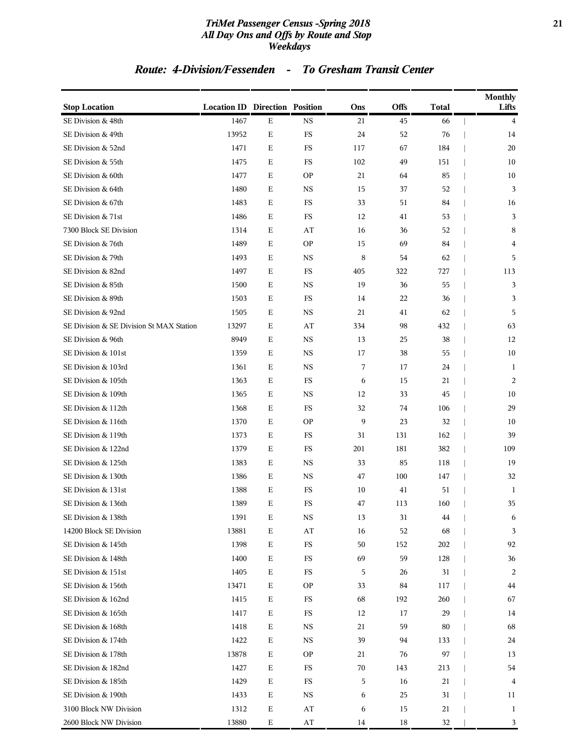#### *TriMet Passenger Census -Spring 2018* **21** *All Day Ons and Offs by Route and Stop Weekdays*

| <b>Stop Location</b>                     | <b>Location ID Direction Position</b> |             |             | Ons | Offs | <b>Total</b> | <b>Monthly</b><br>Lifts |
|------------------------------------------|---------------------------------------|-------------|-------------|-----|------|--------------|-------------------------|
| SE Division & 48th                       | 1467                                  | E           | $_{\rm NS}$ | 21  | 45   | 66           | $\overline{4}$          |
| SE Division & 49th                       | 13952                                 | $\mathbf E$ | FS          | 24  | 52   | 76           | 14                      |
| SE Division & 52nd                       | 1471                                  | Ε           | FS          | 117 | 67   | 184          | 20                      |
| SE Division & 55th                       | 1475                                  | Ε           | FS          | 102 | 49   | 151          | 10                      |
| SE Division & 60th                       | 1477                                  | Ε           | <b>OP</b>   | 21  | 64   | 85           | 10                      |
| SE Division & 64th                       | 1480                                  | $\mathbf E$ | <b>NS</b>   | 15  | 37   | 52           | 3                       |
| SE Division & 67th                       | 1483                                  | $\mathbf E$ | FS          | 33  | 51   | 84           | 16                      |
| SE Division & 71st                       | 1486                                  | Ε           | FS          | 12  | 41   | 53           | 3                       |
| 7300 Block SE Division                   | 1314                                  | Ε           | AT          | 16  | 36   | 52           | 8                       |
| SE Division & 76th                       | 1489                                  | Ε           | <b>OP</b>   | 15  | 69   | 84           | 4                       |
| SE Division & 79th                       | 1493                                  | $\mathbf E$ | <b>NS</b>   | 8   | 54   | 62           | 5                       |
| SE Division & 82nd                       | 1497                                  | $\mathbf E$ | FS          | 405 | 322  | 727          | 113                     |
| SE Division & 85th                       | 1500                                  | Ε           | <b>NS</b>   | 19  | 36   | 55           | 3                       |
| SE Division & 89th                       | 1503                                  | Ε           | FS          | 14  | 22   | 36           | 3                       |
| SE Division & 92nd                       | 1505                                  | Ε           | <b>NS</b>   | 21  | 41   | 62           | 5                       |
| SE Division & SE Division St MAX Station | 13297                                 | $\mathbf E$ | AT          | 334 | 98   | 432          | 63                      |
| SE Division & 96th                       | 8949                                  | $\mathbf E$ | <b>NS</b>   | 13  | 25   | 38           | 12                      |
| SE Division & 101st                      | 1359                                  | Ε           | <b>NS</b>   | 17  | 38   | 55           | 10                      |
| SE Division & 103rd                      | 1361                                  | Ε           | <b>NS</b>   | 7   | 17   | 24           | 1                       |
| SE Division & 105th                      | 1363                                  | Ε           | FS          | 6   | 15   | 21           | 2                       |
| SE Division & 109th                      | 1365                                  | $\mathbf E$ | <b>NS</b>   | 12  | 33   | 45           | 10                      |
| SE Division & 112th                      | 1368                                  | $\mathbf E$ | FS          | 32  | 74   | 106          | 29                      |
| SE Division & 116th                      | 1370                                  | $\mathbf E$ | <b>OP</b>   | 9   | 23   | 32           | 10                      |
| SE Division & 119th                      | 1373                                  | Ε           | FS          | 31  | 131  | 162          | 39                      |
| SE Division & 122nd                      | 1379                                  | Ε           | FS          | 201 | 181  | 382          | 109                     |
| SE Division & 125th                      | 1383                                  | $\mathbf E$ | <b>NS</b>   | 33  | 85   | 118          | 19                      |
| SE Division & 130th                      | 1386                                  | $\mathbf E$ | <b>NS</b>   | 47  | 100  | 147          | 32                      |
| SE Division & 131st                      | 1388                                  | Ε           | FS          | 10  | 41   | 51           | 1                       |
| SE Division & 136th                      | 1389                                  | Ε           | FS          | 47  | 113  | 160          | 35                      |
| SE Division & 138th                      | 1391                                  | Е           | NS          | 13  | 31   | 44           | 6                       |
| 14200 Block SE Division                  | 13881                                 | $\mathbf E$ | AT          | 16  | 52   | 68           | 3                       |
| SE Division & 145th                      | 1398                                  | $\mathbf E$ | $_{\rm FS}$ | 50  | 152  | 202          | 92                      |
| SE Division & 148th                      | 1400                                  | Е           | FS          | 69  | 59   | 128          | 36                      |
| SE Division & 151st                      | 1405                                  | $\mathbf E$ | FS          | 5   | 26   | 31           | 2                       |
| SE Division & 156th                      | 13471                                 | Ε           | OP          | 33  | 84   | 117          | 44                      |
| SE Division & 162nd                      | 1415                                  | $\mathbf E$ | $_{\rm FS}$ | 68  | 192  | 260          | 67                      |
| SE Division & 165th                      | 1417                                  | ${\bf E}$   | FS          | 12  | 17   | 29           | 14                      |
| SE Division & 168th                      | 1418                                  | Ε           | NS          | 21  | 59   | 80           | 68                      |
| SE Division & 174th                      | 1422                                  | $\mathbf E$ | NS          | 39  | 94   | 133          | 24                      |
| SE Division & 178th                      | 13878                                 | Ε           | OP          | 21  | 76   | 97           | 13                      |
| SE Division & 182nd                      | 1427                                  | $\mathbf E$ | $_{\rm FS}$ | 70  | 143  | 213          | 54                      |
| SE Division & 185th                      | 1429                                  | $\mathbf E$ | $_{\rm FS}$ | 5   | 16   | 21           | 4                       |
| SE Division & 190th                      | 1433                                  | Ε           | NS          | 6   | 25   | 31           | 11                      |
| 3100 Block NW Division                   | 1312                                  | $\mathbf E$ | AT          | 6   | 15   | 21           | 1                       |
| 2600 Block NW Division                   | 13880                                 | $\mathbf E$ | AT          | 14  | 18   | 32           | 3                       |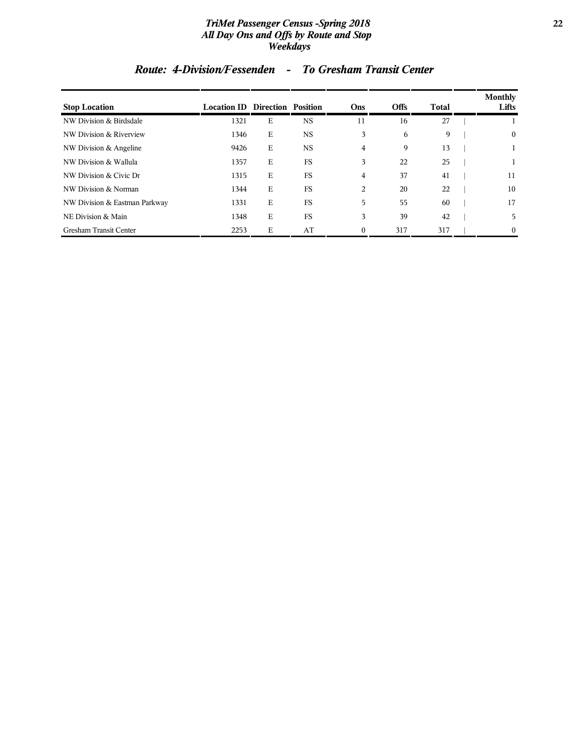#### *TriMet Passenger Census -Spring 2018* **22** *All Day Ons and Offs by Route and Stop Weekdays*

| <b>Stop Location</b>          | <b>Location ID Direction Position</b> |   |           | Ons            | <b>Offs</b> | <b>Total</b> | <b>Monthly</b><br>Lifts |
|-------------------------------|---------------------------------------|---|-----------|----------------|-------------|--------------|-------------------------|
| NW Division & Birdsdale       | 1321                                  | Е | <b>NS</b> | 11             | 16          | 27           |                         |
| NW Division & Riverview       | 1346                                  | E | <b>NS</b> | 3              | 6           | 9            | $\bf{0}$                |
| NW Division & Angeline        | 9426                                  | E | <b>NS</b> | $\overline{4}$ | 9           | 13           |                         |
| NW Division & Wallula         | 1357                                  | E | <b>FS</b> | 3              | 22          | 25           |                         |
| NW Division & Civic Dr        | 1315                                  | E | <b>FS</b> | $\overline{4}$ | 37          | 41           | 11                      |
| NW Division & Norman          | 1344                                  | E | <b>FS</b> | 2              | 20          | 22           | 10                      |
| NW Division & Eastman Parkway | 1331                                  | E | <b>FS</b> | 5              | 55          | 60           | 17                      |
| NE Division & Main            | 1348                                  | E | <b>FS</b> | 3              | 39          | 42           | 5                       |
| <b>Gresham Transit Center</b> | 2253                                  | E | AT        | $\Omega$       | 317         | 317          | $\overline{0}$          |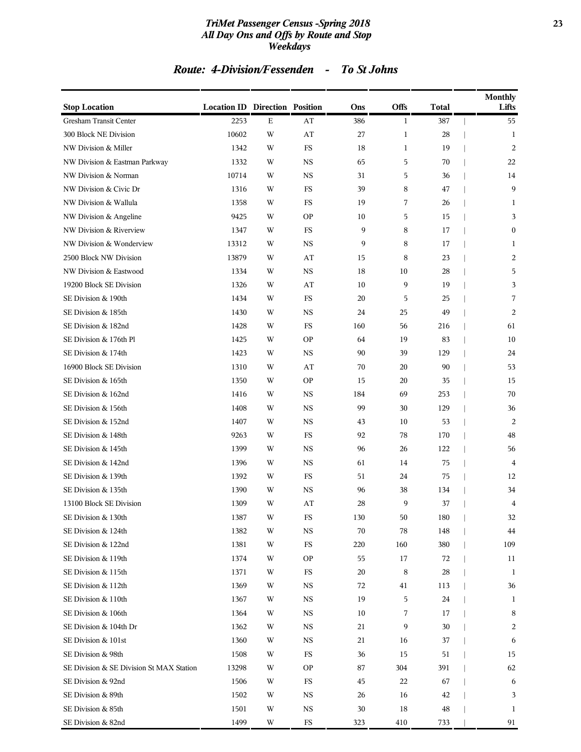#### *TriMet Passenger Census -Spring 2018* **23** *All Day Ons and Offs by Route and Stop Weekdays*

| <b>Stop Location</b>                     | <b>Location ID Direction Position</b> |             |             | Ons    | Offs         | <b>Total</b> | <b>Monthly</b><br>Lifts |
|------------------------------------------|---------------------------------------|-------------|-------------|--------|--------------|--------------|-------------------------|
| Gresham Transit Center                   | 2253                                  | $\mathbf E$ | AT          | 386    | 1            | 387          | 55                      |
| 300 Block NE Division                    | 10602                                 | W           | AT          | 27     | $\mathbf{1}$ | 28           | 1                       |
| NW Division & Miller                     | 1342                                  | W           | <b>FS</b>   | 18     | $\mathbf{1}$ | 19           | 2                       |
| NW Division & Eastman Parkway            | 1332                                  | W           | <b>NS</b>   | 65     | 5            | 70           | 22                      |
| NW Division & Norman                     | 10714                                 | W           | <b>NS</b>   | 31     | 5            | 36           | 14                      |
| NW Division & Civic Dr                   | 1316                                  | W           | FS          | 39     | 8            | 47           | 9                       |
| NW Division & Wallula                    | 1358                                  | W           | FS          | 19     | 7            | 26           | 1                       |
| NW Division & Angeline                   | 9425                                  | W           | <b>OP</b>   | 10     | 5            | 15           | 3                       |
| NW Division & Riverview                  | 1347                                  | W           | FS          | 9      | 8            | 17           | $\boldsymbol{0}$        |
| NW Division & Wonderview                 | 13312                                 | W           | <b>NS</b>   | 9      | 8            | 17           | 1                       |
| 2500 Block NW Division                   | 13879                                 | W           | AT          | 15     | 8            | 23           | 2                       |
| NW Division & Eastwood                   | 1334                                  | W           | <b>NS</b>   | 18     | 10           | 28           | 5                       |
| 19200 Block SE Division                  | 1326                                  | W           | AT          | 10     | 9            | 19           | 3                       |
| SE Division & 190th                      | 1434                                  | W           | FS          | 20     | 5            | 25           | 7                       |
| SE Division & 185th                      | 1430                                  | W           | <b>NS</b>   | 24     | 25           | 49           | 2                       |
| SE Division & 182nd                      | 1428                                  | W           | FS          | 160    | 56           | 216          | 61                      |
| SE Division & 176th Pl                   | 1425                                  | W           | <b>OP</b>   | 64     | 19           | 83           | 10                      |
| SE Division & 174th                      | 1423                                  | W           | <b>NS</b>   | 90     | 39           | 129          | 24                      |
| 16900 Block SE Division                  | 1310                                  | W           | AT          | 70     | 20           | 90           | 53                      |
| SE Division & 165th                      | 1350                                  | W           | <b>OP</b>   | 15     | 20           | 35           | 15                      |
| SE Division & 162nd                      | 1416                                  | W           | <b>NS</b>   | 184    | 69           | 253          | 70                      |
| SE Division & 156th                      | 1408                                  | W           | <b>NS</b>   | 99     | 30           | 129          | 36                      |
| SE Division & 152nd                      | 1407                                  | W           | <b>NS</b>   | 43     | 10           | 53           | 2                       |
| SE Division & 148th                      | 9263                                  | W           | <b>FS</b>   | 92     | 78           | 170          | 48                      |
| SE Division & 145th                      | 1399                                  | W           | <b>NS</b>   | 96     | 26           | 122          | 56                      |
| SE Division & 142nd                      | 1396                                  | W           | <b>NS</b>   | 61     | 14           | 75           | 4                       |
| SE Division & 139th                      | 1392                                  | W           | FS          | 51     | 24           | 75           | 12                      |
| SE Division & 135th                      | 1390                                  | W           | <b>NS</b>   | 96     | 38           | 134          | 34                      |
| 13100 Block SE Division                  | 1309                                  | W           | AT          | 28     | 9            | 37           | 4                       |
| SE Division & 130th                      | 1387                                  | W           | FS          | 130    | 50           | 180          | 32                      |
| SE Division & 124th                      | 1382                                  | W           | NS          | 70     | 78           | 148          | 44                      |
| SE Division & 122nd                      | 1381                                  | W           | $_{\rm FS}$ | 220    | 160          | 380          | 109                     |
| SE Division & 119th                      | 1374                                  | W           | <b>OP</b>   | 55     | 17           | 72           | 11                      |
| SE Division & 115th                      | 1371                                  | W           | FS          | 20     | 8            | 28           | 1                       |
| SE Division & 112th                      | 1369                                  | W           | NS          | 72     | 41           | 113          | 36                      |
| SE Division & 110th                      | 1367                                  | W           | NS          | 19     | 5            | 24           | 1                       |
| SE Division & 106th                      | 1364                                  | W           | NS          | 10     | 7            | 17           | 8                       |
| SE Division & 104th Dr                   | 1362                                  | W           | NS          | 21     | 9            | 30           | 2                       |
| SE Division & 101st                      | 1360                                  | W           | NS          | 21     | 16           | 37           | 6                       |
| SE Division & 98th                       | 1508                                  | W           | FS          | 36     | 15           | 51           | 15                      |
| SE Division & SE Division St MAX Station | 13298                                 | W           | <b>OP</b>   | 87     | 304          | 391          | 62                      |
| SE Division & 92nd                       | 1506                                  | W           | $_{\rm FS}$ | 45     | 22           | 67           | 6                       |
| SE Division & 89th                       | 1502                                  | W           | $_{\rm NS}$ | 26     | 16           | 42           | 3                       |
| SE Division & 85th                       | 1501                                  | W           | NS          | $30\,$ | 18           | 48           | 1                       |
| SE Division & 82nd                       | 1499                                  | W           | $_{\rm FS}$ | 323    | 410          | 733          | 91                      |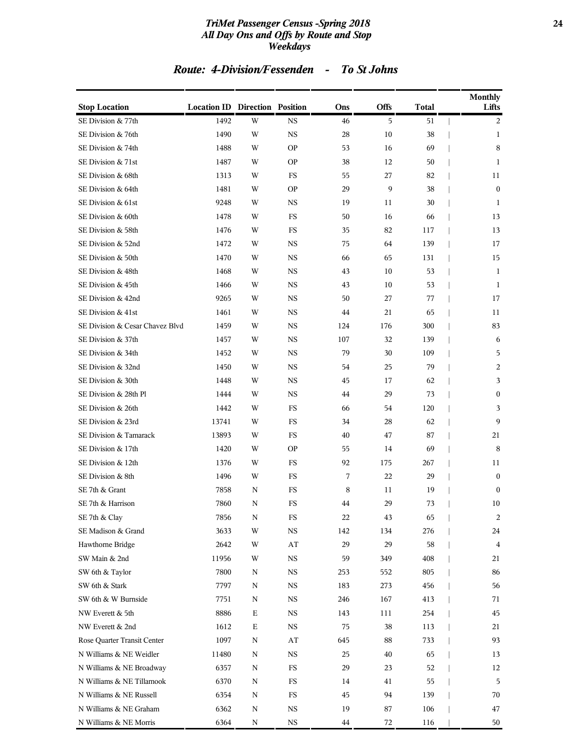#### *TriMet Passenger Census -Spring 2018* **24** *All Day Ons and Offs by Route and Stop Weekdays*

| <b>Stop Location</b>            | <b>Location ID Direction Position</b> |             |             | Ons | Offs | <b>Total</b> | <b>Monthly</b><br>Lifts |
|---------------------------------|---------------------------------------|-------------|-------------|-----|------|--------------|-------------------------|
| SE Division & 77th              | 1492                                  | W           | <b>NS</b>   | 46  | 5    | 51           | 2                       |
| SE Division & 76th              | 1490                                  | W           | <b>NS</b>   | 28  | 10   | 38           | 1                       |
| SE Division & 74th              | 1488                                  | W           | <b>OP</b>   | 53  | 16   | 69           | 8                       |
| SE Division & 71st              | 1487                                  | W           | <b>OP</b>   | 38  | 12   | 50           | 1                       |
| SE Division & 68th              | 1313                                  | W           | FS          | 55  | 27   | 82           | 11                      |
| SE Division & 64th              | 1481                                  | W           | <b>OP</b>   | 29  | 9    | 38           | $\mathbf{0}$            |
| SE Division & 61st              | 9248                                  | W           | <b>NS</b>   | 19  | 11   | 30           | 1                       |
| SE Division & 60th              | 1478                                  | W           | FS          | 50  | 16   | 66           | 13                      |
| SE Division & 58th              | 1476                                  | W           | FS          | 35  | 82   | 117          | 13                      |
| SE Division & 52nd              | 1472                                  | W           | NS          | 75  | 64   | 139          | 17                      |
| SE Division & 50th              | 1470                                  | W           | <b>NS</b>   | 66  | 65   | 131          | 15                      |
| SE Division & 48th              | 1468                                  | W           | <b>NS</b>   | 43  | 10   | 53           | 1                       |
| SE Division & 45th              | 1466                                  | W           | <b>NS</b>   | 43  | 10   | 53           | 1                       |
| SE Division & 42nd              | 9265                                  | W           | <b>NS</b>   | 50  | 27   | 77           | 17                      |
| SE Division & 41st              | 1461                                  | W           | NS          | 44  | 21   | 65           | 11                      |
| SE Division & Cesar Chavez Blvd | 1459                                  | W           | <b>NS</b>   | 124 | 176  | 300          | 83                      |
| SE Division & 37th              | 1457                                  | W           | <b>NS</b>   | 107 | 32   | 139          | 6                       |
| SE Division & 34th              | 1452                                  | W           | <b>NS</b>   | 79  | 30   | 109          | 5                       |
| SE Division & 32nd              | 1450                                  | W           | <b>NS</b>   | 54  | 25   | 79           | 2                       |
| SE Division & 30th              | 1448                                  | W           | NS          | 45  | 17   | 62           | 3                       |
| SE Division & 28th Pl           | 1444                                  | W           | <b>NS</b>   | 44  | 29   | 73           | $\boldsymbol{0}$        |
| SE Division & 26th              | 1442                                  | W           | FS          | 66  | 54   | 120          | 3                       |
| SE Division & 23rd              | 13741                                 | W           | FS          | 34  | 28   | 62           | 9                       |
| SE Division & Tamarack          | 13893                                 | W           | FS          | 40  | 47   | 87           | 21                      |
| SE Division & 17th              | 1420                                  | W           | <b>OP</b>   | 55  | 14   | 69           | 8                       |
| SE Division & 12th              | 1376                                  | W           | FS          | 92  | 175  | 267          | 11                      |
| SE Division & 8th               | 1496                                  | W           | FS          | 7   | 22   | 29           | $\mathbf{0}$            |
| SE 7th & Grant                  | 7858                                  | N           | FS          | 8   | 11   | 19           | $\mathbf{0}$            |
| SE 7th & Harrison               | 7860                                  | N           | FS          | 44  | 29   | 73           | 10                      |
| SE 7th & Clay                   | 7856                                  | N           | FS          | 22  | 43   | 65           | 2                       |
| SE Madison & Grand              | 3633                                  | W           | $_{\rm NS}$ | 142 | 134  | 276          | 24                      |
| Hawthorne Bridge                | 2642                                  | W           | ${\rm AT}$  | 29  | 29   | 58           | 4                       |
| SW Main & 2nd                   | 11956                                 | W           | $_{\rm NS}$ | 59  | 349  | 408          | 21                      |
| SW 6th & Taylor                 | 7800                                  | N           | $_{\rm NS}$ | 253 | 552  | 805          | 86                      |
| SW 6th & Stark                  | 7797                                  | N           | NS          | 183 | 273  | 456          | 56                      |
| SW 6th & W Burnside             | 7751                                  | N           | $_{\rm NS}$ | 246 | 167  | 413          | 71                      |
| NW Everett & 5th                | 8886                                  | $\mathbf E$ | NS          | 143 | 111  | 254          | 45                      |
| NW Everett & 2nd                | 1612                                  | Е           | NS          | 75  | 38   | 113          | 21                      |
| Rose Quarter Transit Center     | 1097                                  | N           | ${\rm AT}$  | 645 | 88   | 733          | 93                      |
| N Williams & NE Weidler         | 11480                                 | N           | NS          | 25  | 40   | 65           | 13                      |
| N Williams & NE Broadway        | 6357                                  | N           | $_{\rm FS}$ | 29  | 23   | 52           | 12                      |
| N Williams & NE Tillamook       | 6370                                  | N           | FS          | 14  | 41   | 55           | 5                       |
| N Williams & NE Russell         | 6354                                  | N           | FS          | 45  | 94   | 139          | 70                      |
| N Williams & NE Graham          | 6362                                  | N           | NS          | 19  | 87   | 106          | 47                      |
| N Williams & NE Morris          | 6364                                  | N           | <b>NS</b>   | 44  | 72   | 116          | 50                      |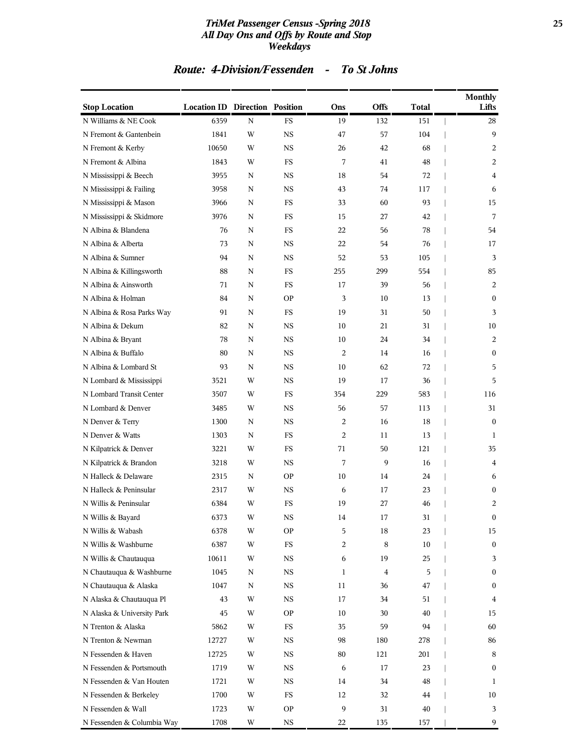#### *TriMet Passenger Census -Spring 2018* **25** *All Day Ons and Offs by Route and Stop Weekdays*

| <b>Stop Location</b>       | <b>Location ID Direction Position</b> |             |             | Ons            | <b>Offs</b> | Total | <b>Monthly</b><br>Lifts |
|----------------------------|---------------------------------------|-------------|-------------|----------------|-------------|-------|-------------------------|
| N Williams & NE Cook       | 6359                                  | $\mathbf N$ | <b>FS</b>   | 19             | 132         | 151   | 28                      |
| N Fremont & Gantenbein     | 1841                                  | W           | <b>NS</b>   | 47             | 57          | 104   | 9                       |
| N Fremont & Kerby          | 10650                                 | W           | <b>NS</b>   | 26             | 42          | 68    | 2                       |
| N Fremont & Albina         | 1843                                  | W           | FS          | 7              | 41          | 48    | 2                       |
| N Mississippi & Beech      | 3955                                  | N           | <b>NS</b>   | 18             | 54          | 72    | 4                       |
| N Mississippi & Failing    | 3958                                  | N           | NS          | 43             | 74          | 117   | 6                       |
| N Mississippi & Mason      | 3966                                  | N           | FS          | 33             | 60          | 93    | 15                      |
| N Mississippi & Skidmore   | 3976                                  | N           | <b>FS</b>   | 15             | 27          | 42    | 7                       |
| N Albina & Blandena        | 76                                    | N           | FS          | 22             | 56          | 78    | 54                      |
| N Albina & Alberta         | 73                                    | N           | <b>NS</b>   | 22             | 54          | 76    | 17                      |
| N Albina & Sumner          | 94                                    | N           | NS          | 52             | 53          | 105   | 3                       |
| N Albina & Killingsworth   | 88                                    | N           | <b>FS</b>   | 255            | 299         | 554   | 85                      |
| N Albina & Ainsworth       | 71                                    | N           | <b>FS</b>   | 17             | 39          | 56    | 2                       |
| N Albina & Holman          | 84                                    | N           | <b>OP</b>   | 3              | 10          | 13    | $\mathbf{0}$            |
| N Albina & Rosa Parks Way  | 91                                    | N           | FS.         | 19             | 31          | 50    | 3                       |
| N Albina & Dekum           | 82                                    | N           | NS          | 10             | 21          | 31    | 10                      |
| N Albina & Bryant          | 78                                    | N           | NS          | 10             | 24          | 34    | 2                       |
| N Albina & Buffalo         | 80                                    | N           | <b>NS</b>   | $\overline{2}$ | 14          | 16    | $\mathbf{0}$            |
| N Albina & Lombard St      | 93                                    | N           | NS          | 10             | 62          | 72    | 5                       |
| N Lombard & Mississippi    | 3521                                  | W           | <b>NS</b>   | 19             | 17          | 36    | 5                       |
| N Lombard Transit Center   | 3507                                  | W           | FS          | 354            | 229         | 583   | 116                     |
| N Lombard & Denver         | 3485                                  | W           | NS          | 56             | 57          | 113   | 31                      |
| N Denver & Terry           | 1300                                  | N           | <b>NS</b>   | 2              | 16          | 18    | $\mathbf{0}$            |
| N Denver & Watts           | 1303                                  | N           | FS          | 2              | 11          | 13    | 1                       |
| N Kilpatrick & Denver      | 3221                                  | W           | FS.         | 71             | 50          | 121   | 35                      |
| N Kilpatrick & Brandon     | 3218                                  | W           | NS          | 7              | 9           | 16    | 4                       |
| N Halleck & Delaware       | 2315                                  | N           | <b>OP</b>   | 10             | 14          | 24    | 6                       |
| N Halleck & Peninsular     | 2317                                  | W           | <b>NS</b>   | 6              | 17          | 23    | $\mathbf{0}$            |
| N Willis & Peninsular      | 6384                                  | W           | FS          | 19             | 27          | 46    | 2                       |
| N Willis & Bayard          | 6373                                  | W           | <b>NS</b>   | 14             | 17          | 31    | $\bf{0}$                |
| N Willis & Wabash          | 6378                                  | W           | <b>OP</b>   | 5              | 18          | 23    | 15                      |
| N Willis & Washburne       | 6387                                  | W           | $_{\rm FS}$ | 2              | $\,8\,$     | 10    | $\bf{0}$                |
| N Willis & Chautauqua      | 10611                                 | W           | NS          | 6              | 19          | 25    | 3                       |
| N Chautauqua & Washburne   | 1045                                  | Ν           | NS          | 1              | 4           | 5     | $\bf{0}$                |
| N Chautauqua & Alaska      | 1047                                  | N           | NS          | 11             | 36          | 47    | $\mathbf{0}$            |
| N Alaska & Chautauqua Pl   | 43                                    | W           | NS          | 17             | 34          | 51    | 4                       |
| N Alaska & University Park | 45                                    | W           | <b>OP</b>   | 10             | 30          | 40    | 15                      |
| N Trenton & Alaska         | 5862                                  | W           | FS          | 35             | 59          | 94    | 60                      |
| N Trenton & Newman         | 12727                                 | W           | NS          | 98             | 180         | 278   | 86                      |
| N Fessenden & Haven        | 12725                                 | W           | NS          | 80             | 121         | 201   | 8                       |
| N Fessenden & Portsmouth   | 1719                                  | W           | NS          | 6              | 17          | 23    | $\bf{0}$                |
| N Fessenden & Van Houten   | 1721                                  | W           | NS          | 14             | 34          | 48    | 1                       |
| N Fessenden & Berkeley     | 1700                                  | W           | FS          | 12             | 32          | 44    | 10                      |
| N Fessenden & Wall         | 1723                                  | W           | <b>OP</b>   | 9              | 31          | 40    | 3                       |
| N Fessenden & Columbia Way | 1708                                  | W           | <b>NS</b>   | 22             | 135         | 157   | 9                       |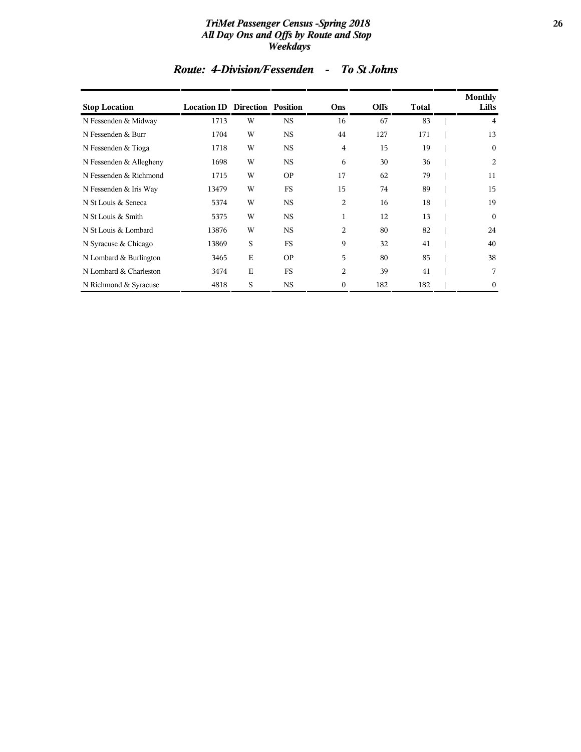#### *TriMet Passenger Census -Spring 2018* **26** *All Day Ons and Offs by Route and Stop Weekdays*

| <b>Stop Location</b>    | <b>Location ID Direction Position</b> |             |           | Ons            | <b>Offs</b> | Total | Monthly<br>Lifts |
|-------------------------|---------------------------------------|-------------|-----------|----------------|-------------|-------|------------------|
| N Fessenden & Midway    | 1713                                  | W           | <b>NS</b> | 16             | 67          | 83    | 4                |
| N Fessenden & Burr      | 1704                                  | W           | <b>NS</b> | 44             | 127         | 171   | 13               |
| N Fessenden & Tioga     | 1718                                  | W           | <b>NS</b> | $\overline{4}$ | 15          | 19    | $\bf{0}$         |
| N Fessenden & Allegheny | 1698                                  | W           | <b>NS</b> | 6              | 30          | 36    | 2                |
| N Fessenden & Richmond  | 1715                                  | W           | <b>OP</b> | 17             | 62          | 79    | 11               |
| N Fessenden & Iris Way  | 13479                                 | W           | <b>FS</b> | 15             | 74          | 89    | 15               |
| N St Louis & Seneca     | 5374                                  | W           | <b>NS</b> | $\overline{c}$ | 16          | 18    | 19               |
| N St Louis & Smith      | 5375                                  | W           | <b>NS</b> | 1              | 12          | 13    | $\boldsymbol{0}$ |
| N St Louis & Lombard    | 13876                                 | W           | <b>NS</b> | $\overline{c}$ | 80          | 82    | 24               |
| N Syracuse & Chicago    | 13869                                 | S           | <b>FS</b> | 9              | 32          | 41    | 40               |
| N Lombard & Burlington  | 3465                                  | $\mathbf E$ | <b>OP</b> | 5              | 80          | 85    | 38               |
| N Lombard & Charleston  | 3474                                  | $\mathbf E$ | <b>FS</b> | $\overline{2}$ | 39          | 41    | 7                |
| N Richmond & Syracuse   | 4818                                  | S           | <b>NS</b> | $\mathbf{0}$   | 182         | 182   | 0                |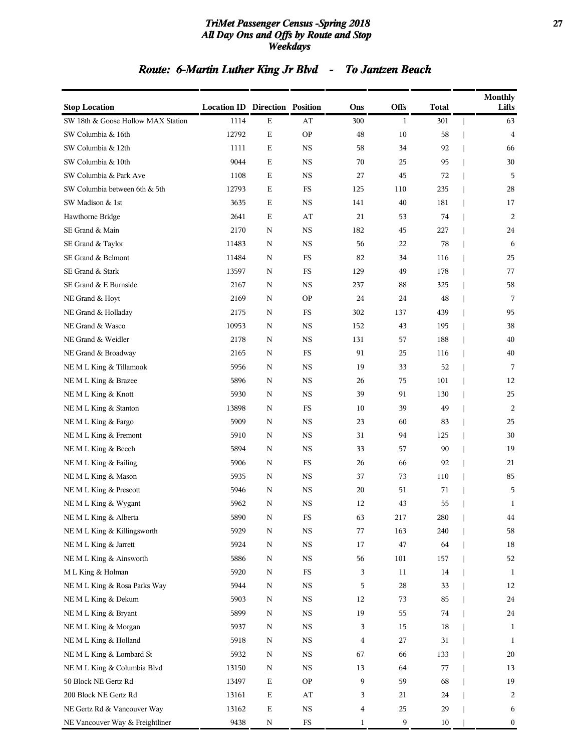#### *TriMet Passenger Census -Spring 2018* **27** *All Day Ons and Offs by Route and Stop Weekdays*

# *Route: 6-Martin Luther King Jr Blvd - To Jantzen Beach*

| <b>Stop Location</b>               | <b>Location ID Direction Position</b> |             |             | Ons            | <b>Offs</b>  | <b>Total</b> | Monthly<br>Lifts |
|------------------------------------|---------------------------------------|-------------|-------------|----------------|--------------|--------------|------------------|
| SW 18th & Goose Hollow MAX Station | 1114                                  | $\mathbf E$ | AT          | 300            | $\mathbf{1}$ | 301          | 63               |
| SW Columbia & 16th                 | 12792                                 | $\mathbf E$ | <b>OP</b>   | 48             | 10           | 58           | 4                |
| SW Columbia & 12th                 | 1111                                  | $\mathbf E$ | <b>NS</b>   | 58             | 34           | 92           | 66               |
| SW Columbia & 10th                 | 9044                                  | $\mathbf E$ | <b>NS</b>   | 70             | 25           | 95           | 30               |
| SW Columbia & Park Ave             | 1108                                  | $\mathbf E$ | <b>NS</b>   | 27             | 45           | 72           | 5                |
| SW Columbia between 6th & 5th      | 12793                                 | Ε           | FS          | 125            | 110          | 235          | 28               |
| SW Madison & 1st                   | 3635                                  | $\mathbf E$ | <b>NS</b>   | 141            | 40           | 181          | 17               |
| Hawthorne Bridge                   | 2641                                  | $\mathbf E$ | AT          | 21             | 53           | 74           | $\overline{2}$   |
| SE Grand & Main                    | 2170                                  | N           | <b>NS</b>   | 182            | 45           | 227          | 24               |
| SE Grand & Taylor                  | 11483                                 | N           | <b>NS</b>   | 56             | 22           | 78           | 6                |
| SE Grand & Belmont                 | 11484                                 | N           | FS          | 82             | 34           | 116          | 25               |
| SE Grand & Stark                   | 13597                                 | $\mathbf N$ | $_{\rm FS}$ | 129            | 49           | 178          | 77               |
| SE Grand & E Burnside              | 2167                                  | N           | <b>NS</b>   | 237            | 88           | 325          | 58               |
| NE Grand & Hoyt                    | 2169                                  | $\mathbf N$ | <b>OP</b>   | 24             | 24           | 48           | 7                |
| NE Grand & Holladay                | 2175                                  | N           | FS          | 302            | 137          | 439          | 95               |
| NE Grand & Wasco                   | 10953                                 | N           | <b>NS</b>   | 152            | 43           | 195          | 38               |
| NE Grand & Weidler                 | 2178                                  | N           | <b>NS</b>   | 131            | 57           | 188          | 40               |
| NE Grand & Broadway                | 2165                                  | N           | FS          | 91             | 25           | 116          | 40               |
| NE M L King & Tillamook            | 5956                                  | N           | <b>NS</b>   | 19             | 33           | 52           | 7                |
| NEML King & Brazee                 | 5896                                  | N           | <b>NS</b>   | 26             | 75           | 101          | 12               |
| NEML King & Knott                  | 5930                                  | N           | <b>NS</b>   | 39             | 91           | 130          | 25               |
| NEML King & Stanton                | 13898                                 | $\mathbf N$ | $_{\rm FS}$ | 10             | 39           | 49           | 2                |
| NEMLKing & Fargo                   | 5909                                  | N           | <b>NS</b>   | 23             | 60           | 83           | 25               |
| NEMLKing & Fremont                 | 5910                                  | N           | <b>NS</b>   | 31             | 94           | 125          | 30               |
| NEML King & Beech                  | 5894                                  | N           | <b>NS</b>   | 33             | 57           | 90           | 19               |
| NEML King & Failing                | 5906                                  | N           | FS          | 26             | 66           | 92           | 21               |
| NEML King & Mason                  | 5935                                  | $\mathbf N$ | <b>NS</b>   | 37             | 73           | 110          | 85               |
| NEML King & Prescott               | 5946                                  | N           | <b>NS</b>   | 20             | 51           | 71           | 5                |
| NE M L King & Wygant               | 5962                                  | N           | <b>NS</b>   | 12             | 43           | 55           | $\mathbf{1}$     |
| NE M L King & Alberta              | 5890                                  | N           | FS          | 63             | 217          | 280          | 44               |
| NEML King & Killingsworth          | 5929                                  | N           | <b>NS</b>   | 77             | 163          | 240          | 58               |
| NEML King & Jarrett                | 5924                                  | ${\bf N}$   | $_{\rm NS}$ | 17             | 47           | 64           | 18               |
| NEML King & Ainsworth              | 5886                                  | N           | $_{\rm NS}$ | 56             | 101          | 157          | 52               |
| M L King & Holman                  | 5920                                  | N           | FS          | 3              | 11           | 14           | 1                |
| NEML King & Rosa Parks Way         | 5944                                  | N           | $_{\rm NS}$ | 5              | 28           | 33           | 12               |
| NE M L King & Dekum                | 5903                                  | N           | $_{\rm NS}$ | 12             | 73           | 85           | 24               |
| NE M L King & Bryant               | 5899                                  | N           | $_{\rm NS}$ | 19             | 55           | 74           | 24               |
| NEML King & Morgan                 | 5937                                  | N           | $_{\rm NS}$ | 3              | 15           | 18           | 1                |
| NEML King & Holland                | 5918                                  | N           | $_{\rm NS}$ | 4              | 27           | 31           | 1                |
| NEML King & Lombard St             | 5932                                  | N           | $_{\rm NS}$ | 67             | 66           | 133          | 20               |
| NEML King & Columbia Blvd          | 13150                                 | N           | $_{\rm NS}$ | 13             | 64           | 77           | 13               |
| 50 Block NE Gertz Rd               | 13497                                 | $\mathbf E$ | <b>OP</b>   | 9              | 59           | 68           | 19               |
| 200 Block NE Gertz Rd              | 13161                                 | $\mathbf E$ | AT          | 3              | 21           | 24           | 2                |
| NE Gertz Rd & Vancouver Way        | 13162                                 | $\mathbf E$ | $_{\rm NS}$ | $\overline{4}$ | 25           | 29           | 6                |
| NE Vancouver Way & Freightliner    | 9438                                  | N           | ${\rm FS}$  | 1              | 9            | 10           | $\boldsymbol{0}$ |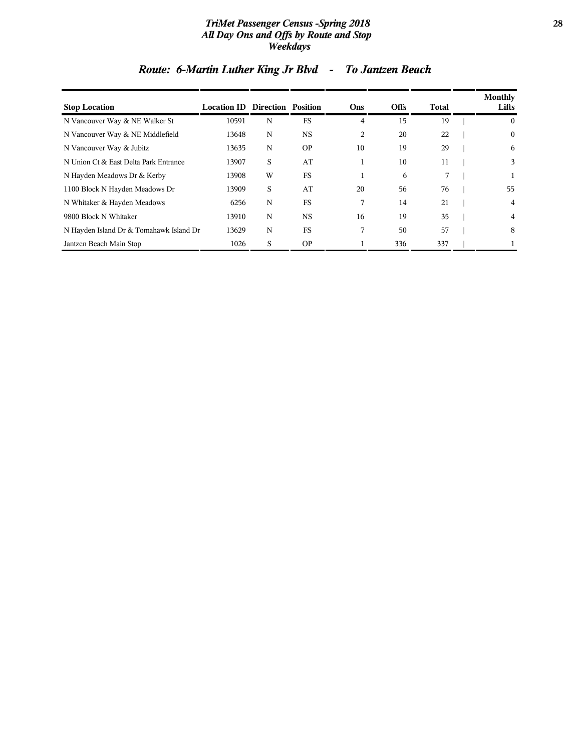#### *TriMet Passenger Census -Spring 2018* **28** *All Day Ons and Offs by Route and Stop Weekdays*

| <b>Stop Location</b>                    | <b>Location ID Direction Position</b> |   |           | Ons            | <b>Offs</b> | Total | Monthly<br>Lifts |
|-----------------------------------------|---------------------------------------|---|-----------|----------------|-------------|-------|------------------|
| N Vancouver Way & NE Walker St          | 10591                                 | N | FS        | 4              | 15          | 19    | $\bf{0}$         |
| N Vancouver Way & NE Middlefield        | 13648                                 | N | <b>NS</b> | $\overline{c}$ | 20          | 22    | $\mathbf{0}$     |
| N Vancouver Way & Jubitz                | 13635                                 | N | <b>OP</b> | 10             | 19          | 29    | 6                |
| N Union Ct & East Delta Park Entrance   | 13907                                 | S | AT        |                | 10          | 11    | 3                |
| N Hayden Meadows Dr & Kerby             | 13908                                 | W | <b>FS</b> |                | 6           | 7     |                  |
| 1100 Block N Hayden Meadows Dr          | 13909                                 | S | AT        | 20             | 56          | 76    | 55               |
| N Whitaker & Hayden Meadows             | 6256                                  | N | FS        | 7              | 14          | 21    | 4                |
| 9800 Block N Whitaker                   | 13910                                 | N | <b>NS</b> | 16             | 19          | 35    | 4                |
| N Hayden Island Dr & Tomahawk Island Dr | 13629                                 | N | <b>FS</b> | 7              | 50          | 57    | 8                |
| Jantzen Beach Main Stop                 | 1026                                  | S | <b>OP</b> |                | 336         | 337   |                  |

# *Route: 6-Martin Luther King Jr Blvd - To Jantzen Beach*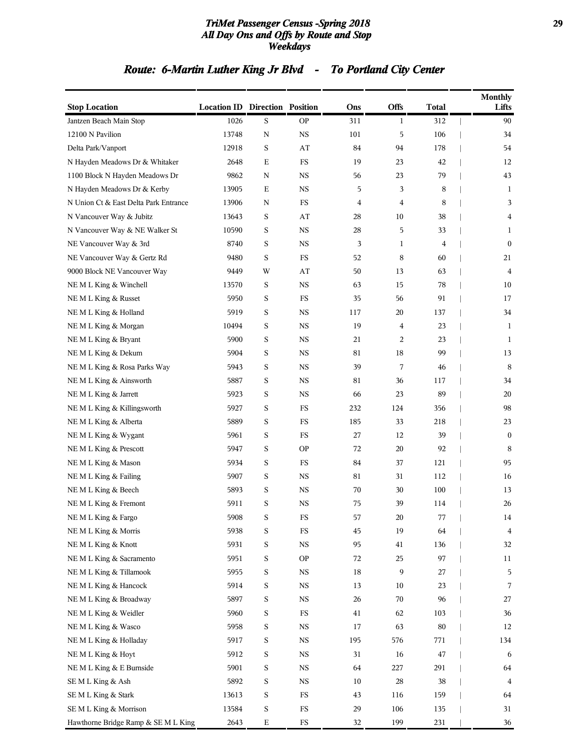#### *TriMet Passenger Census -Spring 2018* **29** *All Day Ons and Offs by Route and Stop Weekdays*

# *Route: 6-Martin Luther King Jr Blvd - To Portland City Center*

| <b>Stop Location</b>                  | <b>Location ID Direction Position</b> |             |             | Ons    | Offs         | <b>Total</b> | Monthly<br>Lifts |
|---------------------------------------|---------------------------------------|-------------|-------------|--------|--------------|--------------|------------------|
| Jantzen Beach Main Stop               | 1026                                  | S           | <b>OP</b>   | 311    | $\mathbf{1}$ | 312          | 90               |
| 12100 N Pavilion                      | 13748                                 | $\mathbf N$ | <b>NS</b>   | 101    | 5            | 106          | 34               |
| Delta Park/Vanport                    | 12918                                 | S           | AT          | 84     | 94           | 178          | 54               |
| N Hayden Meadows Dr & Whitaker        | 2648                                  | $\mathbf E$ | FS          | 19     | 23           | 42           | 12               |
| 1100 Block N Hayden Meadows Dr        | 9862                                  | N           | <b>NS</b>   | 56     | 23           | 79           | 43               |
| N Hayden Meadows Dr & Kerby           | 13905                                 | Ε           | <b>NS</b>   | 5      | 3            | 8            | 1                |
| N Union Ct & East Delta Park Entrance | 13906                                 | N           | FS          | 4      | 4            | 8            | 3                |
| N Vancouver Way & Jubitz              | 13643                                 | S           | AT          | 28     | 10           | 38           | 4                |
| N Vancouver Way & NE Walker St        | 10590                                 | S           | <b>NS</b>   | 28     | 5            | 33           | 1                |
| NE Vancouver Way & 3rd                | 8740                                  | S           | <b>NS</b>   | 3      | 1            | 4            | $\mathbf{0}$     |
| NE Vancouver Way & Gertz Rd           | 9480                                  | S           | FS          | 52     | 8            | 60           | 21               |
| 9000 Block NE Vancouver Way           | 9449                                  | W           | AT          | 50     | 13           | 63           | 4                |
| NEML King & Winchell                  | 13570                                 | S           | <b>NS</b>   | 63     | 15           | 78           | 10               |
| NEML King & Russet                    | 5950                                  | S           | FS          | 35     | 56           | 91           | 17               |
| NEML King & Holland                   | 5919                                  | S           | <b>NS</b>   | 117    | 20           | 137          | 34               |
| NE M L King & Morgan                  | 10494                                 | S           | <b>NS</b>   | 19     | 4            | 23           | 1                |
| NE M L King & Bryant                  | 5900                                  | S           | <b>NS</b>   | 21     | 2            | 23           | 1                |
| NEML King & Dekum                     | 5904                                  | S           | <b>NS</b>   | 81     | 18           | 99           | 13               |
| NEML King & Rosa Parks Way            | 5943                                  | S           | <b>NS</b>   | 39     | 7            | 46           | 8                |
| NE M L King & Ainsworth               | 5887                                  | S           | <b>NS</b>   | 81     | 36           | 117          | 34               |
| NE M L King & Jarrett                 | 5923                                  | S           | <b>NS</b>   | 66     | 23           | 89           | 20               |
| NE M L King & Killingsworth           | 5927                                  | S           | FS          | 232    | 124          | 356          | 98               |
| NEML King & Alberta                   | 5889                                  | S           | FS          | 185    | 33           | 218          | 23               |
| NE M L King & Wygant                  | 5961                                  | S           | FS          | 27     | 12           | 39           | $\mathbf{0}$     |
| NEML King & Prescott                  | 5947                                  | S           | <b>OP</b>   | 72     | 20           | 92           | 8                |
| NEML King & Mason                     | 5934                                  | S           | FS          | 84     | 37           | 121          | 95               |
| NE M L King & Failing                 | 5907                                  | S           | <b>NS</b>   | 81     | 31           | 112          | 16               |
| NE M L King & Beech                   | 5893                                  | S           | <b>NS</b>   | 70     | 30           | 100          | 13               |
| NE M L King & Fremont                 | 5911                                  | S           | <b>NS</b>   | 75     | 39           | 114          | 26               |
| NEML King & Fargo                     | 5908                                  | S           | FS          | 57     | 20           | 77           | 14               |
| NEML King & Morris                    | 5938                                  | S           | $_{\rm FS}$ | 45     | 19           | 64           | 4                |
| NEMLKing & Knott                      | 5931                                  | S           | $_{\rm NS}$ | 95     | 41           | 136          | 32               |
| NEML King & Sacramento                | 5951                                  | S           | <b>OP</b>   | 72     | 25           | 97           | $11\,$           |
| NEML King & Tillamook                 | 5955                                  | S           | <b>NS</b>   | $18\,$ | 9            | 27           | 5                |
| NEML King & Hancock                   | 5914                                  | S           | $_{\rm NS}$ | 13     | 10           | 23           | 7                |
| NEML King & Broadway                  | 5897                                  | S           | $_{\rm NS}$ | 26     | 70           | 96           | 27               |
| NEML King & Weidler                   | 5960                                  | S           | $_{\rm FS}$ | 41     | 62           | 103          | 36               |
| NEML King & Wasco                     | 5958                                  | S           | $_{\rm NS}$ | 17     | 63           | 80           | 12               |
| NEML King & Holladay                  | 5917                                  | S           | $_{\rm NS}$ | 195    | 576          | 771          | 134              |
| NEMLKing & Hoyt                       | 5912                                  | S           | $_{\rm NS}$ | 31     | 16           | 47           | 6                |
| NEML King & E Burnside                | 5901                                  | S           | $_{\rm NS}$ | 64     | 227          | 291          | 64               |
| SEMLKing & Ash                        | 5892                                  | S           | <b>NS</b>   | 10     | 28           | 38           | 4                |
| SEMLKing & Stark                      | 13613                                 | S           | $_{\rm FS}$ | 43     | 116          | 159          | 64               |
| SEMLKing & Morrison                   | 13584                                 | S           | ${\rm FS}$  | 29     | 106          | 135          | 31               |
| Hawthorne Bridge Ramp & SE M L King   | 2643                                  | $\mathbf E$ | $_{\rm FS}$ | 32     | 199          | 231          | 36               |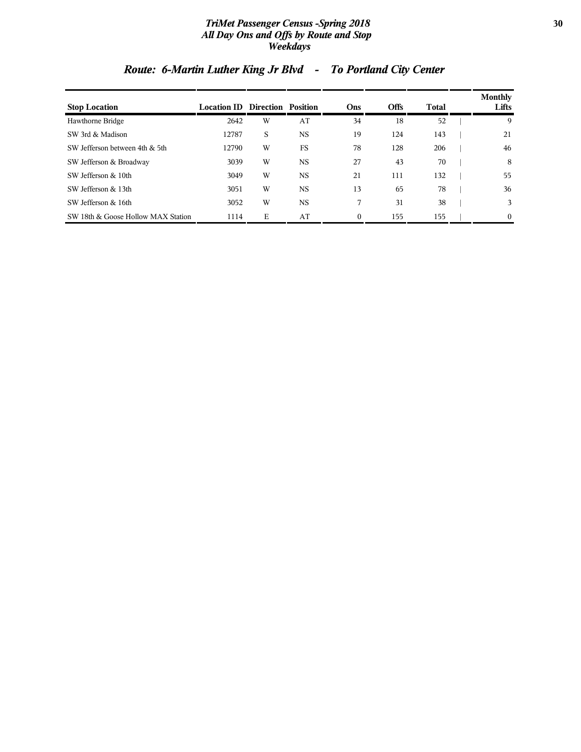#### *TriMet Passenger Census -Spring 2018* **30** *All Day Ons and Offs by Route and Stop Weekdays*

| <b>Stop Location</b>               | <b>Location ID</b> | Direction Position |           | Ons      | <b>Offs</b> | Total | Monthly<br>Lifts |
|------------------------------------|--------------------|--------------------|-----------|----------|-------------|-------|------------------|
| Hawthorne Bridge                   | 2642               | W                  | AT        | 34       | 18          | 52    | 9                |
| SW 3rd & Madison                   | 12787              | S                  | <b>NS</b> | 19       | 124         | 143   | 21               |
| SW Jefferson between 4th & 5th     | 12790              | W                  | <b>FS</b> | 78       | 128         | 206   | 46               |
| SW Jefferson & Broadway            | 3039               | W                  | <b>NS</b> | 27       | 43          | 70    | 8                |
| SW Jefferson & 10th                | 3049               | W                  | <b>NS</b> | 21       | 111         | 132   | 55               |
| SW Jefferson & 13th                | 3051               | W                  | <b>NS</b> | 13       | 65          | 78    | 36               |
| SW Jefferson & 16th                | 3052               | W                  | <b>NS</b> |          | 31          | 38    | 3                |
| SW 18th & Goose Hollow MAX Station | 1114               | Е                  | AT        | $\theta$ | 155         | 155   | $\Omega$         |

# *Route: 6-Martin Luther King Jr Blvd - To Portland City Center*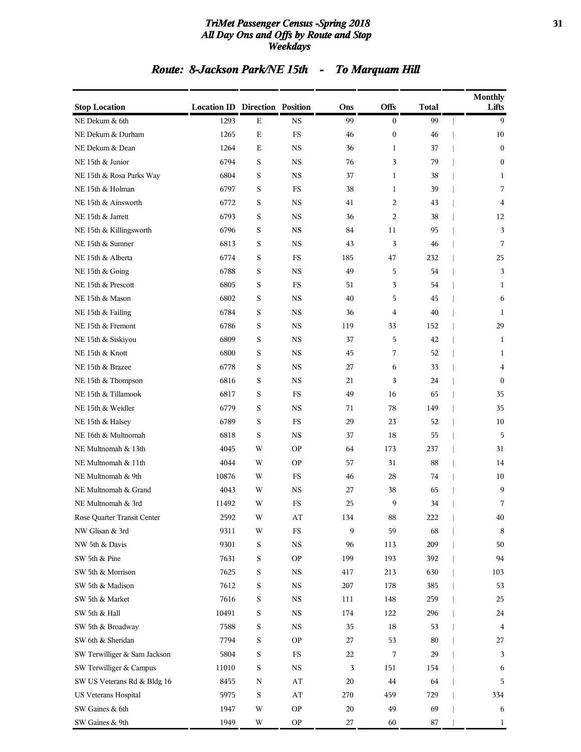#### *TriMet Passenger Census -Spring 2018* **31** *All Day Ons and Offs by Route and Stop Weekdays*

# *Route: 8-Jackson Park/NE 15th - To Marquam Hill*

|                              |                                       |                         |             |         |                  |              | <b>Monthly</b><br>Lifts |
|------------------------------|---------------------------------------|-------------------------|-------------|---------|------------------|--------------|-------------------------|
| <b>Stop Location</b>         | <b>Location ID Direction Position</b> |                         |             | Ons     | Offs             | <b>Total</b> |                         |
| NE Dekum & 6th               | 1293                                  | $\mathbf E$             | <b>NS</b>   | 99      | $\overline{0}$   | 99           | 9                       |
| NE Dekum & Durham            | 1265                                  | Е                       | FS          | 46      | $\boldsymbol{0}$ | 46           | 10                      |
| NE Dekum & Dean              | 1264                                  | $\mathbf E$             | <b>NS</b>   | 36      | $\mathbf{1}$     | 37           | $\mathbf{0}$            |
| NE 15th & Junior             | 6794                                  | S                       | <b>NS</b>   | 76      | 3                | 79           | $\mathbf{0}$            |
| NE 15th & Rosa Parks Way     | 6804                                  | S                       | <b>NS</b>   | 37      | 1                | 38           | 1                       |
| NE 15th & Holman             | 6797                                  | S                       | FS          | 38      | $\mathbf{1}$     | 39           | 7                       |
| NE 15th & Ainsworth          | 6772                                  | S                       | NS          | 41      | 2                | 43           | 4                       |
| NE 15th & Jarrett            | 6793                                  | S                       | <b>NS</b>   | 36      | $\overline{c}$   | 38           | 12                      |
| NE 15th & Killingsworth      | 6796                                  | S                       | <b>NS</b>   | 84      | 11               | 95           | 3                       |
| NE 15th & Sumner             | 6813                                  | S                       | <b>NS</b>   | 43      | 3                | 46           | 7                       |
| NE 15th & Alberta            | 6774                                  | S                       | FS          | 185     | 47               | 232          | 25                      |
| NE 15th & Going              | 6788                                  | S                       | <b>NS</b>   | 49      | 5                | 54           | 3                       |
| NE 15th & Prescott           | 6805                                  | S                       | FS          | 51      | 3                | 54           | 1                       |
| NE 15th & Mason              | 6802                                  | S                       | <b>NS</b>   | 40      | 5                | 45           | 6                       |
| NE 15th & Failing            | 6784                                  | S                       | <b>NS</b>   | 36      | 4                | 40           | 1                       |
| NE 15th & Fremont            | 6786                                  | S                       | <b>NS</b>   | 119     | 33               | 152          | 29                      |
| NE 15th & Siskiyou           | 6809                                  | S                       | <b>NS</b>   | 37      | 5                | 42           | 1                       |
| NE 15th & Knott              | 6800                                  | S                       | <b>NS</b>   | 45      | 7                | 52           | 1                       |
| NE 15th & Brazee             | 6778                                  | S                       | $_{\rm NS}$ | 27      | 6                | 33           | 4                       |
| NE 15th & Thompson           | 6816                                  | S                       | <b>NS</b>   | 21      | 3                | 24           | $\mathbf{0}$            |
| NE 15th & Tillamook          | 6817                                  | S                       | FS          | 49      | 16               | 65           | 35                      |
| NE 15th & Weidler            | 6779                                  | S                       | <b>NS</b>   | 71      | 78               | 149          | 35                      |
| NE 15th & Halsey             | 6789                                  | S                       | FS          | 29      | 23               | 52           | 10                      |
| NE 16th & Multnomah          | 6818                                  | S                       | <b>NS</b>   | 37      | 18               | 55           | 5                       |
| NE Multnomah & 13th          | 4045                                  | W                       | <b>OP</b>   | 64      | 173              | 237          | 31                      |
| NE Multnomah & 11th          | 4044                                  | W                       | <b>OP</b>   | 57      | 31               | 88           | 14                      |
| NE Multnomah & 9th           | 10876                                 | W                       | FS          | 46      | 28               | 74           | 10                      |
| NE Multnomah & Grand         | 4043                                  | W                       | <b>NS</b>   | 27      | 38               | 65           | 9                       |
| NE Multnomah & 3rd           | 11492                                 | W                       | FS          | 25      | 9                | 34           | 7                       |
| Rose Quarter Transit Center  | 2592                                  | $\ensuremath{\text{W}}$ | AT          | 134     | $88\,$           | 222          | $40\,$                  |
| NW Glisan & 3rd              | 9311                                  | W                       | ${\rm FS}$  | 9       | 59               | 68           | 8                       |
| NW 5th & Davis               | 9301                                  | S                       | $_{\rm NS}$ | 96      | 113              | 209          | 50                      |
| SW 5th & Pine                | 7631                                  | $\mathbf S$             | <b>OP</b>   | 199     | 193              | 392          | 94                      |
| SW 5th & Morrison            | 7625                                  | $\mathbf S$             | NS          | 417     | 213              | 630          | 103                     |
| SW 5th & Madison             | 7612                                  | $\mathbf S$             | <b>NS</b>   | $207\,$ | 178              | 385          | 53                      |
| SW 5th & Market              | 7616                                  | $\mathbf S$             | $_{\rm NS}$ | 111     | 148              | 259          | 25                      |
| SW 5th & Hall                | 10491                                 | $\mathbf S$             | <b>NS</b>   | 174     | 122              | 296          | 24                      |
| SW 5th & Broadway            | 7588                                  | $\mathbf S$             | <b>NS</b>   | 35      | 18               | 53           | $\overline{\mathbf{4}}$ |
| SW 6th & Sheridan            | 7794                                  | $\mathbf S$             | <b>OP</b>   | 27      | 53               | 80           | 27                      |
| SW Terwilliger & Sam Jackson | 5804                                  | $\mathbf S$             | $_{\rm FS}$ | 22      | 7                | 29           | 3                       |
| SW Terwilliger & Campus      | 11010                                 | $\mathbf S$             | $_{\rm NS}$ | 3       | 151              | 154          | 6                       |
| SW US Veterans Rd & Bldg 16  | 8455                                  | N                       | AT          | 20      | 44               | 64           | 5                       |
| US Veterans Hospital         | 5975                                  | $\mathbf S$             | AT          | 270     | 459              | 729          | 334                     |
| SW Gaines & 6th              | 1947                                  | W                       | <b>OP</b>   | 20      | 49               | 69           | 6                       |
| SW Gaines & 9th              | 1949                                  | W                       | <b>OP</b>   | 27      | 60               | 87           | 1                       |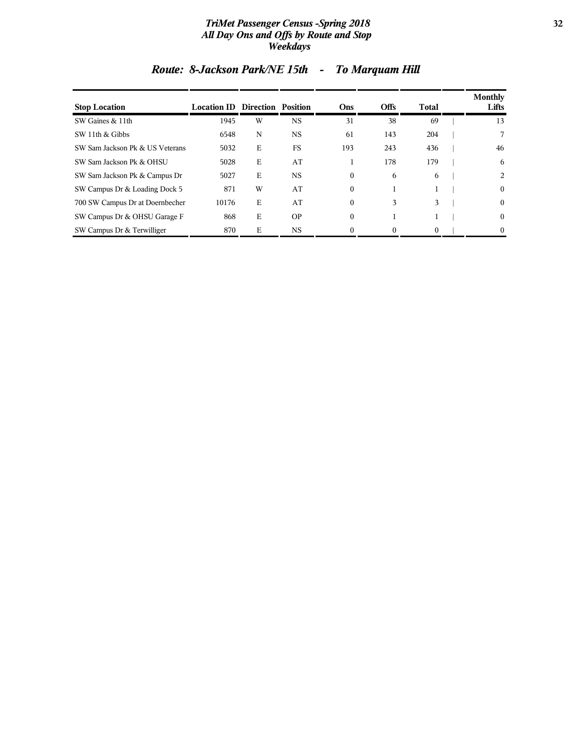#### *TriMet Passenger Census -Spring 2018* **32** *All Day Ons and Offs by Route and Stop Weekdays*

| <b>Stop Location</b>            | <b>Location ID Direction Position</b> |   |           | Ons          | <b>Offs</b> | Total    | Monthly<br>Lifts |
|---------------------------------|---------------------------------------|---|-----------|--------------|-------------|----------|------------------|
| SW Gaines & 11th                | 1945                                  | W | <b>NS</b> | 31           | 38          | 69       | 13               |
| SW 11th & Gibbs                 | 6548                                  | N | <b>NS</b> | 61           | 143         | 204      | 7                |
| SW Sam Jackson Pk & US Veterans | 5032                                  | Ε | <b>FS</b> | 193          | 243         | 436      | 46               |
| SW Sam Jackson Pk & OHSU        | 5028                                  | E | AT        |              | 178         | 179      | 6                |
| SW Sam Jackson Pk & Campus Dr   | 5027                                  | Ε | <b>NS</b> | $\mathbf{0}$ | 6           | 6        | 2                |
| SW Campus Dr & Loading Dock 5   | 871                                   | W | AT        | $\mathbf{0}$ |             |          | $\mathbf{0}$     |
| 700 SW Campus Dr at Doernbecher | 10176                                 | E | AT        | $\mathbf{0}$ | 3           | 3        | $\mathbf{0}$     |
| SW Campus Dr & OHSU Garage F    | 868                                   | E | <b>OP</b> | $\mathbf{0}$ |             |          | $\mathbf{0}$     |
| SW Campus Dr & Terwilliger      | 870                                   | E | <b>NS</b> | $\Omega$     | 0           | $\Omega$ | $\theta$         |

# *Route: 8-Jackson Park/NE 15th - To Marquam Hill*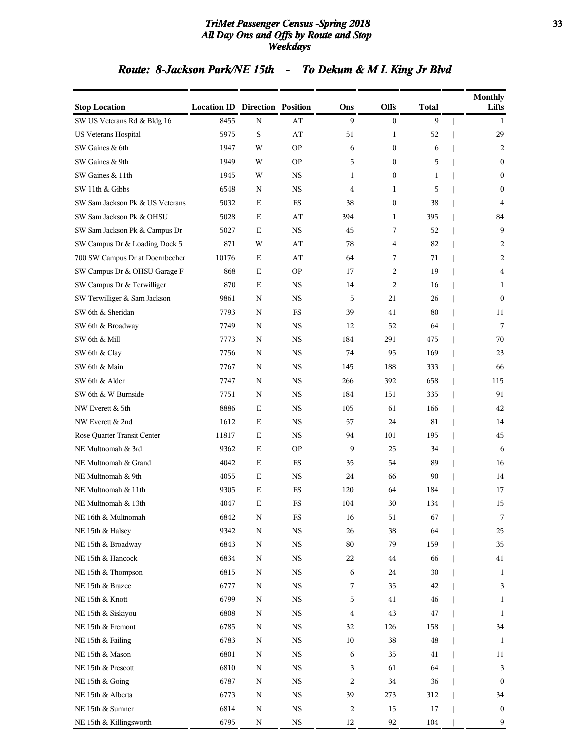#### *TriMet Passenger Census -Spring 2018* **33** *All Day Ons and Offs by Route and Stop Weekdays*

# *Route: 8-Jackson Park/NE 15th - To Dekum & M L King Jr Blvd*

| <b>Stop Location</b>            | <b>Location ID Direction Position</b> |             |             | Ons    | <b>Offs</b>      | <b>Total</b> | <b>Monthly</b><br>Lifts |
|---------------------------------|---------------------------------------|-------------|-------------|--------|------------------|--------------|-------------------------|
| SW US Veterans Rd & Bldg 16     | 8455                                  | N           | AT          | 9      | $\boldsymbol{0}$ | 9            | 1                       |
| US Veterans Hospital            | 5975                                  | S           | AT          | 51     | 1                | 52           | 29                      |
| SW Gaines & 6th                 | 1947                                  | W           | <b>OP</b>   | 6      | $\boldsymbol{0}$ | 6            | 2                       |
| SW Gaines & 9th                 | 1949                                  | W           | <b>OP</b>   | 5      | $\boldsymbol{0}$ | 5            | $\mathbf{0}$            |
| SW Gaines & 11th                | 1945                                  | W           | NS          | 1      | 0                | 1            | $\mathbf{0}$            |
| SW 11th & Gibbs                 | 6548                                  | N           | <b>NS</b>   | 4      | 1                | 5            | $\mathbf{0}$            |
| SW Sam Jackson Pk & US Veterans | 5032                                  | E           | FS          | 38     | $\boldsymbol{0}$ | 38           | 4                       |
| SW Sam Jackson Pk & OHSU        | 5028                                  | Е           | AT          | 394    | 1                | 395          | 84                      |
| SW Sam Jackson Pk & Campus Dr   | 5027                                  | E           | <b>NS</b>   | 45     | 7                | 52           | 9                       |
| SW Campus Dr & Loading Dock 5   | 871                                   | W           | AT          | 78     | 4                | 82           | 2                       |
| 700 SW Campus Dr at Doernbecher | 10176                                 | Ε           | AT          | 64     | 7                | 71           | 2                       |
| SW Campus Dr & OHSU Garage F    | 868                                   | $\mathbf E$ | <b>OP</b>   | 17     | 2                | 19           | 4                       |
| SW Campus Dr & Terwilliger      | 870                                   | E           | <b>NS</b>   | 14     | 2                | 16           | 1                       |
| SW Terwilliger & Sam Jackson    | 9861                                  | N           | <b>NS</b>   | 5      | 21               | 26           | $\theta$                |
| SW 6th & Sheridan               | 7793                                  | N           | FS          | 39     | 41               | 80           | 11                      |
| SW 6th & Broadway               | 7749                                  | N           | NS          | 12     | 52               | 64           | 7                       |
| SW 6th & Mill                   | 7773                                  | N           | <b>NS</b>   | 184    | 291              | 475          | 70                      |
| SW 6th & Clay                   | 7756                                  | N           | <b>NS</b>   | 74     | 95               | 169          | 23                      |
| SW 6th & Main                   | 7767                                  | N           | <b>NS</b>   | 145    | 188              | 333          | 66                      |
| SW 6th & Alder                  | 7747                                  | N           | NS          | 266    | 392              | 658          | 115                     |
| SW 6th & W Burnside             | 7751                                  | N           | <b>NS</b>   | 184    | 151              | 335          | 91                      |
| NW Everett & 5th                | 8886                                  | E           | <b>NS</b>   | 105    | 61               | 166          | 42                      |
| NW Everett & 2nd                | 1612                                  | Е           | <b>NS</b>   | 57     | 24               | 81           | 14                      |
| Rose Quarter Transit Center     | 11817                                 | E           | <b>NS</b>   | 94     | 101              | 195          | 45                      |
| NE Multnomah & 3rd              | 9362                                  | E           | <b>OP</b>   | 9      | 25               | 34           | 6                       |
| NE Multnomah & Grand            | 4042                                  | E           | FS          | 35     | 54               | 89           | 16                      |
| NE Multnomah & 9th              | 4055                                  | $\mathbf E$ | <b>NS</b>   | 24     | 66               | 90           | 14                      |
| NE Multnomah & 11th             | 9305                                  | Ε           | FS          | 120    | 64               | 184          | 17                      |
| NE Multnomah & 13th             | 4047                                  | E           | FS          | 104    | 30               | 134          | 15                      |
| NE 16th & Multnomah             | 6842                                  | N           | FS          | 16     | 51               | 67           | 7                       |
| NE 15th & Halsey                | 9342                                  | N           | $_{\rm NS}$ | 26     | 38               | 64           | 25                      |
| NE 15th & Broadway              | 6843                                  | N           | $_{\rm NS}$ | $80\,$ | 79               | 159          | 35                      |
| NE 15th & Hancock               | 6834                                  | N           | NS          | 22     | 44               | 66           | 41                      |
| NE 15th & Thompson              | 6815                                  | N           | NS          | 6      | 24               | 30           | 1                       |
| NE 15th & Brazee                | 6777                                  | N           | NS          | 7      | 35               | 42           | 3                       |
| NE 15th & Knott                 | 6799                                  | N           | $_{\rm NS}$ | 5      | 41               | 46           | $\mathbf{1}$            |
| NE 15th & Siskiyou              | 6808                                  | N           | $_{\rm NS}$ | 4      | 43               | 47           | 1                       |
| NE 15th & Fremont               | 6785                                  | N           | NS          | 32     | 126              | 158          | 34                      |
| NE 15th & Failing               | 6783                                  | N           | NS          | 10     | 38               | 48           | 1                       |
| NE 15th & Mason                 | 6801                                  | N           | NS          | 6      | 35               | 41           | 11                      |
| NE 15th & Prescott              | 6810                                  | N           | $_{\rm NS}$ | 3      | 61               | 64           | 3                       |
| NE 15th & Going                 | 6787                                  | N           | $_{\rm NS}$ | 2      | 34               | 36           | $\bf{0}$                |
| NE 15th & Alberta               | 6773                                  | N           | $_{\rm NS}$ | 39     | 273              | 312          | 34                      |
| NE 15th & Sumner                | 6814                                  | N           | $_{\rm NS}$ | 2      | 15               | 17           | $\bf{0}$                |
| NE 15th & Killingsworth         | 6795                                  | N           | $_{\rm NS}$ | 12     | 92               | 104          | 9                       |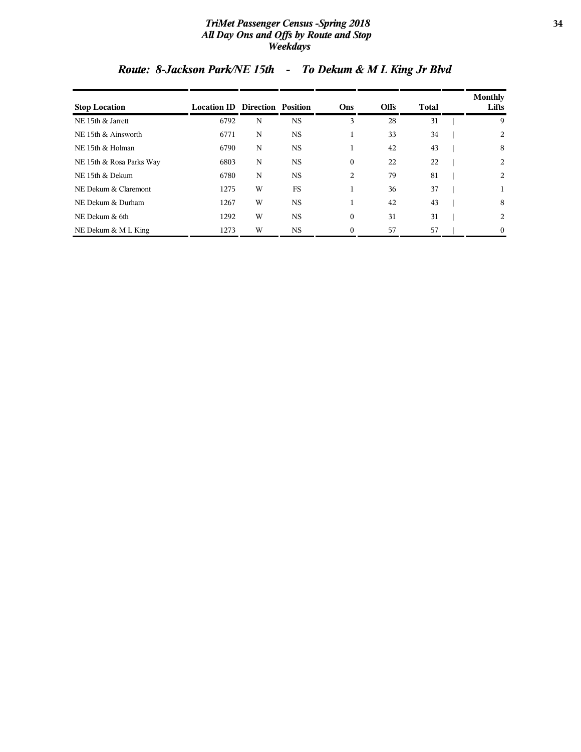#### *TriMet Passenger Census -Spring 2018* **34** *All Day Ons and Offs by Route and Stop Weekdays*

| <b>Stop Location</b>     | <b>Location ID Direction Position</b> |   |           | Ons          | <b>Offs</b> | <b>Total</b> | Monthly<br>Lifts |
|--------------------------|---------------------------------------|---|-----------|--------------|-------------|--------------|------------------|
| NE 15th & Jarrett        | 6792                                  | N | <b>NS</b> | 3            | 28          | 31           | 9                |
| NE 15th & Ainsworth      | 6771                                  | N | <b>NS</b> |              | 33          | 34           | 2                |
| NE 15th & Holman         | 6790                                  | N | <b>NS</b> |              | 42          | 43           | 8                |
| NE 15th & Rosa Parks Way | 6803                                  | N | <b>NS</b> | $\mathbf{0}$ | 22          | 22           | 2                |
| NE 15th & Dekum          | 6780                                  | N | <b>NS</b> | 2            | 79          | 81           | 2                |
| NE Dekum & Claremont     | 1275                                  | W | <b>FS</b> |              | 36          | 37           |                  |
| NE Dekum & Durham        | 1267                                  | W | <b>NS</b> |              | 42          | 43           | 8                |
| NE Dekum & 6th           | 1292                                  | W | <b>NS</b> | $\mathbf{0}$ | 31          | 31           | 2                |
| NE Dekum & M L King      | 1273                                  | W | <b>NS</b> | $\Omega$     | 57          | 57           | $\mathbf{0}$     |

# *Route: 8-Jackson Park/NE 15th - To Dekum & M L King Jr Blvd*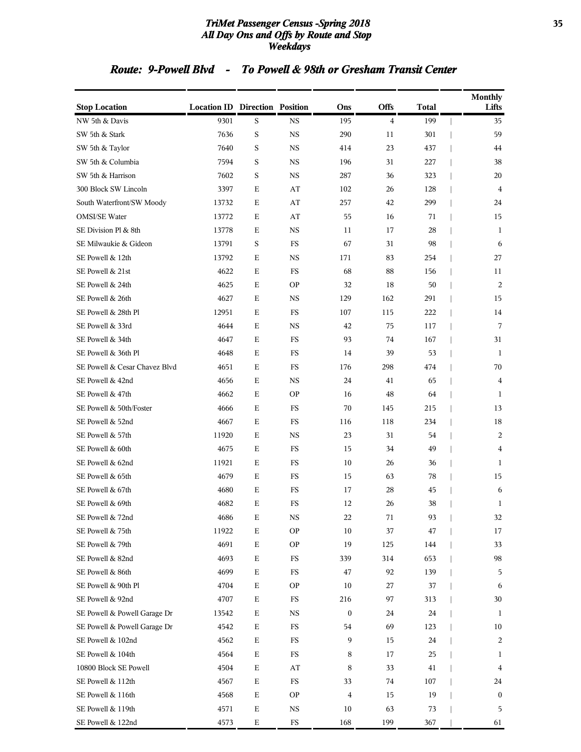#### *TriMet Passenger Census -Spring 2018* **35** *All Day Ons and Offs by Route and Stop Weekdays*

### *Route: 9-Powell Blvd - To Powell & 98th or Gresham Transit Center*

| <b>Stop Location</b>          | <b>Location ID Direction Position</b> |             |             | Ons            | Offs           | <b>Total</b> | <b>Monthly</b><br>Lifts |
|-------------------------------|---------------------------------------|-------------|-------------|----------------|----------------|--------------|-------------------------|
| NW 5th & Davis                | 9301                                  | S           | <b>NS</b>   | 195            | $\overline{4}$ | 199          | 35                      |
| SW 5th & Stark                | 7636                                  | $\mathbf S$ | <b>NS</b>   | 290            | 11             | 301          | 59                      |
| SW 5th & Taylor               | 7640                                  | S           | <b>NS</b>   | 414            | 23             | 437          | 44                      |
| SW 5th & Columbia             | 7594                                  | S           | <b>NS</b>   | 196            | 31             | 227          | 38                      |
| SW 5th & Harrison             | 7602                                  | S           | <b>NS</b>   | 287            | 36             | 323          | 20                      |
| 300 Block SW Lincoln          | 3397                                  | Ε           | AT          | 102            | 26             | 128          | 4                       |
| South Waterfront/SW Moody     | 13732                                 | Ε           | AT          | 257            | 42             | 299          | 24                      |
| <b>OMSI/SE Water</b>          | 13772                                 | Ε           | AT          | 55             | 16             | 71           | 15                      |
| SE Division Pl & 8th          | 13778                                 | Ε           | <b>NS</b>   | 11             | 17             | 28           | 1                       |
| SE Milwaukie & Gideon         | 13791                                 | S           | FS          | 67             | 31             | 98           | 6                       |
| SE Powell & 12th              | 13792                                 | Ε           | <b>NS</b>   | 171            | 83             | 254          | 27                      |
| SE Powell & 21st              | 4622                                  | Ε           | FS          | 68             | 88             | 156          | 11                      |
| SE Powell & 24th              | 4625                                  | Ε           | <b>OP</b>   | 32             | 18             | 50           | 2                       |
| SE Powell & 26th              | 4627                                  | Ε           | <b>NS</b>   | 129            | 162            | 291          | 15                      |
| SE Powell & 28th Pl           | 12951                                 | Ε           | FS          | 107            | 115            | 222          | 14                      |
| SE Powell & 33rd              | 4644                                  | Ε           | <b>NS</b>   | 42             | 75             | 117          | 7                       |
| SE Powell & 34th              | 4647                                  | Ε           | FS          | 93             | 74             | 167          | 31                      |
| SE Powell & 36th Pl           | 4648                                  | Ε           | FS          | 14             | 39             | 53           | 1                       |
| SE Powell & Cesar Chavez Blvd | 4651                                  | Ε           | FS          | 176            | 298            | 474          | 70                      |
| SE Powell & 42nd              | 4656                                  | Ε           | <b>NS</b>   | 24             | 41             | 65           | 4                       |
| SE Powell & 47th              | 4662                                  | Ε           | <b>OP</b>   | 16             | 48             | 64           | 1                       |
| SE Powell & 50th/Foster       | 4666                                  | Ε           | <b>FS</b>   | 70             | 145            | 215          | 13                      |
| SE Powell & 52nd              | 4667                                  | $\mathbf E$ | FS          | 116            | 118            | 234          | 18                      |
| SE Powell & 57th              | 11920                                 | Ε           | <b>NS</b>   | 23             | 31             | 54           | 2                       |
| SE Powell & 60th              | 4675                                  | Ε           | FS          | 15             | 34             | 49           | 4                       |
| SE Powell & 62nd              | 11921                                 | Ε           | FS          | 10             | 26             | 36           | 1                       |
| SE Powell & 65th              | 4679                                  | Ε           | <b>FS</b>   | 15             | 63             | 78           | 15                      |
| SE Powell & 67th              | 4680                                  | Ε           | FS          | 17             | 28             | 45           | 6                       |
| SE Powell & 69th              | 4682                                  | Ε           | <b>FS</b>   | 12             | 26             | 38           | 1                       |
| SE Powell & 72nd              | 4686                                  | E           | NS          | 22             | 71             | 93           | 32                      |
| SE Powell & 75th              | 11922                                 | $\mathbf E$ | <b>OP</b>   | 10             | 37             | 47           | 17                      |
| SE Powell & 79th              | 4691                                  | $\mathbf E$ | <b>OP</b>   | 19             | 125            | 144          | 33                      |
| SE Powell & 82nd              | 4693                                  | $\mathbf E$ | FS          | 339            | 314            | 653          | 98                      |
| SE Powell & 86th              | 4699                                  | $\mathbf E$ | FS          | 47             | 92             | 139          | 5                       |
| SE Powell & 90th Pl           | 4704                                  | $\mathbf E$ | <b>OP</b>   | $10\,$         | 27             | 37           | 6                       |
| SE Powell & 92nd              | 4707                                  | $\mathbf E$ | $_{\rm FS}$ | 216            | 97             | 313          | 30                      |
| SE Powell & Powell Garage Dr  | 13542                                 | Ε           | $_{\rm NS}$ | $\bf{0}$       | 24             | 24           | 1                       |
| SE Powell & Powell Garage Dr  | 4542                                  | $\mathbf E$ | $_{\rm FS}$ | 54             | 69             | 123          | 10                      |
| SE Powell & 102nd             | 4562                                  | $\mathbf E$ | FS          | 9              | 15             | 24           | 2                       |
| SE Powell & 104th             | 4564                                  | $\mathbf E$ | FS          | 8              | 17             | 25           | 1                       |
| 10800 Block SE Powell         | 4504                                  | $\mathbf E$ | AT          | 8              | 33             | 41           | 4                       |
| SE Powell & 112th             | 4567                                  | $\mathbf E$ | $_{\rm FS}$ | 33             | 74             | 107          | 24                      |
| SE Powell & 116th             | 4568                                  | $\mathbf E$ | <b>OP</b>   | $\overline{4}$ | 15             | 19           | $\mathbf{0}$            |
| SE Powell & 119th             | 4571                                  | $\mathbf E$ | NS          | 10             | 63             | 73           | 5                       |
| SE Powell & 122nd             | 4573                                  | $\mathbf E$ | $_{\rm FS}$ | 168            | 199            | 367          | 61                      |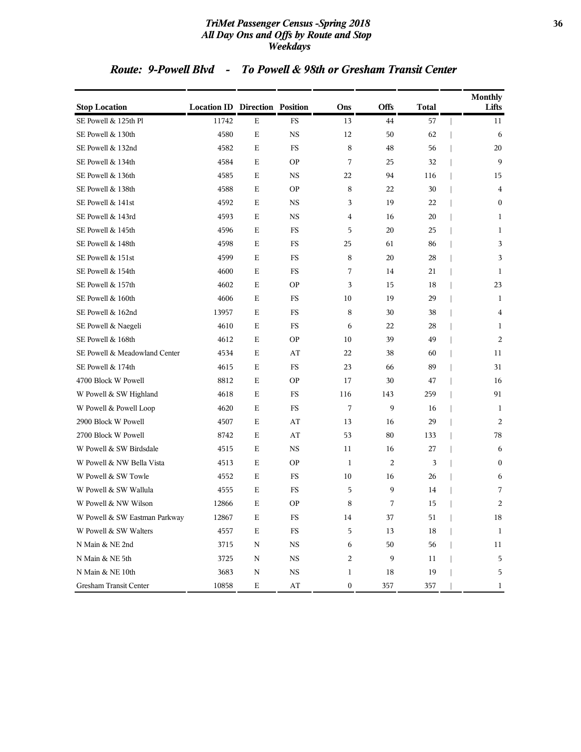#### *TriMet Passenger Census -Spring 2018* **36** *All Day Ons and Offs by Route and Stop Weekdays*

### *Route: 9-Powell Blvd - To Powell & 98th or Gresham Transit Center*

| <b>Stop Location</b>          | <b>Location ID Direction Position</b> |             |                        | Ons              | Offs | <b>Total</b> | <b>Monthly</b><br>Lifts |
|-------------------------------|---------------------------------------|-------------|------------------------|------------------|------|--------------|-------------------------|
| SE Powell & 125th Pl          | 11742                                 | Ε           | FS                     | 13               | 44   | 57           | 11                      |
| SE Powell & 130th             | 4580                                  | $\mathbf E$ | <b>NS</b>              | 12               | 50   | 62           | 6                       |
| SE Powell & 132nd             | 4582                                  | Ε           | FS                     | 8                | 48   | 56           | 20                      |
| SE Powell & 134th             | 4584                                  | Ε           | <b>OP</b>              | 7                | 25   | 32           | 9                       |
| SE Powell & 136th             | 4585                                  | Ε           | <b>NS</b>              | 22               | 94   | 116          | 15                      |
| SE Powell & 138th             | 4588                                  | Ε           | <b>OP</b>              | 8                | 22   | 30           | 4                       |
| SE Powell & 141st             | 4592                                  | Ε           | <b>NS</b>              | 3                | 19   | 22           | $\boldsymbol{0}$        |
| SE Powell & 143rd             | 4593                                  | Ε           | <b>NS</b>              | 4                | 16   | 20           | 1                       |
| SE Powell & 145th             | 4596                                  | Ε           | FS                     | 5                | 20   | 25           | 1                       |
| SE Powell & 148th             | 4598                                  | Ε           | FS                     | 25               | 61   | 86           | 3                       |
| SE Powell & 151st             | 4599                                  | Ε           | FS                     | 8                | 20   | 28           | 3                       |
| SE Powell & 154th             | 4600                                  | Ε           | <b>FS</b>              | 7                | 14   | 21           | 1                       |
| SE Powell & 157th             | 4602                                  | Ε           | <b>OP</b>              | 3                | 15   | 18           | 23                      |
| SE Powell & 160th             | 4606                                  | Ε           | FS                     | 10               | 19   | 29           | 1                       |
| SE Powell & 162nd             | 13957                                 | Ε           | FS                     | 8                | 30   | 38           | 4                       |
| SE Powell & Naegeli           | 4610                                  | Ε           | FS                     | 6                | 22   | 28           | 1                       |
| SE Powell & 168th             | 4612                                  | Ε           | <b>OP</b>              | 10               | 39   | 49           | 2                       |
| SE Powell & Meadowland Center | 4534                                  | $\mathbf E$ | AT                     | 22               | 38   | 60           | 11                      |
| SE Powell & 174th             | 4615                                  | Ε           | FS                     | 23               | 66   | 89           | 31                      |
| 4700 Block W Powell           | 8812                                  | Ε           | <b>OP</b>              | 17               | 30   | 47           | 16                      |
| W Powell & SW Highland        | 4618                                  | Ε           | FS                     | 116              | 143  | 259          | 91                      |
| W Powell & Powell Loop        | 4620                                  | Ε           | <b>FS</b>              | 7                | 9    | 16           | 1                       |
| 2900 Block W Powell           | 4507                                  | Ε           | AT                     | 13               | 16   | 29           | 2                       |
| 2700 Block W Powell           | 8742                                  | Ε           | AT                     | 53               | 80   | 133          | 78                      |
| W Powell & SW Birdsdale       | 4515                                  | Ε           | <b>NS</b>              | 11               | 16   | 27           | 6                       |
| W Powell & NW Bella Vista     | 4513                                  | Ε           | <b>OP</b>              | 1                | 2    | 3            | $\bf{0}$                |
| W Powell & SW Towle           | 4552                                  | Ε           | <b>FS</b>              | 10               | 16   | 26           | 6                       |
| W Powell & SW Wallula         | 4555                                  | Ε           | FS                     | 5                | 9    | 14           | 7                       |
| W Powell & NW Wilson          | 12866                                 | Ε           | <b>OP</b>              | 8                | 7    | 15           | $\overline{2}$          |
| W Powell & SW Eastman Parkway | 12867                                 | E           | FS                     | 14               | 37   | 51           | 18                      |
| W Powell & SW Walters         | 4557                                  | $\mathbf E$ | $_{\rm FS}$            | 5                | 13   | 18           | 1                       |
| N Main & NE 2nd               | 3715                                  | N           | $_{\rm NS}$            | 6                | 50   | 56           | $11\,$                  |
| N Main & NE 5th               | 3725                                  | N           | $_{\rm NS}$            | 2                | 9    | 11           | $\overline{5}$          |
| N Main & NE 10th              | 3683                                  | N           | NS                     | 1                | 18   | 19           | 5                       |
| Gresham Transit Center        | 10858                                 | $\mathbf E$ | $\mathbf{A}\mathbf{T}$ | $\boldsymbol{0}$ | 357  | 357          | $\mathbf{1}$            |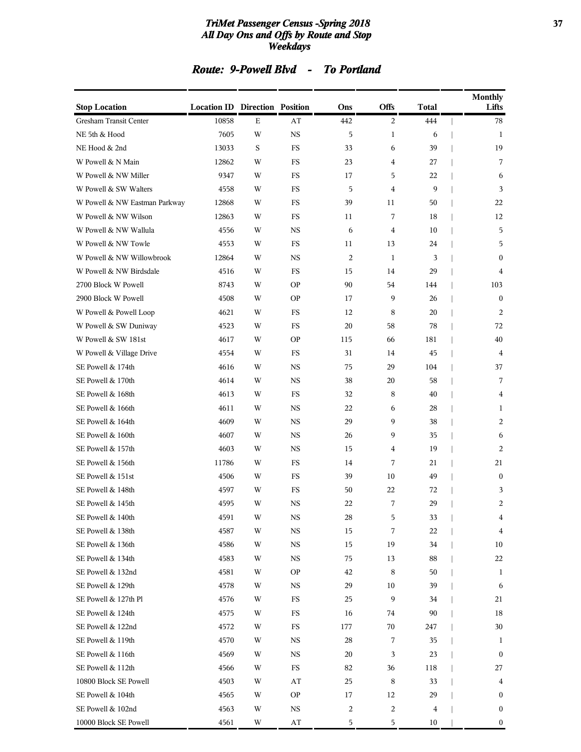#### *TriMet Passenger Census -Spring 2018* **37** *All Day Ons and Offs by Route and Stop Weekdays*

## *Route: 9-Powell Blvd - To Portland*

| <b>Stop Location</b>          | <b>Location ID Direction Position</b> |         |             | Ons            | Offs           | <b>Total</b> | <b>Monthly</b><br>Lifts |
|-------------------------------|---------------------------------------|---------|-------------|----------------|----------------|--------------|-------------------------|
| Gresham Transit Center        | 10858                                 | E       | AT          | 442            | $\overline{c}$ | 444          | 78                      |
| NE 5th & Hood                 | 7605                                  | W       | $_{\rm NS}$ | 5              | $\mathbf{1}$   | 6            | 1                       |
| NE Hood & 2nd                 | 13033                                 | $\rm S$ | <b>FS</b>   | 33             | 6              | 39           | 19                      |
| W Powell & N Main             | 12862                                 | W       | <b>FS</b>   | 23             | 4              | 27           | 7                       |
| W Powell & NW Miller          | 9347                                  | W       | <b>FS</b>   | 17             | 5              | 22           | 6                       |
| W Powell & SW Walters         | 4558                                  | W       | <b>FS</b>   | 5              | $\overline{4}$ | 9            | 3                       |
| W Powell & NW Eastman Parkway | 12868                                 | W       | <b>FS</b>   | 39             | 11             | 50           | 22                      |
| W Powell & NW Wilson          | 12863                                 | W       | <b>FS</b>   | 11             | 7              | 18           | 12                      |
| W Powell & NW Wallula         | 4556                                  | W       | <b>NS</b>   | 6              | $\overline{4}$ | 10           | 5                       |
| W Powell & NW Towle           | 4553                                  | W       | FS          | 11             | 13             | 24           | 5                       |
| W Powell & NW Willowbrook     | 12864                                 | W       | <b>NS</b>   | 2              | $\mathbf{1}$   | 3            | $\mathbf{0}$            |
| W Powell & NW Birdsdale       | 4516                                  | W       | <b>FS</b>   | 15             | 14             | 29           | 4                       |
| 2700 Block W Powell           | 8743                                  | W       | <b>OP</b>   | 90             | 54             | 144          | 103                     |
| 2900 Block W Powell           | 4508                                  | W       | <b>OP</b>   | 17             | 9              | 26           | $\mathbf{0}$            |
| W Powell & Powell Loop        | 4621                                  | W       | <b>FS</b>   | 12             | 8              | 20           | 2                       |
| W Powell & SW Duniway         | 4523                                  | W       | FS          | 20             | 58             | 78           | 72                      |
| W Powell & SW 181st           | 4617                                  | W       | <b>OP</b>   | 115            | 66             | 181          | 40                      |
| W Powell & Village Drive      | 4554                                  | W       | FS          | 31             | 14             | 45           | $\overline{4}$          |
| SE Powell & 174th             | 4616                                  | W       | <b>NS</b>   | 75             | 29             | 104          | 37                      |
| SE Powell & 170th             | 4614                                  | W       | $_{\rm NS}$ | 38             | 20             | 58           | 7                       |
| SE Powell & 168th             | 4613                                  | W       | FS          | 32             | $\,8\,$        | 40           | 4                       |
| SE Powell & 166th             | 4611                                  | W       | <b>NS</b>   | 22             | 6              | 28           | 1                       |
| SE Powell & 164th             | 4609                                  | W       | <b>NS</b>   | 29             | 9              | 38           | 2                       |
| SE Powell & 160th             | 4607                                  | W       | <b>NS</b>   | 26             | 9              | 35           | 6                       |
| SE Powell & 157th             | 4603                                  | W       | $_{\rm NS}$ | 15             | 4              | 19           | 2                       |
| SE Powell & 156th             | 11786                                 | W       | FS          | 14             | 7              | 21           | 21                      |
| SE Powell & 151st             | 4506                                  | W       | <b>FS</b>   | 39             | 10             | 49           | $\mathbf{0}$            |
| SE Powell & 148th             | 4597                                  | W       | FS          | 50             | 22             | 72           | 3                       |
| SE Powell & 145th             | 4595                                  | W       | <b>NS</b>   | 22             | 7              | 29           | 2                       |
| SE Powell & 140th             | 4591                                  | W       | $_{\rm NS}$ | ${\bf 28}$     | 5              | $33\,$       | 4                       |
| SE Powell & 138th             | 4587                                  | W       | $_{\rm NS}$ | 15             | 7              | 22           | 4                       |
| SE Powell & 136th             | 4586                                  | W       | $_{\rm NS}$ | 15             | 19             | 34           | $10\,$                  |
| SE Powell & 134th             | 4583                                  | W       | $_{\rm NS}$ | 75             | 13             | 88           | 22                      |
| SE Powell & 132nd             | 4581                                  | W       | OP.         | 42             | 8              | 50           | 1                       |
| SE Powell & 129th             | 4578                                  | W       | NS          | 29             | 10             | 39           | 6                       |
| SE Powell & 127th Pl          | 4576                                  | W       | $_{\rm FS}$ | 25             | 9              | 34           | 21                      |
| SE Powell & 124th             | 4575                                  | W       | FS          | 16             | 74             | 90           | 18                      |
| SE Powell & 122nd             | 4572                                  | W       | FS          | 177            | 70             | 247          | 30                      |
| SE Powell & 119th             | 4570                                  | W       | NS          | 28             | 7              | 35           | 1                       |
| SE Powell & 116th             | 4569                                  | W       | NS          | 20             | 3              | 23           | $\mathbf{0}$            |
| SE Powell & 112th             | 4566                                  | W       | $_{\rm FS}$ | 82             | 36             | 118          | 27                      |
| 10800 Block SE Powell         | 4503                                  | W       | AT          | 25             | 8              | 33           | 4                       |
| SE Powell & 104th             | 4565                                  | W       | <b>OP</b>   | 17             | 12             | 29           | $\mathbf{0}$            |
| SE Powell & 102nd             | 4563                                  | W       | NS          | $\overline{c}$ | $\overline{c}$ | 4            | $\bf{0}$                |
| 10000 Block SE Powell         | 4561                                  | W       | AT          | 5              | 5              | 10           | $\boldsymbol{0}$        |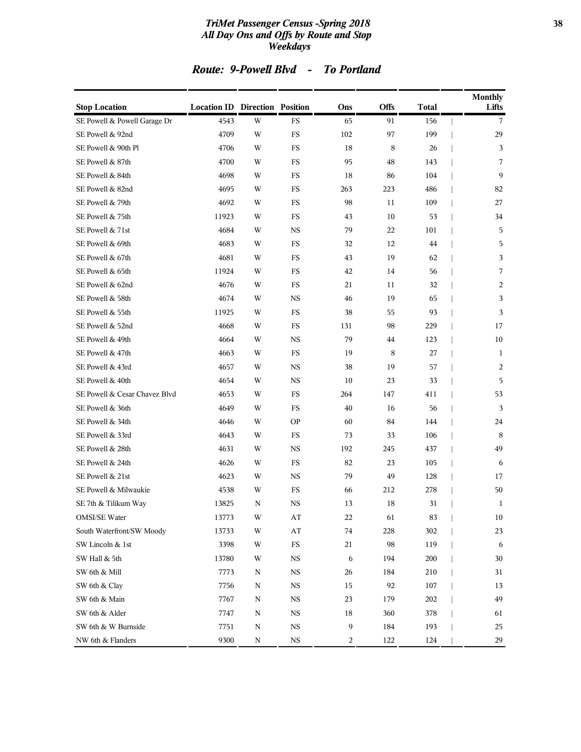#### *TriMet Passenger Census -Spring 2018* **38** *All Day Ons and Offs by Route and Stop Weekdays*

|  | Route: 9-Powell Blvd |  | <b>To Portland</b> |
|--|----------------------|--|--------------------|
|--|----------------------|--|--------------------|

| <b>Stop Location</b>          | <b>Location ID Direction Position</b> |   |                        | Ons | Offs    | <b>Total</b> | <b>Monthly</b><br>Lifts |
|-------------------------------|---------------------------------------|---|------------------------|-----|---------|--------------|-------------------------|
| SE Powell & Powell Garage Dr  | 4543                                  | W | FS                     | 65  | 91      | 156          | 7                       |
| SE Powell & 92nd              | 4709                                  | W | FS                     | 102 | 97      | 199          | 29                      |
| SE Powell & 90th Pl           | 4706                                  | W | <b>FS</b>              | 18  | $\,8\,$ | 26           | 3                       |
| SE Powell & 87th              | 4700                                  | W | <b>FS</b>              | 95  | 48      | 143          | 7                       |
| SE Powell & 84th              | 4698                                  | W | FS                     | 18  | 86      | 104          | 9                       |
| SE Powell & 82nd              | 4695                                  | W | <b>FS</b>              | 263 | 223     | 486          | 82                      |
| SE Powell & 79th              | 4692                                  | W | FS                     | 98  | 11      | 109          | 27                      |
| SE Powell & 75th              | 11923                                 | W | <b>FS</b>              | 43  | 10      | 53           | 34                      |
| SE Powell & 71st              | 4684                                  | W | <b>NS</b>              | 79  | 22      | 101          | 5                       |
| SE Powell & 69th              | 4683                                  | W | $_{\rm FS}$            | 32  | 12      | 44           | 5                       |
| SE Powell & 67th              | 4681                                  | W | <b>FS</b>              | 43  | 19      | 62           | 3                       |
| SE Powell & 65th              | 11924                                 | W | $_{\rm FS}$            | 42  | 14      | 56           | 7                       |
| SE Powell & 62nd              | 4676                                  | W | <b>FS</b>              | 21  | 11      | 32           | 2                       |
| SE Powell & 58th              | 4674                                  | W | <b>NS</b>              | 46  | 19      | 65           | 3                       |
| SE Powell & 55th              | 11925                                 | W | $_{\rm FS}$            | 38  | 55      | 93           | 3                       |
| SE Powell & 52nd              | 4668                                  | W | FS                     | 131 | 98      | 229          | 17                      |
| SE Powell & 49th              | 4664                                  | W | <b>NS</b>              | 79  | 44      | 123          | 10                      |
| SE Powell & 47th              | 4663                                  | W | <b>FS</b>              | 19  | 8       | 27           | 1                       |
| SE Powell & 43rd              | 4657                                  | W | <b>NS</b>              | 38  | 19      | 57           | 2                       |
| SE Powell & 40th              | 4654                                  | W | <b>NS</b>              | 10  | 23      | 33           | 5                       |
| SE Powell & Cesar Chavez Blvd | 4653                                  | W | FS                     | 264 | 147     | 411          | 53                      |
| SE Powell & 36th              | 4649                                  | W | FS                     | 40  | 16      | 56           | 3                       |
| SE Powell & 34th              | 4646                                  | W | <b>OP</b>              | 60  | 84      | 144          | 24                      |
| SE Powell & 33rd              | 4643                                  | W | FS                     | 73  | 33      | 106          | 8                       |
| SE Powell & 28th              | 4631                                  | W | <b>NS</b>              | 192 | 245     | 437          | 49                      |
| SE Powell & 24th              | 4626                                  | W | FS                     | 82  | 23      | 105          | 6                       |
| SE Powell & 21st              | 4623                                  | W | <b>NS</b>              | 79  | 49      | 128          | 17                      |
| SE Powell & Milwaukie         | 4538                                  | W | FS                     | 66  | 212     | 278          | 50                      |
| SE 7th & Tilikum Way          | 13825                                 | N | <b>NS</b>              | 13  | 18      | 31           | 1                       |
| <b>OMSI/SE Water</b>          | 13773                                 | W | AT                     | 22  | 61      | 83           | $10\,$                  |
| South Waterfront/SW Moody     | 13733                                 | W | $\mathbf{A}\mathbf{T}$ | 74  | 228     | 302          | 23                      |
| SW Lincoln & 1st              | 3398                                  | W | $_{\rm FS}$            | 21  | 98      | 119          | 6                       |
| SW Hall & 5th                 | 13780                                 | W | $_{\rm NS}$            | 6   | 194     | 200          | 30                      |
| SW 6th & Mill                 | 7773                                  | N | <b>NS</b>              | 26  | 184     | 210          | 31                      |
| SW 6th & Clay                 | 7756                                  | N | $_{\rm NS}$            | 15  | 92      | 107          | 13                      |
| SW 6th & Main                 | 7767                                  | N | $_{\rm NS}$            | 23  | 179     | 202          | 49                      |
| SW 6th & Alder                | 7747                                  | N | $_{\rm NS}$            | 18  | 360     | 378          | 61                      |
| SW 6th & W Burnside           | 7751                                  | N | $_{\rm NS}$            | 9   | 184     | 193          | 25                      |
| NW 6th & Flanders             | 9300                                  | N | $_{\rm NS}$            | 2   | 122     | 124          | 29                      |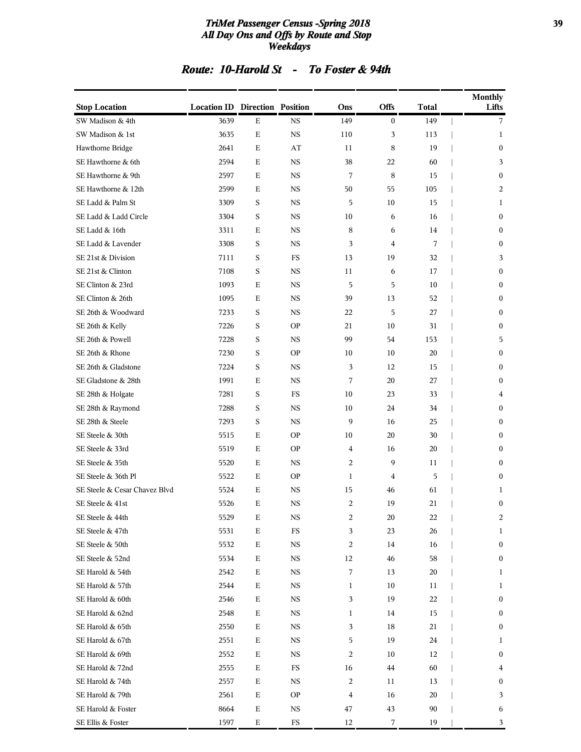#### *TriMet Passenger Census -Spring 2018* **39** *All Day Ons and Offs by Route and Stop Weekdays*

### *Route: 10-Harold St - To Foster & 94th*

| <b>Stop Location</b>          | <b>Location ID Direction Position</b> |             |             | Ons            | Offs           | Total  | <b>Monthly</b><br>Lifts |
|-------------------------------|---------------------------------------|-------------|-------------|----------------|----------------|--------|-------------------------|
| SW Madison & 4th              | 3639                                  | Ε           | <b>NS</b>   | 149            | $\overline{0}$ | 149    | 7                       |
| SW Madison & 1st              | 3635                                  | $\mathbf E$ | <b>NS</b>   | 110            | 3              | 113    | 1                       |
| Hawthorne Bridge              | 2641                                  | E           | AT          | 11             | 8              | 19     | $\boldsymbol{0}$        |
| SE Hawthorne & 6th            | 2594                                  | Ε           | <b>NS</b>   | 38             | 22             | 60     | 3                       |
| SE Hawthorne & 9th            | 2597                                  | E           | <b>NS</b>   | 7              | 8              | 15     | $\mathbf{0}$            |
| SE Hawthorne & 12th           | 2599                                  | Ε           | <b>NS</b>   | 50             | 55             | 105    | 2                       |
| SE Ladd & Palm St             | 3309                                  | $\rm S$     | <b>NS</b>   | 5              | 10             | 15     | 1                       |
| SE Ladd & Ladd Circle         | 3304                                  | S           | <b>NS</b>   | 10             | 6              | 16     | $\boldsymbol{0}$        |
| SE Ladd & 16th                | 3311                                  | Ε           | <b>NS</b>   | 8              | 6              | 14     | $\boldsymbol{0}$        |
| SE Ladd & Lavender            | 3308                                  | S           | <b>NS</b>   | 3              | 4              | 7      | $\mathbf{0}$            |
| SE 21st & Division            | 7111                                  | S           | <b>FS</b>   | 13             | 19             | 32     | 3                       |
| SE 21st & Clinton             | 7108                                  | $\rm S$     | <b>NS</b>   | 11             | 6              | 17     | $\boldsymbol{0}$        |
| SE Clinton & 23rd             | 1093                                  | Е           | <b>NS</b>   | 5              | 5              | 10     | $\boldsymbol{0}$        |
| SE Clinton & 26th             | 1095                                  | Ε           | <b>NS</b>   | 39             | 13             | 52     | $\boldsymbol{0}$        |
| SE 26th & Woodward            | 7233                                  | S           | <b>NS</b>   | 22             | 5              | 27     | $\boldsymbol{0}$        |
| SE 26th & Kelly               | 7226                                  | S           | <b>OP</b>   | 21             | 10             | 31     | $\mathbf{0}$            |
| SE 26th & Powell              | 7228                                  | $\rm S$     | <b>NS</b>   | 99             | 54             | 153    | 5                       |
| SE 26th & Rhone               | 7230                                  | $\rm S$     | <b>OP</b>   | 10             | 10             | 20     | $\boldsymbol{0}$        |
| SE 26th & Gladstone           | 7224                                  | $\rm S$     | <b>NS</b>   | 3              | 12             | 15     | $\boldsymbol{0}$        |
| SE Gladstone & 28th           | 1991                                  | E           | <b>NS</b>   | 7              | 20             | 27     | $\mathbf{0}$            |
| SE 28th & Holgate             | 7281                                  | S           | FS          | 10             | 23             | 33     | 4                       |
| SE 28th & Raymond             | 7288                                  | S           | <b>NS</b>   | 10             | 24             | 34     | $\boldsymbol{0}$        |
| SE 28th & Steele              | 7293                                  | $\rm S$     | <b>NS</b>   | 9              | 16             | 25     | $\boldsymbol{0}$        |
| SE Steele & 30th              | 5515                                  | Ε           | <b>OP</b>   | 10             | 20             | 30     | 0                       |
| SE Steele & 33rd              | 5519                                  | E           | <b>OP</b>   | $\overline{4}$ | 16             | 20     | $\mathbf{0}$            |
| SE Steele & 35th              | 5520                                  | Ε           | <b>NS</b>   | 2              | 9              | 11     | $\mathbf{0}$            |
| SE Steele & 36th Pl           | 5522                                  | Ε           | <b>OP</b>   | $\mathbf{1}$   | $\overline{4}$ | 5      | $\boldsymbol{0}$        |
| SE Steele & Cesar Chavez Blvd | 5524                                  | E           | <b>NS</b>   | 15             | 46             | 61     | 1                       |
| SE Steele & 41st              | 5526                                  | Ε           | NS          | 2              | 19             | 21     | $\boldsymbol{0}$        |
| SE Steele & 44th              | 5529                                  | $\mathbf E$ | $_{\rm NS}$ | 2              | $20\,$         | $22\,$ | 2                       |
| SE Steele & 47th              | 5531                                  | $\mathbf E$ | $_{\rm FS}$ | 3              | 23             | 26     | 1                       |
| SE Steele & 50th              | 5532                                  | ${\bf E}$   | <b>NS</b>   | 2              | 14             | 16     | $\boldsymbol{0}$        |
| SE Steele & 52nd              | 5534                                  | $\mathbf E$ | $_{\rm NS}$ | 12             | 46             | 58     | $\boldsymbol{0}$        |
| SE Harold & 54th              | 2542                                  | ${\bf E}$   | <b>NS</b>   | 7              | 13             | 20     | 1                       |
| SE Harold & 57th              | 2544                                  | $\mathbf E$ | <b>NS</b>   | $\mathbf{1}$   | 10             | 11     | 1                       |
| SE Harold & 60th              | 2546                                  | ${\bf E}$   | <b>NS</b>   | 3              | 19             | 22     | $\boldsymbol{0}$        |
| SE Harold & 62nd              | 2548                                  | Ε           | NS          | 1              | 14             | 15     | 0                       |
| SE Harold & 65th              | 2550                                  | ${\bf E}$   | <b>NS</b>   | 3              | 18             | 21     | $\boldsymbol{0}$        |
| SE Harold & 67th              | 2551                                  | ${\bf E}$   | <b>NS</b>   | 5              | 19             | 24     | 1                       |
| SE Harold & 69th              | 2552                                  | $\mathbf E$ | <b>NS</b>   | 2              | 10             | 12     | $\boldsymbol{0}$        |
| SE Harold & 72nd              | 2555                                  | $\mathbf E$ | $_{\rm FS}$ | 16             | 44             | 60     | 4                       |
| SE Harold & 74th              | 2557                                  | Ε           | <b>NS</b>   | 2              | 11             | 13     | 0                       |
| SE Harold & 79th              | 2561                                  | $\mathbf E$ | <b>OP</b>   | 4              | 16             | 20     | 3                       |
| SE Harold & Foster            | 8664                                  | $\mathbf E$ | NS          | 47             | 43             | 90     | 6                       |
| SE Ellis & Foster             | 1597                                  | $\mathbf E$ | $_{\rm FS}$ | 12             | 7              | 19     | 3                       |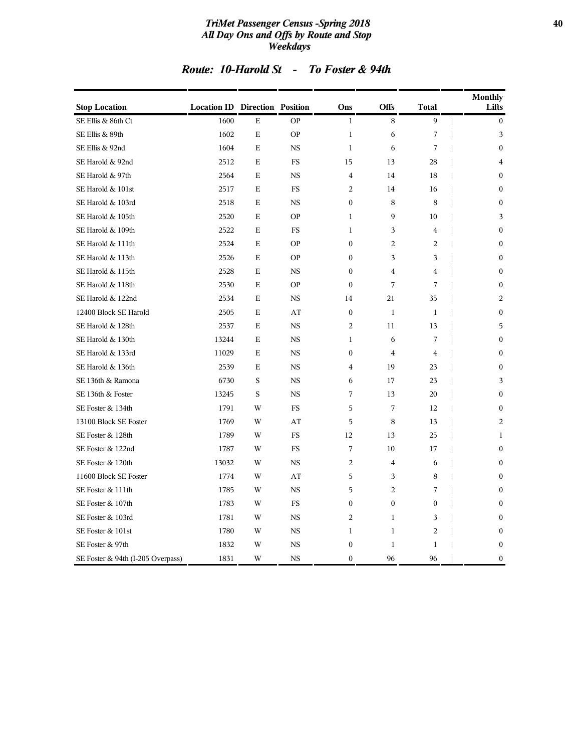#### *TriMet Passenger Census -Spring 2018* **40** *All Day Ons and Offs by Route and Stop Weekdays*

|  | Route: 10-Harold St |  | To Foster & 94th |  |  |
|--|---------------------|--|------------------|--|--|
|--|---------------------|--|------------------|--|--|

| <b>Stop Location</b>              | <b>Location ID Direction Position</b> |             |           | Ons              | <b>Offs</b>    | <b>Total</b>     | <b>Monthly</b><br>Lifts |
|-----------------------------------|---------------------------------------|-------------|-----------|------------------|----------------|------------------|-------------------------|
| SE Ellis & 86th Ct                | 1600                                  | Е           | <b>OP</b> | $\mathbf{1}$     | 8              | 9                | $\bf{0}$                |
| SE Ellis & 89th                   | 1602                                  | Е           | <b>OP</b> | $\mathbf{1}$     | 6              | 7                | 3                       |
| SE Ellis & 92nd                   | 1604                                  | E           | <b>NS</b> | $\mathbf{1}$     | 6              | 7                | $\mathbf{0}$            |
| SE Harold & 92nd                  | 2512                                  | Е           | <b>FS</b> | 15               | 13             | 28               | $\overline{4}$          |
| SE Harold & 97th                  | 2564                                  | E           | <b>NS</b> | $\overline{4}$   | 14             | 18               | $\mathbf{0}$            |
| SE Harold & 101st                 | 2517                                  | E           | FS        | 2                | 14             | 16               | $\mathbf{0}$            |
| SE Harold & 103rd                 | 2518                                  | Е           | <b>NS</b> | $\boldsymbol{0}$ | 8              | 8                | $\boldsymbol{0}$        |
| SE Harold & 105th                 | 2520                                  | Е           | <b>OP</b> | $\mathbf{1}$     | 9              | 10               | 3                       |
| SE Harold & 109th                 | 2522                                  | $\mathbf E$ | <b>FS</b> | 1                | 3              | $\overline{4}$   | $\mathbf{0}$            |
| SE Harold & 111th                 | 2524                                  | $\mathbf E$ | <b>OP</b> | $\mathbf{0}$     | $\overline{2}$ | 2                | $\mathbf{0}$            |
| SE Harold & 113th                 | 2526                                  | E           | <b>OP</b> | $\theta$         | 3              | 3                | $\theta$                |
| SE Harold & 115th                 | 2528                                  | Е           | <b>NS</b> | $\boldsymbol{0}$ | $\overline{4}$ | $\overline{4}$   | $\boldsymbol{0}$        |
| SE Harold & 118th                 | 2530                                  | Е           | <b>OP</b> | $\mathbf{0}$     | 7              | 7                | $\boldsymbol{0}$        |
| SE Harold & 122nd                 | 2534                                  | $\mathbf E$ | <b>NS</b> | 14               | 21             | 35               | $\overline{2}$          |
| 12400 Block SE Harold             | 2505                                  | $\mathbf E$ | AT        | $\mathbf{0}$     | $\mathbf{1}$   | $\mathbf{1}$     | $\mathbf{0}$            |
| SE Harold & 128th                 | 2537                                  | E           | <b>NS</b> | 2                | 11             | 13               | 5                       |
| SE Harold & 130th                 | 13244                                 | Е           | <b>NS</b> | 1                | 6              | 7                | $\Omega$                |
| SE Harold & 133rd                 | 11029                                 | Е           | <b>NS</b> | $\mathbf{0}$     | $\overline{4}$ | $\overline{4}$   | $\mathbf{0}$            |
| SE Harold & 136th                 | 2539                                  | Е           | <b>NS</b> | $\overline{4}$   | 19             | 23               | $\mathbf{0}$            |
| SE 136th & Ramona                 | 6730                                  | S           | <b>NS</b> | 6                | 17             | 23               | 3                       |
| SE 136th & Foster                 | 13245                                 | S           | <b>NS</b> | 7                | 13             | 20               | $\mathbf{0}$            |
| SE Foster & 134th                 | 1791                                  | W           | FS        | 5                | 7              | 12               | $\mathbf{0}$            |
| 13100 Block SE Foster             | 1769                                  | W           | AT        | 5                | 8              | 13               | $\overline{2}$          |
| SE Foster & 128th                 | 1789                                  | W           | <b>FS</b> | 12               | 13             | 25               | $\mathbf{1}$            |
| SE Foster & 122nd                 | 1787                                  | W           | <b>FS</b> | 7                | 10             | 17               | $\mathbf{0}$            |
| SE Foster & 120th                 | 13032                                 | W           | <b>NS</b> | $\overline{2}$   | $\overline{4}$ | 6                | $\mathbf{0}$            |
| 11600 Block SE Foster             | 1774                                  | W           | AT        | 5                | 3              | 8                | $\mathbf{0}$            |
| SE Foster & 111th                 | 1785                                  | W           | <b>NS</b> | 5                | $\overline{2}$ | 7                | $\boldsymbol{0}$        |
| SE Foster & 107th                 | 1783                                  | W           | <b>FS</b> | $\mathbf{0}$     | $\mathbf{0}$   | $\boldsymbol{0}$ | $\mathbf{0}$            |
| SE Foster & 103rd                 | 1781                                  | W           | <b>NS</b> | 2                | $\mathbf{1}$   | 3                | $\mathbf{0}$            |
| SE Foster & 101st                 | 1780                                  | W           | <b>NS</b> | $\mathbf{1}$     | $\mathbf{1}$   | $\overline{2}$   | $\mathbf{0}$            |
| SE Foster & 97th                  | 1832                                  | W           | <b>NS</b> | $\mathbf{0}$     | $\mathbf{1}$   | 1                | $\mathbf{0}$            |
| SE Foster & 94th (I-205 Overpass) | 1831                                  | W           | <b>NS</b> | $\mathbf{0}$     | 96             | 96               | $\boldsymbol{0}$        |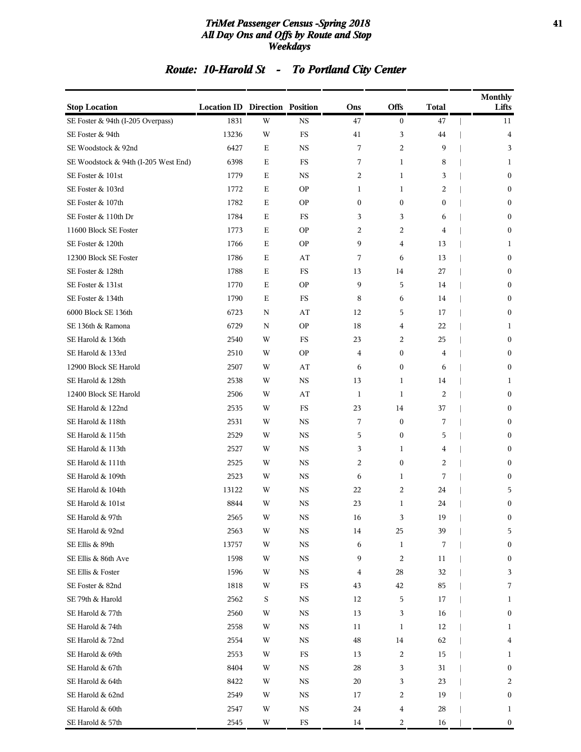#### *TriMet Passenger Census -Spring 2018* **41** *All Day Ons and Offs by Route and Stop Weekdays*

## *Route: 10-Harold St - To Portland City Center*

| <b>Stop Location</b>                 | <b>Location ID Direction Position</b> |             |             | Ons              | Offs             | <b>Total</b>     | <b>Monthly</b><br>Lifts |
|--------------------------------------|---------------------------------------|-------------|-------------|------------------|------------------|------------------|-------------------------|
| SE Foster & 94th (I-205 Overpass)    | 1831                                  | W           | <b>NS</b>   | 47               | $\boldsymbol{0}$ | 47               | 11                      |
| SE Foster & 94th                     | 13236                                 | W           | FS          | 41               | 3                | 44               | 4                       |
| SE Woodstock & 92nd                  | 6427                                  | $\mathbf E$ | <b>NS</b>   | 7                | $\overline{c}$   | 9                | 3                       |
| SE Woodstock & 94th (I-205 West End) | 6398                                  | Ε           | FS          | 7                | $\mathbf{1}$     | 8                | 1                       |
| SE Foster & 101st                    | 1779                                  | Ε           | <b>NS</b>   | 2                | 1                | 3                | $\bf{0}$                |
| SE Foster & 103rd                    | 1772                                  | Ε           | <b>OP</b>   | 1                | 1                | 2                | $\bf{0}$                |
| SE Foster & 107th                    | 1782                                  | Ε           | <b>OP</b>   | $\boldsymbol{0}$ | $\boldsymbol{0}$ | $\boldsymbol{0}$ | $\bf{0}$                |
| SE Foster & 110th Dr                 | 1784                                  | Ε           | FS          | 3                | 3                | 6                | $\boldsymbol{0}$        |
| 11600 Block SE Foster                | 1773                                  | Ε           | <b>OP</b>   | 2                | 2                | 4                | $\mathbf{0}$            |
| SE Foster & 120th                    | 1766                                  | Ε           | <b>OP</b>   | 9                | 4                | 13               | 1                       |
| 12300 Block SE Foster                | 1786                                  | Ε           | AT          | 7                | 6                | 13               | $\boldsymbol{0}$        |
| SE Foster & 128th                    | 1788                                  | Ε           | FS          | 13               | 14               | 27               | $\bf{0}$                |
| SE Foster & 131st                    | 1770                                  | Ε           | <b>OP</b>   | 9                | 5                | 14               | $\boldsymbol{0}$        |
| SE Foster & 134th                    | 1790                                  | Ε           | FS          | 8                | 6                | 14               | $\mathbf{0}$            |
| 6000 Block SE 136th                  | 6723                                  | N           | AT          | 12               | 5                | 17               | $\boldsymbol{0}$        |
| SE 136th & Ramona                    | 6729                                  | N           | <b>OP</b>   | 18               | 4                | 22               | 1                       |
| SE Harold & 136th                    | 2540                                  | W           | FS          | 23               | 2                | 25               | $\bf{0}$                |
| SE Harold & 133rd                    | 2510                                  | W           | <b>OP</b>   | 4                | $\mathbf{0}$     | 4                | $\boldsymbol{0}$        |
| 12900 Block SE Harold                | 2507                                  | W           | AT          | 6                | $\mathbf{0}$     | 6                | $\mathbf{0}$            |
| SE Harold & 128th                    | 2538                                  | W           | <b>NS</b>   | 13               | 1                | 14               | 1                       |
| 12400 Block SE Harold                | 2506                                  | W           | AT          | 1                | 1                | 2                | $\boldsymbol{0}$        |
| SE Harold & 122nd                    | 2535                                  | W           | FS          | 23               | 14               | 37               | $\bf{0}$                |
| SE Harold & 118th                    | 2531                                  | W           | $_{\rm NS}$ | 7                | $\mathbf{0}$     | 7                | $\mathbf{0}$            |
| SE Harold & 115th                    | 2529                                  | W           | <b>NS</b>   | 5                | $\mathbf{0}$     | 5                | $\mathbf{0}$            |
| SE Harold & 113th                    | 2527                                  | W           | <b>NS</b>   | 3                | 1                | 4                | $\boldsymbol{0}$        |
| SE Harold & 111th                    | 2525                                  | W           | <b>NS</b>   | 2                | $\mathbf{0}$     | 2                | $\bf{0}$                |
| SE Harold & 109th                    | 2523                                  | W           | NS          | 6                | 1                | 7                | $\bf{0}$                |
| SE Harold & 104th                    | 13122                                 | W           | <b>NS</b>   | 22               | 2                | 24               | 5                       |
| SE Harold & 101st                    | 8844                                  | W           | <b>NS</b>   | 23               | $\mathbf{1}$     | 24               | $\boldsymbol{0}$        |
| SE Harold & 97th                     | 2565                                  | W           | NS          | 16               | 3                | 19               | $\bf{0}$                |
| SE Harold & 92nd                     | 2563                                  | W           | <b>NS</b>   | 14               | 25               | 39               | 5                       |
| SE Ellis & 89th                      | 13757                                 | W           | NS          | 6                | $\mathbf{1}$     | 7                | $\boldsymbol{0}$        |
| SE Ellis & 86th Ave                  | 1598                                  | W           | NS          | 9                | 2                | 11               | $\boldsymbol{0}$        |
| SE Ellis & Foster                    | 1596                                  | W           | NS          | 4                | 28               | 32               | 3                       |
| SE Foster & 82nd                     | 1818                                  | W           | FS          | 43               | 42               | 85               | 7                       |
| SE 79th & Harold                     | 2562                                  | $\mathbf S$ | $_{\rm NS}$ | 12               | 5                | 17               | 1                       |
| SE Harold & 77th                     | 2560                                  | W           | NS          | 13               | 3                | 16               | $\boldsymbol{0}$        |
| SE Harold & 74th                     | 2558                                  | W           | NS          | 11               | 1                | 12               | 1                       |
| SE Harold & 72nd                     | 2554                                  | W           | NS          | $\rm 48$         | 14               | 62               | 4                       |
| SE Harold & 69th                     | 2553                                  | W           | FS          | 13               | 2                | 15               | 1                       |
| SE Harold & 67th                     | 8404                                  | W           | <b>NS</b>   | 28               | 3                | 31               | $\boldsymbol{0}$        |
| SE Harold & 64th                     | 8422                                  | W           | NS          | 20               | 3                | 23               | 2                       |
| SE Harold & 62nd                     | 2549                                  | W           | NS          | 17               | 2                | 19               | $\boldsymbol{0}$        |
| SE Harold & 60th                     | 2547                                  | W           | NS          | 24               | 4                | 28               | 1                       |
| SE Harold & 57th                     | 2545                                  | W           | FS          | 14               | 2                | 16               | $\boldsymbol{0}$        |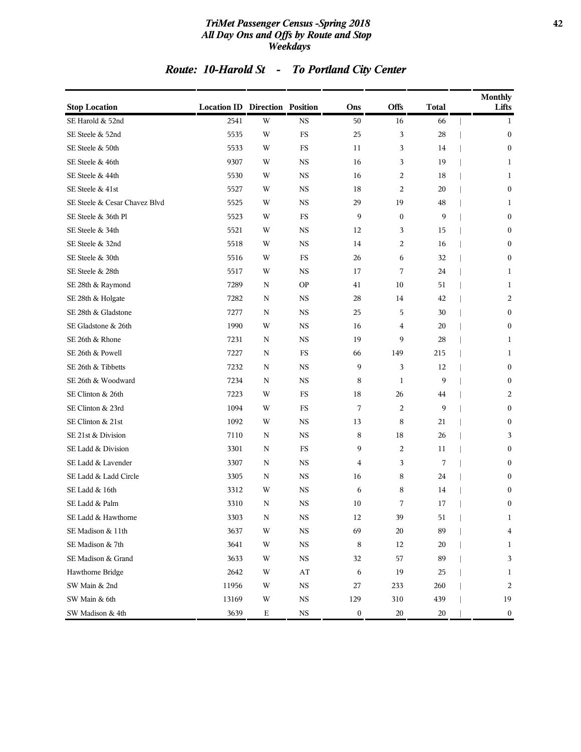#### *TriMet Passenger Census -Spring 2018* **42** *All Day Ons and Offs by Route and Stop Weekdays*

## *Route: 10-Harold St - To Portland City Center*

| <b>Stop Location</b>          | <b>Location ID Direction Position</b> |             |             | Ons              | Offs             | <b>Total</b> | <b>Monthly</b><br>Lifts |
|-------------------------------|---------------------------------------|-------------|-------------|------------------|------------------|--------------|-------------------------|
| SE Harold & 52nd              | 2541                                  | W           | <b>NS</b>   | 50               | 16               | 66           | 1                       |
| SE Steele & 52nd              | 5535                                  | W           | FS          | 25               | 3                | 28           | $\boldsymbol{0}$        |
| SE Steele & 50th              | 5533                                  | W           | FS          | 11               | 3                | 14           | $\boldsymbol{0}$        |
| SE Steele & 46th              | 9307                                  | W           | <b>NS</b>   | 16               | 3                | 19           | 1                       |
| SE Steele & 44th              | 5530                                  | W           | <b>NS</b>   | 16               | $\overline{c}$   | 18           | $\mathbf{1}$            |
| SE Steele & 41st              | 5527                                  | W           | <b>NS</b>   | 18               | $\overline{c}$   | 20           | $\boldsymbol{0}$        |
| SE Steele & Cesar Chavez Blvd | 5525                                  | W           | $_{\rm NS}$ | 29               | 19               | 48           | 1                       |
| SE Steele & 36th Pl           | 5523                                  | W           | FS          | 9                | $\boldsymbol{0}$ | 9            | $\boldsymbol{0}$        |
| SE Steele & 34th              | 5521                                  | W           | <b>NS</b>   | 12               | 3                | 15           | $\bf{0}$                |
| SE Steele & 32nd              | 5518                                  | W           | <b>NS</b>   | 14               | $\overline{c}$   | 16           | $\mathbf{0}$            |
| SE Steele & 30th              | 5516                                  | W           | FS          | 26               | 6                | 32           | $\boldsymbol{0}$        |
| SE Steele & 28th              | 5517                                  | W           | $_{\rm NS}$ | 17               | 7                | 24           | 1                       |
| SE 28th & Raymond             | 7289                                  | N           | <b>OP</b>   | 41               | 10               | 51           | 1                       |
| SE 28th & Holgate             | 7282                                  | N           | <b>NS</b>   | 28               | 14               | 42           | 2                       |
| SE 28th & Gladstone           | 7277                                  | N           | <b>NS</b>   | 25               | 5                | 30           | $\mathbf{0}$            |
| SE Gladstone & 26th           | 1990                                  | W           | <b>NS</b>   | 16               | 4                | 20           | $\boldsymbol{0}$        |
| SE 26th & Rhone               | 7231                                  | ${\bf N}$   | $_{\rm NS}$ | 19               | 9                | 28           | 1                       |
| SE 26th & Powell              | 7227                                  | N           | FS          | 66               | 149              | 215          | 1                       |
| SE 26th & Tibbetts            | 7232                                  | N           | <b>NS</b>   | 9                | 3                | 12           | $\boldsymbol{0}$        |
| SE 26th & Woodward            | 7234                                  | N           | <b>NS</b>   | 8                | $\mathbf{1}$     | 9            | $\mathbf{0}$            |
| SE Clinton & 26th             | 7223                                  | W           | FS          | 18               | 26               | 44           | $\overline{c}$          |
| SE Clinton & 23rd             | 1094                                  | W           | FS          | 7                | $\overline{c}$   | 9            | $\boldsymbol{0}$        |
| SE Clinton & 21st             | 1092                                  | W           | <b>NS</b>   | 13               | 8                | 21           | $\boldsymbol{0}$        |
| SE 21st & Division            | 7110                                  | N           | <b>NS</b>   | 8                | 18               | 26           | 3                       |
| SE Ladd & Division            | 3301                                  | N           | FS          | 9                | $\overline{c}$   | 11           | $\mathbf{0}$            |
| SE Ladd & Lavender            | 3307                                  | N           | <b>NS</b>   | 4                | 3                | 7            | $\boldsymbol{0}$        |
| SE Ladd & Ladd Circle         | 3305                                  | N           | $_{\rm NS}$ | 16               | 8                | 24           | $\boldsymbol{0}$        |
| SE Ladd & 16th                | 3312                                  | W           | <b>NS</b>   | 6                | 8                | 14           | $\boldsymbol{0}$        |
| SE Ladd & Palm                | 3310                                  | N           | $_{\rm NS}$ | 10               | 7                | 17           | $\boldsymbol{0}$        |
| SE Ladd & Hawthorne           | 3303                                  | $\mathbf N$ | $_{\rm NS}$ | 12               | 39               | 51           | $\mathbf{1}$            |
| SE Madison & 11th             | 3637                                  | W           | $_{\rm NS}$ | 69               | 20               | 89           | $\bf 4$                 |
| SE Madison & 7th              | 3641                                  | W           | $_{\rm NS}$ | 8                | 12               | 20           | 1                       |
| SE Madison & Grand            | 3633                                  | W           | $_{\rm NS}$ | 32               | 57               | 89           | 3                       |
| Hawthorne Bridge              | 2642                                  | W           | AT          | 6                | 19               | 25           | $\mathbf{1}$            |
| SW Main & 2nd                 | 11956                                 | W           | $_{\rm NS}$ | 27               | 233              | 260          | $\overline{2}$          |
| SW Main & 6th                 | 13169                                 | W           | $_{\rm NS}$ | 129              | 310              | 439          | 19                      |
| SW Madison & 4th              | 3639                                  | Е           | $_{\rm NS}$ | $\boldsymbol{0}$ | $20\,$           | $20\,$       | $\bf{0}$                |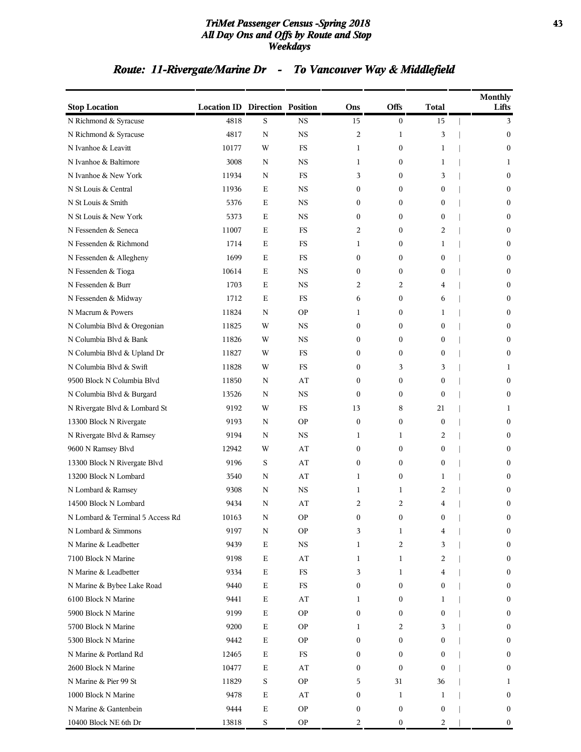#### *TriMet Passenger Census -Spring 2018* **43** *All Day Ons and Offs by Route and Stop Weekdays*

## *Route: 11-Rivergate/Marine Dr - To Vancouver Way & Middlefield*

| <b>Stop Location</b>             | <b>Location ID Direction Position</b> |             |             | Ons              | <b>Offs</b>      | Total            | <b>Monthly</b><br>Lifts |
|----------------------------------|---------------------------------------|-------------|-------------|------------------|------------------|------------------|-------------------------|
| N Richmond & Syracuse            | 4818                                  | S           | <b>NS</b>   | 15               | $\mathbf{0}$     | 15               | 3                       |
| N Richmond & Syracuse            | 4817                                  | N           | <b>NS</b>   | 2                | 1                | 3                | $\boldsymbol{0}$        |
| N Ivanhoe & Leavitt              | 10177                                 | W           | FS          | 1                | $\mathbf{0}$     | 1                | $\mathbf{0}$            |
| N Ivanhoe & Baltimore            | 3008                                  | N           | <b>NS</b>   | 1                | $\boldsymbol{0}$ | 1                | 1                       |
| N Ivanhoe & New York             | 11934                                 | N           | <b>FS</b>   | 3                | $\mathbf{0}$     | 3                | $\mathbf{0}$            |
| N St Louis & Central             | 11936                                 | E           | <b>NS</b>   | $\boldsymbol{0}$ | $\mathbf{0}$     | $\boldsymbol{0}$ | $\bf{0}$                |
| N St Louis & Smith               | 5376                                  | Е           | <b>NS</b>   | 0                | $\mathbf{0}$     | $\boldsymbol{0}$ | $\bf{0}$                |
| N St Louis & New York            | 5373                                  | Е           | <b>NS</b>   | $\mathbf{0}$     | $\mathbf{0}$     | $\mathbf{0}$     | $\bf{0}$                |
| N Fessenden & Seneca             | 11007                                 | E           | FS          | 2                | $\boldsymbol{0}$ | 2                | $\bf{0}$                |
| N Fessenden & Richmond           | 1714                                  | E           | FS          | 1                | $\mathbf{0}$     | 1                | $\mathbf{0}$            |
| N Fessenden & Allegheny          | 1699                                  | ${\bf E}$   | FS          | $\mathbf{0}$     | $\mathbf{0}$     | $\boldsymbol{0}$ | $\bf{0}$                |
| N Fessenden & Tioga              | 10614                                 | Е           | <b>NS</b>   | $\boldsymbol{0}$ | $\mathbf{0}$     | $\boldsymbol{0}$ | $\bf{0}$                |
| N Fessenden & Burr               | 1703                                  | Е           | <b>NS</b>   | 2                | 2                | 4                | $\bf{0}$                |
| N Fessenden & Midway             | 1712                                  | E           | FS          | 6                | $\mathbf{0}$     | 6                | $\bf{0}$                |
| N Macrum & Powers                | 11824                                 | N           | <b>OP</b>   | 1                | $\mathbf{0}$     | 1                | $\mathbf{0}$            |
| N Columbia Blvd & Oregonian      | 11825                                 | W           | <b>NS</b>   | $\mathbf{0}$     | $\mathbf{0}$     | $\boldsymbol{0}$ | $\bf{0}$                |
| N Columbia Blvd & Bank           | 11826                                 | W           | <b>NS</b>   | 0                | $\mathbf{0}$     | $\boldsymbol{0}$ | $\bf{0}$                |
| N Columbia Blvd & Upland Dr      | 11827                                 | W           | FS          | $\mathbf{0}$     | $\mathbf{0}$     | $\mathbf{0}$     | $\overline{0}$          |
| N Columbia Blvd & Swift          | 11828                                 | W           | FS          | 0                | 3                | 3                | 1                       |
| 9500 Block N Columbia Blvd       | 11850                                 | N           | AT          | $\mathbf{0}$     | $\mathbf{0}$     | $\mathbf{0}$     | $\mathbf{0}$            |
| N Columbia Blvd & Burgard        | 13526                                 | N           | <b>NS</b>   | $\mathbf{0}$     | $\mathbf{0}$     | $\mathbf{0}$     | $\mathbf{0}$            |
| N Rivergate Blvd & Lombard St    | 9192                                  | W           | FS          | 13               | 8                | 21               | 1                       |
| 13300 Block N Rivergate          | 9193                                  | N           | <b>OP</b>   | $\mathbf{0}$     | $\mathbf{0}$     | $\mathbf{0}$     | $\bf{0}$                |
| N Rivergate Blvd & Ramsey        | 9194                                  | N           | <b>NS</b>   | 1                | 1                | 2                | $\bf{0}$                |
| 9600 N Ramsey Blvd               | 12942                                 | W           | AT          | $\mathbf{0}$     | $\mathbf{0}$     | $\mathbf{0}$     | $\mathbf{0}$            |
| 13300 Block N Rivergate Blvd     | 9196                                  | S           | AT          | $\mathbf{0}$     | $\mathbf{0}$     | $\mathbf{0}$     | $\bf{0}$                |
| 13200 Block N Lombard            | 3540                                  | N           | AT          | 1                | $\boldsymbol{0}$ | 1                | $\bf{0}$                |
| N Lombard & Ramsey               | 9308                                  | N           | <b>NS</b>   | 1                | 1                | 2                | $\bf{0}$                |
| 14500 Block N Lombard            | 9434                                  | N           | AT          | 2                | $\overline{c}$   | 4                | $\boldsymbol{0}$        |
| N Lombard & Terminal 5 Access Rd | 10163                                 | N           | <b>OP</b>   | 0                | $\boldsymbol{0}$ | 0                | $\bf{0}$                |
| N Lombard & Simmons              | 9197                                  | N           | <b>OP</b>   | 3                | 1                | 4                | $\bf{0}$                |
| N Marine & Leadbetter            | 9439                                  | $\mathbf E$ | $_{\rm NS}$ | 1                | 2                | 3                | $\boldsymbol{0}$        |
| 7100 Block N Marine              | 9198                                  | Е           | AT          | 1                | 1                | 2                | $\boldsymbol{0}$        |
| N Marine & Leadbetter            | 9334                                  | $\mathbf E$ | FS          | 3                | 1                | 4                | $\boldsymbol{0}$        |
| N Marine & Bybee Lake Road       | 9440                                  | $\mathbf E$ | $_{\rm FS}$ | $\boldsymbol{0}$ | $\boldsymbol{0}$ | $\boldsymbol{0}$ | $\boldsymbol{0}$        |
| 6100 Block N Marine              | 9441                                  | $\mathbf E$ | AT          | 1                | $\boldsymbol{0}$ | 1                | $\boldsymbol{0}$        |
| 5900 Block N Marine              | 9199                                  | Е           | <b>OP</b>   | $\boldsymbol{0}$ | $\boldsymbol{0}$ | $\boldsymbol{0}$ | $\boldsymbol{0}$        |
| 5700 Block N Marine              | 9200                                  | Е           | <b>OP</b>   | 1                | 2                | 3                | $\bf{0}$                |
| 5300 Block N Marine              | 9442                                  | $\mathbf E$ | <b>OP</b>   | 0                | $\boldsymbol{0}$ | 0                | $\bf{0}$                |
| N Marine & Portland Rd           | 12465                                 | $\mathbf E$ | $_{\rm FS}$ | 0                | $\boldsymbol{0}$ | $\mathbf{0}$     | $\boldsymbol{0}$        |
| 2600 Block N Marine              | 10477                                 | Е           | AT          | 0                | $\boldsymbol{0}$ | $\mathbf{0}$     | $\boldsymbol{0}$        |
| N Marine & Pier 99 St            | 11829                                 | S           | <b>OP</b>   | 5                | 31               | 36               | 1                       |
| 1000 Block N Marine              | 9478                                  | Е           | AT          | 0                | 1                | 1                | $\bf{0}$                |
| N Marine & Gantenbein            | 9444                                  | $\mathbf E$ | <b>OP</b>   | 0                | $\boldsymbol{0}$ | $\boldsymbol{0}$ | $\bf{0}$                |
| 10400 Block NE 6th Dr            | 13818                                 | S           | <b>OP</b>   | 2                | $\boldsymbol{0}$ | 2                | $\boldsymbol{0}$        |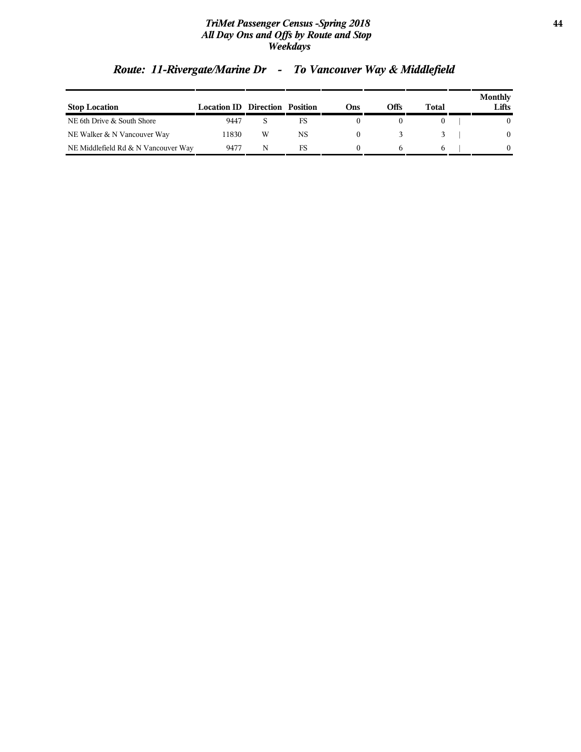#### *TriMet Passenger Census -Spring 2018* **44** *All Day Ons and Offs by Route and Stop Weekdays*

| <b>Stop Location</b>                | <b>Location ID</b> | Direction Position |    | Dns) | Offs | Total | Monthly<br>Lifts |
|-------------------------------------|--------------------|--------------------|----|------|------|-------|------------------|
| NE 6th Drive & South Shore          | 9447               |                    | FS |      |      |       |                  |
| NE Walker & N Vancouver Way         | 11830              | W                  | NS |      |      |       | $\mathbf{0}$     |
| NE Middlefield Rd & N Vancouver Way | 9477               | N                  | FS |      |      |       | 0                |

## *Route: 11-Rivergate/Marine Dr - To Vancouver Way & Middlefield*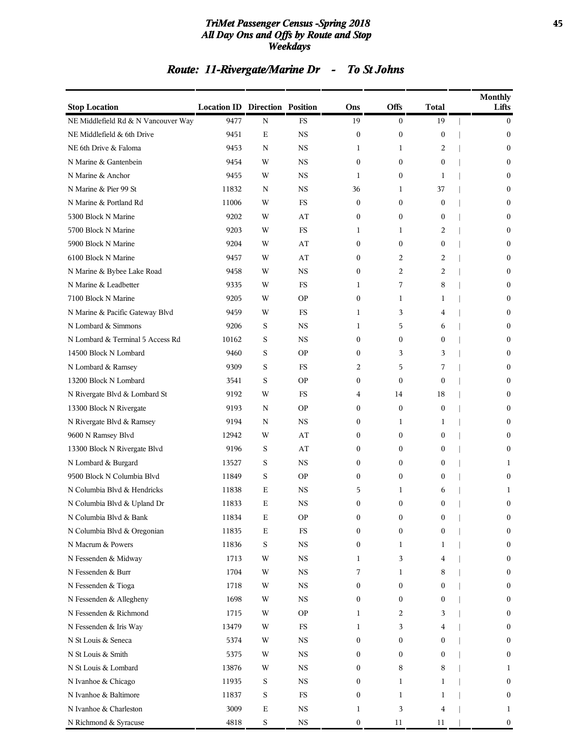#### *TriMet Passenger Census -Spring 2018* **45** *All Day Ons and Offs by Route and Stop Weekdays*

## *Route: 11-Rivergate/Marine Dr - To St Johns*

| <b>Stop Location</b>                | <b>Location ID Direction Position</b> |             |             | Ons              | Offs             | Total            | <b>Monthly</b><br>Lifts |
|-------------------------------------|---------------------------------------|-------------|-------------|------------------|------------------|------------------|-------------------------|
| NE Middlefield Rd & N Vancouver Way | 9477                                  | N           | <b>FS</b>   | 19               | $\overline{0}$   | 19               | 0                       |
| NE Middlefield & 6th Drive          | 9451                                  | Е           | <b>NS</b>   | $\boldsymbol{0}$ | $\boldsymbol{0}$ | $\boldsymbol{0}$ | 0                       |
| NE 6th Drive & Faloma               | 9453                                  | N           | <b>NS</b>   | 1                | 1                | 2                | 0                       |
| N Marine & Gantenbein               | 9454                                  | W           | <b>NS</b>   | $\mathbf{0}$     | $\mathbf{0}$     | $\boldsymbol{0}$ | 0                       |
| N Marine & Anchor                   | 9455                                  | W           | <b>NS</b>   | 1                | $\mathbf{0}$     | 1                | $\mathbf{0}$            |
| N Marine & Pier 99 St               | 11832                                 | N           | <b>NS</b>   | 36               | 1                | 37               | 0                       |
| N Marine & Portland Rd              | 11006                                 | W           | FS          | $\boldsymbol{0}$ | $\mathbf{0}$     | $\boldsymbol{0}$ | 0                       |
| 5300 Block N Marine                 | 9202                                  | W           | AT          | $\theta$         | $\mathbf{0}$     | $\mathbf{0}$     | 0                       |
| 5700 Block N Marine                 | 9203                                  | W           | FS          | 1                | 1                | 2                | 0                       |
| 5900 Block N Marine                 | 9204                                  | W           | AT          | $\theta$         | $\mathbf{0}$     | 0                | $\mathbf{0}$            |
| 6100 Block N Marine                 | 9457                                  | W           | AT          | $\theta$         | 2                | 2                | 0                       |
| N Marine & Bybee Lake Road          | 9458                                  | W           | <b>NS</b>   | $\theta$         | 2                | 2                | 0                       |
| N Marine & Leadbetter               | 9335                                  | W           | <b>FS</b>   | 1                | 7                | 8                | 0                       |
| 7100 Block N Marine                 | 9205                                  | W           | <b>OP</b>   | $\boldsymbol{0}$ | 1                | 1                | 0                       |
| N Marine & Pacific Gateway Blvd     | 9459                                  | W           | <b>FS</b>   | 1                | 3                | 4                | $\mathbf{0}$            |
| N Lombard & Simmons                 | 9206                                  | S           | <b>NS</b>   | 1                | 5                | 6                | 0                       |
| N Lombard & Terminal 5 Access Rd    | 10162                                 | S           | <b>NS</b>   | $\theta$         | $\overline{0}$   | $\boldsymbol{0}$ | 0                       |
| 14500 Block N Lombard               | 9460                                  | S           | <b>OP</b>   | $\theta$         | 3                | 3                | 0                       |
| N Lombard & Ramsey                  | 9309                                  | S           | FS          | 2                | 5                | 7                | 0                       |
| 13200 Block N Lombard               | 3541                                  | S           | <b>OP</b>   | $\mathbf{0}$     | $\mathbf{0}$     | $\mathbf{0}$     | $\mathbf{0}$            |
| N Rivergate Blvd & Lombard St       | 9192                                  | W           | FS          | 4                | 14               | 18               | 0                       |
| 13300 Block N Rivergate             | 9193                                  | N           | <b>OP</b>   | $\theta$         | $\boldsymbol{0}$ | $\boldsymbol{0}$ | 0                       |
| N Rivergate Blvd & Ramsey           | 9194                                  | N           | <b>NS</b>   | $\theta$         | 1                | 1                | 0                       |
| 9600 N Ramsey Blvd                  | 12942                                 | W           | AT          | $\boldsymbol{0}$ | $\mathbf{0}$     | $\boldsymbol{0}$ | 0                       |
| 13300 Block N Rivergate Blvd        | 9196                                  | S           | AT          | $\theta$         | $\mathbf{0}$     | $\mathbf{0}$     | $\mathbf{0}$            |
| N Lombard & Burgard                 | 13527                                 | S           | <b>NS</b>   | $\theta$         | $\mathbf{0}$     | $\boldsymbol{0}$ | 1                       |
| 9500 Block N Columbia Blvd          | 11849                                 | S           | <b>OP</b>   | $\theta$         | $\mathbf{0}$     | 0                | 0                       |
| N Columbia Blvd & Hendricks         | 11838                                 | E           | <b>NS</b>   | 5                | 1                | 6                | 1                       |
| N Columbia Blvd & Upland Dr         | 11833                                 | E           | <b>NS</b>   | $\theta$         | $\overline{0}$   | $\overline{0}$   | $\boldsymbol{0}$        |
| N Columbia Blvd & Bank              | 11834                                 | Ε           | <b>OP</b>   | 0                | 0                | 0                | 0                       |
| N Columbia Blvd & Oregonian         | 11835                                 | Е           | $_{\rm FS}$ | $\mathbf{0}$     | $\mathbf{0}$     | $\mathbf{0}$     | 0                       |
| N Macrum & Powers                   | 11836                                 | S           | $_{\rm NS}$ | $\mathbf{0}$     | 1                | 1                | 0                       |
| N Fessenden & Midway                | 1713                                  | W           | $_{\rm NS}$ | 1                | 3                | 4                | $\boldsymbol{0}$        |
| N Fessenden & Burr                  | 1704                                  | W           | NS          | 7                | 1                | 8                | $\boldsymbol{0}$        |
| N Fessenden & Tioga                 | 1718                                  | W           | $_{\rm NS}$ | $\mathbf{0}$     | $\mathbf{0}$     | $\mathbf{0}$     | 0                       |
| N Fessenden & Allegheny             | 1698                                  | W           | $_{\rm NS}$ | $\mathbf{0}$     | $\mathbf{0}$     | $\boldsymbol{0}$ | 0                       |
| N Fessenden & Richmond              | 1715                                  | W           | <b>OP</b>   | 1                | 2                | 3                | 0                       |
| N Fessenden & Iris Way              | 13479                                 | W           | $_{\rm FS}$ | 1                | 3                | 4                | 0                       |
| N St Louis & Seneca                 | 5374                                  | W           | $_{\rm NS}$ | $\boldsymbol{0}$ | $\boldsymbol{0}$ | $\boldsymbol{0}$ | $\boldsymbol{0}$        |
| N St Louis & Smith                  | 5375                                  | W           | $_{\rm NS}$ | $\mathbf{0}$     | $\overline{0}$   | $\mathbf{0}$     | $\boldsymbol{0}$        |
| N St Louis & Lombard                | 13876                                 | W           | NS          | $\mathbf{0}$     | 8                | 8                | 1                       |
| N Ivanhoe & Chicago                 | 11935                                 | S           | $_{\rm NS}$ | $\mathbf{0}$     | 1                | 1                | 0                       |
| N Ivanhoe & Baltimore               | 11837                                 | S           | $_{\rm FS}$ | $\mathbf{0}$     | 1                | 1                | $\boldsymbol{0}$        |
| N Ivanhoe & Charleston              | 3009                                  | Е           | $_{\rm NS}$ | 1                | 3                | 4                | 1                       |
| N Richmond & Syracuse               | 4818                                  | $\mathbf S$ | $_{\rm NS}$ | $\boldsymbol{0}$ | 11               | 11               | $\boldsymbol{0}$        |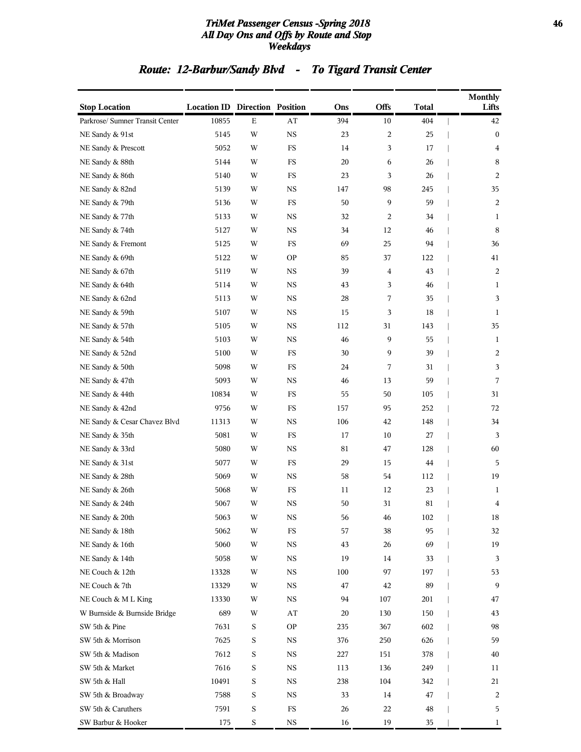#### *TriMet Passenger Census -Spring 2018* **46** *All Day Ons and Offs by Route and Stop Weekdays*

## *Route: 12-Barbur/Sandy Blvd - To Tigard Transit Center*

| <b>Stop Location</b>            | <b>Location ID Direction Position</b> |             |                        | Ons | <b>Offs</b> | <b>Total</b> | <b>Monthly</b><br>Lifts |
|---------------------------------|---------------------------------------|-------------|------------------------|-----|-------------|--------------|-------------------------|
| Parkrose/ Sumner Transit Center | 10855                                 | ${\bf E}$   | $\mathbf{A}\mathbf{T}$ | 394 | $10\,$      | 404          | 42                      |
| NE Sandy & 91st                 | 5145                                  | W           | $_{\rm NS}$            | 23  | 2           | 25           | $\boldsymbol{0}$        |
| NE Sandy & Prescott             | 5052                                  | W           | $_{\rm FS}$            | 14  | 3           | 17           | 4                       |
| NE Sandy & 88th                 | 5144                                  | W           | FS                     | 20  | 6           | 26           | 8                       |
| NE Sandy & 86th                 | 5140                                  | W           | FS                     | 23  | 3           | 26           | $\overline{c}$          |
| NE Sandy & 82nd                 | 5139                                  | W           | $_{\rm NS}$            | 147 | 98          | 245          | 35                      |
| NE Sandy & 79th                 | 5136                                  | W           | FS                     | 50  | 9           | 59           | 2                       |
| NE Sandy & 77th                 | 5133                                  | W           | $_{\rm NS}$            | 32  | 2           | 34           | 1                       |
| NE Sandy & 74th                 | 5127                                  | W           | $_{\rm NS}$            | 34  | 12          | 46           | 8                       |
| NE Sandy & Fremont              | 5125                                  | W           | FS                     | 69  | 25          | 94           | 36                      |
| NE Sandy & 69th                 | 5122                                  | W           | <b>OP</b>              | 85  | 37          | 122          | 41                      |
| NE Sandy & 67th                 | 5119                                  | W           | $_{\rm NS}$            | 39  | 4           | 43           | $\overline{c}$          |
| NE Sandy & 64th                 | 5114                                  | W           | $_{\rm NS}$            | 43  | 3           | 46           | $\mathbf{1}$            |
| NE Sandy & 62nd                 | 5113                                  | W           | $_{\rm NS}$            | 28  | 7           | 35           | 3                       |
| NE Sandy & 59th                 | 5107                                  | W           | $_{\rm NS}$            | 15  | 3           | 18           | 1                       |
| NE Sandy & 57th                 | 5105                                  | W           | $_{\rm NS}$            | 112 | 31          | 143          | 35                      |
| NE Sandy & 54th                 | 5103                                  | W           | $_{\rm NS}$            | 46  | 9           | 55           | $\mathbf{1}$            |
| NE Sandy & 52nd                 | 5100                                  | W           | FS                     | 30  | 9           | 39           | $\overline{c}$          |
| NE Sandy & 50th                 | 5098                                  | W           | FS                     | 24  | 7           | 31           | 3                       |
| NE Sandy & 47th                 | 5093                                  | W           | $_{\rm NS}$            | 46  | 13          | 59           | 7                       |
| NE Sandy & 44th                 | 10834                                 | W           | FS                     | 55  | 50          | 105          | 31                      |
| NE Sandy & 42nd                 | 9756                                  | W           | FS                     | 157 | 95          | 252          | 72                      |
| NE Sandy & Cesar Chavez Blvd    | 11313                                 | W           | $_{\rm NS}$            | 106 | 42          | 148          | 34                      |
| NE Sandy & 35th                 | 5081                                  | W           | FS                     | 17  | 10          | 27           | 3                       |
| NE Sandy & 33rd                 | 5080                                  | W           | $_{\rm NS}$            | 81  | 47          | 128          | 60                      |
| NE Sandy & 31st                 | 5077                                  | W           | $_{\rm FS}$            | 29  | 15          | 44           | 5                       |
| NE Sandy & 28th                 | 5069                                  | W           | $_{\rm NS}$            | 58  | 54          | 112          | 19                      |
| NE Sandy & 26th                 | 5068                                  | W           | FS                     | 11  | 12          | 23           | 1                       |
| NE Sandy & 24th                 | 5067                                  | W           | <b>NS</b>              | 50  | 31          | 81           | 4                       |
| NE Sandy & 20th                 | 5063                                  | W           | NS                     | 56  | 46          | 102          | 18                      |
| NE Sandy & 18th                 | 5062                                  | W           | $_{\rm FS}$            | 57  | 38          | 95           | 32                      |
| NE Sandy & 16th                 | 5060                                  | W           | $_{\rm NS}$            | 43  | 26          | 69           | 19                      |
| NE Sandy & 14th                 | 5058                                  | W           | $_{\rm NS}$            | 19  | 14          | 33           | 3                       |
| NE Couch & 12th                 | 13328                                 | W           | NS                     | 100 | 97          | 197          | 53                      |
| NE Couch & 7th                  | 13329                                 | W           | $_{\rm NS}$            | 47  | 42          | 89           | 9                       |
| NE Couch & M L King             | 13330                                 | W           | $_{\rm NS}$            | 94  | 107         | 201          | 47                      |
| W Burnside & Burnside Bridge    | 689                                   | W           | AT                     | 20  | 130         | 150          | 43                      |
| SW 5th & Pine                   | 7631                                  | S           | <b>OP</b>              | 235 | 367         | 602          | 98                      |
| SW 5th & Morrison               | 7625                                  | S           | NS                     | 376 | 250         | 626          | 59                      |
| SW 5th & Madison                | 7612                                  | $\mathbf S$ | $_{\rm NS}$            | 227 | 151         | 378          | 40                      |
| SW 5th & Market                 | 7616                                  | S           | $_{\rm NS}$            | 113 | 136         | 249          | 11                      |
| SW 5th & Hall                   | 10491                                 | S           | NS                     | 238 | 104         | 342          | 21                      |
| SW 5th & Broadway               | 7588                                  | S           | NS                     | 33  | 14          | 47           | 2                       |
| SW 5th & Caruthers              | 7591                                  | S           | $_{\rm FS}$            | 26  | 22          | $\rm 48$     | 5                       |
| SW Barbur & Hooker              | 175                                   | $\mathbf S$ | $_{\rm NS}$            | 16  | 19          | 35           | 1                       |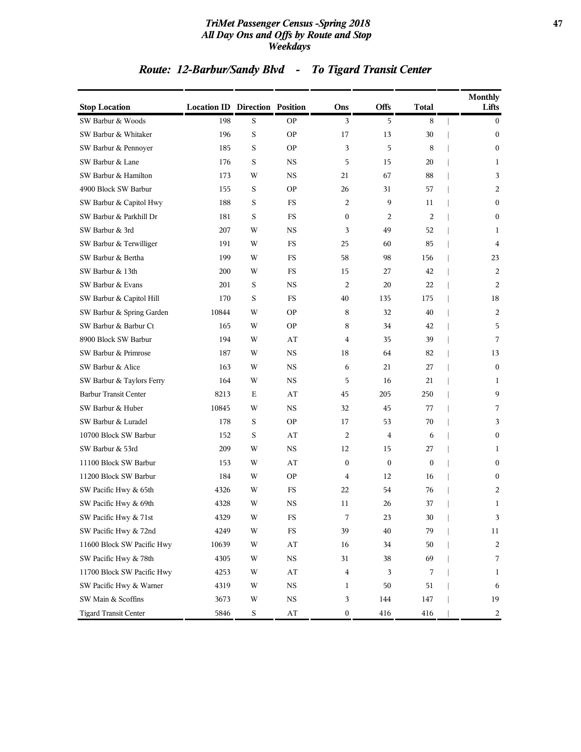#### *TriMet Passenger Census -Spring 2018* **47** *All Day Ons and Offs by Route and Stop Weekdays*

## *Route: 12-Barbur/Sandy Blvd - To Tigard Transit Center*

| <b>Stop Location</b>         | <b>Location ID Direction Position</b> |   |                         | Ons              | <b>Offs</b>      | Total            | <b>Monthly</b><br>Lifts |
|------------------------------|---------------------------------------|---|-------------------------|------------------|------------------|------------------|-------------------------|
| SW Barbur & Woods            | 198                                   | S | <b>OP</b>               | 3                | 5                | 8                | $\bf{0}$                |
| SW Barbur & Whitaker         | 196                                   | S | <b>OP</b>               | 17               | 13               | 30               | $\boldsymbol{0}$        |
| SW Barbur & Pennoyer         | 185                                   | S | <b>OP</b>               | 3                | 5                | 8                | $\mathbf{0}$            |
| SW Barbur & Lane             | 176                                   | S | <b>NS</b>               | 5                | 15               | 20               | 1                       |
| SW Barbur & Hamilton         | 173                                   | W | <b>NS</b>               | 21               | 67               | 88               | 3                       |
| 4900 Block SW Barbur         | 155                                   | S | <b>OP</b>               | 26               | 31               | 57               | 2                       |
| SW Barbur & Capitol Hwy      | 188                                   | S | <b>FS</b>               | 2                | 9                | 11               | $\boldsymbol{0}$        |
| SW Barbur & Parkhill Dr      | 181                                   | S | <b>FS</b>               | $\boldsymbol{0}$ | 2                | $\overline{c}$   | $\mathbf{0}$            |
| SW Barbur & 3rd              | 207                                   | W | <b>NS</b>               | 3                | 49               | 52               | 1                       |
| SW Barbur & Terwilliger      | 191                                   | W | <b>FS</b>               | 25               | 60               | 85               | 4                       |
| SW Barbur & Bertha           | 199                                   | W | FS                      | 58               | 98               | 156              | 23                      |
| SW Barbur & 13th             | 200                                   | W | FS                      | 15               | 27               | 42               | 2                       |
| SW Barbur & Evans            | 201                                   | S | <b>NS</b>               | $\overline{2}$   | 20               | 22               | 2                       |
| SW Barbur & Capitol Hill     | 170                                   | S | FS                      | 40               | 135              | 175              | 18                      |
| SW Barbur & Spring Garden    | 10844                                 | W | <b>OP</b>               | 8                | 32               | 40               | 2                       |
| SW Barbur & Barbur Ct        | 165                                   | W | <b>OP</b>               | 8                | 34               | 42               | 5                       |
| 8900 Block SW Barbur         | 194                                   | W | AT                      | $\overline{4}$   | 35               | 39               | 7                       |
| SW Barbur & Primrose         | 187                                   | W | <b>NS</b>               | 18               | 64               | 82               | 13                      |
| SW Barbur & Alice            | 163                                   | W | <b>NS</b>               | 6                | 21               | 27               | $\mathbf{0}$            |
| SW Barbur & Taylors Ferry    | 164                                   | W | <b>NS</b>               | 5                | 16               | 21               | 1                       |
| <b>Barbur Transit Center</b> | 8213                                  | Е | AT                      | 45               | 205              | 250              | 9                       |
| SW Barbur & Huber            | 10845                                 | W | <b>NS</b>               | 32               | 45               | 77               | 7                       |
| SW Barbur & Luradel          | 178                                   | S | <b>OP</b>               | 17               | 53               | 70               | 3                       |
| 10700 Block SW Barbur        | 152                                   | S | AT                      | $\overline{2}$   | 4                | 6                | $\mathbf{0}$            |
| SW Barbur & 53rd             | 209                                   | W | <b>NS</b>               | 12               | 15               | 27               | 1                       |
| 11100 Block SW Barbur        | 153                                   | W | AT                      | $\boldsymbol{0}$ | $\boldsymbol{0}$ | $\boldsymbol{0}$ | $\mathbf{0}$            |
| 11200 Block SW Barbur        | 184                                   | W | <b>OP</b>               | 4                | 12               | 16               | $\mathbf{0}$            |
| SW Pacific Hwy & 65th        | 4326                                  | W | FS                      | 22               | 54               | 76               | 2                       |
| SW Pacific Hwy & 69th        | 4328                                  | W | <b>NS</b>               | 11               | 26               | 37               | 1                       |
| SW Pacific Hwy & 71st        | 4329                                  | W | FS                      | 7                | 23               | 30               | 3                       |
| SW Pacific Hwy & 72nd        | 4249                                  | W | $_{\rm FS}$             | 39               | 40               | 79               | 11                      |
| 11600 Block SW Pacific Hwy   | 10639                                 | W | $\mathbf{A} \mathbf{T}$ | 16               | 34               | 50               | 2                       |
| SW Pacific Hwy & 78th        | 4305                                  | W | $_{\rm NS}$             | 31               | 38               | 69               | 7                       |
| 11700 Block SW Pacific Hwy   | 4253                                  | W | $\mathbf{A}\mathbf{T}$  | $\bf 4$          | 3                | 7                | 1                       |
| SW Pacific Hwy & Warner      | 4319                                  | W | $_{\rm NS}$             | 1                | 50               | 51               | 6                       |
| SW Main & Scoffins           | 3673                                  | W | $_{\rm NS}$             | 3                | 144              | 147              | 19                      |
| <b>Tigard Transit Center</b> | 5846                                  | S | $\mathbf{A} \mathbf{T}$ | $\boldsymbol{0}$ | 416              | 416              | 2                       |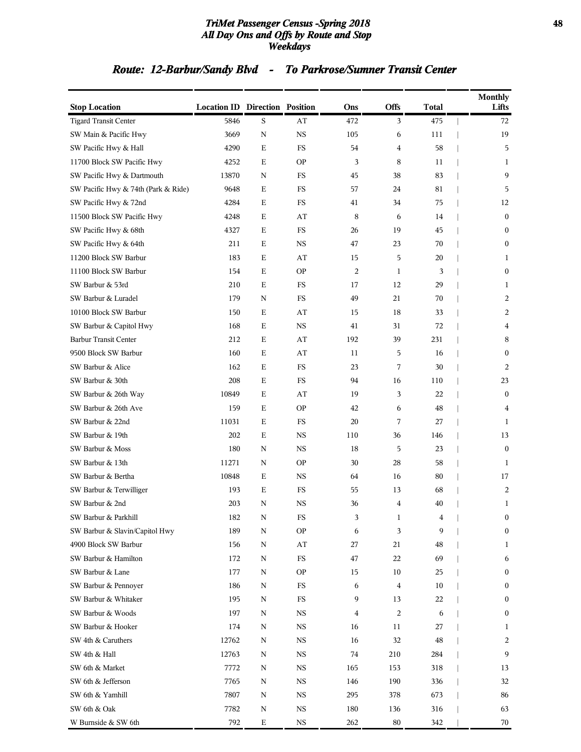#### *TriMet Passenger Census -Spring 2018* **48** *All Day Ons and Offs by Route and Stop Weekdays*

## *Route: 12-Barbur/Sandy Blvd - To Parkrose/Sumner Transit Center*

| <b>Stop Location</b>                | <b>Location ID Direction Position</b> |             |                        | Ons            | <b>Offs</b>    | <b>Total</b> | <b>Monthly</b><br>Lifts |
|-------------------------------------|---------------------------------------|-------------|------------------------|----------------|----------------|--------------|-------------------------|
| <b>Tigard Transit Center</b>        | 5846                                  | S           | AT                     | 472            | 3              | 475          | 72                      |
| SW Main & Pacific Hwy               | 3669                                  | $\mathbf N$ | $_{\rm NS}$            | 105            | 6              | 111          | 19                      |
| SW Pacific Hwy & Hall               | 4290                                  | Ε           | FS                     | 54             | 4              | 58           | 5                       |
| 11700 Block SW Pacific Hwy          | 4252                                  | Ε           | <b>OP</b>              | 3              | 8              | 11           | 1                       |
| SW Pacific Hwy & Dartmouth          | 13870                                 | N           | FS                     | 45             | 38             | 83           | 9                       |
| SW Pacific Hwy & 74th (Park & Ride) | 9648                                  | Ε           | FS                     | 57             | 24             | 81           | 5                       |
| SW Pacific Hwy & 72nd               | 4284                                  | $\mathbf E$ | FS                     | 41             | 34             | 75           | 12                      |
| 11500 Block SW Pacific Hwy          | 4248                                  | Ε           | AT                     | 8              | 6              | 14           | $\mathbf{0}$            |
| SW Pacific Hwy & 68th               | 4327                                  | Ε           | FS                     | 26             | 19             | 45           | $\bf{0}$                |
| SW Pacific Hwy & 64th               | 211                                   | Ε           | $_{\rm NS}$            | 47             | 23             | 70           | $\boldsymbol{0}$        |
| 11200 Block SW Barbur               | 183                                   | Ε           | AT                     | 15             | 5              | 20           | 1                       |
| 11100 Block SW Barbur               | 154                                   | $\mathbf E$ | <b>OP</b>              | $\overline{c}$ | $\mathbf{1}$   | 3            | $\boldsymbol{0}$        |
| SW Barbur & 53rd                    | 210                                   | Ε           | FS                     | 17             | 12             | 29           | $\mathbf{1}$            |
| SW Barbur & Luradel                 | 179                                   | N           | FS                     | 49             | 21             | 70           | 2                       |
| 10100 Block SW Barbur               | 150                                   | Ε           | AT                     | 15             | 18             | 33           | 2                       |
| SW Barbur & Capitol Hwy             | 168                                   | Ε           | <b>NS</b>              | 41             | 31             | 72           | 4                       |
| <b>Barbur Transit Center</b>        | 212                                   | $\mathbf E$ | AT                     | 192            | 39             | 231          | 8                       |
| 9500 Block SW Barbur                | 160                                   | Ε           | AT                     | 11             | 5              | 16           | $\mathbf{0}$            |
| SW Barbur & Alice                   | 162                                   | Ε           | FS                     | 23             | 7              | 30           | 2                       |
| SW Barbur & 30th                    | 208                                   | Ε           | FS                     | 94             | 16             | 110          | 23                      |
| SW Barbur & 26th Way                | 10849                                 | Ε           | AT                     | 19             | 3              | 22           | $\mathbf{0}$            |
| SW Barbur & 26th Ave                | 159                                   | $\mathbf E$ | <b>OP</b>              | 42             | 6              | 48           | 4                       |
| SW Barbur & 22nd                    | 11031                                 | Ε           | FS                     | 20             | 7              | 27           | $\mathbf{1}$            |
| SW Barbur & 19th                    | 202                                   | Ε           | <b>NS</b>              | 110            | 36             | 146          | 13                      |
| SW Barbur & Moss                    | 180                                   | N           | $_{\rm NS}$            | 18             | 5              | 23           | $\mathbf{0}$            |
| SW Barbur & 13th                    | 11271                                 | N           | <b>OP</b>              | 30             | 28             | 58           | 1                       |
| SW Barbur & Bertha                  | 10848                                 | $\mathbf E$ | <b>NS</b>              | 64             | 16             | 80           | 17                      |
| SW Barbur & Terwilliger             | 193                                   | Ε           | FS                     | 55             | 13             | 68           | 2                       |
| SW Barbur & 2nd                     | 203                                   | N           | <b>NS</b>              | 36             | 4              | 40           | $\mathbf{1}$            |
| SW Barbur & Parkhill                | 182                                   | N           | FS                     | 3              | 1              | 4            | $\theta$                |
| SW Barbur & Slavin/Capitol Hwy      | 189                                   | N           | <b>OP</b>              | 6              | 3              | 9            | $\boldsymbol{0}$        |
| 4900 Block SW Barbur                | 156                                   | $\mathbf N$ | $\mathbf{A}\mathbf{T}$ | 27             | 21             | 48           | $\mathbf{1}$            |
| SW Barbur & Hamilton                | 172                                   | N           | $_{\rm FS}$            | 47             | 22             | 69           | 6                       |
| SW Barbur & Lane                    | 177                                   | Ν           | <b>OP</b>              | 15             | 10             | 25           | $\boldsymbol{0}$        |
| SW Barbur & Pennoyer                | 186                                   | N           | FS                     | 6              | 4              | 10           | $\boldsymbol{0}$        |
| SW Barbur & Whitaker                | 195                                   | ${\bf N}$   | FS                     | 9              | 13             | 22           | $\boldsymbol{0}$        |
| SW Barbur & Woods                   | 197                                   | ${\bf N}$   | $_{\rm NS}$            | 4              | $\overline{2}$ | 6            | $\boldsymbol{0}$        |
| SW Barbur & Hooker                  | 174                                   | N           | NS                     | 16             | 11             | 27           | 1                       |
| SW 4th & Caruthers                  | 12762                                 | Ν           | NS                     | 16             | 32             | 48           | 2                       |
| SW 4th & Hall                       | 12763                                 | N           | $_{\rm NS}$            | 74             | 210            | 284          | 9                       |
| SW 6th & Market                     | 7772                                  | N           | $_{\rm NS}$            | 165            | 153            | 318          | 13                      |
| SW 6th & Jefferson                  | 7765                                  | Ν           | $_{\rm NS}$            | 146            | 190            | 336          | 32                      |
| SW 6th & Yamhill                    | 7807                                  | N           | <b>NS</b>              | 295            | 378            | 673          | 86                      |
| SW 6th & Oak                        | 7782                                  | Ν           | NS                     | 180            | 136            | 316          | 63                      |
| W Burnside & SW 6th                 | 792                                   | $\mathbf E$ | $_{\rm NS}$            | 262            | 80             | 342          | 70                      |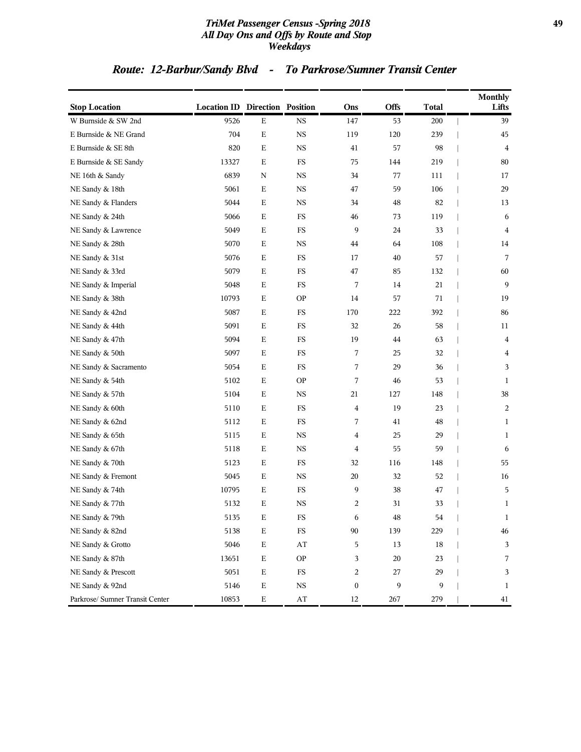#### *TriMet Passenger Census -Spring 2018* **49** *All Day Ons and Offs by Route and Stop Weekdays*

## *Route: 12-Barbur/Sandy Blvd - To Parkrose/Sumner Transit Center*

| <b>Stop Location</b>            | <b>Location ID Direction Position</b> |             |                        | Ons              | Offs | <b>Total</b> | <b>Monthly</b><br>Lifts |
|---------------------------------|---------------------------------------|-------------|------------------------|------------------|------|--------------|-------------------------|
| W Burnside & SW 2nd             | 9526                                  | ${\bf E}$   | <b>NS</b>              | 147              | 53   | 200          | 39                      |
| E Burnside & NE Grand           | 704                                   | $\mathbf E$ | $_{\rm NS}$            | 119              | 120  | 239          | 45                      |
| E Burnside & SE 8th             | 820                                   | Е           | <b>NS</b>              | 41               | 57   | 98           | $\overline{4}$          |
| E Burnside & SE Sandy           | 13327                                 | $\mathbf E$ | FS                     | 75               | 144  | 219          | 80                      |
| NE 16th & Sandy                 | 6839                                  | $\mathbf N$ | NS.                    | 34               | 77   | 111          | 17                      |
| NE Sandy & 18th                 | 5061                                  | Е           | NS.                    | 47               | 59   | 106          | 29                      |
| NE Sandy & Flanders             | 5044                                  | $\mathbf E$ | $_{\rm NS}$            | 34               | 48   | 82           | 13                      |
| NE Sandy & 24th                 | 5066                                  | $\mathbf E$ | FS                     | 46               | 73   | 119          | 6                       |
| NE Sandy & Lawrence             | 5049                                  | Е           | $_{\rm FS}$            | 9                | 24   | 33           | $\overline{4}$          |
| NE Sandy & 28th                 | 5070                                  | Е           | NS.                    | 44               | 64   | 108          | 14                      |
| NE Sandy & 31st                 | 5076                                  | $\mathbf E$ | FS                     | 17               | 40   | 57           | 7                       |
| NE Sandy & 33rd                 | 5079                                  | $\mathbf E$ | $_{\rm FS}$            | 47               | 85   | 132          | 60                      |
| NE Sandy & Imperial             | 5048                                  | Е           | FS                     | 7                | 14   | 21           | 9                       |
| NE Sandy & 38th                 | 10793                                 | $\mathbf E$ | <b>OP</b>              | 14               | 57   | 71           | 19                      |
| NE Sandy & 42nd                 | 5087                                  | Е           | FS                     | 170              | 222  | 392          | 86                      |
| NE Sandy & 44th                 | 5091                                  | Е           | FS                     | 32               | 26   | 58           | 11                      |
| NE Sandy & 47th                 | 5094                                  | $\mathbf E$ | $_{\rm FS}$            | 19               | 44   | 63           | $\overline{\mathbf{4}}$ |
| NE Sandy & 50th                 | 5097                                  | Е           | FS                     | 7                | 25   | 32           | $\overline{4}$          |
| NE Sandy & Sacramento           | 5054                                  | Е           | $_{\rm FS}$            | 7                | 29   | 36           | 3                       |
| NE Sandy & 54th                 | 5102                                  | Е           | <b>OP</b>              | 7                | 46   | 53           | 1                       |
| NE Sandy & 57th                 | 5104                                  | $\mathbf E$ | <b>NS</b>              | 21               | 127  | 148          | 38                      |
| NE Sandy & 60th                 | 5110                                  | $\mathbf E$ | $_{\rm FS}$            | 4                | 19   | 23           | $\overline{c}$          |
| NE Sandy & 62nd                 | 5112                                  | Е           | FS                     | 7                | 41   | 48           | 1                       |
| NE Sandy & 65th                 | 5115                                  | $\mathbf E$ | $_{\rm NS}$            | 4                | 25   | 29           | $\mathbf{1}$            |
| NE Sandy & 67th                 | 5118                                  | Е           | NS.                    | 4                | 55   | 59           | 6                       |
| NE Sandy & 70th                 | 5123                                  | Е           | FS                     | 32               | 116  | 148          | 55                      |
| NE Sandy & Fremont              | 5045                                  | $\mathbf E$ | $_{\rm NS}$            | 20               | 32   | 52           | 16                      |
| NE Sandy & 74th                 | 10795                                 | Е           | FS                     | 9                | 38   | 47           | 5                       |
| NE Sandy & 77th                 | 5132                                  | Е           | $_{\rm NS}$            | 2                | 31   | 33           | $\mathbf{1}$            |
| NE Sandy & 79th                 | 5135                                  | Ε           | FS                     | 6                | 48   | 54           | $\mathbf{1}$            |
| NE Sandy & 82nd                 | 5138                                  | Е           | $_{\rm FS}$            | 90               | 139  | 229          | $\sqrt{46}$             |
| NE Sandy & Grotto               | 5046                                  | ${\bf E}$   | $\mathbf{A}\mathbf{T}$ | 5                | 13   | $18\,$       | 3                       |
| NE Sandy & 87th                 | 13651                                 | $\mathbf E$ | <b>OP</b>              | 3                | 20   | 23           | 7                       |
| NE Sandy & Prescott             | 5051                                  | ${\bf E}$   | $_{\rm FS}$            | 2                | 27   | 29           | 3                       |
| NE Sandy & 92nd                 | 5146                                  | ${\bf E}$   | $_{\rm NS}$            | $\boldsymbol{0}$ | 9    | 9            | $\mathbf{1}$            |
| Parkrose/ Sumner Transit Center | 10853                                 | Е           | $\mathbf{A}\mathbf{T}$ | 12               | 267  | 279          | 41                      |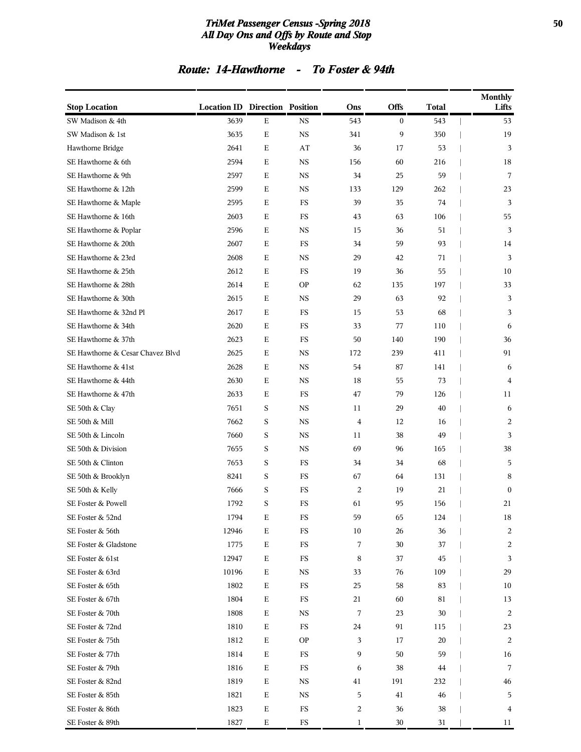#### *TriMet Passenger Census -Spring 2018* **50** *All Day Ons and Offs by Route and Stop Weekdays*

## *Route: 14-Hawthorne - To Foster & 94th*

| <b>Stop Location</b>             | <b>Location ID Direction Position</b> |             |             | Ons              | <b>Offs</b> | Total | <b>Monthly</b><br>Lifts |
|----------------------------------|---------------------------------------|-------------|-------------|------------------|-------------|-------|-------------------------|
| SW Madison & 4th                 | 3639                                  | E           | <b>NS</b>   | 543              | $\bf{0}$    | 543   | 53                      |
| SW Madison & 1st                 | 3635                                  | $\mathbf E$ | $_{\rm NS}$ | 341              | 9           | 350   | 19                      |
| Hawthorne Bridge                 | 2641                                  | Ε           | AT          | 36               | 17          | 53    | 3                       |
| SE Hawthorne & 6th               | 2594                                  | Ε           | <b>NS</b>   | 156              | 60          | 216   | 18                      |
| SE Hawthorne & 9th               | 2597                                  | Ε           | <b>NS</b>   | 34               | 25          | 59    | 7                       |
| SE Hawthorne & 12th              | 2599                                  | Ε           | <b>NS</b>   | 133              | 129         | 262   | 23                      |
| SE Hawthorne & Maple             | 2595                                  | $\mathbf E$ | $_{\rm FS}$ | 39               | 35          | 74    | 3                       |
| SE Hawthorne & 16th              | 2603                                  | Ε           | FS          | 43               | 63          | 106   | 55                      |
| SE Hawthorne & Poplar            | 2596                                  | Ε           | NS          | 15               | 36          | 51    | 3                       |
| SE Hawthorne & 20th              | 2607                                  | Ε           | FS          | 34               | 59          | 93    | 14                      |
| SE Hawthorne & 23rd              | 2608                                  | Ε           | <b>NS</b>   | 29               | 42          | 71    | 3                       |
| SE Hawthorne & 25th              | 2612                                  | $\mathbf E$ | FS          | 19               | 36          | 55    | 10                      |
| SE Hawthorne & 28th              | 2614                                  | Ε           | <b>OP</b>   | 62               | 135         | 197   | 33                      |
| SE Hawthorne & 30th              | 2615                                  | Ε           | <b>NS</b>   | 29               | 63          | 92    | 3                       |
| SE Hawthorne & 32nd Pl           | 2617                                  | Ε           | FS          | 15               | 53          | 68    | 3                       |
| SE Hawthorne & 34th              | 2620                                  | Ε           | FS          | 33               | 77          | 110   | 6                       |
| SE Hawthorne & 37th              | 2623                                  | $\mathbf E$ | FS          | 50               | 140         | 190   | 36                      |
| SE Hawthorne & Cesar Chavez Blvd | 2625                                  | Ε           | NS          | 172              | 239         | 411   | 91                      |
| SE Hawthorne & 41st              | 2628                                  | Ε           | <b>NS</b>   | 54               | 87          | 141   | 6                       |
| SE Hawthorne & 44th              | 2630                                  | Ε           | <b>NS</b>   | 18               | 55          | 73    | 4                       |
| SE Hawthorne & 47th              | 2633                                  | Ε           | FS          | 47               | 79          | 126   | 11                      |
| SE 50th & Clay                   | 7651                                  | S           | $_{\rm NS}$ | 11               | 29          | 40    | 6                       |
| SE 50th & Mill                   | 7662                                  | S           | NS          | $\overline{4}$   | 12          | 16    | 2                       |
| SE 50th & Lincoln                | 7660                                  | S           | <b>NS</b>   | 11               | 38          | 49    | 3                       |
| SE 50th & Division               | 7655                                  | S           | <b>NS</b>   | 69               | 96          | 165   | 38                      |
| SE 50th & Clinton                | 7653                                  | S           | FS          | 34               | 34          | 68    | 5                       |
| SE 50th & Brooklyn               | 8241                                  | S           | $_{\rm FS}$ | 67               | 64          | 131   | 8                       |
| SE 50th & Kelly                  | 7666                                  | S           | FS          | $\overline{2}$   | 19          | 21    | $\mathbf{0}$            |
| SE Foster & Powell               | 1792                                  | S           | FS          | 61               | 95          | 156   | 21                      |
| SE Foster & 52nd                 | 1794                                  | $\mathbf E$ | $_{\rm FS}$ | 59               | 65          | 124   | 18                      |
| SE Foster & 56th                 | 12946                                 | $\mathbf E$ | $_{\rm FS}$ | 10               | 26          | 36    | $\overline{c}$          |
| SE Foster & Gladstone            | 1775                                  | $\mathbf E$ | $_{\rm FS}$ | 7                | 30          | 37    | 2                       |
| SE Foster & 61st                 | 12947                                 | $\mathbf E$ | $_{\rm FS}$ | 8                | 37          | 45    | 3                       |
| SE Foster & 63rd                 | 10196                                 | $\mathbf E$ | <b>NS</b>   | 33               | 76          | 109   | 29                      |
| SE Foster & 65th                 | 1802                                  | $\mathbf E$ | $_{\rm FS}$ | 25               | 58          | 83    | 10                      |
| SE Foster & 67th                 | 1804                                  | $\mathbf E$ | $_{\rm FS}$ | 21               | 60          | 81    | 13                      |
| SE Foster & 70th                 | 1808                                  | $\mathbf E$ | <b>NS</b>   | 7                | 23          | 30    | 2                       |
| SE Foster & 72nd                 | 1810                                  | $\mathbf E$ | $_{\rm FS}$ | 24               | 91          | 115   | 23                      |
| SE Foster & 75th                 | 1812                                  | $\mathbf E$ | <b>OP</b>   | 3                | 17          | 20    | 2                       |
| SE Foster & 77th                 | 1814                                  | $\mathbf E$ | $_{\rm FS}$ | 9                | 50          | 59    | 16                      |
| SE Foster & 79th                 | 1816                                  | $\mathbf E$ | $_{\rm FS}$ | 6                | 38          | 44    | 7                       |
| SE Foster & 82nd                 | 1819                                  | Е           | NS          | 41               | 191         | 232   | 46                      |
| SE Foster & 85th                 | 1821                                  | $\mathbf E$ | $_{\rm NS}$ | 5                | 41          | 46    | 5                       |
| SE Foster & 86th                 | 1823                                  | $\mathbf E$ | FS          | $\boldsymbol{2}$ | 36          | 38    | 4                       |
| SE Foster & 89th                 | 1827                                  | $\mathbf E$ | ${\rm FS}$  | $\mathbf{1}$     | $30\,$      | 31    | 11                      |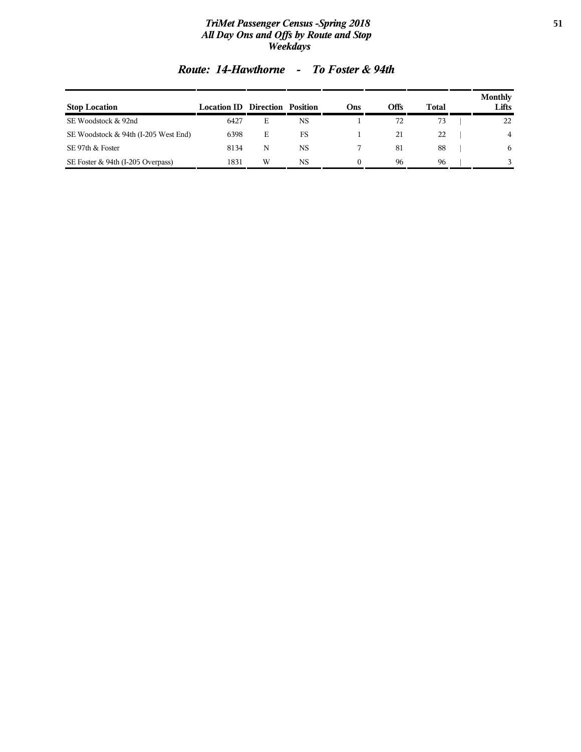#### *TriMet Passenger Census -Spring 2018* **51** *All Day Ons and Offs by Route and Stop Weekdays*

| <b>Stop Location</b>                 | <b>Location ID Direction Position</b> |   |           | Ons | Offs | <b>Total</b> | <b>Monthly</b><br>Lifts |
|--------------------------------------|---------------------------------------|---|-----------|-----|------|--------------|-------------------------|
| SE Woodstock & 92nd                  | 6427                                  | Е | <b>NS</b> |     | 72   | 73           | 22                      |
| SE Woodstock & 94th (I-205 West End) | 6398                                  | Е | FS        |     | 21   | 22           | 4                       |
| SE 97th & Foster                     | 8134                                  | N | <b>NS</b> |     | 81   | 88           | 6                       |
| SE Foster & 94th (I-205 Overpass)    | 1831                                  | W | NS        |     | 96   | 96           |                         |

## *Route: 14-Hawthorne - To Foster & 94th*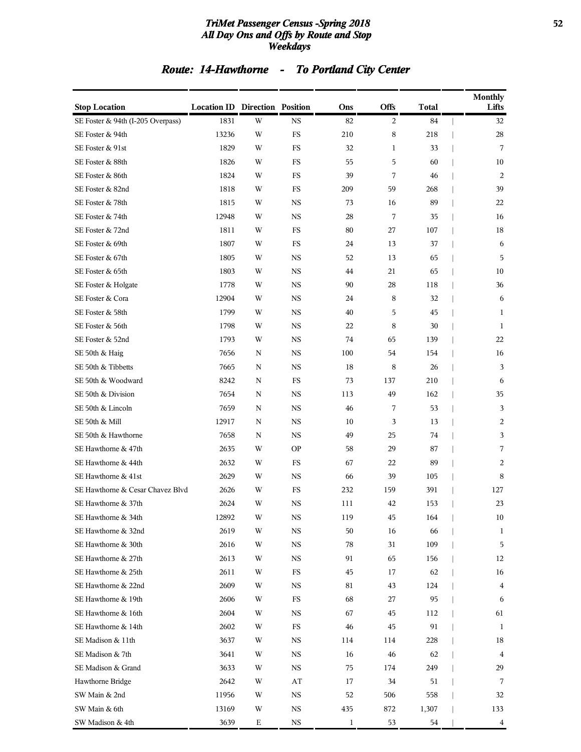#### *TriMet Passenger Census -Spring 2018* **52** *All Day Ons and Offs by Route and Stop Weekdays*

# *Route: 14-Hawthorne - To Portland City Center*

| <b>Stop Location</b>              | <b>Location ID Direction Position</b> |             |             | Ons          | Offs         | <b>Total</b> | <b>Monthly</b><br>Lifts |
|-----------------------------------|---------------------------------------|-------------|-------------|--------------|--------------|--------------|-------------------------|
| SE Foster & 94th (I-205 Overpass) | 1831                                  | W           | $_{\rm NS}$ | 82           | 2            | 84           | 32                      |
| SE Foster & 94th                  | 13236                                 | W           | FS          | 210          | 8            | 218          | 28                      |
| SE Foster & 91st                  | 1829                                  | W           | <b>FS</b>   | 32           | $\mathbf{1}$ | 33           | 7                       |
| SE Foster & 88th                  | 1826                                  | W           | FS          | 55           | 5            | 60           | 10                      |
| SE Foster & 86th                  | 1824                                  | W           | FS          | 39           | 7            | 46           | 2                       |
| SE Foster & 82nd                  | 1818                                  | W           | FS          | 209          | 59           | 268          | 39                      |
| SE Foster & 78th                  | 1815                                  | W           | $_{\rm NS}$ | 73           | 16           | 89           | 22                      |
| SE Foster & 74th                  | 12948                                 | W           | <b>NS</b>   | 28           | 7            | 35           | 16                      |
| SE Foster & 72nd                  | 1811                                  | W           | FS          | 80           | 27           | 107          | 18                      |
| SE Foster & 69th                  | 1807                                  | W           | FS          | 24           | 13           | 37           | 6                       |
| SE Foster & 67th                  | 1805                                  | W           | $_{\rm NS}$ | 52           | 13           | 65           | 5                       |
| SE Foster & 65th                  | 1803                                  | W           | <b>NS</b>   | 44           | 21           | 65           | 10                      |
| SE Foster & Holgate               | 1778                                  | W           | <b>NS</b>   | 90           | 28           | 118          | 36                      |
| SE Foster & Cora                  | 12904                                 | W           | <b>NS</b>   | 24           | 8            | 32           | 6                       |
| SE Foster & 58th                  | 1799                                  | W           | <b>NS</b>   | 40           | 5            | 45           | $\mathbf{1}$            |
| SE Foster & 56th                  | 1798                                  | W           | <b>NS</b>   | 22           | 8            | 30           | 1                       |
| SE Foster & 52nd                  | 1793                                  | W           | <b>NS</b>   | 74           | 65           | 139          | 22                      |
| SE 50th & Haig                    | 7656                                  | N           | <b>NS</b>   | 100          | 54           | 154          | 16                      |
| SE 50th & Tibbetts                | 7665                                  | N           | <b>NS</b>   | 18           | 8            | 26           | 3                       |
| SE 50th & Woodward                | 8242                                  | N           | FS          | 73           | 137          | 210          | 6                       |
| SE 50th & Division                | 7654                                  | $\mathbf N$ | <b>NS</b>   | 113          | 49           | 162          | 35                      |
| SE 50th & Lincoln                 | 7659                                  | N           | <b>NS</b>   | 46           | 7            | 53           | 3                       |
| SE 50th & Mill                    | 12917                                 | $\mathbf N$ | <b>NS</b>   | 10           | 3            | 13           | 2                       |
| SE 50th & Hawthorne               | 7658                                  | N           | <b>NS</b>   | 49           | 25           | 74           | 3                       |
| SE Hawthorne & 47th               | 2635                                  | W           | <b>OP</b>   | 58           | 29           | 87           | 7                       |
| SE Hawthorne & 44th               | 2632                                  | W           | FS          | 67           | 22           | 89           | 2                       |
| SE Hawthorne & 41st               | 2629                                  | W           | $_{\rm NS}$ | 66           | 39           | 105          | 8                       |
| SE Hawthorne & Cesar Chavez Blvd  | 2626                                  | W           | FS          | 232          | 159          | 391          | 127                     |
| SE Hawthorne & 37th               | 2624                                  | W           | $_{\rm NS}$ | 111          | 42           | 153          | 23                      |
| SE Hawthorne & 34th               | 12892                                 | W           | $_{\rm NS}$ | 119          | $45\,$       | 164          | $10\,$                  |
| SE Hawthorne & 32nd               | 2619                                  | W           | $_{\rm NS}$ | $50\,$       | 16           | 66           | 1                       |
| SE Hawthorne & 30th               | 2616                                  | W           | NS          | 78           | 31           | 109          | 5                       |
| SE Hawthorne & 27th               | 2613                                  | W           | NS          | 91           | 65           | 156          | 12                      |
| SE Hawthorne & 25th               | 2611                                  | W           | FS          | 45           | 17           | 62           | 16                      |
| SE Hawthorne & 22nd               | 2609                                  | W           | NS          | 81           | 43           | 124          | 4                       |
| SE Hawthorne & 19th               | 2606                                  | W           | FS          | 68           | 27           | 95           | 6                       |
| SE Hawthorne & 16th               | 2604                                  | W           | NS          | 67           | 45           | 112          | 61                      |
| SE Hawthorne & 14th               | 2602                                  | W           | FS          | 46           | 45           | 91           | 1                       |
| SE Madison & 11th                 | 3637                                  | W           | <b>NS</b>   | 114          | 114          | 228          | 18                      |
| SE Madison & 7th                  | 3641                                  | W           | NS          | 16           | 46           | 62           | $\overline{4}$          |
| SE Madison & Grand                | 3633                                  | W           | $_{\rm NS}$ | 75           | 174          | 249          | 29                      |
| Hawthorne Bridge                  | 2642                                  | W           | AT          | 17           | 34           | 51           | 7                       |
| SW Main & 2nd                     | 11956                                 | W           | <b>NS</b>   | 52           | 506          | 558          | 32                      |
| SW Main & 6th                     | 13169                                 | W           | <b>NS</b>   | 435          | 872          | 1,307        | 133                     |
| SW Madison & 4th                  | 3639                                  | Ε           | $_{\rm NS}$ | $\mathbf{1}$ | 53           | 54           | 4                       |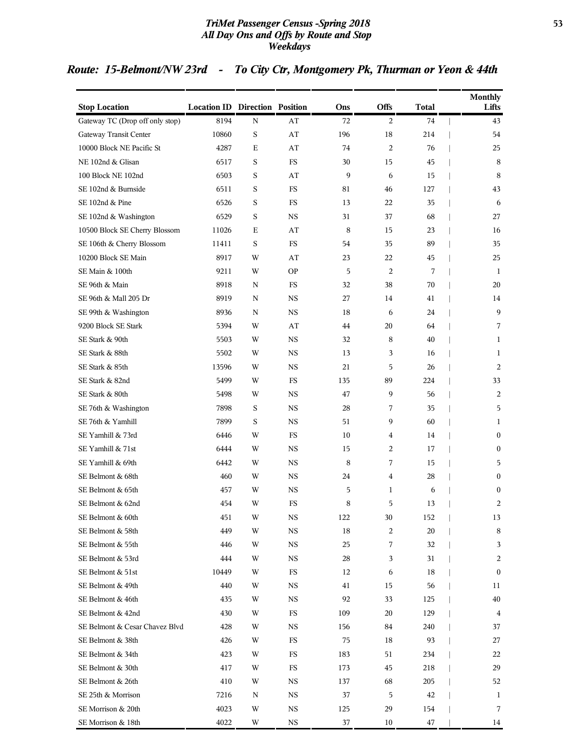#### *TriMet Passenger Census -Spring 2018* **53** *All Day Ons and Offs by Route and Stop Weekdays*

## *Route: 15-Belmont/NW 23rd - To City Ctr, Montgomery Pk, Thurman or Yeon & 44th*

| <b>Stop Location</b>            | <b>Location ID Direction Position</b> |             |             | Ons | Offs           | <b>Total</b> | <b>Monthly</b><br>Lifts |
|---------------------------------|---------------------------------------|-------------|-------------|-----|----------------|--------------|-------------------------|
| Gateway TC (Drop off only stop) | 8194                                  | N           | AT          | 72  | $\overline{2}$ | 74           | 43                      |
| Gateway Transit Center          | 10860                                 | $\rm S$     | AT          | 196 | 18             | 214          | 54                      |
| 10000 Block NE Pacific St       | 4287                                  | E           | AT          | 74  | 2              | 76           | 25                      |
| NE 102nd & Glisan               | 6517                                  | S           | <b>FS</b>   | 30  | 15             | 45           | 8                       |
| 100 Block NE 102nd              | 6503                                  | S           | AT          | 9   | 6              | 15           | 8                       |
| SE 102nd & Burnside             | 6511                                  | S           | FS          | 81  | 46             | 127          | 43                      |
| SE 102nd & Pine                 | 6526                                  | S           | FS          | 13  | 22             | 35           | 6                       |
| SE 102nd & Washington           | 6529                                  | S           | <b>NS</b>   | 31  | 37             | 68           | 27                      |
| 10500 Block SE Cherry Blossom   | 11026                                 | E           | AT          | 8   | 15             | 23           | 16                      |
| SE 106th & Cherry Blossom       | 11411                                 | S           | FS          | 54  | 35             | 89           | 35                      |
| 10200 Block SE Main             | 8917                                  | W           | AT          | 23  | 22             | 45           | 25                      |
| SE Main & 100th                 | 9211                                  | W           | <b>OP</b>   | 5   | $\overline{c}$ | 7            | 1                       |
| SE 96th & Main                  | 8918                                  | N           | FS          | 32  | 38             | 70           | 20                      |
| SE 96th & Mall 205 Dr           | 8919                                  | N           | <b>NS</b>   | 27  | 14             | 41           | 14                      |
| SE 99th & Washington            | 8936                                  | N           | <b>NS</b>   | 18  | 6              | 24           | 9                       |
| 9200 Block SE Stark             | 5394                                  | W           | AT          | 44  | 20             | 64           | 7                       |
| SE Stark & 90th                 | 5503                                  | W           | <b>NS</b>   | 32  | 8              | 40           | $\mathbf{1}$            |
| SE Stark & 88th                 | 5502                                  | W           | <b>NS</b>   | 13  | 3              | 16           | 1                       |
| SE Stark & 85th                 | 13596                                 | W           | <b>NS</b>   | 21  | 5              | 26           | 2                       |
| SE Stark & 82nd                 | 5499                                  | W           | FS          | 135 | 89             | 224          | 33                      |
| SE Stark & 80th                 | 5498                                  | W           | <b>NS</b>   | 47  | 9              | 56           | 2                       |
| SE 76th & Washington            | 7898                                  | $\mathbf S$ | <b>NS</b>   | 28  | 7              | 35           | 5                       |
| SE 76th & Yamhill               | 7899                                  | S           | <b>NS</b>   | 51  | 9              | 60           | $\mathbf{1}$            |
| SE Yamhill & 73rd               | 6446                                  | W           | FS          | 10  | 4              | 14           | $\boldsymbol{0}$        |
| SE Yamhill & 71st               | 6444                                  | W           | <b>NS</b>   | 15  | 2              | 17           | $\boldsymbol{0}$        |
| SE Yamhill & 69th               | 6442                                  | W           | <b>NS</b>   | 8   | 7              | 15           | 5                       |
| SE Belmont & 68th               | 460                                   | W           | <b>NS</b>   | 24  | 4              | 28           | $\boldsymbol{0}$        |
| SE Belmont & 65th               | 457                                   | W           | <b>NS</b>   | 5   | $\mathbf{1}$   | 6            | $\boldsymbol{0}$        |
| SE Belmont & 62nd               | 454                                   | W           | FS          | 8   | 5              | 13           | 2                       |
| SE Belmont & 60th               | 451                                   | W           | NS.         | 122 | 30             | 152          | 13                      |
| SE Belmont & 58th               | 449                                   | W           | NS          | 18  | 2              | 20           | 8                       |
| SE Belmont & 55th               | 446                                   | W           | NS          | 25  | 7              | 32           | 3                       |
| SE Belmont & 53rd               | 444                                   | W           | NS          | 28  | 3              | 31           | 2                       |
| SE Belmont & 51st               | 10449                                 | W           | FS          | 12  | 6              | 18           | $\bf{0}$                |
| SE Belmont & 49th               | 440                                   | W           | NS          | 41  | 15             | 56           | 11                      |
| SE Belmont & 46th               | 435                                   | W           | NS          | 92  | 33             | 125          | 40                      |
| SE Belmont & 42nd               | 430                                   | W           | FS          | 109 | 20             | 129          | 4                       |
| SE Belmont & Cesar Chavez Blvd  | 428                                   | W           | NS          | 156 | 84             | 240          | 37                      |
| SE Belmont & 38th               | 426                                   | W           | FS          | 75  | 18             | 93           | 27                      |
| SE Belmont & 34th               | 423                                   | W           | FS          | 183 | 51             | 234          | 22                      |
| SE Belmont & 30th               | 417                                   | W           | FS          | 173 | 45             | 218          | 29                      |
| SE Belmont & 26th               | 410                                   | W           | NS          | 137 | 68             | 205          | 52                      |
| SE 25th & Morrison              | 7216                                  | N           | NS          | 37  | 5              | 42           | 1                       |
| SE Morrison & 20th              | 4023                                  | W           | NS          | 125 | 29             | 154          | 7                       |
| SE Morrison & 18th              | 4022                                  | W           | $_{\rm NS}$ | 37  | 10             | $47\,$       | 14                      |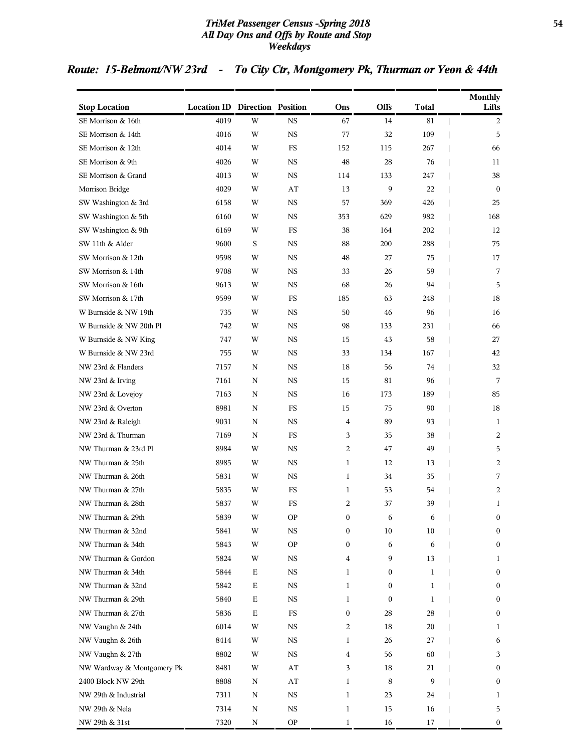#### *TriMet Passenger Census -Spring 2018* **54** *All Day Ons and Offs by Route and Stop Weekdays*

## *Route: 15-Belmont/NW 23rd - To City Ctr, Montgomery Pk, Thurman or Yeon & 44th*

|                            | <b>Location ID Direction Position</b> |                         |                        |                  | Offs             | <b>Total</b> | <b>Monthly</b><br>Lifts |
|----------------------------|---------------------------------------|-------------------------|------------------------|------------------|------------------|--------------|-------------------------|
| <b>Stop Location</b>       |                                       |                         |                        | Ons              |                  |              |                         |
| SE Morrison & 16th         | 4019                                  | W                       | $_{\rm NS}$            | 67               | 14               | 81           | 2                       |
| SE Morrison & 14th         | 4016                                  | W                       | <b>NS</b>              | 77               | 32               | 109          | 5                       |
| SE Morrison & 12th         | 4014                                  | W                       | FS                     | 152              | 115              | 267          | 66                      |
| SE Morrison & 9th          | 4026                                  | W                       | <b>NS</b>              | 48               | 28               | 76           | 11                      |
| SE Morrison & Grand        | 4013                                  | W                       | <b>NS</b>              | 114              | 133              | 247          | 38                      |
| Morrison Bridge            | 4029                                  | W                       | AT                     | 13               | 9                | 22           | $\mathbf{0}$            |
| SW Washington & 3rd        | 6158                                  | W                       | <b>NS</b>              | 57               | 369              | 426          | 25                      |
| SW Washington & 5th        | 6160                                  | W                       | <b>NS</b>              | 353              | 629              | 982          | 168                     |
| SW Washington & 9th        | 6169                                  | W                       | <b>FS</b>              | 38               | 164              | 202          | 12                      |
| SW 11th & Alder            | 9600                                  | S                       | NS                     | 88               | 200              | 288          | 75                      |
| SW Morrison & 12th         | 9598                                  | W                       | <b>NS</b>              | 48               | 27               | 75           | 17                      |
| SW Morrison & 14th         | 9708                                  | W                       | <b>NS</b>              | 33               | 26               | 59           | 7                       |
| SW Morrison & 16th         | 9613                                  | W                       | <b>NS</b>              | 68               | 26               | 94           | 5                       |
| SW Morrison & 17th         | 9599                                  | W                       | <b>FS</b>              | 185              | 63               | 248          | 18                      |
| W Burnside & NW 19th       | 735                                   | W                       | NS                     | 50               | 46               | 96           | 16                      |
| W Burnside & NW 20th Pl    | 742                                   | W                       | <b>NS</b>              | 98               | 133              | 231          | 66                      |
| W Burnside & NW King       | 747                                   | W                       | <b>NS</b>              | 15               | 43               | 58           | 27                      |
| W Burnside & NW 23rd       | 755                                   | W                       | <b>NS</b>              | 33               | 134              | 167          | 42                      |
| NW 23rd & Flanders         | 7157                                  | N                       | <b>NS</b>              | 18               | 56               | 74           | 32                      |
| NW 23rd & Irving           | 7161                                  | N                       | <b>NS</b>              | 15               | 81               | 96           | 7                       |
| NW 23rd & Lovejoy          | 7163                                  | N                       | <b>NS</b>              | 16               | 173              | 189          | 85                      |
| NW 23rd & Overton          | 8981                                  | N                       | FS                     | 15               | 75               | 90           | 18                      |
| NW 23rd & Raleigh          | 9031                                  | N                       | <b>NS</b>              | 4                | 89               | 93           | 1                       |
| NW 23rd & Thurman          | 7169                                  | N                       | $_{\rm FS}$            | 3                | 35               | 38           | 2                       |
| NW Thurman & 23rd Pl       | 8984                                  | W                       | <b>NS</b>              | 2                | 47               | 49           | 5                       |
| NW Thurman & 25th          | 8985                                  | W                       | <b>NS</b>              | 1                | 12               | 13           | 2                       |
| NW Thurman & 26th          | 5831                                  | W                       | <b>NS</b>              | $\mathbf{1}$     | 34               | 35           | 7                       |
| NW Thurman & 27th          | 5835                                  | W                       | FS                     | 1                | 53               | 54           | 2                       |
| NW Thurman & 28th          | 5837                                  | W                       | FS                     | $\overline{2}$   | 37               | 39           | 1                       |
| NW Thurman & 29th          | 5839                                  | $\ensuremath{\text{W}}$ | <b>OP</b>              | $\boldsymbol{0}$ | 6                | 6            | $\boldsymbol{0}$        |
| NW Thurman & 32nd          | 5841                                  | W                       | <b>NS</b>              | $\boldsymbol{0}$ | 10               | 10           | $\boldsymbol{0}$        |
| NW Thurman & 34th          | 5843                                  | W                       | <b>OP</b>              | $\boldsymbol{0}$ | 6                | 6            | $\boldsymbol{0}$        |
| NW Thurman & Gordon        | 5824                                  | W                       | <b>NS</b>              | 4                | 9                | 13           | 1                       |
| NW Thurman & 34th          | 5844                                  | Е                       | $_{\rm NS}$            | 1                | 0                | 1            | $\boldsymbol{0}$        |
| NW Thurman & 32nd          | 5842                                  | $\mathbf E$             | <b>NS</b>              | $\mathbf{1}$     | 0                | 1            | $\boldsymbol{0}$        |
| NW Thurman & 29th          | 5840                                  | $\mathbf E$             | $_{\rm NS}$            | 1                | $\boldsymbol{0}$ | 1            | $\boldsymbol{0}$        |
| NW Thurman & 27th          | 5836                                  | $\mathbf E$             | $_{\rm FS}$            | $\bf{0}$         | 28               | 28           | $\boldsymbol{0}$        |
| NW Vaughn & 24th           | 6014                                  | W                       | <b>NS</b>              | 2                | 18               | 20           | 1                       |
| NW Vaughn & 26th           | 8414                                  | W                       | $_{\rm NS}$            | 1                | 26               | 27           | 6                       |
| NW Vaughn & 27th           | 8802                                  | W                       | <b>NS</b>              | 4                | 56               | 60           | 3                       |
| NW Wardway & Montgomery Pk | 8481                                  | W                       | AT                     | 3                | 18               | 21           | $\boldsymbol{0}$        |
| 2400 Block NW 29th         | 8808                                  | N                       | $\mathbf{A}\mathbf{T}$ | 1                | $\,8\,$          | 9            | $\boldsymbol{0}$        |
| NW 29th & Industrial       | 7311                                  | Ν                       | $_{\rm NS}$            | 1                | 23               | 24           | 1                       |
| NW 29th & Nela             | 7314                                  | N                       | $_{\rm NS}$            | 1                | 15               | 16           | 5                       |
| NW 29th & 31st             | 7320                                  | N                       | <b>OP</b>              | 1                | 16               | 17           | 0                       |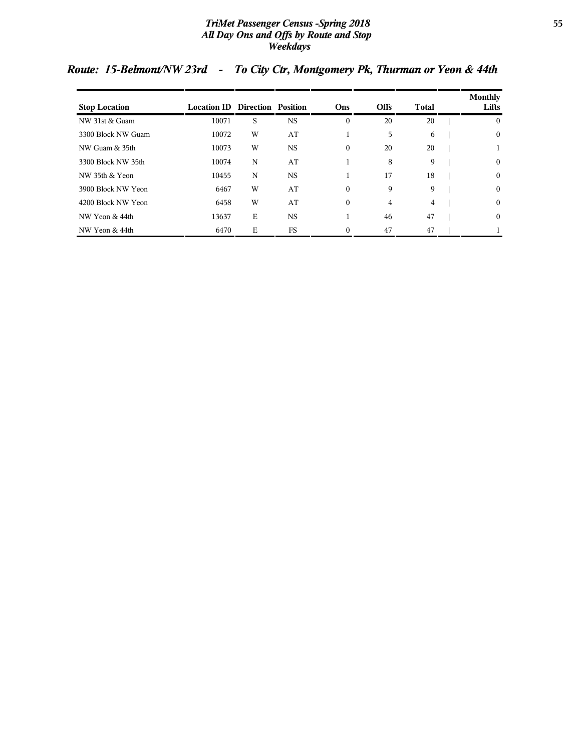#### *TriMet Passenger Census -Spring 2018* **55** *All Day Ons and Offs by Route and Stop Weekdays*

| <b>Stop Location</b> | <b>Location ID Direction Position</b> |   |           | Ons          | <b>Offs</b> | Total | Monthly<br>Lifts |
|----------------------|---------------------------------------|---|-----------|--------------|-------------|-------|------------------|
| NW 31st & Guam       | 10071                                 | S | <b>NS</b> | $\mathbf{0}$ | 20          | 20    | $\overline{0}$   |
| 3300 Block NW Guam   | 10072                                 | W | AT        |              | 5           | 6     | $\overline{0}$   |
| NW Guam & 35th       | 10073                                 | W | <b>NS</b> | $\mathbf{0}$ | 20          | 20    |                  |
| 3300 Block NW 35th   | 10074                                 | N | AT        |              | 8           | 9     | $\overline{0}$   |
| NW 35th & Yeon       | 10455                                 | N | <b>NS</b> |              | 17          | 18    | $\mathbf{0}$     |
| 3900 Block NW Yeon   | 6467                                  | W | AT        | $\theta$     | 9           | 9     | $\mathbf{0}$     |
| 4200 Block NW Yeon   | 6458                                  | W | AT        | $\mathbf{0}$ | 4           | 4     | $\mathbf{0}$     |
| NW Yeon & 44th       | 13637                                 | E | NS.       |              | 46          | 47    | $\mathbf{0}$     |
| NW Yeon & 44th       | 6470                                  | E | <b>FS</b> | $\Omega$     | 47          | 47    |                  |

## *Route: 15-Belmont/NW 23rd - To City Ctr, Montgomery Pk, Thurman or Yeon & 44th*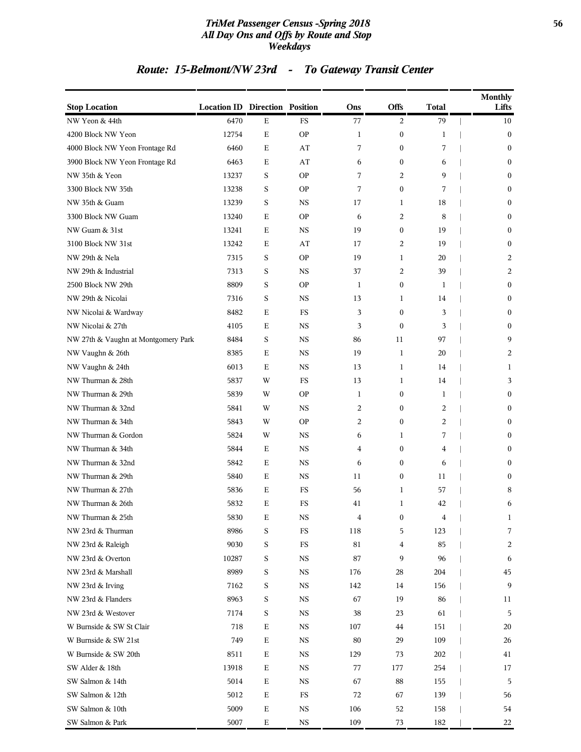#### *TriMet Passenger Census -Spring 2018* **56** *All Day Ons and Offs by Route and Stop Weekdays*

# *Route: 15-Belmont/NW 23rd - To Gateway Transit Center*

| <b>Stop Location</b>                | <b>Location ID Direction Position</b> |             |             | Ons          | <b>Offs</b>             | <b>Total</b> | <b>Monthly</b><br>Lifts |
|-------------------------------------|---------------------------------------|-------------|-------------|--------------|-------------------------|--------------|-------------------------|
| NW Yeon & 44th                      | 6470                                  | Ε           | $_{\rm FS}$ | 77           | 2                       | 79           | 10                      |
| 4200 Block NW Yeon                  | 12754                                 | $\mathbf E$ | <b>OP</b>   | 1            | $\boldsymbol{0}$        | 1            | $\boldsymbol{0}$        |
| 4000 Block NW Yeon Frontage Rd      | 6460                                  | Ε           | AT          | 7            | $\mathbf{0}$            | 7            | $\mathbf{0}$            |
| 3900 Block NW Yeon Frontage Rd      | 6463                                  | Ε           | AT          | 6            | $\boldsymbol{0}$        | 6            | $\mathbf{0}$            |
| NW 35th & Yeon                      | 13237                                 | S           | <b>OP</b>   | 7            | 2                       | 9            | $\mathbf{0}$            |
| 3300 Block NW 35th                  | 13238                                 | S           | <b>OP</b>   | 7            | $\mathbf{0}$            | 7            | $\mathbf{0}$            |
| NW 35th & Guam                      | 13239                                 | S           | <b>NS</b>   | 17           | 1                       | 18           | $\boldsymbol{0}$        |
| 3300 Block NW Guam                  | 13240                                 | Ε           | <b>OP</b>   | 6            | 2                       | 8            | $\mathbf{0}$            |
| NW Guam & 31st                      | 13241                                 | Ε           | <b>NS</b>   | 19           | $\boldsymbol{0}$        | 19           | $\mathbf{0}$            |
| 3100 Block NW 31st                  | 13242                                 | E           | AT          | 17           | 2                       | 19           | $\mathbf{0}$            |
| NW 29th & Nela                      | 7315                                  | S           | <b>OP</b>   | 19           | 1                       | 20           | 2                       |
| NW 29th & Industrial                | 7313                                  | S           | <b>NS</b>   | 37           | 2                       | 39           | 2                       |
| 2500 Block NW 29th                  | 8809                                  | S           | <b>OP</b>   | $\mathbf{1}$ | $\boldsymbol{0}$        | 1            | $\mathbf{0}$            |
| NW 29th & Nicolai                   | 7316                                  | S           | <b>NS</b>   | 13           | 1                       | 14           | $\mathbf{0}$            |
| NW Nicolai & Wardway                | 8482                                  | E           | FS          | 3            | $\mathbf{0}$            | 3            | $\mathbf{0}$            |
| NW Nicolai & 27th                   | 4105                                  | Ε           | <b>NS</b>   | 3            | $\mathbf{0}$            | 3            | $\mathbf{0}$            |
| NW 27th & Vaughn at Montgomery Park | 8484                                  | $\rm S$     | $_{\rm NS}$ | 86           | 11                      | 97           | 9                       |
| NW Vaughn & 26th                    | 8385                                  | Ε           | <b>NS</b>   | 19           | $\mathbf{1}$            | 20           | 2                       |
| NW Vaughn & 24th                    | 6013                                  | Ε           | <b>NS</b>   | 13           | 1                       | 14           | 1                       |
| NW Thurman & 28th                   | 5837                                  | W           | FS          | 13           | 1                       | 14           | 3                       |
| NW Thurman & 29th                   | 5839                                  | W           | <b>OP</b>   | 1            | $\boldsymbol{0}$        | 1            | $\mathbf{0}$            |
| NW Thurman & 32nd                   | 5841                                  | W           | <b>NS</b>   | 2            | $\boldsymbol{0}$        | 2            | $\boldsymbol{0}$        |
| NW Thurman & 34th                   | 5843                                  | W           | <b>OP</b>   | 2            | $\mathbf{0}$            | 2            | $\mathbf{0}$            |
| NW Thurman & Gordon                 | 5824                                  | W           | <b>NS</b>   | 6            | 1                       | 7            | $\boldsymbol{0}$        |
| NW Thurman & 34th                   | 5844                                  | Ε           | <b>NS</b>   | 4            | $\bf{0}$                | 4            | $\mathbf{0}$            |
| NW Thurman & 32nd                   | 5842                                  | Ε           | <b>NS</b>   | 6            | $\mathbf{0}$            | 6            | $\mathbf{0}$            |
| NW Thurman & 29th                   | 5840                                  | Е           | $_{\rm NS}$ | 11           | $\boldsymbol{0}$        | 11           | $\boldsymbol{0}$        |
| NW Thurman & 27th                   | 5836                                  | Е           | FS          | 56           | 1                       | 57           | 8                       |
| NW Thurman & 26th                   | 5832                                  | Ε           | FS          | 41           | 1                       | 42           | 6                       |
| NW Thurman & 25th                   | 5830                                  | Ε           | $_{\rm NS}$ | 4            | $\bf{0}$                | 4            | 1                       |
| NW 23rd & Thurman                   | 8986                                  | S           | $_{\rm FS}$ | 118          | 5                       | 123          | 7                       |
| NW 23rd & Raleigh                   | 9030                                  | S           | $_{\rm FS}$ | 81           | $\overline{\mathbf{4}}$ | 85           | 2                       |
| NW 23rd & Overton                   | 10287                                 | S           | $_{\rm NS}$ | 87           | 9                       | 96           | 6                       |
| NW 23rd & Marshall                  | 8989                                  | S           | <b>NS</b>   | 176          | 28                      | 204          | 45                      |
| NW 23rd & Irving                    | 7162                                  | S           | <b>NS</b>   | 142          | 14                      | 156          | 9                       |
| NW 23rd & Flanders                  | 8963                                  | S           | $_{\rm NS}$ | 67           | 19                      | 86           | 11                      |
| NW 23rd & Westover                  | 7174                                  | S           | NS          | 38           | 23                      | 61           | 5                       |
| W Burnside & SW St Clair            | 718                                   | $\mathbf E$ | $_{\rm NS}$ | 107          | 44                      | 151          | 20                      |
| W Burnside & SW 21st                | 749                                   | $\mathbf E$ | <b>NS</b>   | 80           | 29                      | 109          | 26                      |
| W Burnside & SW 20th                | 8511                                  | $\mathbf E$ | $_{\rm NS}$ | 129          | 73                      | 202          | 41                      |
| SW Alder & 18th                     | 13918                                 | $\mathbf E$ | $_{\rm NS}$ | 77           | 177                     | 254          | 17                      |
| SW Salmon & 14th                    | 5014                                  | Ε           | NS          | 67           | 88                      | 155          | 5                       |
| SW Salmon & 12th                    | 5012                                  | $\mathbf E$ | $_{\rm FS}$ | 72           | 67                      | 139          | 56                      |
| SW Salmon & 10th                    | 5009                                  | $\mathbf E$ | $_{\rm NS}$ | 106          | 52                      | 158          | 54                      |
| SW Salmon & Park                    | 5007                                  | $\mathbf E$ | $_{\rm NS}$ | 109          | 73                      | 182          | 22                      |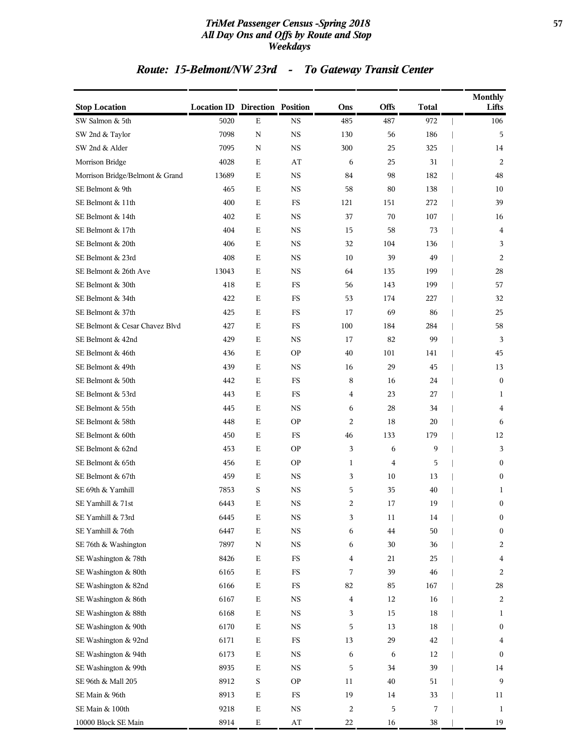#### *TriMet Passenger Census -Spring 2018* **57** *All Day Ons and Offs by Route and Stop Weekdays*

# *Route: 15-Belmont/NW 23rd - To Gateway Transit Center*

| <b>Stop Location</b>            | <b>Location ID Direction Position</b> |             |                        | Ons            | Offs           | <b>Total</b> | <b>Monthly</b><br>Lifts |
|---------------------------------|---------------------------------------|-------------|------------------------|----------------|----------------|--------------|-------------------------|
| SW Salmon & 5th                 | 5020                                  | $\mathbf E$ | $_{\rm NS}$            | 485            | 487            | 972          | 106                     |
| SW 2nd & Taylor                 | 7098                                  | $\mathbf N$ | $_{\rm NS}$            | 130            | 56             | 186          | 5                       |
| SW 2nd & Alder                  | 7095                                  | $\mathbf N$ | $_{\rm NS}$            | 300            | 25             | 325          | 14                      |
| Morrison Bridge                 | 4028                                  | Ε           | AT                     | 6              | 25             | 31           | 2                       |
| Morrison Bridge/Belmont & Grand | 13689                                 | Ε           | $_{\rm NS}$            | 84             | 98             | 182          | 48                      |
| SE Belmont & 9th                | 465                                   | E           | <b>NS</b>              | 58             | 80             | 138          | 10                      |
| SE Belmont & 11th               | 400                                   | $\mathbf E$ | FS                     | 121            | 151            | 272          | 39                      |
| SE Belmont & 14th               | 402                                   | $\mathbf E$ | <b>NS</b>              | 37             | 70             | 107          | 16                      |
| SE Belmont & 17th               | 404                                   | $\mathbf E$ | <b>NS</b>              | 15             | 58             | 73           | 4                       |
| SE Belmont & 20th               | 406                                   | $\mathbf E$ | <b>NS</b>              | 32             | 104            | 136          | 3                       |
| SE Belmont & 23rd               | 408                                   | $\mathbf E$ | $_{\rm NS}$            | 10             | 39             | 49           | 2                       |
| SE Belmont & 26th Ave           | 13043                                 | $\mathbf E$ | $_{\rm NS}$            | 64             | 135            | 199          | 28                      |
| SE Belmont & 30th               | 418                                   | Ε           | FS                     | 56             | 143            | 199          | 57                      |
| SE Belmont & 34th               | 422                                   | $\mathbf E$ | FS                     | 53             | 174            | 227          | 32                      |
| SE Belmont & 37th               | 425                                   | Ε           | $_{\rm FS}$            | 17             | 69             | 86           | 25                      |
| SE Belmont & Cesar Chavez Blvd  | 427                                   | E           | FS                     | 100            | 184            | 284          | 58                      |
| SE Belmont & 42nd               | 429                                   | $\mathbf E$ | $_{\rm NS}$            | 17             | 82             | 99           | 3                       |
| SE Belmont & 46th               | 436                                   | $\mathbf E$ | <b>OP</b>              | 40             | 101            | 141          | 45                      |
| SE Belmont & 49th               | 439                                   | $\mathbf E$ | <b>NS</b>              | 16             | 29             | 45           | 13                      |
| SE Belmont & 50th               | 442                                   | $\mathbf E$ | FS                     | 8              | 16             | 24           | $\mathbf{0}$            |
| SE Belmont & 53rd               | 443                                   | $\mathbf E$ | FS                     | $\overline{4}$ | 23             | 27           | 1                       |
| SE Belmont & 55th               | 445                                   | $\mathbf E$ | $_{\rm NS}$            | 6              | 28             | 34           | $\overline{4}$          |
| SE Belmont & 58th               | 448                                   | Ε           | <b>OP</b>              | 2              | 18             | 20           | 6                       |
| SE Belmont & 60th               | 450                                   | $\mathbf E$ | FS                     | 46             | 133            | 179          | 12                      |
| SE Belmont & 62nd               | 453                                   | Ε           | <b>OP</b>              | 3              | 6              | 9            | 3                       |
| SE Belmont & 65th               | 456                                   | E           | <b>OP</b>              | 1              | $\overline{4}$ | 5            | $\mathbf{0}$            |
| SE Belmont & 67th               | 459                                   | $\mathbf E$ | $_{\rm NS}$            | 3              | 10             | 13           | $\boldsymbol{0}$        |
| SE 69th & Yamhill               | 7853                                  | S           | <b>NS</b>              | 5              | 35             | 40           | 1                       |
| SE Yamhill & 71st               | 6443                                  | Ε           | NS                     | 2              | 17             | 19           | $\boldsymbol{0}$        |
| SE Yamhill & 73rd               | 6445                                  | Ε           | NS                     | 3              | 11             | 14           | $\bf{0}$                |
| SE Yamhill & 76th               | 6447                                  | $\mathbf E$ | $_{\rm NS}$            | 6              | 44             | 50           | $\bf{0}$                |
| SE 76th & Washington            | 7897                                  | $\rm N$     | $_{\rm NS}$            | 6              | $30\,$         | 36           | 2                       |
| SE Washington & 78th            | 8426                                  | $\mathbf E$ | $_{\rm FS}$            | 4              | 21             | 25           | 4                       |
| SE Washington & 80th            | 6165                                  | $\mathbf E$ | $_{\rm FS}$            | 7              | 39             | 46           | 2                       |
| SE Washington & 82nd            | 6166                                  | $\mathbf E$ | $_{\rm FS}$            | 82             | 85             | 167          | 28                      |
| SE Washington & 86th            | 6167                                  | $\mathbf E$ | $_{\rm NS}$            | $\overline{4}$ | 12             | 16           | 2                       |
| SE Washington & 88th            | 6168                                  | $\mathbf E$ | $_{\rm NS}$            | 3              | 15             | 18           | 1                       |
| SE Washington & 90th            | 6170                                  | $\mathbf E$ | $_{\rm NS}$            | 5              | 13             | $18\,$       | $\bf{0}$                |
| SE Washington & 92nd            | 6171                                  | $\mathbf E$ | FS                     | 13             | 29             | 42           | 4                       |
| SE Washington & 94th            | 6173                                  | $\mathbf E$ | $_{\rm NS}$            | 6              | 6              | 12           | $\boldsymbol{0}$        |
| SE Washington & 99th            | 8935                                  | $\mathbf E$ | $_{\rm NS}$            | 5              | 34             | 39           | 14                      |
| SE 96th & Mall 205              | 8912                                  | $\mathbf S$ | <b>OP</b>              | 11             | 40             | 51           | 9                       |
| SE Main & 96th                  | 8913                                  | $\mathbf E$ | $_{\rm FS}$            | 19             | 14             | 33           | 11                      |
| SE Main & 100th                 | 9218                                  | $\mathbf E$ | $_{\rm NS}$            | $\overline{c}$ | 5              | 7            | 1                       |
| 10000 Block SE Main             | 8914                                  | $\mathbf E$ | $\mathbf{A}\mathbf{T}$ | 22             | 16             | 38           | 19                      |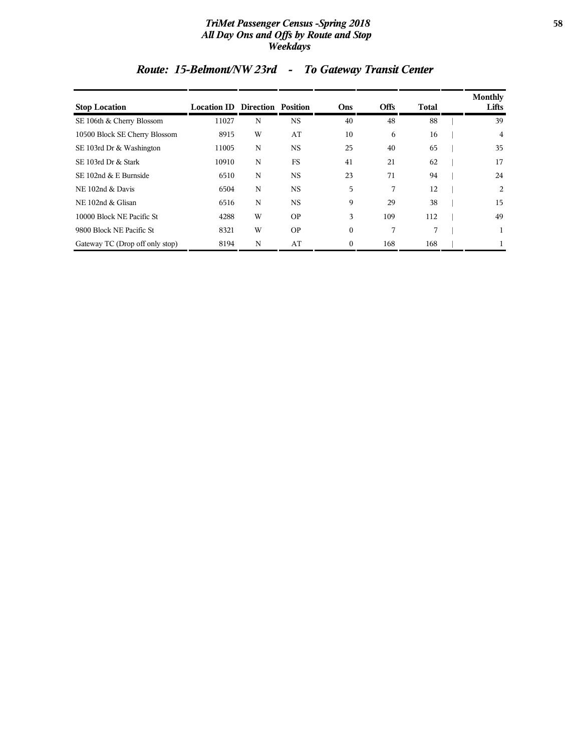#### *TriMet Passenger Census -Spring 2018* **58** *All Day Ons and Offs by Route and Stop Weekdays*

| <b>Stop Location</b>            | <b>Location ID Direction Position</b> |   |           | Ons          | <b>Offs</b> | <b>Total</b> | <b>Monthly</b><br>Lifts |
|---------------------------------|---------------------------------------|---|-----------|--------------|-------------|--------------|-------------------------|
| SE 106th & Cherry Blossom       | 11027                                 | N | <b>NS</b> | 40           | 48          | 88           | 39                      |
| 10500 Block SE Cherry Blossom   | 8915                                  | W | AT        | 10           | 6           | 16           | 4                       |
| SE 103rd Dr & Washington        | 11005                                 | N | <b>NS</b> | 25           | 40          | 65           | 35                      |
| SE 103rd Dr & Stark             | 10910                                 | N | <b>FS</b> | 41           | 21          | 62           | 17                      |
| SE 102nd & E Burnside           | 6510                                  | N | <b>NS</b> | 23           | 71          | 94           | 24                      |
| NE 102nd & Davis                | 6504                                  | N | <b>NS</b> | 5            | 7           | 12           | $\overline{2}$          |
| NE 102nd & Glisan               | 6516                                  | N | <b>NS</b> | 9            | 29          | 38           | 15                      |
| 10000 Block NE Pacific St       | 4288                                  | W | <b>OP</b> | 3            | 109         | 112          | 49                      |
| 9800 Block NE Pacific St        | 8321                                  | W | <b>OP</b> | $\mathbf{0}$ | 7           | 7            |                         |
| Gateway TC (Drop off only stop) | 8194                                  | N | AT        | $\mathbf{0}$ | 168         | 168          |                         |

# *Route: 15-Belmont/NW 23rd - To Gateway Transit Center*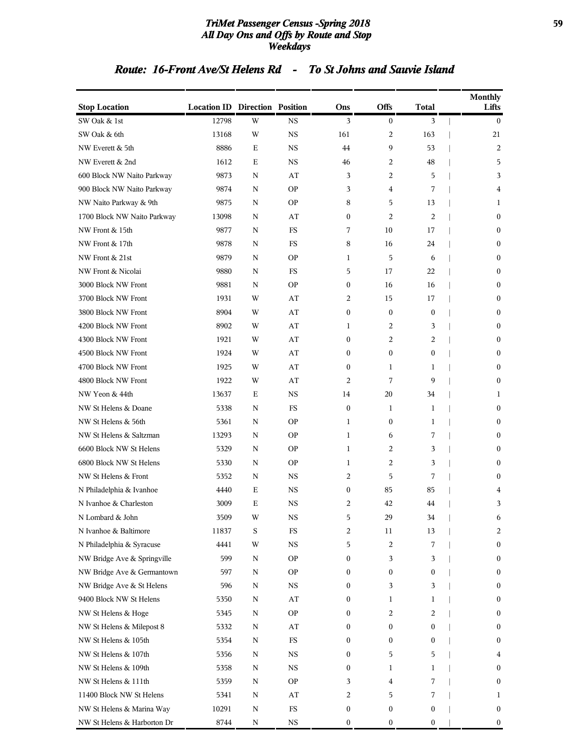#### *TriMet Passenger Census -Spring 2018* **59** *All Day Ons and Offs by Route and Stop Weekdays*

### *Route: 16-Front Ave/St Helens Rd - To St Johns and Sauvie Island*

| <b>Stop Location</b>        | <b>Location ID Direction Position</b> |             |             | Ons              | Offs             | <b>Total</b>   | <b>Monthly</b><br>Lifts |
|-----------------------------|---------------------------------------|-------------|-------------|------------------|------------------|----------------|-------------------------|
| SW Oak & 1st                | 12798                                 | W           | <b>NS</b>   | 3                | $\boldsymbol{0}$ | 3              | $\mathbf{0}$            |
| SW Oak & 6th                | 13168                                 | W           | <b>NS</b>   | 161              | 2                | 163            | 21                      |
| NW Everett & 5th            | 8886                                  | E           | <b>NS</b>   | 44               | 9                | 53             | 2                       |
| NW Everett & 2nd            | 1612                                  | E           | <b>NS</b>   | 46               | 2                | 48             | 5                       |
| 600 Block NW Naito Parkway  | 9873                                  | N           | AT          | 3                | 2                | 5              | 3                       |
| 900 Block NW Naito Parkway  | 9874                                  | N           | <b>OP</b>   | 3                | 4                | 7              | 4                       |
| NW Naito Parkway & 9th      | 9875                                  | N           | <b>OP</b>   | 8                | 5                | 13             | 1                       |
| 1700 Block NW Naito Parkway | 13098                                 | N           | AT          | $\mathbf{0}$     | 2                | $\overline{c}$ | $\mathbf{0}$            |
| NW Front & 15th             | 9877                                  | N           | FS          | 7                | 10               | 17             | $\boldsymbol{0}$        |
| NW Front & 17th             | 9878                                  | N           | <b>FS</b>   | 8                | 16               | 24             | $\mathbf{0}$            |
| NW Front & 21st             | 9879                                  | N           | <b>OP</b>   | 1                | 5                | 6              | $\boldsymbol{0}$        |
| NW Front & Nicolai          | 9880                                  | N           | FS          | 5                | 17               | 22             | $\boldsymbol{0}$        |
| 3000 Block NW Front         | 9881                                  | N           | <b>OP</b>   | $\mathbf{0}$     | 16               | 16             | $\boldsymbol{0}$        |
| 3700 Block NW Front         | 1931                                  | W           | AT          | 2                | 15               | 17             | $\boldsymbol{0}$        |
| 3800 Block NW Front         | 8904                                  | W           | AT          | 0                | $\mathbf{0}$     | $\mathbf{0}$   | $\mathbf{0}$            |
| 4200 Block NW Front         | 8902                                  | W           | AT          | 1                | 2                | 3              | $\boldsymbol{0}$        |
| 4300 Block NW Front         | 1921                                  | W           | AT          | $\mathbf{0}$     | 2                | $\overline{c}$ | $\boldsymbol{0}$        |
| 4500 Block NW Front         | 1924                                  | W           | AT          | $\mathbf{0}$     | $\boldsymbol{0}$ | 0              | $\boldsymbol{0}$        |
| 4700 Block NW Front         | 1925                                  | W           | AT          | $\mathbf{0}$     | 1                | 1              | $\boldsymbol{0}$        |
| 4800 Block NW Front         | 1922                                  | W           | AT          | 2                | 7                | 9              | $\mathbf{0}$            |
| NW Yeon & 44th              | 13637                                 | Ε           | <b>NS</b>   | 14               | 20               | 34             | 1                       |
| NW St Helens & Doane        | 5338                                  | N           | FS          | $\boldsymbol{0}$ | 1                | 1              | $\boldsymbol{0}$        |
| NW St Helens & 56th         | 5361                                  | N           | <b>OP</b>   | 1                | $\bf{0}$         | 1              | $\boldsymbol{0}$        |
| NW St Helens & Saltzman     | 13293                                 | N           | <b>OP</b>   | 1                | 6                | 7              | $\boldsymbol{0}$        |
| 6600 Block NW St Helens     | 5329                                  | N           | <b>OP</b>   | 1                | 2                | 3              | $\mathbf{0}$            |
| 6800 Block NW St Helens     | 5330                                  | N           | <b>OP</b>   | 1                | 2                | 3              | $\boldsymbol{0}$        |
| NW St Helens & Front        | 5352                                  | N           | <b>NS</b>   | $\overline{c}$   | 5                | 7              | $\mathbf{0}$            |
| N Philadelphia & Ivanhoe    | 4440                                  | Ε           | <b>NS</b>   | $\mathbf{0}$     | 85               | 85             | 4                       |
| N Ivanhoe & Charleston      | 3009                                  | E           | <b>NS</b>   | $\overline{c}$   | 42               | 44             | 3                       |
| N Lombard & John            | 3509                                  | W           | <b>NS</b>   | 5                | 29               | 34             | 6                       |
| N Ivanhoe & Baltimore       | 11837                                 | $\mathbf S$ | FS          | 2                | 11               | 13             | 2                       |
| N Philadelphia & Syracuse   | 4441                                  | W           | $_{\rm NS}$ | 5                | $\overline{2}$   | 7              | $\bf{0}$                |
| NW Bridge Ave & Springville | 599                                   | Ν           | <b>OP</b>   | $\boldsymbol{0}$ | 3                | 3              | $\boldsymbol{0}$        |
| NW Bridge Ave & Germantown  | 597                                   | N           | <b>OP</b>   | 0                | $\boldsymbol{0}$ | 0              | $\boldsymbol{0}$        |
| NW Bridge Ave & St Helens   | 596                                   | N           | $_{\rm NS}$ | 0                | 3                | 3              | $\boldsymbol{0}$        |
| 9400 Block NW St Helens     | 5350                                  | N           | AT          | $\boldsymbol{0}$ | 1                | 1              | $\bf{0}$                |
| NW St Helens & Hoge         | 5345                                  | Ν           | <b>OP</b>   | 0                | 2                | 2              | $\boldsymbol{0}$        |
| NW St Helens & Milepost 8   | 5332                                  | Ν           | AT          | 0                | $\boldsymbol{0}$ | 0              | $\bf{0}$                |
| NW St Helens & 105th        | 5354                                  | N           | $_{\rm FS}$ | $\boldsymbol{0}$ | $\boldsymbol{0}$ | 0              | $\boldsymbol{0}$        |
| NW St Helens & 107th        | 5356                                  | N           | $_{\rm NS}$ | 0                | 5                | 5              | 4                       |
| NW St Helens & 109th        | 5358                                  | Ν           | <b>NS</b>   | $\boldsymbol{0}$ | $\mathbf{1}$     | 1              | $\boldsymbol{0}$        |
| NW St Helens & 111th        | 5359                                  | Ν           | <b>OP</b>   | 3                | 4                | 7              | $\boldsymbol{0}$        |
| 11400 Block NW St Helens    | 5341                                  | Ν           | AT          | 2                | 5                | 7              | 1                       |
| NW St Helens & Marina Way   | 10291                                 | N           | $_{\rm FS}$ | $\boldsymbol{0}$ | $\boldsymbol{0}$ | 0              | $\boldsymbol{0}$        |
| NW St Helens & Harborton Dr | 8744                                  | N           | $_{\rm NS}$ | $\boldsymbol{0}$ | 0                | 0              | $\boldsymbol{0}$        |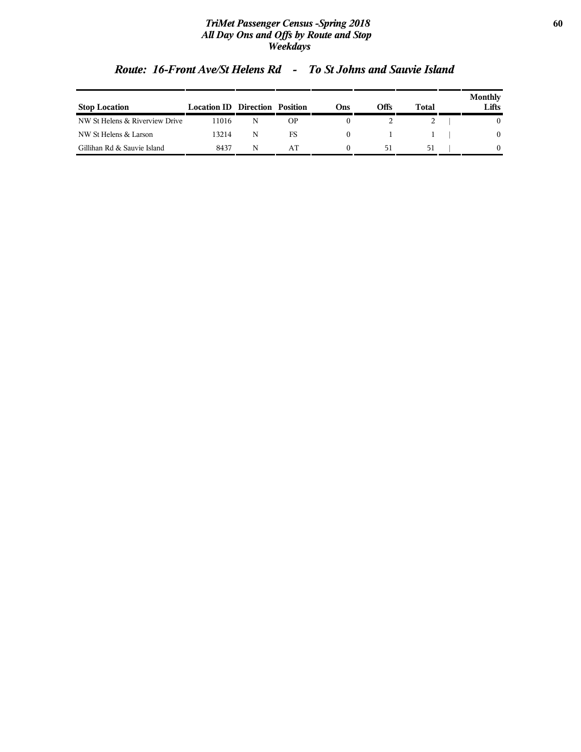#### *TriMet Passenger Census -Spring 2018* **60** *All Day Ons and Offs by Route and Stop Weekdays*

| <b>Stop Location</b>           | <b>Location ID Direction Position</b> |   |    | Ons      | Offs | Total | Monthly<br>Lifts |
|--------------------------------|---------------------------------------|---|----|----------|------|-------|------------------|
| NW St Helens & Riverview Drive | 11016                                 |   | ΟP |          |      |       |                  |
| NW St Helens & Larson          | 13214                                 | N | FS | $^{(1)}$ |      |       | $\mathbf{0}$     |
| Gillihan Rd & Sauvie Island    | 8437                                  | N | AT |          | 51   | 51    | $\theta$         |

## *Route: 16-Front Ave/St Helens Rd - To St Johns and Sauvie Island*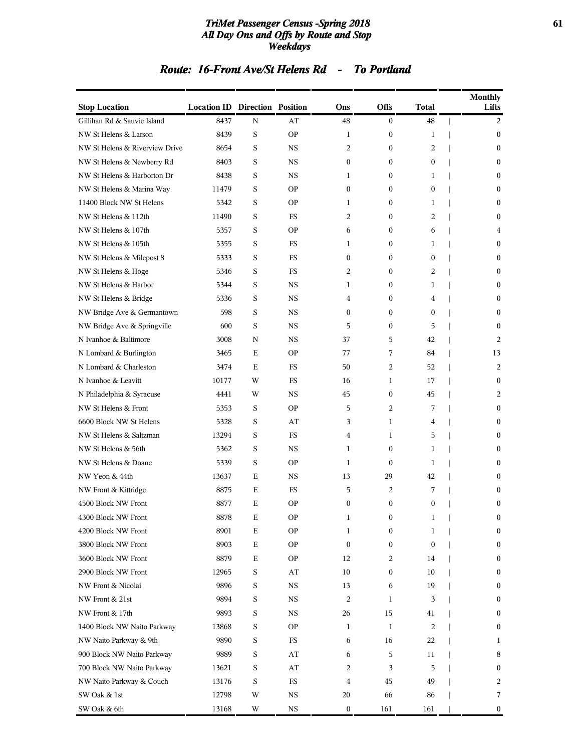#### *TriMet Passenger Census -Spring 2018* **61** *All Day Ons and Offs by Route and Stop Weekdays*

## **Stop Location Location ID Direction Position Ons Offs Total Monthly Lifts** Gillihan Rd & Sauvie Island 8437 N AT  $\overline{AT}$   $\overline{48}$   $\overline{0}$   $\overline{48}$   $\overline{1}$   $\overline{2}$ NW St Helens & Larson 8439 S OP 1 0 1 | 0 NW St Helens & Riverview Drive 8654 S NS 2 0 2 | 0 NW St Helens & Newberry Rd 8403 S NS 0 0 0 | 0 NW St Helens & Harborton Dr 8438 S NS 1 0 1 | 0 NW St Helens & Marina Way 11479 S OP 0 0 0 | 0 11400 Block NW St Helens 5342 S OP 1 0 1 | 0 NW St Helens & 112th 11490 S FS 2 0 2 | 0 NW St Helens & 107th 5357 S OP 6 0 6 | 4 NW St Helens & 105th 5355 S FS 1 0 1 | 0 NW St Helens & Milepost 8 5333 S FS 0 0 0 | 0 0 NW St Helens & Hoge 5346 S FS 2 0 2 | 0 NW St Helens & Harbor 5344 S NS 1 0 1 | 0 NW St Helens & Bridge 5336 S NS 4 0 4 | 0 NW Bridge Ave & Germantown 598 S NS 0 0 0 | 0 NW Bridge Ave & Springville 600 S NS 5 0 5 | 0 N Ivanhoe & Baltimore 3008 N NS 37 5 42 | 2 N Lombard & Burlington 3465 E OP 77 7 84 | 13 N Lombard & Charleston 3474 E FS 50 2 52 | 2 N Ivanhoe & Leavitt 10177 W FS 16 1 17 | 0 N Philadelphia & Syracuse 4441 W NS 45 0 45 | 2 NW St Helens & Front 5353 S OP 5 2 7 | 0

### *Route: 16-Front Ave/St Helens Rd - To Portland*

| NW St Helens & Saltzman<br>NW St Helens & 56th | 13294<br>5362 | S           | <b>FS</b> | 4            | 1                |                |              |
|------------------------------------------------|---------------|-------------|-----------|--------------|------------------|----------------|--------------|
|                                                |               |             |           |              |                  | 5              | $\Omega$     |
|                                                |               | S           | <b>NS</b> | 1            | $\mathbf{0}$     | 1              | $\mathbf{0}$ |
| NW St Helens & Doane                           | 5339          | S           | <b>OP</b> | 1            | $\theta$         | 1              | $\mathbf{0}$ |
| NW Yeon & 44th                                 | 13637         | $\mathbf E$ | <b>NS</b> | 13           | 29               | 42             | $\mathbf{0}$ |
| NW Front & Kittridge                           | 8875          | E           | <b>FS</b> | 5            | 2                | 7              | $\Omega$     |
| 4500 Block NW Front                            | 8877          | $\mathbf E$ | <b>OP</b> | $\mathbf{0}$ | $\boldsymbol{0}$ | $\mathbf{0}$   | $\Omega$     |
| 4300 Block NW Front                            | 8878          | $\mathbf E$ | <b>OP</b> | 1            | $\mathbf{0}$     | 1              | $\mathbf{0}$ |
| 4200 Block NW Front                            | 8901          | $\mathbf E$ | <b>OP</b> | 1            | $\mathbf{0}$     | 1              | $\mathbf{0}$ |
| 3800 Block NW Front                            | 8903          | $\mathbf E$ | <b>OP</b> | $\Omega$     | $\mathbf{0}$     | $\Omega$       | $\Omega$     |
| 3600 Block NW Front                            | 8879          | $\mathbf E$ | <b>OP</b> | 12           | 2                | 14             | $\bf{0}$     |
| 2900 Block NW Front                            | 12965         | S           | AT        | 10           | $\mathbf{0}$     | 10             | $\mathbf{0}$ |
| NW Front & Nicolai                             | 9896          | S           | <b>NS</b> | 13           | 6                | 19             | $\Omega$     |
| NW Front & 21st                                | 9894          | S           | <b>NS</b> | 2            | 1                | 3              | $\mathbf{0}$ |
| NW Front & 17th                                | 9893          | S           | <b>NS</b> | 26           | 15               | 41             | $\theta$     |
| 1400 Block NW Naito Parkway                    | 13868         | S           | <b>OP</b> | 1            | 1                | $\overline{c}$ | $\Omega$     |
| NW Naito Parkway & 9th                         | 9890          | S           | <b>FS</b> | 6            | 16               | 22             | 1            |
| 900 Block NW Naito Parkway                     | 9889          | S           | AT        | 6            | 5                | 11             | 8            |
| 700 Block NW Naito Parkway                     | 13621         | S           | AT        | 2            | 3                | 5              | $\Omega$     |
| NW Naito Parkway & Couch                       | 13176         | S           | <b>FS</b> | 4            | 45               | 49             | 2            |
| SW Oak & 1st                                   | 12798         | W           | <b>NS</b> | 20           | 66               | 86             | 7            |
| SW Oak & 6th                                   | 13168         | W           | <b>NS</b> | $\mathbf{0}$ | 161              | 161            | $\bf{0}$     |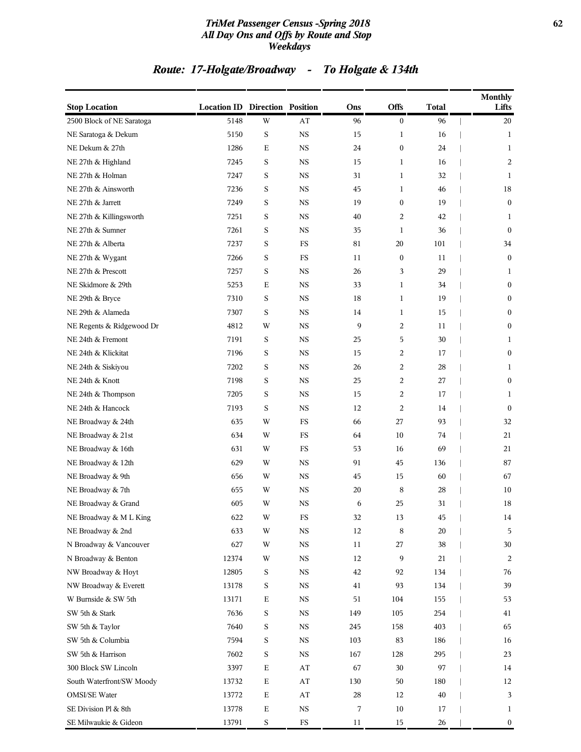#### *TriMet Passenger Census -Spring 2018* **62** *All Day Ons and Offs by Route and Stop Weekdays*

## *Route: 17-Holgate/Broadway - To Holgate & 134th*

| <b>Stop Location</b>      | <b>Location ID Direction Position</b> |             |                        | Ons    | Offs             | <b>Total</b> | <b>Monthly</b><br>Lifts |
|---------------------------|---------------------------------------|-------------|------------------------|--------|------------------|--------------|-------------------------|
| 2500 Block of NE Saratoga | 5148                                  | W           | AT                     | 96     | $\boldsymbol{0}$ | 96           | 20                      |
| NE Saratoga & Dekum       | 5150                                  | S           | <b>NS</b>              | 15     | 1                | 16           | 1                       |
| NE Dekum & 27th           | 1286                                  | E           | <b>NS</b>              | 24     | $\boldsymbol{0}$ | 24           | 1                       |
| NE 27th & Highland        | 7245                                  | $\rm S$     | <b>NS</b>              | 15     | $\mathbf{1}$     | 16           | 2                       |
| NE 27th & Holman          | 7247                                  | S           | <b>NS</b>              | 31     | 1                | 32           | 1                       |
| NE 27th & Ainsworth       | 7236                                  | S           | <b>NS</b>              | 45     | 1                | 46           | 18                      |
| NE 27th & Jarrett         | 7249                                  | S           | <b>NS</b>              | 19     | $\boldsymbol{0}$ | 19           | $\boldsymbol{0}$        |
| NE 27th & Killingsworth   | 7251                                  | S           | <b>NS</b>              | 40     | 2                | 42           | 1                       |
| NE 27th & Sumner          | 7261                                  | S           | <b>NS</b>              | 35     | $\mathbf{1}$     | 36           | $\mathbf{0}$            |
| NE 27th & Alberta         | 7237                                  | S           | <b>FS</b>              | 81     | 20               | 101          | 34                      |
| NE 27th & Wygant          | 7266                                  | S           | FS                     | 11     | $\boldsymbol{0}$ | 11           | $\boldsymbol{0}$        |
| NE 27th & Prescott        | 7257                                  | S           | $_{\rm NS}$            | 26     | 3                | 29           | 1                       |
| NE Skidmore & 29th        | 5253                                  | Ε           | <b>NS</b>              | 33     | 1                | 34           | $\boldsymbol{0}$        |
| NE 29th & Bryce           | 7310                                  | S           | <b>NS</b>              | 18     | $\mathbf{1}$     | 19           | $\boldsymbol{0}$        |
| NE 29th & Alameda         | 7307                                  | S           | <b>NS</b>              | 14     | 1                | 15           | $\mathbf{0}$            |
| NE Regents & Ridgewood Dr | 4812                                  | W           | <b>NS</b>              | 9      | 2                | 11           | $\boldsymbol{0}$        |
| NE 24th & Fremont         | 7191                                  | S           | <b>NS</b>              | 25     | 5                | 30           | 1                       |
| NE 24th & Klickitat       | 7196                                  | S           | <b>NS</b>              | 15     | 2                | 17           | $\boldsymbol{0}$        |
| NE 24th & Siskiyou        | 7202                                  | $\rm S$     | <b>NS</b>              | 26     | $\overline{c}$   | 28           | 1                       |
| NE 24th & Knott           | 7198                                  | S           | <b>NS</b>              | 25     | 2                | 27           | $\mathbf{0}$            |
| NE 24th & Thompson        | 7205                                  | S           | <b>NS</b>              | 15     | 2                | 17           | 1                       |
| NE 24th & Hancock         | 7193                                  | S           | <b>NS</b>              | 12     | 2                | 14           | $\boldsymbol{0}$        |
| NE Broadway & 24th        | 635                                   | W           | FS                     | 66     | 27               | 93           | 32                      |
| NE Broadway & 21st        | 634                                   | W           | FS                     | 64     | 10               | 74           | 21                      |
| NE Broadway & 16th        | 631                                   | W           | FS                     | 53     | 16               | 69           | 21                      |
| NE Broadway & 12th        | 629                                   | W           | <b>NS</b>              | 91     | 45               | 136          | 87                      |
| NE Broadway & 9th         | 656                                   | W           | <b>NS</b>              | 45     | 15               | 60           | 67                      |
| NE Broadway & 7th         | 655                                   | W           | <b>NS</b>              | 20     | 8                | 28           | 10                      |
| NE Broadway & Grand       | 605                                   | W           | $_{\rm NS}$            | 6      | 25               | 31           | 18                      |
| NE Broadway & M L King    | 622                                   | W           | FS                     | 32     | 13               | 45           | 14                      |
| NE Broadway & 2nd         | 633                                   | W           | $_{\rm NS}$            | 12     | 8                | 20           | 5                       |
| N Broadway & Vancouver    | 627                                   | W           | $_{\rm NS}$            | 11     | 27               | 38           | $30\,$                  |
| N Broadway & Benton       | 12374                                 | W           | $_{\rm NS}$            | 12     | 9                | 21           | 2                       |
| NW Broadway & Hoyt        | 12805                                 | S           | $_{\rm NS}$            | $42\,$ | 92               | 134          | 76                      |
| NW Broadway & Everett     | 13178                                 | S           | $_{\rm NS}$            | 41     | 93               | 134          | 39                      |
| W Burnside & SW 5th       | 13171                                 | $\mathbf E$ | $_{\rm NS}$            | 51     | 104              | 155          | 53                      |
| SW 5th & Stark            | 7636                                  | S           | $_{\rm NS}$            | 149    | 105              | 254          | 41                      |
| SW 5th & Taylor           | 7640                                  | S           | $_{\rm NS}$            | 245    | 158              | 403          | 65                      |
| SW 5th & Columbia         | 7594                                  | S           | $_{\rm NS}$            | 103    | 83               | 186          | 16                      |
| SW 5th & Harrison         | 7602                                  | S           | $_{\rm NS}$            | 167    | 128              | 295          | 23                      |
| 300 Block SW Lincoln      | 3397                                  | $\mathbf E$ | $\mathbf{A}\mathbf{T}$ | 67     | 30               | 97           | 14                      |
| South Waterfront/SW Moody | 13732                                 | $\mathbf E$ | $\mathbf{A}\mathbf{T}$ | 130    | 50               | 180          | 12                      |
| <b>OMSI/SE Water</b>      | 13772                                 | $\mathbf E$ | $\mathbf{A}\mathbf{T}$ | 28     | 12               | 40           | 3                       |
| SE Division Pl & 8th      | 13778                                 | $\mathbf E$ | $_{\rm NS}$            | 7      | $10\,$           | 17           | $\mathbf{1}$            |
| SE Milwaukie & Gideon     | 13791                                 | $\mathbf S$ | $_{\rm FS}$            | $11\,$ | $15\,$           | 26           | $\boldsymbol{0}$        |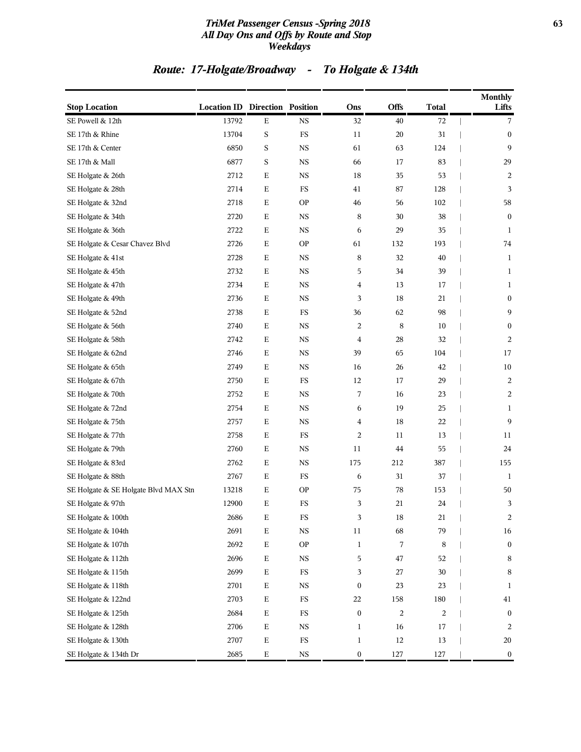#### *TriMet Passenger Census -Spring 2018* **63** *All Day Ons and Offs by Route and Stop Weekdays*

## *Route: 17-Holgate/Broadway - To Holgate & 134th*

| <b>Stop Location</b>                 | <b>Location ID Direction Position</b> |             |               | Ons              | <b>Offs</b> | <b>Total</b> | <b>Monthly</b><br>Lifts |
|--------------------------------------|---------------------------------------|-------------|---------------|------------------|-------------|--------------|-------------------------|
| SE Powell & 12th                     | 13792                                 | E           | <b>NS</b>     | 32               | 40          | 72           | 7                       |
| SE 17th & Rhine                      | 13704                                 | $\mathbf S$ | $_{\rm FS}$   | 11               | $20\,$      | 31           | $\mathbf{0}$            |
| SE 17th & Center                     | 6850                                  | S           | <b>NS</b>     | 61               | 63          | 124          | 9                       |
| SE 17th & Mall                       | 6877                                  | S           | $_{\rm NS}$   | 66               | 17          | 83           | 29                      |
| SE Holgate & 26th                    | 2712                                  | $\mathbf E$ | <b>NS</b>     | 18               | 35          | 53           | 2                       |
| SE Holgate & 28th                    | 2714                                  | E           | FS            | 41               | 87          | 128          | 3                       |
| SE Holgate & 32nd                    | 2718                                  | $\mathbf E$ | <b>OP</b>     | 46               | 56          | 102          | 58                      |
| SE Holgate & 34th                    | 2720                                  | E           | <b>NS</b>     | 8                | 30          | 38           | $\boldsymbol{0}$        |
| SE Holgate & 36th                    | 2722                                  | $\mathbf E$ | $_{\rm NS}$   | 6                | 29          | 35           | 1                       |
| SE Holgate & Cesar Chavez Blvd       | 2726                                  | $\mathbf E$ | <b>OP</b>     | 61               | 132         | 193          | 74                      |
| SE Holgate & 41st                    | 2728                                  | $\mathbf E$ | $_{\rm NS}$   | 8                | 32          | 40           | $\mathbf{1}$            |
| SE Holgate & 45th                    | 2732                                  | $\mathbf E$ | $_{\rm NS}$   | 5                | 34          | 39           | 1                       |
| SE Holgate & 47th                    | 2734                                  | E           | <b>NS</b>     | 4                | 13          | 17           | 1                       |
| SE Holgate & 49th                    | 2736                                  | $\mathbf E$ | $_{\rm NS}$   | 3                | 18          | 21           | $\boldsymbol{0}$        |
| SE Holgate & 52nd                    | 2738                                  | $\mathbf E$ | $_{\rm FS}$   | 36               | 62          | 98           | 9                       |
| SE Holgate & 56th                    | 2740                                  | $\mathbf E$ | $_{\rm NS}$   | 2                | 8           | 10           | $\boldsymbol{0}$        |
| SE Holgate & 58th                    | 2742                                  | $\mathbf E$ | $_{\rm NS}$   | 4                | 28          | 32           | 2                       |
| SE Holgate & 62nd                    | 2746                                  | Ε           | <b>NS</b>     | 39               | 65          | 104          | 17                      |
| SE Holgate & 65th                    | 2749                                  | $\mathbf E$ | $_{\rm NS}$   | 16               | 26          | 42           | 10                      |
| SE Holgate & 67th                    | 2750                                  | $\mathbf E$ | $_{\rm FS}$   | 12               | 17          | 29           | $\overline{2}$          |
| SE Holgate & 70th                    | 2752                                  | $\mathbf E$ | $_{\rm NS}$   | 7                | 16          | 23           | $\overline{2}$          |
| SE Holgate & 72nd                    | 2754                                  | $\mathbf E$ | $_{\rm NS}$   | 6                | 19          | 25           | $\mathbf{1}$            |
| SE Holgate & 75th                    | 2757                                  | E           | <b>NS</b>     | 4                | 18          | 22           | 9                       |
| SE Holgate & 77th                    | 2758                                  | $\mathbf E$ | $_{\rm FS}$   | 2                | 11          | 13           | 11                      |
| SE Holgate & 79th                    | 2760                                  | $\mathbf E$ | <b>NS</b>     | 11               | 44          | 55           | 24                      |
| SE Holgate & 83rd                    | 2762                                  | $\mathbf E$ | <b>NS</b>     | 175              | 212         | 387          | 155                     |
| SE Holgate & 88th                    | 2767                                  | $\mathbf E$ | $_{\rm FS}$   | 6                | 31          | 37           | 1                       |
| SE Holgate & SE Holgate Blvd MAX Stn | 13218                                 | E           | <b>OP</b>     | 75               | 78          | 153          | 50                      |
| SE Holgate & 97th                    | 12900                                 | Ε           | $_{\rm FS}$   | 3                | 21          | 24           | 3                       |
| SE Holgate & 100th                   | 2686                                  | $\mathbf E$ | $_{\rm FS}$   | 3                | 18          | 21           | 2                       |
| SE Holgate & 104th                   | 2691                                  | $\mathbf E$ | $_{\rm NS}$   | $11\,$           | 68          | 79           | $16\,$                  |
| SE Holgate & 107th                   | 2692                                  | $\mathbf E$ | $\mathbf{OP}$ | $\mathbf{1}$     | 7           | 8            | $\mathbf{0}$            |
| SE Holgate & 112th                   | 2696                                  | $\mathbf E$ | $_{\rm NS}$   | 5                | 47          | 52           | $\,8\,$                 |
| SE Holgate & 115th                   | 2699                                  | $\mathbf E$ | $_{\rm FS}$   | 3                | 27          | 30           | $\,8\,$                 |
| SE Holgate & 118th                   | 2701                                  | $\mathbf E$ | $_{\rm NS}$   | $\boldsymbol{0}$ | 23          | 23           | 1                       |
| SE Holgate & 122nd                   | 2703                                  | $\mathbf E$ | $_{\rm FS}$   | 22               | 158         | 180          | 41                      |
| SE Holgate & 125th                   | 2684                                  | $\mathbf E$ | $_{\rm FS}$   | $\boldsymbol{0}$ | 2           | 2            | $\mathbf{0}$            |
| SE Holgate & 128th                   | 2706                                  | $\mathbf E$ | $_{\rm NS}$   | $\mathbf{1}$     | 16          | 17           | $\overline{2}$          |
| SE Holgate & 130th                   | 2707                                  | $\mathbf E$ | ${\rm FS}$    | 1                | $12\,$      | 13           | 20                      |
| SE Holgate & 134th Dr                | 2685                                  | $\mathbf E$ | $_{\rm NS}$   | $\boldsymbol{0}$ | 127         | 127          | $\boldsymbol{0}$        |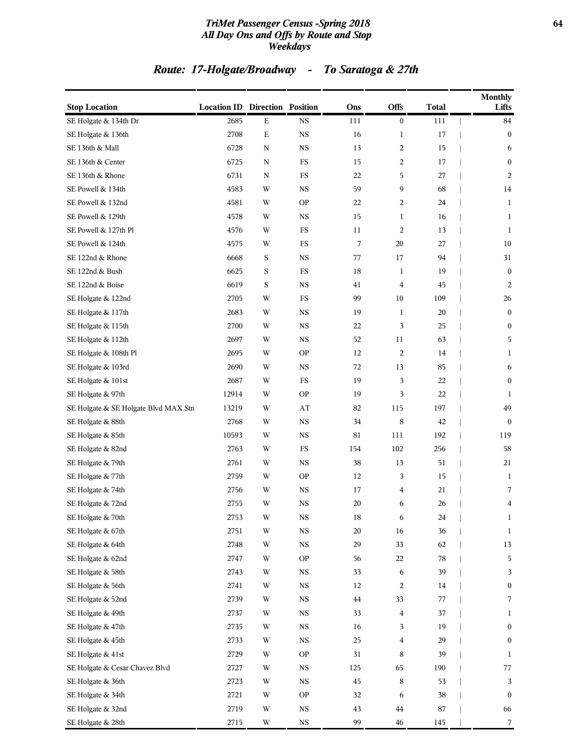#### *TriMet Passenger Census -Spring 2018* **64** *All Day Ons and Offs by Route and Stop Weekdays*

## *Route: 17-Holgate/Broadway - To Saratoga & 27th*

| <b>Stop Location</b>                 | <b>Location ID Direction Position</b> |             |             | Ons | <b>Offs</b>             | <b>Total</b> | <b>Monthly</b><br>Lifts |
|--------------------------------------|---------------------------------------|-------------|-------------|-----|-------------------------|--------------|-------------------------|
| SE Holgate & 134th Dr                | 2685                                  | $\mathbf E$ | <b>NS</b>   | 111 | $\bf{0}$                | 111          | 84                      |
| SE Holgate & 136th                   | 2708                                  | $\mathbf E$ | $_{\rm NS}$ | 16  | 1                       | 17           | $\bf{0}$                |
| SE 136th & Mall                      | 6728                                  | $\mathbf N$ | $_{\rm NS}$ | 13  | $\overline{c}$          | 15           | 6                       |
| SE 136th & Center                    | 6725                                  | N           | $_{\rm FS}$ | 15  | $\overline{c}$          | 17           | $\boldsymbol{0}$        |
| SE 136th & Rhone                     | 6731                                  | N           | FS          | 22  | 5                       | 27           | 2                       |
| SE Powell & 134th                    | 4583                                  | W           | <b>NS</b>   | 59  | 9                       | 68           | 14                      |
| SE Powell & 132nd                    | 4581                                  | W           | <b>OP</b>   | 22  | 2                       | 24           | $\mathbf{1}$            |
| SE Powell & 129th                    | 4578                                  | W           | $_{\rm NS}$ | 15  | 1                       | 16           | 1                       |
| SE Powell & 127th Pl                 | 4576                                  | W           | $_{\rm FS}$ | 11  | $\overline{c}$          | 13           | $\mathbf{1}$            |
| SE Powell & 124th                    | 4575                                  | W           | FS          | 7   | 20                      | 27           | 10                      |
| SE 122nd & Rhone                     | 6668                                  | S           | <b>NS</b>   | 77  | 17                      | 94           | 31                      |
| SE 122nd & Bush                      | 6625                                  | S           | $_{\rm FS}$ | 18  | 1                       | 19           | $\boldsymbol{0}$        |
| SE 122nd & Boise                     | 6619                                  | S           | <b>NS</b>   | 41  | $\overline{4}$          | 45           | 2                       |
| SE Holgate & 122nd                   | 2705                                  | W           | $_{\rm FS}$ | 99  | 10                      | 109          | $26\,$                  |
| SE Holgate & 117th                   | 2683                                  | W           | <b>NS</b>   | 19  | 1                       | 20           | $\mathbf{0}$            |
| SE Holgate & 115th                   | 2700                                  | W           | <b>NS</b>   | 22  | 3                       | 25           | $\boldsymbol{0}$        |
| SE Holgate & 112th                   | 2697                                  | W           | $_{\rm NS}$ | 52  | 11                      | 63           | 5                       |
| SE Holgate & 108th Pl                | 2695                                  | W           | <b>OP</b>   | 12  | 2                       | 14           | 1                       |
| SE Holgate & 103rd                   | 2690                                  | W           | $_{\rm NS}$ | 72  | 13                      | 85           | 6                       |
| SE Holgate & 101st                   | 2687                                  | W           | FS          | 19  | 3                       | 22           | $\mathbf{0}$            |
| SE Holgate & 97th                    | 12914                                 | W           | <b>OP</b>   | 19  | 3                       | 22           | 1                       |
| SE Holgate & SE Holgate Blvd MAX Stn | 13219                                 | W           | AT          | 82  | 115                     | 197          | 49                      |
| SE Holgate & 88th                    | 2768                                  | W           | <b>NS</b>   | 34  | 8                       | 42           | $\mathbf{0}$            |
| SE Holgate & 85th                    | 10593                                 | W           | $_{\rm NS}$ | 81  | 111                     | 192          | 119                     |
| SE Holgate & 82nd                    | 2763                                  | W           | FS          | 154 | 102                     | 256          | 58                      |
| SE Holgate & 79th                    | 2761                                  | W           | <b>NS</b>   | 38  | 13                      | 51           | 21                      |
| SE Holgate & 77th                    | 2759                                  | W           | <b>OP</b>   | 12  | 3                       | 15           | $\mathbf{1}$            |
| SE Holgate & 74th                    | 2756                                  | W           | $_{\rm NS}$ | 17  | $\overline{\mathbf{4}}$ | 21           | 7                       |
| SE Holgate & 72nd                    | 2755                                  | W           | $_{\rm NS}$ | 20  | 6                       | 26           | 4                       |
| SE Holgate & 70th                    | 2753                                  | W           | NS          | 18  | 6                       | 24           | $\mathbf{1}$            |
| SE Holgate & 67th                    | 2751                                  | W           | $_{\rm NS}$ | 20  | 16                      | 36           | $\mathbf{1}$            |
| SE Holgate & 64th                    | 2748                                  | W           | $_{\rm NS}$ | 29  | 33                      | 62           | 13                      |
| SE Holgate & 62nd                    | 2747                                  | W           | <b>OP</b>   | 56  | 22                      | 78           | 5                       |
| SE Holgate & 58th                    | 2743                                  | W           | $_{\rm NS}$ | 33  | 6                       | 39           | 3                       |
| SE Holgate & 56th                    | 2741                                  | W           | $_{\rm NS}$ | 12  | $\overline{c}$          | 14           | $\boldsymbol{0}$        |
| SE Holgate & 52nd                    | 2739                                  | W           | $_{\rm NS}$ | 44  | 33                      | 77           | 7                       |
| SE Holgate & 49th                    | 2737                                  | W           | $_{\rm NS}$ | 33  | $\bf 4$                 | 37           | 1                       |
| SE Holgate & 47th                    | 2735                                  | W           | $_{\rm NS}$ | 16  | 3                       | 19           | $\boldsymbol{0}$        |
| SE Holgate & 45th                    | 2733                                  | W           | $_{\rm NS}$ | 25  | 4                       | 29           | $\boldsymbol{0}$        |
| SE Holgate & 41st                    | 2729                                  | W           | <b>OP</b>   | 31  | 8                       | 39           | 1                       |
| SE Holgate & Cesar Chavez Blvd       | 2727                                  | W           | $_{\rm NS}$ | 125 | 65                      | 190          | 77                      |
| SE Holgate & 36th                    | 2723                                  | W           | $_{\rm NS}$ | 45  | $\,8\,$                 | 53           | 3                       |
| SE Holgate & 34th                    | 2721                                  | W           | <b>OP</b>   | 32  | 6                       | 38           | $\boldsymbol{0}$        |
| SE Holgate & 32nd                    | 2719                                  | W           | $_{\rm NS}$ | 43  | $\bf 44$                | 87           | 66                      |
| SE Holgate & 28th                    | 2715                                  | W           | $_{\rm NS}$ | 99  | 46                      | 145          | $\overline{7}$          |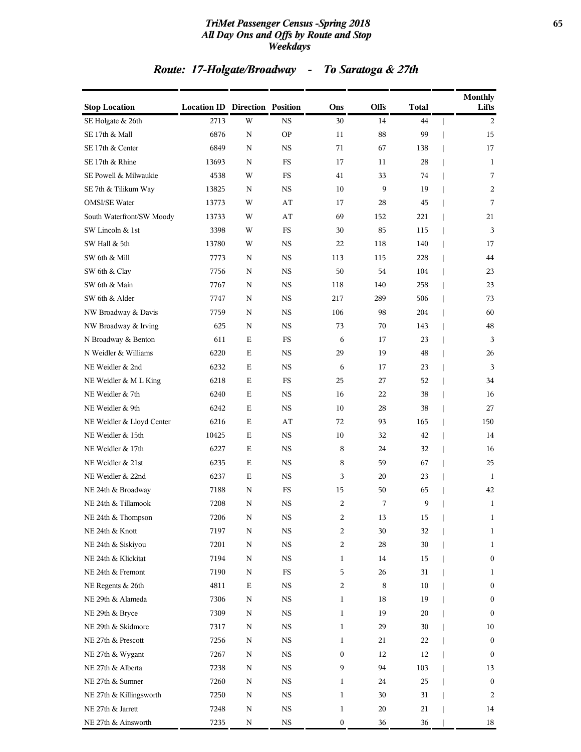#### *TriMet Passenger Census -Spring 2018* **65** *All Day Ons and Offs by Route and Stop Weekdays*

## *Route: 17-Holgate/Broadway - To Saratoga & 27th*

| <b>Stop Location</b>      | <b>Location ID Direction Position</b> |             |             | Ons              | <b>Offs</b> | <b>Total</b> | <b>Monthly</b><br>Lifts |
|---------------------------|---------------------------------------|-------------|-------------|------------------|-------------|--------------|-------------------------|
| SE Holgate & 26th         | 2713                                  | W           | <b>NS</b>   | 30               | 14          | 44           | 2                       |
| SE 17th & Mall            | 6876                                  | ${\bf N}$   | <b>OP</b>   | 11               | 88          | 99           | 15                      |
| SE 17th & Center          | 6849                                  | $\mathbf N$ | <b>NS</b>   | 71               | 67          | 138          | 17                      |
| SE 17th & Rhine           | 13693                                 | N           | <b>FS</b>   | 17               | 11          | 28           | 1                       |
| SE Powell & Milwaukie     | 4538                                  | W           | FS          | 41               | 33          | 74           | 7                       |
| SE 7th & Tilikum Way      | 13825                                 | N           | <b>NS</b>   | 10               | 9           | 19           | 2                       |
| <b>OMSI/SE Water</b>      | 13773                                 | W           | AT          | 17               | 28          | 45           | 7                       |
| South Waterfront/SW Moody | 13733                                 | W           | AT          | 69               | 152         | 221          | 21                      |
| SW Lincoln & 1st          | 3398                                  | W           | <b>FS</b>   | 30               | 85          | 115          | 3                       |
| SW Hall & 5th             | 13780                                 | W           | NS          | 22               | 118         | 140          | 17                      |
| SW 6th & Mill             | 7773                                  | N           | <b>NS</b>   | 113              | 115         | 228          | 44                      |
| SW 6th & Clay             | 7756                                  | N           | NS          | 50               | 54          | 104          | 23                      |
| SW 6th & Main             | 7767                                  | N           | <b>NS</b>   | 118              | 140         | 258          | 23                      |
| SW 6th & Alder            | 7747                                  | N           | <b>NS</b>   | 217              | 289         | 506          | 73                      |
| NW Broadway & Davis       | 7759                                  | N           | NS          | 106              | 98          | 204          | 60                      |
| NW Broadway & Irving      | 625                                   | N           | <b>NS</b>   | 73               | 70          | 143          | 48                      |
| N Broadway & Benton       | 611                                   | Ε           | FS          | 6                | 17          | 23           | 3                       |
| N Weidler & Williams      | 6220                                  | Е           | <b>NS</b>   | 29               | 19          | 48           | 26                      |
| NE Weidler & 2nd          | 6232                                  | E           | NS          | 6                | 17          | 23           | 3                       |
| NE Weidler & M L King     | 6218                                  | Ε           | FS          | 25               | 27          | 52           | 34                      |
| NE Weidler & 7th          | 6240                                  | E           | <b>NS</b>   | 16               | 22          | 38           | 16                      |
| NE Weidler & 9th          | 6242                                  | Ε           | NS          | 10               | 28          | 38           | 27                      |
| NE Weidler & Lloyd Center | 6216                                  | Е           | AT          | 72               | 93          | 165          | 150                     |
| NE Weidler & 15th         | 10425                                 | Ε           | <b>NS</b>   | 10               | 32          | 42           | 14                      |
| NE Weidler & 17th         | 6227                                  | Ε           | NS          | 8                | 24          | 32           | 16                      |
| NE Weidler & 21st         | 6235                                  | E           | <b>NS</b>   | 8                | 59          | 67           | 25                      |
| NE Weidler & 22nd         | 6237                                  | Ε           | NS          | 3                | 20          | 23           | 1                       |
| NE 24th & Broadway        | 7188                                  | N           | FS          | 15               | 50          | 65           | 42                      |
| NE 24th & Tillamook       | 7208                                  | N           | NS          | 2                | 7           | 9            | 1                       |
| NE 24th & Thompson        | 7206                                  | N           | NS          | 2                | 13          | 15           | 1                       |
| NE 24th & Knott           | 7197                                  | ${\bf N}$   | $_{\rm NS}$ | 2                | 30          | 32           | 1                       |
| NE 24th & Siskiyou        | 7201                                  | $\mathbf N$ | <b>NS</b>   | 2                | 28          | $30\,$       | $\mathbf{1}$            |
| NE 24th & Klickitat       | 7194                                  | N           | NS          | 1                | 14          | 15           | $\boldsymbol{0}$        |
| NE 24th & Fremont         | 7190                                  | N           | FS          | 5                | 26          | 31           | $\mathbf{1}$            |
| NE Regents & 26th         | 4811                                  | Ε           | NS          | 2                | 8           | 10           | $\boldsymbol{0}$        |
| NE 29th & Alameda         | 7306                                  | $\mathbf N$ | $_{\rm NS}$ | $\mathbf 1$      | 18          | 19           | $\boldsymbol{0}$        |
| NE 29th & Bryce           | 7309                                  | N           | NS          | 1                | 19          | 20           | $\boldsymbol{0}$        |
| NE 29th & Skidmore        | 7317                                  | N           | NS          | 1                | 29          | 30           | 10                      |
| NE 27th & Prescott        | 7256                                  | N           | <b>NS</b>   | 1                | 21          | 22           | $\boldsymbol{0}$        |
| NE 27th & Wygant          | 7267                                  | N           | <b>NS</b>   | $\boldsymbol{0}$ | 12          | 12           | $\boldsymbol{0}$        |
| NE 27th & Alberta         | 7238                                  | N           | $_{\rm NS}$ | 9                | 94          | 103          | 13                      |
| NE 27th & Sumner          | 7260                                  | N           | <b>NS</b>   | 1                | 24          | 25           | 0                       |
| NE 27th & Killingsworth   | 7250                                  | N           | NS          | 1                | 30          | 31           | 2                       |
| NE 27th & Jarrett         | 7248                                  | ${\bf N}$   | <b>NS</b>   | 1                | 20          | 21           | 14                      |
| NE 27th & Ainsworth       | 7235                                  | N           | <b>NS</b>   | $\boldsymbol{0}$ | 36          | 36           | 18                      |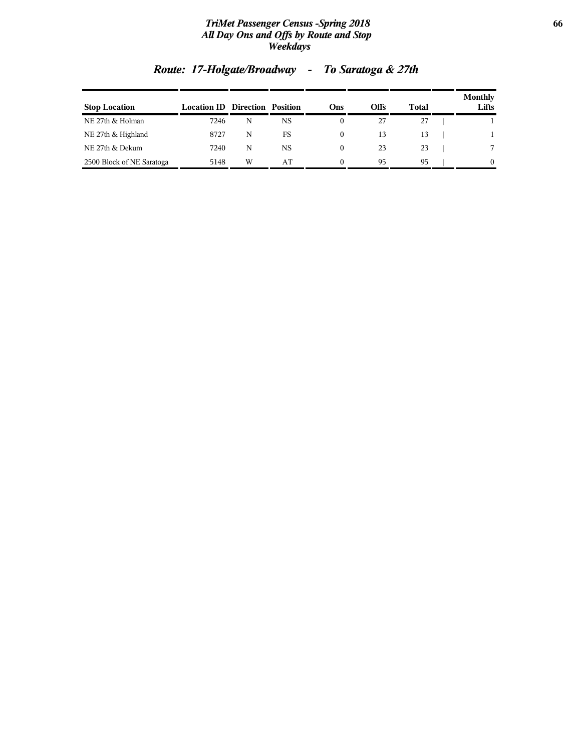#### *TriMet Passenger Census -Spring 2018* **66** *All Day Ons and Offs by Route and Stop Weekdays*

| <b>Stop Location</b>      | <b>Location ID Direction Position</b> |   |    | Ons      | Offs | Total | <b>Monthly</b><br>Lifts |
|---------------------------|---------------------------------------|---|----|----------|------|-------|-------------------------|
| NE 27th & Holman          | 7246                                  | N | NS |          | 27   | 27    |                         |
| NE 27th & Highland        | 8727                                  | N | FS | $^{(1)}$ | 13   | 13    |                         |
| NE 27th & Dekum           | 7240                                  | N | NS | $^{(1)}$ | 23   | 23    | 7                       |
| 2500 Block of NE Saratoga | 5148                                  | W | AТ | 0        | 95   | 95    | 0                       |

## *Route: 17-Holgate/Broadway - To Saratoga & 27th*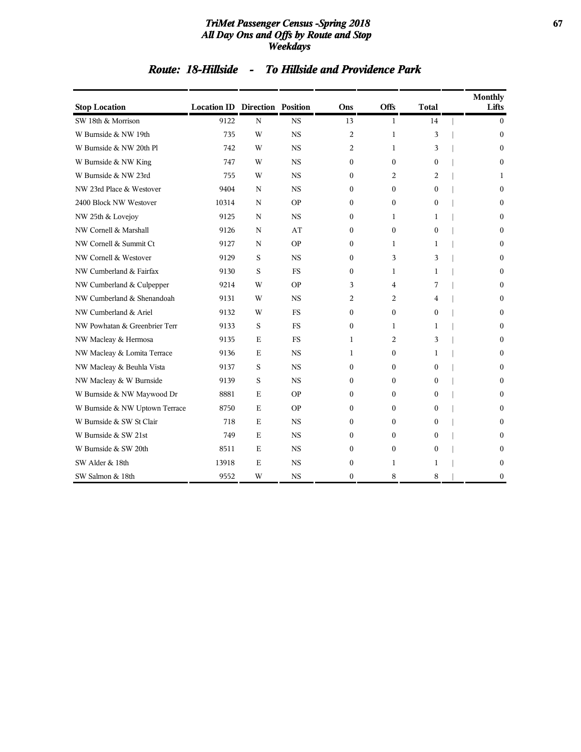#### *TriMet Passenger Census -Spring 2018* **67** *All Day Ons and Offs by Route and Stop Weekdays*

## *Route: 18-Hillside - To Hillside and Providence Park*

| <b>Stop Location</b>           | <b>Location ID Direction Position</b> |             |           | Ons            | <b>Offs</b>    | <b>Total</b> | <b>Monthly</b><br>Lifts |
|--------------------------------|---------------------------------------|-------------|-----------|----------------|----------------|--------------|-------------------------|
| SW 18th & Morrison             | 9122                                  | $\mathbf N$ | <b>NS</b> | 13             | 1              | 14           | $\mathbf{0}$            |
| W Burnside & NW 19th           | 735                                   | W           | <b>NS</b> | $\overline{c}$ | $\mathbf{1}$   | 3            | $\Omega$                |
| W Burnside & NW 20th Pl        | 742                                   | W           | <b>NS</b> | 2              | 1              | 3            | $\Omega$                |
| W Burnside & NW King           | 747                                   | W           | <b>NS</b> | $\theta$       | $\theta$       | $\Omega$     | $\Omega$                |
| W Burnside & NW 23rd           | 755                                   | W           | <b>NS</b> | $\Omega$       | 2              | 2            | 1                       |
| NW 23rd Place & Westover       | 9404                                  | N           | <b>NS</b> | 0              | $\mathbf{0}$   | $\mathbf{0}$ | $\mathbf{0}$            |
| 2400 Block NW Westover         | 10314                                 | N           | <b>OP</b> | $\Omega$       | $\mathbf{0}$   | $\mathbf{0}$ | $\mathbf{0}$            |
| NW 25th & Lovejoy              | 9125                                  | $\mathbf N$ | <b>NS</b> | 0              | 1              | 1            | $\mathbf{0}$            |
| NW Cornell & Marshall          | 9126                                  | $\mathbf N$ | AT        | 0              | $\mathbf{0}$   | $\mathbf{0}$ | $\mathbf{0}$            |
| NW Cornell & Summit Ct         | 9127                                  | N           | <b>OP</b> | $\Omega$       | 1              | 1            | $\Omega$                |
| NW Cornell & Westover          | 9129                                  | S           | <b>NS</b> | $\mathbf{0}$   | 3              | 3            | $\mathbf{0}$            |
| NW Cumberland & Fairfax        | 9130                                  | S           | <b>FS</b> | $\Omega$       | 1              | 1            | $\Omega$                |
| NW Cumberland & Culpepper      | 9214                                  | W           | <b>OP</b> | 3              | 4              | 7            | $\Omega$                |
| NW Cumberland & Shenandoah     | 9131                                  | W           | <b>NS</b> | 2              | 2              | 4            | $\Omega$                |
| NW Cumberland & Ariel          | 9132                                  | W           | <b>FS</b> | 0              | $\mathbf{0}$   | $\mathbf{0}$ | $\mathbf{0}$            |
| NW Powhatan & Greenbrier Terr  | 9133                                  | S           | <b>FS</b> | 0              | 1              | 1            | $\mathbf{0}$            |
| NW Macleay & Hermosa           | 9135                                  | E           | <b>FS</b> | 1              | $\overline{c}$ | 3            | $\Omega$                |
| NW Macleay & Lomita Terrace    | 9136                                  | E           | <b>NS</b> | 1              | $\mathbf{0}$   | 1            | $\mathbf{0}$            |
| NW Macleay & Beuhla Vista      | 9137                                  | S           | <b>NS</b> | $\theta$       | $\mathbf{0}$   | $\Omega$     | $\mathbf{0}$            |
| NW Macleay & W Burnside        | 9139                                  | S           | <b>NS</b> | 0              | $\mathbf{0}$   | $\mathbf{0}$ | $\Omega$                |
| W Burnside & NW Maywood Dr     | 8881                                  | E           | <b>OP</b> | $\Omega$       | $\mathbf{0}$   | $\mathbf{0}$ | $\mathbf{0}$            |
| W Burnside & NW Uptown Terrace | 8750                                  | $\mathbf E$ | <b>OP</b> | $\Omega$       | $\theta$       | $\Omega$     | $\Omega$                |
| W Burnside & SW St Clair       | 718                                   | $\mathbf E$ | <b>NS</b> | $\Omega$       | $\mathbf{0}$   | $\Omega$     | $\Omega$                |
| W Burnside & SW 21st           | 749                                   | $\mathbf E$ | <b>NS</b> | 0              | 0              | $\mathbf{0}$ | $\mathbf{0}$            |
| W Burnside & SW 20th           | 8511                                  | Ε           | <b>NS</b> | 0              | $\mathbf{0}$   | $\mathbf{0}$ | $\mathbf{0}$            |
| SW Alder & 18th                | 13918                                 | E           | <b>NS</b> | 0              | 1              | 1            | $\mathbf{0}$            |
| SW Salmon & 18th               | 9552                                  | W           | <b>NS</b> | $\mathbf{0}$   | 8              | 8            | $\mathbf{0}$            |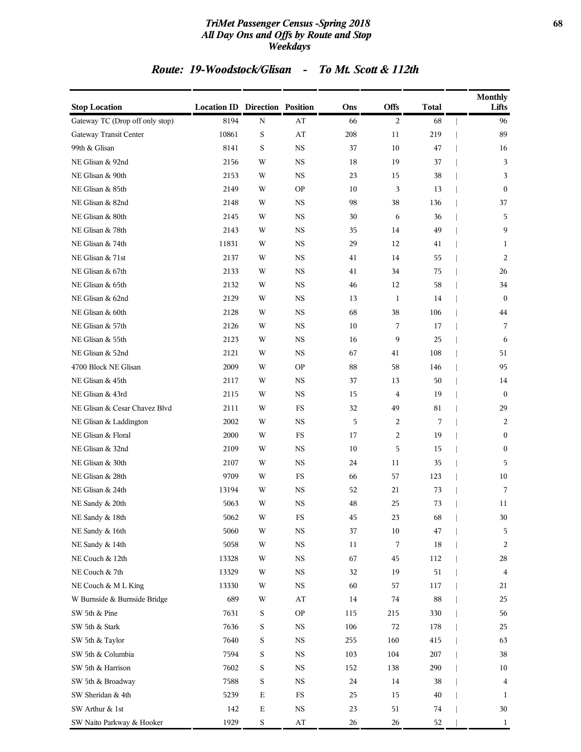#### *TriMet Passenger Census -Spring 2018* **68** *All Day Ons and Offs by Route and Stop Weekdays*

## *Route: 19-Woodstock/Glisan - To Mt. Scott & 112th*

| <b>Stop Location</b>            | <b>Location ID Direction Position</b> |             |                        | Ons | <b>Offs</b>    | Total | <b>Monthly</b><br>Lifts |
|---------------------------------|---------------------------------------|-------------|------------------------|-----|----------------|-------|-------------------------|
| Gateway TC (Drop off only stop) | 8194                                  | $\mathbf N$ | AT                     | 66  | 2              | 68    | 96                      |
| Gateway Transit Center          | 10861                                 | $\mathbf S$ | $\mathbf{A}\mathbf{T}$ | 208 | 11             | 219   | 89                      |
| 99th & Glisan                   | 8141                                  | S           | <b>NS</b>              | 37  | 10             | 47    | 16                      |
| NE Glisan & 92nd                | 2156                                  | W           | <b>NS</b>              | 18  | 19             | 37    | 3                       |
| NE Glisan & 90th                | 2153                                  | W           | <b>NS</b>              | 23  | 15             | 38    | 3                       |
| NE Glisan & 85th                | 2149                                  | W           | <b>OP</b>              | 10  | 3              | 13    | $\mathbf{0}$            |
| NE Glisan & 82nd                | 2148                                  | W           | <b>NS</b>              | 98  | 38             | 136   | 37                      |
| NE Glisan & 80th                | 2145                                  | W           | <b>NS</b>              | 30  | 6              | 36    | 5                       |
| NE Glisan & 78th                | 2143                                  | W           | <b>NS</b>              | 35  | 14             | 49    | 9                       |
| NE Glisan & 74th                | 11831                                 | W           | <b>NS</b>              | 29  | 12             | 41    | 1                       |
| NE Glisan & 71st                | 2137                                  | W           | <b>NS</b>              | 41  | 14             | 55    | 2                       |
| NE Glisan & 67th                | 2133                                  | W           | <b>NS</b>              | 41  | 34             | 75    | 26                      |
| NE Glisan & 65th                | 2132                                  | W           | <b>NS</b>              | 46  | 12             | 58    | 34                      |
| NE Glisan & 62nd                | 2129                                  | W           | NS                     | 13  | $\mathbf{1}$   | 14    | $\bf{0}$                |
| NE Glisan & 60th                | 2128                                  | W           | <b>NS</b>              | 68  | 38             | 106   | 44                      |
| NE Glisan & 57th                | 2126                                  | W           | <b>NS</b>              | 10  | 7              | 17    | 7                       |
| NE Glisan & 55th                | 2123                                  | W           | <b>NS</b>              | 16  | 9              | 25    | 6                       |
| NE Glisan & 52nd                | 2121                                  | W           | <b>NS</b>              | 67  | 41             | 108   | 51                      |
| 4700 Block NE Glisan            | 2009                                  | W           | <b>OP</b>              | 88  | 58             | 146   | 95                      |
| NE Glisan & 45th                | 2117                                  | W           | <b>NS</b>              | 37  | 13             | 50    | 14                      |
| NE Glisan & 43rd                | 2115                                  | W           | <b>NS</b>              | 15  | $\overline{4}$ | 19    | $\mathbf{0}$            |
| NE Glisan & Cesar Chavez Blvd   | 2111                                  | W           | <b>FS</b>              | 32  | 49             | 81    | 29                      |
| NE Glisan & Laddington          | 2002                                  | W           | <b>NS</b>              | 5   | 2              | 7     | 2                       |
| NE Glisan & Floral              | 2000                                  | W           | FS                     | 17  | 2              | 19    | $\bf{0}$                |
| NE Glisan & 32nd                | 2109                                  | W           | <b>NS</b>              | 10  | 5              | 15    | $\mathbf{0}$            |
| NE Glisan & 30th                | 2107                                  | W           | <b>NS</b>              | 24  | 11             | 35    | 5                       |
| NE Glisan & 28th                | 9709                                  | W           | <b>FS</b>              | 66  | 57             | 123   | 10                      |
| NE Glisan & 24th                | 13194                                 | W           | <b>NS</b>              | 52  | 21             | 73    | 7                       |
| NE Sandy & 20th                 | 5063                                  | W           | <b>NS</b>              | 48  | 25             | 73    | 11                      |
| NE Sandy & 18th                 | 5062                                  | W           | ${\rm FS}$             | 45  | 23             | 68    | 30                      |
| NE Sandy & 16th                 | 5060                                  | W           | $_{\rm NS}$            | 37  | 10             | 47    | 5                       |
| NE Sandy & 14th                 | 5058                                  | W           | $_{\rm NS}$            | 11  | 7              | 18    | 2                       |
| NE Couch & 12th                 | 13328                                 | W           | $_{\rm NS}$            | 67  | 45             | 112   | 28                      |
| NE Couch & 7th                  | 13329                                 | W           | <b>NS</b>              | 32  | 19             | 51    | $\overline{4}$          |
| NE Couch & M L King             | 13330                                 | W           | $_{\rm NS}$            | 60  | 57             | 117   | 21                      |
| W Burnside & Burnside Bridge    | 689                                   | W           | $\bf AT$               | 14  | 74             | 88    | 25                      |
| SW 5th & Pine                   | 7631                                  | $\mathbf S$ | <b>OP</b>              | 115 | 215            | 330   | 56                      |
| SW 5th & Stark                  | 7636                                  | S           | $_{\rm NS}$            | 106 | 72             | 178   | 25                      |
| SW 5th & Taylor                 | 7640                                  | $\mathbf S$ | <b>NS</b>              | 255 | 160            | 415   | 63                      |
| SW 5th & Columbia               | 7594                                  | S           | $_{\rm NS}$            | 103 | 104            | 207   | 38                      |
| SW 5th & Harrison               | 7602                                  | S           | $_{\rm NS}$            | 152 | 138            | 290   | 10                      |
| SW 5th & Broadway               | 7588                                  | S           | $_{\rm NS}$            | 24  | 14             | 38    | 4                       |
| SW Sheridan & 4th               | 5239                                  | $\mathbf E$ | $_{\rm FS}$            | 25  | 15             | 40    | 1                       |
| SW Arthur & 1st                 | 142                                   | ${\bf E}$   | <b>NS</b>              | 23  | 51             | 74    | 30                      |
| SW Naito Parkway & Hooker       | 1929                                  | $\mathbf S$ | $\bf AT$               | 26  | 26             | 52    | $\mathbf{1}$            |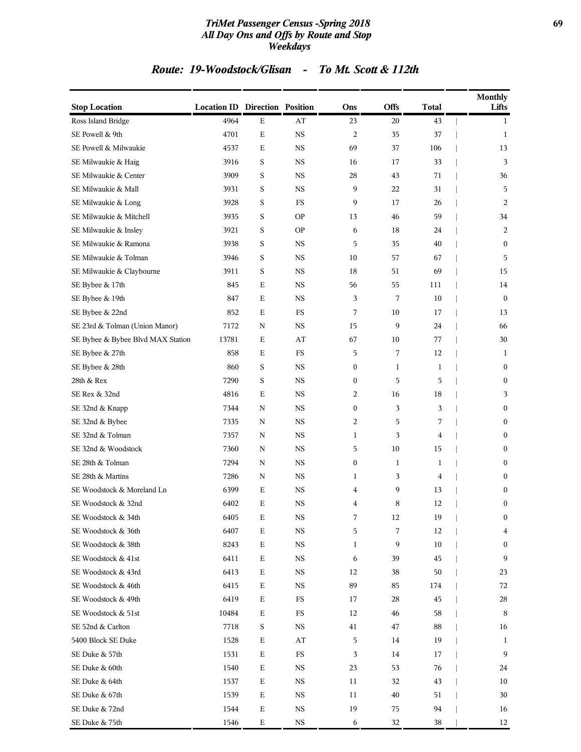#### *TriMet Passenger Census -Spring 2018* **69** *All Day Ons and Offs by Route and Stop Weekdays*

## *Route: 19-Woodstock/Glisan - To Mt. Scott & 112th*

| <b>Stop Location</b>              | <b>Location ID Direction Position</b> |             |             | Ons                     | <b>Offs</b>  | Total | <b>Monthly</b><br>Lifts |
|-----------------------------------|---------------------------------------|-------------|-------------|-------------------------|--------------|-------|-------------------------|
| Ross Island Bridge                | 4964                                  | E           | AT          | 23                      | 20           | 43    | 1                       |
| SE Powell & 9th                   | 4701                                  | $\mathbf E$ | <b>NS</b>   | $\overline{\mathbf{c}}$ | 35           | 37    | 1                       |
| SE Powell & Milwaukie             | 4537                                  | $\mathbf E$ | <b>NS</b>   | 69                      | 37           | 106   | 13                      |
| SE Milwaukie & Haig               | 3916                                  | $\mathbf S$ | NS          | 16                      | 17           | 33    | 3                       |
| SE Milwaukie & Center             | 3909                                  | S           | <b>NS</b>   | 28                      | 43           | 71    | 36                      |
| SE Milwaukie & Mall               | 3931                                  | S           | <b>NS</b>   | 9                       | 22           | 31    | 5                       |
| SE Milwaukie & Long               | 3928                                  | S           | <b>FS</b>   | 9                       | 17           | 26    | 2                       |
| SE Milwaukie & Mitchell           | 3935                                  | S           | <b>OP</b>   | 13                      | 46           | 59    | 34                      |
| SE Milwaukie & Insley             | 3921                                  | S           | <b>OP</b>   | 6                       | 18           | 24    | 2                       |
| SE Milwaukie & Ramona             | 3938                                  | S           | <b>NS</b>   | 5                       | 35           | 40    | $\mathbf{0}$            |
| SE Milwaukie & Tolman             | 3946                                  | S           | <b>NS</b>   | 10                      | 57           | 67    | 5                       |
| SE Milwaukie & Claybourne         | 3911                                  | S           | <b>NS</b>   | 18                      | 51           | 69    | 15                      |
| SE Bybee & 17th                   | 845                                   | E           | <b>NS</b>   | 56                      | 55           | 111   | 14                      |
| SE Bybee & 19th                   | 847                                   | E           | NS          | 3                       | 7            | 10    | $\bf{0}$                |
| SE Bybee & 22nd                   | 852                                   | E           | FS          | 7                       | 10           | 17    | 13                      |
| SE 23rd & Tolman (Union Manor)    | 7172                                  | N           | <b>NS</b>   | 15                      | 9            | 24    | 66                      |
| SE Bybee & Bybee Blvd MAX Station | 13781                                 | $\mathbf E$ | AT          | 67                      | 10           | 77    | 30                      |
| SE Bybee & 27th                   | 858                                   | E           | FS          | 5                       | 7            | 12    | 1                       |
| SE Bybee & 28th                   | 860                                   | S           | NS          | $\boldsymbol{0}$        | $\mathbf{1}$ | 1     | $\bf{0}$                |
| 28th & Rex                        | 7290                                  | S           | <b>NS</b>   | $\boldsymbol{0}$        | 5            | 5     | $\mathbf{0}$            |
| SE Rex & 32nd                     | 4816                                  | $\mathbf E$ | <b>NS</b>   | $\overline{c}$          | 16           | 18    | 3                       |
| SE 32nd & Knapp                   | 7344                                  | $\mathbf N$ | <b>NS</b>   | $\boldsymbol{0}$        | 3            | 3     | $\bf{0}$                |
| SE 32nd & Bybee                   | 7335                                  | N           | <b>NS</b>   | $\overline{2}$          | 5            | 7     | $\bf{0}$                |
| SE 32nd & Tolman                  | 7357                                  | N           | NS          | 1                       | 3            | 4     | $\bf{0}$                |
| SE 32nd & Woodstock               | 7360                                  | N           | <b>NS</b>   | 5                       | 10           | 15    | $\mathbf{0}$            |
| SE 28th & Tolman                  | 7294                                  | N           | <b>NS</b>   | $\boldsymbol{0}$        | $\mathbf{1}$ | 1     | $\mathbf{0}$            |
| SE 28th & Martins                 | 7286                                  | N           | <b>NS</b>   | 1                       | 3            | 4     | $\bf{0}$                |
| SE Woodstock & Moreland Ln        | 6399                                  | E           | <b>NS</b>   | 4                       | 9            | 13    | $\bf{0}$                |
| SE Woodstock & 32nd               | 6402                                  | Ε           | NS          | 4                       | 8            | 12    | $\boldsymbol{0}$        |
| SE Woodstock & 34th               | 6405                                  | $\mathbf E$ | $_{\rm NS}$ | 7                       | 12           | 19    | $\boldsymbol{0}$        |
| SE Woodstock & 36th               | 6407                                  | $\mathbf E$ | $_{\rm NS}$ | 5                       | 7            | 12    | $\overline{\mathbf{4}}$ |
| SE Woodstock & 38th               | 8243                                  | $\mathbf E$ | $_{\rm NS}$ | 1                       | 9            | 10    | $\bf{0}$                |
| SE Woodstock & 41st               | 6411                                  | $\mathbf E$ | $_{\rm NS}$ | 6                       | 39           | 45    | 9                       |
| SE Woodstock & 43rd               | 6413                                  | Ε           | <b>NS</b>   | 12                      | 38           | 50    | 23                      |
| SE Woodstock & 46th               | 6415                                  | $\mathbf E$ | <b>NS</b>   | 89                      | 85           | 174   | 72                      |
| SE Woodstock & 49th               | 6419                                  | $\mathbf E$ | $_{\rm FS}$ | 17                      | 28           | 45    | 28                      |
| SE Woodstock & 51st               | 10484                                 | Ε           | FS          | 12                      | 46           | 58    | 8                       |
| SE 52nd & Carlton                 | 7718                                  | $\mathbf S$ | $_{\rm NS}$ | 41                      | 47           | 88    | 16                      |
| 5400 Block SE Duke                | 1528                                  | Ε           | AT          | 5                       | 14           | 19    | 1                       |
| SE Duke & 57th                    | 1531                                  | $\mathbf E$ | $_{\rm FS}$ | 3                       | 14           | 17    | 9                       |
| SE Duke & 60th                    | 1540                                  | $\mathbf E$ | NS          | 23                      | 53           | 76    | 24                      |
| SE Duke & 64th                    | 1537                                  | $\mathbf E$ | <b>NS</b>   | 11                      | 32           | 43    | 10                      |
| SE Duke & 67th                    | 1539                                  | Ε           | <b>NS</b>   | 11                      | 40           | 51    | 30                      |
| SE Duke & 72nd                    | 1544                                  | Ε           | <b>NS</b>   | 19                      | 75           | 94    | 16                      |
| SE Duke & 75th                    | 1546                                  | ${\bf E}$   | <b>NS</b>   | 6                       | 32           | 38    | 12                      |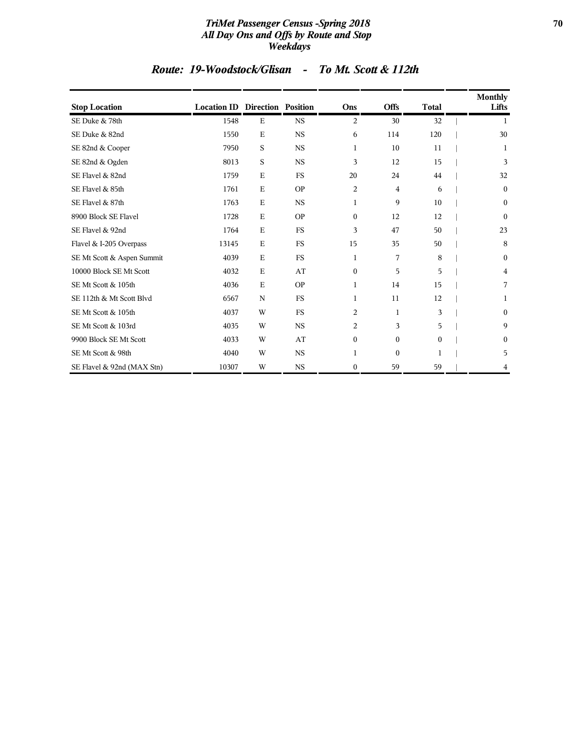#### *TriMet Passenger Census -Spring 2018* **70** *All Day Ons and Offs by Route and Stop Weekdays*

## *Route: 19-Woodstock/Glisan - To Mt. Scott & 112th*

| <b>Stop Location</b>       | <b>Location ID Direction Position</b> |             |           | Ons              | <b>Offs</b>  | <b>Total</b> | <b>Monthly</b><br>Lifts |
|----------------------------|---------------------------------------|-------------|-----------|------------------|--------------|--------------|-------------------------|
| SE Duke & 78th             | 1548                                  | Ε           | <b>NS</b> | 2                | 30           | 32           | 1                       |
| SE Duke & 82nd             | 1550                                  | $\mathbf E$ | <b>NS</b> | 6                | 114          | 120          | 30                      |
| SE 82nd & Cooper           | 7950                                  | $\rm S$     | <b>NS</b> | 1                | 10           | 11           | 1                       |
| SE 82nd & Ogden            | 8013                                  | S           | <b>NS</b> | 3                | 12           | 15           | 3                       |
| SE Flavel & 82nd           | 1759                                  | $\mathbf E$ | <b>FS</b> | 20               | 24           | 44           | 32                      |
| SE Flavel & 85th           | 1761                                  | E           | <b>OP</b> | $\overline{2}$   | 4            | 6            | $\boldsymbol{0}$        |
| SE Flavel & 87th           | 1763                                  | $\mathbf E$ | <b>NS</b> | 1                | 9            | 10           | $\boldsymbol{0}$        |
| 8900 Block SE Flavel       | 1728                                  | E           | <b>OP</b> | $\boldsymbol{0}$ | 12           | 12           | $\mathbf{0}$            |
| SE Flavel & 92nd           | 1764                                  | E           | <b>FS</b> | 3                | 47           | 50           | 23                      |
| Flavel & I-205 Overpass    | 13145                                 | E           | <b>FS</b> | 15               | 35           | 50           | 8                       |
| SE Mt Scott & Aspen Summit | 4039                                  | $\mathbf E$ | <b>FS</b> | 1                | 7            | 8            | $\boldsymbol{0}$        |
| 10000 Block SE Mt Scott    | 4032                                  | $\mathbf E$ | AT        | $\boldsymbol{0}$ | 5            | 5            | 4                       |
| SE Mt Scott & 105th        | 4036                                  | $\mathbf E$ | <b>OP</b> | $\mathbf{1}$     | 14           | 15           | 7                       |
| SE 112th & Mt Scott Blvd   | 6567                                  | $\mathbf N$ | <b>FS</b> | 1                | 11           | 12           | 1                       |
| SE Mt Scott & 105th        | 4037                                  | W           | <b>FS</b> | 2                | 1            | 3            | $\mathbf{0}$            |
| SE Mt Scott & 103rd        | 4035                                  | W           | <b>NS</b> | 2                | 3            | 5            | 9                       |
| 9900 Block SE Mt Scott     | 4033                                  | W           | AT        | $\boldsymbol{0}$ | $\mathbf{0}$ | $\mathbf{0}$ | $\boldsymbol{0}$        |
| SE Mt Scott & 98th         | 4040                                  | W           | <b>NS</b> | 1                | $\mathbf{0}$ | 1            | 5                       |
| SE Flavel & 92nd (MAX Stn) | 10307                                 | W           | <b>NS</b> | $\boldsymbol{0}$ | 59           | 59           | 4                       |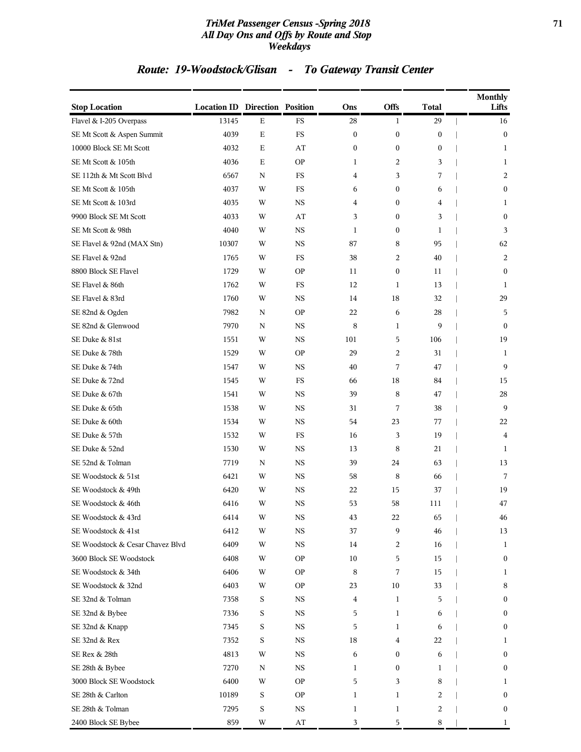#### *TriMet Passenger Census -Spring 2018* **71** *All Day Ons and Offs by Route and Stop Weekdays*

## *Route: 19-Woodstock/Glisan - To Gateway Transit Center*

| <b>Stop Location</b>             | <b>Location ID Direction Position</b> |             |                        | Ons              | Offs             | <b>Total</b>     | <b>Monthly</b><br>Lifts |
|----------------------------------|---------------------------------------|-------------|------------------------|------------------|------------------|------------------|-------------------------|
| Flavel & I-205 Overpass          | 13145                                 | $\mathbf E$ | <b>FS</b>              | 28               | $\mathbf{1}$     | 29               | 16                      |
| SE Mt Scott & Aspen Summit       | 4039                                  | $\mathbf E$ | $_{\rm FS}$            | $\boldsymbol{0}$ | $\boldsymbol{0}$ | $\boldsymbol{0}$ | $\bf{0}$                |
| 10000 Block SE Mt Scott          | 4032                                  | $\mathbf E$ | AT                     | $\boldsymbol{0}$ | $\boldsymbol{0}$ | $\boldsymbol{0}$ | 1                       |
| SE Mt Scott & 105th              | 4036                                  | Е           | <b>OP</b>              | 1                | 2                | 3                | 1                       |
| SE 112th & Mt Scott Blvd         | 6567                                  | N           | $_{\rm FS}$            | 4                | 3                | 7                | 2                       |
| SE Mt Scott & 105th              | 4037                                  | W           | FS                     | 6                | $\boldsymbol{0}$ | 6                | $\mathbf{0}$            |
| SE Mt Scott & 103rd              | 4035                                  | W           | NS                     | 4                | 0                | 4                | 1                       |
| 9900 Block SE Mt Scott           | 4033                                  | W           | AT                     | 3                | $\boldsymbol{0}$ | 3                | $\bf{0}$                |
| SE Mt Scott & 98th               | 4040                                  | W           | <b>NS</b>              | $\mathbf{1}$     | $\boldsymbol{0}$ | 1                | 3                       |
| SE Flavel & 92nd (MAX Stn)       | 10307                                 | W           | <b>NS</b>              | 87               | 8                | 95               | 62                      |
| SE Flavel & 92nd                 | 1765                                  | W           | FS                     | 38               | 2                | 40               | 2                       |
| 8800 Block SE Flavel             | 1729                                  | W           | <b>OP</b>              | 11               | $\boldsymbol{0}$ | 11               | $\bf{0}$                |
| SE Flavel & 86th                 | 1762                                  | W           | $_{\rm FS}$            | 12               | $\mathbf 1$      | 13               | 1                       |
| SE Flavel & 83rd                 | 1760                                  | W           | <b>NS</b>              | 14               | 18               | 32               | 29                      |
| SE 82nd & Ogden                  | 7982                                  | N           | <b>OP</b>              | 22               | 6                | 28               | 5                       |
| SE 82nd & Glenwood               | 7970                                  | N           | <b>NS</b>              | 8                | $\mathbf 1$      | 9                | $\mathbf{0}$            |
| SE Duke & 81st                   | 1551                                  | W           | NS                     | 101              | 5                | 106              | 19                      |
| SE Duke & 78th                   | 1529                                  | W           | <b>OP</b>              | 29               | $\overline{c}$   | 31               | 1                       |
| SE Duke & 74th                   | 1547                                  | W           | <b>NS</b>              | 40               | 7                | 47               | 9                       |
| SE Duke & 72nd                   | 1545                                  | W           | FS                     | 66               | 18               | 84               | 15                      |
| SE Duke & 67th                   | 1541                                  | W           | <b>NS</b>              | 39               | 8                | 47               | 28                      |
| SE Duke & 65th                   | 1538                                  | W           | NS                     | 31               | 7                | 38               | 9                       |
| SE Duke & 60th                   | 1534                                  | W           | <b>NS</b>              | 54               | 23               | 77               | 22                      |
| SE Duke & 57th                   | 1532                                  | W           | FS                     | 16               | 3                | 19               | 4                       |
| SE Duke & 52nd                   | 1530                                  | W           | NS                     | 13               | 8                | 21               | 1                       |
| SE 52nd & Tolman                 | 7719                                  | N           | <b>NS</b>              | 39               | 24               | 63               | 13                      |
| SE Woodstock & 51st              | 6421                                  | W           | NS                     | 58               | 8                | 66               | 7                       |
| SE Woodstock & 49th              | 6420                                  | W           | <b>NS</b>              | 22               | 15               | 37               | 19                      |
| SE Woodstock & 46th              | 6416                                  | W           | <b>NS</b>              | 53               | 58               | 111              | 47                      |
| SE Woodstock & 43rd              | 6414                                  | W           | NS                     | 43               | 22               | 65               | 46                      |
| SE Woodstock & 41st              | 6412                                  | W           | $_{\rm NS}$            | 37               | 9                | 46               | 13                      |
| SE Woodstock & Cesar Chavez Blvd | 6409                                  | W           | NS                     | 14               | 2                | 16               | 1                       |
| 3600 Block SE Woodstock          | 6408                                  | W           | <b>OP</b>              | 10               | 5                | 15               | $\bf{0}$                |
| SE Woodstock & 34th              | 6406                                  | W           | <b>OP</b>              | 8                | 7                | 15               | 1                       |
| SE Woodstock & 32nd              | 6403                                  | W           | <b>OP</b>              | 23               | 10               | 33               | 8                       |
| SE 32nd & Tolman                 | 7358                                  | $\mathbf S$ | $_{\rm NS}$            | 4                | $\mathbf{1}$     | 5                | $\bf{0}$                |
| SE 32nd & Bybee                  | 7336                                  | S           | NS                     | 5                | 1                | 6                | $\bf{0}$                |
| SE 32nd & Knapp                  | 7345                                  | S           | <b>NS</b>              | 5                | 1                | 6                | $\bf{0}$                |
| SE 32nd & Rex                    | 7352                                  | S           | NS                     | 18               | 4                | 22               | 1                       |
| SE Rex & 28th                    | 4813                                  | W           | <b>NS</b>              | 6                | 0                | 6                | $\bf{0}$                |
| SE 28th & Bybee                  | 7270                                  | N           | $_{\rm NS}$            | 1                | 0                | 1                | $\bf{0}$                |
| 3000 Block SE Woodstock          | 6400                                  | W           | <b>OP</b>              | 5                | 3                | 8                | 1                       |
| SE 28th & Carlton                | 10189                                 | S           | <b>OP</b>              | 1                | 1                | 2                | $\bf{0}$                |
| SE 28th & Tolman                 | 7295                                  | S           | <b>NS</b>              | 1                | 1                | 2                | $\bf{0}$                |
| 2400 Block SE Bybee              | 859                                   | W           | $\mathbf{A}\mathbf{T}$ | 3                | 5                | 8                | 1                       |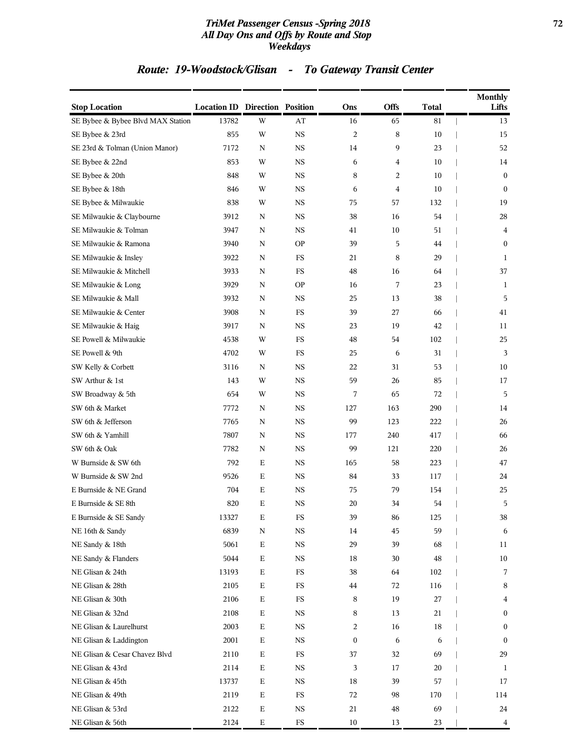#### *TriMet Passenger Census -Spring 2018* **72** *All Day Ons and Offs by Route and Stop Weekdays*

## *Route: 19-Woodstock/Glisan - To Gateway Transit Center*

| <b>Stop Location</b>              | <b>Location ID Direction Position</b> |             |             | Ons              | <b>Offs</b> | <b>Total</b> | <b>Monthly</b><br>Lifts |
|-----------------------------------|---------------------------------------|-------------|-------------|------------------|-------------|--------------|-------------------------|
| SE Bybee & Bybee Blvd MAX Station | 13782                                 | W           | AT          | 16               | 65          | 81           | 13                      |
| SE Bybee & 23rd                   | 855                                   | W           | <b>NS</b>   | $\overline{c}$   | 8           | 10           | 15                      |
| SE 23rd & Tolman (Union Manor)    | 7172                                  | N           | <b>NS</b>   | 14               | 9           | 23           | 52                      |
| SE Bybee & 22nd                   | 853                                   | W           | <b>NS</b>   | 6                | 4           | 10           | 14                      |
| SE Bybee & 20th                   | 848                                   | W           | $_{\rm NS}$ | 8                | 2           | 10           | $\mathbf{0}$            |
| SE Bybee & 18th                   | 846                                   | W           | <b>NS</b>   | 6                | 4           | 10           | $\mathbf{0}$            |
| SE Bybee & Milwaukie              | 838                                   | W           | <b>NS</b>   | 75               | 57          | 132          | 19                      |
| SE Milwaukie & Claybourne         | 3912                                  | $\mathbf N$ | <b>NS</b>   | 38               | 16          | 54           | 28                      |
| SE Milwaukie & Tolman             | 3947                                  | N           | <b>NS</b>   | 41               | 10          | 51           | 4                       |
| SE Milwaukie & Ramona             | 3940                                  | $\mathbf N$ | <b>OP</b>   | 39               | 5           | 44           | $\mathbf{0}$            |
| SE Milwaukie & Insley             | 3922                                  | N           | FS          | 21               | 8           | 29           | 1                       |
| SE Milwaukie & Mitchell           | 3933                                  | $\mathbf N$ | $_{\rm FS}$ | $\rm 48$         | 16          | 64           | 37                      |
| SE Milwaukie & Long               | 3929                                  | N           | <b>OP</b>   | 16               | 7           | 23           | 1                       |
| SE Milwaukie & Mall               | 3932                                  | N           | <b>NS</b>   | 25               | 13          | 38           | 5                       |
| SE Milwaukie & Center             | 3908                                  | $\mathbf N$ | FS          | 39               | 27          | 66           | 41                      |
| SE Milwaukie & Haig               | 3917                                  | N           | <b>NS</b>   | 23               | 19          | 42           | 11                      |
| SE Powell & Milwaukie             | 4538                                  | W           | $_{\rm FS}$ | 48               | 54          | 102          | 25                      |
| SE Powell & 9th                   | 4702                                  | W           | $_{\rm FS}$ | 25               | 6           | 31           | 3                       |
| SW Kelly & Corbett                | 3116                                  | N           | <b>NS</b>   | 22               | 31          | 53           | 10                      |
| SW Arthur & 1st                   | 143                                   | W           | <b>NS</b>   | 59               | 26          | 85           | 17                      |
| SW Broadway & 5th                 | 654                                   | W           | <b>NS</b>   | 7                | 65          | 72           | 5                       |
| SW 6th & Market                   | 7772                                  | N           | <b>NS</b>   | 127              | 163         | 290          | 14                      |
| SW 6th & Jefferson                | 7765                                  | N           | <b>NS</b>   | 99               | 123         | 222          | 26                      |
| SW 6th & Yamhill                  | 7807                                  | N           | <b>NS</b>   | 177              | 240         | 417          | 66                      |
| SW 6th & Oak                      | 7782                                  | N           | $_{\rm NS}$ | 99               | 121         | 220          | 26                      |
| W Burnside & SW 6th               | 792                                   | $\mathbf E$ | <b>NS</b>   | 165              | 58          | 223          | 47                      |
| W Burnside & SW 2nd               | 9526                                  | $\mathbf E$ | <b>NS</b>   | 84               | 33          | 117          | 24                      |
| E Burnside & NE Grand             | 704                                   | Ε           | <b>NS</b>   | 75               | 79          | 154          | 25                      |
| E Burnside & SE 8th               | 820                                   | Ε           | <b>NS</b>   | 20               | 34          | 54           | 5                       |
| E Burnside & SE Sandy             | 13327                                 | Е           | FS          | 39               | 86          | 125          | 38                      |
| NE 16th & Sandy                   | 6839                                  | N           | $_{\rm NS}$ | 14               | 45          | 59           | 6                       |
| NE Sandy & 18th                   | 5061                                  | $\mathbf E$ | $_{\rm NS}$ | 29               | 39          | 68           | 11                      |
| NE Sandy & Flanders               | 5044                                  | $\mathbf E$ | $_{\rm NS}$ | $18\,$           | 30          | 48           | 10                      |
| NE Glisan & 24th                  | 13193                                 | $\mathbf E$ | FS          | 38               | 64          | 102          | 7                       |
| NE Glisan & 28th                  | 2105                                  | $\mathbf E$ | FS          | 44               | 72          | 116          | 8                       |
| NE Glisan & 30th                  | 2106                                  | $\mathbf E$ | $_{\rm FS}$ | 8                | 19          | 27           | 4                       |
| NE Glisan & 32nd                  | 2108                                  | $\mathbf E$ | <b>NS</b>   | 8                | 13          | 21           | $\boldsymbol{0}$        |
| NE Glisan & Laurelhurst           | 2003                                  | $\mathbf E$ | $_{\rm NS}$ | 2                | 16          | 18           | $\mathbf{0}$            |
| NE Glisan & Laddington            | 2001                                  | $\mathbf E$ | NS          | $\boldsymbol{0}$ | 6           | 6            | $\bf{0}$                |
| NE Glisan & Cesar Chavez Blvd     | 2110                                  | $\mathbf E$ | $_{\rm FS}$ | 37               | 32          | 69           | 29                      |
| NE Glisan & 43rd                  | 2114                                  | $\mathbf E$ | $_{\rm NS}$ | 3                | 17          | 20           | 1                       |
| NE Glisan & 45th                  | 13737                                 | $\mathbf E$ | <b>NS</b>   | $18\,$           | 39          | 57           | 17                      |
| NE Glisan & 49th                  | 2119                                  | $\mathbf E$ | $_{\rm FS}$ | 72               | 98          | 170          | 114                     |
| NE Glisan & 53rd                  | 2122                                  | $\mathbf E$ | NS          | 21               | 48          | 69           | 24                      |
| NE Glisan & 56th                  | 2124                                  | $\mathbf E$ | ${\rm FS}$  | $10\,$           | 13          | 23           | $\overline{\mathbf{4}}$ |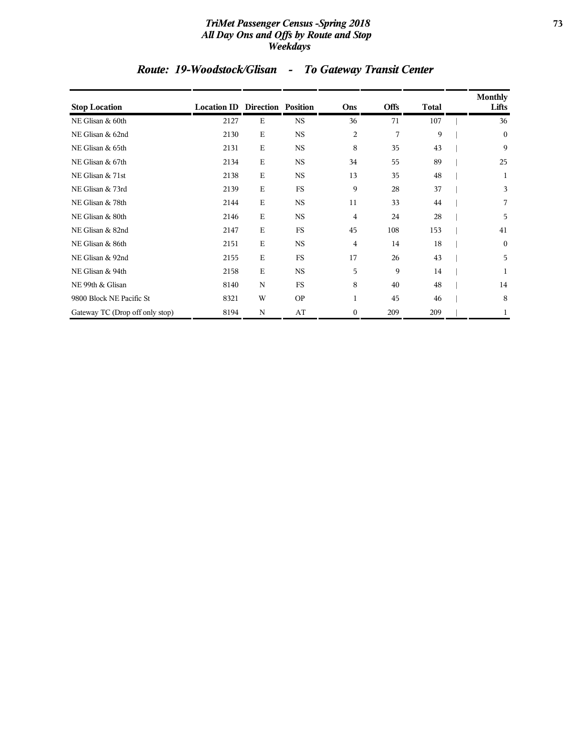### *TriMet Passenger Census -Spring 2018* **73** *All Day Ons and Offs by Route and Stop Weekdays*

# *Route: 19-Woodstock/Glisan - To Gateway Transit Center*

| <b>Stop Location</b>            | <b>Location ID Direction Position</b> |             |           | Ons              | <b>Offs</b> | <b>Total</b> | Monthly<br>Lifts |
|---------------------------------|---------------------------------------|-------------|-----------|------------------|-------------|--------------|------------------|
| NE Glisan & 60th                | 2127                                  | E           | <b>NS</b> | 36               | 71          | 107          | 36               |
| NE Glisan & 62nd                | 2130                                  | $\mathbf E$ | <b>NS</b> | $\overline{c}$   | 7           | 9            | $\mathbf{0}$     |
| NE Glisan & 65th                | 2131                                  | $\mathbf E$ | <b>NS</b> | 8                | 35          | 43           | 9                |
| NE Glisan & 67th                | 2134                                  | E           | <b>NS</b> | 34               | 55          | 89           | 25               |
| NE Glisan & 71st                | 2138                                  | $\mathbf E$ | <b>NS</b> | 13               | 35          | 48           | 1                |
| NE Glisan & 73rd                | 2139                                  | E           | FS        | 9                | 28          | 37           | 3                |
| NE Glisan & 78th                | 2144                                  | $\mathbf E$ | <b>NS</b> | 11               | 33          | 44           | 7                |
| NE Glisan & 80th                | 2146                                  | Ε           | <b>NS</b> | 4                | 24          | 28           | 5                |
| NE Glisan & 82nd                | 2147                                  | $\mathbf E$ | <b>FS</b> | 45               | 108         | 153          | 41               |
| NE Glisan & 86th                | 2151                                  | $\mathbf E$ | <b>NS</b> | 4                | 14          | 18           | $\mathbf{0}$     |
| NE Glisan & 92nd                | 2155                                  | E           | FS        | 17               | 26          | 43           | 5                |
| NE Glisan & 94th                | 2158                                  | $\mathbf E$ | <b>NS</b> | 5                | 9           | 14           | 1                |
| NE 99th & Glisan                | 8140                                  | N           | FS        | 8                | 40          | 48           | 14               |
| 9800 Block NE Pacific St        | 8321                                  | W           | <b>OP</b> | 1                | 45          | 46           | 8                |
| Gateway TC (Drop off only stop) | 8194                                  | N           | AT        | $\boldsymbol{0}$ | 209         | 209          | 1                |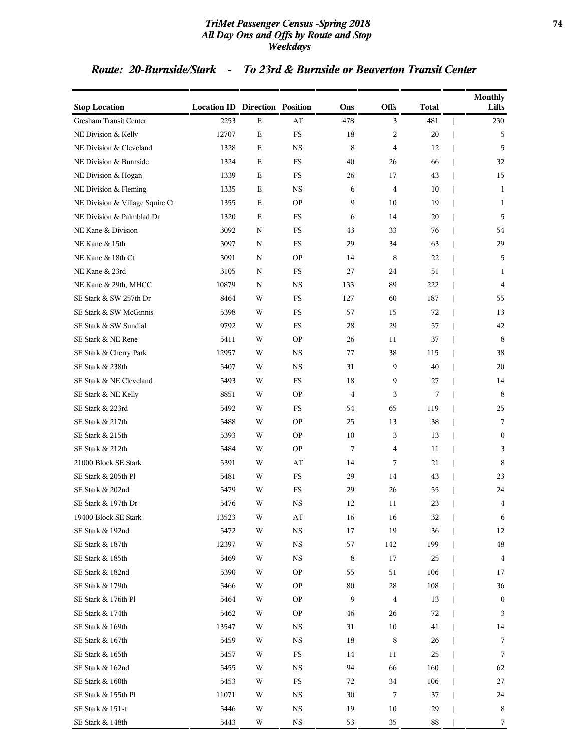### *TriMet Passenger Census -Spring 2018* **74** *All Day Ons and Offs by Route and Stop Weekdays*

| <b>Stop Location</b>            | <b>Location ID Direction Position</b> |             |           | Ons            | Offs           | <b>Total</b> | <b>Monthly</b><br>Lifts |
|---------------------------------|---------------------------------------|-------------|-----------|----------------|----------------|--------------|-------------------------|
| <b>Gresham Transit Center</b>   | 2253                                  | $\mathbf E$ | AT        | 478            | 3              | 481          | 230                     |
| NE Division & Kelly             | 12707                                 | $\mathbf E$ | <b>FS</b> | 18             | 2              | 20           | 5                       |
| NE Division & Cleveland         | 1328                                  | Ε           | <b>NS</b> | 8              | 4              | 12           | 5                       |
| NE Division & Burnside          | 1324                                  | $\mathbf E$ | FS        | 40             | 26             | 66           | 32                      |
| NE Division & Hogan             | 1339                                  | Ε           | <b>FS</b> | 26             | 17             | 43           | 15                      |
| NE Division & Fleming           | 1335                                  | Ε           | NS        | 6              | $\overline{4}$ | 10           | 1                       |
| NE Division & Village Squire Ct | 1355                                  | Ε           | <b>OP</b> | 9              | 10             | 19           | 1                       |
| NE Division & Palmblad Dr       | 1320                                  | Ε           | <b>FS</b> | 6              | 14             | 20           | 5                       |
| NE Kane & Division              | 3092                                  | ${\bf N}$   | FS        | 43             | 33             | 76           | 54                      |
| NE Kane & 15th                  | 3097                                  | N           | <b>FS</b> | 29             | 34             | 63           | 29                      |
| NE Kane & 18th Ct               | 3091                                  | N           | <b>OP</b> | 14             | 8              | 22           | 5                       |
| NE Kane & 23rd                  | 3105                                  | N           | <b>FS</b> | 27             | 24             | 51           | 1                       |
| NE Kane & 29th, MHCC            | 10879                                 | N           | <b>NS</b> | 133            | 89             | 222          | $\overline{4}$          |
| SE Stark & SW 257th Dr          | 8464                                  | W           | FS        | 127            | 60             | 187          | 55                      |
| SE Stark & SW McGinnis          | 5398                                  | W           | <b>FS</b> | 57             | 15             | 72           | 13                      |
| SE Stark & SW Sundial           | 9792                                  | W           | FS        | 28             | 29             | 57           | 42                      |
| SE Stark & NE Rene              | 5411                                  | W           | <b>OP</b> | 26             | 11             | 37           | 8                       |
| SE Stark & Cherry Park          | 12957                                 | W           | <b>NS</b> | 77             | 38             | 115          | 38                      |
| SE Stark & 238th                | 5407                                  | W           | NS        | 31             | 9              | 40           | 20                      |
| SE Stark & NE Cleveland         | 5493                                  | W           | <b>FS</b> | 18             | 9              | 27           | 14                      |
| SE Stark & NE Kelly             | 8851                                  | W           | <b>OP</b> | $\overline{4}$ | 3              | 7            | 8                       |
| SE Stark & 223rd                | 5492                                  | W           | <b>FS</b> | 54             | 65             | 119          | 25                      |
| SE Stark & 217th                | 5488                                  | W           | <b>OP</b> | 25             | 13             | 38           | 7                       |
| SE Stark & 215th                | 5393                                  | W           | <b>OP</b> | 10             | 3              | 13           | $\mathbf{0}$            |
| SE Stark & 212th                | 5484                                  | W           | <b>OP</b> | 7              | 4              | 11           | 3                       |
| 21000 Block SE Stark            | 5391                                  | W           | AT        | 14             | 7              | 21           | 8                       |
| SE Stark & 205th Pl             | 5481                                  | W           | FS        | 29             | 14             | 43           | 23                      |
| SE Stark & 202nd                | 5479                                  | W           | <b>FS</b> | 29             | 26             | 55           | 24                      |
| SE Stark & 197th Dr             | 5476                                  | W           | <b>NS</b> | 12             | 11             | 23           | $\overline{4}$          |
| 19400 Block SE Stark            | 13523                                 | W           | AT        | 16             | 16             | 32           | 6                       |
| SE Stark & 192nd                | 5472                                  | W           | <b>NS</b> | 17             | 19             | 36           | 12                      |
| SE Stark & 187th                | 12397                                 | W           | <b>NS</b> | 57             | 142            | 199          | 48                      |
| SE Stark & 185th                | 5469                                  | W           | <b>NS</b> | 8              | 17             | 25           | 4                       |
| SE Stark & 182nd                | 5390                                  | W           | <b>OP</b> | 55             | 51             | 106          | 17                      |
| SE Stark & 179th                | 5466                                  | W           | OΡ        | 80             | 28             | 108          | 36                      |
| SE Stark & 176th Pl             | 5464                                  | W           | <b>OP</b> | 9              | 4              | 13           | $\boldsymbol{0}$        |
| SE Stark & 174th                | 5462                                  | W           | <b>OP</b> | 46             | 26             | 72           | 3                       |
| SE Stark & 169th                | 13547                                 | W           | <b>NS</b> | 31             | 10             | 41           | 14                      |
| SE Stark & 167th                | 5459                                  | W           | NS        | 18             | 8              | 26           | 7                       |
| SE Stark & 165th                | 5457                                  | W           | FS        | 14             | 11             | 25           | 7                       |
| SE Stark & 162nd                | 5455                                  | W           | NS        | 94             | 66             | 160          | 62                      |
| SE Stark & 160th                | 5453                                  | W           | FS        | 72             | 34             | 106          | 27                      |
| SE Stark & 155th Pl             | 11071                                 | W           | <b>NS</b> | 30             | 7              | 37           | 24                      |
| SE Stark & 151st                | 5446                                  | W           | NS        | 19             | 10             | 29           | 8                       |
| SE Stark & 148th                | 5443                                  | W           | <b>NS</b> | 53             | 35             | 88           | 7                       |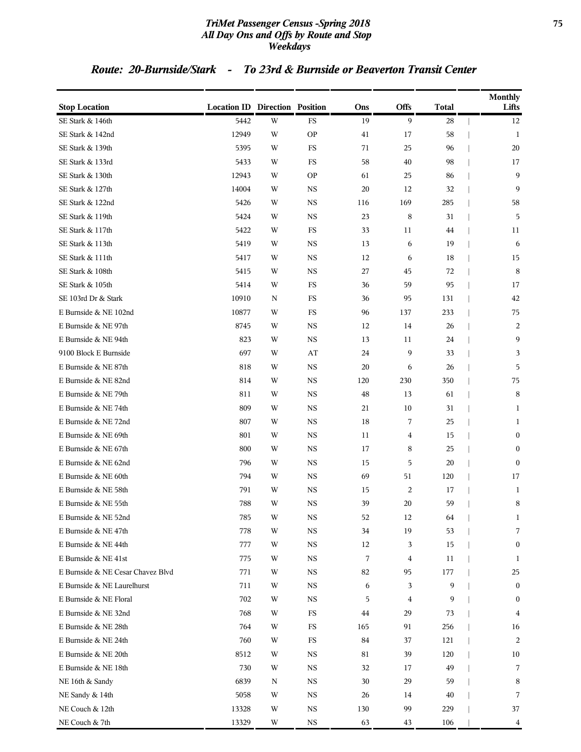### *TriMet Passenger Census -Spring 2018* **75** *All Day Ons and Offs by Route and Stop Weekdays*

| <b>Stop Location</b>              | <b>Location ID Direction Position</b> |   |             | Ons | Offs | Total | <b>Monthly</b><br>Lifts |
|-----------------------------------|---------------------------------------|---|-------------|-----|------|-------|-------------------------|
| SE Stark & 146th                  | 5442                                  | W | FS          | 19  | 9    | 28    | 12                      |
| SE Stark & 142nd                  | 12949                                 | W | <b>OP</b>   | 41  | 17   | 58    | 1                       |
| SE Stark & 139th                  | 5395                                  | W | FS          | 71  | 25   | 96    | 20                      |
| SE Stark & 133rd                  | 5433                                  | W | FS          | 58  | 40   | 98    | 17                      |
| SE Stark & 130th                  | 12943                                 | W | <b>OP</b>   | 61  | 25   | 86    | 9                       |
| SE Stark & 127th                  | 14004                                 | W | NS          | 20  | 12   | 32    | 9                       |
| SE Stark & 122nd                  | 5426                                  | W | <b>NS</b>   | 116 | 169  | 285   | 58                      |
| SE Stark & 119th                  | 5424                                  | W | <b>NS</b>   | 23  | 8    | 31    | 5                       |
| SE Stark & 117th                  | 5422                                  | W | FS          | 33  | 11   | 44    | 11                      |
| SE Stark & 113th                  | 5419                                  | W | <b>NS</b>   | 13  | 6    | 19    | 6                       |
| SE Stark & 111th                  | 5417                                  | W | <b>NS</b>   | 12  | 6    | 18    | 15                      |
| SE Stark & 108th                  | 5415                                  | W | <b>NS</b>   | 27  | 45   | 72    | 8                       |
| SE Stark & 105th                  | 5414                                  | W | FS          | 36  | 59   | 95    | 17                      |
| SE 103rd Dr & Stark               | 10910                                 | N | FS          | 36  | 95   | 131   | 42                      |
| E Burnside & NE 102nd             | 10877                                 | W | FS          | 96  | 137  | 233   | 75                      |
| E Burnside & NE 97th              | 8745                                  | W | NS          | 12  | 14   | 26    | 2                       |
| E Burnside & NE 94th              | 823                                   | W | <b>NS</b>   | 13  | 11   | 24    | 9                       |
| 9100 Block E Burnside             | 697                                   | W | AT          | 24  | 9    | 33    | 3                       |
| E Burnside & NE 87th              | 818                                   | W | <b>NS</b>   | 20  | 6    | 26    | 5                       |
| E Burnside & NE 82nd              | 814                                   | W | <b>NS</b>   | 120 | 230  | 350   | 75                      |
| E Burnside & NE 79th              | 811                                   | W | <b>NS</b>   | 48  | 13   | 61    | $\,8\,$                 |
| E Burnside & NE 74th              | 809                                   | W | <b>NS</b>   | 21  | 10   | 31    | 1                       |
| E Burnside & NE 72nd              | 807                                   | W | <b>NS</b>   | 18  | 7    | 25    | 1                       |
| E Burnside & NE 69th              | 801                                   | W | <b>NS</b>   | 11  | 4    | 15    | $\boldsymbol{0}$        |
| E Burnside & NE 67th              | 800                                   | W | <b>NS</b>   | 17  | 8    | 25    | $\mathbf{0}$            |
| E Burnside & NE 62nd              | 796                                   | W | NS          | 15  | 5    | 20    | $\bf{0}$                |
| E Burnside & NE 60th              | 794                                   | W | <b>NS</b>   | 69  | 51   | 120   | 17                      |
| E Burnside & NE 58th              | 791                                   | W | <b>NS</b>   | 15  | 2    | 17    | $\mathbf{1}$            |
| E Burnside & NE 55th              | 788                                   | W | $_{\rm NS}$ | 39  | 20   | 59    | 8                       |
| E Burnside & NE 52nd              | 785                                   | W | NS          | 52  | 12   | 64    | 1                       |
| E Burnside & NE 47th              | 778                                   | W | $_{\rm NS}$ | 34  | 19   | 53    | 7                       |
| E Burnside & NE 44th              | 777                                   | W | $_{\rm NS}$ | 12  | 3    | 15    | $\boldsymbol{0}$        |
| E Burnside & NE 41st              | 775                                   | W | $_{\rm NS}$ | 7   | 4    | 11    | 1                       |
| E Burnside & NE Cesar Chavez Blvd | 771                                   | W | <b>NS</b>   | 82  | 95   | 177   | 25                      |
| E Burnside & NE Laurelhurst       | 711                                   | W | <b>NS</b>   | 6   | 3    | 9     | $\bf{0}$                |
| E Burnside & NE Floral            | 702                                   | W | NS          | 5   | 4    | 9     | $\boldsymbol{0}$        |
| E Burnside & NE 32nd              | 768                                   | W | $_{\rm FS}$ | 44  | 29   | 73    | 4                       |
| E Burnside & NE 28th              | 764                                   | W | FS          | 165 | 91   | 256   | 16                      |
| E Burnside & NE 24th              | 760                                   | W | $_{\rm FS}$ | 84  | 37   | 121   | $\overline{c}$          |
| E Burnside & NE 20th              | 8512                                  | W | <b>NS</b>   | 81  | 39   | 120   | 10                      |
| E Burnside & NE 18th              | 730                                   | W | NS          | 32  | 17   | 49    | 7                       |
| NE 16th & Sandy                   | 6839                                  | Ν | <b>NS</b>   | 30  | 29   | 59    | 8                       |
| NE Sandy & 14th                   | 5058                                  | W | $_{\rm NS}$ | 26  | 14   | 40    | 7                       |
| NE Couch & 12th                   | 13328                                 | W | <b>NS</b>   | 130 | 99   | 229   | 37                      |
| NE Couch & 7th                    | 13329                                 | W | $_{\rm NS}$ | 63  | 43   | 106   | 4                       |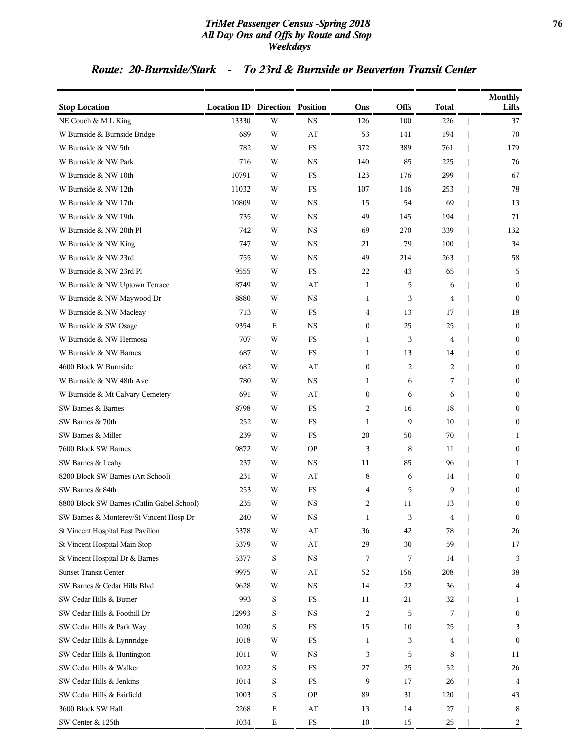### *TriMet Passenger Census -Spring 2018* **76** *All Day Ons and Offs by Route and Stop Weekdays*

| <b>Stop Location</b>                       | <b>Location ID Direction Position</b> |             |                        | Ons              | <b>Offs</b> | <b>Total</b> | <b>Monthly</b><br>Lifts |
|--------------------------------------------|---------------------------------------|-------------|------------------------|------------------|-------------|--------------|-------------------------|
| NE Couch & M L King                        | 13330                                 | W           | <b>NS</b>              | 126              | 100         | 226          | 37                      |
| W Burnside & Burnside Bridge               | 689                                   | W           | AT                     | 53               | 141         | 194          | 70                      |
| W Burnside & NW 5th                        | 782                                   | W           | FS                     | 372              | 389         | 761          | 179                     |
| W Burnside & NW Park                       | 716                                   | W           | <b>NS</b>              | 140              | 85          | 225          | 76                      |
| W Burnside & NW 10th                       | 10791                                 | W           | FS                     | 123              | 176         | 299          | 67                      |
| W Burnside & NW 12th                       | 11032                                 | W           | FS                     | 107              | 146         | 253          | 78                      |
| W Burnside & NW 17th                       | 10809                                 | W           | <b>NS</b>              | 15               | 54          | 69           | 13                      |
| W Burnside & NW 19th                       | 735                                   | W           | <b>NS</b>              | 49               | 145         | 194          | 71                      |
| W Burnside & NW 20th Pl                    | 742                                   | W           | <b>NS</b>              | 69               | 270         | 339          | 132                     |
| W Burnside & NW King                       | 747                                   | W           | <b>NS</b>              | 21               | 79          | 100          | 34                      |
| W Burnside & NW 23rd                       | 755                                   | W           | <b>NS</b>              | 49               | 214         | 263          | 58                      |
| W Burnside & NW 23rd Pl                    | 9555                                  | W           | $_{\rm FS}$            | 22               | 43          | 65           | 5                       |
| W Burnside & NW Uptown Terrace             | 8749                                  | W           | AT                     | $\mathbf{1}$     | 5           | 6            | $\theta$                |
| W Burnside & NW Maywood Dr                 | 8880                                  | W           | <b>NS</b>              | 1                | 3           | 4            | $\mathbf{0}$            |
| W Burnside & NW Macleay                    | 713                                   | W           | FS                     | 4                | 13          | 17           | 18                      |
| W Burnside & SW Osage                      | 9354                                  | Е           | <b>NS</b>              | $\mathbf{0}$     | 25          | 25           | $\mathbf{0}$            |
| W Burnside & NW Hermosa                    | 707                                   | W           | $_{\rm FS}$            | 1                | 3           | 4            | $\mathbf{0}$            |
| W Burnside & NW Barnes                     | 687                                   | W           | $_{\rm FS}$            | 1                | 13          | 14           | $\Omega$                |
| 4600 Block W Burnside                      | 682                                   | W           | AT                     | $\boldsymbol{0}$ | 2           | 2            | $\boldsymbol{0}$        |
| W Burnside & NW 48th Ave                   | 780                                   | W           | <b>NS</b>              | 1                | 6           | 7            | $\mathbf{0}$            |
| W Burnside & Mt Calvary Cemetery           | 691                                   | W           | AT                     | $\mathbf{0}$     | 6           | 6            | $\mathbf{0}$            |
| SW Barnes & Barnes                         | 8798                                  | W           | $_{\rm FS}$            | 2                | 16          | 18           | $\mathbf{0}$            |
| SW Barnes & 70th                           | 252                                   | W           | FS                     | 1                | 9           | 10           | $\Omega$                |
| SW Barnes & Miller                         | 239                                   | W           | FS                     | 20               | 50          | 70           | 1                       |
| 7600 Block SW Barnes                       | 9872                                  | W           | <b>OP</b>              | 3                | 8           | 11           | $\mathbf{0}$            |
| SW Barnes & Leahy                          | 237                                   | W           | <b>NS</b>              | 11               | 85          | 96           | 1                       |
| 8200 Block SW Barnes (Art School)          | 231                                   | W           | AT                     | 8                | 6           | 14           | $\mathbf{0}$            |
| SW Barnes & 84th                           | 253                                   | W           | <b>FS</b>              | 4                | 5           | 9            | $\Omega$                |
| 8800 Block SW Barnes (Catlin Gabel School) | 235                                   | W           | <b>NS</b>              | 2                | 11          | 13           | $\boldsymbol{0}$        |
| SW Barnes & Monterey/St Vincent Hosp Dr    | 240                                   | W           | $_{\rm NS}$            | 1                | 3           | 4            | $\mathbf{0}$            |
| St Vincent Hospital East Pavilion          | 5378                                  | W           | $\mathbf{A}\mathbf{T}$ | 36               | 42          | 78           | 26                      |
| St Vincent Hospital Main Stop              | 5379                                  | W           | AT                     | 29               | 30          | 59           | 17                      |
| St Vincent Hospital Dr & Barnes            | 5377                                  | S           | $_{\rm NS}$            | 7                | 7           | 14           | 3                       |
| <b>Sunset Transit Center</b>               | 9975                                  | W           | AT                     | 52               | 156         | 208          | 38                      |
| SW Barnes & Cedar Hills Blvd               | 9628                                  | W           | <b>NS</b>              | 14               | 22          | 36           | 4                       |
| SW Cedar Hills & Butner                    | 993                                   | S           | $_{\rm FS}$            | 11               | 21          | 32           | 1                       |
| SW Cedar Hills & Foothill Dr               | 12993                                 | S           | <b>NS</b>              | 2                | 5           | 7            | $\boldsymbol{0}$        |
| SW Cedar Hills & Park Way                  | 1020                                  | S           | $_{\rm FS}$            | 15               | 10          | 25           | 3                       |
| SW Cedar Hills & Lynnridge                 | 1018                                  | W           | $_{\rm FS}$            | 1                | 3           | 4            | $\bf{0}$                |
| SW Cedar Hills & Huntington                | 1011                                  | W           | <b>NS</b>              | 3                | 5           | 8            | 11                      |
| SW Cedar Hills & Walker                    | 1022                                  | S           | $_{\rm FS}$            | 27               | 25          | 52           | 26                      |
| SW Cedar Hills & Jenkins                   | 1014                                  | S           | $_{\rm FS}$            | 9                | 17          | 26           | 4                       |
| SW Cedar Hills & Fairfield                 | 1003                                  | S           | <b>OP</b>              | 89               | 31          | 120          | 43                      |
| 3600 Block SW Hall                         | 2268                                  | $\mathbf E$ | AT                     | 13               | 14          | 27           | 8                       |
| SW Center & 125th                          | 1034                                  | $\mathbf E$ | $_{\rm FS}$            | 10               | 15          | 25           | 2                       |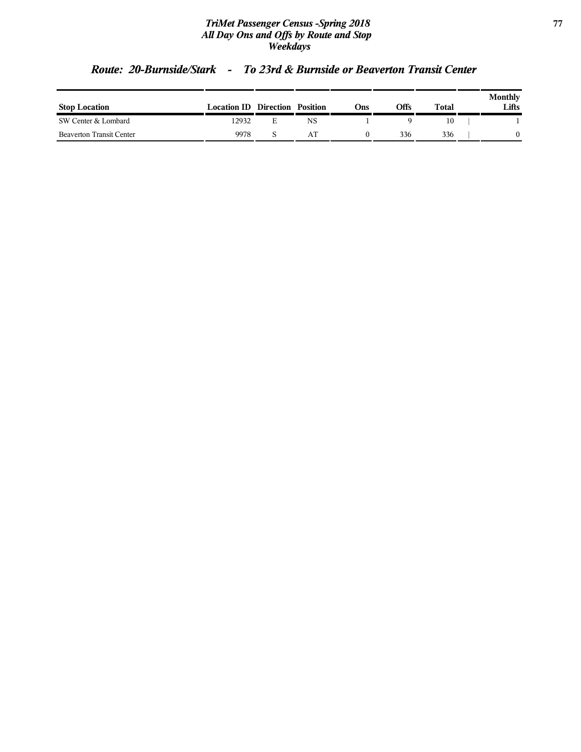### *TriMet Passenger Census -Spring 2018* **77** *All Day Ons and Offs by Route and Stop Weekdays*

| <b>Stop Location</b>            | <b>Location ID Direction Position</b> |    | Ons | Offs | Total | Monthly<br>Lifts |
|---------------------------------|---------------------------------------|----|-----|------|-------|------------------|
| SW Center & Lombard             | 12932                                 | NS |     |      |       |                  |
| <b>Beaverton Transit Center</b> | 9978                                  | AΤ |     | 336  | 336   |                  |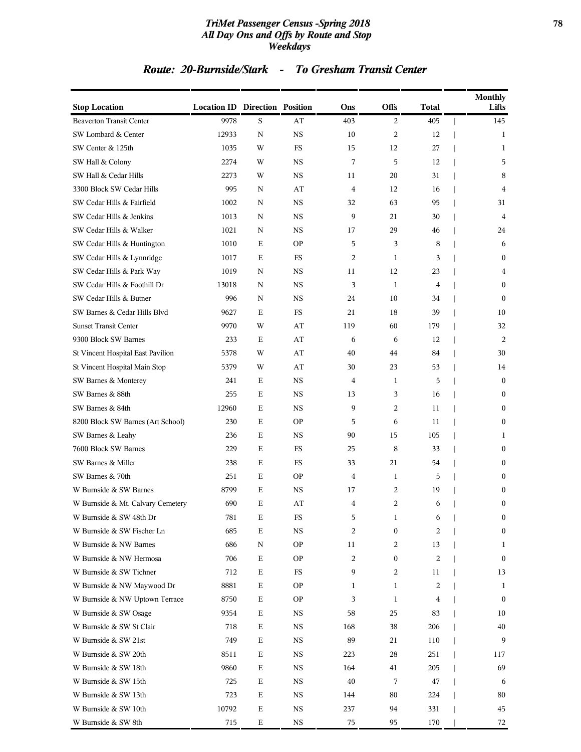### *TriMet Passenger Census -Spring 2018* **78** *All Day Ons and Offs by Route and Stop Weekdays*

### *Route: 20-Burnside/Stark - To Gresham Transit Center*

|                                   |                                       |             |             |     |              |                | Monthly          |
|-----------------------------------|---------------------------------------|-------------|-------------|-----|--------------|----------------|------------------|
| <b>Stop Location</b>              | <b>Location ID Direction Position</b> |             |             | Ons | <b>Offs</b>  | <b>Total</b>   | Lifts            |
| <b>Beaverton Transit Center</b>   | 9978                                  | S           | AT          | 403 | 2            | 405            | 145              |
| SW Lombard & Center               | 12933                                 | N           | <b>NS</b>   | 10  | 2            | 12             | 1                |
| SW Center & 125th                 | 1035                                  | W           | FS          | 15  | 12           | 27             | 1                |
| SW Hall & Colony                  | 2274                                  | W           | <b>NS</b>   | 7   | 5            | 12             | 5                |
| SW Hall & Cedar Hills             | 2273                                  | W           | NS          | 11  | 20           | 31             | 8                |
| 3300 Block SW Cedar Hills         | 995                                   | N           | AT          | 4   | 12           | 16             | 4                |
| SW Cedar Hills & Fairfield        | 1002                                  | N           | NS          | 32  | 63           | 95             | 31               |
| SW Cedar Hills & Jenkins          | 1013                                  | N           | NS          | 9   | 21           | 30             | 4                |
| SW Cedar Hills & Walker           | 1021                                  | N           | <b>NS</b>   | 17  | 29           | 46             | 24               |
| SW Cedar Hills & Huntington       | 1010                                  | Е           | ΟP          | 5   | 3            | 8              | 6                |
| SW Cedar Hills & Lynnridge        | 1017                                  | Ε           | FS          | 2   | 1            | 3              | $\bf{0}$         |
| SW Cedar Hills & Park Way         | 1019                                  | N           | NS          | 11  | 12           | 23             | 4                |
| SW Cedar Hills & Foothill Dr      | 13018                                 | N           | NS          | 3   | 1            | 4              | $\mathbf{0}$     |
| SW Cedar Hills & Butner           | 996                                   | N           | <b>NS</b>   | 24  | 10           | 34             | $\mathbf{0}$     |
| SW Barnes & Cedar Hills Blvd      | 9627                                  | Е           | FS          | 21  | 18           | 39             | 10               |
| <b>Sunset Transit Center</b>      | 9970                                  | W           | AT          | 119 | 60           | 179            | 32               |
| 9300 Block SW Barnes              | 233                                   | Е           | AT          | 6   | 6            | 12             | 2                |
| St Vincent Hospital East Pavilion | 5378                                  | W           | AT          | 40  | 44           | 84             | 30               |
| St Vincent Hospital Main Stop     | 5379                                  | W           | AT          | 30  | 23           | 53             | 14               |
| SW Barnes & Monterey              | 241                                   | Ε           | <b>NS</b>   | 4   | 1            | 5              | $\overline{0}$   |
| SW Barnes & 88th                  | 255                                   | Ε           | NS          | 13  | 3            | 16             | $\bf{0}$         |
| SW Barnes & 84th                  | 12960                                 | Е           | NS          | 9   | 2            | 11             | $\boldsymbol{0}$ |
| 8200 Block SW Barnes (Art School) | 230                                   | Е           | ΟP          | 5   | 6            | 11             | $\bf{0}$         |
| SW Barnes & Leahy                 | 236                                   | Е           | NS          | 90  | 15           | 105            | 1                |
| 7600 Block SW Barnes              | 229                                   | Е           | FS          | 25  | 8            | 33             | $\bf{0}$         |
| SW Barnes & Miller                | 238                                   | Ε           | FS          | 33  | 21           | 54             | $\bf{0}$         |
| SW Barnes & 70th                  | 251                                   | Е           | ΟP          | 4   | $\mathbf{1}$ | 5              | $\mathbf{0}$     |
| W Burnside & SW Barnes            | 8799                                  | Е           | NS          | 17  | 2            | 19             | $\mathbf{0}$     |
| W Burnside & Mt. Calvary Cemetery | 690                                   | Е           | AT          | 4   | 2            | 6              | $\boldsymbol{0}$ |
| W Burnside & SW 48th Dr           | 781                                   | Ε           | $_{\rm FS}$ | 5   | 1            | 6              | $\boldsymbol{0}$ |
| W Burnside & SW Fischer Ln        | 685                                   | Е           | NS          | 2   | 0            | 2              | $\bf{0}$         |
| W Burnside & NW Barnes            | 686                                   | N           | <b>OP</b>   | 11  | 2            | 13             | 1                |
| W Burnside & NW Hermosa           | 706                                   | Е           | <b>OP</b>   | 2   | 0            | $\overline{c}$ | $\bf{0}$         |
| W Burnside & SW Tichner           | 712                                   | Ε           | FS          | 9   | 2            | 11             | 13               |
| W Burnside & NW Maywood Dr        | 8881                                  | $\mathbf E$ | <b>OP</b>   | 1   | 1            | 2              | 1                |
| W Burnside & NW Uptown Terrace    | 8750                                  | Е           | <b>OP</b>   | 3   | 1            | 4              | $\bf{0}$         |
| W Burnside & SW Osage             | 9354                                  | $\mathbf E$ | NS          | 58  | 25           | 83             | 10               |
| W Burnside & SW St Clair          | 718                                   | Ε           | NS          | 168 | 38           | 206            | 40               |
| W Burnside & SW 21st              | 749                                   | Ε           | NS          | 89  | 21           | 110            | 9                |
| W Burnside & SW 20th              | 8511                                  | Е           | NS          | 223 | 28           | 251            | 117              |
| W Burnside & SW 18th              | 9860                                  | Ε           | NS          | 164 | 41           | 205            | 69               |
| W Burnside & SW 15th              | 725                                   | $\mathbf E$ | NS          | 40  | 7            | 47             | 6                |
| W Burnside & SW 13th              | 723                                   | Е           | NS          | 144 | 80           | 224            | 80               |
| W Burnside & SW 10th              | 10792                                 | $\mathbf E$ | <b>NS</b>   | 237 | 94           | 331            | 45               |
| W Burnside & SW 8th               | 715                                   | $\mathbf E$ | <b>NS</b>   | 75  | 95           | 170            | 72               |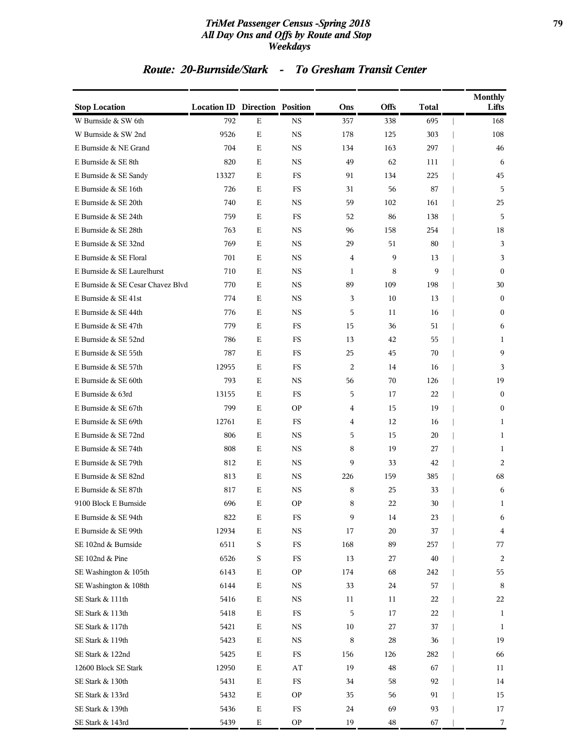### *TriMet Passenger Census -Spring 2018* **79** *All Day Ons and Offs by Route and Stop Weekdays*

### *Route: 20-Burnside/Stark - To Gresham Transit Center*

| <b>Stop Location</b>              | <b>Location ID Direction Position</b> |             |             | Ons            | Offs | <b>Total</b> | <b>Monthly</b><br>Lifts |
|-----------------------------------|---------------------------------------|-------------|-------------|----------------|------|--------------|-------------------------|
| W Burnside & SW 6th               | 792                                   | $\mathbf E$ | <b>NS</b>   | 357            | 338  | 695          | 168                     |
| W Burnside & SW 2nd               | 9526                                  | $\mathbf E$ | <b>NS</b>   | 178            | 125  | 303          | 108                     |
| E Burnside & NE Grand             | 704                                   | Ε           | <b>NS</b>   | 134            | 163  | 297          | 46                      |
| E Burnside & SE 8th               | 820                                   | Е           | <b>NS</b>   | 49             | 62   | 111          | 6                       |
| E Burnside & SE Sandy             | 13327                                 | Е           | FS          | 91             | 134  | 225          | 45                      |
| E Burnside & SE 16th              | 726                                   | Е           | FS          | 31             | 56   | 87           | 5                       |
| E Burnside & SE 20th              | 740                                   | Ε           | <b>NS</b>   | 59             | 102  | 161          | 25                      |
| E Burnside & SE 24th              | 759                                   | Е           | FS          | 52             | 86   | 138          | 5                       |
| E Burnside & SE 28th              | 763                                   | Е           | <b>NS</b>   | 96             | 158  | 254          | 18                      |
| E Burnside & SE 32nd              | 769                                   | Е           | <b>NS</b>   | 29             | 51   | 80           | 3                       |
| E Burnside & SE Floral            | 701                                   | Е           | <b>NS</b>   | $\overline{4}$ | 9    | 13           | 3                       |
| E Burnside & SE Laurelhurst       | 710                                   | Ε           | <b>NS</b>   | 1              | 8    | 9            | $\mathbf{0}$            |
| E Burnside & SE Cesar Chavez Blvd | 770                                   | Ε           | <b>NS</b>   | 89             | 109  | 198          | 30                      |
| E Burnside & SE 41st              | 774                                   | Ε           | <b>NS</b>   | 3              | 10   | 13           | $\mathbf{0}$            |
| E Burnside & SE 44th              | 776                                   | Е           | <b>NS</b>   | 5              | 11   | 16           | $\mathbf{0}$            |
| E Burnside & SE 47th              | 779                                   | Е           | FS          | 15             | 36   | 51           | 6                       |
| E Burnside & SE 52nd              | 786                                   | Ε           | FS          | 13             | 42   | 55           | 1                       |
| E Burnside & SE 55th              | 787                                   | Ε           | FS          | 25             | 45   | 70           | 9                       |
| E Burnside & SE 57th              | 12955                                 | Ε           | FS          | 2              | 14   | 16           | 3                       |
| E Burnside & SE 60th              | 793                                   | Ε           | <b>NS</b>   | 56             | 70   | 126          | 19                      |
| E Burnside & 63rd                 | 13155                                 | Е           | FS          | 5              | 17   | 22           | $\mathbf{0}$            |
| E Burnside & SE 67th              | 799                                   | Ε           | <b>OP</b>   | 4              | 15   | 19           | $\mathbf{0}$            |
| E Burnside & SE 69th              | 12761                                 | Ε           | FS          | 4              | 12   | 16           | 1                       |
| E Burnside & SE 72nd              | 806                                   | Е           | <b>NS</b>   | 5              | 15   | 20           | 1                       |
| E Burnside & SE 74th              | 808                                   | Ε           | NS          | 8              | 19   | 27           | 1                       |
| E Burnside & SE 79th              | 812                                   | $\mathbf E$ | <b>NS</b>   | 9              | 33   | 42           | 2                       |
| E Burnside & SE 82nd              | 813                                   | Ε           | <b>NS</b>   | 226            | 159  | 385          | 68                      |
| E Burnside & SE 87th              | 817                                   | Ε           | <b>NS</b>   | 8              | 25   | 33           | 6                       |
| 9100 Block E Burnside             | 696                                   | E           | <b>OP</b>   | 8              | 22   | 30           | 1                       |
| E Burnside & SE 94th              | 822                                   | E           | FS          | 9              | 14   | 23           | 6                       |
| E Burnside & SE 99th              | 12934                                 | E           | <b>NS</b>   | 17             | 20   | 37           | 4                       |
| SE 102nd & Burnside               | 6511                                  | S           | $_{\rm FS}$ | 168            | 89   | 257          | 77                      |
| SE 102nd & Pine                   | 6526                                  | S           | FS          | 13             | 27   | 40           | 2                       |
| SE Washington & 105th             | 6143                                  | Ε           | <b>OP</b>   | 174            | 68   | 242          | 55                      |
| SE Washington & 108th             | 6144                                  | Ε           | NS          | 33             | 24   | 57           | 8                       |
| SE Stark & 111th                  | 5416                                  | Ε           | NS          | 11             | 11   | 22           | 22                      |
| SE Stark & 113th                  | 5418                                  | Ε           | FS          | 5              | 17   | 22           | 1                       |
| SE Stark & 117th                  | 5421                                  | Ε           | NS          | 10             | 27   | 37           | 1                       |
| SE Stark & 119th                  | 5423                                  | Ε           | <b>NS</b>   | 8              | 28   | 36           | 19                      |
| SE Stark & 122nd                  | 5425                                  | Ε           | FS          | 156            | 126  | 282          | 66                      |
| 12600 Block SE Stark              | 12950                                 | Ε           | AT          | 19             | 48   | 67           | 11                      |
| SE Stark & 130th                  | 5431                                  | Ε           | $_{\rm FS}$ | 34             | 58   | 92           | 14                      |
| SE Stark & 133rd                  | 5432                                  | Ε           | <b>OP</b>   | 35             | 56   | 91           | 15                      |
| SE Stark & 139th                  | 5436                                  | ${\bf E}$   | FS          | 24             | 69   | 93           | 17                      |
| SE Stark & 143rd                  | 5439                                  | Ε           | <b>OP</b>   | 19             | 48   | 67           | 7                       |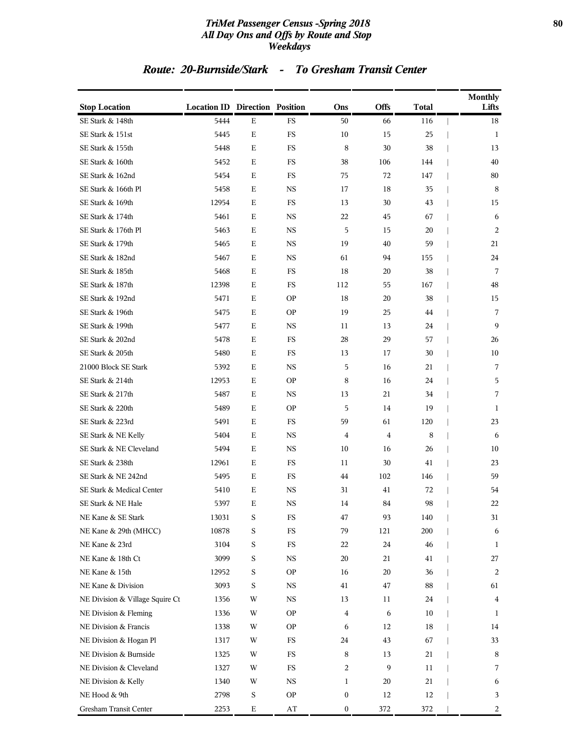### *TriMet Passenger Census -Spring 2018* **80** *All Day Ons and Offs by Route and Stop Weekdays*

### *Route: 20-Burnside/Stark - To Gresham Transit Center*

| <b>Stop Location</b>            | <b>Location ID Direction Position</b> |             |                        | Ons          | Offs | <b>Total</b> | Monthly<br>Lifts |
|---------------------------------|---------------------------------------|-------------|------------------------|--------------|------|--------------|------------------|
| SE Stark & 148th                | 5444                                  | $\mathbf E$ | FS                     | 50           | 66   | 116          | 18               |
| SE Stark & 151st                | 5445                                  | Е           | FS                     | 10           | 15   | 25           | 1                |
| SE Stark & 155th                | 5448                                  | Е           | FS                     | 8            | 30   | 38           | 13               |
| SE Stark & 160th                | 5452                                  | Е           | FS                     | 38           | 106  | 144          | 40               |
| SE Stark & 162nd                | 5454                                  | Ε           | FS                     | 75           | 72   | 147          | 80               |
| SE Stark & 166th Pl             | 5458                                  | Е           | <b>NS</b>              | 17           | 18   | 35           | 8                |
| SE Stark & 169th                | 12954                                 | Ε           | FS                     | 13           | 30   | 43           | 15               |
| SE Stark & 174th                | 5461                                  | Е           | <b>NS</b>              | 22           | 45   | 67           | 6                |
| SE Stark & 176th Pl             | 5463                                  | Е           | <b>NS</b>              | 5            | 15   | 20           | 2                |
| SE Stark & 179th                | 5465                                  | Ε           | NS                     | 19           | 40   | 59           | 21               |
| SE Stark & 182nd                | 5467                                  | Е           | <b>NS</b>              | 61           | 94   | 155          | 24               |
| SE Stark & 185th                | 5468                                  | Ε           | FS                     | 18           | 20   | 38           | 7                |
| SE Stark & 187th                | 12398                                 | Ε           | FS                     | 112          | 55   | 167          | 48               |
| SE Stark & 192nd                | 5471                                  | Ε           | <b>OP</b>              | 18           | 20   | 38           | 15               |
| SE Stark & 196th                | 5475                                  | Ε           | <b>OP</b>              | 19           | 25   | 44           | 7                |
| SE Stark & 199th                | 5477                                  | Ε           | NS                     | 11           | 13   | 24           | 9                |
| SE Stark & 202nd                | 5478                                  | Ε           | FS                     | 28           | 29   | 57           | 26               |
| SE Stark & 205th                | 5480                                  | Е           | FS                     | 13           | 17   | 30           | 10               |
| 21000 Block SE Stark            | 5392                                  | Е           | <b>NS</b>              | 5            | 16   | 21           | 7                |
| SE Stark & 214th                | 12953                                 | Ε           | <b>OP</b>              | 8            | 16   | 24           | 5                |
| SE Stark & 217th                | 5487                                  | Е           | NS                     | 13           | 21   | 34           | 7                |
| SE Stark & 220th                | 5489                                  | Ε           | <b>OP</b>              | 5            | 14   | 19           | 1                |
| SE Stark & 223rd                | 5491                                  | Е           | FS                     | 59           | 61   | 120          | 23               |
| SE Stark & NE Kelly             | 5404                                  | Е           | <b>NS</b>              | 4            | 4    | 8            | 6                |
| SE Stark & NE Cleveland         | 5494                                  | Ε           | NS                     | 10           | 16   | 26           | 10               |
| SE Stark & 238th                | 12961                                 | Е           | FS                     | 11           | 30   | 41           | 23               |
| SE Stark & NE 242nd             | 5495                                  | Ε           | FS                     | 44           | 102  | 146          | 59               |
| SE Stark & Medical Center       | 5410                                  | Ε           | <b>NS</b>              | 31           | 41   | 72           | 54               |
| SE Stark & NE Hale              | 5397                                  | E           | <b>NS</b>              | 14           | 84   | 98           | 22               |
| NE Kane & SE Stark              | 13031                                 | S           | FS                     | 47           | 93   | 140          | 31               |
| NE Kane & 29th (MHCC)           | 10878                                 | S           | $_{\rm FS}$            | 79           | 121  | 200          | 6                |
| NE Kane & 23rd                  | 3104                                  | S           | $_{\rm FS}$            | 22           | 24   | 46           | 1                |
| NE Kane & 18th Ct               | 3099                                  | S           | $_{\rm NS}$            | 20           | 21   | 41           | 27               |
| NE Kane & 15th                  | 12952                                 | $\mathbf S$ | <b>OP</b>              | 16           | 20   | 36           | 2                |
| NE Kane & Division              | 3093                                  | $\mathbf S$ | NS                     | 41           | 47   | 88           | 61               |
| NE Division & Village Squire Ct | 1356                                  | W           | $_{\rm NS}$            | 13           | 11   | 24           | 4                |
| NE Division & Fleming           | 1336                                  | W           | <b>OP</b>              | 4            | 6    | 10           | 1                |
| NE Division & Francis           | 1338                                  | W           | <b>OP</b>              | 6            | 12   | 18           | 14               |
| NE Division & Hogan Pl          | 1317                                  | W           | $_{\rm FS}$            | 24           | 43   | 67           | 33               |
| NE Division & Burnside          | 1325                                  | W           | $_{\rm FS}$            | 8            | 13   | 21           | 8                |
| NE Division & Cleveland         | 1327                                  | W           | $_{\rm FS}$            | 2            | 9    | 11           | 7                |
| NE Division & Kelly             | 1340                                  | W           | $_{\rm NS}$            | $\mathbf{1}$ | 20   | 21           | 6                |
| NE Hood & 9th                   | 2798                                  | S           | <b>OP</b>              | 0            | 12   | 12           | 3                |
| Gresham Transit Center          | 2253                                  | $\mathbf E$ | $\mathbf{A}\mathbf{T}$ | 0            | 372  | 372          | 2                |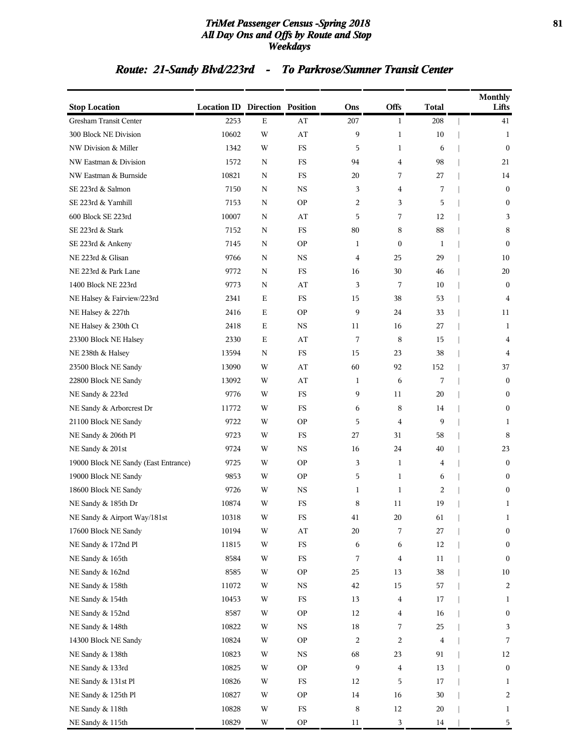### *TriMet Passenger Census -Spring 2018* **81** *All Day Ons and Offs by Route and Stop Weekdays*

# *Route: 21-Sandy Blvd/223rd - To Parkrose/Sumner Transit Center*

| <b>Stop Location</b>                 | <b>Location ID Direction Position</b> |             |               | Ons                     | <b>Offs</b>      | <b>Total</b>   | <b>Monthly</b><br>Lifts |
|--------------------------------------|---------------------------------------|-------------|---------------|-------------------------|------------------|----------------|-------------------------|
| Gresham Transit Center               | 2253                                  | $\mathbf E$ | AT            | 207                     | $\mathbf{1}$     | 208            | 41                      |
| 300 Block NE Division                | 10602                                 | W           | AT            | 9                       | $\mathbf{1}$     | 10             | 1                       |
| NW Division & Miller                 | 1342                                  | W           | FS            | 5                       | $\mathbf{1}$     | 6              | $\boldsymbol{0}$        |
| NW Eastman & Division                | 1572                                  | N           | FS            | 94                      | 4                | 98             | 21                      |
| NW Eastman & Burnside                | 10821                                 | N           | FS            | 20                      | 7                | 27             | 14                      |
| SE 223rd & Salmon                    | 7150                                  | N           | <b>NS</b>     | 3                       | 4                | 7              | $\boldsymbol{0}$        |
| SE 223rd & Yamhill                   | 7153                                  | N           | <b>OP</b>     | 2                       | 3                | 5              | $\boldsymbol{0}$        |
| 600 Block SE 223rd                   | 10007                                 | N           | AT            | 5                       | 7                | 12             | 3                       |
| SE 223rd & Stark                     | 7152                                  | N           | FS            | 80                      | 8                | 88             | 8                       |
| SE 223rd & Ankeny                    | 7145                                  | N           | <b>OP</b>     | 1                       | $\boldsymbol{0}$ | 1              | $\mathbf{0}$            |
| NE 223rd & Glisan                    | 9766                                  | N           | <b>NS</b>     | 4                       | 25               | 29             | 10                      |
| NE 223rd & Park Lane                 | 9772                                  | Ν           | $_{\rm FS}$   | 16                      | 30               | 46             | 20                      |
| 1400 Block NE 223rd                  | 9773                                  | N           | AT            | 3                       | 7                | 10             | $\bf{0}$                |
| NE Halsey & Fairview/223rd           | 2341                                  | Ε           | FS            | 15                      | 38               | 53             | 4                       |
| NE Halsey & 227th                    | 2416                                  | Ε           | <b>OP</b>     | 9                       | 24               | 33             | 11                      |
| NE Halsey & 230th Ct                 | 2418                                  | Ε           | <b>NS</b>     | 11                      | 16               | 27             | 1                       |
| 23300 Block NE Halsey                | 2330                                  | Ε           | AT            | 7                       | 8                | 15             | 4                       |
| NE 238th & Halsey                    | 13594                                 | N           | FS            | 15                      | 23               | 38             | 4                       |
| 23500 Block NE Sandy                 | 13090                                 | W           | AT            | 60                      | 92               | 152            | 37                      |
| 22800 Block NE Sandy                 | 13092                                 | W           | AT            | 1                       | 6                | 7              | $\bf{0}$                |
| NE Sandy & 223rd                     | 9776                                  | W           | FS            | 9                       | 11               | 20             | $\bf{0}$                |
| NE Sandy & Arborcrest Dr             | 11772                                 | W           | $_{\rm FS}$   | 6                       | 8                | 14             | $\boldsymbol{0}$        |
| 21100 Block NE Sandy                 | 9722                                  | W           | <b>OP</b>     | 5                       | 4                | 9              | 1                       |
| NE Sandy & 206th Pl                  | 9723                                  | W           | FS            | 27                      | 31               | 58             | 8                       |
| NE Sandy & 201st                     | 9724                                  | W           | <b>NS</b>     | 16                      | 24               | 40             | 23                      |
| 19000 Block NE Sandy (East Entrance) | 9725                                  | W           | <b>OP</b>     | 3                       | 1                | 4              | $\boldsymbol{0}$        |
| 19000 Block NE Sandy                 | 9853                                  | W           | <b>OP</b>     | 5                       | $\mathbf{1}$     | 6              | $\boldsymbol{0}$        |
| 18600 Block NE Sandy                 | 9726                                  | W           | $_{\rm NS}$   | 1                       | $\mathbf{1}$     | $\overline{c}$ | $\boldsymbol{0}$        |
| NE Sandy & 185th Dr                  | 10874                                 | W           | FS            | 8                       | 11               | 19             | 1                       |
| NE Sandy & Airport Way/181st         | 10318                                 | W           | $_{\rm FS}$   | 41                      | 20               | 61             | 1                       |
| 17600 Block NE Sandy                 | 10194                                 | W           | $\bf AT$      | 20                      | 7                | 27             | $\boldsymbol{0}$        |
| NE Sandy & 172nd Pl                  | 11815                                 | W           | ${\rm FS}$    | 6                       | 6                | 12             | $\boldsymbol{0}$        |
| NE Sandy & 165th                     | 8584                                  | W           | $_{\rm FS}$   | 7                       | $\overline{4}$   | 11             | $\boldsymbol{0}$        |
| NE Sandy & 162nd                     | 8585                                  | W           | <b>OP</b>     | 25                      | 13               | 38             | 10                      |
| NE Sandy & 158th                     | 11072                                 | W           | $_{\rm NS}$   | 42                      | 15               | 57             | $\overline{c}$          |
| NE Sandy & 154th                     | 10453                                 | W           | $_{\rm FS}$   | 13                      | 4                | 17             | 1                       |
| NE Sandy & 152nd                     | 8587                                  | W           | <b>OP</b>     | 12                      | 4                | 16             | $\boldsymbol{0}$        |
| NE Sandy & 148th                     | 10822                                 | W           | $_{\rm NS}$   | 18                      | 7                | 25             | 3                       |
| 14300 Block NE Sandy                 | 10824                                 | W           | $\mathbf{OP}$ | $\overline{\mathbf{c}}$ | 2                | 4              | 7                       |
| NE Sandy & 138th                     | 10823                                 | W           | $_{\rm NS}$   | 68                      | 23               | 91             | 12                      |
| NE Sandy & 133rd                     | 10825                                 | W           | <b>OP</b>     | 9                       | 4                | 13             | $\boldsymbol{0}$        |
| NE Sandy & 131st Pl                  | 10826                                 | W           | $_{\rm FS}$   | 12                      | 5                | 17             | $\mathbf{1}$            |
| NE Sandy & 125th Pl                  | 10827                                 | W           | <b>OP</b>     | 14                      | 16               | 30             | $\overline{c}$          |
| NE Sandy & 118th                     | 10828                                 | W           | $_{\rm FS}$   | 8                       | 12               | 20             | $\mathbf{1}$            |
| NE Sandy & 115th                     | 10829                                 | W           | <b>OP</b>     | 11                      | 3                | 14             | 5                       |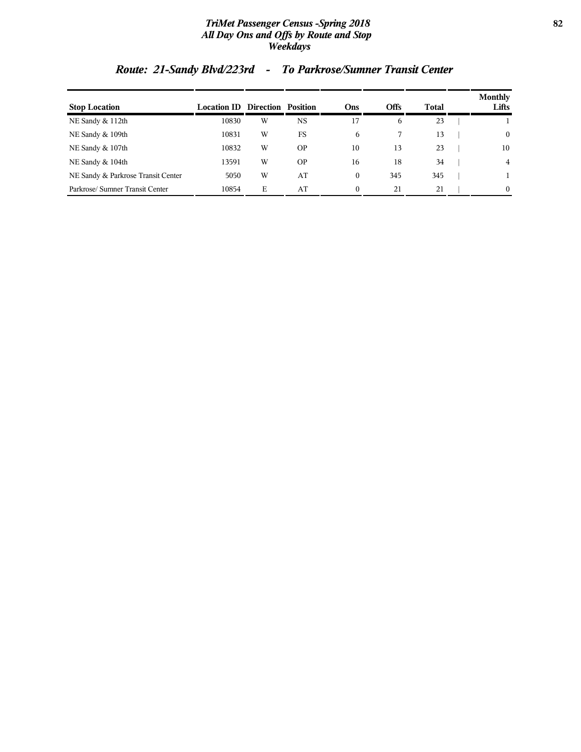### *TriMet Passenger Census -Spring 2018* **82** *All Day Ons and Offs by Route and Stop Weekdays*

# *Route: 21-Sandy Blvd/223rd - To Parkrose/Sumner Transit Center*

| <b>Stop Location</b>               | <b>Location ID Direction Position</b> |   |           | Ons      | Offs | Total | <b>Monthly</b><br>Lifts |
|------------------------------------|---------------------------------------|---|-----------|----------|------|-------|-------------------------|
| NE Sandy & 112th                   | 10830                                 | W | <b>NS</b> | 17       | 6    | 23    |                         |
| NE Sandy & 109th                   | 10831                                 | W | FS        | 6        |      | 13    | $\mathbf{0}$            |
| NE Sandy & 107th                   | 10832                                 | W | <b>OP</b> | 10       | 13   | 23    | 10                      |
| NE Sandy & 104th                   | 13591                                 | W | <b>OP</b> | 16       | 18   | 34    | 4                       |
| NE Sandy & Parkrose Transit Center | 5050                                  | W | AT        | $\Omega$ | 345  | 345   |                         |
| Parkrose/Sumner Transit Center     | 10854                                 | E | AT        | $\theta$ | 21   | 21    | $\Omega$                |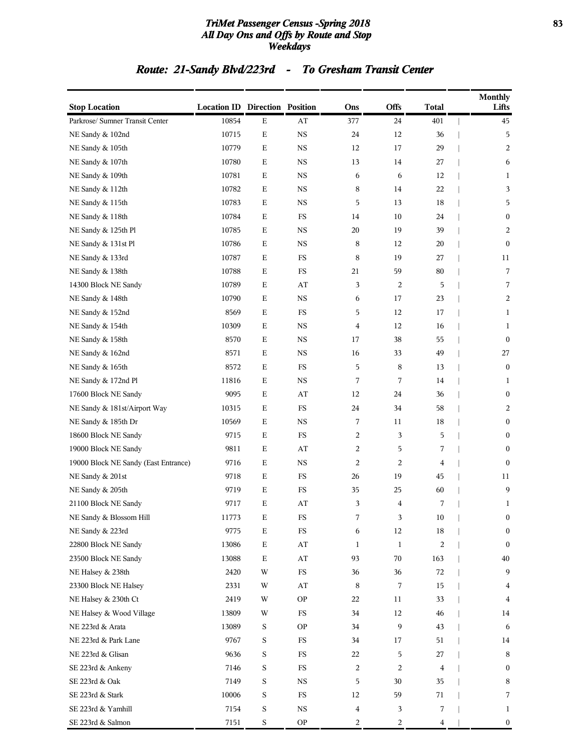### *TriMet Passenger Census -Spring 2018* **83** *All Day Ons and Offs by Route and Stop Weekdays*

# *Route: 21-Sandy Blvd/223rd - To Gresham Transit Center*

| <b>Stop Location</b>                 | <b>Location ID Direction Position</b> |             |                        | Ons | <b>Offs</b>             | <b>Total</b>   | <b>Monthly</b><br>Lifts |
|--------------------------------------|---------------------------------------|-------------|------------------------|-----|-------------------------|----------------|-------------------------|
| Parkrose/ Sumner Transit Center      | 10854                                 | ${\bf E}$   | $\mathbf{A}\mathbf{T}$ | 377 | 24                      | 401            | 45                      |
| NE Sandy & 102nd                     | 10715                                 | $\mathbf E$ | <b>NS</b>              | 24  | 12                      | 36             | 5                       |
| NE Sandy & 105th                     | 10779                                 | $\mathbf E$ | $_{\rm NS}$            | 12  | 17                      | 29             | $\overline{2}$          |
| NE Sandy & 107th                     | 10780                                 | Е           | <b>NS</b>              | 13  | 14                      | 27             | 6                       |
| NE Sandy & 109th                     | 10781                                 | $\mathbf E$ | <b>NS</b>              | 6   | 6                       | 12             | 1                       |
| NE Sandy & 112th                     | 10782                                 | $\mathbf E$ | <b>NS</b>              | 8   | 14                      | 22             | 3                       |
| NE Sandy & 115th                     | 10783                                 | $\mathbf E$ | <b>NS</b>              | 5   | 13                      | 18             | 5                       |
| NE Sandy & 118th                     | 10784                                 | $\mathbf E$ | ${\rm FS}$             | 14  | 10                      | 24             | $\boldsymbol{0}$        |
| NE Sandy & 125th Pl                  | 10785                                 | $\mathbf E$ | <b>NS</b>              | 20  | 19                      | 39             | 2                       |
| NE Sandy & 131st Pl                  | 10786                                 | $\mathbf E$ | <b>NS</b>              | 8   | 12                      | 20             | $\boldsymbol{0}$        |
| NE Sandy & 133rd                     | 10787                                 | $\mathbf E$ | FS                     | 8   | 19                      | 27             | 11                      |
| NE Sandy & 138th                     | 10788                                 | $\mathbf E$ | $_{\rm FS}$            | 21  | 59                      | 80             | $\overline{7}$          |
| 14300 Block NE Sandy                 | 10789                                 | $\mathbf E$ | AT                     | 3   | $\overline{c}$          | 5              | 7                       |
| NE Sandy & 148th                     | 10790                                 | $\mathbf E$ | <b>NS</b>              | 6   | 17                      | 23             | 2                       |
| NE Sandy & 152nd                     | 8569                                  | $\mathbf E$ | $_{\rm FS}$            | 5   | 12                      | 17             | 1                       |
| NE Sandy & 154th                     | 10309                                 | $\mathbf E$ | <b>NS</b>              | 4   | 12                      | 16             | 1                       |
| NE Sandy & 158th                     | 8570                                  | $\mathbf E$ | <b>NS</b>              | 17  | 38                      | 55             | $\boldsymbol{0}$        |
| NE Sandy & 162nd                     | 8571                                  | $\mathbf E$ | $_{\rm NS}$            | 16  | 33                      | 49             | 27                      |
| NE Sandy & 165th                     | 8572                                  | $\mathbf E$ | FS                     | 5   | 8                       | 13             | $\boldsymbol{0}$        |
| NE Sandy & 172nd Pl                  | 11816                                 | $\mathbf E$ | <b>NS</b>              | 7   | 7                       | 14             | 1                       |
| 17600 Block NE Sandy                 | 9095                                  | $\mathbf E$ | AT                     | 12  | 24                      | 36             | $\boldsymbol{0}$        |
| NE Sandy & 181st/Airport Way         | 10315                                 | $\mathbf E$ | $_{\rm FS}$            | 24  | 34                      | 58             | 2                       |
| NE Sandy & 185th Dr                  | 10569                                 | $\mathbf E$ | $_{\rm NS}$            | 7   | 11                      | 18             | $\boldsymbol{0}$        |
| 18600 Block NE Sandy                 | 9715                                  | $\mathbf E$ | FS                     | 2   | 3                       | 5              | $\boldsymbol{0}$        |
| 19000 Block NE Sandy                 | 9811                                  | $\mathbf E$ | AT                     | 2   | 5                       | 7              | $\boldsymbol{0}$        |
| 19000 Block NE Sandy (East Entrance) | 9716                                  | $\mathbf E$ | <b>NS</b>              | 2   | 2                       | 4              | $\boldsymbol{0}$        |
| NE Sandy & 201st                     | 9718                                  | $\mathbf E$ | $_{\rm FS}$            | 26  | 19                      | 45             | 11                      |
| NE Sandy & 205th                     | 9719                                  | $\mathbf E$ | <b>FS</b>              | 35  | 25                      | 60             | 9                       |
| 21100 Block NE Sandy                 | 9717                                  | Е           | AT                     | 3   | $\overline{\mathbf{4}}$ | 7              | 1                       |
| NE Sandy & Blossom Hill              | 11773                                 | Е           | FS                     | 7   | 3                       | 10             | $\bf{0}$                |
| NE Sandy & 223rd                     | 9775                                  | Е           | $_{\rm FS}$            | 6   | 12                      | 18             | $\bf{0}$                |
| 22800 Block NE Sandy                 | 13086                                 | $\mathbf E$ | AT                     | 1   | 1                       | $\overline{c}$ | $\bf{0}$                |
| 23500 Block NE Sandy                 | 13088                                 | $\mathbf E$ | AT                     | 93  | 70                      | 163            | 40                      |
| NE Halsey & 238th                    | 2420                                  | W           | $_{\rm FS}$            | 36  | 36                      | 72             | 9                       |
| 23300 Block NE Halsey                | 2331                                  | W           | AT                     | 8   | 7                       | 15             | 4                       |
| NE Halsey & 230th Ct                 | 2419                                  | W           | <b>OP</b>              | 22  | 11                      | 33             | 4                       |
| NE Halsey & Wood Village             | 13809                                 | W           | FS                     | 34  | 12                      | 46             | 14                      |
| NE 223rd & Arata                     | 13089                                 | S           | <b>OP</b>              | 34  | 9                       | 43             | 6                       |
| NE 223rd & Park Lane                 | 9767                                  | $\mathbf S$ | FS                     | 34  | 17                      | 51             | 14                      |
| NE 223rd & Glisan                    | 9636                                  | $\mathbf S$ | $_{\rm FS}$            | 22  | 5                       | 27             | 8                       |
| SE 223rd & Ankeny                    | 7146                                  | S           | $_{\rm FS}$            | 2   | $\overline{c}$          | 4              | $\bf{0}$                |
| SE 223rd & Oak                       | 7149                                  | $\mathbf S$ | NS                     | 5   | 30                      | 35             | 8                       |
| SE 223rd & Stark                     | 10006                                 | S           | FS                     | 12  | 59                      | 71             | 7                       |
| SE 223rd & Yamhill                   | 7154                                  | $\mathbf S$ | $_{\rm NS}$            | 4   | 3                       | 7              | 1                       |
| SE 223rd & Salmon                    | 7151                                  | $\mathbf S$ | <b>OP</b>              | 2   | 2                       | 4              | $\boldsymbol{0}$        |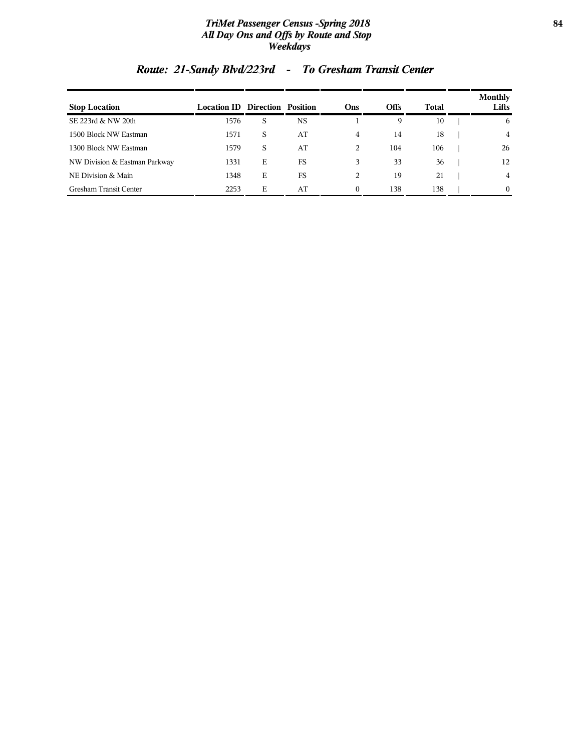### *TriMet Passenger Census -Spring 2018* **84** *All Day Ons and Offs by Route and Stop Weekdays*

| <b>Stop Location</b>          | <b>Location ID Direction Position</b> |   |           | <b>Ons</b>                    | <b>Offs</b> | Total | <b>Monthly</b><br>Lifts |
|-------------------------------|---------------------------------------|---|-----------|-------------------------------|-------------|-------|-------------------------|
| SE 223rd & NW 20th            | 1576                                  | S | <b>NS</b> |                               | 9           | 10    | 6                       |
| 1500 Block NW Eastman         | 1571                                  | S | AT        | 4                             | 14          | 18    | $\overline{4}$          |
| 1300 Block NW Eastman         | 1579                                  | S | AT        | $\mathfrak{D}_{\mathfrak{p}}$ | 104         | 106   | 26                      |
| NW Division & Eastman Parkway | 1331                                  | Е | FS        | 3                             | 33          | 36    | 12                      |
| NE Division & Main            | 1348                                  | Е | FS        | 2                             | 19          | 21    | $\overline{4}$          |
| Gresham Transit Center        | 2253                                  | Е | AT        | $\Omega$                      | 138         | 138   | $\theta$                |

# *Route: 21-Sandy Blvd/223rd - To Gresham Transit Center*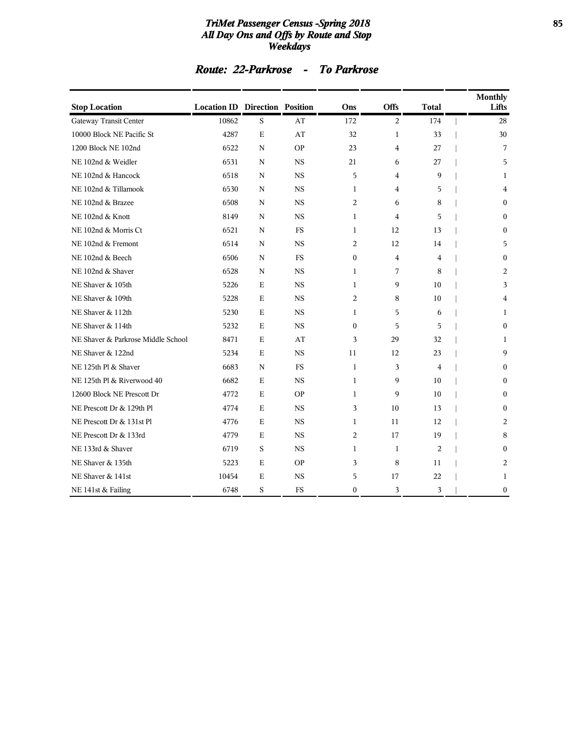### *TriMet Passenger Census -Spring 2018* **85** *All Day Ons and Offs by Route and Stop Weekdays*

### *Route: 22-Parkrose - To Parkrose*

| <b>Stop Location</b>               | <b>Location ID Direction Position</b> |             |           | Ons              | Offs           | <b>Total</b>   | <b>Monthly</b><br>Lifts |
|------------------------------------|---------------------------------------|-------------|-----------|------------------|----------------|----------------|-------------------------|
| Gateway Transit Center             | 10862                                 | S           | AT        | 172              | 2              | 174            | 28                      |
| 10000 Block NE Pacific St          | 4287                                  | $\mathbf E$ | AT        | 32               | $\mathbf{1}$   | 33             | 30                      |
| 1200 Block NE 102nd                | 6522                                  | N           | <b>OP</b> | 23               | $\overline{4}$ | 27             | 7                       |
| NE 102nd & Weidler                 | 6531                                  | N           | <b>NS</b> | 21               | 6              | 27             | 5                       |
| NE 102nd & Hancock                 | 6518                                  | N           | <b>NS</b> | 5                | $\overline{4}$ | 9              | 1                       |
| NE 102nd & Tillamook               | 6530                                  | N           | <b>NS</b> | 1                | $\overline{4}$ | 5              | 4                       |
| NE 102nd & Brazee                  | 6508                                  | N           | <b>NS</b> | 2                | 6              | 8              | $\mathbf{0}$            |
| NE 102nd & Knott                   | 8149                                  | N           | <b>NS</b> | 1                | $\overline{4}$ | 5              | $\Omega$                |
| NE 102nd & Morris Ct               | 6521                                  | N           | FS        | 1                | 12             | 13             | $\mathbf{0}$            |
| NE 102nd & Fremont                 | 6514                                  | N           | <b>NS</b> | 2                | 12             | 14             | 5                       |
| NE 102nd & Beech                   | 6506                                  | N           | <b>FS</b> | $\mathbf{0}$     | $\overline{4}$ | 4              | $\Omega$                |
| NE 102nd & Shaver                  | 6528                                  | N           | <b>NS</b> | 1                | 7              | 8              | 2                       |
| NE Shaver & 105th                  | 5226                                  | $\mathbf E$ | <b>NS</b> | 1                | 9              | 10             | 3                       |
| NE Shaver & 109th                  | 5228                                  | E           | <b>NS</b> | 2                | 8              | 10             | 4                       |
| NE Shaver & 112th                  | 5230                                  | E           | <b>NS</b> | $\mathbf{1}$     | 5              | 6              | 1                       |
| NE Shaver & 114th                  | 5232                                  | E           | <b>NS</b> | $\mathbf{0}$     | 5              | 5              | $\mathbf{0}$            |
| NE Shaver & Parkrose Middle School | 8471                                  | E           | AT        | 3                | 29             | 32             | 1                       |
| NE Shaver & 122nd                  | 5234                                  | $\mathbf E$ | <b>NS</b> | 11               | 12             | 23             | 9                       |
| NE 125th Pl & Shaver               | 6683                                  | N           | <b>FS</b> | $\mathbf{1}$     | 3              | 4              | $\Omega$                |
| NE 125th Pl & Riverwood 40         | 6682                                  | E           | <b>NS</b> | 1                | 9              | 10             | $\Omega$                |
| 12600 Block NE Prescott Dr         | 4772                                  | $\mathbf E$ | <b>OP</b> | $\mathbf{1}$     | 9              | 10             | $\mathbf{0}$            |
| NE Prescott Dr & 129th Pl          | 4774                                  | E           | <b>NS</b> | 3                | 10             | 13             | $\Omega$                |
| NE Prescott Dr & 131st Pl          | 4776                                  | E           | <b>NS</b> | 1                | 11             | 12             | 2                       |
| NE Prescott Dr & 133rd             | 4779                                  | Ε           | <b>NS</b> | 2                | 17             | 19             | 8                       |
| NE 133rd & Shaver                  | 6719                                  | S           | <b>NS</b> | 1                | 1              | $\overline{2}$ | $\mathbf{0}$            |
| NE Shaver & 135th                  | 5223                                  | E           | <b>OP</b> | 3                | 8              | 11             | 2                       |
| NE Shaver & 141st                  | 10454                                 | E           | <b>NS</b> | 5                | 17             | 22             | 1                       |
| NE 141st & Failing                 | 6748                                  | S           | <b>FS</b> | $\boldsymbol{0}$ | 3              | 3              | $\boldsymbol{0}$        |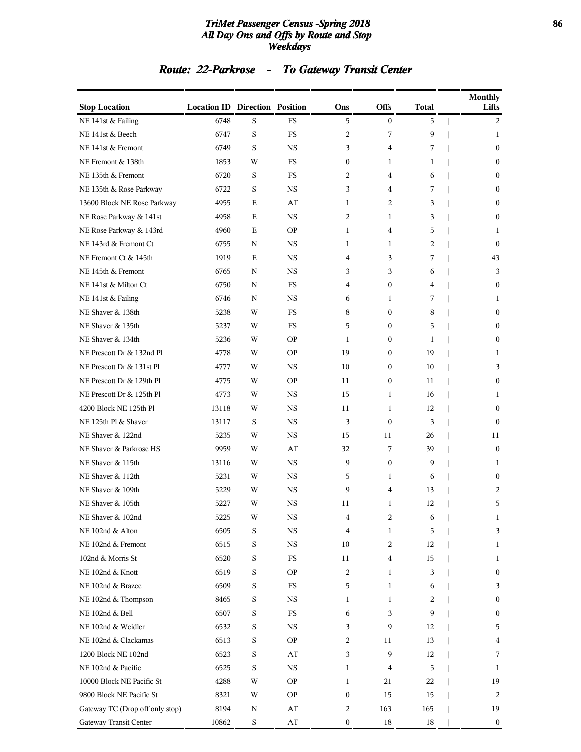### *TriMet Passenger Census -Spring 2018* **86** *All Day Ons and Offs by Route and Stop Weekdays*

# *Route: 22-Parkrose - To Gateway Transit Center*

| <b>Stop Location</b>            | <b>Location ID Direction Position</b> |             |             | Ons              | <b>Offs</b>      | <b>Total</b> | <b>Monthly</b><br>Lifts |
|---------------------------------|---------------------------------------|-------------|-------------|------------------|------------------|--------------|-------------------------|
| NE 141st & Failing              | 6748                                  | S           | <b>FS</b>   | 5                | $\mathbf{0}$     | 5            | 2                       |
| NE 141st & Beech                | 6747                                  | S           | <b>FS</b>   | 2                | 7                | 9            | 1                       |
| NE 141st & Fremont              | 6749                                  | S           | <b>NS</b>   | 3                | $\overline{4}$   | 7            | $\boldsymbol{0}$        |
| NE Fremont & 138th              | 1853                                  | W           | FS          | $\boldsymbol{0}$ | 1                | 1            | $\boldsymbol{0}$        |
| NE 135th & Fremont              | 6720                                  | S           | <b>FS</b>   | 2                | 4                | 6            | $\mathbf{0}$            |
| NE 135th & Rose Parkway         | 6722                                  | S           | <b>NS</b>   | 3                | 4                | 7            | $\mathbf{0}$            |
| 13600 Block NE Rose Parkway     | 4955                                  | Ε           | AT          | 1                | 2                | 3            | $\boldsymbol{0}$        |
| NE Rose Parkway & 141st         | 4958                                  | E           | <b>NS</b>   | 2                | 1                | 3            | $\boldsymbol{0}$        |
| NE Rose Parkway & 143rd         | 4960                                  | E           | <b>OP</b>   | 1                | 4                | 5            | 1                       |
| NE 143rd & Fremont Ct           | 6755                                  | N           | <b>NS</b>   | $\mathbf{1}$     | 1                | 2            | $\mathbf{0}$            |
| NE Fremont Ct & 145th           | 1919                                  | E           | <b>NS</b>   | 4                | 3                | 7            | 43                      |
| NE 145th & Fremont              | 6765                                  | N           | <b>NS</b>   | 3                | 3                | 6            | 3                       |
| NE 141st & Milton Ct            | 6750                                  | N           | <b>FS</b>   | 4                | $\mathbf{0}$     | 4            | $\boldsymbol{0}$        |
| NE 141st & Failing              | 6746                                  | N           | NS          | 6                | 1                | 7            | 1                       |
| NE Shaver & 138th               | 5238                                  | W           | <b>FS</b>   | 8                | $\boldsymbol{0}$ | 8            | $\mathbf{0}$            |
| NE Shaver & 135th               | 5237                                  | W           | <b>FS</b>   | 5                | $\mathbf{0}$     | 5            | $\mathbf{0}$            |
| NE Shaver & 134th               | 5236                                  | W           | <b>OP</b>   | 1                | 0                | 1            | $\boldsymbol{0}$        |
| NE Prescott Dr & 132nd Pl       | 4778                                  | W           | <b>OP</b>   | 19               | $\boldsymbol{0}$ | 19           | 1                       |
| NE Prescott Dr & 131st Pl       | 4777                                  | W           | NS          | 10               | 0                | 10           | 3                       |
| NE Prescott Dr & 129th Pl       | 4775                                  | W           | <b>OP</b>   | 11               | $\boldsymbol{0}$ | 11           | $\mathbf{0}$            |
| NE Prescott Dr & 125th Pl       | 4773                                  | W           | <b>NS</b>   | 15               | 1                | 16           | 1                       |
| 4200 Block NE 125th Pl          | 13118                                 | W           | <b>NS</b>   | 11               | 1                | 12           | $\boldsymbol{0}$        |
| NE 125th Pl & Shaver            | 13117                                 | S           | <b>NS</b>   | 3                | $\mathbf{0}$     | 3            | $\mathbf{0}$            |
| NE Shaver & 122nd               | 5235                                  | W           | NS          | 15               | 11               | 26           | 11                      |
| NE Shaver & Parkrose HS         | 9959                                  | W           | AT          | 32               | 7                | 39           | $\mathbf{0}$            |
| NE Shaver & 115th               | 13116                                 | W           | <b>NS</b>   | 9                | $\mathbf{0}$     | 9            | 1                       |
| NE Shaver & 112th               | 5231                                  | W           | <b>NS</b>   | 5                | 1                | 6            | $\boldsymbol{0}$        |
| NE Shaver & 109th               | 5229                                  | W           | <b>NS</b>   | 9                | 4                | 13           | 2                       |
| NE Shaver & 105th               | 5227                                  | W           | NS          | 11               | 1                | 12           | 5                       |
| NE Shaver & 102nd               | 5225                                  | W           | $_{\rm NS}$ | 4                | 2                | 6            | 1                       |
| NE 102nd & Alton                | 6505                                  | S           | <b>NS</b>   | 4                | 1                | 5            | 3                       |
| NE 102nd & Fremont              | 6515                                  | S           | $_{\rm NS}$ | 10               | 2                | 12           | 1                       |
| 102nd & Morris St               | 6520                                  | S           | $_{\rm FS}$ | 11               | 4                | 15           | 1                       |
| NE 102nd & Knott                | 6519                                  | S           | <b>OP</b>   | 2                | 1                | 3            | $\boldsymbol{0}$        |
| NE 102nd & Brazee               | 6509                                  | S           | $_{\rm FS}$ | 5                | 1                | 6            | 3                       |
| NE 102nd & Thompson             | 8465                                  | S           | NS          | 1                | 1                | 2            | $\boldsymbol{0}$        |
| NE 102nd & Bell                 | 6507                                  | S           | FS          | 6                | 3                | 9            | $\boldsymbol{0}$        |
| NE 102nd & Weidler              | 6532                                  | S           | $_{\rm NS}$ | 3                | 9                | 12           | 5                       |
| NE 102nd & Clackamas            | 6513                                  | $\mathbf S$ | <b>OP</b>   | 2                | 11               | 13           | 4                       |
| 1200 Block NE 102nd             | 6523                                  | $\mathbf S$ | AT          | 3                | 9                | 12           | 7                       |
| NE 102nd & Pacific              | 6525                                  | S           | $_{\rm NS}$ | 1                | 4                | 5            | 1                       |
| 10000 Block NE Pacific St       | 4288                                  | W           | <b>OP</b>   | 1                | 21               | 22           | 19                      |
| 9800 Block NE Pacific St        | 8321                                  | W           | <b>OP</b>   | $\boldsymbol{0}$ | 15               | 15           | 2                       |
| Gateway TC (Drop off only stop) | 8194                                  | N           | AT          | 2                | 163              | 165          | 19                      |
| Gateway Transit Center          | 10862                                 | $\mathbf S$ | AT          | $\boldsymbol{0}$ | 18               | 18           | $\bf{0}$                |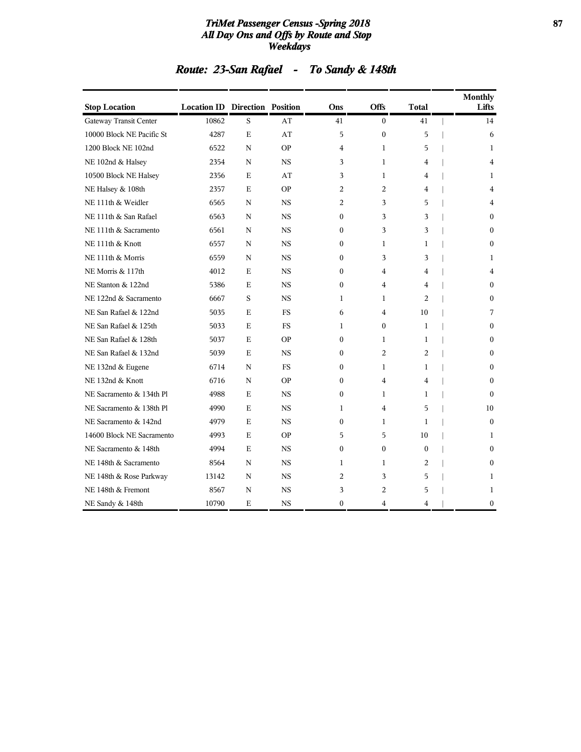### *TriMet Passenger Census -Spring 2018* **87** *All Day Ons and Offs by Route and Stop Weekdays*

| Route: 23-San Rafael | To Sandy & 148th |  |
|----------------------|------------------|--|
|                      |                  |  |

| <b>Stop Location</b>      | <b>Location ID Direction Position</b> |   |           | Ons              | <b>Offs</b>    | <b>Total</b> | <b>Monthly</b><br>Lifts |
|---------------------------|---------------------------------------|---|-----------|------------------|----------------|--------------|-------------------------|
| Gateway Transit Center    | 10862                                 | S | AT        | 41               | $\mathbf{0}$   | 41           | 14                      |
| 10000 Block NE Pacific St | 4287                                  | E | AT        | 5                | $\mathbf{0}$   | 5            | 6                       |
| 1200 Block NE 102nd       | 6522                                  | N | <b>OP</b> | 4                | $\mathbf{1}$   | 5            | 1                       |
| NE 102nd & Halsey         | 2354                                  | N | <b>NS</b> | 3                | $\mathbf{1}$   | 4            | 4                       |
| 10500 Block NE Halsey     | 2356                                  | Е | AT        | 3                | 1              | 4            | 1                       |
| NE Halsey & 108th         | 2357                                  | E | <b>OP</b> | 2                | 2              | 4            | $\overline{4}$          |
| NE 111th & Weidler        | 6565                                  | N | <b>NS</b> | 2                | 3              | 5            | 4                       |
| NE 111th & San Rafael     | 6563                                  | N | <b>NS</b> | $\mathbf{0}$     | 3              | 3            | $\mathbf{0}$            |
| NE 111th & Sacramento     | 6561                                  | N | <b>NS</b> | $\mathbf{0}$     | 3              | 3            | $\Omega$                |
| NE 111th & Knott          | 6557                                  | N | <b>NS</b> | $\Omega$         | $\mathbf{1}$   | $\mathbf{1}$ | $\Omega$                |
| NE 111th & Morris         | 6559                                  | N | <b>NS</b> | $\mathbf{0}$     | 3              | 3            | 1                       |
| NE Morris & 117th         | 4012                                  | E | <b>NS</b> | $\mathbf{0}$     | 4              | 4            | 4                       |
| NE Stanton & 122nd        | 5386                                  | E | <b>NS</b> | $\theta$         | 4              | 4            | $\Omega$                |
| NE 122nd & Sacramento     | 6667                                  | S | <b>NS</b> | 1                | 1              | 2            | $\mathbf{0}$            |
| NE San Rafael & 122nd     | 5035                                  | E | <b>FS</b> | 6                | 4              | 10           | 7                       |
| NE San Rafael & 125th     | 5033                                  | E | <b>FS</b> | $\mathbf{1}$     | $\theta$       | 1            | $\Omega$                |
| NE San Rafael & 128th     | 5037                                  | E | <b>OP</b> | $\mathbf{0}$     | $\mathbf{1}$   | 1            | $\theta$                |
| NE San Rafael & 132nd     | 5039                                  | E | <b>NS</b> | $\mathbf{0}$     | 2              | 2            | $\mathbf{0}$            |
| NE 132nd & Eugene         | 6714                                  | N | FS        | $\mathbf{0}$     | 1              | 1            | $\mathbf{0}$            |
| NE 132nd & Knott          | 6716                                  | N | <b>OP</b> | $\mathbf{0}$     | 4              | 4            | $\Omega$                |
| NE Sacramento & 134th Pl  | 4988                                  | E | <b>NS</b> | $\boldsymbol{0}$ | 1              | 1            | $\mathbf{0}$            |
| NE Sacramento & 138th Pl  | 4990                                  | E | <b>NS</b> | $\mathbf{1}$     | 4              | 5            | 10                      |
| NE Sacramento & 142nd     | 4979                                  | E | <b>NS</b> | $\Omega$         | 1              | $\mathbf{1}$ | $\theta$                |
| 14600 Block NE Sacramento | 4993                                  | E | <b>OP</b> | 5                | 5              | 10           | 1                       |
| NE Sacramento & 148th     | 4994                                  | E | <b>NS</b> | $\mathbf{0}$     | $\mathbf{0}$   | $\theta$     | $\Omega$                |
| NE 148th & Sacramento     | 8564                                  | N | <b>NS</b> | 1                | 1              | 2            | $\mathbf{0}$            |
| NE 148th & Rose Parkway   | 13142                                 | N | <b>NS</b> | $\overline{2}$   | 3              | 5            | 1                       |
| NE 148th & Fremont        | 8567                                  | N | <b>NS</b> | 3                | $\overline{c}$ | 5            | 1                       |
| NE Sandy & 148th          | 10790                                 | E | <b>NS</b> | $\mathbf{0}$     | 4              | 4            | $\boldsymbol{0}$        |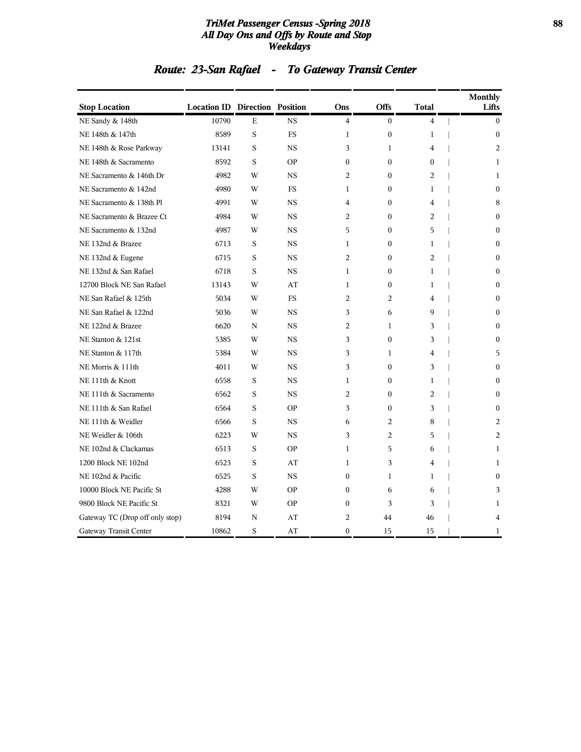### *TriMet Passenger Census -Spring 2018* **88** *All Day Ons and Offs by Route and Stop Weekdays*

# *Route: 23-San Rafael - To Gateway Transit Center*

| <b>Stop Location</b>            | <b>Location ID Direction Position</b> |   |           | Ons            | <b>Offs</b>      | Total          | <b>Monthly</b><br>Lifts |
|---------------------------------|---------------------------------------|---|-----------|----------------|------------------|----------------|-------------------------|
| NE Sandy & 148th                | 10790                                 | E | <b>NS</b> | 4              | $\mathbf{0}$     | $\overline{4}$ | $\mathbf{0}$            |
| NE 148th & 147th                | 8589                                  | S | <b>FS</b> | $\mathbf{1}$   | $\mathbf{0}$     | $\mathbf{1}$   | $\mathbf{0}$            |
| NE 148th & Rose Parkway         | 13141                                 | S | <b>NS</b> | 3              | $\mathbf{1}$     | $\overline{4}$ | $\overline{2}$          |
| NE 148th & Sacramento           | 8592                                  | S | <b>OP</b> | $\mathbf{0}$   | $\mathbf{0}$     | $\mathbf{0}$   | $\mathbf{1}$            |
| NE Sacramento & 146th Dr        | 4982                                  | W | <b>NS</b> | $\overline{2}$ | $\Omega$         | 2              | $\mathbf{1}$            |
| NE Sacramento & 142nd           | 4980                                  | W | <b>FS</b> | 1              | $\mathbf{0}$     | 1              | $\Omega$                |
| NE Sacramento & 138th Pl        | 4991                                  | W | <b>NS</b> | 4              | $\mathbf{0}$     | 4              | 8                       |
| NE Sacramento & Brazee Ct       | 4984                                  | W | <b>NS</b> | 2              | $\boldsymbol{0}$ | 2              | $\mathbf{0}$            |
| NE Sacramento & 132nd           | 4987                                  | W | <b>NS</b> | 5              | $\mathbf{0}$     | 5              | $\mathbf{0}$            |
| NE 132nd & Brazee               | 6713                                  | S | <b>NS</b> | 1              | $\boldsymbol{0}$ | 1              | $\mathbf{0}$            |
| NE 132nd & Eugene               | 6715                                  | S | <b>NS</b> | $\overline{2}$ | $\boldsymbol{0}$ | $\overline{2}$ | $\mathbf{0}$            |
| NE 132nd & San Rafael           | 6718                                  | S | <b>NS</b> | $\mathbf{1}$   | $\mathbf{0}$     | 1              | $\mathbf{0}$            |
| 12700 Block NE San Rafael       | 13143                                 | W | AT        | $\mathbf{1}$   | $\mathbf{0}$     | 1              | $\mathbf{0}$            |
| NE San Rafael & 125th           | 5034                                  | W | <b>FS</b> | 2              | 2                | $\overline{4}$ | $\mathbf{0}$            |
| NE San Rafael & 122nd           | 5036                                  | W | <b>NS</b> | 3              | 6                | 9              | $\mathbf{0}$            |
| NE 122nd & Brazee               | 6620                                  | N | <b>NS</b> | $\overline{2}$ | $\mathbf{1}$     | 3              | $\theta$                |
| NE Stanton & 121st              | 5385                                  | W | <b>NS</b> | 3              | $\mathbf{0}$     | 3              | $\theta$                |
| NE Stanton & 117th              | 5384                                  | W | <b>NS</b> | 3              | 1                | 4              | 5                       |
| NE Morris & 111th               | 4011                                  | W | <b>NS</b> | 3              | $\boldsymbol{0}$ | 3              | $\Omega$                |
| NE 111th & Knott                | 6558                                  | S | <b>NS</b> | $\mathbf{1}$   | $\mathbf{0}$     | 1              | $\mathbf{0}$            |
| NE 111th & Sacramento           | 6562                                  | S | <b>NS</b> | 2              | $\mathbf{0}$     | 2              | $\mathbf{0}$            |
| NE 111th & San Rafael           | 6564                                  | S | <b>OP</b> | 3              | $\boldsymbol{0}$ | 3              | $\mathbf{0}$            |
| NE 111th & Weidler              | 6566                                  | S | <b>NS</b> | 6              | 2                | 8              | 2                       |
| NE Weidler & 106th              | 6223                                  | W | <b>NS</b> | 3              | 2                | 5              | 2                       |
| NE 102nd & Clackamas            | 6513                                  | S | <b>OP</b> | $\mathbf{1}$   | 5                | 6              | 1                       |
| 1200 Block NE 102nd             | 6523                                  | S | AT        | $\mathbf{1}$   | 3                | 4              | 1                       |
| NE 102nd & Pacific              | 6525                                  | S | <b>NS</b> | $\mathbf{0}$   | $\mathbf{1}$     | $\mathbf{1}$   | $\theta$                |
| 10000 Block NE Pacific St       | 4288                                  | W | <b>OP</b> | $\theta$       | 6                | 6              | 3                       |
| 9800 Block NE Pacific St        | 8321                                  | W | OP        | $\theta$       | 3                | 3              | 1                       |
| Gateway TC (Drop off only stop) | 8194                                  | N | AT        | $\overline{c}$ | 44               | 46             | 4                       |
| Gateway Transit Center          | 10862                                 | S | AT        | $\mathbf{0}$   | 15               | 15             | 1                       |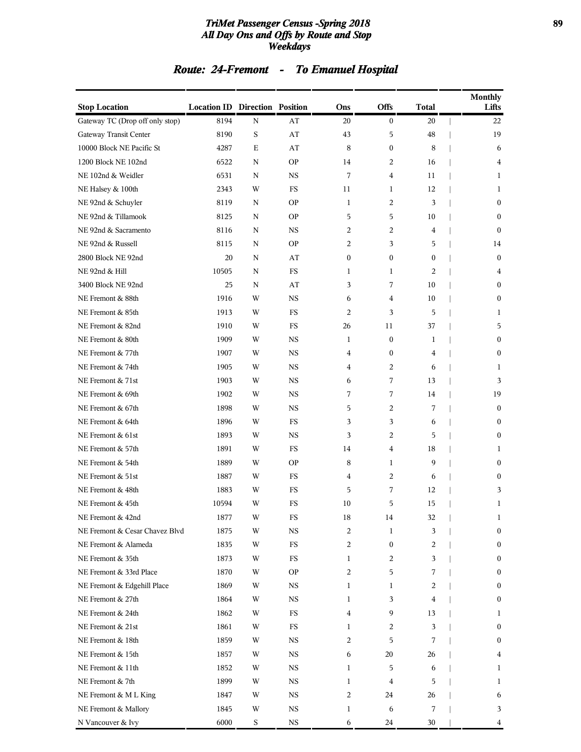### *TriMet Passenger Census -Spring 2018* **89** *All Day Ons and Offs by Route and Stop Weekdays*

# *Route: 24-Fremont - To Emanuel Hospital*

| <b>Stop Location</b>            | <b>Location ID Direction Position</b> |             |             | Ons            | <b>Offs</b>      | <b>Total</b> | <b>Monthly</b><br>Lifts |
|---------------------------------|---------------------------------------|-------------|-------------|----------------|------------------|--------------|-------------------------|
| Gateway TC (Drop off only stop) | 8194                                  | N           | AT          | 20             | $\boldsymbol{0}$ | 20           | 22                      |
| Gateway Transit Center          | 8190                                  | $\mathbf S$ | AT          | 43             | 5                | 48           | 19                      |
| 10000 Block NE Pacific St       | 4287                                  | E           | AT          | 8              | $\boldsymbol{0}$ | 8            | 6                       |
| 1200 Block NE 102nd             | 6522                                  | N           | <b>OP</b>   | 14             | 2                | 16           | 4                       |
| NE 102nd & Weidler              | 6531                                  | N           | <b>NS</b>   | 7              | 4                | 11           | 1                       |
| NE Halsey & 100th               | 2343                                  | W           | FS          | 11             | 1                | 12           | 1                       |
| NE 92nd & Schuyler              | 8119                                  | N           | <b>OP</b>   | 1              | 2                | 3            | $\bf{0}$                |
| NE 92nd & Tillamook             | 8125                                  | N           | <b>OP</b>   | 5              | 5                | 10           | $\boldsymbol{0}$        |
| NE 92nd & Sacramento            | 8116                                  | N           | <b>NS</b>   | 2              | 2                | 4            | $\mathbf{0}$            |
| NE 92nd & Russell               | 8115                                  | N           | <b>OP</b>   | 2              | 3                | 5            | 14                      |
| 2800 Block NE 92nd              | 20                                    | N           | AT          | $\mathbf{0}$   | $\boldsymbol{0}$ | $\mathbf{0}$ | $\mathbf{0}$            |
| NE 92nd & Hill                  | 10505                                 | N           | <b>FS</b>   | 1              | 1                | 2            | 4                       |
| 3400 Block NE 92nd              | 25                                    | N           | AT          | 3              | 7                | 10           | $\boldsymbol{0}$        |
| NE Fremont & 88th               | 1916                                  | W           | <b>NS</b>   | 6              | 4                | 10           | $\boldsymbol{0}$        |
| NE Fremont & 85th               | 1913                                  | W           | FS          | $\overline{2}$ | 3                | 5            | 1                       |
| NE Fremont & 82nd               | 1910                                  | W           | FS          | 26             | 11               | 37           | 5                       |
| NE Fremont & 80th               | 1909                                  | W           | <b>NS</b>   | 1              | $\boldsymbol{0}$ | 1            | $\boldsymbol{0}$        |
| NE Fremont & 77th               | 1907                                  | W           | <b>NS</b>   | 4              | $\boldsymbol{0}$ | 4            | $\boldsymbol{0}$        |
| NE Fremont & 74th               | 1905                                  | W           | <b>NS</b>   | 4              | 2                | 6            | 1                       |
| NE Fremont & 71st               | 1903                                  | W           | <b>NS</b>   | 6              | 7                | 13           | 3                       |
| NE Fremont & 69th               | 1902                                  | W           | <b>NS</b>   | 7              | 7                | 14           | 19                      |
| NE Fremont & 67th               | 1898                                  | W           | <b>NS</b>   | 5              | 2                | 7            | $\boldsymbol{0}$        |
| NE Fremont & 64th               | 1896                                  | W           | <b>FS</b>   | 3              | 3                | 6            | $\boldsymbol{0}$        |
| NE Fremont & 61st               | 1893                                  | W           | <b>NS</b>   | 3              | 2                | 5            | $\boldsymbol{0}$        |
| NE Fremont & 57th               | 1891                                  | W           | FS          | 14             | 4                | 18           | 1                       |
| NE Fremont & 54th               | 1889                                  | W           | <b>OP</b>   | 8              | $\mathbf{1}$     | 9            | $\mathbf{0}$            |
| NE Fremont & 51st               | 1887                                  | W           | $_{\rm FS}$ | 4              | 2                | 6            | $\bf{0}$                |
| NE Fremont & 48th               | 1883                                  | W           | FS          | 5              | 7                | 12           | 3                       |
| NE Fremont & 45th               | 10594                                 | W           | FS          | 10             | 5                | 15           | 1                       |
| NE Fremont & 42nd               | 1877                                  | W           | ${\rm FS}$  | $18\,$         | 14               | 32           | 1                       |
| NE Fremont & Cesar Chavez Blvd  | 1875                                  | W           | $_{\rm NS}$ | 2              | $\mathbf{1}$     | 3            | $\bf{0}$                |
| NE Fremont & Alameda            | 1835                                  | W           | $_{\rm FS}$ | 2              | $\boldsymbol{0}$ | 2            | $\bf{0}$                |
| NE Fremont & 35th               | 1873                                  | W           | $_{\rm FS}$ | 1              | 2                | 3            | $\bf{0}$                |
| NE Fremont & 33rd Place         | 1870                                  | W           | <b>OP</b>   | 2              | 5                | 7            | $\bf{0}$                |
| NE Fremont & Edgehill Place     | 1869                                  | W           | $_{\rm NS}$ | $\mathbf{1}$   | 1                | 2            | $\bf{0}$                |
| NE Fremont & 27th               | 1864                                  | W           | $_{\rm NS}$ | 1              | 3                | 4            | $\bf{0}$                |
| NE Fremont & 24th               | 1862                                  | W           | FS          | 4              | 9                | 13           | 1                       |
| NE Fremont & 21st               | 1861                                  | W           | $_{\rm FS}$ | 1              | 2                | 3            | $\bf{0}$                |
| NE Fremont & 18th               | 1859                                  | W           | NS          | 2              | 5                | 7            | $\bf{0}$                |
| NE Fremont & 15th               | 1857                                  | W           | $_{\rm NS}$ | 6              | 20               | 26           | 4                       |
| NE Fremont & 11th               | 1852                                  | W           | $_{\rm NS}$ | 1              | 5                | 6            | 1                       |
| NE Fremont & 7th                | 1899                                  | W           | NS          | 1              | 4                | 5            | 1                       |
| NE Fremont & M L King           | 1847                                  | W           | $_{\rm NS}$ | 2              | 24               | 26           | 6                       |
| NE Fremont & Mallory            | 1845                                  | W           | NS          | 1              | 6                | 7            | 3                       |
| N Vancouver & Ivy               | 6000                                  | $\mathbf S$ | $_{\rm NS}$ | 6              | 24               | 30           | 4                       |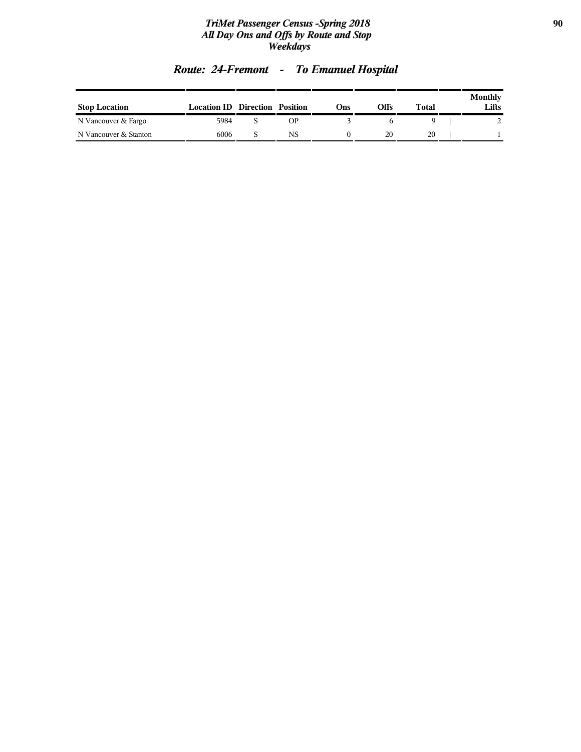### *TriMet Passenger Census -Spring 2018* **90** *All Day Ons and Offs by Route and Stop Weekdays*

| <b>Stop Location</b>  | <b>Location ID Direction Position</b> |           | Ons) | Offs | Total | Monthly<br>Lifts |
|-----------------------|---------------------------------------|-----------|------|------|-------|------------------|
| N Vancouver & Fargo   | 5984                                  | <b>OP</b> |      |      |       |                  |
| N Vancouver & Stanton | 6006                                  | NS        |      | 20   | 20    |                  |

# *Route: 24-Fremont - To Emanuel Hospital*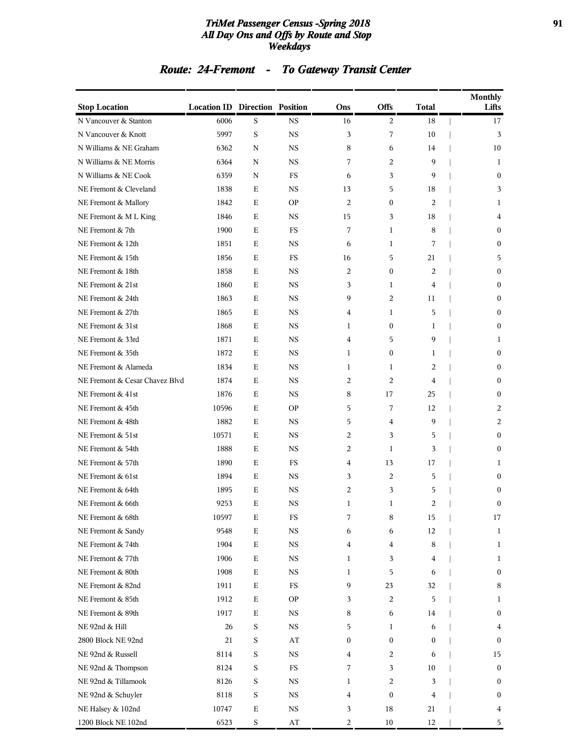### *TriMet Passenger Census -Spring 2018* **91** *All Day Ons and Offs by Route and Stop Weekdays*

# *Route: 24-Fremont - To Gateway Transit Center*

| <b>Stop Location</b>           | <b>Location ID Direction Position</b> |             |                        | Ons              | Offs             | <b>Total</b> | <b>Monthly</b><br>Lifts |
|--------------------------------|---------------------------------------|-------------|------------------------|------------------|------------------|--------------|-------------------------|
| N Vancouver & Stanton          | 6006                                  | S           | $_{\rm NS}$            | 16               | 2                | 18           | 17                      |
| N Vancouver & Knott            | 5997                                  | S           | <b>NS</b>              | 3                | 7                | 10           | 3                       |
| N Williams & NE Graham         | 6362                                  | N           | <b>NS</b>              | 8                | 6                | 14           | 10                      |
| N Williams & NE Morris         | 6364                                  | N           | <b>NS</b>              | 7                | 2                | 9            | 1                       |
| N Williams & NE Cook           | 6359                                  | N           | FS                     | 6                | 3                | 9            | $\mathbf{0}$            |
| NE Fremont & Cleveland         | 1838                                  | Е           | <b>NS</b>              | 13               | 5                | 18           | 3                       |
| NE Fremont & Mallory           | 1842                                  | E           | <b>OP</b>              | 2                | $\boldsymbol{0}$ | 2            | 1                       |
| NE Fremont & M L King          | 1846                                  | Е           | <b>NS</b>              | 15               | 3                | 18           | 4                       |
| NE Fremont & 7th               | 1900                                  | E           | <b>FS</b>              | 7                | $\mathbf{1}$     | 8            | $\mathbf{0}$            |
| NE Fremont & 12th              | 1851                                  | Е           | NS                     | 6                | 1                | 7            | $\boldsymbol{0}$        |
| NE Fremont & 15th              | 1856                                  | E           | FS                     | 16               | 5                | 21           | 5                       |
| NE Fremont & 18th              | 1858                                  | E           | <b>NS</b>              | 2                | $\boldsymbol{0}$ | 2            | $\boldsymbol{0}$        |
| NE Fremont & 21st              | 1860                                  | E           | <b>NS</b>              | 3                | 1                | 4            | $\boldsymbol{0}$        |
| NE Fremont & 24th              | 1863                                  | E           | <b>NS</b>              | 9                | 2                | 11           | $\mathbf{0}$            |
| NE Fremont & 27th              | 1865                                  | Е           | NS                     | 4                | 1                | 5            | $\boldsymbol{0}$        |
| NE Fremont & 31st              | 1868                                  | Е           | <b>NS</b>              | 1                | $\boldsymbol{0}$ | 1            | $\boldsymbol{0}$        |
| NE Fremont & 33rd              | 1871                                  | E           | <b>NS</b>              | $\overline{4}$   | 5                | 9            | 1                       |
| NE Fremont & 35th              | 1872                                  | Ε           | <b>NS</b>              | 1                | 0                | 1            | $\boldsymbol{0}$        |
| NE Fremont & Alameda           | 1834                                  | E           | <b>NS</b>              | $\mathbf{1}$     | $\mathbf{1}$     | 2            | $\mathbf{0}$            |
| NE Fremont & Cesar Chavez Blvd | 1874                                  | Е           | NS                     | 2                | 2                | 4            | $\boldsymbol{0}$        |
| NE Fremont & 41st              | 1876                                  | E           | <b>NS</b>              | 8                | 17               | 25           | $\boldsymbol{0}$        |
| NE Fremont & 45th              | 10596                                 | E           | <b>OP</b>              | 5                | 7                | 12           | 2                       |
| NE Fremont & 48th              | 1882                                  | Ε           | <b>NS</b>              | 5                | 4                | 9            | 2                       |
| NE Fremont & 51st              | 10571                                 | E           | <b>NS</b>              | 2                | 3                | 5            | $\mathbf{0}$            |
| NE Fremont & 54th              | 1888                                  | Е           | NS                     | 2                | 1                | 3            | $\boldsymbol{0}$        |
| NE Fremont & 57th              | 1890                                  | E           | <b>FS</b>              | 4                | 13               | 17           | 1                       |
| NE Fremont & 61st              | 1894                                  | E           | <b>NS</b>              | 3                | 2                | 5            | $\mathbf{0}$            |
| NE Fremont & 64th              | 1895                                  | Ε           | <b>NS</b>              | 2                | 3                | 5            | $\boldsymbol{0}$        |
| NE Fremont & 66th              | 9253                                  | E           | <b>NS</b>              | $\mathbf{1}$     | $\mathbf{1}$     | 2            | $\mathbf{0}$            |
| NE Fremont & 68th              | 10597                                 | Ε           | FS                     | 7                | 8                | 15           | 17                      |
| NE Fremont & Sandy             | 9548                                  | $\mathbf E$ | $_{\rm NS}$            | 6                | 6                | 12           | 1                       |
| NE Fremont & 74th              | 1904                                  | $\mathbf E$ | $_{\rm NS}$            | 4                | $\overline{4}$   | 8            | 1                       |
| NE Fremont & 77th              | 1906                                  | $\mathbf E$ | $_{\rm NS}$            | 1                | 3                | 4            | 1                       |
| NE Fremont & 80th              | 1908                                  | $\mathbf E$ | $_{\rm NS}$            | $\mathbf{1}$     | 5                | 6            | $\boldsymbol{0}$        |
| NE Fremont & 82nd              | 1911                                  | $\mathbf E$ | $_{\rm FS}$            | 9                | 23               | 32           | 8                       |
| NE Fremont & 85th              | 1912                                  | $\mathbf E$ | $\mathbf{OP}$          | 3                | $\overline{c}$   | 5            | 1                       |
| NE Fremont & 89th              | 1917                                  | $\mathbf E$ | $_{\rm NS}$            | 8                | 6                | 14           | $\boldsymbol{0}$        |
| NE 92nd & Hill                 | 26                                    | $\mathbf S$ | $_{\rm NS}$            | 5                | 1                | 6            | 4                       |
| 2800 Block NE 92nd             | 21                                    | $\mathbf S$ | $\bf AT$               | $\boldsymbol{0}$ | $\boldsymbol{0}$ | 0            | $\boldsymbol{0}$        |
| NE 92nd & Russell              | 8114                                  | $\mathbf S$ | $_{\rm NS}$            | 4                | 2                | 6            | 15                      |
| NE 92nd & Thompson             | 8124                                  | $\mathbf S$ | ${\rm FS}$             | 7                | 3                | 10           | $\boldsymbol{0}$        |
| NE 92nd & Tillamook            | 8126                                  | $\mathbf S$ | $_{\rm NS}$            | 1                | 2                | 3            | $\boldsymbol{0}$        |
| NE 92nd & Schuyler             | 8118                                  | $\mathbf S$ | $_{\rm NS}$            | 4                | $\boldsymbol{0}$ | 4            | $\boldsymbol{0}$        |
| NE Halsey & 102nd              | 10747                                 | $\mathbf E$ | $_{\rm NS}$            | 3                | 18               | 21           | 4                       |
| 1200 Block NE 102nd            | 6523                                  | $\mathbf S$ | $\mathbf{A}\mathbf{T}$ | 2                | 10               | 12           | 5                       |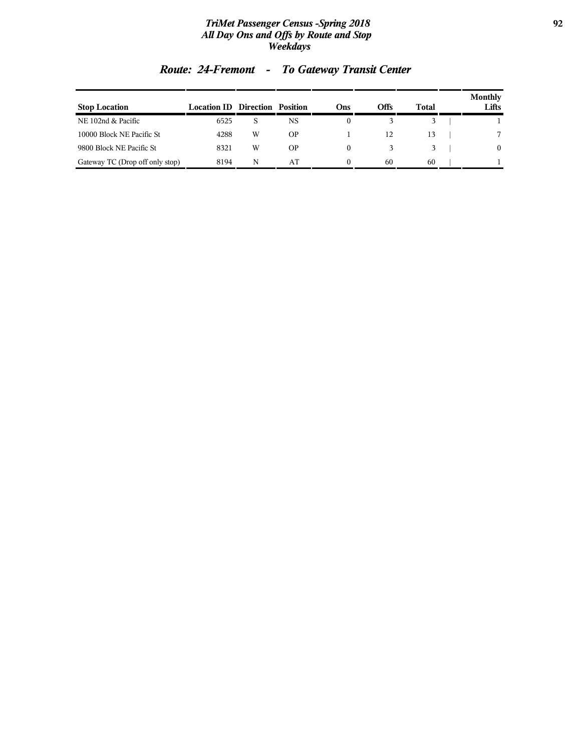### *TriMet Passenger Census -Spring 2018* **92** *All Day Ons and Offs by Route and Stop Weekdays*

| <b>Stop Location</b>            | <b>Location ID</b> | <b>Direction Position</b> |           | Ons | Offs | Total | Monthly<br>Lifts |
|---------------------------------|--------------------|---------------------------|-----------|-----|------|-------|------------------|
| NE 102nd & Pacific              | 6525               | S                         | NS        |     |      |       |                  |
| 10000 Block NE Pacific St       | 4288               | W                         | <b>OP</b> |     | 12   | 13    |                  |
| 9800 Block NE Pacific St        | 8321               | W                         | <b>OP</b> | 0   |      |       | $\theta$         |
| Gateway TC (Drop off only stop) | 8194               | N                         | AT        |     | 60   | 60    |                  |

# *Route: 24-Fremont - To Gateway Transit Center*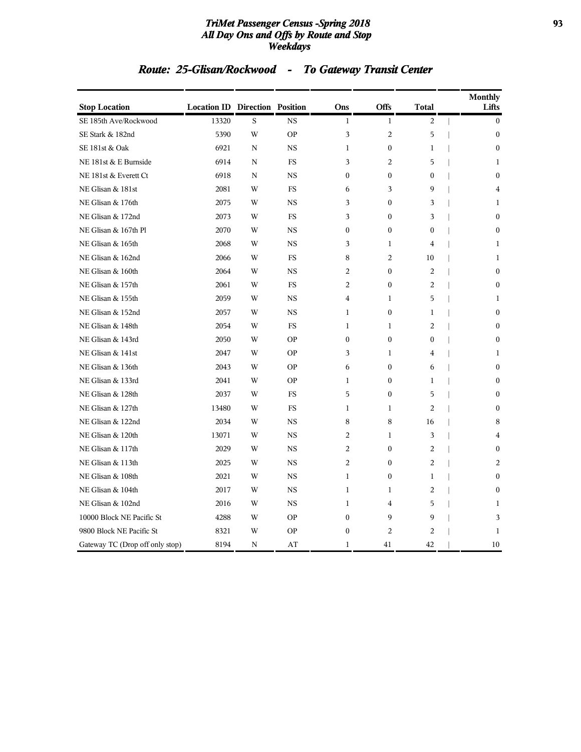### *TriMet Passenger Census -Spring 2018* **93** *All Day Ons and Offs by Route and Stop Weekdays*

# *Route: 25-Glisan/Rockwood - To Gateway Transit Center*

| <b>Stop Location</b>            | <b>Location ID Direction Position</b> |   |           | Ons              | Offs             | Total            | <b>Monthly</b><br>Lifts |
|---------------------------------|---------------------------------------|---|-----------|------------------|------------------|------------------|-------------------------|
| SE 185th Ave/Rockwood           | 13320                                 | S | <b>NS</b> | $\mathbf{1}$     | $\mathbf{1}$     | 2                | $\mathbf{0}$            |
| SE Stark & 182nd                | 5390                                  | W | <b>OP</b> | 3                | 2                | 5                | $\mathbf{0}$            |
| SE 181st & Oak                  | 6921                                  | N | <b>NS</b> | $\mathbf{1}$     | $\boldsymbol{0}$ | $\mathbf{1}$     | $\mathbf{0}$            |
| NE 181st & E Burnside           | 6914                                  | N | FS        | 3                | $\overline{c}$   | 5                | 1                       |
| NE 181st & Everett Ct           | 6918                                  | N | <b>NS</b> | $\mathbf{0}$     | $\boldsymbol{0}$ | $\boldsymbol{0}$ | $\mathbf{0}$            |
| NE Glisan & 181st               | 2081                                  | W | <b>FS</b> | 6                | 3                | 9                | $\overline{4}$          |
| NE Glisan & 176th               | 2075                                  | W | <b>NS</b> | 3                | $\boldsymbol{0}$ | 3                | 1                       |
| NE Glisan & 172nd               | 2073                                  | W | FS        | 3                | $\mathbf{0}$     | 3                | $\mathbf{0}$            |
| NE Glisan & 167th Pl            | 2070                                  | W | <b>NS</b> | $\mathbf{0}$     | $\mathbf{0}$     | $\mathbf{0}$     | $\theta$                |
| NE Glisan & 165th               | 2068                                  | W | <b>NS</b> | 3                | $\mathbf{1}$     | 4                | 1                       |
| NE Glisan & 162nd               | 2066                                  | W | <b>FS</b> | 8                | $\overline{2}$   | 10               | $\mathbf{1}$            |
| NE Glisan & 160th               | 2064                                  | W | <b>NS</b> | 2                | $\boldsymbol{0}$ | $\overline{c}$   | $\mathbf{0}$            |
| NE Glisan & 157th               | 2061                                  | W | FS        | 2                | $\boldsymbol{0}$ | 2                | $\mathbf{0}$            |
| NE Glisan & 155th               | 2059                                  | W | NS        | 4                | $\mathbf{1}$     | 5                | 1                       |
| NE Glisan & 152nd               | 2057                                  | W | <b>NS</b> | $\mathbf{1}$     | $\mathbf{0}$     | 1                | $\theta$                |
| NE Glisan & 148th               | 2054                                  | W | <b>FS</b> | $\mathbf{1}$     | $\mathbf{1}$     | $\overline{c}$   | $\theta$                |
| NE Glisan & 143rd               | 2050                                  | W | <b>OP</b> | $\boldsymbol{0}$ | $\boldsymbol{0}$ | $\boldsymbol{0}$ | $\mathbf{0}$            |
| NE Glisan & 141st               | 2047                                  | W | <b>OP</b> | 3                | 1                | 4                | 1                       |
| NE Glisan & 136th               | 2043                                  | W | <b>OP</b> | 6                | $\boldsymbol{0}$ | 6                | $\mathbf{0}$            |
| NE Glisan & 133rd               | 2041                                  | W | <b>OP</b> | $\mathbf{1}$     | $\mathbf{0}$     | 1                | $\mathbf{0}$            |
| NE Glisan & 128th               | 2037                                  | W | <b>FS</b> | 5                | $\Omega$         | 5                | $\theta$                |
| NE Glisan & 127th               | 13480                                 | W | <b>FS</b> | $\mathbf{1}$     | $\mathbf{1}$     | $\overline{c}$   | $\theta$                |
| NE Glisan & 122nd               | 2034                                  | W | <b>NS</b> | 8                | 8                | 16               | 8                       |
| NE Glisan & 120th               | 13071                                 | W | NS        | 2                | 1                | 3                | 4                       |
| NE Glisan & 117th               | 2029                                  | W | <b>NS</b> | $\overline{2}$   | $\boldsymbol{0}$ | 2                | $\mathbf{0}$            |
| NE Glisan & 113th               | 2025                                  | W | <b>NS</b> | $\overline{2}$   | $\mathbf{0}$     | $\overline{c}$   | $\overline{c}$          |
| NE Glisan & 108th               | 2021                                  | W | <b>NS</b> | $\mathbf{1}$     | $\mathbf{0}$     | $\mathbf{1}$     | $\mathbf{0}$            |
| NE Glisan & 104th               | 2017                                  | W | <b>NS</b> | $\mathbf{1}$     | $\mathbf{1}$     | $\overline{c}$   | $\mathbf{0}$            |
| NE Glisan & 102nd               | 2016                                  | W | <b>NS</b> | $\mathbf{1}$     | 4                | 5                | 1                       |
| 10000 Block NE Pacific St       | 4288                                  | W | <b>OP</b> | $\boldsymbol{0}$ | 9                | 9                | 3                       |
| 9800 Block NE Pacific St        | 8321                                  | W | <b>OP</b> | $\mathbf{0}$     | 2                | $\overline{2}$   | 1                       |
| Gateway TC (Drop off only stop) | 8194                                  | N | AT        | $\mathbf{1}$     | 41               | 42               | 10                      |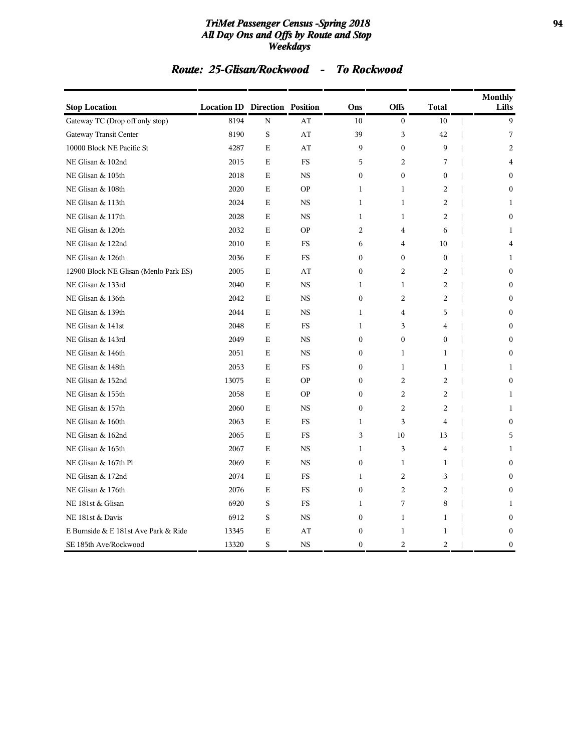### *TriMet Passenger Census -Spring 2018* **94** *All Day Ons and Offs by Route and Stop Weekdays*

### *Route: 25-Glisan/Rockwood - To Rockwood*

| <b>Stop Location</b>                  | <b>Location ID Direction Position</b> |             |             | Ons              | Offs             | <b>Total</b>   | <b>Monthly</b><br>Lifts |
|---------------------------------------|---------------------------------------|-------------|-------------|------------------|------------------|----------------|-------------------------|
| Gateway TC (Drop off only stop)       | 8194                                  | $\mathbf N$ | AT          | 10               | $\overline{0}$   | 10             | 9                       |
| Gateway Transit Center                | 8190                                  | S           | AT          | 39               | 3                | 42             | 7                       |
| 10000 Block NE Pacific St             | 4287                                  | Ε           | AT          | 9                | $\boldsymbol{0}$ | 9              | 2                       |
| NE Glisan & 102nd                     | 2015                                  | E           | FS          | 5                | 2                | 7              | 4                       |
| NE Glisan & 105th                     | 2018                                  | $\mathbf E$ | $_{\rm NS}$ | $\mathbf{0}$     | $\overline{0}$   | $\mathbf{0}$   | $\Omega$                |
| NE Glisan & 108th                     | 2020                                  | $\mathbf E$ | <b>OP</b>   | $\mathbf{1}$     | $\mathbf{1}$     | $\overline{c}$ | $\mathbf{0}$            |
| NE Glisan & 113th                     | 2024                                  | E           | <b>NS</b>   | 1                | 1                | 2              | 1                       |
| NE Glisan & 117th                     | 2028                                  | E           | <b>NS</b>   | $\mathbf{1}$     | $\mathbf{1}$     | 2              | $\mathbf{0}$            |
| NE Glisan & 120th                     | 2032                                  | $\mathbf E$ | <b>OP</b>   | $\overline{2}$   | $\overline{4}$   | 6              | $\mathbf{1}$            |
| NE Glisan & 122nd                     | 2010                                  | $\mathbf E$ | <b>FS</b>   | 6                | $\overline{4}$   | 10             | 4                       |
| NE Glisan & 126th                     | 2036                                  | E           | <b>FS</b>   | $\mathbf{0}$     | $\mathbf{0}$     | $\mathbf{0}$   | 1                       |
| 12900 Block NE Glisan (Menlo Park ES) | 2005                                  | E           | AT          | $\mathbf{0}$     | 2                | 2              | $\Omega$                |
| NE Glisan & 133rd                     | 2040                                  | $\mathbf E$ | $_{\rm NS}$ | $\mathbf{1}$     | $\mathbf{1}$     | 2              | $\boldsymbol{0}$        |
| NE Glisan & 136th                     | 2042                                  | E           | <b>NS</b>   | $\mathbf{0}$     | $\overline{c}$   | 2              | $\mathbf{0}$            |
| NE Glisan & 139th                     | 2044                                  | E           | <b>NS</b>   | $\mathbf{1}$     | $\overline{4}$   | 5              | $\mathbf{0}$            |
| NE Glisan & 141st                     | 2048                                  | $\mathbf E$ | <b>FS</b>   | $\mathbf{1}$     | 3                | $\overline{4}$ | $\Omega$                |
| NE Glisan & 143rd                     | 2049                                  | $\mathbf E$ | $_{\rm NS}$ | $\boldsymbol{0}$ | $\boldsymbol{0}$ | $\mathbf{0}$   | $\mathbf{0}$            |
| NE Glisan & 146th                     | 2051                                  | E           | <b>NS</b>   | $\boldsymbol{0}$ | 1                | 1              | $\boldsymbol{0}$        |
| NE Glisan & 148th                     | 2053                                  | E           | <b>FS</b>   | $\mathbf{0}$     | $\mathbf{1}$     | 1              | $\mathbf{1}$            |
| NE Glisan & 152nd                     | 13075                                 | $\mathbf E$ | <b>OP</b>   | $\boldsymbol{0}$ | $\overline{c}$   | 2              | $\boldsymbol{0}$        |
| NE Glisan & 155th                     | 2058                                  | $\mathbf E$ | <b>OP</b>   | $\mathbf{0}$     | $\overline{c}$   | 2              | 1                       |
| NE Glisan & 157th                     | 2060                                  | Е           | <b>NS</b>   | $\mathbf{0}$     | 2                | 2              | 1                       |
| NE Glisan & 160th                     | 2063                                  | $\mathbf E$ | <b>FS</b>   | $\mathbf{1}$     | 3                | $\overline{4}$ | $\boldsymbol{0}$        |
| NE Glisan & 162nd                     | 2065                                  | $\mathbf E$ | <b>FS</b>   | 3                | 10               | 13             | 5                       |
| NE Glisan & 165th                     | 2067                                  | E           | <b>NS</b>   | 1                | 3                | $\overline{4}$ | 1                       |
| NE Glisan & 167th Pl                  | 2069                                  | $\mathbf E$ | <b>NS</b>   | $\mathbf{0}$     | $\mathbf{1}$     | $\mathbf{1}$   | $\mathbf{0}$            |
| NE Glisan & 172nd                     | 2074                                  | E           | $_{\rm FS}$ | $\mathbf{1}$     | $\overline{c}$   | 3              | $\Omega$                |
| NE Glisan & 176th                     | 2076                                  | $\mathbf E$ | <b>FS</b>   | $\boldsymbol{0}$ | $\overline{c}$   | $\overline{2}$ | $\mathbf{0}$            |
| NE 181st & Glisan                     | 6920                                  | S           | <b>FS</b>   | $\mathbf{1}$     | 7                | 8              | 1                       |
| NE 181st & Davis                      | 6912                                  | S           | <b>NS</b>   | $\boldsymbol{0}$ | $\mathbf{1}$     | $\mathbf{1}$   | $\mathbf{0}$            |
| E Burnside & E 181st Ave Park & Ride  | 13345                                 | Ε           | AT          | $\boldsymbol{0}$ | $\mathbf 1$      | $\mathbf 1$    | $\boldsymbol{0}$        |
| SE 185th Ave/Rockwood                 | 13320                                 | S           | <b>NS</b>   | $\mathbf{0}$     | 2                | 2              | $\mathbf{0}$            |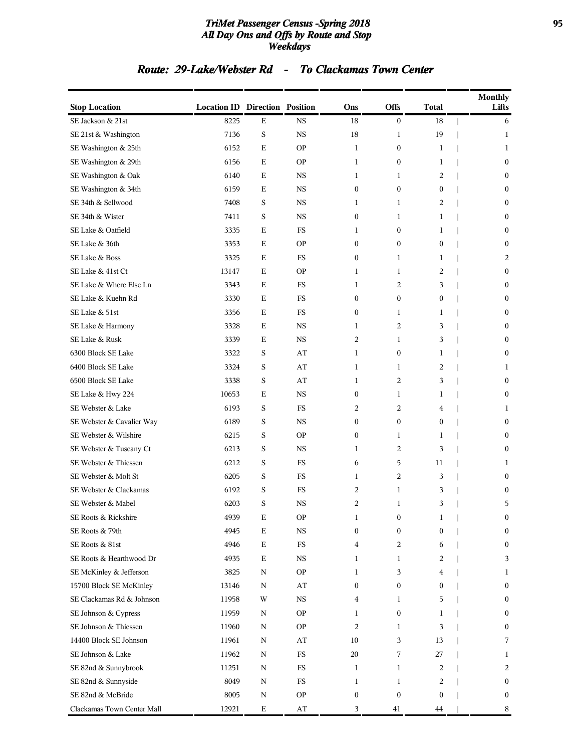### *TriMet Passenger Census -Spring 2018* **95** *All Day Ons and Offs by Route and Stop Weekdays*

### *Route: 29-Lake/Webster Rd - To Clackamas Town Center*

| <b>Stop Location</b>       | <b>Location ID Direction Position</b> |             |                        | Ons              | Offs             | <b>Total</b>     | <b>Monthly</b><br>Lifts |
|----------------------------|---------------------------------------|-------------|------------------------|------------------|------------------|------------------|-------------------------|
| SE Jackson & 21st          | 8225                                  | $\mathbf E$ | <b>NS</b>              | 18               | $\boldsymbol{0}$ | 18               | 6                       |
| SE 21st & Washington       | 7136                                  | $\mathbf S$ | $_{\rm NS}$            | 18               | $\mathbf{1}$     | 19               | 1                       |
| SE Washington & 25th       | 6152                                  | Ε           | <b>OP</b>              | 1                | $\boldsymbol{0}$ | 1                | 1                       |
| SE Washington & 29th       | 6156                                  | Ε           | <b>OP</b>              | 1                | $\boldsymbol{0}$ | 1                | $\boldsymbol{0}$        |
| SE Washington & Oak        | 6140                                  | Ε           | <b>NS</b>              | 1                | $\mathbf{1}$     | 2                | $\overline{0}$          |
| SE Washington & 34th       | 6159                                  | Ε           | <b>NS</b>              | $\boldsymbol{0}$ | $\mathbf{0}$     | $\boldsymbol{0}$ | $\bf{0}$                |
| SE 34th & Sellwood         | 7408                                  | S           | $_{\rm NS}$            | 1                | $\mathbf{1}$     | 2                | $\boldsymbol{0}$        |
| SE 34th & Wister           | 7411                                  | S           | <b>NS</b>              | $\boldsymbol{0}$ | 1                | 1                | $\boldsymbol{0}$        |
| SE Lake & Oatfield         | 3335                                  | Ε           | FS                     | 1                | $\boldsymbol{0}$ | 1                | $\boldsymbol{0}$        |
| SE Lake & 36th             | 3353                                  | E           | <b>OP</b>              | $\mathbf{0}$     | $\mathbf{0}$     | $\mathbf{0}$     | $\mathbf{0}$            |
| SE Lake & Boss             | 3325                                  | Ε           | FS                     | $\boldsymbol{0}$ | 1                | 1                | 2                       |
| SE Lake & 41st Ct          | 13147                                 | Ε           | <b>OP</b>              | 1                | 1                | 2                | $\boldsymbol{0}$        |
| SE Lake & Where Else Ln    | 3343                                  | Ε           | FS                     | 1                | 2                | 3                | $\boldsymbol{0}$        |
| SE Lake & Kuehn Rd         | 3330                                  | Ε           | FS                     | $\boldsymbol{0}$ | $\boldsymbol{0}$ | $\boldsymbol{0}$ | $\boldsymbol{0}$        |
| SE Lake & 51st             | 3356                                  | Ε           | FS                     | $\boldsymbol{0}$ | $\mathbf{1}$     | 1                | $\mathbf{0}$            |
| SE Lake & Harmony          | 3328                                  | Ε           | <b>NS</b>              | 1                | $\overline{c}$   | 3                | $\boldsymbol{0}$        |
| SE Lake & Rusk             | 3339                                  | Ε           | <b>NS</b>              | 2                | $\mathbf{1}$     | 3                | $\boldsymbol{0}$        |
| 6300 Block SE Lake         | 3322                                  | S           | AT                     | 1                | $\boldsymbol{0}$ | 1                | $\boldsymbol{0}$        |
| 6400 Block SE Lake         | 3324                                  | S           | AT                     | 1                | $\mathbf{1}$     | $\overline{2}$   | 1                       |
| 6500 Block SE Lake         | 3338                                  | S           | AT                     | 1                | 2                | 3                | $\mathbf{0}$            |
| SE Lake & Hwy 224          | 10653                                 | Ε           | <b>NS</b>              | $\boldsymbol{0}$ | 1                | 1                | $\bf{0}$                |
| SE Webster & Lake          | 6193                                  | S           | FS                     | 2                | $\overline{2}$   | 4                | 1                       |
| SE Webster & Cavalier Way  | 6189                                  | S           | <b>NS</b>              | $\boldsymbol{0}$ | $\boldsymbol{0}$ | $\boldsymbol{0}$ | $\boldsymbol{0}$        |
| SE Webster & Wilshire      | 6215                                  | $\mathbf S$ | <b>OP</b>              | $\boldsymbol{0}$ | $\mathbf{1}$     | 1                | $\boldsymbol{0}$        |
| SE Webster & Tuscany Ct    | 6213                                  | S           | <b>NS</b>              | 1                | 2                | 3                | $\mathbf{0}$            |
| SE Webster & Thiessen      | 6212                                  | $\mathbf S$ | FS                     | 6                | 5                | 11               | 1                       |
| SE Webster & Molt St       | 6205                                  | S           | FS                     | 1                | $\overline{2}$   | 3                | $\boldsymbol{0}$        |
| SE Webster & Clackamas     | 6192                                  | S           | FS                     | 2                | 1                | 3                | $\boldsymbol{0}$        |
| SE Webster & Mabel         | 6203                                  | S           | $_{\rm NS}$            | 2                | $\mathbf{1}$     | 3                | 5                       |
| SE Roots & Rickshire       | 4939                                  | Ε           | <b>OP</b>              | 1                | $\boldsymbol{0}$ | 1                | $\boldsymbol{0}$        |
| SE Roots & 79th            | 4945                                  | $\mathbf E$ | $_{\rm NS}$            | $\boldsymbol{0}$ | $\boldsymbol{0}$ | $\mathbf{0}$     | $\boldsymbol{0}$        |
| SE Roots & 81st            | 4946                                  | Ε           | $_{\rm FS}$            | 4                | $\overline{2}$   | 6                | $\boldsymbol{0}$        |
| SE Roots & Hearthwood Dr   | 4935                                  | Ε           | $_{\rm NS}$            | 1                | 1                | 2                | 3                       |
| SE McKinley & Jefferson    | 3825                                  | $\mathbf N$ | <b>OP</b>              | 1                | 3                | 4                | 1                       |
| 15700 Block SE McKinley    | 13146                                 | $\mathbf N$ | AT                     | $\boldsymbol{0}$ | $\boldsymbol{0}$ | $\boldsymbol{0}$ | $\boldsymbol{0}$        |
| SE Clackamas Rd & Johnson  | 11958                                 | W           | $_{\rm NS}$            | 4                | 1                | 5                | $\boldsymbol{0}$        |
| SE Johnson & Cypress       | 11959                                 | Ν           | <b>OP</b>              | 1                | $\boldsymbol{0}$ | 1                | $\boldsymbol{0}$        |
| SE Johnson & Thiessen      | 11960                                 | Ν           | <b>OP</b>              | 2                | 1                | 3                | $\boldsymbol{0}$        |
| 14400 Block SE Johnson     | 11961                                 | N           | AT                     | 10               | 3                | 13               | 7                       |
| SE Johnson & Lake          | 11962                                 | $\mathbf N$ | $_{\rm FS}$            | 20               | 7                | 27               | $\mathbf{1}$            |
| SE 82nd & Sunnybrook       | 11251                                 | Ν           | $_{\rm FS}$            | 1                | 1                | 2                | 2                       |
| SE 82nd & Sunnyside        | 8049                                  | $\mathbf N$ | $_{\rm FS}$            | 1                | 1                | 2                | $\boldsymbol{0}$        |
| SE 82nd & McBride          | 8005                                  | N           | <b>OP</b>              | $\mathbf{0}$     | $\mathbf{0}$     | $\boldsymbol{0}$ | $\boldsymbol{0}$        |
| Clackamas Town Center Mall | 12921                                 | $\mathbf E$ | $\mathbf{A}\mathbf{T}$ | 3                | 41               | 44               | 8                       |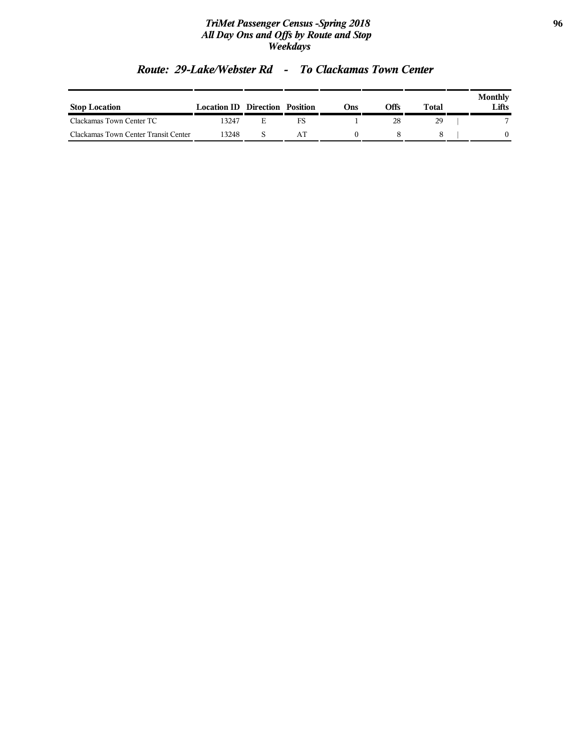### *TriMet Passenger Census -Spring 2018* **96** *All Day Ons and Offs by Route and Stop Weekdays*

| <b>Stop Location</b>                 | <b>Location ID Direction Position</b> |  | Ons | Offs | Total | <b>Monthly</b><br>Lifts |
|--------------------------------------|---------------------------------------|--|-----|------|-------|-------------------------|
| Clackamas Town Center TC             | 13247                                 |  |     |      | 29    |                         |
| Clackamas Town Center Transit Center | 3248                                  |  |     |      |       |                         |

### *Route: 29-Lake/Webster Rd - To Clackamas Town Center*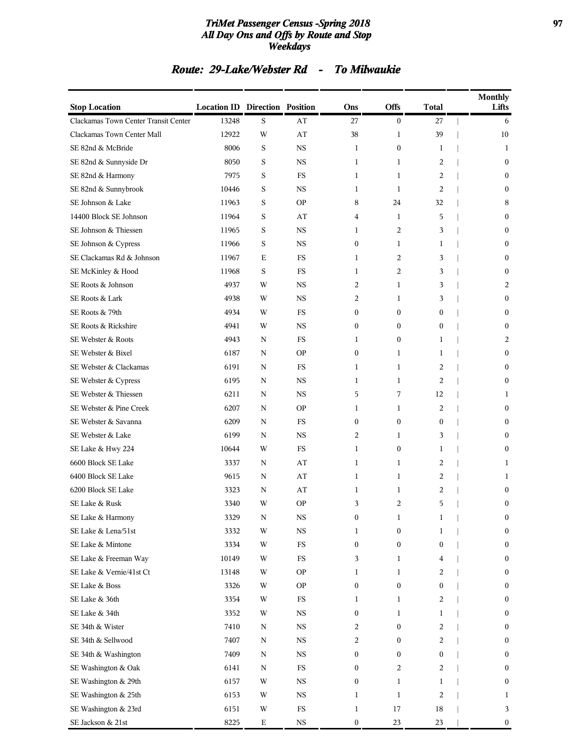### *TriMet Passenger Census -Spring 2018* **97** *All Day Ons and Offs by Route and Stop Weekdays*

### *Route: 29-Lake/Webster Rd - To Milwaukie*

| <b>Stop Location</b>                 | <b>Location ID Direction Position</b> |             |             | Ons              | Offs             | <b>Total</b>     | <b>Monthly</b><br>Lifts |
|--------------------------------------|---------------------------------------|-------------|-------------|------------------|------------------|------------------|-------------------------|
| Clackamas Town Center Transit Center | 13248                                 | S           | AT          | 27               | $\boldsymbol{0}$ | 27               | 6                       |
| Clackamas Town Center Mall           | 12922                                 | W           | AT          | 38               | 1                | 39               | 10                      |
| SE 82nd & McBride                    | 8006                                  | S           | <b>NS</b>   | $\mathbf{1}$     | $\boldsymbol{0}$ | 1                | $\mathbf{1}$            |
| SE 82nd & Sunnyside Dr               | 8050                                  | S           | NS.         | 1                | $\mathbf{1}$     | 2                | 0                       |
| SE 82nd & Harmony                    | 7975                                  | S           | <b>FS</b>   | $\mathbf{1}$     | $\mathbf{1}$     | $\overline{c}$   | $\mathbf{0}$            |
| SE 82nd & Sunnybrook                 | 10446                                 | S           | <b>NS</b>   | 1                | $\mathbf{1}$     | $\overline{c}$   | $\overline{0}$          |
| SE Johnson & Lake                    | 11963                                 | S           | <b>OP</b>   | 8                | 24               | 32               | 8                       |
| 14400 Block SE Johnson               | 11964                                 | S           | AT          | 4                | $\mathbf{1}$     | 5                | 0                       |
| SE Johnson & Thiessen                | 11965                                 | S           | NS.         | 1                | $\overline{c}$   | 3                | 0                       |
| SE Johnson & Cypress                 | 11966                                 | S           | <b>NS</b>   | $\mathbf{0}$     | $\mathbf{1}$     | $\mathbf{1}$     | $\mathbf{0}$            |
| SE Clackamas Rd & Johnson            | 11967                                 | Е           | <b>FS</b>   | 1                | 2                | 3                | $\overline{0}$          |
| SE McKinley & Hood                   | 11968                                 | S           | FS          | 1                | 2                | 3                | 0                       |
| SE Roots & Johnson                   | 4937                                  | W           | <b>NS</b>   | 2                | $\mathbf{1}$     | 3                | 2                       |
| SE Roots & Lark                      | 4938                                  | W           | NS.         | 2                | 1                | 3                | $\boldsymbol{0}$        |
| SE Roots & 79th                      | 4934                                  | W           | FS          | $\mathbf{0}$     | $\boldsymbol{0}$ | $\mathbf{0}$     | $\mathbf{0}$            |
| SE Roots & Rickshire                 | 4941                                  | W           | <b>NS</b>   | 0                | $\boldsymbol{0}$ | 0                | $\overline{0}$          |
| SE Webster & Roots                   | 4943                                  | N           | FS          | 1                | $\boldsymbol{0}$ | 1                | 2                       |
| SE Webster & Bixel                   | 6187                                  | N           | <b>OP</b>   | $\boldsymbol{0}$ | $\mathbf{1}$     | 1                | $\boldsymbol{0}$        |
| SE Webster & Clackamas               | 6191                                  | N           | FS          | 1                | $\mathbf{1}$     | 2                | $\boldsymbol{0}$        |
| SE Webster & Cypress                 | 6195                                  | N           | <b>NS</b>   | 1                | $\mathbf{1}$     | 2                | $\overline{0}$          |
| SE Webster & Thiessen                | 6211                                  | N           | <b>NS</b>   | 5                | 7                | 12               | 1                       |
| SE Webster & Pine Creek              | 6207                                  | N           | <b>OP</b>   | 1                | 1                | 2                | $\boldsymbol{0}$        |
| SE Webster & Savanna                 | 6209                                  | N           | <b>FS</b>   | $\boldsymbol{0}$ | 0                | $\boldsymbol{0}$ | 0                       |
| SE Webster & Lake                    | 6199                                  | N           | NS.         | 2                | 1                | 3                | $\boldsymbol{0}$        |
| SE Lake & Hwy 224                    | 10644                                 | W           | <b>FS</b>   | $\mathbf{1}$     | $\boldsymbol{0}$ | $\mathbf{1}$     | $\mathbf{0}$            |
| 6600 Block SE Lake                   | 3337                                  | N           | AT          | 1                | $\mathbf{1}$     | 2                | 1                       |
| 6400 Block SE Lake                   | 9615                                  | N           | AT          | 1                | 1                | 2                | 1                       |
| 6200 Block SE Lake                   | 3323                                  | N           | AT          | 1                | 1                | 2                | 0                       |
| SE Lake & Rusk                       | 3340                                  | W           | <b>OP</b>   | 3                | $\overline{c}$   | 5                | $\boldsymbol{0}$        |
| SE Lake & Harmony                    | 3329                                  | ${\bf N}$   | $_{\rm NS}$ | $\boldsymbol{0}$ | 1                | $\mathbf{1}$     | $\boldsymbol{0}$        |
| SE Lake & Lena/51st                  | 3332                                  | W           | $_{\rm NS}$ | 1                | $\boldsymbol{0}$ | $\mathbf 1$      | $\boldsymbol{0}$        |
| SE Lake & Mintone                    | 3334                                  | W           | $_{\rm FS}$ | $\boldsymbol{0}$ | $\boldsymbol{0}$ | 0                | 0                       |
| SE Lake & Freeman Way                | 10149                                 | W           | $_{\rm FS}$ | 3                | 1                | 4                | $\boldsymbol{0}$        |
| SE Lake & Vernie/41st Ct             | 13148                                 | W           | OΡ          | 1                | 1                | 2                | $\boldsymbol{0}$        |
| SE Lake & Boss                       | 3326                                  | W           | <b>OP</b>   | 0                | 0                | $\boldsymbol{0}$ | 0                       |
| SE Lake & 36th                       | 3354                                  | W           | $_{\rm FS}$ | 1                | 1                | 2                | $\boldsymbol{0}$        |
| SE Lake & 34th                       | 3352                                  | W           | $_{\rm NS}$ | $\boldsymbol{0}$ | 1                | 1                | 0                       |
| SE 34th & Wister                     | 7410                                  | N           | $_{\rm NS}$ | 2                | 0                | 2                | $\boldsymbol{0}$        |
| SE 34th & Sellwood                   | 7407                                  | ${\bf N}$   | <b>NS</b>   | 2                | 0                | 2                | $\boldsymbol{0}$        |
| SE 34th & Washington                 | 7409                                  | N           | $_{\rm NS}$ | $\boldsymbol{0}$ | 0                | $\boldsymbol{0}$ | 0                       |
| SE Washington & Oak                  | 6141                                  | $\mathbf N$ | $_{\rm FS}$ | $\boldsymbol{0}$ | 2                | 2                | $\boldsymbol{0}$        |
| SE Washington & 29th                 | 6157                                  | W           | $_{\rm NS}$ | $\boldsymbol{0}$ | $\mathbf 1$      | 1                | $\boldsymbol{0}$        |
| SE Washington & 25th                 | 6153                                  | W           | $_{\rm NS}$ | 1                | $\mathbf 1$      | 2                | 1                       |
| SE Washington & 23rd                 | 6151                                  | W           | $_{\rm FS}$ | $\mathbf{1}$     | 17               | 18               | 3                       |
| SE Jackson & 21st                    | 8225                                  | $\mathbf E$ | $_{\rm NS}$ | $\boldsymbol{0}$ | 23               | 23               | $\boldsymbol{0}$        |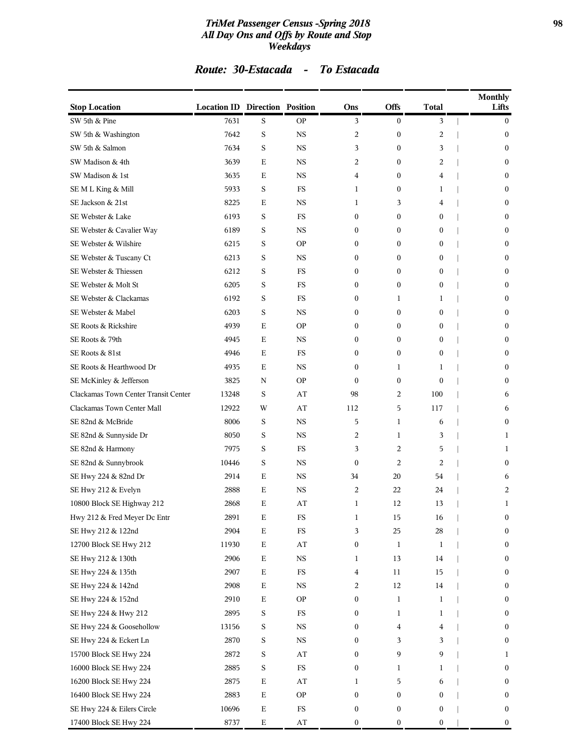### *TriMet Passenger Census -Spring 2018* **98** *All Day Ons and Offs by Route and Stop Weekdays*

### *Route: 30-Estacada - To Estacada*

| <b>Stop Location</b>                 | <b>Location ID Direction Position</b> |             |                         | Ons              | <b>Offs</b>      | <b>Total</b>     | <b>Monthly</b><br>Lifts |
|--------------------------------------|---------------------------------------|-------------|-------------------------|------------------|------------------|------------------|-------------------------|
| SW 5th & Pine                        | 7631                                  | S           | <b>OP</b>               | 3                | $\mathbf{0}$     | 3                | $\overline{0}$          |
| SW 5th & Washington                  | 7642                                  | $\mathbf S$ | <b>NS</b>               | 2                | $\boldsymbol{0}$ | 2                | $\boldsymbol{0}$        |
| SW 5th & Salmon                      | 7634                                  | S           | <b>NS</b>               | 3                | $\boldsymbol{0}$ | 3                | $\boldsymbol{0}$        |
| SW Madison & 4th                     | 3639                                  | Ε           | <b>NS</b>               | 2                | $\boldsymbol{0}$ | 2                | $\boldsymbol{0}$        |
| SW Madison & 1st                     | 3635                                  | E           | <b>NS</b>               | 4                | $\mathbf{0}$     | 4                | $\mathbf{0}$            |
| SEMLKing & Mill                      | 5933                                  | S           | FS                      | 1                | $\mathbf{0}$     | 1                | $\mathbf{0}$            |
| SE Jackson & 21st                    | 8225                                  | E           | <b>NS</b>               | 1                | 3                | 4                | $\boldsymbol{0}$        |
| SE Webster & Lake                    | 6193                                  | S           | <b>FS</b>               | $\boldsymbol{0}$ | $\mathbf{0}$     | $\mathbf{0}$     | $\boldsymbol{0}$        |
| SE Webster & Cavalier Way            | 6189                                  | S           | NS                      | 0                | $\boldsymbol{0}$ | $\boldsymbol{0}$ | $\boldsymbol{0}$        |
| SE Webster & Wilshire                | 6215                                  | S           | <b>OP</b>               | 0                | $\mathbf{0}$     | $\mathbf{0}$     | $\mathbf{0}$            |
| SE Webster & Tuscany Ct              | 6213                                  | S           | <b>NS</b>               | 0                | $\mathbf{0}$     | $\boldsymbol{0}$ | $\mathbf{0}$            |
| SE Webster & Thiessen                | 6212                                  | S           | FS                      | 0                | $\boldsymbol{0}$ | $\boldsymbol{0}$ | $\boldsymbol{0}$        |
| SE Webster & Molt St                 | 6205                                  | S           | <b>FS</b>               | 0                | $\mathbf{0}$     | $\boldsymbol{0}$ | $\boldsymbol{0}$        |
| SE Webster & Clackamas               | 6192                                  | S           | FS                      | 0                | 1                | 1                | $\boldsymbol{0}$        |
| SE Webster & Mabel                   | 6203                                  | S           | <b>NS</b>               | 0                | $\mathbf{0}$     | $\mathbf{0}$     | $\mathbf{0}$            |
| SE Roots & Rickshire                 | 4939                                  | Е           | <b>OP</b>               | 0                | $\mathbf{0}$     | $\boldsymbol{0}$ | $\mathbf{0}$            |
| SE Roots & 79th                      | 4945                                  | E           | <b>NS</b>               | 0                | $\boldsymbol{0}$ | $\boldsymbol{0}$ | $\boldsymbol{0}$        |
| SE Roots & 81st                      | 4946                                  | E           | FS                      | 0                | $\mathbf{0}$     | $\mathbf{0}$     | $\boldsymbol{0}$        |
| SE Roots & Hearthwood Dr             | 4935                                  | E           | <b>NS</b>               | 0                | 1                | 1                | $\boldsymbol{0}$        |
| SE McKinley & Jefferson              | 3825                                  | N           | <b>OP</b>               | 0                | $\mathbf{0}$     | $\mathbf{0}$     | $\mathbf{0}$            |
| Clackamas Town Center Transit Center | 13248                                 | S           | AT                      | 98               | $\overline{2}$   | 100              | 6                       |
| Clackamas Town Center Mall           | 12922                                 | W           | AT                      | 112              | 5                | 117              | 6                       |
| SE 82nd & McBride                    | 8006                                  | S           | <b>NS</b>               | 5                | $\mathbf{1}$     | 6                | $\mathbf{0}$            |
| SE 82nd & Sunnyside Dr               | 8050                                  | S           | NS                      | 2                | 1                | 3                | 1                       |
| SE 82nd & Harmony                    | 7975                                  | S           | FS                      | 3                | $\overline{c}$   | 5                | 1                       |
| SE 82nd & Sunnybrook                 | 10446                                 | S           | <b>NS</b>               | $\mathbf{0}$     | $\overline{2}$   | $\overline{c}$   | $\mathbf{0}$            |
| SE Hwy 224 & 82nd Dr                 | 2914                                  | E           | <b>NS</b>               | 34               | 20               | 54               | 6                       |
| SE Hwy 212 & Evelyn                  | 2888                                  | E           | <b>NS</b>               | 2                | 22               | 24               | 2                       |
| 10800 Block SE Highway 212           | 2868                                  | Ε           | AT                      | 1                | 12               | 13               | 1                       |
| Hwy 212 & Fred Meyer Dc Entr         | 2891                                  | $\mathbf E$ | $_{\rm FS}$             | 1                | 15               | 16               | $\boldsymbol{0}$        |
| SE Hwy 212 & 122nd                   | 2904                                  | $\mathbf E$ | FS                      | 3                | 25               | 28               | $\boldsymbol{0}$        |
| 12700 Block SE Hwy 212               | 11930                                 | $\mathbf E$ | $\mathbf{A}\mathbf{T}$  | $\boldsymbol{0}$ | $\mathbf{1}$     | 1                | 0                       |
| SE Hwy 212 & 130th                   | 2906                                  | $\mathbf E$ | $_{\rm NS}$             | 1                | 13               | 14               | $\boldsymbol{0}$        |
| SE Hwy 224 & 135th                   | 2907                                  | $\mathbf E$ | FS                      | 4                | 11               | 15               | 0                       |
| SE Hwy 224 & 142nd                   | 2908                                  | $\mathbf E$ | $_{\rm NS}$             | 2                | 12               | 14               | 0                       |
| SE Hwy 224 & 152nd                   | 2910                                  | $\mathbf E$ | <b>OP</b>               | 0                | 1                | $\mathbf{1}$     | 0                       |
| SE Hwy 224 & Hwy 212                 | 2895                                  | S           | FS                      | 0                | 1                | 1                | $\boldsymbol{0}$        |
| SE Hwy 224 & Goosehollow             | 13156                                 | S           | $_{\rm NS}$             | 0                | $\overline{4}$   | 4                | $\boldsymbol{0}$        |
| SE Hwy 224 & Eckert Ln               | 2870                                  | S           | $_{\rm NS}$             | 0                | 3                | 3                | $\boldsymbol{0}$        |
| 15700 Block SE Hwy 224               | 2872                                  | S           | $\mathbf{A}\mathbf{T}$  | 0                | 9                | 9                | $\mathbf{1}$            |
| 16000 Block SE Hwy 224               | 2885                                  | S           | $_{\rm FS}$             | $\boldsymbol{0}$ | 1                | 1                | 0                       |
| 16200 Block SE Hwy 224               | 2875                                  | $\mathbf E$ | $\mathbf{A} \mathbf{T}$ | 1                | 5                | 6                | $\boldsymbol{0}$        |
| 16400 Block SE Hwy 224               | 2883                                  | $\mathbf E$ | <b>OP</b>               | $\boldsymbol{0}$ | $\boldsymbol{0}$ | $\boldsymbol{0}$ | $\boldsymbol{0}$        |
| SE Hwy 224 & Eilers Circle           | 10696                                 | $\mathbf E$ | FS                      | $\boldsymbol{0}$ | $\boldsymbol{0}$ | $\boldsymbol{0}$ | 0                       |
| 17400 Block SE Hwy 224               | 8737                                  | E           | AT                      | $\boldsymbol{0}$ | $\boldsymbol{0}$ | $\boldsymbol{0}$ | $\boldsymbol{0}$        |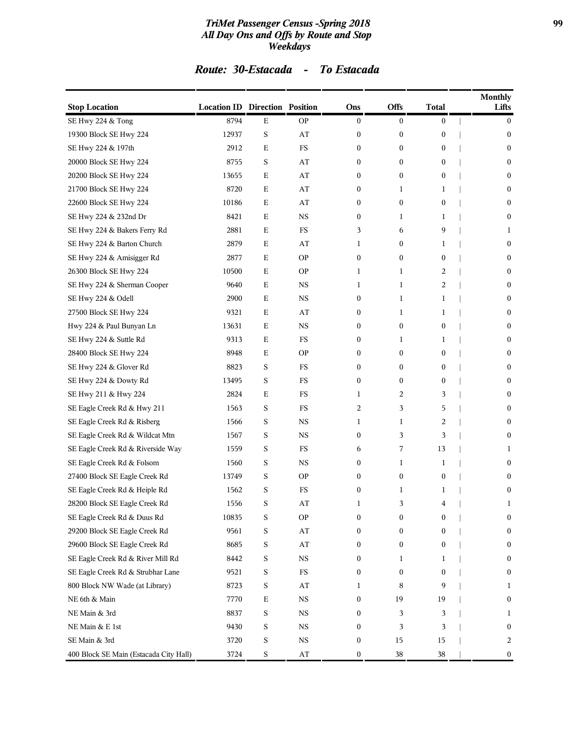### *TriMet Passenger Census -Spring 2018* **99** *All Day Ons and Offs by Route and Stop Weekdays*

# *Route: 30-Estacada - To Estacada*

| <b>Stop Location</b>                   | <b>Location ID Direction Position</b> |             |                        | Ons              | <b>Offs</b>      | <b>Total</b>     | <b>Monthly</b><br>Lifts |
|----------------------------------------|---------------------------------------|-------------|------------------------|------------------|------------------|------------------|-------------------------|
| SE Hwy 224 & Tong                      | 8794                                  | Ε           | <b>OP</b>              | $\boldsymbol{0}$ | $\boldsymbol{0}$ | $\boldsymbol{0}$ | $\bf{0}$                |
| 19300 Block SE Hwy 224                 | 12937                                 | S           | AT                     | $\boldsymbol{0}$ | $\boldsymbol{0}$ | 0                | $\bf{0}$                |
| SE Hwy 224 & 197th                     | 2912                                  | E           | <b>FS</b>              | 0                | 0                | 0                | $\boldsymbol{0}$        |
| 20000 Block SE Hwy 224                 | 8755                                  | S           | AT                     | 0                | 0                | 0                | $\bf{0}$                |
| 20200 Block SE Hwy 224                 | 13655                                 | E           | AT                     | $\mathbf{0}$     | $\mathbf{0}$     | 0                | $\mathbf{0}$            |
| 21700 Block SE Hwy 224                 | 8720                                  | E           | AT                     | 0                | 1                | 1                | $\boldsymbol{0}$        |
| 22600 Block SE Hwy 224                 | 10186                                 | E           | AT                     | $\boldsymbol{0}$ | $\boldsymbol{0}$ | 0                | $\bf{0}$                |
| SE Hwy 224 & 232nd Dr                  | 8421                                  | E           | <b>NS</b>              | 0                | 1                | 1                | $\boldsymbol{0}$        |
| SE Hwy 224 & Bakers Ferry Rd           | 2881                                  | Ε           | FS                     | 3                | 6                | 9                | 1                       |
| SE Hwy 224 & Barton Church             | 2879                                  | E           | AT                     | 1                | $\mathbf{0}$     | 1                | $\mathbf{0}$            |
| SE Hwy 224 & Amisigger Rd              | 2877                                  | E           | <b>OP</b>              | 0                | 0                | 0                | $\boldsymbol{0}$        |
| 26300 Block SE Hwy 224                 | 10500                                 | E           | <b>OP</b>              | 1                | 1                | 2                | $\bf{0}$                |
| SE Hwy 224 & Sherman Cooper            | 9640                                  | E           | <b>NS</b>              | 1                | 1                | 2                | $\boldsymbol{0}$        |
| SE Hwy 224 & Odell                     | 2900                                  | Ε           | NS                     | 0                | 1                | 1                | $\bf{0}$                |
| 27500 Block SE Hwy 224                 | 9321                                  | Ε           | AT                     | $\boldsymbol{0}$ | 1                | 1                | $\mathbf{0}$            |
| Hwy 224 & Paul Bunyan Ln               | 13631                                 | Ε           | <b>NS</b>              | 0                | $\boldsymbol{0}$ | 0                | $\boldsymbol{0}$        |
| SE Hwy 224 & Suttle Rd                 | 9313                                  | E           | FS                     | $\boldsymbol{0}$ | 1                | 1                | $\bf{0}$                |
| 28400 Block SE Hwy 224                 | 8948                                  | Ε           | <b>OP</b>              | $\boldsymbol{0}$ | 0                | 0                | $\boldsymbol{0}$        |
| SE Hwy 224 & Glover Rd                 | 8823                                  | S           | FS                     | $\boldsymbol{0}$ | 0                | 0                | $\bf{0}$                |
| SE Hwy 224 & Dowty Rd                  | 13495                                 | S           | <b>FS</b>              | $\boldsymbol{0}$ | $\mathbf{0}$     | 0                | $\mathbf{0}$            |
| SE Hwy 211 & Hwy 224                   | 2824                                  | Ε           | <b>FS</b>              | 1                | 2                | 3                | $\boldsymbol{0}$        |
| SE Eagle Creek Rd & Hwy 211            | 1563                                  | S           | FS                     | 2                | 3                | 5                | $\bf{0}$                |
| SE Eagle Creek Rd & Risberg            | 1566                                  | S           | <b>NS</b>              | 1                | 1                | 2                | $\boldsymbol{0}$        |
| SE Eagle Creek Rd & Wildcat Mtn        | 1567                                  | S           | NS                     | $\boldsymbol{0}$ | 3                | 3                | $\bf{0}$                |
| SE Eagle Creek Rd & Riverside Way      | 1559                                  | S           | <b>FS</b>              | 6                | 7                | 13               | 1                       |
| SE Eagle Creek Rd & Folsom             | 1560                                  | S           | NS                     | 0                | 1                | 1                | $\bf{0}$                |
| 27400 Block SE Eagle Creek Rd          | 13749                                 | S           | <b>OP</b>              | $\boldsymbol{0}$ | $\boldsymbol{0}$ | 0                | $\bf{0}$                |
| SE Eagle Creek Rd & Heiple Rd          | 1562                                  | S           | <b>FS</b>              | $\boldsymbol{0}$ | 1                | 1                | $\boldsymbol{0}$        |
| 28200 Block SE Eagle Creek Rd          | 1556                                  | S           | AT                     | 1                | 3                | 4                | 1                       |
| SE Eagle Creek Rd & Duus Rd            | 10835                                 | S           | <b>OP</b>              | 0                | $\boldsymbol{0}$ | $\boldsymbol{0}$ | $\mathbf{0}$            |
| 29200 Block SE Eagle Creek Rd          | 9561                                  | S           | $\mathbf{A}\mathbf{T}$ | 0                | 0                | 0                | $\bf{0}$                |
| 29600 Block SE Eagle Creek Rd          | 8685                                  | S           | $\mathbf{A}\mathbf{T}$ | 0                | 0                | 0                | $\bf{0}$                |
| SE Eagle Creek Rd & River Mill Rd      | 8442                                  | S           | $_{\rm NS}$            | 0                | 1                | 1                | $\boldsymbol{0}$        |
| SE Eagle Creek Rd & Strubhar Lane      | 9521                                  | S           | FS                     | 0                | 0                | 0                | $\boldsymbol{0}$        |
| 800 Block NW Wade (at Library)         | 8723                                  | S           | AT                     | 1                | 8                | 9                | 1                       |
| NE 6th & Main                          | 7770                                  | $\mathbf E$ | NS                     | $\boldsymbol{0}$ | 19               | 19               | $\bf{0}$                |
| NE Main & 3rd                          | 8837                                  | S           | NS                     | 0                | 3                | 3                | 1                       |
| NE Main & E 1st                        | 9430                                  | S           | $_{\rm NS}$            | 0                | 3                | 3                | $\boldsymbol{0}$        |
| SE Main & 3rd                          | 3720                                  | S           | NS                     | 0                | 15               | 15               | 2                       |
| 400 Block SE Main (Estacada City Hall) | 3724                                  | S           | $\mathbf{A}\mathbf{T}$ | 0                | 38               | 38               | $\bf{0}$                |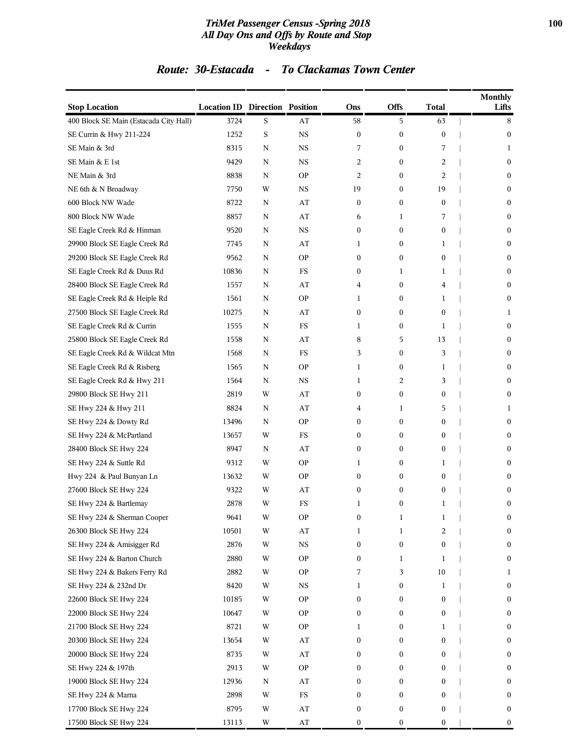### *TriMet Passenger Census -Spring 2018* **100** *All Day Ons and Offs by Route and Stop Weekdays*

### *Route: 30-Estacada - To Clackamas Town Center*

| <b>Stop Location</b>                   | <b>Location ID Direction Position</b> |   |                         | Ons              | <b>Offs</b>      | <b>Total</b>     | <b>Monthly</b><br>Lifts |
|----------------------------------------|---------------------------------------|---|-------------------------|------------------|------------------|------------------|-------------------------|
| 400 Block SE Main (Estacada City Hall) | 3724                                  | S | AT                      | 58               | 5                | 63               | 8                       |
| SE Currin & Hwy 211-224                | 1252                                  | S | $_{\rm NS}$             | $\boldsymbol{0}$ | $\boldsymbol{0}$ | $\boldsymbol{0}$ | $\bf{0}$                |
| SE Main & 3rd                          | 8315                                  | N | <b>NS</b>               | 7                | $\boldsymbol{0}$ | 7                | 1                       |
| SE Main & E 1st                        | 9429                                  | N | <b>NS</b>               | 2                | $\boldsymbol{0}$ | 2                | $\boldsymbol{0}$        |
| NE Main & 3rd                          | 8838                                  | N | <b>OP</b>               | 2                | $\mathbf{0}$     | 2                | $\bf{0}$                |
| NE 6th & N Broadway                    | 7750                                  | W | NS                      | 19               | $\mathbf{0}$     | 19               | $\bf{0}$                |
| 600 Block NW Wade                      | 8722                                  | N | AT                      | $\boldsymbol{0}$ | 0                | $\boldsymbol{0}$ | $\bf{0}$                |
| 800 Block NW Wade                      | 8857                                  | N | AT                      | 6                | 1                | 7                | $\bf{0}$                |
| SE Eagle Creek Rd & Hinman             | 9520                                  | N | <b>NS</b>               | $\boldsymbol{0}$ | $\boldsymbol{0}$ | 0                | $\bf{0}$                |
| 29900 Block SE Eagle Creek Rd          | 7745                                  | N | AT                      | 1                | $\mathbf{0}$     | 1                | $\bf{0}$                |
| 29200 Block SE Eagle Creek Rd          | 9562                                  | N | <b>OP</b>               | 0                | $\mathbf{0}$     | 0                | $\bf{0}$                |
| SE Eagle Creek Rd & Duus Rd            | 10836                                 | N | FS                      | 0                | 1                | 1                | $\bf{0}$                |
| 28400 Block SE Eagle Creek Rd          | 1557                                  | N | AT                      | 4                | $\mathbf{0}$     | 4                | $\bf{0}$                |
| SE Eagle Creek Rd & Heiple Rd          | 1561                                  | N | <b>OP</b>               | 1                | $\boldsymbol{0}$ | 1                | $\boldsymbol{0}$        |
| 27500 Block SE Eagle Creek Rd          | 10275                                 | N | AT                      | $\boldsymbol{0}$ | $\boldsymbol{0}$ | $\boldsymbol{0}$ | 1                       |
| SE Eagle Creek Rd & Currin             | 1555                                  | N | FS                      | 1                | $\mathbf{0}$     | 1                | $\boldsymbol{0}$        |
| 25800 Block SE Eagle Creek Rd          | 1558                                  | N | AT                      | 8                | 5                | 13               | $\boldsymbol{0}$        |
| SE Eagle Creek Rd & Wildcat Mtn        | 1568                                  | N | FS                      | 3                | $\boldsymbol{0}$ | 3                | $\bf{0}$                |
| SE Eagle Creek Rd & Risberg            | 1565                                  | N | <b>OP</b>               | 1                | $\boldsymbol{0}$ | 1                | $\bf{0}$                |
| SE Eagle Creek Rd & Hwy 211            | 1564                                  | N | <b>NS</b>               | 1                | 2                | 3                | $\bf{0}$                |
| 29800 Block SE Hwy 211                 | 2819                                  | W | AT                      | 0                | $\mathbf{0}$     | 0                | $\bf{0}$                |
| SE Hwy 224 & Hwy 211                   | 8824                                  | N | AT                      | 4                | 1                | 5                | 1                       |
| SE Hwy 224 & Dowty Rd                  | 13496                                 | N | <b>OP</b>               | 0                | $\boldsymbol{0}$ | 0                | $\bf{0}$                |
| SE Hwy 224 & McPartland                | 13657                                 | W | FS                      | 0                | $\boldsymbol{0}$ | 0                | $\bf{0}$                |
| 28400 Block SE Hwy 224                 | 8947                                  | N | AT                      | $\boldsymbol{0}$ | $\boldsymbol{0}$ | $\boldsymbol{0}$ | $\mathbf{0}$            |
| SE Hwy 224 & Suttle Rd                 | 9312                                  | W | <b>OP</b>               | 1                | $\mathbf{0}$     | 1                | $\bf{0}$                |
| Hwy 224 & Paul Bunyan Ln               | 13632                                 | W | <b>OP</b>               | 0                | $\boldsymbol{0}$ | 0                | $\boldsymbol{0}$        |
| 27600 Block SE Hwy 224                 | 9322                                  | W | AT                      | 0                | $\boldsymbol{0}$ | $\boldsymbol{0}$ | $\boldsymbol{0}$        |
| SE Hwy 224 & Bartlemay                 | 2878                                  | W | FS                      | 1                | $\boldsymbol{0}$ | 1                | $\boldsymbol{0}$        |
| SE Hwy 224 & Sherman Cooper            | 9641                                  | W | <b>OP</b>               | 0                | 1                | 1                | $\boldsymbol{0}$        |
| 26300 Block SE Hwy 224                 | 10501                                 | W | AT                      | 1                | 1                | 2                | $\boldsymbol{0}$        |
| SE Hwy 224 & Amisigger Rd              | 2876                                  | W | $_{\rm NS}$             | 0                | $\boldsymbol{0}$ | $\boldsymbol{0}$ | $\bf{0}$                |
| SE Hwy 224 & Barton Church             | 2880                                  | W | <b>OP</b>               | 0                | 1                | 1                | $\bf{0}$                |
| SE Hwy 224 & Bakers Ferry Rd           | 2882                                  | W | <b>OP</b>               | 7                | 3                | 10               | 1                       |
| SE Hwy 224 & 232nd Dr                  | 8420                                  | W | $_{\rm NS}$             | 1                | $\boldsymbol{0}$ | 1                | $\bf{0}$                |
| 22600 Block SE Hwy 224                 | 10185                                 | W | <b>OP</b>               | $\boldsymbol{0}$ | $\boldsymbol{0}$ | $\boldsymbol{0}$ | $\boldsymbol{0}$        |
| 22000 Block SE Hwy 224                 | 10647                                 | W | <b>OP</b>               | 0                | 0                | 0                | $\bf{0}$                |
| 21700 Block SE Hwy 224                 | 8721                                  | W | <b>OP</b>               | 1                | 0                | 1                | $\bf{0}$                |
| 20300 Block SE Hwy 224                 | 13654                                 | W | $\mathbf{A}\mathbf{T}$  | 0                | $\boldsymbol{0}$ | $\boldsymbol{0}$ | $\bf{0}$                |
| 20000 Block SE Hwy 224                 | 8735                                  | W | AT                      | 0                | $\boldsymbol{0}$ | 0                | $\bf{0}$                |
| SE Hwy 224 & 197th                     | 2913                                  | W | <b>OP</b>               | 0                | $\boldsymbol{0}$ | 0                | $\boldsymbol{0}$        |
| 19000 Block SE Hwy 224                 | 12936                                 | N | $\mathbf{A} \mathbf{T}$ | 0                | 0                | 0                | $\bf{0}$                |
| SE Hwy 224 & Marna                     | 2898                                  | W | $_{\rm FS}$             | 0                | $\boldsymbol{0}$ | 0                | $\bf{0}$                |
| 17700 Block SE Hwy 224                 | 8795                                  | W | $\mathbf{A} \mathbf{T}$ | 0                | $\boldsymbol{0}$ | 0                | $\boldsymbol{0}$        |
| 17500 Block SE Hwy 224                 | 13113                                 | W | $\mathbf{A} \mathbf{T}$ | 0                | 0                | 0                | $\boldsymbol{0}$        |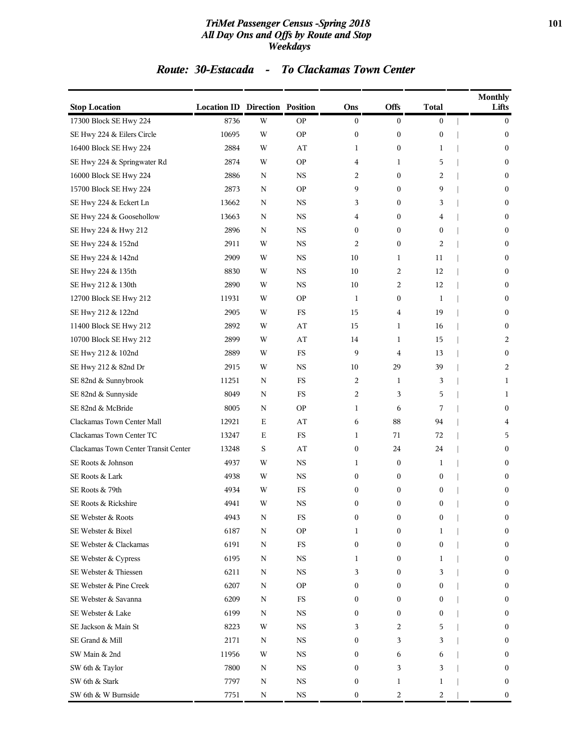### *TriMet Passenger Census -Spring 2018* **101** *All Day Ons and Offs by Route and Stop Weekdays*

### *Route: 30-Estacada - To Clackamas Town Center*

| <b>Stop Location</b>                 | <b>Location ID Direction Position</b> |             |             | Ons              | Offs             | <b>Total</b>     | <b>Monthly</b><br>Lifts |
|--------------------------------------|---------------------------------------|-------------|-------------|------------------|------------------|------------------|-------------------------|
| 17300 Block SE Hwy 224               | 8736                                  | W           | <b>OP</b>   | $\boldsymbol{0}$ | $\overline{0}$   | $\boldsymbol{0}$ | $\bf{0}$                |
| SE Hwy 224 & Eilers Circle           | 10695                                 | W           | ΟP          | $\boldsymbol{0}$ | $\boldsymbol{0}$ | $\boldsymbol{0}$ | $\mathbf{0}$            |
| 16400 Block SE Hwy 224               | 2884                                  | W           | AT          | 1                | $\boldsymbol{0}$ | 1                | $\bf{0}$                |
| SE Hwy 224 & Springwater Rd          | 2874                                  | W           | <b>OP</b>   | 4                | 1                | 5                | $\boldsymbol{0}$        |
| 16000 Block SE Hwy 224               | 2886                                  | N           | $_{\rm NS}$ | 2                | $\overline{0}$   | 2                | $\mathbf{0}$            |
| 15700 Block SE Hwy 224               | 2873                                  | N           | <b>OP</b>   | 9                | $\overline{0}$   | 9                | $\mathbf{0}$            |
| SE Hwy 224 & Eckert Ln               | 13662                                 | N           | $_{\rm NS}$ | 3                | $\boldsymbol{0}$ | 3                | $\bf{0}$                |
| SE Hwy 224 & Goosehollow             | 13663                                 | N           | <b>NS</b>   | 4                | $\bf{0}$         | 4                | $\bf{0}$                |
| SE Hwy 224 & Hwy 212                 | 2896                                  | N           | <b>NS</b>   | $\boldsymbol{0}$ | $\overline{0}$   | $\boldsymbol{0}$ | $\boldsymbol{0}$        |
| SE Hwy 224 & 152nd                   | 2911                                  | W           | $_{\rm NS}$ | 2                | $\overline{0}$   | 2                | $\mathbf{0}$            |
| SE Hwy 224 & 142nd                   | 2909                                  | W           | <b>NS</b>   | 10               | $\mathbf{1}$     | 11               | $\mathbf{0}$            |
| SE Hwy 224 & 135th                   | 8830                                  | W           | <b>NS</b>   | 10               | 2                | 12               | $\bf{0}$                |
| SE Hwy 212 & 130th                   | 2890                                  | W           | <b>NS</b>   | 10               | 2                | 12               | $\bf{0}$                |
| 12700 Block SE Hwy 212               | 11931                                 | W           | <b>OP</b>   | 1                | $\bf{0}$         | 1                | $\boldsymbol{0}$        |
| SE Hwy 212 & 122nd                   | 2905                                  | W           | FS          | 15               | 4                | 19               | $\mathbf{0}$            |
| 11400 Block SE Hwy 212               | 2892                                  | W           | AT          | 15               | $\mathbf{1}$     | 16               | $\mathbf{0}$            |
| 10700 Block SE Hwy 212               | 2899                                  | W           | AT          | 14               | 1                | 15               | 2                       |
| SE Hwy 212 & 102nd                   | 2889                                  | W           | FS          | 9                | 4                | 13               | $\boldsymbol{0}$        |
| SE Hwy 212 & 82nd Dr                 | 2915                                  | W           | <b>NS</b>   | 10               | 29               | 39               | 2                       |
| SE 82nd & Sunnybrook                 | 11251                                 | Ν           | FS          | 2                | 1                | 3                | 1                       |
| SE 82nd & Sunnyside                  | 8049                                  | $\mathbf N$ | FS          | 2                | 3                | 5                | 1                       |
| SE 82nd & McBride                    | 8005                                  | N           | ΟP          | 1                | 6                | 7                | $\bf{0}$                |
| Clackamas Town Center Mall           | 12921                                 | Ε           | AT          | 6                | 88               | 94               | 4                       |
| Clackamas Town Center TC             | 13247                                 | Ε           | <b>FS</b>   | 1                | 71               | 72               | 5                       |
| Clackamas Town Center Transit Center | 13248                                 | S           | AT          | $\boldsymbol{0}$ | 24               | 24               | $\mathbf{0}$            |
| SE Roots & Johnson                   | 4937                                  | W           | $_{\rm NS}$ | 1                | $\boldsymbol{0}$ | 1                | $\mathbf{0}$            |
| SE Roots & Lark                      | 4938                                  | W           | $_{\rm NS}$ | $\boldsymbol{0}$ | 0                | $\bf{0}$         | $\mathbf{0}$            |
| SE Roots & 79th                      | 4934                                  | W           | FS          | $\boldsymbol{0}$ | $\boldsymbol{0}$ | $\boldsymbol{0}$ | $\bf{0}$                |
| SE Roots & Rickshire                 | 4941                                  | W           | <b>NS</b>   | $\boldsymbol{0}$ | $\mathbf{0}$     | $\boldsymbol{0}$ | $\boldsymbol{0}$        |
| SE Webster & Roots                   | 4943                                  | N           | ${\rm FS}$  | 0                | 0                | $\boldsymbol{0}$ | $\boldsymbol{0}$        |
| SE Webster & Bixel                   | 6187                                  | $\mathbf N$ | <b>OP</b>   | 1                | $\boldsymbol{0}$ | 1                | $\mathbf{0}$            |
| SE Webster & Clackamas               | 6191                                  | $\mathbf N$ | $_{\rm FS}$ | 0                | $\boldsymbol{0}$ | $\mathbf{0}$     | $\mathbf{0}$            |
| SE Webster & Cypress                 | 6195                                  | Ν           | $_{\rm NS}$ | 1                | 0                | 1                | $\mathbf{0}$            |
| SE Webster & Thiessen                | 6211                                  | Ν           | $_{\rm NS}$ | 3                | $\overline{0}$   | 3                | $\mathbf{0}$            |
| SE Webster & Pine Creek              | 6207                                  | Ν           | <b>OP</b>   | 0                | 0                | $\mathbf{0}$     | $\mathbf{0}$            |
| SE Webster & Savanna                 | 6209                                  | $\mathbf N$ | $_{\rm FS}$ | 0                | $\boldsymbol{0}$ | 0                | $\mathbf{0}$            |
| SE Webster & Lake                    | 6199                                  | Ν           | NS          | 0                | 0                | $\bf{0}$         | $\mathbf{0}$            |
| SE Jackson & Main St                 | 8223                                  | W           | $_{\rm NS}$ | 3                | 2                | 5                | $\mathbf{0}$            |
| SE Grand & Mill                      | 2171                                  | Ν           | $_{\rm NS}$ | 0                | 3                | 3                | $\mathbf{0}$            |
| SW Main & 2nd                        | 11956                                 | W           | $_{\rm NS}$ | 0                | 6                | 6                | $\mathbf{0}$            |
| SW 6th & Taylor                      | 7800                                  | Ν           | $_{\rm NS}$ | 0                | 3                | 3                | $\mathbf{0}$            |
| SW 6th & Stark                       | 7797                                  | Ν           | $_{\rm NS}$ | 0                | 1                | 1                | $\mathbf{0}$            |
| SW 6th & W Burnside                  | 7751                                  | N           | $_{\rm NS}$ | $\boldsymbol{0}$ | 2                | 2                | $\boldsymbol{0}$        |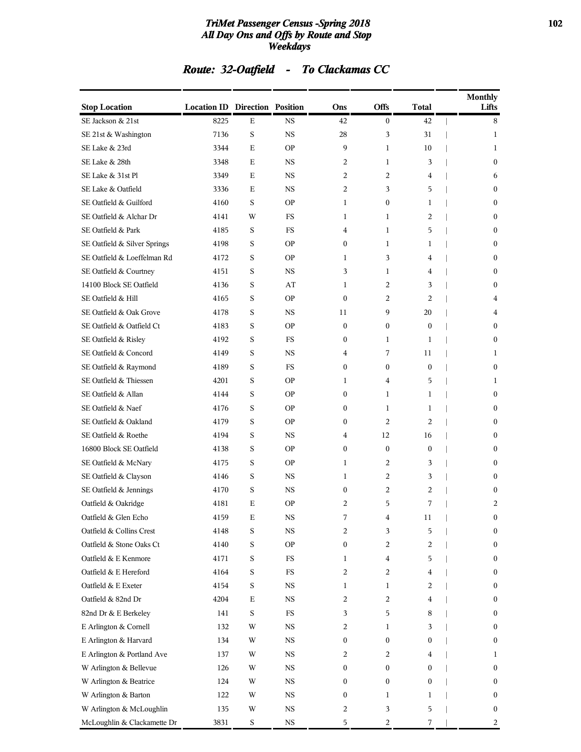### *TriMet Passenger Census -Spring 2018* **102** *All Day Ons and Offs by Route and Stop Weekdays*

| Route: 32-Oatfield |  | <b>To Clackamas CC</b> |
|--------------------|--|------------------------|
|--------------------|--|------------------------|

| <b>Stop Location</b>         | <b>Location ID Direction Position</b> |             |             | Ons              | <b>Offs</b>      | Total          | <b>Monthly</b><br>Lifts |
|------------------------------|---------------------------------------|-------------|-------------|------------------|------------------|----------------|-------------------------|
| SE Jackson & 21st            | 8225                                  | Е           | <b>NS</b>   | 42               | $\bf{0}$         | 42             | 8                       |
| SE 21st & Washington         | 7136                                  | $\mathbf S$ | NS          | 28               | 3                | 31             | 1                       |
| SE Lake & 23rd               | 3344                                  | Е           | <b>OP</b>   | 9                | 1                | 10             | 1                       |
| SE Lake & 28th               | 3348                                  | E           | <b>NS</b>   | 2                | 1                | 3              | 0                       |
| SE Lake & 31st Pl            | 3349                                  | Е           | <b>NS</b>   | 2                | 2                | 4              | 6                       |
| SE Lake & Oatfield           | 3336                                  | Е           | <b>NS</b>   | 2                | 3                | 5              | $\boldsymbol{0}$        |
| SE Oatfield & Guilford       | 4160                                  | $\mathbf S$ | ΟP          | 1                | $\boldsymbol{0}$ | 1              | $\boldsymbol{0}$        |
| SE Oatfield & Alchar Dr      | 4141                                  | W           | FS          | 1                | 1                | 2              | $\boldsymbol{0}$        |
| SE Oatfield & Park           | 4185                                  | S           | <b>FS</b>   | 4                | 1                | 5              | 0                       |
| SE Oatfield & Silver Springs | 4198                                  | $\mathbf S$ | <b>OP</b>   | 0                | 1                | 1              | 0                       |
| SE Oatfield & Loeffelman Rd  | 4172                                  | S           | <b>OP</b>   | 1                | 3                | 4              | $\boldsymbol{0}$        |
| SE Oatfield & Courtney       | 4151                                  | S           | NS          | 3                | 1                | 4              | $\boldsymbol{0}$        |
| 14100 Block SE Oatfield      | 4136                                  | S           | AT          | 1                | 2                | 3              | $\boldsymbol{0}$        |
| SE Oatfield & Hill           | 4165                                  | S           | <b>OP</b>   | $\mathbf{0}$     | 2                | 2              | 4                       |
| SE Oatfield & Oak Grove      | 4178                                  | $\mathbf S$ | NS          | 11               | 9                | 20             | 4                       |
| SE Oatfield & Oatfield Ct    | 4183                                  | S           | <b>OP</b>   | 0                | 0                | $\overline{0}$ | $\boldsymbol{0}$        |
| SE Oatfield & Risley         | 4192                                  | S           | FS          | 0                | 1                | 1              | $\boldsymbol{0}$        |
| SE Oatfield & Concord        | 4149                                  | $\mathbf S$ | <b>NS</b>   | 4                | 7                | 11             | 1                       |
| SE Oatfield & Raymond        | 4189                                  | S           | <b>FS</b>   | 0                | $\mathbf{0}$     | $\mathbf{0}$   | $\mathbf{0}$            |
| SE Oatfield & Thiessen       | 4201                                  | S           | ΟP          | 1                | 4                | 5              | 1                       |
| SE Oatfield & Allan          | 4144                                  | S           | <b>OP</b>   | 0                | 1                | $\mathbf{1}$   | $\boldsymbol{0}$        |
| SE Oatfield & Naef           | 4176                                  | $\mathbf S$ | ΟP          | 0                | 1                | 1              | $\boldsymbol{0}$        |
| SE Oatfield & Oakland        | 4179                                  | $\mathbf S$ | <b>OP</b>   | 0                | 2                | 2              | $\boldsymbol{0}$        |
| SE Oatfield & Roethe         | 4194                                  | S           | <b>NS</b>   | 4                | 12               | 16             | $\mathbf{0}$            |
| 16800 Block SE Oatfield      | 4138                                  | $\mathbf S$ | ΟP          | 0                | $\boldsymbol{0}$ | $\overline{0}$ | 0                       |
| SE Oatfield & McNary         | 4175                                  | S           | <b>OP</b>   | 1                | 2                | 3              | $\boldsymbol{0}$        |
| SE Oatfield & Clayson        | 4146                                  | S           | NS          | 1                | 2                | 3              | $\boldsymbol{0}$        |
| SE Oatfield & Jennings       | 4170                                  | S           | <b>NS</b>   | 0                | 2                | 2              | 0                       |
| Oatfield & Oakridge          | 4181                                  | E           | <b>OP</b>   | 2                | 5                | 7              | 2                       |
| Oatfield & Glen Echo         | 4159                                  | Е           | NS          |                  | 4                | 11             | 0                       |
| Oatfield & Collins Crest     | 4148                                  | $\mathbf S$ | $_{\rm NS}$ | 2                | 3                | 5              | 0                       |
| Oatfield & Stone Oaks Ct     | 4140                                  | S           | <b>OP</b>   | $\boldsymbol{0}$ | 2                | 2              | 0                       |
| Oatfield & E Kenmore         | 4171                                  | S           | FS          | 1                | 4                | 5              | $\boldsymbol{0}$        |
| Oatfield & E Hereford        | 4164                                  | S           | FS          | 2                | 2                | 4              | 0                       |
| Oatfield & E Exeter          | 4154                                  | $\mathbf S$ | NS          | 1                | 1                | 2              | $\boldsymbol{0}$        |
| Oatfield & 82nd Dr           | 4204                                  | $\mathbf E$ | $_{\rm NS}$ | 2                | 2                | 4              | 0                       |
| 82nd Dr & E Berkeley         | 141                                   | S           | FS          | 3                | 5                | 8              | 0                       |
| E Arlington & Cornell        | 132                                   | W           | NS          | 2                | 1                | 3              | 0                       |
| E Arlington & Harvard        | 134                                   | W           | NS          | 0                | 0                | 0              | 0                       |
| E Arlington & Portland Ave   | 137                                   | W           | $_{\rm NS}$ | 2                | 2                | 4              | 1                       |
| W Arlington & Bellevue       | 126                                   | W           | $_{\rm NS}$ | 0                | 0                | $\overline{0}$ | 0                       |
| W Arlington & Beatrice       | 124                                   | W           | NS          | 0                | 0                | 0              | 0                       |
| W Arlington & Barton         | 122                                   | W           | NS          | 0                | $\mathbf{1}$     | 1              | 0                       |
| W Arlington & McLoughlin     | 135                                   | W           | NS          | 2                | 3                | 5              | 0                       |
| McLoughlin & Clackamette Dr  | 3831                                  | $\mathbf S$ | $_{\rm NS}$ | 5                | 2                | 7              | 2                       |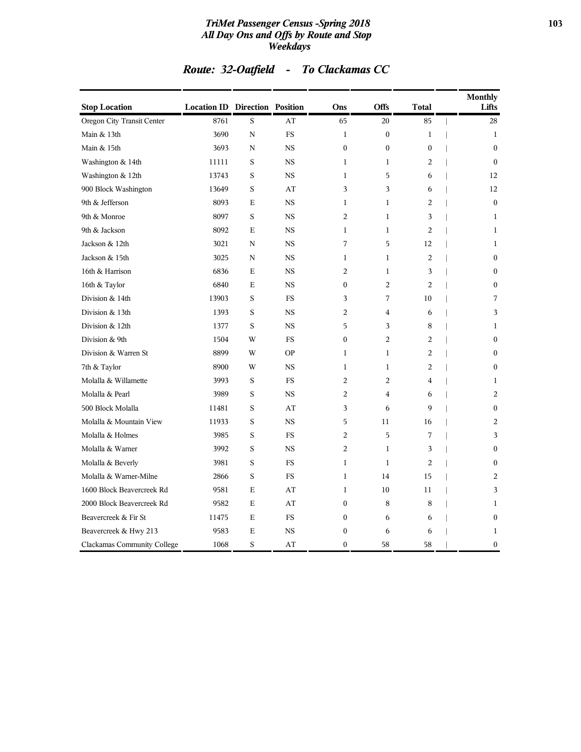### *TriMet Passenger Census -Spring 2018* **103** *All Day Ons and Offs by Route and Stop Weekdays*

| <b>Stop Location</b>        | <b>Location ID Direction Position</b> |             |           | Ons              | Offs             | <b>Total</b>     | <b>Monthly</b><br>Lifts |
|-----------------------------|---------------------------------------|-------------|-----------|------------------|------------------|------------------|-------------------------|
| Oregon City Transit Center  | 8761                                  | S           | AT        | 65               | 20               | 85               | 28                      |
| Main & 13th                 | 3690                                  | $\mathbf N$ | FS        | $\mathbf{1}$     | $\boldsymbol{0}$ | $\mathbf{1}$     | $\mathbf{1}$            |
| Main & 15th                 | 3693                                  | N           | <b>NS</b> | $\boldsymbol{0}$ | $\boldsymbol{0}$ | $\boldsymbol{0}$ | $\mathbf{0}$            |
| Washington & 14th           | 11111                                 | S           | <b>NS</b> | $\mathbf{1}$     | $\mathbf{1}$     | 2                | $\mathbf{0}$            |
| Washington & 12th           | 13743                                 | S           | <b>NS</b> | $\mathbf{1}$     | 5                | 6                | 12                      |
| 900 Block Washington        | 13649                                 | S           | AT        | 3                | 3                | 6                | 12                      |
| 9th & Jefferson             | 8093                                  | E           | <b>NS</b> | $\mathbf{1}$     | $\mathbf{1}$     | $\overline{c}$   | $\theta$                |
| 9th & Monroe                | 8097                                  | S           | <b>NS</b> | $\overline{2}$   | $\mathbf{1}$     | 3                | $\mathbf{1}$            |
| 9th & Jackson               | 8092                                  | Ε           | <b>NS</b> | $\mathbf{1}$     | $\mathbf{1}$     | 2                | 1                       |
| Jackson & 12th              | 3021                                  | N           | <b>NS</b> | 7                | 5                | 12               | 1                       |
| Jackson & 15th              | 3025                                  | N           | <b>NS</b> | $\mathbf{1}$     | $\mathbf{1}$     | 2                | $\boldsymbol{0}$        |
| 16th & Harrison             | 6836                                  | $\mathbf E$ | <b>NS</b> | $\overline{2}$   | $\mathbf{1}$     | 3                | $\theta$                |
| 16th & Taylor               | 6840                                  | $\mathbf E$ | <b>NS</b> | $\mathbf{0}$     | $\overline{2}$   | $\overline{2}$   | $\mathbf{0}$            |
| Division & 14th             | 13903                                 | S           | <b>FS</b> | 3                | 7                | 10               | 7                       |
| Division & 13th             | 1393                                  | S           | <b>NS</b> | 2                | $\overline{4}$   | 6                | 3                       |
| Division & 12th             | 1377                                  | S           | <b>NS</b> | 5                | 3                | 8                | 1                       |
| Division & 9th              | 1504                                  | W           | FS        | $\mathbf{0}$     | $\overline{c}$   | $\overline{c}$   | $\theta$                |
| Division & Warren St        | 8899                                  | W           | <b>OP</b> | $\mathbf{1}$     | $\mathbf{1}$     | $\overline{c}$   | $\Omega$                |
| 7th & Taylor                | 8900                                  | W           | <b>NS</b> | $\mathbf{1}$     | $\mathbf{1}$     | $\overline{c}$   | $\mathbf{0}$            |
| Molalla & Willamette        | 3993                                  | $\mathbf S$ | FS        | $\overline{2}$   | $\overline{2}$   | $\overline{4}$   | $\mathbf{1}$            |
| Molalla & Pearl             | 3989                                  | S           | <b>NS</b> | 2                | $\overline{4}$   | 6                | 2                       |
| 500 Block Molalla           | 11481                                 | S           | AT        | 3                | 6                | 9                | $\mathbf{0}$            |
| Molalla & Mountain View     | 11933                                 | S           | <b>NS</b> | 5                | 11               | 16               | 2                       |
| Molalla & Holmes            | 3985                                  | S           | <b>FS</b> | $\overline{2}$   | 5                | 7                | 3                       |
| Molalla & Warner            | 3992                                  | S           | <b>NS</b> | $\overline{c}$   | $\mathbf{1}$     | 3                | $\mathbf{0}$            |
| Molalla & Beverly           | 3981                                  | S           | FS        | $\mathbf{1}$     | $\mathbf{1}$     | $\overline{2}$   | 0                       |
| Molalla & Warner-Milne      | 2866                                  | S           | FS        | $\mathbf{1}$     | 14               | 15               | 2                       |
| 1600 Block Beavercreek Rd   | 9581                                  | Е           | AT        | 1                | 10               | 11               | 3                       |
| 2000 Block Beavercreek Rd   | 9582                                  | E           | AT        | $\mathbf{0}$     | 8                | 8                | $\mathbf{1}$            |
| Beavercreek & Fir St        | 11475                                 | E           | <b>FS</b> | $\mathbf{0}$     | 6                | 6                | $\mathbf{0}$            |
| Beavercreek & Hwy 213       | 9583                                  | $\mathbf E$ | <b>NS</b> | $\boldsymbol{0}$ | 6                | 6                | $\mathbf{1}$            |
| Clackamas Community College | 1068                                  | S           | AT        | $\mathbf{0}$     | 58               | 58               | 0                       |

# *Route: 32-Oatfield - To Clackamas CC*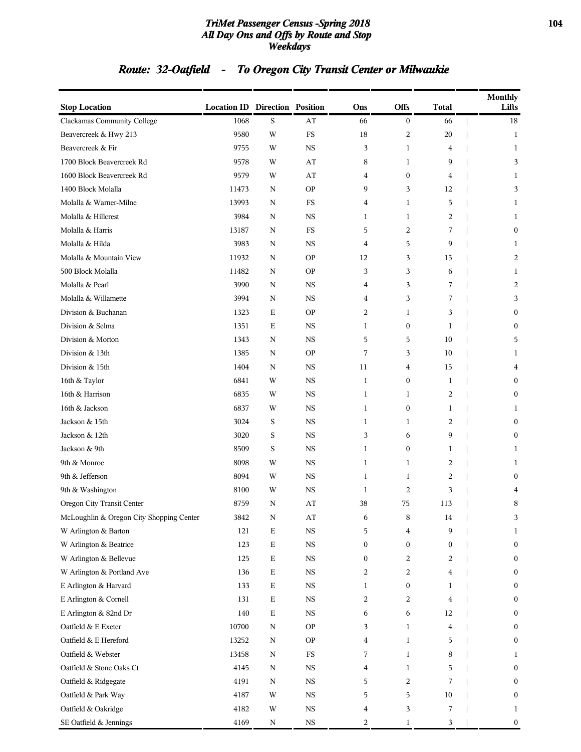### *TriMet Passenger Census -Spring 2018* **104** *All Day Ons and Offs by Route and Stop Weekdays*

# *Route: 32-Oatfield - To Oregon City Transit Center or Milwaukie*

| <b>Stop Location</b>                     | <b>Location ID Direction Position</b> |             |             | Ons              | <b>Offs</b>      | <b>Total</b>     | Monthly<br>Lifts |
|------------------------------------------|---------------------------------------|-------------|-------------|------------------|------------------|------------------|------------------|
| Clackamas Community College              | 1068                                  | S           | AT          | 66               | $\boldsymbol{0}$ | 66               | 18               |
| Beavercreek & Hwy 213                    | 9580                                  | W           | ${\rm FS}$  | 18               | 2                | 20               | 1                |
| Beavercreek & Fir                        | 9755                                  | W           | <b>NS</b>   | 3                | $\mathbf{1}$     | 4                | 1                |
| 1700 Block Beavercreek Rd                | 9578                                  | W           | AT          | 8                | 1                | 9                | 3                |
| 1600 Block Beavercreek Rd                | 9579                                  | W           | AT          | 4                | $\boldsymbol{0}$ | 4                | 1                |
| 1400 Block Molalla                       | 11473                                 | N           | <b>OP</b>   | 9                | 3                | 12               | 3                |
| Molalla & Warner-Milne                   | 13993                                 | N           | $_{\rm FS}$ | 4                | $\mathbf{1}$     | 5                | 1                |
| Molalla & Hillcrest                      | 3984                                  | N           | <b>NS</b>   | $\mathbf{1}$     | $\mathbf{1}$     | $\overline{c}$   | 1                |
| Molalla & Harris                         | 13187                                 | N           | FS          | 5                | $\overline{c}$   | 7                | $\bf{0}$         |
| Molalla & Hilda                          | 3983                                  | N           | <b>NS</b>   | 4                | 5                | 9                | 1                |
| Molalla & Mountain View                  | 11932                                 | N           | <b>OP</b>   | 12               | 3                | 15               | 2                |
| 500 Block Molalla                        | 11482                                 | N           | <b>OP</b>   | 3                | 3                | 6                | 1                |
| Molalla & Pearl                          | 3990                                  | N           | <b>NS</b>   | 4                | 3                | 7                | 2                |
| Molalla & Willamette                     | 3994                                  | N           | <b>NS</b>   | 4                | 3                | 7                | 3                |
| Division & Buchanan                      | 1323                                  | E           | <b>OP</b>   | $\overline{c}$   | 1                | 3                | $\bf{0}$         |
| Division & Selma                         | 1351                                  | Ε           | <b>NS</b>   | 1                | $\boldsymbol{0}$ | 1                | $\boldsymbol{0}$ |
| Division & Morton                        | 1343                                  | N           | <b>NS</b>   | 5                | 5                | 10               | 5                |
| Division & 13th                          | 1385                                  | N           | <b>OP</b>   | 7                | 3                | 10               | 1                |
| Division & 15th                          | 1404                                  | N           | NS          | 11               | 4                | 15               | 4                |
| 16th & Taylor                            | 6841                                  | W           | <b>NS</b>   | 1                | $\boldsymbol{0}$ | 1                | $\bf{0}$         |
| 16th & Harrison                          | 6835                                  | W           | <b>NS</b>   | 1                | 1                | $\overline{2}$   | $\bf{0}$         |
| 16th & Jackson                           | 6837                                  | W           | <b>NS</b>   | 1                | $\boldsymbol{0}$ | 1                | 1                |
| Jackson & 15th                           | 3024                                  | S           | <b>NS</b>   | $\mathbf{1}$     | $\mathbf{1}$     | $\overline{c}$   | $\mathbf{0}$     |
| Jackson & 12th                           | 3020                                  | S           | <b>NS</b>   | 3                | 6                | 9                | $\bf{0}$         |
| Jackson & 9th                            | 8509                                  | S           | <b>NS</b>   | $\mathbf{1}$     | $\boldsymbol{0}$ | $\mathbf{1}$     | 1                |
| 9th & Monroe                             | 8098                                  | W           | <b>NS</b>   | 1                | 1                | $\overline{c}$   | 1                |
| 9th & Jefferson                          | 8094                                  | W           | <b>NS</b>   | $\mathbf{1}$     | $\mathbf{1}$     | $\overline{c}$   | $\boldsymbol{0}$ |
| 9th & Washington                         | 8100                                  | W           | <b>NS</b>   | $\mathbf{1}$     | $\overline{c}$   | 3                | 4                |
| Oregon City Transit Center               | 8759                                  | N           | AT          | 38               | 75               | 113              | 8                |
| McLoughlin & Oregon City Shopping Center | 3842                                  | N           | AT          | 6                | 8                | 14               | 3.               |
| W Arlington & Barton                     | 121                                   | $\mathbf E$ | $_{\rm NS}$ | 5                | 4                | 9                | 1                |
| W Arlington & Beatrice                   | 123                                   | $\mathbf E$ | $_{\rm NS}$ | $\boldsymbol{0}$ | $\boldsymbol{0}$ | $\boldsymbol{0}$ | $\boldsymbol{0}$ |
| W Arlington & Bellevue                   | 125                                   | $\mathbf E$ | $_{\rm NS}$ | $\mathbf{0}$     | 2                | 2                | $\mathbf{0}$     |
| W Arlington & Portland Ave               | 136                                   | $\mathbf E$ | NS          | 2                | 2                | 4                | $\boldsymbol{0}$ |
| E Arlington & Harvard                    | 133                                   | E           | $_{\rm NS}$ | 1                | $\boldsymbol{0}$ | $\mathbf{1}$     | $\bf{0}$         |
| E Arlington & Cornell                    | 131                                   | E           | $_{\rm NS}$ | 2                | 2                | $\overline{4}$   | $\bf{0}$         |
| E Arlington & 82nd Dr                    | 140                                   | $\mathbf E$ | $_{\rm NS}$ | 6                | 6                | 12               | $\bf{0}$         |
| Oatfield & E Exeter                      | 10700                                 | $\mathbf N$ | <b>OP</b>   | 3                | $\mathbf{1}$     | 4                | $\mathbf{0}$     |
| Oatfield & E Hereford                    | 13252                                 | N           | <b>OP</b>   | 4                | 1                | 5                | $\bf{0}$         |
| Oatfield & Webster                       | 13458                                 | $\mathbf N$ | $_{\rm FS}$ | 7                | $\mathbf{1}$     | 8                | 1                |
| Oatfield & Stone Oaks Ct                 | 4145                                  | N           | $_{\rm NS}$ | 4                | 1                | 5                | $\bf{0}$         |
| Oatfield & Ridgegate                     | 4191                                  | N           | $_{\rm NS}$ | 5                | 2                | 7                | $\bf{0}$         |
| Oatfield & Park Way                      | 4187                                  | W           | $_{\rm NS}$ | 5                | 5                | 10               | $\mathbf{0}$     |
| Oatfield & Oakridge                      | 4182                                  | W           | NS          | 4                | 3                | 7                | 1                |
| SE Oatfield & Jennings                   | 4169                                  | N           | $_{\rm NS}$ | 2                | $\mathbf{1}$     | 3                | $\boldsymbol{0}$ |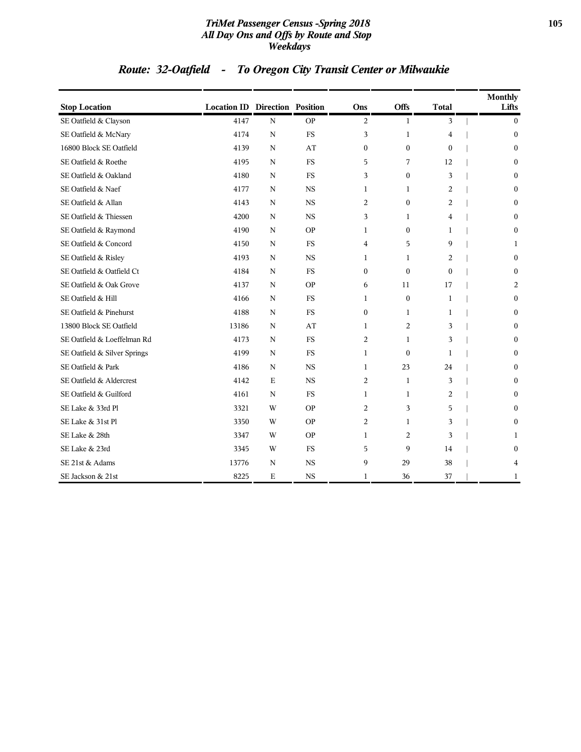### *TriMet Passenger Census -Spring 2018* **105** *All Day Ons and Offs by Route and Stop Weekdays*

# *Route: 32-Oatfield - To Oregon City Transit Center or Milwaukie*

| <b>Stop Location</b>         | <b>Location ID Direction Position</b> |             |           | Ons            | Offs             | <b>Total</b>   | <b>Monthly</b><br>Lifts |
|------------------------------|---------------------------------------|-------------|-----------|----------------|------------------|----------------|-------------------------|
| SE Oatfield & Clayson        | 4147                                  | $\mathbf N$ | <b>OP</b> | 2              | 1                | 3              | $\mathbf{0}$            |
| SE Oatfield & McNary         | 4174                                  | N           | <b>FS</b> | 3              | $\mathbf{1}$     | 4              | $\mathbf{0}$            |
| 16800 Block SE Oatfield      | 4139                                  | N           | AT        | $\mathbf{0}$   | $\mathbf{0}$     | $\mathbf{0}$   | $\mathbf{0}$            |
| SE Oatfield & Roethe         | 4195                                  | N           | <b>FS</b> | 5              | 7                | 12             | $\mathbf{0}$            |
| SE Oatfield & Oakland        | 4180                                  | N           | <b>FS</b> | 3              | $\boldsymbol{0}$ | 3              | $\mathbf{0}$            |
| SE Oatfield & Naef           | 4177                                  | $\mathbf N$ | <b>NS</b> | 1              | 1                | $\overline{c}$ | $\boldsymbol{0}$        |
| SE Oatfield & Allan          | 4143                                  | $\mathbf N$ | <b>NS</b> | 2              | $\mathbf{0}$     | 2              | $\boldsymbol{0}$        |
| SE Oatfield & Thiessen       | 4200                                  | $\mathbf N$ | <b>NS</b> | 3              | 1                | 4              | $\boldsymbol{0}$        |
| SE Oatfield & Raymond        | 4190                                  | N           | <b>OP</b> | 1              | $\boldsymbol{0}$ | 1              | $\boldsymbol{0}$        |
| SE Oatfield & Concord        | 4150                                  | $\mathbf N$ | <b>FS</b> | 4              | 5                | 9              | 1                       |
| SE Oatfield & Risley         | 4193                                  | N           | <b>NS</b> | 1              | 1                | 2              | $\boldsymbol{0}$        |
| SE Oatfield & Oatfield Ct    | 4184                                  | N           | <b>FS</b> | $\mathbf{0}$   | $\mathbf{0}$     | $\Omega$       | $\mathbf{0}$            |
| SE Oatfield & Oak Grove      | 4137                                  | N           | <b>OP</b> | 6              | 11               | 17             | 2                       |
| SE Oatfield & Hill           | 4166                                  | N           | <b>FS</b> | $\mathbf{1}$   | $\mathbf{0}$     | $\mathbf{1}$   | $\boldsymbol{0}$        |
| SE Oatfield & Pinehurst      | 4188                                  | N           | <b>FS</b> | $\mathbf{0}$   | $\mathbf{1}$     | $\mathbf{1}$   | $\mathbf{0}$            |
| 13800 Block SE Oatfield      | 13186                                 | $\mathbf N$ | AT        | $\mathbf{1}$   | $\overline{c}$   | 3              | $\boldsymbol{0}$        |
| SE Oatfield & Loeffelman Rd  | 4173                                  | $\mathbf N$ | <b>FS</b> | 2              | 1                | 3              | $\boldsymbol{0}$        |
| SE Oatfield & Silver Springs | 4199                                  | $\mathbf N$ | <b>FS</b> | $\mathbf{1}$   | $\boldsymbol{0}$ | 1              | $\boldsymbol{0}$        |
| SE Oatfield & Park           | 4186                                  | N           | <b>NS</b> | 1              | 23               | 24             | $\mathbf{0}$            |
| SE Oatfield & Aldercrest     | 4142                                  | $\mathbf E$ | <b>NS</b> | 2              | $\mathbf{1}$     | 3              | $\mathbf{0}$            |
| SE Oatfield & Guilford       | 4161                                  | $\mathbf N$ | <b>FS</b> | 1              | 1                | 2              | $\boldsymbol{0}$        |
| SE Lake & 33rd Pl            | 3321                                  | W           | <b>OP</b> | 2              | 3                | 5              | $\mathbf{0}$            |
| SE Lake & 31st Pl            | 3350                                  | W           | <b>OP</b> | $\overline{c}$ | $\mathbf{1}$     | 3              | $\boldsymbol{0}$        |
| SE Lake & 28th               | 3347                                  | W           | <b>OP</b> | $\mathbf{1}$   | $\overline{2}$   | 3              | 1                       |
| SE Lake & 23rd               | 3345                                  | W           | <b>FS</b> | 5              | 9                | 14             | 0                       |
| SE 21st & Adams              | 13776                                 | N           | <b>NS</b> | 9              | 29               | 38             | 4                       |
| SE Jackson & 21st            | 8225                                  | $\mathbf E$ | <b>NS</b> | 1              | 36               | 37             | 1                       |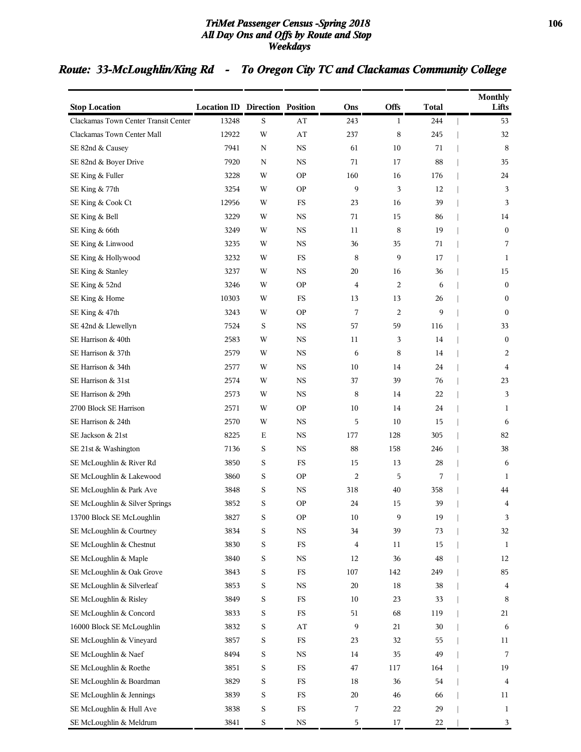### *TriMet Passenger Census -Spring 2018* **106** *All Day Ons and Offs by Route and Stop Weekdays*

# *Route: 33-McLoughlin/King Rd - To Oregon City TC and Clackamas Community College*

| Offs<br><b>Stop Location</b><br><b>Location ID Direction Position</b><br><b>Total</b><br>Lifts<br>Ons<br>S<br>Clackamas Town Center Transit Center<br>13248<br>AT<br>243<br>$\mathbf{1}$<br>244<br>53<br>8<br>Clackamas Town Center Mall<br>12922<br>W<br>AT<br>237<br>245<br>32<br>$_{\rm NS}$<br>61<br>10<br>8<br>SE 82nd & Causey<br>7941<br>N<br>71<br>SE 82nd & Boyer Drive<br>7920<br><b>NS</b><br>71<br>17<br>88<br>35<br>N<br><b>OP</b><br>160<br>16<br>24<br>SE King & Fuller<br>3228<br>W<br>176<br>9<br>W<br><b>OP</b><br>3<br>12<br>SE King & 77th<br>3254<br>3<br>FS<br>39<br>3<br>SE King & Cook Ct<br>12956<br>W<br>23<br>16<br>SE King & Bell<br><b>NS</b><br>71<br>3229<br>W<br>15<br>86<br>14<br>SE King & 66th<br>W<br><b>NS</b><br>11<br>8<br>19<br>$\boldsymbol{0}$<br>3249<br>$_{\rm NS}$<br>36<br>7<br>SE King & Linwood<br>3235<br>W<br>35<br>71<br>SE King & Hollywood<br>W<br>FS<br>8<br>9<br>17<br>$\mathbf{1}$<br>3232<br>SE King & Stanley<br><b>NS</b><br>20<br>3237<br>W<br>16<br>36<br>15<br>SE King & 52nd<br>W<br><b>OP</b><br>2<br>$\boldsymbol{0}$<br>3246<br>4<br>6<br>SE King & Home<br>10303<br>W<br>FS<br>13<br>13<br>26<br>$\bf{0}$<br>7<br>9<br><b>OP</b><br>2<br>$\boldsymbol{0}$<br>SE King & 47th<br>3243<br>W<br>SE 42nd & Llewellyn<br>S<br><b>NS</b><br>57<br>59<br>33<br>7524<br>116<br>SE Harrison & 40th<br><b>NS</b><br>14<br>$\boldsymbol{0}$<br>2583<br>W<br>11<br>3<br>SE Harrison & 37th<br>W<br><b>NS</b><br>8<br>14<br>2579<br>6<br>2<br>SE Harrison & 34th<br>W<br><b>NS</b><br>10<br>14<br>24<br>$\overline{4}$<br>2577<br>SE Harrison & 31st<br>$_{\rm NS}$<br>37<br>39<br>76<br>23<br>2574<br>W<br>SE Harrison & 29th<br>W<br>$_{\rm NS}$<br>8<br>22<br>3<br>2573<br>14 |
|---------------------------------------------------------------------------------------------------------------------------------------------------------------------------------------------------------------------------------------------------------------------------------------------------------------------------------------------------------------------------------------------------------------------------------------------------------------------------------------------------------------------------------------------------------------------------------------------------------------------------------------------------------------------------------------------------------------------------------------------------------------------------------------------------------------------------------------------------------------------------------------------------------------------------------------------------------------------------------------------------------------------------------------------------------------------------------------------------------------------------------------------------------------------------------------------------------------------------------------------------------------------------------------------------------------------------------------------------------------------------------------------------------------------------------------------------------------------------------------------------------------------------------------------------------------------------------------------------------------------------------------------------------------------------------------------------------------------------------------|
|                                                                                                                                                                                                                                                                                                                                                                                                                                                                                                                                                                                                                                                                                                                                                                                                                                                                                                                                                                                                                                                                                                                                                                                                                                                                                                                                                                                                                                                                                                                                                                                                                                                                                                                                       |
|                                                                                                                                                                                                                                                                                                                                                                                                                                                                                                                                                                                                                                                                                                                                                                                                                                                                                                                                                                                                                                                                                                                                                                                                                                                                                                                                                                                                                                                                                                                                                                                                                                                                                                                                       |
|                                                                                                                                                                                                                                                                                                                                                                                                                                                                                                                                                                                                                                                                                                                                                                                                                                                                                                                                                                                                                                                                                                                                                                                                                                                                                                                                                                                                                                                                                                                                                                                                                                                                                                                                       |
|                                                                                                                                                                                                                                                                                                                                                                                                                                                                                                                                                                                                                                                                                                                                                                                                                                                                                                                                                                                                                                                                                                                                                                                                                                                                                                                                                                                                                                                                                                                                                                                                                                                                                                                                       |
|                                                                                                                                                                                                                                                                                                                                                                                                                                                                                                                                                                                                                                                                                                                                                                                                                                                                                                                                                                                                                                                                                                                                                                                                                                                                                                                                                                                                                                                                                                                                                                                                                                                                                                                                       |
|                                                                                                                                                                                                                                                                                                                                                                                                                                                                                                                                                                                                                                                                                                                                                                                                                                                                                                                                                                                                                                                                                                                                                                                                                                                                                                                                                                                                                                                                                                                                                                                                                                                                                                                                       |
|                                                                                                                                                                                                                                                                                                                                                                                                                                                                                                                                                                                                                                                                                                                                                                                                                                                                                                                                                                                                                                                                                                                                                                                                                                                                                                                                                                                                                                                                                                                                                                                                                                                                                                                                       |
|                                                                                                                                                                                                                                                                                                                                                                                                                                                                                                                                                                                                                                                                                                                                                                                                                                                                                                                                                                                                                                                                                                                                                                                                                                                                                                                                                                                                                                                                                                                                                                                                                                                                                                                                       |
|                                                                                                                                                                                                                                                                                                                                                                                                                                                                                                                                                                                                                                                                                                                                                                                                                                                                                                                                                                                                                                                                                                                                                                                                                                                                                                                                                                                                                                                                                                                                                                                                                                                                                                                                       |
|                                                                                                                                                                                                                                                                                                                                                                                                                                                                                                                                                                                                                                                                                                                                                                                                                                                                                                                                                                                                                                                                                                                                                                                                                                                                                                                                                                                                                                                                                                                                                                                                                                                                                                                                       |
|                                                                                                                                                                                                                                                                                                                                                                                                                                                                                                                                                                                                                                                                                                                                                                                                                                                                                                                                                                                                                                                                                                                                                                                                                                                                                                                                                                                                                                                                                                                                                                                                                                                                                                                                       |
|                                                                                                                                                                                                                                                                                                                                                                                                                                                                                                                                                                                                                                                                                                                                                                                                                                                                                                                                                                                                                                                                                                                                                                                                                                                                                                                                                                                                                                                                                                                                                                                                                                                                                                                                       |
|                                                                                                                                                                                                                                                                                                                                                                                                                                                                                                                                                                                                                                                                                                                                                                                                                                                                                                                                                                                                                                                                                                                                                                                                                                                                                                                                                                                                                                                                                                                                                                                                                                                                                                                                       |
|                                                                                                                                                                                                                                                                                                                                                                                                                                                                                                                                                                                                                                                                                                                                                                                                                                                                                                                                                                                                                                                                                                                                                                                                                                                                                                                                                                                                                                                                                                                                                                                                                                                                                                                                       |
|                                                                                                                                                                                                                                                                                                                                                                                                                                                                                                                                                                                                                                                                                                                                                                                                                                                                                                                                                                                                                                                                                                                                                                                                                                                                                                                                                                                                                                                                                                                                                                                                                                                                                                                                       |
|                                                                                                                                                                                                                                                                                                                                                                                                                                                                                                                                                                                                                                                                                                                                                                                                                                                                                                                                                                                                                                                                                                                                                                                                                                                                                                                                                                                                                                                                                                                                                                                                                                                                                                                                       |
|                                                                                                                                                                                                                                                                                                                                                                                                                                                                                                                                                                                                                                                                                                                                                                                                                                                                                                                                                                                                                                                                                                                                                                                                                                                                                                                                                                                                                                                                                                                                                                                                                                                                                                                                       |
|                                                                                                                                                                                                                                                                                                                                                                                                                                                                                                                                                                                                                                                                                                                                                                                                                                                                                                                                                                                                                                                                                                                                                                                                                                                                                                                                                                                                                                                                                                                                                                                                                                                                                                                                       |
|                                                                                                                                                                                                                                                                                                                                                                                                                                                                                                                                                                                                                                                                                                                                                                                                                                                                                                                                                                                                                                                                                                                                                                                                                                                                                                                                                                                                                                                                                                                                                                                                                                                                                                                                       |
|                                                                                                                                                                                                                                                                                                                                                                                                                                                                                                                                                                                                                                                                                                                                                                                                                                                                                                                                                                                                                                                                                                                                                                                                                                                                                                                                                                                                                                                                                                                                                                                                                                                                                                                                       |
|                                                                                                                                                                                                                                                                                                                                                                                                                                                                                                                                                                                                                                                                                                                                                                                                                                                                                                                                                                                                                                                                                                                                                                                                                                                                                                                                                                                                                                                                                                                                                                                                                                                                                                                                       |
| 2700 Block SE Harrison<br><b>OP</b><br>10<br>24<br>2571<br>W<br>14<br>$\mathbf{1}$                                                                                                                                                                                                                                                                                                                                                                                                                                                                                                                                                                                                                                                                                                                                                                                                                                                                                                                                                                                                                                                                                                                                                                                                                                                                                                                                                                                                                                                                                                                                                                                                                                                    |
| SE Harrison & 24th<br>W<br><b>NS</b><br>5<br>10<br>15<br>2570<br>6                                                                                                                                                                                                                                                                                                                                                                                                                                                                                                                                                                                                                                                                                                                                                                                                                                                                                                                                                                                                                                                                                                                                                                                                                                                                                                                                                                                                                                                                                                                                                                                                                                                                    |
| SE Jackson & 21st<br>8225<br>$\mathbf E$<br><b>NS</b><br>177<br>128<br>305<br>82                                                                                                                                                                                                                                                                                                                                                                                                                                                                                                                                                                                                                                                                                                                                                                                                                                                                                                                                                                                                                                                                                                                                                                                                                                                                                                                                                                                                                                                                                                                                                                                                                                                      |
| S<br>$_{\rm NS}$<br>88<br>38<br>SE 21st & Washington<br>7136<br>158<br>246                                                                                                                                                                                                                                                                                                                                                                                                                                                                                                                                                                                                                                                                                                                                                                                                                                                                                                                                                                                                                                                                                                                                                                                                                                                                                                                                                                                                                                                                                                                                                                                                                                                            |
| SE McLoughlin & River Rd<br>3850<br>S<br>FS<br>15<br>13<br>28<br>6                                                                                                                                                                                                                                                                                                                                                                                                                                                                                                                                                                                                                                                                                                                                                                                                                                                                                                                                                                                                                                                                                                                                                                                                                                                                                                                                                                                                                                                                                                                                                                                                                                                                    |
| S<br>$\overline{c}$<br>SE McLoughlin & Lakewood<br>3860<br><b>OP</b><br>5<br>7<br>1                                                                                                                                                                                                                                                                                                                                                                                                                                                                                                                                                                                                                                                                                                                                                                                                                                                                                                                                                                                                                                                                                                                                                                                                                                                                                                                                                                                                                                                                                                                                                                                                                                                   |
| SE McLoughlin & Park Ave<br>S<br><b>NS</b><br>318<br>40<br>358<br>3848<br>44                                                                                                                                                                                                                                                                                                                                                                                                                                                                                                                                                                                                                                                                                                                                                                                                                                                                                                                                                                                                                                                                                                                                                                                                                                                                                                                                                                                                                                                                                                                                                                                                                                                          |
| 3852<br>S<br><b>OP</b><br>24<br>15<br>39<br>SE McLoughlin & Silver Springs<br>4                                                                                                                                                                                                                                                                                                                                                                                                                                                                                                                                                                                                                                                                                                                                                                                                                                                                                                                                                                                                                                                                                                                                                                                                                                                                                                                                                                                                                                                                                                                                                                                                                                                       |
| 13700 Block SE McLoughlin<br>3827<br>S<br><b>OP</b><br>$10\,$<br>9<br>$19\,$<br>3                                                                                                                                                                                                                                                                                                                                                                                                                                                                                                                                                                                                                                                                                                                                                                                                                                                                                                                                                                                                                                                                                                                                                                                                                                                                                                                                                                                                                                                                                                                                                                                                                                                     |
| SE McLoughlin & Courtney<br>S<br>$_{\rm NS}$<br>39<br>73<br>32<br>3834<br>34                                                                                                                                                                                                                                                                                                                                                                                                                                                                                                                                                                                                                                                                                                                                                                                                                                                                                                                                                                                                                                                                                                                                                                                                                                                                                                                                                                                                                                                                                                                                                                                                                                                          |
| SE McLoughlin & Chestnut<br>3830<br>S<br>FS<br>11<br>15<br>4<br>$\mathbf{1}$                                                                                                                                                                                                                                                                                                                                                                                                                                                                                                                                                                                                                                                                                                                                                                                                                                                                                                                                                                                                                                                                                                                                                                                                                                                                                                                                                                                                                                                                                                                                                                                                                                                          |
| SE McLoughlin & Maple<br>$\mathbf S$<br>$_{\rm NS}$<br>12<br>36<br>$\rm 48$<br>3840<br>12                                                                                                                                                                                                                                                                                                                                                                                                                                                                                                                                                                                                                                                                                                                                                                                                                                                                                                                                                                                                                                                                                                                                                                                                                                                                                                                                                                                                                                                                                                                                                                                                                                             |
| SE McLoughlin & Oak Grove<br>S<br>$_{\rm FS}$<br>107<br>142<br>249<br>85<br>3843                                                                                                                                                                                                                                                                                                                                                                                                                                                                                                                                                                                                                                                                                                                                                                                                                                                                                                                                                                                                                                                                                                                                                                                                                                                                                                                                                                                                                                                                                                                                                                                                                                                      |
| SE McLoughlin & Silverleaf<br>$\mathbf S$<br>$_{\rm NS}$<br>20<br>18<br>38<br>3853<br>$\overline{4}$                                                                                                                                                                                                                                                                                                                                                                                                                                                                                                                                                                                                                                                                                                                                                                                                                                                                                                                                                                                                                                                                                                                                                                                                                                                                                                                                                                                                                                                                                                                                                                                                                                  |
| SE McLoughlin & Risley<br>S<br>$_{\rm FS}$<br>10<br>23<br>33<br>8<br>3849                                                                                                                                                                                                                                                                                                                                                                                                                                                                                                                                                                                                                                                                                                                                                                                                                                                                                                                                                                                                                                                                                                                                                                                                                                                                                                                                                                                                                                                                                                                                                                                                                                                             |
| SE McLoughlin & Concord<br>S<br>$_{\rm FS}$<br>51<br>68<br>119<br>3833<br>21                                                                                                                                                                                                                                                                                                                                                                                                                                                                                                                                                                                                                                                                                                                                                                                                                                                                                                                                                                                                                                                                                                                                                                                                                                                                                                                                                                                                                                                                                                                                                                                                                                                          |
| 16000 Block SE McLoughlin<br>$\mathbf S$<br>$\mathbf{A}\mathbf{T}$<br>9<br>21<br>30<br>3832<br>6                                                                                                                                                                                                                                                                                                                                                                                                                                                                                                                                                                                                                                                                                                                                                                                                                                                                                                                                                                                                                                                                                                                                                                                                                                                                                                                                                                                                                                                                                                                                                                                                                                      |
| SE McLoughlin & Vineyard<br>S<br>$_{\rm FS}$<br>55<br>3857<br>23<br>32<br>11                                                                                                                                                                                                                                                                                                                                                                                                                                                                                                                                                                                                                                                                                                                                                                                                                                                                                                                                                                                                                                                                                                                                                                                                                                                                                                                                                                                                                                                                                                                                                                                                                                                          |
| SE McLoughlin & Naef<br>$\mathbf S$<br>$_{\rm NS}$<br>49<br>$\overline{7}$<br>8494<br>14<br>35                                                                                                                                                                                                                                                                                                                                                                                                                                                                                                                                                                                                                                                                                                                                                                                                                                                                                                                                                                                                                                                                                                                                                                                                                                                                                                                                                                                                                                                                                                                                                                                                                                        |
| SE McLoughlin & Roethe<br>S<br>$_{\rm FS}$<br>19<br>3851<br>47<br>117<br>164                                                                                                                                                                                                                                                                                                                                                                                                                                                                                                                                                                                                                                                                                                                                                                                                                                                                                                                                                                                                                                                                                                                                                                                                                                                                                                                                                                                                                                                                                                                                                                                                                                                          |
| SE McLoughlin & Boardman<br>S<br>FS<br>36<br>54<br>3829<br>18<br>4                                                                                                                                                                                                                                                                                                                                                                                                                                                                                                                                                                                                                                                                                                                                                                                                                                                                                                                                                                                                                                                                                                                                                                                                                                                                                                                                                                                                                                                                                                                                                                                                                                                                    |
| SE McLoughlin & Jennings<br>S<br>$_{\rm FS}$<br>20<br>66<br>3839<br>46<br>11                                                                                                                                                                                                                                                                                                                                                                                                                                                                                                                                                                                                                                                                                                                                                                                                                                                                                                                                                                                                                                                                                                                                                                                                                                                                                                                                                                                                                                                                                                                                                                                                                                                          |
| SE McLoughlin & Hull Ave<br>3838<br>S<br>FS<br>7<br>29<br>22<br>$\mathbf{1}$<br>SE McLoughlin & Meldrum<br>$\mathbf S$<br>$_{\rm NS}$<br>5<br>22<br>3841<br>17<br>3                                                                                                                                                                                                                                                                                                                                                                                                                                                                                                                                                                                                                                                                                                                                                                                                                                                                                                                                                                                                                                                                                                                                                                                                                                                                                                                                                                                                                                                                                                                                                                   |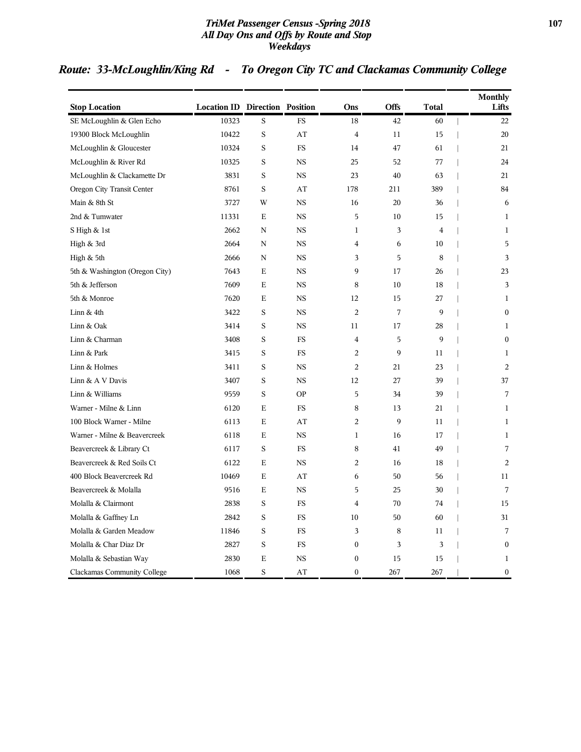### *TriMet Passenger Census -Spring 2018* **107** *All Day Ons and Offs by Route and Stop Weekdays*

# *Route: 33-McLoughlin/King Rd - To Oregon City TC and Clackamas Community College*

| <b>Stop Location</b>               | <b>Location ID Direction Position</b> |             |             | Ons              | <b>Offs</b> | Total          | <b>Monthly</b><br>Lifts        |
|------------------------------------|---------------------------------------|-------------|-------------|------------------|-------------|----------------|--------------------------------|
| SE McLoughlin & Glen Echo          | 10323                                 | S           | <b>FS</b>   | 18               | 42          | 60             | 22<br>$\overline{\phantom{a}}$ |
| 19300 Block McLoughlin             | 10422                                 | S           | AT          | $\overline{4}$   | 11          | 15             | 20                             |
| McLoughlin & Gloucester            | 10324                                 | S           | <b>FS</b>   | 14               | 47          | 61             | 21                             |
| McLoughlin & River Rd              | 10325                                 | S           | <b>NS</b>   | 25               | 52          | 77             | 24<br>I                        |
| McLoughlin & Clackamette Dr        | 3831                                  | S           | <b>NS</b>   | 23               | 40          | 63             | 21                             |
| Oregon City Transit Center         | 8761                                  | S           | AT          | 178              | 211         | 389            | 84                             |
| Main & 8th St                      | 3727                                  | W           | $_{\rm NS}$ | 16               | 20          | 36             | 6                              |
| 2nd & Tumwater                     | 11331                                 | Е           | <b>NS</b>   | 5                | 10          | 15             | $\mathbf{1}$                   |
| S High & 1st                       | 2662                                  | N           | <b>NS</b>   | $\mathbf 1$      | 3           | $\overline{4}$ | 1                              |
| High & 3rd                         | 2664                                  | N           | $_{\rm NS}$ | 4                | 6           | 10             | 5                              |
| High & 5th                         | 2666                                  | N           | <b>NS</b>   | 3                | 5           | 8              | 3                              |
| 5th & Washington (Oregon City)     | 7643                                  | Е           | <b>NS</b>   | 9                | 17          | 26             | 23                             |
| 5th & Jefferson                    | 7609                                  | Е           | <b>NS</b>   | 8                | 10          | 18             | 3                              |
| 5th & Monroe                       | 7620                                  | Е           | <b>NS</b>   | 12               | 15          | 27             | 1                              |
| Linn & 4th                         | 3422                                  | S           | <b>NS</b>   | $\overline{c}$   | 7           | 9              | $\boldsymbol{0}$               |
| Linn & Oak                         | 3414                                  | S           | <b>NS</b>   | 11               | 17          | 28             | 1                              |
| Linn & Charman                     | 3408                                  | S           | FS          | $\overline{4}$   | 5           | 9              | $\boldsymbol{0}$               |
| Linn & Park                        | 3415                                  | $\mathbf S$ | <b>FS</b>   | $\overline{c}$   | 9           | 11             | $\mathbf{1}$                   |
| Linn & Holmes                      | 3411                                  | $\rm S$     | $_{\rm NS}$ | $\overline{c}$   | 21          | 23             | 2                              |
| Linn & A V Davis                   | 3407                                  | $\rm S$     | $_{\rm NS}$ | 12               | 27          | 39             | 37                             |
| Linn & Williams                    | 9559                                  | S           | <b>OP</b>   | 5                | 34          | 39             | 7                              |
| Warner - Milne & Linn              | 6120                                  | E           | <b>FS</b>   | 8                | 13          | 21             | $\mathbf{1}$                   |
| 100 Block Warner - Milne           | 6113                                  | E           | AT          | $\overline{2}$   | 9           | 11             | $\mathbf{1}$                   |
| Warner - Milne & Beavercreek       | 6118                                  | E           | <b>NS</b>   | $\mathbf{1}$     | 16          | 17             | $\mathbf{1}$                   |
| Beavercreek & Library Ct           | 6117                                  | S           | <b>FS</b>   | 8                | 41          | 49             | 7                              |
| Beavercreek & Red Soils Ct         | 6122                                  | $\mathbf E$ | <b>NS</b>   | $\overline{a}$   | 16          | 18             | $\overline{2}$                 |
| 400 Block Beavercreek Rd           | 10469                                 | E           | AT          | 6                | 50          | 56             | 11                             |
| Beavercreek & Molalla              | 9516                                  | Е           | <b>NS</b>   | 5                | 25          | 30             | 7                              |
| Molalla & Clairmont                | 2838                                  | S           | <b>FS</b>   | $\overline{4}$   | 70          | 74             | 15                             |
| Molalla & Gaffney Ln               | 2842                                  | S           | <b>FS</b>   | 10               | 50          | 60             | 31                             |
| Molalla & Garden Meadow            | 11846                                 | S           | <b>FS</b>   | 3                | 8           | 11             | 7                              |
| Molalla & Char Diaz Dr             | 2827                                  | S           | <b>FS</b>   | $\boldsymbol{0}$ | 3           | 3              | $\boldsymbol{0}$               |
| Molalla & Sebastian Way            | 2830                                  | Е           | <b>NS</b>   | $\boldsymbol{0}$ | 15          | 15             | 1                              |
| <b>Clackamas Community College</b> | 1068                                  | S           | AT          | $\mathbf{0}$     | 267         | 267            | $\boldsymbol{0}$               |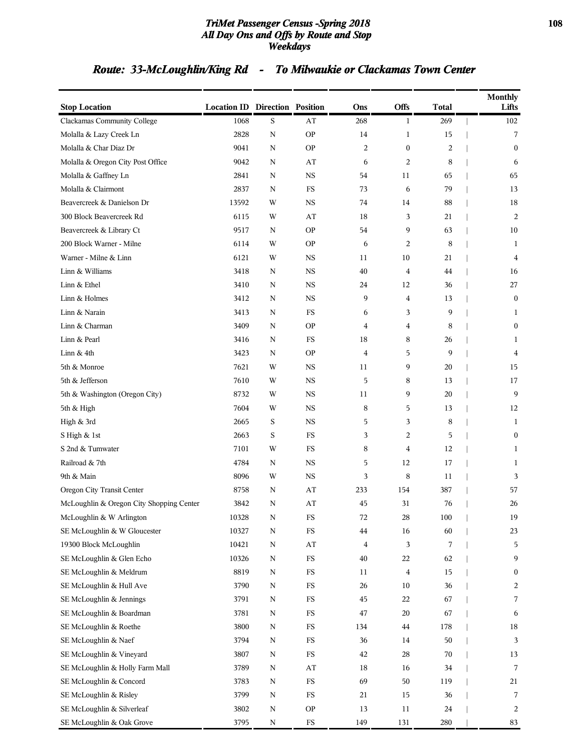### *TriMet Passenger Census -Spring 2018* **108** *All Day Ons and Offs by Route and Stop Weekdays*

# *Route: 33-McLoughlin/King Rd - To Milwaukie or Clackamas Town Center*

| <b>Stop Location</b>                     | <b>Location ID Direction Position</b> |             |                        | Ons | <b>Offs</b>             | <b>Total</b> | <b>Monthly</b><br>Lifts |
|------------------------------------------|---------------------------------------|-------------|------------------------|-----|-------------------------|--------------|-------------------------|
| Clackamas Community College              | 1068                                  | S           | AT                     | 268 | $\mathbf{1}$            | 269          | 102                     |
| Molalla & Lazy Creek Ln                  | 2828                                  | ${\bf N}$   | <b>OP</b>              | 14  | $\mathbf{1}$            | 15           | 7                       |
| Molalla & Char Diaz Dr                   | 9041                                  | N           | <b>OP</b>              | 2   | $\boldsymbol{0}$        | 2            | $\mathbf{0}$            |
| Molalla & Oregon City Post Office        | 9042                                  | N           | AT                     | 6   | $\overline{2}$          | 8            | 6                       |
| Molalla & Gaffney Ln                     | 2841                                  | N           | <b>NS</b>              | 54  | 11                      | 65           | 65                      |
| Molalla & Clairmont                      | 2837                                  | N           | FS                     | 73  | 6                       | 79           | 13                      |
| Beavercreek & Danielson Dr               | 13592                                 | W           | <b>NS</b>              | 74  | 14                      | 88           | 18                      |
| 300 Block Beavercreek Rd                 | 6115                                  | W           | AT                     | 18  | 3                       | 21           | $\overline{c}$          |
| Beavercreek & Library Ct                 | 9517                                  | N           | <b>OP</b>              | 54  | 9                       | 63           | 10                      |
| 200 Block Warner - Milne                 | 6114                                  | W           | <b>OP</b>              | 6   | $\overline{2}$          | 8            | 1                       |
| Warner - Milne & Linn                    | 6121                                  | W           | <b>NS</b>              | 11  | 10                      | 21           | $\overline{4}$          |
| Linn & Williams                          | 3418                                  | N           | NS                     | 40  | $\overline{\mathbf{4}}$ | 44           | 16                      |
| Linn & Ethel                             | 3410                                  | N           | <b>NS</b>              | 24  | 12                      | 36           | 27                      |
| Linn & Holmes                            | 3412                                  | N           | <b>NS</b>              | 9   | 4                       | 13           | $\boldsymbol{0}$        |
| Linn & Narain                            | 3413                                  | N           | FS                     | 6   | 3                       | 9            | 1                       |
| Linn & Charman                           | 3409                                  | N           | <b>OP</b>              | 4   | 4                       | 8            | 0                       |
| Linn & Pearl                             | 3416                                  | N           | FS                     | 18  | 8                       | 26           | 1                       |
| Linn $&$ 4th                             | 3423                                  | N           | <b>OP</b>              | 4   | 5                       | 9            | 4                       |
| 5th & Monroe                             | 7621                                  | W           | <b>NS</b>              | 11  | 9                       | 20           | 15                      |
| 5th & Jefferson                          | 7610                                  | W           | <b>NS</b>              | 5   | 8                       | 13           | 17                      |
| 5th & Washington (Oregon City)           | 8732                                  | W           | <b>NS</b>              | 11  | 9                       | 20           | 9                       |
| 5th & High                               | 7604                                  | W           | <b>NS</b>              | 8   | 5                       | 13           | 12                      |
| High & 3rd                               | 2665                                  | S           | <b>NS</b>              | 5   | 3                       | 8            | 1                       |
| S High & 1st                             | 2663                                  | S           | FS                     | 3   | $\overline{2}$          | 5            | 0                       |
| S 2nd & Tumwater                         | 7101                                  | W           | FS                     | 8   | 4                       | 12           | 1                       |
| Railroad & 7th                           | 4784                                  | N           | <b>NS</b>              | 5   | 12                      | 17           | 1                       |
| 9th & Main                               | 8096                                  | W           | <b>NS</b>              | 3   | 8                       | 11           | 3                       |
| Oregon City Transit Center               | 8758                                  | N           | AT                     | 233 | 154                     | 387          | 57                      |
| McLoughlin & Oregon City Shopping Center | 3842                                  | N           | AT                     | 45  | 31                      | 76           | 26                      |
| McLoughlin & W Arlington                 | 10328                                 | N           | $_{\rm FS}$            | 72  | 28                      | 100          | 19                      |
| SE McLoughlin & W Gloucester             | 10327                                 | N           | FS                     | 44  | 16                      | 60           | 23                      |
| 19300 Block McLoughlin                   | 10421                                 | $\mathbf N$ | $\mathbf{A}\mathbf{T}$ | 4   | 3                       | 7            | 5                       |
| SE McLoughlin & Glen Echo                | 10326                                 | $\mathbf N$ | $_{\rm FS}$            | 40  | 22                      | 62           | 9                       |
| SE McLoughlin & Meldrum                  | 8819                                  | N           | $_{\rm FS}$            | 11  | 4                       | 15           | 0                       |
| SE McLoughlin & Hull Ave                 | 3790                                  | N           | $_{\rm FS}$            | 26  | $10\,$                  | 36           | 2                       |
| SE McLoughlin & Jennings                 | 3791                                  | N           | $_{\rm FS}$            | 45  | 22                      | 67           | 7                       |
| SE McLoughlin & Boardman                 | 3781                                  | N           | $_{\rm FS}$            | 47  | 20                      | 67           | 6                       |
| SE McLoughlin & Roethe                   | 3800                                  | $\mathbf N$ | $_{\rm FS}$            | 134 | 44                      | 178          | 18                      |
| SE McLoughlin & Naef                     | 3794                                  | N           | $_{\rm FS}$            | 36  | 14                      | 50           | 3                       |
| SE McLoughlin & Vineyard                 | 3807                                  | N           | $_{\rm FS}$            | 42  | 28                      | 70           | 13                      |
| SE McLoughlin & Holly Farm Mall          | 3789                                  | N           | AT                     | 18  | 16                      | 34           | 7                       |
| SE McLoughlin & Concord                  | 3783                                  | N           | $_{\rm FS}$            | 69  | 50                      | 119          | 21                      |
| SE McLoughlin & Risley                   | 3799                                  | N           | $_{\rm FS}$            | 21  | 15                      | 36           | 7                       |
| SE McLoughlin & Silverleaf               | 3802                                  | N           | <b>OP</b>              | 13  | 11                      | 24           | 2                       |
| SE McLoughlin & Oak Grove                | 3795                                  | ${\bf N}$   | ${\rm FS}$             | 149 | 131                     | 280          | 83                      |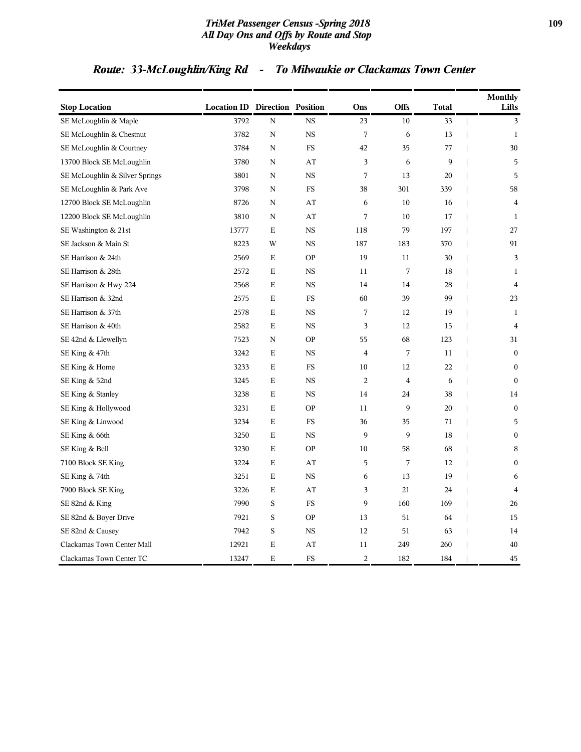#### *TriMet Passenger Census -Spring 2018* **109** *All Day Ons and Offs by Route and Stop Weekdays*

# *Route: 33-McLoughlin/King Rd - To Milwaukie or Clackamas Town Center*

| <b>Stop Location</b>           | <b>Location ID Direction Position</b> |             |           | Ons            | Offs           | <b>Total</b> | <b>Monthly</b><br>Lifts |
|--------------------------------|---------------------------------------|-------------|-----------|----------------|----------------|--------------|-------------------------|
| SE McLoughlin & Maple          | 3792                                  | $\mathbf N$ | <b>NS</b> | 23             | 10             | 33           | 3                       |
| SE McLoughlin & Chestnut       | 3782                                  | N           | <b>NS</b> | 7              | 6              | 13           | $\mathbf{1}$            |
| SE McLoughlin & Courtney       | 3784                                  | N           | FS        | 42             | 35             | 77           | 30                      |
| 13700 Block SE McLoughlin      | 3780                                  | N           | AT        | 3              | 6              | 9            | 5                       |
| SE McLoughlin & Silver Springs | 3801                                  | N           | <b>NS</b> | 7              | 13             | 20           | 5                       |
| SE McLoughlin & Park Ave       | 3798                                  | N           | FS        | 38             | 301            | 339          | 58                      |
| 12700 Block SE McLoughlin      | 8726                                  | N           | AT        | 6              | 10             | 16           | $\overline{4}$          |
| 12200 Block SE McLoughlin      | 3810                                  | N           | AT        | $\sqrt{ }$     | 10             | 17           | 1                       |
| SE Washington & 21st           | 13777                                 | Ε           | <b>NS</b> | 118            | 79             | 197          | 27                      |
| SE Jackson & Main St           | 8223                                  | W           | <b>NS</b> | 187            | 183            | 370          | 91                      |
| SE Harrison & 24th             | 2569                                  | E           | <b>OP</b> | 19             | 11             | 30           | 3                       |
| SE Harrison & 28th             | 2572                                  | Е           | <b>NS</b> | 11             | 7              | 18           | $\mathbf{1}$            |
| SE Harrison & Hwy 224          | 2568                                  | E           | <b>NS</b> | 14             | 14             | 28           | 4                       |
| SE Harrison & 32nd             | 2575                                  | E           | FS        | 60             | 39             | 99           | 23                      |
| SE Harrison & 37th             | 2578                                  | E           | <b>NS</b> | 7              | 12             | 19           | 1                       |
| SE Harrison & 40th             | 2582                                  | E           | <b>NS</b> | 3              | 12             | 15           | $\overline{4}$          |
| SE 42nd & Llewellyn            | 7523                                  | N           | <b>OP</b> | 55             | 68             | 123          | 31                      |
| SE King & 47th                 | 3242                                  | E           | <b>NS</b> | $\overline{4}$ | 7              | 11           | $\mathbf{0}$            |
| SE King & Home                 | 3233                                  | Е           | FS        | 10             | 12             | 22           | $\mathbf{0}$            |
| SE King & 52nd                 | 3245                                  | E           | <b>NS</b> | $\overline{2}$ | $\overline{4}$ | 6            | $\mathbf{0}$            |
| SE King & Stanley              | 3238                                  | Ε           | <b>NS</b> | 14             | 24             | 38           | 14                      |
| SE King & Hollywood            | 3231                                  | E           | <b>OP</b> | 11             | 9              | 20           | $\boldsymbol{0}$        |
| SE King & Linwood              | 3234                                  | E           | FS        | 36             | 35             | 71           | 5                       |
| SE King & 66th                 | 3250                                  | E           | <b>NS</b> | 9              | 9              | 18           | $\mathbf{0}$            |
| SE King & Bell                 | 3230                                  | E           | <b>OP</b> | 10             | 58             | 68           | 8                       |
| 7100 Block SE King             | 3224                                  | E           | AT        | 5              | 7              | 12           | $\mathbf{0}$            |
| SE King & 74th                 | 3251                                  | E           | <b>NS</b> | 6              | 13             | 19           | 6                       |
| 7900 Block SE King             | 3226                                  | Ε           | AT        | 3              | 21             | 24           | 4                       |
| SE 82nd & King                 | 7990                                  | S           | FS        | 9              | 160            | 169          | 26                      |
| SE 82nd & Boyer Drive          | 7921                                  | S           | <b>OP</b> | 13             | 51             | 64           | 15                      |
| SE 82nd & Causey               | 7942                                  | S           | <b>NS</b> | 12             | 51             | 63           | 14                      |
| Clackamas Town Center Mall     | 12921                                 | E           | AT        | 11             | 249            | 260          | 40                      |
| Clackamas Town Center TC       | 13247                                 | E           | FS        | $\overline{c}$ | 182            | 184          | 45                      |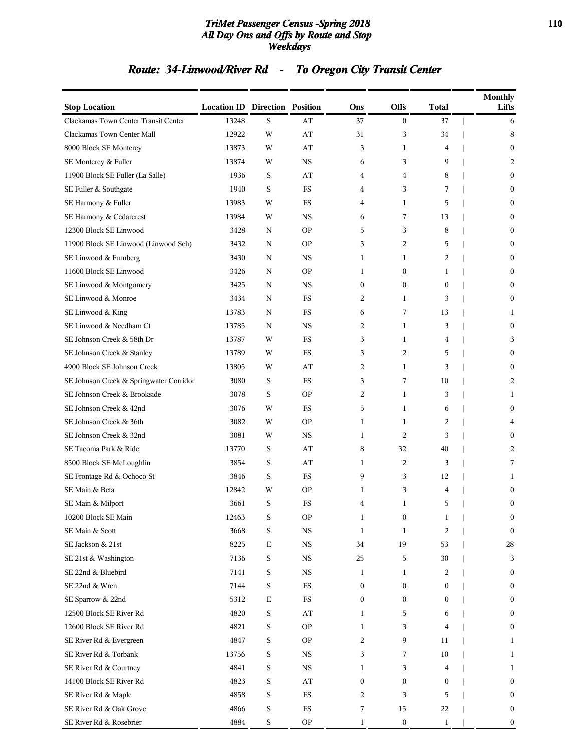#### *TriMet Passenger Census -Spring 2018* **110** *All Day Ons and Offs by Route and Stop Weekdays*

# *Route: 34-Linwood/River Rd - To Oregon City Transit Center*

| <b>Stop Location</b>                    | <b>Location ID Direction Position</b> |             |                        | Ons              | <b>Offs</b>      | <b>Total</b> | <b>Monthly</b><br>Lifts |
|-----------------------------------------|---------------------------------------|-------------|------------------------|------------------|------------------|--------------|-------------------------|
| Clackamas Town Center Transit Center    | 13248                                 | S           | AT                     | 37               | $\boldsymbol{0}$ | 37           | 6                       |
| Clackamas Town Center Mall              | 12922                                 | W           | AT                     | 31               | 3                | 34           | 8                       |
| 8000 Block SE Monterey                  | 13873                                 | W           | AT                     | 3                | 1                | 4            | $\mathbf{0}$            |
| SE Monterey & Fuller                    | 13874                                 | W           | <b>NS</b>              | 6                | 3                | 9            | 2                       |
| 11900 Block SE Fuller (La Salle)        | 1936                                  | S           | AT                     | 4                | 4                | 8            | $\mathbf{0}$            |
| SE Fuller & Southgate                   | 1940                                  | S           | FS                     | 4                | 3                | 7            | $\mathbf{0}$            |
| SE Harmony & Fuller                     | 13983                                 | W           | FS                     | 4                | 1                | 5            | $\mathbf{0}$            |
| SE Harmony & Cedarcrest                 | 13984                                 | W           | <b>NS</b>              | 6                | 7                | 13           | $\mathbf{0}$            |
| 12300 Block SE Linwood                  | 3428                                  | N           | <b>OP</b>              | 5                | 3                | 8            | $\mathbf{0}$            |
| 11900 Block SE Linwood (Linwood Sch)    | 3432                                  | N           | <b>OP</b>              | 3                | 2                | 5            | $\mathbf{0}$            |
| SE Linwood & Furnberg                   | 3430                                  | N           | NS                     | 1                | 1                | 2            | $\mathbf{0}$            |
| 11600 Block SE Linwood                  | 3426                                  | N           | <b>OP</b>              | 1                | $\boldsymbol{0}$ | 1            | $\mathbf{0}$            |
| SE Linwood & Montgomery                 | 3425                                  | N           | <b>NS</b>              | $\overline{0}$   | $\boldsymbol{0}$ | $\mathbf{0}$ | $\mathbf{0}$            |
| SE Linwood & Monroe                     | 3434                                  | N           | <b>FS</b>              | 2                | 1                | 3            | $\boldsymbol{0}$        |
| SE Linwood & King                       | 13783                                 | N           | <b>FS</b>              | 6                | 7                | 13           | 1                       |
| SE Linwood & Needham Ct                 | 13785                                 | N           | <b>NS</b>              | 2                | 1                | 3            | $\mathbf{0}$            |
| SE Johnson Creek & 58th Dr              | 13787                                 | W           | FS                     | 3                | 1                | 4            | 3                       |
| SE Johnson Creek & Stanley              | 13789                                 | W           | <b>FS</b>              | 3                | 2                | 5            | $\mathbf{0}$            |
| 4900 Block SE Johnson Creek             | 13805                                 | W           | AT                     | 2                | 1                | 3            | $\mathbf{0}$            |
| SE Johnson Creek & Springwater Corridor | 3080                                  | S           | <b>FS</b>              | 3                | 7                | 10           | 2                       |
| SE Johnson Creek & Brookside            | 3078                                  | S           | <b>OP</b>              | 2                | 1                | 3            | 1                       |
| SE Johnson Creek & 42nd                 | 3076                                  | W           | FS                     | 5                | 1                | 6            | $\mathbf{0}$            |
| SE Johnson Creek & 36th                 | 3082                                  | W           | <b>OP</b>              | 1                | 1                | 2            | 4                       |
| SE Johnson Creek & 32nd                 | 3081                                  | W           | <b>NS</b>              | 1                | $\overline{c}$   | 3            | $\mathbf{0}$            |
| SE Tacoma Park & Ride                   | 13770                                 | S           | AT                     | 8                | 32               | 40           | 2                       |
| 8500 Block SE McLoughlin                | 3854                                  | S           | AT                     | 1                | 2                | 3            | 7                       |
| SE Frontage Rd & Ochoco St              | 3846                                  | S           | FS                     | 9                | 3                | 12           | 1                       |
| SE Main & Beta                          | 12842                                 | W           | <b>OP</b>              | 1                | 3                | 4            | $\mathbf{0}$            |
| SE Main & Milport                       | 3661                                  | S           | <b>FS</b>              | 4                | 1                | 5            | $\boldsymbol{0}$        |
| 10200 Block SE Main                     | 12463                                 | S           | <b>OP</b>              | 1                | $\boldsymbol{0}$ | 1            | $\bf{0}$                |
| SE Main & Scott                         | 3668                                  | S           | <b>NS</b>              | $\mathbf{1}$     | 1                | 2            | $\bf{0}$                |
| SE Jackson & 21st                       | 8225                                  | $\mathbf E$ | $_{\rm NS}$            | 34               | 19               | 53           | 28                      |
| SE 21st & Washington                    | 7136                                  | S           | $_{\rm NS}$            | 25               | 5                | 30           | 3                       |
| SE 22nd & Bluebird                      | 7141                                  | S           | $_{\rm NS}$            | 1                | $\mathbf{1}$     | 2            | $\boldsymbol{0}$        |
| SE 22nd & Wren                          | 7144                                  | S           | $_{\rm FS}$            | $\boldsymbol{0}$ | $\boldsymbol{0}$ | 0            | $\bf{0}$                |
| SE Sparrow & 22nd                       | 5312                                  | $\mathbf E$ | $_{\rm FS}$            | $\boldsymbol{0}$ | $\boldsymbol{0}$ | 0            | $\bf{0}$                |
| 12500 Block SE River Rd                 | 4820                                  | S           | AT                     | 1                | 5                | 6            | $\mathbf{0}$            |
| 12600 Block SE River Rd                 | 4821                                  | S           | <b>OP</b>              | $\mathbf{1}$     | 3                | 4            | $\boldsymbol{0}$        |
| SE River Rd & Evergreen                 | 4847                                  | S           | <b>OP</b>              | 2                | 9                | 11           | $\mathbf{1}$            |
| SE River Rd & Torbank                   | 13756                                 | S           | $_{\rm NS}$            | 3                | 7                | 10           | 1                       |
| SE River Rd & Courtney                  | 4841                                  | S           | <b>NS</b>              | 1                | 3                | 4            | 1                       |
| 14100 Block SE River Rd                 | 4823                                  | S           | $\mathbf{A}\mathbf{T}$ | $\boldsymbol{0}$ | $\boldsymbol{0}$ | 0            | $\mathbf{0}$            |
| SE River Rd & Maple                     | 4858                                  | S           | $_{\rm FS}$            | 2                | 3                | 5            | $\bf{0}$                |
| SE River Rd & Oak Grove                 | 4866                                  | S           | $_{\rm FS}$            | 7                | 15               | 22           | $\bf{0}$                |
| SE River Rd & Rosebrier                 | 4884                                  | S           | <b>OP</b>              | 1                | $\boldsymbol{0}$ | 1            | $\boldsymbol{0}$        |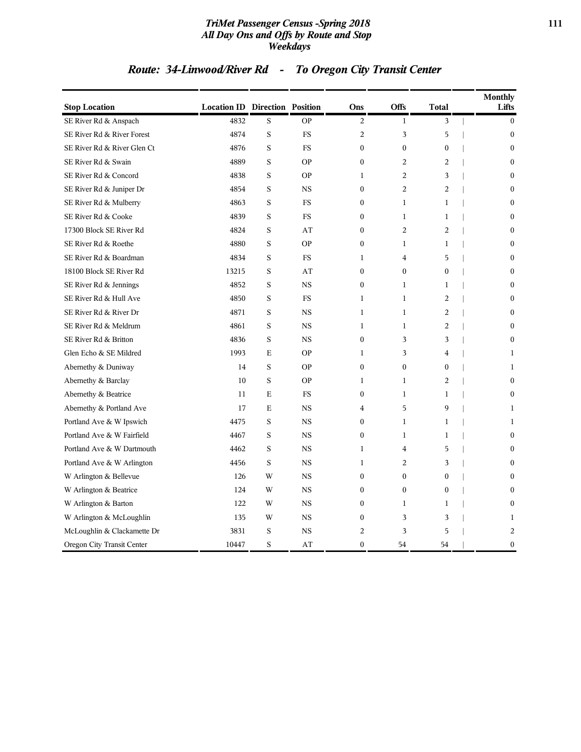#### *TriMet Passenger Census -Spring 2018* **111** *All Day Ons and Offs by Route and Stop Weekdays*

# *Route: 34-Linwood/River Rd - To Oregon City Transit Center*

| <b>Stop Location</b>        | <b>Location ID Direction Position</b> |   |             | Ons              | Offs             | <b>Total</b>     | <b>Monthly</b><br>Lifts |
|-----------------------------|---------------------------------------|---|-------------|------------------|------------------|------------------|-------------------------|
| SE River Rd & Anspach       | 4832                                  | S | <b>OP</b>   | 2                | 1                | 3                | $\bf{0}$                |
| SE River Rd & River Forest  | 4874                                  | S | <b>FS</b>   | $\overline{2}$   | 3                | 5                | $\mathbf{0}$            |
| SE River Rd & River Glen Ct | 4876                                  | S | <b>FS</b>   | $\mathbf{0}$     | $\boldsymbol{0}$ | $\mathbf{0}$     | $\mathbf{0}$            |
| SE River Rd & Swain         | 4889                                  | S | <b>OP</b>   | $\boldsymbol{0}$ | $\overline{2}$   | $\overline{2}$   | $\theta$                |
| SE River Rd & Concord       | 4838                                  | S | <b>OP</b>   | $\mathbf{1}$     | $\overline{2}$   | 3                | $\boldsymbol{0}$        |
| SE River Rd & Juniper Dr    | 4854                                  | S | <b>NS</b>   | $\mathbf{0}$     | 2                | 2                | $\mathbf{0}$            |
| SE River Rd & Mulberry      | 4863                                  | S | <b>FS</b>   | $\mathbf{0}$     | 1                | $\mathbf{1}$     | $\theta$                |
| SE River Rd & Cooke         | 4839                                  | S | <b>FS</b>   | $\mathbf{0}$     | $\mathbf{1}$     | $\mathbf{1}$     | $\boldsymbol{0}$        |
| 17300 Block SE River Rd     | 4824                                  | S | AT          | $\Omega$         | $\overline{2}$   | $\overline{2}$   | $\theta$                |
| SE River Rd & Roethe        | 4880                                  | S | <b>OP</b>   | $\boldsymbol{0}$ | $\mathbf{1}$     | $\mathbf{1}$     | $\boldsymbol{0}$        |
| SE River Rd & Boardman      | 4834                                  | S | <b>FS</b>   | 1                | $\overline{4}$   | 5                | $\mathbf{0}$            |
| 18100 Block SE River Rd     | 13215                                 | S | AT          | $\mathbf{0}$     | $\boldsymbol{0}$ | $\boldsymbol{0}$ | $\theta$                |
| SE River Rd & Jennings      | 4852                                  | S | <b>NS</b>   | $\mathbf{0}$     | 1                | 1                | $\mathbf{0}$            |
| SE River Rd & Hull Ave      | 4850                                  | S | <b>FS</b>   | $\mathbf{1}$     | $\mathbf{1}$     | $\overline{2}$   | $\theta$                |
| SE River Rd & River Dr      | 4871                                  | S | <b>NS</b>   | $\mathbf{1}$     | $\mathbf{1}$     | $\overline{2}$   | $\boldsymbol{0}$        |
| SE River Rd & Meldrum       | 4861                                  | S | <b>NS</b>   | $\mathbf{1}$     | 1                | 2                | $\mathbf{0}$            |
| SE River Rd & Britton       | 4836                                  | S | <b>NS</b>   | $\mathbf{0}$     | 3                | 3                | $\mathbf{0}$            |
| Glen Echo & SE Mildred      | 1993                                  | E | <b>OP</b>   | $\mathbf{1}$     | 3                | 4                | 1                       |
| Abernethy & Duniway         | 14                                    | S | <b>OP</b>   | $\Omega$         | $\boldsymbol{0}$ | $\theta$         | $\mathbf{1}$            |
| Abernethy & Barclay         | 10                                    | S | <b>OP</b>   | $\mathbf{1}$     | $\mathbf{1}$     | $\overline{2}$   | $\boldsymbol{0}$        |
| Abernethy & Beatrice        | 11                                    | E | FS          | $\boldsymbol{0}$ | 1                | 1                | $\boldsymbol{0}$        |
| Abernethy & Portland Ave    | 17                                    | Е | <b>NS</b>   | 4                | 5                | 9                | 1                       |
| Portland Ave & W Ipswich    | 4475                                  | S | <b>NS</b>   | $\mathbf{0}$     | $\mathbf{1}$     | $\mathbf{1}$     | 1                       |
| Portland Ave & W Fairfield  | 4467                                  | S | <b>NS</b>   | $\Omega$         | $\mathbf{1}$     | $\mathbf{1}$     | $\theta$                |
| Portland Ave & W Dartmouth  | 4462                                  | S | $_{\rm NS}$ | $\mathbf{1}$     | $\overline{4}$   | 5                | $\boldsymbol{0}$        |
| Portland Ave & W Arlington  | 4456                                  | S | <b>NS</b>   | 1                | 2                | 3                | $\mathbf{0}$            |
| W Arlington & Bellevue      | 126                                   | W | <b>NS</b>   | $\mathbf{0}$     | $\boldsymbol{0}$ | $\boldsymbol{0}$ | $\theta$                |
| W Arlington & Beatrice      | 124                                   | W | <b>NS</b>   | $\mathbf{0}$     | $\boldsymbol{0}$ | $\mathbf{0}$     | $\boldsymbol{0}$        |
| W Arlington & Barton        | 122                                   | W | <b>NS</b>   | $\Omega$         | $\mathbf{1}$     | $\mathbf{1}$     | $\theta$                |
| W Arlington & McLoughlin    | 135                                   | W | $_{\rm NS}$ | $\boldsymbol{0}$ | 3                | 3                | $\mathbf{1}$            |
| McLoughlin & Clackamette Dr | 3831                                  | S | <b>NS</b>   | 2                | 3                | 5                | 2                       |
| Oregon City Transit Center  | 10447                                 | S | AT          | $\mathbf{0}$     | 54               | 54               | $\boldsymbol{0}$        |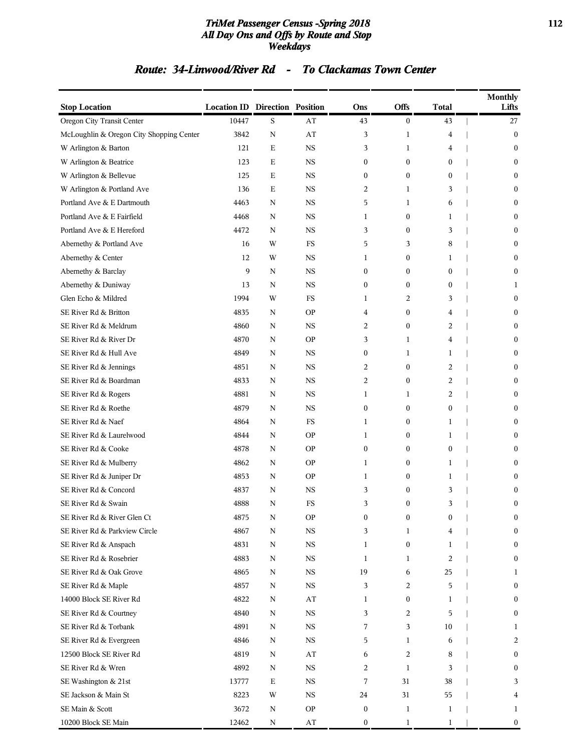#### *TriMet Passenger Census -Spring 2018* **112** *All Day Ons and Offs by Route and Stop Weekdays*

### *Route: 34-Linwood/River Rd - To Clackamas Town Center*

| <b>Stop Location</b>                     | <b>Location ID Direction Position</b> |             |                        | Ons              | <b>Offs</b>      | <b>Total</b>     | Monthly<br>Lifts |
|------------------------------------------|---------------------------------------|-------------|------------------------|------------------|------------------|------------------|------------------|
| Oregon City Transit Center               | 10447                                 | S           | AT                     | 43               | $\boldsymbol{0}$ | 43               | 27               |
| McLoughlin & Oregon City Shopping Center | 3842                                  | ${\bf N}$   | AT                     | 3                | $\mathbf{1}$     | $\overline{4}$   | $\boldsymbol{0}$ |
| W Arlington & Barton                     | 121                                   | E           | <b>NS</b>              | 3                | 1                | 4                | $\boldsymbol{0}$ |
| W Arlington & Beatrice                   | 123                                   | E           | <b>NS</b>              | $\boldsymbol{0}$ | $\boldsymbol{0}$ | $\boldsymbol{0}$ | $\boldsymbol{0}$ |
| W Arlington & Bellevue                   | 125                                   | E           | <b>NS</b>              | $\mathbf{0}$     | $\boldsymbol{0}$ | $\mathbf{0}$     | $\overline{0}$   |
| W Arlington & Portland Ave               | 136                                   | E           | NS                     | 2                | 1                | 3                | $\bf{0}$         |
| Portland Ave & E Dartmouth               | 4463                                  | N           | <b>NS</b>              | 5                | 1                | 6                | $\bf{0}$         |
| Portland Ave & E Fairfield               | 4468                                  | N           | <b>NS</b>              | 1                | $\boldsymbol{0}$ | 1                | $\bf{0}$         |
| Portland Ave & E Hereford                | 4472                                  | N           | <b>NS</b>              | 3                | $\boldsymbol{0}$ | 3                | $\boldsymbol{0}$ |
| Abernethy & Portland Ave                 | 16                                    | W           | FS                     | 5                | 3                | 8                | $\mathbf{0}$     |
| Abernethy & Center                       | 12                                    | W           | NS                     | 1                | 0                | 1                | $\bf{0}$         |
| Abernethy & Barclay                      | 9                                     | ${\bf N}$   | <b>NS</b>              | $\boldsymbol{0}$ | $\boldsymbol{0}$ | $\boldsymbol{0}$ | $\boldsymbol{0}$ |
| Abernethy & Duniway                      | 13                                    | N           | <b>NS</b>              | $\mathbf{0}$     | $\boldsymbol{0}$ | $\mathbf{0}$     | 1                |
| Glen Echo & Mildred                      | 1994                                  | W           | FS                     | 1                | 2                | 3                | $\boldsymbol{0}$ |
| SE River Rd & Britton                    | 4835                                  | N           | <b>OP</b>              | 4                | $\boldsymbol{0}$ | 4                | $\overline{0}$   |
| SE River Rd & Meldrum                    | 4860                                  | N           | NS                     | 2                | $\boldsymbol{0}$ | $\overline{2}$   | $\bf{0}$         |
| SE River Rd & River Dr                   | 4870                                  | N           | <b>OP</b>              | 3                | $\mathbf{1}$     | $\overline{4}$   | $\bf{0}$         |
| SE River Rd & Hull Ave                   | 4849                                  | N           | <b>NS</b>              | $\mathbf{0}$     | 1                | 1                | $\bf{0}$         |
| SE River Rd & Jennings                   | 4851                                  | N           | <b>NS</b>              | 2                | $\boldsymbol{0}$ | $\overline{2}$   | $\boldsymbol{0}$ |
| SE River Rd & Boardman                   | 4833                                  | N           | <b>NS</b>              | 2                | $\boldsymbol{0}$ | $\overline{2}$   | $\overline{0}$   |
| SE River Rd & Rogers                     | 4881                                  | N           | NS                     | 1                | 1                | $\overline{2}$   | $\bf{0}$         |
| SE River Rd & Roethe                     | 4879                                  | N           | <b>NS</b>              | $\boldsymbol{0}$ | $\boldsymbol{0}$ | $\boldsymbol{0}$ | $\bf{0}$         |
| SE River Rd & Naef                       | 4864                                  | N           | FS                     | 1                | 0                | 1                | $\bf{0}$         |
| SE River Rd & Laurelwood                 | 4844                                  | N           | <b>OP</b>              | 1                | $\boldsymbol{0}$ | 1                | $\boldsymbol{0}$ |
| SE River Rd & Cooke                      | 4878                                  | N           | <b>OP</b>              | $\mathbf{0}$     | $\boldsymbol{0}$ | $\mathbf{0}$     | $\mathbf{0}$     |
| SE River Rd & Mulberry                   | 4862                                  | N           | <b>OP</b>              | 1                | $\bf{0}$         | 1                | $\bf{0}$         |
| SE River Rd & Juniper Dr                 | 4853                                  | N           | <b>OP</b>              | 1                | $\boldsymbol{0}$ | 1                | $\bf{0}$         |
| SE River Rd & Concord                    | 4837                                  | N           | <b>NS</b>              | 3                | $\boldsymbol{0}$ | 3                | $\bf{0}$         |
| SE River Rd & Swain                      | 4888                                  | N           | FS                     | 3                | $\boldsymbol{0}$ | 3                | $\mathbf{0}$     |
| SE River Rd & River Glen Ct              | 4875                                  | N           | <b>OP</b>              | $\boldsymbol{0}$ | $\boldsymbol{0}$ | $\boldsymbol{0}$ | $\bf{0}$         |
| SE River Rd & Parkview Circle            | 4867                                  | N           | NS                     | 3                | 1                | 4                | $\bf{0}$         |
| SE River Rd & Anspach                    | 4831                                  | $\mathbf N$ | $_{\rm NS}$            | 1                | $\boldsymbol{0}$ | 1                | $\boldsymbol{0}$ |
| SE River Rd & Rosebrier                  | 4883                                  | N           | $_{\rm NS}$            | 1                | 1                | 2                | $\boldsymbol{0}$ |
| SE River Rd & Oak Grove                  | 4865                                  | N           | <b>NS</b>              | 19               | 6                | 25               | 1                |
| SE River Rd & Maple                      | 4857                                  | N           | NS                     | 3                | 2                | 5                | $\boldsymbol{0}$ |
| 14000 Block SE River Rd                  | 4822                                  | N           | AT                     | 1                | $\boldsymbol{0}$ | 1                | $\bf{0}$         |
| SE River Rd & Courtney                   | 4840                                  | $\mathbf N$ | $_{\rm NS}$            | 3                | 2                | 5                | $\bf{0}$         |
| SE River Rd & Torbank                    | 4891                                  | N           | $_{\rm NS}$            | 7                | 3                | 10               | 1                |
| SE River Rd & Evergreen                  | 4846                                  | N           | <b>NS</b>              | 5                | 1                | 6                | 2                |
| 12500 Block SE River Rd                  | 4819                                  | N           | AT                     | 6                | 2                | 8                | $\boldsymbol{0}$ |
| SE River Rd & Wren                       | 4892                                  | N           | $_{\rm NS}$            | 2                | $\mathbf{1}$     | 3                | $\bf{0}$         |
| SE Washington & 21st                     | 13777                                 | $\mathbf E$ | NS                     | 7                | 31               | 38               | 3                |
| SE Jackson & Main St                     | 8223                                  | W           | $_{\rm NS}$            | 24               | 31               | 55               | 4                |
| SE Main & Scott                          | 3672                                  | N           | <b>OP</b>              | $\boldsymbol{0}$ | $\mathbf{1}$     | $\mathbf{1}$     | 1                |
| 10200 Block SE Main                      | 12462                                 | N           | $\mathbf{A}\mathbf{T}$ | $\boldsymbol{0}$ | $\mathbf{1}$     | $\mathbf{1}$     | $\overline{0}$   |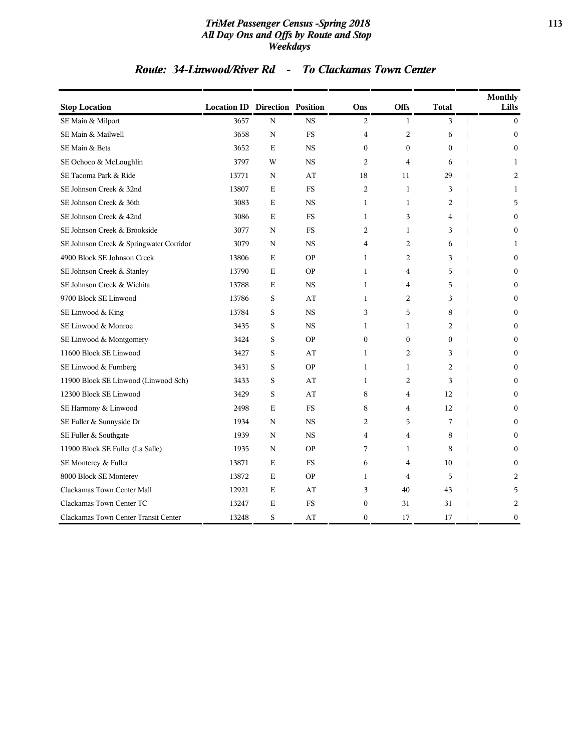#### *TriMet Passenger Census -Spring 2018* **113** *All Day Ons and Offs by Route and Stop Weekdays*

### *Route: 34-Linwood/River Rd - To Clackamas Town Center*

| <b>Stop Location</b>                    | <b>Location ID Direction Position</b> |             |             | Ons              | <b>Offs</b>      | <b>Total</b>   | <b>Monthly</b><br>Lifts |
|-----------------------------------------|---------------------------------------|-------------|-------------|------------------|------------------|----------------|-------------------------|
| SE Main & Milport                       | 3657                                  | $\mathbf N$ | <b>NS</b>   | 2                | $\mathbf{1}$     | 3              | $\mathbf{0}$            |
| SE Main & Mailwell                      | 3658                                  | N           | $_{\rm FS}$ | $\overline{4}$   | $\overline{c}$   | 6              | $\mathbf{0}$            |
| SE Main & Beta                          | 3652                                  | E           | <b>NS</b>   | $\mathbf{0}$     | $\mathbf{0}$     | $\mathbf{0}$   | $\mathbf{0}$            |
| SE Ochoco & McLoughlin                  | 3797                                  | W           | <b>NS</b>   | $\overline{c}$   | $\overline{4}$   | 6              | 1                       |
| SE Tacoma Park & Ride                   | 13771                                 | N           | AT          | 18               | 11               | 29             | 2                       |
| SE Johnson Creek & 32nd                 | 13807                                 | E           | <b>FS</b>   | 2                | $\mathbf{1}$     | 3              | 1                       |
| SE Johnson Creek & 36th                 | 3083                                  | E           | <b>NS</b>   | $\mathbf{1}$     | $\mathbf{1}$     | 2              | 5                       |
| SE Johnson Creek & 42nd                 | 3086                                  | E           | <b>FS</b>   | $\mathbf{1}$     | 3                | 4              | $\Omega$                |
| SE Johnson Creek & Brookside            | 3077                                  | N           | <b>FS</b>   | $\overline{c}$   | $\mathbf{1}$     | 3              | $\Omega$                |
| SE Johnson Creek & Springwater Corridor | 3079                                  | N           | <b>NS</b>   | $\overline{4}$   | $\overline{2}$   | 6              | 1                       |
| 4900 Block SE Johnson Creek             | 13806                                 | E           | <b>OP</b>   | $\mathbf{1}$     | $\overline{c}$   | 3              | $\theta$                |
| SE Johnson Creek & Stanley              | 13790                                 | E           | <b>OP</b>   | $\mathbf{1}$     | 4                | 5              | $\Omega$                |
| SE Johnson Creek & Wichita              | 13788                                 | E           | <b>NS</b>   | $\mathbf{1}$     | 4                | 5              | 0                       |
| 9700 Block SE Linwood                   | 13786                                 | $\rm S$     | AT          | $\mathbf{1}$     | $\overline{c}$   | 3              | 0                       |
| SE Linwood & King                       | 13784                                 | S           | <b>NS</b>   | 3                | 5                | 8              | 0                       |
| SE Linwood & Monroe                     | 3435                                  | S           | <b>NS</b>   | $\mathbf{1}$     | $\mathbf{1}$     | $\overline{c}$ | 0                       |
| SE Linwood & Montgomery                 | 3424                                  | S           | <b>OP</b>   | $\mathbf{0}$     | $\boldsymbol{0}$ | $\mathbf{0}$   | $\mathbf{0}$            |
| 11600 Block SE Linwood                  | 3427                                  | S           | AT          | $\mathbf{1}$     | 2                | 3              | $\mathbf{0}$            |
| SE Linwood & Furnberg                   | 3431                                  | S           | <b>OP</b>   | $\mathbf{1}$     | $\mathbf{1}$     | $\overline{c}$ | $\mathbf{0}$            |
| 11900 Block SE Linwood (Linwood Sch)    | 3433                                  | $\rm S$     | AT          | $\mathbf{1}$     | $\overline{c}$   | 3              | $\mathbf{0}$            |
| 12300 Block SE Linwood                  | 3429                                  | S           | AT          | 8                | $\overline{4}$   | 12             | $\Omega$                |
| SE Harmony & Linwood                    | 2498                                  | E           | <b>FS</b>   | 8                | 4                | 12             | $\Omega$                |
| SE Fuller & Sunnyside Dr                | 1934                                  | N           | <b>NS</b>   | 2                | 5                | 7              | $\mathbf{0}$            |
| SE Fuller & Southgate                   | 1939                                  | N           | <b>NS</b>   | $\overline{4}$   | $\overline{4}$   | 8              | $\theta$                |
| 11900 Block SE Fuller (La Salle)        | 1935                                  | N           | <b>OP</b>   | 7                | $\mathbf{1}$     | 8              | $\Omega$                |
| SE Monterey & Fuller                    | 13871                                 | E           | FS          | 6                | $\overline{4}$   | 10             | $\mathbf{0}$            |
| 8000 Block SE Monterey                  | 13872                                 | E           | <b>OP</b>   | 1                | 4                | 5              | 2                       |
| Clackamas Town Center Mall              | 12921                                 | Ε           | AT          | 3                | 40               | 43             | 5                       |
| Clackamas Town Center TC                | 13247                                 | E           | FS          | $\boldsymbol{0}$ | 31               | 31             | 2                       |
| Clackamas Town Center Transit Center    | 13248                                 | S           | AT          | $\mathbf{0}$     | 17               | 17             | 0                       |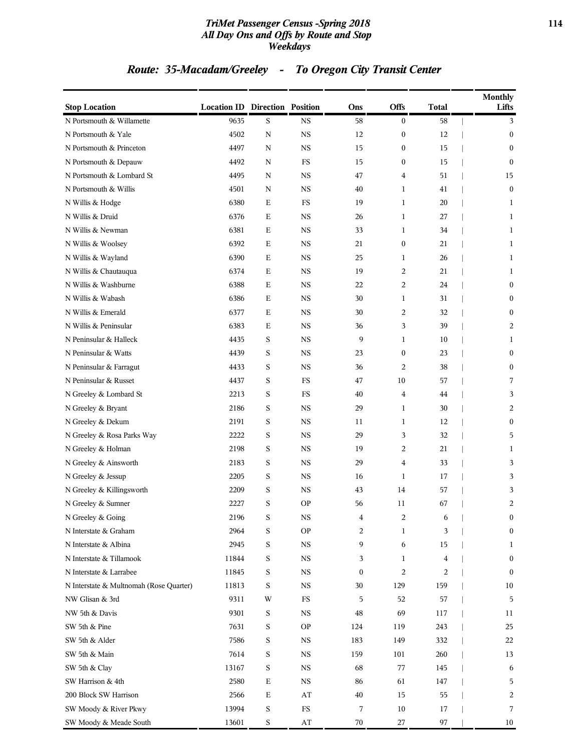#### *TriMet Passenger Census -Spring 2018* **114** *All Day Ons and Offs by Route and Stop Weekdays*

# *Route: 35-Macadam/Greeley - To Oregon City Transit Center*

| <b>Stop Location</b>                    | <b>Location ID Direction Position</b> |             |                        | Ons              | Offs             | <b>Total</b>   | <b>Monthly</b><br>Lifts |
|-----------------------------------------|---------------------------------------|-------------|------------------------|------------------|------------------|----------------|-------------------------|
| N Portsmouth & Willamette               | 9635                                  | S           | <b>NS</b>              | 58               | $\bf{0}$         | 58             | 3                       |
| N Portsmouth & Yale                     | 4502                                  | $\mathbf N$ | <b>NS</b>              | 12               | $\boldsymbol{0}$ | 12             | $\boldsymbol{0}$        |
| N Portsmouth & Princeton                | 4497                                  | ${\bf N}$   | <b>NS</b>              | 15               | $\boldsymbol{0}$ | 15             | $\mathbf{0}$            |
| N Portsmouth & Depauw                   | 4492                                  | N           | ${\rm FS}$             | 15               | $\bf{0}$         | 15             | $\mathbf{0}$            |
| N Portsmouth & Lombard St               | 4495                                  | N           | <b>NS</b>              | 47               | 4                | 51             | 15                      |
| N Portsmouth & Willis                   | 4501                                  | N           | <b>NS</b>              | 40               | 1                | 41             | $\boldsymbol{0}$        |
| N Willis & Hodge                        | 6380                                  | $\mathbf E$ | $_{\rm FS}$            | 19               | $\mathbf{1}$     | 20             | 1                       |
| N Willis & Druid                        | 6376                                  | $\mathbf E$ | <b>NS</b>              | 26               | $\mathbf{1}$     | 27             | 1                       |
| N Willis & Newman                       | 6381                                  | $\mathbf E$ | <b>NS</b>              | 33               | $\mathbf{1}$     | 34             | 1                       |
| N Willis & Woolsey                      | 6392                                  | Ε           | <b>NS</b>              | 21               | $\boldsymbol{0}$ | 21             | 1                       |
| N Willis & Wayland                      | 6390                                  | Ε           | <b>NS</b>              | 25               | 1                | 26             | 1                       |
| N Willis & Chautauqua                   | 6374                                  | $\mathbf E$ | <b>NS</b>              | 19               | 2                | 21             | 1                       |
| N Willis & Washburne                    | 6388                                  | $\mathbf E$ | <b>NS</b>              | 22               | 2                | 24             | $\boldsymbol{0}$        |
| N Willis & Wabash                       | 6386                                  | Ε           | <b>NS</b>              | 30               | $\mathbf{1}$     | 31             | $\boldsymbol{0}$        |
| N Willis & Emerald                      | 6377                                  | Ε           | <b>NS</b>              | 30               | 2                | 32             | $\mathbf{0}$            |
| N Willis & Peninsular                   | 6383                                  | Ε           | <b>NS</b>              | 36               | 3                | 39             | 2                       |
| N Peninsular & Halleck                  | 4435                                  | S           | <b>NS</b>              | 9                | 1                | 10             | 1                       |
| N Peninsular & Watts                    | 4439                                  | S           | <b>NS</b>              | 23               | $\boldsymbol{0}$ | 23             | $\boldsymbol{0}$        |
| N Peninsular & Farragut                 | 4433                                  | $\mathbf S$ | <b>NS</b>              | 36               | $\overline{c}$   | 38             | $\boldsymbol{0}$        |
| N Peninsular & Russet                   | 4437                                  | $\mathbf S$ | FS                     | 47               | 10               | 57             | 7                       |
| N Greeley & Lombard St                  | 2213                                  | S           | FS                     | 40               | 4                | 44             | 3                       |
| N Greeley & Bryant                      | 2186                                  | S           | <b>NS</b>              | 29               | 1                | 30             | 2                       |
| N Greeley & Dekum                       | 2191                                  | S           | <b>NS</b>              | 11               | 1                | 12             | $\boldsymbol{0}$        |
| N Greeley & Rosa Parks Way              | 2222                                  | $\mathbf S$ | <b>NS</b>              | 29               | 3                | 32             | 5                       |
| N Greeley & Holman                      | 2198                                  | $\mathbf S$ | <b>NS</b>              | 19               | 2                | 21             | 1                       |
| N Greeley & Ainsworth                   | 2183                                  | $\mathbf S$ | <b>NS</b>              | 29               | $\overline{4}$   | 33             | 3                       |
| N Greeley & Jessup                      | 2205                                  | $\mathbf S$ | <b>NS</b>              | 16               | $\mathbf{1}$     | 17             | 3                       |
| N Greeley & Killingsworth               | 2209                                  | S           | <b>NS</b>              | 43               | 14               | 57             | 3                       |
| N Greeley & Sumner                      | 2227                                  | S           | <b>OP</b>              | 56               | 11               | 67             | 2                       |
| N Greeley & Going                       | 2196                                  | S           | <b>NS</b>              | 4                | 2                | 6              | $\boldsymbol{0}$        |
| N Interstate & Graham                   | 2964                                  | S           | <b>OP</b>              | 2                | 1                | 3              | $\boldsymbol{0}$        |
| N Interstate & Albina                   | 2945                                  | $\mathbf S$ | $_{\rm NS}$            | 9                | 6                | 15             | 1                       |
| N Interstate & Tillamook                | 11844                                 | $\mathbf S$ | <b>NS</b>              | 3                | 1                | $\overline{4}$ | $\boldsymbol{0}$        |
| N Interstate & Larrabee                 | 11845                                 | $\mathbf S$ | $_{\rm NS}$            | $\boldsymbol{0}$ | 2                | 2              | $\boldsymbol{0}$        |
| N Interstate & Multnomah (Rose Quarter) | 11813                                 | $\mathbf S$ | $_{\rm NS}$            | 30               | 129              | 159            | 10                      |
| NW Glisan & 3rd                         | 9311                                  | W           | $_{\rm FS}$            | 5                | 52               | 57             | 5                       |
| NW 5th & Davis                          | 9301                                  | $\mathbf S$ | $_{\rm NS}$            | 48               | 69               | 117            | 11                      |
| SW 5th & Pine                           | 7631                                  | $\mathbf S$ | <b>OP</b>              | 124              | 119              | 243            | 25                      |
| SW 5th & Alder                          | 7586                                  | $\mathbf S$ | <b>NS</b>              | 183              | 149              | 332            | 22                      |
| SW 5th & Main                           | 7614                                  | $\mathbf S$ | $_{\rm NS}$            | 159              | 101              | 260            | 13                      |
| SW 5th & Clay                           | 13167                                 | $\mathbf S$ | <b>NS</b>              | 68               | 77               | 145            | 6                       |
| SW Harrison & 4th                       | 2580                                  | $\mathbf E$ | $_{\rm NS}$            | 86               | 61               | 147            | 5                       |
| 200 Block SW Harrison                   | 2566                                  | $\mathbf E$ | AT                     | 40               | 15               | 55             | 2                       |
| SW Moody & River Pkwy                   | 13994                                 | $\mathbf S$ | ${\rm FS}$             | 7                | 10               | 17             | 7                       |
| SW Moody & Meade South                  | 13601                                 | $\mathbf S$ | $\mathbf{A}\mathbf{T}$ | 70               | 27               | 97             | 10                      |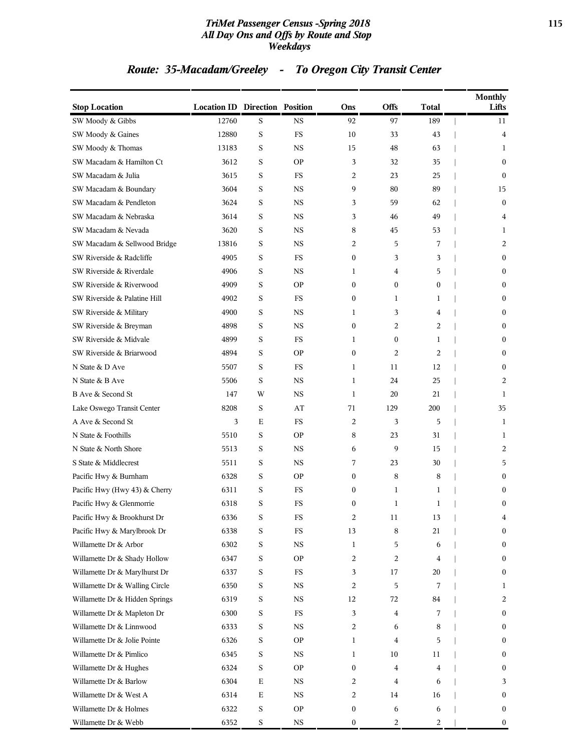#### *TriMet Passenger Census -Spring 2018* **115** *All Day Ons and Offs by Route and Stop Weekdays*

# *Route: 35-Macadam/Greeley - To Oregon City Transit Center*

| <b>Stop Location</b>           | <b>Location ID Direction Position</b> |             |             | Ons | Offs           | <b>Total</b>   | <b>Monthly</b><br>Lifts |
|--------------------------------|---------------------------------------|-------------|-------------|-----|----------------|----------------|-------------------------|
| SW Moody & Gibbs               | 12760                                 | S           | <b>NS</b>   | 92  | 97             | 189            | 11                      |
| SW Moody & Gaines              | 12880                                 | $\mathbf S$ | FS          | 10  | 33             | 43             | 4                       |
| SW Moody & Thomas              | 13183                                 | S           | <b>NS</b>   | 15  | 48             | 63             | 1                       |
| SW Macadam & Hamilton Ct       | 3612                                  | S           | <b>OP</b>   | 3   | 32             | 35             | $\mathbf{0}$            |
| SW Macadam & Julia             | 3615                                  | S           | FS          | 2   | 23             | 25             | $\mathbf{0}$            |
| SW Macadam & Boundary          | 3604                                  | S           | <b>NS</b>   | 9   | 80             | 89             | 15                      |
| SW Macadam & Pendleton         | 3624                                  | $\mathbf S$ | <b>NS</b>   | 3   | 59             | 62             | $\bf{0}$                |
| SW Macadam & Nebraska          | 3614                                  | S           | <b>NS</b>   | 3   | 46             | 49             | 4                       |
| SW Macadam & Nevada            | 3620                                  | S           | <b>NS</b>   | 8   | 45             | 53             | 1                       |
| SW Macadam & Sellwood Bridge   | 13816                                 | S           | <b>NS</b>   | 2   | 5              | 7              | 2                       |
| SW Riverside & Radcliffe       | 4905                                  | S           | FS          | 0   | 3              | 3              | $\mathbf{0}$            |
| SW Riverside & Riverdale       | 4906                                  | S           | <b>NS</b>   | 1   | $\overline{4}$ | 5              | $\bf{0}$                |
| SW Riverside & Riverwood       | 4909                                  | S           | <b>OP</b>   | 0   | $\overline{0}$ | $\mathbf{0}$   | $\mathbf{0}$            |
| SW Riverside & Palatine Hill   | 4902                                  | S           | FS          | 0   | $\mathbf{1}$   | 1              | $\bf{0}$                |
| SW Riverside & Military        | 4900                                  | S           | <b>NS</b>   | 1   | 3              | 4              | $\mathbf{0}$            |
| SW Riverside & Breyman         | 4898                                  | S           | NS          | 0   | 2              | 2              | $\mathbf{0}$            |
| SW Riverside & Midvale         | 4899                                  | $\mathbf S$ | FS          | 1   | $\mathbf{0}$   | 1              | $\bf{0}$                |
| SW Riverside & Briarwood       | 4894                                  | S           | <b>OP</b>   | 0   | 2              | $\overline{2}$ | $\mathbf{0}$            |
| N State & D Ave                | 5507                                  | S           | FS          | 1   | 11             | 12             | $\bf{0}$                |
| N State & B Ave                | 5506                                  | S           | <b>NS</b>   | 1   | 24             | 25             | 2                       |
| B Ave & Second St              | 147                                   | W           | NS          | 1   | 20             | 21             | 1                       |
| Lake Oswego Transit Center     | 8208                                  | $\mathbf S$ | AT          | 71  | 129            | 200            | 35                      |
| A Ave & Second St              | 3                                     | Ε           | FS          | 2   | 3              | 5              | 1                       |
| N State & Foothills            | 5510                                  | S           | <b>OP</b>   | 8   | 23             | 31             | 1                       |
| N State & North Shore          | 5513                                  | S           | <b>NS</b>   | 6   | 9              | 15             | 2                       |
| S State & Middlecrest          | 5511                                  | S           | NS          | 7   | 23             | 30             | 5                       |
| Pacific Hwy & Burnham          | 6328                                  | $\mathbf S$ | <b>OP</b>   | 0   | 8              | 8              | $\mathbf{0}$            |
| Pacific Hwy (Hwy 43) & Cherry  | 6311                                  | S           | FS          | 0   | 1              | 1              | $\mathbf{0}$            |
| Pacific Hwy & Glenmorrie       | 6318                                  | S           | FS          | 0   | $\mathbf{1}$   | 1              | $\mathbf{0}$            |
| Pacific Hwy & Brookhurst Dr    | 6336                                  | S           | FS          | 2   | $11\,$         | 13             | 4                       |
| Pacific Hwy & Marylbrook Dr    | 6338                                  | S           | FS          | 13  | 8              | 21             | $\bf{0}$                |
| Willamette Dr & Arbor          | 6302                                  | S           | $_{\rm NS}$ | 1   | $\overline{5}$ | 6              | $\bf{0}$                |
| Willamette Dr & Shady Hollow   | 6347                                  | $\mathbf S$ | <b>OP</b>   | 2   | 2              | 4              | $\bf{0}$                |
| Willamette Dr & Marylhurst Dr  | 6337                                  | $\mathbf S$ | <b>FS</b>   | 3   | 17             | 20             | $\bf{0}$                |
| Willamette Dr & Walling Circle | 6350                                  | S           | NS          | 2   | 5              | 7              | $\mathbf{1}$            |
| Willamette Dr & Hidden Springs | 6319                                  | $\mathbf S$ | NS          | 12  | 72             | 84             | 2                       |
| Willamette Dr & Mapleton Dr    | 6300                                  | S           | <b>FS</b>   | 3   | $\overline{4}$ | 7              | $\bf{0}$                |
| Willamette Dr & Linnwood       | 6333                                  | $\mathbf S$ | $_{\rm NS}$ | 2   | 6              | 8              | $\bf{0}$                |
| Willamette Dr & Jolie Pointe   | 6326                                  | $\mathbf S$ | <b>OP</b>   | 1   | $\overline{4}$ | 5              | $\bf{0}$                |
| Willamette Dr & Pimlico        | 6345                                  | S           | NS          | 1   | 10             | 11             | $\bf{0}$                |
| Willamette Dr & Hughes         | 6324                                  | $\mathbf S$ | <b>OP</b>   | 0   | $\overline{4}$ | 4              | $\bf{0}$                |
| Willamette Dr & Barlow         | 6304                                  | $\mathbf E$ | NS          | 2   | $\overline{4}$ | 6              | 3                       |
| Willamette Dr & West A         | 6314                                  | $\mathbf E$ | $_{\rm NS}$ | 2   | 14             | 16             | $\bf{0}$                |
| Willamette Dr & Holmes         | 6322                                  | $\mathbf S$ | <b>OP</b>   | 0   | 6              | 6              | $\bf{0}$                |
| Willamette Dr & Webb           | 6352                                  | $\mathbf S$ | $_{\rm NS}$ | 0   | $\overline{c}$ | 2              | $\bf{0}$                |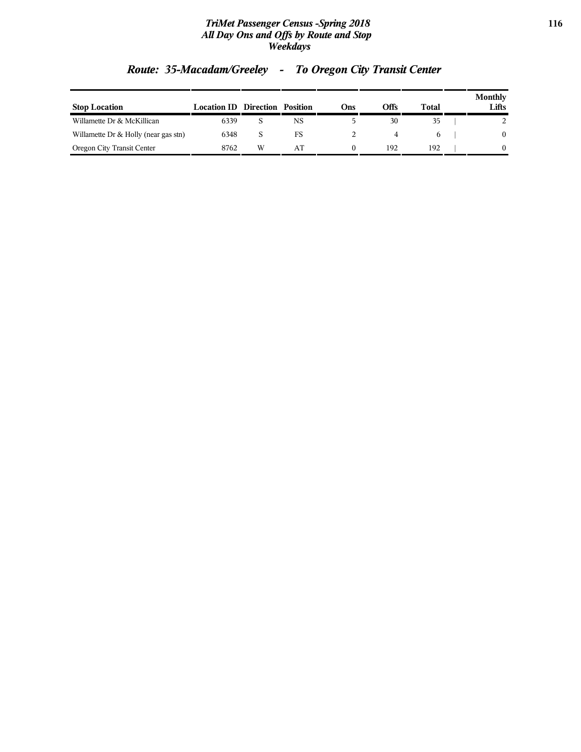#### *TriMet Passenger Census -Spring 2018* **116** *All Day Ons and Offs by Route and Stop Weekdays*

|                                      |                                       |   |    |     |      |       | <b>Monthly</b> |
|--------------------------------------|---------------------------------------|---|----|-----|------|-------|----------------|
| <b>Stop Location</b>                 | <b>Location ID Direction Position</b> |   |    | Ons | Offs | Total | Lifts          |
| Willamette Dr & McKillican           | 6339                                  |   | NS |     | 30   | 35    |                |
| Willamette Dr & Holly (near gas stn) | 6348                                  |   | FS |     |      | h     | 0              |
| Oregon City Transit Center           | 8762                                  | W | AT |     | 192  | 192   |                |

# *Route: 35-Macadam/Greeley - To Oregon City Transit Center*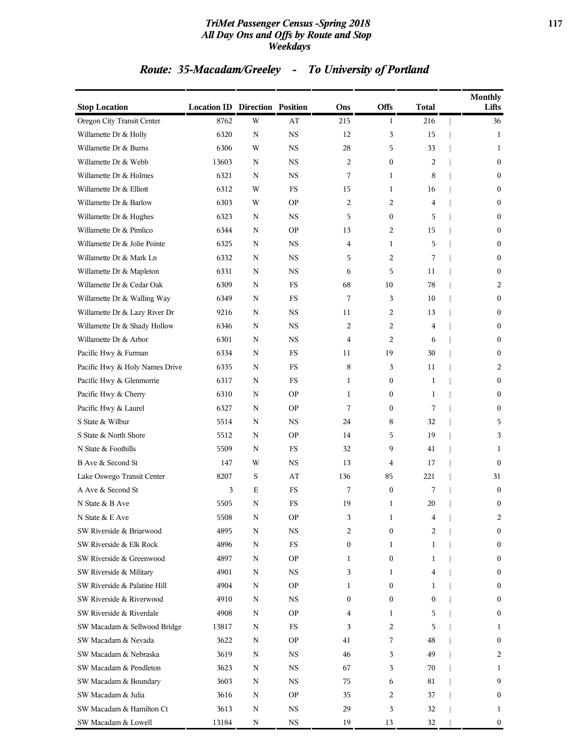#### *TriMet Passenger Census -Spring 2018* **117** *All Day Ons and Offs by Route and Stop Weekdays*

# *Route: 35-Macadam/Greeley - To University of Portland*

| <b>Stop Location</b>           | <b>Location ID Direction Position</b> |             |             | Ons              | <b>Offs</b>      | Total | <b>Monthly</b><br>Lifts |
|--------------------------------|---------------------------------------|-------------|-------------|------------------|------------------|-------|-------------------------|
| Oregon City Transit Center     | 8762                                  | W           | AT          | 215              | 1                | 216   | 36                      |
| Willamette Dr & Holly          | 6320                                  | N           | <b>NS</b>   | 12               | 3                | 15    | 1                       |
| Willamette Dr & Burns          | 6306                                  | W           | <b>NS</b>   | 28               | 5                | 33    | 1                       |
| Willamette Dr & Webb           | 13603                                 | N           | <b>NS</b>   | 2                | $\boldsymbol{0}$ | 2     | $\bf{0}$                |
| Willamette Dr & Holmes         | 6321                                  | N           | <b>NS</b>   | 7                | 1                | 8     | $\mathbf{0}$            |
| Willamette Dr & Elliott        | 6312                                  | W           | FS          | 15               | 1                | 16    | $\bf{0}$                |
| Willamette Dr & Barlow         | 6303                                  | W           | <b>OP</b>   | 2                | 2                | 4     | $\bf{0}$                |
| Willamette Dr & Hughes         | 6323                                  | N           | <b>NS</b>   | 5                | $\boldsymbol{0}$ | 5     | $\boldsymbol{0}$        |
| Willamette Dr & Pimlico        | 6344                                  | N           | <b>OP</b>   | 13               | 2                | 15    | $\bf{0}$                |
| Willamette Dr & Jolie Pointe   | 6325                                  | N           | <b>NS</b>   | 4                | 1                | 5     | $\mathbf{0}$            |
| Willamette Dr & Mark Ln        | 6332                                  | N           | <b>NS</b>   | 5                | 2                | 7     | $\bf{0}$                |
| Willamette Dr & Mapleton       | 6331                                  | N           | <b>NS</b>   | 6                | 5                | 11    | $\bf{0}$                |
| Willamette Dr & Cedar Oak      | 6309                                  | N           | <b>FS</b>   | 68               | 10               | 78    | 2                       |
| Willamette Dr & Walling Way    | 6349                                  | N           | FS          | 7                | 3                | 10    | $\bf{0}$                |
| Willamette Dr & Lazy River Dr  | 9216                                  | N           | <b>NS</b>   | 11               | 2                | 13    | $\mathbf{0}$            |
| Willamette Dr & Shady Hollow   | 6346                                  | N           | <b>NS</b>   | 2                | 2                | 4     | $\bf{0}$                |
| Willamette Dr & Arbor          | 6301                                  | N           | <b>NS</b>   | $\overline{4}$   | 2                | 6     | $\bf{0}$                |
| Pacific Hwy & Furman           | 6334                                  | N           | FS          | 11               | 19               | 30    | $\mathbf{0}$            |
| Pacific Hwy & Holy Names Drive | 6335                                  | N           | FS          | 8                | 3                | 11    | 2                       |
| Pacific Hwy & Glenmorrie       | 6317                                  | N           | FS          | 1                | $\bf{0}$         | 1     | $\mathbf{0}$            |
| Pacific Hwy & Cherry           | 6310                                  | N           | <b>OP</b>   | 1                | $\boldsymbol{0}$ | 1     | $\bf{0}$                |
| Pacific Hwy & Laurel           | 6327                                  | N           | <b>OP</b>   | 7                | $\boldsymbol{0}$ | 7     | $\bf{0}$                |
| S State & Wilbur               | 5514                                  | N           | <b>NS</b>   | 24               | 8                | 32    | 5                       |
| S State & North Shore          | 5512                                  | N           | <b>OP</b>   | 14               | 5                | 19    | 3                       |
| N State & Foothills            | 5509                                  | N           | <b>FS</b>   | 32               | 9                | 41    | 1                       |
| B Ave & Second St              | 147                                   | W           | <b>NS</b>   | 13               | 4                | 17    | $\mathbf{0}$            |
| Lake Oswego Transit Center     | 8207                                  | $\mathbf S$ | AT          | 136              | 85               | 221   | 31                      |
| A Ave & Second St              | 3                                     | Ε           | FS          | 7                | $\boldsymbol{0}$ | 7     | $\mathbf{0}$            |
| N State & B Ave                | 5505                                  | N           | FS          | 19               | $\mathbf{1}$     | 20    | $\boldsymbol{0}$        |
| N State & E Ave                | 5508                                  | N           | <b>OP</b>   | 3                | 1                | 4     | 2                       |
| SW Riverside & Briarwood       | 4895                                  | N           | NS          | 2                | $\mathbf{0}$     | 2     | $\bf{0}$                |
| SW Riverside & Elk Rock        | 4896                                  | N           | $_{\rm FS}$ | $\boldsymbol{0}$ | 1                | 1     | $\boldsymbol{0}$        |
| SW Riverside & Greenwood       | 4897                                  | N           | <b>OP</b>   | 1                | $\boldsymbol{0}$ | 1     | $\mathbf{0}$            |
| SW Riverside & Military        | 4901                                  | N           | NS          | 3                | 1                | 4     | $\bf{0}$                |
| SW Riverside & Palatine Hill   | 4904                                  | N           | <b>OP</b>   | 1                | $\boldsymbol{0}$ | 1     | $\mathbf{0}$            |
| SW Riverside & Riverwood       | 4910                                  | N           | NS          | $\boldsymbol{0}$ | $\boldsymbol{0}$ | 0     | $\bf{0}$                |
| SW Riverside & Riverdale       | 4908                                  | N           | <b>OP</b>   | 4                | 1                | 5     | $\boldsymbol{0}$        |
| SW Macadam & Sellwood Bridge   | 13817                                 | N           | FS          | 3                | 2                | 5     | 1                       |
| SW Macadam & Nevada            | 3622                                  | N           | <b>OP</b>   | 41               | 7                | 48    | $\bf{0}$                |
| SW Macadam & Nebraska          | 3619                                  | N           | NS          | 46               | 3                | 49    | 2                       |
| SW Macadam & Pendleton         | 3623                                  | N           | NS          | 67               | 3                | 70    | 1                       |
| SW Macadam & Boundary          | 3603                                  | N           | NS          | 75               | 6                | 81    | 9                       |
| SW Macadam & Julia             | 3616                                  | Ν           | <b>OP</b>   | 35               | 2                | 37    | $\mathbf{0}$            |
| SW Macadam & Hamilton Ct       | 3613                                  | N           | <b>NS</b>   | 29               | 3                | 32    | 1                       |
| SW Macadam & Lowell            | 13184                                 | N           | NS          | 19               | 13               | 32    | $\bf{0}$                |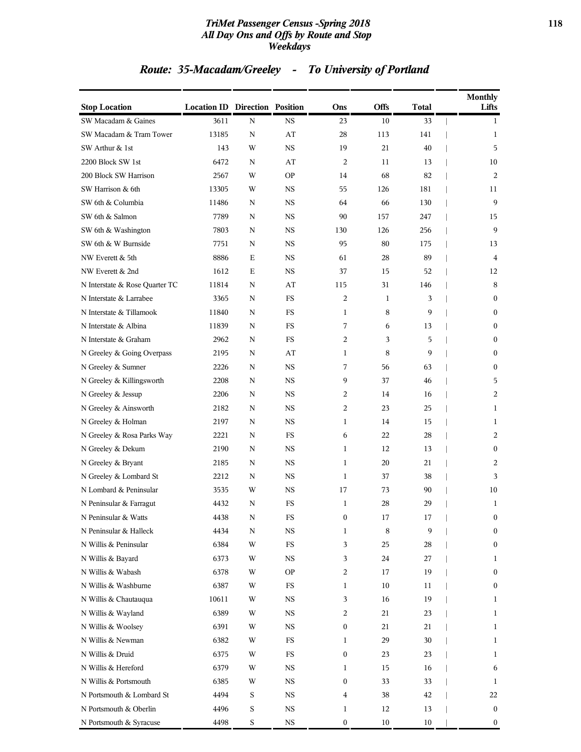#### *TriMet Passenger Census -Spring 2018* **118** *All Day Ons and Offs by Route and Stop Weekdays*

# *Route: 35-Macadam/Greeley - To University of Portland*

| <b>Stop Location</b>           | <b>Location ID Direction Position</b> |             |             | Ons              | Offs         | Total | <b>Monthly</b><br>Lifts |
|--------------------------------|---------------------------------------|-------------|-------------|------------------|--------------|-------|-------------------------|
| SW Macadam & Gaines            | 3611                                  | N           | <b>NS</b>   | 23               | 10           | 33    | 1                       |
| SW Macadam & Tram Tower        | 13185                                 | N           | AT          | 28               | 113          | 141   | 1                       |
| SW Arthur & 1st                | 143                                   | W           | <b>NS</b>   | 19               | 21           | 40    | 5                       |
| 2200 Block SW 1st              | 6472                                  | N           | AT          | 2                | 11           | 13    | 10                      |
| 200 Block SW Harrison          | 2567                                  | W           | <b>OP</b>   | 14               | 68           | 82    | 2                       |
| SW Harrison & 6th              | 13305                                 | W           | <b>NS</b>   | 55               | 126          | 181   | 11                      |
| SW 6th & Columbia              | 11486                                 | N           | <b>NS</b>   | 64               | 66           | 130   | 9                       |
| SW 6th & Salmon                | 7789                                  | N           | <b>NS</b>   | 90               | 157          | 247   | 15                      |
| SW 6th & Washington            | 7803                                  | N           | <b>NS</b>   | 130              | 126          | 256   | 9                       |
| SW 6th & W Burnside            | 7751                                  | N           | NS          | 95               | 80           | 175   | 13                      |
| NW Everett & 5th               | 8886                                  | Ε           | <b>NS</b>   | 61               | 28           | 89    | 4                       |
| NW Everett & 2nd               | 1612                                  | Ε           | <b>NS</b>   | 37               | 15           | 52    | 12                      |
| N Interstate & Rose Quarter TC | 11814                                 | N           | AT          | 115              | 31           | 146   | 8                       |
| N Interstate & Larrabee        | 3365                                  | N           | FS          | 2                | $\mathbf{1}$ | 3     | $\overline{0}$          |
| N Interstate & Tillamook       | 11840                                 | N           | FS          | 1                | 8            | 9     | 0                       |
| N Interstate & Albina          | 11839                                 | N           | FS          | 7                | 6            | 13    | $\overline{0}$          |
| N Interstate & Graham          | 2962                                  | N           | FS          | 2                | 3            | 5     | 0                       |
| N Greeley & Going Overpass     | 2195                                  | N           | AT          | 1                | 8            | 9     | 0                       |
| N Greeley & Sumner             | 2226                                  | N           | <b>NS</b>   | 7                | 56           | 63    | $\overline{0}$          |
| N Greeley & Killingsworth      | 2208                                  | N           | NS.         | 9                | 37           | 46    | 5                       |
| N Greeley & Jessup             | 2206                                  | N           | <b>NS</b>   | 2                | 14           | 16    | 2                       |
| N Greeley & Ainsworth          | 2182                                  | N           | <b>NS</b>   | 2                | 23           | 25    | 1                       |
| N Greeley & Holman             | 2197                                  | N           | <b>NS</b>   | $\mathbf{1}$     | 14           | 15    | 1                       |
| N Greeley & Rosa Parks Way     | 2221                                  | N           | <b>FS</b>   | 6                | 22           | 28    | 2                       |
| N Greeley & Dekum              | 2190                                  | N           | NS          | $\mathbf{1}$     | 12           | 13    | $\overline{0}$          |
| N Greeley & Bryant             | 2185                                  | N           | <b>NS</b>   | 1                | 20           | 21    | 2                       |
| N Greeley & Lombard St         | 2212                                  | N           | NS          | 1                | 37           | 38    | 3                       |
| N Lombard & Peninsular         | 3535                                  | W           | NS          | 17               | 73           | 90    | 10                      |
| N Peninsular & Farragut        | 4432                                  | N           | <b>FS</b>   | $\mathbf{1}$     | 28           | 29    | 1                       |
| N Peninsular & Watts           | 4438                                  | N           | FS          | 0                | 17           | 17    | 0                       |
| N Peninsular & Halleck         | 4434                                  | N           | <b>NS</b>   | 1                | 8            | 9     | $\boldsymbol{0}$        |
| N Willis & Peninsular          | 6384                                  | W           | $_{\rm FS}$ | 3                | 25           | 28    | 0                       |
| N Willis & Bayard              | 6373                                  | W           | NS          | 3                | 24           | 27    | 1                       |
| N Willis & Wabash              | 6378                                  | W           | <b>OP</b>   | 2                | 17           | 19    | $\boldsymbol{0}$        |
| N Willis & Washburne           | 6387                                  | W           | FS          | 1                | 10           | 11    | 0                       |
| N Willis & Chautauqua          | 10611                                 | W           | $_{\rm NS}$ | 3                | 16           | 19    | 1                       |
| N Willis & Wayland             | 6389                                  | W           | NS          | 2                | 21           | 23    | 1                       |
| N Willis & Woolsey             | 6391                                  | W           | NS          | 0                | 21           | 21    | 1                       |
| N Willis & Newman              | 6382                                  | W           | $_{\rm FS}$ | 1                | 29           | 30    | 1                       |
| N Willis & Druid               | 6375                                  | W           | FS          | $\boldsymbol{0}$ | 23           | 23    | 1                       |
| N Willis & Hereford            | 6379                                  | W           | $_{\rm NS}$ | 1                | 15           | 16    | 6                       |
| N Willis & Portsmouth          | 6385                                  | W           | NS          | $\boldsymbol{0}$ | 33           | 33    | 1                       |
| N Portsmouth & Lombard St      | 4494                                  | S           | NS          | 4                | 38           | 42    | 22                      |
| N Portsmouth & Oberlin         | 4496                                  | $\mathbf S$ | $_{\rm NS}$ | 1                | 12           | 13    | $\boldsymbol{0}$        |
| N Portsmouth & Syracuse        | 4498                                  | $\mathbf S$ | <b>NS</b>   | $\boldsymbol{0}$ | 10           | 10    | 0                       |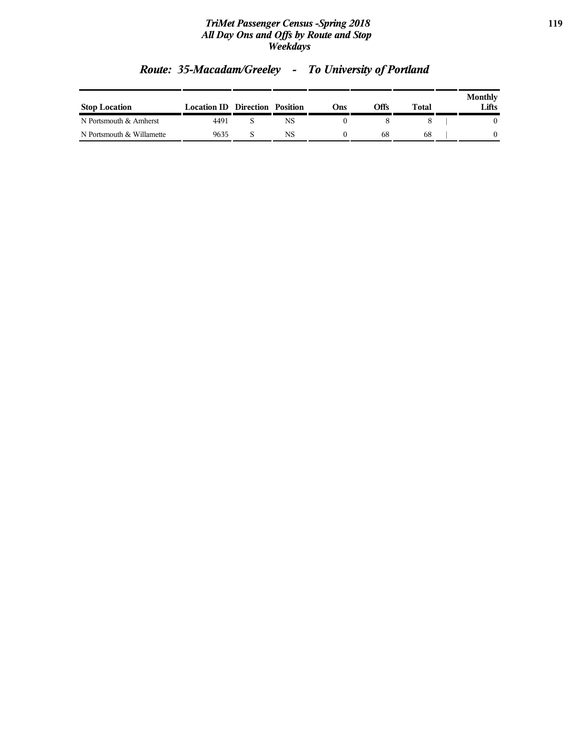#### *TriMet Passenger Census -Spring 2018* **119** *All Day Ons and Offs by Route and Stop Weekdays*

| <b>Stop Location</b>      | <b>Location ID Direction Position</b> |    | Ons | Offs | Total | Monthly<br>Lifts |
|---------------------------|---------------------------------------|----|-----|------|-------|------------------|
| N Portsmouth & Amherst    | 4491                                  | NS |     |      |       |                  |
| N Portsmouth & Willamette | 9635                                  | NS |     | 68   | 68    |                  |

# *Route: 35-Macadam/Greeley - To University of Portland*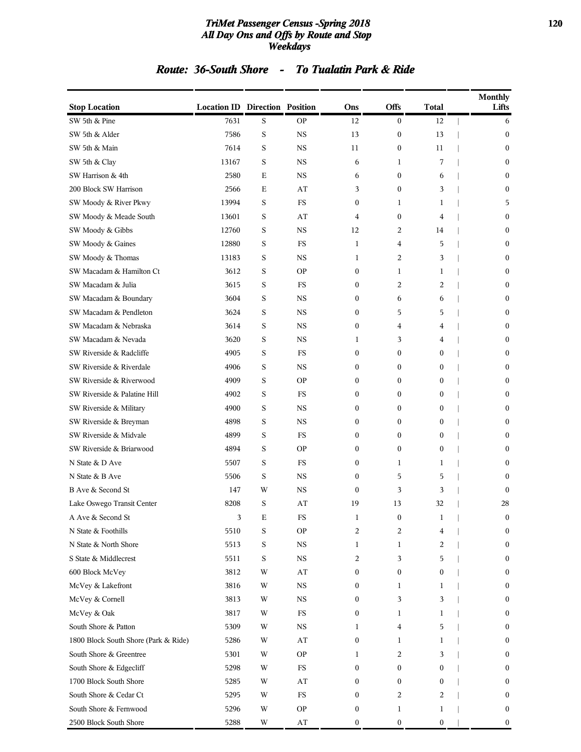#### *TriMet Passenger Census -Spring 2018* **120** *All Day Ons and Offs by Route and Stop Weekdays*

# *Route: 36-South Shore - To Tualatin Park & Ride*

| <b>Stop Location</b>                 | <b>Location ID Direction Position</b> |   |                        | Ons              | Offs             | <b>Total</b>     | <b>Monthly</b><br>Lifts |
|--------------------------------------|---------------------------------------|---|------------------------|------------------|------------------|------------------|-------------------------|
| SW 5th & Pine                        | 7631                                  | S | <b>OP</b>              | 12               | $\mathbf{0}$     | 12               | 6                       |
| SW 5th & Alder                       | 7586                                  | S | <b>NS</b>              | 13               | $\boldsymbol{0}$ | 13               | $\boldsymbol{0}$        |
| SW 5th & Main                        | 7614                                  | S | <b>NS</b>              | 11               | $\boldsymbol{0}$ | 11               | $\bf{0}$                |
| SW 5th & Clay                        | 13167                                 | S | <b>NS</b>              | 6                | 1                | 7                | $\boldsymbol{0}$        |
| SW Harrison & 4th                    | 2580                                  | Е | <b>NS</b>              | 6                | $\mathbf{0}$     | 6                | $\mathbf{0}$            |
| 200 Block SW Harrison                | 2566                                  | E | AT                     | 3                | $\mathbf{0}$     | 3                | $\mathbf{0}$            |
| SW Moody & River Pkwy                | 13994                                 | S | <b>FS</b>              | 0                | 1                | 1                | 5                       |
| SW Moody & Meade South               | 13601                                 | S | AT                     | 4                | $\mathbf{0}$     | 4                | $\boldsymbol{0}$        |
| SW Moody & Gibbs                     | 12760                                 | S | <b>NS</b>              | 12               | 2                | 14               | $\boldsymbol{0}$        |
| SW Moody & Gaines                    | 12880                                 | S | <b>FS</b>              | $\mathbf{1}$     | 4                | 5                | $\mathbf{0}$            |
| SW Moody & Thomas                    | 13183                                 | S | <b>NS</b>              | $\mathbf{1}$     | $\overline{2}$   | 3                | $\mathbf{0}$            |
| SW Macadam & Hamilton Ct             | 3612                                  | S | <b>OP</b>              | 0                | 1                | 1                | $\boldsymbol{0}$        |
| SW Macadam & Julia                   | 3615                                  | S | <b>FS</b>              | 0                | 2                | 2                | $\bf{0}$                |
| SW Macadam & Boundary                | 3604                                  | S | <b>NS</b>              | 0                | 6                | 6                | $\boldsymbol{0}$        |
| SW Macadam & Pendleton               | 3624                                  | S | <b>NS</b>              | $\mathbf{0}$     | 5                | 5                | $\mathbf{0}$            |
| SW Macadam & Nebraska                | 3614                                  | S | <b>NS</b>              | $\boldsymbol{0}$ | $\overline{4}$   | 4                | $\mathbf{0}$            |
| SW Macadam & Nevada                  | 3620                                  | S | <b>NS</b>              | 1                | 3                | 4                | $\boldsymbol{0}$        |
| SW Riverside & Radcliffe             | 4905                                  | S | <b>FS</b>              | $\boldsymbol{0}$ | $\mathbf{0}$     | $\boldsymbol{0}$ | $\bf{0}$                |
| SW Riverside & Riverdale             | 4906                                  | S | <b>NS</b>              | 0                | $\mathbf{0}$     | $\boldsymbol{0}$ | $\mathbf{0}$            |
| SW Riverside & Riverwood             | 4909                                  | S | <b>OP</b>              | 0                | $\mathbf{0}$     | $\mathbf{0}$     | $\mathbf{0}$            |
| SW Riverside & Palatine Hill         | 4902                                  | S | <b>FS</b>              | $\boldsymbol{0}$ | $\mathbf{0}$     | $\boldsymbol{0}$ | $\mathbf{0}$            |
| SW Riverside & Military              | 4900                                  | S | <b>NS</b>              | 0                | $\mathbf{0}$     | $\boldsymbol{0}$ | $\boldsymbol{0}$        |
| SW Riverside & Breyman               | 4898                                  | S | <b>NS</b>              | 0                | $\mathbf{0}$     | $\boldsymbol{0}$ | $\bf{0}$                |
| SW Riverside & Midvale               | 4899                                  | S | <b>FS</b>              | 0                | $\mathbf{0}$     | $\boldsymbol{0}$ | $\mathbf{0}$            |
| SW Riverside & Briarwood             | 4894                                  | S | <b>OP</b>              | 0                | $\mathbf{0}$     | $\mathbf{0}$     | $\mathbf{0}$            |
| N State & D Ave                      | 5507                                  | S | <b>FS</b>              | $\boldsymbol{0}$ | $\mathbf{1}$     | 1                | $\mathbf{0}$            |
| N State & B Ave                      | 5506                                  | S | <b>NS</b>              | 0                | 5                | 5                | $\mathbf{0}$            |
| B Ave & Second St                    | 147                                   | W | <b>NS</b>              | 0                | 3                | 3                | $\mathbf{0}$            |
| Lake Oswego Transit Center           | 8208                                  | S | AT                     | 19               | 13               | 32               | 28                      |
| A Ave & Second St                    | 3                                     | Ε | ${\rm FS}$             | 1                | 0                | 1                | 0                       |
| N State & Foothills                  | 5510                                  | S | <b>OP</b>              | 2                | $\overline{2}$   | 4                | $\boldsymbol{0}$        |
| N State & North Shore                | 5513                                  | S | $_{\rm NS}$            | 1                | 1                | 2                | $\boldsymbol{0}$        |
| S State & Middlecrest                | 5511                                  | S | $_{\rm NS}$            | 2                | 3                | 5                | $\bf{0}$                |
| 600 Block McVey                      | 3812                                  | W | AT                     | 0                | $\boldsymbol{0}$ | $\boldsymbol{0}$ | $\bf{0}$                |
| McVey & Lakefront                    | 3816                                  | W | $_{\rm NS}$            | 0                | 1                | 1                | $\bf{0}$                |
| McVey & Cornell                      | 3813                                  | W | $_{\rm NS}$            | 0                | 3                | 3                | $\boldsymbol{0}$        |
| McVey & Oak                          | 3817                                  | W | FS                     | 0                | 1                | 1                | $\boldsymbol{0}$        |
| South Shore & Patton                 | 5309                                  | W | $_{\rm NS}$            | 1                | 4                | 5                | $\bf{0}$                |
| 1800 Block South Shore (Park & Ride) | 5286                                  | W | AT                     | 0                | 1                | 1                | 0                       |
| South Shore & Greentree              | 5301                                  | W | <b>OP</b>              | 1                | $\overline{c}$   | 3                | $\bf{0}$                |
| South Shore & Edgecliff              | 5298                                  | W | <b>FS</b>              | 0                | $\boldsymbol{0}$ | $\boldsymbol{0}$ | $\boldsymbol{0}$        |
| 1700 Block South Shore               | 5285                                  | W | AT                     | 0                | $\boldsymbol{0}$ | $\boldsymbol{0}$ | $\boldsymbol{0}$        |
| South Shore & Cedar Ct               | 5295                                  | W | <b>FS</b>              | 0                | 2                | 2                | $\bf{0}$                |
| South Shore & Fernwood               | 5296                                  | W | <b>OP</b>              | 0                | 1                | 1                | $\boldsymbol{0}$        |
| 2500 Block South Shore               | 5288                                  | W | $\mathbf{A}\mathbf{T}$ | $\boldsymbol{0}$ | $\boldsymbol{0}$ | $\boldsymbol{0}$ | $\bf{0}$                |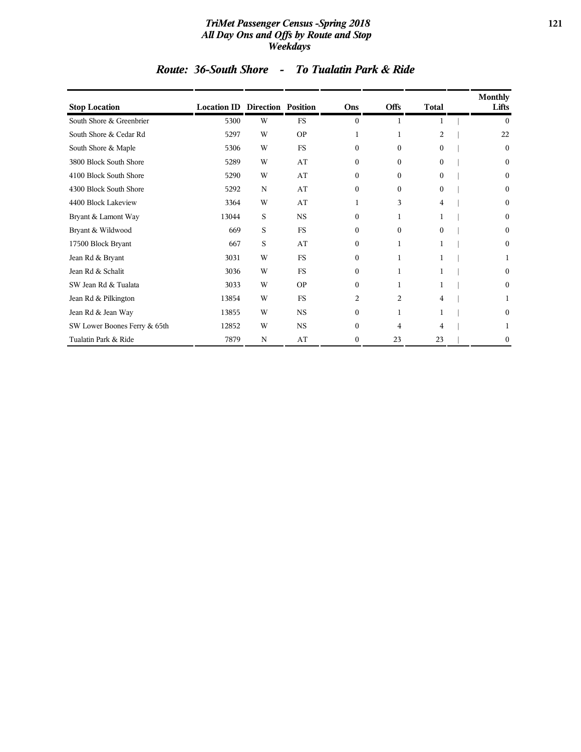#### *TriMet Passenger Census -Spring 2018* **121** *All Day Ons and Offs by Route and Stop Weekdays*

### *Route: 36-South Shore - To Tualatin Park & Ride*

| <b>Stop Location</b>         | <b>Location ID Direction Position</b> |   |             | Ons          | <b>Offs</b>  | <b>Total</b>   | <b>Monthly</b><br>Lifts |
|------------------------------|---------------------------------------|---|-------------|--------------|--------------|----------------|-------------------------|
| South Shore & Greenbrier     | 5300                                  | W | <b>FS</b>   | $\mathbf{0}$ | 1            |                | $\theta$                |
| South Shore & Cedar Rd       | 5297                                  | W | <b>OP</b>   | 1            | 1            | $\overline{c}$ | 22                      |
| South Shore & Maple          | 5306                                  | W | <b>FS</b>   | $\Omega$     | $\Omega$     | $\Omega$       | $\mathbf{0}$            |
| 3800 Block South Shore       | 5289                                  | W | AT          | $\Omega$     | $\theta$     | $\Omega$       | $\mathbf{0}$            |
| 4100 Block South Shore       | 5290                                  | W | AT          | $\Omega$     | $\theta$     | $\Omega$       | $\mathbf{0}$            |
| 4300 Block South Shore       | 5292                                  | N | AT          | $\Omega$     | $\theta$     | $\Omega$       | $\mathbf{0}$            |
| 4400 Block Lakeview          | 3364                                  | W | AT          | 1            | 3            | 4              | $\mathbf{0}$            |
| Bryant & Lamont Way          | 13044                                 | S | <b>NS</b>   | $\mathbf{0}$ | 1            |                | $\mathbf{0}$            |
| Bryant & Wildwood            | 669                                   | S | <b>FS</b>   | $\Omega$     | $\Omega$     | $\Omega$       | $\mathbf{0}$            |
| 17500 Block Bryant           | 667                                   | S | AT          | $\Omega$     | 1            |                | $\bf{0}$                |
| Jean Rd & Bryant             | 3031                                  | W | <b>FS</b>   | $\Omega$     | 1            |                | 1                       |
| Jean Rd & Schalit            | 3036                                  | W | <b>FS</b>   | $\mathbf{0}$ | $\mathbf{1}$ |                | $\mathbf{0}$            |
| SW Jean Rd & Tualata         | 3033                                  | W | <b>OP</b>   | $\Omega$     | 1            |                | $\mathbf{0}$            |
| Jean Rd & Pilkington         | 13854                                 | W | <b>FS</b>   | 2            | 2            | 4              | 1                       |
| Jean Rd & Jean Way           | 13855                                 | W | $_{\rm NS}$ | $\mathbf{0}$ | 1            |                | $\mathbf{0}$            |
| SW Lower Boones Ferry & 65th | 12852                                 | W | $_{\rm NS}$ | $\Omega$     | 4            | 4              | 1                       |
| Tualatin Park & Ride         | 7879                                  | N | AT          | $\mathbf{0}$ | 23           | 23             | $\boldsymbol{0}$        |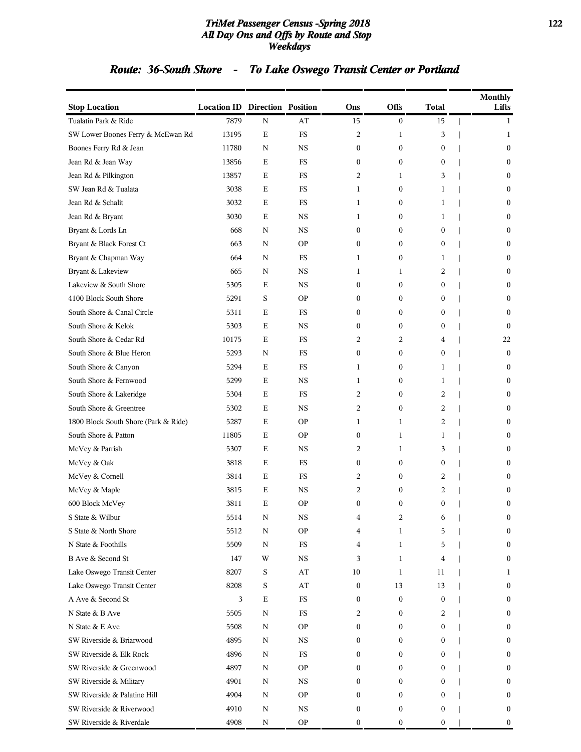#### *TriMet Passenger Census -Spring 2018* **122** *All Day Ons and Offs by Route and Stop Weekdays*

# *Route: 36-South Shore - To Lake Oswego Transit Center or Portland*

| <b>Stop Location</b>                 | <b>Location ID Direction Position</b> |             |             | Ons              | Offs             | <b>Total</b>     | <b>Monthly</b><br>Lifts |
|--------------------------------------|---------------------------------------|-------------|-------------|------------------|------------------|------------------|-------------------------|
| Tualatin Park & Ride                 | 7879                                  | N           | AT          | 15               | $\boldsymbol{0}$ | 15               | 1                       |
| SW Lower Boones Ferry & McEwan Rd    | 13195                                 | Е           | FS          | 2                | 1                | 3                | 1                       |
| Boones Ferry Rd & Jean               | 11780                                 | N           | <b>NS</b>   | 0                | $\mathbf{0}$     | $\boldsymbol{0}$ | $\boldsymbol{0}$        |
| Jean Rd & Jean Way                   | 13856                                 | Е           | FS          | 0                | $\mathbf{0}$     | $\boldsymbol{0}$ | $\mathbf{0}$            |
| Jean Rd & Pilkington                 | 13857                                 | Е           | FS          | 2                | 1                | 3                | $\mathbf{0}$            |
| SW Jean Rd & Tualata                 | 3038                                  | Е           | FS          | 1                | $\boldsymbol{0}$ | 1                | $\mathbf{0}$            |
| Jean Rd & Schalit                    | 3032                                  | Е           | FS          | 1                | $\boldsymbol{0}$ | 1                | 0                       |
| Jean Rd & Bryant                     | 3030                                  | Е           | <b>NS</b>   | 1                | $\mathbf{0}$     | 1                | $\boldsymbol{0}$        |
| Bryant & Lords Ln                    | 668                                   | N           | <b>NS</b>   | 0                | $\mathbf{0}$     | $\mathbf{0}$     | $\mathbf{0}$            |
| Bryant & Black Forest Ct             | 663                                   | N           | <b>OP</b>   | 0                | $\mathbf{0}$     | $\mathbf{0}$     | $\mathbf{0}$            |
| Bryant & Chapman Way                 | 664                                   | N           | FS          | 1                | $\mathbf{0}$     | 1                | $\mathbf{0}$            |
| Bryant & Lakeview                    | 665                                   | N           | <b>NS</b>   | 1                | 1                | 2                | 0                       |
| Lakeview & South Shore               | 5305                                  | Е           | <b>NS</b>   | 0                | $\mathbf{0}$     | $\mathbf{0}$     | $\boldsymbol{0}$        |
| 4100 Block South Shore               | 5291                                  | S           | <b>OP</b>   | 0                | $\mathbf{0}$     | $\mathbf{0}$     | $\mathbf{0}$            |
| South Shore & Canal Circle           | 5311                                  | Е           | FS          | 0                | $\mathbf{0}$     | $\mathbf{0}$     | $\mathbf{0}$            |
| South Shore & Kelok                  | 5303                                  | Е           | <b>NS</b>   | 0                | $\mathbf{0}$     | $\boldsymbol{0}$ | $\mathbf{0}$            |
| South Shore & Cedar Rd               | 10175                                 | Е           | FS          | 2                | 2                | 4                | 22                      |
| South Shore & Blue Heron             | 5293                                  | N           | FS          | 0                | $\boldsymbol{0}$ | $\mathbf{0}$     | $\boldsymbol{0}$        |
| South Shore & Canyon                 | 5294                                  | Е           | FS          | 1                | $\mathbf{0}$     | 1                | $\mathbf{0}$            |
| South Shore & Fernwood               | 5299                                  | Е           | <b>NS</b>   | 1                | $\mathbf{0}$     | 1                | $\mathbf{0}$            |
| South Shore & Lakeridge              | 5304                                  | Е           | FS          | 2                | $\mathbf{0}$     | 2                | $\mathbf{0}$            |
| South Shore & Greentree              | 5302                                  | Е           | <b>NS</b>   | 2                | $\boldsymbol{0}$ | 2                | 0                       |
| 1800 Block South Shore (Park & Ride) | 5287                                  | Е           | <b>OP</b>   | 1                | 1                | 2                | $\boldsymbol{0}$        |
| South Shore & Patton                 | 11805                                 | E           | <b>OP</b>   | $\boldsymbol{0}$ | $\mathbf{1}$     | 1                | $\mathbf{0}$            |
| McVey & Parrish                      | 5307                                  | Е           | <b>NS</b>   | 2                | 1                | 3                | $\mathbf{0}$            |
| McVey & Oak                          | 3818                                  | Е           | FS          | 0                | $\boldsymbol{0}$ | $\boldsymbol{0}$ | $\mathbf{0}$            |
| McVey & Cornell                      | 3814                                  | Е           | FS          | 2                | $\boldsymbol{0}$ | 2                | $\mathbf{0}$            |
| McVey & Maple                        | 3815                                  | Ε           | <b>NS</b>   | 2                | $\boldsymbol{0}$ | 2                | 0                       |
| 600 Block McVey                      | 3811                                  | E           | <b>OP</b>   | 0                | $\mathbf{0}$     | $\mathbf{0}$     | $\mathbf{0}$            |
| S State & Wilbur                     | 5514                                  | N           | NS          | 4                | 2                | 6                | 0                       |
| S State & North Shore                | 5512                                  | N           | <b>OP</b>   | 4                | 1                | 5                | $\mathbf{0}$            |
| N State & Foothills                  | 5509                                  | N           | FS          | 4                | 1                | 5                | $\mathbf{0}$            |
| B Ave & Second St                    | 147                                   | W           | $_{\rm NS}$ | 3                | 1                | 4                | $\boldsymbol{0}$        |
| Lake Oswego Transit Center           | 8207                                  | $\mathbf S$ | AT          | 10               | 1                | 11               | 1                       |
| Lake Oswego Transit Center           | 8208                                  | S           | AT          | $\boldsymbol{0}$ | 13               | 13               | 0                       |
| A Ave & Second St                    | 3                                     | $\mathbf E$ | $_{\rm FS}$ | 0                | $\boldsymbol{0}$ | 0                | $\mathbf{0}$            |
| N State & B Ave                      | 5505                                  | N           | $_{\rm FS}$ | 2                | $\boldsymbol{0}$ | 2                | $\mathbf{0}$            |
| N State & E Ave                      | 5508                                  | N           | <b>OP</b>   | $\mathbf{0}$     | $\mathbf{0}$     | 0                | $\boldsymbol{0}$        |
| SW Riverside & Briarwood             | 4895                                  | N           | NS          | 0                | $\mathbf{0}$     | 0                | $\mathbf{0}$            |
| SW Riverside & Elk Rock              | 4896                                  | N           | $_{\rm FS}$ | 0                | $\mathbf{0}$     | $\boldsymbol{0}$ | $\mathbf{0}$            |
| SW Riverside & Greenwood             | 4897                                  | N           | <b>OP</b>   | 0                | $\mathbf{0}$     | $\overline{0}$   | $\mathbf{0}$            |
| SW Riverside & Military              | 4901                                  | N           | NS          | 0                | $\boldsymbol{0}$ | 0                | $\mathbf{0}$            |
| SW Riverside & Palatine Hill         | 4904                                  | N           | <b>OP</b>   | $\mathbf{0}$     | $\mathbf{0}$     | $\overline{0}$   | $\boldsymbol{0}$        |
| SW Riverside & Riverwood             | 4910                                  | N           | NS          | 0                | $\boldsymbol{0}$ | $\boldsymbol{0}$ | $\mathbf{0}$            |
| SW Riverside & Riverdale             | 4908                                  | N           | <b>OP</b>   | 0                | $\boldsymbol{0}$ | $\boldsymbol{0}$ | $\boldsymbol{0}$        |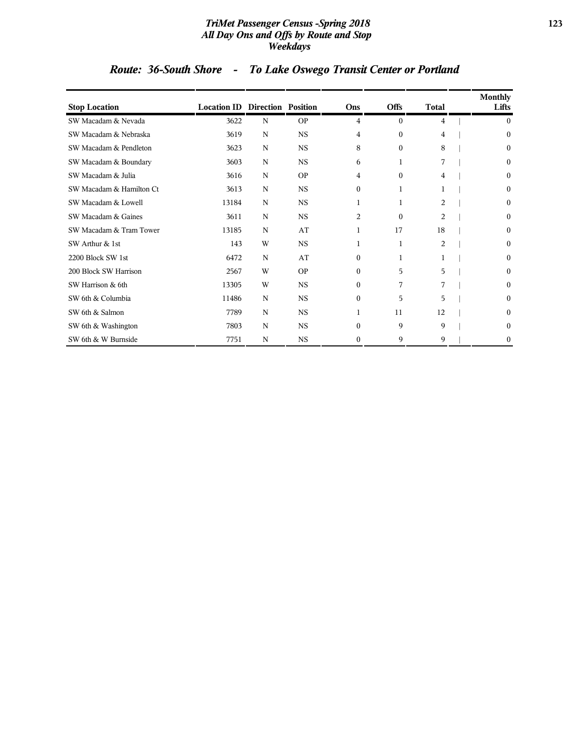#### *TriMet Passenger Census -Spring 2018* **123** *All Day Ons and Offs by Route and Stop Weekdays*

# *Route: 36-South Shore - To Lake Oswego Transit Center or Portland*

| <b>Stop Location</b>     | <b>Location ID Direction Position</b> |   |             | Ons      | <b>Offs</b>  | <b>Total</b>   | Monthly<br>Lifts |
|--------------------------|---------------------------------------|---|-------------|----------|--------------|----------------|------------------|
| SW Macadam & Nevada      | 3622                                  | N | <b>OP</b>   | 4        | $\mathbf{0}$ | 4              | $\mathbf{0}$     |
| SW Macadam & Nebraska    | 3619                                  | N | <b>NS</b>   | 4        | $\Omega$     | 4              | $\mathbf{0}$     |
| SW Macadam & Pendleton   | 3623                                  | N | $_{\rm NS}$ | 8        | $\Omega$     | 8              | $\Omega$         |
| SW Macadam & Boundary    | 3603                                  | N | <b>NS</b>   | 6        | 1            | 7              | $\mathbf{0}$     |
| SW Macadam & Julia       | 3616                                  | N | <b>OP</b>   | 4        | $\Omega$     | 4              | $\mathbf{0}$     |
| SW Macadam & Hamilton Ct | 3613                                  | N | $_{\rm NS}$ | $\Omega$ | 1            |                | $\mathbf{0}$     |
| SW Macadam & Lowell      | 13184                                 | N | <b>NS</b>   | 1        |              | $\overline{2}$ | $\mathbf{0}$     |
| SW Macadam & Gaines      | 3611                                  | N | $_{\rm NS}$ | 2        | $\Omega$     | $\overline{2}$ | $\mathbf{0}$     |
| SW Macadam & Tram Tower  | 13185                                 | N | AT          | 1        | 17           | 18             | $\mathbf{0}$     |
| SW Arthur & 1st          | 143                                   | W | <b>NS</b>   | 1        | 1            | 2              | $\mathbf{0}$     |
| 2200 Block SW 1st        | 6472                                  | N | AT          | $\Omega$ | 1            |                | $\mathbf{0}$     |
| 200 Block SW Harrison    | 2567                                  | W | <b>OP</b>   | $\Omega$ | 5            | 5              | $\mathbf{0}$     |
| SW Harrison & 6th        | 13305                                 | W | $_{\rm NS}$ | $\Omega$ | 7            |                | $\mathbf{0}$     |
| SW 6th & Columbia        | 11486                                 | N | <b>NS</b>   | $\Omega$ | 5            | 5              | $\mathbf{0}$     |
| SW 6th & Salmon          | 7789                                  | N | <b>NS</b>   | 1        | 11           | 12             | $\mathbf{0}$     |
| SW 6th & Washington      | 7803                                  | N | $_{\rm NS}$ | $\Omega$ | 9            | 9              | $\mathbf{0}$     |
| SW 6th & W Burnside      | 7751                                  | N | <b>NS</b>   | $\Omega$ | 9            | 9              | $\boldsymbol{0}$ |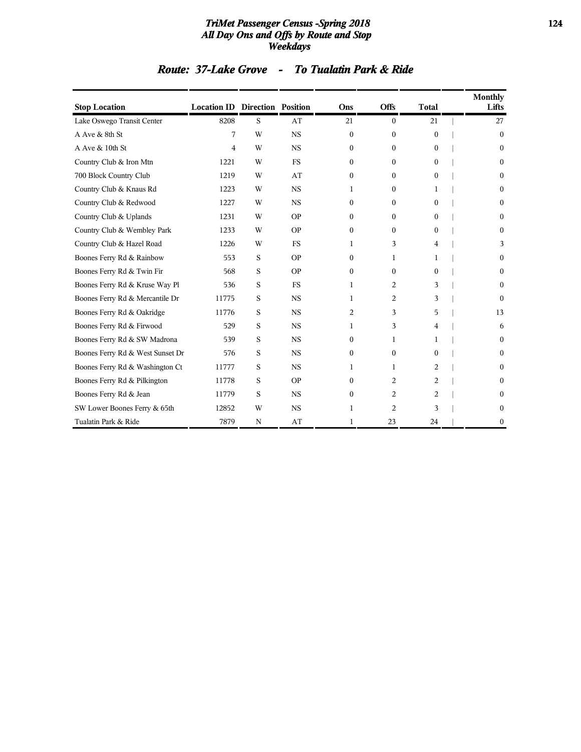#### *TriMet Passenger Census -Spring 2018* **124** *All Day Ons and Offs by Route and Stop Weekdays*

| <b>Stop Location</b>             | <b>Location ID Direction Position</b> |   |             | Ons            | Offs         | <b>Total</b> | Monthly<br>Lifts |
|----------------------------------|---------------------------------------|---|-------------|----------------|--------------|--------------|------------------|
| Lake Oswego Transit Center       | 8208                                  | S | AT          | 21             | $\mathbf{0}$ | 21           | 27               |
| A Ave & 8th St                   | 7                                     | W | <b>NS</b>   | $\mathbf{0}$   | $\Omega$     | $\Omega$     | $\boldsymbol{0}$ |
| A Ave & 10th St                  | 4                                     | W | <b>NS</b>   | $\Omega$       | $\Omega$     | $\Omega$     | 0                |
| Country Club & Iron Mtn          | 1221                                  | W | <b>FS</b>   | 0              | $\Omega$     | $\Omega$     | 0                |
| 700 Block Country Club           | 1219                                  | W | AT          | $\Omega$       | $\Omega$     | $\Omega$     | 0                |
| Country Club & Knaus Rd          | 1223                                  | W | <b>NS</b>   | 1              | $\Omega$     | 1            | 0                |
| Country Club & Redwood           | 1227                                  | W | <b>NS</b>   | $\Omega$       | $\Omega$     | $\Omega$     | 0                |
| Country Club & Uplands           | 1231                                  | W | <b>OP</b>   | 0              | $\Omega$     | $\Omega$     | 0                |
| Country Club & Wembley Park      | 1233                                  | W | <b>OP</b>   | $\Omega$       | $\Omega$     | $\Omega$     | 0                |
| Country Club & Hazel Road        | 1226                                  | W | <b>FS</b>   | 1              | 3            | 4            | 3                |
| Boones Ferry Rd & Rainbow        | 553                                   | S | <b>OP</b>   | $\Omega$       | 1            | 1            | 0                |
| Boones Ferry Rd & Twin Fir       | 568                                   | S | <b>OP</b>   | $\Omega$       | $\Omega$     | $\Omega$     | 0                |
| Boones Ferry Rd & Kruse Way Pl   | 536                                   | S | <b>FS</b>   | 1              | 2            | 3            | 0                |
| Boones Ferry Rd & Mercantile Dr  | 11775                                 | S | <b>NS</b>   | 1              | 2            | 3            | 0                |
| Boones Ferry Rd & Oakridge       | 11776                                 | S | <b>NS</b>   | $\overline{c}$ | 3            | 5            | 13               |
| Boones Ferry Rd & Firwood        | 529                                   | S | <b>NS</b>   | 1              | 3            | 4            | 6                |
| Boones Ferry Rd & SW Madrona     | 539                                   | S | <b>NS</b>   | 0              | 1            | 1            | 0                |
| Boones Ferry Rd & West Sunset Dr | 576                                   | S | <b>NS</b>   | $\Omega$       | $\Omega$     | $\Omega$     |                  |
| Boones Ferry Rd & Washington Ct  | 11777                                 | S | <b>NS</b>   | 1              | 1            | 2            | 0                |
| Boones Ferry Rd & Pilkington     | 11778                                 | S | <b>OP</b>   | 0              | 2            | 2            | 0                |
| Boones Ferry Rd & Jean           | 11779                                 | S | <b>NS</b>   | $\Omega$       | 2            | 2            |                  |
| SW Lower Boones Ferry & 65th     | 12852                                 | W | $_{\rm NS}$ | 1              | 2            | 3            | 0                |
| Tualatin Park & Ride             | 7879                                  | N | AT          | 1              | 23           | 24           | 0                |

### *Route: 37-Lake Grove - To Tualatin Park & Ride*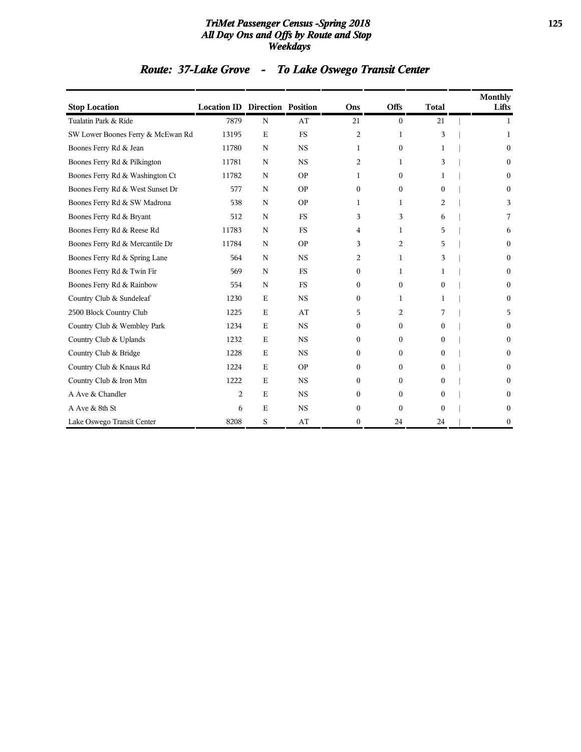#### *TriMet Passenger Census -Spring 2018* **125** *All Day Ons and Offs by Route and Stop Weekdays*

# *Route: 37-Lake Grove - To Lake Oswego Transit Center*

| <b>Stop Location</b>              | <b>Location ID Direction Position</b> |             |           | Ons          | <b>Offs</b>  | <b>Total</b> | <b>Monthly</b><br>Lifts |
|-----------------------------------|---------------------------------------|-------------|-----------|--------------|--------------|--------------|-------------------------|
| Tualatin Park & Ride              | 7879                                  | N           | AT        | 21           | $\mathbf{0}$ | 21           | 1                       |
| SW Lower Boones Ferry & McEwan Rd | 13195                                 | $\mathbf E$ | <b>FS</b> | 2            | 1            | 3            | 1                       |
| Boones Ferry Rd & Jean            | 11780                                 | N           | <b>NS</b> | 1            | $\theta$     | 1            | $\Omega$                |
| Boones Ferry Rd & Pilkington      | 11781                                 | N           | <b>NS</b> | 2            | 1            | 3            | $\mathbf{0}$            |
| Boones Ferry Rd & Washington Ct   | 11782                                 | $\mathbf N$ | <b>OP</b> | 1            | $\Omega$     | 1            | $\Omega$                |
| Boones Ferry Rd & West Sunset Dr  | 577                                   | N           | <b>OP</b> | $\mathbf{0}$ | $\mathbf{0}$ | $\Omega$     | $\mathbf{0}$            |
| Boones Ferry Rd & SW Madrona      | 538                                   | $\mathbf N$ | <b>OP</b> | 1            | 1            | 2            | 3                       |
| Boones Ferry Rd & Bryant          | 512                                   | $\mathbf N$ | <b>FS</b> | 3            | 3            | 6            | 7                       |
| Boones Ferry Rd & Reese Rd        | 11783                                 | N           | <b>FS</b> | 4            | 1            | 5            | 6                       |
| Boones Ferry Rd & Mercantile Dr   | 11784                                 | N           | <b>OP</b> | 3            | 2            | 5            | $\mathbf{0}$            |
| Boones Ferry Rd & Spring Lane     | 564                                   | N           | <b>NS</b> | 2            | 1            | 3            | $\mathbf{0}$            |
| Boones Ferry Rd & Twin Fir        | 569                                   | $\mathbf N$ | <b>FS</b> | $\mathbf{0}$ | 1            | 1            | $\mathbf{0}$            |
| Boones Ferry Rd & Rainbow         | 554                                   | N           | <b>FS</b> | $\mathbf{0}$ | $\mathbf{0}$ | 0            | $\mathbf{0}$            |
| Country Club & Sundeleaf          | 1230                                  | E           | <b>NS</b> | $\Omega$     | 1            | 1            | $\mathbf{0}$            |
| 2500 Block Country Club           | 1225                                  | E           | AT        | 5            | 2            | 7            | 5                       |
| Country Club & Wembley Park       | 1234                                  | E           | <b>NS</b> | $\theta$     | $\Omega$     | 0            | $\mathbf{0}$            |
| Country Club & Uplands            | 1232                                  | E           | <b>NS</b> | $\mathbf{0}$ | $\Omega$     | 0            | $\Omega$                |
| Country Club & Bridge             | 1228                                  | E           | <b>NS</b> | $\theta$     | $\Omega$     | $\Omega$     | $\mathbf{0}$            |
| Country Club & Knaus Rd           | 1224                                  | E           | <b>OP</b> | $\Omega$     | $\Omega$     | 0            | 0                       |
| Country Club & Iron Mtn           | 1222                                  | E           | <b>NS</b> | $\Omega$     | $\Omega$     | 0            | $\theta$                |
| A Ave & Chandler                  | 2                                     | E           | <b>NS</b> | $\Omega$     | $\Omega$     | 0            | 0                       |
| A Ave & 8th St                    | 6                                     | E           | <b>NS</b> | $\Omega$     | $\Omega$     | $\Omega$     | $\mathbf{0}$            |
| Lake Oswego Transit Center        | 8208                                  | S           | AT        | $\Omega$     | 24           | 24           | $\Omega$                |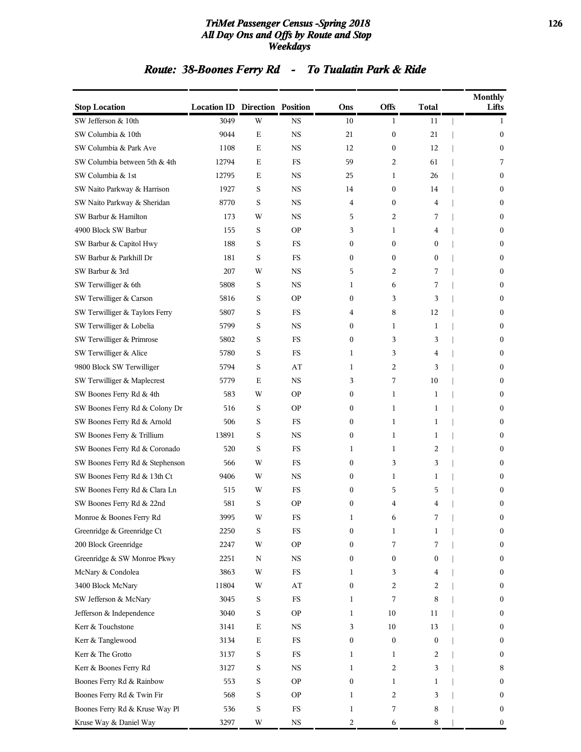#### *TriMet Passenger Census -Spring 2018* **126** *All Day Ons and Offs by Route and Stop Weekdays*

# *Route: 38-Boones Ferry Rd - To Tualatin Park & Ride*

| <b>Stop Location</b>            | <b>Location ID Direction Position</b> |             |             | Ons              | Offs             | Total            | <b>Monthly</b><br>Lifts |
|---------------------------------|---------------------------------------|-------------|-------------|------------------|------------------|------------------|-------------------------|
| SW Jefferson & 10th             | 3049                                  | W           | <b>NS</b>   | 10               | 1                | 11               | 1                       |
| SW Columbia & 10th              | 9044                                  | Ε           | <b>NS</b>   | 21               | $\boldsymbol{0}$ | 21               | $\boldsymbol{0}$        |
| SW Columbia & Park Ave          | 1108                                  | E           | <b>NS</b>   | 12               | $\boldsymbol{0}$ | 12               | $\boldsymbol{0}$        |
| SW Columbia between 5th & 4th   | 12794                                 | $\mathbf E$ | FS          | 59               | 2                | 61               | 7                       |
| SW Columbia & 1st               | 12795                                 | Ε           | NS          | 25               | 1                | 26               | $\mathbf{0}$            |
| SW Naito Parkway & Harrison     | 1927                                  | S           | NS          | 14               | 0                | 14               | 0                       |
| SW Naito Parkway & Sheridan     | 8770                                  | S           | <b>NS</b>   | 4                | 0                | 4                | 0                       |
| SW Barbur & Hamilton            | 173                                   | W           | <b>NS</b>   | 5                | 2                | 7                | 0                       |
| 4900 Block SW Barbur            | 155                                   | S           | <b>OP</b>   | 3                | 1                | 4                | $\boldsymbol{0}$        |
| SW Barbur & Capitol Hwy         | 188                                   | S           | <b>FS</b>   | $\mathbf{0}$     | $\overline{0}$   | $\mathbf{0}$     | $\mathbf{0}$            |
| SW Barbur & Parkhill Dr         | 181                                   | S           | FS          | $\mathbf{0}$     | $\boldsymbol{0}$ | $\mathbf{0}$     | 0                       |
| SW Barbur & 3rd                 | 207                                   | W           | <b>NS</b>   | 5                | 2                | 7                | 0                       |
| SW Terwilliger & 6th            | 5808                                  | S           | <b>NS</b>   | 1                | 6                | 7                | 0                       |
| SW Terwilliger & Carson         | 5816                                  | S           | <b>OP</b>   | $\boldsymbol{0}$ | 3                | 3                | $\boldsymbol{0}$        |
| SW Terwilliger & Taylors Ferry  | 5807                                  | S           | FS          | 4                | 8                | 12               | $\mathbf{0}$            |
| SW Terwilliger & Lobelia        | 5799                                  | S           | NS          | $\bf{0}$         | 1                | 1                | 0                       |
| SW Terwilliger & Primrose       | 5802                                  | S           | FS          | $\bf{0}$         | 3                | 3                | 0                       |
| SW Terwilliger & Alice          | 5780                                  | S           | <b>FS</b>   | 1                | 3                | 4                | 0                       |
| 9800 Block SW Terwilliger       | 5794                                  | S           | AT          | 1                | 2                | 3                | $\boldsymbol{0}$        |
| SW Terwilliger & Maplecrest     | 5779                                  | Ε           | <b>NS</b>   | 3                | 7                | 10               | $\mathbf{0}$            |
| SW Boones Ferry Rd & 4th        | 583                                   | W           | ΟP          | $\boldsymbol{0}$ | 1                | 1                | 0                       |
| SW Boones Ferry Rd & Colony Dr  | 516                                   | S           | <b>OP</b>   | $\bf{0}$         | 1                | 1                | 0                       |
| SW Boones Ferry Rd & Arnold     | 506                                   | S           | FS          | $\bf{0}$         | 1                | 1                | 0                       |
| SW Boones Ferry & Trillium      | 13891                                 | S           | <b>NS</b>   | $\boldsymbol{0}$ | 1                | 1                | $\boldsymbol{0}$        |
| SW Boones Ferry Rd & Coronado   | 520                                   | S           | <b>FS</b>   | 1                | 1                | 2                | $\mathbf{0}$            |
| SW Boones Ferry Rd & Stephenson | 566                                   | W           | FS          | $\bf{0}$         | 3                | 3                | 0                       |
| SW Boones Ferry Rd & 13th Ct    | 9406                                  | W           | <b>NS</b>   | $\boldsymbol{0}$ | $\mathbf{1}$     | 1                | 0                       |
| SW Boones Ferry Rd & Clara Ln   | 515                                   | W           | FS          | $\mathbf{0}$     | 5                | 5                | 0                       |
| SW Boones Ferry Rd & 22nd       | 581                                   | S           | <b>OP</b>   | $\mathbf{0}$     | 4                | 4                | $\boldsymbol{0}$        |
| Monroe & Boones Ferry Rd        | 3995                                  | W           | FS          | 1                | 6                | 7                | 0                       |
| Greenridge & Greenridge Ct      | 2250                                  | S           | FS          | $\boldsymbol{0}$ | 1                | 1                | 0                       |
| 200 Block Greenridge            | 2247                                  | W           | <b>OP</b>   | $\bf{0}$         | 7                | 7                | 0                       |
| Greenridge & SW Monroe Pkwy     | 2251                                  | N           | $_{\rm NS}$ | $\bf{0}$         | $\boldsymbol{0}$ | $\boldsymbol{0}$ | $\boldsymbol{0}$        |
| McNary & Condolea               | 3863                                  | W           | $_{\rm FS}$ | 1                | 3                | 4                | $\boldsymbol{0}$        |
| 3400 Block McNary               | 11804                                 | W           | AT          | $\boldsymbol{0}$ | $\overline{c}$   | $\overline{c}$   | 0                       |
| SW Jefferson & McNary           | 3045                                  | S           | FS          | 1                | 7                | 8                | 0                       |
| Jefferson & Independence        | 3040                                  | S           | <b>OP</b>   | 1                | 10               | 11               | 0                       |
| Kerr & Touchstone               | 3141                                  | $\mathbf E$ | $_{\rm NS}$ | 3                | 10               | 13               | 0                       |
| Kerr & Tanglewood               | 3134                                  | $\mathbf E$ | FS          | $\boldsymbol{0}$ | $\boldsymbol{0}$ | $\boldsymbol{0}$ | $\boldsymbol{0}$        |
| Kerr & The Grotto               | 3137                                  | S           | $_{\rm FS}$ | 1                | 1                | 2                | 0                       |
| Kerr & Boones Ferry Rd          | 3127                                  | S           | <b>NS</b>   | 1                | $\overline{c}$   | 3                | 8                       |
| Boones Ferry Rd & Rainbow       | 553                                   | S           | <b>OP</b>   | $\boldsymbol{0}$ | $\mathbf{1}$     | 1                | 0                       |
| Boones Ferry Rd & Twin Fir      | 568                                   | S           | <b>OP</b>   | 1                | 2                | 3                | 0                       |
| Boones Ferry Rd & Kruse Way Pl  | 536                                   | S           | $_{\rm FS}$ | 1                | 7                | 8                | $\boldsymbol{0}$        |
| Kruse Way & Daniel Way          | 3297                                  | W           | $_{\rm NS}$ | 2                | 6                | 8                | $\boldsymbol{0}$        |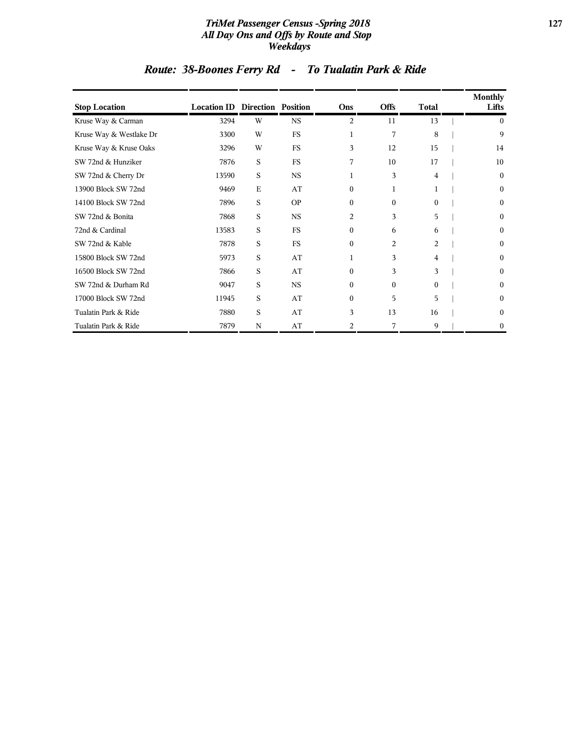#### *TriMet Passenger Census -Spring 2018* **127** *All Day Ons and Offs by Route and Stop Weekdays*

| <b>Stop Location</b>    | <b>Location ID Direction Position</b> |             |           | Ons            | <b>Offs</b>    | <b>Total</b> | Monthly<br>Lifts |
|-------------------------|---------------------------------------|-------------|-----------|----------------|----------------|--------------|------------------|
| Kruse Way & Carman      | 3294                                  | W           | <b>NS</b> | 2              | 11             | 13           | $\mathbf{0}$     |
| Kruse Way & Westlake Dr | 3300                                  | W           | FS        | 1              | 7              | 8            | 9                |
| Kruse Way & Kruse Oaks  | 3296                                  | W           | <b>FS</b> | 3              | 12             | 15           | 14               |
| SW 72nd & Hunziker      | 7876                                  | S           | <b>FS</b> | 7              | 10             | 17           | 10               |
| SW 72nd & Cherry Dr     | 13590                                 | S           | <b>NS</b> | 1              | 3              | 4            | $\mathbf{0}$     |
| 13900 Block SW 72nd     | 9469                                  | $\mathbf E$ | AT        | $\overline{0}$ | 1              | 1            | $\mathbf{0}$     |
| 14100 Block SW 72nd     | 7896                                  | S           | <b>OP</b> | $\overline{0}$ | $\Omega$       | $\Omega$     | $\bf{0}$         |
| SW 72nd & Bonita        | 7868                                  | S           | <b>NS</b> | 2              | 3              | 5            | $\boldsymbol{0}$ |
| 72nd & Cardinal         | 13583                                 | S           | <b>FS</b> | $\mathbf{0}$   | 6              | 6            | $\mathbf{0}$     |
| SW 72nd & Kable         | 7878                                  | S           | <b>FS</b> | $\overline{0}$ | $\overline{c}$ | 2            | $\boldsymbol{0}$ |
| 15800 Block SW 72nd     | 5973                                  | S           | AT        | 1              | 3              | 4            | $\mathbf{0}$     |
| 16500 Block SW 72nd     | 7866                                  | S           | AT        | $\Omega$       | 3              | 3            | $\mathbf{0}$     |
| SW 72nd & Durham Rd     | 9047                                  | S           | <b>NS</b> | 0              | $\Omega$       | $\Omega$     | $\mathbf{0}$     |
| 17000 Block SW 72nd     | 11945                                 | S           | AT        | $\overline{0}$ | 5              | 5            | $\mathbf{0}$     |
| Tualatin Park & Ride    | 7880                                  | S           | AT        | 3              | 13             | 16           | $\mathbf{0}$     |
| Tualatin Park & Ride    | 7879                                  | N           | AT        | 2              | 7              | 9            | 0                |

# *Route: 38-Boones Ferry Rd - To Tualatin Park & Ride*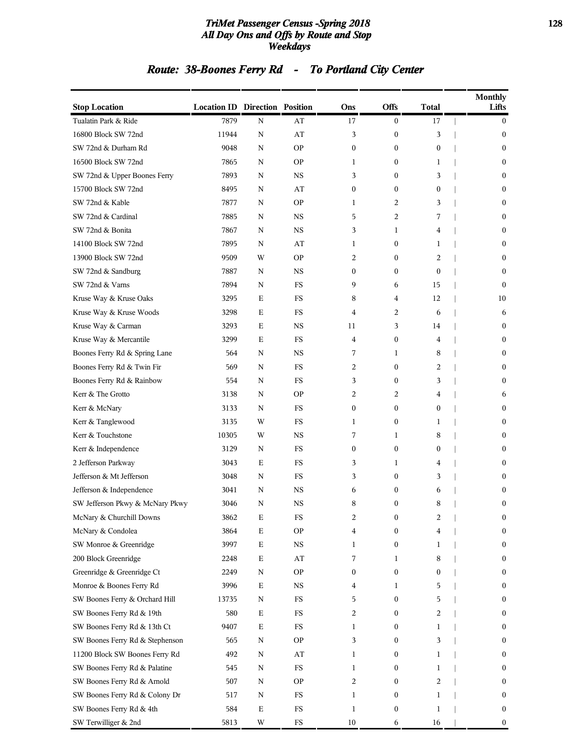#### *TriMet Passenger Census -Spring 2018* **128** *All Day Ons and Offs by Route and Stop Weekdays*

# *Route: 38-Boones Ferry Rd - To Portland City Center*

| <b>Stop Location</b>            | <b>Location ID Direction Position</b> |             |             | Ons              | <b>Offs</b>      | <b>Total</b>     | <b>Monthly</b><br>Lifts |
|---------------------------------|---------------------------------------|-------------|-------------|------------------|------------------|------------------|-------------------------|
| Tualatin Park & Ride            | 7879                                  | N           | AT          | 17               | $\boldsymbol{0}$ | 17               | $\bf{0}$                |
| 16800 Block SW 72nd             | 11944                                 | $\mathbf N$ | AT          | 3                | $\boldsymbol{0}$ | 3                | $\boldsymbol{0}$        |
| SW 72nd & Durham Rd             | 9048                                  | N           | <b>OP</b>   | $\boldsymbol{0}$ | $\boldsymbol{0}$ | $\boldsymbol{0}$ | $\boldsymbol{0}$        |
| 16500 Block SW 72nd             | 7865                                  | N           | <b>OP</b>   | 1                | $\boldsymbol{0}$ | 1                | $\bf{0}$                |
| SW 72nd & Upper Boones Ferry    | 7893                                  | N           | <b>NS</b>   | 3                | $\boldsymbol{0}$ | 3                | $\boldsymbol{0}$        |
| 15700 Block SW 72nd             | 8495                                  | N           | AT          | $\boldsymbol{0}$ | $\boldsymbol{0}$ | 0                | $\bf{0}$                |
| SW 72nd & Kable                 | 7877                                  | N           | <b>OP</b>   | 1                | 2                | 3                | $\boldsymbol{0}$        |
| SW 72nd & Cardinal              | 7885                                  | N           | $_{\rm NS}$ | 5                | 2                | 7                | $\boldsymbol{0}$        |
| SW 72nd & Bonita                | 7867                                  | N           | <b>NS</b>   | 3                | 1                | 4                | $\bf{0}$                |
| 14100 Block SW 72nd             | 7895                                  | N           | AT          | 1                | 0                | 1                | $\boldsymbol{0}$        |
| 13900 Block SW 72nd             | 9509                                  | W           | <b>OP</b>   | 2                | 0                | 2                | $\boldsymbol{0}$        |
| SW 72nd & Sandburg              | 7887                                  | N           | NS          | $\boldsymbol{0}$ | $\boldsymbol{0}$ | $\boldsymbol{0}$ | $\boldsymbol{0}$        |
| SW 72nd & Varns                 | 7894                                  | N           | <b>FS</b>   | 9                | 6                | 15               | $\mathbf{0}$            |
| Kruse Way & Kruse Oaks          | 3295                                  | Ε           | <b>FS</b>   | 8                | 4                | 12               | 10                      |
| Kruse Way & Kruse Woods         | 3298                                  | Е           | <b>FS</b>   | 4                | 2                | 6                | 6                       |
| Kruse Way & Carman              | 3293                                  | Ε           | <b>NS</b>   | 11               | 3                | 14               | $\boldsymbol{0}$        |
| Kruse Way & Mercantile          | 3299                                  | Е           | <b>FS</b>   | 4                | $\boldsymbol{0}$ | 4                | $\boldsymbol{0}$        |
| Boones Ferry Rd & Spring Lane   | 564                                   | N           | $_{\rm NS}$ | 7                | $\mathbf{1}$     | 8                | $\boldsymbol{0}$        |
| Boones Ferry Rd & Twin Fir      | 569                                   | N           | <b>FS</b>   | 2                | $\boldsymbol{0}$ | 2                | $\bf{0}$                |
| Boones Ferry Rd & Rainbow       | 554                                   | N           | <b>FS</b>   | 3                | $\boldsymbol{0}$ | 3                | $\boldsymbol{0}$        |
| Kerr & The Grotto               | 3138                                  | N           | <b>OP</b>   | 2                | 2                | 4                | 6                       |
| Kerr & McNary                   | 3133                                  | N           | <b>FS</b>   | $\boldsymbol{0}$ | $\boldsymbol{0}$ | $\boldsymbol{0}$ | $\boldsymbol{0}$        |
| Kerr & Tanglewood               | 3135                                  | W           | <b>FS</b>   | 1                | 0                | 1                | $\boldsymbol{0}$        |
| Kerr & Touchstone               | 10305                                 | W           | <b>NS</b>   | 7                | 1                | 8                | $\bf{0}$                |
| Kerr & Independence             | 3129                                  | N           | <b>FS</b>   | $\boldsymbol{0}$ | $\boldsymbol{0}$ | 0                | $\boldsymbol{0}$        |
| 2 Jefferson Parkway             | 3043                                  | Ε           | <b>FS</b>   | 3                | 1                | 4                | $\boldsymbol{0}$        |
| Jefferson & Mt Jefferson        | 3048                                  | N           | <b>FS</b>   | 3                | $\boldsymbol{0}$ | 3                | $\boldsymbol{0}$        |
| Jefferson & Independence        | 3041                                  | N           | $_{\rm NS}$ | 6                | 0                | 6                | $\boldsymbol{0}$        |
| SW Jefferson Pkwy & McNary Pkwy | 3046                                  | N           | NS          | 8                | $\boldsymbol{0}$ | 8                | $\boldsymbol{0}$        |
| McNary & Churchill Downs        | 3862                                  | Е           | FS          | 2                | $\mathbf{0}$     | 2                | $\bf{0}$                |
| McNary & Condolea               | 3864                                  | $\mathbf E$ | <b>OP</b>   | 4                | 0                | 4                | $\bf{0}$                |
| SW Monroe & Greenridge          | 3997                                  | ${\bf E}$   | $_{\rm NS}$ | 1                | $\boldsymbol{0}$ | 1                | $\boldsymbol{0}$        |
| 200 Block Greenridge            | 2248                                  | $\mathbf E$ | AT          | 7                | 1                | 8                | $\bf{0}$                |
| Greenridge & Greenridge Ct      | 2249                                  | N           | <b>OP</b>   | $\boldsymbol{0}$ | $\boldsymbol{0}$ | 0                | $\bf{0}$                |
| Monroe & Boones Ferry Rd        | 3996                                  | $\mathbf E$ | <b>NS</b>   | 4                | 1                | 5                | $\boldsymbol{0}$        |
| SW Boones Ferry & Orchard Hill  | 13735                                 | N           | $_{\rm FS}$ | 5                | 0                | 5                | $\bf{0}$                |
| SW Boones Ferry Rd & 19th       | 580                                   | $\mathbf E$ | FS          | 2                | $\boldsymbol{0}$ | 2                | $\bf{0}$                |
| SW Boones Ferry Rd & 13th Ct    | 9407                                  | $\mathbf E$ | $_{\rm FS}$ | 1                | 0                | 1                | $\bf{0}$                |
| SW Boones Ferry Rd & Stephenson | 565                                   | N           | <b>OP</b>   | 3                | 0                | 3                | $\bf{0}$                |
| 11200 Block SW Boones Ferry Rd  | 492                                   | N           | AT          | 1                | 0                | 1                | $\boldsymbol{0}$        |
| SW Boones Ferry Rd & Palatine   | 545                                   | N           | $_{\rm FS}$ | 1                | 0                | 1                | $\bf{0}$                |
| SW Boones Ferry Rd & Arnold     | 507                                   | N           | <b>OP</b>   | 2                | $\boldsymbol{0}$ | 2                | $\bf{0}$                |
| SW Boones Ferry Rd & Colony Dr  | 517                                   | N           | FS          | 1                | 0                | 1                | $\bf{0}$                |
| SW Boones Ferry Rd & 4th        | 584                                   | $\mathbf E$ | FS          | 1                | 0                | 1                | $\bf{0}$                |
| SW Terwilliger & 2nd            | 5813                                  | W           | $_{\rm FS}$ | $10\,$           | 6                | 16               | $\bf{0}$                |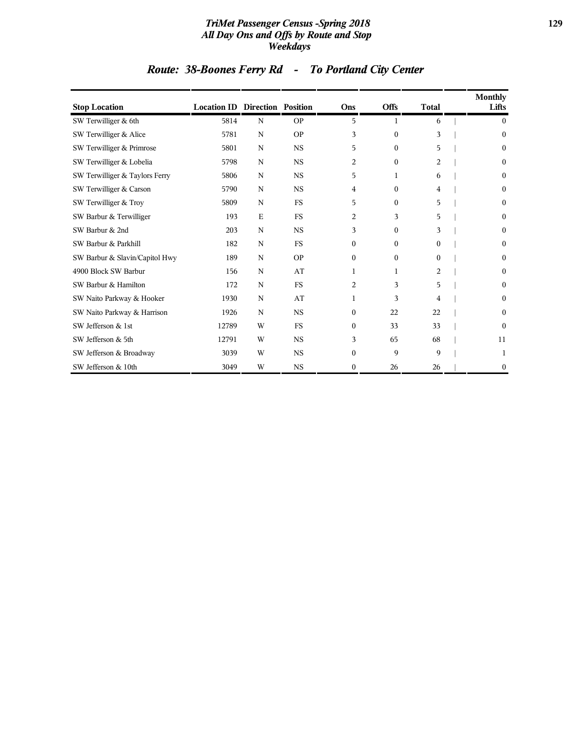#### *TriMet Passenger Census -Spring 2018* **129** *All Day Ons and Offs by Route and Stop Weekdays*

# *Route: 38-Boones Ferry Rd - To Portland City Center*

| <b>Stop Location</b>           | <b>Location ID Direction Position</b> |             |           | Ons              | <b>Offs</b>  | <b>Total</b> | <b>Monthly</b><br>Lifts |
|--------------------------------|---------------------------------------|-------------|-----------|------------------|--------------|--------------|-------------------------|
| SW Terwilliger & 6th           | 5814                                  | N           | <b>OP</b> | 5                | 1            | 6            | $\theta$                |
| SW Terwilliger & Alice         | 5781                                  | N           | <b>OP</b> | 3                | $\mathbf{0}$ | 3            | $\boldsymbol{0}$        |
| SW Terwilliger & Primrose      | 5801                                  | N           | <b>NS</b> | 5                | $\Omega$     | 5            | $\Omega$                |
| SW Terwilliger & Lobelia       | 5798                                  | N           | <b>NS</b> | $\overline{2}$   | $\Omega$     | 2            | $\theta$                |
| SW Terwilliger & Taylors Ferry | 5806                                  | N           | <b>NS</b> | 5                | 1            | 6            | $\theta$                |
| SW Terwilliger & Carson        | 5790                                  | N           | <b>NS</b> | 4                | $\Omega$     | 4            | $\Omega$                |
| SW Terwilliger & Troy          | 5809                                  | $\mathbf N$ | <b>FS</b> | 5                | $\mathbf{0}$ | 5            | $\mathbf{0}$            |
| SW Barbur & Terwilliger        | 193                                   | E           | FS        | $\overline{2}$   | 3            | 5            | $\bf{0}$                |
| SW Barbur & 2nd                | 203                                   | N           | <b>NS</b> | 3                | $\Omega$     | 3            | $\Omega$                |
| SW Barbur & Parkhill           | 182                                   | N           | FS        | $\boldsymbol{0}$ | $\mathbf{0}$ | 0            | $\theta$                |
| SW Barbur & Slavin/Capitol Hwy | 189                                   | N           | <b>OP</b> | $\boldsymbol{0}$ | $\Omega$     | $\Omega$     | $\Omega$                |
| 4900 Block SW Barbur           | 156                                   | N           | AT        | 1                | 1            | 2            | $\mathbf{0}$            |
| SW Barbur & Hamilton           | 172                                   | $\mathbf N$ | <b>FS</b> | $\overline{2}$   | 3            | 5            | $\theta$                |
| SW Naito Parkway & Hooker      | 1930                                  | N           | AT        | 1                | 3            | 4            | $\Omega$                |
| SW Naito Parkway & Harrison    | 1926                                  | N           | <b>NS</b> | $\boldsymbol{0}$ | 22           | 22           | $\theta$                |
| SW Jefferson & 1st             | 12789                                 | W           | <b>FS</b> | $\boldsymbol{0}$ | 33           | 33           | $\Omega$                |
| SW Jefferson & 5th             | 12791                                 | W           | <b>NS</b> | 3                | 65           | 68           | 11                      |
| SW Jefferson & Broadway        | 3039                                  | W           | <b>NS</b> | $\boldsymbol{0}$ | 9            | 9            | 1                       |
| SW Jefferson & 10th            | 3049                                  | W           | <b>NS</b> | $\boldsymbol{0}$ | 26           | 26           | $\mathbf{0}$            |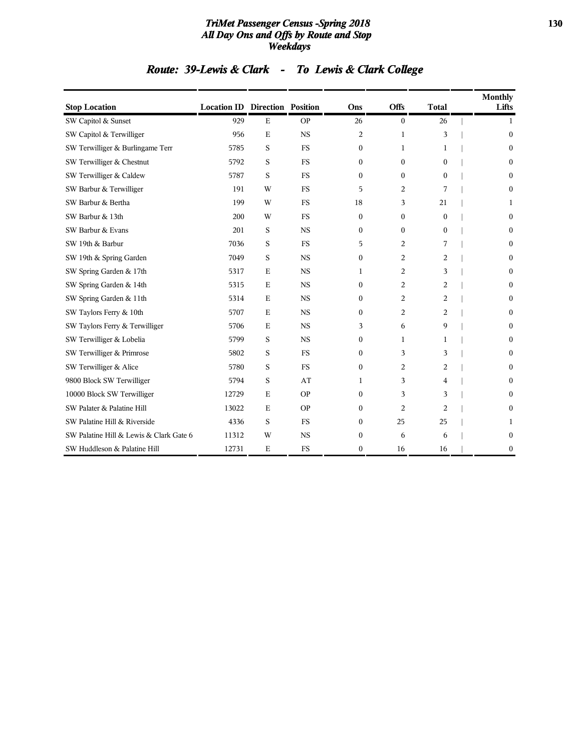#### *TriMet Passenger Census -Spring 2018* **130** *All Day Ons and Offs by Route and Stop Weekdays*

# *Route: 39-Lewis & Clark - To Lewis & Clark College*

| <b>Stop Location</b>                    | <b>Location ID Direction Position</b> |             |           | Ons              | Offs             | <b>Total</b>   | <b>Monthly</b><br>Lifts |
|-----------------------------------------|---------------------------------------|-------------|-----------|------------------|------------------|----------------|-------------------------|
| SW Capitol & Sunset                     | 929                                   | E           | <b>OP</b> | 26               | $\bf{0}$         | 26             | 1                       |
| SW Capitol & Terwilliger                | 956                                   | E           | <b>NS</b> | 2                | 1                | 3              | $\mathbf{0}$            |
| SW Terwilliger & Burlingame Terr        | 5785                                  | S           | <b>FS</b> | $\boldsymbol{0}$ | 1                | 1              | $\boldsymbol{0}$        |
| SW Terwilliger & Chestnut               | 5792                                  | S           | <b>FS</b> | $\mathbf{0}$     | $\overline{0}$   | $\theta$       | $\mathbf{0}$            |
| SW Terwilliger & Caldew                 | 5787                                  | S           | <b>FS</b> | $\boldsymbol{0}$ | $\boldsymbol{0}$ | $\theta$       | $\mathbf{0}$            |
| SW Barbur & Terwilliger                 | 191                                   | W           | <b>FS</b> | 5                | 2                | 7              | $\Omega$                |
| SW Barbur & Bertha                      | 199                                   | W           | <b>FS</b> | 18               | 3                | 21             | 1                       |
| SW Barbur & 13th                        | 200                                   | W           | <b>FS</b> | $\boldsymbol{0}$ | $\boldsymbol{0}$ | $\mathbf{0}$   | $\mathbf{0}$            |
| SW Barbur & Evans                       | 201                                   | S           | <b>NS</b> | $\Omega$         | 0                | $\Omega$       | $\mathbf{0}$            |
| SW 19th & Barbur                        | 7036                                  | S           | <b>FS</b> | 5                | 2                | 7              | $\mathbf{0}$            |
| SW 19th & Spring Garden                 | 7049                                  | S           | <b>NS</b> | $\mathbf{0}$     | 2                | 2              | $\Omega$                |
| SW Spring Garden & 17th                 | 5317                                  | E           | <b>NS</b> | 1                | 2                | 3              | $\mathbf{0}$            |
| SW Spring Garden & 14th                 | 5315                                  | $\mathbf E$ | <b>NS</b> | $\Omega$         | 2                | 2              | $\mathbf{0}$            |
| SW Spring Garden & 11th                 | 5314                                  | $\mathbf E$ | <b>NS</b> | $\boldsymbol{0}$ | 2                | 2              | $\mathbf{0}$            |
| SW Taylors Ferry & 10th                 | 5707                                  | E           | <b>NS</b> | $\Omega$         | 2                | 2              | $\Omega$                |
| SW Taylors Ferry & Terwilliger          | 5706                                  | E           | <b>NS</b> | 3                | 6                | 9              | $\mathbf{0}$            |
| SW Terwilliger & Lobelia                | 5799                                  | S           | <b>NS</b> | $\boldsymbol{0}$ | $\mathbf{1}$     | 1              | $\mathbf{0}$            |
| SW Terwilliger & Primrose               | 5802                                  | S           | <b>FS</b> | $\boldsymbol{0}$ | 3                | 3              | $\mathbf{0}$            |
| SW Terwilliger & Alice                  | 5780                                  | S           | <b>FS</b> | $\boldsymbol{0}$ | 2                | 2              | $\mathbf{0}$            |
| 9800 Block SW Terwilliger               | 5794                                  | S           | AT        | 1                | 3                | 4              | $\mathbf{0}$            |
| 10000 Block SW Terwilliger              | 12729                                 | E           | <b>OP</b> | $\boldsymbol{0}$ | 3                | 3              | $\Omega$                |
| SW Palater & Palatine Hill              | 13022                                 | E           | <b>OP</b> | $\Omega$         | 2                | $\overline{2}$ | $\Omega$                |
| SW Palatine Hill & Riverside            | 4336                                  | S           | <b>FS</b> | $\mathbf{0}$     | 25               | 25             | 1                       |
| SW Palatine Hill & Lewis & Clark Gate 6 | 11312                                 | W           | <b>NS</b> | $\boldsymbol{0}$ | 6                | 6              | $\mathbf{0}$            |
| SW Huddleson & Palatine Hill            | 12731                                 | E           | <b>FS</b> | $\mathbf{0}$     | 16               | 16             | $\bf{0}$                |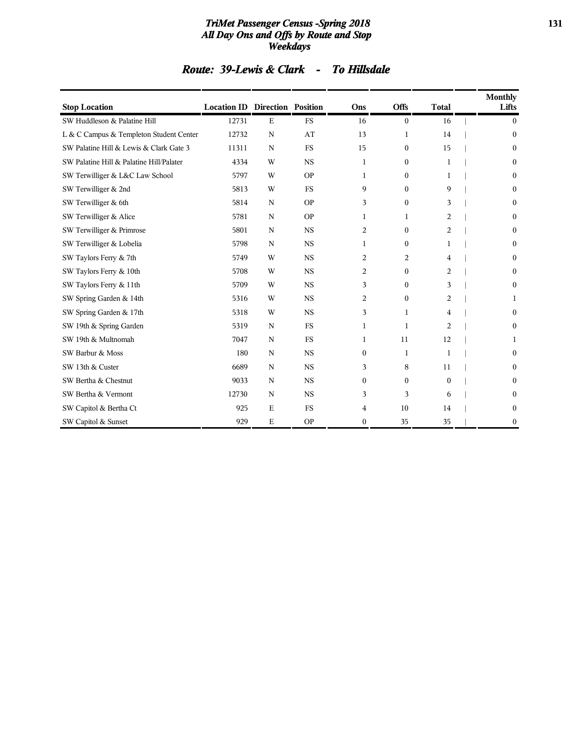#### *TriMet Passenger Census -Spring 2018* **131** *All Day Ons and Offs by Route and Stop Weekdays*

|  |  |  |  | Route: 39-Lewis & Clark - To Hillsdale |  |  |
|--|--|--|--|----------------------------------------|--|--|
|  |  |  |  |                                        |  |  |

| <b>Stop Location</b>                     | <b>Location ID Direction Position</b> |             |           | Ons          | <b>Offs</b>      | <b>Total</b> | <b>Monthly</b><br>Lifts |
|------------------------------------------|---------------------------------------|-------------|-----------|--------------|------------------|--------------|-------------------------|
| SW Huddleson & Palatine Hill             | 12731                                 | $\mathbf E$ | <b>FS</b> | 16           | $\mathbf{0}$     | 16           | $\mathbf{0}$            |
| L & C Campus & Templeton Student Center  | 12732                                 | $\mathbf N$ | AT        | 13           | 1                | 14           | $\mathbf{0}$            |
| SW Palatine Hill & Lewis & Clark Gate 3  | 11311                                 | $\mathbf N$ | <b>FS</b> | 15           | $\boldsymbol{0}$ | 15           | $\mathbf{0}$            |
| SW Palatine Hill & Palatine Hill/Palater | 4334                                  | W           | <b>NS</b> | 1            | $\boldsymbol{0}$ | 1            | $\Omega$                |
| SW Terwilliger & L&C Law School          | 5797                                  | W           | <b>OP</b> | 1            | $\boldsymbol{0}$ | 1            | 0                       |
| SW Terwilliger & 2nd                     | 5813                                  | W           | <b>FS</b> | 9            | $\mathbf{0}$     | 9            | $\theta$                |
| SW Terwilliger & 6th                     | 5814                                  | N           | <b>OP</b> | 3            | $\boldsymbol{0}$ | 3            | $\theta$                |
| SW Terwilliger & Alice                   | 5781                                  | $\mathbf N$ | <b>OP</b> | 1            | 1                | 2            | $\theta$                |
| SW Terwilliger & Primrose                | 5801                                  | $\mathbf N$ | <b>NS</b> | 2            | $\mathbf{0}$     | 2            | $\theta$                |
| SW Terwilliger & Lobelia                 | 5798                                  | N           | <b>NS</b> | 1            | $\mathbf{0}$     | 1            | $\mathbf{0}$            |
| SW Taylors Ferry & 7th                   | 5749                                  | W           | <b>NS</b> | 2            | 2                | 4            | $\mathbf{0}$            |
| SW Taylors Ferry & 10th                  | 5708                                  | W           | <b>NS</b> | 2            | $\mathbf{0}$     | 2            | $\mathbf{0}$            |
| SW Taylors Ferry & 11th                  | 5709                                  | W           | <b>NS</b> | 3            | $\mathbf{0}$     | 3            | $\mathbf{0}$            |
| SW Spring Garden & 14th                  | 5316                                  | W           | <b>NS</b> | 2            | $\mathbf{0}$     | 2            | 1                       |
| SW Spring Garden & 17th                  | 5318                                  | W           | <b>NS</b> | 3            | $\mathbf{1}$     | 4            | $\mathbf{0}$            |
| SW 19th & Spring Garden                  | 5319                                  | $\mathbf N$ | <b>FS</b> | 1            | $\mathbf{1}$     | 2            | $\mathbf{0}$            |
| SW 19th & Multnomah                      | 7047                                  | $\mathbf N$ | <b>FS</b> | 1            | 11               | 12           | 1                       |
| SW Barbur & Moss                         | 180                                   | N           | <b>NS</b> | $\mathbf{0}$ | 1                | 1            | $\boldsymbol{0}$        |
| SW 13th & Custer                         | 6689                                  | $\mathbf N$ | <b>NS</b> | 3            | 8                | 11           | $\mathbf{0}$            |
| SW Bertha & Chestnut                     | 9033                                  | N           | <b>NS</b> | $\mathbf{0}$ | $\mathbf{0}$     | $\mathbf{0}$ | 0                       |
| SW Bertha & Vermont                      | 12730                                 | N           | <b>NS</b> | 3            | 3                | 6            | 0                       |
| SW Capitol & Bertha Ct                   | 925                                   | $\mathbf E$ | <b>FS</b> | 4            | 10               | 14           | 0                       |
| SW Capitol & Sunset                      | 929                                   | E           | <b>OP</b> | $\mathbf{0}$ | 35               | 35           | $\mathbf{0}$            |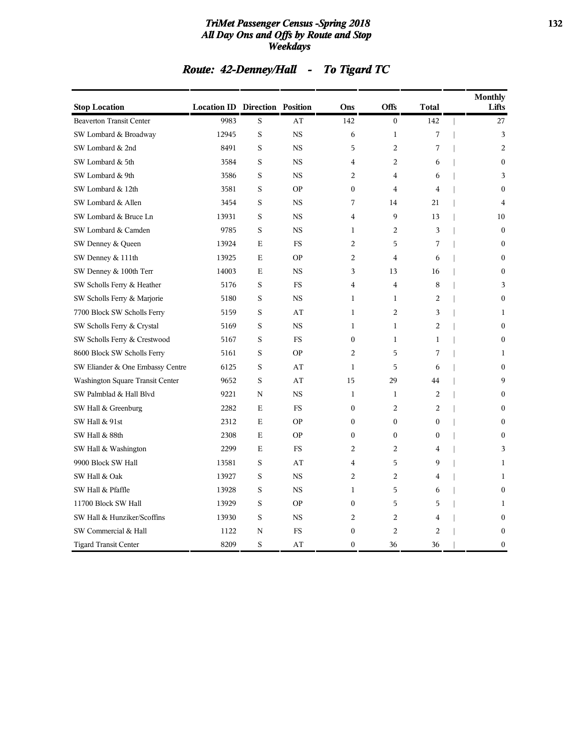#### *TriMet Passenger Census -Spring 2018* **132** *All Day Ons and Offs by Route and Stop Weekdays*

# *Route: 42-Denney/Hall - To Tigard TC*

| <b>Stop Location</b>             | <b>Location ID Direction Position</b> |             |           | Ons              | Offs           | <b>Total</b>     | <b>Monthly</b><br>Lifts |
|----------------------------------|---------------------------------------|-------------|-----------|------------------|----------------|------------------|-------------------------|
| <b>Beaverton Transit Center</b>  | 9983                                  | S           | AT        | 142              | $\mathbf{0}$   | 142              | 27                      |
| SW Lombard & Broadway            | 12945                                 | S           | <b>NS</b> | 6                | $\mathbf{1}$   | 7                | 3                       |
| SW Lombard & 2nd                 | 8491                                  | S           | <b>NS</b> | 5                | $\overline{c}$ | 7                | $\overline{2}$          |
| SW Lombard & 5th                 | 3584                                  | S           | <b>NS</b> | 4                | $\overline{c}$ | 6                | $\mathbf{0}$            |
| SW Lombard & 9th                 | 3586                                  | S           | <b>NS</b> | 2                | 4              | 6                | 3                       |
| SW Lombard & 12th                | 3581                                  | S           | <b>OP</b> | $\bf{0}$         | 4              | 4                | $\Omega$                |
| SW Lombard & Allen               | 3454                                  | S           | <b>NS</b> | 7                | 14             | 21               | $\overline{4}$          |
| SW Lombard & Bruce Ln            | 13931                                 | S           | <b>NS</b> | 4                | 9              | 13               | 10                      |
| SW Lombard & Camden              | 9785                                  | S           | <b>NS</b> | $\mathbf{1}$     | 2              | 3                | $\mathbf{0}$            |
| SW Denney & Queen                | 13924                                 | E           | <b>FS</b> | 2                | 5              | 7                | $\theta$                |
| SW Denney & 111th                | 13925                                 | E           | <b>OP</b> | 2                | $\overline{4}$ | 6                | $\mathbf{0}$            |
| SW Denney & 100th Terr           | 14003                                 | E           | NS        | 3                | 13             | 16               | $\theta$                |
| SW Scholls Ferry & Heather       | 5176                                  | S           | <b>FS</b> | 4                | 4              | 8                | 3                       |
| SW Scholls Ferry & Marjorie      | 5180                                  | S           | <b>NS</b> | $\mathbf{1}$     | $\mathbf{1}$   | 2                | $\mathbf{0}$            |
| 7700 Block SW Scholls Ferry      | 5159                                  | S           | AT        | $\mathbf 1$      | $\overline{c}$ | 3                | 1                       |
| SW Scholls Ferry & Crystal       | 5169                                  | S           | <b>NS</b> | 1                | 1              | $\overline{c}$   | $\mathbf{0}$            |
| SW Scholls Ferry & Crestwood     | 5167                                  | S           | <b>FS</b> | $\bf{0}$         | $\mathbf{1}$   | 1                | $\Omega$                |
| 8600 Block SW Scholls Ferry      | 5161                                  | $\rm S$     | <b>OP</b> | $\overline{c}$   | 5              | 7                | 1                       |
| SW Eliander & One Embassy Centre | 6125                                  | S           | AT        | $\mathbf{1}$     | 5              | 6                | $\boldsymbol{0}$        |
| Washington Square Transit Center | 9652                                  | S           | AT        | 15               | 29             | 44               | 9                       |
| SW Palmblad & Hall Blvd          | 9221                                  | N           | <b>NS</b> | 1                | 1              | 2                | $\Omega$                |
| SW Hall & Greenburg              | 2282                                  | E           | <b>FS</b> | $\overline{0}$   | $\overline{c}$ | $\overline{c}$   | $\Omega$                |
| SW Hall & 91st                   | 2312                                  | E           | <b>OP</b> | 0                | $\overline{0}$ | $\overline{0}$   | $\mathbf{0}$            |
| SW Hall & 88th                   | 2308                                  | $\mathbf E$ | <b>OP</b> | 0                | $\mathbf{0}$   | $\boldsymbol{0}$ | $\mathbf{0}$            |
| SW Hall & Washington             | 2299                                  | Е           | <b>FS</b> | 2                | 2              | 4                | 3                       |
| 9900 Block SW Hall               | 13581                                 | S           | AT        | 4                | 5              | 9                | 1                       |
| SW Hall & Oak                    | 13927                                 | S           | <b>NS</b> | $\overline{c}$   | $\overline{c}$ | 4                | $\mathbf{1}$            |
| SW Hall & Pfaffle                | 13928                                 | $\rm S$     | <b>NS</b> | $\mathbf{1}$     | 5              | 6                | $\mathbf{0}$            |
| 11700 Block SW Hall              | 13929                                 | S           | <b>OP</b> | $\bf{0}$         | 5              | 5                | 1                       |
| SW Hall & Hunziker/Scoffins      | 13930                                 | S           | <b>NS</b> | $\overline{c}$   | $\overline{c}$ | 4                | $\Omega$                |
| SW Commercial & Hall             | 1122                                  | $\mathbf N$ | <b>FS</b> | $\boldsymbol{0}$ | $\overline{c}$ | $\overline{a}$   | $\mathbf{0}$            |
| <b>Tigard Transit Center</b>     | 8209                                  | S           | AT        | 0                | 36             | 36               | $\mathbf{0}$            |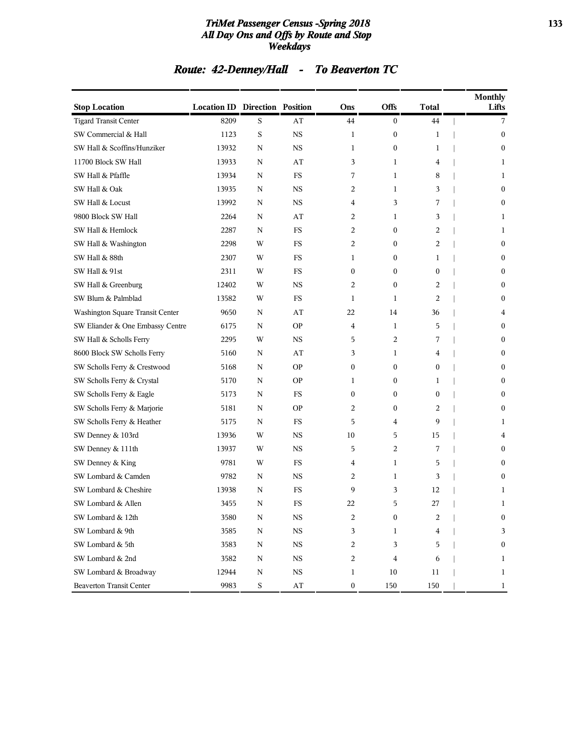#### *TriMet Passenger Census -Spring 2018* **133** *All Day Ons and Offs by Route and Stop Weekdays*

# *Route: 42-Denney/Hall - To Beaverton TC*

| <b>Stop Location</b>             | <b>Location ID Direction Position</b> |             |             | Ons              | <b>Offs</b>      | <b>Total</b>     | <b>Monthly</b><br>Lifts |
|----------------------------------|---------------------------------------|-------------|-------------|------------------|------------------|------------------|-------------------------|
| <b>Tigard Transit Center</b>     | 8209                                  | S           | AT          | 44               | $\mathbf{0}$     | 44               | 7                       |
| SW Commercial & Hall             | 1123                                  | S           | <b>NS</b>   | 1                | $\boldsymbol{0}$ | 1                | $\overline{0}$          |
| SW Hall & Scoffins/Hunziker      | 13932                                 | N           | <b>NS</b>   | 1                | $\boldsymbol{0}$ | 1                | $\mathbf{0}$            |
| 11700 Block SW Hall              | 13933                                 | N           | AT          | 3                | $\mathbf{1}$     | 4                | 1                       |
| SW Hall & Pfaffle                | 13934                                 | N           | <b>FS</b>   | 7                | 1                | 8                | 1                       |
| SW Hall & Oak                    | 13935                                 | N           | <b>NS</b>   | 2                | $\mathbf{1}$     | 3                | $\mathbf{0}$            |
| SW Hall & Locust                 | 13992                                 | N           | NS          | 4                | 3                | 7                | $\bf{0}$                |
| 9800 Block SW Hall               | 2264                                  | N           | AT          | 2                | 1                | 3                | 1                       |
| SW Hall & Hemlock                | 2287                                  | N           | <b>FS</b>   | 2                | $\mathbf{0}$     | 2                | 1                       |
| SW Hall & Washington             | 2298                                  | W           | FS          | 2                | $\bf{0}$         | 2                | $\mathbf{0}$            |
| SW Hall & 88th                   | 2307                                  | W           | FS          | 1                | $\boldsymbol{0}$ | 1                | $\boldsymbol{0}$        |
| SW Hall & 91st                   | 2311                                  | W           | FS          | $\boldsymbol{0}$ | $\boldsymbol{0}$ | $\boldsymbol{0}$ | 0                       |
| SW Hall & Greenburg              | 12402                                 | W           | <b>NS</b>   | 2                | $\bf{0}$         | 2                | $\boldsymbol{0}$        |
| SW Blum & Palmblad               | 13582                                 | W           | FS          | 1                | $\mathbf{1}$     | 2                | $\mathbf{0}$            |
| Washington Square Transit Center | 9650                                  | N           | AT          | 22               | 14               | 36               | 4                       |
| SW Eliander & One Embassy Centre | 6175                                  | N           | <b>OP</b>   | 4                | 1                | 5                | $\mathbf{0}$            |
| SW Hall & Scholls Ferry          | 2295                                  | W           | NS          | 5                | 2                | 7                | $\boldsymbol{0}$        |
| 8600 Block SW Scholls Ferry      | 5160                                  | N           | AT          | 3                | 1                | 4                | $\mathbf{0}$            |
| SW Scholls Ferry & Crestwood     | 5168                                  | N           | <b>OP</b>   | $\boldsymbol{0}$ | $\mathbf{0}$     | $\mathbf{0}$     | $\mathbf{0}$            |
| SW Scholls Ferry & Crystal       | 5170                                  | N           | ΟP          | $\mathbf{1}$     | $\mathbf{0}$     | 1                | $\mathbf{0}$            |
| SW Scholls Ferry & Eagle         | 5173                                  | N           | FS          | $\boldsymbol{0}$ | $\boldsymbol{0}$ | $\mathbf{0}$     | $\mathbf{0}$            |
| SW Scholls Ferry & Marjorie      | 5181                                  | N           | ΟP          | 2                | $\boldsymbol{0}$ | 2                | $\bf{0}$                |
| SW Scholls Ferry & Heather       | 5175                                  | N           | FS          | 5                | 4                | 9                | 1                       |
| SW Denney & 103rd                | 13936                                 | W           | <b>NS</b>   | 10               | 5                | 15               | 4                       |
| SW Denney & 111th                | 13937                                 | W           | NS          | 5                | 2                | 7                | $\mathbf{0}$            |
| SW Denney & King                 | 9781                                  | W           | FS          | 4                | $\mathbf{1}$     | 5                | $\mathbf{0}$            |
| SW Lombard & Camden              | 9782                                  | N           | <b>NS</b>   | 2                | 1                | 3                | $\mathbf{0}$            |
| SW Lombard & Cheshire            | 13938                                 | N           | FS          | 9                | 3                | 12               | 1                       |
| SW Lombard & Allen               | 3455                                  | N           | FS          | 22               | 5                | 27               | $\mathbf{1}$            |
| SW Lombard & 12th                | 3580                                  | N           | NS          | 2                | 0                | 2                | 0                       |
| SW Lombard & 9th                 | 3585                                  | $\mathbf N$ | $_{\rm NS}$ | 3                | $\mathbf{1}$     | 4                | 3                       |
| SW Lombard & 5th                 | 3583                                  | $\mathbf N$ | $_{\rm NS}$ | 2                | 3                | 5                | $\bf{0}$                |
| SW Lombard & 2nd                 | 3582                                  | N           | $_{\rm NS}$ | 2                | 4                | 6                | 1                       |
| SW Lombard & Broadway            | 12944                                 | ${\bf N}$   | $_{\rm NS}$ | 1                | 10               | 11               | $\mathbf{1}$            |
| <b>Beaverton Transit Center</b>  | 9983                                  | S           | AT          | $\boldsymbol{0}$ | 150              | 150              | $\mathbf{1}$            |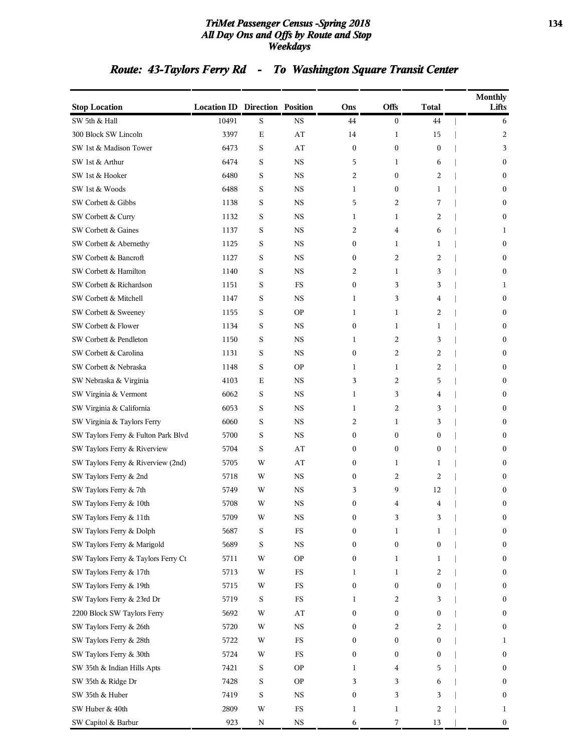#### *TriMet Passenger Census -Spring 2018* **134** *All Day Ons and Offs by Route and Stop Weekdays*

# *Route: 43-Taylors Ferry Rd - To Washington Square Transit Center*

| <b>Stop Location</b>                | <b>Location ID Direction Position</b> |             |             | Ons | <b>Offs</b>      | <b>Total</b>     | <b>Monthly</b><br>Lifts |
|-------------------------------------|---------------------------------------|-------------|-------------|-----|------------------|------------------|-------------------------|
| SW 5th & Hall                       | 10491                                 | S           | <b>NS</b>   | 44  | $\boldsymbol{0}$ | 44               | 6                       |
| 300 Block SW Lincoln                | 3397                                  | $\mathbf E$ | AT          | 14  | 1                | 15               | 2                       |
| SW 1st & Madison Tower              | 6473                                  | S           | AT          | 0   | $\boldsymbol{0}$ | $\boldsymbol{0}$ | 3                       |
| SW 1st & Arthur                     | 6474                                  | S           | <b>NS</b>   | 5   | 1                | 6                | $\mathbf{0}$            |
| SW 1st & Hooker                     | 6480                                  | S           | <b>NS</b>   | 2   | $\mathbf{0}$     | 2                | $\mathbf{0}$            |
| SW 1st & Woods                      | 6488                                  | S           | NS          | 1   | $\boldsymbol{0}$ | 1                | $\mathbf{0}$            |
| SW Corbett & Gibbs                  | 1138                                  | S           | <b>NS</b>   | 5   | 2                | 7                | $\mathbf{0}$            |
| SW Corbett & Curry                  | 1132                                  | S           | <b>NS</b>   | 1   | 1                | 2                | $\mathbf{0}$            |
| SW Corbett & Gaines                 | 1137                                  | S           | <b>NS</b>   | 2   | 4                | 6                | 1                       |
| SW Corbett & Abernethy              | 1125                                  | S           | <b>NS</b>   | 0   | 1                | 1                | $\mathbf{0}$            |
| SW Corbett & Bancroft               | 1127                                  | S           | NS          | 0   | 2                | 2                | $\mathbf{0}$            |
| SW Corbett & Hamilton               | 1140                                  | S           | <b>NS</b>   | 2   | 1                | 3                | $\boldsymbol{0}$        |
| SW Corbett & Richardson             | 1151                                  | S           | FS          | 0   | 3                | 3                | 1                       |
| SW Corbett & Mitchell               | 1147                                  | S           | <b>NS</b>   | 1   | 3                | 4                | $\mathbf{0}$            |
| SW Corbett & Sweeney                | 1155                                  | S           | <b>OP</b>   | 1   | 1                | 2                | $\mathbf{0}$            |
| SW Corbett & Flower                 | 1134                                  | S           | NS          | 0   | 1                | 1                | $\mathbf{0}$            |
| SW Corbett & Pendleton              | 1150                                  | S           | <b>NS</b>   | 1   | 2                | 3                | $\mathbf{0}$            |
| SW Corbett & Carolina               | 1131                                  | S           | <b>NS</b>   | 0   | 2                | 2                | $\mathbf{0}$            |
| SW Corbett & Nebraska               | 1148                                  | S           | <b>OP</b>   | 1   | $\mathbf{1}$     | $\overline{2}$   | $\mathbf{0}$            |
| SW Nebraska & Virginia              | 4103                                  | Ε           | <b>NS</b>   | 3   | 2                | 5                | $\mathbf{0}$            |
| SW Virginia & Vermont               | 6062                                  | S           | NS          | 1   | 3                | 4                | $\mathbf{0}$            |
| SW Virginia & California            | 6053                                  | S           | <b>NS</b>   | 1   | 2                | 3                | $\mathbf{0}$            |
| SW Virginia & Taylors Ferry         | 6060                                  | S           | <b>NS</b>   | 2   | 1                | 3                | $\mathbf{0}$            |
| SW Taylors Ferry & Fulton Park Blvd | 5700                                  | S           | <b>NS</b>   | 0   | $\boldsymbol{0}$ | $\bf{0}$         | $\mathbf{0}$            |
| SW Taylors Ferry & Riverview        | 5704                                  | S           | AT          | 0   | $\mathbf{0}$     | $\mathbf{0}$     | $\mathbf{0}$            |
| SW Taylors Ferry & Riverview (2nd)  | 5705                                  | W           | AT          | 0   | 1                | 1                | $\mathbf{0}$            |
| SW Taylors Ferry & 2nd              | 5718                                  | W           | <b>NS</b>   | 0   | 2                | $\overline{2}$   | $\mathbf{0}$            |
| SW Taylors Ferry & 7th              | 5749                                  | W           | <b>NS</b>   | 3   | 9                | 12               | $\bf{0}$                |
| SW Taylors Ferry & 10th             | 5708                                  | W           | <b>NS</b>   | 0   | 4                | $\overline{4}$   | $\mathbf{0}$            |
| SW Taylors Ferry & 11th             | 5709                                  | W           | <b>NS</b>   | 0   | 3                | 3                | $\bf{0}$                |
| SW Taylors Ferry & Dolph            | 5687                                  | S           | FS          | 0   | 1                | 1                | $\bf{0}$                |
| SW Taylors Ferry & Marigold         | 5689                                  | S           | <b>NS</b>   | 0   | $\boldsymbol{0}$ | $\bf{0}$         | $\bf{0}$                |
| SW Taylors Ferry & Taylors Ferry Ct | 5711                                  | W           | <b>OP</b>   | 0   | 1                | 1                | $\bf{0}$                |
| SW Taylors Ferry & 17th             | 5713                                  | W           | FS          | 1   | 1                | 2                | $\bf{0}$                |
| SW Taylors Ferry & 19th             | 5715                                  | W           | FS          | 0   | $\bf{0}$         | $\boldsymbol{0}$ | $\bf{0}$                |
| SW Taylors Ferry & 23rd Dr          | 5719                                  | S           | <b>FS</b>   | 1   | 2                | 3                | $\bf{0}$                |
| 2200 Block SW Taylors Ferry         | 5692                                  | W           | AT          | 0   | $\boldsymbol{0}$ | $\boldsymbol{0}$ | $\bf{0}$                |
| SW Taylors Ferry & 26th             | 5720                                  | W           | <b>NS</b>   | 0   | 2                | 2                | $\bf{0}$                |
| SW Taylors Ferry & 28th             | 5722                                  | W           | FS          | 0   | $\boldsymbol{0}$ | $\boldsymbol{0}$ | 1                       |
| SW Taylors Ferry & 30th             | 5724                                  | W           | $_{\rm FS}$ | 0   | $\bf{0}$         | $\bf{0}$         | $\bf{0}$                |
| SW 35th & Indian Hills Apts         | 7421                                  | S           | <b>OP</b>   | 1   | 4                | 5                | $\bf{0}$                |
| SW 35th & Ridge Dr                  | 7428                                  | S           | <b>OP</b>   | 3   | 3                | 6                | $\bf{0}$                |
| SW 35th & Huber                     | 7419                                  | S           | <b>NS</b>   | 0   | 3                | 3                | $\bf{0}$                |
| SW Huber & 40th                     | 2809                                  | W           | FS          | 1   | 1                | $\overline{c}$   | 1                       |
| SW Capitol & Barbur                 | 923                                   | N           | $_{\rm NS}$ | 6   | 7                | 13               | $\boldsymbol{0}$        |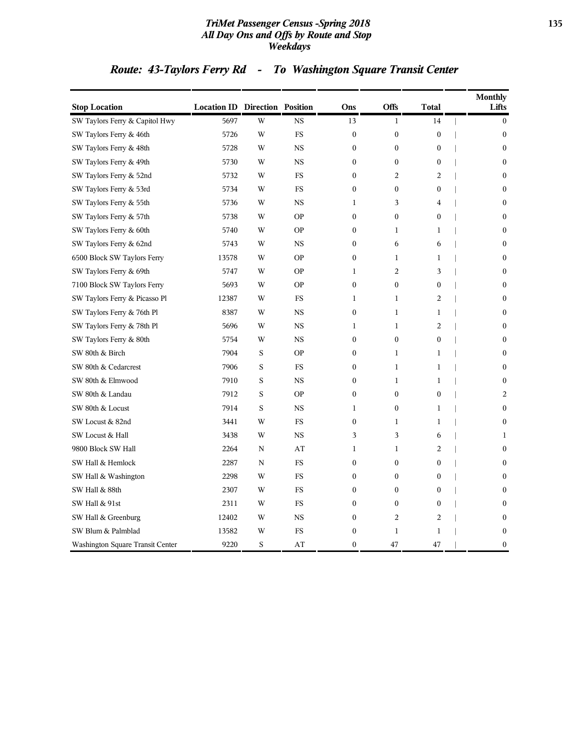#### *TriMet Passenger Census -Spring 2018* **135** *All Day Ons and Offs by Route and Stop Weekdays*

# *Route: 43-Taylors Ferry Rd - To Washington Square Transit Center*

| <b>Stop Location</b>             | <b>Location ID Direction Position</b> |              |             | Ons              | <b>Offs</b>      | <b>Total</b>     | <b>Monthly</b><br>Lifts |
|----------------------------------|---------------------------------------|--------------|-------------|------------------|------------------|------------------|-------------------------|
| SW Taylors Ferry & Capitol Hwy   | 5697                                  | W            | <b>NS</b>   | 13               | $\mathbf{1}$     | 14               | $\mathbf{0}$            |
| SW Taylors Ferry & 46th          | 5726                                  | W            | FS          | $\boldsymbol{0}$ | $\mathbf{0}$     | $\boldsymbol{0}$ | $\mathbf{0}$            |
| SW Taylors Ferry & 48th          | 5728                                  | W            | <b>NS</b>   | $\mathbf{0}$     | $\mathbf{0}$     | $\mathbf{0}$     | $\mathbf{0}$            |
| SW Taylors Ferry & 49th          | 5730                                  | W            | <b>NS</b>   | $\boldsymbol{0}$ | $\boldsymbol{0}$ | $\boldsymbol{0}$ | $\mathbf{0}$            |
| SW Taylors Ferry & 52nd          | 5732                                  | W            | FS          | $\boldsymbol{0}$ | $\overline{2}$   | $\overline{2}$   | $\bf{0}$                |
| SW Taylors Ferry & 53rd          | 5734                                  | W            | FS          | $\mathbf{0}$     | $\mathbf{0}$     | $\mathbf{0}$     | $\mathbf{0}$            |
| SW Taylors Ferry & 55th          | 5736                                  | W            | <b>NS</b>   | 1                | 3                | 4                | $\mathbf{0}$            |
| SW Taylors Ferry & 57th          | 5738                                  | W            | <b>OP</b>   | $\mathbf{0}$     | $\mathbf{0}$     | $\mathbf{0}$     | $\mathbf{0}$            |
| SW Taylors Ferry & 60th          | 5740                                  | W            | <b>OP</b>   | $\boldsymbol{0}$ | $\mathbf{1}$     | $\mathbf{1}$     | $\boldsymbol{0}$        |
| SW Taylors Ferry & 62nd          | 5743                                  | W            | $_{\rm NS}$ | $\boldsymbol{0}$ | 6                | 6                | $\boldsymbol{0}$        |
| 6500 Block SW Taylors Ferry      | 13578                                 | W            | <b>OP</b>   | $\mathbf{0}$     | $\mathbf{1}$     | $\mathbf{1}$     | $\mathbf{0}$            |
| SW Taylors Ferry & 69th          | 5747                                  | W            | <b>OP</b>   | 1                | $\overline{2}$   | 3                | $\mathbf{0}$            |
| 7100 Block SW Taylors Ferry      | 5693                                  | W            | <b>OP</b>   | $\mathbf{0}$     | $\mathbf{0}$     | $\mathbf{0}$     | $\mathbf{0}$            |
| SW Taylors Ferry & Picasso Pl    | 12387                                 | W            | FS          | $\mathbf{1}$     | $\mathbf{1}$     | $\overline{c}$   | $\mathbf{0}$            |
| SW Taylors Ferry & 76th Pl       | 8387                                  | W            | <b>NS</b>   | $\boldsymbol{0}$ | $\mathbf{1}$     | $\mathbf{1}$     | $\boldsymbol{0}$        |
| SW Taylors Ferry & 78th Pl       | 5696                                  | W            | <b>NS</b>   | 1                | $\mathbf{1}$     | 2                | $\mathbf{0}$            |
| SW Taylors Ferry & 80th          | 5754                                  | W            | <b>NS</b>   | $\boldsymbol{0}$ | $\mathbf{0}$     | $\mathbf{0}$     | $\mathbf{0}$            |
| SW 80th & Birch                  | 7904                                  | S            | <b>OP</b>   | $\mathbf{0}$     | $\mathbf{1}$     | $\mathbf{1}$     | $\mathbf{0}$            |
| SW 80th & Cedarcrest             | 7906                                  | $\rm S$      | FS          | $\boldsymbol{0}$ | $\mathbf{1}$     | $\mathbf{1}$     | $\boldsymbol{0}$        |
| SW 80th & Elmwood                | 7910                                  | S            | $_{\rm NS}$ | $\boldsymbol{0}$ | $\mathbf{1}$     | $\mathbf{1}$     | $\boldsymbol{0}$        |
| SW 80th & Landau                 | 7912                                  | S            | <b>OP</b>   | $\mathbf{0}$     | $\mathbf{0}$     | $\mathbf{0}$     | 2                       |
| SW 80th & Locust                 | 7914                                  | S            | <b>NS</b>   | 1                | $\mathbf{0}$     | 1                | $\mathbf{0}$            |
| SW Locust & 82nd                 | 3441                                  | W            | FS          | $\mathbf{0}$     | $\mathbf{1}$     | $\mathbf{1}$     | $\mathbf{0}$            |
| SW Locust & Hall                 | 3438                                  | W            | <b>NS</b>   | 3                | 3                | 6                | $\mathbf{1}$            |
| 9800 Block SW Hall               | 2264                                  | $\, {\rm N}$ | AT          | $\mathbf{1}$     | $\mathbf{1}$     | $\overline{2}$   | $\boldsymbol{0}$        |
| SW Hall & Hemlock                | 2287                                  | N            | FS          | $\boldsymbol{0}$ | $\boldsymbol{0}$ | $\mathbf{0}$     | $\mathbf{0}$            |
| SW Hall & Washington             | 2298                                  | W            | FS          | $\mathbf{0}$     | $\mathbf{0}$     | $\mathbf{0}$     | $\mathbf{0}$            |
| SW Hall & 88th                   | 2307                                  | W            | <b>FS</b>   | $\mathbf{0}$     | $\mathbf{0}$     | $\mathbf{0}$     | $\mathbf{0}$            |
| SW Hall & 91st                   | 2311                                  | W            | FS          | $\boldsymbol{0}$ | $\boldsymbol{0}$ | $\boldsymbol{0}$ | $\boldsymbol{0}$        |
| SW Hall & Greenburg              | 12402                                 | W            | <b>NS</b>   | $\boldsymbol{0}$ | $\overline{2}$   | $\overline{2}$   | $\boldsymbol{0}$        |
| SW Blum & Palmblad               | 13582                                 | W            | FS          | $\boldsymbol{0}$ | $\mathbf{1}$     | $\mathbf{1}$     | $\boldsymbol{0}$        |
| Washington Square Transit Center | 9220                                  | S            | AT          | $\mathbf{0}$     | 47               | 47               | $\mathbf{0}$            |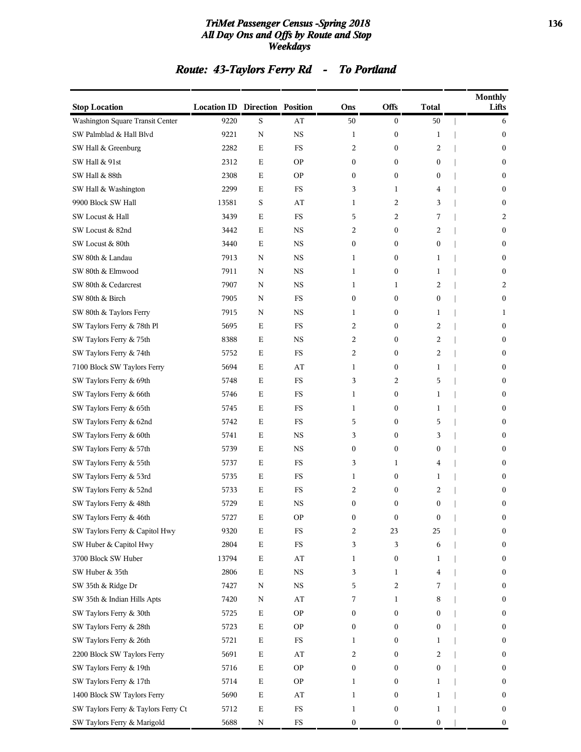#### *TriMet Passenger Census -Spring 2018* **136** *All Day Ons and Offs by Route and Stop Weekdays*

# *Route: 43-Taylors Ferry Rd - To Portland*

| <b>Stop Location</b>                | <b>Location ID Direction Position</b> |             |             | Ons              | Offs             | <b>Total</b>     | <b>Monthly</b><br>Lifts |
|-------------------------------------|---------------------------------------|-------------|-------------|------------------|------------------|------------------|-------------------------|
| Washington Square Transit Center    | 9220                                  | S           | AT          | $50\,$           | $\boldsymbol{0}$ | 50               | 6                       |
| SW Palmblad & Hall Blvd             | 9221                                  | ${\bf N}$   | $_{\rm NS}$ | 1                | $\boldsymbol{0}$ | 1                | $\boldsymbol{0}$        |
| SW Hall & Greenburg                 | 2282                                  | $\mathbf E$ | FS          | 2                | 0                | 2                | $\boldsymbol{0}$        |
| SW Hall & 91st                      | 2312                                  | Ε           | <b>OP</b>   | $\boldsymbol{0}$ | $\boldsymbol{0}$ | $\boldsymbol{0}$ | $\boldsymbol{0}$        |
| SW Hall & 88th                      | 2308                                  | Е           | <b>OP</b>   | $\boldsymbol{0}$ | $\boldsymbol{0}$ | $\boldsymbol{0}$ | $\bf{0}$                |
| SW Hall & Washington                | 2299                                  | Е           | FS          | 3                | 1                | 4                | $\boldsymbol{0}$        |
| 9900 Block SW Hall                  | 13581                                 | S           | AT          | 1                | 2                | 3                | $\boldsymbol{0}$        |
| SW Locust & Hall                    | 3439                                  | $\mathbf E$ | FS          | 5                | 2                | 7                | 2                       |
| SW Locust & 82nd                    | 3442                                  | Ε           | NS          | 2                | $\boldsymbol{0}$ | 2                | $\boldsymbol{0}$        |
| SW Locust & 80th                    | 3440                                  | Е           | <b>NS</b>   | $\boldsymbol{0}$ | $\boldsymbol{0}$ | $\boldsymbol{0}$ | $\bf{0}$                |
| SW 80th & Landau                    | 7913                                  | N           | $_{\rm NS}$ | 1                | $\boldsymbol{0}$ | 1                | $\boldsymbol{0}$        |
| SW 80th & Elmwood                   | 7911                                  | N           | NS          | $\mathbf{1}$     | $\boldsymbol{0}$ | 1                | $\boldsymbol{0}$        |
| SW 80th & Cedarcrest                | 7907                                  | N           | $_{\rm NS}$ | $\mathbf{1}$     | 1                | 2                | 2                       |
| SW 80th & Birch                     | 7905                                  | N           | FS          | $\boldsymbol{0}$ | $\boldsymbol{0}$ | $\boldsymbol{0}$ | $\boldsymbol{0}$        |
| SW 80th & Taylors Ferry             | 7915                                  | N           | $_{\rm NS}$ | 1                | $\boldsymbol{0}$ | 1                | 1                       |
| SW Taylors Ferry & 78th Pl          | 5695                                  | Е           | FS          | 2                | $\boldsymbol{0}$ | 2                | $\boldsymbol{0}$        |
| SW Taylors Ferry & 75th             | 8388                                  | $\mathbf E$ | NS          | 2                | $\boldsymbol{0}$ | 2                | $\boldsymbol{0}$        |
| SW Taylors Ferry & 74th             | 5752                                  | $\mathbf E$ | FS          | 2                | $\boldsymbol{0}$ | $\overline{c}$   | $\boldsymbol{0}$        |
| 7100 Block SW Taylors Ferry         | 5694                                  | Ε           | AT          | 1                | $\boldsymbol{0}$ | 1                | $\boldsymbol{0}$        |
| SW Taylors Ferry & 69th             | 5748                                  | Е           | FS          | 3                | 2                | 5                | $\bf{0}$                |
| SW Taylors Ferry & 66th             | 5746                                  | $\mathbf E$ | FS          | 1                | $\boldsymbol{0}$ | $\mathbf{1}$     | $\boldsymbol{0}$        |
| SW Taylors Ferry & 65th             | 5745                                  | $\mathbf E$ | FS          | 1                | $\boldsymbol{0}$ | 1                | $\boldsymbol{0}$        |
| SW Taylors Ferry & 62nd             | 5742                                  | $\mathbf E$ | FS          | 5                | $\boldsymbol{0}$ | 5                | $\boldsymbol{0}$        |
| SW Taylors Ferry & 60th             | 5741                                  | Ε           | NS          | 3                | $\boldsymbol{0}$ | 3                | $\boldsymbol{0}$        |
| SW Taylors Ferry & 57th             | 5739                                  | Е           | <b>NS</b>   | $\boldsymbol{0}$ | $\boldsymbol{0}$ | $\boldsymbol{0}$ | $\boldsymbol{0}$        |
| SW Taylors Ferry & 55th             | 5737                                  | $\mathbf E$ | FS          | 3                | 1                | 4                | $\boldsymbol{0}$        |
| SW Taylors Ferry & 53rd             | 5735                                  | Ε           | FS          | 1                | $\boldsymbol{0}$ | 1                | $\boldsymbol{0}$        |
| SW Taylors Ferry & 52nd             | 5733                                  | $\mathbf E$ | <b>FS</b>   | 2                | 0                | 2                | $\bf{0}$                |
| SW Taylors Ferry & 48th             | 5729                                  | E           | <b>NS</b>   | $\mathbf{0}$     | $\mathbf{0}$     | $\boldsymbol{0}$ | $\boldsymbol{0}$        |
| SW Taylors Ferry & 46th             | 5727                                  | Е           | <b>OP</b>   | $\boldsymbol{0}$ | 0                | $\boldsymbol{0}$ | $\bf{0}$                |
| SW Taylors Ferry & Capitol Hwy      | 9320                                  | $\mathbf E$ | <b>FS</b>   | 2                | 23               | 25               | $\bf{0}$                |
| SW Huber & Capitol Hwy              | 2804                                  | $\mathbf E$ | FS          | 3                | 3                | 6                | $\boldsymbol{0}$        |
| 3700 Block SW Huber                 | 13794                                 | $\mathbf E$ | AT          | 1                | 0                | $\mathbf{1}$     | $\boldsymbol{0}$        |
| SW Huber & 35th                     | 2806                                  | $\mathbf E$ | NS          | 3                | 1                | 4                | $\boldsymbol{0}$        |
| SW 35th & Ridge Dr                  | 7427                                  | N           | <b>NS</b>   | 5                | 2                | 7                | $\boldsymbol{0}$        |
| SW 35th & Indian Hills Apts         | 7420                                  | N           | AT          | 7                | 1                | 8                | $\boldsymbol{0}$        |
| SW Taylors Ferry & 30th             | 5725                                  | $\mathbf E$ | <b>OP</b>   | 0                | 0                | $\boldsymbol{0}$ | 0                       |
| SW Taylors Ferry & 28th             | 5723                                  | $\mathbf E$ | <b>OP</b>   | $\boldsymbol{0}$ | 0                | $\boldsymbol{0}$ | $\boldsymbol{0}$        |
| SW Taylors Ferry & 26th             | 5721                                  | $\mathbf E$ | FS          | 1                | 0                | $\mathbf{1}$     | $\bf{0}$                |
| 2200 Block SW Taylors Ferry         | 5691                                  | $\mathbf E$ | AT          | 2                | 0                | 2                | $\boldsymbol{0}$        |
| SW Taylors Ferry & 19th             | 5716                                  | $\mathbf E$ | <b>OP</b>   | $\boldsymbol{0}$ | 0                | $\boldsymbol{0}$ | $\boldsymbol{0}$        |
| SW Taylors Ferry & 17th             | 5714                                  | $\mathbf E$ | <b>OP</b>   | 1                | 0                | 1                | $\boldsymbol{0}$        |
| 1400 Block SW Taylors Ferry         | 5690                                  | $\mathbf E$ | AT          | 1                | 0                | $\mathbf{1}$     | $\boldsymbol{0}$        |
| SW Taylors Ferry & Taylors Ferry Ct | 5712                                  | $\mathbf E$ | $_{\rm FS}$ | $\mathbf{1}$     | 0                | $\mathbf{1}$     | $\boldsymbol{0}$        |
| SW Taylors Ferry & Marigold         | 5688                                  | ${\bf N}$   | ${\rm FS}$  | $\boldsymbol{0}$ | $\boldsymbol{0}$ | $\boldsymbol{0}$ | $\boldsymbol{0}$        |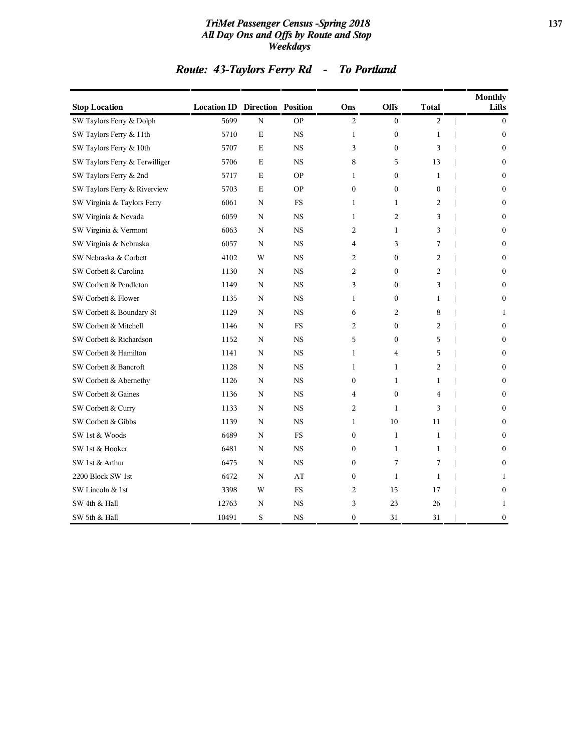#### *TriMet Passenger Census -Spring 2018* **137** *All Day Ons and Offs by Route and Stop Weekdays*

| <b>Stop Location</b>           | <b>Location ID Direction Position</b> |             |           | Ons              | Offs             | <b>Total</b>   | <b>Monthly</b><br>Lifts |
|--------------------------------|---------------------------------------|-------------|-----------|------------------|------------------|----------------|-------------------------|
| SW Taylors Ferry & Dolph       | 5699                                  | N           | <b>OP</b> | 2                | $\mathbf{0}$     | 2              | $\mathbf{0}$            |
| SW Taylors Ferry & 11th        | 5710                                  | $\mathbf E$ | <b>NS</b> | $\mathbf{1}$     | $\boldsymbol{0}$ | $\mathbf{1}$   | $\mathbf{0}$            |
| SW Taylors Ferry & 10th        | 5707                                  | $\mathbf E$ | <b>NS</b> | 3                | $\boldsymbol{0}$ | 3              | $\mathbf{0}$            |
| SW Taylors Ferry & Terwilliger | 5706                                  | Ε           | <b>NS</b> | 8                | 5                | 13             | $\mathbf{0}$            |
| SW Taylors Ferry & 2nd         | 5717                                  | Ε           | <b>OP</b> | 1                | $\boldsymbol{0}$ | 1              | $\mathbf{0}$            |
| SW Taylors Ferry & Riverview   | 5703                                  | $\mathbf E$ | <b>OP</b> | $\mathbf{0}$     | $\mathbf{0}$     | $\mathbf{0}$   | $\mathbf{0}$            |
| SW Virginia & Taylors Ferry    | 6061                                  | N           | FS        | 1                | $\mathbf{1}$     | 2              | $\theta$                |
| SW Virginia & Nevada           | 6059                                  | N           | <b>NS</b> | 1                | 2                | 3              | $\mathbf{0}$            |
| SW Virginia & Vermont          | 6063                                  | N           | <b>NS</b> | 2                | $\mathbf{1}$     | 3              | $\mathbf{0}$            |
| SW Virginia & Nebraska         | 6057                                  | N           | <b>NS</b> | 4                | 3                | 7              | $\theta$                |
| SW Nebraska & Corbett          | 4102                                  | W           | <b>NS</b> | 2                | $\boldsymbol{0}$ | 2              | $\mathbf{0}$            |
| SW Corbett & Carolina          | 1130                                  | N           | <b>NS</b> | 2                | $\mathbf{0}$     | $\overline{c}$ | $\mathbf{0}$            |
| SW Corbett & Pendleton         | 1149                                  | N           | <b>NS</b> | 3                | $\mathbf{0}$     | 3              | $\theta$                |
| SW Corbett & Flower            | 1135                                  | N           | <b>NS</b> | 1                | $\boldsymbol{0}$ | 1              | $\mathbf{0}$            |
| SW Corbett & Boundary St       | 1129                                  | N           | <b>NS</b> | 6                | 2                | 8              | 1                       |
| SW Corbett & Mitchell          | 1146                                  | N           | <b>FS</b> | 2                | $\mathbf{0}$     | 2              | $\mathbf{0}$            |
| SW Corbett & Richardson        | 1152                                  | N           | <b>NS</b> | 5                | $\mathbf{0}$     | 5              | $\mathbf{0}$            |
| SW Corbett & Hamilton          | 1141                                  | N           | <b>NS</b> | 1                | $\overline{4}$   | 5              | $\theta$                |
| SW Corbett & Bancroft          | 1128                                  | N           | <b>NS</b> | 1                | 1                | 2              | $\mathbf{0}$            |
| SW Corbett & Abernethy         | 1126                                  | N           | <b>NS</b> | $\boldsymbol{0}$ | 1                | 1              | $\theta$                |
| SW Corbett & Gaines            | 1136                                  | N           | <b>NS</b> | 4                | $\mathbf{0}$     | 4              | $\theta$                |
| SW Corbett & Curry             | 1133                                  | N           | <b>NS</b> | 2                | $\mathbf{1}$     | 3              | $\mathbf{0}$            |
| SW Corbett & Gibbs             | 1139                                  | N           | <b>NS</b> | 1                | 10               | 11             | $\boldsymbol{0}$        |
| SW 1st & Woods                 | 6489                                  | N           | <b>FS</b> | $\mathbf{0}$     | $\mathbf{1}$     | $\mathbf{1}$   | $\mathbf{0}$            |
| SW 1st & Hooker                | 6481                                  | N           | <b>NS</b> | $\mathbf{0}$     | $\mathbf{1}$     | 1              | $\Omega$                |
| SW 1st & Arthur                | 6475                                  | N           | <b>NS</b> | $\boldsymbol{0}$ | 7                | 7              | $\theta$                |
| 2200 Block SW 1st              | 6472                                  | N           | AT        | $\boldsymbol{0}$ | $\mathbf{1}$     | $\mathbf{1}$   | 1                       |
| SW Lincoln & 1st               | 3398                                  | W           | <b>FS</b> | 2                | 15               | 17             | $\theta$                |
| SW 4th & Hall                  | 12763                                 | N           | <b>NS</b> | 3                | 23               | 26             | 1                       |
| SW 5th & Hall                  | 10491                                 | S           | <b>NS</b> | $\boldsymbol{0}$ | 31               | 31             | $\boldsymbol{0}$        |

# *Route: 43-Taylors Ferry Rd - To Portland*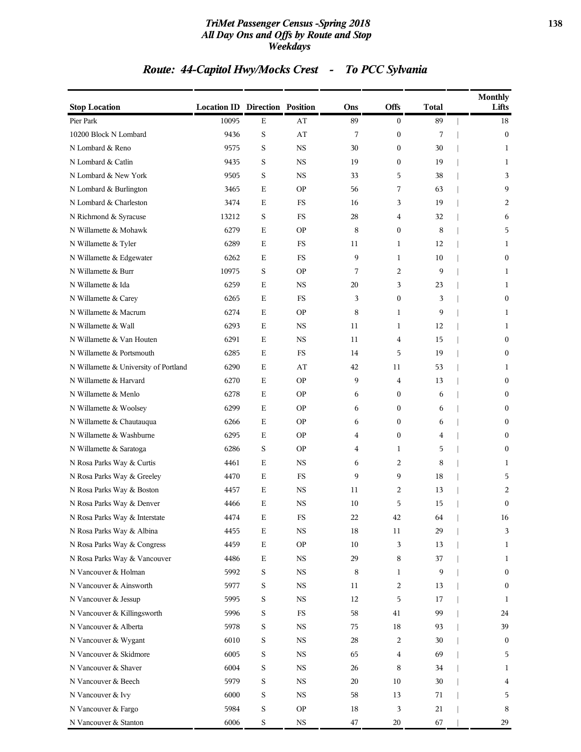#### *TriMet Passenger Census -Spring 2018* **138** *All Day Ons and Offs by Route and Stop Weekdays*

# *Route: 44-Capitol Hwy/Mocks Crest - To PCC Sylvania*

| <b>Stop Location</b>                  | <b>Location ID Direction Position</b> |             |             | Ons    | Offs             | <b>Total</b> | <b>Monthly</b><br>Lifts |
|---------------------------------------|---------------------------------------|-------------|-------------|--------|------------------|--------------|-------------------------|
| Pier Park                             | 10095                                 | $\mathbf E$ | AT          | 89     | $\overline{0}$   | 89           | 18                      |
| 10200 Block N Lombard                 | 9436                                  | S           | AT          | 7      | $\boldsymbol{0}$ | 7            | $\boldsymbol{0}$        |
| N Lombard & Reno                      | 9575                                  | S           | <b>NS</b>   | 30     | $\boldsymbol{0}$ | 30           | 1                       |
| N Lombard & Catlin                    | 9435                                  | S           | <b>NS</b>   | 19     | $\boldsymbol{0}$ | 19           | 1                       |
| N Lombard & New York                  | 9505                                  | S           | NS          | 33     | 5                | 38           | 3                       |
| N Lombard & Burlington                | 3465                                  | E           | <b>OP</b>   | 56     | 7                | 63           | 9                       |
| N Lombard & Charleston                | 3474                                  | E           | FS          | 16     | 3                | 19           | 2                       |
| N Richmond & Syracuse                 | 13212                                 | S           | FS          | 28     | 4                | 32           | 6                       |
| N Willamette & Mohawk                 | 6279                                  | Е           | <b>OP</b>   | 8      | $\mathbf{0}$     | 8            | 5                       |
| N Willamette & Tyler                  | 6289                                  | Е           | FS          | 11     | 1                | 12           | 1                       |
| N Willamette & Edgewater              | 6262                                  | Е           | FS          | 9      | 1                | 10           | $\mathbf{0}$            |
| N Willamette & Burr                   | 10975                                 | S           | <b>OP</b>   | 7      | 2                | 9            | 1                       |
| N Willamette & Ida                    | 6259                                  | Е           | <b>NS</b>   | 20     | 3                | 23           | 1                       |
| N Willamette & Carey                  | 6265                                  | E           | <b>FS</b>   | 3      | $\mathbf{0}$     | 3            | $\overline{0}$          |
| N Willamette & Macrum                 | 6274                                  | E           | <b>OP</b>   | 8      | 1                | 9            | 1                       |
| N Willamette & Wall                   | 6293                                  | Е           | <b>NS</b>   | 11     | 1                | 12           | 1                       |
| N Willamette & Van Houten             | 6291                                  | Ε           | <b>NS</b>   | 11     | 4                | 15           | $\boldsymbol{0}$        |
| N Willamette & Portsmouth             | 6285                                  | Е           | FS          | 14     | 5                | 19           | $\boldsymbol{0}$        |
| N Willamette & University of Portland | 6290                                  | Е           | AT          | 42     | 11               | 53           | 1                       |
| N Willamette & Harvard                | 6270                                  | Е           | <b>OP</b>   | 9      | 4                | 13           | $\boldsymbol{0}$        |
| N Willamette & Menlo                  | 6278                                  | Е           | <b>OP</b>   | 6      | $\mathbf{0}$     | 6            | $\boldsymbol{0}$        |
| N Willamette & Woolsey                | 6299                                  | Ε           | <b>OP</b>   | 6      | $\boldsymbol{0}$ | 6            | $\boldsymbol{0}$        |
| N Willamette & Chautauqua             | 6266                                  | Е           | <b>OP</b>   | 6      | $\mathbf{0}$     | 6            | $\boldsymbol{0}$        |
| N Willamette & Washburne              | 6295                                  | E           | <b>OP</b>   | 4      | $\mathbf{0}$     | 4            | $\overline{0}$          |
| N Willamette & Saratoga               | 6286                                  | S           | <b>OP</b>   | 4      | 1                | 5            | $\boldsymbol{0}$        |
| N Rosa Parks Way & Curtis             | 4461                                  | Е           | <b>NS</b>   | 6      | 2                | 8            | 1                       |
| N Rosa Parks Way & Greeley            | 4470                                  | Ε           | <b>FS</b>   | 9      | 9                | 18           | 5                       |
| N Rosa Parks Way & Boston             | 4457                                  | Ε           | NS          | 11     | 2                | 13           | 2                       |
| N Rosa Parks Way & Denver             | 4466                                  | E           | <b>NS</b>   | 10     | 5                | 15           | $\mathbf{0}$            |
| N Rosa Parks Way & Interstate         | 4474                                  | Е           | FS          | 22     | 42               | 64           | 16                      |
| N Rosa Parks Way & Albina             | 4455                                  | $\mathbf E$ | $_{\rm NS}$ | 18     | 11               | 29           | 3                       |
| N Rosa Parks Way & Congress           | 4459                                  | $\mathbf E$ | <b>OP</b>   | 10     | 3                | 13           | $\mathbf{1}$            |
| N Rosa Parks Way & Vancouver          | 4486                                  | $\mathbf E$ | $_{\rm NS}$ | 29     | 8                | 37           | 1                       |
| N Vancouver & Holman                  | 5992                                  | S           | $_{\rm NS}$ | 8      | 1                | 9            | $\boldsymbol{0}$        |
| N Vancouver & Ainsworth               | 5977                                  | S           | $_{\rm NS}$ | 11     | $\overline{c}$   | 13           | $\boldsymbol{0}$        |
| N Vancouver & Jessup                  | 5995                                  | S           | $_{\rm NS}$ | 12     | 5                | 17           | 1                       |
| N Vancouver & Killingsworth           | 5996                                  | S           | FS          | 58     | 41               | 99           | 24                      |
| N Vancouver & Alberta                 | 5978                                  | S           | NS          | 75     | 18               | 93           | 39                      |
| N Vancouver & Wygant                  | 6010                                  | S           | $_{\rm NS}$ | 28     | 2                | 30           | $\boldsymbol{0}$        |
| N Vancouver & Skidmore                | 6005                                  | S           | NS          | 65     | 4                | 69           | 5                       |
| N Vancouver & Shaver                  | 6004                                  | S           | $_{\rm NS}$ | 26     | 8                | 34           | 1                       |
| N Vancouver & Beech                   | 5979                                  | S           | $_{\rm NS}$ | 20     | 10               | 30           | 4                       |
| N Vancouver & Ivy                     | 6000                                  | S           | NS          | 58     | 13               | 71           | 5                       |
| N Vancouver & Fargo                   | 5984                                  | S           | <b>OP</b>   | 18     | 3                | 21           | 8                       |
| N Vancouver & Stanton                 | 6006                                  | S           | $_{\rm NS}$ | $47\,$ | 20               | 67           | 29                      |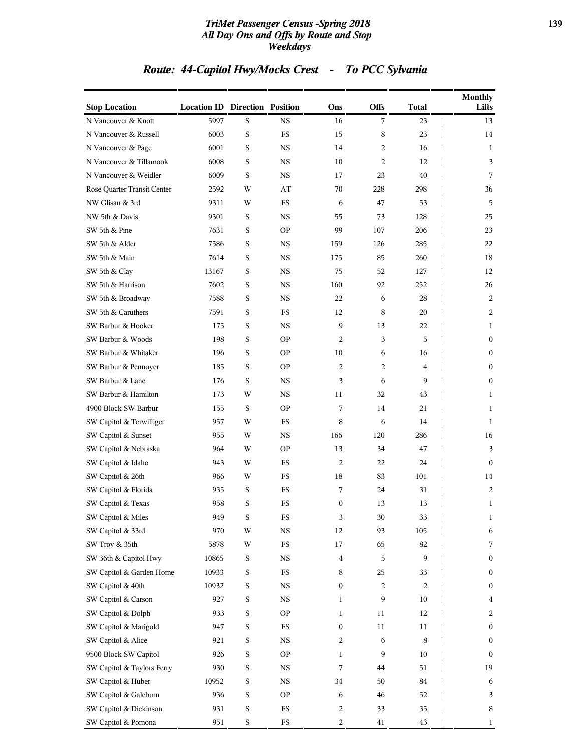#### *TriMet Passenger Census -Spring 2018* **139** *All Day Ons and Offs by Route and Stop Weekdays*

# *Route: 44-Capitol Hwy/Mocks Crest - To PCC Sylvania*

| <b>Stop Location</b>        | <b>Location ID Direction Position</b> |             |             | Ons                     | Offs           | Total | <b>Monthly</b><br>Lifts |
|-----------------------------|---------------------------------------|-------------|-------------|-------------------------|----------------|-------|-------------------------|
| N Vancouver & Knott         | 5997                                  | S           | <b>NS</b>   | 16                      | $\overline{7}$ | 23    | 13                      |
| N Vancouver & Russell       | 6003                                  | S           | FS          | 15                      | $\,8\,$        | 23    | 14                      |
| N Vancouver & Page          | 6001                                  | S           | <b>NS</b>   | 14                      | 2              | 16    | 1                       |
| N Vancouver & Tillamook     | 6008                                  | S           | <b>NS</b>   | 10                      | 2              | 12    | 3                       |
| N Vancouver & Weidler       | 6009                                  | S           | <b>NS</b>   | 17                      | 23             | 40    | 7                       |
| Rose Quarter Transit Center | 2592                                  | W           | AT          | 70                      | 228            | 298   | 36                      |
| NW Glisan & 3rd             | 9311                                  | W           | FS          | 6                       | 47             | 53    | 5                       |
| NW 5th & Davis              | 9301                                  | S           | <b>NS</b>   | 55                      | 73             | 128   | 25                      |
| SW 5th & Pine               | 7631                                  | S           | <b>OP</b>   | 99                      | 107            | 206   | 23                      |
| SW 5th & Alder              | 7586                                  | S           | NS          | 159                     | 126            | 285   | 22                      |
| SW 5th & Main               | 7614                                  | S           | NS          | 175                     | 85             | 260   | 18                      |
| SW 5th & Clay               | 13167                                 | S           | <b>NS</b>   | 75                      | 52             | 127   | 12                      |
| SW 5th & Harrison           | 7602                                  | S           | <b>NS</b>   | 160                     | 92             | 252   | 26                      |
| SW 5th & Broadway           | 7588                                  | S           | <b>NS</b>   | 22                      | 6              | 28    | 2                       |
| SW 5th & Caruthers          | 7591                                  | S           | <b>FS</b>   | 12                      | 8              | 20    | 2                       |
| SW Barbur & Hooker          | 175                                   | S           | NS          | 9                       | 13             | 22    | 1                       |
| SW Barbur & Woods           | 198                                   | S           | <b>OP</b>   | 2                       | 3              | 5     | $\bf{0}$                |
| SW Barbur & Whitaker        | 196                                   | S           | <b>OP</b>   | 10                      | 6              | 16    | $\bf{0}$                |
| SW Barbur & Pennoyer        | 185                                   | S           | <b>OP</b>   | 2                       | 2              | 4     | $\mathbf{0}$            |
| SW Barbur & Lane            | 176                                   | S           | NS          | 3                       | 6              | 9     | $\mathbf{0}$            |
| SW Barbur & Hamilton        | 173                                   | W           | NS          | 11                      | 32             | 43    | 1                       |
| 4900 Block SW Barbur        | 155                                   | S           | <b>OP</b>   | 7                       | 14             | 21    | 1                       |
| SW Capitol & Terwilliger    | 957                                   | W           | <b>FS</b>   | 8                       | 6              | 14    | 1                       |
| SW Capitol & Sunset         | 955                                   | W           | <b>NS</b>   | 166                     | 120            | 286   | 16                      |
| SW Capitol & Nebraska       | 964                                   | W           | <b>OP</b>   | 13                      | 34             | 47    | 3                       |
| SW Capitol & Idaho          | 943                                   | W           | FS          | 2                       | 22             | 24    | $\mathbf{0}$            |
| SW Capitol & 26th           | 966                                   | W           | FS          | 18                      | 83             | 101   | 14                      |
| SW Capitol & Florida        | 935                                   | S           | FS          | 7                       | 24             | 31    | 2                       |
| SW Capitol & Texas          | 958                                   | S           | FS          | $\boldsymbol{0}$        | 13             | 13    | 1                       |
| SW Capitol & Miles          | 949                                   | S           | FS          | 3                       | 30             | 33    | 1                       |
| SW Capitol & 33rd           | 970                                   | W           | <b>NS</b>   | 12                      | 93             | 105   | 6                       |
| SW Troy & 35th              | 5878                                  | W           | $_{\rm FS}$ | 17                      | 65             | 82    | 7                       |
| SW 36th & Capitol Hwy       | 10865                                 | $\mathbf S$ | $_{\rm NS}$ | $\overline{\mathbf{4}}$ | 5              | 9     | $\bf{0}$                |
| SW Capitol & Garden Home    | 10933                                 | $\mathbf S$ | FS          | 8                       | 25             | 33    | $\bf{0}$                |
| SW Capitol & 40th           | 10932                                 | $\mathbf S$ | <b>NS</b>   | 0                       | 2              | 2     | $\bf{0}$                |
| SW Capitol & Carson         | 927                                   | $\mathbf S$ | <b>NS</b>   | 1                       | 9              | 10    | 4                       |
| SW Capitol & Dolph          | 933                                   | $\mathbf S$ | <b>OP</b>   | 1                       | 11             | 12    | 2                       |
| SW Capitol & Marigold       | 947                                   | S           | $_{\rm FS}$ | $\boldsymbol{0}$        | 11             | 11    | $\bf{0}$                |
| SW Capitol & Alice          | 921                                   | $\mathbf S$ | <b>NS</b>   | 2                       | 6              | 8     | $\bf{0}$                |
| 9500 Block SW Capitol       | 926                                   | $\mathbf S$ | <b>OP</b>   | 1                       | 9              | 10    | $\bf{0}$                |
| SW Capitol & Taylors Ferry  | 930                                   | $\mathbf S$ | <b>NS</b>   | 7                       | 44             | 51    | 19                      |
| SW Capitol & Huber          | 10952                                 | $\mathbf S$ | $_{\rm NS}$ | 34                      | 50             | 84    | 6                       |
| SW Capitol & Galeburn       | 936                                   | $\mathbf S$ | <b>OP</b>   | 6                       | 46             | 52    | 3                       |
| SW Capitol & Dickinson      | 931                                   | $\mathbf S$ | FS          | 2                       | 33             | 35    | 8                       |
| SW Capitol & Pomona         | 951                                   | $\mathbf S$ | $_{\rm FS}$ | 2                       | 41             | 43    | 1                       |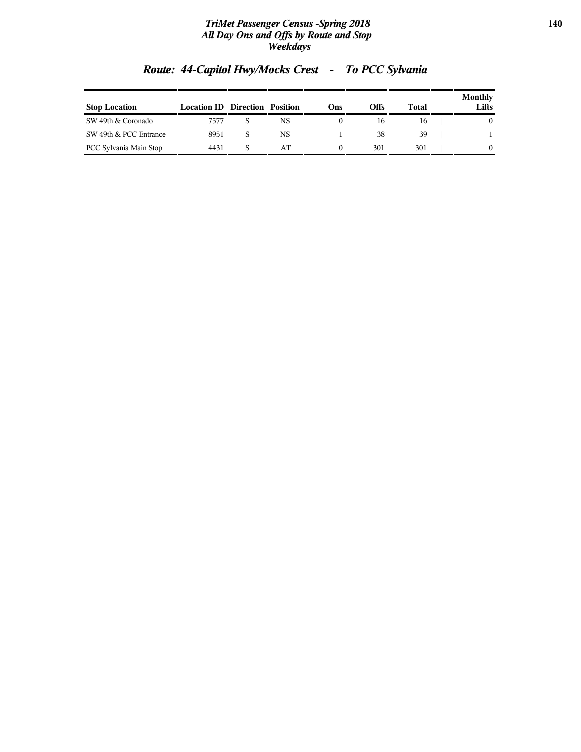#### *TriMet Passenger Census -Spring 2018* **140** *All Day Ons and Offs by Route and Stop Weekdays*

| <b>Stop Location</b>   | <b>Location ID</b> Direction | Position | Ons) | Offs | Total | Monthly<br>Lifts |
|------------------------|------------------------------|----------|------|------|-------|------------------|
| SW 49th & Coronado     | 7577                         | NS       |      | 16   | 16    | 0                |
| SW 49th & PCC Entrance | 8951                         | NS       |      | 38   | 39    |                  |
| PCC Sylvania Main Stop | 4431                         | AΤ       |      | 301  | 301   | 0                |

# *Route: 44-Capitol Hwy/Mocks Crest - To PCC Sylvania*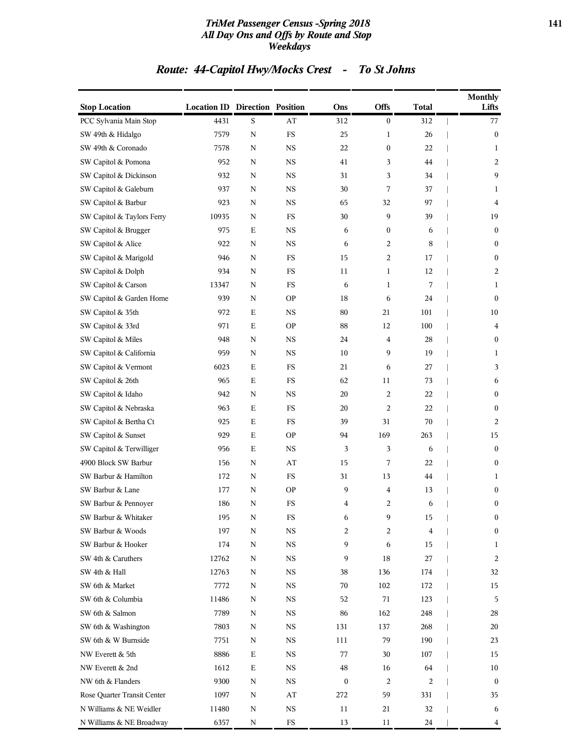#### *TriMet Passenger Census -Spring 2018* **141** *All Day Ons and Offs by Route and Stop Weekdays*

# *Route: 44-Capitol Hwy/Mocks Crest - To St Johns*

| <b>Stop Location</b>        | <b>Location ID Direction Position</b> |             |             | Ons              | Offs                    | <b>Total</b> | <b>Monthly</b><br>Lifts |
|-----------------------------|---------------------------------------|-------------|-------------|------------------|-------------------------|--------------|-------------------------|
| PCC Sylvania Main Stop      | 4431                                  | $\mathbf S$ | AT          | 312              | $\boldsymbol{0}$        | 312          | 77                      |
| SW 49th & Hidalgo           | 7579                                  | $\mathbf N$ | $_{\rm FS}$ | 25               | 1                       | 26           | $\boldsymbol{0}$        |
| SW 49th & Coronado          | 7578                                  | N           | <b>NS</b>   | 22               | $\boldsymbol{0}$        | 22           | 1                       |
| SW Capitol & Pomona         | 952                                   | N           | NS          | 41               | 3                       | 44           | 2                       |
| SW Capitol & Dickinson      | 932                                   | N           | <b>NS</b>   | 31               | 3                       | 34           | 9                       |
| SW Capitol & Galeburn       | 937                                   | N           | <b>NS</b>   | 30               | 7                       | 37           | 1                       |
| SW Capitol & Barbur         | 923                                   | N           | <b>NS</b>   | 65               | 32                      | 97           | 4                       |
| SW Capitol & Taylors Ferry  | 10935                                 | N           | FS          | 30               | 9                       | 39           | 19                      |
| SW Capitol & Brugger        | 975                                   | Ε           | NS          | 6                | $\boldsymbol{0}$        | 6            | $\boldsymbol{0}$        |
| SW Capitol & Alice          | 922                                   | N           | <b>NS</b>   | 6                | 2                       | 8            | $\boldsymbol{0}$        |
| SW Capitol & Marigold       | 946                                   | N           | FS          | 15               | $\overline{c}$          | 17           | $\boldsymbol{0}$        |
| SW Capitol & Dolph          | 934                                   | $\mathbf N$ | FS          | 11               | 1                       | 12           | 2                       |
| SW Capitol & Carson         | 13347                                 | N           | FS          | 6                | 1                       | 7            | 1                       |
| SW Capitol & Garden Home    | 939                                   | N           | <b>OP</b>   | 18               | 6                       | 24           | $\boldsymbol{0}$        |
| SW Capitol & 35th           | 972                                   | Е           | $_{\rm NS}$ | 80               | 21                      | 101          | 10                      |
| SW Capitol & 33rd           | 971                                   | Ε           | <b>OP</b>   | 88               | 12                      | 100          | 4                       |
| SW Capitol & Miles          | 948                                   | $\mathbf N$ | <b>NS</b>   | 24               | $\overline{\mathbf{4}}$ | 28           | $\boldsymbol{0}$        |
| SW Capitol & California     | 959                                   | N           | <b>NS</b>   | 10               | 9                       | 19           | 1                       |
| SW Capitol & Vermont        | 6023                                  | Ε           | FS          | 21               | 6                       | 27           | 3                       |
| SW Capitol & 26th           | 965                                   | Е           | FS          | 62               | 11                      | 73           | 6                       |
| SW Capitol & Idaho          | 942                                   | N           | <b>NS</b>   | 20               | $\overline{c}$          | 22           | $\boldsymbol{0}$        |
| SW Capitol & Nebraska       | 963                                   | E           | $_{\rm FS}$ | 20               | $\overline{c}$          | 22           | $\boldsymbol{0}$        |
| SW Capitol & Bertha Ct      | 925                                   | Ε           | FS          | 39               | 31                      | 70           | $\overline{2}$          |
| SW Capitol & Sunset         | 929                                   | E           | <b>OP</b>   | 94               | 169                     | 263          | 15                      |
| SW Capitol & Terwilliger    | 956                                   | Е           | <b>NS</b>   | 3                | 3                       | 6            | $\boldsymbol{0}$        |
| 4900 Block SW Barbur        | 156                                   | N           | AT          | 15               | 7                       | 22           | $\boldsymbol{0}$        |
| SW Barbur & Hamilton        | 172                                   | $\mathbf N$ | $_{\rm FS}$ | 31               | 13                      | 44           | 1                       |
| SW Barbur & Lane            | 177                                   | N           | <b>OP</b>   | 9                | 4                       | 13           | $\boldsymbol{0}$        |
| SW Barbur & Pennoyer        | 186                                   | N           | FS          | 4                | 2                       | 6            | $\boldsymbol{0}$        |
| SW Barbur & Whitaker        | 195                                   | N           | $_{\rm FS}$ | 6                | 9                       | 15           | $\boldsymbol{0}$        |
| SW Barbur & Woods           | 197                                   | N           | $_{\rm NS}$ | 2                | 2                       | 4            | $\boldsymbol{0}$        |
| SW Barbur & Hooker          | 174                                   | N           | $_{\rm NS}$ | 9                | 6                       | 15           | 1                       |
| SW 4th & Caruthers          | 12762                                 | N           | $_{\rm NS}$ | 9                | 18                      | 27           | 2                       |
| SW 4th & Hall               | 12763                                 | Ν           | NS          | 38               | 136                     | 174          | 32                      |
| SW 6th & Market             | 7772                                  | N           | $_{\rm NS}$ | 70               | 102                     | 172          | 15                      |
| SW 6th & Columbia           | 11486                                 | N           | NS          | 52               | 71                      | 123          | 5                       |
| SW 6th & Salmon             | 7789                                  | N           | NS          | 86               | 162                     | 248          | 28                      |
| SW 6th & Washington         | 7803                                  | Ν           | NS          | 131              | 137                     | 268          | 20                      |
| SW 6th & W Burnside         | 7751                                  | N           | <b>NS</b>   | 111              | 79                      | 190          | 23                      |
| NW Everett & 5th            | 8886                                  | Е           | NS          | 77               | 30                      | 107          | 15                      |
| NW Everett & 2nd            | 1612                                  | $\mathbf E$ | NS          | 48               | 16                      | 64           | 10                      |
| NW 6th & Flanders           | 9300                                  | Ν           | NS          | $\boldsymbol{0}$ | 2                       | 2            | $\bf{0}$                |
| Rose Quarter Transit Center | 1097                                  | Ν           | AT          | 272              | 59                      | 331          | 35                      |
| N Williams & NE Weidler     | 11480                                 | N           | <b>NS</b>   | 11               | 21                      | 32           | 6                       |
| N Williams & NE Broadway    | 6357                                  | Ν           | $_{\rm FS}$ | 13               | 11                      | 24           | 4                       |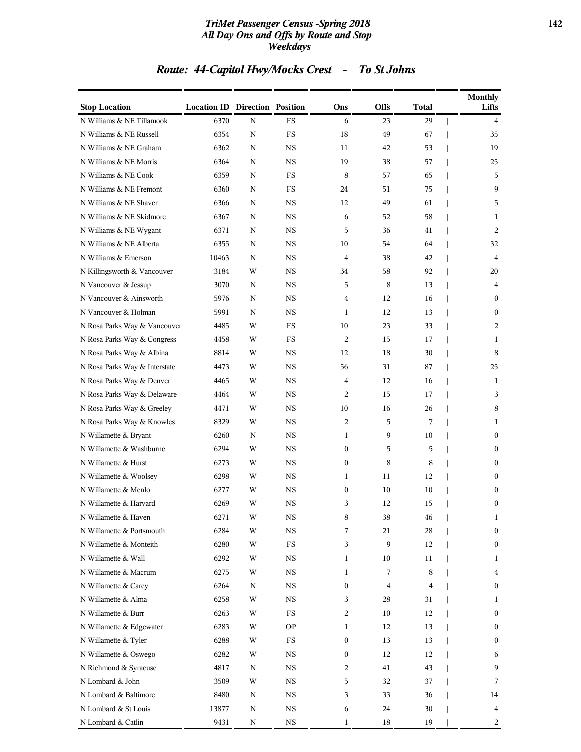#### *TriMet Passenger Census -Spring 2018* **142** *All Day Ons and Offs by Route and Stop Weekdays*

# *Route: 44-Capitol Hwy/Mocks Crest - To St Johns*

| <b>Stop Location</b>          | <b>Location ID Direction Position</b> |             |                      | Ons              | <b>Offs</b> | <b>Total</b> | <b>Monthly</b><br>Lifts |
|-------------------------------|---------------------------------------|-------------|----------------------|------------------|-------------|--------------|-------------------------|
| N Williams & NE Tillamook     | 6370                                  | $\mathbf N$ | $\mathop{\text{FS}}$ | 6                | 23          | 29           | $\overline{4}$          |
| N Williams & NE Russell       | 6354                                  | N           | FS                   | 18               | 49          | 67           | 35                      |
| N Williams & NE Graham        | 6362                                  | N           | <b>NS</b>            | 11               | 42          | 53           | 19                      |
| N Williams & NE Morris        | 6364                                  | N           | <b>NS</b>            | 19               | 38          | 57           | 25                      |
| N Williams & NE Cook          | 6359                                  | N           | FS                   | 8                | 57          | 65           | 5                       |
| N Williams & NE Fremont       | 6360                                  | N           | <b>FS</b>            | 24               | 51          | 75           | 9                       |
| N Williams & NE Shaver        | 6366                                  | N           | NS                   | 12               | 49          | 61           | 5                       |
| N Williams & NE Skidmore      | 6367                                  | N           | <b>NS</b>            | 6                | 52          | 58           | 1                       |
| N Williams & NE Wygant        | 6371                                  | N           | <b>NS</b>            | 5                | 36          | 41           | 2                       |
| N Williams & NE Alberta       | 6355                                  | N           | NS.                  | 10               | 54          | 64           | 32                      |
| N Williams & Emerson          | 10463                                 | N           | <b>NS</b>            | 4                | 38          | 42           | 4                       |
| N Killingsworth & Vancouver   | 3184                                  | W           | NS                   | 34               | 58          | 92           | 20                      |
| N Vancouver & Jessup          | 3070                                  | N           | <b>NS</b>            | 5                | 8           | 13           | 4                       |
| N Vancouver & Ainsworth       | 5976                                  | N           | <b>NS</b>            | 4                | 12          | 16           | $\overline{0}$          |
| N Vancouver & Holman          | 5991                                  | N           | NS.                  | 1                | 12          | 13           | $\boldsymbol{0}$        |
| N Rosa Parks Way & Vancouver  | 4485                                  | W           | <b>FS</b>            | 10               | 23          | 33           | 2                       |
| N Rosa Parks Way & Congress   | 4458                                  | W           | FS                   | $\overline{c}$   | 15          | 17           | 1                       |
| N Rosa Parks Way & Albina     | 8814                                  | W           | <b>NS</b>            | 12               | 18          | 30           | 8                       |
| N Rosa Parks Way & Interstate | 4473                                  | W           | <b>NS</b>            | 56               | 31          | 87           | 25                      |
| N Rosa Parks Way & Denver     | 4465                                  | W           | NS.                  | 4                | 12          | 16           | 1                       |
| N Rosa Parks Way & Delaware   | 4464                                  | W           | <b>NS</b>            | $\overline{c}$   | 15          | 17           | 3                       |
| N Rosa Parks Way & Greeley    | 4471                                  | W           | NS                   | 10               | 16          | 26           | 8                       |
| N Rosa Parks Way & Knowles    | 8329                                  | W           | <b>NS</b>            | $\overline{c}$   | 5           | 7            | 1                       |
| N Willamette & Bryant         | 6260                                  | N           | <b>NS</b>            | 1                | 9           | 10           | $\mathbf{0}$            |
| N Willamette & Washburne      | 6294                                  | W           | NS.                  | $\mathbf{0}$     | 5           | 5            | 0                       |
| N Willamette & Hurst          | 6273                                  | W           | <b>NS</b>            | $\boldsymbol{0}$ | 8           | 8            | $\boldsymbol{0}$        |
| N Willamette & Woolsey        | 6298                                  | W           | NS                   | 1                | 11          | 12           | $\boldsymbol{0}$        |
| N Willamette & Menlo          | 6277                                  | W           | <b>NS</b>            | $\boldsymbol{0}$ | 10          | 10           | $\bf{0}$                |
| N Willamette & Harvard        | 6269                                  | W           | <b>NS</b>            | 3                | 12          | 15           | $\mathbf{0}$            |
| N Willamette & Haven          | 6271                                  | W           | NS                   | 8                | 38          | 46           | 1                       |
| N Willamette & Portsmouth     | 6284                                  | W           | NS                   | 7                | 21          | 28           | $\boldsymbol{0}$        |
| N Willamette & Monteith       | 6280                                  | W           | $_{\rm FS}$          | 3                | 9           | 12           | 0                       |
| N Willamette & Wall           | 6292                                  | W           | NS                   | 1                | 10          | 11           | 1                       |
| N Willamette & Macrum         | 6275                                  | W           | NS                   | 1                | 7           | 8            | 4                       |
| N Willamette & Carey          | 6264                                  | N           | NS                   | 0                | 4           | 4            | 0                       |
| N Willamette & Alma           | 6258                                  | W           | NS                   | 3                | 28          | 31           | 1                       |
| N Willamette & Burr           | 6263                                  | W           | FS                   | $\overline{c}$   | 10          | 12           | 0                       |
| N Willamette & Edgewater      | 6283                                  | W           | OP.                  | 1                | 12          | 13           | $\bf{0}$                |
| N Willamette & Tyler          | 6288                                  | W           | FS                   | $\boldsymbol{0}$ | 13          | 13           | $\bf{0}$                |
| N Willamette & Oswego         | 6282                                  | W           | NS                   | 0                | 12          | 12           | 6                       |
| N Richmond & Syracuse         | 4817                                  | N           | NS                   | 2                | 41          | 43           | 9                       |
| N Lombard & John              | 3509                                  | W           | NS                   | 5                | 32          | 37           | 7                       |
| N Lombard & Baltimore         | 8480                                  | Ν           | NS                   | 3                | 33          | 36           | 14                      |
| N Lombard & St Louis          | 13877                                 | N           | NS                   | 6                | 24          | 30           | 4                       |
| N Lombard & Catlin            | 9431                                  | N           | NS                   | 1                | 18          | 19           | 2                       |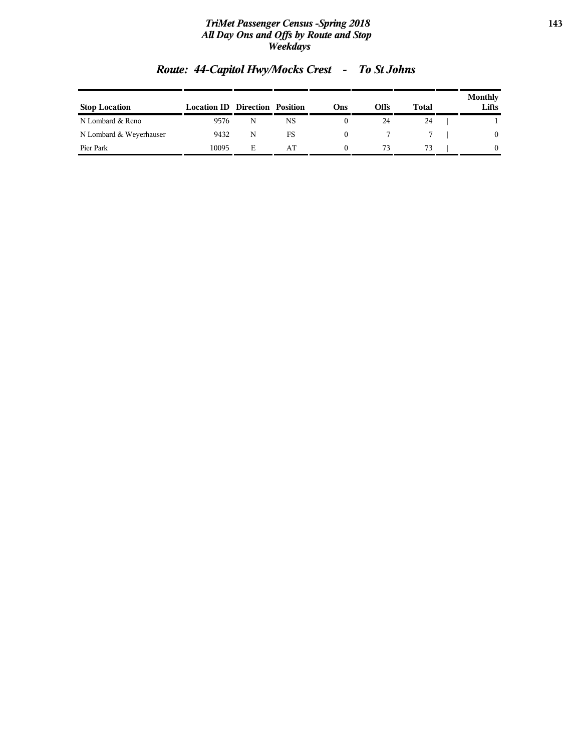#### *TriMet Passenger Census -Spring 2018* **143** *All Day Ons and Offs by Route and Stop Weekdays*

| <b>Stop Location</b>    | <b>Location ID Direction Position</b> |   |    | Ons | Offs | Total | <b>Monthly</b><br>Lifts |
|-------------------------|---------------------------------------|---|----|-----|------|-------|-------------------------|
| N Lombard & Reno        | 9576                                  |   | NS |     | 24   | 24    |                         |
| N Lombard & Weyerhauser | 9432                                  | N | FS |     |      |       | $\theta$                |
| Pier Park               | 10095                                 | Е | AΤ |     |      | 73    |                         |

# *Route: 44-Capitol Hwy/Mocks Crest - To St Johns*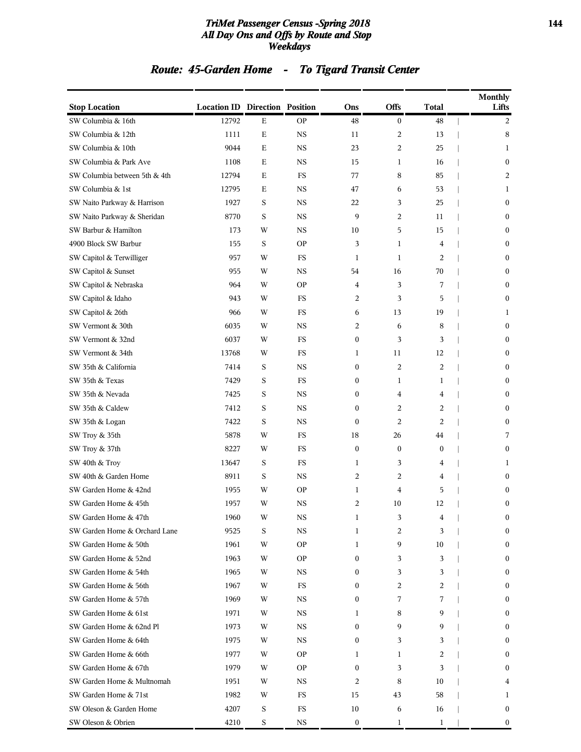#### *TriMet Passenger Census -Spring 2018* **144** *All Day Ons and Offs by Route and Stop Weekdays*

# *Route: 45-Garden Home - To Tigard Transit Center*

| <b>Stop Location</b>          | <b>Location ID Direction Position</b> |             |             | Ons              | Offs             | <b>Total</b>     | <b>Monthly</b><br>Lifts |
|-------------------------------|---------------------------------------|-------------|-------------|------------------|------------------|------------------|-------------------------|
| SW Columbia & 16th            | 12792                                 | ${\bf E}$   | <b>OP</b>   | $\bf 48$         | $\boldsymbol{0}$ | $\rm 48$         | $\overline{c}$          |
| SW Columbia & 12th            | 1111                                  | $\mathbf E$ | <b>NS</b>   | 11               | $\overline{c}$   | 13               | 8                       |
| SW Columbia & 10th            | 9044                                  | $\mathbf E$ | <b>NS</b>   | 23               | $\overline{c}$   | 25               | 1                       |
| SW Columbia & Park Ave        | 1108                                  | E           | <b>NS</b>   | 15               | $\mathbf{1}$     | 16               | $\boldsymbol{0}$        |
| SW Columbia between 5th & 4th | 12794                                 | E           | <b>FS</b>   | 77               | 8                | 85               | 2                       |
| SW Columbia & 1st             | 12795                                 | $\mathbf E$ | <b>NS</b>   | 47               | 6                | 53               | 1                       |
| SW Naito Parkway & Harrison   | 1927                                  | S           | <b>NS</b>   | 22               | 3                | 25               | $\boldsymbol{0}$        |
| SW Naito Parkway & Sheridan   | 8770                                  | S           | <b>NS</b>   | 9                | $\overline{c}$   | 11               | $\boldsymbol{0}$        |
| SW Barbur & Hamilton          | 173                                   | W           | <b>NS</b>   | 10               | 5                | 15               | $\boldsymbol{0}$        |
| 4900 Block SW Barbur          | 155                                   | S           | <b>OP</b>   | 3                | $\mathbf{1}$     | $\overline{4}$   | $\boldsymbol{0}$        |
| SW Capitol & Terwilliger      | 957                                   | W           | FS          | 1                | $\mathbf{1}$     | 2                | $\boldsymbol{0}$        |
| SW Capitol & Sunset           | 955                                   | W           | <b>NS</b>   | 54               | 16               | 70               | $\boldsymbol{0}$        |
| SW Capitol & Nebraska         | 964                                   | W           | <b>OP</b>   | 4                | 3                | 7                | $\boldsymbol{0}$        |
| SW Capitol & Idaho            | 943                                   | W           | FS          | 2                | 3                | 5                | $\boldsymbol{0}$        |
| SW Capitol & 26th             | 966                                   | W           | <b>FS</b>   | 6                | 13               | 19               | 1                       |
| SW Vermont & 30th             | 6035                                  | W           | <b>NS</b>   | 2                | 6                | 8                | $\boldsymbol{0}$        |
| SW Vermont & 32nd             | 6037                                  | W           | FS          | $\boldsymbol{0}$ | 3                | 3                | $\boldsymbol{0}$        |
| SW Vermont & 34th             | 13768                                 | W           | $_{\rm FS}$ | 1                | 11               | 12               | $\boldsymbol{0}$        |
| SW 35th & California          | 7414                                  | S           | <b>NS</b>   | 0                | $\overline{2}$   | $\overline{c}$   | $\boldsymbol{0}$        |
| SW 35th & Texas               | 7429                                  | S           | <b>FS</b>   | 0                | 1                | 1                | $\bf{0}$                |
| SW 35th & Nevada              | 7425                                  | S           | <b>NS</b>   | 0                | $\overline{4}$   | 4                | $\boldsymbol{0}$        |
| SW 35th & Caldew              | 7412                                  | S           | <b>NS</b>   | 0                | $\overline{2}$   | $\overline{c}$   | $\boldsymbol{0}$        |
| SW 35th & Logan               | 7422                                  | S           | <b>NS</b>   | $\boldsymbol{0}$ | $\overline{2}$   | 2                | $\boldsymbol{0}$        |
| SW Troy & 35th                | 5878                                  | W           | FS          | 18               | 26               | 44               | 7                       |
| SW Troy & 37th                | 8227                                  | W           | <b>FS</b>   | $\boldsymbol{0}$ | $\boldsymbol{0}$ | $\boldsymbol{0}$ | $\boldsymbol{0}$        |
| SW 40th & Troy                | 13647                                 | S           | FS          | 1                | 3                | 4                | 1                       |
| SW 40th & Garden Home         | 8911                                  | S           | <b>NS</b>   | 2                | $\overline{2}$   | 4                | $\boldsymbol{0}$        |
| SW Garden Home & 42nd         | 1955                                  | W           | <b>OP</b>   | 1                | 4                | 5                | $\boldsymbol{0}$        |
| SW Garden Home & 45th         | 1957                                  | W           | <b>NS</b>   | 2                | 10               | 12               | $\boldsymbol{0}$        |
| SW Garden Home & 47th         | 1960                                  | W           | NS          |                  | 3                | 4                | $\bf{0}$                |
| SW Garden Home & Orchard Lane | 9525                                  | S           | $_{\rm NS}$ | 1                | 2                | 3                | $\boldsymbol{0}$        |
| SW Garden Home & 50th         | 1961                                  | W           | <b>OP</b>   | 1                | 9                | 10               | $\boldsymbol{0}$        |
| SW Garden Home & 52nd         | 1963                                  | W           | <b>OP</b>   | 0                | 3                | 3                | $\bf{0}$                |
| SW Garden Home & 54th         | 1965                                  | W           | NS          | 0                | 3                | 3                | $\boldsymbol{0}$        |
| SW Garden Home & 56th         | 1967                                  | W           | FS          | 0                | 2                | 2                | $\boldsymbol{0}$        |
| SW Garden Home & 57th         | 1969                                  | W           | NS          | 0                | 7                | 7                | $\bf{0}$                |
| SW Garden Home & 61st         | 1971                                  | W           | NS          | 1                | 8                | 9                | $\boldsymbol{0}$        |
| SW Garden Home & 62nd Pl      | 1973                                  | W           | NS          | $\mathbf{0}$     | 9                | 9                | $\bf{0}$                |
| SW Garden Home & 64th         | 1975                                  | W           | NS          | 0                | 3                | 3                | $\bf{0}$                |
| SW Garden Home & 66th         | 1977                                  | W           | <b>OP</b>   | 1                | 1                | 2                | 0                       |
| SW Garden Home & 67th         | 1979                                  | W           | <b>OP</b>   | 0                | 3                | 3                | $\boldsymbol{0}$        |
| SW Garden Home & Multnomah    | 1951                                  | W           | NS          | 2                | 8                | 10               | 4                       |
| SW Garden Home & 71st         | 1982                                  | W           | FS          | 15               | 43               | 58               | 1                       |
| SW Oleson & Garden Home       | 4207                                  | S           | FS          | 10               | 6                | 16               | $\boldsymbol{0}$        |
| SW Oleson & Obrien            | 4210                                  | S           | NS          | $\boldsymbol{0}$ | 1                | 1                | $\bf{0}$                |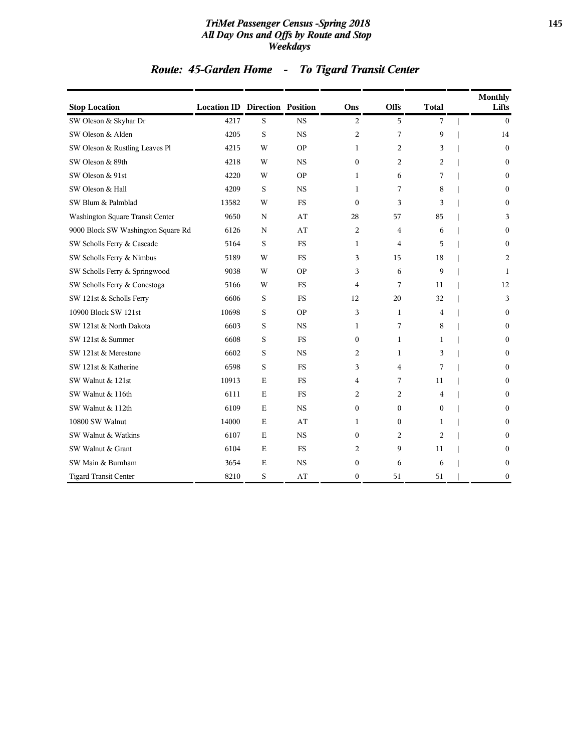#### *TriMet Passenger Census -Spring 2018* **145** *All Day Ons and Offs by Route and Stop Weekdays*

# *Route: 45-Garden Home - To Tigard Transit Center*

| <b>Stop Location</b>               | <b>Location ID Direction Position</b> |             |           | Ons              | <b>Offs</b>    | <b>Total</b> | <b>Monthly</b><br>Lifts |
|------------------------------------|---------------------------------------|-------------|-----------|------------------|----------------|--------------|-------------------------|
| SW Oleson & Skyhar Dr              | 4217                                  | S           | <b>NS</b> | 2                | 5              | 7            | $\mathbf{0}$            |
| SW Oleson & Alden                  | 4205                                  | S           | <b>NS</b> | $\overline{2}$   | 7              | 9            | 14                      |
| SW Oleson & Rustling Leaves Pl     | 4215                                  | W           | <b>OP</b> | 1                | 2              | 3            | $\theta$                |
| SW Oleson & 89th                   | 4218                                  | W           | <b>NS</b> | $\theta$         | $\overline{c}$ | 2            | $\mathbf{0}$            |
| SW Oleson & 91st                   | 4220                                  | W           | <b>OP</b> | 1                | 6              | 7            | $\theta$                |
| SW Oleson & Hall                   | 4209                                  | S           | <b>NS</b> | 1                | 7              | 8            | $\mathbf{0}$            |
| SW Blum & Palmblad                 | 13582                                 | W           | <b>FS</b> | $\mathbf{0}$     | 3              | 3            | $\mathbf{0}$            |
| Washington Square Transit Center   | 9650                                  | $\mathbf N$ | AT        | 28               | 57             | 85           | 3                       |
| 9000 Block SW Washington Square Rd | 6126                                  | N           | AT        | 2                | 4              | 6            | $\mathbf{0}$            |
| SW Scholls Ferry & Cascade         | 5164                                  | S           | <b>FS</b> | $\mathbf{1}$     | $\overline{4}$ | 5            | $\theta$                |
| SW Scholls Ferry & Nimbus          | 5189                                  | W           | <b>FS</b> | 3                | 15             | 18           | 2                       |
| SW Scholls Ferry & Springwood      | 9038                                  | W           | <b>OP</b> | 3                | 6              | 9            | 1                       |
| SW Scholls Ferry & Conestoga       | 5166                                  | W           | <b>FS</b> | 4                | 7              | 11           | 12                      |
| SW 121st & Scholls Ferry           | 6606                                  | S           | <b>FS</b> | 12               | 20             | 32           | 3                       |
| 10900 Block SW 121st               | 10698                                 | S           | <b>OP</b> | 3                | 1              | 4            | $\mathbf{0}$            |
| SW 121st & North Dakota            | 6603                                  | S           | <b>NS</b> | 1                | 7              | 8            | $\mathbf{0}$            |
| SW 121st & Summer                  | 6608                                  | S           | <b>FS</b> | $\mathbf{0}$     | 1              | 1            | $\mathbf{0}$            |
| SW 121st & Merestone               | 6602                                  | S           | <b>NS</b> | 2                | 1              | 3            | $\boldsymbol{0}$        |
| SW 121st & Katherine               | 6598                                  | S           | <b>FS</b> | 3                | 4              | 7            | $\mathbf{0}$            |
| SW Walnut & 121st                  | 10913                                 | E           | <b>FS</b> | 4                | 7              | 11           | $\mathbf{0}$            |
| SW Walnut & 116th                  | 6111                                  | $\mathbf E$ | <b>FS</b> | 2                | 2              | 4            | $\mathbf{0}$            |
| SW Walnut & 112th                  | 6109                                  | $\mathbf E$ | <b>NS</b> | $\boldsymbol{0}$ | $\mathbf{0}$   | $\Omega$     | $\theta$                |
| 10800 SW Walnut                    | 14000                                 | $\mathbf E$ | AT        | 1                | $\mathbf{0}$   | 1            | $\theta$                |
| SW Walnut & Watkins                | 6107                                  | $\mathbf E$ | <b>NS</b> | $\mathbf{0}$     | 2              | 2            | $\mathbf{0}$            |
| SW Walnut & Grant                  | 6104                                  | $\mathbf E$ | <b>FS</b> | 2                | 9              | 11           | $\bf{0}$                |
| SW Main & Burnham                  | 3654                                  | $\mathbf E$ | <b>NS</b> | 0                | 6              | 6            | $\boldsymbol{0}$        |
| <b>Tigard Transit Center</b>       | 8210                                  | S           | AT        | $\mathbf{0}$     | 51             | 51           | $\boldsymbol{0}$        |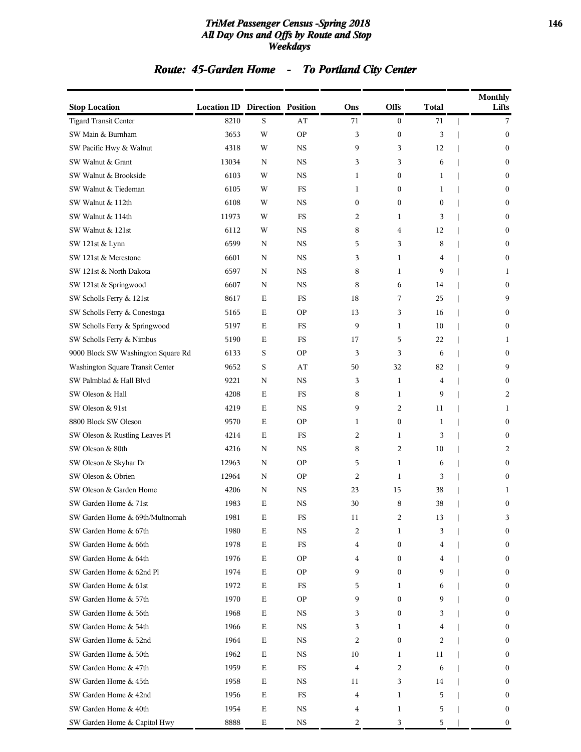#### *TriMet Passenger Census -Spring 2018* **146** *All Day Ons and Offs by Route and Stop Weekdays*

# *Route: 45-Garden Home - To Portland City Center*

| <b>Stop Location</b>               | <b>Location ID Direction Position</b> |             |             | Ons            | <b>Offs</b>      | <b>Total</b>     | <b>Monthly</b><br>Lifts |
|------------------------------------|---------------------------------------|-------------|-------------|----------------|------------------|------------------|-------------------------|
| <b>Tigard Transit Center</b>       | 8210                                  | S           | AT          | 71             | $\boldsymbol{0}$ | 71               | 7                       |
| SW Main & Burnham                  | 3653                                  | W           | <b>OP</b>   | 3              | $\boldsymbol{0}$ | 3                | $\boldsymbol{0}$        |
| SW Pacific Hwy & Walnut            | 4318                                  | W           | <b>NS</b>   | 9              | 3                | 12               | $\boldsymbol{0}$        |
| SW Walnut & Grant                  | 13034                                 | N           | <b>NS</b>   | 3              | 3                | 6                | $\bf{0}$                |
| SW Walnut & Brookside              | 6103                                  | W           | <b>NS</b>   | 1              | $\boldsymbol{0}$ | 1                | $\boldsymbol{0}$        |
| SW Walnut & Tiedeman               | 6105                                  | W           | FS          | 1              | $\mathbf{0}$     | 1                | $\bf{0}$                |
| SW Walnut & 112th                  | 6108                                  | W           | <b>NS</b>   | 0              | $\boldsymbol{0}$ | $\boldsymbol{0}$ | $\boldsymbol{0}$        |
| SW Walnut & 114th                  | 11973                                 | W           | FS          | 2              | $\mathbf{1}$     | 3                | $\boldsymbol{0}$        |
| SW Walnut & 121st                  | 6112                                  | W           | <b>NS</b>   | 8              | 4                | 12               | $\bf{0}$                |
| SW 121st & Lynn                    | 6599                                  | N           | <b>NS</b>   | 5              | 3                | 8                | $\boldsymbol{0}$        |
| SW 121st & Merestone               | 6601                                  | N           | <b>NS</b>   | 3              | 1                | 4                | $\boldsymbol{0}$        |
| SW 121st & North Dakota            | 6597                                  | N           | <b>NS</b>   | 8              | $\mathbf{1}$     | 9                | 1                       |
| SW 121st & Springwood              | 6607                                  | N           | <b>NS</b>   | 8              | 6                | 14               | $\boldsymbol{0}$        |
| SW Scholls Ferry & 121st           | 8617                                  | Е           | FS          | 18             | 7                | 25               | 9                       |
| SW Scholls Ferry & Conestoga       | 5165                                  | Е           | <b>OP</b>   | 13             | 3                | 16               | $\boldsymbol{0}$        |
| SW Scholls Ferry & Springwood      | 5197                                  | E           | FS          | 9              | 1                | 10               | $\boldsymbol{0}$        |
| SW Scholls Ferry & Nimbus          | 5190                                  | $\mathbf E$ | <b>FS</b>   | 17             | 5                | 22               | 1                       |
| 9000 Block SW Washington Square Rd | 6133                                  | S           | <b>OP</b>   | 3              | 3                | 6                | $\boldsymbol{0}$        |
| Washington Square Transit Center   | 9652                                  | S           | AT          | 50             | 32               | 82               | 9                       |
| SW Palmblad & Hall Blvd            | 9221                                  | N           | <b>NS</b>   | 3              | $\mathbf{1}$     | 4                | $\boldsymbol{0}$        |
| SW Oleson & Hall                   | 4208                                  | Ε           | FS          | 8              | 1                | 9                | 2                       |
| SW Oleson & 91st                   | 4219                                  | $\mathbf E$ | <b>NS</b>   | 9              | $\overline{c}$   | 11               | 1                       |
| 8800 Block SW Oleson               | 9570                                  | Е           | <b>OP</b>   | 1              | $\boldsymbol{0}$ | $\mathbf{1}$     | $\boldsymbol{0}$        |
| SW Oleson & Rustling Leaves Pl     | 4214                                  | Е           | FS          | 2              | 1                | 3                | $\bf{0}$                |
| SW Oleson & 80th                   | 4216                                  | N           | <b>NS</b>   | 8              | $\overline{2}$   | 10               | 2                       |
| SW Oleson & Skyhar Dr              | 12963                                 | N           | <b>OP</b>   | 5              | 1                | 6                | $\boldsymbol{0}$        |
| SW Oleson & Obrien                 | 12964                                 | N           | <b>OP</b>   | $\overline{c}$ | $\mathbf{1}$     | 3                | $\boldsymbol{0}$        |
| SW Oleson & Garden Home            | 4206                                  | N           | <b>NS</b>   | 23             | 15               | 38               | 1                       |
| SW Garden Home & 71st              | 1983                                  | Ε           | <b>NS</b>   | 30             | 8                | 38               | $\boldsymbol{0}$        |
| SW Garden Home & 69th/Multnomah    | 1981                                  | Ε           | ${\rm FS}$  | 11             | 2                | 13               | 3                       |
| SW Garden Home & 67th              | 1980                                  | Е           | NS          | 2              | 1                | 3                | $\boldsymbol{0}$        |
| SW Garden Home & 66th              | 1978                                  | Е           | <b>FS</b>   | 4              | $\boldsymbol{0}$ | 4                | $\boldsymbol{0}$        |
| SW Garden Home & 64th              | 1976                                  | Е           | <b>OP</b>   | 4              | $\boldsymbol{0}$ | 4                | $\boldsymbol{0}$        |
| SW Garden Home & 62nd Pl           | 1974                                  | Е           | <b>OP</b>   | 9              | $\boldsymbol{0}$ | 9                | $\bf{0}$                |
| SW Garden Home & 61st              | 1972                                  | Е           | FS          | 5              | 1                | 6                | $\boldsymbol{0}$        |
| SW Garden Home & 57th              | 1970                                  | Е           | <b>OP</b>   | 9              | $\boldsymbol{0}$ | 9                | $\boldsymbol{0}$        |
| SW Garden Home & 56th              | 1968                                  | Е           | NS          | 3              | $\boldsymbol{0}$ | 3                | $\boldsymbol{0}$        |
| SW Garden Home & 54th              | 1966                                  | Е           | NS          | 3              | 1                | 4                | $\boldsymbol{0}$        |
| SW Garden Home & 52nd              | 1964                                  | Е           | NS          | 2              | $\boldsymbol{0}$ | 2                | $\bf{0}$                |
| SW Garden Home & 50th              | 1962                                  | Е           | <b>NS</b>   | 10             | 1                | 11               | $\boldsymbol{0}$        |
| SW Garden Home & 47th              | 1959                                  | Е           | FS          | 4              | 2                | 6                | $\boldsymbol{0}$        |
| SW Garden Home & 45th              | 1958                                  | Е           | NS          | 11             | 3                | 14               | $\boldsymbol{0}$        |
| SW Garden Home & 42nd              | 1956                                  | Е           | FS          | 4              | 1                | 5                | $\boldsymbol{0}$        |
| SW Garden Home & 40th              | 1954                                  | Е           | NS          | 4              | 1                | 5                | $\bf{0}$                |
| SW Garden Home & Capitol Hwy       | 8888                                  | $\mathbf E$ | $_{\rm NS}$ | 2              | 3                | 5                | $\bf{0}$                |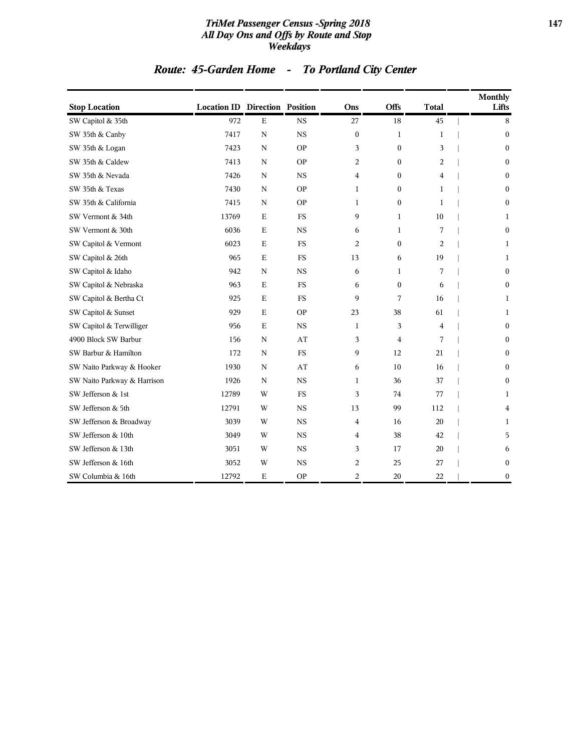#### *TriMet Passenger Census -Spring 2018* **147** *All Day Ons and Offs by Route and Stop Weekdays*

# *Route: 45-Garden Home - To Portland City Center*

| <b>Stop Location</b>        | <b>Location ID Direction Position</b> |             |             | Ons              | Offs             | <b>Total</b>   | <b>Monthly</b><br>Lifts |
|-----------------------------|---------------------------------------|-------------|-------------|------------------|------------------|----------------|-------------------------|
| SW Capitol & 35th           | 972                                   | $\mathbf E$ | <b>NS</b>   | 27               | 18               | 45             | 8                       |
| SW 35th & Canby             | 7417                                  | $\mathbf N$ | <b>NS</b>   | $\boldsymbol{0}$ | 1                | 1              | $\mathbf{0}$            |
| SW 35th & Logan             | 7423                                  | $\mathbf N$ | <b>OP</b>   | 3                | $\mathbf{0}$     | 3              | $\mathbf{0}$            |
| SW 35th & Caldew            | 7413                                  | N           | <b>OP</b>   | 2                | $\mathbf{0}$     | 2              | $\boldsymbol{0}$        |
| SW 35th & Nevada            | 7426                                  | $\mathbf N$ | <b>NS</b>   | 4                | $\mathbf{0}$     | $\overline{4}$ | $\mathbf{0}$            |
| SW 35th & Texas             | 7430                                  | $\mathbf N$ | <b>OP</b>   | 1                | $\boldsymbol{0}$ | 1              | $\boldsymbol{0}$        |
| SW 35th & California        | 7415                                  | $\mathbf N$ | <b>OP</b>   | 1                | $\mathbf{0}$     | $\mathbf{1}$   | $\boldsymbol{0}$        |
| SW Vermont & 34th           | 13769                                 | $\mathbf E$ | <b>FS</b>   | 9                | $\mathbf{1}$     | 10             | 1                       |
| SW Vermont & 30th           | 6036                                  | $\mathbf E$ | <b>NS</b>   | 6                | $\mathbf{1}$     | 7              | $\bf{0}$                |
| SW Capitol & Vermont        | 6023                                  | $\mathbf E$ | <b>FS</b>   | 2                | $\mathbf{0}$     | 2              | 1                       |
| SW Capitol & 26th           | 965                                   | $\mathbf E$ | <b>FS</b>   | 13               | 6                | 19             | 1                       |
| SW Capitol & Idaho          | 942                                   | N           | <b>NS</b>   | 6                | 1                | 7              | $\bf{0}$                |
| SW Capitol & Nebraska       | 963                                   | $\mathbf E$ | <b>FS</b>   | 6                | $\mathbf{0}$     | 6              | $\boldsymbol{0}$        |
| SW Capitol & Bertha Ct      | 925                                   | $\mathbf E$ | <b>FS</b>   | 9                | 7                | 16             | 1                       |
| SW Capitol & Sunset         | 929                                   | $\mathbf E$ | <b>OP</b>   | 23               | 38               | 61             | 1                       |
| SW Capitol & Terwilliger    | 956                                   | $\mathbf E$ | <b>NS</b>   | $\mathbf{1}$     | 3                | 4              | $\boldsymbol{0}$        |
| 4900 Block SW Barbur        | 156                                   | $\mathbf N$ | AT          | 3                | $\overline{4}$   | 7              | $\boldsymbol{0}$        |
| SW Barbur & Hamilton        | 172                                   | $\mathbf N$ | $_{\rm FS}$ | 9                | 12               | 21             | $\boldsymbol{0}$        |
| SW Naito Parkway & Hooker   | 1930                                  | N           | AT          | 6                | 10               | 16             | $\mathbf{0}$            |
| SW Naito Parkway & Harrison | 1926                                  | N           | <b>NS</b>   | 1                | 36               | 37             | $\mathbf{0}$            |
| SW Jefferson & 1st          | 12789                                 | W           | <b>FS</b>   | 3                | 74               | 77             | 1                       |
| SW Jefferson & 5th          | 12791                                 | W           | <b>NS</b>   | 13               | 99               | 112            | 4                       |
| SW Jefferson & Broadway     | 3039                                  | W           | <b>NS</b>   | 4                | 16               | 20             | 1                       |
| SW Jefferson & 10th         | 3049                                  | W           | <b>NS</b>   | 4                | 38               | 42             | 5                       |
| SW Jefferson & 13th         | 3051                                  | W           | <b>NS</b>   | 3                | 17               | 20             | 6                       |
| SW Jefferson & 16th         | 3052                                  | W           | <b>NS</b>   | 2                | 25               | 27             | $\boldsymbol{0}$        |
| SW Columbia & 16th          | 12792                                 | Ε           | <b>OP</b>   | 2                | 20               | 22             | $\boldsymbol{0}$        |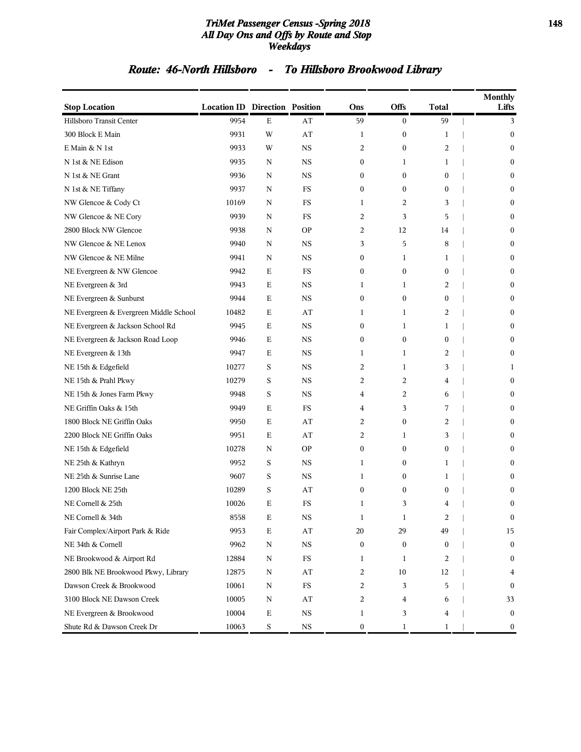#### *TriMet Passenger Census -Spring 2018* **148** *All Day Ons and Offs by Route and Stop Weekdays*

# *Route: 46-North Hillsboro - To Hillsboro Brookwood Library*

| <b>Stop Location</b>                   | <b>Location ID Direction Position</b> |             |             | Ons              | <b>Offs</b>      | <b>Total</b> | <b>Monthly</b><br>Lifts |
|----------------------------------------|---------------------------------------|-------------|-------------|------------------|------------------|--------------|-------------------------|
| Hillsboro Transit Center               | 9954                                  | $\mathbf E$ | AT          | 59               | $\boldsymbol{0}$ | 59           | 3                       |
| 300 Block E Main                       | 9931                                  | W           | AT          | 1                | 0                | 1            | $\mathbf{0}$            |
| E Main & N 1st                         | 9933                                  | W           | NS          | 2                | 0                | 2            | $\bf{0}$                |
| N 1st & NE Edison                      | 9935                                  | N           | $_{\rm NS}$ | $\boldsymbol{0}$ | 1                | 1            | $\mathbf{0}$            |
| N 1st & NE Grant                       | 9936                                  | N           | <b>NS</b>   | $\boldsymbol{0}$ | $\boldsymbol{0}$ | 0            | $\mathbf{0}$            |
| N 1st & NE Tiffany                     | 9937                                  | N           | FS          | $\boldsymbol{0}$ | $\boldsymbol{0}$ | 0            | $\mathbf{0}$            |
| NW Glencoe & Cody Ct                   | 10169                                 | N           | FS          | 1                | 2                | 3            | $\mathbf{0}$            |
| NW Glencoe & NE Cory                   | 9939                                  | N           | FS          | 2                | 3                | 5            | $\bf{0}$                |
| 2800 Block NW Glencoe                  | 9938                                  | N           | <b>OP</b>   | 2                | 12               | 14           | $\mathbf{0}$            |
| NW Glencoe & NE Lenox                  | 9940                                  | N           | NS          | 3                | 5                | 8            | $\mathbf{0}$            |
| NW Glencoe & NE Milne                  | 9941                                  | N           | $_{\rm NS}$ | $\boldsymbol{0}$ | 1                | 1            | $\mathbf{0}$            |
| NE Evergreen & NW Glencoe              | 9942                                  | E           | FS          | $\mathbf{0}$     | 0                | $\mathbf{0}$ | $\mathbf{0}$            |
| NE Evergreen & 3rd                     | 9943                                  | Е           | NS          | 1                | 1                | 2            | $\bf{0}$                |
| NE Evergreen & Sunburst                | 9944                                  | Е           | NS          | $\boldsymbol{0}$ | $\boldsymbol{0}$ | 0            | $\mathbf{0}$            |
| NE Evergreen & Evergreen Middle School | 10482                                 | Е           | AT          | 1                | 1                | 2            | $\mathbf{0}$            |
| NE Evergreen & Jackson School Rd       | 9945                                  | $\mathbf E$ | $_{\rm NS}$ | $\boldsymbol{0}$ | 1                | 1            | $\boldsymbol{0}$        |
| NE Evergreen & Jackson Road Loop       | 9946                                  | E           | <b>NS</b>   | $\boldsymbol{0}$ | $\boldsymbol{0}$ | 0            | $\mathbf{0}$            |
| NE Evergreen & 13th                    | 9947                                  | Е           | NS          | 1                | 1                | 2            | $\bf{0}$                |
| NE 15th & Edgefield                    | 10277                                 | S           | <b>NS</b>   | 2                | 1                | 3            | 1                       |
| NE 15th & Prahl Pkwy                   | 10279                                 | S           | NS          | 2                | 2                | 4            | $\boldsymbol{0}$        |
| NE 15th & Jones Farm Pkwy              | 9948                                  | S           | $_{\rm NS}$ | $\overline{4}$   | 2                | 6            | $\boldsymbol{0}$        |
| NE Griffin Oaks & 15th                 | 9949                                  | Е           | FS          | 4                | 3                | 7            | $\mathbf{0}$            |
| 1800 Block NE Griffin Oaks             | 9950                                  | Е           | AT          | 2                | $\boldsymbol{0}$ | 2            | $\bf{0}$                |
| 2200 Block NE Griffin Oaks             | 9951                                  | Е           | AT          | 2                | 1                | 3            | $\mathbf{0}$            |
| NE 15th & Edgefield                    | 10278                                 | N           | <b>OP</b>   | $\boldsymbol{0}$ | 0                | 0            | $\bf{0}$                |
| NE 25th & Kathryn                      | 9952                                  | S           | $_{\rm NS}$ | 1                | 0                | 1            | $\mathbf{0}$            |
| NE 25th & Sunrise Lane                 | 9607                                  | S           | <b>NS</b>   | 1                | 0                | 1            | $\theta$                |
| 1200 Block NE 25th                     | 10289                                 | S           | AT          | $\boldsymbol{0}$ | 0                | 0            | $\bf{0}$                |
| NE Cornell & 25th                      | 10026                                 | Е           | <b>FS</b>   | 1                | 3                | 4            | $\boldsymbol{0}$        |
| NE Cornell & 34th                      | 8558                                  | Ε           | NS          | 1                | 1                | 2            | $\bf{0}$                |
| Fair Complex/Airport Park & Ride       | 9953                                  | $\mathbf E$ | AT          | 20               | 29               | 49           | 15                      |
| NE 34th & Cornell                      | 9962                                  | N           | $_{\rm NS}$ | $\boldsymbol{0}$ | 0                | 0            | $\bf{0}$                |
| NE Brookwood & Airport Rd              | 12884                                 | N           | <b>FS</b>   | 1                | 1                | 2            | $\bf{0}$                |
| 2800 Blk NE Brookwood Pkwy, Library    | 12875                                 | N           | AT          | 2                | $10\,$           | 12           | 4                       |
| Dawson Creek & Brookwood               | 10061                                 | N           | $_{\rm FS}$ | 2                | 3                | 5            | $\mathbf{0}$            |
| 3100 Block NE Dawson Creek             | 10005                                 | N           | AT          | 2                | 4                | 6            | 33                      |
| NE Evergreen & Brookwood               | 10004                                 | Ε           | $_{\rm NS}$ | 1                | 3                | 4            | $\mathbf{0}$            |
| Shute Rd & Dawson Creek Dr             | 10063                                 | S           | $_{\rm NS}$ | 0                | 1                | 1            | $\boldsymbol{0}$        |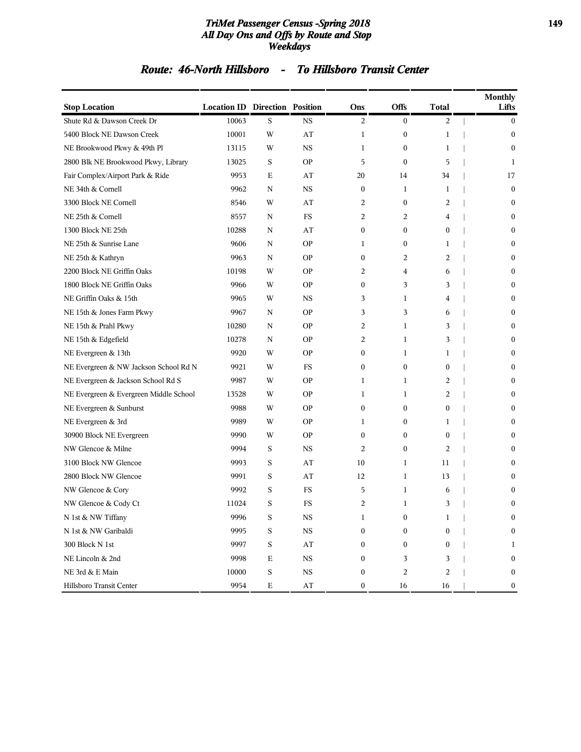#### *TriMet Passenger Census -Spring 2018* **149** *All Day Ons and Offs by Route and Stop Weekdays*

### *Route: 46-North Hillsboro - To Hillsboro Transit Center*

| <b>Stop Location</b>                   | <b>Location ID Direction Position</b> |             |                        | Ons              | Offs                    | <b>Total</b>     | <b>Monthly</b><br>Lifts |
|----------------------------------------|---------------------------------------|-------------|------------------------|------------------|-------------------------|------------------|-------------------------|
| Shute Rd & Dawson Creek Dr             | 10063                                 | S           | <b>NS</b>              | 2                | $\bf{0}$                | 2                | $\boldsymbol{0}$        |
| 5400 Block NE Dawson Creek             | 10001                                 | W           | AT                     | 1                | $\boldsymbol{0}$        | $\mathbf 1$      | $\boldsymbol{0}$        |
| NE Brookwood Pkwy & 49th Pl            | 13115                                 | W           | <b>NS</b>              | 1                | $\boldsymbol{0}$        | 1                | $\boldsymbol{0}$        |
| 2800 Blk NE Brookwood Pkwy, Library    | 13025                                 | S           | <b>OP</b>              | 5                | $\boldsymbol{0}$        | 5                | 1                       |
| Fair Complex/Airport Park & Ride       | 9953                                  | Ε           | AT                     | 20               | 14                      | 34               | 17                      |
| NE 34th & Cornell                      | 9962                                  | N           | <b>NS</b>              | $\boldsymbol{0}$ | 1                       | 1                | $\boldsymbol{0}$        |
| 3300 Block NE Cornell                  | 8546                                  | W           | AT                     | 2                | $\boldsymbol{0}$        | 2                | $\mathbf{0}$            |
| NE 25th & Cornell                      | 8557                                  | N           | FS                     | 2                | $\overline{2}$          | 4                | $\boldsymbol{0}$        |
| 1300 Block NE 25th                     | 10288                                 | N           | AT                     | $\mathbf{0}$     | $\boldsymbol{0}$        | $\mathbf{0}$     | $\mathbf{0}$            |
| NE 25th & Sunrise Lane                 | 9606                                  | N           | <b>OP</b>              | 1                | $\boldsymbol{0}$        | 1                | $\mathbf{0}$            |
| NE 25th & Kathryn                      | 9963                                  | N           | <b>OP</b>              | $\boldsymbol{0}$ | 2                       | 2                | 0                       |
| 2200 Block NE Griffin Oaks             | 10198                                 | W           | <b>OP</b>              | 2                | 4                       | 6                | $\mathbf{0}$            |
| 1800 Block NE Griffin Oaks             | 9966                                  | W           | <b>OP</b>              | $\boldsymbol{0}$ | 3                       | 3                | $\boldsymbol{0}$        |
| NE Griffin Oaks & 15th                 | 9965                                  | W           | <b>NS</b>              | 3                | $\mathbf{1}$            | 4                | $\mathbf{0}$            |
| NE 15th & Jones Farm Pkwy              | 9967                                  | N           | <b>OP</b>              | 3                | 3                       | 6                | $\mathbf{0}$            |
| NE 15th & Prahl Pkwy                   | 10280                                 | N           | <b>OP</b>              | 2                | 1                       | 3                | 0                       |
| NE 15th & Edgefield                    | 10278                                 | N           | <b>OP</b>              | 2                | 1                       | 3                | $\boldsymbol{0}$        |
| NE Evergreen & 13th                    | 9920                                  | W           | <b>OP</b>              | $\boldsymbol{0}$ | 1                       | 1                | $\boldsymbol{0}$        |
| NE Evergreen & NW Jackson School Rd N  | 9921                                  | W           | FS                     | $\boldsymbol{0}$ | $\boldsymbol{0}$        | $\mathbf{0}$     | $\mathbf{0}$            |
| NE Evergreen & Jackson School Rd S     | 9987                                  | W           | <b>OP</b>              | 1                | 1                       | 2                | $\mathbf{0}$            |
| NE Evergreen & Evergreen Middle School | 13528                                 | W           | <b>OP</b>              | 1                | 1                       | 2                | $\boldsymbol{0}$        |
| NE Evergreen & Sunburst                | 9988                                  | W           | <b>OP</b>              | $\boldsymbol{0}$ | $\boldsymbol{0}$        | $\boldsymbol{0}$ | $\boldsymbol{0}$        |
| NE Evergreen & 3rd                     | 9989                                  | W           | <b>OP</b>              | 1                | $\boldsymbol{0}$        | 1                | $\boldsymbol{0}$        |
| 30900 Block NE Evergreen               | 9990                                  | W           | <b>OP</b>              | $\mathbf{0}$     | $\boldsymbol{0}$        | $\mathbf{0}$     | $\mathbf{0}$            |
| NW Glencoe & Milne                     | 9994                                  | S           | <b>NS</b>              | 2                | $\mathbf{0}$            | 2                | $\mathbf{0}$            |
| 3100 Block NW Glencoe                  | 9993                                  | S           | AT                     | 10               | 1                       | 11               | 0                       |
| 2800 Block NW Glencoe                  | 9991                                  | S           | AT                     | 12               | 1                       | 13               | $\mathbf{0}$            |
| NW Glencoe & Cory                      | 9992                                  | S           | FS                     | 5                | 1                       | 6                | 0                       |
| NW Glencoe & Cody Ct                   | 11024                                 | S           | FS                     | 2                | $\mathbf{1}$            | 3                | $\mathbf{0}$            |
| N 1st & NW Tiffany                     | 9996                                  | S           | NS                     | 1                | 0                       | 1                | 0                       |
| N 1st & NW Garibaldi                   | 9995                                  | S           | $_{\rm NS}$            | $\boldsymbol{0}$ | $\boldsymbol{0}$        | $\boldsymbol{0}$ | $\boldsymbol{0}$        |
| 300 Block N 1st                        | 9997                                  | S           | $\mathbf{A}\mathbf{T}$ | 0                | $\boldsymbol{0}$        | 0                | 1                       |
| NE Lincoln & 2nd                       | 9998                                  | Ε           | <b>NS</b>              | $\mathbf{0}$     | 3                       | 3                | $\boldsymbol{0}$        |
| NE 3rd & E Main                        | 10000                                 | S           | $_{\rm NS}$            | $\boldsymbol{0}$ | $\overline{\mathbf{c}}$ | 2                | $\boldsymbol{0}$        |
| Hillsboro Transit Center               | 9954                                  | $\mathbf E$ | AT                     | $\boldsymbol{0}$ | 16                      | 16               | $\boldsymbol{0}$        |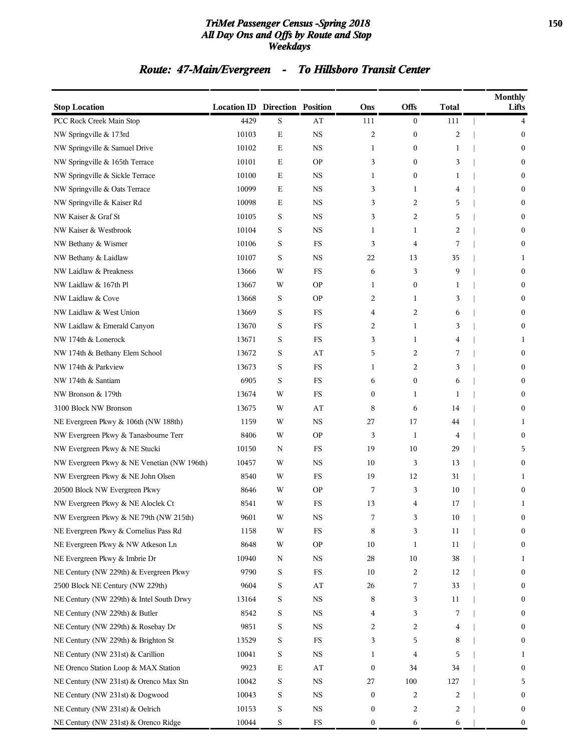#### *TriMet Passenger Census -Spring 2018* **150** *All Day Ons and Offs by Route and Stop Weekdays*

# *Route: 47-Main/Evergreen - To Hillsboro Transit Center*

| <b>Stop Location</b>                       | <b>Location ID Direction Position</b> |             |             | Ons              | Offs             | Total          | <b>Monthly</b><br>Lifts |
|--------------------------------------------|---------------------------------------|-------------|-------------|------------------|------------------|----------------|-------------------------|
| PCC Rock Creek Main Stop                   | 4429                                  | S           | AT          | 111              | $\boldsymbol{0}$ | 111            | 4                       |
| NW Springville & 173rd                     | 10103                                 | E           | <b>NS</b>   | 2                | $\boldsymbol{0}$ | $\overline{2}$ | $\mathbf{0}$            |
| NW Springville & Samuel Drive              | 10102                                 | Ε           | <b>NS</b>   | 1                | $\bf{0}$         | 1              | $\mathbf{0}$            |
| NW Springville & 165th Terrace             | 10101                                 | Ε           | <b>OP</b>   | 3                | $\overline{0}$   | 3              | $\mathbf{0}$            |
| NW Springville & Sickle Terrace            | 10100                                 | Ε           | <b>NS</b>   | 1                | $\mathbf{0}$     | 1              | $\mathbf{0}$            |
| NW Springville & Oats Terrace              | 10099                                 | Ε           | <b>NS</b>   | 3                | 1                | 4              | 0                       |
| NW Springville & Kaiser Rd                 | 10098                                 | Ε           | <b>NS</b>   | 3                | $\overline{2}$   | 5              | $\mathbf{0}$            |
| NW Kaiser & Graf St                        | 10105                                 | S           | <b>NS</b>   | 3                | 2                | 5              | $\mathbf{0}$            |
| NW Kaiser & Westbrook                      | 10104                                 | S           | <b>NS</b>   | 1                | 1                | $\overline{2}$ | $\mathbf{0}$            |
| NW Bethany & Wismer                        | 10106                                 | S           | FS          | 3                | 4                | 7              | $\mathbf{0}$            |
| NW Bethany & Laidlaw                       | 10107                                 | S           | <b>NS</b>   | 22               | 13               | 35             | 1                       |
| NW Laidlaw & Preakness                     | 13666                                 | W           | FS          | 6                | 3                | 9              | $\mathbf{0}$            |
| NW Laidlaw & 167th Pl                      | 13667                                 | W           | <b>OP</b>   | 1                | $\bf{0}$         | 1              | $\mathbf{0}$            |
| NW Laidlaw & Cove                          | 13668                                 | S           | <b>OP</b>   | 2                | 1                | 3              | $\mathbf{0}$            |
| NW Laidlaw & West Union                    | 13669                                 | S           | FS          | 4                | 2                | 6              | $\mathbf{0}$            |
| NW Laidlaw & Emerald Canyon                | 13670                                 | S           | FS          | 2                | 1                | 3              | 0                       |
| NW 174th & Lonerock                        | 13671                                 | S           | FS          | 3                | 1                | 4              | 1                       |
| NW 174th & Bethany Elem School             | 13672                                 | S           | AT          | 5                | 2                | 7              | $\mathbf{0}$            |
| NW 174th & Parkview                        | 13673                                 | S           | FS          | 1                | 2                | 3              | $\mathbf{0}$            |
| NW 174th & Santiam                         | 6905                                  | S           | FS          | 6                | $\mathbf{0}$     | 6              | $\mathbf{0}$            |
| NW Bronson & 179th                         | 13674                                 | W           | FS          | $\boldsymbol{0}$ | 1                | 1              | 0                       |
| 3100 Block NW Bronson                      | 13675                                 | W           | AT          | 8                | 6                | 14             | 0                       |
| NE Evergreen Pkwy & 106th (NW 188th)       | 1159                                  | W           | <b>NS</b>   | 27               | 17               | 44             | 1                       |
| NW Evergreen Pkwy & Tanasbourne Terr       | 8406                                  | W           | <b>OP</b>   | 3                | $\mathbf{1}$     | 4              | $\mathbf{0}$            |
| NW Evergreen Pkwy & NE Stucki              | 10150                                 | N           | FS          | 19               | 10               | 29             | 5                       |
| NW Evergreen Pkwy & NE Venetian (NW 196th) | 10457                                 | W           | <b>NS</b>   | 10               | 3                | 13             | 0                       |
| NW Evergreen Pkwy & NE John Olsen          | 8540                                  | W           | FS          | 19               | 12               | 31             | 1                       |
| 20500 Block NW Evergreen Pkwy              | 8646                                  | W           | <b>OP</b>   | 7                | 3                | 10             | 0                       |
| NW Evergreen Pkwy & NE Aloclek Ct          | 8541                                  | W           | <b>FS</b>   | 13               | 4                | 17             | 1                       |
| NW Evergreen Pkwy & NE 79th (NW 215th)     | 9601                                  | W           | NS          | 7                | 3                | 10             | $\mathbf{0}$            |
| NE Evergreen Pkwy & Cornelius Pass Rd      | 1158                                  | W           | $_{\rm FS}$ | 8                | 3                | 11             | 0                       |
| NE Evergreen Pkwy & NW Atkeson Ln          | 8648                                  | W           | <b>OP</b>   | 10               | $\mathbf{1}$     | 11             | 0                       |
| NE Evergreen Pkwy & Imbrie Dr              | 10940                                 | N           | $_{\rm NS}$ | 28               | 10               | 38             | 1                       |
| NE Century (NW 229th) & Evergreen Pkwy     | 9790                                  | S           | $_{\rm FS}$ | 10               | 2                | 12             | $\boldsymbol{0}$        |
| 2500 Block NE Century (NW 229th)           | 9604                                  | S           | AT          | 26               | 7                | 33             | $\mathbf{0}$            |
| NE Century (NW 229th) & Intel South Drwy   | 13164                                 | S           | $_{\rm NS}$ | 8                | 3                | 11             | 0                       |
| NE Century (NW 229th) & Butler             | 8542                                  | S           | $_{\rm NS}$ | 4                | 3                | 7              | 0                       |
| NE Century (NW 229th) & Rosebay Dr         | 9851                                  | S           | $_{\rm NS}$ | 2                | 2                | 4              | 0                       |
| NE Century (NW 229th) & Brighton St        | 13529                                 | S           | $_{\rm FS}$ | 3                | 5                | 8              | $\boldsymbol{0}$        |
| NE Century (NW 231st) & Carillion          | 10041                                 | S           | $_{\rm NS}$ | 1                | 4                | 5              | 1                       |
| NE Orenco Station Loop & MAX Station       | 9923                                  | $\mathbf E$ | AT          | $\boldsymbol{0}$ | 34               | 34             | 0                       |
| NE Century (NW 231st) & Orenco Max Stn     | 10042                                 | S           | $_{\rm NS}$ | 27               | 100              | 127            | 5                       |
| NE Century (NW 231st) & Dogwood            | 10043                                 | S           | $_{\rm NS}$ | $\boldsymbol{0}$ | 2                | 2              | $\boldsymbol{0}$        |
| NE Century (NW 231st) & Oelrich            | 10153                                 | S           | $_{\rm NS}$ | $\boldsymbol{0}$ | 2                | 2              | 0                       |
| NE Century (NW 231st) & Orenco Ridge       | 10044                                 | $\mathbf S$ | $_{\rm FS}$ | $\boldsymbol{0}$ | 6                | 6              | 0                       |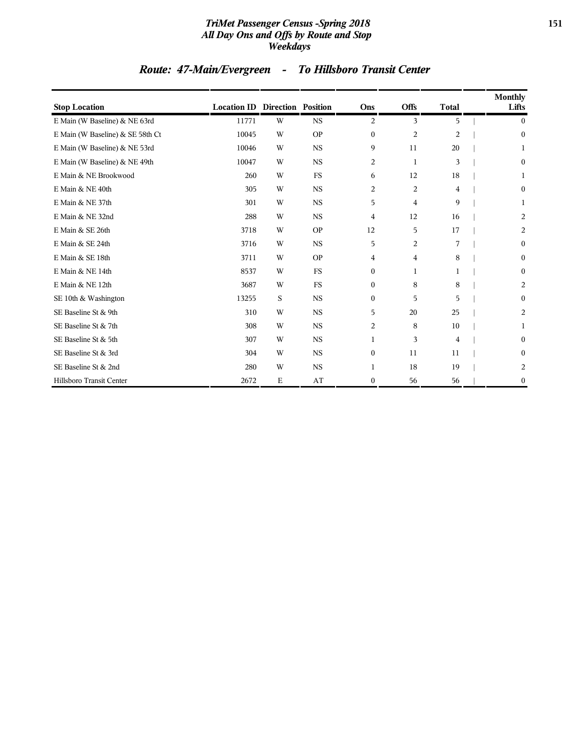#### *TriMet Passenger Census -Spring 2018* **151** *All Day Ons and Offs by Route and Stop Weekdays*

# *Route: 47-Main/Evergreen - To Hillsboro Transit Center*

| <b>Stop Location</b>             | <b>Location ID Direction Position</b> |   |           | Ons              | <b>Offs</b>    | <b>Total</b>   | <b>Monthly</b><br>Lifts |
|----------------------------------|---------------------------------------|---|-----------|------------------|----------------|----------------|-------------------------|
| E Main (W Baseline) & NE 63rd    | 11771                                 | W | <b>NS</b> | 2                | 3              | 5              | $\overline{0}$          |
| E Main (W Baseline) & SE 58th Ct | 10045                                 | W | <b>OP</b> | $\boldsymbol{0}$ | $\overline{c}$ | $\overline{2}$ | $\boldsymbol{0}$        |
| E Main (W Baseline) & NE 53rd    | 10046                                 | W | <b>NS</b> | 9                | 11             | 20             |                         |
| E Main (W Baseline) & NE 49th    | 10047                                 | W | <b>NS</b> | $\overline{c}$   | 1              | 3              | $\mathbf{0}$            |
| E Main & NE Brookwood            | 260                                   | W | <b>FS</b> | 6                | 12             | 18             | 1                       |
| E Main & NE 40th                 | 305                                   | W | <b>NS</b> | 2                | $\overline{a}$ | 4              | $\mathbf{0}$            |
| E Main & NE 37th                 | 301                                   | W | <b>NS</b> | 5                | 4              | 9              | 1                       |
| E Main & NE 32nd                 | 288                                   | W | <b>NS</b> | 4                | 12             | 16             | 2                       |
| E Main & SE 26th                 | 3718                                  | W | <b>OP</b> | 12               | 5              | 17             | 2                       |
| E Main & SE 24th                 | 3716                                  | W | <b>NS</b> | 5                | $\overline{2}$ | 7              | $\overline{0}$          |
| E Main & SE 18th                 | 3711                                  | W | <b>OP</b> | 4                | 4              | 8              | $\mathbf{0}$            |
| E Main & NE 14th                 | 8537                                  | W | <b>FS</b> | $\boldsymbol{0}$ | $\mathbf{1}$   | 1              | 0                       |
| E Main & NE 12th                 | 3687                                  | W | <b>FS</b> | $\mathbf{0}$     | 8              | 8              | 2                       |
| SE 10th & Washington             | 13255                                 | S | <b>NS</b> | $\boldsymbol{0}$ | 5              | 5              | $\mathbf{0}$            |
| SE Baseline St & 9th             | 310                                   | W | <b>NS</b> | 5                | 20             | 25             | 2                       |
| SE Baseline St & 7th             | 308                                   | W | <b>NS</b> | 2                | 8              | 10             | 1                       |
| SE Baseline St & 5th             | 307                                   | W | <b>NS</b> | 1                | 3              | $\overline{4}$ | $\overline{0}$          |
| SE Baseline St & 3rd             | 304                                   | W | <b>NS</b> | $\boldsymbol{0}$ | 11             | 11             | 0                       |
| SE Baseline St & 2nd             | 280                                   | W | NS        | $\mathbf{1}$     | 18             | 19             | 2                       |
| Hillsboro Transit Center         | 2672                                  | Е | AT        | $\boldsymbol{0}$ | 56             | 56             | 0                       |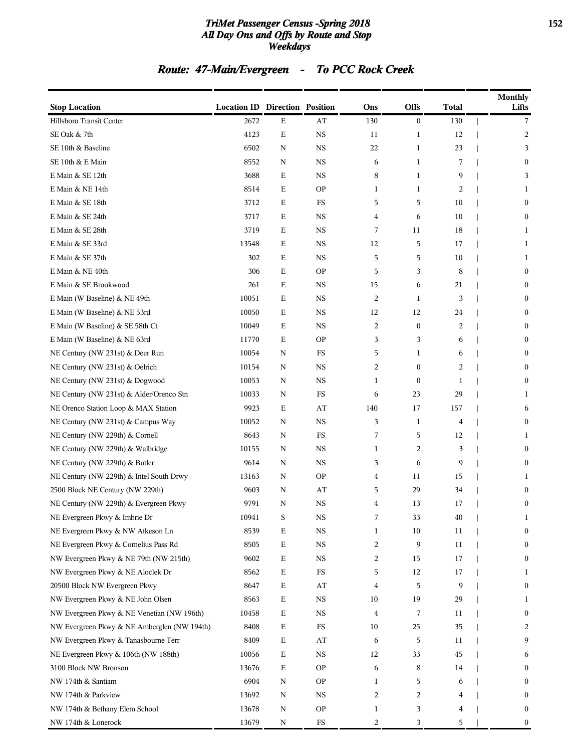#### *TriMet Passenger Census -Spring 2018* **152** *All Day Ons and Offs by Route and Stop Weekdays*

# *Route: 47-Main/Evergreen - To PCC Rock Creek*

| <b>Stop Location</b>                        | <b>Location ID Direction Position</b> |             |             | Ons            | Offs             | <b>Total</b>   | <b>Monthly</b><br>Lifts |
|---------------------------------------------|---------------------------------------|-------------|-------------|----------------|------------------|----------------|-------------------------|
| Hillsboro Transit Center                    | 2672                                  | $\mathbf E$ | AT          | 130            | $\boldsymbol{0}$ | 130            | 7                       |
| SE Oak & 7th                                | 4123                                  | $\mathbf E$ | $_{\rm NS}$ | 11             | 1                | 12             | 2                       |
| SE 10th & Baseline                          | 6502                                  | N           | $_{\rm NS}$ | 22             | $\mathbf{1}$     | 23             | 3                       |
| SE 10th & E Main                            | 8552                                  | N           | $_{\rm NS}$ | 6              | 1                | 7              | $\boldsymbol{0}$        |
| E Main & SE 12th                            | 3688                                  | $\mathbf E$ | $_{\rm NS}$ | 8              | $\mathbf{1}$     | 9              | 3                       |
| E Main & NE 14th                            | 8514                                  | Ε           | <b>OP</b>   | 1              | 1                | $\overline{2}$ | 1                       |
| E Main & SE 18th                            | 3712                                  | $\mathbf E$ | <b>FS</b>   | 5              | 5                | 10             | $\bf{0}$                |
| E Main & SE 24th                            | 3717                                  | $\mathbf E$ | $_{\rm NS}$ | 4              | 6                | 10             | $\boldsymbol{0}$        |
| E Main & SE 28th                            | 3719                                  | $\mathbf E$ | $_{\rm NS}$ | 7              | 11               | 18             | 1                       |
| E Main & SE 33rd                            | 13548                                 | Ε           | $_{\rm NS}$ | 12             | 5                | 17             | 1                       |
| E Main & SE 37th                            | 302                                   | Ε           | $_{\rm NS}$ | 5              | 5                | 10             | 1                       |
| E Main & NE 40th                            | 306                                   | $\mathbf E$ | <b>OP</b>   | 5              | 3                | 8              | $\bf{0}$                |
| E Main & SE Brookwood                       | 261                                   | $\mathbf E$ | $_{\rm NS}$ | 15             | 6                | 21             | $\boldsymbol{0}$        |
| E Main (W Baseline) & NE 49th               | 10051                                 | Ε           | $_{\rm NS}$ | $\overline{2}$ | 1                | 3              | $\boldsymbol{0}$        |
| E Main (W Baseline) & NE 53rd               | 10050                                 | $\mathbf E$ | $_{\rm NS}$ | 12             | 12               | 24             | $\mathbf{0}$            |
| E Main (W Baseline) & SE 58th Ct            | 10049                                 | Ε           | $_{\rm NS}$ | 2              | $\boldsymbol{0}$ | 2              | $\boldsymbol{0}$        |
| E Main (W Baseline) & NE 63rd               | 11770                                 | $\mathbf E$ | <b>OP</b>   | 3              | 3                | 6              | $\mathbf{0}$            |
| NE Century (NW 231st) & Deer Run            | 10054                                 | N           | <b>FS</b>   | 5              | $\mathbf{1}$     | 6              | $\boldsymbol{0}$        |
| NE Century (NW 231st) & Oelrich             | 10154                                 | N           | $_{\rm NS}$ | 2              | $\boldsymbol{0}$ | $\overline{2}$ | $\boldsymbol{0}$        |
| NE Century (NW 231st) & Dogwood             | 10053                                 | N           | $_{\rm NS}$ | 1              | $\boldsymbol{0}$ | 1              | $\mathbf{0}$            |
| NE Century (NW 231st) & Alder/Orenco Stn    | 10033                                 | N           | FS          | 6              | 23               | 29             | 1                       |
| NE Orenco Station Loop & MAX Station        | 9923                                  | $\mathbf E$ | AT          | 140            | 17               | 157            | 6                       |
| NE Century (NW 231st) & Campus Way          | 10052                                 | N           | $_{\rm NS}$ | 3              | $\mathbf{1}$     | $\overline{4}$ | $\boldsymbol{0}$        |
| NE Century (NW 229th) & Cornell             | 8643                                  | N           | FS          | 7              | 5                | 12             | 1                       |
| NE Century (NW 229th) & Walbridge           | 10155                                 | N           | $_{\rm NS}$ | 1              | 2                | 3              | $\mathbf{0}$            |
| NE Century (NW 229th) & Butler              | 9614                                  | N           | $_{\rm NS}$ | 3              | 6                | 9              | $\boldsymbol{0}$        |
| NE Century (NW 229th) & Intel South Drwy    | 13163                                 | $\mathbf N$ | <b>OP</b>   | 4              | 11               | 15             | 1                       |
| 2500 Block NE Century (NW 229th)            | 9603                                  | N           | AT          | 5              | 29               | 34             | $\boldsymbol{0}$        |
| NE Century (NW 229th) & Evergreen Pkwy      | 9791                                  | N           | $_{\rm NS}$ | 4              | 13               | 17             | $\boldsymbol{0}$        |
| NE Evergreen Pkwy & Imbrie Dr               | 10941                                 | S           | $_{\rm NS}$ | 7              | 33               | $40\,$         | 1                       |
| NE Evergreen Pkwy & NW Atkeson Ln           | 8539                                  | $\mathbf E$ | $_{\rm NS}$ | 1              | 10               | 11             | $\boldsymbol{0}$        |
| NE Evergreen Pkwy & Cornelius Pass Rd       | 8505                                  | ${\bf E}$   | $_{\rm NS}$ | 2              | 9                | 11             | $\bf{0}$                |
| NW Evergreen Pkwy & NE 79th (NW 215th)      | 9602                                  | $\mathbf E$ | $_{\rm NS}$ | 2              | 15               | 17             | $\bf{0}$                |
| NW Evergreen Pkwy & NE Aloclek Dr           | 8562                                  | $\mathbf E$ | FS          | 5              | 12               | 17             | 1                       |
| 20500 Block NW Evergreen Pkwy               | 8647                                  | $\mathbf E$ | AT          | 4              | 5                | 9              | $\mathbf{0}$            |
| NW Evergreen Pkwy & NE John Olsen           | 8563                                  | $\mathbf E$ | $_{\rm NS}$ | 10             | 19               | 29             | 1                       |
| NW Evergreen Pkwy & NE Venetian (NW 196th)  | 10458                                 | $\mathbf E$ | $_{\rm NS}$ | 4              | 7                | 11             | $\bf{0}$                |
| NW Evergreen Pkwy & NE Amberglen (NW 194th) | 8408                                  | $\mathbf E$ | FS          | 10             | 25               | 35             | 2                       |
| NW Evergreen Pkwy & Tanasbourne Terr        | 8409                                  | $\mathbf E$ | AT          | 6              | 5                | 11             | 9                       |
| NE Evergreen Pkwy & 106th (NW 188th)        | 10056                                 | $\mathbf E$ | $_{\rm NS}$ | 12             | 33               | 45             | 6                       |
| 3100 Block NW Bronson                       | 13676                                 | $\mathbf E$ | <b>OP</b>   | 6              | 8                | 14             | $\bf{0}$                |
| NW 174th & Santiam                          | 6904                                  | $\mathbf N$ | <b>OP</b>   | 1              | 5                | 6              | $\bf{0}$                |
| NW 174th & Parkview                         | 13692                                 | N           | <b>NS</b>   | 2              | $\overline{c}$   | 4              | $\bf{0}$                |
| NW 174th & Bethany Elem School              | 13678                                 | N           | <b>OP</b>   | 1              | 3                | 4              | $\bf{0}$                |
| NW 174th & Lonerock                         | 13679                                 | N           | $_{\rm FS}$ | 2              | 3                | 5              | $\mathbf{0}$            |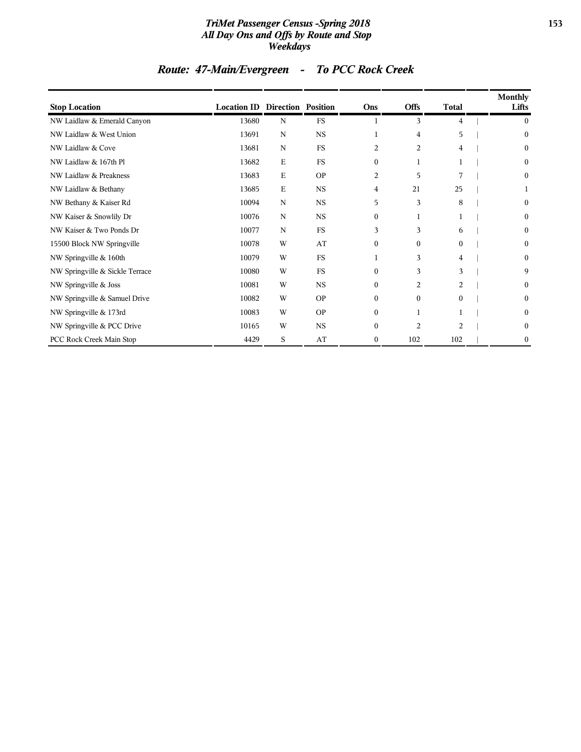#### *TriMet Passenger Census -Spring 2018* **153** *All Day Ons and Offs by Route and Stop Weekdays*

# *Route: 47-Main/Evergreen - To PCC Rock Creek*

| <b>Stop Location</b>            | <b>Location ID Direction Position</b> |             |             | Ons          | <b>Offs</b>    | <b>Total</b> | <b>Monthly</b><br>Lifts |
|---------------------------------|---------------------------------------|-------------|-------------|--------------|----------------|--------------|-------------------------|
| NW Laidlaw & Emerald Canyon     | 13680                                 | N           | <b>FS</b>   |              | 3              | 4            | $\bf{0}$                |
| NW Laidlaw & West Union         | 13691                                 | N           | <b>NS</b>   | 1            | $\overline{4}$ | 5            | $\boldsymbol{0}$        |
| NW Laidlaw & Cove               | 13681                                 | $\mathbf N$ | <b>FS</b>   | 2            | 2              | 4            | $\mathbf{0}$            |
| NW Laidlaw & 167th Pl           | 13682                                 | E           | <b>FS</b>   | $\mathbf{0}$ | 1              |              | $\boldsymbol{0}$        |
| NW Laidlaw & Preakness          | 13683                                 | Ε           | <b>OP</b>   | 2            | 5              | 7            | $\boldsymbol{0}$        |
| NW Laidlaw & Bethany            | 13685                                 | $\mathbf E$ | $_{\rm NS}$ | 4            | 21             | 25           |                         |
| NW Bethany & Kaiser Rd          | 10094                                 | $\mathbf N$ | <b>NS</b>   | 5            | 3              | 8            | $\mathbf{0}$            |
| NW Kaiser & Snowlily Dr         | 10076                                 | N           | <b>NS</b>   | $\mathbf{0}$ | 1              |              | $\mathbf{0}$            |
| NW Kaiser & Two Ponds Dr        | 10077                                 | N           | FS          | 3            | 3              | 6            | $\mathbf{0}$            |
| 15500 Block NW Springville      | 10078                                 | W           | AT          | $\mathbf{0}$ | $\overline{0}$ | $\mathbf{0}$ | $\mathbf{0}$            |
| NW Springville & 160th          | 10079                                 | W           | <b>FS</b>   | 1            | 3              | 4            | $\boldsymbol{0}$        |
| NW Springville & Sickle Terrace | 10080                                 | W           | <b>FS</b>   | $\mathbf{0}$ | 3              | 3            | 9                       |
| NW Springville & Joss           | 10081                                 | W           | <b>NS</b>   | $\mathbf{0}$ | 2              | 2            | $\boldsymbol{0}$        |
| NW Springville & Samuel Drive   | 10082                                 | W           | <b>OP</b>   | $\mathbf{0}$ | $\overline{0}$ | $\mathbf{0}$ | $\boldsymbol{0}$        |
| NW Springville & 173rd          | 10083                                 | W           | <b>OP</b>   | $\mathbf{0}$ | 1              |              | $\boldsymbol{0}$        |
| NW Springville & PCC Drive      | 10165                                 | W           | <b>NS</b>   | $\mathbf{0}$ | $\overline{2}$ | 2            | $\boldsymbol{0}$        |
| PCC Rock Creek Main Stop        | 4429                                  | S           | AT          | $\mathbf{0}$ | 102            | 102          | $\boldsymbol{0}$        |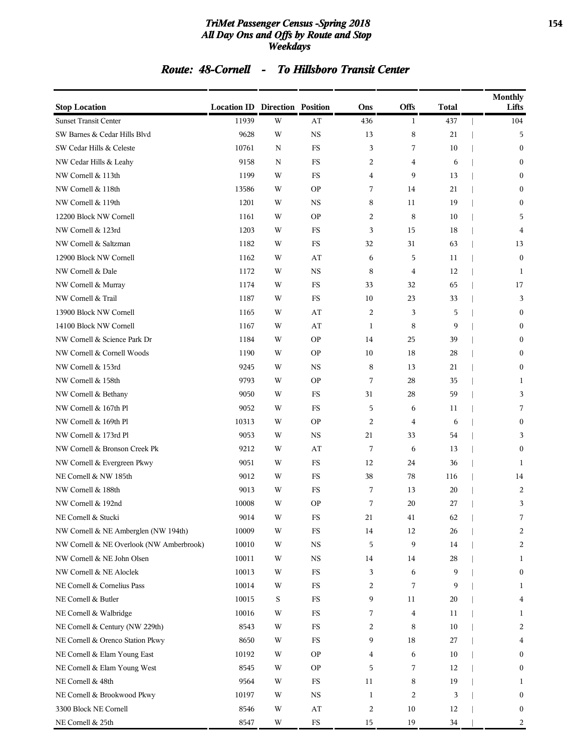#### *TriMet Passenger Census -Spring 2018* **154** *All Day Ons and Offs by Route and Stop Weekdays*

### *Route: 48-Cornell - To Hillsboro Transit Center*

| <b>Stop Location</b>                     | <b>Location ID Direction Position</b> |             |                        | Ons                     | Offs           | <b>Total</b> | Monthly<br>Lifts |
|------------------------------------------|---------------------------------------|-------------|------------------------|-------------------------|----------------|--------------|------------------|
| <b>Sunset Transit Center</b>             | 11939                                 | W           | AT                     | 436                     | $\mathbf{1}$   | 437          | 104              |
| SW Barnes & Cedar Hills Blvd             | 9628                                  | W           | <b>NS</b>              | 13                      | 8              | 21           | 5                |
| SW Cedar Hills & Celeste                 | 10761                                 | $\mathbf N$ | <b>FS</b>              | 3                       | 7              | 10           | $\mathbf{0}$     |
| NW Cedar Hills & Leahy                   | 9158                                  | N           | FS                     | 2                       | 4              | 6            | $\boldsymbol{0}$ |
| NW Cornell & 113th                       | 1199                                  | W           | FS                     | 4                       | 9              | 13           | $\mathbf{0}$     |
| NW Cornell & 118th                       | 13586                                 | W           | <b>OP</b>              | 7                       | 14             | 21           | $\boldsymbol{0}$ |
| NW Cornell & 119th                       | 1201                                  | W           | <b>NS</b>              | 8                       | 11             | 19           | $\mathbf{0}$     |
| 12200 Block NW Cornell                   | 1161                                  | W           | <b>OP</b>              | 2                       | 8              | 10           | 5                |
| NW Cornell & 123rd                       | 1203                                  | W           | FS                     | 3                       | 15             | 18           | 4                |
| NW Cornell & Saltzman                    | 1182                                  | W           | FS                     | 32                      | 31             | 63           | 13               |
| 12900 Block NW Cornell                   | 1162                                  | W           | AT                     | 6                       | 5              | 11           | $\boldsymbol{0}$ |
| NW Cornell & Dale                        | 1172                                  | W           | <b>NS</b>              | 8                       | $\overline{4}$ | 12           | 1                |
| NW Cornell & Murray                      | 1174                                  | W           | <b>FS</b>              | 33                      | 32             | 65           | 17               |
| NW Cornell & Trail                       | 1187                                  | W           | FS                     | 10                      | 23             | 33           | 3                |
| 13900 Block NW Cornell                   | 1165                                  | W           | AT                     | 2                       | 3              | 5            | $\mathbf{0}$     |
| 14100 Block NW Cornell                   | 1167                                  | W           | AT                     | $\mathbf{1}$            | 8              | 9            | $\boldsymbol{0}$ |
| NW Cornell & Science Park Dr             | 1184                                  | W           | <b>OP</b>              | 14                      | 25             | 39           | $\mathbf{0}$     |
| NW Cornell & Cornell Woods               | 1190                                  | W           | <b>OP</b>              | 10                      | 18             | 28           | $\mathbf{0}$     |
| NW Cornell & 153rd                       | 9245                                  | W           | <b>NS</b>              | 8                       | 13             | 21           | $\mathbf{0}$     |
| NW Cornell & 158th                       | 9793                                  | W           | <b>OP</b>              | 7                       | 28             | 35           | 1                |
| NW Cornell & Bethany                     | 9050                                  | W           | FS                     | 31                      | 28             | 59           | 3                |
| NW Cornell & 167th Pl                    | 9052                                  | W           | FS                     | 5                       | 6              | 11           | 7                |
| NW Cornell & 169th Pl                    | 10313                                 | W           | <b>OP</b>              | 2                       | 4              | 6            | $\mathbf{0}$     |
| NW Cornell & 173rd Pl                    | 9053                                  | W           | <b>NS</b>              | 21                      | 33             | 54           | 3                |
| NW Cornell & Bronson Creek Pk            | 9212                                  | W           | AT                     | 7                       | 6              | 13           | $\mathbf{0}$     |
| NW Cornell & Evergreen Pkwy              | 9051                                  | W           | FS                     | 12                      | 24             | 36           | 1                |
| NE Cornell & NW 185th                    | 9012                                  | W           | FS                     | 38                      | 78             | 116          | 14               |
| NW Cornell & 188th                       | 9013                                  | W           | FS                     | 7                       | 13             | 20           | 2                |
| NW Cornell & 192nd                       | 10008                                 | W           | <b>OP</b>              | 7                       | 20             | 27           | 3                |
| NE Cornell & Stucki                      | 9014                                  | W           | FS                     | 21                      | 41             | 62           |                  |
| NW Cornell & NE Amberglen (NW 194th)     | 10009                                 | W           | FS                     | 14                      | 12             | 26           | 2                |
| NW Cornell & NE Overlook (NW Amberbrook) | 10010                                 | W           | $_{\rm NS}$            | 5                       | 9              | 14           | 2                |
| NW Cornell & NE John Olsen               | 10011                                 | W           | NS                     | 14                      | 14             | 28           | 1                |
| NW Cornell & NE Aloclek                  | 10013                                 | W           | $_{\rm FS}$            | 3                       | 6              | 9            | $\boldsymbol{0}$ |
| NE Cornell & Cornelius Pass              | 10014                                 | W           | FS                     | 2                       | 7              | 9            | 1                |
| NE Cornell & Butler                      | 10015                                 | S           | FS                     | 9                       | 11             | 20           | 4                |
| NE Cornell & Walbridge                   | 10016                                 | W           | FS                     | 7                       | 4              | 11           | 1                |
| NE Cornell & Century (NW 229th)          | 8543                                  | W           | FS                     | 2                       | 8              | 10           | 2                |
| NE Cornell & Orenco Station Pkwy         | 8650                                  | W           | $_{\rm FS}$            | 9                       | 18             | 27           | 4                |
| NE Cornell & Elam Young East             | 10192                                 | W           | <b>OP</b>              | 4                       | 6              | 10           | $\boldsymbol{0}$ |
| NE Cornell & Elam Young West             | 8545                                  | W           | <b>OP</b>              | 5                       | 7              | 12           | 0                |
| NE Cornell & 48th                        | 9564                                  | W           | FS                     | 11                      | 8              | 19           | 1                |
| NE Cornell & Brookwood Pkwy              | 10197                                 | W           | $_{\rm NS}$            | 1                       | 2              | 3            | $\boldsymbol{0}$ |
| 3300 Block NE Cornell                    | 8546                                  | W           | $\mathbf{A}\mathbf{T}$ | $\overline{\mathbf{c}}$ | 10             | 12           | $\bf{0}$         |
| NE Cornell & 25th                        | 8547                                  | W           | $_{\rm FS}$            | 15                      | 19             | 34           | 2                |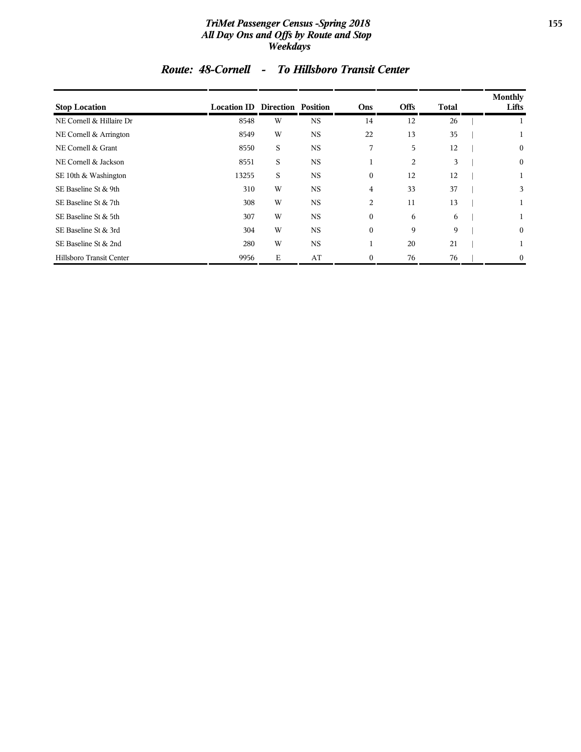#### *TriMet Passenger Census -Spring 2018* **155** *All Day Ons and Offs by Route and Stop Weekdays*

|  |  | Route: 48-Cornell |  | <b>To Hillsboro Transit Center</b> |
|--|--|-------------------|--|------------------------------------|
|--|--|-------------------|--|------------------------------------|

| <b>Stop Location</b>     | <b>Location ID Direction Position</b> |   |             | Ons              | <b>Offs</b> | Total | <b>Monthly</b><br>Lifts |
|--------------------------|---------------------------------------|---|-------------|------------------|-------------|-------|-------------------------|
| NE Cornell & Hillaire Dr | 8548                                  | W | <b>NS</b>   | 14               | 12          | 26    |                         |
| NE Cornell & Arrington   | 8549                                  | W | <b>NS</b>   | 22               | 13          | 35    |                         |
| NE Cornell & Grant       | 8550                                  | S | <b>NS</b>   | 7                | 5           | 12    | $\bf{0}$                |
| NE Cornell & Jackson     | 8551                                  | S | <b>NS</b>   | $\perp$          | 2           | 3     | $\bf{0}$                |
| SE 10th & Washington     | 13255                                 | S | NS.         | $\boldsymbol{0}$ | 12          | 12    |                         |
| SE Baseline St & 9th     | 310                                   | W | $_{\rm NS}$ | 4                | 33          | 37    | 3                       |
| SE Baseline St & 7th     | 308                                   | W | $_{\rm NS}$ | 2                | 11          | 13    |                         |
| SE Baseline St & 5th     | 307                                   | W | <b>NS</b>   | $\boldsymbol{0}$ | 6           | 6     |                         |
| SE Baseline St & 3rd     | 304                                   | W | <b>NS</b>   | $\mathbf{0}$     | 9           | 9     | $\bf{0}$                |
| SE Baseline St & 2nd     | 280                                   | W | <b>NS</b>   | п<br>$\perp$     | 20          | 21    |                         |
| Hillsboro Transit Center | 9956                                  | E | AT          | $\mathbf{0}$     | 76          | 76    | $\mathbf{0}$            |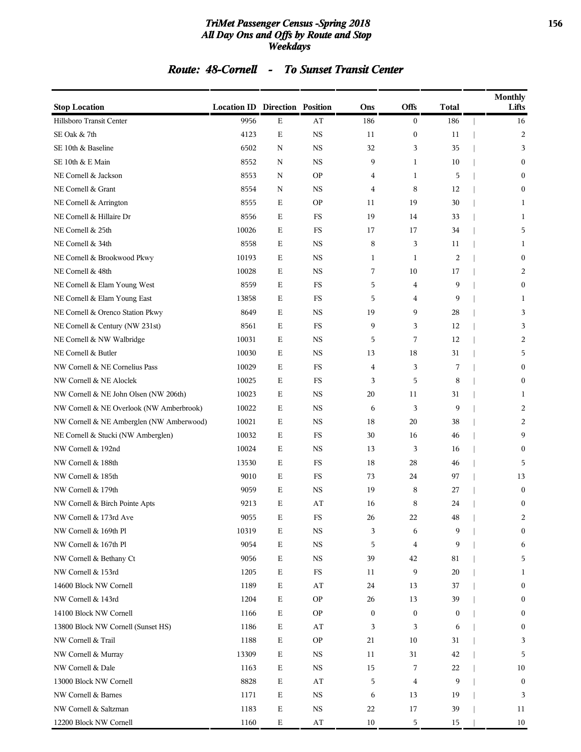#### *TriMet Passenger Census -Spring 2018* **156** *All Day Ons and Offs by Route and Stop Weekdays*

### *Route: 48-Cornell - To Sunset Transit Center*

| <b>Stop Location</b>                     | <b>Location ID Direction Position</b> |             |                         | Ons              | <b>Offs</b>      | Total          | Monthly<br>Lifts |
|------------------------------------------|---------------------------------------|-------------|-------------------------|------------------|------------------|----------------|------------------|
| Hillsboro Transit Center                 | 9956                                  | Ε           | AT                      | 186              | $\boldsymbol{0}$ | 186            | 16               |
| SE Oak & 7th                             | 4123                                  | $\mathbf E$ | $_{\rm NS}$             | 11               | $\boldsymbol{0}$ | 11             | 2                |
| SE 10th & Baseline                       | 6502                                  | $\mathbf N$ | <b>NS</b>               | 32               | 3                | 35             | 3                |
| SE 10th & E Main                         | 8552                                  | N           | <b>NS</b>               | 9                | 1                | 10             | $\mathbf{0}$     |
| NE Cornell & Jackson                     | 8553                                  | N           | <b>OP</b>               | 4                | $\mathbf{1}$     | 5              | $\Omega$         |
| NE Cornell & Grant                       | 8554                                  | N           | <b>NS</b>               | 4                | 8                | 12             | 0                |
| NE Cornell & Arrington                   | 8555                                  | $\mathbf E$ | <b>OP</b>               | 11               | 19               | 30             | 1                |
| NE Cornell & Hillaire Dr                 | 8556                                  | Ε           | FS                      | 19               | 14               | 33             | 1                |
| NE Cornell & 25th                        | 10026                                 | Ε           | FS                      | 17               | 17               | 34             | 5                |
| NE Cornell & 34th                        | 8558                                  | Е           | <b>NS</b>               | 8                | 3                | 11             | 1                |
| NE Cornell & Brookwood Pkwy              | 10193                                 | Ε           | <b>NS</b>               | 1                | 1                | $\overline{2}$ | $\boldsymbol{0}$ |
| NE Cornell & 48th                        | 10028                                 | $\mathbf E$ | <b>NS</b>               | 7                | 10               | 17             | 2                |
| NE Cornell & Elam Young West             | 8559                                  | Ε           | $_{\rm FS}$             | 5                | 4                | 9              | $\mathbf{0}$     |
| NE Cornell & Elam Young East             | 13858                                 | Е           | FS                      | 5                | 4                | 9              | 1                |
| NE Cornell & Orenco Station Pkwy         | 8649                                  | Е           | <b>NS</b>               | 19               | 9                | 28             | 3                |
| NE Cornell & Century (NW 231st)          | 8561                                  | Ε           | FS                      | 9                | 3                | 12             | 3                |
| NE Cornell & NW Walbridge                | 10031                                 | $\mathbf E$ | <b>NS</b>               | 5                | 7                | 12             | 2                |
| NE Cornell & Butler                      | 10030                                 | Ε           | <b>NS</b>               | 13               | 18               | 31             | 5                |
| NW Cornell & NE Cornelius Pass           | 10029                                 | Е           | FS                      | 4                | 3                | 7              | 0                |
| NW Cornell & NE Aloclek                  | 10025                                 | Е           | FS                      | 3                | 5                | 8              | $\mathbf{0}$     |
| NW Cornell & NE John Olsen (NW 206th)    | 10023                                 | Ε           | <b>NS</b>               | 20               | 11               | 31             | 1                |
| NW Cornell & NE Overlook (NW Amberbrook) | 10022                                 | $\mathbf E$ | <b>NS</b>               | 6                | 3                | 9              | 2                |
| NW Cornell & NE Amberglen (NW Amberwood) | 10021                                 | $\mathbf E$ | <b>NS</b>               | 18               | 20               | 38             | 2                |
| NE Cornell & Stucki (NW Amberglen)       | 10032                                 | Е           | FS                      | 30               | 16               | 46             | 9                |
| NW Cornell & 192nd                       | 10024                                 | Е           | <b>NS</b>               | 13               | 3                | 16             | $\Omega$         |
| NW Cornell & 188th                       | 13530                                 | Ε           | FS                      | 18               | 28               | 46             | 5                |
| NW Cornell & 185th                       | 9010                                  | $\mathbf E$ | FS                      | 73               | 24               | 97             | 13               |
| NW Cornell & 179th                       | 9059                                  | $\mathbf E$ | <b>NS</b>               | 19               | 8                | 27             | $\boldsymbol{0}$ |
| NW Cornell & Birch Pointe Apts           | 9213                                  | Ε           | AT                      | 16               | 8                | 24             | $\boldsymbol{0}$ |
| NW Cornell & 173rd Ave                   | 9055                                  | Ε           | $_{\rm FS}$             | 26               | 22               | $\rm 48$       | 2                |
| NW Cornell & 169th Pl                    | 10319                                 | $\mathbf E$ | <b>NS</b>               | 3                | 6                | 9              | $\boldsymbol{0}$ |
| NW Cornell & 167th Pl                    | 9054                                  | $\mathbf E$ | <b>NS</b>               | 5                | $\overline{4}$   | 9              | 6                |
| NW Cornell & Bethany Ct                  | 9056                                  | $\mathbf E$ | <b>NS</b>               | 39               | 42               | 81             | 5                |
| NW Cornell & 153rd                       | 1205                                  | $\mathbf E$ | $_{\rm FS}$             | 11               | 9                | 20             | 1                |
| 14600 Block NW Cornell                   | 1189                                  | $\mathbf E$ | AT                      | 24               | 13               | 37             | $\mathbf{0}$     |
| NW Cornell & 143rd                       | 1204                                  | $\mathbf E$ | <b>OP</b>               | 26               | 13               | 39             | 0                |
| 14100 Block NW Cornell                   | 1166                                  | $\mathbf E$ | <b>OP</b>               | $\boldsymbol{0}$ | $\boldsymbol{0}$ | $\bf{0}$       | 0                |
| 13800 Block NW Cornell (Sunset HS)       | 1186                                  | $\mathbf E$ | $\mathbf{A} \mathbf{T}$ | 3                | 3                | 6              | $\boldsymbol{0}$ |
| NW Cornell & Trail                       | 1188                                  | Ε           | <b>OP</b>               | 21               | 10               | 31             | 3                |
| NW Cornell & Murray                      | 13309                                 | $\mathbf E$ | <b>NS</b>               | 11               | 31               | 42             | 5                |
| NW Cornell & Dale                        | 1163                                  | $\mathbf E$ | <b>NS</b>               | 15               | 7                | 22             | 10               |
| 13000 Block NW Cornell                   | 8828                                  | Ε           | AT                      | 5                | 4                | 9              | $\boldsymbol{0}$ |
| NW Cornell & Barnes                      | 1171                                  | $\mathbf E$ | <b>NS</b>               | 6                | 13               | 19             | 3                |
| NW Cornell & Saltzman                    | 1183                                  | $\mathbf E$ | $_{\rm NS}$             | 22               | 17               | 39             | 11               |
| 12200 Block NW Cornell                   | 1160                                  | $\mathbf E$ | $\mathbf{A} \mathbf{T}$ | 10               | 5                | 15             | 10               |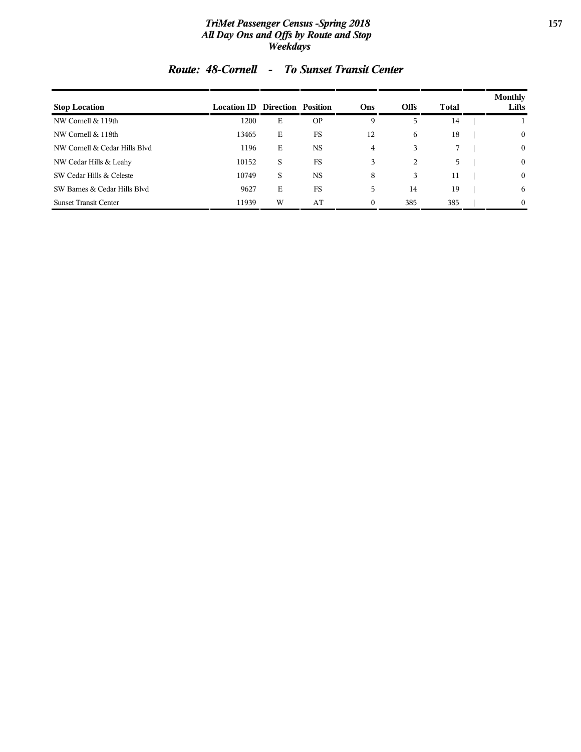#### *TriMet Passenger Census -Spring 2018* **157** *All Day Ons and Offs by Route and Stop Weekdays*

| <b>Stop Location</b>          | <b>Location ID Direction Position</b> |   |           | Ons      | <b>Offs</b> | Total       | <b>Monthly</b><br>Lifts |
|-------------------------------|---------------------------------------|---|-----------|----------|-------------|-------------|-------------------------|
| NW Cornell & 119th            | 1200                                  | Е | <b>OP</b> | 9        | 5           | 14          |                         |
| NW Cornell & 118th            | 13465                                 | Е | FS        | 12       | 6           | 18          | $\mathbf{0}$            |
| NW Cornell & Cedar Hills Blyd | 1196                                  | Е | <b>NS</b> | 4        | 3           | $7^{\circ}$ | $\mathbf{0}$            |
| NW Cedar Hills & Leahy        | 10152                                 | S | FS        | 3        | 2           | 5           | $\mathbf{0}$            |
| SW Cedar Hills & Celeste      | 10749                                 | S | <b>NS</b> | 8        | 3           | 11          | $\mathbf{0}$            |
| SW Barnes & Cedar Hills Blyd  | 9627                                  | Е | <b>FS</b> | 5        | 14          | 19          | 6                       |
| <b>Sunset Transit Center</b>  | 11939                                 | W | AT        | $\Omega$ | 385         | 385         | $\theta$                |

### *Route: 48-Cornell - To Sunset Transit Center*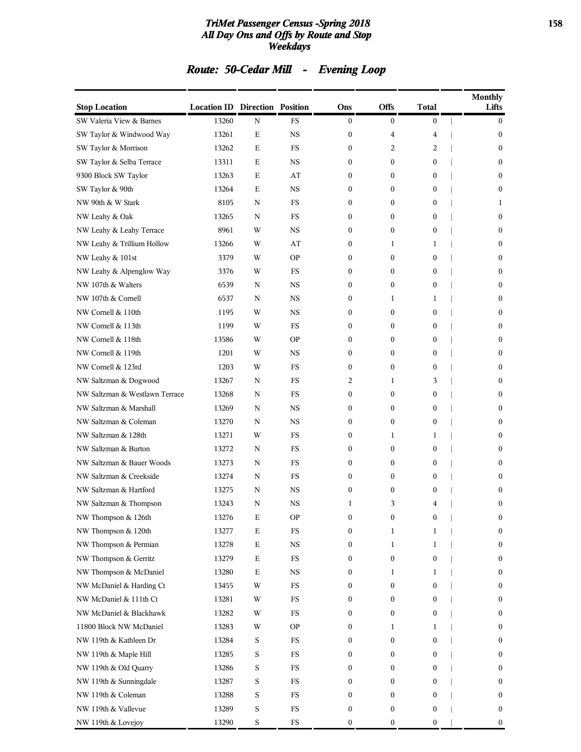#### *TriMet Passenger Census -Spring 2018* **158** *All Day Ons and Offs by Route and Stop Weekdays*

# *Route: 50-Cedar Mill - Evening Loop*

| <b>Stop Location</b>           | <b>Location ID Direction Position</b> |             |               | Ons              | Offs             | Total            | <b>Monthly</b><br>Lifts |
|--------------------------------|---------------------------------------|-------------|---------------|------------------|------------------|------------------|-------------------------|
| SW Valeria View & Barnes       | 13260                                 | N           | <b>FS</b>     | $\mathbf{0}$     | $\overline{0}$   | $\boldsymbol{0}$ | $\mathbf{0}$            |
| SW Taylor & Windwood Way       | 13261                                 | Ε           | <b>NS</b>     | $\mathbf{0}$     | 4                | 4                | $\mathbf{0}$            |
| SW Taylor & Morrison           | 13262                                 | Ε           | <b>FS</b>     | $\mathbf{0}$     | 2                | $\overline{2}$   | $\boldsymbol{0}$        |
| SW Taylor & Selba Terrace      | 13311                                 | Ε           | <b>NS</b>     | $\mathbf{0}$     | $\mathbf{0}$     | $\boldsymbol{0}$ | $\mathbf{0}$            |
| 9300 Block SW Taylor           | 13263                                 | Ε           | AT            | $\mathbf{0}$     | 0                | $\overline{0}$   | $\mathbf{0}$            |
| SW Taylor & 90th               | 13264                                 | Ε           | <b>NS</b>     | $\mathbf{0}$     | $\mathbf{0}$     | $\mathbf{0}$     | $\mathbf{0}$            |
| NW 90th & W Stark              | 8105                                  | N           | FS            | $\mathbf{0}$     | 0                | $\boldsymbol{0}$ | 1                       |
| NW Leahy & Oak                 | 13265                                 | N           | FS            | $\mathbf{0}$     | 0                | $\boldsymbol{0}$ | $\boldsymbol{0}$        |
| NW Leahy & Leahy Terrace       | 8961                                  | W           | <b>NS</b>     | $\mathbf{0}$     | $\mathbf{0}$     | $\boldsymbol{0}$ | $\mathbf{0}$            |
| NW Leahy & Trillium Hollow     | 13266                                 | W           | AT            | $\mathbf{0}$     | 1                | 1                | $\mathbf{0}$            |
| NW Leahy & 101st               | 3379                                  | W           | <b>OP</b>     | $\mathbf{0}$     | $\mathbf{0}$     | $\mathbf{0}$     | $\mathbf{0}$            |
| NW Leahy & Alpenglow Way       | 3376                                  | W           | FS            | $\mathbf{0}$     | 0                | $\boldsymbol{0}$ | $\boldsymbol{0}$        |
| NW 107th & Walters             | 6539                                  | N           | <b>NS</b>     | $\mathbf{0}$     | 0                | $\boldsymbol{0}$ | $\boldsymbol{0}$        |
| NW 107th & Cornell             | 6537                                  | N           | <b>NS</b>     | $\mathbf{0}$     | 1                | 1                | $\mathbf{0}$            |
| NW Cornell & 110th             | 1195                                  | W           | <b>NS</b>     | $\mathbf{0}$     | $\mathbf{0}$     | $\boldsymbol{0}$ | $\mathbf{0}$            |
| NW Cornell & 113th             | 1199                                  | W           | FS            | $\mathbf{0}$     | $\mathbf{0}$     | $\mathbf{0}$     | $\mathbf{0}$            |
| NW Cornell & 118th             | 13586                                 | W           | <b>OP</b>     | $\mathbf{0}$     | 0                | $\boldsymbol{0}$ | $\boldsymbol{0}$        |
| NW Cornell & 119th             | 1201                                  | W           | <b>NS</b>     | $\mathbf{0}$     | 0                | $\boldsymbol{0}$ | $\boldsymbol{0}$        |
| NW Cornell & 123rd             | 1203                                  | W           | <b>FS</b>     | $\mathbf{0}$     | $\mathbf{0}$     | $\mathbf{0}$     | $\mathbf{0}$            |
| NW Saltzman & Dogwood          | 13267                                 | N           | FS            | 2                | 1                | 3                | $\mathbf{0}$            |
| NW Saltzman & Westlawn Terrace | 13268                                 | N           | FS            | $\mathbf{0}$     | $\boldsymbol{0}$ | $\boldsymbol{0}$ | $\mathbf{0}$            |
| NW Saltzman & Marshall         | 13269                                 | N           | <b>NS</b>     | $\mathbf{0}$     | 0                | $\boldsymbol{0}$ | $\boldsymbol{0}$        |
| NW Saltzman & Coleman          | 13270                                 | N           | <b>NS</b>     | $\mathbf{0}$     | 0                | $\boldsymbol{0}$ | $\boldsymbol{0}$        |
| NW Saltzman & 128th            | 13271                                 | W           | FS            | $\mathbf{0}$     | 1                | 1                | $\mathbf{0}$            |
| NW Saltzman & Burton           | 13272                                 | N           | FS            | $\mathbf{0}$     | $\boldsymbol{0}$ | 0                | $\mathbf{0}$            |
| NW Saltzman & Bauer Woods      | 13273                                 | N           | FS            | $\mathbf{0}$     | $\boldsymbol{0}$ | $\boldsymbol{0}$ | $\mathbf{0}$            |
| NW Saltzman & Creekside        | 13274                                 | N           | FS            | $\mathbf{0}$     | 0                | $\boldsymbol{0}$ | $\mathbf{0}$            |
| NW Saltzman & Hartford         | 13275                                 | N           | <b>NS</b>     | $\mathbf{0}$     | 0                | $\boldsymbol{0}$ | $\boldsymbol{0}$        |
| NW Saltzman & Thompson         | 13243                                 | N           | <b>NS</b>     | 1                | 3                | 4                | $\mathbf{0}$            |
| NW Thompson & 126th            | 13276                                 | $\mathbf E$ | $\mathbf{OP}$ | $\boldsymbol{0}$ | $\boldsymbol{0}$ | $\boldsymbol{0}$ | $\boldsymbol{0}$        |
| NW Thompson & 120th            | 13277                                 | $\mathbf E$ | FS            | $\boldsymbol{0}$ | $\mathbf 1$      | 1                | $\boldsymbol{0}$        |
| NW Thompson & Permian          | 13278                                 | $\mathbf E$ | $_{\rm NS}$   | $\boldsymbol{0}$ | 1                | 1                | $\boldsymbol{0}$        |
| NW Thompson & Gerritz          | 13279                                 | $\mathbf E$ | $_{\rm FS}$   | $\boldsymbol{0}$ | 0                | $\boldsymbol{0}$ | $\boldsymbol{0}$        |
| NW Thompson & McDaniel         | 13280                                 | $\mathbf E$ | <b>NS</b>     | $\boldsymbol{0}$ | 1                | 1                | $\boldsymbol{0}$        |
| NW McDaniel & Harding Ct       | 13455                                 | W           | $_{\rm FS}$   | $\boldsymbol{0}$ | 0                | 0                | $\boldsymbol{0}$        |
| NW McDaniel & 111th Ct         | 13281                                 | W           | $_{\rm FS}$   | $\boldsymbol{0}$ | 0                | 0                | $\boldsymbol{0}$        |
| NW McDaniel & Blackhawk        | 13282                                 | W           | $_{\rm FS}$   | $\boldsymbol{0}$ | 0                | 0                | $\boldsymbol{0}$        |
| 11800 Block NW McDaniel        | 13283                                 | W           | <b>OP</b>     | $\boldsymbol{0}$ | 1                | 1                | $\boldsymbol{0}$        |
| NW 119th & Kathleen Dr         | 13284                                 | S           | FS            | $\boldsymbol{0}$ | 0                | 0                | $\boldsymbol{0}$        |
| NW 119th & Maple Hill          | 13285                                 | S           | $_{\rm FS}$   | $\boldsymbol{0}$ | 0                | 0                | $\boldsymbol{0}$        |
| NW 119th & Old Quarry          | 13286                                 | S           | $_{\rm FS}$   | $\boldsymbol{0}$ | 0                | 0                | $\boldsymbol{0}$        |
| NW 119th & Sunningdale         | 13287                                 | S           | FS            | $\boldsymbol{0}$ | 0                | 0                | $\boldsymbol{0}$        |
| NW 119th & Coleman             | 13288                                 | S           | $_{\rm FS}$   | $\boldsymbol{0}$ | 0                | 0                | $\boldsymbol{0}$        |
| NW 119th & Vallevue            | 13289                                 | S           | ${\rm FS}$    | $\boldsymbol{0}$ | 0                | $\boldsymbol{0}$ | $\boldsymbol{0}$        |
| NW 119th & Lovejoy             | 13290                                 | S           | ${\rm FS}$    | $\boldsymbol{0}$ | 0                | $\boldsymbol{0}$ | $\boldsymbol{0}$        |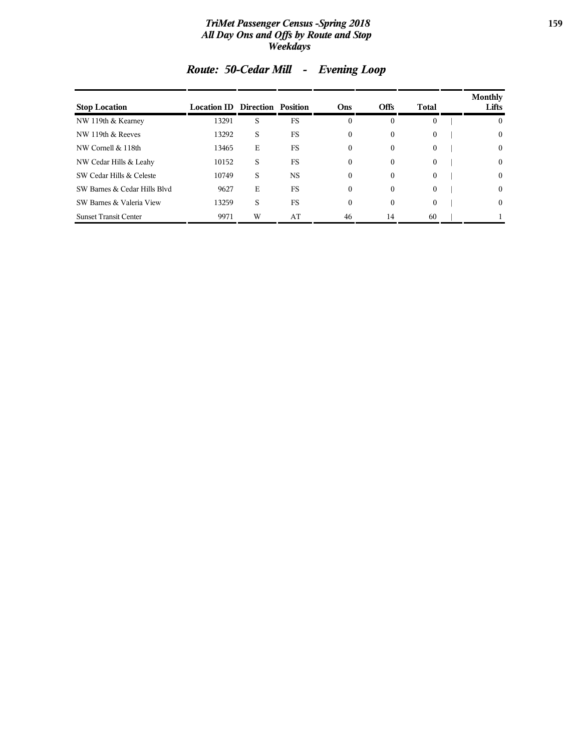#### *TriMet Passenger Census -Spring 2018* **159** *All Day Ons and Offs by Route and Stop Weekdays*

| <b>Stop Location</b>         | <b>Location ID Direction Position</b> |   |           | Ons          | <b>Offs</b>  | Total        | <b>Monthly</b><br>Lifts |
|------------------------------|---------------------------------------|---|-----------|--------------|--------------|--------------|-------------------------|
| NW 119th & Kearney           | 13291                                 | S | FS        | 0            | $\theta$     | $\Omega$     | $\mathbf{0}$            |
| NW 119th & Reeves            | 13292                                 | S | FS        | 0            | 0            | $\mathbf{0}$ | $\mathbf{0}$            |
| NW Cornell & 118th           | 13465                                 | Е | <b>FS</b> | 0            | $\mathbf{0}$ | $\theta$     | $\mathbf{0}$            |
| NW Cedar Hills & Leahy       | 10152                                 | S | FS        | 0            | $\theta$     | $\theta$     | $\mathbf{0}$            |
| SW Cedar Hills & Celeste     | 10749                                 | S | <b>NS</b> | 0            | $\theta$     | $\theta$     | $\mathbf{0}$            |
| SW Barnes & Cedar Hills Blyd | 9627                                  | Е | <b>FS</b> | $\mathbf{0}$ | $\Omega$     | $\theta$     | $\theta$                |
| SW Barnes & Valeria View     | 13259                                 | S | FS        | $\mathbf{0}$ | $\mathbf{0}$ | $\Omega$     | $\mathbf{0}$            |
| <b>Sunset Transit Center</b> | 9971                                  | W | AT        | 46           | 14           | 60           |                         |

# *Route: 50-Cedar Mill - Evening Loop*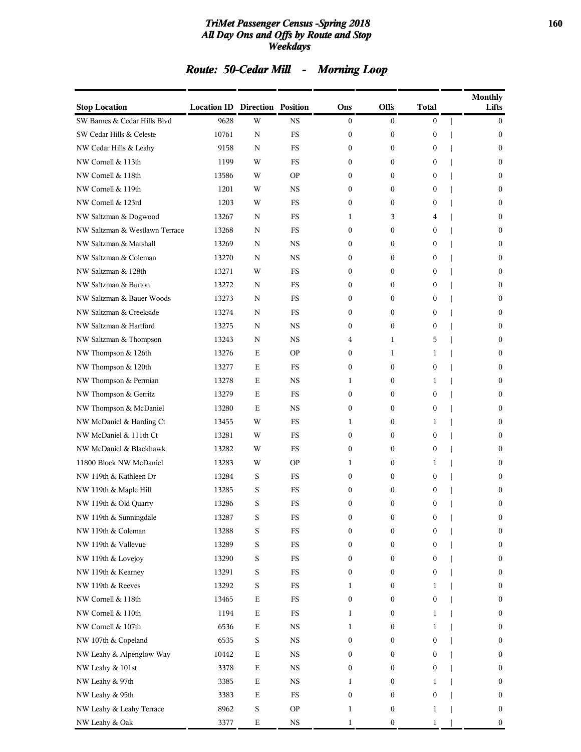#### *TriMet Passenger Census -Spring 2018* **160** *All Day Ons and Offs by Route and Stop Weekdays*

# *Route: 50-Cedar Mill - Morning Loop*

| <b>Stop Location</b>           | <b>Location ID Direction Position</b> |             |             | Ons              | <b>Offs</b>      | Total            | <b>Monthly</b><br>Lifts |
|--------------------------------|---------------------------------------|-------------|-------------|------------------|------------------|------------------|-------------------------|
| SW Barnes & Cedar Hills Blvd   | 9628                                  | W           | <b>NS</b>   | 0                | $\boldsymbol{0}$ | $\boldsymbol{0}$ | $\boldsymbol{0}$        |
| SW Cedar Hills & Celeste       | 10761                                 | N           | FS          | 0                | $\boldsymbol{0}$ | 0                | $\mathbf{0}$            |
| NW Cedar Hills & Leahy         | 9158                                  | N           | FS          | 0                | 0                | 0                | $\boldsymbol{0}$        |
| NW Cornell & 113th             | 1199                                  | W           | FS          | 0                | $\mathbf{0}$     | 0                | $\mathbf{0}$            |
| NW Cornell & 118th             | 13586                                 | W           | <b>OP</b>   | 0                | $\mathbf{0}$     | 0                | $\mathbf{0}$            |
| NW Cornell & 119th             | 1201                                  | W           | NS          | $\mathbf{0}$     | $\boldsymbol{0}$ | 0                | $\boldsymbol{0}$        |
| NW Cornell & 123rd             | 1203                                  | W           | FS          | 0                | $\mathbf{0}$     | 0                | $\mathbf{0}$            |
| NW Saltzman & Dogwood          | 13267                                 | N           | FS          | 1                | 3                | 4                | $\boldsymbol{0}$        |
| NW Saltzman & Westlawn Terrace | 13268                                 | N           | FS          | 0                | $\mathbf{0}$     | 0                | $\mathbf{0}$            |
| NW Saltzman & Marshall         | 13269                                 | N           | <b>NS</b>   | 0                | $\mathbf{0}$     | 0                | $\mathbf{0}$            |
| NW Saltzman & Coleman          | 13270                                 | N           | <b>NS</b>   | 0                | $\boldsymbol{0}$ | 0                | 0                       |
| NW Saltzman & 128th            | 13271                                 | W           | FS          | 0                | $\mathbf{0}$     | 0                | $\mathbf{0}$            |
| NW Saltzman & Burton           | 13272                                 | N           | FS          | 0                | 0                | 0                | $\boldsymbol{0}$        |
| NW Saltzman & Bauer Woods      | 13273                                 | N           | FS          | 0                | 0                | 0                | $\mathbf{0}$            |
| NW Saltzman & Creekside        | 13274                                 | N           | FS          | 0                | $\mathbf{0}$     | 0                | $\mathbf{0}$            |
| NW Saltzman & Hartford         | 13275                                 | N           | <b>NS</b>   | 0                | $\boldsymbol{0}$ | 0                | $\boldsymbol{0}$        |
| NW Saltzman & Thompson         | 13243                                 | N           | NS          | 4                | 1                | 5                | $\mathbf{0}$            |
| NW Thompson & 126th            | 13276                                 | E           | <b>OP</b>   | 0                | 1                | 1                | $\boldsymbol{0}$        |
| NW Thompson & 120th            | 13277                                 | E           | FS          | 0                | 0                | 0                | $\mathbf{0}$            |
| NW Thompson & Permian          | 13278                                 | Ε           | <b>NS</b>   | 1                | $\boldsymbol{0}$ | 1                | $\mathbf{0}$            |
| NW Thompson & Gerritz          | 13279                                 | Ε           | FS          | $\mathbf{0}$     | $\boldsymbol{0}$ | 0                | $\boldsymbol{0}$        |
| NW Thompson & McDaniel         | 13280                                 | E           | <b>NS</b>   | 0                | $\mathbf{0}$     | 0                | $\mathbf{0}$            |
| NW McDaniel & Harding Ct       | 13455                                 | W           | FS          | 1                | 0                | 1                | $\boldsymbol{0}$        |
| NW McDaniel & 111th Ct         | 13281                                 | W           | FS          | 0                | 0                | 0                | $\mathbf{0}$            |
| NW McDaniel & Blackhawk        | 13282                                 | W           | FS          | 0                | $\boldsymbol{0}$ | 0                | $\mathbf{0}$            |
| 11800 Block NW McDaniel        | 13283                                 | W           | <b>OP</b>   | 1                | $\boldsymbol{0}$ | 1                | $\mathbf{0}$            |
| NW 119th & Kathleen Dr         | 13284                                 | S           | FS          | 0                | $\mathbf{0}$     | 0                | $\boldsymbol{0}$        |
| NW 119th & Maple Hill          | 13285                                 | S           | FS          | 0                | 0                | 0                | $\boldsymbol{0}$        |
| NW 119th & Old Quarry          | 13286                                 | S           | FS          | 0                | $\mathbf{0}$     | $\mathbf{0}$     | $\boldsymbol{0}$        |
| NW 119th & Sunningdale         | 13287                                 | S           | FS          | 0                | $\boldsymbol{0}$ | $\boldsymbol{0}$ | $\boldsymbol{0}$        |
| NW 119th & Coleman             | 13288                                 | S           | $_{\rm FS}$ | $\boldsymbol{0}$ | $\boldsymbol{0}$ | 0                | $\boldsymbol{0}$        |
| NW 119th & Vallevue            | 13289                                 | S           | $_{\rm FS}$ | 0                | 0                | 0                | $\boldsymbol{0}$        |
| NW 119th & Lovejoy             | 13290                                 | S           | $_{\rm FS}$ | 0                | 0                | 0                | $\boldsymbol{0}$        |
| NW 119th & Kearney             | 13291                                 | S           | $_{\rm FS}$ | 0                | 0                | 0                | $\boldsymbol{0}$        |
| NW 119th & Reeves              | 13292                                 | S           | FS          | 1                | $\boldsymbol{0}$ | 1                | $\boldsymbol{0}$        |
| NW Cornell & 118th             | 13465                                 | $\mathbf E$ | $_{\rm FS}$ | 0                | $\boldsymbol{0}$ | 0                | $\boldsymbol{0}$        |
| NW Cornell & 110th             | 1194                                  | $\mathbf E$ | $_{\rm FS}$ | 1                | 0                | 1                | $\boldsymbol{0}$        |
| NW Cornell & 107th             | 6536                                  | $\mathbf E$ | $_{\rm NS}$ | 1                | 0                | 1                | $\boldsymbol{0}$        |
| NW 107th & Copeland            | 6535                                  | S           | $_{\rm NS}$ | 0                | $\boldsymbol{0}$ | 0                | $\boldsymbol{0}$        |
| NW Leahy & Alpenglow Way       | 10442                                 | $\mathbf E$ | $_{\rm NS}$ | 0                | $\boldsymbol{0}$ | 0                | $\boldsymbol{0}$        |
| NW Leahy & 101st               | 3378                                  | $\mathbf E$ | $_{\rm NS}$ | 0                | $\boldsymbol{0}$ | 0                | $\boldsymbol{0}$        |
| NW Leahy & 97th                | 3385                                  | Е           | $_{\rm NS}$ | 1                | 0                | 1                | $\boldsymbol{0}$        |
| NW Leahy & 95th                | 3383                                  | $\mathbf E$ | $_{\rm FS}$ | $\boldsymbol{0}$ | 0                | 0                | $\boldsymbol{0}$        |
| NW Leahy & Leahy Terrace       | 8962                                  | S           | <b>OP</b>   | $\mathbf 1$      | $\boldsymbol{0}$ | 1                | $\boldsymbol{0}$        |
| NW Leahy & Oak                 | 3377                                  | $\mathbf E$ | $_{\rm NS}$ | $\mathbf{1}$     | $\boldsymbol{0}$ | 1                | $\boldsymbol{0}$        |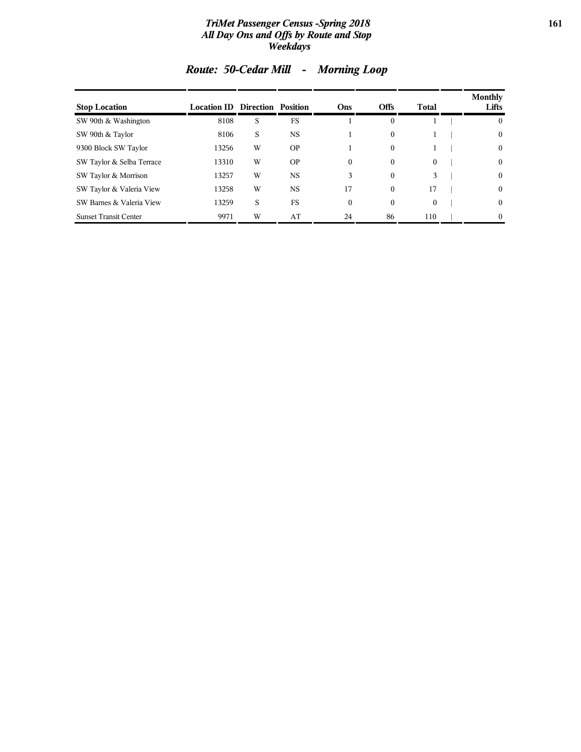#### *TriMet Passenger Census -Spring 2018* **161** *All Day Ons and Offs by Route and Stop Weekdays*

| <b>Stop Location</b>         | <b>Location ID Direction Position</b> |   |           | <b>Ons</b>       | <b>Offs</b>  | Total        | <b>Monthly</b><br>Lifts |
|------------------------------|---------------------------------------|---|-----------|------------------|--------------|--------------|-------------------------|
| SW 90th & Washington         | 8108                                  | S | <b>FS</b> |                  | $\mathbf{0}$ |              | $\mathbf{0}$            |
| SW 90th & Taylor             | 8106                                  | S | <b>NS</b> |                  | $\mathbf{0}$ | 1            | $\mathbf{0}$            |
| 9300 Block SW Taylor         | 13256                                 | W | <b>OP</b> |                  | $\mathbf{0}$ | 1            | $\mathbf{0}$            |
| SW Taylor & Selba Terrace    | 13310                                 | W | <b>OP</b> | $\mathbf{0}$     | $\mathbf{0}$ | $\theta$     | $\mathbf{0}$            |
| SW Taylor & Morrison         | 13257                                 | W | <b>NS</b> | 3                | $\mathbf{0}$ | 3            | $\mathbf{0}$            |
| SW Taylor & Valeria View     | 13258                                 | W | <b>NS</b> | 17               | $\mathbf{0}$ | 17           | $\mathbf{0}$            |
| SW Barnes & Valeria View     | 13259                                 | S | FS        | $\boldsymbol{0}$ | $\mathbf{0}$ | $\mathbf{0}$ | $\mathbf{0}$            |
| <b>Sunset Transit Center</b> | 9971                                  | W | AT        | 24               | 86           | 110          | $\Omega$                |

# *Route: 50-Cedar Mill - Morning Loop*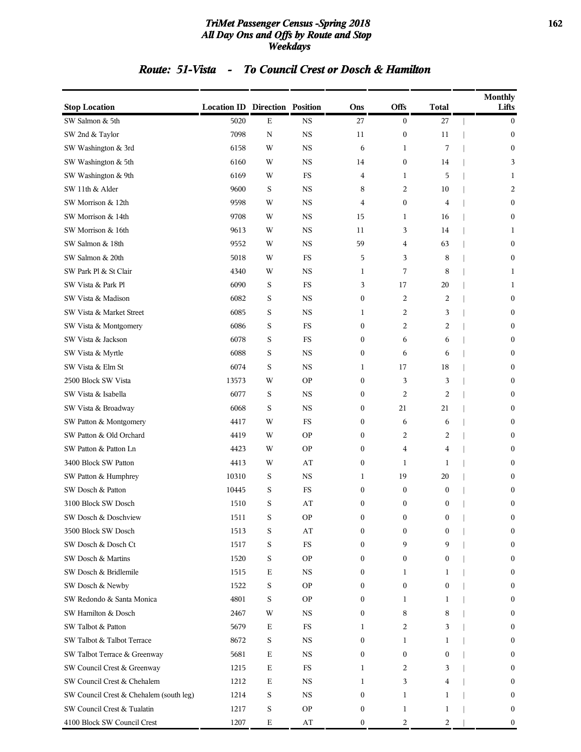#### *TriMet Passenger Census -Spring 2018* **162** *All Day Ons and Offs by Route and Stop Weekdays*

### *Route: 51-Vista - To Council Crest or Dosch & Hamilton*

| <b>Stop Location</b>                    | <b>Location ID Direction Position</b> |             |             | Ons              | Offs             | <b>Total</b>     | <b>Monthly</b><br>Lifts |
|-----------------------------------------|---------------------------------------|-------------|-------------|------------------|------------------|------------------|-------------------------|
| SW Salmon & 5th                         | 5020                                  | Е           | <b>NS</b>   | 27               | $\bf{0}$         | 27               | $\bf{0}$                |
| SW 2nd & Taylor                         | 7098                                  | $\mathbf N$ | <b>NS</b>   | 11               | $\boldsymbol{0}$ | 11               | $\boldsymbol{0}$        |
| SW Washington & 3rd                     | 6158                                  | W           | $_{\rm NS}$ | 6                | $\mathbf{1}$     | 7                | $\boldsymbol{0}$        |
| SW Washington & 5th                     | 6160                                  | W           | <b>NS</b>   | 14               | $\boldsymbol{0}$ | 14               | 3                       |
| SW Washington & 9th                     | 6169                                  | W           | FS          | 4                | $\mathbf{1}$     | 5                | 1                       |
| SW 11th & Alder                         | 9600                                  | S           | <b>NS</b>   | 8                | 2                | 10               | 2                       |
| SW Morrison & 12th                      | 9598                                  | W           | <b>NS</b>   | 4                | $\boldsymbol{0}$ | 4                | $\boldsymbol{0}$        |
| SW Morrison & 14th                      | 9708                                  | W           | $_{\rm NS}$ | 15               | $\mathbf{1}$     | 16               | $\mathbf{0}$            |
| SW Morrison & 16th                      | 9613                                  | W           | <b>NS</b>   | 11               | 3                | 14               | 1                       |
| SW Salmon & 18th                        | 9552                                  | W           | $_{\rm NS}$ | 59               | 4                | 63               | $\mathbf{0}$            |
| SW Salmon & 20th                        | 5018                                  |             | FS          | 5                | 3                | 8                | $\boldsymbol{0}$        |
| SW Park Pl & St Clair                   | 4340                                  | W<br>W      | <b>NS</b>   | 1                | 7                | 8                | 1                       |
|                                         | 6090                                  |             | FS          |                  |                  |                  |                         |
| SW Vista & Park Pl                      |                                       | S           |             | 3                | 17               | 20               | 1                       |
| SW Vista & Madison                      | 6082                                  | S           | <b>NS</b>   | $\boldsymbol{0}$ | 2                | 2                | $\boldsymbol{0}$        |
| SW Vista & Market Street                | 6085                                  | S           | <b>NS</b>   | 1                | 2                | 3                | $\mathbf{0}$            |
| SW Vista & Montgomery                   | 6086                                  | S           | FS          | $\boldsymbol{0}$ | 2                | 2                | $\boldsymbol{0}$        |
| SW Vista & Jackson                      | 6078                                  | S           | FS          | $\boldsymbol{0}$ | 6                | 6                | $\boldsymbol{0}$        |
| SW Vista & Myrtle                       | 6088                                  | S           | $_{\rm NS}$ | $\boldsymbol{0}$ | 6                | 6                | $\boldsymbol{0}$        |
| SW Vista & Elm St                       | 6074                                  | S           | <b>NS</b>   | 1                | 17               | 18               | $\boldsymbol{0}$        |
| 2500 Block SW Vista                     | 13573                                 | W           | <b>OP</b>   | $\boldsymbol{0}$ | 3                | 3                | $\mathbf{0}$            |
| SW Vista & Isabella                     | 6077                                  | S           | <b>NS</b>   | $\boldsymbol{0}$ | 2                | 2                | $\boldsymbol{0}$        |
| SW Vista & Broadway                     | 6068                                  | S           | <b>NS</b>   | $\boldsymbol{0}$ | 21               | 21               | $\boldsymbol{0}$        |
| SW Patton & Montgomery                  | 4417                                  | W           | FS          | $\boldsymbol{0}$ | 6                | 6                | $\boldsymbol{0}$        |
| SW Patton & Old Orchard                 | 4419                                  | W           | <b>OP</b>   | $\boldsymbol{0}$ | 2                | 2                | $\boldsymbol{0}$        |
| SW Patton & Patton Ln                   | 4423                                  | W           | <b>OP</b>   | $\boldsymbol{0}$ | 4                | 4                | $\mathbf{0}$            |
| 3400 Block SW Patton                    | 4413                                  | W           | AT          | $\boldsymbol{0}$ | 1                | 1                | $\boldsymbol{0}$        |
| SW Patton & Humphrey                    | 10310                                 | S           | $_{\rm NS}$ | 1                | 19               | 20               | $\boldsymbol{0}$        |
| SW Dosch & Patton                       | 10445                                 | S           | FS          | $\boldsymbol{0}$ | $\boldsymbol{0}$ | $\boldsymbol{0}$ | $\bf{0}$                |
| 3100 Block SW Dosch                     | 1510                                  | S           | AT          | $\mathbf{0}$     | $\boldsymbol{0}$ | $\boldsymbol{0}$ | $\boldsymbol{0}$        |
| SW Dosch & Doschview                    | 1511                                  | S           | <b>OP</b>   | 0                | 0                | 0                | $\mathbf{0}$            |
| 3500 Block SW Dosch                     | 1513                                  | S           | AT          | 0                | $\boldsymbol{0}$ | $\bf{0}$         | $\mathbf{0}$            |
| SW Dosch & Dosch Ct                     | 1517                                  | S           | $_{\rm FS}$ | $\boldsymbol{0}$ | 9                | 9                | $\mathbf{0}$            |
| SW Dosch & Martins                      | 1520                                  | S           | <b>OP</b>   | 0                | $\boldsymbol{0}$ | $\mathbf{0}$     | $\mathbf{0}$            |
| SW Dosch & Bridlemile                   | 1515                                  | Е           | NS          | $\boldsymbol{0}$ | 1                | 1                | $\boldsymbol{0}$        |
| SW Dosch & Newby                        | 1522                                  | S           | <b>OP</b>   | 0                | $\bf{0}$         | $\mathbf{0}$     | $\mathbf{0}$            |
| SW Redondo & Santa Monica               | 4801                                  | S           | <b>OP</b>   | 0                | 1                | 1                | $\mathbf{0}$            |
| SW Hamilton & Dosch                     | 2467                                  | W           | $_{\rm NS}$ | 0                | 8                | 8                | $\mathbf{0}$            |
| SW Talbot & Patton                      | 5679                                  | Е           | <b>FS</b>   | 1                | 2                | 3                | $\mathbf{0}$            |
| SW Talbot & Talbot Terrace              | 8672                                  | S           | <b>NS</b>   | $\boldsymbol{0}$ | 1                | 1                | $\boldsymbol{0}$        |
| SW Talbot Terrace & Greenway            | 5681                                  | Е           | $_{\rm NS}$ | $\boldsymbol{0}$ | $\bf{0}$         | $\mathbf{0}$     | $\mathbf{0}$            |
| SW Council Crest & Greenway             | 1215                                  | $\mathbf E$ | $_{\rm FS}$ | 1                | 2                | 3                | $\mathbf{0}$            |
| SW Council Crest & Chehalem             | 1212                                  | Е           | $_{\rm NS}$ | 1                | 3                | 4                | $\mathbf{0}$            |
| SW Council Crest & Chehalem (south leg) | 1214                                  | S           | $_{\rm NS}$ | $\boldsymbol{0}$ | 1                | 1                | $\mathbf{0}$            |
| SW Council Crest & Tualatin             | 1217                                  | S           | <b>OP</b>   | $\boldsymbol{0}$ | 1                | 1                | 0                       |
| 4100 Block SW Council Crest             | 1207                                  | Е           | AT          | $\boldsymbol{0}$ | 2                | 2                | $\boldsymbol{0}$        |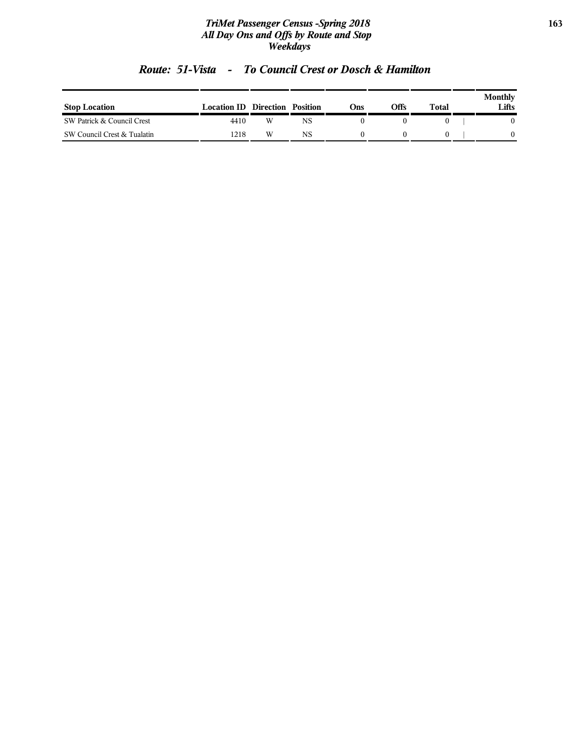#### *TriMet Passenger Census -Spring 2018* **163** *All Day Ons and Offs by Route and Stop Weekdays*

| <b>Stop Location</b>        | <b>Location ID Direction</b> |   | Position | Ons | Offs | Total | Monthly<br>Lifts |
|-----------------------------|------------------------------|---|----------|-----|------|-------|------------------|
| SW Patrick & Council Crest  | 4410                         | W | NS       |     |      |       |                  |
| SW Council Crest & Tualatin | 1218                         | W | NS       |     |      |       |                  |

### *Route: 51-Vista - To Council Crest or Dosch & Hamilton*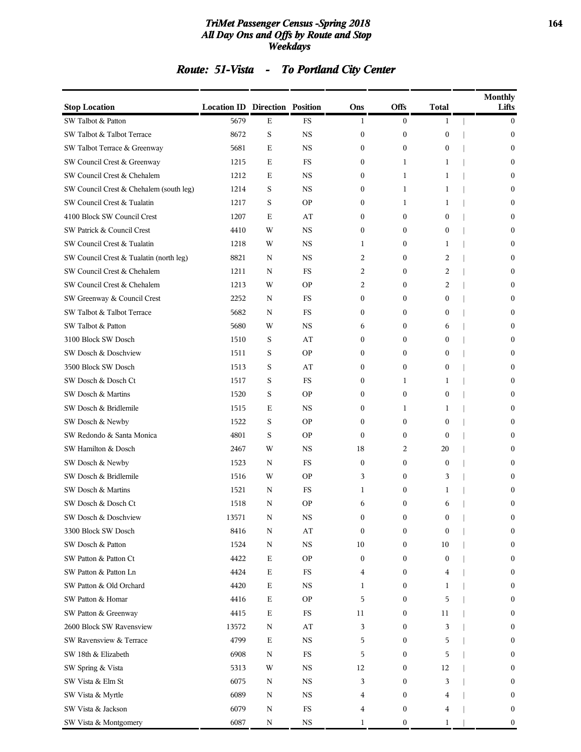#### *TriMet Passenger Census -Spring 2018* **164** *All Day Ons and Offs by Route and Stop Weekdays*

| Route: 51-Vista | <b>To Portland City Center</b> |
|-----------------|--------------------------------|
|                 |                                |

| <b>Stop Location</b>                    | <b>Location ID Direction Position</b> |             |             | Ons              | <b>Offs</b>      | <b>Total</b>     | <b>Monthly</b><br>Lifts |
|-----------------------------------------|---------------------------------------|-------------|-------------|------------------|------------------|------------------|-------------------------|
| SW Talbot & Patton                      | 5679                                  | Е           | FS          | $\mathbf{1}$     | $\mathbf{0}$     | $\mathbf{1}$     | $\overline{0}$          |
| SW Talbot & Talbot Terrace              | 8672                                  | S           | <b>NS</b>   | 0                | $\boldsymbol{0}$ | $\boldsymbol{0}$ | $\bf{0}$                |
| SW Talbot Terrace & Greenway            | 5681                                  | $\mathbf E$ | <b>NS</b>   | 0                | $\mathbf{0}$     | $\mathbf{0}$     | $\mathbf{0}$            |
| SW Council Crest & Greenway             | 1215                                  | $\mathbf E$ | FS          | $\boldsymbol{0}$ | 1                | 1                | $\mathbf{0}$            |
| SW Council Crest & Chehalem             | 1212                                  | Ε           | <b>NS</b>   | 0                | 1                | 1                | $\mathbf{0}$            |
| SW Council Crest & Chehalem (south leg) | 1214                                  | S           | <b>NS</b>   | $\boldsymbol{0}$ | 1                | 1                | $\mathbf{0}$            |
| SW Council Crest & Tualatin             | 1217                                  | S           | <b>OP</b>   | 0                | 1                | 1                | $\bf{0}$                |
| 4100 Block SW Council Crest             | 1207                                  | $\mathbf E$ | AT          | 0                | $\boldsymbol{0}$ | $\mathbf{0}$     | $\mathbf{0}$            |
| SW Patrick & Council Crest              | 4410                                  | W           | <b>NS</b>   | $\boldsymbol{0}$ | $\bf{0}$         | $\mathbf{0}$     | $\mathbf{0}$            |
| SW Council Crest & Tualatin             | 1218                                  | W           | <b>NS</b>   | 1                | $\bf{0}$         | 1                | $\mathbf{0}$            |
| SW Council Crest & Tualatin (north leg) | 8821                                  | N           | <b>NS</b>   | 2                | $\bf{0}$         | 2                | $\mathbf{0}$            |
| SW Council Crest & Chehalem             | 1211                                  | N           | FS          | 2                | $\bf{0}$         | 2                | $\bf{0}$                |
| SW Council Crest & Chehalem             | 1213                                  | W           | <b>OP</b>   | 2                | $\bf{0}$         | 2                | $\mathbf{0}$            |
| SW Greenway & Council Crest             | 2252                                  | N           | FS          | $\boldsymbol{0}$ | $\mathbf{0}$     | 0                | $\mathbf{0}$            |
| SW Talbot & Talbot Terrace              | 5682                                  | N           | FS          | $\boldsymbol{0}$ | $\bf{0}$         | 0                | $\mathbf{0}$            |
| SW Talbot & Patton                      | 5680                                  | W           | <b>NS</b>   | 6                | $\bf{0}$         | 6                | $\mathbf{0}$            |
| 3100 Block SW Dosch                     | 1510                                  | S           | AT          | 0                | $\bf{0}$         | $\boldsymbol{0}$ | $\bf{0}$                |
| SW Dosch & Doschview                    | 1511                                  | S           | <b>OP</b>   | 0                | $\bf{0}$         | $\mathbf{0}$     | $\mathbf{0}$            |
| 3500 Block SW Dosch                     | 1513                                  | S           | AT          | $\boldsymbol{0}$ | $\mathbf{0}$     | $\mathbf{0}$     | $\mathbf{0}$            |
| SW Dosch & Dosch Ct                     | 1517                                  | S           | FS          | 0                | 1                | 1                | $\mathbf{0}$            |
| SW Dosch & Martins                      | 1520                                  | S           | <b>OP</b>   | $\boldsymbol{0}$ | $\mathbf{0}$     | $\mathbf{0}$     | $\mathbf{0}$            |
| SW Dosch & Bridlemile                   | 1515                                  | Е           | NS          | 0                | 1                | 1                | $\bf{0}$                |
| SW Dosch & Newby                        | 1522                                  | S           | <b>OP</b>   | $\boldsymbol{0}$ | $\boldsymbol{0}$ | $\mathbf{0}$     | $\mathbf{0}$            |
| SW Redondo & Santa Monica               | 4801                                  | S           | <b>OP</b>   | $\mathbf{0}$     | $\mathbf{0}$     | $\mathbf{0}$     | $\mathbf{0}$            |
| SW Hamilton & Dosch                     | 2467                                  | W           | <b>NS</b>   | 18               | 2                | 20               | $\mathbf{0}$            |
| SW Dosch & Newby                        | 1523                                  | N           | FS          | $\boldsymbol{0}$ | $\boldsymbol{0}$ | $\bf{0}$         | $\mathbf{0}$            |
| SW Dosch & Bridlemile                   | 1516                                  | W           | <b>OP</b>   | 3                | $\bf{0}$         | 3                | $\mathbf{0}$            |
| SW Dosch & Martins                      | 1521                                  | N           | <b>FS</b>   | 1                | $\boldsymbol{0}$ | 1                | $\mathbf{0}$            |
| SW Dosch & Dosch Ct                     | 1518                                  | N           | <b>OP</b>   | 6                | $\mathbf{0}$     | 6                | $\mathbf{0}$            |
| SW Dosch & Doschview                    | 13571                                 | N           | NS          | 0                | $\bf{0}$         | 0                | $\bf{0}$                |
| 3300 Block SW Dosch                     | 8416                                  | N           | AT          | $\bf{0}$         | $\boldsymbol{0}$ | $\Omega$         | $\mathbf{0}$            |
| SW Dosch & Patton                       | 1524                                  | N           | $_{\rm NS}$ | 10               | $\bf{0}$         | 10               | $\bf{0}$                |
| SW Patton & Patton Ct                   | 4422                                  | E           | <b>OP</b>   | $\boldsymbol{0}$ | $\bf{0}$         | $\boldsymbol{0}$ | $\bf{0}$                |
| SW Patton & Patton Ln                   | 4424                                  | $\mathbf E$ | $_{\rm FS}$ | 4                | $\bf{0}$         | 4                | $\mathbf{0}$            |
| SW Patton & Old Orchard                 | 4420                                  | Е           | <b>NS</b>   | 1                | $\bf{0}$         | 1                | $\bf{0}$                |
| SW Patton & Homar                       | 4416                                  | Е           | <b>OP</b>   | 5                | $\bf{0}$         | 5                | $\mathbf{0}$            |
| SW Patton & Greenway                    | 4415                                  | Ε           | FS          | 11               | $\bf{0}$         | 11               | $\bf{0}$                |
| 2600 Block SW Ravensview                | 13572                                 | N           | AT          | 3                | $\bf{0}$         | 3                | $\overline{0}$          |
| SW Ravensview & Terrace                 | 4799                                  | $\mathbf E$ | $_{\rm NS}$ | 5                | $\bf{0}$         | 5                | $\mathbf{0}$            |
| SW 18th & Elizabeth                     | 6908                                  | N           | $_{\rm FS}$ | 5                | $\bf{0}$         | 5                | $\bf{0}$                |
| SW Spring & Vista                       | 5313                                  | W           | $_{\rm NS}$ | 12               | $\bf{0}$         | 12               | $\mathbf{0}$            |
| SW Vista & Elm St                       | 6075                                  | N           | <b>NS</b>   | 3                | $\bf{0}$         | 3                | $\bf{0}$                |
| SW Vista & Myrtle                       | 6089                                  | N           | $_{\rm NS}$ | 4                | $\bf{0}$         | 4                | $\bf{0}$                |
| SW Vista & Jackson                      | 6079                                  | N           | ${\rm FS}$  | 4                | $\boldsymbol{0}$ | 4                | $\mathbf{0}$            |
| SW Vista & Montgomery                   | 6087                                  | N           | $_{\rm NS}$ | 1                | $\bf{0}$         | 1                | $\boldsymbol{0}$        |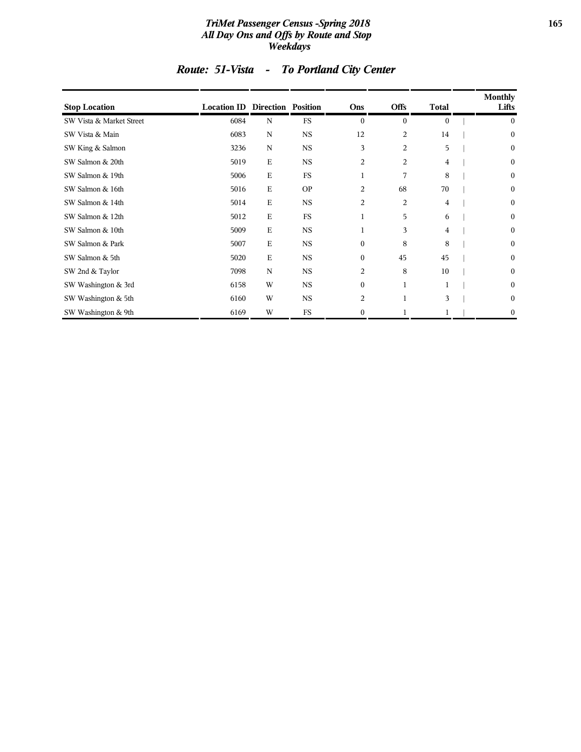#### *TriMet Passenger Census -Spring 2018* **165** *All Day Ons and Offs by Route and Stop Weekdays*

| <b>Stop Location</b>     | <b>Location ID Direction Position</b> |             |             | Ons            | <b>Offs</b>    | <b>Total</b> | <b>Monthly</b><br>Lifts |
|--------------------------|---------------------------------------|-------------|-------------|----------------|----------------|--------------|-------------------------|
| SW Vista & Market Street | 6084                                  | N           | <b>FS</b>   | $\theta$       | $\mathbf{0}$   | $\mathbf{0}$ | $\mathbf{0}$            |
| SW Vista & Main          | 6083                                  | $\mathbf N$ | NS          | 12             | $\overline{c}$ | 14           | $\boldsymbol{0}$        |
| SW King & Salmon         | 3236                                  | $\mathbf N$ | <b>NS</b>   | 3              | $\overline{c}$ | 5            | $\boldsymbol{0}$        |
| SW Salmon & 20th         | 5019                                  | Ε           | $_{\rm NS}$ | $\overline{c}$ | $\overline{c}$ | 4            | $\boldsymbol{0}$        |
| SW Salmon & 19th         | 5006                                  | E           | <b>FS</b>   | $\mathbf{1}$   | 7              | 8            | $\boldsymbol{0}$        |
| SW Salmon & 16th         | 5016                                  | E           | <b>OP</b>   | 2              | 68             | 70           | $\boldsymbol{0}$        |
| SW Salmon & 14th         | 5014                                  | E           | <b>NS</b>   | 2              | $\overline{2}$ | 4            | $\boldsymbol{0}$        |
| SW Salmon & 12th         | 5012                                  | E           | <b>FS</b>   | $\mathbf 1$    | 5              | 6            | $\boldsymbol{0}$        |
| SW Salmon & 10th         | 5009                                  | Ε           | $_{\rm NS}$ | $\mathbf 1$    | 3              | 4            | $\boldsymbol{0}$        |
| SW Salmon & Park         | 5007                                  | E           | <b>NS</b>   | $\mathbf{0}$   | 8              | 8            | $\boldsymbol{0}$        |
| SW Salmon & 5th          | 5020                                  | E           | <b>NS</b>   | $\theta$       | 45             | 45           | $\boldsymbol{0}$        |
| SW 2nd & Taylor          | 7098                                  | $\mathbf N$ | <b>NS</b>   | 2              | 8              | 10           | $\boldsymbol{0}$        |
| SW Washington & 3rd      | 6158                                  | W           | <b>NS</b>   | $\mathbf{0}$   | $\mathbf{1}$   |              | $\boldsymbol{0}$        |
| SW Washington & 5th      | 6160                                  | W           | NS          | 2              | $\mathbf{1}$   | 3            | $\boldsymbol{0}$        |
| SW Washington & 9th      | 6169                                  | W           | FS          | $\mathbf{0}$   |                |              | $\mathbf{0}$            |

# *Route: 51-Vista - To Portland City Center*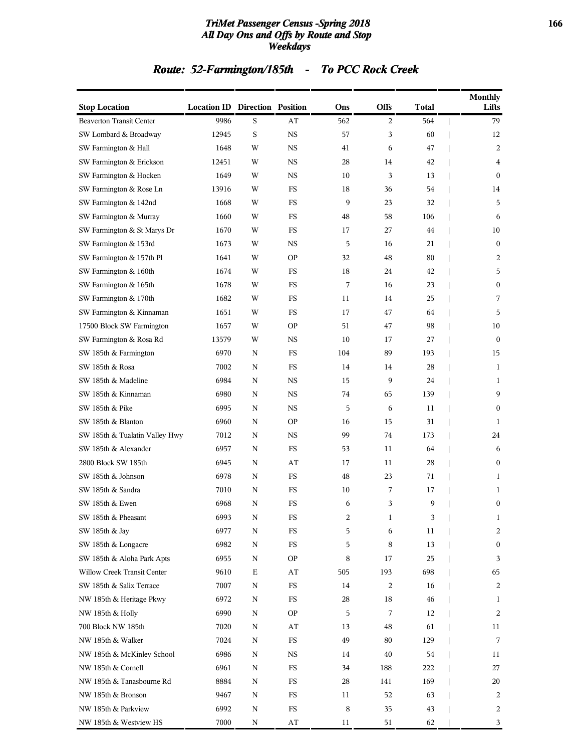#### *TriMet Passenger Census -Spring 2018* **166** *All Day Ons and Offs by Route and Stop Weekdays*

# *Route: 52-Farmington/185th - To PCC Rock Creek*

| <b>Stop Location</b>            | <b>Location ID Direction Position</b> |             |             | Ons | Offs | <b>Total</b> | <b>Monthly</b><br>Lifts |
|---------------------------------|---------------------------------------|-------------|-------------|-----|------|--------------|-------------------------|
| <b>Beaverton Transit Center</b> | 9986                                  | S           | AT          | 562 | 2    | 564          | 79                      |
| SW Lombard & Broadway           | 12945                                 | S           | <b>NS</b>   | 57  | 3    | 60           | 12                      |
| SW Farmington & Hall            | 1648                                  | W           | <b>NS</b>   | 41  | 6    | 47           | 2                       |
| SW Farmington & Erickson        | 12451                                 | W           | <b>NS</b>   | 28  | 14   | 42           | 4                       |
| SW Farmington & Hocken          | 1649                                  | W           | <b>NS</b>   | 10  | 3    | 13           | $\boldsymbol{0}$        |
| SW Farmington & Rose Ln         | 13916                                 | W           | FS          | 18  | 36   | 54           | 14                      |
| SW Farmington & 142nd           | 1668                                  | W           | FS          | 9   | 23   | 32           | 5                       |
| SW Farmington & Murray          | 1660                                  | W           | FS          | 48  | 58   | 106          | 6                       |
| SW Farmington & St Marys Dr     | 1670                                  | W           | <b>FS</b>   | 17  | 27   | 44           | 10                      |
| SW Farmington & 153rd           | 1673                                  | W           | <b>NS</b>   | 5   | 16   | 21           | $\bf{0}$                |
| SW Farmington & 157th Pl        | 1641                                  | W           | <b>OP</b>   | 32  | 48   | 80           | 2                       |
| SW Farmington & 160th           | 1674                                  | W           | FS          | 18  | 24   | 42           | 5                       |
| SW Farmington & 165th           | 1678                                  | W           | FS          | 7   | 16   | 23           | $\boldsymbol{0}$        |
| SW Farmington & 170th           | 1682                                  | W           | <b>FS</b>   | 11  | 14   | 25           | 7                       |
| SW Farmington & Kinnaman        | 1651                                  | W           | FS          | 17  | 47   | 64           | 5                       |
| 17500 Block SW Farmington       | 1657                                  | W           | <b>OP</b>   | 51  | 47   | 98           | 10                      |
| SW Farmington & Rosa Rd         | 13579                                 | W           | NS          | 10  | 17   | 27           | $\boldsymbol{0}$        |
| SW 185th & Farmington           | 6970                                  | N           | FS          | 104 | 89   | 193          | 15                      |
| SW 185th & Rosa                 | 7002                                  | N           | <b>FS</b>   | 14  | 14   | 28           | 1                       |
| SW 185th & Madeline             | 6984                                  | N           | <b>NS</b>   | 15  | 9    | 24           | 1                       |
| SW 185th & Kinnaman             | 6980                                  | N           | <b>NS</b>   | 74  | 65   | 139          | 9                       |
| SW 185th & Pike                 | 6995                                  | N           | NS          | 5   | 6    | 11           | $\boldsymbol{0}$        |
| SW 185th & Blanton              | 6960                                  | N           | <b>OP</b>   | 16  | 15   | 31           | 1                       |
| SW 185th & Tualatin Valley Hwy  | 7012                                  | N           | <b>NS</b>   | 99  | 74   | 173          | 24                      |
| SW 185th & Alexander            | 6957                                  | N           | FS          | 53  | 11   | 64           | 6                       |
| 2800 Block SW 185th             | 6945                                  | N           | AT          | 17  | 11   | 28           | $\boldsymbol{0}$        |
| SW 185th & Johnson              | 6978                                  | N           | FS          | 48  | 23   | 71           | 1                       |
| SW 185th & Sandra               | 7010                                  | N           | <b>FS</b>   | 10  | 7    | 17           | 1                       |
| SW 185th & Ewen                 | 6968                                  | N           | FS          | 6   | 3    | 9            | $\mathbf{0}$            |
| SW 185th & Pheasant             | 6993                                  | N           | FS          | 2   | 1    | 3            | 1                       |
| SW 185th & Jay                  | 6977                                  | N           | <b>FS</b>   | 5   | 6    | 11           | $\overline{c}$          |
| SW 185th & Longacre             | 6982                                  | $\mathbf N$ | <b>FS</b>   | 5   | 8    | 13           | $\boldsymbol{0}$        |
| SW 185th & Aloha Park Apts      | 6955                                  | N           | <b>OP</b>   | 8   | 17   | 25           | 3                       |
| Willow Creek Transit Center     | 9610                                  | $\mathbf E$ | AT          | 505 | 193  | 698          | 65                      |
| SW 185th & Salix Terrace        | 7007                                  | N           | $_{\rm FS}$ | 14  | 2    | 16           | 2                       |
| NW 185th & Heritage Pkwy        | 6972                                  | N           | <b>FS</b>   | 28  | 18   | 46           | 1                       |
| NW 185th & Holly                | 6990                                  | $\mathbf N$ | <b>OP</b>   | 5   | 7    | 12           | 2                       |
| 700 Block NW 185th              | 7020                                  | N           | AT          | 13  | 48   | 61           | 11                      |
| NW 185th & Walker               | 7024                                  | N           | $_{\rm FS}$ | 49  | 80   | 129          | 7                       |
| NW 185th & McKinley School      | 6986                                  | N           | <b>NS</b>   | 14  | 40   | 54           | 11                      |
| NW 185th & Cornell              | 6961                                  | N           | <b>FS</b>   | 34  | 188  | 222          | 27                      |
| NW 185th & Tanasbourne Rd       | 8884                                  | N           | FS          | 28  | 141  | 169          | 20                      |
| NW 185th & Bronson              | 9467                                  | N           | $_{\rm FS}$ | 11  | 52   | 63           | 2                       |
| NW 185th & Parkview             | 6992                                  | $\mathbf N$ | $_{\rm FS}$ | 8   | 35   | 43           | 2                       |
| NW 185th & Westview HS          | 7000                                  | $\mathbf N$ | $\bf AT$    | 11  | 51   | 62           | 3                       |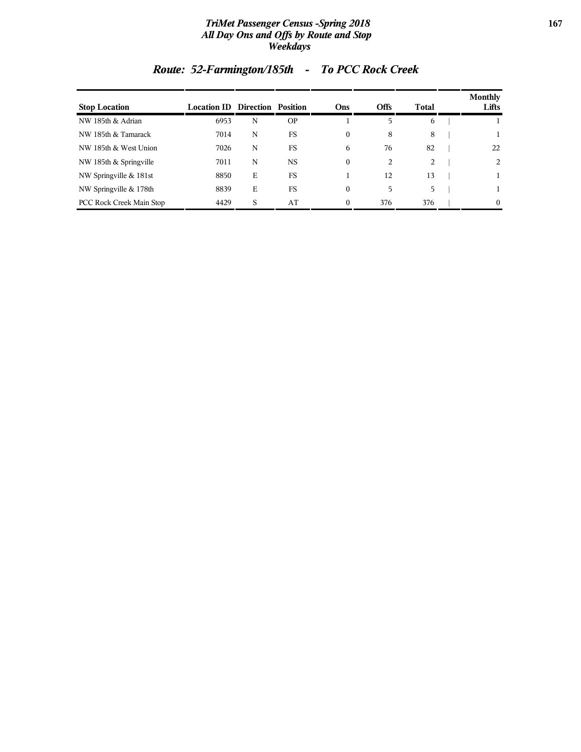#### *TriMet Passenger Census -Spring 2018* **167** *All Day Ons and Offs by Route and Stop Weekdays*

| <b>Stop Location</b>            | <b>Location ID Direction Position</b> |   |           | <b>Ons</b> | <b>Offs</b> | Total | <b>Monthly</b><br>Lifts |
|---------------------------------|---------------------------------------|---|-----------|------------|-------------|-------|-------------------------|
| NW 185th & Adrian               | 6953                                  | N | <b>OP</b> |            | 5           | 6     |                         |
| NW 185th & Tamarack             | 7014                                  | N | <b>FS</b> | $\Omega$   | 8           | 8     |                         |
| NW 185th & West Union           | 7026                                  | N | FS.       | 6          | 76          | 82    | 22                      |
| NW 185th & Springville          | 7011                                  | N | <b>NS</b> | $\Omega$   | 2           | 2     | 2                       |
| NW Springville & 181st          | 8850                                  | E | FS        |            | 12          | 13    | 1.                      |
| NW Springville & 178th          | 8839                                  | E | FS        | $\Omega$   | 5           | 5     |                         |
| <b>PCC Rock Creek Main Stop</b> | 4429                                  | S | AT        | $\Omega$   | 376         | 376   | $\Omega$                |

# *Route: 52-Farmington/185th - To PCC Rock Creek*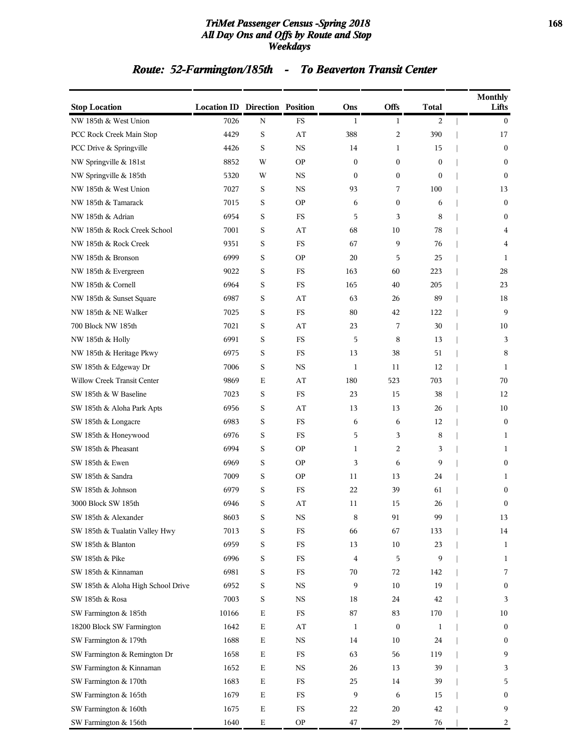#### *TriMet Passenger Census -Spring 2018* **168** *All Day Ons and Offs by Route and Stop Weekdays*

# *Route: 52-Farmington/185th - To Beaverton Transit Center*

| <b>Stop Location</b>               | <b>Location ID Direction Position</b> |             |             | Ons              | Offs                    | Total        | Monthly<br>Lifts |
|------------------------------------|---------------------------------------|-------------|-------------|------------------|-------------------------|--------------|------------------|
| NW 185th & West Union              | 7026                                  | N           | <b>FS</b>   | 1                | 1                       | 2            | $\mathbf{0}$     |
| PCC Rock Creek Main Stop           | 4429                                  | S           | AT          | 388              | $\overline{\mathbf{c}}$ | 390          | 17               |
| PCC Drive & Springville            | 4426                                  | S           | <b>NS</b>   | 14               | 1                       | 15           | $\bf{0}$         |
| NW Springville & 181st             | 8852                                  | W           | <b>OP</b>   | $\boldsymbol{0}$ | $\boldsymbol{0}$        | $\bf{0}$     | $\bf{0}$         |
| NW Springville & 185th             | 5320                                  | W           | <b>NS</b>   | $\mathbf{0}$     | $\mathbf{0}$            | $\mathbf{0}$ | $\mathbf{0}$     |
| NW 185th & West Union              | 7027                                  | S           | <b>NS</b>   | 93               | 7                       | 100          | 13               |
| NW 185th & Tamarack                | 7015                                  | S           | <b>OP</b>   | 6                | $\boldsymbol{0}$        | 6            | $\bf{0}$         |
| NW 185th & Adrian                  | 6954                                  | S           | <b>FS</b>   | 5                | 3                       | 8            | $\mathbf{0}$     |
| NW 185th & Rock Creek School       | 7001                                  | S           | AT          | 68               | 10                      | 78           | 4                |
| NW 185th & Rock Creek              | 9351                                  | S           | <b>FS</b>   | 67               | 9                       | 76           | 4                |
| NW 185th & Bronson                 | 6999                                  | S           | <b>OP</b>   | 20               | 5                       | 25           | 1                |
| NW 185th & Evergreen               | 9022                                  | S           | FS          | 163              | 60                      | 223          | 28               |
| NW 185th & Cornell                 | 6964                                  | S           | <b>FS</b>   | 165              | 40                      | 205          | 23               |
| NW 185th & Sunset Square           | 6987                                  | S           | AT          | 63               | 26                      | 89           | 18               |
| NW 185th & NE Walker               | 7025                                  | S           | <b>FS</b>   | 80               | 42                      | 122          | 9                |
| 700 Block NW 185th                 | 7021                                  | S           | AT          | 23               | 7                       | 30           | 10               |
| NW 185th & Holly                   | 6991                                  | S           | <b>FS</b>   | 5                | 8                       | 13           | 3                |
| NW 185th & Heritage Pkwy           | 6975                                  | S           | <b>FS</b>   | 13               | 38                      | 51           | 8                |
| SW 185th & Edgeway Dr              | 7006                                  | S           | NS          | 1                | 11                      | 12           | 1                |
| <b>Willow Creek Transit Center</b> | 9869                                  | Е           | AT          | 180              | 523                     | 703          | 70               |
| SW 185th & W Baseline              | 7023                                  | S           | <b>FS</b>   | 23               | 15                      | 38           | 12               |
| SW 185th & Aloha Park Apts         | 6956                                  | S           | AT          | 13               | 13                      | 26           | 10               |
| SW 185th & Longacre                | 6983                                  | S           | <b>FS</b>   | 6                | 6                       | 12           | $\mathbf{0}$     |
| SW 185th & Honeywood               | 6976                                  | S           | <b>FS</b>   | 5                | 3                       | 8            | 1                |
| SW 185th & Pheasant                | 6994                                  | S           | <b>OP</b>   | 1                | $\overline{2}$          | 3            | 1                |
| SW 185th & Ewen                    | 6969                                  | S           | <b>OP</b>   | 3                | 6                       | 9            | $\mathbf{0}$     |
| SW 185th & Sandra                  | 7009                                  | S           | <b>OP</b>   | 11               | 13                      | 24           | 1                |
| SW 185th & Johnson                 | 6979                                  | S           | <b>FS</b>   | 22               | 39                      | 61           | $\bf{0}$         |
| 3000 Block SW 185th                | 6946                                  | S           | AT          | 11               | 15                      | 26           | $\boldsymbol{0}$ |
| SW 185th & Alexander               | 8603                                  | S           | $_{\rm NS}$ | 8                | 91                      | 99           | 13               |
| SW 185th & Tualatin Valley Hwy     | 7013                                  | S           | FS          | 66               | 67                      | 133          | 14               |
| SW 185th & Blanton                 | 6959                                  | S           | $_{\rm FS}$ | 13               | 10                      | 23           | 1                |
| SW 185th & Pike                    | 6996                                  | S           | $_{\rm FS}$ | 4                | 5                       | 9            | 1                |
| SW 185th & Kinnaman                | 6981                                  | S           | FS          | 70               | 72                      | 142          | 7                |
| SW 185th & Aloha High School Drive | 6952                                  | S           | $_{\rm NS}$ | 9                | 10                      | 19           | $\boldsymbol{0}$ |
| SW 185th & Rosa                    | 7003                                  | S           | $_{\rm NS}$ | 18               | 24                      | 42           | 3                |
| SW Farmington & 185th              | 10166                                 | $\mathbf E$ | $_{\rm FS}$ | 87               | 83                      | 170          | 10               |
| 18200 Block SW Farmington          | 1642                                  | $\mathbf E$ | AT          | 1                | $\boldsymbol{0}$        | 1            | $\bf{0}$         |
| SW Farmington & 179th              | 1688                                  | $\mathbf E$ | NS          | 14               | 10                      | 24           | $\bf{0}$         |
| SW Farmington & Remington Dr       | 1658                                  | $\mathbf E$ | $_{\rm FS}$ | 63               | 56                      | 119          | 9                |
| SW Farmington & Kinnaman           | 1652                                  | $\mathbf E$ | NS          | 26               | 13                      | 39           | 3                |
| SW Farmington & 170th              | 1683                                  | $\mathbf E$ | FS          | 25               | 14                      | 39           | 5                |
| SW Farmington & 165th              | 1679                                  | $\mathbf E$ | $_{\rm FS}$ | 9                | 6                       | 15           | $\boldsymbol{0}$ |
| SW Farmington & 160th              | 1675                                  | $\mathbf E$ | FS          | 22               | 20                      | 42           | 9                |
| SW Farmington & 156th              | 1640                                  | $\mathbf E$ | <b>OP</b>   | 47               | 29                      | 76           | 2                |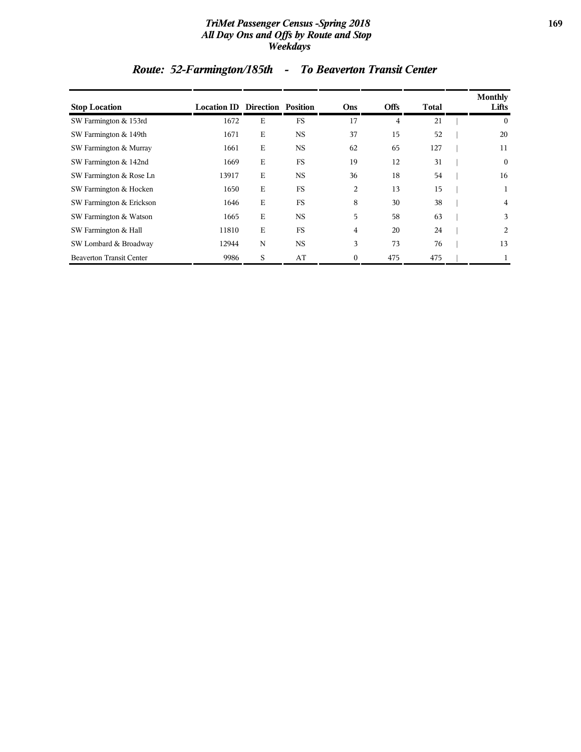#### *TriMet Passenger Census -Spring 2018* **169** *All Day Ons and Offs by Route and Stop Weekdays*

# *Route: 52-Farmington/185th - To Beaverton Transit Center*

| <b>Stop Location</b>            | <b>Location ID Direction Position</b> |             |           | Ons            | <b>Offs</b> | Total | Monthly<br>Lifts |
|---------------------------------|---------------------------------------|-------------|-----------|----------------|-------------|-------|------------------|
| SW Farmington & 153rd           | 1672                                  | Ε           | FS        | 17             | 4           | 21    | $\bf{0}$         |
| SW Farmington & 149th           | 1671                                  | Ε           | <b>NS</b> | 37             | 15          | 52    | 20               |
| SW Farmington & Murray          | 1661                                  | E           | <b>NS</b> | 62             | 65          | 127   | 11               |
| SW Farmington & 142nd           | 1669                                  | E           | <b>FS</b> | 19             | 12          | 31    | $\mathbf{0}$     |
| SW Farmington & Rose Ln         | 13917                                 | E           | NS        | 36             | 18          | 54    | 16               |
| SW Farmington & Hocken          | 1650                                  | $\mathbf E$ | FS        | 2              | 13          | 15    |                  |
| SW Farmington & Erickson        | 1646                                  | $\mathbf E$ | FS        | 8              | 30          | 38    | 4                |
| SW Farmington & Watson          | 1665                                  | E           | <b>NS</b> | 5              | 58          | 63    | 3                |
| SW Farmington & Hall            | 11810                                 | E           | <b>FS</b> | $\overline{4}$ | 20          | 24    | 2                |
| SW Lombard & Broadway           | 12944                                 | N           | <b>NS</b> | 3              | 73          | 76    | 13               |
| <b>Beaverton Transit Center</b> | 9986                                  | S           | AT        | $\mathbf{0}$   | 475         | 475   |                  |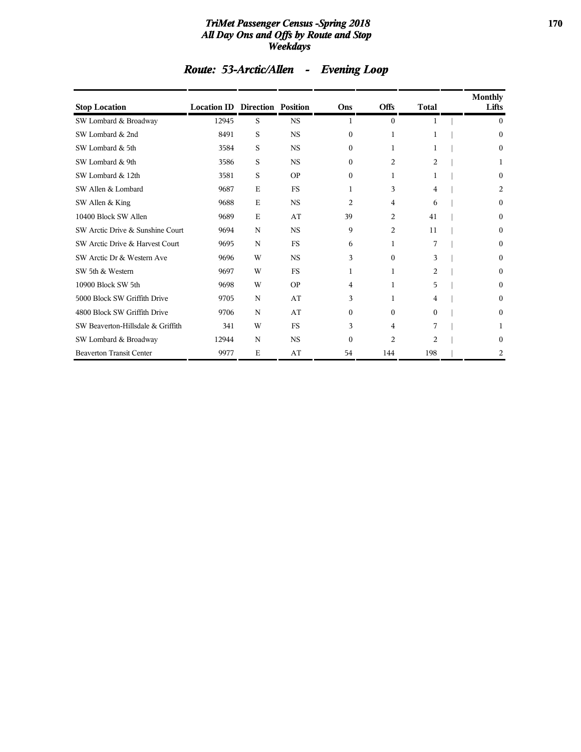#### *TriMet Passenger Census -Spring 2018* **170** *All Day Ons and Offs by Route and Stop Weekdays*

| <b>Stop Location</b>              | <b>Location ID Direction Position</b> |             |           | Ons            | <b>Offs</b>    | <b>Total</b>   | <b>Monthly</b><br>Lifts |
|-----------------------------------|---------------------------------------|-------------|-----------|----------------|----------------|----------------|-------------------------|
| SW Lombard & Broadway             | 12945                                 | S           | <b>NS</b> | 1              | $\Omega$       | 1              | $\Omega$                |
| SW Lombard & 2nd                  | 8491                                  | S           | <b>NS</b> | $\Omega$       | 1              | 1              | $\theta$                |
| SW Lombard & 5th                  | 3584                                  | S           | <b>NS</b> | $\Omega$       | 1              | 1              | $\theta$                |
| SW Lombard & 9th                  | 3586                                  | S           | <b>NS</b> | $\Omega$       | 2              | 2              | 1                       |
| SW Lombard & 12th                 | 3581                                  | S           | <b>OP</b> | $\Omega$       | 1              | 1              | $\theta$                |
| SW Allen & Lombard                | 9687                                  | E           | FS        | 1              | 3              | 4              | 2                       |
| SW Allen & King                   | 9688                                  | E           | <b>NS</b> | $\overline{c}$ | 4              | 6              | $\mathbf{0}$            |
| 10400 Block SW Allen              | 9689                                  | $\mathbf E$ | AT        | 39             | 2              | 41             | $\theta$                |
| SW Arctic Drive & Sunshine Court  | 9694                                  | N           | <b>NS</b> | 9              | 2              | 11             | $\theta$                |
| SW Arctic Drive & Harvest Court   | 9695                                  | N           | FS        | 6              | 1              | 7              | $\Omega$                |
| SW Arctic Dr & Western Ave        | 9696                                  | W           | <b>NS</b> | 3              | $\Omega$       | 3              | $\theta$                |
| SW 5th & Western                  | 9697                                  | W           | <b>FS</b> | 1              | 1              | 2              | $\theta$                |
| 10900 Block SW 5th                | 9698                                  | W           | <b>OP</b> | 4              | 1              | 5              | $\theta$                |
| 5000 Block SW Griffith Drive      | 9705                                  | N           | AT        | 3              | 1              | 4              | $\theta$                |
| 4800 Block SW Griffith Drive      | 9706                                  | N           | AT        | $\Omega$       | $\theta$       | $\mathbf{0}$   | $\theta$                |
| SW Beaverton-Hillsdale & Griffith | 341                                   | W           | FS        | 3              | 4              | 7              | 1                       |
| SW Lombard & Broadway             | 12944                                 | N           | <b>NS</b> | $\Omega$       | $\overline{c}$ | $\overline{c}$ | $\Omega$                |
| <b>Beaverton Transit Center</b>   | 9977                                  | E           | AT        | 54             | 144            | 198            | 2                       |

# *Route: 53-Arctic/Allen - Evening Loop*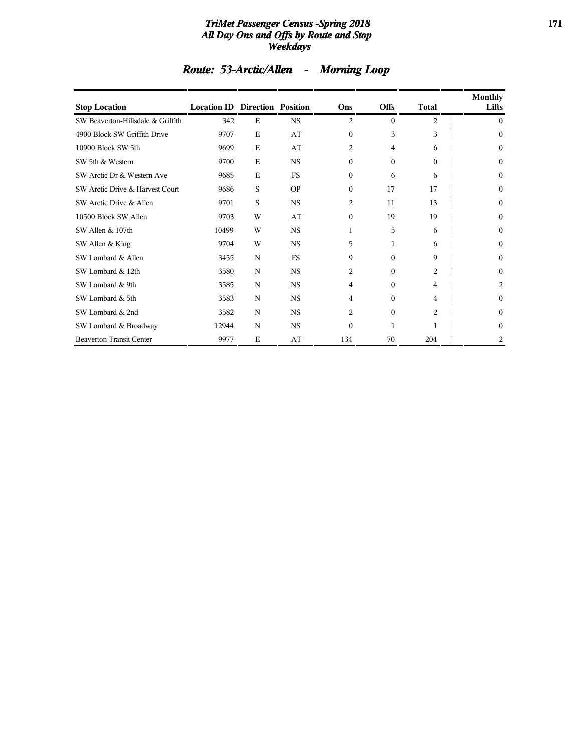#### *TriMet Passenger Census -Spring 2018* **171** *All Day Ons and Offs by Route and Stop Weekdays*

| <b>Stop Location</b>              | <b>Location ID Direction Position</b> |             |           | Ons            | <b>Offs</b>    | <b>Total</b> | <b>Monthly</b><br>Lifts |
|-----------------------------------|---------------------------------------|-------------|-----------|----------------|----------------|--------------|-------------------------|
| SW Beaverton-Hillsdale & Griffith | 342                                   | E           | <b>NS</b> | 2              | $\mathbf{0}$   | 2            | $\Omega$                |
| 4900 Block SW Griffith Drive      | 9707                                  | E           | AT        | $\overline{0}$ | 3              | 3            | 0                       |
| 10900 Block SW 5th                | 9699                                  | E           | AT        | 2              | $\overline{4}$ | 6            | 0                       |
| SW 5th & Western                  | 9700                                  | E           | <b>NS</b> | $\Omega$       | $\theta$       | $\Omega$     | 0                       |
| SW Arctic Dr & Western Ave        | 9685                                  | $\mathbf E$ | <b>FS</b> | $\Omega$       | 6              | 6            | 0                       |
| SW Arctic Drive & Harvest Court   | 9686                                  | S           | <b>OP</b> | $\mathbf{0}$   | 17             | 17           | 0                       |
| SW Arctic Drive & Allen           | 9701                                  | S           | <b>NS</b> | 2              | 11             | 13           | 0                       |
| 10500 Block SW Allen              | 9703                                  | W           | AT        | $\mathbf{0}$   | 19             | 19           | 0                       |
| SW Allen & 107th                  | 10499                                 | W           | <b>NS</b> | 1              | 5              | 6            | 0                       |
| SW Allen & King                   | 9704                                  | W           | <b>NS</b> | 5              | 1              | 6            | 0                       |
| SW Lombard & Allen                | 3455                                  | N           | FS        | 9              | $\Omega$       | 9            | 0                       |
| SW Lombard & 12th                 | 3580                                  | N           | <b>NS</b> | 2              | $\Omega$       | 2            | 0                       |
| SW Lombard & 9th                  | 3585                                  | N           | <b>NS</b> | 4              | $\Omega$       | 4            | 2                       |
| SW Lombard & 5th                  | 3583                                  | N           | <b>NS</b> | 4              | $\theta$       | 4            | 0                       |
| SW Lombard & 2nd                  | 3582                                  | N           | <b>NS</b> | $\overline{c}$ | $\theta$       | 2            | 0                       |
| SW Lombard & Broadway             | 12944                                 | N           | <b>NS</b> | $\Omega$       | 1              |              | 0                       |
| <b>Beaverton Transit Center</b>   | 9977                                  | E           | AT        | 134            | 70             | 204          | 2                       |

# *Route: 53-Arctic/Allen - Morning Loop*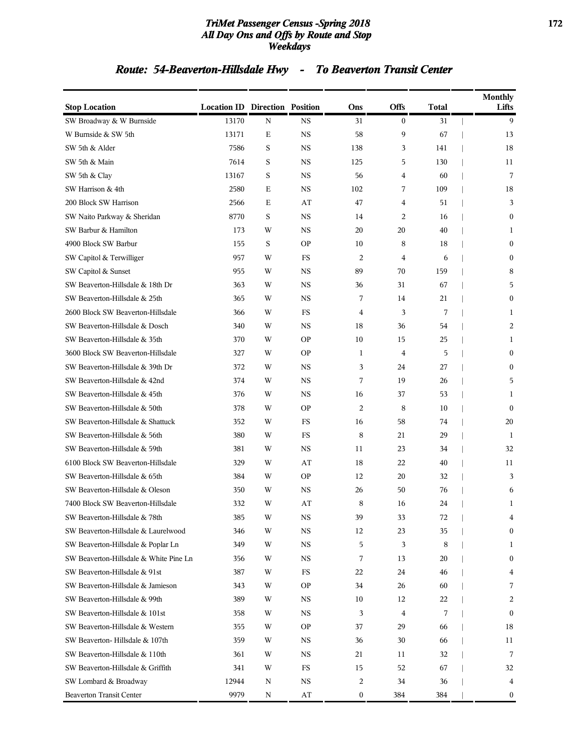#### *TriMet Passenger Census -Spring 2018* **172** *All Day Ons and Offs by Route and Stop Weekdays*

# *Route: 54-Beaverton-Hillsdale Hwy - To Beaverton Transit Center*

| <b>Stop Location</b>                   | <b>Location ID Direction Position</b> |             |             | Ons            | <b>Offs</b>    | <b>Total</b> | <b>Monthly</b><br>Lifts |
|----------------------------------------|---------------------------------------|-------------|-------------|----------------|----------------|--------------|-------------------------|
| SW Broadway & W Burnside               | 13170                                 | N           | <b>NS</b>   | 31             | $\bf{0}$       | 31           | 9                       |
| W Burnside & SW 5th                    | 13171                                 | Ε           | <b>NS</b>   | 58             | 9              | 67           | 13                      |
| SW 5th & Alder                         | 7586                                  | $\mathbf S$ | <b>NS</b>   | 138            | 3              | 141          | 18                      |
| SW 5th & Main                          | 7614                                  | S           | <b>NS</b>   | 125            | 5              | 130          | 11                      |
| SW 5th & Clay                          | 13167                                 | S           | <b>NS</b>   | 56             | 4              | 60           | 7                       |
| SW Harrison & 4th                      | 2580                                  | Ε           | <b>NS</b>   | 102            | 7              | 109          | 18                      |
| 200 Block SW Harrison                  | 2566                                  | Ε           | AT          | 47             | 4              | 51           | 3                       |
| SW Naito Parkway & Sheridan            | 8770                                  | $\mathbf S$ | <b>NS</b>   | 14             | 2              | 16           | $\mathbf{0}$            |
| SW Barbur & Hamilton                   | 173                                   | W           | <b>NS</b>   | 20             | 20             | 40           | 1                       |
| 4900 Block SW Barbur                   | 155                                   | S           | <b>OP</b>   | 10             | 8              | 18           | $\mathbf{0}$            |
| SW Capitol & Terwilliger               | 957                                   | W           | FS          | 2              | 4              | 6            | $\bf{0}$                |
| SW Capitol & Sunset                    | 955                                   | W           | <b>NS</b>   | 89             | 70             | 159          | 8                       |
| SW Beaverton-Hillsdale & 18th Dr       | 363                                   | W           | <b>NS</b>   | 36             | 31             | 67           | 5                       |
| SW Beaverton-Hillsdale & 25th          | 365                                   | W           | <b>NS</b>   | 7              | 14             | 21           | $\mathbf{0}$            |
| 2600 Block SW Beaverton-Hillsdale      | 366                                   | W           | FS          | $\overline{4}$ | 3              | 7            | 1                       |
| SW Beaverton-Hillsdale & Dosch         | 340                                   | W           | <b>NS</b>   | 18             | 36             | 54           | 2                       |
| SW Beaverton-Hillsdale & 35th          | 370                                   | W           | <b>OP</b>   | 10             | 15             | 25           | 1                       |
| 3600 Block SW Beaverton-Hillsdale      | 327                                   | W           | <b>OP</b>   | 1              | $\overline{4}$ | 5            | $\mathbf{0}$            |
| SW Beaverton-Hillsdale & 39th Dr       | 372                                   | W           | <b>NS</b>   | 3              | 24             | 27           | $\mathbf{0}$            |
| SW Beaverton-Hillsdale & 42nd          | 374                                   | W           | <b>NS</b>   | 7              | 19             | 26           | 5                       |
| SW Beaverton-Hillsdale & 45th          | 376                                   | W           | <b>NS</b>   | 16             | 37             | 53           | 1                       |
| SW Beaverton-Hillsdale & 50th          | 378                                   | W           | <b>OP</b>   | 2              | 8              | 10           | $\mathbf{0}$            |
| SW Beaverton-Hillsdale & Shattuck      | 352                                   | W           | FS          | 16             | 58             | 74           | 20                      |
| SW Beaverton-Hillsdale & 56th          | 380                                   | W           | FS          | 8              | 21             | 29           | 1                       |
| SW Beaverton-Hillsdale & 59th          | 381                                   | W           | <b>NS</b>   | 11             | 23             | 34           | 32                      |
| 6100 Block SW Beaverton-Hillsdale      | 329                                   | W           | AT          | 18             | 22             | 40           | 11                      |
| SW Beaverton-Hillsdale & 65th          | 384                                   | W           | <b>OP</b>   | 12             | 20             | 32           | 3                       |
| SW Beaverton-Hillsdale & Oleson        | 350                                   | W           | <b>NS</b>   | 26             | 50             | 76           | 6                       |
| 7400 Block SW Beaverton-Hillsdale      | 332                                   | W           | AT          | 8              | 16             | 24           | 1                       |
| SW Beaverton-Hillsdale & 78th          | 385                                   | W           | <b>NS</b>   | 39             | 33             | 72           | 4                       |
| SW Beaverton-Hillsdale & Laurelwood    | 346                                   | W           | NS          | 12             | 23             | 35           | $\bf{0}$                |
| SW Beaverton-Hillsdale & Poplar Ln     | 349                                   | W           | $_{\rm NS}$ | 5              | 3              | 8            | 1                       |
| SW Beaverton-Hillsdale & White Pine Ln | 356                                   | W           | NS          | 7              | 13             | 20           | $\bf{0}$                |
| SW Beaverton-Hillsdale & 91st          | 387                                   | W           | FS          | 22             | 24             | 46           | 4                       |
| SW Beaverton-Hillsdale & Jamieson      | 343                                   | W           | <b>OP</b>   | 34             | 26             | 60           | 7                       |
| SW Beaverton-Hillsdale & 99th          | 389                                   | W           | NS          | 10             | 12             | 22           | 2                       |
| SW Beaverton-Hillsdale & 101st         | 358                                   | W           | NS          | 3              | 4              | 7            | $\mathbf{0}$            |
| SW Beaverton-Hillsdale & Western       | 355                                   | W           | <b>OP</b>   | 37             | 29             | 66           | 18                      |
| SW Beaverton-Hillsdale & 107th         | 359                                   | W           | NS          | 36             | 30             | 66           | 11                      |
| SW Beaverton-Hillsdale & 110th         | 361                                   | W           | <b>NS</b>   | 21             | 11             | 32           | 7                       |
| SW Beaverton-Hillsdale & Griffith      | 341                                   | W           | FS          | 15             | 52             | 67           | 32                      |
| SW Lombard & Broadway                  | 12944                                 | N           | NS          | 2              | 34             | 36           | 4                       |
| <b>Beaverton Transit Center</b>        | 9979                                  | Ν           | AT          | 0              | 384            | 384          | $\bf{0}$                |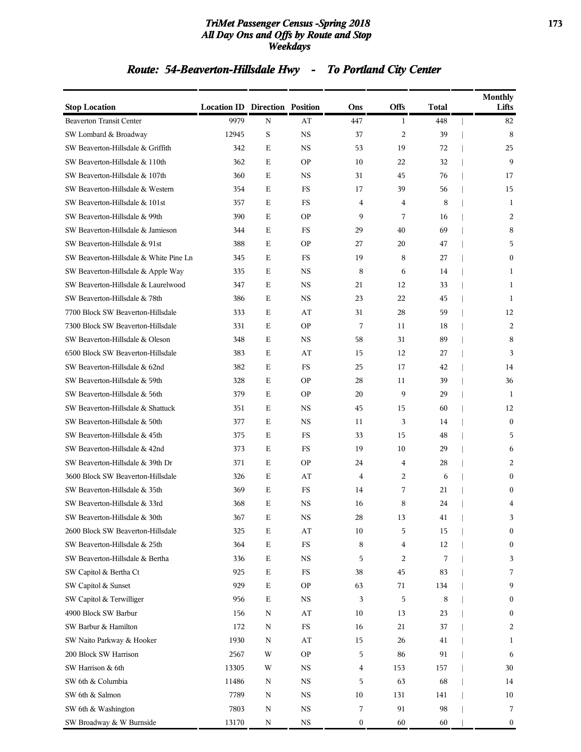#### *TriMet Passenger Census -Spring 2018* **173** *All Day Ons and Offs by Route and Stop Weekdays*

# *Route: 54-Beaverton-Hillsdale Hwy - To Portland City Center*

| <b>Stop Location</b>                   | <b>Location ID Direction Position</b> |             |             | Ons              | <b>Offs</b>    | Total | <b>Monthly</b><br>Lifts |
|----------------------------------------|---------------------------------------|-------------|-------------|------------------|----------------|-------|-------------------------|
| <b>Beaverton Transit Center</b>        | 9979                                  | N           | AT          | 447              | 1              | 448   | 82                      |
| SW Lombard & Broadway                  | 12945                                 | S           | <b>NS</b>   | 37               | $\overline{2}$ | 39    | 8                       |
| SW Beaverton-Hillsdale & Griffith      | 342                                   | Ε           | <b>NS</b>   | 53               | 19             | 72    | 25                      |
| SW Beaverton-Hillsdale & 110th         | 362                                   | Ε           | <b>OP</b>   | 10               | 22             | 32    | 9                       |
| SW Beaverton-Hillsdale & 107th         | 360                                   | E           | NS          | 31               | 45             | 76    | 17                      |
| SW Beaverton-Hillsdale & Western       | 354                                   | Ε           | FS          | 17               | 39             | 56    | 15                      |
| SW Beaverton-Hillsdale & 101st         | 357                                   | Ε           | FS          | $\overline{4}$   | 4              | 8     | 1                       |
| SW Beaverton-Hillsdale & 99th          | 390                                   | Ε           | <b>OP</b>   | 9                | 7              | 16    | 2                       |
| SW Beaverton-Hillsdale & Jamieson      | 344                                   | Ε           | $_{\rm FS}$ | 29               | 40             | 69    | 8                       |
| SW Beaverton-Hillsdale & 91st          | 388                                   | E           | <b>OP</b>   | 27               | 20             | 47    | 5                       |
| SW Beaverton-Hillsdale & White Pine Ln | 345                                   | Ε           | FS          | 19               | 8              | 27    | $\mathbf{0}$            |
| SW Beaverton-Hillsdale & Apple Way     | 335                                   | Ε           | NS          | 8                | 6              | 14    | 1                       |
| SW Beaverton-Hillsdale & Laurelwood    | 347                                   | Ε           | <b>NS</b>   | 21               | 12             | 33    | 1                       |
| SW Beaverton-Hillsdale & 78th          | 386                                   | Ε           | <b>NS</b>   | 23               | 22             | 45    | 1                       |
| 7700 Block SW Beaverton-Hillsdale      | 333                                   | Ε           | AT          | 31               | 28             | 59    | 12                      |
| 7300 Block SW Beaverton-Hillsdale      | 331                                   | Ε           | <b>OP</b>   | 7                | 11             | 18    | 2                       |
| SW Beaverton-Hillsdale & Oleson        | 348                                   | Ε           | <b>NS</b>   | 58               | 31             | 89    | 8                       |
| 6500 Block SW Beaverton-Hillsdale      | 383                                   | Ε           | AT          | 15               | 12             | 27    | 3                       |
| SW Beaverton-Hillsdale & 62nd          | 382                                   | Ε           | FS          | 25               | 17             | 42    | 14                      |
| SW Beaverton-Hillsdale & 59th          | 328                                   | Ε           | <b>OP</b>   | 28               | 11             | 39    | 36                      |
| SW Beaverton-Hillsdale & 56th          | 379                                   | Ε           | <b>OP</b>   | 20               | 9              | 29    | -1                      |
| SW Beaverton-Hillsdale & Shattuck      | 351                                   | Ε           | NS          | 45               | 15             | 60    | 12                      |
| SW Beaverton-Hillsdale & 50th          | 377                                   | Ε           | <b>NS</b>   | 11               | 3              | 14    | $\mathbf{0}$            |
| SW Beaverton-Hillsdale & 45th          | 375                                   | Ε           | $_{\rm FS}$ | 33               | 15             | 48    | 5                       |
| SW Beaverton-Hillsdale & 42nd          | 373                                   | E           | FS          | 19               | 10             | 29    | 6                       |
| SW Beaverton-Hillsdale & 39th Dr       | 371                                   | Ε           | <b>OP</b>   | 24               | 4              | 28    | 2                       |
| 3600 Block SW Beaverton-Hillsdale      | 326                                   | Ε           | AT          | $\overline{4}$   | 2              | 6     | $\mathbf{0}$            |
| SW Beaverton-Hillsdale & 35th          | 369                                   | Ε           | FS          | 14               | 7              | 21    | $\Omega$                |
| SW Beaverton-Hillsdale & 33rd          | 368                                   | Ε           | NS          | 16               | 8              | 24    | 4                       |
| SW Beaverton-Hillsdale & 30th          | 367                                   | Ε           | <b>NS</b>   | 28               | 13             | 41    | 3                       |
| 2600 Block SW Beaverton-Hillsdale      | 325                                   | $\mathbf E$ | AT          | 10               | 5              | 15    | $\boldsymbol{0}$        |
| SW Beaverton-Hillsdale & 25th          | 364                                   | $\mathbf E$ | $_{\rm FS}$ | 8                | 4              | 12    | $\boldsymbol{0}$        |
| SW Beaverton-Hillsdale & Bertha        | 336                                   | $\mathbf E$ | $_{\rm NS}$ | 5                | 2              | 7     | 3                       |
| SW Capitol & Bertha Ct                 | 925                                   | $\mathbf E$ | $_{\rm FS}$ | 38               | 45             | 83    | 7                       |
| SW Capitol & Sunset                    | 929                                   | $\mathbf E$ | <b>OP</b>   | 63               | 71             | 134   | 9                       |
| SW Capitol & Terwilliger               | 956                                   | $\mathbf E$ | <b>NS</b>   | 3                | 5              | 8     | $\boldsymbol{0}$        |
| 4900 Block SW Barbur                   | 156                                   | N           | AT          | 10               | 13             | 23    | $\boldsymbol{0}$        |
| SW Barbur & Hamilton                   | 172                                   | N           | $_{\rm FS}$ | 16               | 21             | 37    | 2                       |
| SW Naito Parkway & Hooker              | 1930                                  | N           | AT          | 15               | 26             | 41    | 1                       |
| 200 Block SW Harrison                  | 2567                                  | W           | <b>OP</b>   | 5                | 86             | 91    | 6                       |
| SW Harrison & 6th                      | 13305                                 | W           | <b>NS</b>   | 4                | 153            | 157   | 30                      |
| SW 6th & Columbia                      | 11486                                 | N           | $_{\rm NS}$ | 5                | 63             | 68    | 14                      |
| SW 6th & Salmon                        | 7789                                  | N           | $_{\rm NS}$ | 10               | 131            | 141   | 10                      |
| SW 6th & Washington                    | 7803                                  | N           | $_{\rm NS}$ | 7                | 91             | 98    | 7                       |
| SW Broadway & W Burnside               | 13170                                 | N           | $_{\rm NS}$ | $\boldsymbol{0}$ | 60             | 60    | $\boldsymbol{0}$        |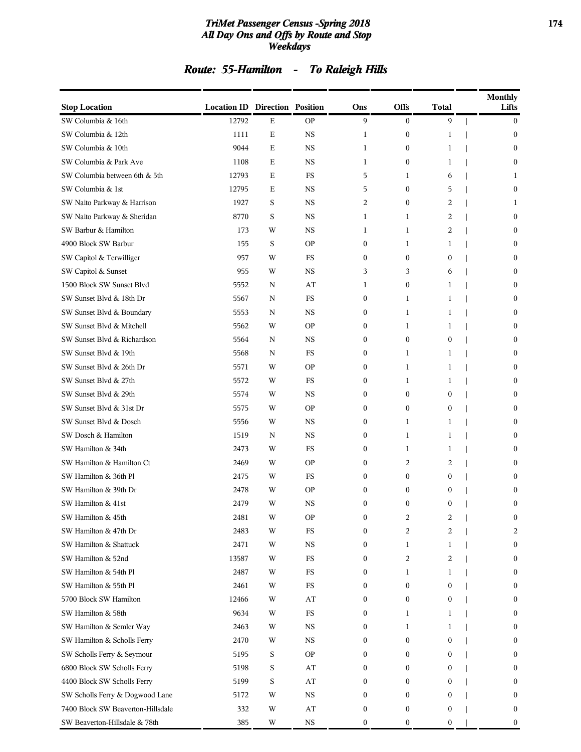#### *TriMet Passenger Census -Spring 2018* **174** *All Day Ons and Offs by Route and Stop Weekdays*

# *Route: 55-Hamilton - To Raleigh Hills*

| <b>Stop Location</b>              | <b>Location ID Direction Position</b> |             |             | Ons              | <b>Offs</b>      | <b>Total</b>            | <b>Monthly</b><br>Lifts |
|-----------------------------------|---------------------------------------|-------------|-------------|------------------|------------------|-------------------------|-------------------------|
| SW Columbia & 16th                | 12792                                 | Ε           | <b>OP</b>   | 9                | $\boldsymbol{0}$ | 9                       | $\mathbf{0}$            |
| SW Columbia & 12th                | 1111                                  | $\mathbf E$ | <b>NS</b>   | 1                | $\boldsymbol{0}$ | 1                       | $\mathbf{0}$            |
| SW Columbia & 10th                | 9044                                  | Е           | <b>NS</b>   | $\mathbf{1}$     | $\boldsymbol{0}$ | 1                       | $\mathbf{0}$            |
| SW Columbia & Park Ave            | 1108                                  | Ε           | NS          | 1                | $\boldsymbol{0}$ | 1                       | $\mathbf{0}$            |
| SW Columbia between 6th & 5th     | 12793                                 | E           | FS          | 5                | 1                | 6                       | 1                       |
| SW Columbia & 1st                 | 12795                                 | Ε           | NS          | 5                | $\boldsymbol{0}$ | 5                       | $\mathbf{0}$            |
| SW Naito Parkway & Harrison       | 1927                                  | S           | $_{\rm NS}$ | 2                | $\boldsymbol{0}$ | 2                       | 1                       |
| SW Naito Parkway & Sheridan       | 8770                                  | S           | <b>NS</b>   | $\mathbf{1}$     | 1                | 2                       | $\mathbf{0}$            |
| SW Barbur & Hamilton              | 173                                   | W           | NS          | 1                | 1                | 2                       | $\mathbf{0}$            |
| 4900 Block SW Barbur              | 155                                   | S           | <b>OP</b>   | $\mathbf{0}$     | 1                | $\mathbf{1}$            | $\theta$                |
| SW Capitol & Terwilliger          | 957                                   | W           | FS          | $\mathbf{0}$     | $\boldsymbol{0}$ | $\mathbf{0}$            | $\mathbf{0}$            |
| SW Capitol & Sunset               | 955                                   | W           | NS          | 3                | 3                | 6                       | $\mathbf{0}$            |
| 1500 Block SW Sunset Blvd         | 5552                                  | N           | AT          | 1                | $\boldsymbol{0}$ | 1                       | $\mathbf{0}$            |
| SW Sunset Blvd & 18th Dr          | 5567                                  | N           | FS          | $\bf{0}$         | 1                | 1                       | $\mathbf{0}$            |
| SW Sunset Blvd & Boundary         | 5553                                  | N           | <b>NS</b>   | $\mathbf{0}$     | 1                | $\mathbf{1}$            | $\theta$                |
| SW Sunset Blvd & Mitchell         | 5562                                  | W           | <b>OP</b>   | $\mathbf{0}$     | 1                | 1                       | $\mathbf{0}$            |
| SW Sunset Blvd & Richardson       | 5564                                  | N           | <b>NS</b>   | $\boldsymbol{0}$ | $\boldsymbol{0}$ | $\boldsymbol{0}$        | $\mathbf{0}$            |
| SW Sunset Blvd & 19th             | 5568                                  | N           | FS          | $\mathbf{0}$     | 1                | 1                       | $\mathbf{0}$            |
| SW Sunset Blvd & 26th Dr          | 5571                                  | W           | <b>OP</b>   | $\bf{0}$         | 1                | 1                       | $\mathbf{0}$            |
| SW Sunset Blvd & 27th             | 5572                                  | W           | FS          | $\mathbf{0}$     | 1                | 1                       | $\theta$                |
| SW Sunset Blvd & 29th             | 5574                                  | W           | NS          | $\mathbf{0}$     | $\boldsymbol{0}$ | $\mathbf{0}$            | $\mathbf{0}$            |
| SW Sunset Blvd & 31st Dr          | 5575                                  | W           | <b>OP</b>   | $\boldsymbol{0}$ | $\boldsymbol{0}$ | $\boldsymbol{0}$        | $\mathbf{0}$            |
| SW Sunset Blvd & Dosch            | 5556                                  | W           | <b>NS</b>   | $\mathbf{0}$     | 1                | 1                       | $\mathbf{0}$            |
| SW Dosch & Hamilton               | 1519                                  | N           | NS          | $\bf{0}$         | 1                | 1                       | $\mathbf{0}$            |
| SW Hamilton & 34th                | 2473                                  | W           | FS          | $\mathbf{0}$     | 1                | 1                       | $\theta$                |
| SW Hamilton & Hamilton Ct         | 2469                                  | W           | <b>OP</b>   | $\mathbf{0}$     | 2                | 2                       | $\mathbf{0}$            |
| SW Hamilton & 36th Pl             | 2475                                  | W           | FS          | $\mathbf{0}$     | 0                | $\boldsymbol{0}$        | $\theta$                |
| SW Hamilton & 39th Dr             | 2478                                  | W           | <b>OP</b>   | $\mathbf{0}$     | $\boldsymbol{0}$ | 0                       | $\mathbf{0}$            |
| SW Hamilton & 41st                | 2479                                  | W           | NS          | $\mathbf{0}$     | $\mathbf{0}$     | $\boldsymbol{0}$        | $\mathbf{0}$            |
| SW Hamilton & 45th                | 2481                                  | W           | <b>OP</b>   | 0                | 2                | $\overline{\mathbf{c}}$ | $\mathbf{0}$            |
| SW Hamilton & 47th Dr             | 2483                                  | W           | <b>FS</b>   | $\boldsymbol{0}$ | 2                | 2                       | 2                       |
| SW Hamilton & Shattuck            | 2471                                  | W           | $_{\rm NS}$ | $\bf{0}$         | 1                | 1                       | $\boldsymbol{0}$        |
| SW Hamilton & 52nd                | 13587                                 | W           | <b>FS</b>   | $\bf{0}$         | 2                | 2                       | $\boldsymbol{0}$        |
| SW Hamilton & 54th Pl             | 2487                                  | W           | FS          | $\bf{0}$         | 1                | 1                       | $\boldsymbol{0}$        |
| SW Hamilton & 55th Pl             | 2461                                  | W           | $_{\rm FS}$ | $\mathbf{0}$     | $\boldsymbol{0}$ | $\boldsymbol{0}$        | $\mathbf{0}$            |
| 5700 Block SW Hamilton            | 12466                                 | W           | AT          | $\bf{0}$         | $\boldsymbol{0}$ | 0                       | $\bf{0}$                |
| SW Hamilton & 58th                | 9634                                  | W           | $_{\rm FS}$ | $\bf{0}$         | 1                | 1                       | $\mathbf{0}$            |
| SW Hamilton & Semler Way          | 2463                                  | W           | $_{\rm NS}$ | $\bf{0}$         | 1                | 1                       | $\bf{0}$                |
| SW Hamilton & Scholls Ferry       | 2470                                  | W           | NS          | $\bf{0}$         | $\boldsymbol{0}$ | 0                       | $\bf{0}$                |
| SW Scholls Ferry & Seymour        | 5195                                  | S           | <b>OP</b>   | $\mathbf{0}$     | $\mathbf{0}$     | 0                       | $\mathbf{0}$            |
| 6800 Block SW Scholls Ferry       | 5198                                  | $\mathbf S$ | AT          | $\mathbf{0}$     | 0                | $\mathbf{0}$            | $\bf{0}$                |
| 4400 Block SW Scholls Ferry       | 5199                                  | S           | AT          | $\bf{0}$         | 0                | 0                       | $\mathbf{0}$            |
| SW Scholls Ferry & Dogwood Lane   | 5172                                  | W           | $_{\rm NS}$ | $\bf{0}$         | 0                | 0                       | $\bf{0}$                |
| 7400 Block SW Beaverton-Hillsdale | 332                                   | W           | AT          | $\bf{0}$         | 0                | 0                       | $\bf{0}$                |
| SW Beaverton-Hillsdale & 78th     | 385                                   | W           | $_{\rm NS}$ | $\boldsymbol{0}$ | $\boldsymbol{0}$ | $\boldsymbol{0}$        | $\mathbf{0}$            |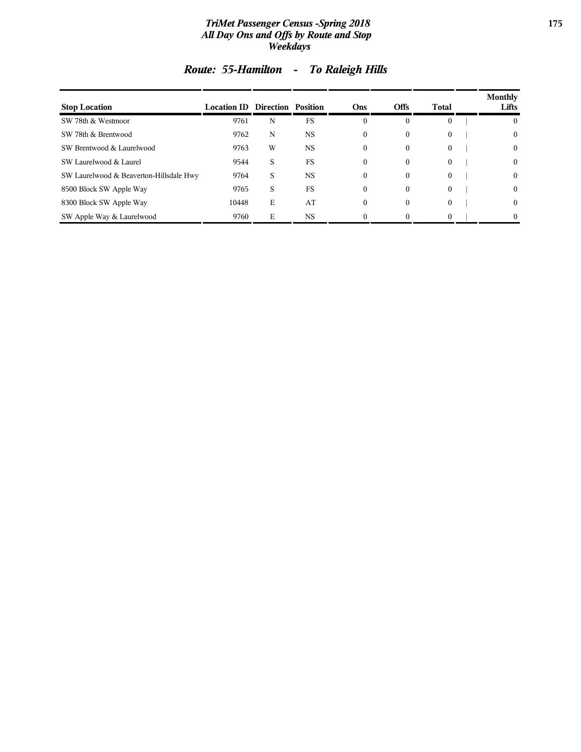#### *TriMet Passenger Census -Spring 2018* **175** *All Day Ons and Offs by Route and Stop Weekdays*

| <b>Stop Location</b>                    | <b>Location ID Direction Position</b> |   |           | Ons              | <b>Offs</b>  | Total        | Monthly<br>Lifts |
|-----------------------------------------|---------------------------------------|---|-----------|------------------|--------------|--------------|------------------|
| SW 78th & Westmoor                      | 9761                                  | N | <b>FS</b> | $\boldsymbol{0}$ | $\theta$     | $\mathbf{0}$ |                  |
| SW 78th & Brentwood                     | 9762                                  | N | <b>NS</b> | $\theta$         | $\theta$     | $\mathbf{0}$ | $\theta$         |
| SW Brentwood & Laurelwood               | 9763                                  | W | <b>NS</b> | $\theta$         | $\mathbf{0}$ | $\mathbf{0}$ | $\theta$         |
| SW Laurelwood & Laurel                  | 9544                                  | S | FS        | $\Omega$         | $\mathbf{0}$ | $\mathbf{0}$ | $\theta$         |
| SW Laurelwood & Beaverton-Hillsdale Hwy | 9764                                  | S | <b>NS</b> | $\theta$         | $\mathbf{0}$ | $\mathbf{0}$ | $\Omega$         |
| 8500 Block SW Apple Way                 | 9765                                  | S | FS        | $\theta$         | $\mathbf{0}$ | $\theta$     | $\Omega$         |
| 8300 Block SW Apple Way                 | 10448                                 | E | AT        | $\Omega$         | $\theta$     | $\mathbf{0}$ | $\left($         |
| SW Apple Way & Laurelwood               | 9760                                  | E | <b>NS</b> |                  |              | $\Omega$     |                  |

# *Route: 55-Hamilton - To Raleigh Hills*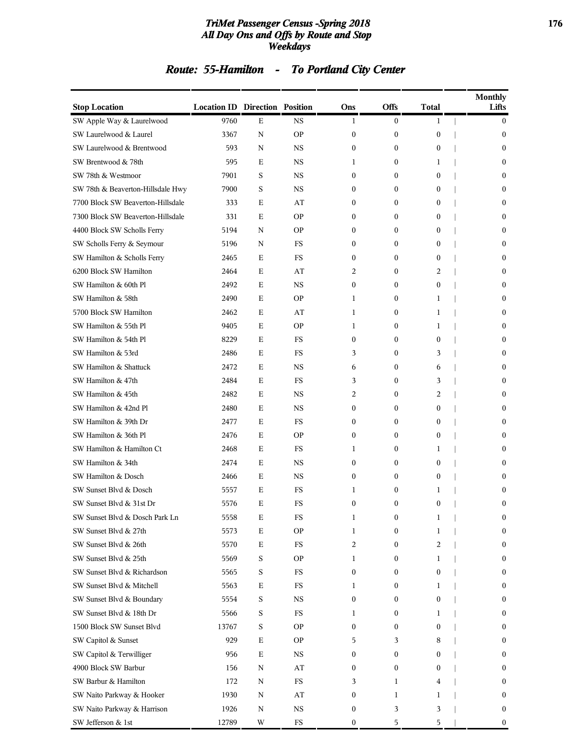#### *TriMet Passenger Census -Spring 2018* **176** *All Day Ons and Offs by Route and Stop Weekdays*

# *Route: 55-Hamilton - To Portland City Center*

| <b>Stop Location</b>              | <b>Location ID Direction Position</b> |             |             | Ons              | Offs             | <b>Total</b>     | <b>Monthly</b><br>Lifts |
|-----------------------------------|---------------------------------------|-------------|-------------|------------------|------------------|------------------|-------------------------|
| SW Apple Way & Laurelwood         | 9760                                  | Е           | <b>NS</b>   | 1                | $\overline{0}$   | 1                | $\mathbf{0}$            |
| SW Laurelwood & Laurel            | 3367                                  | N           | <b>OP</b>   | $\boldsymbol{0}$ | $\boldsymbol{0}$ | $\boldsymbol{0}$ | $\mathbf{0}$            |
| SW Laurelwood & Brentwood         | 593                                   | N           | NS          | $\mathbf{0}$     | $\boldsymbol{0}$ | 0                | $\mathbf{0}$            |
| SW Brentwood & 78th               | 595                                   | Е           | NS          | 1                | $\mathbf{0}$     | 1                | $\mathbf{0}$            |
| SW 78th & Westmoor                | 7901                                  | S           | NS          | $\mathbf{0}$     | $\mathbf{0}$     | $\boldsymbol{0}$ | $\mathbf{0}$            |
| SW 78th & Beaverton-Hillsdale Hwy | 7900                                  | S           | NS          | $\mathbf{0}$     | $\mathbf{0}$     | 0                | $\mathbf{0}$            |
| 7700 Block SW Beaverton-Hillsdale | 333                                   | E           | AT          | $\mathbf{0}$     | $\mathbf{0}$     | $\boldsymbol{0}$ | $\mathbf{0}$            |
| 7300 Block SW Beaverton-Hillsdale | 331                                   | Ε           | <b>OP</b>   | $\mathbf{0}$     | $\mathbf{0}$     | 0                | $\mathbf{0}$            |
| 4400 Block SW Scholls Ferry       | 5194                                  | N           | <b>OP</b>   | $\mathbf{0}$     | $\mathbf{0}$     | $\boldsymbol{0}$ | $\mathbf{0}$            |
| SW Scholls Ferry & Seymour        | 5196                                  | N           | FS          | $\mathbf{0}$     | $\mathbf{0}$     | $\boldsymbol{0}$ | $\mathbf{0}$            |
| SW Hamilton & Scholls Ferry       | 2465                                  | E           | <b>FS</b>   | $\mathbf{0}$     | $\mathbf{0}$     | 0                | $\mathbf{0}$            |
| 6200 Block SW Hamilton            | 2464                                  | E           | AT          | 2                | $\mathbf{0}$     | 2                | $\mathbf{0}$            |
| SW Hamilton & 60th Pl             | 2492                                  | Ε           | <b>NS</b>   | 0                | $\mathbf{0}$     | 0                | $\mathbf{0}$            |
| SW Hamilton & 58th                | 2490                                  | E           | <b>OP</b>   | 1                | $\mathbf{0}$     | 1                | $\mathbf{0}$            |
| 5700 Block SW Hamilton            | 2462                                  | E           | AT          | 1                | $\mathbf{0}$     | 1                | $\mathbf{0}$            |
| SW Hamilton & 55th Pl             | 9405                                  | Е           | <b>OP</b>   | 1                | $\boldsymbol{0}$ | 1                | $\mathbf{0}$            |
| SW Hamilton & 54th Pl             | 8229                                  | E           | FS          | 0                | $\mathbf{0}$     | 0                | $\mathbf{0}$            |
| SW Hamilton & 53rd                | 2486                                  | Ε           | <b>FS</b>   | 3                | $\mathbf{0}$     | 3                | $\mathbf{0}$            |
| SW Hamilton & Shattuck            | 2472                                  | E           | <b>NS</b>   | 6                | $\mathbf{0}$     | 6                | $\mathbf{0}$            |
| SW Hamilton & 47th                | 2484                                  | E           | FS          | 3                | $\mathbf{0}$     | 3                | $\mathbf{0}$            |
| SW Hamilton & 45th                | 2482                                  | Е           | <b>NS</b>   | 2                | $\mathbf{0}$     | 2                | $\mathbf{0}$            |
| SW Hamilton & 42nd Pl             | 2480                                  | E           | NS          | 0                | $\mathbf{0}$     | 0                | $\mathbf{0}$            |
| SW Hamilton & 39th Dr             | 2477                                  | Ε           | <b>FS</b>   | $\mathbf{0}$     | $\mathbf{0}$     | 0                | $\mathbf{0}$            |
| SW Hamilton & 36th Pl             | 2476                                  | E           | <b>OP</b>   | $\mathbf{0}$     | $\mathbf{0}$     | $\boldsymbol{0}$ | $\mathbf{0}$            |
| SW Hamilton & Hamilton Ct         | 2468                                  | Ε           | FS          | 1                | $\mathbf{0}$     | 1                | $\mathbf{0}$            |
| SW Hamilton & 34th                | 2474                                  | Е           | <b>NS</b>   | $\boldsymbol{0}$ | $\mathbf{0}$     | 0                | $\mathbf{0}$            |
| SW Hamilton & Dosch               | 2466                                  | E           | NS          | $\mathbf{0}$     | $\mathbf{0}$     | $\boldsymbol{0}$ | $\mathbf{0}$            |
| SW Sunset Blvd & Dosch            | 5557                                  | Ε           | FS          | 1                | $\boldsymbol{0}$ | 1                | $\mathbf{0}$            |
| SW Sunset Blvd & 31st Dr          | 5576                                  | E           | FS          | $\mathbf{0}$     | $\mathbf{0}$     | $\boldsymbol{0}$ | $\mathbf{0}$            |
| SW Sunset Blvd & Dosch Park Ln    | 5558                                  | Ε           | FS          | T                | $\boldsymbol{0}$ |                  | $\bf{0}$                |
| SW Sunset Blvd & 27th             | 5573                                  | Е           | <b>OP</b>   | 1                | $\boldsymbol{0}$ | 1                | $\bf{0}$                |
| SW Sunset Blvd & 26th             | 5570                                  | $\mathbf E$ | <b>FS</b>   | 2                | $\boldsymbol{0}$ | 2                | $\bf{0}$                |
| SW Sunset Blvd & 25th             | 5569                                  | $\mathbf S$ | <b>OP</b>   | 1                | $\boldsymbol{0}$ | 1                | $\bf{0}$                |
| SW Sunset Blvd & Richardson       | 5565                                  | $\mathbf S$ | <b>FS</b>   | $\boldsymbol{0}$ | $\boldsymbol{0}$ | $\boldsymbol{0}$ | $\bf{0}$                |
| SW Sunset Blvd & Mitchell         | 5563                                  | Е           | FS          | 1                | $\boldsymbol{0}$ | 1                | $\bf{0}$                |
| SW Sunset Blvd & Boundary         | 5554                                  | $\mathbf S$ | NS          | 0                | $\boldsymbol{0}$ | 0                | $\bf{0}$                |
| SW Sunset Blvd & 18th Dr          | 5566                                  | $\mathbf S$ | FS          | 1                | $\boldsymbol{0}$ | 1                | $\bf{0}$                |
| 1500 Block SW Sunset Blvd         | 13767                                 | S           | <b>OP</b>   | $\mathbf{0}$     | $\boldsymbol{0}$ | 0                | $\bf{0}$                |
| SW Capitol & Sunset               | 929                                   | $\mathbf E$ | <b>OP</b>   | 5                | 3                | 8                | $\bf{0}$                |
| SW Capitol & Terwilliger          | 956                                   | $\mathbf E$ | NS          | 0                | $\boldsymbol{0}$ | 0                | $\bf{0}$                |
| 4900 Block SW Barbur              | 156                                   | N           | AT          | 0                | $\boldsymbol{0}$ | 0                | $\bf{0}$                |
| SW Barbur & Hamilton              | 172                                   | N           | FS          | 3                | $\mathbf{1}$     | 4                | $\bf{0}$                |
| SW Naito Parkway & Hooker         | 1930                                  | N           | AT          | 0                | $\mathbf{1}$     | 1                | $\bf{0}$                |
| SW Naito Parkway & Harrison       | 1926                                  | N           | <b>NS</b>   | 0                | 3                | 3                | $\bf{0}$                |
| SW Jefferson & 1st                | 12789                                 | W           | $_{\rm FS}$ | 0                | $\sqrt{5}$       | 5                | $\bf{0}$                |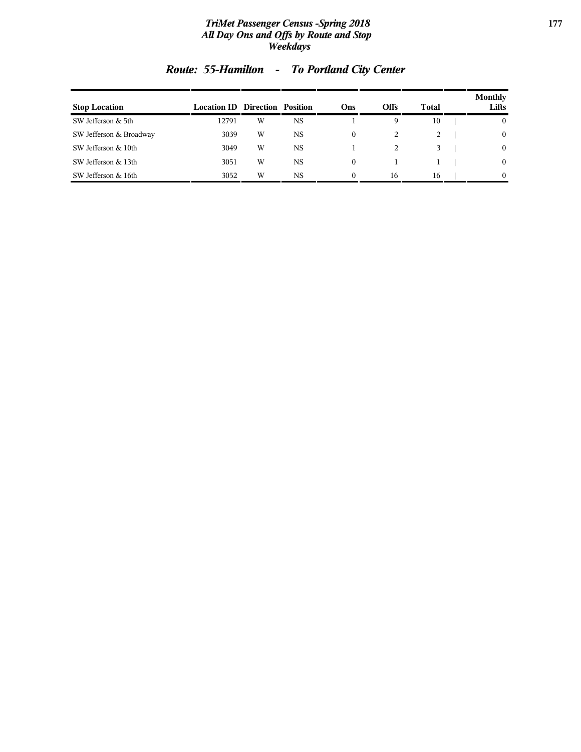#### *TriMet Passenger Census -Spring 2018* **177** *All Day Ons and Offs by Route and Stop Weekdays*

| <b>Stop Location</b>    | <b>Location ID Direction Position</b> |   |    | Ons              | <b>Offs</b> | Total | <b>Monthly</b><br>Lifts |
|-------------------------|---------------------------------------|---|----|------------------|-------------|-------|-------------------------|
| SW Jefferson & 5th      | 12791                                 | W | NS |                  | 9           | 10    | $\mathbf{0}$            |
| SW Jefferson & Broadway | 3039                                  | W | NS | $\boldsymbol{0}$ |             | 2     | $\mathbf{0}$            |
| SW Jefferson & 10th     | 3049                                  | W | NS |                  | 2           | 3     | $\mathbf{0}$            |
| SW Jefferson & 13th     | 3051                                  | W | NS | $\theta$         |             |       | $\mathbf{0}$            |
| SW Jefferson & 16th     | 3052                                  | W | NS | $\theta$         | 16          | 16    | $\theta$                |

# *Route: 55-Hamilton - To Portland City Center*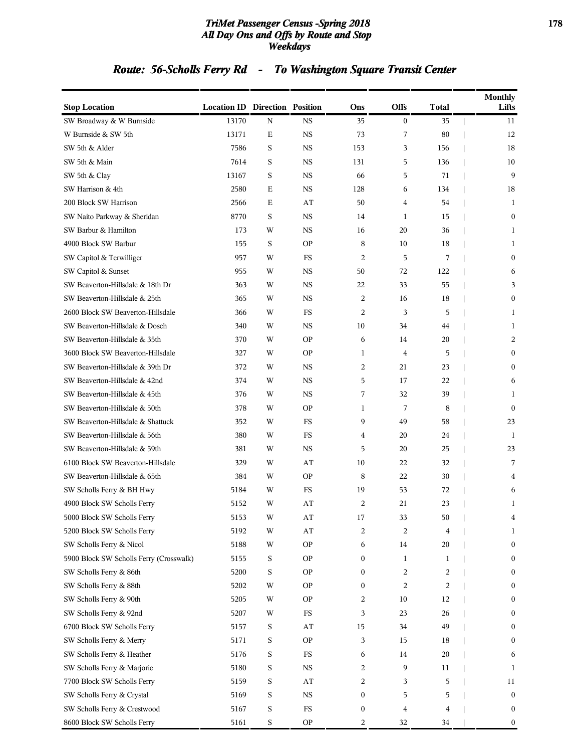#### *TriMet Passenger Census -Spring 2018* **178** *All Day Ons and Offs by Route and Stop Weekdays*

# *Route: 56-Scholls Ferry Rd - To Washington Square Transit Center*

| <b>Stop Location</b>                    | <b>Location ID Direction Position</b> |             |           | Ons              | <b>Offs</b>      | <b>Total</b> | <b>Monthly</b><br>Lifts |
|-----------------------------------------|---------------------------------------|-------------|-----------|------------------|------------------|--------------|-------------------------|
| SW Broadway & W Burnside                | 13170                                 | $\mathbf N$ | <b>NS</b> | 35               | $\boldsymbol{0}$ | 35           | 11                      |
| W Burnside & SW 5th                     | 13171                                 | Ε           | <b>NS</b> | 73               | 7                | 80           | 12                      |
| SW 5th & Alder                          | 7586                                  | S           | <b>NS</b> | 153              | 3                | 156          | 18                      |
| SW 5th & Main                           | 7614                                  | S           | <b>NS</b> | 131              | 5                | 136          | 10                      |
| SW 5th & Clay                           | 13167                                 | S           | <b>NS</b> | 66               | 5                | 71           | 9                       |
| SW Harrison & 4th                       | 2580                                  | Ε           | <b>NS</b> | 128              | 6                | 134          | 18                      |
| 200 Block SW Harrison                   | 2566                                  | Ε           | AT        | 50               | 4                | 54           | 1                       |
| SW Naito Parkway & Sheridan             | 8770                                  | S           | <b>NS</b> | 14               | 1                | 15           | $\mathbf{0}$            |
| SW Barbur & Hamilton                    | 173                                   | W           | <b>NS</b> | 16               | 20               | 36           | $\mathbf{1}$            |
| 4900 Block SW Barbur                    | 155                                   | S           | <b>OP</b> | 8                | 10               | 18           | 1                       |
| SW Capitol & Terwilliger                | 957                                   | W           | FS        | 2                | 5                | 7            | $\boldsymbol{0}$        |
| SW Capitol & Sunset                     | 955                                   | W           | <b>NS</b> | 50               | 72               | 122          | 6                       |
| SW Beaverton-Hillsdale & 18th Dr        | 363                                   | W           | <b>NS</b> | 22               | 33               | 55           | 3                       |
| SW Beaverton-Hillsdale & 25th           | 365                                   | W           | <b>NS</b> | $\overline{c}$   | 16               | 18           | $\mathbf{0}$            |
| 2600 Block SW Beaverton-Hillsdale       | 366                                   | W           | FS        | $\overline{c}$   | 3                | 5            | $\mathbf{1}$            |
| SW Beaverton-Hillsdale & Dosch          | 340                                   | W           | <b>NS</b> | 10               | 34               | 44           | $\mathbf{1}$            |
| SW Beaverton-Hillsdale & 35th           | 370                                   | W           | <b>OP</b> | 6                | 14               | 20           | 2                       |
| 3600 Block SW Beaverton-Hillsdale       | 327                                   | W           | <b>OP</b> | $\mathbf{1}$     | 4                | 5            | $\mathbf{0}$            |
| SW Beaverton-Hillsdale & 39th Dr        | 372                                   | W           | <b>NS</b> | 2                | 21               | 23           | $\mathbf{0}$            |
| SW Beaverton-Hillsdale & 42nd           | 374                                   | W           | <b>NS</b> | 5                | 17               | 22           | 6                       |
| SW Beaverton-Hillsdale & 45th           | 376                                   | W           | <b>NS</b> | 7                | 32               | 39           | $\mathbf{1}$            |
| SW Beaverton-Hillsdale & 50th           | 378                                   | W           | <b>OP</b> | $\mathbf{1}$     | 7                | 8            | $\boldsymbol{0}$        |
| SW Beaverton-Hillsdale & Shattuck       | 352                                   | W           | FS        | 9                | 49               | 58           | 23                      |
| SW Beaverton-Hillsdale & 56th           | 380                                   | W           | FS        | 4                | 20               | 24           | 1                       |
| SW Beaverton-Hillsdale & 59th           | 381                                   | W           | <b>NS</b> | 5                | 20               | 25           | 23                      |
| 6100 Block SW Beaverton-Hillsdale       | 329                                   | W           | AT        | 10               | 22               | 32           | 7                       |
| SW Beaverton-Hillsdale & 65th           | 384                                   | W           | <b>OP</b> | 8                | 22               | 30           | 4                       |
| SW Scholls Ferry & BH Hwy               | 5184                                  | W           | FS        | 19               | 53               | 72           | 6                       |
| 4900 Block SW Scholls Ferry             | 5152                                  | W           | AT        | 2                | 21               | 23           | 1                       |
| 5000 Block SW Scholls Ferry             | 5153                                  | W           | ΑT        | 17               | 33               | 50           | 4                       |
| 5200 Block SW Scholls Ferry             | 5192                                  | W           | AT        | 2                | 2                | 4            | 1                       |
| SW Scholls Ferry & Nicol                | 5188                                  | W           | <b>OP</b> | 6                | 14               | 20           | $\boldsymbol{0}$        |
| 5900 Block SW Scholls Ferry (Crosswalk) | 5155                                  | S           | <b>OP</b> | $\boldsymbol{0}$ | 1                | 1            | $\boldsymbol{0}$        |
| SW Scholls Ferry & 86th                 | 5200                                  | S           | <b>OP</b> | $\boldsymbol{0}$ | 2                | 2            | 0                       |
| SW Scholls Ferry & 88th                 | 5202                                  | W           | <b>OP</b> | $\boldsymbol{0}$ | 2                | 2            | $\boldsymbol{0}$        |
| SW Scholls Ferry & 90th                 | 5205                                  | W           | <b>OP</b> | 2                | 10               | 12           | $\boldsymbol{0}$        |
| SW Scholls Ferry & 92nd                 | 5207                                  | W           | FS        | 3                | 23               | 26           | 0                       |
| 6700 Block SW Scholls Ferry             | 5157                                  | S           | AT        | 15               | 34               | 49           | $\boldsymbol{0}$        |
| SW Scholls Ferry & Merry                | 5171                                  | S           | <b>OP</b> | 3                | 15               | 18           | $\boldsymbol{0}$        |
| SW Scholls Ferry & Heather              | 5176                                  | S           | FS        | 6                | 14               | 20           | 6                       |
| SW Scholls Ferry & Marjorie             | 5180                                  | S           | <b>NS</b> | 2                | 9                | 11           | 1                       |
| 7700 Block SW Scholls Ferry             | 5159                                  | S           | AT        | 2                | 3                | 5            | 11                      |
| SW Scholls Ferry & Crystal              | 5169                                  | S           | <b>NS</b> | $\boldsymbol{0}$ | 5                | 5            | $\boldsymbol{0}$        |
| SW Scholls Ferry & Crestwood            | 5167                                  | S           | FS        | $\boldsymbol{0}$ | 4                | 4            | $\boldsymbol{0}$        |
| 8600 Block SW Scholls Ferry             | 5161                                  | $\mathbf S$ | <b>OP</b> | $\overline{c}$   | 32               | 34           | $\boldsymbol{0}$        |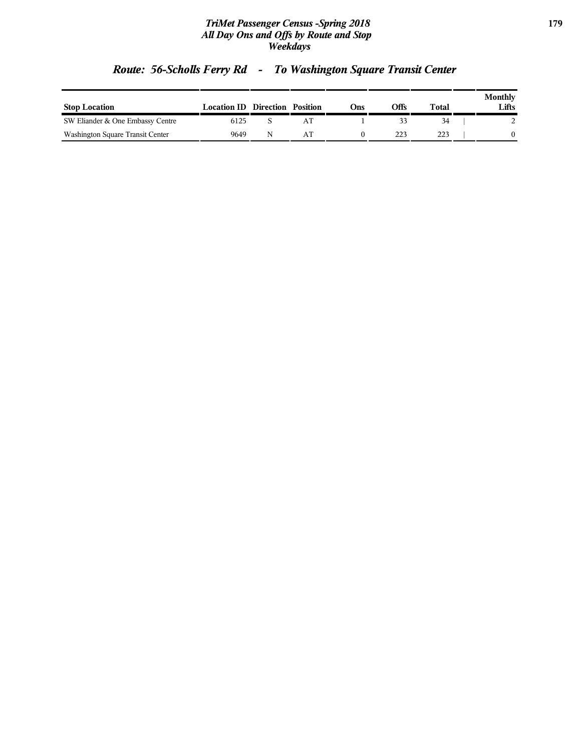#### *TriMet Passenger Census -Spring 2018* **179** *All Day Ons and Offs by Route and Stop Weekdays*

| <b>Stop Location</b>             | <b>Location ID Direction Position</b> |    | Dns) | Offs | Total | Monthly<br>Lifts |
|----------------------------------|---------------------------------------|----|------|------|-------|------------------|
| SW Eliander & One Embassy Centre | 6125                                  | AT |      |      |       |                  |
| Washington Square Transit Center | 9649                                  | AT |      |      | 223   |                  |

# *Route: 56-Scholls Ferry Rd - To Washington Square Transit Center*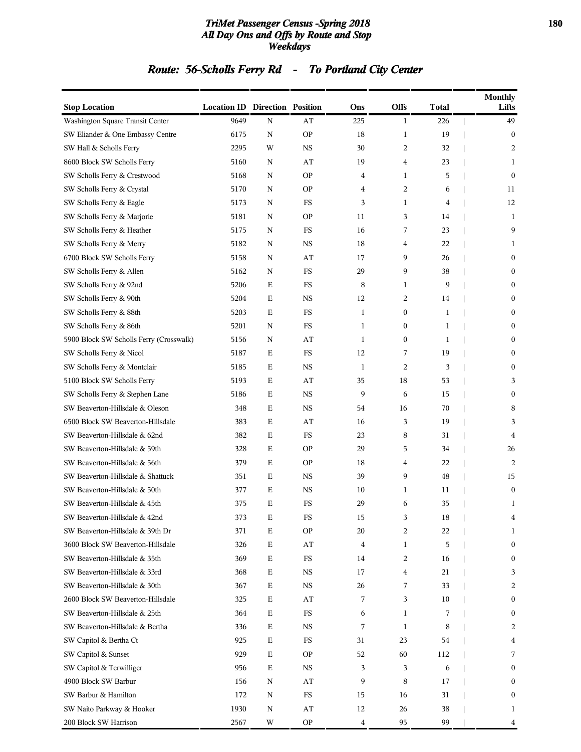#### *TriMet Passenger Census -Spring 2018* **180** *All Day Ons and Offs by Route and Stop Weekdays*

# *Route: 56-Scholls Ferry Rd - To Portland City Center*

| <b>Stop Location</b>                    | <b>Location ID Direction Position</b> |             |             | Ons                     | <b>Offs</b>  | <b>Total</b> | <b>Monthly</b><br>Lifts |
|-----------------------------------------|---------------------------------------|-------------|-------------|-------------------------|--------------|--------------|-------------------------|
| Washington Square Transit Center        | 9649                                  | ${\rm N}$   | AT          | 225                     | $\mathbf{1}$ | 226          | 49                      |
| SW Eliander & One Embassy Centre        | 6175                                  | Ν           | <b>OP</b>   | 18                      | 1            | 19           | $\mathbf{0}$            |
| SW Hall & Scholls Ferry                 | 2295                                  | W           | <b>NS</b>   | 30                      | 2            | 32           | 2                       |
| 8600 Block SW Scholls Ferry             | 5160                                  | N           | AT          | 19                      | 4            | 23           | 1                       |
| SW Scholls Ferry & Crestwood            | 5168                                  | Ν           | <b>OP</b>   | 4                       | 1            | 5            | $\mathbf{0}$            |
| SW Scholls Ferry & Crystal              | 5170                                  | Ν           | <b>OP</b>   | 4                       | 2            | 6            | 11                      |
| SW Scholls Ferry & Eagle                | 5173                                  | Ν           | FS          | 3                       | 1            | 4            | 12                      |
| SW Scholls Ferry & Marjorie             | 5181                                  | Ν           | <b>OP</b>   | 11                      | 3            | 14           | 1                       |
| SW Scholls Ferry & Heather              | 5175                                  | N           | FS          | 16                      | 7            | 23           | 9                       |
| SW Scholls Ferry & Merry                | 5182                                  | Ν           | <b>NS</b>   | 18                      | 4            | 22           | 1                       |
| 6700 Block SW Scholls Ferry             | 5158                                  | Ν           | AT          | 17                      | 9            | 26           | $\boldsymbol{0}$        |
| SW Scholls Ferry & Allen                | 5162                                  | Ν           | $_{\rm FS}$ | 29                      | 9            | 38           | $\boldsymbol{0}$        |
| SW Scholls Ferry & 92nd                 | 5206                                  | $\mathbf E$ | FS          | 8                       | 1            | 9            | $\mathbf{0}$            |
| SW Scholls Ferry & 90th                 | 5204                                  | $\mathbf E$ | <b>NS</b>   | 12                      | 2            | 14           | $\boldsymbol{0}$        |
| SW Scholls Ferry & 88th                 | 5203                                  | $\mathbf E$ | FS          | 1                       | 0            | 1            | $\boldsymbol{0}$        |
| SW Scholls Ferry & 86th                 | 5201                                  | Ν           | FS          | 1                       | 0            | 1            | $\boldsymbol{0}$        |
| 5900 Block SW Scholls Ferry (Crosswalk) | 5156                                  | Ν           | AT          | $\mathbf{1}$            | 0            | 1            | $\boldsymbol{0}$        |
| SW Scholls Ferry & Nicol                | 5187                                  | $\mathbf E$ | FS          | 12                      | 7            | 19           | $\mathbf{0}$            |
| SW Scholls Ferry & Montclair            | 5185                                  | $\mathbf E$ | <b>NS</b>   | 1                       | 2            | 3            | $\mathbf{0}$            |
| 5100 Block SW Scholls Ferry             | 5193                                  | $\mathbf E$ | AT          | 35                      | 18           | 53           | 3                       |
| SW Scholls Ferry & Stephen Lane         | 5186                                  | Е           | NS          | 9                       | 6            | 15           | $\boldsymbol{0}$        |
| SW Beaverton-Hillsdale & Oleson         | 348                                   | E           | <b>NS</b>   | 54                      | 16           | 70           | 8                       |
| 6500 Block SW Beaverton-Hillsdale       | 383                                   | E           | AT          | 16                      | 3            | 19           | 3                       |
| SW Beaverton-Hillsdale & 62nd           | 382                                   | $\mathbf E$ | FS          | 23                      | 8            | 31           | 4                       |
| SW Beaverton-Hillsdale & 59th           | 328                                   | $\mathbf E$ | <b>OP</b>   | 29                      | 5            | 34           | 26                      |
| SW Beaverton-Hillsdale & 56th           | 379                                   | $\mathbf E$ | <b>OP</b>   | 18                      | 4            | 22           | 2                       |
| SW Beaverton-Hillsdale & Shattuck       | 351                                   | Ε           | NS          | 39                      | 9            | 48           | 15                      |
| SW Beaverton-Hillsdale & 50th           | 377                                   | E           | NS          | 10                      | 1            | 11           | $\bf{0}$                |
| SW Beaverton-Hillsdale & 45th           | 375                                   | $\mathbf E$ | FS          | 29                      | 6            | 35           | 1                       |
| SW Beaverton-Hillsdale & 42nd           | 373                                   | Ε           | $_{\rm FS}$ | 15                      | 3            | $18\,$       | 4                       |
| SW Beaverton-Hillsdale & 39th Dr        | 371                                   | Ε           | <b>OP</b>   | 20                      | 2            | 22           | 1                       |
| 3600 Block SW Beaverton-Hillsdale       | 326                                   | $\mathbf E$ | AT          | 4                       | 1            | 5            | $\boldsymbol{0}$        |
| SW Beaverton-Hillsdale & 35th           | 369                                   | $\mathbf E$ | FS          | 14                      | 2            | 16           | $\mathbf{0}$            |
| SW Beaverton-Hillsdale & 33rd           | 368                                   | $\mathbf E$ | NS          | 17                      | 4            | 21           | 3                       |
| SW Beaverton-Hillsdale & 30th           | 367                                   | $\mathbf E$ | <b>NS</b>   | 26                      | 7            | 33           | 2                       |
| 2600 Block SW Beaverton-Hillsdale       | 325                                   | Е           | AT          | 7                       | 3            | 10           | $\boldsymbol{0}$        |
| SW Beaverton-Hillsdale & 25th           | 364                                   | $\mathbf E$ | FS          | 6                       | 1            | 7            | $\boldsymbol{0}$        |
| SW Beaverton-Hillsdale & Bertha         | 336                                   | $\mathbf E$ | NS          | 7                       | 1            | 8            | 2                       |
| SW Capitol & Bertha Ct                  | 925                                   | $\mathbf E$ | FS          | 31                      | 23           | 54           | 4                       |
| SW Capitol & Sunset                     | 929                                   | $\mathbf E$ | <b>OP</b>   | 52                      | 60           | 112          | 7                       |
| SW Capitol & Terwilliger                | 956                                   | Е           | NS          | 3                       | 3            | 6            | $\boldsymbol{0}$        |
| 4900 Block SW Barbur                    | 156                                   | N           | AT          | 9                       | 8            | 17           | $\mathbf{0}$            |
| SW Barbur & Hamilton                    | 172                                   | Ν           | FS          | 15                      | 16           | 31           | $\mathbf{0}$            |
| SW Naito Parkway & Hooker               | 1930                                  | N           | AT          | 12                      | 26           | 38           | 1                       |
| 200 Block SW Harrison                   | 2567                                  | W           | <b>OP</b>   | $\overline{\mathbf{4}}$ | 95           | 99           | 4                       |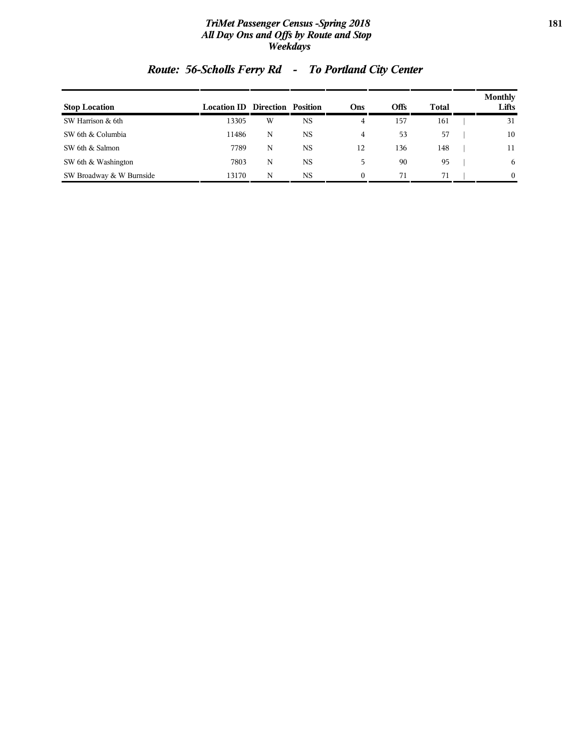### *TriMet Passenger Census -Spring 2018* **181** *All Day Ons and Offs by Route and Stop Weekdays*

| <b>Stop Location</b>     | <b>Location ID Direction Position</b> |   |           | Ons      | <b>Offs</b> | Total | <b>Monthly</b><br>Lifts |
|--------------------------|---------------------------------------|---|-----------|----------|-------------|-------|-------------------------|
| SW Harrison & 6th        | 13305                                 | W | NS        | 4        | 157         | 161   | 31                      |
| SW 6th & Columbia        | 11486                                 | N | NS        | 4        | 53          | 57    | 10                      |
| SW 6th & Salmon          | 7789                                  | N | <b>NS</b> | 12       | 136         | 148   | 11                      |
| SW 6th & Washington      | 7803                                  | N | <b>NS</b> | 5        | 90          | 95    | 6                       |
| SW Broadway & W Burnside | 13170                                 | N | NS        | $\theta$ | 71          | 71    | $\Omega$                |

# *Route: 56-Scholls Ferry Rd - To Portland City Center*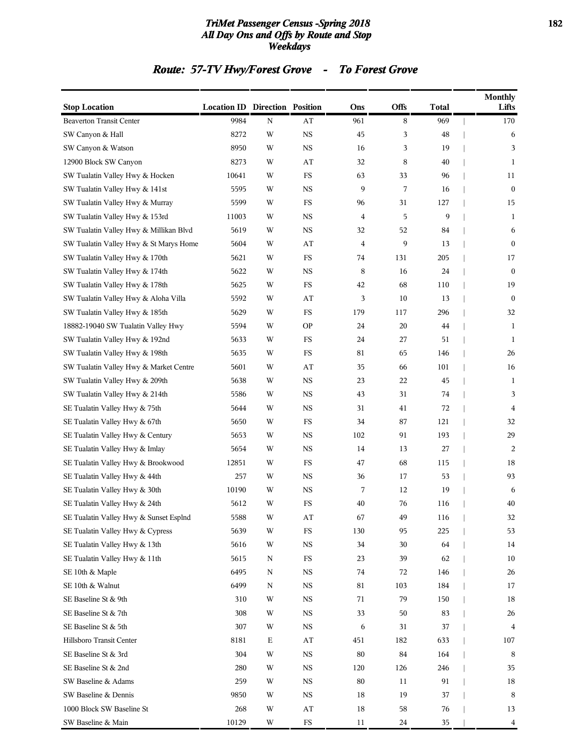### *TriMet Passenger Census -Spring 2018* **182** *All Day Ons and Offs by Route and Stop Weekdays*

# *Route: 57-TV Hwy/Forest Grove - To Forest Grove*

| <b>Stop Location</b>                   | <b>Location ID Direction Position</b> |   |             | Ons            | <b>Offs</b> | <b>Total</b> | <b>Monthly</b><br>Lifts |
|----------------------------------------|---------------------------------------|---|-------------|----------------|-------------|--------------|-------------------------|
| <b>Beaverton Transit Center</b>        | 9984                                  | N | AT          | 961            | 8           | 969          | 170                     |
| SW Canyon & Hall                       | 8272                                  | W | <b>NS</b>   | 45             | 3           | 48           | 6                       |
| SW Canyon & Watson                     | 8950                                  | W | <b>NS</b>   | 16             | 3           | 19           | 3                       |
| 12900 Block SW Canyon                  | 8273                                  | W | AT          | 32             | 8           | 40           | 1                       |
| SW Tualatin Valley Hwy & Hocken        | 10641                                 | W | FS          | 63             | 33          | 96           | 11                      |
| SW Tualatin Valley Hwy & 141st         | 5595                                  | W | NS          | 9              | 7           | 16           | $\mathbf{0}$            |
| SW Tualatin Valley Hwy & Murray        | 5599                                  | W | FS          | 96             | 31          | 127          | 15                      |
| SW Tualatin Valley Hwy & 153rd         | 11003                                 | W | <b>NS</b>   | 4              | 5           | 9            | 1                       |
| SW Tualatin Valley Hwy & Millikan Blvd | 5619                                  | W | NS          | 32             | 52          | 84           | 6                       |
| SW Tualatin Valley Hwy & St Marys Home | 5604                                  | W | AT          | $\overline{4}$ | 9           | 13           | $\mathbf{0}$            |
| SW Tualatin Valley Hwy & 170th         | 5621                                  | W | FS          | 74             | 131         | 205          | 17                      |
| SW Tualatin Valley Hwy & 174th         | 5622                                  | W | NS          | 8              | 16          | 24           | $\bf{0}$                |
| SW Tualatin Valley Hwy & 178th         | 5625                                  | W | FS          | 42             | 68          | 110          | 19                      |
| SW Tualatin Valley Hwy & Aloha Villa   | 5592                                  | W | AT          | 3              | 10          | 13           | $\boldsymbol{0}$        |
| SW Tualatin Valley Hwy & 185th         | 5629                                  | W | FS          | 179            | 117         | 296          | 32                      |
| 18882-19040 SW Tualatin Valley Hwy     | 5594                                  | W | <b>OP</b>   | 24             | 20          | 44           | 1                       |
| SW Tualatin Valley Hwy & 192nd         | 5633                                  | W | FS          | 24             | 27          | 51           | 1                       |
| SW Tualatin Valley Hwy & 198th         | 5635                                  | W | FS          | 81             | 65          | 146          | 26                      |
| SW Tualatin Valley Hwy & Market Centre | 5601                                  | W | AT          | 35             | 66          | 101          | 16                      |
| SW Tualatin Valley Hwy & 209th         | 5638                                  | W | NS          | 23             | 22          | 45           | 1                       |
| SW Tualatin Valley Hwy & 214th         | 5586                                  | W | NS          | 43             | 31          | 74           | 3                       |
| SE Tualatin Valley Hwy & 75th          | 5644                                  | W | <b>NS</b>   | 31             | 41          | 72           | 4                       |
| SE Tualatin Valley Hwy & 67th          | 5650                                  | W | FS          | 34             | 87          | 121          | 32                      |
| SE Tualatin Valley Hwy & Century       | 5653                                  | W | NS          | 102            | 91          | 193          | 29                      |
| SE Tualatin Valley Hwy & Imlay         | 5654                                  | W | NS          | 14             | 13          | 27           | 2                       |
| SE Tualatin Valley Hwy & Brookwood     | 12851                                 | W | FS          | 47             | 68          | 115          | 18                      |
| SE Tualatin Valley Hwy & 44th          | 257                                   | W | <b>NS</b>   | 36             | 17          | 53           | 93                      |
| SE Tualatin Valley Hwy & 30th          | 10190                                 | W | <b>NS</b>   | 7              | 12          | 19           | 6                       |
| SE Tualatin Valley Hwy & 24th          | 5612                                  | W | FS          | 40             | 76          | 116          | 40                      |
| SE Tualatin Valley Hwy & Sunset Esplnd | 5588                                  | W | AT          | 67             | 49          | 116          | 32                      |
| SE Tualatin Valley Hwy & Cypress       | 5639                                  | W | $_{\rm FS}$ | 130            | 95          | 225          | 53                      |
| SE Tualatin Valley Hwy & 13th          | 5616                                  | W | $_{\rm NS}$ | 34             | $30\,$      | 64           | 14                      |
| SE Tualatin Valley Hwy & 11th          | 5615                                  | N | $_{\rm FS}$ | 23             | 39          | 62           | 10                      |
| SE 10th & Maple                        | 6495                                  | N | <b>NS</b>   | 74             | 72          | 146          | 26                      |
| SE 10th & Walnut                       | 6499                                  | N | $_{\rm NS}$ | 81             | 103         | 184          | 17                      |
| SE Baseline St & 9th                   | 310                                   | W | $_{\rm NS}$ | 71             | 79          | 150          | 18                      |
| SE Baseline St & 7th                   | 308                                   | W | $_{\rm NS}$ | 33             | 50          | 83           | 26                      |
| SE Baseline St & 5th                   | 307                                   | W | $_{\rm NS}$ | 6              | 31          | 37           | $\overline{4}$          |
| Hillsboro Transit Center               | 8181                                  | Ε | AT          | 451            | 182         | 633          | 107                     |
| SE Baseline St & 3rd                   | 304                                   | W | $_{\rm NS}$ | $80\,$         | 84          | 164          | 8                       |
| SE Baseline St & 2nd                   | 280                                   | W | $_{\rm NS}$ | 120            | 126         | 246          | 35                      |
| SW Baseline & Adams                    | 259                                   | W | $_{\rm NS}$ | 80             | 11          | 91           | 18                      |
| SW Baseline & Dennis                   | 9850                                  | W | $_{\rm NS}$ | 18             | 19          | 37           | $\,8\,$                 |
| 1000 Block SW Baseline St              | 268                                   | W | AT          | 18             | 58          | 76           | 13                      |
| SW Baseline & Main                     | 10129                                 | W | ${\rm FS}$  | 11             | $24\,$      | $35\,$       | 4                       |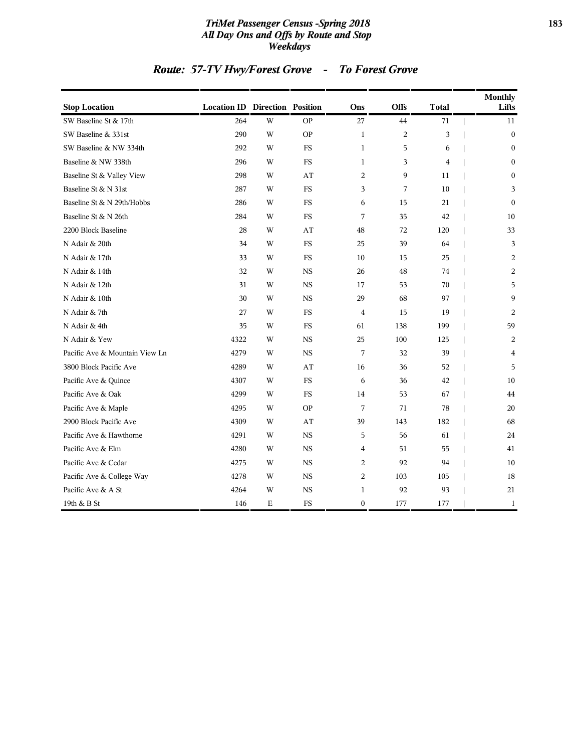### *TriMet Passenger Census -Spring 2018* **183** *All Day Ons and Offs by Route and Stop Weekdays*

# *Route: 57-TV Hwy/Forest Grove - To Forest Grove*

| <b>Stop Location</b>           | <b>Location ID Direction Position</b> |             |           | Ons              | Offs             | <b>Total</b>   | <b>Monthly</b><br>Lifts |
|--------------------------------|---------------------------------------|-------------|-----------|------------------|------------------|----------------|-------------------------|
| SW Baseline St & 17th          | 264                                   | W           | <b>OP</b> | 27               | 44               | 71             | 11                      |
| SW Baseline & 331st            | 290                                   | W           | <b>OP</b> | $\mathbf{1}$     | $\boldsymbol{2}$ | 3              | $\boldsymbol{0}$        |
| SW Baseline & NW 334th         | 292                                   | W           | <b>FS</b> | $\mathbf{1}$     | 5                | 6              | $\boldsymbol{0}$        |
| Baseline & NW 338th            | 296                                   | W           | <b>FS</b> | $\mathbf{1}$     | 3                | $\overline{4}$ | $\mathbf{0}$            |
| Baseline St & Valley View      | 298                                   | W           | AT        | 2                | 9                | 11             | $\boldsymbol{0}$        |
| Baseline St & N 31st           | 287                                   | W           | FS        | 3                | 7                | 10             | 3                       |
| Baseline St & N 29th/Hobbs     | 286                                   | W           | <b>FS</b> | 6                | 15               | 21             | $\mathbf{0}$            |
| Baseline St & N 26th           | 284                                   | W           | <b>FS</b> | 7                | 35               | 42             | 10                      |
| 2200 Block Baseline            | 28                                    | W           | AT        | 48               | 72               | 120            | 33                      |
| N Adair & 20th                 | 34                                    | W           | <b>FS</b> | 25               | 39               | 64             | 3                       |
| N Adair & 17th                 | 33                                    | W           | <b>FS</b> | 10               | 15               | 25             | 2                       |
| N Adair & 14th                 | 32                                    | W           | <b>NS</b> | 26               | 48               | 74             | 2                       |
| N Adair & 12th                 | 31                                    | W           | <b>NS</b> | 17               | 53               | 70             | 5                       |
| N Adair & 10th                 | 30                                    | W           | <b>NS</b> | 29               | 68               | 97             | 9                       |
| N Adair & 7th                  | 27                                    | W           | <b>FS</b> | $\overline{4}$   | 15               | 19             | 2                       |
| N Adair & 4th                  | 35                                    | W           | <b>FS</b> | 61               | 138              | 199            | 59                      |
| N Adair & Yew                  | 4322                                  | W           | <b>NS</b> | 25               | 100              | 125            | 2                       |
| Pacific Ave & Mountain View Ln | 4279                                  | W           | <b>NS</b> | 7                | 32               | 39             | $\overline{4}$          |
| 3800 Block Pacific Ave         | 4289                                  | W           | AT        | 16               | 36               | 52             | 5                       |
| Pacific Ave & Quince           | 4307                                  | W           | <b>FS</b> | 6                | 36               | 42             | 10                      |
| Pacific Ave & Oak              | 4299                                  | W           | FS        | 14               | 53               | 67             | 44                      |
| Pacific Ave & Maple            | 4295                                  | W           | <b>OP</b> | 7                | 71               | 78             | 20                      |
| 2900 Block Pacific Ave         | 4309                                  | W           | AT        | 39               | 143              | 182            | 68                      |
| Pacific Ave & Hawthorne        | 4291                                  | W           | <b>NS</b> | 5                | 56               | 61             | 24                      |
| Pacific Ave & Elm              | 4280                                  | W           | <b>NS</b> | 4                | 51               | 55             | 41                      |
| Pacific Ave & Cedar            | 4275                                  | W           | <b>NS</b> | 2                | 92               | 94             | 10                      |
| Pacific Ave & College Way      | 4278                                  | W           | <b>NS</b> | $\overline{c}$   | 103              | 105            | 18                      |
| Pacific Ave & A St             | 4264                                  | W           | <b>NS</b> | $\mathbf{1}$     | 92               | 93             | 21                      |
| 19th & B St                    | 146                                   | $\mathbf E$ | FS        | $\boldsymbol{0}$ | 177              | 177            | $\mathbf{1}$            |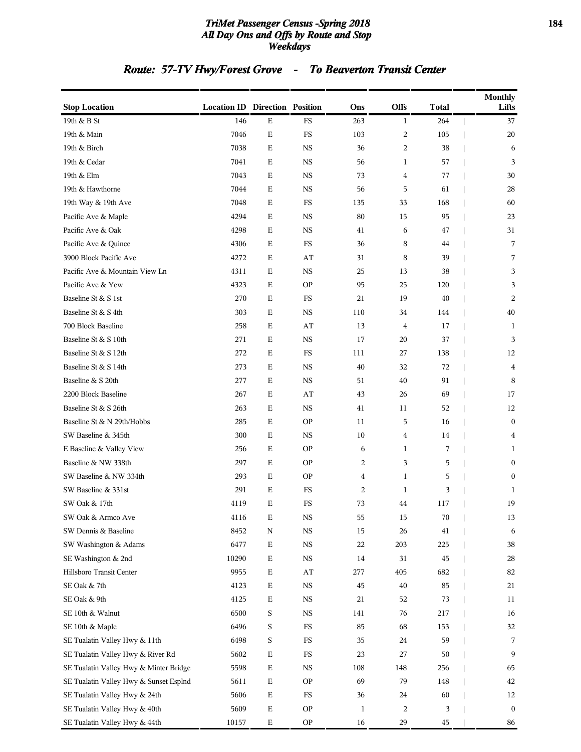### *TriMet Passenger Census -Spring 2018* **184** *All Day Ons and Offs by Route and Stop Weekdays*

# *Route: 57-TV Hwy/Forest Grove - To Beaverton Transit Center*

| <b>Stop Location</b>                   | <b>Location ID Direction Position</b> |             |             | Ons          | <b>Offs</b>             | <b>Total</b> | <b>Monthly</b><br>Lifts |
|----------------------------------------|---------------------------------------|-------------|-------------|--------------|-------------------------|--------------|-------------------------|
| 19th & B St                            | 146                                   | $\mathbf E$ | FS          | 263          | $\mathbf{1}$            | 264          | 37                      |
| 19th & Main                            | 7046                                  | $\mathbf E$ | FS          | 103          | $\overline{c}$          | 105          | 20                      |
| 19th & Birch                           | 7038                                  | $\mathbf E$ | <b>NS</b>   | 36           | $\overline{c}$          | 38           | 6                       |
| 19th & Cedar                           | 7041                                  | Ε           | <b>NS</b>   | 56           | $\mathbf{1}$            | 57           | 3                       |
| 19th & Elm                             | 7043                                  | $\mathbf E$ | <b>NS</b>   | 73           | $\overline{\mathbf{4}}$ | 77           | 30                      |
| 19th & Hawthorne                       | 7044                                  | $\mathbf E$ | <b>NS</b>   | 56           | 5                       | 61           | 28                      |
| 19th Way & 19th Ave                    | 7048                                  | $\mathbf E$ | FS          | 135          | 33                      | 168          | 60                      |
| Pacific Ave & Maple                    | 4294                                  | $\mathbf E$ | <b>NS</b>   | 80           | 15                      | 95           | 23                      |
| Pacific Ave & Oak                      | 4298                                  | Ε           | <b>NS</b>   | 41           | 6                       | 47           | 31                      |
| Pacific Ave & Quince                   | 4306                                  | Ε           | FS          | 36           | 8                       | 44           | 7                       |
| 3900 Block Pacific Ave                 | 4272                                  | $\mathbf E$ | AT          | 31           | 8                       | 39           | 7                       |
| Pacific Ave & Mountain View Ln         | 4311                                  | $\mathbf E$ | <b>NS</b>   | 25           | 13                      | 38           | 3                       |
| Pacific Ave & Yew                      | 4323                                  | $\mathbf E$ | <b>OP</b>   | 95           | 25                      | 120          | 3                       |
| Baseline St & S 1st                    | 270                                   | Ε           | FS          | 21           | 19                      | 40           | 2                       |
| Baseline St & S 4th                    | 303                                   | Ε           | <b>NS</b>   | 110          | 34                      | 144          | 40                      |
| 700 Block Baseline                     | 258                                   | $\mathbf E$ | AT          | 13           | $\overline{4}$          | 17           | 1                       |
| Baseline St & S 10th                   | 271                                   | $\mathbf E$ | <b>NS</b>   | 17           | 20                      | 37           | 3                       |
| Baseline St & S 12th                   | 272                                   | $\mathbf E$ | FS          | 111          | 27                      | 138          | 12                      |
| Baseline St & S 14th                   | 273                                   | $\mathbf E$ | <b>NS</b>   | 40           | 32                      | 72           | 4                       |
| Baseline & S 20th                      | 277                                   | Ε           | <b>NS</b>   | 51           | 40                      | 91           | 8                       |
| 2200 Block Baseline                    | 267                                   | $\mathbf E$ | AT          | 43           | 26                      | 69           | 17                      |
| Baseline St & S 26th                   | 263                                   | $\mathbf E$ | <b>NS</b>   | 41           | 11                      | 52           | 12                      |
| Baseline St & N 29th/Hobbs             | 285                                   | $\mathbf E$ | <b>OP</b>   | 11           | 5                       | 16           | $\boldsymbol{0}$        |
| SW Baseline & 345th                    | 300                                   | $\mathbf E$ | NS          | 10           | 4                       | 14           | 4                       |
| E Baseline & Valley View               | 256                                   | Ε           | <b>OP</b>   | 6            | 1                       | 7            | 1                       |
| Baseline & NW 338th                    | 297                                   | Ε           | <b>OP</b>   | 2            | 3                       | 5            | $\boldsymbol{0}$        |
| SW Baseline & NW 334th                 | 293                                   | $\mathbf E$ | <b>OP</b>   | 4            | $\mathbf{1}$            | 5            | $\boldsymbol{0}$        |
| SW Baseline & 331st                    | 291                                   | $\mathbf E$ | FS          | 2            | $\mathbf{1}$            | 3            | 1                       |
| SW Oak & 17th                          | 4119                                  | Ε           | FS          | 73           | 44                      | 117          | 19                      |
| SW Oak & Armco Ave                     | 4116                                  | Ε           | $_{\rm NS}$ | 55           | $15\,$                  | 70           | 13                      |
| SW Dennis & Baseline                   | 8452                                  | $\mathbf N$ | $_{\rm NS}$ | 15           | 26                      | 41           | 6                       |
| SW Washington & Adams                  | 6477                                  | $\mathbf E$ | $_{\rm NS}$ | 22           | 203                     | 225          | 38                      |
| SE Washington & 2nd                    | 10290                                 | $\mathbf E$ | $_{\rm NS}$ | 14           | 31                      | 45           | $28\,$                  |
| Hillsboro Transit Center               | 9955                                  | $\mathbf E$ | AT          | 277          | 405                     | 682          | 82                      |
| SE Oak & 7th                           | 4123                                  | $\mathbf E$ | $_{\rm NS}$ | 45           | 40                      | 85           | 21                      |
| SE Oak & 9th                           | 4125                                  | $\mathbf E$ | $_{\rm NS}$ | 21           | 52                      | 73           | 11                      |
| SE 10th & Walnut                       | 6500                                  | S           | $_{\rm NS}$ | 141          | 76                      | 217          | 16                      |
| SE 10th & Maple                        | 6496                                  | S           | $_{\rm FS}$ | 85           | 68                      | 153          | 32                      |
| SE Tualatin Valley Hwy & 11th          | 6498                                  | S           | FS          | 35           | 24                      | 59           | 7                       |
| SE Tualatin Valley Hwy & River Rd      | 5602                                  | $\mathbf E$ | $_{\rm FS}$ | 23           | 27                      | 50           | 9                       |
| SE Tualatin Valley Hwy & Minter Bridge | 5598                                  | $\mathbf E$ | $_{\rm NS}$ | 108          | 148                     | 256          | 65                      |
| SE Tualatin Valley Hwy & Sunset Esplnd | 5611                                  | $\mathbf E$ | <b>OP</b>   | 69           | 79                      | 148          | 42                      |
| SE Tualatin Valley Hwy & 24th          | 5606                                  | $\mathbf E$ | FS          | 36           | 24                      | 60           | 12                      |
| SE Tualatin Valley Hwy & 40th          | 5609                                  | $\mathbf E$ | <b>OP</b>   | $\mathbf{1}$ | $\overline{\mathbf{c}}$ | 3            | $\boldsymbol{0}$        |
| SE Tualatin Valley Hwy & 44th          | 10157                                 | $\mathbf E$ | <b>OP</b>   | 16           | 29                      | 45           | 86                      |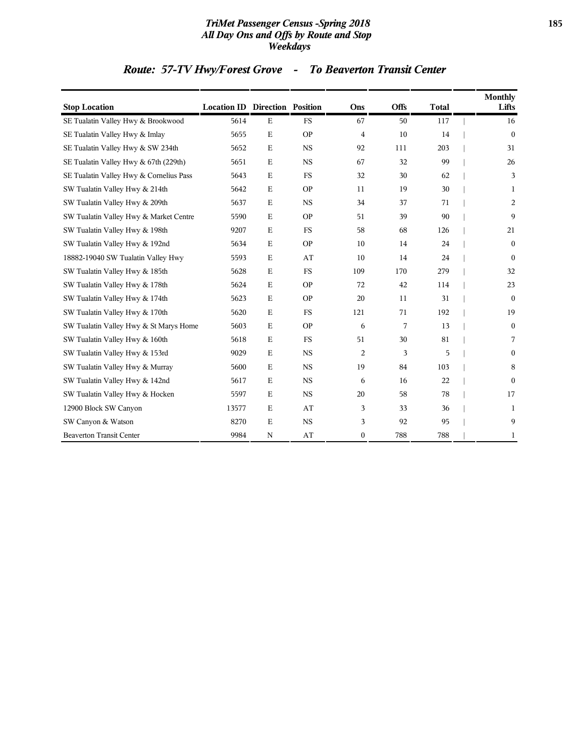### *TriMet Passenger Census -Spring 2018* **185** *All Day Ons and Offs by Route and Stop Weekdays*

# *Route: 57-TV Hwy/Forest Grove - To Beaverton Transit Center*

| <b>Stop Location</b>                    | <b>Location ID Direction Position</b> |             |             | Ons            | <b>Offs</b> | <b>Total</b> | <b>Monthly</b><br>Lifts |
|-----------------------------------------|---------------------------------------|-------------|-------------|----------------|-------------|--------------|-------------------------|
| SE Tualatin Valley Hwy & Brookwood      | 5614                                  | $\mathbf E$ | <b>FS</b>   | 67             | 50          | 117          | 16                      |
| SE Tualatin Valley Hwy & Imlay          | 5655                                  | Ε           | <b>OP</b>   | 4              | 10          | 14           | $\mathbf{0}$            |
| SE Tualatin Valley Hwy & SW 234th       | 5652                                  | $\mathbf E$ | $_{\rm NS}$ | 92             | 111         | 203          | 31                      |
| SE Tualatin Valley Hwy & 67th (229th)   | 5651                                  | Ε           | <b>NS</b>   | 67             | 32          | 99           | 26                      |
| SE Tualatin Valley Hwy & Cornelius Pass | 5643                                  | $\mathbf E$ | <b>FS</b>   | 32             | 30          | 62           | 3                       |
| SW Tualatin Valley Hwy & 214th          | 5642                                  | E           | <b>OP</b>   | 11             | 19          | 30           | 1                       |
| SW Tualatin Valley Hwy & 209th          | 5637                                  | $\mathbf E$ | $_{\rm NS}$ | 34             | 37          | 71           | 2                       |
| SW Tualatin Valley Hwy & Market Centre  | 5590                                  | $\mathbf E$ | <b>OP</b>   | 51             | 39          | 90           | 9                       |
| SW Tualatin Valley Hwy & 198th          | 9207                                  | $\mathbf E$ | <b>FS</b>   | 58             | 68          | 126          | 21                      |
| SW Tualatin Valley Hwy & 192nd          | 5634                                  | Ε           | <b>OP</b>   | 10             | 14          | 24           | $\mathbf{0}$            |
| 18882-19040 SW Tualatin Valley Hwy      | 5593                                  | $\mathbf E$ | AT          | 10             | 14          | 24           | $\mathbf{0}$            |
| SW Tualatin Valley Hwy & 185th          | 5628                                  | Ε           | <b>FS</b>   | 109            | 170         | 279          | 32                      |
| SW Tualatin Valley Hwy & 178th          | 5624                                  | $\mathbf E$ | <b>OP</b>   | 72             | 42          | 114          | 23                      |
| SW Tualatin Valley Hwy & 174th          | 5623                                  | $\mathbf E$ | <b>OP</b>   | 20             | 11          | 31           | $\mathbf{0}$            |
| SW Tualatin Valley Hwy & 170th          | 5620                                  | $\mathbf E$ | <b>FS</b>   | 121            | 71          | 192          | 19                      |
| SW Tualatin Valley Hwy & St Marys Home  | 5603                                  | $\mathbf E$ | <b>OP</b>   | 6              | 7           | 13           | $\mathbf{0}$            |
| SW Tualatin Valley Hwy & 160th          | 5618                                  | $\mathbf E$ | <b>FS</b>   | 51             | 30          | 81           | 7                       |
| SW Tualatin Valley Hwy & 153rd          | 9029                                  | Ε           | <b>NS</b>   | $\overline{c}$ | 3           | 5            | $\mathbf{0}$            |
| SW Tualatin Valley Hwy & Murray         | 5600                                  | $\mathbf E$ | $_{\rm NS}$ | 19             | 84          | 103          | 8                       |
| SW Tualatin Valley Hwy & 142nd          | 5617                                  | $\mathbf E$ | $_{\rm NS}$ | 6              | 16          | 22           | $\mathbf{0}$            |
| SW Tualatin Valley Hwy & Hocken         | 5597                                  | $\mathbf E$ | <b>NS</b>   | 20             | 58          | 78           | 17                      |
| 12900 Block SW Canyon                   | 13577                                 | $\mathbf E$ | AT          | 3              | 33          | 36           | 1                       |
| SW Canyon & Watson                      | 8270                                  | Ε           | <b>NS</b>   | 3              | 92          | 95           | 9                       |
| <b>Beaverton Transit Center</b>         | 9984                                  | N           | AT          | $\mathbf{0}$   | 788         | 788          | 1                       |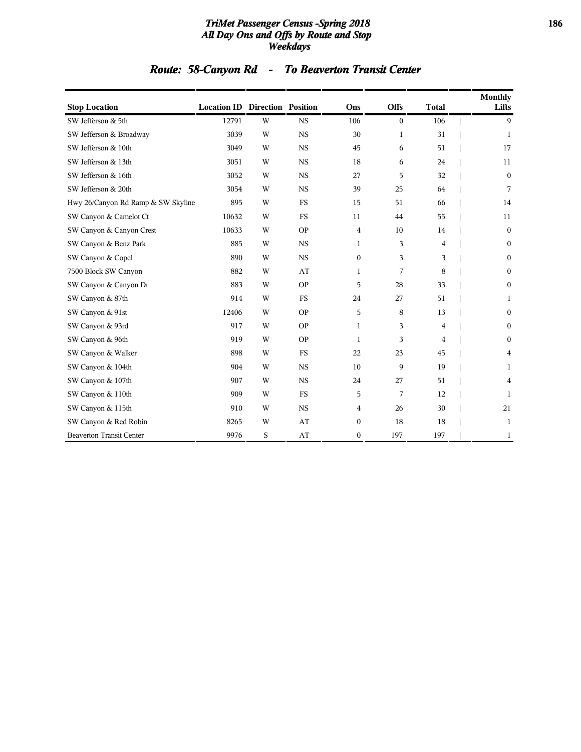### *TriMet Passenger Census -Spring 2018* **186** *All Day Ons and Offs by Route and Stop Weekdays*

# *Route: 58-Canyon Rd - To Beaverton Transit Center*

| <b>Stop Location</b>               | <b>Location ID Direction Position</b> |   |           | Ons              | <b>Offs</b>      | <b>Total</b> | <b>Monthly</b><br>Lifts |
|------------------------------------|---------------------------------------|---|-----------|------------------|------------------|--------------|-------------------------|
| SW Jefferson & 5th                 | 12791                                 | W | <b>NS</b> | 106              | $\boldsymbol{0}$ | 106          | 9                       |
| SW Jefferson & Broadway            | 3039                                  | W | <b>NS</b> | 30               | 1                | 31           | 1                       |
| SW Jefferson & 10th                | 3049                                  | W | <b>NS</b> | 45               | 6                | 51           | 17                      |
| SW Jefferson & 13th                | 3051                                  | W | <b>NS</b> | 18               | 6                | 24           | 11                      |
| SW Jefferson & 16th                | 3052                                  | W | <b>NS</b> | 27               | 5                | 32           | $\boldsymbol{0}$        |
| SW Jefferson & 20th                | 3054                                  | W | <b>NS</b> | 39               | 25               | 64           | 7                       |
| Hwy 26/Canyon Rd Ramp & SW Skyline | 895                                   | W | <b>FS</b> | 15               | 51               | 66           | 14                      |
| SW Canyon & Camelot Ct             | 10632                                 | W | <b>FS</b> | 11               | 44               | 55           | 11                      |
| SW Canyon & Canyon Crest           | 10633                                 | W | <b>OP</b> | 4                | 10               | 14           | $\boldsymbol{0}$        |
| SW Canyon & Benz Park              | 885                                   | W | <b>NS</b> | 1                | 3                | 4            | $\boldsymbol{0}$        |
| SW Canyon & Copel                  | 890                                   | W | <b>NS</b> | $\Omega$         | 3                | 3            | $\mathbf{0}$            |
| 7500 Block SW Canyon               | 882                                   | W | AT        | 1                | 7                | 8            | $\mathbf{0}$            |
| SW Canyon & Canyon Dr              | 883                                   | W | <b>OP</b> | 5                | 28               | 33           | $\mathbf{0}$            |
| SW Canyon & 87th                   | 914                                   | W | <b>FS</b> | 24               | 27               | 51           | 1                       |
| SW Canyon & 91st                   | 12406                                 | W | <b>OP</b> | 5                | 8                | 13           | $\boldsymbol{0}$        |
| SW Canyon & 93rd                   | 917                                   | W | <b>OP</b> | $\mathbf{1}$     | 3                | 4            | $\boldsymbol{0}$        |
| SW Canyon & 96th                   | 919                                   | W | <b>OP</b> | 1                | 3                | 4            | $\boldsymbol{0}$        |
| SW Canyon & Walker                 | 898                                   | W | <b>FS</b> | 22               | 23               | 45           | 4                       |
| SW Canyon & 104th                  | 904                                   | W | <b>NS</b> | 10               | 9                | 19           | 1                       |
| SW Canyon & 107th                  | 907                                   | W | <b>NS</b> | 24               | 27               | 51           | 4                       |
| SW Canyon & 110th                  | 909                                   | W | <b>FS</b> | 5                | 7                | 12           | 1                       |
| SW Canyon & 115th                  | 910                                   | W | <b>NS</b> | 4                | 26               | 30           | 21                      |
| SW Canyon & Red Robin              | 8265                                  | W | AT        | $\boldsymbol{0}$ | 18               | 18           | $\mathbf{1}$            |
| <b>Beaverton Transit Center</b>    | 9976                                  | S | AT        | $\mathbf{0}$     | 197              | 197          | 1                       |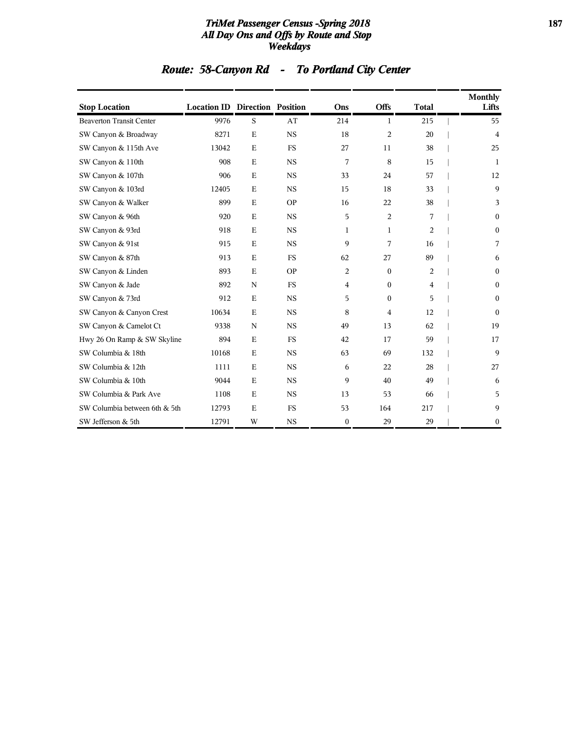### *TriMet Passenger Census -Spring 2018* **187** *All Day Ons and Offs by Route and Stop Weekdays*

|  |  | Route: 58-Canyon Rd |  | <b>To Portland City Center</b> |
|--|--|---------------------|--|--------------------------------|
|--|--|---------------------|--|--------------------------------|

| <b>Stop Location</b>            | <b>Location ID Direction Position</b> |             |           | Ons          | <b>Offs</b>    | <b>Total</b>   | Monthly<br>Lifts |
|---------------------------------|---------------------------------------|-------------|-----------|--------------|----------------|----------------|------------------|
| <b>Beaverton Transit Center</b> | 9976                                  | S           | AT        | 214          | 1              | 215            | 55               |
| SW Canyon & Broadway            | 8271                                  | E           | <b>NS</b> | 18           | $\overline{2}$ | 20             | $\overline{4}$   |
| SW Canyon & 115th Ave           | 13042                                 | E           | <b>FS</b> | 27           | 11             | 38             | 25               |
| SW Canyon & 110th               | 908                                   | E           | <b>NS</b> | 7            | 8              | 15             | -1               |
| SW Canyon & 107th               | 906                                   | $\mathbf E$ | <b>NS</b> | 33           | 24             | 57             | 12               |
| SW Canyon & 103rd               | 12405                                 | $\mathbf E$ | <b>NS</b> | 15           | 18             | 33             | 9                |
| SW Canyon & Walker              | 899                                   | E           | <b>OP</b> | 16           | 22             | 38             | 3                |
| SW Canyon & 96th                | 920                                   | E           | <b>NS</b> | 5            | $\overline{c}$ | 7              | $\mathbf{0}$     |
| SW Canyon & 93rd                | 918                                   | E           | <b>NS</b> | $\mathbf{1}$ | $\mathbf{1}$   | $\overline{2}$ | $\mathbf{0}$     |
| SW Canyon & 91st                | 915                                   | $\mathbf E$ | <b>NS</b> | 9            | 7              | 16             | 7                |
| SW Canyon & 87th                | 913                                   | E           | <b>FS</b> | 62           | 27             | 89             | 6                |
| SW Canyon & Linden              | 893                                   | $\mathbf E$ | <b>OP</b> | 2            | $\mathbf{0}$   | $\overline{c}$ | $\mathbf{0}$     |
| SW Canyon & Jade                | 892                                   | $\mathbf N$ | <b>FS</b> | 4            | $\mathbf{0}$   | $\overline{4}$ | $\theta$         |
| SW Canyon & 73rd                | 912                                   | $\mathbf E$ | <b>NS</b> | 5            | $\mathbf{0}$   | 5              | $\mathbf{0}$     |
| SW Canyon & Canyon Crest        | 10634                                 | $\mathbf E$ | <b>NS</b> | 8            | 4              | 12             | $\theta$         |
| SW Canyon & Camelot Ct          | 9338                                  | N           | <b>NS</b> | 49           | 13             | 62             | 19               |
| Hwy 26 On Ramp & SW Skyline     | 894                                   | $\mathbf E$ | <b>FS</b> | 42           | 17             | 59             | 17               |
| SW Columbia & 18th              | 10168                                 | E           | <b>NS</b> | 63           | 69             | 132            | $\mathbf{Q}$     |
| SW Columbia & 12th              | 1111                                  | $\mathbf E$ | <b>NS</b> | 6            | 22             | 28             | 27               |
| SW Columbia & 10th              | 9044                                  | $\mathbf E$ | <b>NS</b> | 9            | 40             | 49             | 6                |
| SW Columbia & Park Ave          | 1108                                  | $\mathbf E$ | <b>NS</b> | 13           | 53             | 66             | 5                |
| SW Columbia between 6th & 5th   | 12793                                 | $\mathbf E$ | <b>FS</b> | 53           | 164            | 217            | 9                |
| SW Jefferson & 5th              | 12791                                 | W           | <b>NS</b> | $\mathbf{0}$ | 29             | 29             | $\mathbf{0}$     |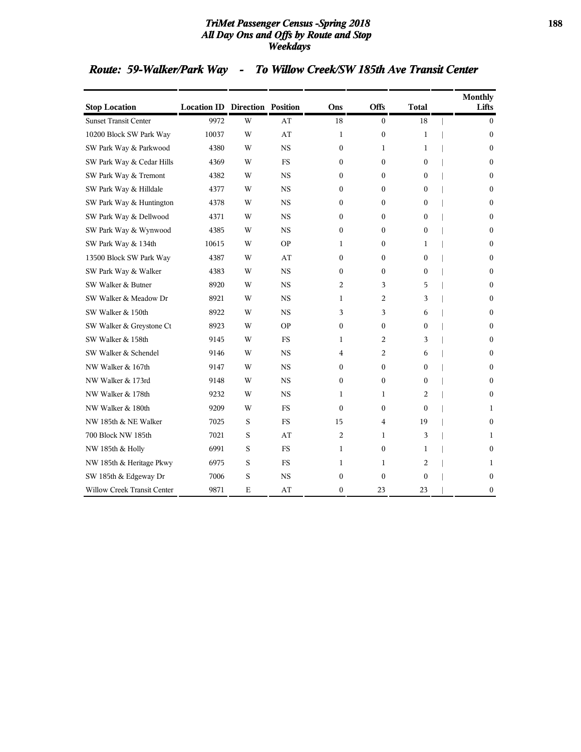### *TriMet Passenger Census -Spring 2018* **188** *All Day Ons and Offs by Route and Stop Weekdays*

# *Route: 59-Walker/Park Way - To Willow Creek/SW 185th Ave Transit Center*

| <b>Stop Location</b>         | <b>Location ID Direction Position</b> |   |           | Ons              | <b>Offs</b>      | <b>Total</b>     | <b>Monthly</b><br>Lifts |
|------------------------------|---------------------------------------|---|-----------|------------------|------------------|------------------|-------------------------|
| <b>Sunset Transit Center</b> | 9972                                  | W | AT        | 18               | $\mathbf{0}$     | 18               | $\overline{0}$          |
| 10200 Block SW Park Way      | 10037                                 | W | AT        | 1                | 0                | 1                | $\Omega$                |
| SW Park Way & Parkwood       | 4380                                  | W | <b>NS</b> | $\mathbf{0}$     | 1                | 1                | $\Omega$                |
| SW Park Way & Cedar Hills    | 4369                                  | W | FS        | $\boldsymbol{0}$ | 0                | $\bf{0}$         | $\mathbf{0}$            |
| SW Park Way & Tremont        | 4382                                  | W | <b>NS</b> | $\boldsymbol{0}$ | 0                | $\bf{0}$         | $\mathbf{0}$            |
| SW Park Way & Hilldale       | 4377                                  | W | <b>NS</b> | $\mathbf{0}$     | 0                | 0                | $\Omega$                |
| SW Park Way & Huntington     | 4378                                  | W | <b>NS</b> | $\mathbf{0}$     | 0                | 0                | $\Omega$                |
| SW Park Way & Dellwood       | 4371                                  | W | <b>NS</b> | $\Omega$         | 0                | $\theta$         | $\Omega$                |
| SW Park Way & Wynwood        | 4385                                  | W | <b>NS</b> | $\mathbf{0}$     | $\theta$         | $\theta$         | $\Omega$                |
| SW Park Way & 134th          | 10615                                 | W | <b>OP</b> | 1                | 0                | 1                | $\Omega$                |
| 13500 Block SW Park Way      | 4387                                  | W | AT        | 0                | 0                | 0                | $\mathbf{0}$            |
| SW Park Way & Walker         | 4383                                  | W | <b>NS</b> | $\Omega$         | 0                | $\overline{0}$   | $\Omega$                |
| SW Walker & Butner           | 8920                                  | W | <b>NS</b> | 2                | 3                | 5                | $\mathbf{0}$            |
| SW Walker & Meadow Dr        | 8921                                  | W | <b>NS</b> | 1                | 2                | 3                | $\theta$                |
| SW Walker & 150th            | 8922                                  | W | <b>NS</b> | 3                | 3                | 6                | $\mathbf{0}$            |
| SW Walker & Greystone Ct     | 8923                                  | W | <b>OP</b> | $\overline{0}$   | 0                | $\mathbf{0}$     | $\mathbf{0}$            |
| SW Walker & 158th            | 9145                                  | W | FS        | 1                | 2                | 3                | $\mathbf{0}$            |
| SW Walker & Schendel         | 9146                                  | W | <b>NS</b> | 4                | 2                | 6                | $\mathbf{0}$            |
| NW Walker & 167th            | 9147                                  | W | <b>NS</b> | $\overline{0}$   | 0                | $\bf{0}$         | $\Omega$                |
| NW Walker & 173rd            | 9148                                  | W | <b>NS</b> | $\boldsymbol{0}$ | $\boldsymbol{0}$ | $\mathbf{0}$     | $\mathbf{0}$            |
| NW Walker & 178th            | 9232                                  | W | <b>NS</b> | 1                | 1                | 2                | $\mathbf{0}$            |
| NW Walker & 180th            | 9209                                  | W | FS        | $\mathbf{0}$     | 0                | $\boldsymbol{0}$ | 1                       |
| NW 185th & NE Walker         | 7025                                  | S | <b>FS</b> | 15               | 4                | 19               | $\mathbf{0}$            |
| 700 Block NW 185th           | 7021                                  | S | AT        | $\overline{c}$   | 1                | 3                | 1                       |
| NW 185th & Holly             | 6991                                  | S | FS        | 1                | $\boldsymbol{0}$ | 1                | $\mathbf{0}$            |
| NW 185th & Heritage Pkwy     | 6975                                  | S | <b>FS</b> | 1                | 1                | 2                | 1                       |
| SW 185th & Edgeway Dr        | 7006                                  | S | NS        | $\mathbf{0}$     | $\boldsymbol{0}$ | $\boldsymbol{0}$ | $\mathbf{0}$            |
| Willow Creek Transit Center  | 9871                                  | E | AT        | 0                | 23               | 23               | $\boldsymbol{0}$        |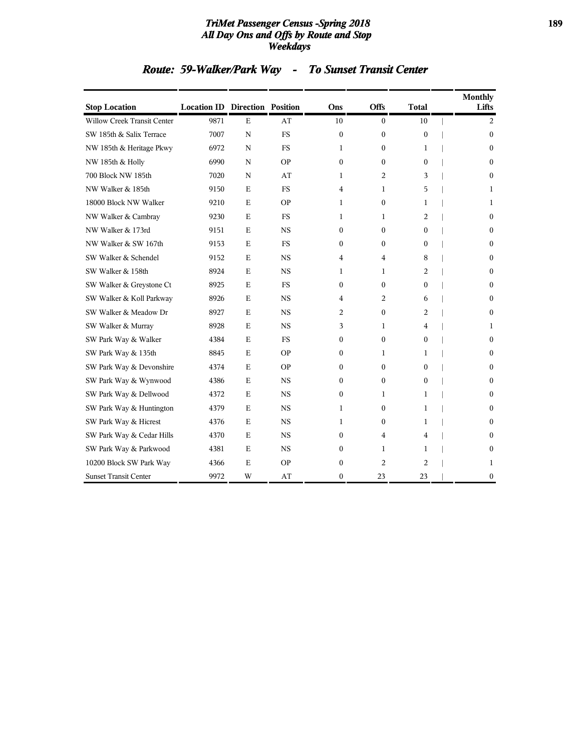### *TriMet Passenger Census -Spring 2018* **189** *All Day Ons and Offs by Route and Stop Weekdays*

# *Route: 59-Walker/Park Way - To Sunset Transit Center*

| <b>Stop Location</b>         | <b>Location ID Direction Position</b> |             |           | Ons              | Offs             | <b>Total</b>   | <b>Monthly</b><br>Lifts |
|------------------------------|---------------------------------------|-------------|-----------|------------------|------------------|----------------|-------------------------|
| Willow Creek Transit Center  | 9871                                  | E           | AT        | 10               | $\boldsymbol{0}$ | 10             | 2                       |
| SW 185th & Salix Terrace     | 7007                                  | ${\bf N}$   | <b>FS</b> | $\mathbf{0}$     | $\boldsymbol{0}$ | $\mathbf{0}$   | $\mathbf{0}$            |
| NW 185th & Heritage Pkwy     | 6972                                  | N           | FS        | 1                | 0                | 1              | $\Omega$                |
| NW 185th & Holly             | 6990                                  | ${\bf N}$   | <b>OP</b> | $\boldsymbol{0}$ | $\theta$         | $\theta$       | $\mathbf{0}$            |
| 700 Block NW 185th           | 7020                                  | ${\bf N}$   | AT        | 1                | 2                | 3              | $\theta$                |
| NW Walker & 185th            | 9150                                  | E           | FS        | 4                | 1                | 5              | 1                       |
| 18000 Block NW Walker        | 9210                                  | E           | <b>OP</b> | 1                | $\boldsymbol{0}$ | 1              | 1                       |
| NW Walker & Cambray          | 9230                                  | E           | FS        | 1                | 1                | 2              | $\mathbf{0}$            |
| NW Walker & 173rd            | 9151                                  | $\mathbf E$ | <b>NS</b> | $\mathbf{0}$     | 0                | $\mathbf{0}$   | $\mathbf{0}$            |
| NW Walker & SW 167th         | 9153                                  | E           | FS        | $\Omega$         | 0                | $\overline{0}$ | $\Omega$                |
| SW Walker & Schendel         | 9152                                  | E           | <b>NS</b> | 4                | 4                | 8              | $\mathbf{0}$            |
| SW Walker & 158th            | 8924                                  | E           | <b>NS</b> | 1                | 1                | 2              | $\Omega$                |
| SW Walker & Greystone Ct     | 8925                                  | E           | FS        | $\mathbf{0}$     | 0                | 0              | $\Omega$                |
| SW Walker & Koll Parkway     | 8926                                  | E           | <b>NS</b> | 4                | 2                | 6              | $\mathbf{0}$            |
| SW Walker & Meadow Dr        | 8927                                  | E           | <b>NS</b> | 2                | 0                | 2              | $\Omega$                |
| SW Walker & Murray           | 8928                                  | $\mathbf E$ | <b>NS</b> | 3                | 1                | 4              | 1                       |
| SW Park Way & Walker         | 4384                                  | E           | FS        | $\mathbf{0}$     | $\boldsymbol{0}$ | $\bf{0}$       | $\theta$                |
| SW Park Way & 135th          | 8845                                  | E           | <b>OP</b> | 0                | 1                | 1              | $\mathbf{0}$            |
| SW Park Way & Devonshire     | 4374                                  | E           | <b>OP</b> | $\mathbf{0}$     | 0                | 0              | $\theta$                |
| SW Park Way & Wynwood        | 4386                                  | E           | <b>NS</b> | $\mathbf{0}$     | 0                | $\mathbf{0}$   | $\mathbf{0}$            |
| SW Park Way & Dellwood       | 4372                                  | E           | <b>NS</b> | $\mathbf{0}$     | 1                | 1              | $\mathbf{0}$            |
| SW Park Way & Huntington     | 4379                                  | E           | <b>NS</b> | 1                | 0                | 1              | $\theta$                |
| SW Park Way & Hicrest        | 4376                                  | E           | <b>NS</b> | 1                | 0                | 1              | $\mathbf{0}$            |
| SW Park Way & Cedar Hills    | 4370                                  | E           | <b>NS</b> | $\mathbf{0}$     | 4                | 4              | $\Omega$                |
| SW Park Way & Parkwood       | 4381                                  | $\mathbf E$ | <b>NS</b> | 0                | 1                | 1              | 0                       |
| 10200 Block SW Park Way      | 4366                                  | E           | <b>OP</b> | $\boldsymbol{0}$ | 2                | $\overline{c}$ | 1                       |
| <b>Sunset Transit Center</b> | 9972                                  | W           | AT        | $\mathbf{0}$     | 23               | 23             | $\mathbf{0}$            |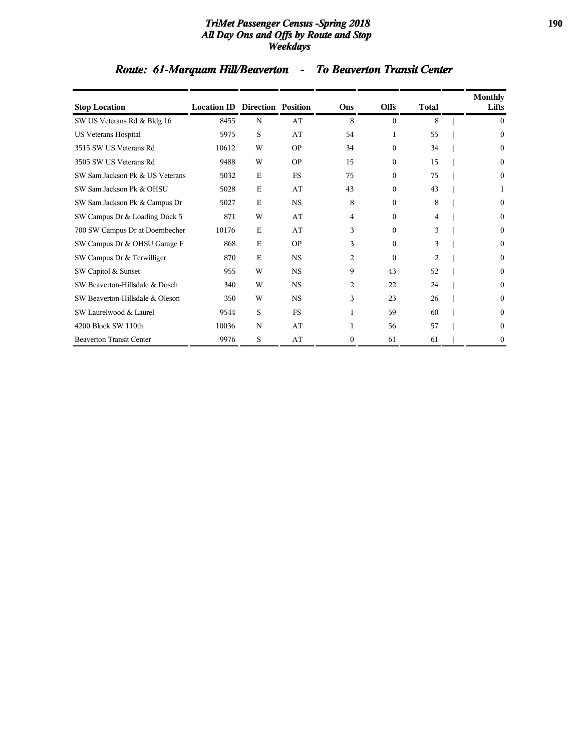### *TriMet Passenger Census -Spring 2018* **190** *All Day Ons and Offs by Route and Stop Weekdays*

# *Route: 61-Marquam Hill/Beaverton - To Beaverton Transit Center*

| <b>Stop Location</b>            | <b>Location ID Direction Position</b> |             |           | Ons              | <b>Offs</b> | <b>Total</b>   | <b>Monthly</b><br>Lifts |
|---------------------------------|---------------------------------------|-------------|-----------|------------------|-------------|----------------|-------------------------|
| SW US Veterans Rd & Bldg 16     | 8455                                  | N           | AT        | 8                | $\theta$    | 8              | $\Omega$                |
| US Veterans Hospital            | 5975                                  | S           | AT        | 54               | 1           | 55             | $\Omega$                |
| 3515 SW US Veterans Rd          | 10612                                 | W           | <b>OP</b> | 34               | $\theta$    | 34             | $\theta$                |
| 3505 SW US Veterans Rd          | 9488                                  | W           | <b>OP</b> | 15               | $\Omega$    | 15             | $\Omega$                |
| SW Sam Jackson Pk & US Veterans | 5032                                  | $\mathbf E$ | <b>FS</b> | 75               | $\Omega$    | 75             | $\Omega$                |
| SW Sam Jackson Pk & OHSU        | 5028                                  | E           | AT        | 43               | $\Omega$    | 43             |                         |
| SW Sam Jackson Pk & Campus Dr   | 5027                                  | E           | <b>NS</b> | 8                | $\Omega$    | 8              | $\Omega$                |
| SW Campus Dr & Loading Dock 5   | 871                                   | W           | AT        | 4                | $\Omega$    | 4              | $\Omega$                |
| 700 SW Campus Dr at Doernbecher | 10176                                 | E           | AT        | 3                | $\Omega$    | 3              | $\Omega$                |
| SW Campus Dr & OHSU Garage F    | 868                                   | $\mathbf E$ | <b>OP</b> | 3                | $\theta$    | 3              | $\theta$                |
| SW Campus Dr & Terwilliger      | 870                                   | $\mathbf E$ | <b>NS</b> | 2                | $\Omega$    | $\overline{2}$ | $\Omega$                |
| SW Capitol & Sunset             | 955                                   | W           | <b>NS</b> | 9                | 43          | 52             | $\Omega$                |
| SW Beaverton-Hillsdale & Dosch  | 340                                   | W           | <b>NS</b> | 2                | 22          | 24             | $\Omega$                |
| SW Beaverton-Hillsdale & Oleson | 350                                   | W           | <b>NS</b> | 3                | 23          | 26             | $\Omega$                |
| SW Laurelwood & Laurel          | 9544                                  | S           | <b>FS</b> | 1                | 59          | 60             | $\theta$                |
| 4200 Block SW 110th             | 10036                                 | N           | AT        | 1                | 56          | 57             | $\Omega$                |
| <b>Beaverton Transit Center</b> | 9976                                  | S           | AT        | $\boldsymbol{0}$ | 61          | 61             | $\boldsymbol{0}$        |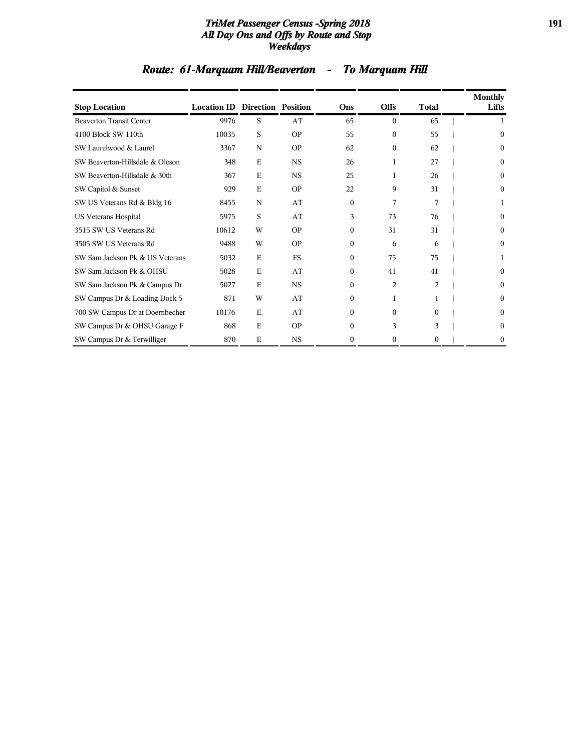### *TriMet Passenger Census -Spring 2018* **191** *All Day Ons and Offs by Route and Stop Weekdays*

|  |  | <b>Route: 61-Marquam Hill/Beaverton</b> |  | <b>To Marquam Hill</b> |  |
|--|--|-----------------------------------------|--|------------------------|--|
|--|--|-----------------------------------------|--|------------------------|--|

| <b>Stop Location</b>            | <b>Location ID Direction Position</b> |             |           | Ons          | <b>Offs</b> | <b>Total</b> | <b>Monthly</b><br>Lifts |
|---------------------------------|---------------------------------------|-------------|-----------|--------------|-------------|--------------|-------------------------|
| <b>Beaverton Transit Center</b> | 9976                                  | S           | AT        | 65           | $\theta$    | 65           |                         |
| 4100 Block SW 110th             | 10035                                 | S           | <b>OP</b> | 55           | $\Omega$    | 55           | 0                       |
| SW Laurelwood & Laurel          | 3367                                  | N           | <b>OP</b> | 62           | $\Omega$    | 62           | $\Omega$                |
| SW Beaverton-Hillsdale & Oleson | 348                                   | E           | <b>NS</b> | 26           | 1           | 27           | 0                       |
| SW Beaverton-Hillsdale & 30th   | 367                                   | E           | <b>NS</b> | 25           | 1           | 26           | 0                       |
| SW Capitol & Sunset             | 929                                   | E           | <b>OP</b> | 22           | 9           | 31           | $\Omega$                |
| SW US Veterans Rd & Bldg 16     | 8455                                  | N           | AT        | $\theta$     | 7           | 7            |                         |
| US Veterans Hospital            | 5975                                  | S           | AT        | 3            | 73          | 76           | $\Omega$                |
| 3515 SW US Veterans Rd          | 10612                                 | W           | OP        | $\Omega$     | 31          | 31           | $\theta$                |
| 3505 SW US Veterans Rd          | 9488                                  | W           | OP        | $\Omega$     | 6           | 6            | $\theta$                |
| SW Sam Jackson Pk & US Veterans | 5032                                  | $\mathbf E$ | <b>FS</b> | $\Omega$     | 75          | 75           |                         |
| SW Sam Jackson Pk & OHSU        | 5028                                  | E           | AT        | $\Omega$     | 41          | 41           | $\theta$                |
| SW Sam Jackson Pk & Campus Dr   | 5027                                  | $\mathbf E$ | <b>NS</b> | $\mathbf{0}$ | 2           | 2            | $\Omega$                |
| SW Campus Dr & Loading Dock 5   | 871                                   | W           | AT        | $\mathbf{0}$ | 1           |              | $\theta$                |
| 700 SW Campus Dr at Doernbecher | 10176                                 | E           | AT        | $\mathbf{0}$ | $\theta$    | $\theta$     | $\Omega$                |
| SW Campus Dr & OHSU Garage F    | 868                                   | E           | <b>OP</b> | $\Omega$     | 3           | 3            | $\Omega$                |
| SW Campus Dr & Terwilliger      | 870                                   | E           | <b>NS</b> | 0            | 0           | $\Omega$     | $\bf{0}$                |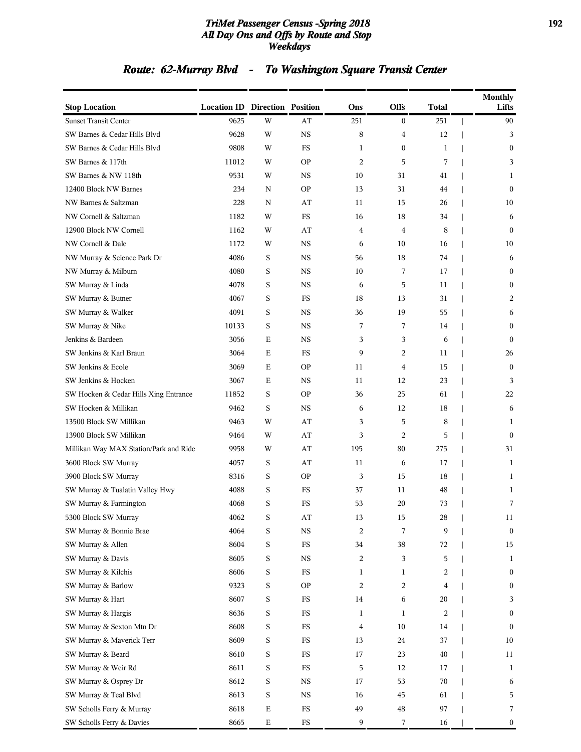### *TriMet Passenger Census -Spring 2018* **192** *All Day Ons and Offs by Route and Stop Weekdays*

# *Route: 62-Murray Blvd - To Washington Square Transit Center*

| <b>Stop Location</b>                   | <b>Location ID Direction Position</b> |             |             | Ons            | Offs             | <b>Total</b> | <b>Monthly</b><br>Lifts |
|----------------------------------------|---------------------------------------|-------------|-------------|----------------|------------------|--------------|-------------------------|
| <b>Sunset Transit Center</b>           | 9625                                  | W           | AT          | 251            | $\boldsymbol{0}$ | 251          | 90                      |
| SW Barnes & Cedar Hills Blvd           | 9628                                  | W           | <b>NS</b>   | 8              | 4                | 12           | 3                       |
| SW Barnes & Cedar Hills Blvd           | 9808                                  | W           | FS          | 1              | $\boldsymbol{0}$ | 1            | $\mathbf{0}$            |
| SW Barnes & 117th                      | 11012                                 | W           | <b>OP</b>   | 2              | 5                | 7            | 3                       |
| SW Barnes & NW 118th                   | 9531                                  | W           | <b>NS</b>   | 10             | 31               | 41           | 1                       |
| 12400 Block NW Barnes                  | 234                                   | N           | <b>OP</b>   | 13             | 31               | 44           | $\mathbf{0}$            |
| NW Barnes & Saltzman                   | 228                                   | N           | AT          | 11             | 15               | 26           | 10                      |
| NW Cornell & Saltzman                  | 1182                                  | W           | FS          | 16             | 18               | 34           | 6                       |
| 12900 Block NW Cornell                 | 1162                                  | W           | AT          | $\overline{4}$ | 4                | 8            | $\mathbf{0}$            |
| NW Cornell & Dale                      | 1172                                  | W           | <b>NS</b>   | 6              | 10               | 16           | 10                      |
| NW Murray & Science Park Dr            | 4086                                  | S           | <b>NS</b>   | 56             | 18               | 74           | 6                       |
| NW Murray & Milburn                    | 4080                                  | S           | <b>NS</b>   | 10             | 7                | 17           | $\boldsymbol{0}$        |
| SW Murray & Linda                      | 4078                                  | S           | <b>NS</b>   | 6              | 5                | 11           | $\boldsymbol{0}$        |
| SW Murray & Butner                     | 4067                                  | $\mathbf S$ | FS          | 18             | 13               | 31           | 2                       |
| SW Murray & Walker                     | 4091                                  | S           | <b>NS</b>   | 36             | 19               | 55           | 6                       |
| SW Murray & Nike                       | 10133                                 | S           | <b>NS</b>   | 7              | 7                | 14           | $\mathbf{0}$            |
| Jenkins & Bardeen                      | 3056                                  | E           | <b>NS</b>   | 3              | 3                | 6            | $\mathbf{0}$            |
| SW Jenkins & Karl Braun                | 3064                                  | E           | FS          | 9              | 2                | 11           | 26                      |
| SW Jenkins & Ecole                     | 3069                                  | E           | <b>OP</b>   | 11             | 4                | 15           | $\mathbf{0}$            |
| SW Jenkins & Hocken                    | 3067                                  | E           | <b>NS</b>   | 11             | 12               | 23           | 3                       |
| SW Hocken & Cedar Hills Xing Entrance  | 11852                                 | S           | <b>OP</b>   | 36             | 25               | 61           | 22                      |
| SW Hocken & Millikan                   | 9462                                  | S           | <b>NS</b>   | 6              | 12               | 18           | 6                       |
| 13500 Block SW Millikan                | 9463                                  | W           | AT          | 3              | 5                | 8            | 1                       |
| 13900 Block SW Millikan                | 9464                                  | W           | AT          | 3              | 2                | 5            | $\Omega$                |
| Millikan Way MAX Station/Park and Ride | 9958                                  | W           | AT          | 195            | 80               | 275          | 31                      |
| 3600 Block SW Murray                   | 4057                                  | S           | AT          | 11             | 6                | 17           | 1                       |
| 3900 Block SW Murray                   | 8316                                  | S           | <b>OP</b>   | 3              | 15               | 18           | 1                       |
| SW Murray & Tualatin Valley Hwy        | 4088                                  | S           | FS          | 37             | 11               | 48           | 1                       |
| SW Murray & Farmington                 | 4068                                  | S           | FS          | 53             | 20               | 73           | 7                       |
| 5300 Block SW Murray                   | 4062                                  | S           | AT          | 13             | 15               | 28           | 11                      |
| SW Murray & Bonnie Brae                | 4064                                  | $\mathbf S$ | $_{\rm NS}$ | $\overline{c}$ | 7                | 9            | $\boldsymbol{0}$        |
| SW Murray & Allen                      | 8604                                  | $\mathbf S$ | $_{\rm FS}$ | 34             | 38               | 72           | 15                      |
| SW Murray & Davis                      | 8605                                  | $\mathbf S$ | $_{\rm NS}$ | 2              | 3                | 5            | $\mathbf{1}$            |
| SW Murray & Kilchis                    | 8606                                  | S           | $_{\rm FS}$ | $\mathbf{1}$   | 1                | 2            | $\boldsymbol{0}$        |
| SW Murray & Barlow                     | 9323                                  | $\mathbf S$ | <b>OP</b>   | 2              | 2                | 4            | $\boldsymbol{0}$        |
| SW Murray & Hart                       | 8607                                  | $\mathbf S$ | $_{\rm FS}$ | 14             | 6                | 20           | 3                       |
| SW Murray & Hargis                     | 8636                                  | S           | $_{\rm FS}$ | 1              | $\mathbf{1}$     | 2            | $\boldsymbol{0}$        |
| SW Murray & Sexton Mtn Dr              | 8608                                  | S           | $_{\rm FS}$ | 4              | 10               | 14           | $\bf{0}$                |
| SW Murray & Maverick Terr              | 8609                                  | S           | ${\rm FS}$  | 13             | 24               | 37           | 10                      |
| SW Murray & Beard                      | 8610                                  | $\mathbf S$ | $_{\rm FS}$ | 17             | 23               | 40           | 11                      |
| SW Murray & Weir Rd                    | 8611                                  | $\mathbf S$ | $_{\rm FS}$ | 5              | 12               | 17           | 1                       |
| SW Murray & Osprey Dr                  | 8612                                  | $\mathbf S$ | $_{\rm NS}$ | 17             | 53               | 70           | 6                       |
| SW Murray & Teal Blvd                  | 8613                                  | $\mathbf S$ | $_{\rm NS}$ | 16             | 45               | 61           | 5                       |
| SW Scholls Ferry & Murray              | 8618                                  | $\mathbf E$ | ${\rm FS}$  | 49             | $\bf 48$         | 97           | 7                       |
| SW Scholls Ferry & Davies              | 8665                                  | $\mathbf E$ | ${\rm FS}$  | 9              | 7                | 16           | $\boldsymbol{0}$        |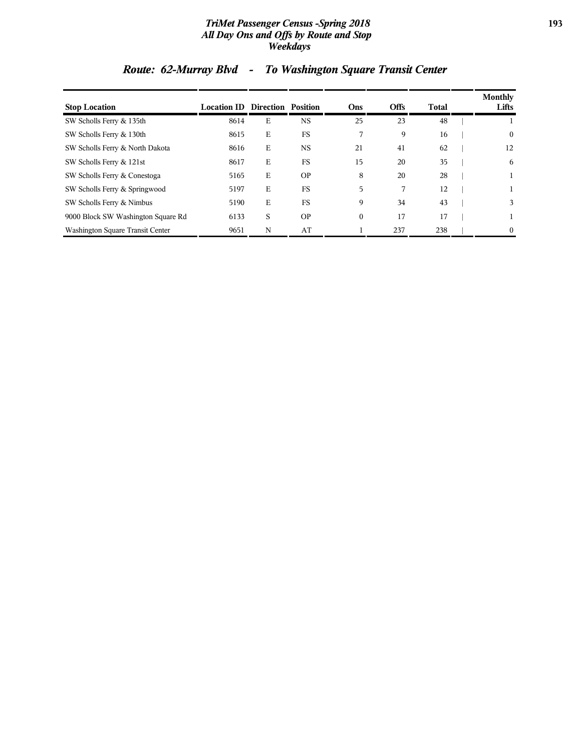### *TriMet Passenger Census -Spring 2018* **193** *All Day Ons and Offs by Route and Stop Weekdays*

| <b>Stop Location</b>               | <b>Location ID Direction Position</b> |   |           | Ons          | <b>Offs</b> | Total | Monthly<br>Lifts |
|------------------------------------|---------------------------------------|---|-----------|--------------|-------------|-------|------------------|
| SW Scholls Ferry & 135th           | 8614                                  | E | <b>NS</b> | 25           | 23          | 48    |                  |
| SW Scholls Ferry & 130th           | 8615                                  | E | FS        | 7            | 9           | 16    | $\boldsymbol{0}$ |
| SW Scholls Ferry & North Dakota    | 8616                                  | Е | <b>NS</b> | 21           | 41          | 62    | 12               |
| SW Scholls Ferry & 121st           | 8617                                  | E | <b>FS</b> | 15           | 20          | 35    | 6                |
| SW Scholls Ferry & Conestoga       | 5165                                  | E | <b>OP</b> | 8            | 20          | 28    |                  |
| SW Scholls Ferry & Springwood      | 5197                                  | E | FS        | 5            | 7           | 12    |                  |
| SW Scholls Ferry & Nimbus          | 5190                                  | E | <b>FS</b> | 9            | 34          | 43    | 3                |
| 9000 Block SW Washington Square Rd | 6133                                  | S | <b>OP</b> | $\mathbf{0}$ | 17          | 17    |                  |
| Washington Square Transit Center   | 9651                                  | N | AT        |              | 237         | 238   | $\mathbf{0}$     |

# *Route: 62-Murray Blvd - To Washington Square Transit Center*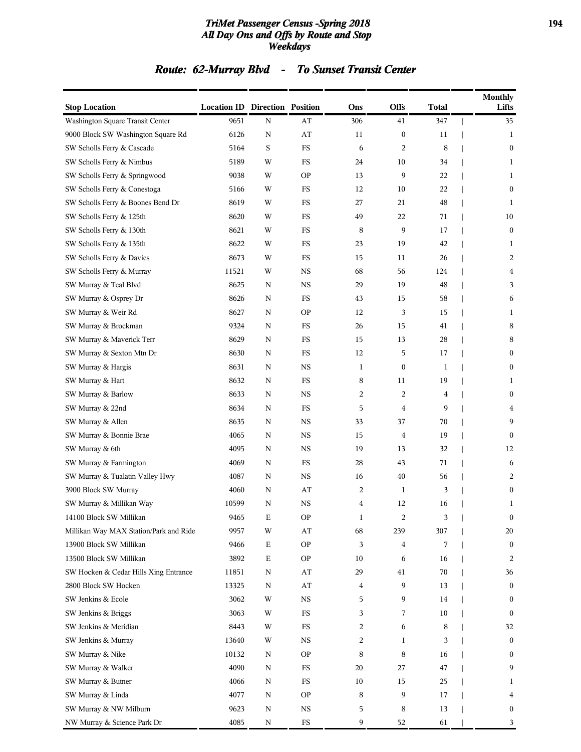### *TriMet Passenger Census -Spring 2018* **194** *All Day Ons and Offs by Route and Stop Weekdays*

# *Route: 62-Murray Blvd - To Sunset Transit Center*

| <b>Stop Location</b>                   | <b>Location ID Direction Position</b> |             |                        | Ons | <b>Offs</b>      | <b>Total</b> | <b>Monthly</b><br>Lifts |
|----------------------------------------|---------------------------------------|-------------|------------------------|-----|------------------|--------------|-------------------------|
| Washington Square Transit Center       | 9651                                  | ${\bf N}$   | AT                     | 306 | 41               | 347          | 35                      |
| 9000 Block SW Washington Square Rd     | 6126                                  | Ν           | AT                     | 11  | $\boldsymbol{0}$ | 11           | 1                       |
| SW Scholls Ferry & Cascade             | 5164                                  | S           | $_{\rm FS}$            | 6   | 2                | 8            | $\boldsymbol{0}$        |
| SW Scholls Ferry & Nimbus              | 5189                                  | W           | FS                     | 24  | 10               | 34           | 1                       |
| SW Scholls Ferry & Springwood          | 9038                                  | W           | <b>OP</b>              | 13  | 9                | 22           | 1                       |
| SW Scholls Ferry & Conestoga           | 5166                                  | W           | FS                     | 12  | 10               | 22           | $\boldsymbol{0}$        |
| SW Scholls Ferry & Boones Bend Dr      | 8619                                  | W           | <b>FS</b>              | 27  | 21               | 48           | 1                       |
| SW Scholls Ferry & 125th               | 8620                                  | W           | <b>FS</b>              | 49  | 22               | 71           | 10                      |
| SW Scholls Ferry & 130th               | 8621                                  | W           | FS                     | 8   | 9                | 17           | $\boldsymbol{0}$        |
| SW Scholls Ferry & 135th               | 8622                                  | W           | <b>FS</b>              | 23  | 19               | 42           | 1                       |
| SW Scholls Ferry & Davies              | 8673                                  | W           | FS                     | 15  | 11               | 26           | 2                       |
| SW Scholls Ferry & Murray              | 11521                                 | W           | <b>NS</b>              | 68  | 56               | 124          | 4                       |
| SW Murray & Teal Blvd                  | 8625                                  | N           | <b>NS</b>              | 29  | 19               | 48           | 3                       |
| SW Murray & Osprey Dr                  | 8626                                  | Ν           | FS                     | 43  | 15               | 58           | 6                       |
| SW Murray & Weir Rd                    | 8627                                  | Ν           | <b>OP</b>              | 12  | 3                | 15           | 1                       |
| SW Murray & Brockman                   | 9324                                  | N           | <b>FS</b>              | 26  | 15               | 41           | 8                       |
| SW Murray & Maverick Terr              | 8629                                  | Ν           | <b>FS</b>              | 15  | 13               | 28           | 8                       |
| SW Murray & Sexton Mtn Dr              | 8630                                  | Ν           | <b>FS</b>              | 12  | 5                | 17           | $\boldsymbol{0}$        |
| SW Murray & Hargis                     | 8631                                  | N           | <b>NS</b>              | 1   | $\boldsymbol{0}$ | 1            | $\boldsymbol{0}$        |
| SW Murray & Hart                       | 8632                                  | Ν           | <b>FS</b>              | 8   | 11               | 19           | 1                       |
| SW Murray & Barlow                     | 8633                                  | N           | <b>NS</b>              | 2   | 2                | 4            | $\boldsymbol{0}$        |
| SW Murray & 22nd                       | 8634                                  | Ν           | <b>FS</b>              | 5   | 4                | 9            | 4                       |
| SW Murray & Allen                      | 8635                                  | Ν           | <b>NS</b>              | 33  | 37               | 70           | 9                       |
| SW Murray & Bonnie Brae                | 4065                                  | Ν           | <b>NS</b>              | 15  | 4                | 19           | $\mathbf{0}$            |
| SW Murray & 6th                        | 4095                                  | Ν           | <b>NS</b>              | 19  | 13               | 32           | 12                      |
| SW Murray & Farmington                 | 4069                                  | N           | <b>FS</b>              | 28  | 43               | 71           | 6                       |
| SW Murray & Tualatin Valley Hwy        | 4087                                  | N           | <b>NS</b>              | 16  | 40               | 56           | 2                       |
| 3900 Block SW Murray                   | 4060                                  | N           | AT                     | 2   | 1                | 3            | $\boldsymbol{0}$        |
| SW Murray & Millikan Way               | 10599                                 | N           | <b>NS</b>              | 4   | 12               | 16           | 1                       |
| 14100 Block SW Millikan                | 9465                                  | Ε           | <b>OP</b>              | 1   | 2                | 3            | $\theta$                |
| Millikan Way MAX Station/Park and Ride | 9957                                  | W           | AT                     | 68  | 239              | 307          | 20                      |
| 13900 Block SW Millikan                | 9466                                  | $\mathbf E$ | <b>OP</b>              | 3   | 4                | 7            | $\bf{0}$                |
| 13500 Block SW Millikan                | 3892                                  | $\mathbf E$ | <b>OP</b>              | 10  | 6                | 16           | 2                       |
| SW Hocken & Cedar Hills Xing Entrance  | 11851                                 | Ν           | AT                     | 29  | 41               | 70           | 36                      |
| 2800 Block SW Hocken                   | 13325                                 | N           | $\mathbf{A}\mathbf{T}$ | 4   | 9                | 13           | $\bf{0}$                |
| SW Jenkins & Ecole                     | 3062                                  | W           | $_{\rm NS}$            | 5   | 9                | 14           | $\boldsymbol{0}$        |
| SW Jenkins & Briggs                    | 3063                                  | W           | $_{\rm FS}$            | 3   | 7                | 10           | $\boldsymbol{0}$        |
| SW Jenkins & Meridian                  | 8443                                  | W           | $_{\rm FS}$            | 2   | 6                | 8            | 32                      |
| SW Jenkins & Murray                    | 13640                                 | W           | $_{\rm NS}$            | 2   | 1                | 3            | $\boldsymbol{0}$        |
| SW Murray & Nike                       | 10132                                 | N           | <b>OP</b>              | 8   | 8                | 16           | 0                       |
| SW Murray & Walker                     | 4090                                  | Ν           | $_{\rm FS}$            | 20  | 27               | 47           | 9                       |
| SW Murray & Butner                     | 4066                                  | N           | $_{\rm FS}$            | 10  | 15               | 25           | 1                       |
| SW Murray & Linda                      | 4077                                  | N           | <b>OP</b>              | 8   | 9                | 17           | 4                       |
| SW Murray & NW Milburn                 | 9623                                  | N           | <b>NS</b>              | 5   | 8                | 13           | 0                       |
| NW Murray & Science Park Dr            | 4085                                  | $\mathbf N$ | ${\rm FS}$             | 9   | 52               | 61           | 3                       |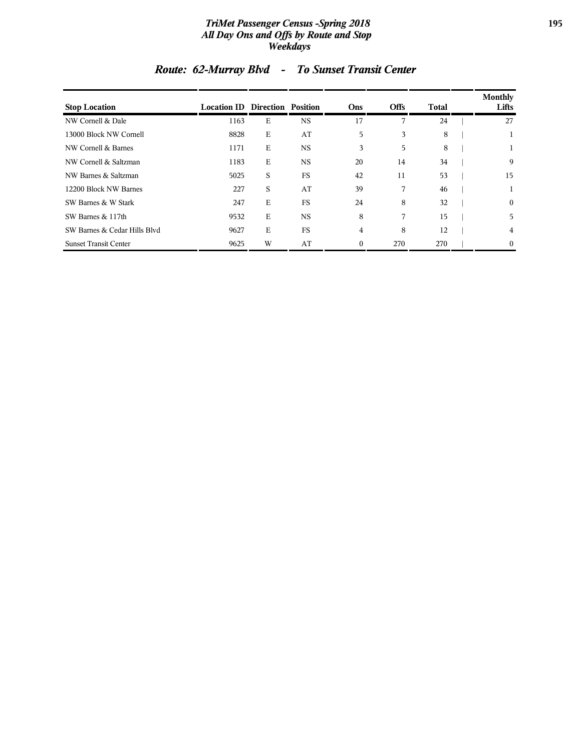### *TriMet Passenger Census -Spring 2018* **195** *All Day Ons and Offs by Route and Stop Weekdays*

| <b>Stop Location</b>         | <b>Location ID Direction Position</b> |   |           | Ons      | <b>Offs</b> | Total | Monthly<br>Lifts |
|------------------------------|---------------------------------------|---|-----------|----------|-------------|-------|------------------|
| NW Cornell & Dale            | 1163                                  | Е | <b>NS</b> | 17       | 7           | 24    | 27               |
| 13000 Block NW Cornell       | 8828                                  | E | AT        | 5        | 3           | 8     |                  |
| NW Cornell & Barnes          | 1171                                  | E | <b>NS</b> | 3        | 5           | 8     |                  |
| NW Cornell & Saltzman        | 1183                                  | E | <b>NS</b> | 20       | 14          | 34    | 9                |
| NW Barnes & Saltzman         | 5025                                  | S | FS        | 42       | 11          | 53    | 15               |
| 12200 Block NW Barnes        | 227                                   | S | AT        | 39       | 7           | 46    | 1                |
| SW Barnes & W Stark          | 247                                   | E | FS        | 24       | 8           | 32    | $\overline{0}$   |
| SW Barnes & 117th            | 9532                                  | E | <b>NS</b> | 8        | 7           | 15    | 5                |
| SW Barnes & Cedar Hills Blvd | 9627                                  | Е | FS        | 4        | 8           | 12    | 4                |
| <b>Sunset Transit Center</b> | 9625                                  | W | AT        | $\Omega$ | 270         | 270   | $\overline{0}$   |

# *Route: 62-Murray Blvd - To Sunset Transit Center*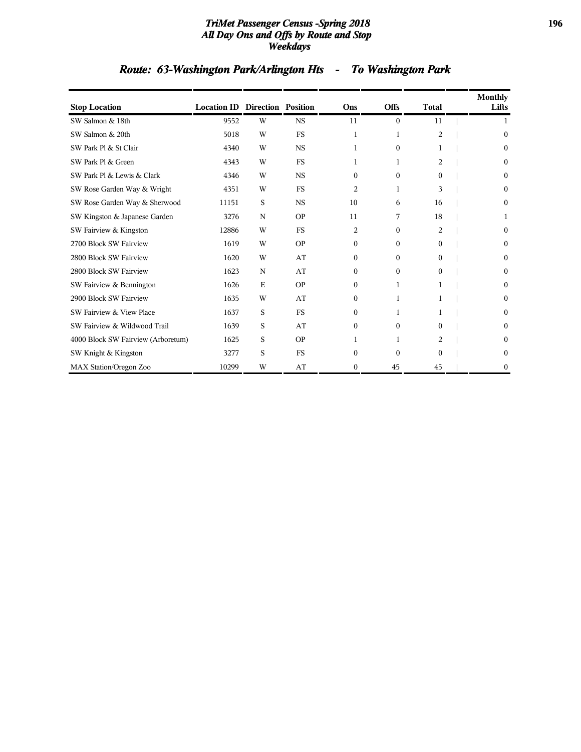#### *TriMet Passenger Census -Spring 2018* **196** *All Day Ons and Offs by Route and Stop Weekdays*

# *Route: 63-Washington Park/Arlington Hts - To Washington Park*

| <b>Stop Location</b>               | <b>Location ID Direction Position</b> |   |             | Ons              | <b>Offs</b>  | <b>Total</b> | Monthly<br>Lifts |
|------------------------------------|---------------------------------------|---|-------------|------------------|--------------|--------------|------------------|
| SW Salmon & 18th                   | 9552                                  | W | <b>NS</b>   | 11               | $\mathbf{0}$ | 11           | 1                |
| SW Salmon & 20th                   | 5018                                  | W | FS          | 1                | 1            | 2            | $\boldsymbol{0}$ |
| SW Park Pl & St Clair              | 4340                                  | W | $_{\rm NS}$ | 1                | $\Omega$     |              | $\Omega$         |
| SW Park Pl & Green                 | 4343                                  | W | <b>FS</b>   | 1                | 1            | 2            | $\Omega$         |
| SW Park Pl & Lewis & Clark         | 4346                                  | W | <b>NS</b>   | $\Omega$         | $\Omega$     | $\Omega$     | $\Omega$         |
| SW Rose Garden Way & Wright        | 4351                                  | W | FS          | 2                | 1            | 3            | 0                |
| SW Rose Garden Way & Sherwood      | 11151                                 | S | <b>NS</b>   | 10               | 6            | 16           | $\boldsymbol{0}$ |
| SW Kingston & Japanese Garden      | 3276                                  | N | <b>OP</b>   | 11               | 7            | 18           | 1                |
| SW Fairview & Kingston             | 12886                                 | W | FS          | $\overline{2}$   | $\Omega$     | 2            | $\Omega$         |
| 2700 Block SW Fairview             | 1619                                  | W | <b>OP</b>   | $\boldsymbol{0}$ | $\mathbf{0}$ | $\Omega$     | $\mathbf{0}$     |
| 2800 Block SW Fairview             | 1620                                  | W | AT          | $\mathbf{0}$     | $\Omega$     | $\theta$     | $\bf{0}$         |
| 2800 Block SW Fairview             | 1623                                  | N | AT          | $\mathbf{0}$     | $\Omega$     | $\Omega$     | $\theta$         |
| SW Fairview & Bennington           | 1626                                  | E | <b>OP</b>   | 0                | 1            | 1            | $\Omega$         |
| 2900 Block SW Fairview             | 1635                                  | W | AT          | $\Omega$         | 1            |              | $\Omega$         |
| SW Fairview & View Place           | 1637                                  | S | <b>FS</b>   | $\boldsymbol{0}$ | 1            | 1            | $\Omega$         |
| SW Fairview & Wildwood Trail       | 1639                                  | S | AT          | $\mathbf{0}$     | $\mathbf{0}$ | $\Omega$     | $\bf{0}$         |
| 4000 Block SW Fairview (Arboretum) | 1625                                  | S | <b>OP</b>   | 1                | 1            | 2            | $\bf{0}$         |
| SW Knight & Kingston               | 3277                                  | S | <b>FS</b>   | $\theta$         | $\Omega$     | $\Omega$     | $\Omega$         |
| MAX Station/Oregon Zoo             | 10299                                 | W | AT          | $\boldsymbol{0}$ | 45           | 45           | $\boldsymbol{0}$ |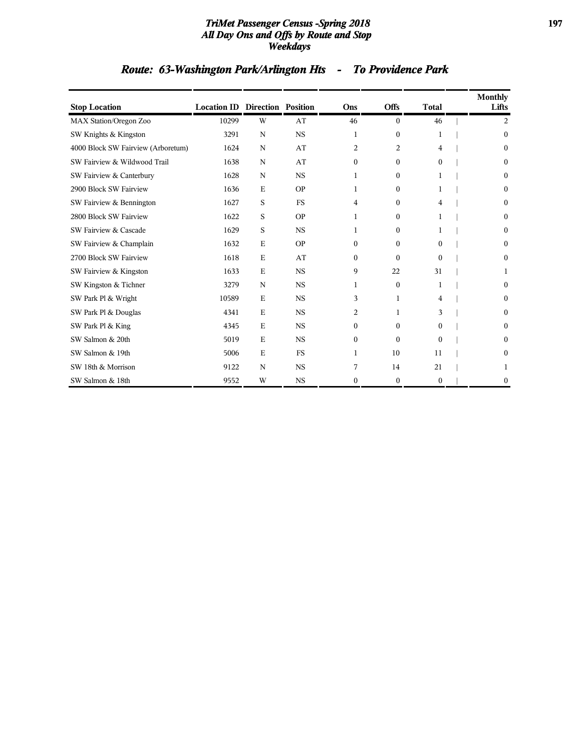#### *TriMet Passenger Census -Spring 2018* **197** *All Day Ons and Offs by Route and Stop Weekdays*

# *Route: 63-Washington Park/Arlington Hts - To Providence Park*

| <b>Stop Location</b>               | <b>Location ID Direction Position</b> |   |             | Ons          | <b>Offs</b>  | <b>Total</b> | Monthly<br>Lifts |
|------------------------------------|---------------------------------------|---|-------------|--------------|--------------|--------------|------------------|
| <b>MAX Station/Oregon Zoo</b>      | 10299                                 | W | AT          | 46           | $\theta$     | 46           | 2                |
| SW Knights & Kingston              | 3291                                  | N | <b>NS</b>   | 1            | $\mathbf{0}$ | 1            | $\mathbf{0}$     |
| 4000 Block SW Fairview (Arboretum) | 1624                                  | N | AT          | 2            | 2            | 4            | $\mathbf{0}$     |
| SW Fairview & Wildwood Trail       | 1638                                  | N | AT          | $\mathbf{0}$ | $\theta$     | $\Omega$     | $\Omega$         |
| SW Fairview & Canterbury           | 1628                                  | N | $_{\rm NS}$ | 1            | $\Omega$     | 1            | $\mathbf{0}$     |
| 2900 Block SW Fairview             | 1636                                  | E | <b>OP</b>   | 1            | $\Omega$     | 1            | $\mathbf{0}$     |
| SW Fairview & Bennington           | 1627                                  | S | <b>FS</b>   | 4            | $\mathbf{0}$ | 4            | $\mathbf{0}$     |
| 2800 Block SW Fairview             | 1622                                  | S | <b>OP</b>   | 1            | $\Omega$     | 1            | $\mathbf{0}$     |
| SW Fairview & Cascade              | 1629                                  | S | <b>NS</b>   | $\mathbf{1}$ | $\Omega$     | 1            | $\Omega$         |
| SW Fairview & Champlain            | 1632                                  | E | <b>OP</b>   | $\mathbf{0}$ | $\mathbf{0}$ | $\theta$     | 0                |
| 2700 Block SW Fairview             | 1618                                  | E | AT          | $\mathbf{0}$ | $\Omega$     | $\Omega$     | $\mathbf{0}$     |
| SW Fairview & Kingston             | 1633                                  | E | <b>NS</b>   | 9            | 22           | 31           | 1                |
| SW Kingston & Tichner              | 3279                                  | N | <b>NS</b>   | 1            | $\mathbf{0}$ | 1            | $\mathbf{0}$     |
| SW Park Pl & Wright                | 10589                                 | E | <b>NS</b>   | 3            | $\mathbf{1}$ | 4            | $\Omega$         |
| SW Park Pl & Douglas               | 4341                                  | E | $_{\rm NS}$ | 2            | 1            | 3            | 0                |
| SW Park Pl & King                  | 4345                                  | E | <b>NS</b>   | $\mathbf{0}$ | $\Omega$     | $\Omega$     | 0                |
| SW Salmon & 20th                   | 5019                                  | E | <b>NS</b>   | $\mathbf{0}$ | $\Omega$     | $\theta$     | $\mathbf{0}$     |
| SW Salmon & 19th                   | 5006                                  | E | <b>FS</b>   | 1            | 10           | 11           | $\boldsymbol{0}$ |
| SW 18th & Morrison                 | 9122                                  | N | <b>NS</b>   | 7            | 14           | 21           | 1                |
| SW Salmon & 18th                   | 9552                                  | W | <b>NS</b>   | $\mathbf{0}$ | $\mathbf{0}$ | $\theta$     | $\Omega$         |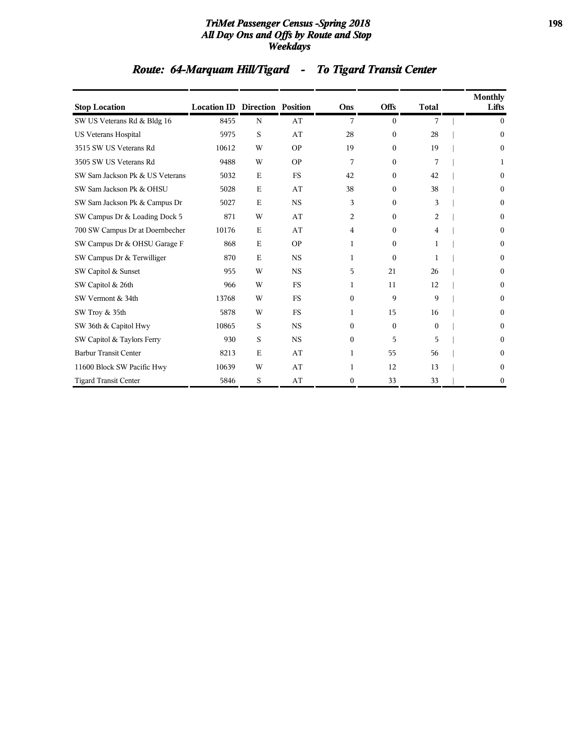### *TriMet Passenger Census -Spring 2018* **198** *All Day Ons and Offs by Route and Stop Weekdays*

# *Route: 64-Marquam Hill/Tigard - To Tigard Transit Center*

| <b>Stop Location</b>            | <b>Location ID Direction Position</b> |             |           | Ons          | <b>Offs</b>  | <b>Total</b> | Monthly<br>Lifts |
|---------------------------------|---------------------------------------|-------------|-----------|--------------|--------------|--------------|------------------|
| SW US Veterans Rd & Bldg 16     | 8455                                  | N           | AT        | 7            | $\mathbf{0}$ | 7            | $\mathbf{0}$     |
| <b>US Veterans Hospital</b>     | 5975                                  | S           | AT        | 28           | $\mathbf{0}$ | 28           | $\theta$         |
| 3515 SW US Veterans Rd          | 10612                                 | W           | <b>OP</b> | 19           | $\mathbf{0}$ | 19           | $\boldsymbol{0}$ |
| 3505 SW US Veterans Rd          | 9488                                  | W           | <b>OP</b> | 7            | $\theta$     | 7            | 1                |
| SW Sam Jackson Pk & US Veterans | 5032                                  | E           | <b>FS</b> | 42           | $\mathbf{0}$ | 42           | $\boldsymbol{0}$ |
| SW Sam Jackson Pk & OHSU        | 5028                                  | $\mathbf E$ | AT        | 38           | $\Omega$     | 38           | $\theta$         |
| SW Sam Jackson Pk & Campus Dr   | 5027                                  | Е           | <b>NS</b> | 3            | $\mathbf{0}$ | 3            | $\boldsymbol{0}$ |
| SW Campus Dr & Loading Dock 5   | 871                                   | W           | AT        | 2            | $\mathbf{0}$ | 2            | $\boldsymbol{0}$ |
| 700 SW Campus Dr at Doernbecher | 10176                                 | $\mathbf E$ | AT        | 4            | $\mathbf{0}$ | 4            | $\theta$         |
| SW Campus Dr & OHSU Garage F    | 868                                   | $\mathbf E$ | <b>OP</b> | 1            | $\Omega$     | 1            | $\theta$         |
| SW Campus Dr & Terwilliger      | 870                                   | E           | <b>NS</b> | 1            | $\theta$     | 1            | $\theta$         |
| SW Capitol & Sunset             | 955                                   | W           | <b>NS</b> | 5            | 21           | 26           | 0                |
| SW Capitol & 26th               | 966                                   | W           | <b>FS</b> | 1            | 11           | 12           | $\theta$         |
| SW Vermont & 34th               | 13768                                 | W           | <b>FS</b> | $\Omega$     | 9            | 9            | $\theta$         |
| SW Troy & 35th                  | 5878                                  | W           | <b>FS</b> | 1            | 15           | 16           | $\theta$         |
| SW 36th & Capitol Hwy           | 10865                                 | S           | <b>NS</b> | $\Omega$     | $\Omega$     | $\Omega$     | $\Omega$         |
| SW Capitol & Taylors Ferry      | 930                                   | S           | <b>NS</b> | $\mathbf{0}$ | 5            | 5            | $\boldsymbol{0}$ |
| <b>Barbur Transit Center</b>    | 8213                                  | Е           | AT        | 1            | 55           | 56           | $\Omega$         |
| 11600 Block SW Pacific Hwy      | 10639                                 | W           | AT        | 1            | 12           | 13           | $\bf{0}$         |
| <b>Tigard Transit Center</b>    | 5846                                  | S           | AT        | $\mathbf{0}$ | 33           | 33           | $\boldsymbol{0}$ |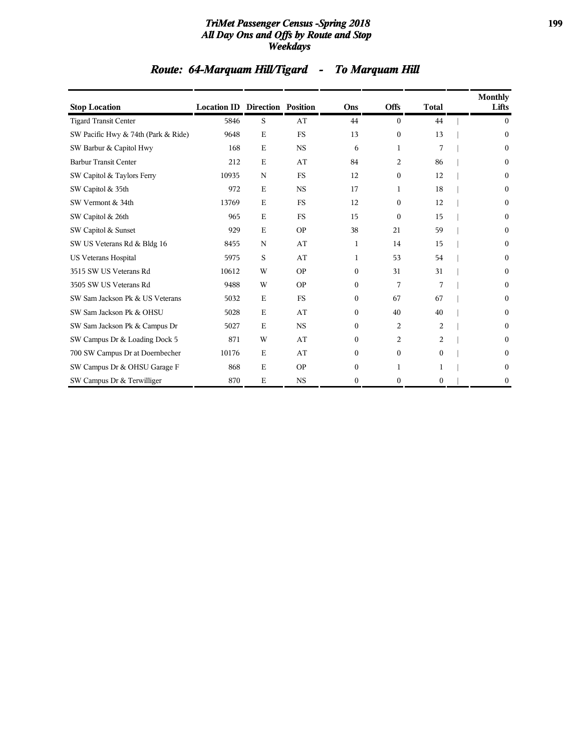### *TriMet Passenger Census -Spring 2018* **199** *All Day Ons and Offs by Route and Stop Weekdays*

# *Route: 64-Marquam Hill/Tigard - To Marquam Hill*

| <b>Stop Location</b>                | <b>Location ID Direction Position</b> |             |           | Ons          | <b>Offs</b>    | <b>Total</b> | <b>Monthly</b><br>Lifts |
|-------------------------------------|---------------------------------------|-------------|-----------|--------------|----------------|--------------|-------------------------|
| <b>Tigard Transit Center</b>        | 5846                                  | S           | AT        | 44           | $\Omega$       | 44           | $\mathbf{0}$            |
| SW Pacific Hwy & 74th (Park & Ride) | 9648                                  | E           | <b>FS</b> | 13           | $\mathbf{0}$   | 13           | $\theta$                |
| SW Barbur & Capitol Hwy             | 168                                   | E           | <b>NS</b> | 6            | 1              | 7            | $\mathbf{0}$            |
| <b>Barbur Transit Center</b>        | 212                                   | E           | AT        | 84           | 2              | 86           | $\mathbf{0}$            |
| SW Capitol & Taylors Ferry          | 10935                                 | N           | <b>FS</b> | 12           | 0              | 12           | 0                       |
| SW Capitol & 35th                   | 972                                   | E           | <b>NS</b> | 17           | 1              | 18           | $\Omega$                |
| SW Vermont & 34th                   | 13769                                 | $\mathbf E$ | FS        | 12           | $\Omega$       | 12           | $\mathbf{0}$            |
| SW Capitol & 26th                   | 965                                   | E           | <b>FS</b> | 15           | $\mathbf{0}$   | 15           | $\mathbf{0}$            |
| SW Capitol & Sunset                 | 929                                   | E           | <b>OP</b> | 38           | 21             | 59           | $\theta$                |
| SW US Veterans Rd & Bldg 16         | 8455                                  | N           | AT        | 1            | 14             | 15           | 0                       |
| <b>US Veterans Hospital</b>         | 5975                                  | S           | AT        | 1            | 53             | 54           | $\mathbf{0}$            |
| 3515 SW US Veterans Rd              | 10612                                 | W           | <b>OP</b> | $\mathbf{0}$ | 31             | 31           | 0                       |
| 3505 SW US Veterans Rd              | 9488                                  | W           | <b>OP</b> | $\Omega$     | 7              | 7            | $\mathbf{0}$            |
| SW Sam Jackson Pk & US Veterans     | 5032                                  | E           | <b>FS</b> | $\Omega$     | 67             | 67           | $\Omega$                |
| SW Sam Jackson Pk & OHSU            | 5028                                  | $\mathbf E$ | AT        | $\mathbf{0}$ | 40             | 40           | $\theta$                |
| SW Sam Jackson Pk & Campus Dr       | 5027                                  | E           | <b>NS</b> | $\Omega$     | $\overline{c}$ | 2            | $\theta$                |
| SW Campus Dr & Loading Dock 5       | 871                                   | W           | AT        | $\mathbf{0}$ | 2              | 2            | 0                       |
| 700 SW Campus Dr at Doernbecher     | 10176                                 | E           | AT        | $\mathbf{0}$ | $\mathbf{0}$   | $\mathbf{0}$ | $\boldsymbol{0}$        |
| SW Campus Dr & OHSU Garage F        | 868                                   | E           | <b>OP</b> | $\mathbf{0}$ | 1              |              | $\boldsymbol{0}$        |
| SW Campus Dr & Terwilliger          | 870                                   | E           | <b>NS</b> | $\theta$     | 0              | 0            | 0                       |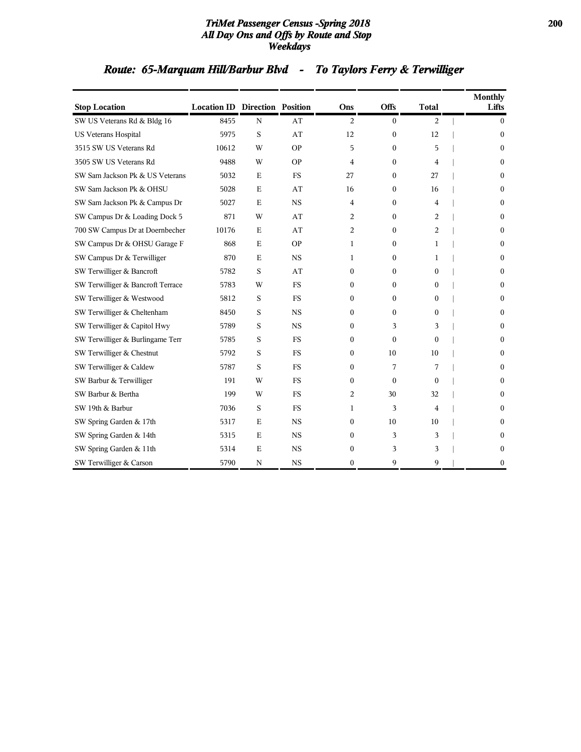### *TriMet Passenger Census -Spring 2018* **200** *All Day Ons and Offs by Route and Stop Weekdays*

# *Route: 65-Marquam Hill/Barbur Blvd - To Taylors Ferry & Terwilliger*

| <b>Stop Location</b>              | <b>Location ID Direction Position</b> |             |           | Ons              | <b>Offs</b>      | <b>Total</b>     | Monthly<br>Lifts |
|-----------------------------------|---------------------------------------|-------------|-----------|------------------|------------------|------------------|------------------|
| SW US Veterans Rd & Bldg 16       | 8455                                  | $\mathbf N$ | AT        | 2                | $\boldsymbol{0}$ | 2                | $\mathbf{0}$     |
| <b>US Veterans Hospital</b>       | 5975                                  | S           | AT        | 12               | $\boldsymbol{0}$ | 12               | $\theta$         |
| 3515 SW US Veterans Rd            | 10612                                 | W           | ΟP        | 5                | $\boldsymbol{0}$ | 5                | $\boldsymbol{0}$ |
| 3505 SW US Veterans Rd            | 9488                                  | W           | <b>OP</b> | 4                | $\mathbf{0}$     | 4                | $\theta$         |
| SW Sam Jackson Pk & US Veterans   | 5032                                  | $\mathbf E$ | FS        | 27               | 0                | 27               | $\theta$         |
| SW Sam Jackson Pk & OHSU          | 5028                                  | $\mathbf E$ | AT        | 16               | $\theta$         | 16               | $\theta$         |
| SW Sam Jackson Pk & Campus Dr     | 5027                                  | $\mathbf E$ | <b>NS</b> | 4                | $\mathbf{0}$     | 4                | $\mathbf{0}$     |
| SW Campus Dr & Loading Dock 5     | 871                                   | W           | AT        | 2                | $\boldsymbol{0}$ | 2                | $\theta$         |
| 700 SW Campus Dr at Doernbecher   | 10176                                 | $\mathbf E$ | AT        | 2                | $\mathbf{0}$     | 2                | $\boldsymbol{0}$ |
| SW Campus Dr & OHSU Garage F      | 868                                   | $\mathbf E$ | <b>OP</b> | 1                | $\mathbf{0}$     | 1                | $\mathbf{0}$     |
| SW Campus Dr & Terwilliger        | 870                                   | $\mathbf E$ | <b>NS</b> | 1                | $\boldsymbol{0}$ | 1                | $\theta$         |
| SW Terwilliger & Bancroft         | 5782                                  | S           | AT        | 0                | $\mathbf{0}$     | $\mathbf{0}$     | $\mathbf{0}$     |
| SW Terwilliger & Bancroft Terrace | 5783                                  | W           | <b>FS</b> | 0                | $\boldsymbol{0}$ | $\Omega$         | $\boldsymbol{0}$ |
| SW Terwilliger & Westwood         | 5812                                  | S           | <b>FS</b> | 0                | $\mathbf{0}$     | $\boldsymbol{0}$ | $\theta$         |
| SW Terwilliger & Cheltenham       | 8450                                  | $\mathbf S$ | <b>NS</b> | 0                | $\mathbf{0}$     | $\boldsymbol{0}$ | $\mathbf{0}$     |
| SW Terwilliger & Capitol Hwy      | 5789                                  | S           | <b>NS</b> | 0                | 3                | 3                | $\boldsymbol{0}$ |
| SW Terwilliger & Burlingame Terr  | 5785                                  | S           | <b>FS</b> | 0                | $\theta$         | $\Omega$         | $\theta$         |
| SW Terwilliger & Chestnut         | 5792                                  | $\mathbf S$ | <b>FS</b> | 0                | 10               | 10               | $\boldsymbol{0}$ |
| SW Terwilliger & Caldew           | 5787                                  | S           | <b>FS</b> | 0                | 7                | 7                | $\theta$         |
| SW Barbur & Terwilliger           | 191                                   | W           | FS        | 0                | $\Omega$         | $\Omega$         | $\theta$         |
| SW Barbur & Bertha                | 199                                   | W           | <b>FS</b> | 2                | 30               | 32               | $\theta$         |
| SW 19th & Barbur                  | 7036                                  | S           | <b>FS</b> | 1                | 3                | 4                | $\boldsymbol{0}$ |
| SW Spring Garden & 17th           | 5317                                  | $\mathbf E$ | <b>NS</b> | $\boldsymbol{0}$ | 10               | 10               | $\theta$         |
| SW Spring Garden & 14th           | 5315                                  | $\mathbf E$ | <b>NS</b> | $\mathbf{0}$     | 3                | 3                | $\theta$         |
| SW Spring Garden & 11th           | 5314                                  | $\mathbf E$ | <b>NS</b> | $\boldsymbol{0}$ | 3                | 3                | $\boldsymbol{0}$ |
| SW Terwilliger & Carson           | 5790                                  | N           | <b>NS</b> | $\mathbf{0}$     | 9                | 9                | $\boldsymbol{0}$ |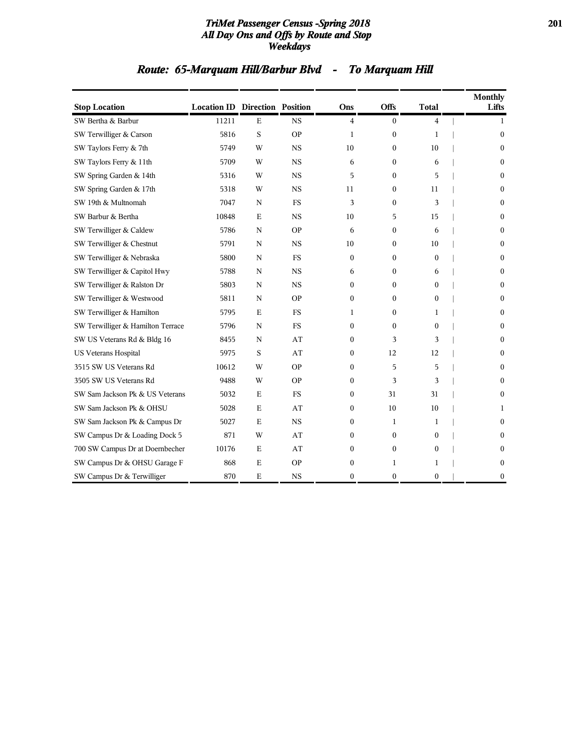#### *TriMet Passenger Census -Spring 2018* **201** *All Day Ons and Offs by Route and Stop Weekdays*

# *Route: 65-Marquam Hill/Barbur Blvd - To Marquam Hill*

| <b>Stop Location</b>              | <b>Location ID Direction Position</b> |             |           | Ons              | Offs             | <b>Total</b>     | <b>Monthly</b><br>Lifts |
|-----------------------------------|---------------------------------------|-------------|-----------|------------------|------------------|------------------|-------------------------|
| SW Bertha & Barbur                | 11211                                 | $\mathbf E$ | <b>NS</b> | $\overline{4}$   | $\boldsymbol{0}$ | 4                | 1                       |
| SW Terwilliger & Carson           | 5816                                  | S           | <b>OP</b> | 1                | $\mathbf{0}$     | 1                | $\theta$                |
| SW Taylors Ferry & 7th            | 5749                                  | W           | <b>NS</b> | 10               | $\mathbf{0}$     | 10               | $\theta$                |
| SW Taylors Ferry & 11th           | 5709                                  | W           | <b>NS</b> | 6                | $\boldsymbol{0}$ | 6                | $\boldsymbol{0}$        |
| SW Spring Garden & 14th           | 5316                                  | W           | <b>NS</b> | 5                | $\boldsymbol{0}$ | 5                | $\theta$                |
| SW Spring Garden & 17th           | 5318                                  | W           | <b>NS</b> | 11               | $\boldsymbol{0}$ | 11               | $\theta$                |
| SW 19th & Multnomah               | 7047                                  | N           | <b>FS</b> | 3                | $\boldsymbol{0}$ | 3                | $\boldsymbol{0}$        |
| SW Barbur & Bertha                | 10848                                 | $\mathbf E$ | <b>NS</b> | 10               | 5                | 15               | $\boldsymbol{0}$        |
| SW Terwilliger & Caldew           | 5786                                  | N           | <b>OP</b> | 6                | $\boldsymbol{0}$ | 6                | $\boldsymbol{0}$        |
| SW Terwilliger & Chestnut         | 5791                                  | $\mathbf N$ | <b>NS</b> | 10               | $\boldsymbol{0}$ | 10               | $\theta$                |
| SW Terwilliger & Nebraska         | 5800                                  | N           | <b>FS</b> | $\mathbf{0}$     | $\boldsymbol{0}$ | $\mathbf{0}$     | $\mathbf{0}$            |
| SW Terwilliger & Capitol Hwy      | 5788                                  | N           | <b>NS</b> | 6                | $\mathbf{0}$     | 6                | $\boldsymbol{0}$        |
| SW Terwilliger & Ralston Dr       | 5803                                  | N           | <b>NS</b> | 0                | $\boldsymbol{0}$ | $\boldsymbol{0}$ | $\theta$                |
| SW Terwilliger & Westwood         | 5811                                  | N           | <b>OP</b> | 0                | $\boldsymbol{0}$ | $\theta$         | $\boldsymbol{0}$        |
| SW Terwilliger & Hamilton         | 5795                                  | $\mathbf E$ | <b>FS</b> | 1                | $\boldsymbol{0}$ | 1                | $\theta$                |
| SW Terwilliger & Hamilton Terrace | 5796                                  | N           | <b>FS</b> | $\mathbf{0}$     | $\Omega$         | $\theta$         | $\theta$                |
| SW US Veterans Rd & Bldg 16       | 8455                                  | N           | AT        | $\mathbf{0}$     | 3                | 3                | $\theta$                |
| US Veterans Hospital              | 5975                                  | S           | AT        | $\boldsymbol{0}$ | 12               | 12               | $\boldsymbol{0}$        |
| 3515 SW US Veterans Rd            | 10612                                 | W           | <b>OP</b> | $\mathbf{0}$     | 5                | 5                | $\theta$                |
| 3505 SW US Veterans Rd            | 9488                                  | W           | <b>OP</b> | 0                | 3                | 3                | $\theta$                |
| SW Sam Jackson Pk & US Veterans   | 5032                                  | Ε           | <b>FS</b> | 0                | 31               | 31               | $\boldsymbol{0}$        |
| SW Sam Jackson Pk & OHSU          | 5028                                  | $\mathbf E$ | AT        | $\boldsymbol{0}$ | 10               | 10               | 1                       |
| SW Sam Jackson Pk & Campus Dr     | 5027                                  | E           | <b>NS</b> | 0                | 1                | 1                | $\theta$                |
| SW Campus Dr & Loading Dock 5     | 871                                   | W           | AT        | $\mathbf{0}$     | $\theta$         | $\theta$         | $\Omega$                |
| 700 SW Campus Dr at Doernbecher   | 10176                                 | $\mathbf E$ | AT        | 0                | $\boldsymbol{0}$ | $\boldsymbol{0}$ | $\boldsymbol{0}$        |
| SW Campus Dr & OHSU Garage F      | 868                                   | $\mathbf E$ | <b>OP</b> | $\boldsymbol{0}$ | 1                | 1                | $\bf{0}$                |
| SW Campus Dr & Terwilliger        | 870                                   | $\mathbf E$ | <b>NS</b> | $\boldsymbol{0}$ | $\boldsymbol{0}$ | $\boldsymbol{0}$ | $\boldsymbol{0}$        |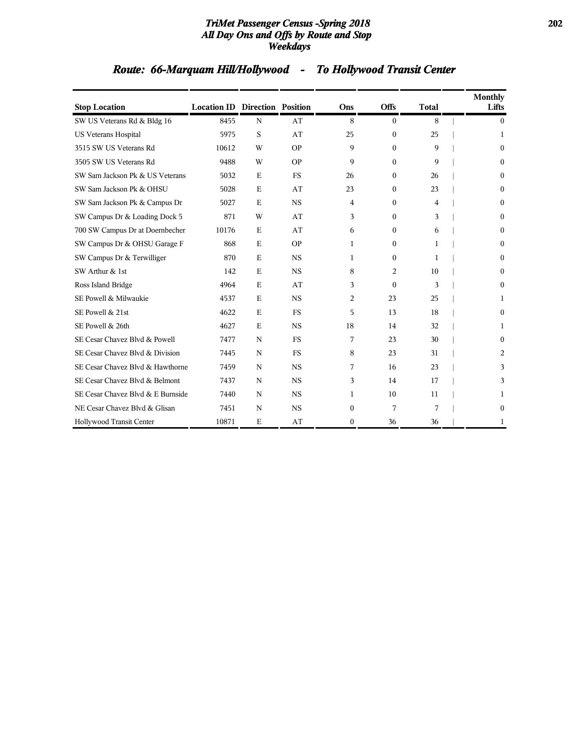### *TriMet Passenger Census -Spring 2018* **202** *All Day Ons and Offs by Route and Stop Weekdays*

# *Route: 66-Marquam Hill/Hollywood - To Hollywood Transit Center*

| <b>Stop Location</b>              | <b>Location ID Direction Position</b> |             |           | Ons      | <b>Offs</b>      | <b>Total</b> | Monthly<br>Lifts |
|-----------------------------------|---------------------------------------|-------------|-----------|----------|------------------|--------------|------------------|
| SW US Veterans Rd & Bldg 16       | 8455                                  | $\mathbf N$ | AT        | 8        | $\Omega$         | 8            | $\Omega$         |
| <b>US Veterans Hospital</b>       | 5975                                  | S           | AT        | 25       | $\mathbf{0}$     | 25           | 1                |
| 3515 SW US Veterans Rd            | 10612                                 | W           | <b>OP</b> | 9        | $\theta$         | 9            | $\theta$         |
| 3505 SW US Veterans Rd            | 9488                                  | W           | <b>OP</b> | 9        | $\theta$         | 9            | $\theta$         |
| SW Sam Jackson Pk & US Veterans   | 5032                                  | E           | <b>FS</b> | 26       | $\boldsymbol{0}$ | 26           | $\theta$         |
| SW Sam Jackson Pk & OHSU          | 5028                                  | $\mathbf E$ | AT        | 23       | $\theta$         | 23           | $\theta$         |
| SW Sam Jackson Pk & Campus Dr     | 5027                                  | $\mathbf E$ | <b>NS</b> | 4        | $\mathbf{0}$     | 4            | $\theta$         |
| SW Campus Dr & Loading Dock 5     | 871                                   | W           | AT        | 3        | $\theta$         | 3            | $\theta$         |
| 700 SW Campus Dr at Doernbecher   | 10176                                 | $\mathbf E$ | AT        | 6        | $\theta$         | 6            | $\theta$         |
| SW Campus Dr & OHSU Garage F      | 868                                   | $\mathbf E$ | <b>OP</b> | 1        | $\theta$         | 1            | $\theta$         |
| SW Campus Dr & Terwilliger        | 870                                   | $\mathbf E$ | <b>NS</b> | 1        | $\theta$         | 1            | $\theta$         |
| SW Arthur & 1st                   | 142                                   | $\mathbf E$ | <b>NS</b> | 8        | 2                | 10           | $\theta$         |
| Ross Island Bridge                | 4964                                  | E           | AT        | 3        | $\theta$         | 3            | $\theta$         |
| SE Powell & Milwaukie             | 4537                                  | $\mathbf E$ | <b>NS</b> | 2        | 23               | 25           | 1                |
| SE Powell & 21st                  | 4622                                  | $\mathbf E$ | <b>FS</b> | 5        | 13               | 18           | $\theta$         |
| SE Powell & 26th                  | 4627                                  | $\mathbf E$ | <b>NS</b> | 18       | 14               | 32           | 1                |
| SE Cesar Chavez Blvd & Powell     | 7477                                  | N           | <b>FS</b> | 7        | 23               | 30           | $\Omega$         |
| SE Cesar Chavez Blvd & Division   | 7445                                  | $\mathbf N$ | <b>FS</b> | 8        | 23               | 31           | 2                |
| SE Cesar Chavez Blvd & Hawthorne  | 7459                                  | N           | <b>NS</b> | 7        | 16               | 23           | 3                |
| SE Cesar Chavez Blvd & Belmont    | 7437                                  | N           | <b>NS</b> | 3        | 14               | 17           | 3                |
| SE Cesar Chavez Blvd & E Burnside | 7440                                  | $\mathbf N$ | <b>NS</b> | 1        | 10               | 11           | 1                |
| NE Cesar Chavez Blvd & Glisan     | 7451                                  | N           | <b>NS</b> | $\Omega$ | 7                | 7            | $\theta$         |
| Hollywood Transit Center          | 10871                                 | E           | AT        | $\theta$ | 36               | 36           | 1                |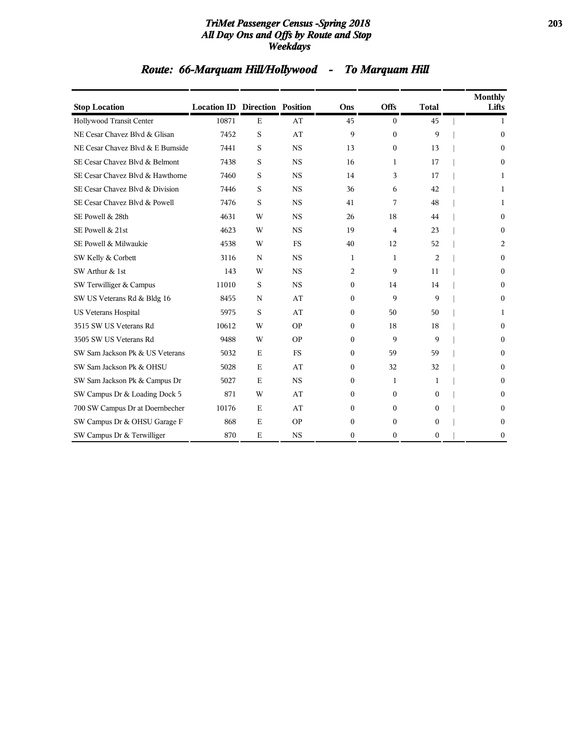### *TriMet Passenger Census -Spring 2018* **203** *All Day Ons and Offs by Route and Stop Weekdays*

| <b>Stop Location</b>              | <b>Location ID Direction Position</b> |             |           | Ons            | <b>Offs</b>  | <b>Total</b> | <b>Monthly</b><br>Lifts |
|-----------------------------------|---------------------------------------|-------------|-----------|----------------|--------------|--------------|-------------------------|
| Hollywood Transit Center          | 10871                                 | E           | AT        | 45             | $\mathbf{0}$ | 45           | 1                       |
| NE Cesar Chavez Blvd & Glisan     | 7452                                  | S           | AT        | 9              | $\mathbf{0}$ | 9            | $\Omega$                |
| NE Cesar Chavez Blvd & E Burnside | 7441                                  | S           | <b>NS</b> | 13             | $\mathbf{0}$ | 13           | $\Omega$                |
| SE Cesar Chavez Blvd & Belmont    | 7438                                  | S           | <b>NS</b> | 16             | 1            | 17           | $\Omega$                |
| SE Cesar Chavez Blvd & Hawthorne  | 7460                                  | S           | <b>NS</b> | 14             | 3            | 17           | 1                       |
| SE Cesar Chavez Blvd & Division   | 7446                                  | S           | <b>NS</b> | 36             | 6            | 42           | 1                       |
| SE Cesar Chavez Blvd & Powell     | 7476                                  | S           | <b>NS</b> | 41             | 7            | 48           | 1                       |
| SE Powell & 28th                  | 4631                                  | W           | <b>NS</b> | 26             | 18           | 44           | $\Omega$                |
| SE Powell & 21st                  | 4623                                  | W           | <b>NS</b> | 19             | 4            | 23           | $\mathbf{0}$            |
| SE Powell & Milwaukie             | 4538                                  | W           | <b>FS</b> | 40             | 12           | 52           | $\overline{2}$          |
| SW Kelly & Corbett                | 3116                                  | N           | <b>NS</b> | 1              | $\mathbf{1}$ | 2            | $\Omega$                |
| SW Arthur & 1st                   | 143                                   | W           | <b>NS</b> | 2              | 9            | 11           | $\Omega$                |
| SW Terwilliger & Campus           | 11010                                 | S           | <b>NS</b> | 0              | 14           | 14           | $\Omega$                |
| SW US Veterans Rd & Bldg 16       | 8455                                  | $\mathbf N$ | AT        | $\overline{0}$ | 9            | 9            | $\mathbf{0}$            |
| <b>US Veterans Hospital</b>       | 5975                                  | S           | AT        | $\mathbf{0}$   | 50           | 50           | 1                       |
| 3515 SW US Veterans Rd            | 10612                                 | W           | <b>OP</b> | $\overline{0}$ | 18           | 18           | $\Omega$                |
| 3505 SW US Veterans Rd            | 9488                                  | W           | <b>OP</b> | $\mathbf{0}$   | 9            | 9            | $\mathbf{0}$            |
| SW Sam Jackson Pk & US Veterans   | 5032                                  | E           | <b>FS</b> | $\mathbf{0}$   | 59           | 59           | $\mathbf{0}$            |
| SW Sam Jackson Pk & OHSU          | 5028                                  | $\mathbf E$ | AT        | $\mathbf{0}$   | 32           | 32           | $\Omega$                |
| SW Sam Jackson Pk & Campus Dr     | 5027                                  | E           | <b>NS</b> | $\mathbf{0}$   | 1            | 1            | $\Omega$                |
| SW Campus Dr & Loading Dock 5     | 871                                   | W           | AT        | $\mathbf{0}$   | $\mathbf{0}$ | $\theta$     | $\Omega$                |
| 700 SW Campus Dr at Doernbecher   | 10176                                 | E           | AT        | $\overline{0}$ | $\mathbf{0}$ | $\mathbf{0}$ | $\Omega$                |
| SW Campus Dr & OHSU Garage F      | 868                                   | $\mathbf E$ | <b>OP</b> | $\mathbf{0}$   | $\Omega$     | $\theta$     | $\Omega$                |
| SW Campus Dr & Terwilliger        | 870                                   | E           | <b>NS</b> | $\mathbf{0}$   | $\theta$     | $\theta$     | $\Omega$                |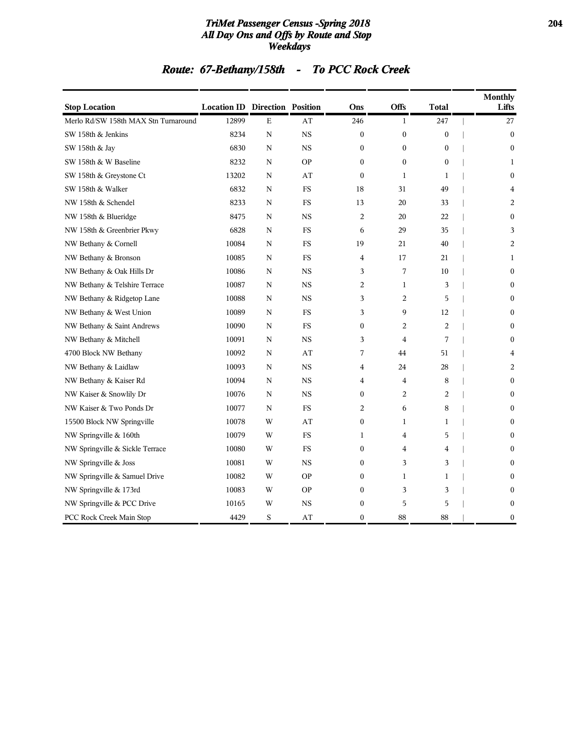### *TriMet Passenger Census -Spring 2018* **204** *All Day Ons and Offs by Route and Stop Weekdays*

# *Route: 67-Bethany/158th - To PCC Rock Creek*

| <b>Stop Location</b>                 | <b>Location ID Direction Position</b> |             |             | Ons              | <b>Offs</b>      | <b>Total</b>     | <b>Monthly</b><br>Lifts |
|--------------------------------------|---------------------------------------|-------------|-------------|------------------|------------------|------------------|-------------------------|
| Merlo Rd/SW 158th MAX Stn Turnaround | 12899                                 | $\mathbf E$ | AT          | 246              | $\mathbf{1}$     | 247              | 27                      |
| SW 158th & Jenkins                   | 8234                                  | N           | <b>NS</b>   | $\mathbf{0}$     | $\boldsymbol{0}$ | $\boldsymbol{0}$ | $\boldsymbol{0}$        |
| SW 158th & Jay                       | 6830                                  | N           | $_{\rm NS}$ | $\boldsymbol{0}$ | $\boldsymbol{0}$ | $\boldsymbol{0}$ | $\boldsymbol{0}$        |
| SW 158th & W Baseline                | 8232                                  | N           | <b>OP</b>   | $\boldsymbol{0}$ | $\boldsymbol{0}$ | $\boldsymbol{0}$ | 1                       |
| SW 158th & Greystone Ct              | 13202                                 | N           | AT          | $\mathbf{0}$     | $\mathbf{1}$     | $\mathbf{1}$     | $\boldsymbol{0}$        |
| SW 158th & Walker                    | 6832                                  | N           | <b>FS</b>   | 18               | 31               | 49               | $\overline{4}$          |
| NW 158th & Schendel                  | 8233                                  | N           | FS          | 13               | 20               | 33               | 2                       |
| NW 158th & Blueridge                 | 8475                                  | N           | $_{\rm NS}$ | $\overline{c}$   | 20               | 22               | $\mathbf{0}$            |
| NW 158th & Greenbrier Pkwy           | 6828                                  | N           | <b>FS</b>   | 6                | 29               | 35               | 3                       |
| NW Bethany & Cornell                 | 10084                                 | N           | FS          | 19               | 21               | 40               | $\overline{2}$          |
| NW Bethany & Bronson                 | 10085                                 | N           | FS          | 4                | 17               | 21               | $\mathbf{1}$            |
| NW Bethany & Oak Hills Dr            | 10086                                 | N           | <b>NS</b>   | 3                | 7                | 10               | $\mathbf{0}$            |
| NW Bethany & Telshire Terrace        | 10087                                 | N           | <b>NS</b>   | 2                | $\mathbf{1}$     | 3                | $\mathbf{0}$            |
| NW Bethany & Ridgetop Lane           | 10088                                 | N           | <b>NS</b>   | 3                | $\overline{c}$   | 5                | $\mathbf{0}$            |
| NW Bethany & West Union              | 10089                                 | N           | FS          | 3                | 9                | 12               | $\mathbf{0}$            |
| NW Bethany & Saint Andrews           | 10090                                 | N           | FS          | $\mathbf{0}$     | 2                | $\overline{2}$   | $\boldsymbol{0}$        |
| NW Bethany & Mitchell                | 10091                                 | N           | <b>NS</b>   | 3                | 4                | 7                | $\boldsymbol{0}$        |
| 4700 Block NW Bethany                | 10092                                 | N           | AT          | 7                | 44               | 51               | $\overline{4}$          |
| NW Bethany & Laidlaw                 | 10093                                 | N           | <b>NS</b>   | $\overline{4}$   | 24               | 28               | 2                       |
| NW Bethany & Kaiser Rd               | 10094                                 | N           | $_{\rm NS}$ | $\overline{4}$   | $\overline{4}$   | 8                | $\boldsymbol{0}$        |
| NW Kaiser & Snowlily Dr              | 10076                                 | N           | $_{\rm NS}$ | $\boldsymbol{0}$ | 2                | 2                | $\mathbf{0}$            |
| NW Kaiser & Two Ponds Dr             | 10077                                 | N           | <b>FS</b>   | $\overline{2}$   | 6                | 8                | $\boldsymbol{0}$        |
| 15500 Block NW Springville           | 10078                                 | W           | AT          | $\boldsymbol{0}$ | $\mathbf{1}$     | $\mathbf{1}$     | $\boldsymbol{0}$        |
| NW Springville & 160th               | 10079                                 | W           | <b>FS</b>   | $\mathbf{1}$     | 4                | 5                | $\theta$                |
| NW Springville & Sickle Terrace      | 10080                                 | W           | FS          | $\mathbf{0}$     | $\overline{4}$   | $\overline{4}$   | $\mathbf{0}$            |
| NW Springville & Joss                | 10081                                 | W           | <b>NS</b>   | $\mathbf{0}$     | 3                | 3                | $\mathbf{0}$            |
| NW Springville & Samuel Drive        | 10082                                 | W           | <b>OP</b>   | $\mathbf{0}$     | $\mathbf{1}$     | $\mathbf{1}$     | $\theta$                |
| NW Springville & 173rd               | 10083                                 | W           | <b>OP</b>   | $\mathbf{0}$     | 3                | 3                | $\boldsymbol{0}$        |
| NW Springville & PCC Drive           | 10165                                 | W           | <b>NS</b>   | $\mathbf{0}$     | 5                | 5                | $\boldsymbol{0}$        |
| PCC Rock Creek Main Stop             | 4429                                  | S           | AT          | $\mathbf{0}$     | 88               | 88               | $\mathbf{0}$            |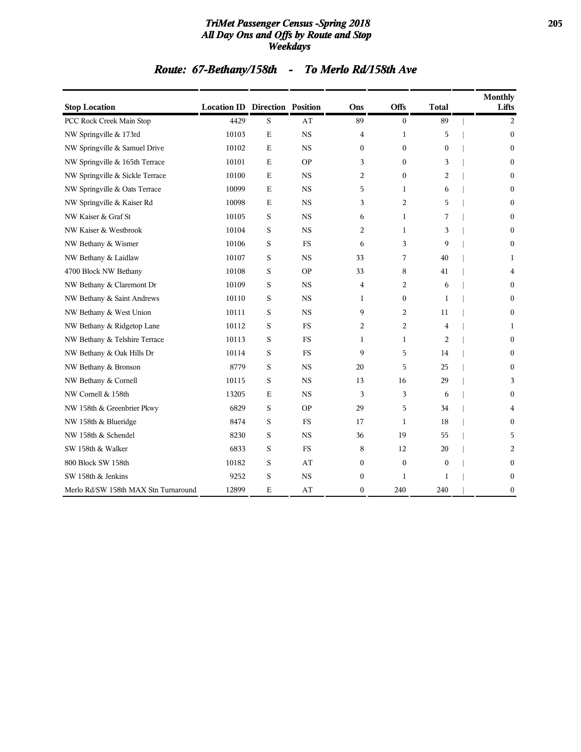### *TriMet Passenger Census -Spring 2018* **205** *All Day Ons and Offs by Route and Stop Weekdays*

# *Route: 67-Bethany/158th - To Merlo Rd/158th Ave*

| <b>Stop Location</b>                 | <b>Location ID Direction Position</b> |             |             | Ons            | Offs             | <b>Total</b>   | <b>Monthly</b><br>Lifts |
|--------------------------------------|---------------------------------------|-------------|-------------|----------------|------------------|----------------|-------------------------|
| PCC Rock Creek Main Stop             | 4429                                  | S           | AT          | 89             | $\boldsymbol{0}$ | 89             | 2                       |
| NW Springville & 173rd               | 10103                                 | E           | <b>NS</b>   | $\overline{4}$ | $\mathbf{1}$     | 5              | $\mathbf{0}$            |
| NW Springville & Samuel Drive        | 10102                                 | E           | $_{\rm NS}$ | $\mathbf{0}$   | $\boldsymbol{0}$ | $\mathbf{0}$   | $\mathbf{0}$            |
| NW Springville & 165th Terrace       | 10101                                 | Е           | <b>OP</b>   | 3              | $\boldsymbol{0}$ | 3              | $\boldsymbol{0}$        |
| NW Springville & Sickle Terrace      | 10100                                 | Ε           | <b>NS</b>   | 2              | $\boldsymbol{0}$ | 2              | $\boldsymbol{0}$        |
| NW Springville & Oats Terrace        | 10099                                 | $\mathbf E$ | $_{\rm NS}$ | 5              | 1                | 6              | $\bf{0}$                |
| NW Springville & Kaiser Rd           | 10098                                 | E           | $_{\rm NS}$ | 3              | $\overline{2}$   | 5              | $\mathbf{0}$            |
| NW Kaiser & Graf St                  | 10105                                 | S           | NS          | 6              | $\mathbf{1}$     | 7              | $\boldsymbol{0}$        |
| NW Kaiser & Westbrook                | 10104                                 | S           | <b>NS</b>   | 2              | 1                | 3              | $\boldsymbol{0}$        |
| NW Bethany & Wismer                  | 10106                                 | S           | FS          | 6              | 3                | 9              | $\boldsymbol{0}$        |
| NW Bethany & Laidlaw                 | 10107                                 | S           | <b>NS</b>   | 33             | 7                | 40             | 1                       |
| 4700 Block NW Bethany                | 10108                                 | S           | <b>OP</b>   | 33             | 8                | 41             | $\overline{4}$          |
| NW Bethany & Claremont Dr            | 10109                                 | S           | $_{\rm NS}$ | 4              | 2                | 6              | $\mathbf{0}$            |
| NW Bethany & Saint Andrews           | 10110                                 | S           | <b>NS</b>   | 1              | $\boldsymbol{0}$ | 1              | $\mathbf{0}$            |
| NW Bethany & West Union              | 10111                                 | S           | <b>NS</b>   | 9              | $\overline{2}$   | 11             | $\mathbf{0}$            |
| NW Bethany & Ridgetop Lane           | 10112                                 | S           | <b>FS</b>   | 2              | $\overline{2}$   | $\overline{4}$ | 1                       |
| NW Bethany & Telshire Terrace        | 10113                                 | S           | FS          | 1              | 1                | 2              | $\mathbf{0}$            |
| NW Bethany & Oak Hills Dr            | 10114                                 | S           | <b>FS</b>   | 9              | 5                | 14             | $\mathbf{0}$            |
| NW Bethany & Bronson                 | 8779                                  | S           | $_{\rm NS}$ | 20             | 5                | 25             | $\mathbf{0}$            |
| NW Bethany & Cornell                 | 10115                                 | S           | $_{\rm NS}$ | 13             | 16               | 29             | 3                       |
| NW Cornell & 158th                   | 13205                                 | $\mathbf E$ | <b>NS</b>   | 3              | 3                | 6              | $\mathbf{0}$            |
| NW 158th & Greenbrier Pkwy           | 6829                                  | S           | <b>OP</b>   | 29             | 5                | 34             | 4                       |
| NW 158th & Blueridge                 | 8474                                  | S           | FS          | 17             | $\mathbf{1}$     | 18             | $\mathbf{0}$            |
| NW 158th & Schendel                  | 8230                                  | S           | $_{\rm NS}$ | 36             | 19               | 55             | 5                       |
| SW 158th & Walker                    | 6833                                  | S           | <b>FS</b>   | 8              | 12               | 20             | 2                       |
| 800 Block SW 158th                   | 10182                                 | S           | AT          | $\mathbf{0}$   | $\boldsymbol{0}$ | $\mathbf{0}$   | $\mathbf{0}$            |
| SW 158th & Jenkins                   | 9252                                  | S           | <b>NS</b>   | $\mathbf{0}$   | $\mathbf{1}$     | $\mathbf{1}$   | $\boldsymbol{0}$        |
| Merlo Rd/SW 158th MAX Stn Turnaround | 12899                                 | E           | AT          | $\mathbf{0}$   | 240              | 240            | $\boldsymbol{0}$        |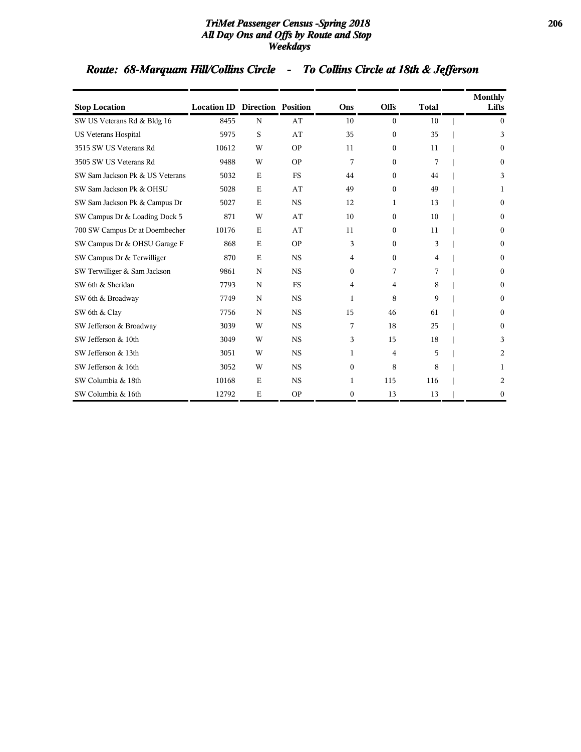### *TriMet Passenger Census -Spring 2018* **206** *All Day Ons and Offs by Route and Stop Weekdays*

# *Route: 68-Marquam Hill/Collins Circle - To Collins Circle at 18th & Jefferson*

| <b>Stop Location</b>            | <b>Location ID Direction Position</b> |             |           | Ons              | <b>Offs</b>  | <b>Total</b> | <b>Monthly</b> | Lifts            |
|---------------------------------|---------------------------------------|-------------|-----------|------------------|--------------|--------------|----------------|------------------|
| SW US Veterans Rd & Bldg 16     | 8455                                  | N           | AT        | 10               | $\Omega$     | 10           |                | $\theta$         |
| <b>US Veterans Hospital</b>     | 5975                                  | S           | AT        | 35               | $\mathbf{0}$ | 35           |                | 3                |
| 3515 SW US Veterans Rd          | 10612                                 | W           | <b>OP</b> | 11               | $\mathbf{0}$ | 11           |                | $\Omega$         |
| 3505 SW US Veterans Rd          | 9488                                  | W           | <b>OP</b> | 7                | $\theta$     | 7            |                | $\boldsymbol{0}$ |
| SW Sam Jackson Pk & US Veterans | 5032                                  | $\mathbf E$ | <b>FS</b> | 44               | $\mathbf{0}$ | 44           |                | 3                |
| SW Sam Jackson Pk & OHSU        | 5028                                  | $\mathbf E$ | AT        | 49               | $\mathbf{0}$ | 49           |                | 1                |
| SW Sam Jackson Pk & Campus Dr   | 5027                                  | $\mathbf E$ | <b>NS</b> | 12               | 1            | 13           |                | $\theta$         |
| SW Campus Dr & Loading Dock 5   | 871                                   | W           | AT        | 10               | $\mathbf{0}$ | 10           |                | $\boldsymbol{0}$ |
| 700 SW Campus Dr at Doernbecher | 10176                                 | $\mathbf E$ | AT        | 11               | $\mathbf{0}$ | 11           |                | $\boldsymbol{0}$ |
| SW Campus Dr & OHSU Garage F    | 868                                   | $\mathbf E$ | <b>OP</b> | 3                | $\Omega$     | 3            |                | $\theta$         |
| SW Campus Dr & Terwilliger      | 870                                   | Е           | <b>NS</b> | 4                | $\Omega$     | 4            |                | $\theta$         |
| SW Terwilliger & Sam Jackson    | 9861                                  | N           | <b>NS</b> | $\mathbf{0}$     | 7            | 7            |                | $\bf{0}$         |
| SW 6th & Sheridan               | 7793                                  | N           | <b>FS</b> | 4                | 4            | 8            |                | $\boldsymbol{0}$ |
| SW 6th & Broadway               | 7749                                  | N           | <b>NS</b> | 1                | 8            | 9            |                | $\theta$         |
| SW 6th & Clay                   | 7756                                  | N           | <b>NS</b> | 15               | 46           | 61           |                | $\theta$         |
| SW Jefferson & Broadway         | 3039                                  | W           | <b>NS</b> | 7                | 18           | 25           |                | $\theta$         |
| SW Jefferson & 10th             | 3049                                  | W           | <b>NS</b> | 3                | 15           | 18           |                | 3                |
| SW Jefferson & 13th             | 3051                                  | W           | <b>NS</b> | 1                | 4            | 5            |                | 2                |
| SW Jefferson & 16th             | 3052                                  | W           | <b>NS</b> | $\mathbf{0}$     | 8            | 8            |                | 1                |
| SW Columbia & 18th              | 10168                                 | E           | <b>NS</b> | 1                | 115          | 116          |                | 2                |
| SW Columbia & 16th              | 12792                                 | Е           | <b>OP</b> | $\boldsymbol{0}$ | 13           | 13           |                | $\boldsymbol{0}$ |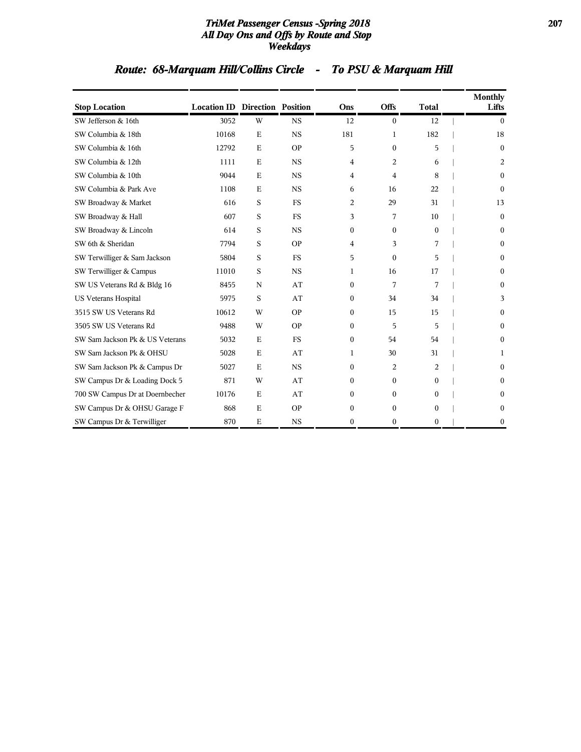### *TriMet Passenger Census -Spring 2018* **207** *All Day Ons and Offs by Route and Stop Weekdays*

# *Route: 68-Marquam Hill/Collins Circle - To PSU & Marquam Hill*

| <b>Stop Location</b>            | <b>Location ID Direction Position</b> |             |           | Ons          | <b>Offs</b>  | <b>Total</b> | <b>Monthly</b><br>Lifts |
|---------------------------------|---------------------------------------|-------------|-----------|--------------|--------------|--------------|-------------------------|
| SW Jefferson & 16th             | 3052                                  | W           | <b>NS</b> | 12           | $\Omega$     | 12           | $\theta$                |
| SW Columbia & 18th              | 10168                                 | $\mathbf E$ | <b>NS</b> | 181          | 1            | 182          | 18                      |
| SW Columbia & 16th              | 12792                                 | $\mathbf E$ | <b>OP</b> | 5            | $\Omega$     | 5            | $\Omega$                |
| SW Columbia & 12th              | 1111                                  | E           | <b>NS</b> | 4            | 2            | 6            | 2                       |
| SW Columbia & 10th              | 9044                                  | $\mathbf E$ | <b>NS</b> | 4            | 4            | 8            | $\theta$                |
| SW Columbia & Park Ave          | 1108                                  | E           | <b>NS</b> | 6            | 16           | 22           | $\theta$                |
| SW Broadway & Market            | 616                                   | S           | <b>FS</b> | 2            | 29           | 31           | 13                      |
| SW Broadway & Hall              | 607                                   | S           | <b>FS</b> | 3            | 7            | 10           | $\mathbf{0}$            |
| SW Broadway & Lincoln           | 614                                   | S           | <b>NS</b> | $\mathbf{0}$ | $\mathbf{0}$ | $\mathbf{0}$ | $\mathbf{0}$            |
| SW 6th & Sheridan               | 7794                                  | S           | <b>OP</b> | 4            | 3            | 7            | $\boldsymbol{0}$        |
| SW Terwilliger & Sam Jackson    | 5804                                  | S           | <b>FS</b> | 5            | $\Omega$     | 5            | $\theta$                |
| SW Terwilliger & Campus         | 11010                                 | S           | <b>NS</b> | 1            | 16           | 17           | $\Omega$                |
| SW US Veterans Rd & Bldg 16     | 8455                                  | N           | AT        | $\mathbf{0}$ | 7            | 7            | $\theta$                |
| <b>US Veterans Hospital</b>     | 5975                                  | S           | AT        | $\mathbf{0}$ | 34           | 34           | 3                       |
| 3515 SW US Veterans Rd          | 10612                                 | W           | <b>OP</b> | $\mathbf{0}$ | 15           | 15           | $\theta$                |
| 3505 SW US Veterans Rd          | 9488                                  | W           | <b>OP</b> | $\mathbf{0}$ | 5            | 5            | $\theta$                |
| SW Sam Jackson Pk & US Veterans | 5032                                  | E           | <b>FS</b> | $\mathbf{0}$ | 54           | 54           | $\boldsymbol{0}$        |
| SW Sam Jackson Pk & OHSU        | 5028                                  | $\mathbf E$ | AT        | 1            | 30           | 31           | 1                       |
| SW Sam Jackson Pk & Campus Dr   | 5027                                  | $\mathbf E$ | <b>NS</b> | $\Omega$     | 2            | 2            | $\theta$                |
| SW Campus Dr & Loading Dock 5   | 871                                   | W           | AT        | $\mathbf{0}$ | $\Omega$     | 0            | $\Omega$                |
| 700 SW Campus Dr at Doernbecher | 10176                                 | $\mathbf E$ | AT        | $\mathbf{0}$ | $\Omega$     | 0            | $\Omega$                |
| SW Campus Dr & OHSU Garage F    | 868                                   | $\mathbf E$ | <b>OP</b> | $\mathbf{0}$ | $\Omega$     | 0            | $\Omega$                |
| SW Campus Dr & Terwilliger      | 870                                   | E           | <b>NS</b> | $\mathbf{0}$ | $\mathbf{0}$ | $\theta$     | $\Omega$                |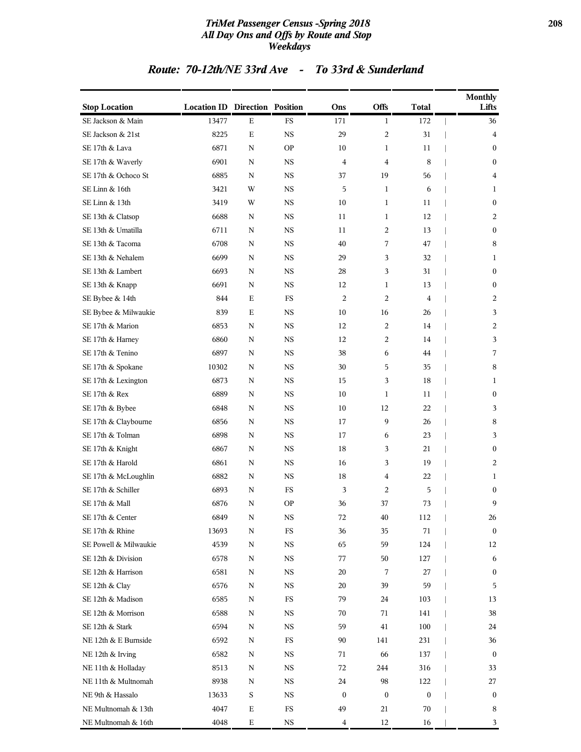### *TriMet Passenger Census -Spring 2018* **208** *All Day Ons and Offs by Route and Stop Weekdays*

### *Route: 70-12th/NE 33rd Ave - To 33rd & Sunderland*

| <b>Stop Location</b>  | <b>Location ID Direction Position</b> |             |             | Ons              | <b>Offs</b>      | <b>Total</b>     | <b>Monthly</b><br>Lifts |
|-----------------------|---------------------------------------|-------------|-------------|------------------|------------------|------------------|-------------------------|
| SE Jackson & Main     | 13477                                 | Ε           | $_{\rm FS}$ | 171              | $\mathbf{1}$     | 172              | 36                      |
| SE Jackson & 21st     | 8225                                  | $\mathbf E$ | <b>NS</b>   | 29               | $\overline{c}$   | 31               | $\overline{4}$          |
| SE 17th & Lava        | 6871                                  | N           | <b>OP</b>   | 10               | 1                | 11               | $\mathbf{0}$            |
| SE 17th & Waverly     | 6901                                  | N           | <b>NS</b>   | 4                | 4                | 8                | $\mathbf{0}$            |
| SE 17th & Ochoco St   | 6885                                  | N           | <b>NS</b>   | 37               | 19               | 56               | 4                       |
| SE Linn & 16th        | 3421                                  | W           | <b>NS</b>   | 5                | $\mathbf{1}$     | 6                | $\mathbf{1}$            |
| SE Linn & 13th        | 3419                                  | W           | <b>NS</b>   | 10               | $\mathbf{1}$     | 11               | $\boldsymbol{0}$        |
| SE 13th & Clatsop     | 6688                                  | N           | <b>NS</b>   | 11               | $\mathbf{1}$     | 12               | 2                       |
| SE 13th & Umatilla    | 6711                                  | N           | <b>NS</b>   | 11               | 2                | 13               | $\boldsymbol{0}$        |
| SE 13th & Tacoma      | 6708                                  | $\mathbf N$ | <b>NS</b>   | 40               | 7                | 47               | 8                       |
| SE 13th & Nehalem     | 6699                                  | N           | <b>NS</b>   | 29               | 3                | 32               | 1                       |
| SE 13th & Lambert     | 6693                                  | N           | <b>NS</b>   | 28               | 3                | 31               | $\boldsymbol{0}$        |
| SE 13th & Knapp       | 6691                                  | N           | NS          | 12               | $\mathbf{1}$     | 13               | $\mathbf{0}$            |
| SE Bybee & 14th       | 844                                   | Ε           | FS          | $\overline{c}$   | 2                | 4                | 2                       |
| SE Bybee & Milwaukie  | 839                                   | Ε           | NS          | 10               | 16               | 26               | 3                       |
| SE 17th & Marion      | 6853                                  | N           | <b>NS</b>   | 12               | 2                | 14               | 2                       |
| SE 17th & Harney      | 6860                                  | N           | <b>NS</b>   | 12               | 2                | 14               | 3                       |
| SE 17th & Tenino      | 6897                                  | N           | <b>NS</b>   | 38               | 6                | 44               | 7                       |
| SE 17th & Spokane     | 10302                                 | N           | <b>NS</b>   | 30               | 5                | 35               | 8                       |
| SE 17th & Lexington   | 6873                                  | $\mathbf N$ | <b>NS</b>   | 15               | 3                | 18               | 1                       |
| SE 17th & Rex         | 6889                                  | N           | <b>NS</b>   | 10               | 1                | 11               | $\mathbf{0}$            |
| SE 17th & Bybee       | 6848                                  | N           | <b>NS</b>   | 10               | 12               | 22               | 3                       |
| SE 17th & Claybourne  | 6856                                  | N           | <b>NS</b>   | 17               | 9                | 26               | $\,8\,$                 |
| SE 17th & Tolman      | 6898                                  | N           | <b>NS</b>   | 17               | 6                | 23               | 3                       |
| SE 17th & Knight      | 6867                                  | N           | NS          | 18               | 3                | 21               | $\bf{0}$                |
| SE 17th & Harold      | 6861                                  | N           | <b>NS</b>   | 16               | 3                | 19               | 2                       |
| SE 17th & McLoughlin  | 6882                                  | N           | NS          | 18               | 4                | 22               | 1                       |
| SE 17th & Schiller    | 6893                                  | N           | FS          | 3                | 2                | 5                | $\mathbf{0}$            |
| SE 17th & Mall        | 6876                                  | N           | <b>OP</b>   | 36               | 37               | 73               | 9                       |
| SE 17th & Center      | 6849                                  | N           | <b>NS</b>   | 72               | 40               | 112              | 26                      |
| SE 17th & Rhine       | 13693                                 | N           | FS          | 36               | 35               | 71               | $\boldsymbol{0}$        |
| SE Powell & Milwaukie | 4539                                  | N           | $_{\rm NS}$ | 65               | 59               | 124              | 12                      |
| SE 12th & Division    | 6578                                  | N           | NS          | 77               | 50               | 127              | 6                       |
| SE 12th & Harrison    | 6581                                  | N           | NS          | 20               | 7                | 27               | $\bf{0}$                |
| SE 12th & Clay        | 6576                                  | N           | <b>NS</b>   | 20               | 39               | 59               | 5                       |
| SE 12th & Madison     | 6585                                  | N           | FS          | 79               | 24               | 103              | 13                      |
| SE 12th & Morrison    | 6588                                  | N           | <b>NS</b>   | 70               | 71               | 141              | 38                      |
| SE 12th & Stark       | 6594                                  | N           | NS          | 59               | 41               | 100              | 24                      |
| NE 12th & E Burnside  | 6592                                  | N           | FS          | 90               | 141              | 231              | 36                      |
| NE 12th & Irving      | 6582                                  | N           | <b>NS</b>   | 71               | 66               | 137              | $\bf{0}$                |
| NE 11th & Holladay    | 8513                                  | N           | $_{\rm NS}$ | 72               | 244              | 316              | 33                      |
| NE 11th & Multnomah   | 8938                                  | N           | NS          | 24               | 98               | 122              | 27                      |
| NE 9th & Hassalo      | 13633                                 | $\mathbf S$ | <b>NS</b>   | $\boldsymbol{0}$ | $\boldsymbol{0}$ | $\boldsymbol{0}$ | $\bf{0}$                |
| NE Multnomah & 13th   | 4047                                  | Ε           | FS          | 49               | 21               | 70               | 8                       |
| NE Multnomah & 16th   | 4048                                  | $\mathbf E$ | $_{\rm NS}$ | 4                | 12               | 16               | 3                       |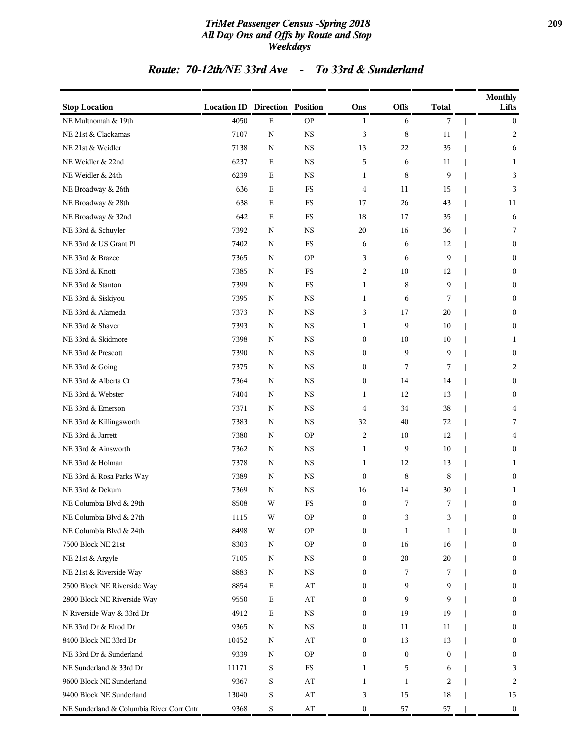### *TriMet Passenger Census -Spring 2018* **209** *All Day Ons and Offs by Route and Stop Weekdays*

### *Route: 70-12th/NE 33rd Ave - To 33rd & Sunderland*

| <b>Stop Location</b>                     | <b>Location ID Direction Position</b> |             |                        | Ons              | <b>Offs</b>      | <b>Total</b>     | <b>Monthly</b><br>Lifts |
|------------------------------------------|---------------------------------------|-------------|------------------------|------------------|------------------|------------------|-------------------------|
| NE Multnomah & 19th                      | 4050                                  | Ε           | <b>OP</b>              | $\mathbf{1}$     | 6                | 7                | $\boldsymbol{0}$        |
| NE 21st & Clackamas                      | 7107                                  | $\mathbf N$ | <b>NS</b>              | 3                | 8                | 11               | 2                       |
| NE 21st & Weidler                        | 7138                                  | N           | <b>NS</b>              | 13               | 22               | 35               | 6                       |
| NE Weidler & 22nd                        | 6237                                  | Ε           | <b>NS</b>              | 5                | 6                | 11               | 1                       |
| NE Weidler & 24th                        | 6239                                  | Ε           | <b>NS</b>              | $\mathbf{1}$     | 8                | 9                | 3                       |
| NE Broadway & 26th                       | 636                                   | Ε           | FS                     | 4                | 11               | 15               | 3                       |
| NE Broadway & 28th                       | 638                                   | Ε           | FS                     | 17               | 26               | 43               | 11                      |
| NE Broadway & 32nd                       | 642                                   | $\mathbf E$ | $_{\rm FS}$            | 18               | 17               | 35               | 6                       |
| NE 33rd & Schuyler                       | 7392                                  | N           | <b>NS</b>              | 20               | 16               | 36               | 7                       |
| NE 33rd & US Grant Pl                    | 7402                                  | $\mathbf N$ | FS                     | 6                | 6                | 12               | $\boldsymbol{0}$        |
| NE 33rd & Brazee                         | 7365                                  | N           | <b>OP</b>              | 3                | 6                | 9                | $\boldsymbol{0}$        |
| NE 33rd & Knott                          | 7385                                  | N           | FS                     | $\overline{c}$   | 10               | 12               | $\boldsymbol{0}$        |
| NE 33rd & Stanton                        | 7399                                  | N           | $_{\rm FS}$            | $\mathbf{1}$     | 8                | 9                | $\boldsymbol{0}$        |
| NE 33rd & Siskiyou                       | 7395                                  | N           | <b>NS</b>              | $\mathbf{1}$     | 6                | 7                | $\boldsymbol{0}$        |
| NE 33rd & Alameda                        | 7373                                  | N           | <b>NS</b>              | 3                | 17               | 20               | $\boldsymbol{0}$        |
| NE 33rd & Shaver                         | 7393                                  | N           | $_{\rm NS}$            | $\mathbf{1}$     | 9                | 10               | $\boldsymbol{0}$        |
| NE 33rd & Skidmore                       | 7398                                  | N           | $_{\rm NS}$            | $\boldsymbol{0}$ | 10               | 10               | 1                       |
| NE 33rd & Prescott                       | 7390                                  | N           | <b>NS</b>              | $\boldsymbol{0}$ | 9                | 9                | $\boldsymbol{0}$        |
| NE 33rd & Going                          | 7375                                  | N           | <b>NS</b>              | $\boldsymbol{0}$ | 7                | 7                | 2                       |
| NE 33rd & Alberta Ct                     | 7364                                  | N           | <b>NS</b>              | $\boldsymbol{0}$ | 14               | 14               | $\boldsymbol{0}$        |
| NE 33rd & Webster                        | 7404                                  | N           | $_{\rm NS}$            | 1                | 12               | 13               | $\boldsymbol{0}$        |
| NE 33rd & Emerson                        | 7371                                  | N           | $_{\rm NS}$            | 4                | 34               | 38               | 4                       |
| NE 33rd & Killingsworth                  | 7383                                  | N           | <b>NS</b>              | 32               | 40               | 72               | 7                       |
| NE 33rd & Jarrett                        | 7380                                  | N           | <b>OP</b>              | $\overline{c}$   | 10               | 12               | 4                       |
| NE 33rd & Ainsworth                      | 7362                                  | $\mathbf N$ | <b>NS</b>              | $\mathbf{1}$     | 9                | 10               | $\mathbf{0}$            |
| NE 33rd & Holman                         | 7378                                  | N           | <b>NS</b>              | $\mathbf{1}$     | 12               | 13               | 1                       |
| NE 33rd & Rosa Parks Way                 | 7389                                  | N           | <b>NS</b>              | $\boldsymbol{0}$ | 8                | 8                | $\boldsymbol{0}$        |
| NE 33rd & Dekum                          | 7369                                  | N           | <b>NS</b>              | 16               | 14               | 30               | 1                       |
| NE Columbia Blvd & 29th                  | 8508                                  | W           | FS                     | $\boldsymbol{0}$ | 7                | 7                | $\boldsymbol{0}$        |
| NE Columbia Blvd & 27th                  | 1115                                  | W           | <b>OP</b>              | $\boldsymbol{0}$ | 3                | 3                | $\theta$                |
| NE Columbia Blvd & 24th                  | 8498                                  | W           | <b>OP</b>              | $\boldsymbol{0}$ | $\mathbf{1}$     | 1                | $\boldsymbol{0}$        |
| 7500 Block NE 21st                       | 8303                                  | N           | <b>OP</b>              | $\boldsymbol{0}$ | 16               | 16               | $\boldsymbol{0}$        |
| NE 21st & Argyle                         | 7105                                  | N           | NS                     | $\boldsymbol{0}$ | 20               | 20               | $\boldsymbol{0}$        |
| NE 21st & Riverside Way                  | 8883                                  | N           | NS                     | $\boldsymbol{0}$ | 7                | 7                | $\boldsymbol{0}$        |
| 2500 Block NE Riverside Way              | 8854                                  | $\mathbf E$ | AT                     | $\boldsymbol{0}$ | 9                | 9                | $\bf{0}$                |
| 2800 Block NE Riverside Way              | 9550                                  | $\mathbf E$ | AT                     | $\boldsymbol{0}$ | 9                | 9                | $\bf{0}$                |
| N Riverside Way & 33rd Dr                | 4912                                  | $\mathbf E$ | NS                     | $\boldsymbol{0}$ | 19               | 19               | $\bf{0}$                |
| NE 33rd Dr & Elrod Dr                    | 9365                                  | N           | NS                     | $\boldsymbol{0}$ | 11               | 11               | $\bf{0}$                |
| 8400 Block NE 33rd Dr                    | 10452                                 | N           | AT                     | $\boldsymbol{0}$ | 13               | 13               | $\boldsymbol{0}$        |
| NE 33rd Dr & Sunderland                  | 9339                                  | N           | <b>OP</b>              | $\boldsymbol{0}$ | $\boldsymbol{0}$ | $\boldsymbol{0}$ | $\bf{0}$                |
| NE Sunderland & 33rd Dr                  | 11171                                 | S           | $_{\rm FS}$            | 1                | 5                | 6                | 3                       |
| 9600 Block NE Sunderland                 | 9367                                  | S           | AT                     | 1                | $\mathbf{1}$     | 2                | 2                       |
| 9400 Block NE Sunderland                 | 13040                                 | S           | AT                     | 3                | 15               | 18               | 15                      |
| NE Sunderland & Columbia River Corr Cntr | 9368                                  | S           | $\mathbf{A}\mathbf{T}$ | $\boldsymbol{0}$ | 57               | 57               | $\bf{0}$                |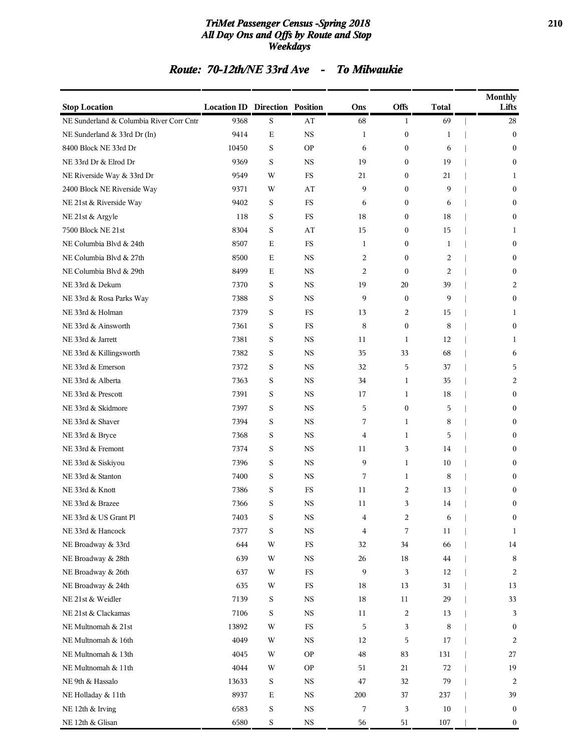#### *TriMet Passenger Census -Spring 2018* **210** *All Day Ons and Offs by Route and Stop Weekdays*

### *Route: 70-12th/NE 33rd Ave - To Milwaukie*

| <b>Stop Location</b>                     | <b>Location ID Direction Position</b> |             |             | Ons          | Offs                      | <b>Total</b> | <b>Monthly</b><br>Lifts |
|------------------------------------------|---------------------------------------|-------------|-------------|--------------|---------------------------|--------------|-------------------------|
| NE Sunderland & Columbia River Corr Cntr | 9368                                  | S           | AT          | 68           | 1                         | 69           | 28                      |
| NE Sunderland & 33rd Dr (In)             | 9414                                  | Ε           | <b>NS</b>   | $\mathbf{1}$ | $\boldsymbol{0}$          | 1            | $\boldsymbol{0}$        |
| 8400 Block NE 33rd Dr                    | 10450                                 | S           | <b>OP</b>   | 6            | $\bf{0}$                  | 6            | $\mathbf{0}$            |
| NE 33rd Dr & Elrod Dr                    | 9369                                  | $\mathbf S$ | <b>NS</b>   | 19           | $\bf{0}$                  | 19           | $\mathbf{0}$            |
| NE Riverside Way & 33rd Dr               | 9549                                  | W           | FS          | 21           | $\bf{0}$                  | 21           | 1                       |
| 2400 Block NE Riverside Way              | 9371                                  | W           | AT          | 9            | $\boldsymbol{0}$          | 9            | $\mathbf{0}$            |
| NE 21st & Riverside Way                  | 9402                                  | S           | FS          | 6            | $\boldsymbol{0}$          | 6            | $\boldsymbol{0}$        |
| NE 21st & Argyle                         | 118                                   | S           | FS          | 18           | $\bf{0}$                  | 18           | $\mathbf{0}$            |
| 7500 Block NE 21st                       | 8304                                  | $\mathbf S$ | AT          | 15           | $\boldsymbol{0}$          | 15           | 1                       |
| NE Columbia Blvd & 24th                  | 8507                                  | Ε           | FS          | $\mathbf{1}$ | $\bf{0}$                  | $\mathbf{1}$ | $\mathbf{0}$            |
| NE Columbia Blvd & 27th                  | 8500                                  | Ε           | NS          | 2            | $\boldsymbol{0}$          | 2            | $\mathbf{0}$            |
| NE Columbia Blvd & 29th                  | 8499                                  | Ε           | <b>NS</b>   | 2            | $\boldsymbol{0}$          | 2            | $\mathbf{0}$            |
| NE 33rd & Dekum                          | 7370                                  | S           | <b>NS</b>   | 19           | 20                        | 39           | 2                       |
| NE 33rd & Rosa Parks Way                 | 7388                                  | $\mathbf S$ | <b>NS</b>   | 9            | $\boldsymbol{0}$          | 9            | $\mathbf{0}$            |
| NE 33rd & Holman                         | 7379                                  | S           | <b>FS</b>   | 13           | 2                         | 15           | 1                       |
| NE 33rd & Ainsworth                      | 7361                                  | S           | FS          | 8            | $\boldsymbol{0}$          | 8            | $\mathbf{0}$            |
| NE 33rd & Jarrett                        | 7381                                  | S           | <b>NS</b>   | 11           | $\mathbf{1}$              | 12           | 1                       |
| NE 33rd & Killingsworth                  | 7382                                  | S           | <b>NS</b>   | 35           | 33                        | 68           | 6                       |
| NE 33rd & Emerson                        | 7372                                  | S           | <b>NS</b>   | 32           | 5                         | 37           | 5                       |
| NE 33rd & Alberta                        | 7363                                  | S           | <b>NS</b>   | 34           | 1                         | 35           | 2                       |
| NE 33rd & Prescott                       | 7391                                  | S           | NS          | 17           | 1                         | 18           | $\boldsymbol{0}$        |
| NE 33rd & Skidmore                       | 7397                                  | S           | <b>NS</b>   | 5            | $\boldsymbol{0}$          | 5            | $\boldsymbol{0}$        |
| NE 33rd & Shaver                         | 7394                                  | S           | <b>NS</b>   | 7            | 1                         | 8            | $\mathbf{0}$            |
| NE 33rd & Bryce                          | 7368                                  | S           | <b>NS</b>   | 4            | $\mathbf{1}$              | 5            | $\mathbf{0}$            |
| NE 33rd & Fremont                        | 7374                                  | S           | <b>NS</b>   | 11           | 3                         | 14           | $\mathbf{0}$            |
| NE 33rd & Siskiyou                       | 7396                                  | S           | <b>NS</b>   | 9            | $\mathbf{1}$              | 10           | $\mathbf{0}$            |
| NE 33rd & Stanton                        | 7400                                  | S           | <b>NS</b>   | 7            | $\mathbf{1}$              | 8            | $\mathbf{0}$            |
| NE 33rd & Knott                          | 7386                                  | S           | FS          | 11           | $\overline{c}$            | 13           | $\boldsymbol{0}$        |
| NE 33rd & Brazee                         | 7366                                  | S           | <b>NS</b>   | 11           | 3                         | 14           | $\boldsymbol{0}$        |
| NE 33rd & US Grant Pl                    | 7403                                  | S           | <b>NS</b>   | 4            | $\overline{c}$            | 6            | $\bf{0}$                |
| NE 33rd & Hancock                        | 7377                                  | $\mathbf S$ | <b>NS</b>   | 4            | $\boldsymbol{7}$          | 11           | 1                       |
| NE Broadway & 33rd                       | 644                                   | W           | $_{\rm FS}$ | 32           | 34                        | 66           | 14                      |
| NE Broadway & 28th                       | 639                                   | W           | <b>NS</b>   | 26           | 18                        | 44           | $\,8\,$                 |
| NE Broadway & 26th                       | 637                                   | W           | FS          | 9            | $\ensuremath{\mathbf{3}}$ | 12           | $\overline{c}$          |
| NE Broadway & 24th                       | 635                                   | W           | $_{\rm FS}$ | 18           | 13                        | 31           | 13                      |
| NE 21st & Weidler                        | 7139                                  | $\mathbf S$ | <b>NS</b>   | 18           | 11                        | 29           | 33                      |
| NE 21st & Clackamas                      | 7106                                  | S           | <b>NS</b>   | 11           | $\overline{c}$            | 13           | 3                       |
| NE Multnomah & 21st                      | 13892                                 | W           | $_{\rm FS}$ | 5            | $\mathbf{3}$              | 8            | $\boldsymbol{0}$        |
| NE Multnomah & 16th                      | 4049                                  | W           | <b>NS</b>   | 12           | $\,$ 5 $\,$               | 17           | 2                       |
| NE Multnomah & 13th                      | 4045                                  | W           | <b>OP</b>   | 48           | 83                        | 131          | 27                      |
| NE Multnomah & 11th                      | 4044                                  | W           | <b>OP</b>   | 51           | 21                        | 72           | 19                      |
| NE 9th & Hassalo                         | 13633                                 | $\mathbf S$ | <b>NS</b>   | 47           | 32                        | 79           | 2                       |
| NE Holladay & 11th                       | 8937                                  | Ε           | $_{\rm NS}$ | 200          | 37                        | 237          | 39                      |
| NE 12th & Irving                         | 6583                                  | $\mathbf S$ | <b>NS</b>   | 7            | $\ensuremath{\mathsf{3}}$ | $10\,$       | $\bf{0}$                |
| NE 12th & Glisan                         | 6580                                  | $\mathbf S$ | <b>NS</b>   | 56           | 51                        | 107          | $\boldsymbol{0}$        |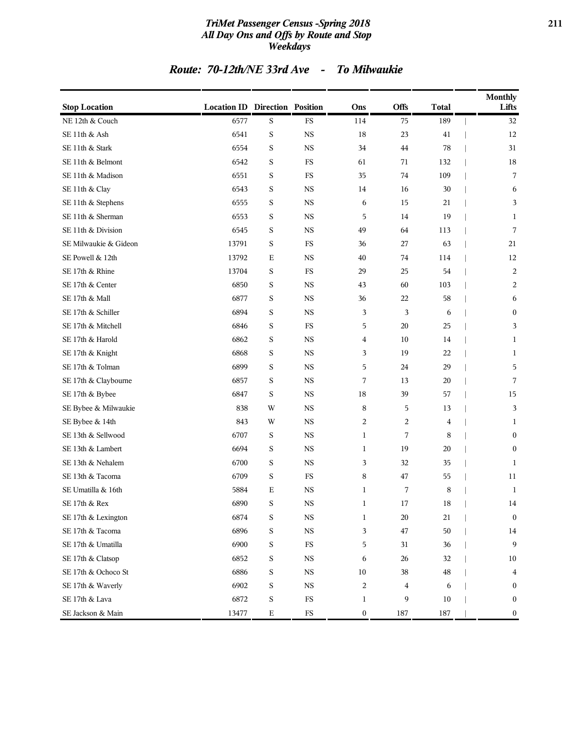### *TriMet Passenger Census -Spring 2018* **211** *All Day Ons and Offs by Route and Stop Weekdays*

### *Route: 70-12th/NE 33rd Ave - To Milwaukie*

| <b>Stop Location</b>  | <b>Location ID Direction Position</b> |             |             | Ons              | <b>Offs</b> | <b>Total</b> | <b>Monthly</b><br>Lifts |
|-----------------------|---------------------------------------|-------------|-------------|------------------|-------------|--------------|-------------------------|
| NE 12th & Couch       | 6577                                  | S           | FS          | 114              | 75          | 189          | 32                      |
| SE 11th & Ash         | 6541                                  | S           | <b>NS</b>   | 18               | 23          | 41           | 12                      |
| SE 11th & Stark       | 6554                                  | S           | <b>NS</b>   | 34               | 44          | 78           | 31                      |
| SE 11th & Belmont     | 6542                                  | S           | FS          | 61               | 71          | 132          | 18                      |
| SE 11th & Madison     | 6551                                  | S           | FS          | 35               | 74          | 109          | 7                       |
| SE 11th & Clay        | 6543                                  | S           | <b>NS</b>   | 14               | 16          | 30           | 6                       |
| SE 11th & Stephens    | 6555                                  | S           | <b>NS</b>   | 6                | 15          | 21           | 3                       |
| SE 11th & Sherman     | 6553                                  | S           | <b>NS</b>   | 5                | 14          | 19           | 1                       |
| SE 11th & Division    | 6545                                  | S           | <b>NS</b>   | 49               | 64          | 113          | 7                       |
| SE Milwaukie & Gideon | 13791                                 | S           | FS          | 36               | 27          | 63           | 21                      |
| SE Powell & 12th      | 13792                                 | $\mathbf E$ | <b>NS</b>   | 40               | 74          | 114          | 12                      |
| SE 17th & Rhine       | 13704                                 | S           | FS          | 29               | 25          | 54           | $\overline{c}$          |
| SE 17th & Center      | 6850                                  | S           | <b>NS</b>   | 43               | 60          | 103          | 2                       |
| SE 17th & Mall        | 6877                                  | S           | <b>NS</b>   | 36               | 22          | 58           | 6                       |
| SE 17th & Schiller    | 6894                                  | S           | <b>NS</b>   | 3                | 3           | 6            | $\boldsymbol{0}$        |
| SE 17th & Mitchell    | 6846                                  | S           | $_{\rm FS}$ | 5                | 20          | 25           | 3                       |
| SE 17th & Harold      | 6862                                  | S           | <b>NS</b>   | 4                | 10          | 14           | 1                       |
| SE 17th & Knight      | 6868                                  | S           | <b>NS</b>   | 3                | 19          | 22           | 1                       |
| SE 17th & Tolman      | 6899                                  | S           | <b>NS</b>   | 5                | 24          | 29           | 5                       |
| SE 17th & Claybourne  | 6857                                  | S           | <b>NS</b>   | 7                | 13          | 20           | 7                       |
| SE 17th & Bybee       | 6847                                  | $\rm S$     | <b>NS</b>   | 18               | 39          | 57           | 15                      |
| SE Bybee & Milwaukie  | 838                                   | W           | <b>NS</b>   | 8                | 5           | 13           | 3                       |
| SE Bybee & 14th       | 843                                   | W           | <b>NS</b>   | 2                | 2           | 4            | 1                       |
| SE 13th & Sellwood    | 6707                                  | S           | <b>NS</b>   | $\mathbf{1}$     | 7           | 8            | $\boldsymbol{0}$        |
| SE 13th & Lambert     | 6694                                  | S           | <b>NS</b>   | 1                | 19          | 20           | $\boldsymbol{0}$        |
| SE 13th & Nehalem     | 6700                                  | S           | <b>NS</b>   | 3                | 32          | 35           | $\mathbf{1}$            |
| SE 13th & Tacoma      | 6709                                  | S           | FS          | 8                | 47          | 55           | 11                      |
| SE Umatilla & 16th    | 5884                                  | E           | <b>NS</b>   | $\mathbf{1}$     | 7           | 8            | 1                       |
| SE 17th & Rex         | 6890                                  | S           | <b>NS</b>   | $\mathbf{1}$     | 17          | 18           | 14                      |
| SE 17th & Lexington   | 6874                                  | S           | NS          | $\mathbf{1}$     | $20\,$      | 21           | $\boldsymbol{0}$        |
| SE 17th & Tacoma      | 6896                                  | S           | $_{\rm NS}$ | 3                | $47\,$      | $50\,$       | 14                      |
| SE 17th & Umatilla    | 6900                                  | S           | $_{\rm FS}$ | 5                | 31          | 36           | 9                       |
| SE 17th & Clatsop     | 6852                                  | S           | NS          | 6                | 26          | 32           | 10                      |
| SE 17th & Ochoco St   | 6886                                  | S           | $_{\rm NS}$ | $10\,$           | 38          | 48           | 4                       |
| SE 17th & Waverly     | 6902                                  | S           | $_{\rm NS}$ | $\overline{c}$   | 4           | 6            | $\boldsymbol{0}$        |
| SE 17th & Lava        | 6872                                  | $\rm S$     | ${\rm FS}$  | $\mathbf{1}$     | 9           | $10\,$       | $\boldsymbol{0}$        |
| SE Jackson & Main     | 13477                                 | $\mathbf E$ | $_{\rm FS}$ | $\boldsymbol{0}$ | 187         | 187          | $\boldsymbol{0}$        |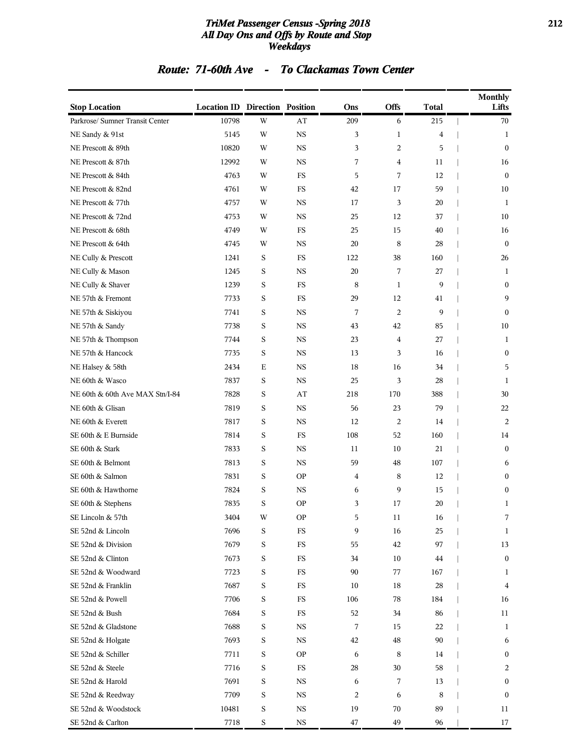### *TriMet Passenger Census -Spring 2018* **212** *All Day Ons and Offs by Route and Stop Weekdays*

### *Route: 71-60th Ave - To Clackamas Town Center*

| <b>Stop Location</b>            | <b>Location ID Direction Position</b> |             |             | Ons            | Offs           | <b>Total</b>   | <b>Monthly</b><br>Lifts |
|---------------------------------|---------------------------------------|-------------|-------------|----------------|----------------|----------------|-------------------------|
| Parkrose/ Sumner Transit Center | 10798                                 | W           | AT          | 209            | 6              | 215            | 70                      |
| NE Sandy & 91st                 | 5145                                  | W           | $_{\rm NS}$ | 3              | $\mathbf{1}$   | $\overline{4}$ | $\mathbf{1}$            |
| NE Prescott & 89th              | 10820                                 | W           | $_{\rm NS}$ | 3              | 2              | 5              | $\boldsymbol{0}$        |
| NE Prescott & 87th              | 12992                                 | W           | <b>NS</b>   | 7              | $\overline{4}$ | 11             | 16                      |
| NE Prescott & 84th              | 4763                                  | W           | FS          | 5              | 7              | 12             | $\bf{0}$                |
| NE Prescott & 82nd              | 4761                                  | W           | FS          | 42             | 17             | 59             | 10                      |
| NE Prescott & 77th              | 4757                                  | W           | <b>NS</b>   | 17             | 3              | 20             | 1                       |
| NE Prescott & 72nd              | 4753                                  | W           | $_{\rm NS}$ | 25             | 12             | 37             | 10                      |
| NE Prescott & 68th              | 4749                                  | W           | FS          | 25             | 15             | 40             | 16                      |
| NE Prescott & 64th              | 4745                                  | W           | $_{\rm NS}$ | 20             | 8              | 28             | $\bf{0}$                |
| NE Cully & Prescott             | 1241                                  | $\mathbf S$ | FS          | 122            | 38             | 160            | 26                      |
| NE Cully & Mason                | 1245                                  | $\mathbf S$ | <b>NS</b>   | 20             | 7              | 27             | 1                       |
| NE Cully & Shaver               | 1239                                  | $\mathbf S$ | FS          | 8              | $\mathbf{1}$   | 9              | $\boldsymbol{0}$        |
| NE 57th & Fremont               | 7733                                  | $\mathbf S$ | FS          | 29             | 12             | 41             | 9                       |
| NE 57th & Siskiyou              | 7741                                  | S           | $_{\rm NS}$ | 7              | $\overline{c}$ | 9              | $\boldsymbol{0}$        |
| NE 57th & Sandy                 | 7738                                  | S           | <b>NS</b>   | 43             | 42             | 85             | 10                      |
| NE 57th & Thompson              | 7744                                  | $\mathbf S$ | <b>NS</b>   | 23             | $\overline{4}$ | 27             | 1                       |
| NE 57th & Hancock               | 7735                                  | $\mathbf S$ | $_{\rm NS}$ | 13             | 3              | 16             | $\boldsymbol{0}$        |
| NE Halsey & 58th                | 2434                                  | Ε           | <b>NS</b>   | 18             | 16             | 34             | 5                       |
| NE 60th & Wasco                 | 7837                                  | S           | $_{\rm NS}$ | 25             | 3              | 28             | 1                       |
| NE 60th & 60th Ave MAX Stn/I-84 | 7828                                  | S           | AT          | 218            | 170            | 388            | 30                      |
| NE 60th & Glisan                | 7819                                  | $\mathbf S$ | $_{\rm NS}$ | 56             | 23             | 79             | 22                      |
| NE 60th & Everett               | 7817                                  | $\mathbf S$ | $_{\rm NS}$ | 12             | $\overline{c}$ | 14             | 2                       |
| SE 60th & E Burnside            | 7814                                  | $\mathbf S$ | FS          | 108            | 52             | 160            | 14                      |
| SE 60th & Stark                 | 7833                                  | S           | $_{\rm NS}$ | 11             | 10             | 21             | $\boldsymbol{0}$        |
| SE 60th & Belmont               | 7813                                  | S           | <b>NS</b>   | 59             | 48             | 107            | 6                       |
| SE 60th & Salmon                | 7831                                  | $\mathbf S$ | <b>OP</b>   | $\overline{4}$ | 8              | 12             | $\boldsymbol{0}$        |
| SE 60th & Hawthorne             | 7824                                  | $\mathbf S$ | $_{\rm NS}$ | 6              | 9              | 15             | $\boldsymbol{0}$        |
| SE 60th & Stephens              | 7835                                  | S           | <b>OP</b>   | 3              | 17             | 20             | 1                       |
| SE Lincoln & 57th               | 3404                                  | W           | <b>OP</b>   | 5              | 11             | 16             | 7                       |
| SE 52nd & Lincoln               | 7696                                  | S           | $_{\rm FS}$ | 9              | 16             | 25             | 1                       |
| SE 52nd & Division              | 7679                                  | S           | $_{\rm FS}$ | 55             | 42             | 97             | 13                      |
| SE 52nd & Clinton               | 7673                                  | S           | $_{\rm FS}$ | 34             | 10             | 44             | $\boldsymbol{0}$        |
| SE 52nd & Woodward              | 7723                                  | $\mathbf S$ | $_{\rm FS}$ | 90             | 77             | 167            | 1                       |
| SE 52nd & Franklin              | 7687                                  | $\mathbf S$ | FS          | 10             | 18             | 28             | 4                       |
| SE 52nd & Powell                | 7706                                  | S           | FS          | 106            | 78             | 184            | 16                      |
| SE 52nd & Bush                  | 7684                                  | S           | FS          | 52             | 34             | 86             | 11                      |
| SE 52nd & Gladstone             | 7688                                  | S           | NS          | 7              | 15             | 22             | $\mathbf{1}$            |
| SE 52nd & Holgate               | 7693                                  | S           | <b>NS</b>   | 42             | 48             | 90             | 6                       |
| SE 52nd & Schiller              | 7711                                  | $\mathbf S$ | <b>OP</b>   | 6              | 8              | 14             | $\boldsymbol{0}$        |
| SE 52nd & Steele                | 7716                                  | S           | $_{\rm FS}$ | 28             | 30             | 58             | 2                       |
| SE 52nd & Harold                | 7691                                  | S           | $_{\rm NS}$ | 6              | 7              | 13             | $\boldsymbol{0}$        |
| SE 52nd & Reedway               | 7709                                  | S           | $_{\rm NS}$ | 2              | 6              | 8              | $\boldsymbol{0}$        |
| SE 52nd & Woodstock             | 10481                                 | $\mathbf S$ | NS          | 19             | 70             | 89             | 11                      |
| SE 52nd & Carlton               | 7718                                  | $\mathbf S$ | <b>NS</b>   | 47             | 49             | 96             | 17                      |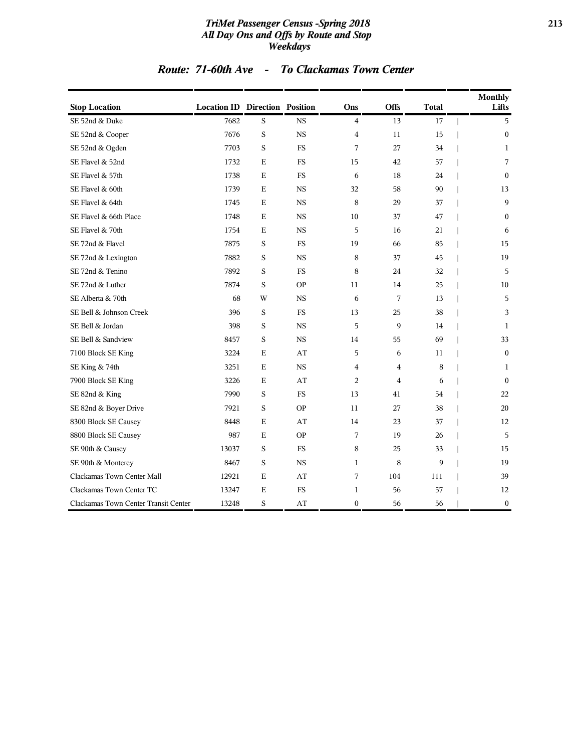### *TriMet Passenger Census -Spring 2018* **213** *All Day Ons and Offs by Route and Stop Weekdays*

| Route: 71-60th Ave |  | <b>To Clackamas Town Center</b> |
|--------------------|--|---------------------------------|
|--------------------|--|---------------------------------|

| <b>Stop Location</b>                 | <b>Location ID Direction Position</b> |             |             | Ons              | <b>Offs</b> | <b>Total</b> |                          | <b>Monthly</b><br>Lifts |
|--------------------------------------|---------------------------------------|-------------|-------------|------------------|-------------|--------------|--------------------------|-------------------------|
| SE 52nd & Duke                       | 7682                                  | S           | <b>NS</b>   | $\overline{4}$   | 13          | 17           | $\overline{\phantom{a}}$ | 5                       |
| SE 52nd & Cooper                     | 7676                                  | S           | <b>NS</b>   | $\overline{4}$   | 11          | 15           |                          | $\mathbf{0}$            |
| SE 52nd & Ogden                      | 7703                                  | S           | <b>FS</b>   | 7                | 27          | 34           |                          | $\mathbf{1}$            |
| SE Flavel & 52nd                     | 1732                                  | E           | <b>FS</b>   | 15               | 42          | 57           |                          | 7                       |
| SE Flavel & 57th                     | 1738                                  | $\mathbf E$ | <b>FS</b>   | 6                | 18          | 24           |                          | $\theta$                |
| SE Flavel & 60th                     | 1739                                  | E           | <b>NS</b>   | 32               | 58          | 90           |                          | 13                      |
| SE Flavel & 64th                     | 1745                                  | E           | <b>NS</b>   | 8                | 29          | 37           |                          | 9                       |
| SE Flavel & 66th Place               | 1748                                  | Е           | <b>NS</b>   | 10               | 37          | 47           |                          | $\boldsymbol{0}$        |
| SE Flavel & 70th                     | 1754                                  | E           | <b>NS</b>   | 5                | 16          | 21           |                          | 6                       |
| SE 72nd & Flavel                     | 7875                                  | S           | <b>FS</b>   | 19               | 66          | 85           |                          | 15                      |
| SE 72nd & Lexington                  | 7882                                  | S           | <b>NS</b>   | 8                | 37          | 45           |                          | 19                      |
| SE 72nd & Tenino                     | 7892                                  | S           | <b>FS</b>   | 8                | 24          | 32           |                          | 5                       |
| SE 72nd & Luther                     | 7874                                  | S           | <b>OP</b>   | 11               | 14          | 25           |                          | 10                      |
| SE Alberta & 70th                    | 68                                    | W           | <b>NS</b>   | 6                | 7           | 13           |                          | 5                       |
| SE Bell & Johnson Creek              | 396                                   | S           | FS          | 13               | 25          | 38           |                          | 3                       |
| SE Bell & Jordan                     | 398                                   | $\rm S$     | <b>NS</b>   | 5                | 9           | 14           |                          | $\mathbf{1}$            |
| SE Bell & Sandview                   | 8457                                  | S           | <b>NS</b>   | 14               | 55          | 69           |                          | 33                      |
| 7100 Block SE King                   | 3224                                  | Е           | AT          | 5                | 6           | 11           |                          | $\boldsymbol{0}$        |
| SE King & 74th                       | 3251                                  | E           | <b>NS</b>   | 4                | 4           | 8            |                          | 1                       |
| 7900 Block SE King                   | 3226                                  | E           | AT          | $\overline{2}$   | 4           | 6            |                          | $\theta$                |
| SE 82nd & King                       | 7990                                  | S           | $_{\rm FS}$ | 13               | 41          | 54           |                          | 22                      |
| SE 82nd & Boyer Drive                | 7921                                  | S           | <b>OP</b>   | 11               | 27          | 38           |                          | 20                      |
| 8300 Block SE Causey                 | 8448                                  | $\mathbf E$ | AT          | 14               | 23          | 37           |                          | 12                      |
| 8800 Block SE Causey                 | 987                                   | $\mathbf E$ | <b>OP</b>   | 7                | 19          | 26           |                          | 5                       |
| SE 90th & Causey                     | 13037                                 | S           | <b>FS</b>   | 8                | 25          | 33           |                          | 15                      |
| SE 90th & Monterey                   | 8467                                  | S           | <b>NS</b>   | 1                | 8           | 9            |                          | 19                      |
| Clackamas Town Center Mall           | 12921                                 | Е           | AT          | 7                | 104         | 111          |                          | 39                      |
| Clackamas Town Center TC             | 13247                                 | E           | <b>FS</b>   | 1                | 56          | 57           |                          | 12                      |
| Clackamas Town Center Transit Center | 13248                                 | S           | AT          | $\boldsymbol{0}$ | 56          | 56           |                          | $\boldsymbol{0}$        |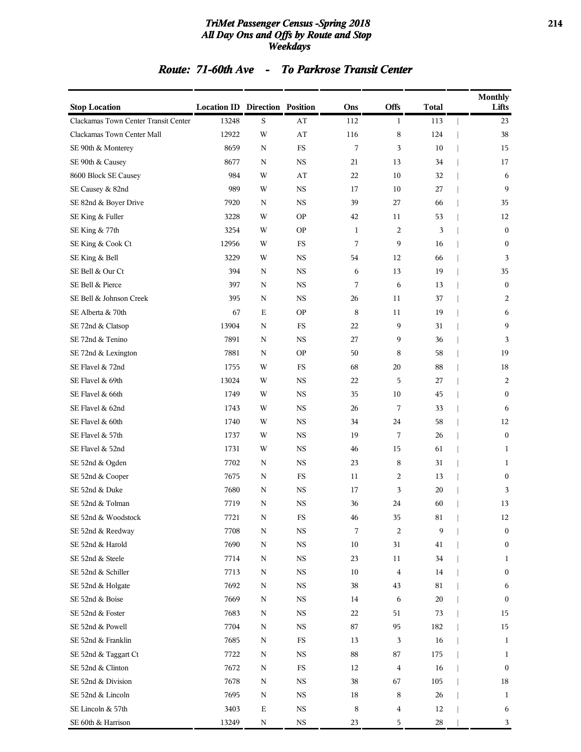### *TriMet Passenger Census -Spring 2018* **214** *All Day Ons and Offs by Route and Stop Weekdays*

### *Route: 71-60th Ave - To Parkrose Transit Center*

| <b>Stop Location</b>                 | <b>Location ID Direction Position</b> |             |             | Ons          | Offs             | <b>Total</b> | <b>Monthly</b><br>Lifts |
|--------------------------------------|---------------------------------------|-------------|-------------|--------------|------------------|--------------|-------------------------|
| Clackamas Town Center Transit Center | 13248                                 | S           | AT          | 112          | 1                | 113          | 23                      |
| Clackamas Town Center Mall           | 12922                                 | W           | AT          | 116          | 8                | 124          | 38                      |
| SE 90th & Monterey                   | 8659                                  | N           | FS          | 7            | 3                | 10           | 15                      |
| SE 90th & Causey                     | 8677                                  | N           | $_{\rm NS}$ | 21           | 13               | 34           | 17                      |
| 8600 Block SE Causey                 | 984                                   | W           | AT          | 22           | 10               | 32           | 6                       |
| SE Causey & 82nd                     | 989                                   | W           | $_{\rm NS}$ | 17           | 10               | 27           | 9                       |
| SE 82nd & Boyer Drive                | 7920                                  | $\mathbf N$ | <b>NS</b>   | 39           | 27               | 66           | 35                      |
| SE King & Fuller                     | 3228                                  | W           | <b>OP</b>   | 42           | 11               | 53           | 12                      |
| SE King & 77th                       | 3254                                  | W           | <b>OP</b>   | $\mathbf{1}$ | 2                | 3            | $\mathbf{0}$            |
| SE King & Cook Ct                    | 12956                                 | W           | FS          | 7            | 9                | 16           | $\bf{0}$                |
| SE King & Bell                       | 3229                                  | W           | $_{\rm NS}$ | 54           | 12               | 66           | 3                       |
| SE Bell & Our Ct                     | 394                                   | $\mathbf N$ | <b>NS</b>   | 6            | 13               | 19           | 35                      |
| SE Bell & Pierce                     | 397                                   | N           | <b>NS</b>   | 7            | 6                | 13           | $\boldsymbol{0}$        |
| SE Bell & Johnson Creek              | 395                                   | N           | <b>NS</b>   | 26           | 11               | 37           | 2                       |
| SE Alberta & 70th                    | 67                                    | Е           | <b>OP</b>   | 8            | 11               | 19           | 6                       |
| SE 72nd & Clatsop                    | 13904                                 | N           | FS          | 22           | 9                | 31           | 9                       |
| SE 72nd & Tenino                     | 7891                                  | $\mathbf N$ | <b>NS</b>   | 27           | 9                | 36           | 3                       |
| SE 72nd & Lexington                  | 7881                                  | N           | <b>OP</b>   | 50           | 8                | 58           | 19                      |
| SE Flavel & 72nd                     | 1755                                  | W           | FS          | 68           | 20               | 88           | 18                      |
| SE Flavel & 69th                     | 13024                                 | W           | <b>NS</b>   | 22           | 5                | 27           | 2                       |
| SE Flavel & 66th                     | 1749                                  | W           | $_{\rm NS}$ | 35           | 10               | 45           | $\boldsymbol{0}$        |
| SE Flavel & 62nd                     | 1743                                  | W           | <b>NS</b>   | 26           | 7                | 33           | 6                       |
| SE Flavel & 60th                     | 1740                                  | W           | <b>NS</b>   | 34           | 24               | 58           | 12                      |
| SE Flavel & 57th                     | 1737                                  | W           | <b>NS</b>   | 19           | 7                | 26           | $\mathbf{0}$            |
| SE Flavel & 52nd                     | 1731                                  | W           | <b>NS</b>   | 46           | 15               | 61           | 1                       |
| SE 52nd & Ogden                      | 7702                                  | N           | $_{\rm NS}$ | 23           | 8                | 31           | 1                       |
| SE 52nd & Cooper                     | 7675                                  | $\mathbf N$ | FS          | 11           | 2                | 13           | $\bf{0}$                |
| SE 52nd & Duke                       | 7680                                  | N           | <b>NS</b>   | 17           | 3                | 20           | 3                       |
| SE 52nd & Tolman                     | 7719                                  | N           | <b>NS</b>   | 36           | 24               | 60           | 13                      |
| SE 52nd & Woodstock                  | 7721                                  | N           | FS          | 46           | 35               | 81           | 12                      |
| SE 52nd & Reedway                    | 7708                                  | ${\bf N}$   | $_{\rm NS}$ | 7            | $\boldsymbol{2}$ | 9            | $\boldsymbol{0}$        |
| SE 52nd & Harold                     | 7690                                  | ${\bf N}$   | $_{\rm NS}$ | $10\,$       | 31               | 41           | $\boldsymbol{0}$        |
| SE 52nd & Steele                     | 7714                                  | N           | <b>NS</b>   | 23           | 11               | 34           | $\mathbf{1}$            |
| SE 52nd & Schiller                   | 7713                                  | ${\bf N}$   | $_{\rm NS}$ | $10\,$       | $\bf 4$          | 14           | $\boldsymbol{0}$        |
| SE 52nd & Holgate                    | 7692                                  | N           | $_{\rm NS}$ | 38           | 43               | 81           | 6                       |
| SE 52nd & Boise                      | 7669                                  | $\mathbf N$ | $_{\rm NS}$ | 14           | 6                | $20\,$       | $\boldsymbol{0}$        |
| SE 52nd & Foster                     | 7683                                  | N           | $_{\rm NS}$ | 22           | 51               | 73           | 15                      |
| SE 52nd & Powell                     | 7704                                  | N           | NS          | 87           | 95               | 182          | 15                      |
| SE 52nd & Franklin                   | 7685                                  | N           | $_{\rm FS}$ | 13           | 3                | 16           | $\mathbf{1}$            |
| SE 52nd & Taggart Ct                 | 7722                                  | N           | <b>NS</b>   | 88           | 87               | 175          | 1                       |
| SE 52nd & Clinton                    | 7672                                  | N           | $_{\rm FS}$ | 12           | $\overline{4}$   | 16           | $\boldsymbol{0}$        |
| SE 52nd & Division                   | 7678                                  | N           | $_{\rm NS}$ | 38           | 67               | 105          | 18                      |
| SE 52nd & Lincoln                    | 7695                                  | N           | <b>NS</b>   | 18           | 8                | 26           | 1                       |
| SE Lincoln & 57th                    | 3403                                  | $\mathbf E$ | $_{\rm NS}$ | 8            | 4                | 12           | 6                       |
| SE 60th & Harrison                   | 13249                                 | N           | $_{\rm NS}$ | 23           | 5                | 28           | 3                       |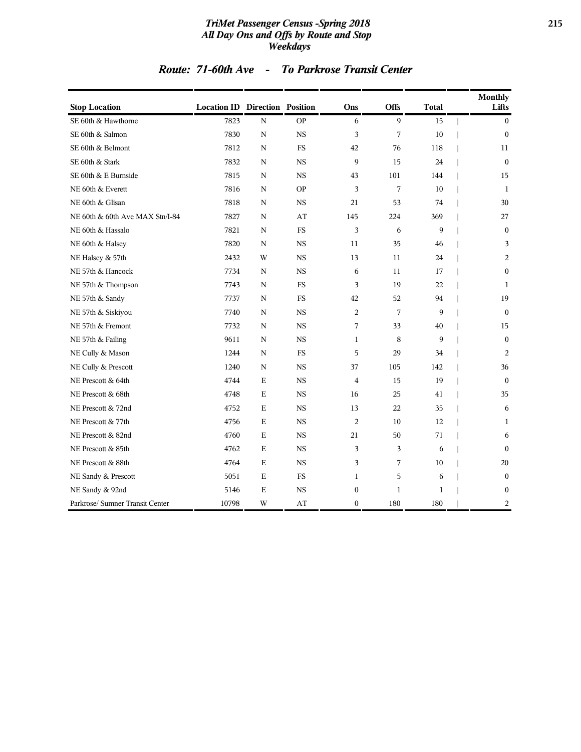### *TriMet Passenger Census -Spring 2018* **215** *All Day Ons and Offs by Route and Stop Weekdays*

### *Route: 71-60th Ave - To Parkrose Transit Center*

| <b>Stop Location</b>            | <b>Location ID Direction Position</b> |             |           | Ons              | <b>Offs</b>  | <b>Total</b> | <b>Monthly</b><br>Lifts |
|---------------------------------|---------------------------------------|-------------|-----------|------------------|--------------|--------------|-------------------------|
| SE 60th & Hawthorne             | 7823                                  | $\mathbf N$ | <b>OP</b> | 6                | $\mathbf Q$  | 15           | $\boldsymbol{0}$        |
| SE 60th & Salmon                | 7830                                  | N           | <b>NS</b> | 3                | 7            | 10           | $\boldsymbol{0}$        |
| SE 60th & Belmont               | 7812                                  | N           | <b>FS</b> | 42               | 76           | 118          | 11                      |
| SE 60th & Stark                 | 7832                                  | N           | <b>NS</b> | 9                | 15           | 24           | $\theta$                |
| SE 60th & E Burnside            | 7815                                  | N           | <b>NS</b> | 43               | 101          | 144          | 15                      |
| NE 60th & Everett               | 7816                                  | N           | <b>OP</b> | 3                | 7            | 10           | 1                       |
| NE 60th & Glisan                | 7818                                  | N           | <b>NS</b> | 21               | 53           | 74           | 30                      |
| NE 60th & 60th Ave MAX Stn/I-84 | 7827                                  | N           | AT        | 145              | 224          | 369          | 27                      |
| NE 60th & Hassalo               | 7821                                  | N           | <b>FS</b> | 3                | 6            | 9            | $\mathbf{0}$            |
| NE 60th & Halsey                | 7820                                  | $\mathbf N$ | <b>NS</b> | 11               | 35           | 46           | 3                       |
| NE Halsey & 57th                | 2432                                  | W           | <b>NS</b> | 13               | 11           | 24           | 2                       |
| NE 57th & Hancock               | 7734                                  | N           | <b>NS</b> | 6                | 11           | 17           | $\boldsymbol{0}$        |
| NE 57th & Thompson              | 7743                                  | N           | <b>FS</b> | 3                | 19           | 22           | $\mathbf{1}$            |
| NE 57th & Sandy                 | 7737                                  | N           | <b>FS</b> | 42               | 52           | 94           | 19                      |
| NE 57th & Siskiyou              | 7740                                  | N           | <b>NS</b> | $\overline{2}$   | 7            | 9            | $\theta$                |
| NE 57th & Fremont               | 7732                                  | N           | <b>NS</b> | 7                | 33           | 40           | 15                      |
| NE 57th & Failing               | 9611                                  | N           | <b>NS</b> | $\mathbf{1}$     | 8            | 9            | $\boldsymbol{0}$        |
| NE Cully & Mason                | 1244                                  | N           | <b>FS</b> | 5                | 29           | 34           | $\overline{2}$          |
| NE Cully & Prescott             | 1240                                  | N           | <b>NS</b> | 37               | 105          | 142          | 36                      |
| NE Prescott & 64th              | 4744                                  | $\mathbf E$ | <b>NS</b> | $\overline{4}$   | 15           | 19           | $\theta$                |
| NE Prescott & 68th              | 4748                                  | $\mathbf E$ | <b>NS</b> | 16               | 25           | 41           | 35                      |
| NE Prescott & 72nd              | 4752                                  | Е           | <b>NS</b> | 13               | 22           | 35           | 6                       |
| NE Prescott & 77th              | 4756                                  | Е           | <b>NS</b> | 2                | 10           | 12           | 1                       |
| NE Prescott & 82nd              | 4760                                  | E           | <b>NS</b> | 21               | 50           | 71           | 6                       |
| NE Prescott & 85th              | 4762                                  | E           | <b>NS</b> | 3                | 3            | 6            | $\mathbf{0}$            |
| NE Prescott & 88th              | 4764                                  | $\mathbf E$ | <b>NS</b> | 3                | 7            | 10           | 20                      |
| NE Sandy & Prescott             | 5051                                  | $\mathbf E$ | <b>FS</b> | $\mathbf{1}$     | 5            | 6            | $\mathbf{0}$            |
| NE Sandy & 92nd                 | 5146                                  | $\mathbf E$ | <b>NS</b> | $\boldsymbol{0}$ | $\mathbf{1}$ | $\mathbf{1}$ | $\boldsymbol{0}$        |
| Parkrose/ Sumner Transit Center | 10798                                 | W           | AT        | $\boldsymbol{0}$ | 180          | 180          | $\overline{c}$          |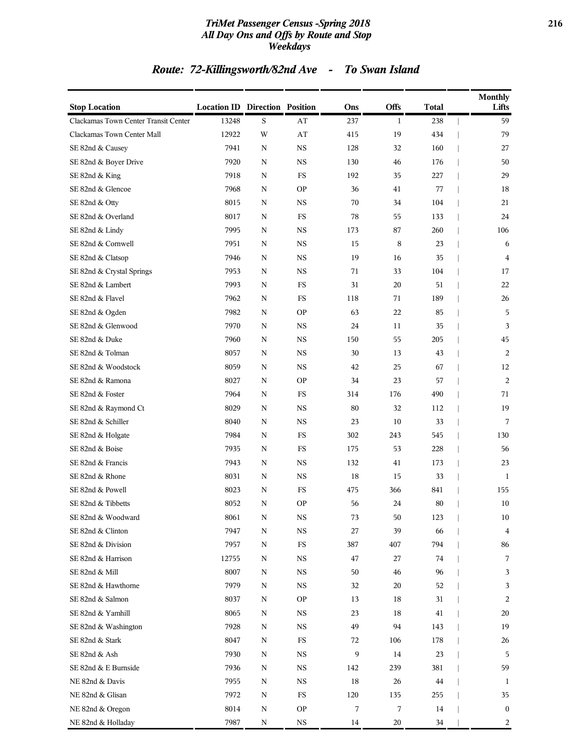### *TriMet Passenger Census -Spring 2018* **216** *All Day Ons and Offs by Route and Stop Weekdays*

# *Route: 72-Killingsworth/82nd Ave - To Swan Island*

| <b>Stop Location</b>                 | <b>Location ID Direction Position</b> |           |             | Ons | <b>Offs</b>  | <b>Total</b> | <b>Monthly</b><br>Lifts |
|--------------------------------------|---------------------------------------|-----------|-------------|-----|--------------|--------------|-------------------------|
| Clackamas Town Center Transit Center | 13248                                 | S         | AT          | 237 | $\mathbf{1}$ | 238          | 59                      |
| Clackamas Town Center Mall           | 12922                                 | W         | AT          | 415 | 19           | 434          | 79                      |
| SE 82nd & Causey                     | 7941                                  | ${\bf N}$ | <b>NS</b>   | 128 | 32           | 160          | 27                      |
| SE 82nd & Boyer Drive                | 7920                                  | N         | <b>NS</b>   | 130 | 46           | 176          | 50                      |
| SE 82nd & King                       | 7918                                  | N         | FS          | 192 | 35           | 227          | 29                      |
| SE 82nd & Glencoe                    | 7968                                  | N         | <b>OP</b>   | 36  | 41           | 77           | 18                      |
| SE 82nd & Otty                       | 8015                                  | N         | <b>NS</b>   | 70  | 34           | 104          | 21                      |
| SE 82nd & Overland                   | 8017                                  | ${\bf N}$ | FS          | 78  | 55           | 133          | 24                      |
| SE 82nd & Lindy                      | 7995                                  | N         | <b>NS</b>   | 173 | 87           | 260          | 106                     |
| SE 82nd & Cornwell                   | 7951                                  | N         | <b>NS</b>   | 15  | 8            | 23           | 6                       |
| SE 82nd & Clatsop                    | 7946                                  | ${\bf N}$ | <b>NS</b>   | 19  | 16           | 35           | $\overline{4}$          |
| SE 82nd & Crystal Springs            | 7953                                  | N         | <b>NS</b>   | 71  | 33           | 104          | 17                      |
| SE 82nd & Lambert                    | 7993                                  | N         | <b>FS</b>   | 31  | 20           | 51           | 22                      |
| SE 82nd & Flavel                     | 7962                                  | N         | <b>FS</b>   | 118 | 71           | 189          | 26                      |
| SE 82nd & Ogden                      | 7982                                  | N         | <b>OP</b>   | 63  | 22           | 85           | 5                       |
| SE 82nd & Glenwood                   | 7970                                  | ${\bf N}$ | <b>NS</b>   | 24  | 11           | 35           | 3                       |
| SE 82nd & Duke                       | 7960                                  | N         | <b>NS</b>   | 150 | 55           | 205          | 45                      |
| SE 82nd & Tolman                     | 8057                                  | N         | <b>NS</b>   | 30  | 13           | 43           | 2                       |
| SE 82nd & Woodstock                  | 8059                                  | N         | <b>NS</b>   | 42  | 25           | 67           | 12                      |
| SE 82nd & Ramona                     | 8027                                  | N         | <b>OP</b>   | 34  | 23           | 57           | 2                       |
| SE 82nd & Foster                     | 7964                                  | ${\bf N}$ | <b>FS</b>   | 314 | 176          | 490          | 71                      |
| SE 82nd & Raymond Ct                 | 8029                                  | N         | <b>NS</b>   | 80  | 32           | 112          | 19                      |
| SE 82nd & Schiller                   | 8040                                  | ${\bf N}$ | <b>NS</b>   | 23  | 10           | 33           | 7                       |
| SE 82nd & Holgate                    | 7984                                  | N         | <b>FS</b>   | 302 | 243          | 545          | 130                     |
| SE 82nd & Boise                      | 7935                                  | N         | <b>FS</b>   | 175 | 53           | 228          | 56                      |
| SE 82nd & Francis                    | 7943                                  | ${\bf N}$ | <b>NS</b>   | 132 | 41           | 173          | 23                      |
| SE 82nd & Rhone                      | 8031                                  | N         | <b>NS</b>   | 18  | 15           | 33           | 1                       |
| SE 82nd & Powell                     | 8023                                  | N         | FS          | 475 | 366          | 841          | 155                     |
| SE 82nd & Tibbetts                   | 8052                                  | N         | <b>OP</b>   | 56  | 24           | 80           | 10                      |
| SE 82nd & Woodward                   | 8061                                  | N         | NS          | 73  | 50           | 123          | 10                      |
| SE 82nd & Clinton                    | 7947                                  | N         | $_{\rm NS}$ | 27  | 39           | 66           | $\overline{\mathbf{4}}$ |
| SE 82nd & Division                   | 7957                                  | N         | $_{\rm FS}$ | 387 | 407          | 794          | 86                      |
| SE 82nd & Harrison                   | 12755                                 | N         | $_{\rm NS}$ | 47  | 27           | 74           | 7                       |
| SE 82nd & Mill                       | 8007                                  | N         | $_{\rm NS}$ | 50  | 46           | 96           | 3                       |
| SE 82nd & Hawthorne                  | 7979                                  | N         | $_{\rm NS}$ | 32  | 20           | 52           | 3                       |
| SE 82nd & Salmon                     | 8037                                  | N         | <b>OP</b>   | 13  | 18           | 31           | 2                       |
| SE 82nd & Yamhill                    | 8065                                  | N         | $_{\rm NS}$ | 23  | 18           | 41           | 20                      |
| SE 82nd & Washington                 | 7928                                  | N         | $_{\rm NS}$ | 49  | 94           | 143          | 19                      |
| SE 82nd & Stark                      | 8047                                  | N         | FS          | 72  | 106          | 178          | 26                      |
| SE 82nd & Ash                        | 7930                                  | N         | $_{\rm NS}$ | 9   | 14           | 23           | 5                       |
| SE 82nd & E Burnside                 | 7936                                  | N         | $_{\rm NS}$ | 142 | 239          | 381          | 59                      |
| NE 82nd & Davis                      | 7955                                  | N         | NS          | 18  | 26           | 44           | 1                       |
| NE 82nd & Glisan                     | 7972                                  | N         | FS          | 120 | 135          | 255          | 35                      |
| NE 82nd & Oregon                     | 8014                                  | N         | <b>OP</b>   | 7   | 7            | 14           | $\bf{0}$                |
| NE 82nd & Holladay                   | 7987                                  | N         | $_{\rm NS}$ | 14  | 20           | 34           | 2                       |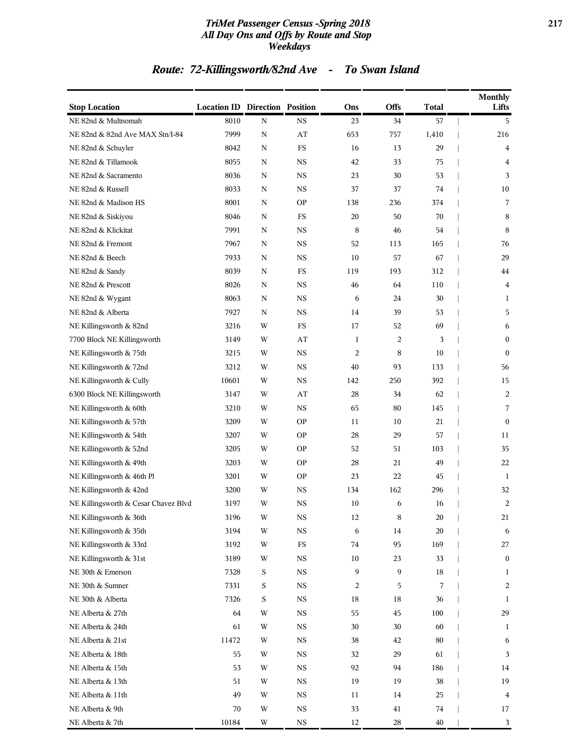### *TriMet Passenger Census -Spring 2018* **217** *All Day Ons and Offs by Route and Stop Weekdays*

## *Route: 72-Killingsworth/82nd Ave - To Swan Island*

| <b>Stop Location</b>                 | <b>Location ID Direction Position</b> |             |             | Ons            | <b>Offs</b> | <b>Total</b> | <b>Monthly</b><br>Lifts |
|--------------------------------------|---------------------------------------|-------------|-------------|----------------|-------------|--------------|-------------------------|
| NE 82nd & Multnomah                  | 8010                                  | ${\bf N}$   | <b>NS</b>   | 23             | 34          | 57           | 5                       |
| NE 82nd & 82nd Ave MAX Stn/I-84      | 7999                                  | ${\bf N}$   | AT          | 653            | 757         | 1,410        | 216                     |
| NE 82nd & Schuyler                   | 8042                                  | N           | $_{\rm FS}$ | 16             | 13          | 29           | 4                       |
| NE 82nd & Tillamook                  | 8055                                  | N           | <b>NS</b>   | 42             | 33          | 75           | 4                       |
| NE 82nd & Sacramento                 | 8036                                  | N           | $_{\rm NS}$ | 23             | 30          | 53           | 3                       |
| NE 82nd & Russell                    | 8033                                  | N           | <b>NS</b>   | 37             | 37          | 74           | 10                      |
| NE 82nd & Madison HS                 | 8001                                  | N           | <b>OP</b>   | 138            | 236         | 374          | 7                       |
| NE 82nd & Siskiyou                   | 8046                                  | N           | $_{\rm FS}$ | 20             | 50          | 70           | 8                       |
| NE 82nd & Klickitat                  | 7991                                  | N           | <b>NS</b>   | 8              | 46          | 54           | 8                       |
| NE 82nd & Fremont                    | 7967                                  | N           | $_{\rm NS}$ | 52             | 113         | 165          | 76                      |
| NE 82nd & Beech                      | 7933                                  | N           | <b>NS</b>   | 10             | 57          | 67           | 29                      |
| NE 82nd & Sandy                      | 8039                                  | N           | $_{\rm FS}$ | 119            | 193         | 312          | 44                      |
| NE 82nd & Prescott                   | 8026                                  | $\mathbf N$ | $_{\rm NS}$ | 46             | 64          | 110          | $\overline{\mathbf{4}}$ |
| NE 82nd & Wygant                     | 8063                                  | N           | <b>NS</b>   | 6              | 24          | 30           | 1                       |
| NE 82nd & Alberta                    | 7927                                  | N           | $_{\rm NS}$ | 14             | 39          | 53           | 5                       |
| NE Killingsworth & 82nd              | 3216                                  | W           | FS          | 17             | 52          | 69           | 6                       |
| 7700 Block NE Killingsworth          | 3149                                  | W           | AT          | 1              | 2           | 3            | $\boldsymbol{0}$        |
| NE Killingsworth & 75th              | 3215                                  | W           | $_{\rm NS}$ | $\overline{c}$ | 8           | 10           | $\mathbf{0}$            |
| NE Killingsworth & 72nd              | 3212                                  | W           | <b>NS</b>   | 40             | 93          | 133          | 56                      |
| NE Killingsworth & Cully             | 10601                                 | W           | $_{\rm NS}$ | 142            | 250         | 392          | 15                      |
| 6300 Block NE Killingsworth          | 3147                                  | W           | AT          | 28             | 34          | 62           | 2                       |
| NE Killingsworth & 60th              | 3210                                  | W           | <b>NS</b>   | 65             | 80          | 145          | 7                       |
| NE Killingsworth & 57th              | 3209                                  | W           | <b>OP</b>   | 11             | 10          | 21           | $\mathbf{0}$            |
| NE Killingsworth & 54th              | 3207                                  | W           | <b>OP</b>   | 28             | 29          | 57           | 11                      |
| NE Killingsworth & 52nd              | 3205                                  | W           | <b>OP</b>   | 52             | 51          | 103          | 35                      |
| NE Killingsworth & 49th              | 3203                                  | W           | <b>OP</b>   | 28             | 21          | 49           | 22                      |
| NE Killingsworth & 46th Pl           | 3201                                  | W           | <b>OP</b>   | 23             | 22          | 45           | 1                       |
| NE Killingsworth & 42nd              | 3200                                  | W           | <b>NS</b>   | 134            | 162         | 296          | 32                      |
| NE Killingsworth & Cesar Chavez Blvd | 3197                                  | W           | <b>NS</b>   | 10             | 6           | 16           | 2                       |
| NE Killingsworth & 36th              | 3196                                  | W           | NS          | 12             | 8           | 20           | 21                      |
| NE Killingsworth & 35th              | 3194                                  | W           | <b>NS</b>   | 6              | 14          | 20           | 6                       |
| NE Killingsworth & 33rd              | 3192                                  | W           | $_{\rm FS}$ | 74             | 95          | 169          | 27                      |
| NE Killingsworth & 31st              | 3189                                  | W           | $_{\rm NS}$ | 10             | 23          | 33           | $\bf{0}$                |
| NE 30th & Emerson                    | 7328                                  | $\mathbf S$ | $_{\rm NS}$ | 9              | 9           | 18           | $\mathbf{1}$            |
| NE 30th & Sumner                     | 7331                                  | $\mathbf S$ | $_{\rm NS}$ | 2              | 5           | 7            | 2                       |
| NE 30th & Alberta                    | 7326                                  | $\mathbf S$ | $_{\rm NS}$ | 18             | $18\,$      | 36           | $\mathbf{1}$            |
| NE Alberta & 27th                    | 64                                    | W           | $_{\rm NS}$ | 55             | 45          | 100          | 29                      |
| NE Alberta & 24th                    | 61                                    | W           | $_{\rm NS}$ | 30             | 30          | 60           | 1                       |
| NE Alberta & 21st                    | 11472                                 | W           | $_{\rm NS}$ | 38             | 42          | 80           | 6                       |
| NE Alberta & 18th                    | 55                                    | W           | $_{\rm NS}$ | 32             | 29          | 61           | 3                       |
| NE Alberta & 15th                    | 53                                    | W           | $_{\rm NS}$ | 92             | 94          | 186          | 14                      |
| NE Alberta & 13th                    | 51                                    | W           | $_{\rm NS}$ | 19             | 19          | 38           | 19                      |
| NE Alberta & 11th                    | 49                                    | W           | $_{\rm NS}$ | 11             | 14          | 25           | $\overline{4}$          |
| NE Alberta & 9th                     | 70                                    | W           | $_{\rm NS}$ | 33             | 41          | 74           | 17                      |
| NE Alberta & 7th                     | 10184                                 | $\mathbf W$ | $_{\rm NS}$ | 12             | 28          | $40\,$       | 3                       |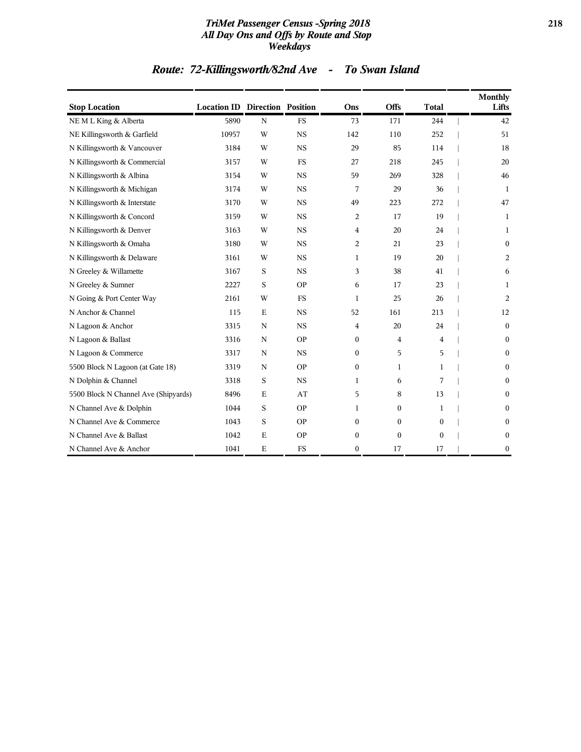### *TriMet Passenger Census -Spring 2018* **218** *All Day Ons and Offs by Route and Stop Weekdays*

## *Route: 72-Killingsworth/82nd Ave - To Swan Island*

| <b>Stop Location</b>                 | <b>Location ID Direction Position</b> |             |             | Ons          | <b>Offs</b>  | <b>Total</b> | Monthly<br>Lifts |
|--------------------------------------|---------------------------------------|-------------|-------------|--------------|--------------|--------------|------------------|
| NEML King & Alberta                  | 5890                                  | $\mathbf N$ | <b>FS</b>   | 73           | 171          | 244          | 42               |
| NE Killingsworth & Garfield          | 10957                                 | W           | $_{\rm NS}$ | 142          | 110          | 252          | 51               |
| N Killingsworth & Vancouver          | 3184                                  | W           | <b>NS</b>   | 29           | 85           | 114          | 18               |
| N Killingsworth & Commercial         | 3157                                  | W           | <b>FS</b>   | 27           | 218          | 245          | 20               |
| N Killingsworth & Albina             | 3154                                  | W           | <b>NS</b>   | 59           | 269          | 328          | 46               |
| N Killingsworth & Michigan           | 3174                                  | W           | $_{\rm NS}$ | 7            | 29           | 36           | 1                |
| N Killingsworth & Interstate         | 3170                                  | W           | <b>NS</b>   | 49           | 223          | 272          | 47               |
| N Killingsworth & Concord            | 3159                                  | W           | $_{\rm NS}$ | 2            | 17           | 19           | 1                |
| N Killingsworth & Denver             | 3163                                  | W           | <b>NS</b>   | 4            | 20           | 24           | 1                |
| N Killingsworth & Omaha              | 3180                                  | W           | <b>NS</b>   | 2            | 21           | 23           | $\mathbf{0}$     |
| N Killingsworth & Delaware           | 3161                                  | W           | <b>NS</b>   | 1            | 19           | 20           | 2                |
| N Greeley & Willamette               | 3167                                  | S           | <b>NS</b>   | 3            | 38           | 41           | 6                |
| N Greeley & Sumner                   | 2227                                  | S           | <b>OP</b>   | 6            | 17           | 23           | 1                |
| N Going & Port Center Way            | 2161                                  | W           | <b>FS</b>   | 1            | 25           | 26           | 2                |
| N Anchor & Channel                   | 115                                   | $\mathbf E$ | $_{\rm NS}$ | 52           | 161          | 213          | 12               |
| N Lagoon & Anchor                    | 3315                                  | N           | <b>NS</b>   | 4            | 20           | 24           | $\mathbf{0}$     |
| N Lagoon & Ballast                   | 3316                                  | N           | <b>OP</b>   | $\mathbf{0}$ | 4            | 4            | $\mathbf{0}$     |
| N Lagoon & Commerce                  | 3317                                  | $\mathbf N$ | <b>NS</b>   | $\Omega$     | 5            | 5            | $\bf{0}$         |
| 5500 Block N Lagoon (at Gate 18)     | 3319                                  | $\mathbf N$ | <b>OP</b>   | $\Omega$     | 1            | 1            | $\mathbf{0}$     |
| N Dolphin & Channel                  | 3318                                  | S           | $_{\rm NS}$ | 1            | 6            | 7            | $\theta$         |
| 5500 Block N Channel Ave (Shipyards) | 8496                                  | $\mathbf E$ | AT          | 5            | 8            | 13           | $\mathbf{0}$     |
| N Channel Ave & Dolphin              | 1044                                  | S           | <b>OP</b>   | 1            | $\mathbf{0}$ | 1            | $\mathbf{0}$     |
| N Channel Ave & Commerce             | 1043                                  | S           | <b>OP</b>   | $\Omega$     | $\theta$     | $\mathbf{0}$ | $\boldsymbol{0}$ |
| N Channel Ave & Ballast              | 1042                                  | $\mathbf E$ | <b>OP</b>   | $\mathbf{0}$ | $\mathbf{0}$ | $\mathbf{0}$ | $\boldsymbol{0}$ |
| N Channel Ave & Anchor               | 1041                                  | $\mathbf E$ | <b>FS</b>   | $\mathbf{0}$ | 17           | 17           | $\boldsymbol{0}$ |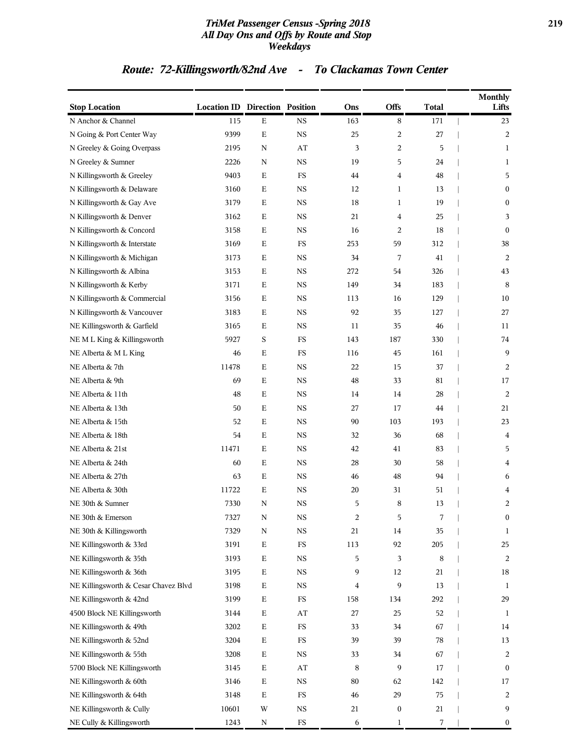### *TriMet Passenger Census -Spring 2018* **219** *All Day Ons and Offs by Route and Stop Weekdays*

## *Route: 72-Killingsworth/82nd Ave - To Clackamas Town Center*

| <b>Stop Location</b>                 | <b>Location ID Direction Position</b> |             |                        | Ons | <b>Offs</b>      | <b>Total</b> | <b>Monthly</b><br>Lifts |
|--------------------------------------|---------------------------------------|-------------|------------------------|-----|------------------|--------------|-------------------------|
| N Anchor & Channel                   | 115                                   | $\mathbf E$ | NS                     | 163 | 8                | 171          | 23                      |
| N Going & Port Center Way            | 9399                                  | ${\bf E}$   | $_{\rm NS}$            | 25  | 2                | 27           | 2                       |
| N Greeley & Going Overpass           | 2195                                  | ${\bf N}$   | AT                     | 3   | 2                | 5            | $\mathbf{1}$            |
| N Greeley & Sumner                   | 2226                                  | N           | <b>NS</b>              | 19  | 5                | 24           | 1                       |
| N Killingsworth & Greeley            | 9403                                  | Е           | $_{\rm FS}$            | 44  | $\overline{4}$   | 48           | 5                       |
| N Killingsworth & Delaware           | 3160                                  | E           | <b>NS</b>              | 12  | 1                | 13           | $\bf{0}$                |
| N Killingsworth & Gay Ave            | 3179                                  | E           | $_{\rm NS}$            | 18  | 1                | 19           | $\boldsymbol{0}$        |
| N Killingsworth & Denver             | 3162                                  | E           | $_{\rm NS}$            | 21  | 4                | 25           | 3                       |
| N Killingsworth & Concord            | 3158                                  | E           | <b>NS</b>              | 16  | 2                | 18           | $\mathbf{0}$            |
| N Killingsworth & Interstate         | 3169                                  | Е           | $_{\rm FS}$            | 253 | 59               | 312          | 38                      |
| N Killingsworth & Michigan           | 3173                                  | E           | <b>NS</b>              | 34  | 7                | 41           | 2                       |
| N Killingsworth & Albina             | 3153                                  | E           | $_{\rm NS}$            | 272 | 54               | 326          | 43                      |
| N Killingsworth & Kerby              | 3171                                  | E           | $_{\rm NS}$            | 149 | 34               | 183          | 8                       |
| N Killingsworth & Commercial         | 3156                                  | E           | <b>NS</b>              | 113 | 16               | 129          | 10                      |
| N Killingsworth & Vancouver          | 3183                                  | E           | $_{\rm NS}$            | 92  | 35               | 127          | 27                      |
| NE Killingsworth & Garfield          | 3165                                  | E           | <b>NS</b>              | 11  | 35               | 46           | 11                      |
| NE M L King & Killingsworth          | 5927                                  | S           | $_{\rm FS}$            | 143 | 187              | 330          | 74                      |
| NE Alberta & M L King                | 46                                    | E           | $_{\rm FS}$            | 116 | 45               | 161          | 9                       |
| NE Alberta & 7th                     | 11478                                 | E           | <b>NS</b>              | 22  | 15               | 37           | 2                       |
| NE Alberta & 9th                     | 69                                    | Е           | $_{\rm NS}$            | 48  | 33               | 81           | 17                      |
| NE Alberta & 11th                    | 48                                    | Е           | $_{\rm NS}$            | 14  | 14               | 28           | 2                       |
| NE Alberta & 13th                    | 50                                    | E           | $_{\rm NS}$            | 27  | 17               | 44           | 21                      |
| NE Alberta & 15th                    | 52                                    | E           | $_{\rm NS}$            | 90  | 103              | 193          | 23                      |
| NE Alberta & 18th                    | 54                                    | E           | <b>NS</b>              | 32  | 36               | 68           | 4                       |
| NE Alberta & 21st                    | 11471                                 | Е           | $_{\rm NS}$            | 42  | 41               | 83           | 5                       |
| NE Alberta & 24th                    | 60                                    | Е           | $_{\rm NS}$            | 28  | 30               | 58           | 4                       |
| NE Alberta & 27th                    | 63                                    | $\mathbf E$ | $_{\rm NS}$            | 46  | 48               | 94           | 6                       |
| NE Alberta & 30th                    | 11722                                 | $\mathbf E$ | $_{\rm NS}$            | 20  | 31               | 51           | 4                       |
| NE 30th & Sumner                     | 7330                                  | N           | <b>NS</b>              | 5   | 8                | 13           | 2                       |
| NE 30th & Emerson                    | 7327                                  | N           | NS                     | 2   | 5                | 7            | $\bf{0}$                |
| NE 30th & Killingsworth              | 7329                                  | ${\bf N}$   | <b>NS</b>              | 21  | 14               | 35           | 1                       |
| NE Killingsworth & 33rd              | 3191                                  | $\mathbf E$ | FS                     | 113 | 92               | 205          | 25                      |
| NE Killingsworth & 35th              | 3193                                  | E           | $_{\rm NS}$            | 5   | 3                | 8            | $\overline{c}$          |
| NE Killingsworth & 36th              | 3195                                  | $\mathbf E$ | $_{\rm NS}$            | 9   | 12               | 21           | 18                      |
| NE Killingsworth & Cesar Chavez Blvd | 3198                                  | E           | $_{\rm NS}$            | 4   | 9                | 13           | $\mathbf{1}$            |
| NE Killingsworth & 42nd              | 3199                                  | E           | FS                     | 158 | 134              | 292          | 29                      |
| 4500 Block NE Killingsworth          | 3144                                  | Е           | AT                     | 27  | 25               | 52           | 1                       |
| NE Killingsworth & 49th              | 3202                                  | E           | $_{\rm FS}$            | 33  | 34               | 67           | 14                      |
| NE Killingsworth & 52nd              | 3204                                  | $\mathbf E$ | FS                     | 39  | 39               | 78           | 13                      |
| NE Killingsworth & 55th              | 3208                                  | E           | $_{\rm NS}$            | 33  | 34               | 67           | 2                       |
| 5700 Block NE Killingsworth          | 3145                                  | E           | $\mathbf{A}\mathbf{T}$ | 8   | 9                | 17           | $\boldsymbol{0}$        |
| NE Killingsworth & 60th              | 3146                                  | E           | $_{\rm NS}$            | 80  | 62               | 142          | 17                      |
| NE Killingsworth & 64th              | 3148                                  | E           | FS                     | 46  | 29               | 75           | 2                       |
| NE Killingsworth & Cully             | 10601                                 | W           | $_{\rm NS}$            | 21  | $\boldsymbol{0}$ | 21           | 9                       |
| NE Cully & Killingsworth             | 1243                                  | ${\bf N}$   | FS                     | 6   | 1                | 7            | $\boldsymbol{0}$        |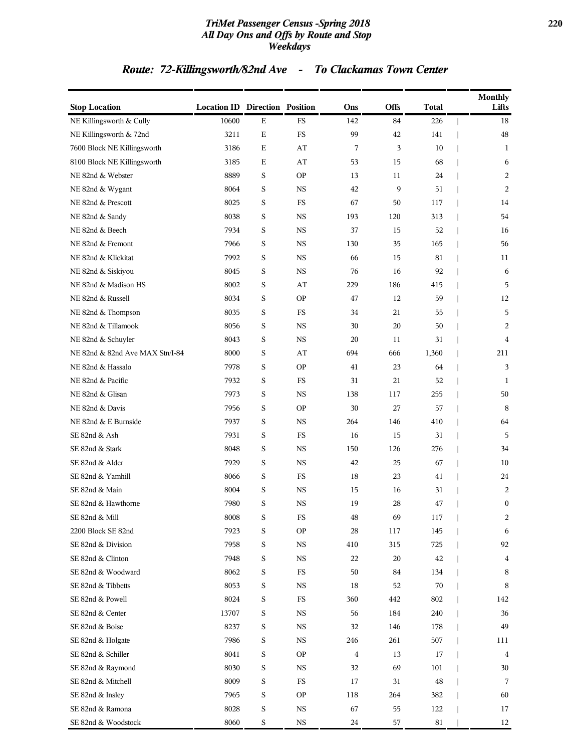### *TriMet Passenger Census -Spring 2018* **220** *All Day Ons and Offs by Route and Stop Weekdays*

## *Route: 72-Killingsworth/82nd Ave - To Clackamas Town Center*

| <b>Stop Location</b>            | <b>Location ID Direction Position</b> |             |             | Ons      | <b>Offs</b> | <b>Total</b> | <b>Monthly</b><br>Lifts |
|---------------------------------|---------------------------------------|-------------|-------------|----------|-------------|--------------|-------------------------|
| NE Killingsworth & Cully        | 10600                                 | ${\bf E}$   | <b>FS</b>   | 142      | 84          | 226          | 18                      |
| NE Killingsworth & 72nd         | 3211                                  | $\mathbf E$ | FS          | 99       | 42          | 141          | 48                      |
| 7600 Block NE Killingsworth     | 3186                                  | E           | AT          | 7        | 3           | 10           | 1                       |
| 8100 Block NE Killingsworth     | 3185                                  | Е           | AT          | 53       | 15          | 68           | 6                       |
| NE 82nd & Webster               | 8889                                  | S           | <b>OP</b>   | 13       | 11          | 24           | 2                       |
| NE 82nd & Wygant                | 8064                                  | S           | <b>NS</b>   | 42       | 9           | 51           | 2                       |
| NE 82nd & Prescott              | 8025                                  | S           | FS          | 67       | 50          | 117          | 14                      |
| NE 82nd & Sandy                 | 8038                                  | S           | <b>NS</b>   | 193      | 120         | 313          | 54                      |
| NE 82nd & Beech                 | 7934                                  | S           | $_{\rm NS}$ | 37       | 15          | 52           | 16                      |
| NE 82nd & Fremont               | 7966                                  | S           | <b>NS</b>   | 130      | 35          | 165          | 56                      |
| NE 82nd & Klickitat             | 7992                                  | S           | <b>NS</b>   | 66       | 15          | 81           | 11                      |
| NE 82nd & Siskiyou              | 8045                                  | S           | $_{\rm NS}$ | 76       | 16          | 92           | 6                       |
| NE 82nd & Madison HS            | 8002                                  | S           | AT          | 229      | 186         | 415          | 5                       |
| NE 82nd & Russell               | 8034                                  | S           | <b>OP</b>   | 47       | 12          | 59           | 12                      |
| NE 82nd & Thompson              | 8035                                  | S           | FS          | 34       | 21          | 55           | 5                       |
| NE 82nd & Tillamook             | 8056                                  | S           | <b>NS</b>   | 30       | 20          | 50           | 2                       |
| NE 82nd & Schuyler              | 8043                                  | S           | $_{\rm NS}$ | 20       | 11          | 31           | $\overline{4}$          |
| NE 82nd & 82nd Ave MAX Stn/I-84 | 8000                                  | S           | AT          | 694      | 666         | 1,360        | 211                     |
| NE 82nd & Hassalo               | 7978                                  | S           | <b>OP</b>   | 41       | 23          | 64           | 3                       |
| NE 82nd & Pacific               | 7932                                  | S           | <b>FS</b>   | 31       | 21          | 52           | 1                       |
| NE 82nd & Glisan                | 7973                                  | S           | NS          | 138      | 117         | 255          | 50                      |
| NE 82nd & Davis                 | 7956                                  | S           | <b>OP</b>   | 30       | 27          | 57           | 8                       |
| NE 82nd & E Burnside            | 7937                                  | S           | <b>NS</b>   | 264      | 146         | 410          | 64                      |
| SE 82nd & Ash                   | 7931                                  | S           | FS          | 16       | 15          | 31           | 5                       |
| SE 82nd & Stark                 | 8048                                  | S           | <b>NS</b>   | 150      | 126         | 276          | 34                      |
| SE 82nd & Alder                 | 7929                                  | S           | <b>NS</b>   | 42       | 25          | 67           | 10                      |
| SE 82nd & Yamhill               | 8066                                  | S           | FS          | 18       | 23          | 41           | 24                      |
| SE 82nd & Main                  | 8004                                  | S           | <b>NS</b>   | 15       | 16          | 31           | 2                       |
| SE 82nd & Hawthorne             | 7980                                  | S           | <b>NS</b>   | 19       | 28          | 47           | $\boldsymbol{0}$        |
| SE 82nd & Mill                  | $8008\,$                              | $\rm S$     | $_{\rm FS}$ | $\bf 48$ | 69          | 117          | 2                       |
| 2200 Block SE 82nd              | 7923                                  | S           | OP          | 28       | 117         | 145          | 6                       |
| SE 82nd & Division              | 7958                                  | S           | $_{\rm NS}$ | 410      | 315         | 725          | 92                      |
| SE 82nd & Clinton               | 7948                                  | S           | $_{\rm NS}$ | 22       | 20          | 42           | 4                       |
| SE 82nd & Woodward              | 8062                                  | S           | $_{\rm FS}$ | 50       | 84          | 134          | 8                       |
| SE 82nd & Tibbetts              | 8053                                  | S           | <b>NS</b>   | 18       | 52          | $70\,$       | 8                       |
| SE 82nd & Powell                | 8024                                  | S           | FS          | 360      | 442         | 802          | 142                     |
| SE 82nd & Center                | 13707                                 | S           | $_{\rm NS}$ | 56       | 184         | 240          | 36                      |
| SE 82nd & Boise                 | 8237                                  | S           | $_{\rm NS}$ | 32       | 146         | 178          | 49                      |
| SE 82nd & Holgate               | 7986                                  | S           | $_{\rm NS}$ | 246      | 261         | 507          | 111                     |
| SE 82nd & Schiller              | 8041                                  | S           | <b>OP</b>   | 4        | 13          | 17           | $\overline{4}$          |
| SE 82nd & Raymond               | 8030                                  | S           | NS          | 32       | 69          | 101          | 30                      |
| SE 82nd & Mitchell              | 8009                                  | S           | FS          | 17       | 31          | 48           | 7                       |
| SE 82nd & Insley                | 7965                                  | S           | <b>OP</b>   | 118      | 264         | 382          | 60                      |
| SE 82nd & Ramona                | 8028                                  | S           | $_{\rm NS}$ | 67       | 55          | 122          | 17                      |
| SE 82nd & Woodstock             | 8060                                  | S           | $_{\rm NS}$ | 24       | 57          | 81           | 12                      |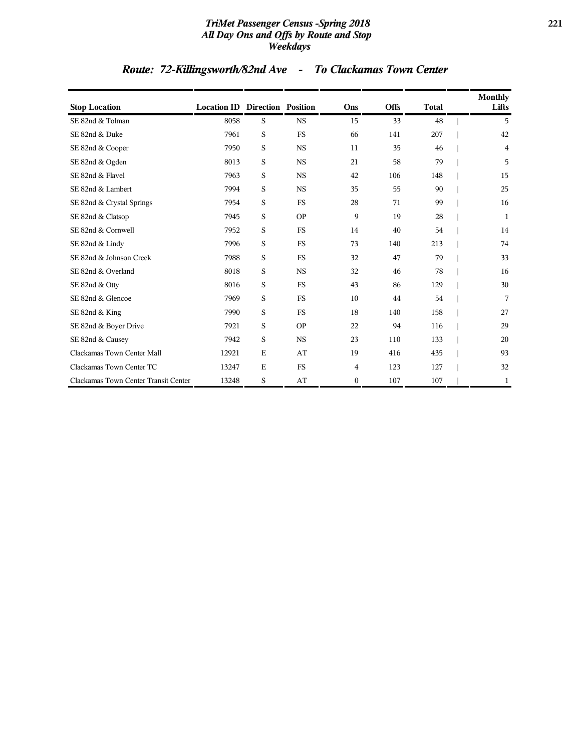### *TriMet Passenger Census -Spring 2018* **221** *All Day Ons and Offs by Route and Stop Weekdays*

## *Route: 72-Killingsworth/82nd Ave - To Clackamas Town Center*

| <b>Stop Location</b>                 | <b>Location ID Direction Position</b> |   |             | Ons              | <b>Offs</b> | <b>Total</b> | <b>Monthly</b><br>Lifts |
|--------------------------------------|---------------------------------------|---|-------------|------------------|-------------|--------------|-------------------------|
| SE 82nd & Tolman                     | 8058                                  | S | <b>NS</b>   | 15               | 33          | 48           | 5                       |
| SE 82nd & Duke                       | 7961                                  | S | <b>FS</b>   | 66               | 141         | 207          | 42                      |
| SE 82nd & Cooper                     | 7950                                  | S | <b>NS</b>   | 11               | 35          | 46           | 4                       |
| SE 82nd & Ogden                      | 8013                                  | S | $_{\rm NS}$ | 21               | 58          | 79           | 5                       |
| SE 82nd & Flavel                     | 7963                                  | S | $_{\rm NS}$ | 42               | 106         | 148          | 15                      |
| SE 82nd & Lambert                    | 7994                                  | S | <b>NS</b>   | 35               | 55          | 90           | 25                      |
| SE 82nd & Crystal Springs            | 7954                                  | S | <b>FS</b>   | 28               | 71          | 99           | 16                      |
| SE 82nd & Clatsop                    | 7945                                  | S | <b>OP</b>   | 9                | 19          | 28           | 1                       |
| SE 82nd & Cornwell                   | 7952                                  | S | <b>FS</b>   | 14               | 40          | 54           | 14                      |
| SE 82nd & Lindy                      | 7996                                  | S | <b>FS</b>   | 73               | 140         | 213          | 74                      |
| SE 82nd & Johnson Creek              | 7988                                  | S | <b>FS</b>   | 32               | 47          | 79           | 33                      |
| SE 82nd & Overland                   | 8018                                  | S | <b>NS</b>   | 32               | 46          | 78           | 16                      |
| SE 82nd & Otty                       | 8016                                  | S | <b>FS</b>   | 43               | 86          | 129          | 30                      |
| SE 82nd & Glencoe                    | 7969                                  | S | <b>FS</b>   | 10               | 44          | 54           | 7                       |
| SE 82nd & King                       | 7990                                  | S | <b>FS</b>   | 18               | 140         | 158          | 27                      |
| SE 82nd & Boyer Drive                | 7921                                  | S | <b>OP</b>   | 22               | 94          | 116          | 29                      |
| SE 82nd & Causey                     | 7942                                  | S | <b>NS</b>   | 23               | 110         | 133          | 20                      |
| Clackamas Town Center Mall           | 12921                                 | E | AT          | 19               | 416         | 435          | 93                      |
| Clackamas Town Center TC             | 13247                                 | E | <b>FS</b>   | 4                | 123         | 127          | 32                      |
| Clackamas Town Center Transit Center | 13248                                 | S | AT          | $\boldsymbol{0}$ | 107         | 107          | 1                       |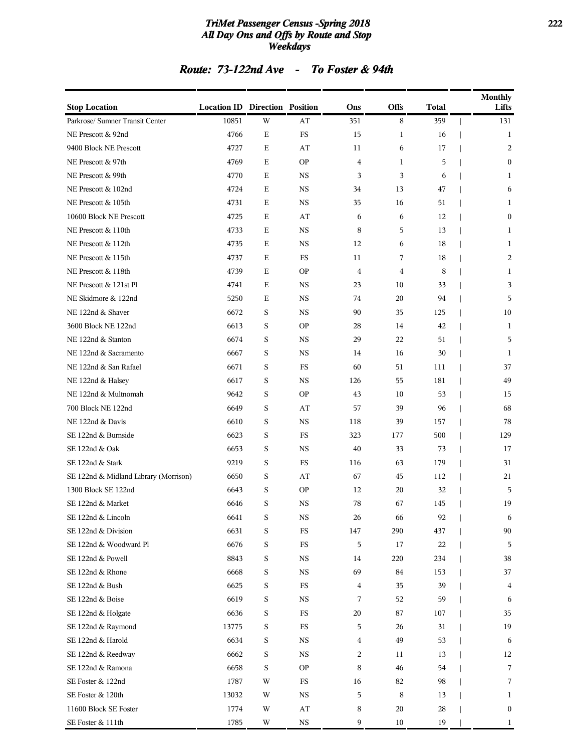### *TriMet Passenger Census -Spring 2018* **222** *All Day Ons and Offs by Route and Stop Weekdays*

### *Route: 73-122nd Ave - To Foster & 94th*

| <b>Stop Location</b>                  | <b>Location ID Direction Position</b> |   |                        | Ons                     | Offs         | Total | <b>Monthly</b><br>Lifts |
|---------------------------------------|---------------------------------------|---|------------------------|-------------------------|--------------|-------|-------------------------|
| Parkrose/ Sumner Transit Center       | 10851                                 | W | AT                     | 351                     | 8            | 359   | 131                     |
| NE Prescott & 92nd                    | 4766                                  | E | FS                     | 15                      | 1            | 16    | 1                       |
| 9400 Block NE Prescott                | 4727                                  | Ε | AT                     | 11                      | 6            | 17    | 2                       |
| NE Prescott & 97th                    | 4769                                  | Ε | <b>OP</b>              | $\overline{4}$          | $\mathbf{1}$ | 5     | $\mathbf{0}$            |
| NE Prescott & 99th                    | 4770                                  | E | <b>NS</b>              | 3                       | 3            | 6     | 1                       |
| NE Prescott & 102nd                   | 4724                                  | E | <b>NS</b>              | 34                      | 13           | 47    | 6                       |
| NE Prescott & 105th                   | 4731                                  | E | <b>NS</b>              | 35                      | 16           | 51    | 1                       |
| 10600 Block NE Prescott               | 4725                                  | Ε | AT                     | 6                       | 6            | 12    | $\mathbf{0}$            |
| NE Prescott & 110th                   | 4733                                  | Е | <b>NS</b>              | 8                       | 5            | 13    | 1                       |
| NE Prescott & 112th                   | 4735                                  | E | <b>NS</b>              | 12                      | 6            | 18    | 1                       |
| NE Prescott & 115th                   | 4737                                  | Ε | FS                     | 11                      | 7            | 18    | 2                       |
| NE Prescott & 118th                   | 4739                                  | E | <b>OP</b>              | $\overline{4}$          | 4            | 8     | 1                       |
| NE Prescott & 121st Pl                | 4741                                  | Ε | <b>NS</b>              | 23                      | 10           | 33    | 3                       |
| NE Skidmore & 122nd                   | 5250                                  | Е | <b>NS</b>              | 74                      | 20           | 94    | 5                       |
| NE 122nd & Shaver                     | 6672                                  | S | <b>NS</b>              | 90                      | 35           | 125   | 10                      |
| 3600 Block NE 122nd                   | 6613                                  | S | <b>OP</b>              | 28                      | 14           | 42    | 1                       |
| NE 122nd & Stanton                    | 6674                                  | S | <b>NS</b>              | 29                      | 22           | 51    | 5                       |
| NE 122nd & Sacramento                 | 6667                                  | S | <b>NS</b>              | 14                      | 16           | 30    | 1                       |
| NE 122nd & San Rafael                 | 6671                                  | S | FS                     | 60                      | 51           | 111   | 37                      |
| NE 122nd & Halsey                     | 6617                                  | S | <b>NS</b>              | 126                     | 55           | 181   | 49                      |
| NE 122nd & Multnomah                  | 9642                                  | S | <b>OP</b>              | 43                      | 10           | 53    | 15                      |
| 700 Block NE 122nd                    | 6649                                  | S | AT                     | 57                      | 39           | 96    | 68                      |
| NE 122nd & Davis                      | 6610                                  | S | <b>NS</b>              | 118                     | 39           | 157   | 78                      |
| SE 122nd & Burnside                   | 6623                                  | S | FS                     | 323                     | 177          | 500   | 129                     |
| SE 122nd & Oak                        | 6653                                  | S | <b>NS</b>              | 40                      | 33           | 73    | 17                      |
| SE 122nd & Stark                      | 9219                                  | S | FS                     | 116                     | 63           | 179   | 31                      |
| SE 122nd & Midland Library (Morrison) | 6650                                  | S | AT                     | 67                      | 45           | 112   | 21                      |
| 1300 Block SE 122nd                   | 6643                                  | S | <b>OP</b>              | 12                      | 20           | 32    | 5                       |
| SE 122nd & Market                     | 6646                                  | S | <b>NS</b>              | 78                      | 67           | 145   | 19                      |
| SE 122nd & Lincoln                    | 6641                                  | S | NS                     | 26                      | 66           | 92    | 6                       |
| SE 122nd & Division                   | 6631                                  | S | FS                     | 147                     | 290          | 437   | 90                      |
| SE 122nd & Woodward Pl                | 6676                                  | S | $_{\rm FS}$            | 5                       | 17           | 22    | 5                       |
| SE 122nd & Powell                     | 8843                                  | S | $_{\rm NS}$            | 14                      | 220          | 234   | 38                      |
| SE 122nd & Rhone                      | 6668                                  | S | $_{\rm NS}$            | 69                      | 84           | 153   | 37                      |
| SE 122nd & Bush                       | 6625                                  | S | $_{\rm FS}$            | 4                       | 35           | 39    | 4                       |
| SE 122nd & Boise                      | 6619                                  | S | <b>NS</b>              | 7                       | 52           | 59    | 6                       |
| SE 122nd & Holgate                    | 6636                                  | S | FS                     | 20                      | 87           | 107   | 35                      |
| SE 122nd & Raymond                    | 13775                                 | S | FS                     | 5                       | 26           | 31    | 19                      |
| SE 122nd & Harold                     | 6634                                  | S | <b>NS</b>              | $\overline{\mathbf{4}}$ | 49           | 53    | 6                       |
| SE 122nd & Reedway                    | 6662                                  | S | <b>NS</b>              | 2                       | 11           | 13    | 12                      |
| SE 122nd & Ramona                     | 6658                                  | S | <b>OP</b>              | 8                       | 46           | 54    | 7                       |
| SE Foster & 122nd                     | 1787                                  | W | FS                     | 16                      | 82           | 98    | 7                       |
| SE Foster & 120th                     | 13032                                 | W | $_{\rm NS}$            | 5                       | 8            | 13    | $\mathbf{1}$            |
| 11600 Block SE Foster                 | 1774                                  | W | $\mathbf{A}\mathbf{T}$ | 8                       | 20           | 28    | $\boldsymbol{0}$        |
| SE Foster & 111th                     | 1785                                  | W | $_{\rm NS}$            | 9                       | 10           | 19    | $\mathbf{1}$            |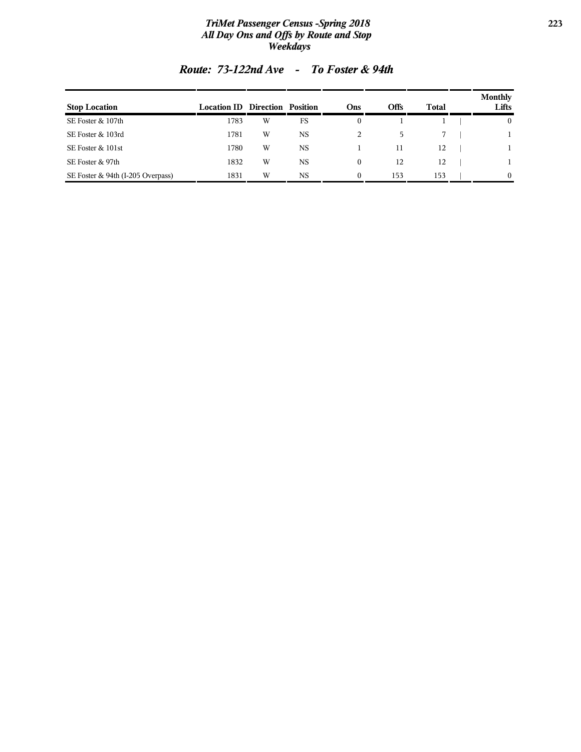### *TriMet Passenger Census -Spring 2018* **223** *All Day Ons and Offs by Route and Stop Weekdays*

| <b>Stop Location</b>              | <b>Location ID Direction Position</b> |   |           | Ons      | Offs | Total | <b>Monthly</b><br>Lifts |
|-----------------------------------|---------------------------------------|---|-----------|----------|------|-------|-------------------------|
| SE Foster & 107th                 | 1783                                  | W | FS        | 0        |      |       | $\mathbf{0}$            |
| SE Foster & 103rd                 | 1781                                  | W | <b>NS</b> |          | 5    |       |                         |
| SE Foster & 101st                 | 1780                                  | W | <b>NS</b> |          | 11   | 12    |                         |
| SE Foster & 97th                  | 1832                                  | W | <b>NS</b> | 0        | 12   | 12    |                         |
| SE Foster & 94th (I-205 Overpass) | 1831                                  | W | <b>NS</b> | $\Omega$ | 153  | 153   | $\Omega$                |

### *Route: 73-122nd Ave - To Foster & 94th*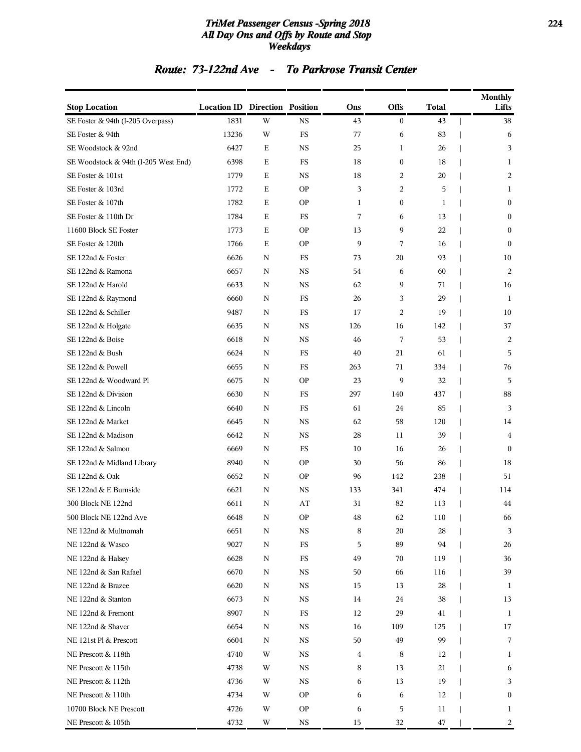### *TriMet Passenger Census -Spring 2018* **224** *All Day Ons and Offs by Route and Stop Weekdays*

### *Route: 73-122nd Ave - To Parkrose Transit Center*

| <b>Stop Location</b>                 | <b>Location ID Direction Position</b> |   |             | Ons | Offs             | <b>Total</b> | <b>Monthly</b><br>Lifts |
|--------------------------------------|---------------------------------------|---|-------------|-----|------------------|--------------|-------------------------|
| SE Foster & 94th (I-205 Overpass)    | 1831                                  | W | <b>NS</b>   | 43  | $\boldsymbol{0}$ | 43           | 38                      |
| SE Foster & 94th                     | 13236                                 | W | FS          | 77  | 6                | 83           | 6                       |
| SE Woodstock & 92nd                  | 6427                                  | Ε | <b>NS</b>   | 25  | 1                | 26           | 3                       |
| SE Woodstock & 94th (I-205 West End) | 6398                                  | Ε | FS          | 18  | $\boldsymbol{0}$ | 18           | $\mathbf{1}$            |
| SE Foster & 101st                    | 1779                                  | Е | <b>NS</b>   | 18  | 2                | 20           | 2                       |
| SE Foster & 103rd                    | 1772                                  | Е | <b>OP</b>   | 3   | 2                | 5            | 1                       |
| SE Foster & 107th                    | 1782                                  | Е | <b>OP</b>   | 1   | $\boldsymbol{0}$ | 1            | $\boldsymbol{0}$        |
| SE Foster & 110th Dr                 | 1784                                  | Е | FS          | 7   | 6                | 13           | $\boldsymbol{0}$        |
| 11600 Block SE Foster                | 1773                                  | Е | <b>OP</b>   | 13  | 9                | 22           | $\boldsymbol{0}$        |
| SE Foster & 120th                    | 1766                                  | E | <b>OP</b>   | 9   | 7                | 16           | $\mathbf{0}$            |
| SE 122nd & Foster                    | 6626                                  | N | FS          | 73  | 20               | 93           | 10                      |
| SE 122nd & Ramona                    | 6657                                  | N | <b>NS</b>   | 54  | 6                | 60           | 2                       |
| SE 122nd & Harold                    | 6633                                  | N | <b>NS</b>   | 62  | 9                | 71           | 16                      |
| SE 122nd & Raymond                   | 6660                                  | N | FS          | 26  | 3                | 29           | 1                       |
| SE 122nd & Schiller                  | 9487                                  | N | <b>FS</b>   | 17  | 2                | 19           | 10                      |
| SE 122nd & Holgate                   | 6635                                  | N | <b>NS</b>   | 126 | 16               | 142          | 37                      |
| SE 122nd & Boise                     | 6618                                  | N | <b>NS</b>   | 46  | 7                | 53           | 2                       |
| SE 122nd & Bush                      | 6624                                  | N | FS          | 40  | 21               | 61           | 5                       |
| SE 122nd & Powell                    | 6655                                  | N | FS          | 263 | 71               | 334          | 76                      |
| SE 122nd & Woodward Pl               | 6675                                  | N | <b>OP</b>   | 23  | 9                | 32           | 5                       |
| SE 122nd & Division                  | 6630                                  | N | FS          | 297 | 140              | 437          | 88                      |
| SE 122nd & Lincoln                   | 6640                                  | N | FS          | 61  | 24               | 85           | 3                       |
| SE 122nd & Market                    | 6645                                  | N | <b>NS</b>   | 62  | 58               | 120          | 14                      |
| SE 122nd & Madison                   | 6642                                  | N | <b>NS</b>   | 28  | 11               | 39           | 4                       |
| SE 122nd & Salmon                    | 6669                                  | N | FS          | 10  | 16               | 26           | $\mathbf{0}$            |
| SE 122nd & Midland Library           | 8940                                  | N | <b>OP</b>   | 30  | 56               | 86           | 18                      |
| SE 122nd & Oak                       | 6652                                  | N | <b>OP</b>   | 96  | 142              | 238          | 51                      |
| SE 122nd & E Burnside                | 6621                                  | N | <b>NS</b>   | 133 | 341              | 474          | 114                     |
| 300 Block NE 122nd                   | 6611                                  | N | AT          | 31  | 82               | 113          | 44                      |
| 500 Block NE 122nd Ave               | 6648                                  | N | <b>OP</b>   | 48  | 62               | 110          | 66                      |
| NE 122nd & Multnomah                 | 6651                                  | N | $_{\rm NS}$ | 8   | 20               | 28           | 3                       |
| NE 122nd & Wasco                     | 9027                                  | N | $_{\rm FS}$ | 5   | 89               | 94           | 26                      |
| NE 122nd & Halsey                    | 6628                                  | N | $_{\rm FS}$ | 49  | 70               | 119          | 36                      |
| NE 122nd & San Rafael                | 6670                                  | N | NS          | 50  | 66               | 116          | 39                      |
| NE 122nd & Brazee                    | 6620                                  | N | <b>NS</b>   | 15  | 13               | 28           | 1                       |
| NE 122nd & Stanton                   | 6673                                  | N | NS          | 14  | 24               | 38           | 13                      |
| NE 122nd & Fremont                   | 8907                                  | N | FS          | 12  | 29               | 41           | 1                       |
| NE 122nd & Shaver                    | 6654                                  | N | <b>NS</b>   | 16  | 109              | 125          | 17                      |
| NE 121st Pl & Prescott               | 6604                                  | N | NS          | 50  | 49               | 99           | 7                       |
| NE Prescott & 118th                  | 4740                                  | W | $_{\rm NS}$ | 4   | 8                | 12           | 1                       |
| NE Prescott & 115th                  | 4738                                  | W | NS          | 8   | 13               | 21           | 6                       |
| NE Prescott & 112th                  | 4736                                  | W | NS          | 6   | 13               | 19           | 3                       |
| NE Prescott & 110th                  | 4734                                  | W | <b>OP</b>   | 6   | 6                | 12           | $\boldsymbol{0}$        |
| 10700 Block NE Prescott              | 4726                                  | W | <b>OP</b>   | 6   | 5                | 11           | 1                       |
| NE Prescott & 105th                  | 4732                                  | W | $_{\rm NS}$ | 15  | 32               | $47\,$       | 2                       |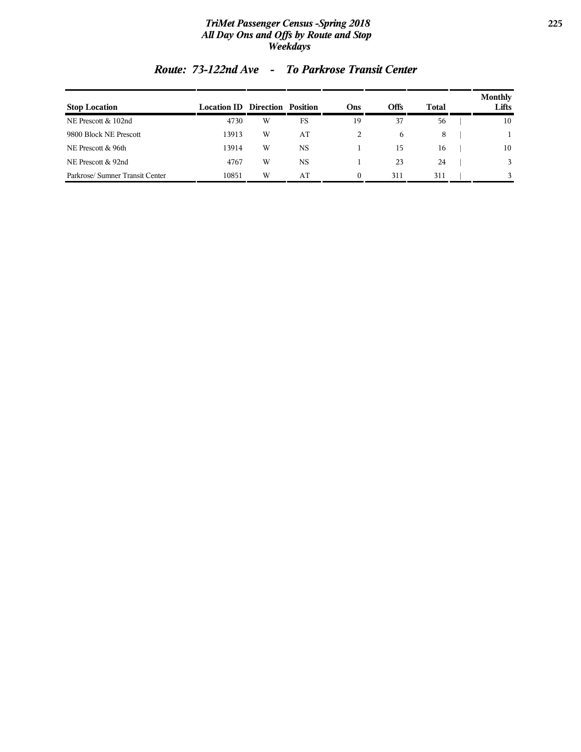### *TriMet Passenger Census -Spring 2018* **225** *All Day Ons and Offs by Route and Stop Weekdays*

| <b>Stop Location</b>           | <b>Location ID Direction Position</b> |   |           | <b>Ons</b> | Offs | Total | <b>Monthly</b><br>Lifts |
|--------------------------------|---------------------------------------|---|-----------|------------|------|-------|-------------------------|
| NE Prescott & 102nd            | 4730                                  | W | FS        | 19         | 37   | 56    | 10                      |
| 9800 Block NE Prescott         | 13913                                 | W | AT        | 2          | 6    | 8     |                         |
| NE Prescott & 96th             | 13914                                 | W | <b>NS</b> |            | 15   | 16    | 10                      |
| NE Prescott & 92nd             | 4767                                  | W | <b>NS</b> |            | 23   | 24    |                         |
| Parkrose/Sumner Transit Center | 10851                                 | W | AT        | $\theta$   | 311  | 311   |                         |

## *Route: 73-122nd Ave - To Parkrose Transit Center*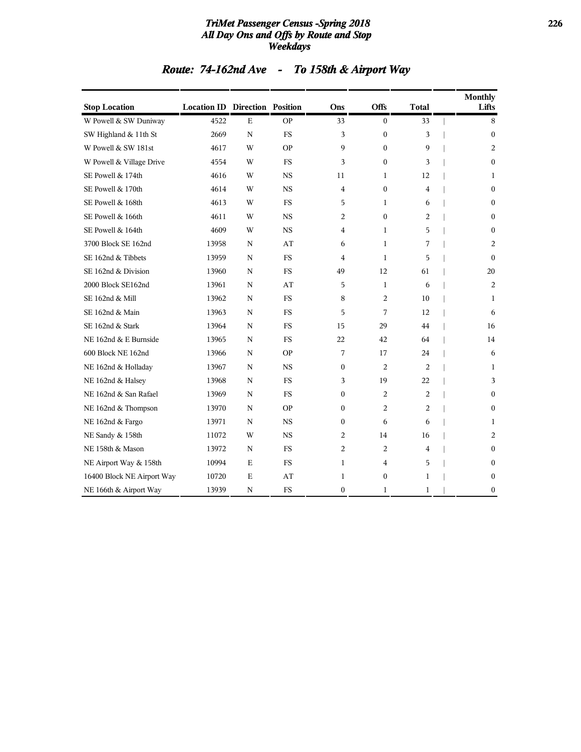### *TriMet Passenger Census -Spring 2018* **226** *All Day Ons and Offs by Route and Stop Weekdays*

| <b>Route: 74-162nd Ave</b> |  | To 158th & Airport Way |
|----------------------------|--|------------------------|
|----------------------------|--|------------------------|

| <b>Stop Location</b>       | <b>Location ID Direction Position</b> |             |           | Ons              | <b>Offs</b>      | <b>Total</b>   | <b>Monthly</b><br>Lifts |
|----------------------------|---------------------------------------|-------------|-----------|------------------|------------------|----------------|-------------------------|
| W Powell & SW Duniway      | 4522                                  | $\mathbf E$ | <b>OP</b> | 33               | $\boldsymbol{0}$ | 33             | 8                       |
| SW Highland & 11th St      | 2669                                  | $\mathbf N$ | <b>FS</b> | 3                | $\boldsymbol{0}$ | 3              | $\mathbf{0}$            |
| W Powell & SW 181st        | 4617                                  | W           | <b>OP</b> | 9                | $\boldsymbol{0}$ | 9              | 2                       |
| W Powell & Village Drive   | 4554                                  | W           | <b>FS</b> | 3                | $\mathbf{0}$     | 3              | $\mathbf{0}$            |
| SE Powell & 174th          | 4616                                  | W           | <b>NS</b> | 11               | $\mathbf{1}$     | 12             | 1                       |
| SE Powell & 170th          | 4614                                  | W           | <b>NS</b> | $\overline{4}$   | $\boldsymbol{0}$ | $\overline{4}$ | $\boldsymbol{0}$        |
| SE Powell & 168th          | 4613                                  | W           | <b>FS</b> | 5                | 1                | 6              | $\mathbf{0}$            |
| SE Powell & 166th          | 4611                                  | W           | <b>NS</b> | 2                | $\mathbf{0}$     | 2              | $\mathbf{0}$            |
| SE Powell & 164th          | 4609                                  | W           | <b>NS</b> | $\overline{4}$   | $\mathbf{1}$     | 5              | $\boldsymbol{0}$        |
| 3700 Block SE 162nd        | 13958                                 | N           | AT        | 6                | 1                | 7              | 2                       |
| SE 162nd & Tibbets         | 13959                                 | $\mathbf N$ | <b>FS</b> | $\overline{4}$   | $\mathbf{1}$     | 5              | $\Omega$                |
| SE 162nd & Division        | 13960                                 | $\mathbf N$ | <b>FS</b> | 49               | 12               | 61             | 20                      |
| 2000 Block SE162nd         | 13961                                 | N           | AT        | 5                | 1                | 6              | 2                       |
| SE 162nd & Mill            | 13962                                 | $\mathbf N$ | <b>FS</b> | 8                | 2                | 10             | 1                       |
| SE 162nd & Main            | 13963                                 | $\mathbf N$ | <b>FS</b> | 5                | 7                | 12             | 6                       |
| SE 162nd & Stark           | 13964                                 | N           | <b>FS</b> | 15               | 29               | 44             | 16                      |
| NE 162nd & E Burnside      | 13965                                 | $\mathbf N$ | <b>FS</b> | 22               | 42               | 64             | 14                      |
| 600 Block NE 162nd         | 13966                                 | N           | <b>OP</b> | 7                | 17               | 24             | 6                       |
| NE 162nd & Holladay        | 13967                                 | N           | NS        | $\boldsymbol{0}$ | 2                | 2              | 1                       |
| NE 162nd & Halsey          | 13968                                 | $\mathbf N$ | <b>FS</b> | 3                | 19               | 22             | 3                       |
| NE 162nd & San Rafael      | 13969                                 | N           | <b>FS</b> | $\boldsymbol{0}$ | $\overline{c}$   | $\overline{c}$ | $\mathbf{0}$            |
| NE 162nd & Thompson        | 13970                                 | N           | <b>OP</b> | $\mathbf{0}$     | 2                | 2              | $\mathbf{0}$            |
| NE 162nd & Fargo           | 13971                                 | N           | <b>NS</b> | $\mathbf{0}$     | 6                | 6              | 1                       |
| NE Sandy & 158th           | 11072                                 | W           | <b>NS</b> | 2                | 14               | 16             | 2                       |
| NE 158th & Mason           | 13972                                 | N           | <b>FS</b> | 2                | 2                | 4              | $\mathbf{0}$            |
| NE Airport Way & 158th     | 10994                                 | E           | <b>FS</b> | 1                | 4                | 5              | $\mathbf{0}$            |
| 16400 Block NE Airport Way | 10720                                 | Ε           | AT        | 1                | $\boldsymbol{0}$ | 1              | $\boldsymbol{0}$        |
| NE 166th & Airport Way     | 13939                                 | N           | <b>FS</b> | $\mathbf{0}$     | 1                | 1              | $\boldsymbol{0}$        |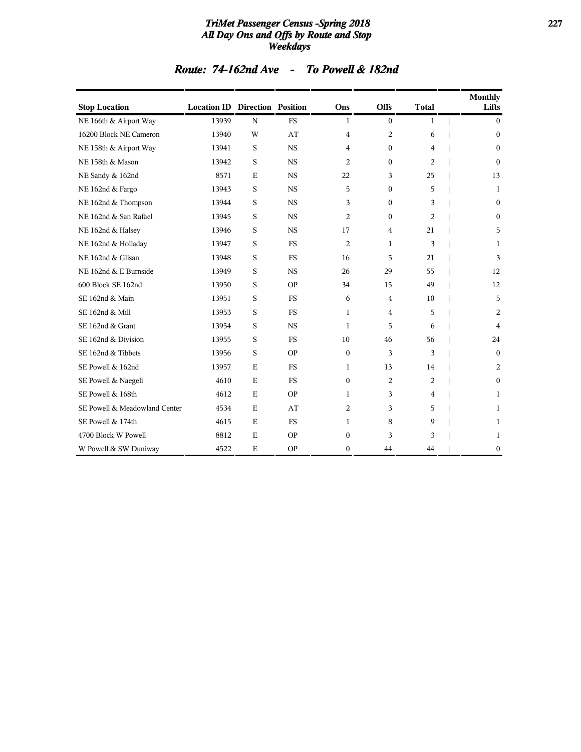### *TriMet Passenger Census -Spring 2018* **227** *All Day Ons and Offs by Route and Stop Weekdays*

| <b>Stop Location</b>          | <b>Location ID Direction Position</b> |             |           | Ons            | Offs           | <b>Total</b> | <b>Monthly</b><br>Lifts |
|-------------------------------|---------------------------------------|-------------|-----------|----------------|----------------|--------------|-------------------------|
| NE 166th & Airport Way        | 13939                                 | $\mathbf N$ | <b>FS</b> | 1              | $\mathbf{0}$   | 1            | $\mathbf{0}$            |
| 16200 Block NE Cameron        | 13940                                 | W           | AT        | 4              | 2              | 6            | $\boldsymbol{0}$        |
| NE 158th & Airport Way        | 13941                                 | S           | <b>NS</b> | $\overline{4}$ | $\mathbf{0}$   | 4            | $\mathbf{0}$            |
| NE 158th & Mason              | 13942                                 | S           | <b>NS</b> | $\overline{c}$ | $\mathbf{0}$   | 2            | $\theta$                |
| NE Sandy & 162nd              | 8571                                  | E           | <b>NS</b> | 22             | 3              | 25           | 13                      |
| NE 162nd & Fargo              | 13943                                 | S           | <b>NS</b> | 5              | $\mathbf{0}$   | 5            | 1                       |
| NE 162nd & Thompson           | 13944                                 | S           | <b>NS</b> | 3              | $\mathbf{0}$   | 3            | $\mathbf{0}$            |
| NE 162nd & San Rafael         | 13945                                 | S           | <b>NS</b> | $\overline{2}$ | $\mathbf{0}$   | 2            | $\mathbf{0}$            |
| NE 162nd & Halsey             | 13946                                 | S           | <b>NS</b> | 17             | $\overline{4}$ | 21           | 5                       |
| NE 162nd & Holladay           | 13947                                 | S           | <b>FS</b> | 2              | $\mathbf{1}$   | 3            | 1                       |
| NE 162nd & Glisan             | 13948                                 | S           | <b>FS</b> | 16             | 5              | 21           | 3                       |
| NE 162nd & E Burnside         | 13949                                 | S           | <b>NS</b> | 26             | 29             | 55           | 12                      |
| 600 Block SE 162nd            | 13950                                 | S           | <b>OP</b> | 34             | 15             | 49           | 12                      |
| SE 162nd & Main               | 13951                                 | S           | <b>FS</b> | 6              | $\overline{4}$ | 10           | 5                       |
| SE 162nd & Mill               | 13953                                 | S           | <b>FS</b> | 1              | 4              | 5            | $\overline{2}$          |
| SE 162nd & Grant              | 13954                                 | S           | <b>NS</b> | 1              | 5              | 6            | 4                       |
| SE 162nd & Division           | 13955                                 | S           | <b>FS</b> | 10             | 46             | 56           | 24                      |
| SE 162nd & Tibbets            | 13956                                 | S           | <b>OP</b> | $\mathbf{0}$   | 3              | 3            | $\mathbf{0}$            |
| SE Powell & 162nd             | 13957                                 | E           | <b>FS</b> | 1              | 13             | 14           | $\overline{c}$          |
| SE Powell & Naegeli           | 4610                                  | E           | <b>FS</b> | $\mathbf{0}$   | 2              | 2            | $\mathbf{0}$            |
| SE Powell & 168th             | 4612                                  | E           | <b>OP</b> | 1              | 3              | 4            | 1                       |
| SE Powell & Meadowland Center | 4534                                  | E           | AT        | $\overline{2}$ | 3              | 5            | 1                       |
| SE Powell & 174th             | 4615                                  | $\mathbf E$ | <b>FS</b> | 1              | 8              | 9            | 1                       |
| 4700 Block W Powell           | 8812                                  | E           | <b>OP</b> | $\theta$       | 3              | 3            | 1                       |
| W Powell & SW Duniway         | 4522                                  | E           | <b>OP</b> | $\mathbf{0}$   | 44             | 44           | $\boldsymbol{0}$        |

### *Route: 74-162nd Ave - To Powell & 182nd*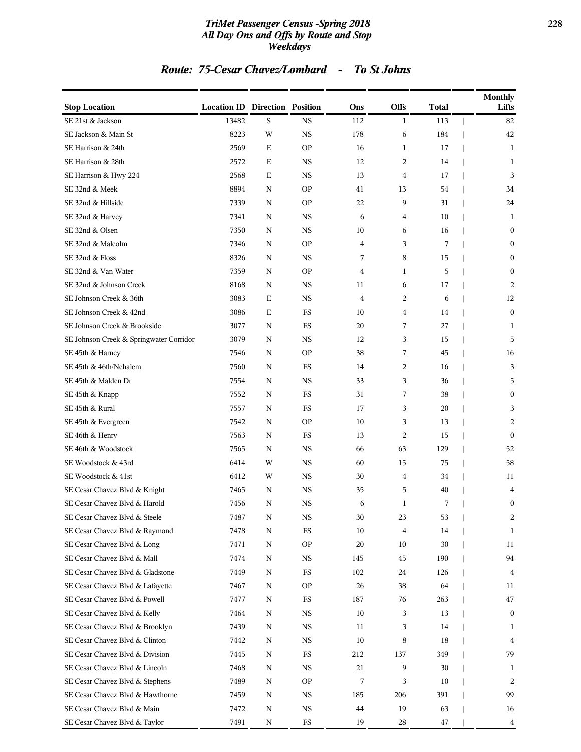### *TriMet Passenger Census -Spring 2018* **228** *All Day Ons and Offs by Route and Stop Weekdays*

## *Route: 75-Cesar Chavez/Lombard - To St Johns*

| <b>Stop Location</b>                    | <b>Location ID Direction Position</b> |             |             | Ons            | Offs           | <b>Total</b> | <b>Monthly</b><br>Lifts |
|-----------------------------------------|---------------------------------------|-------------|-------------|----------------|----------------|--------------|-------------------------|
| SE 21st & Jackson                       | 13482                                 | S           | <b>NS</b>   | 112            | 1              | 113          | 82                      |
| SE Jackson & Main St                    | 8223                                  | W           | <b>NS</b>   | 178            | 6              | 184          | 42                      |
| SE Harrison & 24th                      | 2569                                  | $\mathbf E$ | <b>OP</b>   | 16             | 1              | 17           | 1                       |
| SE Harrison & 28th                      | 2572                                  | Е           | <b>NS</b>   | 12             | 2              | 14           | 1                       |
| SE Harrison & Hwy 224                   | 2568                                  | E           | <b>NS</b>   | 13             | $\overline{4}$ | 17           | 3                       |
| SE 32nd & Meek                          | 8894                                  | N           | <b>OP</b>   | 41             | 13             | 54           | 34                      |
| SE 32nd & Hillside                      | 7339                                  | ${\bf N}$   | <b>OP</b>   | 22             | 9              | 31           | 24                      |
| SE 32nd & Harvey                        | 7341                                  | ${\bf N}$   | <b>NS</b>   | 6              | 4              | 10           | 1                       |
| SE 32nd & Olsen                         | 7350                                  | N           | <b>NS</b>   | 10             | 6              | 16           | $\mathbf{0}$            |
| SE 32nd & Malcolm                       | 7346                                  | ${\bf N}$   | <b>OP</b>   | 4              | 3              | 7            | $\mathbf{0}$            |
| SE 32nd & Floss                         | 8326                                  | N           | <b>NS</b>   | 7              | 8              | 15           | $\mathbf{0}$            |
| SE 32nd & Van Water                     | 7359                                  | ${\bf N}$   | <b>OP</b>   | 4              | 1              | 5            | $\boldsymbol{0}$        |
| SE 32nd & Johnson Creek                 | 8168                                  | ${\bf N}$   | <b>NS</b>   | 11             | 6              | 17           | 2                       |
| SE Johnson Creek & 36th                 | 3083                                  | $\mathbf E$ | <b>NS</b>   | $\overline{4}$ | 2              | 6            | 12                      |
| SE Johnson Creek & 42nd                 | 3086                                  | E           | FS          | 10             | 4              | 14           | $\mathbf{0}$            |
| SE Johnson Creek & Brookside            | 3077                                  | N           | FS          | 20             | 7              | 27           | 1                       |
| SE Johnson Creek & Springwater Corridor | 3079                                  | N           | <b>NS</b>   | 12             | 3              | 15           | 5                       |
| SE 45th & Harney                        | 7546                                  | ${\bf N}$   | <b>OP</b>   | 38             | 7              | 45           | 16                      |
| SE 45th & 46th/Nehalem                  | 7560                                  | N           | FS          | 14             | 2              | 16           | 3                       |
| SE 45th & Malden Dr                     | 7554                                  | N           | <b>NS</b>   | 33             | 3              | 36           | 5                       |
| SE 45th & Knapp                         | 7552                                  | N           | FS          | 31             | 7              | 38           | $\mathbf{0}$            |
| SE 45th & Rural                         | 7557                                  | N           | <b>FS</b>   | 17             | 3              | 20           | 3                       |
| SE 45th & Evergreen                     | 7542                                  | ${\bf N}$   | <b>OP</b>   | 10             | 3              | 13           | 2                       |
| SE 46th & Henry                         | 7563                                  | N           | FS          | 13             | 2              | 15           | $\mathbf{0}$            |
| SE 46th & Woodstock                     | 7565                                  | N           | <b>NS</b>   | 66             | 63             | 129          | 52                      |
| SE Woodstock & 43rd                     | 6414                                  | W           | <b>NS</b>   | 60             | 15             | 75           | 58                      |
| SE Woodstock & 41st                     | 6412                                  | W           | <b>NS</b>   | 30             | 4              | 34           | 11                      |
| SE Cesar Chavez Blvd & Knight           | 7465                                  | N           | <b>NS</b>   | 35             | 5              | 40           | 4                       |
| SE Cesar Chavez Blvd & Harold           | 7456                                  | N           | NS          | 6              | 1              | 7            | $\boldsymbol{0}$        |
| SE Cesar Chavez Blvd & Steele           | 7487                                  | ${\bf N}$   | <b>NS</b>   | 30             | 23             | 53           | 2                       |
| SE Cesar Chavez Blvd & Raymond          | 7478                                  | ${\bf N}$   | FS          | 10             | $\overline{4}$ | 14           | 1                       |
| SE Cesar Chavez Blvd & Long             | 7471                                  | N           | <b>OP</b>   | 20             | 10             | 30           | 11                      |
| SE Cesar Chavez Blvd & Mall             | 7474                                  | N           | $_{\rm NS}$ | 145            | 45             | 190          | 94                      |
| SE Cesar Chavez Blvd & Gladstone        | 7449                                  | N           | FS          | 102            | 24             | 126          | $\overline{4}$          |
| SE Cesar Chavez Blvd & Lafayette        | 7467                                  | N           | <b>OP</b>   | 26             | 38             | 64           | 11                      |
| SE Cesar Chavez Blvd & Powell           | 7477                                  | N           | <b>FS</b>   | 187            | 76             | 263          | 47                      |
| SE Cesar Chavez Blvd & Kelly            | 7464                                  | N           | $_{\rm NS}$ | 10             | 3              | 13           | $\bf{0}$                |
| SE Cesar Chavez Blvd & Brooklyn         | 7439                                  | N           | $_{\rm NS}$ | 11             | 3              | 14           | 1                       |
| SE Cesar Chavez Blvd & Clinton          | 7442                                  | N           | NS          | $10\,$         | 8              | 18           | 4                       |
| SE Cesar Chavez Blvd & Division         | 7445                                  | N           | FS          | 212            | 137            | 349          | 79                      |
| SE Cesar Chavez Blvd & Lincoln          | 7468                                  | N           | $_{\rm NS}$ | 21             | 9              | 30           | 1                       |
| SE Cesar Chavez Blvd & Stephens         | 7489                                  | N           | <b>OP</b>   | 7              | 3              | 10           | 2                       |
| SE Cesar Chavez Blvd & Hawthorne        | 7459                                  | N           | $_{\rm NS}$ | 185            | 206            | 391          | 99                      |
| SE Cesar Chavez Blvd & Main             | 7472                                  | N           | NS          | $\bf 44$       | 19             | 63           | 16                      |
| SE Cesar Chavez Blvd & Taylor           | 7491                                  | N           | FS          | 19             | 28             | 47           | 4                       |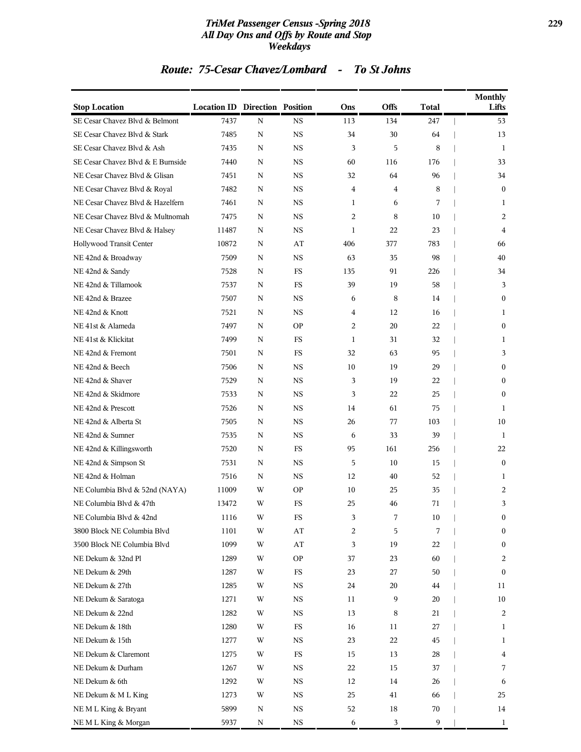### *TriMet Passenger Census -Spring 2018* **229** *All Day Ons and Offs by Route and Stop Weekdays*

## *Route: 75-Cesar Chavez/Lombard - To St Johns*

| <b>Stop Location</b>              | <b>Location ID Direction Position</b> |             |             | Ons          | <b>Offs</b> | <b>Total</b> | <b>Monthly</b><br>Lifts |
|-----------------------------------|---------------------------------------|-------------|-------------|--------------|-------------|--------------|-------------------------|
| SE Cesar Chavez Blvd & Belmont    | 7437                                  | N           | <b>NS</b>   | 113          | 134         | 247          | 53                      |
| SE Cesar Chavez Blvd & Stark      | 7485                                  | $\mathbf N$ | <b>NS</b>   | 34           | 30          | 64           | 13                      |
| SE Cesar Chavez Blvd & Ash        | 7435                                  | N           | <b>NS</b>   | 3            | 5           | 8            | 1                       |
| SE Cesar Chavez Blvd & E Burnside | 7440                                  | N           | NS          | 60           | 116         | 176          | 33                      |
| NE Cesar Chavez Blvd & Glisan     | 7451                                  | N           | <b>NS</b>   | 32           | 64          | 96           | 34                      |
| NE Cesar Chavez Blvd & Royal      | 7482                                  | N           | <b>NS</b>   | 4            | 4           | 8            | $\mathbf{0}$            |
| NE Cesar Chavez Blvd & Hazelfern  | 7461                                  | N           | NS          | 1            | 6           | 7            | 1                       |
| NE Cesar Chavez Blvd & Multnomah  | 7475                                  | N           | <b>NS</b>   | 2            | 8           | 10           | 2                       |
| NE Cesar Chavez Blvd & Halsey     | 11487                                 | N           | <b>NS</b>   | $\mathbf{1}$ | 22          | 23           | 4                       |
| Hollywood Transit Center          | 10872                                 | N           | AT          | 406          | 377         | 783          | 66                      |
| NE 42nd & Broadway                | 7509                                  | N           | <b>NS</b>   | 63           | 35          | 98           | 40                      |
| NE 42nd & Sandy                   | 7528                                  | N           | FS          | 135          | 91          | 226          | 34                      |
| NE 42nd & Tillamook               | 7537                                  | N           | FS          | 39           | 19          | 58           | 3                       |
| NE 42nd & Brazee                  | 7507                                  | N           | <b>NS</b>   | 6            | 8           | 14           | $\mathbf{0}$            |
| NE 42nd & Knott                   | 7521                                  | N           | <b>NS</b>   | 4            | 12          | 16           | $\mathbf{1}$            |
| NE 41st & Alameda                 | 7497                                  | N           | <b>OP</b>   | 2            | 20          | 22           | $\boldsymbol{0}$        |
| NE 41st & Klickitat               | 7499                                  | N           | FS          | 1            | 31          | 32           | $\mathbf{1}$            |
| NE 42nd & Fremont                 | 7501                                  | N           | FS          | 32           | 63          | 95           | 3                       |
| NE 42nd & Beech                   | 7506                                  | N           | NS          | 10           | 19          | 29           | $\boldsymbol{0}$        |
| NE 42nd & Shaver                  | 7529                                  | N           | <b>NS</b>   | 3            | 19          | 22           | $\mathbf{0}$            |
| NE 42nd & Skidmore                | 7533                                  | N           | <b>NS</b>   | 3            | 22          | 25           | $\mathbf{0}$            |
| NE 42nd & Prescott                | 7526                                  | N           | NS          | 14           | 61          | 75           | 1                       |
| NE 42nd & Alberta St              | 7505                                  | N           | <b>NS</b>   | 26           | 77          | 103          | 10                      |
| NE 42nd & Sumner                  | 7535                                  | N           | NS          | 6            | 33          | 39           | 1                       |
| NE 42nd & Killingsworth           | 7520                                  | N           | FS          | 95           | 161         | 256          | 22                      |
| NE 42nd & Simpson St              | 7531                                  | N           | <b>NS</b>   | 5            | 10          | 15           | $\mathbf{0}$            |
| NE 42nd & Holman                  | 7516                                  | N           | NS          | 12           | 40          | 52           | $\mathbf{1}$            |
| NE Columbia Blvd & 52nd (NAYA)    | 11009                                 | W           | <b>OP</b>   | 10           | 25          | 35           | 2                       |
| NE Columbia Blvd & 47th           | 13472                                 | W           | FS          | 25           | 46          | 71           | 3                       |
| NE Columbia Blvd & 42nd           | 1116                                  | W           | $_{\rm FS}$ | 3            | 7           | 10           | $\theta$                |
| 3800 Block NE Columbia Blvd       | 1101                                  | W           | AT          | 2            | 5           | 7            | $\boldsymbol{0}$        |
| 3500 Block NE Columbia Blvd       | 1099                                  | W           | AT          | 3            | 19          | 22           | $\boldsymbol{0}$        |
| NE Dekum & 32nd Pl                | 1289                                  | W           | ΟP          | 37           | 23          | 60           | 2                       |
| NE Dekum & 29th                   | 1287                                  | W           | FS          | 23           | 27          | 50           | $\bf{0}$                |
| NE Dekum & 27th                   | 1285                                  | W           | NS          | 24           | 20          | 44           | 11                      |
| NE Dekum & Saratoga               | 1271                                  | W           | NS          | 11           | 9           | 20           | 10                      |
| NE Dekum & 22nd                   | 1282                                  | W           | NS          | 13           | 8           | 21           | 2                       |
| NE Dekum & 18th                   | 1280                                  | W           | FS          | 16           | 11          | 27           | 1                       |
| NE Dekum & 15th                   | 1277                                  | W           | NS          | 23           | 22          | 45           | 1                       |
| NE Dekum & Claremont              | 1275                                  | W           | FS          | 15           | 13          | 28           | 4                       |
| NE Dekum & Durham                 | 1267                                  | W           | NS          | 22           | 15          | 37           | 7                       |
| NE Dekum & 6th                    | 1292                                  | W           | NS          | 12           | 14          | 26           | 6                       |
| NE Dekum & ML King                | 1273                                  | W           | NS          | 25           | 41          | 66           | 25                      |
| NEML King & Bryant                | 5899                                  | N           | NS          | 52           | 18          | 70           | 14                      |
| NEML King & Morgan                | 5937                                  | N           | NS          | 6            | 3           | 9            | $\mathbf{1}$            |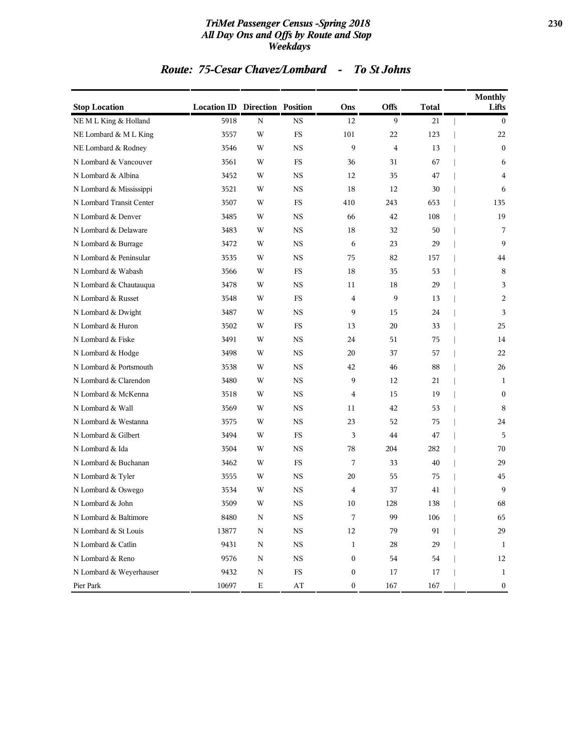### *TriMet Passenger Census -Spring 2018* **230** *All Day Ons and Offs by Route and Stop Weekdays*

## *Route: 75-Cesar Chavez/Lombard - To St Johns*

| <b>Stop Location</b>     | <b>Location ID Direction Position</b> |             |             | Ons              | Offs           | <b>Total</b> | <b>Monthly</b><br>Lifts |
|--------------------------|---------------------------------------|-------------|-------------|------------------|----------------|--------------|-------------------------|
| NEML King & Holland      | 5918                                  | N           | <b>NS</b>   | 12               | 9              | 21           | $\theta$                |
| NE Lombard & M L King    | 3557                                  | W           | FS          | 101              | 22             | 123          | 22                      |
| NE Lombard & Rodney      | 3546                                  | W           | <b>NS</b>   | 9                | $\overline{4}$ | 13           | $\mathbf{0}$            |
| N Lombard & Vancouver    | 3561                                  | W           | FS          | 36               | 31             | 67           | 6                       |
| N Lombard & Albina       | 3452                                  | W           | NS          | 12               | 35             | 47           | 4                       |
| N Lombard & Mississippi  | 3521                                  | W           | <b>NS</b>   | 18               | 12             | 30           | 6                       |
| N Lombard Transit Center | 3507                                  | W           | FS          | 410              | 243            | 653          | 135                     |
| N Lombard & Denver       | 3485                                  | W           | <b>NS</b>   | 66               | 42             | 108          | 19                      |
| N Lombard & Delaware     | 3483                                  | W           | <b>NS</b>   | 18               | 32             | 50           | 7                       |
| N Lombard & Burrage      | 3472                                  | W           | <b>NS</b>   | 6                | 23             | 29           | 9                       |
| N Lombard & Peninsular   | 3535                                  | W           | <b>NS</b>   | 75               | 82             | 157          | 44                      |
| N Lombard & Wabash       | 3566                                  | W           | FS          | 18               | 35             | 53           | 8                       |
| N Lombard & Chautauqua   | 3478                                  | W           | <b>NS</b>   | 11               | 18             | 29           | 3                       |
| N Lombard & Russet       | 3548                                  | W           | <b>FS</b>   | $\overline{4}$   | 9              | 13           | $\overline{c}$          |
| N Lombard & Dwight       | 3487                                  | W           | NS          | 9                | 15             | 24           | 3                       |
| N Lombard & Huron        | 3502                                  | W           | FS          | 13               | 20             | 33           | 25                      |
| N Lombard & Fiske        | 3491                                  | W           | <b>NS</b>   | 24               | 51             | 75           | 14                      |
| N Lombard & Hodge        | 3498                                  | W           | <b>NS</b>   | 20               | 37             | 57           | 22                      |
| N Lombard & Portsmouth   | 3538                                  | W           | <b>NS</b>   | 42               | 46             | 88           | 26                      |
| N Lombard & Clarendon    | 3480                                  | W           | <b>NS</b>   | 9                | 12             | 21           | 1                       |
| N Lombard & McKenna      | 3518                                  | W           | <b>NS</b>   | 4                | 15             | 19           | $\mathbf{0}$            |
| N Lombard & Wall         | 3569                                  | W           | <b>NS</b>   | 11               | 42             | 53           | 8                       |
| N Lombard & Westanna     | 3575                                  | W           | <b>NS</b>   | 23               | 52             | 75           | 24                      |
| N Lombard & Gilbert      | 3494                                  | W           | <b>FS</b>   | 3                | 44             | 47           | 5                       |
| N Lombard & Ida          | 3504                                  | W           | NS          | 78               | 204            | 282          | 70                      |
| N Lombard & Buchanan     | 3462                                  | W           | FS          | 7                | 33             | 40           | 29                      |
| N Lombard & Tyler        | 3555                                  | W           | <b>NS</b>   | 20               | 55             | 75           | 45                      |
| N Lombard & Oswego       | 3534                                  | W           | <b>NS</b>   | 4                | 37             | 41           | 9                       |
| N Lombard & John         | 3509                                  | W           | <b>NS</b>   | 10               | 128            | 138          | 68                      |
| N Lombard & Baltimore    | 8480                                  | N           | NS          | 7                | 99             | 106          | 65                      |
| N Lombard & St Louis     | 13877                                 | $\mathbf N$ | $_{\rm NS}$ | 12               | 79             | 91           | 29                      |
| N Lombard & Catlin       | 9431                                  | ${\bf N}$   | $_{\rm NS}$ | 1                | 28             | 29           | 1                       |
| N Lombard & Reno         | 9576                                  | Ν           | $_{\rm NS}$ | $\boldsymbol{0}$ | 54             | 54           | 12                      |
| N Lombard & Weyerhauser  | 9432                                  | ${\bf N}$   | $_{\rm FS}$ | $\boldsymbol{0}$ | 17             | 17           | $\mathbf{1}$            |
| Pier Park                | 10697                                 | $\mathbf E$ | AT          | 0                | 167            | 167          | $\boldsymbol{0}$        |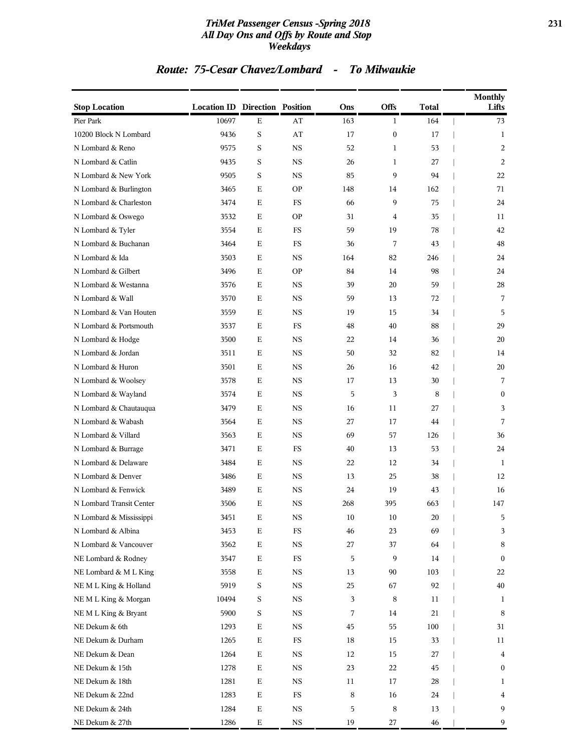### *TriMet Passenger Census -Spring 2018* **231** *All Day Ons and Offs by Route and Stop Weekdays*

## *Route: 75-Cesar Chavez/Lombard - To Milwaukie*

| <b>Stop Location</b>     | <b>Location ID Direction Position</b> |             |             | Ons    | Offs             | <b>Total</b> | <b>Monthly</b><br>Lifts |
|--------------------------|---------------------------------------|-------------|-------------|--------|------------------|--------------|-------------------------|
| Pier Park                | 10697                                 | E           | AT          | 163    | $\mathbf{1}$     | 164          | 73                      |
| 10200 Block N Lombard    | 9436                                  | $\mathbf S$ | AT          | 17     | $\boldsymbol{0}$ | 17           | 1                       |
| N Lombard & Reno         | 9575                                  | S           | <b>NS</b>   | 52     | $\mathbf{1}$     | 53           | 2                       |
| N Lombard & Catlin       | 9435                                  | S           | NS          | 26     | $\mathbf{1}$     | 27           | 2                       |
| N Lombard & New York     | 9505                                  | S           | <b>NS</b>   | 85     | 9                | 94           | 22                      |
| N Lombard & Burlington   | 3465                                  | Ε           | <b>OP</b>   | 148    | 14               | 162          | 71                      |
| N Lombard & Charleston   | 3474                                  | $\mathbf E$ | FS          | 66     | 9                | 75           | 24                      |
| N Lombard & Oswego       | 3532                                  | Ε           | <b>OP</b>   | 31     | $\overline{4}$   | 35           | 11                      |
| N Lombard & Tyler        | 3554                                  | Ε           | FS          | 59     | 19               | 78           | 42                      |
| N Lombard & Buchanan     | 3464                                  | Ε           | <b>FS</b>   | 36     | 7                | 43           | 48                      |
| N Lombard & Ida          | 3503                                  | Ε           | <b>NS</b>   | 164    | 82               | 246          | 24                      |
| N Lombard & Gilbert      | 3496                                  | $\mathbf E$ | <b>OP</b>   | 84     | 14               | 98           | 24                      |
| N Lombard & Westanna     | 3576                                  | Ε           | <b>NS</b>   | 39     | 20               | 59           | 28                      |
| N Lombard & Wall         | 3570                                  | Ε           | NS          | 59     | 13               | 72           | 7                       |
| N Lombard & Van Houten   | 3559                                  | Е           | <b>NS</b>   | 19     | 15               | 34           | 5                       |
| N Lombard & Portsmouth   | 3537                                  | Ε           | <b>FS</b>   | 48     | 40               | 88           | 29                      |
| N Lombard & Hodge        | 3500                                  | $\mathbf E$ | <b>NS</b>   | 22     | 14               | 36           | 20                      |
| N Lombard & Jordan       | 3511                                  | Ε           | <b>NS</b>   | 50     | 32               | 82           | 14                      |
| N Lombard & Huron        | 3501                                  | $\mathbf E$ | NS          | 26     | 16               | 42           | 20                      |
| N Lombard & Woolsey      | 3578                                  | Е           | <b>NS</b>   | 17     | 13               | 30           | 7                       |
| N Lombard & Wayland      | 3574                                  | Ε           | <b>NS</b>   | 5      | 3                | 8            | $\mathbf{0}$            |
| N Lombard & Chautauqua   | 3479                                  | Ε           | <b>NS</b>   | 16     | 11               | 27           | 3                       |
| N Lombard & Wabash       | 3564                                  | Ε           | <b>NS</b>   | 27     | 17               | 44           | 7                       |
| N Lombard & Villard      | 3563                                  | Ε           | NS          | 69     | 57               | 126          | 36                      |
| N Lombard & Burrage      | 3471                                  | Е           | FS          | 40     | 13               | 53           | 24                      |
| N Lombard & Delaware     | 3484                                  | Ε           | <b>NS</b>   | 22     | 12               | 34           | 1                       |
| N Lombard & Denver       | 3486                                  | $\mathbf E$ | <b>NS</b>   | 13     | 25               | 38           | 12                      |
| N Lombard & Fenwick      | 3489                                  | E           | <b>NS</b>   | 24     | 19               | 43           | 16                      |
| N Lombard Transit Center | 3506                                  | E           | NS          | 268    | 395              | 663          | 147                     |
| N Lombard & Mississippi  | 3451                                  | E           | $_{\rm NS}$ | $10\,$ | $10\,$           | 20           | 5                       |
| N Lombard & Albina       | 3453                                  | $\mathbf E$ | $_{\rm FS}$ | 46     | 23               | 69           | 3                       |
| N Lombard & Vancouver    | 3562                                  | $\mathbf E$ | $_{\rm NS}$ | 27     | 37               | 64           | 8                       |
| NE Lombard & Rodney      | 3547                                  | $\mathbf E$ | $_{\rm FS}$ | 5      | 9                | 14           | $\mathbf{0}$            |
| NE Lombard & M L King    | 3558                                  | $\mathbf E$ | NS          | 13     | 90               | 103          | 22                      |
| NEML King & Holland      | 5919                                  | S           | NS          | 25     | 67               | 92           | 40                      |
| NEML King & Morgan       | 10494                                 | S           | $_{\rm NS}$ | 3      | 8                | 11           | 1                       |
| NEML King & Bryant       | 5900                                  | S           | NS          | 7      | 14               | 21           | 8                       |
| NE Dekum & 6th           | 1293                                  | $\mathbf E$ | NS          | 45     | 55               | 100          | 31                      |
| NE Dekum & Durham        | 1265                                  | $\mathbf E$ | FS          | 18     | 15               | 33           | 11                      |
| NE Dekum & Dean          | 1264                                  | $\mathbf E$ | NS          | 12     | 15               | 27           | 4                       |
| NE Dekum & 15th          | 1278                                  | ${\bf E}$   | NS          | 23     | 22               | 45           | $\bf{0}$                |
| NE Dekum & 18th          | 1281                                  | ${\bf E}$   | NS          | 11     | 17               | 28           | 1                       |
| NE Dekum & 22nd          | 1283                                  | $\mathbf E$ | $_{\rm FS}$ | 8      | 16               | 24           | 4                       |
| NE Dekum & 24th          | 1284                                  | $\mathbf E$ | NS          | 5      | 8                | 13           | 9                       |
| NE Dekum & 27th          | 1286                                  | $\mathbf E$ | $_{\rm NS}$ | 19     | 27               | 46           | 9                       |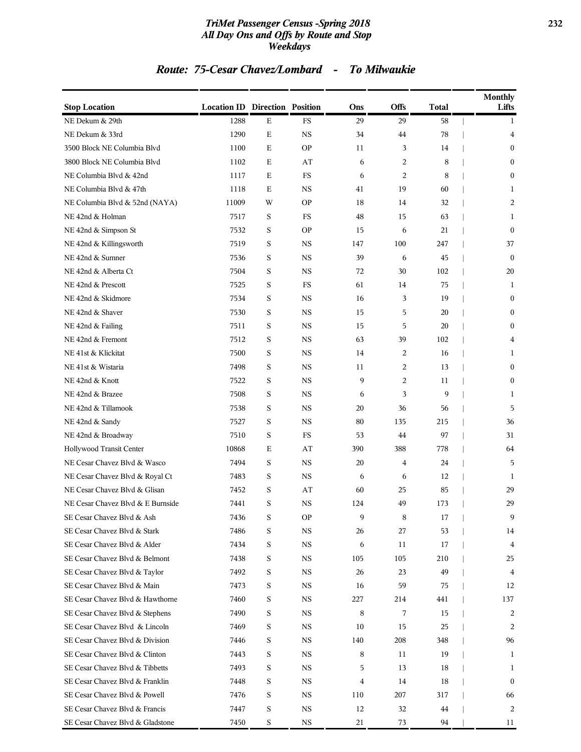### *TriMet Passenger Census -Spring 2018* **232** *All Day Ons and Offs by Route and Stop Weekdays*

## *Route: 75-Cesar Chavez/Lombard - To Milwaukie*

| <b>Stop Location</b>              | <b>Location ID Direction Position</b> |             |             | Ons | <b>Offs</b> | <b>Total</b> | <b>Monthly</b><br>Lifts |
|-----------------------------------|---------------------------------------|-------------|-------------|-----|-------------|--------------|-------------------------|
| NE Dekum & 29th                   | 1288                                  | $\mathbf E$ | FS          | 29  | 29          | 58           | 1                       |
| NE Dekum & 33rd                   | 1290                                  | E           | <b>NS</b>   | 34  | 44          | 78           | 4                       |
| 3500 Block NE Columbia Blvd       | 1100                                  | Е           | <b>OP</b>   | 11  | 3           | 14           | $\mathbf{0}$            |
| 3800 Block NE Columbia Blvd       | 1102                                  | Ε           | AT          | 6   | 2           | 8            | $\mathbf{0}$            |
| NE Columbia Blvd & 42nd           | 1117                                  | Е           | FS          | 6   | 2           | 8            | $\theta$                |
| NE Columbia Blvd & 47th           | 1118                                  | Ε           | <b>NS</b>   | 41  | 19          | 60           | 1                       |
| NE Columbia Blvd & 52nd (NAYA)    | 11009                                 | W           | <b>OP</b>   | 18  | 14          | 32           | 2                       |
| NE 42nd & Holman                  | 7517                                  | S           | FS          | 48  | 15          | 63           | 1                       |
| NE 42nd & Simpson St              | 7532                                  | S           | <b>OP</b>   | 15  | 6           | 21           | $\mathbf{0}$            |
| NE 42nd & Killingsworth           | 7519                                  | S           | <b>NS</b>   | 147 | 100         | 247          | 37                      |
| NE 42nd & Sumner                  | 7536                                  | S           | <b>NS</b>   | 39  | 6           | 45           | $\mathbf{0}$            |
| NE 42nd & Alberta Ct              | 7504                                  | S           | <b>NS</b>   | 72  | 30          | 102          | 20                      |
| NE 42nd & Prescott                | 7525                                  | S           | FS          | 61  | 14          | 75           | 1                       |
| NE 42nd & Skidmore                | 7534                                  | S           | <b>NS</b>   | 16  | 3           | 19           | $\mathbf{0}$            |
| NE 42nd & Shaver                  | 7530                                  | S           | <b>NS</b>   | 15  | 5           | 20           | $\mathbf{0}$            |
| NE 42nd & Failing                 | 7511                                  | S           | <b>NS</b>   | 15  | 5           | 20           | $\boldsymbol{0}$        |
| NE 42nd & Fremont                 | 7512                                  | S           | <b>NS</b>   | 63  | 39          | 102          | 4                       |
| NE 41st & Klickitat               | 7500                                  | S           | <b>NS</b>   | 14  | 2           | 16           | 1                       |
| NE 41st & Wistaria                | 7498                                  | S           | <b>NS</b>   | 11  | 2           | 13           | $\mathbf{0}$            |
| NE 42nd & Knott                   | 7522                                  | S           | <b>NS</b>   | 9   | 2           | 11           | $\mathbf{0}$            |
| NE 42nd & Brazee                  | 7508                                  | S           | <b>NS</b>   | 6   | 3           | 9            | 1                       |
| NE 42nd & Tillamook               | 7538                                  | S           | <b>NS</b>   | 20  | 36          | 56           | 5                       |
| NE 42nd & Sandy                   | 7527                                  | S           | <b>NS</b>   | 80  | 135         | 215          | 36                      |
| NE 42nd & Broadway                | 7510                                  | S           | FS          | 53  | 44          | 97           | 31                      |
| Hollywood Transit Center          | 10868                                 | Е           | AT          | 390 | 388         | 778          | 64                      |
| NE Cesar Chavez Blvd & Wasco      | 7494                                  | S           | <b>NS</b>   | 20  | 4           | 24           | 5                       |
| NE Cesar Chavez Blvd & Royal Ct   | 7483                                  | S           | <b>NS</b>   | 6   | 6           | 12           | 1                       |
| NE Cesar Chavez Blvd & Glisan     | 7452                                  | S           | AT          | 60  | 25          | 85           | 29                      |
| NE Cesar Chavez Blvd & E Burnside | 7441                                  | S           | <b>NS</b>   | 124 | 49          | 173          | 29                      |
| SE Cesar Chavez Blvd & Ash        | 7436                                  | S           | <b>OP</b>   | 9   | 8           | 17           | 9                       |
| SE Cesar Chavez Blvd & Stark      | 7486                                  | S           | <b>NS</b>   | 26  | 27          | 53           | 14                      |
| SE Cesar Chavez Blvd & Alder      | 7434                                  | S           | <b>NS</b>   | 6   | 11          | 17           | 4                       |
| SE Cesar Chavez Blvd & Belmont    | 7438                                  | S           | NS          | 105 | 105         | 210          | 25                      |
| SE Cesar Chavez Blvd & Taylor     | 7492                                  | S           | NS          | 26  | 23          | 49           | 4                       |
| SE Cesar Chavez Blvd & Main       | 7473                                  | S           | NS          | 16  | 59          | 75           | 12                      |
| SE Cesar Chavez Blvd & Hawthorne  | 7460                                  | S           | $_{\rm NS}$ | 227 | 214         | 441          | 137                     |
| SE Cesar Chavez Blvd & Stephens   | 7490                                  | S           | $_{\rm NS}$ | 8   | 7           | 15           | 2                       |
| SE Cesar Chavez Blvd & Lincoln    | 7469                                  | S           | NS          | 10  | 15          | 25           | 2                       |
| SE Cesar Chavez Blvd & Division   | 7446                                  | S           | NS          | 140 | 208         | 348          | 96                      |
| SE Cesar Chavez Blvd & Clinton    | 7443                                  | S           | <b>NS</b>   | 8   | 11          | 19           | 1                       |
| SE Cesar Chavez Blvd & Tibbetts   | 7493                                  | S           | $_{\rm NS}$ | 5   | 13          | 18           | 1                       |
| SE Cesar Chavez Blvd & Franklin   | 7448                                  | S           | NS          | 4   | 14          | 18           | $\mathbf{0}$            |
| SE Cesar Chavez Blvd & Powell     | 7476                                  | S           | <b>NS</b>   | 110 | 207         | 317          | 66                      |
| SE Cesar Chavez Blvd & Francis    | 7447                                  | S           | NS          | 12  | 32          | 44           | 2                       |
| SE Cesar Chavez Blvd & Gladstone  | 7450                                  | $\mathbf S$ | <b>NS</b>   | 21  | $73\,$      | 94           | 11                      |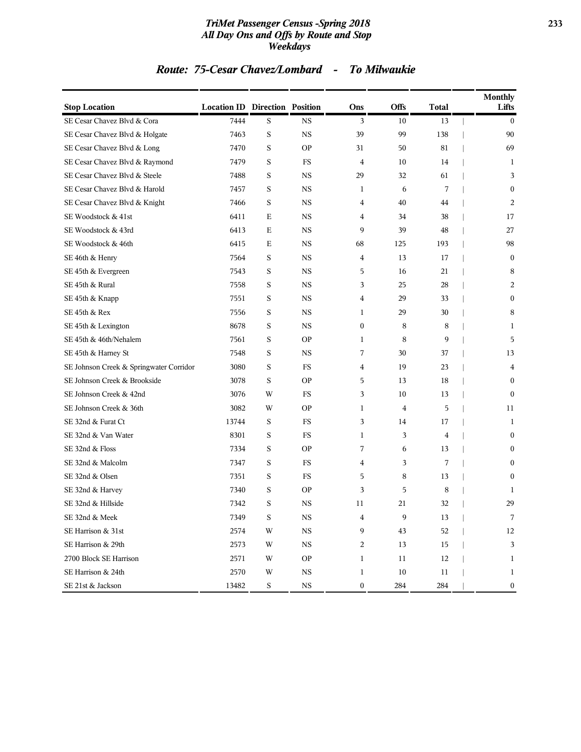### *TriMet Passenger Census -Spring 2018* **233** *All Day Ons and Offs by Route and Stop Weekdays*

### *Route: 75-Cesar Chavez/Lombard - To Milwaukie*

| <b>Stop Location</b>                    | <b>Location ID Direction Position</b> |             |             | Ons              | <b>Offs</b> | <b>Total</b> | <b>Monthly</b><br>Lifts |
|-----------------------------------------|---------------------------------------|-------------|-------------|------------------|-------------|--------------|-------------------------|
| SE Cesar Chavez Blvd & Cora             | 7444                                  | S           | <b>NS</b>   | 3                | 10          | 13           | $\mathbf{0}$            |
| SE Cesar Chavez Blvd & Holgate          | 7463                                  | S           | <b>NS</b>   | 39               | 99          | 138          | 90                      |
| SE Cesar Chavez Blvd & Long             | 7470                                  | S           | <b>OP</b>   | 31               | 50          | 81           | 69                      |
| SE Cesar Chavez Blvd & Raymond          | 7479                                  | S           | FS          | $\overline{4}$   | 10          | 14           | 1                       |
| SE Cesar Chavez Blvd & Steele           | 7488                                  | S           | <b>NS</b>   | 29               | 32          | 61           | 3                       |
| SE Cesar Chavez Blvd & Harold           | 7457                                  | S           | <b>NS</b>   | $\mathbf{1}$     | 6           | 7            | $\boldsymbol{0}$        |
| SE Cesar Chavez Blvd & Knight           | 7466                                  | S           | <b>NS</b>   | 4                | 40          | 44           | 2                       |
| SE Woodstock & 41st                     | 6411                                  | $\mathbf E$ | $_{\rm NS}$ | 4                | 34          | 38           | 17                      |
| SE Woodstock & 43rd                     | 6413                                  | E           | <b>NS</b>   | 9                | 39          | 48           | 27                      |
| SE Woodstock & 46th                     | 6415                                  | E           | <b>NS</b>   | 68               | 125         | 193          | 98                      |
| SE 46th & Henry                         | 7564                                  | S           | <b>NS</b>   | 4                | 13          | 17           | $\boldsymbol{0}$        |
| SE 45th & Evergreen                     | 7543                                  | S           | <b>NS</b>   | 5                | 16          | 21           | 8                       |
| SE 45th & Rural                         | 7558                                  | S           | <b>NS</b>   | 3                | 25          | 28           | 2                       |
| SE 45th & Knapp                         | 7551                                  | S           | <b>NS</b>   | 4                | 29          | 33           | $\mathbf{0}$            |
| SE 45th & Rex                           | 7556                                  | S           | <b>NS</b>   | $\mathbf{1}$     | 29          | 30           | 8                       |
| SE 45th & Lexington                     | 8678                                  | S           | <b>NS</b>   | $\mathbf{0}$     | 8           | 8            | $\mathbf{1}$            |
| SE 45th & 46th/Nehalem                  | 7561                                  | S           | <b>OP</b>   | $\mathbf{1}$     | 8           | 9            | 5                       |
| SE 45th & Harney St                     | 7548                                  | S           | <b>NS</b>   | 7                | 30          | 37           | 13                      |
| SE Johnson Creek & Springwater Corridor | 3080                                  | S           | FS          | 4                | 19          | 23           | 4                       |
| SE Johnson Creek & Brookside            | 3078                                  | S           | <b>OP</b>   | 5                | 13          | 18           | $\mathbf{0}$            |
| SE Johnson Creek & 42nd                 | 3076                                  | W           | <b>FS</b>   | 3                | 10          | 13           | $\mathbf{0}$            |
| SE Johnson Creek & 36th                 | 3082                                  | W           | <b>OP</b>   | $\mathbf{1}$     | 4           | 5            | 11                      |
| SE 32nd & Furat Ct                      | 13744                                 | S           | FS          | 3                | 14          | 17           | 1                       |
| SE 32nd & Van Water                     | 8301                                  | S           | FS          | 1                | 3           | 4            | $\mathbf{0}$            |
| SE 32nd & Floss                         | 7334                                  | S           | <b>OP</b>   | 7                | 6           | 13           | $\mathbf{0}$            |
| SE 32nd & Malcolm                       | 7347                                  | S           | FS          | 4                | 3           | 7            | $\mathbf{0}$            |
| SE 32nd & Olsen                         | 7351                                  | S           | FS          | 5                | 8           | 13           | $\mathbf{0}$            |
| SE 32nd & Harvey                        | 7340                                  | S           | <b>OP</b>   | 3                | 5           | 8            | 1                       |
| SE 32nd & Hillside                      | 7342                                  | S           | <b>NS</b>   | 11               | 21          | 32           | 29                      |
| SE 32nd & Meek                          | 7349                                  | S           | $_{\rm NS}$ | 4                | 9           | 13           | 7                       |
| SE Harrison & 31st                      | 2574                                  | W           | $_{\rm NS}$ | 9                | 43          | 52           | $12\,$                  |
| SE Harrison & 29th                      | 2573                                  | W           | <b>NS</b>   | 2                | 13          | 15           | 3                       |
| 2700 Block SE Harrison                  | 2571                                  | W           | <b>OP</b>   | $\mathbf{1}$     | 11          | 12           | $\mathbf{1}$            |
| SE Harrison & 24th                      | 2570                                  | W           | <b>NS</b>   | $\mathbf{1}$     | $10\,$      | 11           | 1                       |
| SE 21st & Jackson                       | 13482                                 | $\mathbf S$ | $_{\rm NS}$ | $\boldsymbol{0}$ | 284         | 284          | $\boldsymbol{0}$        |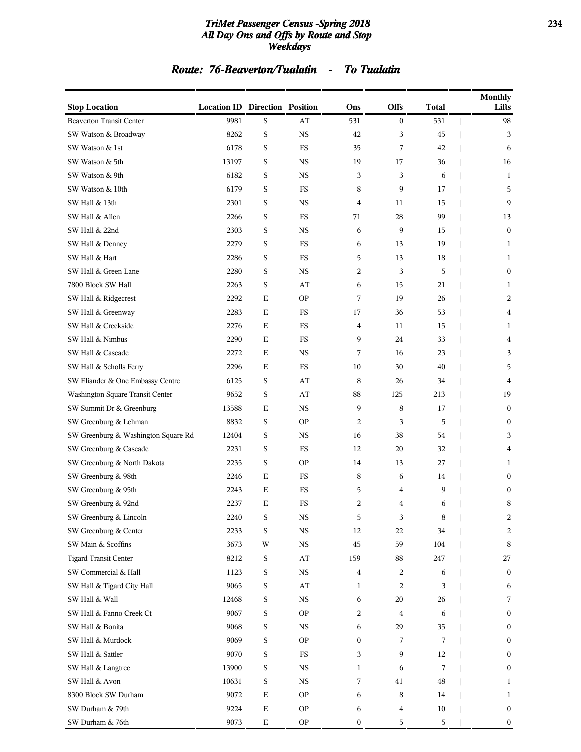### *TriMet Passenger Census -Spring 2018* **234** *All Day Ons and Offs by Route and Stop Weekdays*

## *Route: 76-Beaverton/Tualatin - To Tualatin*

| <b>Stop Location</b>                | <b>Location ID Direction Position</b> |             |             | Ons              | Offs           | <b>Total</b> | <b>Monthly</b><br>Lifts |
|-------------------------------------|---------------------------------------|-------------|-------------|------------------|----------------|--------------|-------------------------|
| <b>Beaverton Transit Center</b>     | 9981                                  | S           | AT          | 531              | $\bf{0}$       | 531          | 98                      |
| SW Watson & Broadway                | 8262                                  | S           | <b>NS</b>   | 42               | 3              | 45           | 3                       |
| SW Watson & 1st                     | 6178                                  | S           | FS          | 35               | 7              | 42           | 6                       |
| SW Watson & 5th                     | 13197                                 | S           | <b>NS</b>   | 19               | 17             | 36           | 16                      |
| SW Watson & 9th                     | 6182                                  | S           | <b>NS</b>   | 3                | 3              | 6            | 1                       |
| SW Watson & 10th                    | 6179                                  | S           | <b>FS</b>   | 8                | 9              | 17           | 5                       |
| SW Hall & 13th                      | 2301                                  | S           | <b>NS</b>   | 4                | 11             | 15           | 9                       |
| SW Hall & Allen                     | 2266                                  | S           | FS          | 71               | 28             | 99           | 13                      |
| SW Hall & 22nd                      | 2303                                  | S           | <b>NS</b>   | 6                | 9              | 15           | $\mathbf{0}$            |
| SW Hall & Denney                    | 2279                                  | S           | <b>FS</b>   | 6                | 13             | 19           | 1                       |
| SW Hall & Hart                      | 2286                                  | S           | <b>FS</b>   | 5                | 13             | 18           | 1                       |
| SW Hall & Green Lane                | 2280                                  | S           | <b>NS</b>   | 2                | 3              | 5            | $\boldsymbol{0}$        |
| 7800 Block SW Hall                  | 2263                                  | S           | AT          | 6                | 15             | 21           | 1                       |
| SW Hall & Ridgecrest                | 2292                                  | Е           | <b>OP</b>   | 7                | 19             | 26           | 2                       |
| SW Hall & Greenway                  | 2283                                  | E           | <b>FS</b>   | 17               | 36             | 53           | 4                       |
| SW Hall & Creekside                 | 2276                                  | Е           | <b>FS</b>   | 4                | 11             | 15           | 1                       |
| SW Hall & Nimbus                    | 2290                                  | Е           | FS          | 9                | 24             | 33           | 4                       |
| SW Hall & Cascade                   | 2272                                  | Е           | <b>NS</b>   | 7                | 16             | 23           | 3                       |
| SW Hall & Scholls Ferry             | 2296                                  | Е           | FS          | 10               | 30             | 40           | 5                       |
| SW Eliander & One Embassy Centre    | 6125                                  | S           | AT          | 8                | 26             | 34           | 4                       |
| Washington Square Transit Center    | 9652                                  | S           | AT          | 88               | 125            | 213          | 19                      |
| SW Summit Dr & Greenburg            | 13588                                 | Е           | <b>NS</b>   | 9                | 8              | 17           | $\bf{0}$                |
| SW Greenburg & Lehman               | 8832                                  | S           | <b>OP</b>   | 2                | 3              | 5            | $\mathbf{0}$            |
| SW Greenburg & Washington Square Rd | 12404                                 | S           | NS          | 16               | 38             | 54           | 3                       |
| SW Greenburg & Cascade              | 2231                                  | S           | <b>FS</b>   | 12               | 20             | 32           | 4                       |
| SW Greenburg & North Dakota         | 2235                                  | S           | <b>OP</b>   | 14               | 13             | 27           | 1                       |
| SW Greenburg & 98th                 | 2246                                  | Е           | FS          | 8                | 6              | 14           | $\bf{0}$                |
| SW Greenburg & 95th                 | 2243                                  | Е           | FS          | 5                | 4              | 9            | $\bf{0}$                |
| SW Greenburg & 92nd                 | 2237                                  | Е           | <b>FS</b>   | 2                | 4              | 6            | 8                       |
| SW Greenburg & Lincoln              | 2240                                  | S           | <b>NS</b>   | 5                | 3              | 8            | 2                       |
| SW Greenburg & Center               | 2233                                  | S           | <b>NS</b>   | 12               | 22             | 34           | 2                       |
| SW Main & Scoffins                  | 3673                                  | W           | $_{\rm NS}$ | $45\,$           | 59             | 104          | 8                       |
| <b>Tigard Transit Center</b>        | 8212                                  | $\mathbf S$ | AT          | 159              | 88             | 247          | 27                      |
| SW Commercial & Hall                | 1123                                  | $\mathbf S$ | $_{\rm NS}$ | 4                | 2              | 6            | $\bf{0}$                |
| SW Hall & Tigard City Hall          | 9065                                  | $\mathbf S$ | AT          | 1                | $\overline{c}$ | 3            | 6                       |
| SW Hall & Wall                      | 12468                                 | S           | $_{\rm NS}$ | 6                | 20             | 26           | 7                       |
| SW Hall & Fanno Creek Ct            | 9067                                  | S           | <b>OP</b>   | 2                | 4              | 6            | $\bf{0}$                |
| SW Hall & Bonita                    | 9068                                  | S           | $_{\rm NS}$ | 6                | 29             | 35           | $\bf{0}$                |
| SW Hall & Murdock                   | 9069                                  | $\mathbf S$ | <b>OP</b>   | $\boldsymbol{0}$ | 7              | 7            | $\boldsymbol{0}$        |
| SW Hall & Sattler                   | 9070                                  | $\mathbf S$ | <b>FS</b>   | 3                | 9              | 12           | $\bf{0}$                |
| SW Hall & Langtree                  | 13900                                 | S           | $_{\rm NS}$ | 1                | 6              | 7            | $\boldsymbol{0}$        |
| SW Hall & Avon                      | 10631                                 | S           | $_{\rm NS}$ | 7                | 41             | 48           | 1                       |
| 8300 Block SW Durham                | 9072                                  | $\mathbf E$ | <b>OP</b>   | 6                | 8              | 14           | 1                       |
| SW Durham & 79th                    | 9224                                  | ${\bf E}$   | <b>OP</b>   | 6                | 4              | 10           | $\boldsymbol{0}$        |
| SW Durham & 76th                    | 9073                                  | $\mathbf E$ | <b>OP</b>   | $\boldsymbol{0}$ | 5              | 5            | $\boldsymbol{0}$        |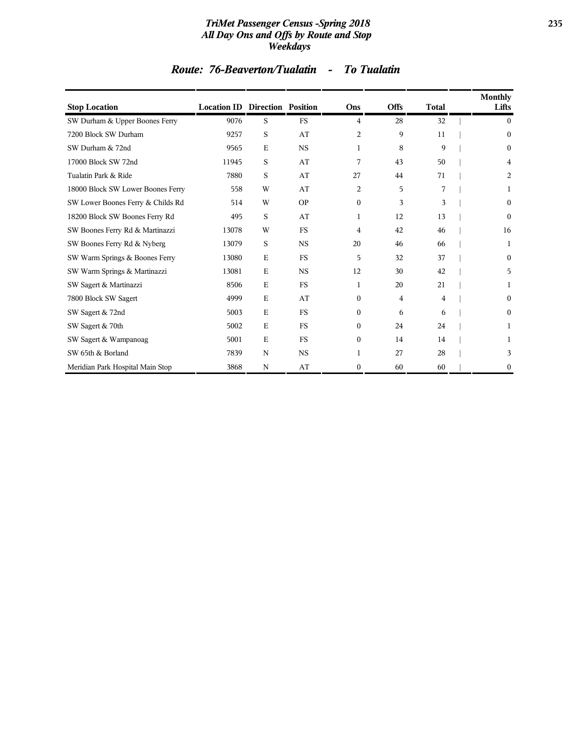### *TriMet Passenger Census -Spring 2018* **235** *All Day Ons and Offs by Route and Stop Weekdays*

| <b>Stop Location</b>              | <b>Location ID Direction Position</b> |             |           | Ons            | <b>Offs</b> | <b>Total</b> | Monthly<br>Lifts |
|-----------------------------------|---------------------------------------|-------------|-----------|----------------|-------------|--------------|------------------|
| SW Durham & Upper Boones Ferry    | 9076                                  | S           | <b>FS</b> | $\overline{4}$ | 28          | 32           | $\Omega$         |
| 7200 Block SW Durham              | 9257                                  | S           | AT        | 2              | 9           | 11           | $\mathbf{0}$     |
| SW Durham & 72nd                  | 9565                                  | $\mathbf E$ | <b>NS</b> | 1              | 8           | 9            | $\boldsymbol{0}$ |
| 17000 Block SW 72nd               | 11945                                 | S           | AT        | 7              | 43          | 50           | 4                |
| Tualatin Park & Ride              | 7880                                  | S           | AT        | 27             | 44          | 71           | 2                |
| 18000 Block SW Lower Boones Ferry | 558                                   | W           | AT        | 2              | 5           | 7            | 1                |
| SW Lower Boones Ferry & Childs Rd | 514                                   | W           | <b>OP</b> | $\mathbf{0}$   | 3           | 3            | $\boldsymbol{0}$ |
| 18200 Block SW Boones Ferry Rd    | 495                                   | S           | AT        | 1              | 12          | 13           | $\mathbf{0}$     |
| SW Boones Ferry Rd & Martinazzi   | 13078                                 | W           | <b>FS</b> | 4              | 42          | 46           | 16               |
| SW Boones Ferry Rd & Nyberg       | 13079                                 | S           | <b>NS</b> | 20             | 46          | 66           | 1                |
| SW Warm Springs & Boones Ferry    | 13080                                 | Ε           | <b>FS</b> | 5              | 32          | 37           | $\theta$         |
| SW Warm Springs & Martinazzi      | 13081                                 | E           | <b>NS</b> | 12             | 30          | 42           | 5                |
| SW Sagert & Martinazzi            | 8506                                  | $\mathbf E$ | <b>FS</b> | 1              | 20          | 21           | 1                |
| 7800 Block SW Sagert              | 4999                                  | $\mathbf E$ | AT        | $\theta$       | 4           | 4            | 0                |
| SW Sagert & 72nd                  | 5003                                  | E           | <b>FS</b> | $\theta$       | 6           | 6            | 0                |
| SW Sagert & 70th                  | 5002                                  | $\mathbf E$ | <b>FS</b> | $\theta$       | 24          | 24           | 1                |
| SW Sagert & Wampanoag             | 5001                                  | $\mathbf E$ | <b>FS</b> | $\overline{0}$ | 14          | 14           |                  |
| SW 65th & Borland                 | 7839                                  | N           | <b>NS</b> |                | 27          | 28           | 3                |
| Meridian Park Hospital Main Stop  | 3868                                  | N           | AT        | $\mathbf{0}$   | 60          | 60           | $\mathbf{0}$     |

## *Route: 76-Beaverton/Tualatin - To Tualatin*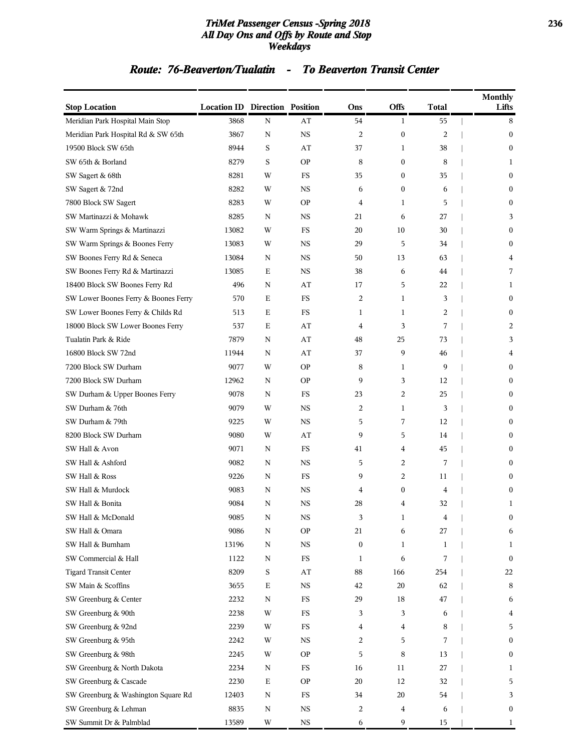### *TriMet Passenger Census -Spring 2018* **236** *All Day Ons and Offs by Route and Stop Weekdays*

### *Route: 76-Beaverton/Tualatin - To Beaverton Transit Center*

| <b>Stop Location</b>                 | <b>Location ID Direction Position</b> |             |                        | Ons              | <b>Offs</b>      | <b>Total</b> | <b>Monthly</b><br>Lifts |
|--------------------------------------|---------------------------------------|-------------|------------------------|------------------|------------------|--------------|-------------------------|
| Meridian Park Hospital Main Stop     | 3868                                  | N           | AT                     | 54               | $\mathbf{1}$     | 55           | 8                       |
| Meridian Park Hospital Rd & SW 65th  | 3867                                  | N           | <b>NS</b>              | 2                | $\boldsymbol{0}$ | 2            | $\boldsymbol{0}$        |
| 19500 Block SW 65th                  | 8944                                  | S           | AT                     | 37               | 1                | 38           | $\mathbf{0}$            |
| SW 65th & Borland                    | 8279                                  | S           | <b>OP</b>              | 8                | $\boldsymbol{0}$ | 8            | 1                       |
| SW Sagert & 68th                     | 8281                                  | W           | <b>FS</b>              | 35               | $\boldsymbol{0}$ | 35           | $\mathbf{0}$            |
| SW Sagert & 72nd                     | 8282                                  | W           | <b>NS</b>              | 6                | $\boldsymbol{0}$ | 6            | $\mathbf{0}$            |
| 7800 Block SW Sagert                 | 8283                                  | W           | <b>OP</b>              | 4                | 1                | 5            | 0                       |
| SW Martinazzi & Mohawk               | 8285                                  | N           | <b>NS</b>              | 21               | 6                | 27           | 3                       |
| SW Warm Springs & Martinazzi         | 13082                                 | W           | FS                     | 20               | 10               | 30           | $\mathbf{0}$            |
| SW Warm Springs & Boones Ferry       | 13083                                 | W           | <b>NS</b>              | 29               | 5                | 34           | $\mathbf{0}$            |
| SW Boones Ferry Rd & Seneca          | 13084                                 | N           | <b>NS</b>              | 50               | 13               | 63           | 4                       |
| SW Boones Ferry Rd & Martinazzi      | 13085                                 | Е           | <b>NS</b>              | 38               | 6                | 44           | 7                       |
| 18400 Block SW Boones Ferry Rd       | 496                                   | N           | AT                     | 17               | 5                | 22           | 1                       |
| SW Lower Boones Ferry & Boones Ferry | 570                                   | E           | FS                     | 2                | 1                | 3            | $\mathbf{0}$            |
| SW Lower Boones Ferry & Childs Rd    | 513                                   | E           | FS                     | 1                | 1                | 2            | $\boldsymbol{0}$        |
| 18000 Block SW Lower Boones Ferry    | 537                                   | E           | AT                     | $\overline{4}$   | 3                | 7            | 2                       |
| Tualatin Park & Ride                 | 7879                                  | N           | AT                     | 48               | 25               | 73           | 3                       |
| 16800 Block SW 72nd                  | 11944                                 | N           | $\mathbf{A}\mathbf{T}$ | 37               | 9                | 46           | 4                       |
| 7200 Block SW Durham                 | 9077                                  | W           | <b>OP</b>              | 8                | 1                | 9            | $\mathbf{0}$            |
| 7200 Block SW Durham                 | 12962                                 | N           | <b>OP</b>              | 9                | 3                | 12           | $\mathbf{0}$            |
| SW Durham & Upper Boones Ferry       | 9078                                  | N           | FS                     | 23               | 2                | 25           | $\mathbf{0}$            |
| SW Durham & 76th                     | 9079                                  | W           | <b>NS</b>              | 2                | 1                | 3            | 0                       |
| SW Durham & 79th                     | 9225                                  | W           | <b>NS</b>              | 5                | 7                | 12           | $\mathbf{0}$            |
| 8200 Block SW Durham                 | 9080                                  | W           | AT                     | 9                | 5                | 14           | $\mathbf{0}$            |
| SW Hall & Avon                       | 9071                                  | N           | FS                     | 41               | 4                | 45           | $\boldsymbol{0}$        |
| SW Hall & Ashford                    | 9082                                  | N           | <b>NS</b>              | 5                | 2                | 7            | $\mathbf{0}$            |
| SW Hall & Ross                       | 9226                                  | N           | FS                     | 9                | 2                | 11           | 0                       |
| SW Hall & Murdock                    | 9083                                  | N           | <b>NS</b>              | 4                | $\boldsymbol{0}$ | 4            | $\boldsymbol{0}$        |
| SW Hall & Bonita                     | 9084                                  | N           | <b>NS</b>              | 28               | 4                | 32           | 1                       |
| SW Hall & McDonald                   | 9085                                  | N           | NS                     | 3                | 1                | 4            | 0                       |
| SW Hall & Omara                      | 9086                                  | N           | <b>OP</b>              | 21               | 6                | 27           | 6                       |
| SW Hall & Burnham                    | 13196                                 | N           | $_{\rm NS}$            | $\boldsymbol{0}$ | 1                | 1            | 1                       |
| SW Commercial & Hall                 | 1122                                  | N           | $_{\rm FS}$            | 1                | 6                | 7            | $\mathbf{0}$            |
| <b>Tigard Transit Center</b>         | 8209                                  | S           | $\bf AT$               | 88               | 166              | 254          | 22                      |
| SW Main & Scoffins                   | 3655                                  | $\mathbf E$ | $_{\rm NS}$            | 42               | 20               | 62           | 8                       |
| SW Greenburg & Center                | 2232                                  | ${\bf N}$   | FS                     | 29               | 18               | 47           | 6                       |
| SW Greenburg & 90th                  | 2238                                  | W           | $_{\rm FS}$            | 3                | 3                | 6            | 4                       |
| SW Greenburg & 92nd                  | 2239                                  | W           | $_{\rm FS}$            | 4                | 4                | 8            | 5                       |
| SW Greenburg & 95th                  | 2242                                  | W           | $_{\rm NS}$            | 2                | 5                | 7            | $\boldsymbol{0}$        |
| SW Greenburg & 98th                  | 2245                                  | W           | <b>OP</b>              | 5                | 8                | 13           | $\boldsymbol{0}$        |
| SW Greenburg & North Dakota          | 2234                                  | N           | FS                     | 16               | 11               | 27           | 1                       |
| SW Greenburg & Cascade               | 2230                                  | Ε           | <b>OP</b>              | 20               | 12               | 32           | 5                       |
| SW Greenburg & Washington Square Rd  | 12403                                 | N           | $_{\rm FS}$            | 34               | 20               | 54           | 3                       |
| SW Greenburg & Lehman                | 8835                                  | N           | <b>NS</b>              | 2                | 4                | 6            | $\boldsymbol{0}$        |
| SW Summit Dr & Palmblad              | 13589                                 | W           | $_{\rm NS}$            | 6                | 9                | 15           | 1                       |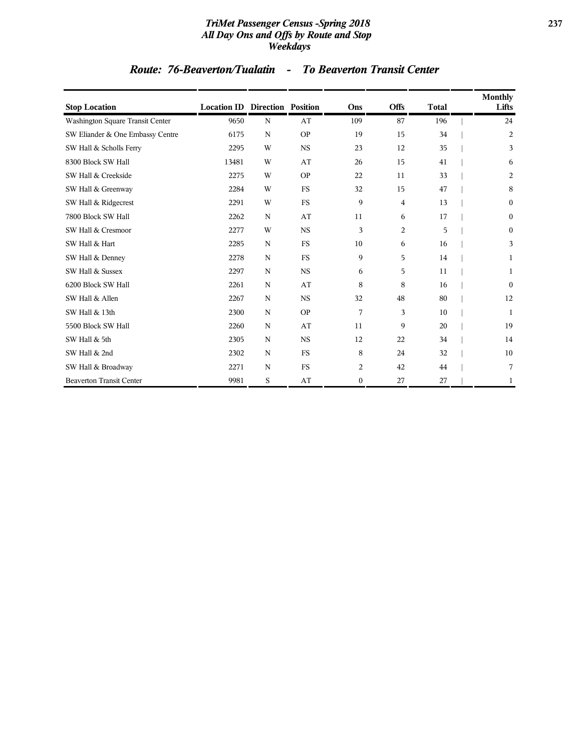### *TriMet Passenger Census -Spring 2018* **237** *All Day Ons and Offs by Route and Stop Weekdays*

### *Route: 76-Beaverton/Tualatin - To Beaverton Transit Center*

| <b>Stop Location</b>             | <b>Location ID Direction Position</b> |             |                      | Ons              | Offs | <b>Total</b> | Monthly<br>Lifts |
|----------------------------------|---------------------------------------|-------------|----------------------|------------------|------|--------------|------------------|
| Washington Square Transit Center | 9650                                  | $\mathbf N$ | AT                   | 109              | 87   | 196          | 24               |
| SW Eliander & One Embassy Centre | 6175                                  | $\mathbf N$ | <b>OP</b>            | 19               | 15   | 34           | $\overline{a}$   |
| SW Hall & Scholls Ferry          | 2295                                  | W           | <b>NS</b>            | 23               | 12   | 35           | 3                |
| 8300 Block SW Hall               | 13481                                 | W           | AT                   | 26               | 15   | 41           | 6                |
| SW Hall & Creekside              | 2275                                  | W           | <b>OP</b>            | 22               | 11   | 33           | 2                |
| SW Hall & Greenway               | 2284                                  | W           | <b>FS</b>            | 32               | 15   | 47           | 8                |
| SW Hall & Ridgecrest             | 2291                                  | W           | <b>FS</b>            | 9                | 4    | 13           | $\mathbf{0}$     |
| 7800 Block SW Hall               | 2262                                  | ${\bf N}$   | AT                   | 11               | 6    | 17           | $\boldsymbol{0}$ |
| SW Hall & Cresmoor               | 2277                                  | W           | <b>NS</b>            | 3                | 2    | 5            | $\mathbf{0}$     |
| SW Hall & Hart                   | 2285                                  | N           | <b>FS</b>            | 10               | 6    | 16           | 3                |
| SW Hall & Denney                 | 2278                                  | N           | <b>FS</b>            | 9                | 5    | 14           | 1                |
| SW Hall & Sussex                 | 2297                                  | $\mathbf N$ | $_{\rm NS}$          | 6                | 5    | 11           | 1                |
| 6200 Block SW Hall               | 2261                                  | ${\bf N}$   | AT                   | 8                | 8    | 16           | $\theta$         |
| SW Hall & Allen                  | 2267                                  | ${\bf N}$   | <b>NS</b>            | 32               | 48   | 80           | 12               |
| SW Hall & 13th                   | 2300                                  | ${\bf N}$   | <b>OP</b>            | 7                | 3    | 10           | 1                |
| 5500 Block SW Hall               | 2260                                  | N           | AT                   | 11               | 9    | 20           | 19               |
| SW Hall & 5th                    | 2305                                  | N           | <b>NS</b>            | 12               | 22   | 34           | 14               |
| SW Hall & 2nd                    | 2302                                  | ${\bf N}$   | <b>FS</b>            | 8                | 24   | 32           | 10               |
| SW Hall & Broadway               | 2271                                  | $\mathbf N$ | $\mathop{\text{FS}}$ | 2                | 42   | 44           | 7                |
| <b>Beaverton Transit Center</b>  | 9981                                  | S           | AT                   | $\boldsymbol{0}$ | 27   | 27           | 1                |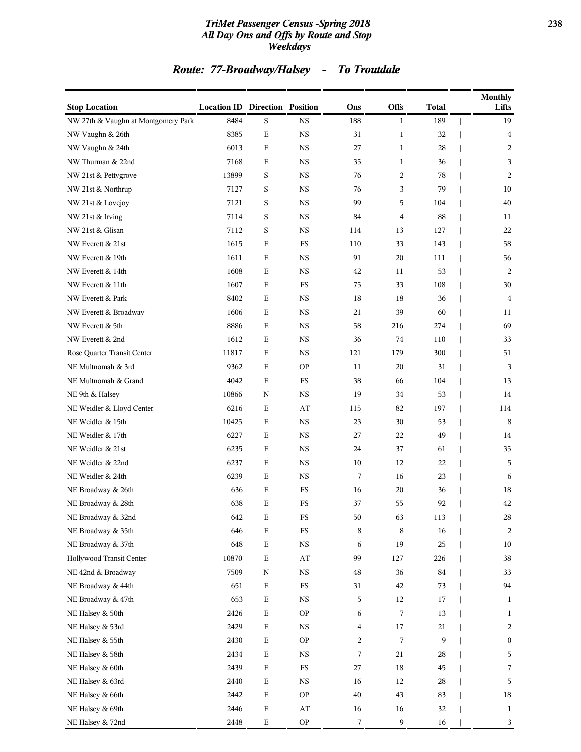### *TriMet Passenger Census -Spring 2018* **238** *All Day Ons and Offs by Route and Stop Weekdays*

## *Route: 77-Broadway/Halsey - To Troutdale*

| <b>Stop Location</b>                | <b>Location ID Direction Position</b> |             |                          | Ons            | Offs           | <b>Total</b> | <b>Monthly</b><br>Lifts |
|-------------------------------------|---------------------------------------|-------------|--------------------------|----------------|----------------|--------------|-------------------------|
| NW 27th & Vaughn at Montgomery Park | 8484                                  | S           | <b>NS</b>                | 188            | $\mathbf{1}$   | 189          | 19                      |
| NW Vaughn & 26th                    | 8385                                  | $\mathbf E$ | $_{\rm NS}$              | 31             | $\mathbf{1}$   | 32           | $\overline{4}$          |
| NW Vaughn & 24th                    | 6013                                  | Ε           | <b>NS</b>                | 27             | $\mathbf{1}$   | 28           | 2                       |
| NW Thurman & 22nd                   | 7168                                  | Ε           | <b>NS</b>                | 35             | $\mathbf{1}$   | 36           | 3                       |
| NW 21st & Pettygrove                | 13899                                 | S           | <b>NS</b>                | 76             | $\overline{2}$ | 78           | 2                       |
| NW 21st & Northrup                  | 7127                                  | S           | <b>NS</b>                | 76             | 3              | 79           | 10                      |
| NW 21st & Lovejoy                   | 7121                                  | S           | <b>NS</b>                | 99             | 5              | 104          | 40                      |
| NW 21st & Irving                    | 7114                                  | S           | <b>NS</b>                | 84             | $\overline{4}$ | 88           | 11                      |
| NW 21st & Glisan                    | 7112                                  | S           | <b>NS</b>                | 114            | 13             | 127          | 22                      |
| NW Everett & 21st                   | 1615                                  | Ε           | FS                       | 110            | 33             | 143          | 58                      |
| NW Everett & 19th                   | 1611                                  | $\mathbf E$ | <b>NS</b>                | 91             | 20             | 111          | 56                      |
| NW Everett & 14th                   | 1608                                  | Ε           | <b>NS</b>                | 42             | 11             | 53           | 2                       |
| NW Everett & 11th                   | 1607                                  | Ε           | FS                       | 75             | 33             | 108          | 30                      |
| NW Everett & Park                   | 8402                                  | E           | <b>NS</b>                | 18             | 18             | 36           | 4                       |
| NW Everett & Broadway               | 1606                                  | Ε           | <b>NS</b>                | 21             | 39             | 60           | 11                      |
| NW Everett & 5th                    | 8886                                  | $\mathbf E$ | $_{\rm NS}$              | 58             | 216            | 274          | 69                      |
| NW Everett & 2nd                    | 1612                                  | Ε           | <b>NS</b>                | 36             | 74             | 110          | 33                      |
| Rose Quarter Transit Center         | 11817                                 | Ε           | <b>NS</b>                | 121            | 179            | 300          | 51                      |
| NE Multnomah & 3rd                  | 9362                                  | Ε           | <b>OP</b>                | 11             | 20             | 31           | 3                       |
| NE Multnomah & Grand                | 4042                                  | Ε           | FS                       | 38             | 66             | 104          | 13                      |
| NE 9th & Halsey                     | 10866                                 | N           | <b>NS</b>                | 19             | 34             | 53           | 14                      |
| NE Weidler & Lloyd Center           | 6216                                  | $\mathbf E$ | AT                       | 115            | 82             | 197          | 114                     |
| NE Weidler & 15th                   | 10425                                 | Ε           | <b>NS</b>                | 23             | 30             | 53           | 8                       |
| NE Weidler & 17th                   | 6227                                  | Ε           | <b>NS</b>                | 27             | 22             | 49           | 14                      |
| NE Weidler & 21st                   | 6235                                  | Ε           | <b>NS</b>                | 24             | 37             | 61           | 35                      |
| NE Weidler & 22nd                   | 6237                                  | $\mathbf E$ | <b>NS</b>                | 10             | 12             | 22           | 5                       |
| NE Weidler & 24th                   | 6239                                  | Ε           | <b>NS</b>                | 7              | 16             | 23           | 6                       |
| NE Broadway & 26th                  | 636                                   | Ε           | FS                       | 16             | 20             | 36           | 18                      |
| NE Broadway & 28th                  | 638                                   | Ε           | FS                       | 37             | 55             | 92           | 42                      |
| NE Broadway & 32nd                  | 642                                   | Ε           | FS                       | 50             | 63             | 113          | 28                      |
| NE Broadway & 35th                  | 646                                   | $\mathbf E$ | $_{\rm FS}$              | 8              | 8              | 16           | $\overline{2}$          |
| NE Broadway & 37th                  | 648                                   | $\mathbf E$ | $_{\rm NS}$              | 6              | 19             | 25           | 10                      |
| Hollywood Transit Center            | 10870                                 | $\mathbf E$ | $\mathbf{A}\mathbf{T}$   | 99             | 127            | 226          | 38                      |
| NE 42nd & Broadway                  | 7509                                  | $\mathbf N$ | $_{\rm NS}$              | 48             | 36             | 84           | 33                      |
| NE Broadway & 44th                  | 651                                   | $\mathbf E$ | $_{\rm FS}$              | 31             | 42             | 73           | 94                      |
| NE Broadway & 47th                  | 653                                   | $\mathbf E$ | $_{\rm NS}$              | $\sqrt{5}$     | 12             | 17           | 1                       |
| NE Halsey & 50th                    | 2426                                  | $\mathbf E$ | <b>OP</b>                | 6              | 7              | 13           | 1                       |
| NE Halsey & 53rd                    | 2429                                  | $\mathbf E$ | $_{\rm NS}$              | $\overline{4}$ | 17             | 21           | $\overline{c}$          |
| NE Halsey & 55th                    | 2430                                  | $\mathbf E$ | <b>OP</b>                | 2              | 7              | 9            | $\boldsymbol{0}$        |
| NE Halsey & 58th                    | 2434                                  | $\mathbf E$ | $_{\rm NS}$              | 7              | 21             | 28           | 5                       |
| NE Halsey & 60th                    | 2439                                  | $\mathbf E$ | $_{\rm FS}$              | 27             | 18             | 45           | $\overline{7}$          |
| NE Halsey & 63rd                    | 2440                                  | $\mathbf E$ | $_{\rm NS}$              | 16             | 12             | 28           | 5                       |
| NE Halsey & 66th                    | 2442                                  | $\mathbf E$ | <b>OP</b>                | 40             | 43             | 83           | 18                      |
| NE Halsey & 69th                    | 2446                                  | $\mathbf E$ | $\mathbf{A}\mathbf{T}$   | 16             | 16             | 32           | $\mathbf{1}$            |
| NE Halsey & 72nd                    | 2448                                  | $\mathbf E$ | $\mathcal{O}\mathcal{P}$ | 7              | 9              | 16           | $\mathbf{3}$            |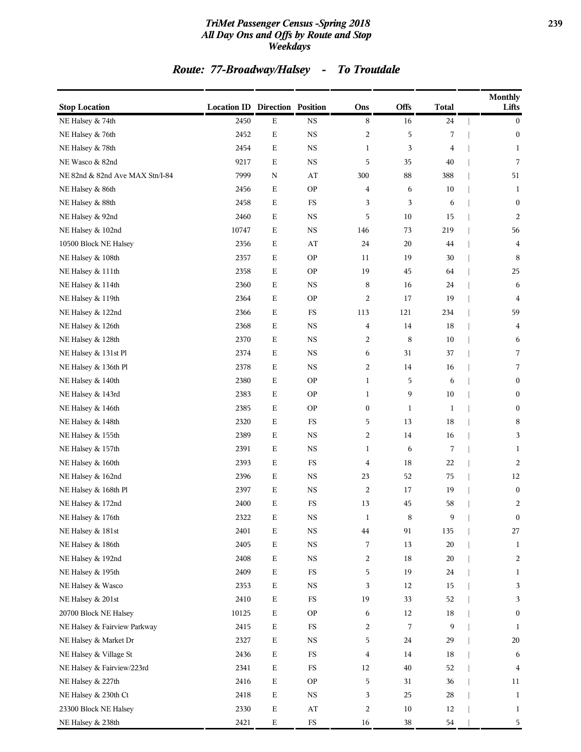### *TriMet Passenger Census -Spring 2018* **239** *All Day Ons and Offs by Route and Stop Weekdays*

## *Route: 77-Broadway/Halsey - To Troutdale*

| <b>Stop Location</b>            | <b>Location ID Direction Position</b> |             |             | Ons              | Offs   | <b>Total</b> | <b>Monthly</b><br>Lifts |
|---------------------------------|---------------------------------------|-------------|-------------|------------------|--------|--------------|-------------------------|
| NE Halsey & 74th                | 2450                                  | $\mathbf E$ | <b>NS</b>   | 8                | 16     | 24           | $\bf{0}$                |
| NE Halsey & 76th                | 2452                                  | E           | $_{\rm NS}$ | $\overline{c}$   | 5      | 7            | $\bf{0}$                |
| NE Halsey & 78th                | 2454                                  | E           | <b>NS</b>   | $\mathbf{1}$     | 3      | 4            | $\mathbf{1}$            |
| NE Wasco & 82nd                 | 9217                                  | Е           | NS          | 5                | 35     | 40           | 7                       |
| NE 82nd & 82nd Ave MAX Stn/I-84 | 7999                                  | N           | AT          | 300              | 88     | 388          | 51                      |
| NE Halsey & 86th                | 2456                                  | Ε           | <b>OP</b>   | 4                | 6      | 10           | 1                       |
| NE Halsey & 88th                | 2458                                  | Ε           | $_{\rm FS}$ | 3                | 3      | 6            | $\bf{0}$                |
| NE Halsey & 92nd                | 2460                                  | $\mathbf E$ | <b>NS</b>   | 5                | 10     | 15           | 2                       |
| NE Halsey & 102nd               | 10747                                 | Ε           | <b>NS</b>   | 146              | 73     | 219          | 56                      |
| 10500 Block NE Halsey           | 2356                                  | $\mathbf E$ | AT          | 24               | 20     | 44           | 4                       |
| NE Halsey & 108th               | 2357                                  | E           | <b>OP</b>   | 11               | 19     | 30           | 8                       |
| NE Halsey & 111th               | 2358                                  | Ε           | <b>OP</b>   | 19               | 45     | 64           | 25                      |
| NE Halsey & 114th               | 2360                                  | $\mathbf E$ | <b>NS</b>   | 8                | 16     | 24           | 6                       |
| NE Halsey & 119th               | 2364                                  | Ε           | <b>OP</b>   | 2                | 17     | 19           | $\overline{4}$          |
| NE Halsey & 122nd               | 2366                                  | Ε           | $_{\rm FS}$ | 113              | 121    | 234          | 59                      |
| NE Halsey & 126th               | 2368                                  | E           | <b>NS</b>   | 4                | 14     | 18           | 4                       |
| NE Halsey & 128th               | 2370                                  | Ε           | <b>NS</b>   | 2                | 8      | 10           | 6                       |
| NE Halsey & 131st Pl            | 2374                                  | E           | <b>NS</b>   | 6                | 31     | 37           | 7                       |
| NE Halsey & 136th Pl            | 2378                                  | Е           | NS          | 2                | 14     | 16           | 7                       |
| NE Halsey & 140th               | 2380                                  | E           | <b>OP</b>   | $\mathbf{1}$     | 5      | 6            | $\mathbf{0}$            |
| NE Halsey & 143rd               | 2383                                  | Ε           | <b>OP</b>   | 1                | 9      | 10           | $\bf{0}$                |
| NE Halsey & 146th               | 2385                                  | Ε           | <b>OP</b>   | $\boldsymbol{0}$ | 1      | 1            | $\boldsymbol{0}$        |
| NE Halsey & 148th               | 2320                                  | $\mathbf E$ | $_{\rm FS}$ | 5                | 13     | 18           | 8                       |
| NE Halsey & 155th               | 2389                                  | Е           | <b>NS</b>   | 2                | 14     | 16           | 3                       |
| NE Halsey & 157th               | 2391                                  | E           | <b>NS</b>   | $\mathbf{1}$     | 6      | 7            | 1                       |
| NE Halsey & 160th               | 2393                                  | Ε           | $_{\rm FS}$ | 4                | 18     | 22           | 2                       |
| NE Halsey & 162nd               | 2396                                  | Ε           | <b>NS</b>   | 23               | 52     | 75           | 12                      |
| NE Halsey & 168th Pl            | 2397                                  | Ε           | <b>NS</b>   | $\overline{c}$   | 17     | 19           | $\boldsymbol{0}$        |
| NE Halsey & 172nd               | 2400                                  | Ε           | $_{\rm FS}$ | 13               | 45     | 58           | 2                       |
| NE Halsey & 176th               | 2322                                  | $\mathbf E$ | $_{\rm NS}$ | $\mathbf{1}$     | 8      | 9            | $\bf{0}$                |
| NE Halsey & 181st               | 2401                                  | $\mathbf E$ | $_{\rm NS}$ | $\bf 44$         | 91     | 135          | 27                      |
| NE Halsey & 186th               | 2405                                  | $\mathbf E$ | $_{\rm NS}$ | 7                | 13     | 20           | 1                       |
| NE Halsey & 192nd               | 2408                                  | $\mathbf E$ | <b>NS</b>   | 2                | 18     | 20           | 2                       |
| NE Halsey & 195th               | 2409                                  | $\mathbf E$ | FS          | 5                | 19     | 24           | $\mathbf{1}$            |
| NE Halsey & Wasco               | 2353                                  | $\mathbf E$ | $_{\rm NS}$ | 3                | 12     | 15           | 3                       |
| NE Halsey & 201st               | 2410                                  | $\mathbf E$ | $_{\rm FS}$ | 19               | 33     | 52           | 3                       |
| 20700 Block NE Halsey           | 10125                                 | $\mathbf E$ | <b>OP</b>   | 6                | 12     | 18           | $\boldsymbol{0}$        |
| NE Halsey & Fairview Parkway    | 2415                                  | $\mathbf E$ | $_{\rm FS}$ | 2                | 7      | 9            | 1                       |
| NE Halsey & Market Dr           | 2327                                  | $\mathbf E$ | <b>NS</b>   | 5                | 24     | 29           | 20                      |
| NE Halsey & Village St          | 2436                                  | $\mathbf E$ | $_{\rm FS}$ | 4                | 14     | 18           | 6                       |
| NE Halsey & Fairview/223rd      | 2341                                  | $\mathbf E$ | $_{\rm FS}$ | 12               | 40     | 52           | 4                       |
| NE Halsey & 227th               | 2416                                  | $\mathbf E$ | <b>OP</b>   | 5                | 31     | 36           | 11                      |
| NE Halsey & 230th Ct            | 2418                                  | $\mathbf E$ | <b>NS</b>   | 3                | 25     | 28           | 1                       |
| 23300 Block NE Halsey           | 2330                                  | $\mathbf E$ | $\rm AT$    | 2                | $10\,$ | 12           | $\mathbf{1}$            |
| NE Halsey & 238th               | 2421                                  | $\mathbf E$ | $_{\rm FS}$ | 16               | 38     | 54           | 5                       |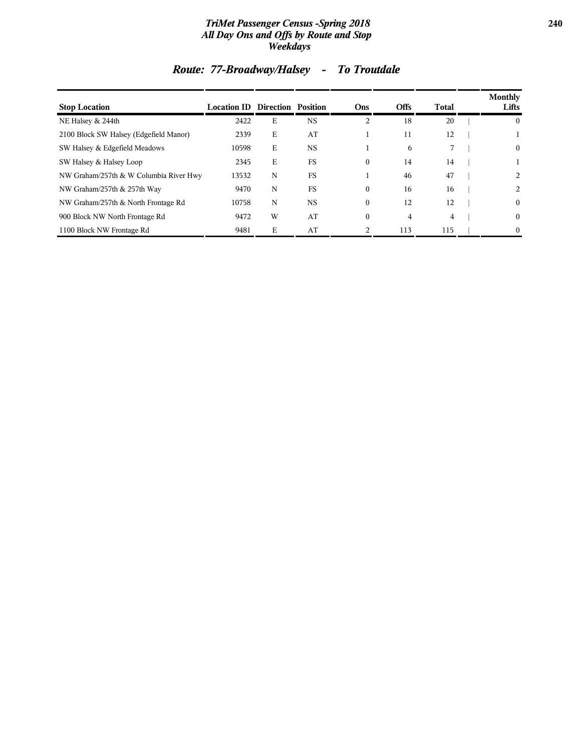### *TriMet Passenger Census -Spring 2018* **240** *All Day Ons and Offs by Route and Stop Weekdays*

| <b>Stop Location</b>                   | <b>Location ID Direction Position</b> |   |           | Ons            | <b>Offs</b> | <b>Total</b> | <b>Monthly</b><br>Lifts |
|----------------------------------------|---------------------------------------|---|-----------|----------------|-------------|--------------|-------------------------|
| NE Halsey & 244th                      | 2422                                  | E | <b>NS</b> | $\overline{c}$ | 18          | 20           | $\overline{0}$          |
| 2100 Block SW Halsey (Edgefield Manor) | 2339                                  | E | AT        |                | 11          | 12           |                         |
| SW Halsey & Edgefield Meadows          | 10598                                 | Ε | <b>NS</b> |                | 6           | 7            | $\overline{0}$          |
| SW Halsey & Halsey Loop                | 2345                                  | E | <b>FS</b> | $\mathbf{0}$   | 14          | 14           |                         |
| NW Graham/257th & W Columbia River Hwy | 13532                                 | N | FS        |                | 46          | 47           | 2                       |
| NW Graham/257th & 257th Way            | 9470                                  | N | FS        | $\mathbf{0}$   | 16          | 16           | 2                       |
| NW Graham/257th & North Frontage Rd    | 10758                                 | N | <b>NS</b> | $\Omega$       | 12          | 12           | $\overline{0}$          |
| 900 Block NW North Frontage Rd         | 9472                                  | W | AT        | $\mathbf{0}$   | 4           | 4            | $\overline{0}$          |
| 1100 Block NW Frontage Rd              | 9481                                  | E | AT        |                | 113         | 115          | $\overline{0}$          |

## *Route: 77-Broadway/Halsey - To Troutdale*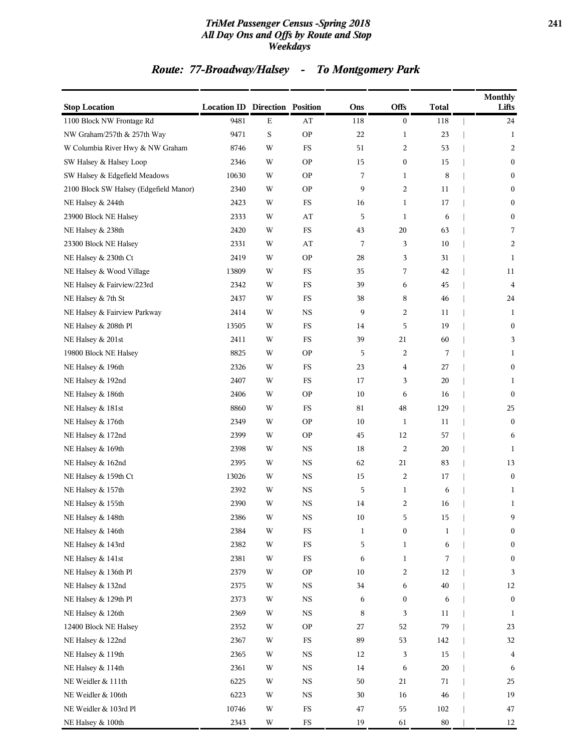### *TriMet Passenger Census -Spring 2018* **241** *All Day Ons and Offs by Route and Stop Weekdays*

## *Route: 77-Broadway/Halsey - To Montgomery Park*

| <b>Stop Location</b>                   | <b>Location ID Direction Position</b> |             |             | Ons          | <b>Offs</b>  | <b>Total</b> | <b>Monthly</b><br>Lifts |
|----------------------------------------|---------------------------------------|-------------|-------------|--------------|--------------|--------------|-------------------------|
| 1100 Block NW Frontage Rd              | 9481                                  | $\mathbf E$ | AT          | 118          | 0            | 118          | 24                      |
| NW Graham/257th & 257th Way            | 9471                                  | S           | <b>OP</b>   | $22\,$       | 1            | 23           | 1                       |
| W Columbia River Hwy & NW Graham       | 8746                                  | W           | FS          | 51           | 2            | 53           | 2                       |
| SW Halsey & Halsey Loop                | 2346                                  | W           | <b>OP</b>   | 15           | 0            | 15           | $\boldsymbol{0}$        |
| SW Halsey & Edgefield Meadows          | 10630                                 | W           | <b>OP</b>   | 7            | 1            | 8            | $\bf{0}$                |
| 2100 Block SW Halsey (Edgefield Manor) | 2340                                  | W           | <b>OP</b>   | 9            | 2            | 11           | $\bf{0}$                |
| NE Halsey & 244th                      | 2423                                  | W           | <b>FS</b>   | 16           | 1            | 17           | $\boldsymbol{0}$        |
| 23900 Block NE Halsey                  | 2333                                  | W           | AT          | 5            | 1            | 6            | $\bf{0}$                |
| NE Halsey & 238th                      | 2420                                  | W           | $_{\rm FS}$ | 43           | 20           | 63           | 7                       |
| 23300 Block NE Halsey                  | 2331                                  | W           | AT          | 7            | 3            | 10           | 2                       |
| NE Halsey & 230th Ct                   | 2419                                  | W           | <b>OP</b>   | 28           | 3            | 31           | 1                       |
| NE Halsey & Wood Village               | 13809                                 | W           | FS          | 35           | 7            | 42           | 11                      |
| NE Halsey & Fairview/223rd             | 2342                                  | W           | FS          | 39           | 6            | 45           | 4                       |
| NE Halsey & 7th St                     | 2437                                  | W           | FS          | 38           | 8            | 46           | 24                      |
| NE Halsey & Fairview Parkway           | 2414                                  | W           | <b>NS</b>   | 9            | 2            | 11           | 1                       |
| NE Halsey & 208th Pl                   | 13505                                 | W           | FS          | 14           | 5            | 19           | $\boldsymbol{0}$        |
| NE Halsey & 201st                      | 2411                                  | W           | FS          | 39           | 21           | 60           | 3                       |
| 19800 Block NE Halsey                  | 8825                                  | W           | <b>OP</b>   | 5            | 2            | 7            | 1                       |
| NE Halsey & 196th                      | 2326                                  | W           | FS          | 23           | 4            | 27           | $\bf{0}$                |
| NE Halsey & 192nd                      | 2407                                  | W           | <b>FS</b>   | 17           | 3            | 20           | 1                       |
| NE Halsey & 186th                      | 2406                                  | W           | <b>OP</b>   | 10           | 6            | 16           | $\boldsymbol{0}$        |
| NE Halsey & 181st                      | 8860                                  | W           | <b>FS</b>   | 81           | $\rm 48$     | 129          | 25                      |
| NE Halsey & 176th                      | 2349                                  | W           | <b>OP</b>   | 10           | $\mathbf{1}$ | 11           | $\bf{0}$                |
| NE Halsey & 172nd                      | 2399                                  | W           | <b>OP</b>   | 45           | 12           | 57           | 6                       |
| NE Halsey & 169th                      | 2398                                  | W           | <b>NS</b>   | 18           | 2            | 20           | 1                       |
| NE Halsey & 162nd                      | 2395                                  | W           | <b>NS</b>   | 62           | 21           | 83           | 13                      |
| NE Halsey & 159th Ct                   | 13026                                 | W           | $_{\rm NS}$ | 15           | 2            | 17           | $\boldsymbol{0}$        |
| NE Halsey & 157th                      | 2392                                  | W           | $_{\rm NS}$ | 5            | 1            | 6            | $\mathbf{1}$            |
| NE Halsey & 155th                      | 2390                                  | W           | NS          | 14           | 2            | 16           | 1                       |
| NE Halsey & 148th                      | 2386                                  | W           | NS.         | 10           | 5            | 15           | 9                       |
| NE Halsey & 146th                      | 2384                                  | W           | $_{\rm FS}$ | $\mathbf{1}$ | 0            | $\mathbf{1}$ | $\boldsymbol{0}$        |
| NE Halsey & 143rd                      | 2382                                  | W           | $_{\rm FS}$ | 5            | $\mathbf{1}$ | 6            | $\boldsymbol{0}$        |
| NE Halsey & 141st                      | 2381                                  | W           | $_{\rm FS}$ | 6            | $\mathbf{1}$ | 7            | $\boldsymbol{0}$        |
| NE Halsey & 136th Pl                   | 2379                                  | W           | <b>OP</b>   | 10           | 2            | 12           | 3                       |
| NE Halsey & 132nd                      | 2375                                  | W           | $_{\rm NS}$ | 34           | 6            | 40           | 12                      |
| NE Halsey & 129th Pl                   | 2373                                  | W           | $_{\rm NS}$ | 6            | 0            | 6            | $\boldsymbol{0}$        |
| NE Halsey & 126th                      | 2369                                  | W           | $_{\rm NS}$ | 8            | 3            | 11           | 1                       |
| 12400 Block NE Halsey                  | 2352                                  | W           | <b>OP</b>   | 27           | 52           | 79           | 23                      |
| NE Halsey & 122nd                      | 2367                                  | W           | $_{\rm FS}$ | 89           | 53           | 142          | 32                      |
| NE Halsey & 119th                      | 2365                                  | W           | $_{\rm NS}$ | 12           | 3            | 15           | $\overline{4}$          |
| NE Halsey & 114th                      | 2361                                  | W           | $_{\rm NS}$ | 14           | 6            | 20           | 6                       |
| NE Weidler & 111th                     | 6225                                  | W           | $_{\rm NS}$ | 50           | 21           | 71           | 25                      |
| NE Weidler & 106th                     | 6223                                  | W           | $_{\rm NS}$ | 30           | 16           | 46           | 19                      |
| NE Weidler & 103rd Pl                  | 10746                                 | W           | $_{\rm FS}$ | 47           | 55           | 102          | 47                      |
| NE Halsey & 100th                      | 2343                                  | W           | $_{\rm FS}$ | 19           | 61           | $80\,$       | 12                      |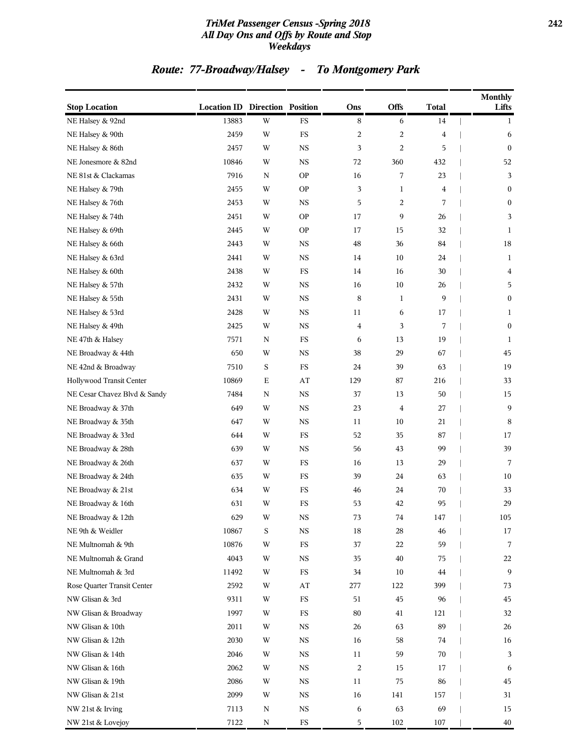### *TriMet Passenger Census -Spring 2018* **242** *All Day Ons and Offs by Route and Stop Weekdays*

## *Route: 77-Broadway/Halsey - To Montgomery Park*

| <b>Stop Location</b>         | <b>Location ID Direction Position</b> |             |             | Ons            | Offs           | <b>Total</b>   | <b>Monthly</b><br>Lifts                  |
|------------------------------|---------------------------------------|-------------|-------------|----------------|----------------|----------------|------------------------------------------|
| NE Halsey & 92nd             | 13883                                 | W           | <b>FS</b>   | 8              | 6              | $14\,$         | $\overline{\phantom{a}}$<br>$\mathbf{1}$ |
| NE Halsey & 90th             | 2459                                  | W           | FS          | $\overline{c}$ | $\overline{c}$ | $\overline{4}$ | 6                                        |
| NE Halsey & 86th             | 2457                                  | W           | <b>NS</b>   | 3              | 2              | 5              | $\boldsymbol{0}$                         |
| NE Jonesmore & 82nd          | 10846                                 | W           | <b>NS</b>   | 72             | 360            | 432            | 52                                       |
| NE 81st & Clackamas          | 7916                                  | $\mathbf N$ | <b>OP</b>   | 16             | 7              | 23             | 3                                        |
| NE Halsey & 79th             | 2455                                  | W           | <b>OP</b>   | 3              | 1              | $\overline{4}$ | $\boldsymbol{0}$                         |
| NE Halsey & 76th             | 2453                                  | W           | <b>NS</b>   | 5              | $\overline{c}$ | 7              | $\boldsymbol{0}$                         |
| NE Halsey & 74th             | 2451                                  | W           | <b>OP</b>   | 17             | 9              | 26             | 3                                        |
| NE Halsey & 69th             | 2445                                  | W           | <b>OP</b>   | 17             | 15             | 32             | 1                                        |
| NE Halsey & 66th             | 2443                                  | W           | <b>NS</b>   | 48             | 36             | 84             | 18                                       |
| NE Halsey & 63rd             | 2441                                  | W           | <b>NS</b>   | 14             | 10             | 24             | 1                                        |
| NE Halsey & 60th             | 2438                                  | W           | FS          | 14             | 16             | 30             | 4                                        |
| NE Halsey & 57th             | 2432                                  | W           | <b>NS</b>   | 16             | 10             | 26             | 5                                        |
| NE Halsey & 55th             | 2431                                  | W           | <b>NS</b>   | 8              | 1              | 9              | $\boldsymbol{0}$                         |
| NE Halsey & 53rd             | 2428                                  | W           | <b>NS</b>   | 11             | 6              | 17             | 1                                        |
| NE Halsey & 49th             | 2425                                  | W           | <b>NS</b>   | $\overline{4}$ | 3              | 7              | $\boldsymbol{0}$                         |
| NE 47th & Halsey             | 7571                                  | ${\bf N}$   | $_{\rm FS}$ | 6              | 13             | 19             | 1                                        |
| NE Broadway & 44th           | 650                                   | W           | <b>NS</b>   | 38             | 29             | 67             | 45                                       |
| NE 42nd & Broadway           | 7510                                  | S           | FS          | 24             | 39             | 63             | 19                                       |
| Hollywood Transit Center     | 10869                                 | E           | AT          | 129            | 87             | 216            | 33                                       |
| NE Cesar Chavez Blvd & Sandy | 7484                                  | N           | $_{\rm NS}$ | 37             | 13             | 50             | 15                                       |
| NE Broadway & 37th           | 649                                   | W           | <b>NS</b>   | 23             | $\overline{4}$ | 27             | 9                                        |
| NE Broadway & 35th           | 647                                   | W           | <b>NS</b>   | 11             | 10             | 21             | 8                                        |
| NE Broadway & 33rd           | 644                                   | W           | FS          | 52             | 35             | 87             | 17                                       |
| NE Broadway & 28th           | 639                                   | W           | <b>NS</b>   | 56             | 43             | 99             | 39                                       |
| NE Broadway & 26th           | 637                                   | W           | FS          | 16             | 13             | 29             | 7                                        |
| NE Broadway & 24th           | 635                                   | W           | FS          | 39             | 24             | 63             | 10                                       |
| NE Broadway & 21st           | 634                                   | W           | <b>FS</b>   | 46             | 24             | 70             | 33                                       |
| NE Broadway & 16th           | 631                                   | W           | <b>FS</b>   | 53             | 42             | 95             | 29                                       |
| NE Broadway & 12th           | 629                                   | W           | NS          | 73             | 74             | 147            | 105                                      |
| NE 9th & Weidler             | 10867                                 | S           | <b>NS</b>   | 18             | 28             | 46             | 17                                       |
| NE Multnomah & 9th           | 10876                                 | W           | $_{\rm FS}$ | 37             | 22             | 59             | 7                                        |
| NE Multnomah & Grand         | 4043                                  | W           | $_{\rm NS}$ | 35             | 40             | 75             | 22                                       |
| NE Multnomah & 3rd           | 11492                                 | W           | $_{\rm FS}$ | 34             | 10             | 44             | 9                                        |
| Rose Quarter Transit Center  | 2592                                  | W           | ${\rm AT}$  | 277            | 122            | 399            | 73                                       |
| NW Glisan & 3rd              | 9311                                  | W           | $_{\rm FS}$ | 51             | 45             | 96             | $45\,$                                   |
| NW Glisan & Broadway         | 1997                                  | W           | FS          | 80             | 41             | 121            | 32                                       |
| NW Glisan & 10th             | 2011                                  | W           | <b>NS</b>   | 26             | 63             | 89             | 26                                       |
| NW Glisan & 12th             | 2030                                  | W           | <b>NS</b>   | 16             | 58             | 74             | 16                                       |
| NW Glisan & 14th             | 2046                                  | W           | $_{\rm NS}$ | $11\,$         | 59             | 70             | 3                                        |
| NW Glisan & 16th             | 2062                                  | W           | $_{\rm NS}$ | $\overline{c}$ | 15             | 17             | 6                                        |
| NW Glisan & 19th             | 2086                                  | W           | <b>NS</b>   | 11             | 75             | 86             | 45                                       |
| NW Glisan & 21st             | 2099                                  | W           | $_{\rm NS}$ | 16             | 141            | 157            | 31                                       |
| NW 21st & Irving             | 7113                                  | N           | <b>NS</b>   | 6              | 63             | 69             | 15                                       |
| NW 21st & Lovejoy            | 7122                                  | ${\bf N}$   | ${\rm FS}$  | 5              | 102            | 107            | 40                                       |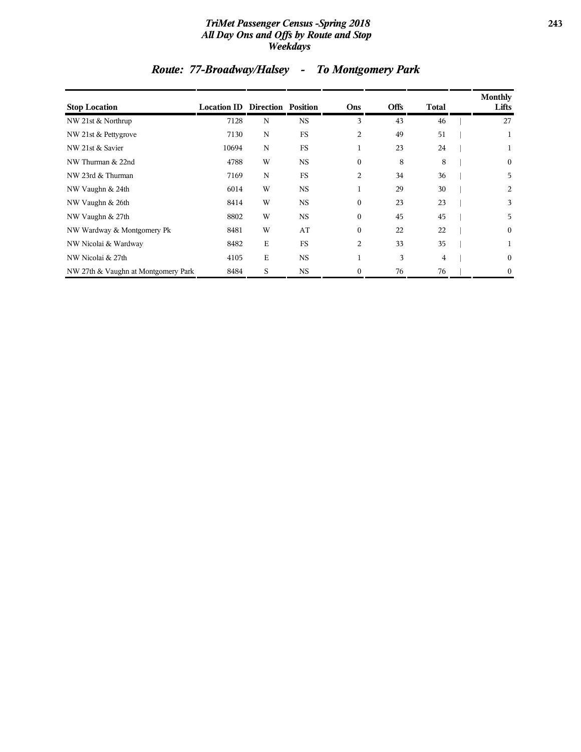### *TriMet Passenger Census -Spring 2018* **243** *All Day Ons and Offs by Route and Stop Weekdays*

| <b>Stop Location</b>                | <b>Location ID Direction Position</b> |             |             | Ons          | <b>Offs</b> | <b>Total</b>   | Monthly<br>Lifts |
|-------------------------------------|---------------------------------------|-------------|-------------|--------------|-------------|----------------|------------------|
| NW 21st & Northrup                  | 7128                                  | N           | <b>NS</b>   | 3            | 43          | 46             | 27               |
| NW 21st & Pettygrove                | 7130                                  | N           | FS          | 2            | 49          | 51             | 1                |
| NW 21st & Savier                    | 10694                                 | N           | <b>FS</b>   | 1            | 23          | 24             | 1                |
| NW Thurman & 22nd                   | 4788                                  | W           | <b>NS</b>   | $\Omega$     | 8           | 8              | $\overline{0}$   |
| NW 23rd & Thurman                   | 7169                                  | N           | <b>FS</b>   | 2            | 34          | 36             | 5                |
| NW Vaughn & 24th                    | 6014                                  | W           | <b>NS</b>   | 1            | 29          | 30             | 2                |
| NW Vaughn & 26th                    | 8414                                  | W           | <b>NS</b>   | $\theta$     | 23          | 23             | 3                |
| NW Vaughn & 27th                    | 8802                                  | W           | $_{\rm NS}$ | $\theta$     | 45          | 45             | 5                |
| NW Wardway & Montgomery Pk          | 8481                                  | W           | AT          | $\theta$     | 22          | 22             | $\mathbf{0}$     |
| NW Nicolai & Wardway                | 8482                                  | $\mathbf E$ | <b>FS</b>   | 2            | 33          | 35             | 1                |
| NW Nicolai & 27th                   | 4105                                  | $\mathbf E$ | <b>NS</b>   | $\mathbf{1}$ | 3           | $\overline{4}$ | $\mathbf{0}$     |
| NW 27th & Vaughn at Montgomery Park | 8484                                  | S           | <b>NS</b>   | $\theta$     | 76          | 76             | $\mathbf{0}$     |

## *Route: 77-Broadway/Halsey - To Montgomery Park*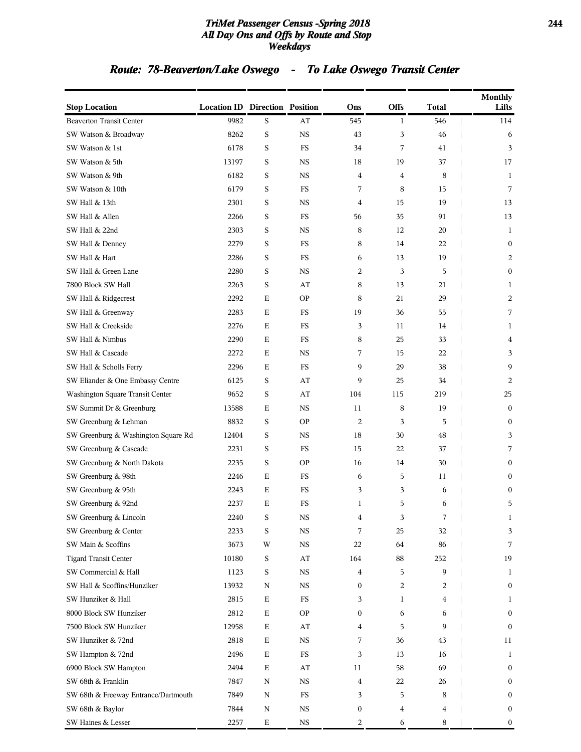### *TriMet Passenger Census -Spring 2018* **244** *All Day Ons and Offs by Route and Stop Weekdays*

## *Route: 78-Beaverton/Lake Oswego - To Lake Oswego Transit Center*

| <b>Stop Location</b>                 | <b>Location ID Direction Position</b> |             |             | Ons | Offs         | <b>Total</b> | <b>Monthly</b><br>Lifts         |
|--------------------------------------|---------------------------------------|-------------|-------------|-----|--------------|--------------|---------------------------------|
| <b>Beaverton Transit Center</b>      | 9982                                  | $\mathbf S$ | AT          | 545 | $\mathbf{1}$ | 546          | 114<br>$\overline{\phantom{a}}$ |
| SW Watson & Broadway                 | 8262                                  | $\mathbf S$ | <b>NS</b>   | 43  | 3            | 46           | 6                               |
| SW Watson & 1st                      | 6178                                  | S           | $_{\rm FS}$ | 34  | 7            | 41           | 3                               |
| SW Watson & 5th                      | 13197                                 | S           | <b>NS</b>   | 18  | 19           | 37           | 17                              |
| SW Watson & 9th                      | 6182                                  | S           | <b>NS</b>   | 4   | 4            | 8            | 1                               |
| SW Watson & 10th                     | 6179                                  | S           | FS          | 7   | 8            | 15           | 7                               |
| SW Hall & 13th                       | 2301                                  | S           | <b>NS</b>   | 4   | 15           | 19           | 13                              |
| SW Hall & Allen                      | 2266                                  | $\mathbf S$ | $_{\rm FS}$ | 56  | 35           | 91           | 13                              |
| SW Hall & 22nd                       | 2303                                  | S           | <b>NS</b>   | 8   | 12           | 20           | 1                               |
| SW Hall & Denney                     | 2279                                  | $\mathbf S$ | <b>FS</b>   | 8   | 14           | 22           | $\boldsymbol{0}$                |
| SW Hall & Hart                       | 2286                                  | S           | FS          | 6   | 13           | 19           | 2                               |
| SW Hall & Green Lane                 | 2280                                  | S           | <b>NS</b>   | 2   | 3            | 5            | $\boldsymbol{0}$                |
| 7800 Block SW Hall                   | 2263                                  | $\mathbf S$ | AT          | 8   | 13           | 21           | 1                               |
| SW Hall & Ridgecrest                 | 2292                                  | Е           | <b>OP</b>   | 8   | 21           | 29           | 2                               |
| SW Hall & Greenway                   | 2283                                  | Е           | FS          | 19  | 36           | 55           | 7                               |
| SW Hall & Creekside                  | 2276                                  | Е           | FS          | 3   | 11           | 14           | 1                               |
| SW Hall & Nimbus                     | 2290                                  | Е           | FS          | 8   | 25           | 33           | 4                               |
| SW Hall & Cascade                    | 2272                                  | $\mathbf E$ | $_{\rm NS}$ | 7   | 15           | 22           | 3                               |
| SW Hall & Scholls Ferry              | 2296                                  | Е           | FS          | 9   | 29           | 38           | 9                               |
| SW Eliander & One Embassy Centre     | 6125                                  | S           | AT          | 9   | 25           | 34           | 2                               |
| Washington Square Transit Center     | 9652                                  | S           | AT          | 104 | 115          | 219          | 25                              |
| SW Summit Dr & Greenburg             | 13588                                 | Е           | <b>NS</b>   | 11  | 8            | 19           | $\boldsymbol{0}$                |
| SW Greenburg & Lehman                | 8832                                  | $\mathbf S$ | <b>OP</b>   | 2   | 3            | 5            | $\boldsymbol{0}$                |
| SW Greenburg & Washington Square Rd  | 12404                                 | S           | <b>NS</b>   | 18  | 30           | 48           | 3                               |
| SW Greenburg & Cascade               | 2231                                  | S           | FS          | 15  | 22           | 37           | 7                               |
| SW Greenburg & North Dakota          | 2235                                  | S           | <b>OP</b>   | 16  | 14           | 30           | $\boldsymbol{0}$                |
| SW Greenburg & 98th                  | 2246                                  | $\mathbf E$ | FS          | 6   | 5            | 11           | $\boldsymbol{0}$                |
| SW Greenburg & 95th                  | 2243                                  | Е           | FS          | 3   | 3            | 6            | $\boldsymbol{0}$                |
| SW Greenburg & 92nd                  | 2237                                  | Е           | FS          | 1   | 5            | 6            | 5                               |
| SW Greenburg & Lincoln               | 2240                                  | S           | NS          | 4   | 3            |              | 1                               |
| SW Greenburg & Center                | 2233                                  | S           | <b>NS</b>   | 7   | 25           | 32           | 3                               |
| SW Main & Scoffins                   | 3673                                  | W           | $_{\rm NS}$ | 22  | 64           | 86           | 7                               |
| <b>Tigard Transit Center</b>         | 10180                                 | S           | AT          | 164 | 88           | 252          | 19                              |
| SW Commercial & Hall                 | 1123                                  | S           | <b>NS</b>   | 4   | 5            | 9            | 1                               |
| SW Hall & Scoffins/Hunziker          | 13932                                 | N           | $_{\rm NS}$ | 0   | 2            | 2            | $\boldsymbol{0}$                |
| SW Hunziker & Hall                   | 2815                                  | $\mathbf E$ | $_{\rm FS}$ | 3   | 1            | 4            | $\mathbf{1}$                    |
| 8000 Block SW Hunziker               | 2812                                  | Е           | <b>OP</b>   | 0   | 6            | 6            | $\boldsymbol{0}$                |
| 7500 Block SW Hunziker               | 12958                                 | Е           | AT          | 4   | 5            | 9            | $\mathbf{0}$                    |
| SW Hunziker & 72nd                   | 2818                                  | Е           | <b>NS</b>   | 7   | 36           | 43           | 11                              |
| SW Hampton & 72nd                    | 2496                                  | $\mathbf E$ | $_{\rm FS}$ | 3   | 13           | 16           | 1                               |
| 6900 Block SW Hampton                | 2494                                  | $\mathbf E$ | AT          | 11  | 58           | 69           | $\mathbf{0}$                    |
| SW 68th & Franklin                   | 7847                                  | N           | <b>NS</b>   | 4   | 22           | 26           | 0                               |
| SW 68th & Freeway Entrance/Dartmouth | 7849                                  | N           | $_{\rm FS}$ | 3   | 5            | 8            | $\mathbf{0}$                    |
| SW 68th & Baylor                     | 7844                                  | N           | $_{\rm NS}$ | 0   | 4            | 4            | $\mathbf{0}$                    |
| SW Haines & Lesser                   | 2257                                  | ${\bf E}$   | $_{\rm NS}$ | 2   | 6            | 8            | $\boldsymbol{0}$                |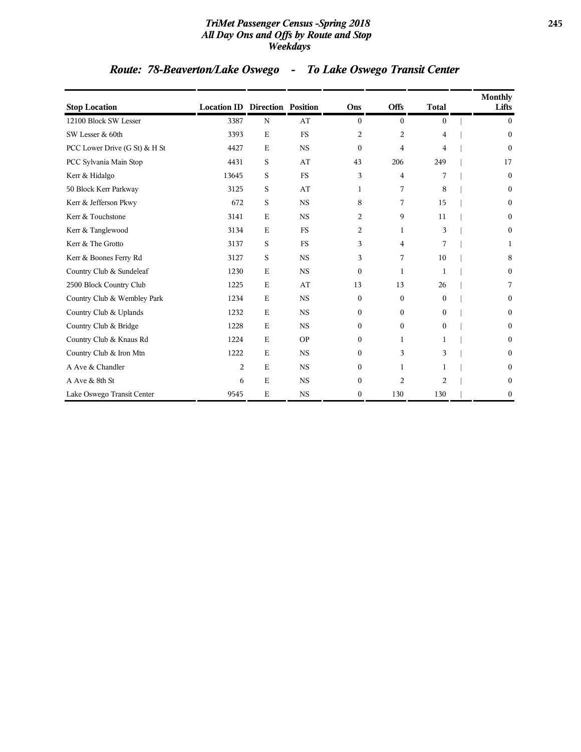### *TriMet Passenger Census -Spring 2018* **245** *All Day Ons and Offs by Route and Stop Weekdays*

## *Route: 78-Beaverton/Lake Oswego - To Lake Oswego Transit Center*

| <b>Stop Location</b>          | <b>Location ID Direction Position</b> |             |           | Ons            | <b>Offs</b>    | <b>Total</b> | Monthly<br>Lifts |
|-------------------------------|---------------------------------------|-------------|-----------|----------------|----------------|--------------|------------------|
| 12100 Block SW Lesser         | 3387                                  | $\mathbf N$ | AT        | $\overline{0}$ | $\mathbf{0}$   | 0            | $\overline{0}$   |
| SW Lesser & 60th              | 3393                                  | E           | <b>FS</b> | 2              | $\overline{2}$ | 4            | $\mathbf{0}$     |
| PCC Lower Drive (G St) & H St | 4427                                  | $\mathbf E$ | <b>NS</b> | $\Omega$       | 4              | 4            | $\mathbf{0}$     |
| PCC Sylvania Main Stop        | 4431                                  | S           | AT        | 43             | 206            | 249          | 17               |
| Kerr & Hidalgo                | 13645                                 | S           | <b>FS</b> | 3              | $\overline{4}$ | 7            | $\mathbf{0}$     |
| 50 Block Kerr Parkway         | 3125                                  | S           | AT        | 1              | 7              | 8            | $\mathbf{0}$     |
| Kerr & Jefferson Pkwy         | 672                                   | S           | <b>NS</b> | 8              | 7              | 15           | $\mathbf{0}$     |
| Kerr & Touchstone             | 3141                                  | E           | <b>NS</b> | 2              | 9              | 11           | $\mathbf{0}$     |
| Kerr & Tanglewood             | 3134                                  | $\mathbf E$ | <b>FS</b> | 2              | 1              | 3            | $\boldsymbol{0}$ |
| Kerr & The Grotto             | 3137                                  | S           | <b>FS</b> | 3              | $\overline{4}$ | 7            | 1                |
| Kerr & Boones Ferry Rd        | 3127                                  | S           | <b>NS</b> | 3              | 7              | 10           | 8                |
| Country Club & Sundeleaf      | 1230                                  | E           | <b>NS</b> | $\Omega$       | $\mathbf{1}$   | 1            | $\boldsymbol{0}$ |
| 2500 Block Country Club       | 1225                                  | E           | AT        | 13             | 13             | 26           | 7                |
| Country Club & Wembley Park   | 1234                                  | $\mathbf E$ | <b>NS</b> | $\Omega$       | $\mathbf{0}$   | $\Omega$     | $\Omega$         |
| Country Club & Uplands        | 1232                                  | $\mathbf E$ | <b>NS</b> | $\Omega$       | $\overline{0}$ | 0            | $\boldsymbol{0}$ |
| Country Club & Bridge         | 1228                                  | $\mathbf E$ | <b>NS</b> | $\Omega$       | $\mathbf{0}$   | $\Omega$     | $\mathbf{0}$     |
| Country Club & Knaus Rd       | 1224                                  | E           | <b>OP</b> | $\Omega$       | 1              | 1            | $\mathbf{0}$     |
| Country Club & Iron Mtn       | 1222                                  | $\mathbf E$ | <b>NS</b> | $\Omega$       | 3              | 3            | $\mathbf{0}$     |
| A Ave & Chandler              | 2                                     | $\mathbf E$ | <b>NS</b> | $\Omega$       | 1              | 1            | $\mathbf{0}$     |
| A Ave & 8th St                | 6                                     | $\mathbf E$ | <b>NS</b> | $\Omega$       | 2              | 2            | $\boldsymbol{0}$ |
| Lake Oswego Transit Center    | 9545                                  | E           | <b>NS</b> | $\mathbf{0}$   | 130            | 130          | $\boldsymbol{0}$ |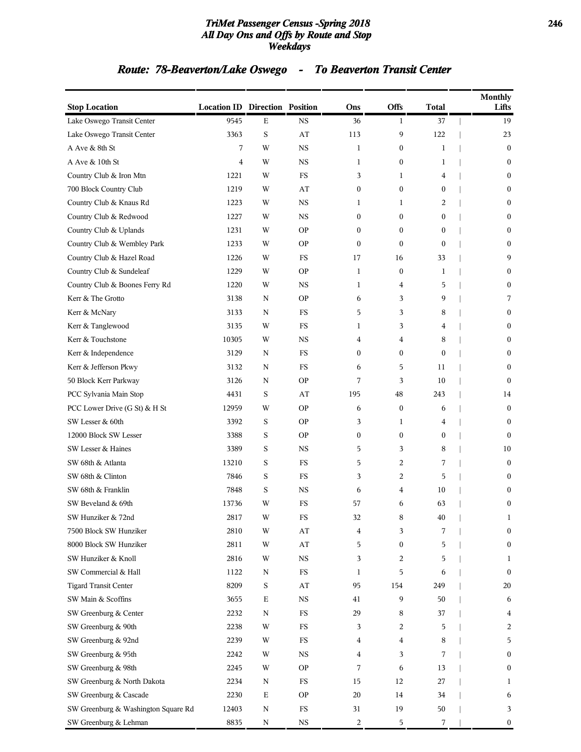### *TriMet Passenger Census -Spring 2018* **246** *All Day Ons and Offs by Route and Stop Weekdays*

## *Route: 78-Beaverton/Lake Oswego - To Beaverton Transit Center*

| <b>Stop Location</b>                | <b>Location ID Direction Position</b> |             |                        | Ons              | Offs             | <b>Total</b>     | Monthly<br>Lifts |
|-------------------------------------|---------------------------------------|-------------|------------------------|------------------|------------------|------------------|------------------|
| Lake Oswego Transit Center          | 9545                                  | Е           | <b>NS</b>              | 36               | 1                | 37               | 19               |
| Lake Oswego Transit Center          | 3363                                  | S           | AT                     | 113              | 9                | 122              | 23               |
| A Ave & 8th St                      | 7                                     | W           | <b>NS</b>              | $\mathbf{1}$     | $\boldsymbol{0}$ | 1                | $\boldsymbol{0}$ |
| A Ave & 10th St                     | $\overline{4}$                        | W           | <b>NS</b>              | $\mathbf{1}$     | $\overline{0}$   | 1                | $\mathbf{0}$     |
| Country Club & Iron Mtn             | 1221                                  | W           | <b>FS</b>              | 3                | 1                | 4                | $\mathbf{0}$     |
| 700 Block Country Club              | 1219                                  | W           | AT                     | $\boldsymbol{0}$ | $\boldsymbol{0}$ | 0                | $\boldsymbol{0}$ |
| Country Club & Knaus Rd             | 1223                                  | W           | <b>NS</b>              | 1                | 1                | 2                | $\boldsymbol{0}$ |
| Country Club & Redwood              | 1227                                  | W           | <b>NS</b>              | $\boldsymbol{0}$ | 0                | 0                | $\boldsymbol{0}$ |
| Country Club & Uplands              | 1231                                  | W           | <b>OP</b>              | $\mathbf{0}$     | $\mathbf{0}$     | $\boldsymbol{0}$ | $\mathbf{0}$     |
| Country Club & Wembley Park         | 1233                                  | W           | <b>OP</b>              | $\mathbf{0}$     | $\mathbf{0}$     | $\mathbf{0}$     | $\mathbf{0}$     |
| Country Club & Hazel Road           | 1226                                  | W           | FS                     | 17               | 16               | 33               | 9                |
| Country Club & Sundeleaf            | 1229                                  | W           | <b>OP</b>              | 1                | $\boldsymbol{0}$ | 1                | $\boldsymbol{0}$ |
| Country Club & Boones Ferry Rd      | 1220                                  | W           | <b>NS</b>              | 1                | 4                | 5                | $\boldsymbol{0}$ |
| Kerr & The Grotto                   | 3138                                  | N           | <b>OP</b>              | 6                | 3                | 9                | 7                |
| Kerr & McNary                       | 3133                                  | N           | FS                     | 5                | 3                | 8                | $\mathbf{0}$     |
| Kerr & Tanglewood                   | 3135                                  | W           | FS                     | 1                | 3                | 4                | $\boldsymbol{0}$ |
| Kerr & Touchstone                   | 10305                                 | W           | <b>NS</b>              | 4                | 4                | 8                | $\boldsymbol{0}$ |
| Kerr & Independence                 | 3129                                  | N           | <b>FS</b>              | $\mathbf{0}$     | $\boldsymbol{0}$ | $\boldsymbol{0}$ | $\boldsymbol{0}$ |
| Kerr & Jefferson Pkwy               | 3132                                  | N           | FS                     | 6                | 5                | 11               | $\mathbf{0}$     |
| 50 Block Kerr Parkway               | 3126                                  | N           | <b>OP</b>              | 7                | 3                | 10               | $\mathbf{0}$     |
| PCC Sylvania Main Stop              | 4431                                  | S           | AT                     | 195              | 48               | 243              | 14               |
| PCC Lower Drive (G St) & H St       | 12959                                 | W           | <b>OP</b>              | 6                | $\boldsymbol{0}$ | 6                | $\boldsymbol{0}$ |
| SW Lesser & 60th                    | 3392                                  | S           | <b>OP</b>              | 3                | 1                | 4                | $\boldsymbol{0}$ |
| 12000 Block SW Lesser               | 3388                                  | S           | <b>OP</b>              | $\mathbf{0}$     | $\overline{0}$   | 0                | $\mathbf{0}$     |
| SW Lesser & Haines                  | 3389                                  | S           | <b>NS</b>              | 5                | 3                | 8                | 10               |
| SW 68th & Atlanta                   | 13210                                 | S           | FS                     | 5                | 2                | 7                | $\boldsymbol{0}$ |
| SW 68th & Clinton                   | 7846                                  | S           | <b>FS</b>              | 3                | 2                | 5                | $\bf{0}$         |
| SW 68th & Franklin                  | 7848                                  | S           | <b>NS</b>              | 6                | 4                | 10               | $\bf{0}$         |
| SW Beveland & 69th                  | 13736                                 | W           | FS                     | 57               | 6                | 63               | $\mathbf{0}$     |
| SW Hunziker & 72nd                  | 2817                                  | W           | FS                     | 32               | 8                | 40               | $\mathbf{1}$     |
| 7500 Block SW Hunziker              | 2810                                  | W           | AT                     | 4                | 3                | 7                | $\boldsymbol{0}$ |
| 8000 Block SW Hunziker              | 2811                                  | W           | $\mathbf{A}\mathbf{T}$ | 5                | $\boldsymbol{0}$ | 5                | $\boldsymbol{0}$ |
| SW Hunziker & Knoll                 | 2816                                  | W           | $_{\rm NS}$            | 3                | 2                | 5                | $\mathbf{1}$     |
| SW Commercial & Hall                | 1122                                  | N           | $_{\rm FS}$            | 1                | 5                | 6                | $\boldsymbol{0}$ |
| <b>Tigard Transit Center</b>        | 8209                                  | S           | AT                     | 95               | 154              | 249              | 20               |
| SW Main & Scoffins                  | 3655                                  | $\mathbf E$ | $_{\rm NS}$            | 41               | 9                | 50               | 6                |
| SW Greenburg & Center               | 2232                                  | N           | $_{\rm FS}$            | 29               | 8                | 37               | 4                |
| SW Greenburg & 90th                 | 2238                                  | W           | $_{\rm FS}$            | 3                | 2                | 5                | 2                |
| SW Greenburg & 92nd                 | 2239                                  | W           | $_{\rm FS}$            | 4                | 4                | 8                | 5                |
| SW Greenburg & 95th                 | 2242                                  | W           | <b>NS</b>              | 4                | 3                | 7                | $\boldsymbol{0}$ |
| SW Greenburg & 98th                 | 2245                                  | W           | <b>OP</b>              | 7                | 6                | 13               | $\boldsymbol{0}$ |
| SW Greenburg & North Dakota         | 2234                                  | N           | FS                     | 15               | 12               | 27               | 1                |
| SW Greenburg & Cascade              | 2230                                  | Е           | <b>OP</b>              | 20               | 14               | 34               | 6                |
| SW Greenburg & Washington Square Rd | 12403                                 | N           | $_{\rm FS}$            | 31               | 19               | 50               | 3                |
| SW Greenburg & Lehman               | 8835                                  | N           | <b>NS</b>              | 2                | 5                | 7                | $\boldsymbol{0}$ |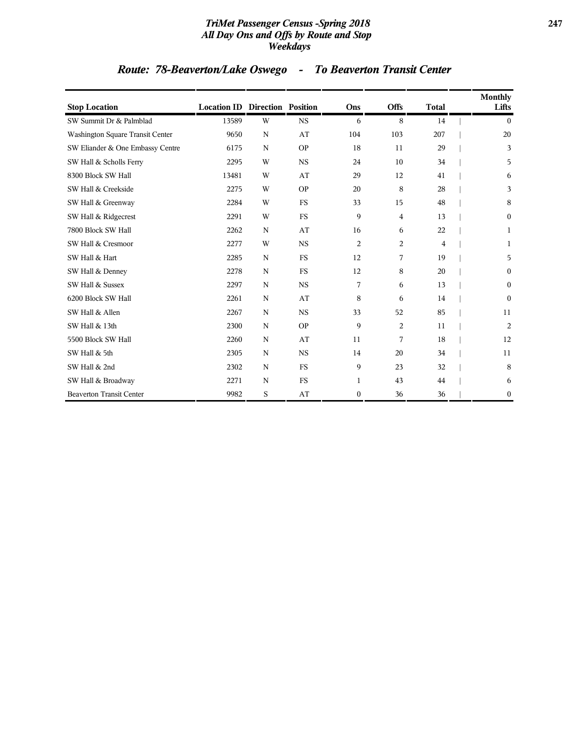### *TriMet Passenger Census -Spring 2018* **247** *All Day Ons and Offs by Route and Stop Weekdays*

# *Route: 78-Beaverton/Lake Oswego - To Beaverton Transit Center*

| <b>Stop Location</b>                    | <b>Location ID Direction Position</b> |             |           | Ons            | <b>Offs</b> | <b>Total</b>   | <b>Monthly</b><br>Lifts |
|-----------------------------------------|---------------------------------------|-------------|-----------|----------------|-------------|----------------|-------------------------|
| SW Summit Dr & Palmblad                 | 13589                                 | W           | <b>NS</b> | 6              | 8           | 14             | $\mathbf{0}$            |
| <b>Washington Square Transit Center</b> | 9650                                  | N           | AT        | 104            | 103         | 207            | 20                      |
| SW Eliander & One Embassy Centre        | 6175                                  | N           | <b>OP</b> | 18             | 11          | 29             | 3                       |
| SW Hall & Scholls Ferry                 | 2295                                  | W           | <b>NS</b> | 24             | 10          | 34             | 5                       |
| 8300 Block SW Hall                      | 13481                                 | W           | AT        | 29             | 12          | 41             | 6                       |
| SW Hall & Creekside                     | 2275                                  | W           | <b>OP</b> | 20             | 8           | 28             | 3                       |
| SW Hall & Greenway                      | 2284                                  | W           | <b>FS</b> | 33             | 15          | 48             | 8                       |
| SW Hall & Ridgecrest                    | 2291                                  | W           | <b>FS</b> | 9              | 4           | 13             | $\bf{0}$                |
| 7800 Block SW Hall                      | 2262                                  | $\mathbf N$ | AT        | 16             | 6           | 22             | 1                       |
| SW Hall & Cresmoor                      | 2277                                  | W           | <b>NS</b> | 2              | 2           | $\overline{4}$ | 1                       |
| SW Hall & Hart                          | 2285                                  | $\mathbf N$ | <b>FS</b> | 12             | 7           | 19             | 5                       |
| SW Hall & Denney                        | 2278                                  | N           | <b>FS</b> | 12             | 8           | 20             | $\mathbf{0}$            |
| SW Hall & Sussex                        | 2297                                  | N           | <b>NS</b> | 7              | 6           | 13             | $\mathbf{0}$            |
| 6200 Block SW Hall                      | 2261                                  | N           | AT        | 8              | 6           | 14             | $\mathbf{0}$            |
| SW Hall & Allen                         | 2267                                  | N           | <b>NS</b> | 33             | 52          | 85             | 11                      |
| SW Hall & 13th                          | 2300                                  | $\mathbf N$ | <b>OP</b> | 9              | 2           | 11             | $\overline{c}$          |
| 5500 Block SW Hall                      | 2260                                  | $\mathbf N$ | AT        | 11             | 7           | 18             | 12                      |
| SW Hall & 5th                           | 2305                                  | $\mathbf N$ | <b>NS</b> | 14             | 20          | 34             | 11                      |
| SW Hall & 2nd                           | 2302                                  | $\mathbf N$ | <b>FS</b> | 9              | 23          | 32             | 8                       |
| SW Hall & Broadway                      | 2271                                  | $\mathbf N$ | <b>FS</b> | $\mathbf{1}$   | 43          | 44             | 6                       |
| <b>Beaverton Transit Center</b>         | 9982                                  | S           | AT        | $\overline{0}$ | 36          | 36             | $\boldsymbol{0}$        |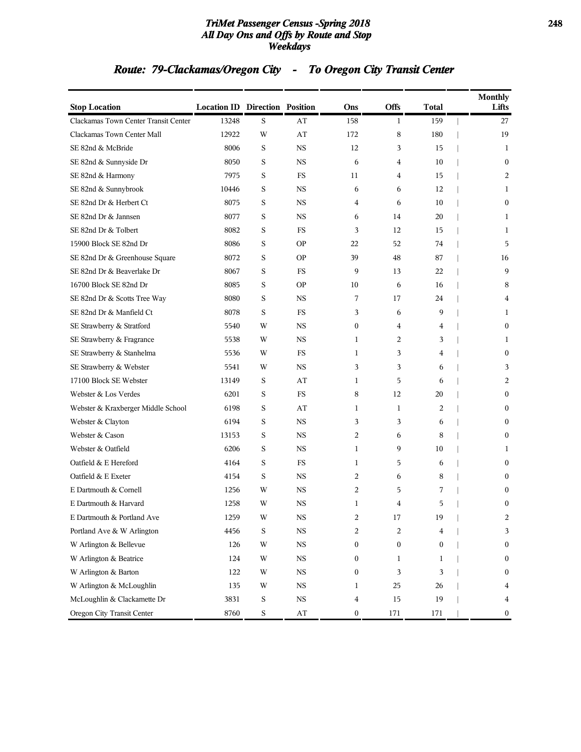### *TriMet Passenger Census -Spring 2018* **248** *All Day Ons and Offs by Route and Stop Weekdays*

## *Route: 79-Clackamas/Oregon City - To Oregon City Transit Center*

| <b>Stop Location</b>                 | <b>Location ID Direction Position</b> |   |                        | Ons | <b>Offs</b>  | Total |                          | <b>Monthly</b><br>Lifts |
|--------------------------------------|---------------------------------------|---|------------------------|-----|--------------|-------|--------------------------|-------------------------|
| Clackamas Town Center Transit Center | 13248                                 | S | AT                     | 158 | $\mathbf{1}$ | 159   | $\overline{\phantom{a}}$ | 27                      |
| Clackamas Town Center Mall           | 12922                                 | W | AT                     | 172 | 8            | 180   |                          | 19                      |
| SE 82nd & McBride                    | 8006                                  | S | <b>NS</b>              | 12  | 3            | 15    |                          | 1                       |
| SE 82nd & Sunnyside Dr               | 8050                                  | S | <b>NS</b>              | 6   | 4            | 10    |                          | $\mathbf{0}$            |
| SE 82nd & Harmony                    | 7975                                  | S | FS                     | 11  | 4            | 15    |                          | 2                       |
| SE 82nd & Sunnybrook                 | 10446                                 | S | <b>NS</b>              | 6   | 6            | 12    |                          | 1                       |
| SE 82nd Dr & Herbert Ct              | 8075                                  | S | <b>NS</b>              | 4   | 6            | 10    |                          | $\bf{0}$                |
| SE 82nd Dr & Jannsen                 | 8077                                  | S | <b>NS</b>              | 6   | 14           | 20    |                          | 1                       |
| SE 82nd Dr & Tolbert                 | 8082                                  | S | <b>FS</b>              | 3   | 12           | 15    |                          | 1                       |
| 15900 Block SE 82nd Dr               | 8086                                  | S | <b>OP</b>              | 22  | 52           | 74    |                          | 5                       |
| SE 82nd Dr & Greenhouse Square       | 8072                                  | S | <b>OP</b>              | 39  | 48           | 87    |                          | 16                      |
| SE 82nd Dr & Beaverlake Dr           | 8067                                  | S | FS                     | 9   | 13           | 22    |                          | 9                       |
| 16700 Block SE 82nd Dr               | 8085                                  | S | <b>OP</b>              | 10  | 6            | 16    |                          | 8                       |
| SE 82nd Dr & Scotts Tree Way         | 8080                                  | S | <b>NS</b>              | 7   | 17           | 24    |                          | 4                       |
| SE 82nd Dr & Manfield Ct             | 8078                                  | S | FS                     | 3   | 6            | 9     |                          | 1                       |
| SE Strawberry & Stratford            | 5540                                  | W | <b>NS</b>              | 0   | 4            | 4     |                          | $\bf{0}$                |
| SE Strawberry & Fragrance            | 5538                                  | W | <b>NS</b>              | 1   | 2            | 3     |                          | 1                       |
| SE Strawberry & Stanhelma            | 5536                                  | W | FS                     | 1   | 3            | 4     |                          | $\mathbf{0}$            |
| SE Strawberry & Webster              | 5541                                  | W | <b>NS</b>              | 3   | 3            | 6     |                          | 3                       |
| 17100 Block SE Webster               | 13149                                 | S | AT                     | 1   | 5            | 6     |                          | 2                       |
| Webster & Los Verdes                 | 6201                                  | S | <b>FS</b>              | 8   | 12           | 20    |                          | $\bf{0}$                |
| Webster & Kraxberger Middle School   | 6198                                  | S | AT                     | 1   | 1            | 2     |                          | $\bf{0}$                |
| Webster & Clayton                    | 6194                                  | S | <b>NS</b>              | 3   | 3            | 6     |                          | $\mathbf{0}$            |
| Webster & Cason                      | 13153                                 | S | <b>NS</b>              | 2   | 6            | 8     |                          | $\mathbf{0}$            |
| Webster & Oatfield                   | 6206                                  | S | <b>NS</b>              | 1   | 9            | 10    |                          | 1                       |
| Oatfield & E Hereford                | 4164                                  | S | FS                     | 1   | 5            | 6     |                          | $\bf{0}$                |
| Oatfield & E Exeter                  | 4154                                  | S | <b>NS</b>              | 2   | 6            | 8     |                          | $\bf{0}$                |
| E Dartmouth & Cornell                | 1256                                  | W | <b>NS</b>              | 2   | 5            | 7     |                          | $\theta$                |
| E Dartmouth & Harvard                | 1258                                  | W | <b>NS</b>              | 1   | 4            | 5     |                          | $\mathbf{0}$            |
| E Dartmouth & Portland Ave           | 1259                                  | W | NS                     | 2   | 17           | 19    |                          |                         |
| Portland Ave & W Arlington           | 4456                                  | S | $_{\rm NS}$            | 2   | 2            | 4     |                          | 3                       |
| W Arlington & Bellevue               | 126                                   | W | $_{\rm NS}$            | 0   | 0            | 0     |                          | $\bf{0}$                |
| W Arlington & Beatrice               | 124                                   | W | <b>NS</b>              | 0   | 1            | 1     |                          | $\mathbf{0}$            |
| W Arlington & Barton                 | 122                                   | W | <b>NS</b>              | 0   | 3            | 3     |                          | $\boldsymbol{0}$        |
| W Arlington & McLoughlin             | 135                                   | W | $_{\rm NS}$            | 1   | 25           | 26    |                          | 4                       |
| McLoughlin & Clackamette Dr          | 3831                                  | S | $_{\rm NS}$            | 4   | 15           | 19    |                          | 4                       |
| Oregon City Transit Center           | 8760                                  | S | $\mathbf{A}\mathbf{T}$ | 0   | 171          | 171   |                          | 0                       |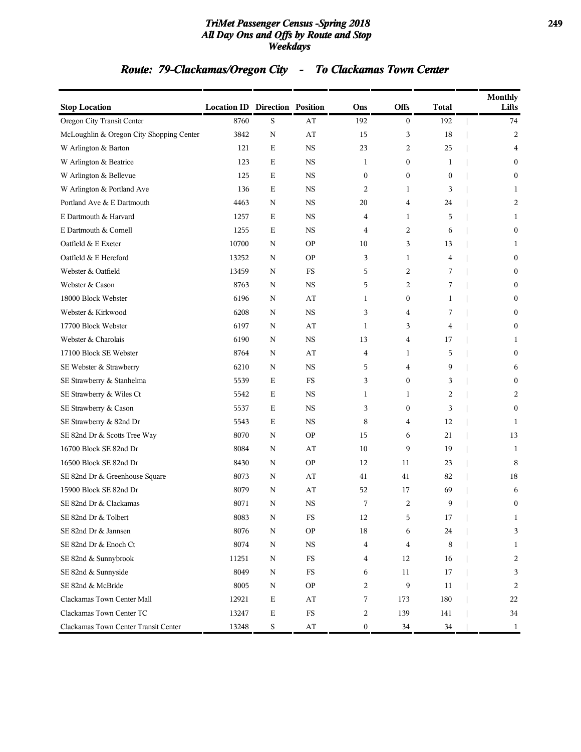### *TriMet Passenger Census -Spring 2018* **249** *All Day Ons and Offs by Route and Stop Weekdays*

## *Route: 79-Clackamas/Oregon City - To Clackamas Town Center*

| <b>Stop Location</b>                     | <b>Location ID Direction Position</b> |             |             | Ons              | Offs             | <b>Total</b> | <b>Monthly</b><br>Lifts |
|------------------------------------------|---------------------------------------|-------------|-------------|------------------|------------------|--------------|-------------------------|
| Oregon City Transit Center               | 8760                                  | S           | AT          | 192              | $\bf{0}$         | 192          | 74                      |
| McLoughlin & Oregon City Shopping Center | 3842                                  | $\mathbf N$ | AT          | 15               | 3                | 18           | $\overline{c}$          |
| W Arlington & Barton                     | 121                                   | Е           | <b>NS</b>   | 23               | 2                | 25           | 4                       |
| W Arlington & Beatrice                   | 123                                   | Е           | <b>NS</b>   | 1                | $\boldsymbol{0}$ | 1            | $\mathbf{0}$            |
| W Arlington & Bellevue                   | 125                                   | Ε           | <b>NS</b>   | $\mathbf{0}$     | $\mathbf{0}$     | $\mathbf{0}$ | $\mathbf{0}$            |
| W Arlington & Portland Ave               | 136                                   | Е           | NS          | $\overline{2}$   | 1                | 3            | 1                       |
| Portland Ave & E Dartmouth               | 4463                                  | $\mathbf N$ | <b>NS</b>   | 20               | 4                | 24           | $\overline{c}$          |
| E Dartmouth & Harvard                    | 1257                                  | Ε           | <b>NS</b>   | 4                | 1                | 5            | 1                       |
| E Dartmouth & Cornell                    | 1255                                  | Ε           | <b>NS</b>   | $\overline{4}$   | 2                | 6            | $\mathbf{0}$            |
| Oatfield & E Exeter                      | 10700                                 | N           | <b>OP</b>   | 10               | 3                | 13           | 1                       |
| Oatfield & E Hereford                    | 13252                                 | N           | <b>OP</b>   | 3                | 1                | 4            | $\boldsymbol{0}$        |
| Webster & Oatfield                       | 13459                                 | N           | FS          | 5                | 2                | 7            | $\mathbf{0}$            |
| Webster & Cason                          | 8763                                  | N           | <b>NS</b>   | 5                | 2                | 7            | $\mathbf{0}$            |
| 18000 Block Webster                      | 6196                                  | N           | AT          | 1                | $\boldsymbol{0}$ | 1            | $\mathbf{0}$            |
| Webster & Kirkwood                       | 6208                                  | N           | <b>NS</b>   | 3                | 4                | 7            | $\mathbf{0}$            |
| 17700 Block Webster                      | 6197                                  | N           | AT          | 1                | 3                | 4            | $\boldsymbol{0}$        |
| Webster & Charolais                      | 6190                                  | N           | <b>NS</b>   | 13               | 4                | 17           | 1                       |
| 17100 Block SE Webster                   | 8764                                  | N           | AT          | 4                | 1                | 5            | $\mathbf{0}$            |
| SE Webster & Strawberry                  | 6210                                  | N           | <b>NS</b>   | 5                | 4                | 9            | 6                       |
| SE Strawberry & Stanhelma                | 5539                                  | Ε           | FS          | 3                | $\mathbf{0}$     | 3            | $\mathbf{0}$            |
| SE Strawberry & Wiles Ct                 | 5542                                  | Е           | NS          | 1                | 1                | 2            | 2                       |
| SE Strawberry & Cason                    | 5537                                  | Ε           | <b>NS</b>   | 3                | $\boldsymbol{0}$ | 3            | $\mathbf{0}$            |
| SE Strawberry & 82nd Dr                  | 5543                                  | Е           | <b>NS</b>   | 8                | 4                | 12           | 1                       |
| SE 82nd Dr & Scotts Tree Way             | 8070                                  | N           | <b>OP</b>   | 15               | 6                | 21           | 13                      |
| 16700 Block SE 82nd Dr                   | 8084                                  | N           | AT          | 10               | 9                | 19           | 1                       |
| 16500 Block SE 82nd Dr                   | 8430                                  | N           | <b>OP</b>   | 12               | 11               | 23           | 8                       |
| SE 82nd Dr & Greenhouse Square           | 8073                                  | N           | AT          | 41               | 41               | 82           | 18                      |
| 15900 Block SE 82nd Dr                   | 8079                                  | N           | AT          | 52               | 17               | 69           | 6                       |
| SE 82nd Dr & Clackamas                   | 8071                                  | N           | <b>NS</b>   | 7                | 2                | 9            | $\boldsymbol{0}$        |
| SE 82nd Dr & Tolbert                     | 8083                                  | N           | FS          | 12               | 5                | 17           | 1                       |
| SE 82nd Dr & Jannsen                     | 8076                                  | N           | <b>OP</b>   | 18               | 6                | 24           | 3                       |
| SE 82nd Dr & Enoch Ct                    | 8074                                  | N           | $_{\rm NS}$ | 4                | 4                | 8            | 1                       |
| SE 82nd & Sunnybrook                     | 11251                                 | N           | $_{\rm FS}$ | 4                | 12               | 16           | 2                       |
| SE 82nd & Sunnyside                      | 8049                                  | N           | $_{\rm FS}$ | 6                | 11               | 17           | 3                       |
| SE 82nd & McBride                        | 8005                                  | N           | <b>OP</b>   | 2                | 9                | 11           | $\overline{c}$          |
| Clackamas Town Center Mall               | 12921                                 | E           | AT          | 7                | 173              | 180          | 22                      |
| Clackamas Town Center TC                 | 13247                                 | $\mathbf E$ | $_{\rm FS}$ | 2                | 139              | 141          | 34                      |
| Clackamas Town Center Transit Center     | 13248                                 | S           | AT          | $\boldsymbol{0}$ | 34               | 34           | 1                       |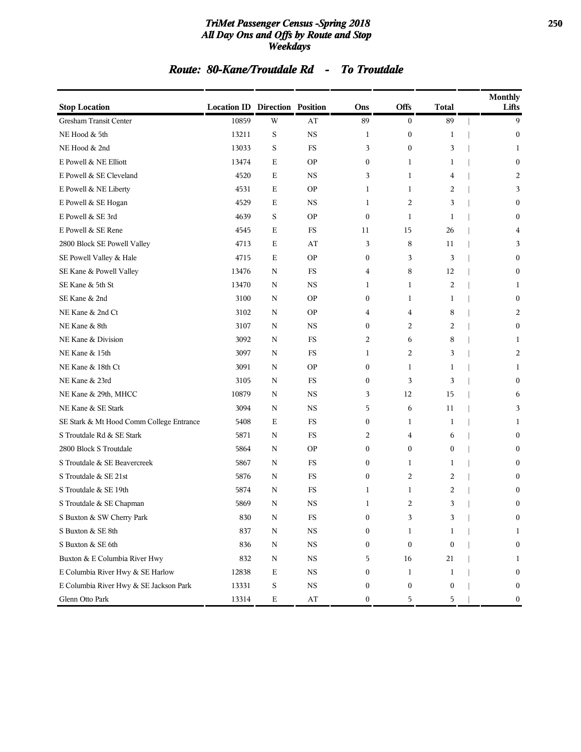### *TriMet Passenger Census -Spring 2018* **250** *All Day Ons and Offs by Route and Stop Weekdays*

### *Route: 80-Kane/Troutdale Rd - To Troutdale*

| <b>Stop Location</b>                     | <b>Location ID Direction Position</b> |             |                        | Ons              | Offs             | Total            | <b>Monthly</b><br>Lifts |
|------------------------------------------|---------------------------------------|-------------|------------------------|------------------|------------------|------------------|-------------------------|
| Gresham Transit Center                   | 10859                                 | W           | AT                     | 89               | $\bf{0}$         | 89               | 9                       |
| NE Hood & 5th                            | 13211                                 | S           | $_{\rm NS}$            | 1                | $\bf{0}$         | 1                | $\boldsymbol{0}$        |
| NE Hood & 2nd                            | 13033                                 | S           | <b>FS</b>              | 3                | $\boldsymbol{0}$ | 3                | 1                       |
| E Powell & NE Elliott                    | 13474                                 | Ε           | <b>OP</b>              | $\boldsymbol{0}$ | 1                | 1                | $\bf{0}$                |
| E Powell & SE Cleveland                  | 4520                                  | Ε           | <b>NS</b>              | 3                | 1                | 4                | 2                       |
| E Powell & NE Liberty                    | 4531                                  | Ε           | <b>OP</b>              | $\mathbf{1}$     | 1                | 2                | 3                       |
| E Powell & SE Hogan                      | 4529                                  | Ε           | NS                     | 1                | 2                | 3                | $\mathbf{0}$            |
| E Powell & SE 3rd                        | 4639                                  | S           | <b>OP</b>              | $\mathbf{0}$     | 1                | $\mathbf{1}$     | $\bf{0}$                |
| E Powell & SE Rene                       | 4545                                  | Ε           | FS                     | 11               | 15               | 26               | 4                       |
| 2800 Block SE Powell Valley              | 4713                                  | Ε           | AT                     | 3                | 8                | 11               | 3                       |
| SE Powell Valley & Hale                  | 4715                                  | Ε           | <b>OP</b>              | $\boldsymbol{0}$ | 3                | 3                | $\mathbf{0}$            |
| SE Kane & Powell Valley                  | 13476                                 | N           | FS                     | 4                | 8                | 12               | $\mathbf{0}$            |
| SE Kane & 5th St                         | 13470                                 | N           | <b>NS</b>              | 1                | 1                | 2                | 1                       |
| SE Kane & 2nd                            | 3100                                  | N           | <b>OP</b>              | $\mathbf{0}$     | 1                | 1                | $\bf{0}$                |
| NE Kane & 2nd Ct                         | 3102                                  | N           | <b>OP</b>              | 4                | 4                | 8                | 2                       |
| NE Kane & 8th                            | 3107                                  | N           | $_{\rm NS}$            | $\boldsymbol{0}$ | 2                | 2                | $\boldsymbol{0}$        |
| NE Kane & Division                       | 3092                                  | N           | FS                     | 2                | 6                | 8                | 1                       |
| NE Kane & 15th                           | 3097                                  | N           | <b>FS</b>              | 1                | $\overline{2}$   | 3                | 2                       |
| NE Kane & 18th Ct                        | 3091                                  | N           | <b>OP</b>              | $\mathbf{0}$     | 1                | 1                | 1                       |
| NE Kane & 23rd                           | 3105                                  | N           | FS                     | $\mathbf{0}$     | 3                | 3                | $\mathbf{0}$            |
| NE Kane & 29th, MHCC                     | 10879                                 | N           | $_{\rm NS}$            | 3                | 12               | 15               | 6                       |
| NE Kane & SE Stark                       | 3094                                  | N           | <b>NS</b>              | 5                | 6                | 11               | 3                       |
| SE Stark & Mt Hood Comm College Entrance | 5408                                  | Ε           | <b>FS</b>              | $\boldsymbol{0}$ | 1                | 1                | 1                       |
| S Troutdale Rd & SE Stark                | 5871                                  | N           | <b>FS</b>              | 2                | 4                | 6                | $\bf{0}$                |
| 2800 Block S Troutdale                   | 5864                                  | N           | <b>OP</b>              | $\mathbf{0}$     | $\boldsymbol{0}$ | $\boldsymbol{0}$ | $\mathbf{0}$            |
| S Troutdale & SE Beavercreek             | 5867                                  | N           | FS                     | $\mathbf{0}$     | 1                | $\mathbf{1}$     | $\mathbf{0}$            |
| S Troutdale & SE 21st                    | 5876                                  | N           | FS                     | $\bf{0}$         | 2                | 2                | $\mathbf{0}$            |
| S Troutdale & SE 19th                    | 5874                                  | N           | FS                     | 1                | 1                | 2                | $\bf{0}$                |
| S Troutdale & SE Chapman                 | 5869                                  | N           | <b>NS</b>              | 1                | 2                | 3                | $\bf{0}$                |
| S Buxton & SW Cherry Park                | 830                                   | ${\bf N}$   | ${\rm FS}$             | $\boldsymbol{0}$ | 3                | 3                | $\bf{0}$                |
| S Buxton & SE 8th                        | 837                                   | $\mathbf N$ | $_{\rm NS}$            | $\mathbf{0}$     | 1                | 1                | 1                       |
| S Buxton & SE 6th                        | 836                                   | $\mathbf N$ | $_{\rm NS}$            | $\bf{0}$         | $\bf{0}$         | $\bf{0}$         | $\overline{0}$          |
| Buxton & E Columbia River Hwy            | 832                                   | $\mathbf N$ | $_{\rm NS}$            | 5                | 16               | 21               | 1                       |
| E Columbia River Hwy & SE Harlow         | 12838                                 | $\mathbf E$ | $_{\rm NS}$            | $\boldsymbol{0}$ | 1                | 1                | $\bf{0}$                |
| E Columbia River Hwy & SE Jackson Park   | 13331                                 | $\mathbf S$ | $_{\rm NS}$            | $\bf{0}$         | $\boldsymbol{0}$ | $\boldsymbol{0}$ | $\mathbf{0}$            |
| Glenn Otto Park                          | 13314                                 | $\mathbf E$ | $\mathbf{A}\mathbf{T}$ | $\bf{0}$         | 5                | 5                | $\bf{0}$                |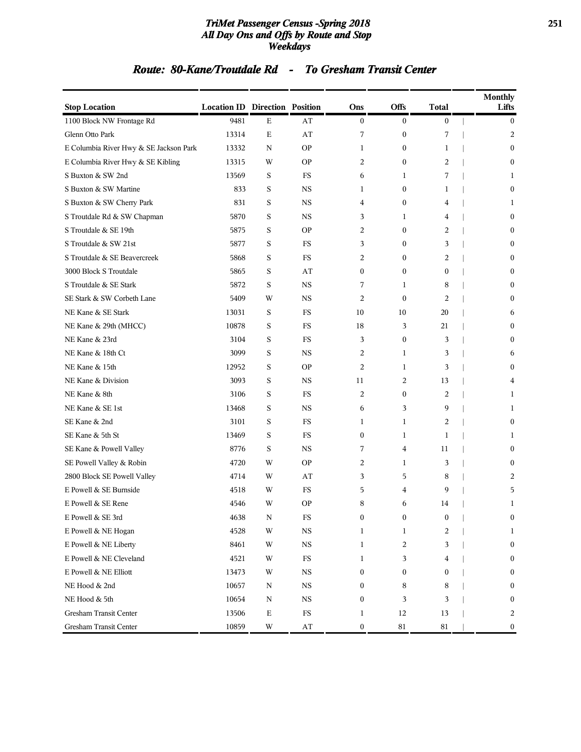### *TriMet Passenger Census -Spring 2018* **251** *All Day Ons and Offs by Route and Stop Weekdays*

### *Route: 80-Kane/Troutdale Rd - To Gresham Transit Center*

| <b>Stop Location</b>                   | <b>Location ID Direction Position</b> |             |                        | Ons              | <b>Offs</b>      | <b>Total</b>     | <b>Monthly</b><br>Lifts |
|----------------------------------------|---------------------------------------|-------------|------------------------|------------------|------------------|------------------|-------------------------|
| 1100 Block NW Frontage Rd              | 9481                                  | E           | AT                     | $\boldsymbol{0}$ | $\boldsymbol{0}$ | $\boldsymbol{0}$ | $\bf{0}$                |
| Glenn Otto Park                        | 13314                                 | $\mathbf E$ | AT                     | 7                | 0                | 7                | 2                       |
| E Columbia River Hwy & SE Jackson Park | 13332                                 | N           | <b>OP</b>              | 1                | 0                | 1                | $\boldsymbol{0}$        |
| E Columbia River Hwy & SE Kibling      | 13315                                 | W           | <b>OP</b>              | $\overline{2}$   | $\boldsymbol{0}$ | 2                | $\mathbf{0}$            |
| S Buxton & SW 2nd                      | 13569                                 | S           | FS                     | 6                | 1                | 7                | 1                       |
| S Buxton & SW Martine                  | 833                                   | S           | $_{\rm NS}$            | 1                | $\boldsymbol{0}$ | 1                | $\mathbf{0}$            |
| S Buxton & SW Cherry Park              | 831                                   | S           | <b>NS</b>              | 4                | 0                | 4                | 1                       |
| S Troutdale Rd & SW Chapman            | 5870                                  | S           | <b>NS</b>              | 3                | 1                | 4                | $\mathbf{0}$            |
| S Troutdale & SE 19th                  | 5875                                  | S           | <b>OP</b>              | 2                | $\boldsymbol{0}$ | 2                | $\mathbf{0}$            |
| S Troutdale & SW 21st                  | 5877                                  | S           | FS                     | 3                | 0                | 3                | $\mathbf{0}$            |
| S Troutdale & SE Beavercreek           | 5868                                  | S           | FS                     | 2                | $\boldsymbol{0}$ | 2                | $\mathbf{0}$            |
| 3000 Block S Troutdale                 | 5865                                  | S           | AT                     | $\mathbf{0}$     | $\boldsymbol{0}$ | $\mathbf{0}$     | $\Omega$                |
| S Troutdale & SE Stark                 | 5872                                  | S           | <b>NS</b>              | 7                | 1                | 8                | $\mathbf{0}$            |
| SE Stark & SW Corbeth Lane             | 5409                                  | W           | <b>NS</b>              | $\overline{2}$   | $\boldsymbol{0}$ | 2                | $\mathbf{0}$            |
| NE Kane & SE Stark                     | 13031                                 | S           | FS                     | 10               | 10               | 20               | 6                       |
| NE Kane & 29th (MHCC)                  | 10878                                 | S           | FS                     | 18               | 3                | 21               | $\mathbf{0}$            |
| NE Kane & 23rd                         | 3104                                  | S           | FS                     | 3                | 0                | 3                | $\Omega$                |
| NE Kane & 18th Ct                      | 3099                                  | S           | <b>NS</b>              | 2                | 1                | 3                | 6                       |
| NE Kane & 15th                         | 12952                                 | S           | <b>OP</b>              | $\overline{2}$   | 1                | 3                | $\mathbf{0}$            |
| NE Kane & Division                     | 3093                                  | S           | <b>NS</b>              | 11               | 2                | 13               | 4                       |
| NE Kane & 8th                          | 3106                                  | S           | <b>FS</b>              | $\overline{2}$   | $\boldsymbol{0}$ | 2                | 1                       |
| NE Kane & SE 1st                       | 13468                                 | S           | <b>NS</b>              | 6                | 3                | 9                | 1                       |
| SE Kane & 2nd                          | 3101                                  | S           | FS                     | 1                | 1                | 2                | $\boldsymbol{0}$        |
| SE Kane & 5th St                       | 13469                                 | S           | FS                     | $\mathbf{0}$     | 1                | 1                | 1                       |
| SE Kane & Powell Valley                | 8776                                  | S           | <b>NS</b>              | 7                | 4                | 11               | $\mathbf{0}$            |
| SE Powell Valley & Robin               | 4720                                  | W           | <b>OP</b>              | 2                | 1                | 3                | $\mathbf{0}$            |
| 2800 Block SE Powell Valley            | 4714                                  | W           | AT                     | 3                | 5                | 8                | 2                       |
| E Powell & SE Burnside                 | 4518                                  | W           | FS                     | 5                | 4                | 9                | 5                       |
| E Powell & SE Rene                     | 4546                                  | W           | <b>OP</b>              | 8                | 6                | 14               | 1                       |
| E Powell & SE $3rd$                    | 4638                                  | $\rm N$     | FS                     | 0                | $\boldsymbol{0}$ | 0                | $\boldsymbol{0}$        |
| E Powell & NE Hogan                    | 4528                                  | $\mathbf W$ | $_{\rm NS}$            | $\mathbf{1}$     | $\mathbf{1}$     | 2                | 1                       |
| E Powell & NE Liberty                  | 8461                                  | W           | $_{\rm NS}$            | $\mathbf{1}$     | 2                | 3                | $\mathbf{0}$            |
| E Powell & NE Cleveland                | 4521                                  | W           | $_{\rm FS}$            | 1                | 3                | 4                | $\bf{0}$                |
| E Powell & NE Elliott                  | 13473                                 | W           | $_{\rm NS}$            | $\boldsymbol{0}$ | $\boldsymbol{0}$ | 0                | $\boldsymbol{0}$        |
| NE Hood & 2nd                          | 10657                                 | N           | $_{\rm NS}$            | $\boldsymbol{0}$ | 8                | 8                | $\boldsymbol{0}$        |
| NE Hood & 5th                          | 10654                                 | N           | $_{\rm NS}$            | $\boldsymbol{0}$ | 3                | 3                | $\boldsymbol{0}$        |
| Gresham Transit Center                 | 13506                                 | $\mathbf E$ | $_{\rm FS}$            | $\mathbf{1}$     | 12               | 13               | 2                       |
| Gresham Transit Center                 | 10859                                 | W           | $\mathbf{A}\mathbf{T}$ | $\bf{0}$         | 81               | 81               | $\boldsymbol{0}$        |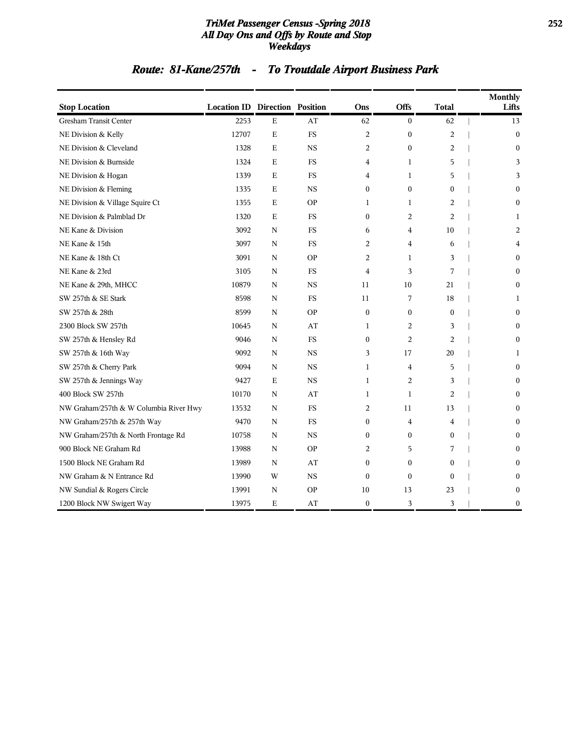### *TriMet Passenger Census -Spring 2018* **252** *All Day Ons and Offs by Route and Stop Weekdays*

# *Route: 81-Kane/257th - To Troutdale Airport Business Park*

| <b>Stop Location</b>                   | <b>Location ID Direction Position</b> |             |           | Ons              | Offs             | <b>Total</b>   | Monthly<br>Lifts |
|----------------------------------------|---------------------------------------|-------------|-----------|------------------|------------------|----------------|------------------|
| <b>Gresham Transit Center</b>          | 2253                                  | $\mathbf E$ | AT        | 62               | $\mathbf{0}$     | 62             | 13               |
| NE Division & Kelly                    | 12707                                 | $\mathbf E$ | <b>FS</b> | 2                | $\boldsymbol{0}$ | $\overline{c}$ | $\mathbf{0}$     |
| NE Division & Cleveland                | 1328                                  | E           | <b>NS</b> | $\overline{2}$   | $\mathbf{0}$     | $\overline{2}$ | $\mathbf{0}$     |
| NE Division & Burnside                 | 1324                                  | Е           | FS        | 4                | 1                | 5              | 3                |
| NE Division & Hogan                    | 1339                                  | E           | FS        | 4                | 1                | 5              | 3                |
| NE Division & Fleming                  | 1335                                  | E           | <b>NS</b> | $\mathbf{0}$     | $\boldsymbol{0}$ | $\mathbf{0}$   | $\mathbf{0}$     |
| NE Division & Village Squire Ct        | 1355                                  | E           | <b>OP</b> | 1                | 1                | $\overline{2}$ | $\theta$         |
| NE Division & Palmblad Dr              | 1320                                  | E           | <b>FS</b> | $\mathbf{0}$     | $\overline{2}$   | $\overline{2}$ | 1                |
| NE Kane & Division                     | 3092                                  | N           | <b>FS</b> | 6                | 4                | 10             | 2                |
| NE Kane & 15th                         | 3097                                  | N           | <b>FS</b> | $\overline{2}$   | $\overline{4}$   | 6              | 4                |
| NE Kane & 18th Ct                      | 3091                                  | N           | <b>OP</b> | 2                | 1                | 3              | $\theta$         |
| NE Kane & 23rd                         | 3105                                  | N           | FS        | 4                | 3                | 7              | 0                |
| NE Kane & 29th, MHCC                   | 10879                                 | N           | <b>NS</b> | 11               | 10               | 21             | 0                |
| SW 257th & SE Stark                    | 8598                                  | N           | <b>FS</b> | 11               | 7                | 18             | 1                |
| SW 257th & 28th                        | 8599                                  | N           | <b>OP</b> | $\mathbf{0}$     | $\mathbf{0}$     | $\theta$       | $\Omega$         |
| 2300 Block SW 257th                    | 10645                                 | N           | AT        | $\mathbf{1}$     | 2                | 3              | $\theta$         |
| SW 257th & Hensley Rd                  | 9046                                  | N           | <b>FS</b> | $\mathbf{0}$     | $\overline{2}$   | $\overline{2}$ | $\theta$         |
| SW 257th & 16th Way                    | 9092                                  | N           | <b>NS</b> | 3                | 17               | 20             | 1                |
| SW 257th & Cherry Park                 | 9094                                  | N           | <b>NS</b> | 1                | 4                | 5              | $\theta$         |
| SW 257th & Jennings Way                | 9427                                  | Е           | <b>NS</b> | 1                | 2                | 3              | 0                |
| 400 Block SW 257th                     | 10170                                 | N           | AT        | 1                | 1                | $\overline{2}$ | $\theta$         |
| NW Graham/257th & W Columbia River Hwy | 13532                                 | N           | <b>FS</b> | 2                | 11               | 13             | 0                |
| NW Graham/257th & 257th Way            | 9470                                  | N           | <b>FS</b> | $\mathbf{0}$     | $\overline{4}$   | $\overline{4}$ | $\theta$         |
| NW Graham/257th & North Frontage Rd    | 10758                                 | N           | <b>NS</b> | $\mathbf{0}$     | $\mathbf{0}$     | $\mathbf{0}$   | $\Omega$         |
| 900 Block NE Graham Rd                 | 13988                                 | N           | <b>OP</b> | 2                | 5                | 7              | 0                |
| 1500 Block NE Graham Rd                | 13989                                 | N           | AT        | $\boldsymbol{0}$ | $\mathbf{0}$     | $\mathbf{0}$   | 0                |
| NW Graham & N Entrance Rd              | 13990                                 | W           | <b>NS</b> | $\mathbf{0}$     | $\mathbf{0}$     | $\theta$       | 0                |
| NW Sundial & Rogers Circle             | 13991                                 | N           | <b>OP</b> | 10               | 13               | 23             | 0                |
| 1200 Block NW Swigert Way              | 13975                                 | Е           | AT        | $\bf{0}$         | 3                | 3              | $\boldsymbol{0}$ |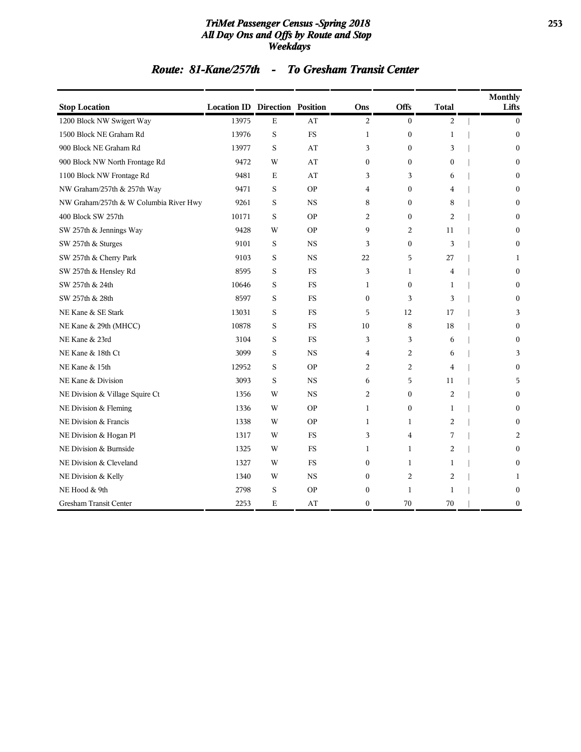#### *TriMet Passenger Census -Spring 2018* **253** *All Day Ons and Offs by Route and Stop Weekdays*

### *Route: 81-Kane/257th - To Gresham Transit Center*

| <b>Stop Location</b>                   | <b>Location ID Direction Position</b> |             |           | Ons              | <b>Offs</b>      | <b>Total</b>   | <b>Monthly</b><br>Lifts |
|----------------------------------------|---------------------------------------|-------------|-----------|------------------|------------------|----------------|-------------------------|
| 1200 Block NW Swigert Way              | 13975                                 | $\mathbf E$ | AT        | $\overline{c}$   | $\mathbf{0}$     | 2              | $\mathbf{0}$            |
| 1500 Block NE Graham Rd                | 13976                                 | S           | <b>FS</b> | 1                | $\boldsymbol{0}$ | $\mathbf{1}$   | $\mathbf{0}$            |
| 900 Block NE Graham Rd                 | 13977                                 | S           | AT        | 3                | $\mathbf{0}$     | 3              | 0                       |
| 900 Block NW North Frontage Rd         | 9472                                  | W           | AT        | $\mathbf{0}$     | $\boldsymbol{0}$ | 0              | 0                       |
| 1100 Block NW Frontage Rd              | 9481                                  | E           | AT        | 3                | 3                | 6              | 0                       |
| NW Graham/257th & 257th Way            | 9471                                  | S           | <b>OP</b> | 4                | $\boldsymbol{0}$ | 4              | 0                       |
| NW Graham/257th & W Columbia River Hwy | 9261                                  | S           | <b>NS</b> | 8                | $\mathbf{0}$     | 8              | $\Omega$                |
| 400 Block SW 257th                     | 10171                                 | S           | <b>OP</b> | 2                | $\mathbf{0}$     | $\overline{c}$ | 0                       |
| SW 257th & Jennings Way                | 9428                                  | W           | <b>OP</b> | 9                | 2                | 11             | $\mathbf{0}$            |
| SW 257th & Sturges                     | 9101                                  | S           | <b>NS</b> | 3                | $\overline{0}$   | 3              | $\mathbf{0}$            |
| SW 257th & Cherry Park                 | 9103                                  | S           | <b>NS</b> | 22               | 5                | 27             | 1                       |
| SW 257th & Hensley Rd                  | 8595                                  | S           | FS        | 3                | 1                | 4              | 0                       |
| SW 257th & 24th                        | 10646                                 | S           | <b>FS</b> | 1                | $\boldsymbol{0}$ | 1              | 0                       |
| SW 257th & 28th                        | 8597                                  | S           | <b>FS</b> | $\mathbf{0}$     | 3                | 3              | $\Omega$                |
| NE Kane & SE Stark                     | 13031                                 | S           | <b>FS</b> | 5                | 12               | 17             | 3                       |
| NE Kane & 29th (MHCC)                  | 10878                                 | S           | <b>FS</b> | 10               | 8                | 18             | $\mathbf{0}$            |
| NE Kane & 23rd                         | 3104                                  | S           | <b>FS</b> | 3                | 3                | 6              | 0                       |
| NE Kane & 18th Ct                      | 3099                                  | S           | <b>NS</b> | 4                | 2                | 6              | 3                       |
| NE Kane & 15th                         | 12952                                 | S           | <b>OP</b> | 2                | 2                | 4              | 0                       |
| NE Kane & Division                     | 3093                                  | S           | <b>NS</b> | 6                | 5                | 11             | 5                       |
| NE Division & Village Squire Ct        | 1356                                  | W           | <b>NS</b> | 2                | $\boldsymbol{0}$ | 2              | 0                       |
| NE Division & Fleming                  | 1336                                  | W           | <b>OP</b> | 1                | $\mathbf{0}$     | 1              | $\Omega$                |
| NE Division & Francis                  | 1338                                  | W           | <b>OP</b> | $\mathbf{1}$     | 1                | 2              | 0                       |
| NE Division & Hogan Pl                 | 1317                                  | W           | <b>FS</b> | 3                | 4                | 7              | 2                       |
| NE Division & Burnside                 | 1325                                  | W           | <b>FS</b> | 1                | 1                | 2              | 0                       |
| NE Division & Cleveland                | 1327                                  | W           | <b>FS</b> | $\boldsymbol{0}$ | 1                | 1              | 0                       |
| NE Division & Kelly                    | 1340                                  | W           | <b>NS</b> | $\mathbf{0}$     | 2                | 2              | 1                       |
| NE Hood & 9th                          | 2798                                  | S           | <b>OP</b> | $\mathbf{0}$     | 1                | $\mathbf{1}$   | 0                       |
| Gresham Transit Center                 | 2253                                  | Ε           | AT        | $\boldsymbol{0}$ | 70               | 70             | $\boldsymbol{0}$        |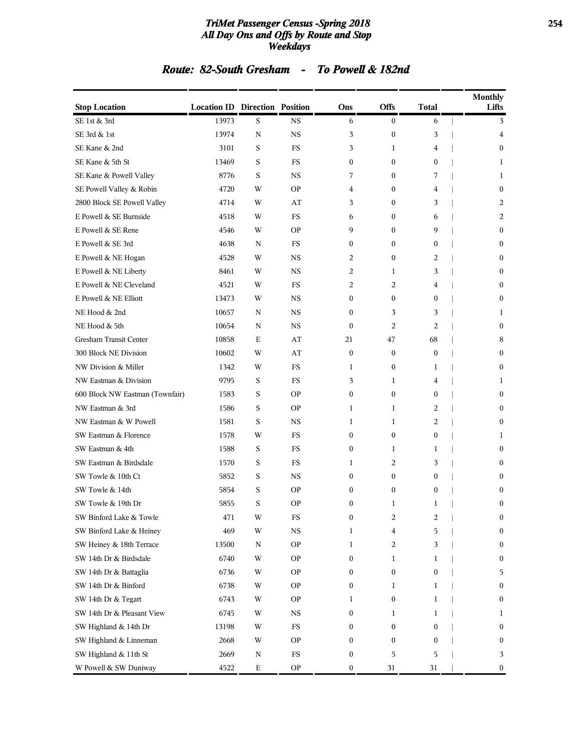#### *TriMet Passenger Census -Spring 2018* **254** *All Day Ons and Offs by Route and Stop Weekdays*

# *Route: 82-South Gresham - To Powell & 182nd*

| <b>Stop Location</b>            | <b>Location ID Direction Position</b> |             |               | Ons              | <b>Offs</b>      | <b>Total</b>     | <b>Monthly</b><br>Lifts |
|---------------------------------|---------------------------------------|-------------|---------------|------------------|------------------|------------------|-------------------------|
| SE 1st & 3rd                    | 13973                                 | S           | <b>NS</b>     | 6                | $\boldsymbol{0}$ | 6                | 3                       |
| SE 3rd & 1st                    | 13974                                 | N           | <b>NS</b>     | 3                | $\boldsymbol{0}$ | 3                | 4                       |
| SE Kane & 2nd                   | 3101                                  | S           | <b>FS</b>     | 3                | $\mathbf{1}$     | 4                | $\Omega$                |
| SE Kane & 5th St                | 13469                                 | S           | FS            | $\mathbf{0}$     | $\mathbf{0}$     | 0                | 1                       |
| SE Kane & Powell Valley         | 8776                                  | S           | <b>NS</b>     | 7                | $\mathbf{0}$     | 7                | 1                       |
| SE Powell Valley & Robin        | 4720                                  | W           | <b>OP</b>     | 4                | $\bf{0}$         | 4                | $\boldsymbol{0}$        |
| 2800 Block SE Powell Valley     | 4714                                  | W           | AT            | 3                | $\mathbf{0}$     | 3                | 2                       |
| E Powell & SE Burnside          | 4518                                  | W           | <b>FS</b>     | 6                | $\mathbf{0}$     | 6                | 2                       |
| E Powell & SE Rene              | 4546                                  | W           | <b>OP</b>     | 9                | $\mathbf{0}$     | 9                | 0                       |
| E Powell & SE 3rd               | 4638                                  | N           | <b>FS</b>     | $\mathbf{0}$     | $\mathbf{0}$     | 0                | $\mathbf{0}$            |
| E Powell & NE Hogan             | 4528                                  | W           | NS            | 2                | $\bf{0}$         | 2                | $\mathbf{0}$            |
| E Powell & NE Liberty           | 8461                                  | W           | <b>NS</b>     | 2                | 1                | 3                | $\Omega$                |
| E Powell & NE Cleveland         | 4521                                  | W           | <b>FS</b>     | 2                | 2                | 4                | $\mathbf{0}$            |
| E Powell & NE Elliott           | 13473                                 | W           | <b>NS</b>     | $\mathbf{0}$     | $\mathbf{0}$     | 0                | $\mathbf{0}$            |
| NE Hood & 2nd                   | 10657                                 | N           | <b>NS</b>     | $\mathbf{0}$     | 3                | 3                | 1                       |
| NE Hood & 5th                   | 10654                                 | N           | NS            | $\mathbf{0}$     | 2                | 2                | $\mathbf{0}$            |
| Gresham Transit Center          | 10858                                 | Ε           | AT            | 21               | 47               | 68               | 8                       |
| 300 Block NE Division           | 10602                                 | W           | AT            | $\mathbf{0}$     | $\mathbf{0}$     | $\mathbf{0}$     | $\mathbf{0}$            |
| NW Division & Miller            | 1342                                  | W           | FS            | 1                | $\bf{0}$         | 1                | $\mathbf{0}$            |
| NW Eastman & Division           | 9795                                  | S           | <b>FS</b>     | 3                | $\mathbf{1}$     | 4                | 1                       |
| 600 Block NW Eastman (Townfair) | 1583                                  | S           | <b>OP</b>     | $\mathbf{0}$     | $\mathbf{0}$     | $\boldsymbol{0}$ | $\mathbf{0}$            |
| NW Eastman & 3rd                | 1586                                  | S           | <b>OP</b>     | 1                | $\mathbf{1}$     | 2                | $\Omega$                |
| NW Eastman & W Powell           | 1581                                  | S           | <b>NS</b>     | 1                | $\mathbf{1}$     | 2                | $\Omega$                |
| SW Eastman & Florence           | 1578                                  | W           | FS            | $\mathbf{0}$     | $\bf{0}$         | $\boldsymbol{0}$ | 1                       |
| SW Eastman & 4th                | 1588                                  | S           | <b>FS</b>     | $\mathbf{0}$     | $\mathbf{1}$     | 1                | $\mathbf{0}$            |
| SW Eastman & Birdsdale          | 1570                                  | S           | FS            | 1                | 2                | 3                | 0                       |
| SW Towle & 10th Ct              | 5852                                  | S           | <b>NS</b>     | $\mathbf{0}$     | $\mathbf{0}$     | 0                | $\Omega$                |
| SW Towle & 14th                 | 5854                                  | S           | <b>OP</b>     | $\mathbf{0}$     | $\mathbf{0}$     | 0                | 0                       |
| SW Towle & 19th Dr              | 5855                                  | S           | <b>OP</b>     | $\mathbf{0}$     | 1                | 1                | 0                       |
| SW Binford Lake & Towle         | 471                                   | W           | $_{\rm FS}$   | 0                | 2                | 2                | $\boldsymbol{0}$        |
| SW Binford Lake & Heiney        | 469                                   | W           | $_{\rm NS}$   | 1                | 4                | 5                | 0                       |
| SW Heiney & 18th Terrace        | 13500                                 | N           | <b>OP</b>     | 1                | 2                | 3                | $\mathbf{0}$            |
| SW 14th Dr & Birdsdale          | 6740                                  | W           | <b>OP</b>     | 0                | 1                | 1                | $\boldsymbol{0}$        |
| SW 14th Dr & Battaglia          | 6736                                  | W           | <b>OP</b>     | $\boldsymbol{0}$ | $\boldsymbol{0}$ | $\boldsymbol{0}$ | 5                       |
| SW 14th Dr & Binford            | 6738                                  | W           | <b>OP</b>     | $\boldsymbol{0}$ | 1                | 1                | $\boldsymbol{0}$        |
| SW 14th Dr & Tegart             | 6743                                  | W           | <b>OP</b>     | 1                | 0                | 1                | 0                       |
| SW 14th Dr & Pleasant View      | 6745                                  | W           | $_{\rm NS}$   | $\mathbf{0}$     | 1                | 1                | 1                       |
| SW Highland & 14th Dr           | 13198                                 | W           | $_{\rm FS}$   | 0                | $\boldsymbol{0}$ | $\boldsymbol{0}$ | 0                       |
| SW Highland & Linneman          | 2668                                  | W           | <b>OP</b>     | $\boldsymbol{0}$ | $\bf{0}$         | $\boldsymbol{0}$ | $\bf{0}$                |
| SW Highland & 11th St           | 2669                                  | $\mathbf N$ | $_{\rm FS}$   | $\boldsymbol{0}$ | 5                | 5                | 3                       |
| W Powell & SW Duniway           | 4522                                  | E           | $\mathsf{OP}$ | 0                | 31               | 31               | 0                       |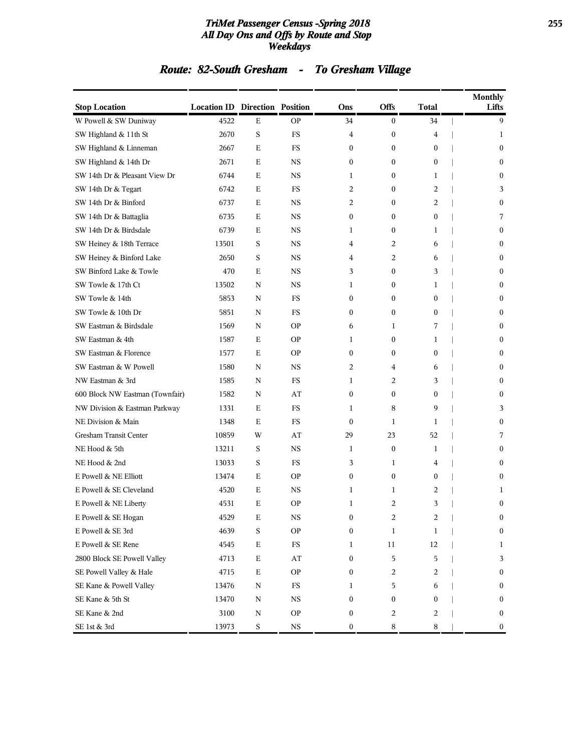#### *TriMet Passenger Census -Spring 2018* **255** *All Day Ons and Offs by Route and Stop Weekdays*

# *Route: 82-South Gresham - To Gresham Village*

| <b>Stop Location</b>            | <b>Location ID Direction Position</b> |             |             | Ons              | Offs             | <b>Total</b>     | <b>Monthly</b><br>Lifts |
|---------------------------------|---------------------------------------|-------------|-------------|------------------|------------------|------------------|-------------------------|
| W Powell & SW Duniway           | 4522                                  | E           | <b>OP</b>   | 34               | $\mathbf{0}$     | 34               | 9                       |
| SW Highland & 11th St           | 2670                                  | S           | FS          | 4                | $\boldsymbol{0}$ | 4                | 1                       |
| SW Highland & Linneman          | 2667                                  | $\mathbf E$ | FS          | $\boldsymbol{0}$ | $\mathbf{0}$     | $\bf{0}$         | $\mathbf{0}$            |
| SW Highland & 14th Dr           | 2671                                  | Ε           | <b>NS</b>   | 0                | $\mathbf{0}$     | $\mathbf{0}$     | $\mathbf{0}$            |
| SW 14th Dr & Pleasant View Dr   | 6744                                  | E           | <b>NS</b>   | 1                | $\mathbf{0}$     | 1                | $\mathbf{0}$            |
| SW 14th Dr & Tegart             | 6742                                  | E           | <b>FS</b>   | 2                | $\mathbf{0}$     | 2                | 3                       |
| SW 14th Dr & Binford            | 6737                                  | Ε           | NS          | 2                | $\mathbf{0}$     | 2                | $\bf{0}$                |
| SW 14th Dr & Battaglia          | 6735                                  | $\mathbf E$ | <b>NS</b>   | $\boldsymbol{0}$ | $\boldsymbol{0}$ | $\bf{0}$         | 7                       |
| SW 14th Dr & Birdsdale          | 6739                                  | Ε           | <b>NS</b>   | 1                | $\mathbf{0}$     | 1                | $\mathbf{0}$            |
| SW Heiney & 18th Terrace        | 13501                                 | S           | <b>NS</b>   | 4                | 2                | 6                | $\mathbf{0}$            |
| SW Heiney & Binford Lake        | 2650                                  | S           | <b>NS</b>   | 4                | $\overline{2}$   | 6                | $\mathbf{0}$            |
| SW Binford Lake & Towle         | 470                                   | Ε           | NS          | 3                | $\mathbf{0}$     | 3                | $\boldsymbol{0}$        |
| SW Towle & 17th Ct              | 13502                                 | N           | <b>NS</b>   | 1                | $\mathbf{0}$     | 1                | $\mathbf{0}$            |
| SW Towle & 14th                 | 5853                                  | N           | <b>FS</b>   | 0                | $\mathbf{0}$     | $\mathbf{0}$     | $\mathbf{0}$            |
| SW Towle & 10th Dr              | 5851                                  | N           | FS          | 0                | $\mathbf{0}$     | $\bf{0}$         | $\mathbf{0}$            |
| SW Eastman & Birdsdale          | 1569                                  | N           | <b>OP</b>   | 6                | 1                | 7                | $\mathbf{0}$            |
| SW Eastman & 4th                | 1587                                  | Ε           | <b>OP</b>   | 1                | $\boldsymbol{0}$ | 1                | $\bf{0}$                |
| SW Eastman & Florence           | 1577                                  | E           | <b>OP</b>   | $\boldsymbol{0}$ | $\mathbf{0}$     | $\bf{0}$         | $\mathbf{0}$            |
| SW Eastman & W Powell           | 1580                                  | N           | <b>NS</b>   | 2                | 4                | 6                | $\mathbf{0}$            |
| NW Eastman & 3rd                | 1585                                  | N           | FS          | 1                | 2                | 3                | $\mathbf{0}$            |
| 600 Block NW Eastman (Townfair) | 1582                                  | N           | AT          | $\bf{0}$         | $\mathbf{0}$     | $\boldsymbol{0}$ | $\mathbf{0}$            |
| NW Division & Eastman Parkway   | 1331                                  | Ε           | FS          | 1                | 8                | 9                | 3                       |
| NE Division & Main              | 1348                                  | E           | FS          | $\mathbf{0}$     | 1                | 1                | $\mathbf{0}$            |
| Gresham Transit Center          | 10859                                 | W           | AT          | 29               | 23               | 52               | 7                       |
| NE Hood & 5th                   | 13211                                 | S           | <b>NS</b>   | 1                | $\boldsymbol{0}$ | 1                | $\mathbf{0}$            |
| NE Hood & 2nd                   | 13033                                 | S           | FS          | 3                | 1                | 4                | $\mathbf{0}$            |
| E Powell & NE Elliott           | 13474                                 | Ε           | <b>OP</b>   | $\boldsymbol{0}$ | $\mathbf{0}$     | $\bf{0}$         | $\mathbf{0}$            |
| E Powell & SE Cleveland         | 4520                                  | Ε           | <b>NS</b>   | 1                | 1                | 2                | 1                       |
| E Powell & NE Liberty           | 4531                                  | Ε           | <b>OP</b>   | 1                | 2                | 3                | $\mathbf{0}$            |
| E Powell & SE Hogan             | 4529                                  | Е           | NS          | 0                | 2                | 2                | $\bf{0}$                |
| E Powell & SE 3rd               | 4639                                  | S           | <b>OP</b>   | 0                | $\mathbf{1}$     | $\mathbf{1}$     | $\boldsymbol{0}$        |
| E Powell & SE Rene              | 4545                                  | $\mathbf E$ | $_{\rm FS}$ | 1                | 11               | 12               | $\mathbf{1}$            |
| 2800 Block SE Powell Valley     | 4713                                  | $\mathbf E$ | AT          | $\boldsymbol{0}$ | 5                | 5                | 3                       |
| SE Powell Valley & Hale         | 4715                                  | $\mathbf E$ | <b>OP</b>   | 0                | 2                | 2                | $\bf{0}$                |
| SE Kane & Powell Valley         | 13476                                 | N           | $_{\rm FS}$ | 1                | 5                | 6                | $\bf{0}$                |
| SE Kane & 5th St                | 13470                                 | $\mathbf N$ | $_{\rm NS}$ | $\boldsymbol{0}$ | $\boldsymbol{0}$ | $\mathbf{0}$     | $\boldsymbol{0}$        |
| SE Kane & 2nd                   | 3100                                  | N           | <b>OP</b>   | $\boldsymbol{0}$ | 2                | 2                | $\bf{0}$                |
| SE 1st & 3rd                    | 13973                                 | S           | $_{\rm NS}$ | 0                | 8                | 8                | $\mathbf{0}$            |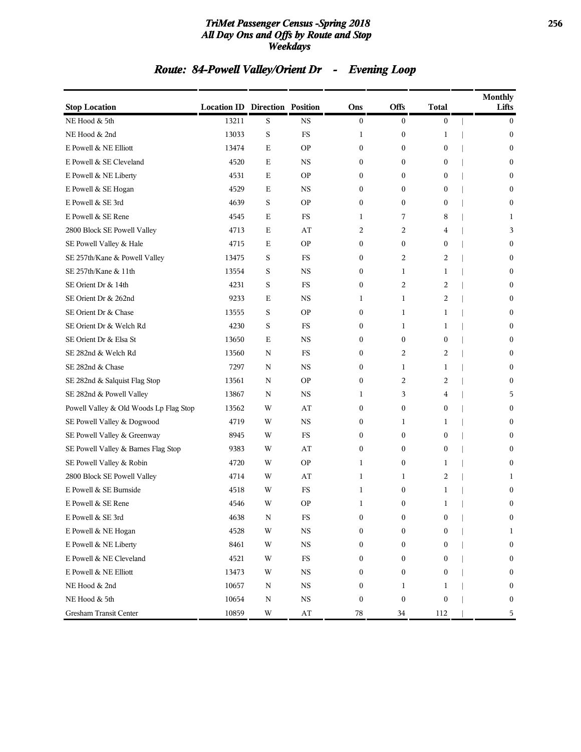#### *TriMet Passenger Census -Spring 2018* **256** *All Day Ons and Offs by Route and Stop Weekdays*

# *Route: 84-Powell Valley/Orient Dr - Evening Loop*

| <b>Stop Location</b>                   | <b>Location ID Direction Position</b> |   |                        | Ons              | Offs             | <b>Total</b>     | <b>Monthly</b><br>Lifts |
|----------------------------------------|---------------------------------------|---|------------------------|------------------|------------------|------------------|-------------------------|
| NE Hood & 5th                          | 13211                                 | S | <b>NS</b>              | $\boldsymbol{0}$ | $\bf{0}$         | $\boldsymbol{0}$ | $\mathbf{0}$            |
| NE Hood & 2nd                          | 13033                                 | S | FS                     | 1                | $\bf{0}$         | 1                | $\mathbf{0}$            |
| E Powell & NE Elliott                  | 13474                                 | E | <b>OP</b>              | $\bf{0}$         | $\bf{0}$         | $\boldsymbol{0}$ | $\bf{0}$                |
| E Powell & SE Cleveland                | 4520                                  | Ε | $_{\rm NS}$            | $\mathbf{0}$     | $\boldsymbol{0}$ | $\overline{0}$   | $\mathbf{0}$            |
| E Powell & NE Liberty                  | 4531                                  | Ε | <b>OP</b>              | $\mathbf{0}$     | $\mathbf{0}$     | $\overline{0}$   | $\mathbf{0}$            |
| E Powell & SE Hogan                    | 4529                                  | Ε | $_{\rm NS}$            | $\boldsymbol{0}$ | $\bf{0}$         | 0                | $\mathbf{0}$            |
| E Powell & SE 3rd                      | 4639                                  | S | <b>OP</b>              | $\mathbf{0}$     | $\bf{0}$         | $\mathbf{0}$     | $\mathbf{0}$            |
| E Powell & SE Rene                     | 4545                                  | Ε | FS                     | 1                | 7                | 8                | 1                       |
| 2800 Block SE Powell Valley            | 4713                                  | E | AT                     | 2                | 2                | 4                | 3                       |
| SE Powell Valley & Hale                | 4715                                  | Ε | <b>OP</b>              | $\bf{0}$         | $\bf{0}$         | $\overline{0}$   | $\mathbf{0}$            |
| SE 257th/Kane & Powell Valley          | 13475                                 | S | FS                     | $\boldsymbol{0}$ | 2                | 2                | $\mathbf{0}$            |
| SE 257th/Kane & 11th                   | 13554                                 | S | <b>NS</b>              | $\mathbf{0}$     | 1                | 1                | $\mathbf{0}$            |
| SE Orient Dr & 14th                    | 4231                                  | S | FS                     | $\boldsymbol{0}$ | 2                | 2                | $\boldsymbol{0}$        |
| SE Orient Dr & 262nd                   | 9233                                  | E | <b>NS</b>              | 1                | 1                | 2                | $\mathbf{0}$            |
| SE Orient Dr & Chase                   | 13555                                 | S | <b>OP</b>              | $\bf{0}$         | 1                | $\mathbf{1}$     | $\mathbf{0}$            |
| SE Orient Dr & Welch Rd                | 4230                                  | S | FS                     | $\boldsymbol{0}$ | 1                | 1                | $\mathbf{0}$            |
| SE Orient Dr & Elsa St                 | 13650                                 | E | <b>NS</b>              | $\mathbf{0}$     | $\bf{0}$         | $\mathbf{0}$     | $\mathbf{0}$            |
| SE 282nd & Welch Rd                    | 13560                                 | N | FS                     | $\bf{0}$         | 2                | 2                | $\boldsymbol{0}$        |
| SE 282nd & Chase                       | 7297                                  | N | <b>NS</b>              | $\mathbf{0}$     | 1                | 1                | $\mathbf{0}$            |
| SE 282nd & Salquist Flag Stop          | 13561                                 | N | <b>OP</b>              | $\bf{0}$         | 2                | 2                | $\mathbf{0}$            |
| SE 282nd & Powell Valley               | 13867                                 | N | $_{\rm NS}$            | 1                | 3                | 4                | 5                       |
| Powell Valley & Old Woods Lp Flag Stop | 13562                                 | W | AT                     | $\mathbf{0}$     | $\bf{0}$         | $\overline{0}$   | $\mathbf{0}$            |
| SE Powell Valley & Dogwood             | 4719                                  | W | <b>NS</b>              | $\bf{0}$         | 1                | 1                | $\boldsymbol{0}$        |
| SE Powell Valley & Greenway            | 8945                                  | W | FS                     | $\mathbf{0}$     | $\boldsymbol{0}$ | $\overline{0}$   | $\mathbf{0}$            |
| SE Powell Valley & Barnes Flag Stop    | 9383                                  | W | AT                     | $\bf{0}$         | $\bf{0}$         | $\overline{0}$   | $\mathbf{0}$            |
| SE Powell Valley & Robin               | 4720                                  | W | <b>OP</b>              | 1                | $\boldsymbol{0}$ | 1                | $\mathbf{0}$            |
| 2800 Block SE Powell Valley            | 4714                                  | W | AT                     | 1                | 1                | 2                | 1                       |
| E Powell & SE Burnside                 | 4518                                  | W | FS                     | 1                | $\bf{0}$         | 1                | $\boldsymbol{0}$        |
| E Powell & SE Rene                     | 4546                                  | W | <b>OP</b>              | 1                | $\boldsymbol{0}$ | 1                | $\boldsymbol{0}$        |
| E Powell & SE 3rd                      | 4638                                  | N | FS                     | $\boldsymbol{0}$ | $\boldsymbol{0}$ | 0                | $\boldsymbol{0}$        |
| E Powell & NE Hogan                    | 4528                                  | W | $_{\rm NS}$            | $\boldsymbol{0}$ | $\boldsymbol{0}$ | $\boldsymbol{0}$ | 1                       |
| E Powell & NE Liberty                  | 8461                                  | W | $_{\rm NS}$            | $\bf{0}$         | $\bf{0}$         | 0                | $\boldsymbol{0}$        |
| E Powell & NE Cleveland                | 4521                                  | W | $_{\rm FS}$            | $\bf{0}$         | $\boldsymbol{0}$ | 0                | $\boldsymbol{0}$        |
| E Powell & NE Elliott                  | 13473                                 | W | $_{\rm NS}$            | $\bf{0}$         | $\boldsymbol{0}$ | 0                | $\boldsymbol{0}$        |
| NE Hood & 2nd                          | 10657                                 | N | $_{\rm NS}$            | $\bf{0}$         | $\mathbf{1}$     | $\mathbf{1}$     | $\bf{0}$                |
| NE Hood & 5th                          | 10654                                 | N | $_{\rm NS}$            | $\boldsymbol{0}$ | $\boldsymbol{0}$ | 0                | $\bf{0}$                |
| Gresham Transit Center                 | 10859                                 | W | $\mathbf{A}\mathbf{T}$ | 78               | 34               | 112              | 5                       |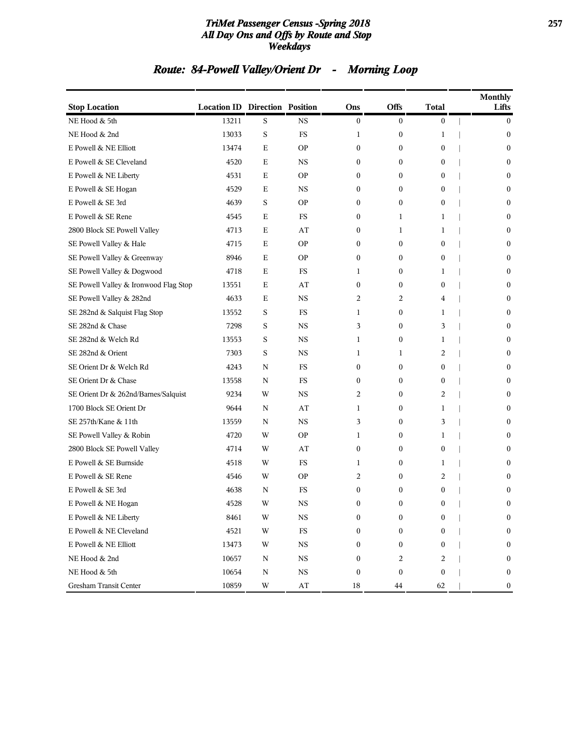#### *TriMet Passenger Census -Spring 2018* **257** *All Day Ons and Offs by Route and Stop Weekdays*

# *Route: 84-Powell Valley/Orient Dr - Morning Loop*

| <b>Stop Location</b>                  | <b>Location ID Direction Position</b> |         |                        | Ons              | <b>Offs</b>      | <b>Total</b>     | <b>Monthly</b><br>Lifts |
|---------------------------------------|---------------------------------------|---------|------------------------|------------------|------------------|------------------|-------------------------|
| NE Hood & 5th                         | 13211                                 | S       | <b>NS</b>              | $\mathbf{0}$     | $\mathbf{0}$     | $\overline{0}$   | $\bf{0}$                |
| NE Hood & 2nd                         | 13033                                 | $\rm S$ | FS                     | 1                | $\boldsymbol{0}$ | 1                | $\bf{0}$                |
| E Powell & NE Elliott                 | 13474                                 | E       | <b>OP</b>              | $\boldsymbol{0}$ | $\mathbf{0}$     | $\mathbf{0}$     | $\bf{0}$                |
| E Powell & SE Cleveland               | 4520                                  | Е       | NS                     | $\boldsymbol{0}$ | $\boldsymbol{0}$ | $\boldsymbol{0}$ | $\mathbf{0}$            |
| E Powell & NE Liberty                 | 4531                                  | E       | <b>OP</b>              | $\mathbf{0}$     | $\mathbf{0}$     | $\mathbf{0}$     | $\mathbf{0}$            |
| E Powell & SE Hogan                   | 4529                                  | Е       | NS                     | $\mathbf{0}$     | $\mathbf{0}$     | 0                | $\boldsymbol{0}$        |
| E Powell & SE 3rd                     | 4639                                  | S       | <b>OP</b>              | $\boldsymbol{0}$ | $\boldsymbol{0}$ | $\boldsymbol{0}$ | $\mathbf{0}$            |
| E Powell & SE Rene                    | 4545                                  | Е       | FS                     | $\boldsymbol{0}$ | 1                | 1                | $\boldsymbol{0}$        |
| 2800 Block SE Powell Valley           | 4713                                  | Е       | AT                     | $\boldsymbol{0}$ | 1                | 1                | $\mathbf{0}$            |
| SE Powell Valley & Hale               | 4715                                  | E       | <b>OP</b>              | $\mathbf{0}$     | $\mathbf{0}$     | $\mathbf{0}$     | $\mathbf{0}$            |
| SE Powell Valley & Greenway           | 8946                                  | Е       | <b>OP</b>              | $\mathbf{0}$     | $\mathbf{0}$     | 0                | $\boldsymbol{0}$        |
| SE Powell Valley & Dogwood            | 4718                                  | E       | FS                     | 1                | $\boldsymbol{0}$ | 1                | $\mathbf{0}$            |
| SE Powell Valley & Ironwood Flag Stop | 13551                                 | Е       | AT                     | $\mathbf{0}$     | $\mathbf{0}$     | $\mathbf{0}$     | $\mathbf{0}$            |
| SE Powell Valley & 282nd              | 4633                                  | Е       | <b>NS</b>              | $\overline{2}$   | 2                | 4                | $\mathbf{0}$            |
| SE 282nd & Salquist Flag Stop         | 13552                                 | S       | <b>FS</b>              | 1                | $\mathbf{0}$     | 1                | $\mathbf{0}$            |
| SE 282nd & Chase                      | 7298                                  | S       | <b>NS</b>              | 3                | $\bf{0}$         | 3                | $\bf{0}$                |
| SE 282nd & Welch Rd                   | 13553                                 | S       | <b>NS</b>              | 1                | $\boldsymbol{0}$ | 1                | $\mathbf{0}$            |
| SE 282nd & Orient                     | 7303                                  | S       | <b>NS</b>              | 1                | 1                | 2                | $\boldsymbol{0}$        |
| SE Orient Dr & Welch Rd               | 4243                                  | N       | FS                     | $\boldsymbol{0}$ | $\boldsymbol{0}$ | $\boldsymbol{0}$ | $\mathbf{0}$            |
| SE Orient Dr & Chase                  | 13558                                 | N       | FS                     | $\mathbf{0}$     | $\mathbf{0}$     | $\mathbf{0}$     | $\mathbf{0}$            |
| SE Orient Dr & 262nd/Barnes/Salquist  | 9234                                  | W       | <b>NS</b>              | 2                | $\boldsymbol{0}$ | 2                | $\boldsymbol{0}$        |
| 1700 Block SE Orient Dr               | 9644                                  | N       | AT                     | 1                | $\boldsymbol{0}$ | 1                | $\mathbf{0}$            |
| SE 257th/Kane & 11th                  | 13559                                 | N       | <b>NS</b>              | 3                | $\mathbf{0}$     | 3                | $\mathbf{0}$            |
| SE Powell Valley & Robin              | 4720                                  | W       | <b>OP</b>              | 1                | $\boldsymbol{0}$ | 1                | $\mathbf{0}$            |
| 2800 Block SE Powell Valley           | 4714                                  | W       | AT                     | $\mathbf{0}$     | $\mathbf{0}$     | $\mathbf{0}$     | $\mathbf{0}$            |
| E Powell & SE Burnside                | 4518                                  | W       | FS                     | 1                | $\bf{0}$         | 1                | $\boldsymbol{0}$        |
| E Powell & SE Rene                    | 4546                                  | W       | <b>OP</b>              | 2                | $\bf{0}$         | 2                | $\mathbf{0}$            |
| E Powell & SE 3rd                     | 4638                                  | N       | FS                     | $\boldsymbol{0}$ | $\bf{0}$         | $\mathbf{0}$     | $\boldsymbol{0}$        |
| E Powell & NE Hogan                   | 4528                                  | W       | <b>NS</b>              | $\boldsymbol{0}$ | $\mathbf{0}$     | 0                | $\boldsymbol{0}$        |
| E Powell & NE Liberty                 | 8461                                  | W       | NS                     | $\boldsymbol{0}$ | $\boldsymbol{0}$ | $\boldsymbol{0}$ | $\mathbf{0}$            |
| E Powell & NE Cleveland               | 4521                                  | W       | FS                     | $\Omega$         | $\bf{0}$         | $\mathbf{0}$     | $\boldsymbol{0}$        |
| E Powell & NE Elliott                 | 13473                                 | W       | $_{\rm NS}$            | $\mathbf{0}$     | $\bf{0}$         | $\mathbf{0}$     | $\boldsymbol{0}$        |
| NE Hood & 2nd                         | 10657                                 | N       | $_{\rm NS}$            | $\mathbf{0}$     | 2                | 2                | $\bf{0}$                |
| NE Hood & 5th                         | 10654                                 | Ν       | $_{\rm NS}$            | $\boldsymbol{0}$ | $\boldsymbol{0}$ | $\boldsymbol{0}$ | $\boldsymbol{0}$        |
| Gresham Transit Center                | 10859                                 | W       | $\mathbf{A}\mathbf{T}$ | 18               | 44               | 62               | $\bf{0}$                |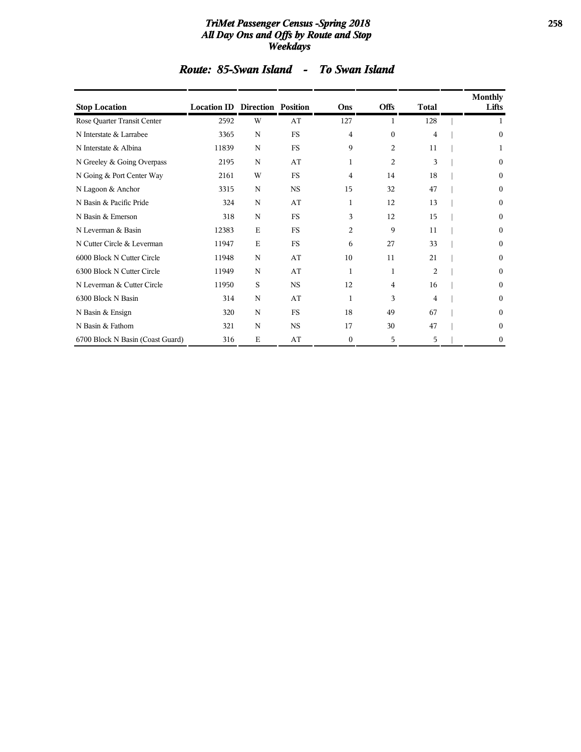#### *TriMet Passenger Census -Spring 2018* **258** *All Day Ons and Offs by Route and Stop Weekdays*

| <b>Stop Location</b>             | <b>Location ID Direction Position</b> |             |           | Ons              | <b>Offs</b>    | <b>Total</b>   | <b>Monthly</b><br>Lifts |
|----------------------------------|---------------------------------------|-------------|-----------|------------------|----------------|----------------|-------------------------|
| Rose Quarter Transit Center      | 2592                                  | W           | AT        | 127              | 1              | 128            | 1                       |
| N Interstate & Larrabee          | 3365                                  | N           | <b>FS</b> | 4                | $\theta$       | 4              | $\boldsymbol{0}$        |
| N Interstate & Albina            | 11839                                 | N           | <b>FS</b> | 9                | $\overline{c}$ | 11             |                         |
| N Greeley & Going Overpass       | 2195                                  | N           | AT        | 1                | $\overline{2}$ | 3              | $\bf{0}$                |
| N Going & Port Center Way        | 2161                                  | W           | <b>FS</b> | 4                | 14             | 18             | $\boldsymbol{0}$        |
| N Lagoon & Anchor                | 3315                                  | N           | <b>NS</b> | 15               | 32             | 47             | $\boldsymbol{0}$        |
| N Basin & Pacific Pride          | 324                                   | N           | AT        | $\mathbf{1}$     | 12             | 13             | $\bf{0}$                |
| N Basin & Emerson                | 318                                   | N           | <b>FS</b> | 3                | 12             | 15             | $\bf{0}$                |
| N Leverman & Basin               | 12383                                 | $\mathbf E$ | <b>FS</b> | 2                | 9              | 11             | 0                       |
| N Cutter Circle & Leverman       | 11947                                 | E           | <b>FS</b> | 6                | 27             | 33             | 0                       |
| 6000 Block N Cutter Circle       | 11948                                 | N           | AT        | 10               | 11             | 21             | 0                       |
| 6300 Block N Cutter Circle       | 11949                                 | $\mathbf N$ | AT        | $\mathbf{1}$     | 1              | $\overline{2}$ | $\theta$                |
| N Leverman & Cutter Circle       | 11950                                 | S           | <b>NS</b> | 12               | 4              | 16             | $\theta$                |
| 6300 Block N Basin               | 314                                   | N           | AT        | 1                | 3              | 4              | $\boldsymbol{0}$        |
| N Basin & Ensign                 | 320                                   | $\mathbf N$ | <b>FS</b> | 18               | 49             | 67             | $\theta$                |
| N Basin & Fathom                 | 321                                   | N           | <b>NS</b> | 17               | 30             | 47             | $\theta$                |
| 6700 Block N Basin (Coast Guard) | 316                                   | $\mathbf E$ | AT        | $\boldsymbol{0}$ | 5              | 5              | 0                       |

# *Route: 85-Swan Island - To Swan Island*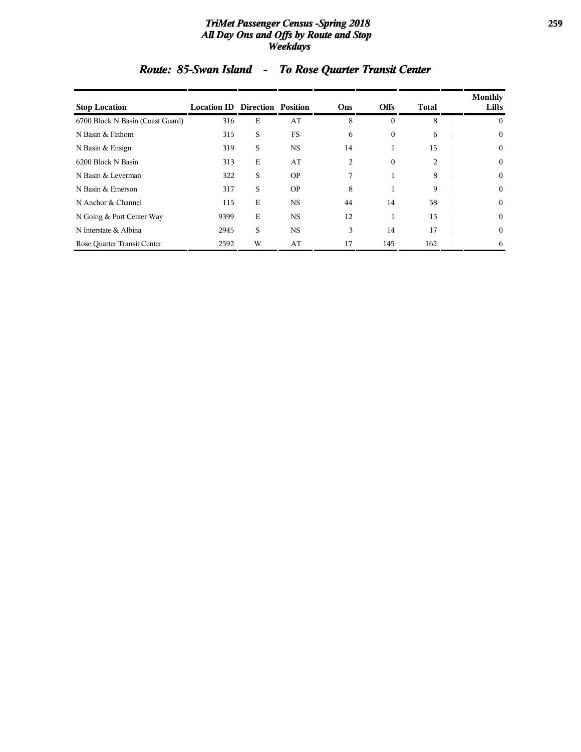#### *TriMet Passenger Census -Spring 2018* **259** *All Day Ons and Offs by Route and Stop Weekdays*

| <b>Stop Location</b>             | <b>Location ID Direction Position</b> |   |           | Ons | <b>Offs</b>      | <b>Total</b> | <b>Monthly</b><br>Lifts |
|----------------------------------|---------------------------------------|---|-----------|-----|------------------|--------------|-------------------------|
| 6700 Block N Basin (Coast Guard) | 316                                   | E | AT        | 8   | $\theta$         | 8            | $\bf{0}$                |
| N Basin & Fathom                 | 315                                   | S | <b>FS</b> | 6   | $\boldsymbol{0}$ | 6            | $\mathbf{0}$            |
| N Basin & Ensign                 | 319                                   | S | <b>NS</b> | 14  | 1                | 15           | $\bf{0}$                |
| 6200 Block N Basin               | 313                                   | Е | AT        | 2   | $\mathbf{0}$     | 2            | $\mathbf{0}$            |
| N Basin & Leverman               | 322                                   | S | <b>OP</b> | 7   |                  | 8            | $\mathbf{0}$            |
| N Basin & Emerson                | 317                                   | S | <b>OP</b> | 8   |                  | 9            | $\mathbf{0}$            |
| N Anchor & Channel               | 115                                   | E | <b>NS</b> | 44  | 14               | 58           | $\mathbf{0}$            |
| N Going & Port Center Way        | 9399                                  | E | <b>NS</b> | 12  | 1                | 13           | $\mathbf{0}$            |
| N Interstate & Albina            | 2945                                  | S | <b>NS</b> | 3   | 14               | 17           | $\mathbf{0}$            |
| Rose Quarter Transit Center      | 2592                                  | W | AT        | 17  | 145              | 162          | 6                       |

# *Route: 85-Swan Island - To Rose Quarter Transit Center*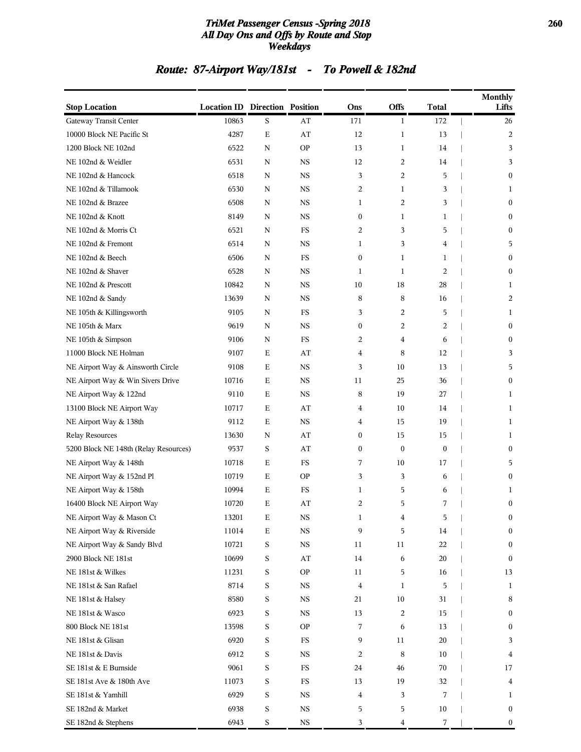#### *TriMet Passenger Census -Spring 2018* **260** *All Day Ons and Offs by Route and Stop Weekdays*

# *Route: 87-Airport Way/181st - To Powell & 182nd*

| <b>Stop Location</b>                  | <b>Location ID Direction Position</b> |             |             | Ons              | Offs         | Total            | <b>Monthly</b><br>Lifts |
|---------------------------------------|---------------------------------------|-------------|-------------|------------------|--------------|------------------|-------------------------|
| Gateway Transit Center                | 10863                                 | $\mathbf S$ | AT          | 171              | 1            | 172              | 26                      |
| 10000 Block NE Pacific St             | 4287                                  | $\mathbf E$ | AT          | 12               | 1            | 13               | 2                       |
| 1200 Block NE 102nd                   | 6522                                  | $\mathbf N$ | <b>OP</b>   | 13               | 1            | 14               | 3                       |
| NE 102nd & Weidler                    | 6531                                  | N           | <b>NS</b>   | 12               | 2            | 14               | 3                       |
| NE 102nd & Hancock                    | 6518                                  | N           | <b>NS</b>   | 3                | 2            | 5                | $\mathbf{0}$            |
| NE 102nd & Tillamook                  | 6530                                  | N           | <b>NS</b>   | 2                | $\mathbf{1}$ | 3                | 1                       |
| NE 102nd & Brazee                     | 6508                                  | N           | <b>NS</b>   | 1                | 2            | 3                | $\boldsymbol{0}$        |
| NE 102nd & Knott                      | 8149                                  | N           | <b>NS</b>   | $\boldsymbol{0}$ | 1            | 1                | $\bf{0}$                |
| NE 102nd & Morris Ct                  | 6521                                  | N           | FS          | 2                | 3            | 5                | $\boldsymbol{0}$        |
| NE 102nd & Fremont                    | 6514                                  | N           | <b>NS</b>   | 1                | 3            | 4                | 5                       |
| NE 102nd & Beech                      | 6506                                  | N           | <b>FS</b>   | $\boldsymbol{0}$ | $\mathbf{1}$ | 1                | $\boldsymbol{0}$        |
| NE 102nd & Shaver                     | 6528                                  | N           | <b>NS</b>   | 1                | 1            | 2                | $\boldsymbol{0}$        |
| NE 102nd & Prescott                   | 10842                                 | N           | <b>NS</b>   | 10               | 18           | 28               | 1                       |
| NE 102nd & Sandy                      | 13639                                 | N           | <b>NS</b>   | 8                | 8            | 16               | 2                       |
| NE 105th & Killingsworth              | 9105                                  | N           | FS          | 3                | 2            | 5                | 1                       |
| NE 105th & Marx                       | 9619                                  | N           | <b>NS</b>   | $\boldsymbol{0}$ | 2            | 2                | $\boldsymbol{0}$        |
| NE 105th & Simpson                    | 9106                                  | N           | FS          | 2                | 4            | 6                | $\bf{0}$                |
| 11000 Block NE Holman                 | 9107                                  | E           | AT          | 4                | 8            | 12               | 3                       |
| NE Airport Way & Ainsworth Circle     | 9108                                  | E           | <b>NS</b>   | 3                | 10           | 13               | 5                       |
| NE Airport Way & Win Sivers Drive     | 10716                                 | E           | <b>NS</b>   | 11               | 25           | 36               | $\boldsymbol{0}$        |
| NE Airport Way & 122nd                | 9110                                  | E           | <b>NS</b>   | 8                | 19           | 27               | $\mathbf{1}$            |
| 13100 Block NE Airport Way            | 10717                                 | E           | AT          | 4                | 10           | 14               | 1                       |
| NE Airport Way & 138th                | 9112                                  | E           | <b>NS</b>   | 4                | 15           | 19               | 1                       |
| <b>Relay Resources</b>                | 13630                                 | N           | AT          | $\boldsymbol{0}$ | 15           | 15               | 1                       |
| 5200 Block NE 148th (Relay Resources) | 9537                                  | S           | AT          | 0                | $\mathbf{0}$ | $\boldsymbol{0}$ | $\bf{0}$                |
| NE Airport Way & 148th                | 10718                                 | E           | ${\rm FS}$  | 7                | 10           | 17               | 5                       |
| NE Airport Way & 152nd Pl             | 10719                                 | E           | <b>OP</b>   | 3                | 3            | 6                | $\boldsymbol{0}$        |
| NE Airport Way & 158th                | 10994                                 | E           | <b>FS</b>   | 1                | 5            | 6                | 1                       |
| 16400 Block NE Airport Way            | 10720                                 | E           | AT          | 2                | 5            | 7                | $\boldsymbol{0}$        |
| NE Airport Way & Mason Ct             | 13201                                 | $\mathbf E$ | $_{\rm NS}$ | 1                | 4            | 5                | $\boldsymbol{0}$        |
| NE Airport Way & Riverside            | $11014\,$                             | $\mathbf E$ | $_{\rm NS}$ | 9                | 5            | 14               | $\boldsymbol{0}$        |
| NE Airport Way & Sandy Blvd           | 10721                                 | S           | $_{\rm NS}$ | 11               | 11           | 22               | $\boldsymbol{0}$        |
| 2900 Block NE 181st                   | 10699                                 | S           | AT          | 14               | 6            | 20               | $\boldsymbol{0}$        |
| NE 181st & Wilkes                     | 11231                                 | S           | <b>OP</b>   | 11               | 5            | 16               | 13                      |
| NE 181st & San Rafael                 | 8714                                  | S           | $_{\rm NS}$ | $\overline{4}$   | 1            | 5                | 1                       |
| NE 181st & Halsey                     | 8580                                  | S           | $_{\rm NS}$ | 21               | 10           | 31               | 8                       |
| NE 181st & Wasco                      | 6923                                  | S           | $_{\rm NS}$ | 13               | 2            | 15               | $\boldsymbol{0}$        |
| 800 Block NE 181st                    | 13598                                 | S           | <b>OP</b>   | 7                | 6            | 13               | $\boldsymbol{0}$        |
| NE 181st & Glisan                     | 6920                                  | S           | $_{\rm FS}$ | 9                | $11\,$       | 20               | 3                       |
| NE 181st & Davis                      | 6912                                  | S           | $_{\rm NS}$ | 2                | 8            | 10               | 4                       |
| SE 181st & E Burnside                 | 9061                                  | S           | $_{\rm FS}$ | 24               | 46           | 70               | 17                      |
| SE 181st Ave & 180th Ave              | 11073                                 | S           | $_{\rm FS}$ | 13               | 19           | 32               | 4                       |
| SE 181st & Yamhill                    | 6929                                  | S           | $_{\rm NS}$ | 4                | 3            | 7                | 1                       |
| SE 182nd & Market                     | 6938                                  | S           | $_{\rm NS}$ | 5                | 5            | 10               | $\bf{0}$                |
| SE 182nd & Stephens                   | 6943                                  | S           | $_{\rm NS}$ | 3                | 4            | 7                | $\boldsymbol{0}$        |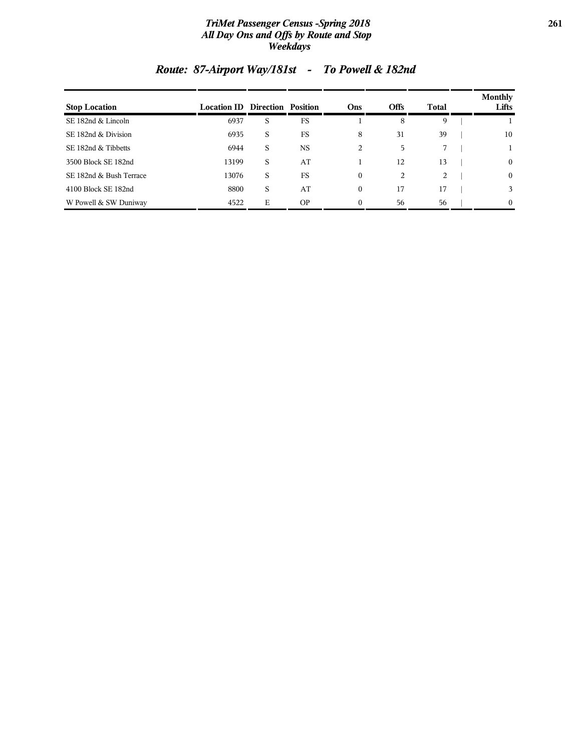#### *TriMet Passenger Census -Spring 2018* **261** *All Day Ons and Offs by Route and Stop Weekdays*

| <b>Stop Location</b>    | <b>Location ID Direction Position</b> |   |           | Ons      | <b>Offs</b> | Total | Monthly<br>Lifts |
|-------------------------|---------------------------------------|---|-----------|----------|-------------|-------|------------------|
| SE 182nd & Lincoln      | 6937                                  | S | <b>FS</b> |          | 8           | 9     |                  |
| SE 182nd & Division     | 6935                                  | S | <b>FS</b> | 8        | 31          | 39    | 10               |
| SE 182nd & Tibbetts     | 6944                                  | S | NS        | 2        | 5           |       |                  |
| 3500 Block SE 182nd     | 13199                                 | S | AT        |          | 12          | 13    | $\mathbf{0}$     |
| SE 182nd & Bush Terrace | 13076                                 | S | <b>FS</b> | 0        | 2           | 2     | $\mathbf{0}$     |
| 4100 Block SE 182nd     | 8800                                  | S | AT        | 0        | 17          | 17    | 3                |
| W Powell & SW Duniway   | 4522                                  | Е | <b>OP</b> | $\Omega$ | 56          | 56    | $\theta$         |

# *Route: 87-Airport Way/181st - To Powell & 182nd*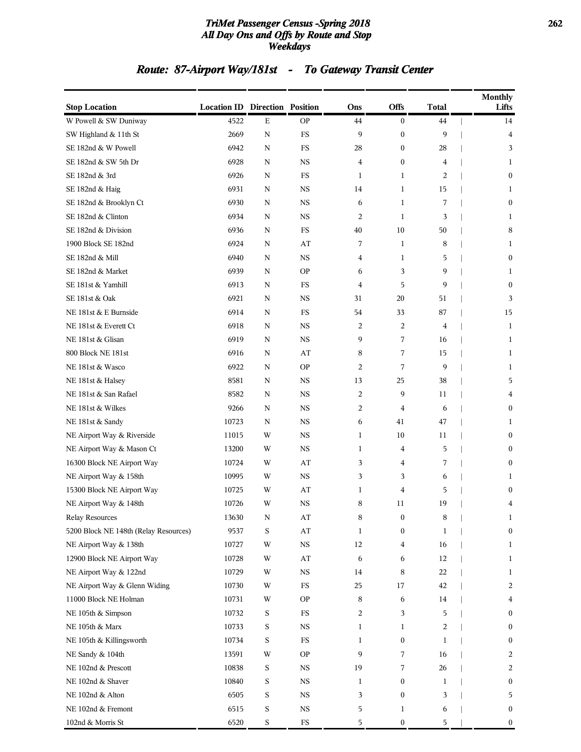#### *TriMet Passenger Census -Spring 2018* **262** *All Day Ons and Offs by Route and Stop Weekdays*

# *Route: 87-Airport Way/181st - To Gateway Transit Center*

| <b>Stop Location</b>                  | <b>Location ID Direction Position</b> |             |             | Ons            | <b>Offs</b>      | <b>Total</b>   | <b>Monthly</b><br>Lifts |
|---------------------------------------|---------------------------------------|-------------|-------------|----------------|------------------|----------------|-------------------------|
| W Powell & SW Duniway                 | 4522                                  | $\mathbf E$ | <b>OP</b>   | 44             | $\boldsymbol{0}$ | 44             | 14                      |
| SW Highland & 11th St                 | 2669                                  | $\mathbf N$ | $_{\rm FS}$ | 9              | $\boldsymbol{0}$ | 9              | 4                       |
| SE 182nd & W Powell                   | 6942                                  | ${\bf N}$   | $_{\rm FS}$ | 28             | $\overline{0}$   | 28             | 3                       |
| SE 182nd & SW 5th Dr                  | 6928                                  | N           | <b>NS</b>   | $\overline{4}$ | 0                | 4              | 1                       |
| SE 182nd & 3rd                        | 6926                                  | ${\bf N}$   | FS          | 1              | 1                | 2              | $\mathbf{0}$            |
| SE 182nd & Haig                       | 6931                                  | N           | <b>NS</b>   | 14             | 1                | 15             | 1                       |
| SE 182nd & Brooklyn Ct                | 6930                                  | N           | <b>NS</b>   | 6              | 1                | 7              | $\boldsymbol{0}$        |
| SE 182nd & Clinton                    | 6934                                  | ${\bf N}$   | <b>NS</b>   | 2              | 1                | 3              | 1                       |
| SE 182nd & Division                   | 6936                                  | N           | $_{\rm FS}$ | 40             | 10               | 50             | 8                       |
| 1900 Block SE 182nd                   | 6924                                  | N           | AT          | 7              | 1                | 8              | 1                       |
| SE 182nd & Mill                       | 6940                                  | N           | <b>NS</b>   | 4              | 1                | 5              | $\boldsymbol{0}$        |
| SE 182nd & Market                     | 6939                                  | $\mathbf N$ | <b>OP</b>   | 6              | 3                | 9              | 1                       |
| SE 181st & Yamhill                    | 6913                                  | ${\bf N}$   | $_{\rm FS}$ | 4              | 5                | 9              | $\mathbf{0}$            |
| SE 181st & Oak                        | 6921                                  | N           | <b>NS</b>   | 31             | 20               | 51             | 3                       |
| NE 181st & E Burnside                 | 6914                                  | $\mathbf N$ | $_{\rm FS}$ | 54             | 33               | 87             | 15                      |
| NE 181st & Everett Ct                 | 6918                                  | N           | <b>NS</b>   | 2              | 2                | $\overline{4}$ | 1                       |
| NE 181st & Glisan                     | 6919                                  | $\mathbf N$ | <b>NS</b>   | 9              | 7                | 16             | 1                       |
| 800 Block NE 181st                    | 6916                                  | $\mathbf N$ | AT          | 8              | 7                | 15             | 1                       |
| NE 181st & Wasco                      | 6922                                  | N           | <b>OP</b>   | 2              | 7                | 9              | 1                       |
| NE 181st & Halsey                     | 8581                                  | ${\bf N}$   | <b>NS</b>   | 13             | 25               | 38             | 5                       |
| NE 181st & San Rafael                 | 8582                                  | N           | <b>NS</b>   | 2              | 9                | 11             | 4                       |
| NE 181st & Wilkes                     | 9266                                  | N           | <b>NS</b>   | 2              | 4                | 6              | $\boldsymbol{0}$        |
| NE 181st & Sandy                      | 10723                                 | N           | <b>NS</b>   | 6              | 41               | 47             | 1                       |
| NE Airport Way & Riverside            | 11015                                 | W           | <b>NS</b>   | 1              | 10               | 11             | $\bf{0}$                |
| NE Airport Way & Mason Ct             | 13200                                 | W           | <b>NS</b>   | 1              | 4                | 5              | $\mathbf{0}$            |
| 16300 Block NE Airport Way            | 10724                                 | W           | AT          | 3              | 4                | 7              | $\bf{0}$                |
| NE Airport Way & 158th                | 10995                                 | W           | <b>NS</b>   | 3              | 3                | 6              | 1                       |
| 15300 Block NE Airport Way            | 10725                                 | W           | AT          | 1              | 4                | 5              | $\mathbf{0}$            |
| NE Airport Way & 148th                | 10726                                 | W           | <b>NS</b>   | 8              | 11               | 19             | 4                       |
| <b>Relay Resources</b>                | 13630                                 | $\mathbf N$ | AT          | 8              | $\bf{0}$         | 8              | 1                       |
| 5200 Block NE 148th (Relay Resources) | 9537                                  | S           | AT          | 1              | 0                | 1              | $\mathbf{0}$            |
| NE Airport Way & 138th                | 10727                                 | W           | $_{\rm NS}$ | 12             | 4                | 16             | 1                       |
| 12900 Block NE Airport Way            | 10728                                 | W           | AT          | 6              | 6                | 12             | 1                       |
| NE Airport Way & 122nd                | 10729                                 | W           | $_{\rm NS}$ | 14             | 8                | 22             | 1                       |
| NE Airport Way & Glenn Widing         | 10730                                 | W           | $_{\rm FS}$ | 25             | 17               | 42             | 2                       |
| 11000 Block NE Holman                 | 10731                                 | W           | <b>OP</b>   | 8              | 6                | 14             | 4                       |
| NE 105th & Simpson                    | 10732                                 | $\mathbf S$ | $_{\rm FS}$ | 2              | 3                | 5              | $\boldsymbol{0}$        |
| NE 105th & Marx                       | 10733                                 | S           | $_{\rm NS}$ | 1              | 1                | 2              | $\mathbf{0}$            |
| NE 105th & Killingsworth              | 10734                                 | S           | ${\rm FS}$  | 1              | $\boldsymbol{0}$ | $\mathbf{1}$   | $\boldsymbol{0}$        |
| NE Sandy & 104th                      | 13591                                 | W           | <b>OP</b>   | 9              | 7                | 16             | 2                       |
| NE 102nd & Prescott                   | 10838                                 | $\mathbf S$ | $_{\rm NS}$ | 19             | 7                | 26             | 2                       |
| NE 102nd & Shaver                     | 10840                                 | $\mathbf S$ | $_{\rm NS}$ | 1              | 0                | 1              | $\bf{0}$                |
| NE 102nd & Alton                      | 6505                                  | S           | $_{\rm NS}$ | 3              | $\overline{0}$   | 3              | 5                       |
| NE 102nd & Fremont                    | 6515                                  | S           | $_{\rm NS}$ | 5              | 1                | 6              | $\boldsymbol{0}$        |
| 102nd & Morris St                     | 6520                                  | S           | $_{\rm FS}$ | 5              | 0                | 5              | $\boldsymbol{0}$        |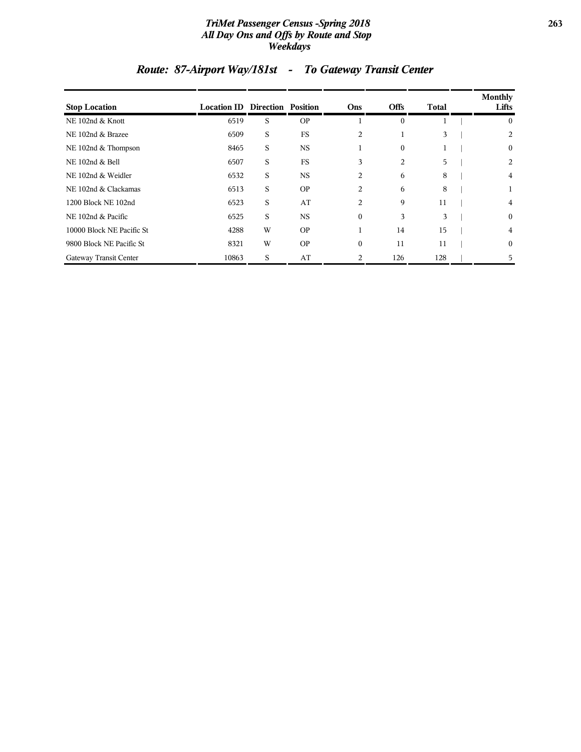#### *TriMet Passenger Census -Spring 2018* **263** *All Day Ons and Offs by Route and Stop Weekdays*

| <b>Stop Location</b>      | <b>Location ID Direction Position</b> |   |           | Ons          | <b>Offs</b>      | <b>Total</b> | Monthly<br>Lifts |
|---------------------------|---------------------------------------|---|-----------|--------------|------------------|--------------|------------------|
| NE 102nd & Knott          | 6519                                  | S | <b>OP</b> |              | $\mathbf{0}$     |              | $\mathbf{0}$     |
| NE 102nd & Brazee         | 6509                                  | S | FS        | 2            |                  | 3            | 2                |
| NE 102nd & Thompson       | 8465                                  | S | <b>NS</b> |              | $\boldsymbol{0}$ |              | $\mathbf{0}$     |
| NE 102nd & Bell           | 6507                                  | S | FS        | 3            | 2                | 5            | 2                |
| NE 102nd & Weidler        | 6532                                  | S | <b>NS</b> | 2            | 6                | 8            | 4                |
| NE 102nd & Clackamas      | 6513                                  | S | <b>OP</b> | 2            | 6                | 8            | 1                |
| 1200 Block NE 102nd       | 6523                                  | S | AT        | 2            | 9                | 11           | 4                |
| NE 102nd & Pacific        | 6525                                  | S | <b>NS</b> | $\mathbf{0}$ | 3                | 3            | $\mathbf{0}$     |
| 10000 Block NE Pacific St | 4288                                  | W | <b>OP</b> |              | 14               | 15           | 4                |
| 9800 Block NE Pacific St  | 8321                                  | W | <b>OP</b> | $\theta$     | 11               | 11           | $\mathbf{0}$     |
| Gateway Transit Center    | 10863                                 | S | AT        | 2            | 126              | 128          | 5                |

# *Route: 87-Airport Way/181st - To Gateway Transit Center*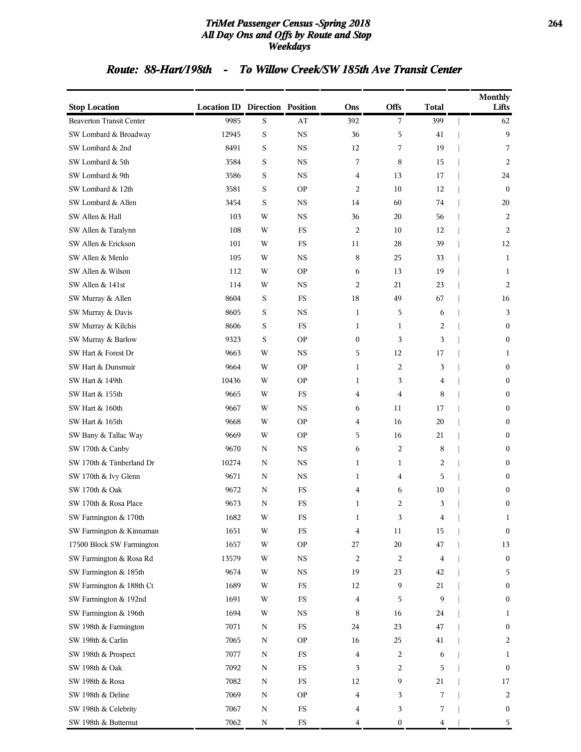#### *TriMet Passenger Census -Spring 2018* **264** *All Day Ons and Offs by Route and Stop Weekdays*

### *Route: 88-Hart/198th - To Willow Creek/SW 185th Ave Transit Center*

| <b>Stop Location</b>            | <b>Location ID Direction Position</b> |                         |             | Ons              | Offs             | <b>Total</b> | <b>Monthly</b><br>Lifts |
|---------------------------------|---------------------------------------|-------------------------|-------------|------------------|------------------|--------------|-------------------------|
| <b>Beaverton Transit Center</b> | 9985                                  | S                       | AT          | 392              | 7                | 399          | 62                      |
| SW Lombard & Broadway           | 12945                                 | S                       | <b>NS</b>   | 36               | 5                | 41           | 9                       |
| SW Lombard & 2nd                | 8491                                  | S                       | <b>NS</b>   | 12               | 7                | 19           | 7                       |
| SW Lombard & 5th                | 3584                                  | S                       | <b>NS</b>   | 7                | 8                | 15           | 2                       |
| SW Lombard & 9th                | 3586                                  | S                       | <b>NS</b>   | 4                | 13               | 17           | 24                      |
| SW Lombard & 12th               | 3581                                  | S                       | <b>OP</b>   | 2                | 10               | 12           | $\mathbf{0}$            |
| SW Lombard & Allen              | 3454                                  | S                       | <b>NS</b>   | 14               | 60               | 74           | 20                      |
| SW Allen & Hall                 | 103                                   | W                       | <b>NS</b>   | 36               | 20               | 56           | 2                       |
| SW Allen & Taralynn             | 108                                   | W                       | <b>FS</b>   | 2                | 10               | 12           | 2                       |
| SW Allen & Erickson             | 101                                   | W                       | FS          | 11               | 28               | 39           | 12                      |
| SW Allen & Menlo                | 105                                   | W                       | $_{\rm NS}$ | 8                | 25               | 33           | 1                       |
| SW Allen & Wilson               | 112                                   | W                       | <b>OP</b>   | 6                | 13               | 19           | 1                       |
| SW Allen & 141st                | 114                                   | W                       | <b>NS</b>   | 2                | 21               | 23           | 2                       |
| SW Murray & Allen               | 8604                                  | S                       | FS          | 18               | 49               | 67           | 16                      |
| SW Murray & Davis               | 8605                                  | S                       | <b>NS</b>   | 1                | 5                | 6            | 3                       |
| SW Murray & Kilchis             | 8606                                  | S                       | FS          | 1                | 1                | 2            | $\mathbf{0}$            |
| SW Murray & Barlow              | 9323                                  | S                       | <b>OP</b>   | $\boldsymbol{0}$ | 3                | 3            | $\mathbf{0}$            |
| SW Hart & Forest Dr             | 9663                                  | W                       | <b>NS</b>   | 5                | 12               | 17           | 1                       |
| SW Hart & Dunsmuir              | 9664                                  | W                       | <b>OP</b>   | 1                | 2                | 3            | $\mathbf{0}$            |
| SW Hart & 149th                 | 10436                                 | W                       | <b>OP</b>   | 1                | 3                | 4            | $\boldsymbol{0}$        |
| SW Hart & 155th                 | 9665                                  | W                       | FS          | 4                | 4                | 8            | $\mathbf{0}$            |
| SW Hart & 160th                 | 9667                                  | W                       | $_{\rm NS}$ | 6                | 11               | 17           | $\mathbf{0}$            |
| SW Hart & 165th                 | 9668                                  | W                       | <b>OP</b>   | 4                | 16               | 20           | $\boldsymbol{0}$        |
| SW Bany & Tallac Way            | 9669                                  | W                       | <b>OP</b>   | 5                | 16               | 21           | $\mathbf{0}$            |
| SW 170th & Canby                | 9670                                  | N                       | <b>NS</b>   | 6                | 2                | 8            | $\boldsymbol{0}$        |
| SW 170th & Timberland Dr        | 10274                                 | N                       | $_{\rm NS}$ | 1                | 1                | 2            | $\mathbf{0}$            |
| SW 170th & Ivy Glenn            | 9671                                  | N                       | $_{\rm NS}$ | 1                | 4                | 5            | $\mathbf{0}$            |
| SW 170th & Oak                  | 9672                                  | N                       | FS          | 4                | 6                | 10           | $\boldsymbol{0}$        |
| SW 170th & Rosa Place           | 9673                                  | N                       | FS          | 1                | 2                | 3            | $\boldsymbol{0}$        |
| SW Farmington & 170th           | 1682                                  | $\ensuremath{\text{W}}$ | FS          | 1                | 3                | 4            | 1                       |
| SW Farmington & Kinnaman        | 1651                                  | W                       | <b>FS</b>   | 4                | 11               | 15           | $\boldsymbol{0}$        |
| 17500 Block SW Farmington       | 1657                                  | W                       | <b>OP</b>   | 27               | 20               | 47           | 13                      |
| SW Farmington & Rosa Rd         | 13579                                 | W                       | <b>NS</b>   | 2                | 2                | 4            | $\bf{0}$                |
| SW Farmington & 185th           | 9674                                  | W                       | $_{\rm NS}$ | 19               | 23               | 42           | 5                       |
| SW Farmington & 188th Ct        | 1689                                  | W                       | FS          | 12               | 9                | 21           | $\boldsymbol{0}$        |
| SW Farmington & 192nd           | 1691                                  | W                       | FS          | 4                | 5                | 9            | $\boldsymbol{0}$        |
| SW Farmington & 196th           | 1694                                  | W                       | <b>NS</b>   | 8                | 16               | 24           | 1                       |
| SW 198th & Farmington           | 7071                                  | Ν                       | FS          | 24               | 23               | 47           | $\bf{0}$                |
| SW 198th & Carlin               | 7065                                  | N                       | <b>OP</b>   | 16               | 25               | 41           | 2                       |
| SW 198th & Prospect             | 7077                                  | N                       | FS          | 4                | 2                | 6            | 1                       |
| SW 198th & Oak                  | 7092                                  | N                       | FS          | 3                | 2                | 5            | $\boldsymbol{0}$        |
| SW 198th & Rosa                 | 7082                                  | N                       | FS          | 12               | 9                | 21           | 17                      |
| SW 198th & Deline               | 7069                                  | N                       | <b>OP</b>   | 4                | 3                | 7            | 2                       |
| SW 198th & Celebrity            | 7067                                  | N                       | FS          | 4                | 3                | 7            | $\bf{0}$                |
| SW 198th & Butternut            | 7062                                  | N                       | FS          | 4                | $\boldsymbol{0}$ | 4            | 5                       |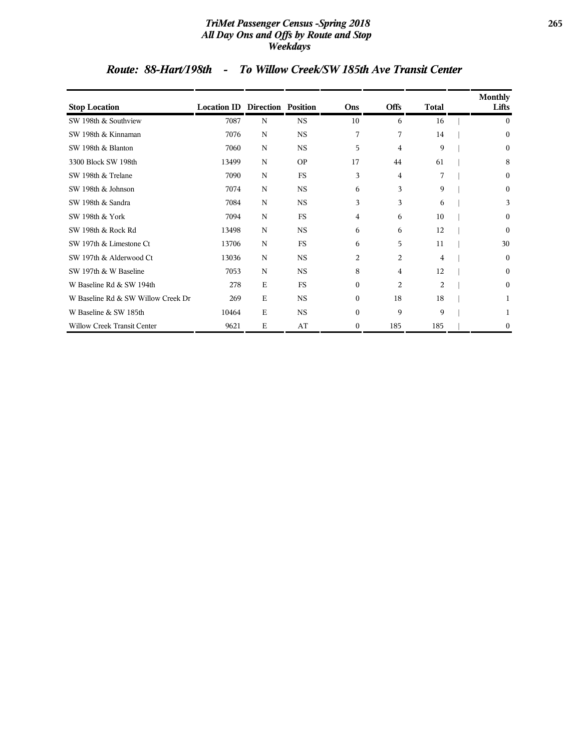#### *TriMet Passenger Census -Spring 2018* **265** *All Day Ons and Offs by Route and Stop Weekdays*

### *Route: 88-Hart/198th - To Willow Creek/SW 185th Ave Transit Center*

| <b>Stop Location</b>               | <b>Location ID Direction Position</b> |             |           | Ons          | <b>Offs</b> | <b>Total</b> | Monthly<br>Lifts |
|------------------------------------|---------------------------------------|-------------|-----------|--------------|-------------|--------------|------------------|
| SW 198th & Southview               | 7087                                  | N           | <b>NS</b> | 10           | 6           | 16           | 0                |
| SW 198th & Kinnaman                | 7076                                  | N           | <b>NS</b> | 7            | 7           | 14           | $\boldsymbol{0}$ |
| SW 198th & Blanton                 | 7060                                  | N           | <b>NS</b> | 5            | 4           | 9            | $\theta$         |
| 3300 Block SW 198th                | 13499                                 | N           | <b>OP</b> | 17           | 44          | 61           | 8                |
| SW 198th & Trelane                 | 7090                                  | N           | <b>FS</b> | 3            | 4           | 7            | $\theta$         |
| SW 198th & Johnson                 | 7074                                  | N           | <b>NS</b> | 6            | 3           | 9            | $\mathbf{0}$     |
| SW 198th & Sandra                  | 7084                                  | N           | <b>NS</b> | 3            | 3           | 6            | 3                |
| SW 198th & York                    | 7094                                  | N           | FS        | 4            | 6           | 10           | $\mathbf{0}$     |
| SW 198th & Rock Rd                 | 13498                                 | N           | <b>NS</b> | 6            | 6           | 12           | $\theta$         |
| SW 197th & Limestone Ct            | 13706                                 | N           | <b>FS</b> | 6            | 5           | 11           | 30               |
| SW 197th & Alderwood Ct            | 13036                                 | N           | <b>NS</b> | 2            | 2           | 4            | $\bf{0}$         |
| SW 197th & W Baseline              | 7053                                  | N           | <b>NS</b> | 8            | 4           | 12           | $\mathbf{0}$     |
| W Baseline Rd & SW 194th           | 278                                   | $\mathbf E$ | FS        | $\theta$     | 2           | 2            | $\theta$         |
| W Baseline Rd & SW Willow Creek Dr | 269                                   | $\mathbf E$ | <b>NS</b> | $\theta$     | 18          | 18           |                  |
| W Baseline & SW 185th              | 10464                                 | E           | <b>NS</b> | $\Omega$     | 9           | 9            |                  |
| <b>Willow Creek Transit Center</b> | 9621                                  | $\mathbf E$ | AT        | $\mathbf{0}$ | 185         | 185          | $\bf{0}$         |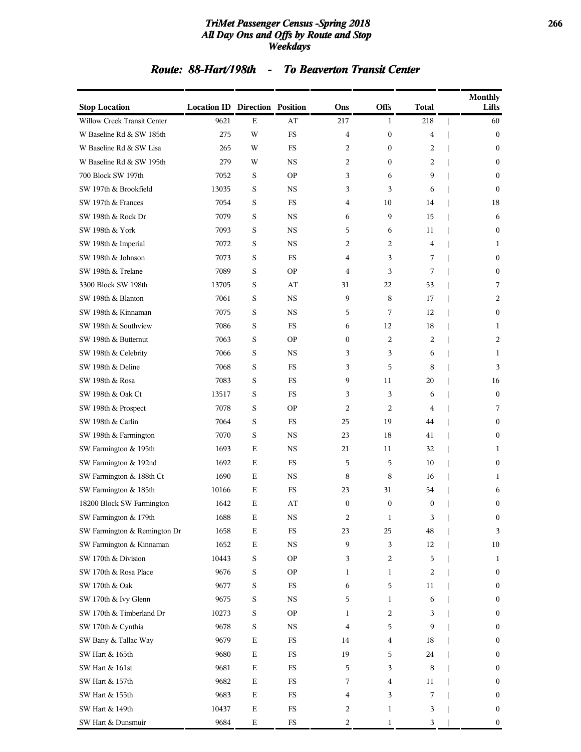#### *TriMet Passenger Census -Spring 2018* **266** *All Day Ons and Offs by Route and Stop Weekdays*

### *Route: 88-Hart/198th - To Beaverton Transit Center*

| <b>Stop Location</b>         | <b>Location ID Direction Position</b> |             |             | Ons              | Offs             | <b>Total</b>     | <b>Monthly</b> | Lifts            |
|------------------------------|---------------------------------------|-------------|-------------|------------------|------------------|------------------|----------------|------------------|
| Willow Creek Transit Center  | 9621                                  | $\mathbf E$ | AT          | 217              | 1                | 218              |                | 60               |
| W Baseline Rd & SW 185th     | 275                                   | W           | <b>FS</b>   | 4                | $\boldsymbol{0}$ | 4                |                | $\boldsymbol{0}$ |
| W Baseline Rd & SW Lisa      | 265                                   | W           | <b>FS</b>   | 2                | $\boldsymbol{0}$ | 2                |                | $\boldsymbol{0}$ |
| W Baseline Rd & SW 195th     | 279                                   | W           | <b>NS</b>   | 2                | $\mathbf{0}$     | 2                |                | $\boldsymbol{0}$ |
| 700 Block SW 197th           | 7052                                  | S           | <b>OP</b>   | 3                | 6                | 9                |                | $\boldsymbol{0}$ |
| SW 197th & Brookfield        | 13035                                 | S           | <b>NS</b>   | 3                | 3                | 6                |                | $\boldsymbol{0}$ |
| SW 197th & Frances           | 7054                                  | S           | <b>FS</b>   | 4                | 10               | 14               |                | 18               |
| SW 198th & Rock Dr           | 7079                                  | S           | <b>NS</b>   | 6                | 9                | 15               |                | 6                |
| SW 198th & York              | 7093                                  | S           | <b>NS</b>   | 5                | 6                | 11               |                | $\mathbf{0}$     |
| SW 198th & Imperial          | 7072                                  | S           | <b>NS</b>   | 2                | 2                | 4                |                | 1                |
| SW 198th & Johnson           | 7073                                  | S           | <b>FS</b>   | 4                | 3                | 7                |                | $\boldsymbol{0}$ |
| SW 198th & Trelane           | 7089                                  | S           | <b>OP</b>   | 4                | 3                | 7                |                | $\boldsymbol{0}$ |
| 3300 Block SW 198th          | 13705                                 | S           | AT          | 31               | 22               | 53               |                | 7                |
| SW 198th & Blanton           | 7061                                  | S           | <b>NS</b>   | 9                | 8                | 17               |                | 2                |
| SW 198th & Kinnaman          | 7075                                  | S           | <b>NS</b>   | 5                | 7                | 12               |                | $\boldsymbol{0}$ |
| SW 198th & Southview         | 7086                                  | S           | <b>FS</b>   | 6                | 12               | 18               |                | 1                |
| SW 198th & Butternut         | 7063                                  | S           | <b>OP</b>   | $\boldsymbol{0}$ | 2                | 2                |                | 2                |
| SW 198th & Celebrity         | 7066                                  | S           | <b>NS</b>   | 3                | 3                | 6                |                | 1                |
| SW 198th & Deline            | 7068                                  | S           | <b>FS</b>   | 3                | 5                | 8                |                | 3                |
| SW 198th & Rosa              | 7083                                  | S           | FS          | 9                | 11               | 20               |                | 16               |
| SW 198th & Oak Ct            | 13517                                 | S           | <b>FS</b>   | 3                | 3                | 6                |                | $\boldsymbol{0}$ |
| SW 198th & Prospect          | 7078                                  | S           | <b>OP</b>   | 2                | 2                | 4                |                | 7                |
| SW 198th & Carlin            | 7064                                  | S           | FS          | 25               | 19               | 44               |                | $\boldsymbol{0}$ |
| SW 198th & Farmington        | 7070                                  | S           | <b>NS</b>   | 23               | 18               | 41               |                | $\mathbf{0}$     |
| SW Farmington & 195th        | 1693                                  | E           | <b>NS</b>   | 21               | 11               | 32               |                | 1                |
| SW Farmington & 192nd        | 1692                                  | E           | <b>FS</b>   | 5                | 5                | 10               |                | $\boldsymbol{0}$ |
| SW Farmington & 188th Ct     | 1690                                  | Е           | NS          | 8                | 8                | 16               |                | 1                |
| SW Farmington & 185th        | 10166                                 | Ε           | <b>FS</b>   | 23               | 31               | 54               |                | 6                |
| 18200 Block SW Farmington    | 1642                                  | E           | AT          | $\mathbf{0}$     | $\mathbf{0}$     | $\boldsymbol{0}$ |                | $\mathbf{0}$     |
| SW Farmington & 179th        | 1688                                  | Е           | NS          | 2                | 1                | 3                |                | $\bf{0}$         |
| SW Farmington & Remington Dr | 1658                                  | Е           | $_{\rm FS}$ | 23               | 25               | 48               |                | 3                |
| SW Farmington & Kinnaman     | 1652                                  | E           | $_{\rm NS}$ | 9                | 3                | 12               |                | 10               |
| SW 170th & Division          | 10443                                 | S           | <b>OP</b>   | 3                | 2                | 5                |                | 1                |
| SW 170th & Rosa Place        | 9676                                  | S           | <b>OP</b>   | 1                | 1                | 2                |                | $\boldsymbol{0}$ |
| SW 170th & Oak               | 9677                                  | S           | $_{\rm FS}$ | 6                | 5                | 11               |                | $\boldsymbol{0}$ |
| SW 170th & Ivy Glenn         | 9675                                  | S           | $_{\rm NS}$ | 5                | 1                | 6                |                | $\boldsymbol{0}$ |
| SW 170th & Timberland Dr     | 10273                                 | S           | <b>OP</b>   | 1                | 2                | 3                |                | $\boldsymbol{0}$ |
| SW 170th & Cynthia           | 9678                                  | S           | $_{\rm NS}$ | 4                | 5                | 9                |                | $\boldsymbol{0}$ |
| SW Bany & Tallac Way         | 9679                                  | E           | $_{\rm FS}$ | 14               | 4                | 18               |                | $\boldsymbol{0}$ |
| SW Hart & 165th              | 9680                                  | E           | $_{\rm FS}$ | 19               | 5                | 24               |                | $\boldsymbol{0}$ |
| SW Hart & 161st              | 9681                                  | E           | $_{\rm FS}$ | 5                | 3                | 8                |                | $\boldsymbol{0}$ |
| SW Hart & 157th              | 9682                                  | E           | FS          | 7                | 4                | 11               |                | $\boldsymbol{0}$ |
| SW Hart & 155th              | 9683                                  | Е           | $_{\rm FS}$ | 4                | 3                | 7                |                | $\boldsymbol{0}$ |
| SW Hart & 149th              | 10437                                 | E           | $_{\rm FS}$ | 2                | 1                | 3                |                | $\boldsymbol{0}$ |
| SW Hart & Dunsmuir           | 9684                                  | E           | $_{\rm FS}$ | 2                | $\mathbf{1}$     | 3                |                | $\boldsymbol{0}$ |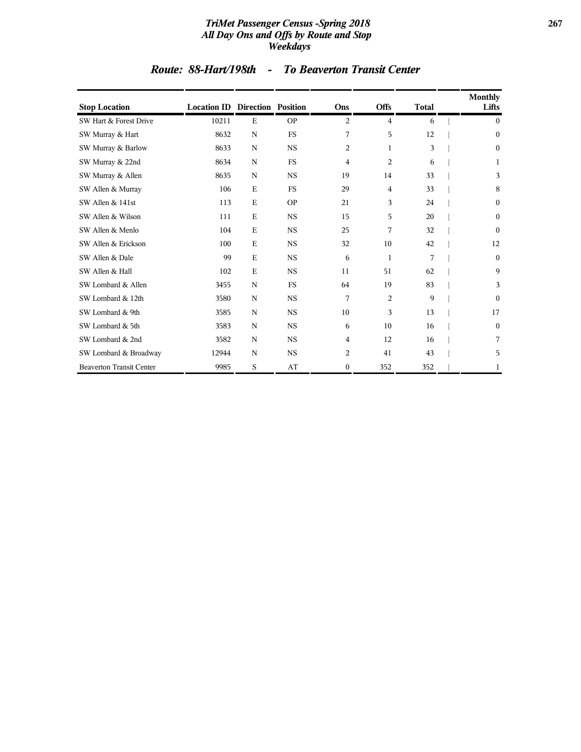#### *TriMet Passenger Census -Spring 2018* **267** *All Day Ons and Offs by Route and Stop Weekdays*

| <b>Stop Location</b>            | <b>Location ID Direction Position</b> |             |             | Ons              | <b>Offs</b>    | <b>Total</b> | <b>Monthly</b><br>Lifts |
|---------------------------------|---------------------------------------|-------------|-------------|------------------|----------------|--------------|-------------------------|
| SW Hart & Forest Drive          | 10211                                 | E           | <b>OP</b>   | 2                | 4              | 6            | $\Omega$                |
| SW Murray & Hart                | 8632                                  | $\mathbf N$ | <b>FS</b>   | 7                | 5              | 12           | $\mathbf{0}$            |
| SW Murray & Barlow              | 8633                                  | $\mathbf N$ | $_{\rm NS}$ | $\overline{c}$   | 1              | 3            | $\boldsymbol{0}$        |
| SW Murray & 22nd                | 8634                                  | N           | <b>FS</b>   | 4                | $\overline{c}$ | 6            | 1                       |
| SW Murray & Allen               | 8635                                  | N           | <b>NS</b>   | 19               | 14             | 33           | 3                       |
| SW Allen & Murray               | 106                                   | E           | <b>FS</b>   | 29               | 4              | 33           | 8                       |
| SW Allen & 141st                | 113                                   | E           | <b>OP</b>   | 21               | 3              | 24           | $\mathbf{0}$            |
| SW Allen & Wilson               | 111                                   | $\mathbf E$ | <b>NS</b>   | 15               | 5              | 20           | $\mathbf{0}$            |
| SW Allen & Menlo                | 104                                   | E           | $_{\rm NS}$ | 25               | 7              | 32           | $\theta$                |
| SW Allen & Erickson             | 100                                   | $\mathbf E$ | $_{\rm NS}$ | 32               | 10             | 42           | 12                      |
| SW Allen & Dale                 | 99                                    | $\mathbf E$ | $_{\rm NS}$ | 6                | 1              | 7            | $\mathbf{0}$            |
| SW Allen & Hall                 | 102                                   | $\mathbf E$ | $_{\rm NS}$ | 11               | 51             | 62           | 9                       |
| SW Lombard & Allen              | 3455                                  | N           | <b>FS</b>   | 64               | 19             | 83           | 3                       |
| SW Lombard & 12th               | 3580                                  | N           | $_{\rm NS}$ | 7                | $\overline{2}$ | 9            | $\Omega$                |
| SW Lombard & 9th                | 3585                                  | N           | <b>NS</b>   | 10               | 3              | 13           | 17                      |
| SW Lombard & 5th                | 3583                                  | N           | $_{\rm NS}$ | 6                | 10             | 16           | $\mathbf{0}$            |
| SW Lombard & 2nd                | 3582                                  | N           | <b>NS</b>   | $\overline{4}$   | 12             | 16           | 7                       |
| SW Lombard & Broadway           | 12944                                 | N           | $_{\rm NS}$ | 2                | 41             | 43           | 5                       |
| <b>Beaverton Transit Center</b> | 9985                                  | S           | AT          | $\boldsymbol{0}$ | 352            | 352          | 1                       |

### *Route: 88-Hart/198th - To Beaverton Transit Center*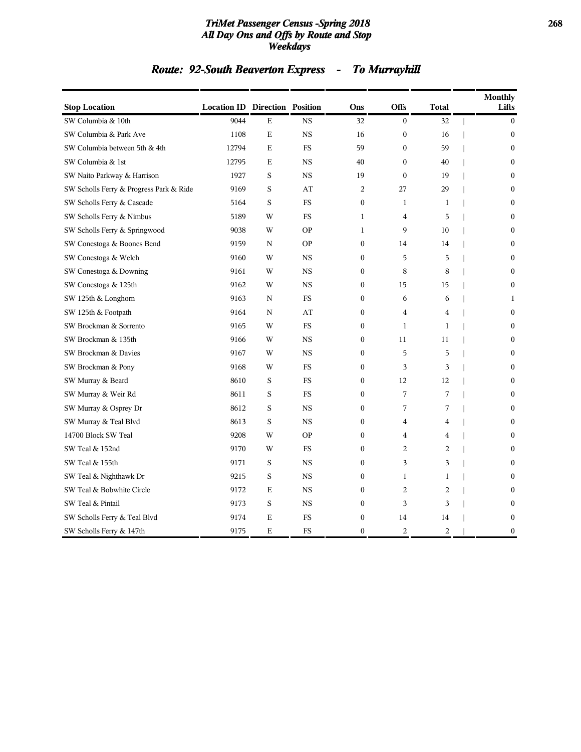#### *TriMet Passenger Census -Spring 2018* **268** *All Day Ons and Offs by Route and Stop Weekdays*

# *Route: 92-South Beaverton Express - To Murrayhill*

| <b>Stop Location</b>                    | <b>Location ID Direction Position</b> |              |                        | Ons              | <b>Offs</b>      | <b>Total</b>   | <b>Monthly</b><br>Lifts |
|-----------------------------------------|---------------------------------------|--------------|------------------------|------------------|------------------|----------------|-------------------------|
| SW Columbia & 10th                      | 9044                                  | Е            | <b>NS</b>              | 32               | $\boldsymbol{0}$ | 32             | $\boldsymbol{0}$        |
| SW Columbia & Park Ave                  | 1108                                  | E            | <b>NS</b>              | 16               | $\boldsymbol{0}$ | 16             | $\boldsymbol{0}$        |
| SW Columbia between 5th & 4th           | 12794                                 | E            | <b>FS</b>              | 59               | $\boldsymbol{0}$ | 59             | $\mathbf{0}$            |
| SW Columbia & 1st                       | 12795                                 | Е            | <b>NS</b>              | 40               | $\boldsymbol{0}$ | 40             | $\Omega$                |
| SW Naito Parkway & Harrison             | 1927                                  | S            | <b>NS</b>              | 19               | $\boldsymbol{0}$ | 19             | $\mathbf{0}$            |
| SW Scholls Ferry & Progress Park & Ride | 9169                                  | S            | $\mathbf{A}\mathbf{T}$ | $\overline{c}$   | 27               | 29             | $\mathbf{0}$            |
| SW Scholls Ferry & Cascade              | 5164                                  | S            | <b>FS</b>              | $\mathbf{0}$     | $\mathbf{1}$     | $\mathbf{1}$   | $\mathbf{0}$            |
| SW Scholls Ferry & Nimbus               | 5189                                  | W            | FS                     | $\mathbf{1}$     | 4                | 5              | $\mathbf{0}$            |
| SW Scholls Ferry & Springwood           | 9038                                  | W            | <b>OP</b>              | $\mathbf{1}$     | 9                | 10             | $\mathbf{0}$            |
| SW Conestoga & Boones Bend              | 9159                                  | N            | <b>OP</b>              | $\mathbf{0}$     | 14               | 14             | $\mathbf{0}$            |
| SW Conestoga & Welch                    | 9160                                  | W            | <b>NS</b>              | $\boldsymbol{0}$ | 5                | 5              | $\mathbf{0}$            |
| SW Conestoga & Downing                  | 9161                                  | W            | $_{\rm NS}$            | $\mathbf{0}$     | 8                | 8              | $\mathbf{0}$            |
| SW Conestoga & 125th                    | 9162                                  | W            | <b>NS</b>              | $\boldsymbol{0}$ | 15               | 15             | $\mathbf{0}$            |
| SW 125th & Longhorn                     | 9163                                  | N            | <b>FS</b>              | $\mathbf{0}$     | 6                | 6              | $\mathbf{1}$            |
| SW 125th & Footpath                     | 9164                                  | $\, {\rm N}$ | AT                     | $\mathbf{0}$     | 4                | 4              | $\boldsymbol{0}$        |
| SW Brockman & Sorrento                  | 9165                                  | W            | <b>FS</b>              | $\mathbf{0}$     | $\mathbf{1}$     | $\mathbf{1}$   | $\Omega$                |
| SW Brockman & 135th                     | 9166                                  | W            | <b>NS</b>              | $\mathbf{0}$     | 11               | 11             | $\mathbf{0}$            |
| SW Brockman & Davies                    | 9167                                  | W            | <b>NS</b>              | $\boldsymbol{0}$ | 5                | 5              | $\mathbf{0}$            |
| SW Brockman & Pony                      | 9168                                  | W            | <b>FS</b>              | $\boldsymbol{0}$ | 3                | 3              | $\mathbf{0}$            |
| SW Murray & Beard                       | 8610                                  | S            | <b>FS</b>              | $\mathbf{0}$     | 12               | 12             | $\theta$                |
| SW Murray & Weir Rd                     | 8611                                  | S            | FS                     | $\mathbf{0}$     | 7                | 7              | $\mathbf{0}$            |
| SW Murray & Osprey Dr                   | 8612                                  | S            | <b>NS</b>              | $\mathbf{0}$     | 7                | 7              | $\mathbf{0}$            |
| SW Murray & Teal Blvd                   | 8613                                  | S            | <b>NS</b>              | $\boldsymbol{0}$ | 4                | 4              | $\mathbf{0}$            |
| 14700 Block SW Teal                     | 9208                                  | W            | <b>OP</b>              | $\mathbf{0}$     | $\overline{4}$   | 4              | $\Omega$                |
| SW Teal & 152nd                         | 9170                                  | W            | FS                     | $\boldsymbol{0}$ | 2                | 2              | $\boldsymbol{0}$        |
| SW Teal & 155th                         | 9171                                  | S            | <b>NS</b>              | $\boldsymbol{0}$ | 3                | 3              | $\mathbf{0}$            |
| SW Teal & Nighthawk Dr                  | 9215                                  | S            | $_{\rm NS}$            | $\boldsymbol{0}$ | $\mathbf{1}$     | 1              | $\mathbf{0}$            |
| SW Teal & Bobwhite Circle               | 9172                                  | E            | <b>NS</b>              | $\mathbf{0}$     | $\sqrt{2}$       | $\overline{c}$ | $\Omega$                |
| SW Teal & Pintail                       | 9173                                  | S            | $_{\rm NS}$            | $\boldsymbol{0}$ | 3                | 3              | 0                       |
| SW Scholls Ferry & Teal Blvd            | 9174                                  | E            | <b>FS</b>              | $\boldsymbol{0}$ | 14               | 14             | $\boldsymbol{0}$        |
| SW Scholls Ferry & 147th                | 9175                                  | E            | FS                     | $\mathbf{0}$     | $\overline{c}$   | 2              | $\mathbf{0}$            |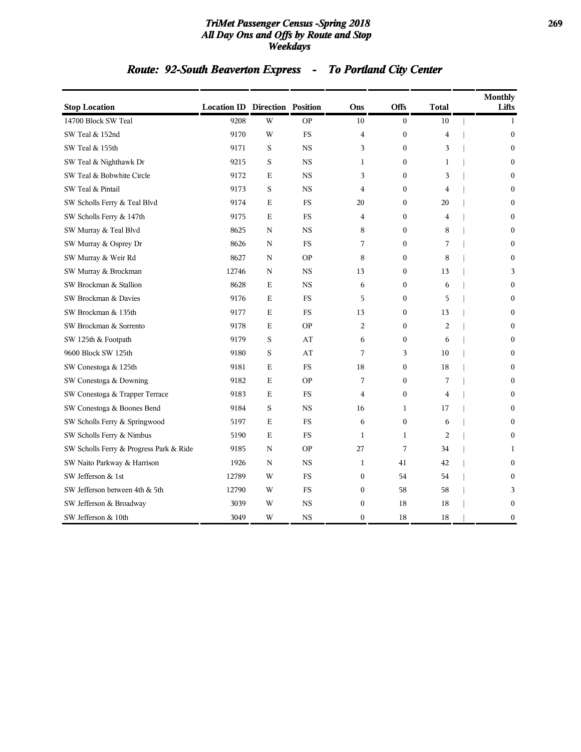#### *TriMet Passenger Census -Spring 2018* **269** *All Day Ons and Offs by Route and Stop Weekdays*

# *Route: 92-South Beaverton Express - To Portland City Center*

| <b>Stop Location</b>                    | <b>Location ID Direction Position</b> |         |             | Ons              | <b>Offs</b>      | <b>Total</b>            | <b>Monthly</b><br>Lifts |
|-----------------------------------------|---------------------------------------|---------|-------------|------------------|------------------|-------------------------|-------------------------|
| 14700 Block SW Teal                     | 9208                                  | W       | <b>OP</b>   | 10               | $\boldsymbol{0}$ | 10                      | 1                       |
| SW Teal & 152nd                         | 9170                                  | W       | <b>FS</b>   | $\overline{4}$   | $\boldsymbol{0}$ | $\overline{\mathbf{4}}$ | $\boldsymbol{0}$        |
| SW Teal & 155th                         | 9171                                  | S       | $_{\rm NS}$ | 3                | $\boldsymbol{0}$ | 3                       | $\mathbf{0}$            |
| SW Teal & Nighthawk Dr                  | 9215                                  | S       | <b>NS</b>   | 1                | $\boldsymbol{0}$ | 1                       | $\mathbf{0}$            |
| SW Teal & Bobwhite Circle               | 9172                                  | E       | <b>NS</b>   | 3                | $\boldsymbol{0}$ | 3                       | $\mathbf{0}$            |
| SW Teal & Pintail                       | 9173                                  | S       | <b>NS</b>   | 4                | $\mathbf{0}$     | 4                       | $\Omega$                |
| SW Scholls Ferry & Teal Blvd            | 9174                                  | E       | <b>FS</b>   | 20               | $\boldsymbol{0}$ | 20                      | $\boldsymbol{0}$        |
| SW Scholls Ferry & 147th                | 9175                                  | Ε       | FS          | $\overline{4}$   | $\boldsymbol{0}$ | 4                       | $\mathbf{0}$            |
| SW Murray & Teal Blvd                   | 8625                                  | N       | $_{\rm NS}$ | 8                | $\mathbf{0}$     | 8                       | $\Omega$                |
| SW Murray & Osprey Dr                   | 8626                                  | N       | FS          | 7                | $\boldsymbol{0}$ | 7                       | $\boldsymbol{0}$        |
| SW Murray & Weir Rd                     | 8627                                  | N       | <b>OP</b>   | 8                | $\boldsymbol{0}$ | 8                       | $\mathbf{0}$            |
| SW Murray & Brockman                    | 12746                                 | N       | <b>NS</b>   | 13               | $\mathbf{0}$     | 13                      | 3                       |
| SW Brockman & Stallion                  | 8628                                  | E       | <b>NS</b>   | 6                | $\mathbf{0}$     | 6                       | $\mathbf{0}$            |
| SW Brockman & Davies                    | 9176                                  | E       | FS          | 5                | $\boldsymbol{0}$ | 5                       | $\mathbf{0}$            |
| SW Brockman & 135th                     | 9177                                  | E       | <b>FS</b>   | 13               | $\boldsymbol{0}$ | 13                      | $\mathbf{0}$            |
| SW Brockman & Sorrento                  | 9178                                  | E       | <b>OP</b>   | $\overline{2}$   | $\boldsymbol{0}$ | $\overline{c}$          | $\boldsymbol{0}$        |
| SW 125th & Footpath                     | 9179                                  | S       | AT          | 6                | $\boldsymbol{0}$ | 6                       | $\mathbf{0}$            |
| 9600 Block SW 125th                     | 9180                                  | S       | AT          | 7                | 3                | 10                      | $\Omega$                |
| SW Conestoga & 125th                    | 9181                                  | E       | <b>FS</b>   | 18               | $\boldsymbol{0}$ | 18                      | $\mathbf{0}$            |
| SW Conestoga & Downing                  | 9182                                  | E       | <b>OP</b>   | 7                | $\mathbf{0}$     | 7                       | $\mathbf{0}$            |
| SW Conestoga & Trapper Terrace          | 9183                                  | E       | <b>FS</b>   | $\overline{4}$   | $\boldsymbol{0}$ | 4                       | $\mathbf{0}$            |
| SW Conestoga & Boones Bend              | 9184                                  | $\rm S$ | $_{\rm NS}$ | 16               | $\mathbf{1}$     | 17                      | $\mathbf{0}$            |
| SW Scholls Ferry & Springwood           | 5197                                  | E       | FS          | 6                | $\boldsymbol{0}$ | 6                       | $\mathbf{0}$            |
| SW Scholls Ferry & Nimbus               | 5190                                  | E       | FS          | 1                | 1                | 2                       | $\mathbf{0}$            |
| SW Scholls Ferry & Progress Park & Ride | 9185                                  | N       | <b>OP</b>   | 27               | 7                | 34                      | 1                       |
| SW Naito Parkway & Harrison             | 1926                                  | N       | <b>NS</b>   | $\mathbf{1}$     | 41               | 42                      | $\mathbf{0}$            |
| SW Jefferson & 1st                      | 12789                                 | W       | FS          | $\mathbf{0}$     | 54               | 54                      | $\Omega$                |
| SW Jefferson between 4th & 5th          | 12790                                 | W       | $_{\rm FS}$ | $\boldsymbol{0}$ | 58               | 58                      | 3                       |
| SW Jefferson & Broadway                 | 3039                                  | W       | $_{\rm NS}$ | $\boldsymbol{0}$ | 18               | 18                      | $\boldsymbol{0}$        |
| SW Jefferson & 10th                     | 3049                                  | W       | $_{\rm NS}$ | $\mathbf{0}$     | 18               | 18                      | $\mathbf{0}$            |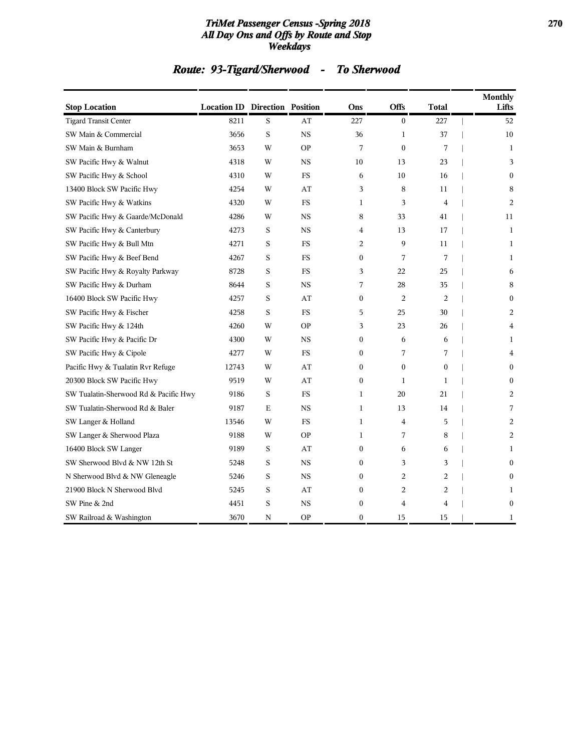#### *TriMet Passenger Census -Spring 2018* **270** *All Day Ons and Offs by Route and Stop Weekdays*

# *Route: 93-Tigard/Sherwood - To Sherwood*

| <b>Stop Location</b>                  | <b>Location ID Direction Position</b> |   |             | Ons              | <b>Offs</b>      | Total          | <b>Monthly</b><br>Lifts |
|---------------------------------------|---------------------------------------|---|-------------|------------------|------------------|----------------|-------------------------|
| <b>Tigard Transit Center</b>          | 8211                                  | S | AT          | 227              | $\mathbf{0}$     | 227            | 52                      |
| SW Main & Commercial                  | 3656                                  | S | $_{\rm NS}$ | 36               | $\mathbf{1}$     | 37             | 10                      |
| SW Main & Burnham                     | 3653                                  | W | <b>OP</b>   | 7                | $\boldsymbol{0}$ | 7              | $\mathbf{1}$            |
| SW Pacific Hwy & Walnut               | 4318                                  | W | <b>NS</b>   | 10               | 13               | 23             | 3                       |
| SW Pacific Hwy & School               | 4310                                  | W | <b>FS</b>   | 6                | 10               | 16             | $\mathbf{0}$            |
| 13400 Block SW Pacific Hwy            | 4254                                  | W | AT          | 3                | 8                | 11             | 8                       |
| SW Pacific Hwy & Watkins              | 4320                                  | W | <b>FS</b>   | $\mathbf{1}$     | 3                | $\overline{4}$ | 2                       |
| SW Pacific Hwy & Gaarde/McDonald      | 4286                                  | W | <b>NS</b>   | 8                | 33               | 41             | 11                      |
| SW Pacific Hwy & Canterbury           | 4273                                  | S | <b>NS</b>   | 4                | 13               | 17             | 1                       |
| SW Pacific Hwy & Bull Mtn             | 4271                                  | S | <b>FS</b>   | 2                | 9                | 11             | 1                       |
| SW Pacific Hwy & Beef Bend            | 4267                                  | S | <b>FS</b>   | $\mathbf{0}$     | 7                | 7              | 1                       |
| SW Pacific Hwy & Royalty Parkway      | 8728                                  | S | <b>FS</b>   | 3                | 22               | 25             | 6                       |
| SW Pacific Hwy & Durham               | 8644                                  | S | <b>NS</b>   | 7                | 28               | 35             | 8                       |
| 16400 Block SW Pacific Hwy            | 4257                                  | S | AT          | $\boldsymbol{0}$ | $\overline{c}$   | 2              | $\mathbf{0}$            |
| SW Pacific Hwy & Fischer              | 4258                                  | S | <b>FS</b>   | 5                | 25               | 30             | 2                       |
| SW Pacific Hwy & 124th                | 4260                                  | W | <b>OP</b>   | 3                | 23               | 26             | 4                       |
| SW Pacific Hwy & Pacific Dr           | 4300                                  | W | <b>NS</b>   | $\boldsymbol{0}$ | 6                | 6              | 1                       |
| SW Pacific Hwy & Cipole               | 4277                                  | W | <b>FS</b>   | $\mathbf{0}$     | 7                | 7              | $\overline{4}$          |
| Pacific Hwy & Tualatin Rvr Refuge     | 12743                                 | W | AT          | $\mathbf{0}$     | $\boldsymbol{0}$ | $\mathbf{0}$   | $\mathbf{0}$            |
| 20300 Block SW Pacific Hwy            | 9519                                  | W | AT          | $\mathbf{0}$     | 1                | 1              | $\Omega$                |
| SW Tualatin-Sherwood Rd & Pacific Hwy | 9186                                  | S | <b>FS</b>   | $\mathbf{1}$     | 20               | 21             | 2                       |
| SW Tualatin-Sherwood Rd & Baler       | 9187                                  | E | <b>NS</b>   | $\mathbf{1}$     | 13               | 14             | 7                       |
| SW Langer & Holland                   | 13546                                 | W | <b>FS</b>   | $\mathbf{1}$     | 4                | 5              | 2                       |
| SW Langer & Sherwood Plaza            | 9188                                  | W | <b>OP</b>   | $\mathbf{1}$     | 7                | 8              | 2                       |
| 16400 Block SW Langer                 | 9189                                  | S | AT          | $\boldsymbol{0}$ | 6                | 6              | 1                       |
| SW Sherwood Blvd & NW 12th St         | 5248                                  | S | $_{\rm NS}$ | $\boldsymbol{0}$ | 3                | 3              | $\mathbf{0}$            |
| N Sherwood Blvd & NW Gleneagle        | 5246                                  | S | <b>NS</b>   | $\boldsymbol{0}$ | 2                | 2              | $\mathbf{0}$            |
| 21900 Block N Sherwood Blvd           | 5245                                  | S | AT          | $\mathbf{0}$     | 2                | $\overline{c}$ | 1                       |
| SW Pine & 2nd                         | 4451                                  | S | <b>NS</b>   | $\boldsymbol{0}$ | 4                | $\overline{4}$ | $\mathbf{0}$            |
| SW Railroad & Washington              | 3670                                  | N | <b>OP</b>   | $\mathbf{0}$     | 15               | 15             | 1                       |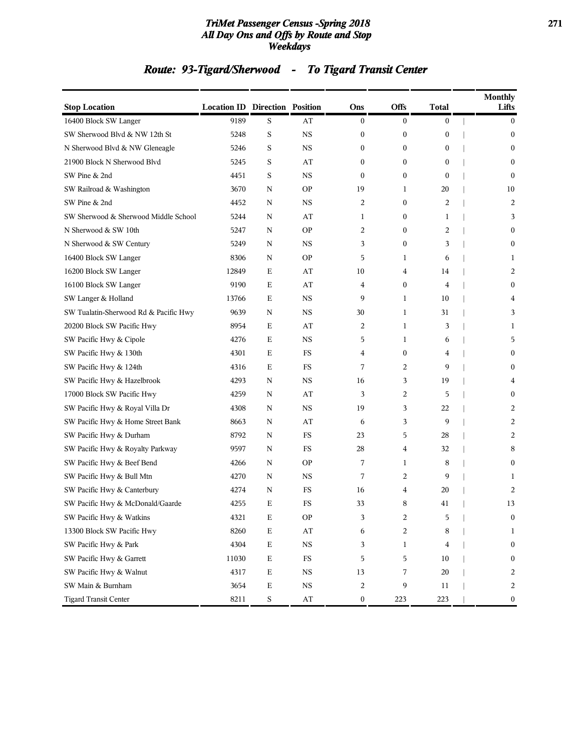#### *TriMet Passenger Census -Spring 2018* **271** *All Day Ons and Offs by Route and Stop Weekdays*

# *Route: 93-Tigard/Sherwood - To Tigard Transit Center*

| <b>Stop Location</b>                  | <b>Location ID Direction Position</b> |             |                        | Ons              | <b>Offs</b>      | <b>Total</b>     | <b>Monthly</b><br>Lifts |
|---------------------------------------|---------------------------------------|-------------|------------------------|------------------|------------------|------------------|-------------------------|
| 16400 Block SW Langer                 | 9189                                  | S           | AT                     | $\bf{0}$         | $\boldsymbol{0}$ | $\boldsymbol{0}$ | $\mathbf{0}$            |
| SW Sherwood Blvd & NW 12th St         | 5248                                  | S           | <b>NS</b>              | $\boldsymbol{0}$ | $\boldsymbol{0}$ | $\boldsymbol{0}$ | $\mathbf{0}$            |
| N Sherwood Blvd & NW Gleneagle        | 5246                                  | S           | <b>NS</b>              | $\boldsymbol{0}$ | $\boldsymbol{0}$ | $\boldsymbol{0}$ | $\boldsymbol{0}$        |
| 21900 Block N Sherwood Blvd           | 5245                                  | S           | AT                     | $\mathbf{0}$     | $\boldsymbol{0}$ | $\mathbf{0}$     | $\mathbf{0}$            |
| SW Pine & 2nd                         | 4451                                  | S           | <b>NS</b>              | $\mathbf{0}$     | $\boldsymbol{0}$ | $\mathbf{0}$     | $\Omega$                |
| SW Railroad & Washington              | 3670                                  | N           | <b>OP</b>              | 19               | 1                | 20               | 10                      |
| SW Pine & 2nd                         | 4452                                  | N           | NS                     | 2                | $\boldsymbol{0}$ | 2                | 2                       |
| SW Sherwood & Sherwood Middle School  | 5244                                  | N           | AT                     | 1                | $\boldsymbol{0}$ | 1                | 3                       |
| N Sherwood & SW 10th                  | 5247                                  | N           | <b>OP</b>              | $\overline{2}$   | $\boldsymbol{0}$ | 2                | $\mathbf{0}$            |
| N Sherwood & SW Century               | 5249                                  | N           | <b>NS</b>              | 3                | $\boldsymbol{0}$ | 3                | $\mathbf{0}$            |
| 16400 Block SW Langer                 | 8306                                  | N           | <b>OP</b>              | 5                | 1                | 6                | 1                       |
| 16200 Block SW Langer                 | 12849                                 | Е           | AT                     | 10               | 4                | 14               | 2                       |
| 16100 Block SW Langer                 | 9190                                  | Е           | AT                     | 4                | $\boldsymbol{0}$ | 4                | $\boldsymbol{0}$        |
| SW Langer & Holland                   | 13766                                 | Е           | <b>NS</b>              | 9                | 1                | 10               | 4                       |
| SW Tualatin-Sherwood Rd & Pacific Hwy | 9639                                  | N           | <b>NS</b>              | 30               | 1                | 31               | 3                       |
| 20200 Block SW Pacific Hwy            | 8954                                  | Е           | AT                     | $\overline{2}$   | $\mathbf{1}$     | 3                | 1                       |
| SW Pacific Hwy & Cipole               | 4276                                  | Е           | <b>NS</b>              | 5                | 1                | 6                | 5                       |
| SW Pacific Hwy & 130th                | 4301                                  | Е           | FS                     | 4                | $\boldsymbol{0}$ | 4                | $\boldsymbol{0}$        |
| SW Pacific Hwy & 124th                | 4316                                  | Е           | FS                     | 7                | $\overline{c}$   | 9                | $\mathbf{0}$            |
| SW Pacific Hwy & Hazelbrook           | 4293                                  | N           | <b>NS</b>              | 16               | 3                | 19               | 4                       |
| 17000 Block SW Pacific Hwy            | 4259                                  | N           | AT                     | 3                | $\overline{c}$   | 5                | $\mathbf{0}$            |
| SW Pacific Hwy & Royal Villa Dr       | 4308                                  | N           | <b>NS</b>              | 19               | 3                | 22               | 2                       |
| SW Pacific Hwy & Home Street Bank     | 8663                                  | N           | AT                     | 6                | 3                | 9                | 2                       |
| SW Pacific Hwy & Durham               | 8792                                  | N           | FS                     | 23               | 5                | 28               | 2                       |
| SW Pacific Hwy & Royalty Parkway      | 9597                                  | N           | FS                     | 28               | 4                | 32               | 8                       |
| SW Pacific Hwy & Beef Bend            | 4266                                  | N           | <b>OP</b>              | 7                | $\mathbf{1}$     | 8                | $\mathbf{0}$            |
| SW Pacific Hwy & Bull Mtn             | 4270                                  | N           | NS                     | 7                | 2                | 9                | 1                       |
| SW Pacific Hwy & Canterbury           | 4274                                  | N           | FS                     | 16               | 4                | 20               | 2                       |
| SW Pacific Hwy & McDonald/Gaarde      | 4255                                  | E           | FS                     | 33               | 8                | 41               | 13                      |
| SW Pacific Hwy & Watkins              | 4321                                  | $\mathbf E$ | <b>OP</b>              | 3                | $\boldsymbol{2}$ | 5                | $\boldsymbol{0}$        |
| 13300 Block SW Pacific Hwy            | 8260                                  | $\mathbf E$ | $\mathbf{A}\mathbf{T}$ | 6                | 2                | 8                | 1                       |
| SW Pacific Hwy & Park                 | 4304                                  | $\mathbf E$ | $_{\rm NS}$            | 3                | 1                | 4                | $\boldsymbol{0}$        |
| SW Pacific Hwy & Garrett              | 11030                                 | Е           | $_{\rm FS}$            | 5                | 5                | 10               | $\boldsymbol{0}$        |
| SW Pacific Hwy & Walnut               | 4317                                  | E           | $_{\rm NS}$            | 13               | 7                | 20               | 2                       |
| SW Main & Burnham                     | 3654                                  | E           | $_{\rm NS}$            | $\sqrt{2}$       | 9                | 11               | 2                       |
| <b>Tigard Transit Center</b>          | 8211                                  | $\mathbf S$ | $\rm AT$               | $\bf{0}$         | 223              | 223              | 0                       |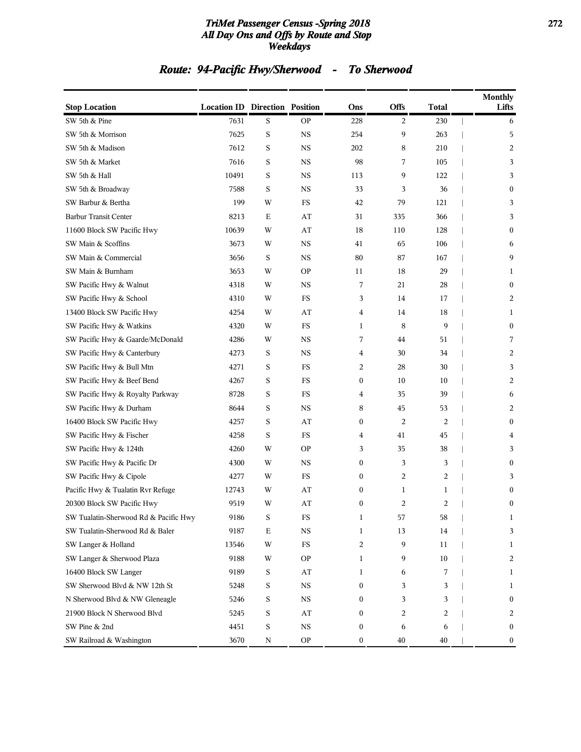#### *TriMet Passenger Census -Spring 2018* **272** *All Day Ons and Offs by Route and Stop Weekdays*

# *Route: 94-Pacific Hwy/Sherwood - To Sherwood*

| <b>Stop Location</b>                  | <b>Location ID Direction Position</b> |             |                        | Ons              | Offs | <b>Total</b> | <b>Monthly</b><br>Lifts |
|---------------------------------------|---------------------------------------|-------------|------------------------|------------------|------|--------------|-------------------------|
| SW 5th & Pine                         | 7631                                  | S           | <b>OP</b>              | 228              | 2    | 230          | 6                       |
| SW 5th & Morrison                     | 7625                                  | $\rm S$     | <b>NS</b>              | 254              | 9    | 263          | 5                       |
| SW 5th & Madison                      | 7612                                  | S           | $_{\rm NS}$            | 202              | 8    | 210          | 2                       |
| SW 5th & Market                       | 7616                                  | S           | <b>NS</b>              | 98               | 7    | 105          | 3                       |
| SW 5th & Hall                         | 10491                                 | S           | <b>NS</b>              | 113              | 9    | 122          | 3                       |
| SW 5th & Broadway                     | 7588                                  | S           | <b>NS</b>              | 33               | 3    | 36           | $\boldsymbol{0}$        |
| SW Barbur & Bertha                    | 199                                   | W           | FS                     | 42               | 79   | 121          | 3                       |
| <b>Barbur Transit Center</b>          | 8213                                  | $\mathbf E$ | AT                     | 31               | 335  | 366          | 3                       |
| 11600 Block SW Pacific Hwy            | 10639                                 | W           | AT                     | 18               | 110  | 128          | $\bf{0}$                |
| SW Main & Scoffins                    | 3673                                  | W           | <b>NS</b>              | 41               | 65   | 106          | 6                       |
| SW Main & Commercial                  | 3656                                  | S           | <b>NS</b>              | 80               | 87   | 167          | 9                       |
| SW Main & Burnham                     | 3653                                  | W           | <b>OP</b>              | 11               | 18   | 29           | 1                       |
| SW Pacific Hwy & Walnut               | 4318                                  | W           | <b>NS</b>              | 7                | 21   | 28           | $\boldsymbol{0}$        |
| SW Pacific Hwy & School               | 4310                                  | W           | FS                     | 3                | 14   | 17           | 2                       |
| 13400 Block SW Pacific Hwy            | 4254                                  | W           | AT                     | 4                | 14   | 18           | 1                       |
| SW Pacific Hwy & Watkins              | 4320                                  | W           | FS                     | $\mathbf{1}$     | 8    | 9            | $\boldsymbol{0}$        |
| SW Pacific Hwy & Gaarde/McDonald      | 4286                                  | W           | <b>NS</b>              | 7                | 44   | 51           | 7                       |
| SW Pacific Hwy & Canterbury           | 4273                                  | S           | <b>NS</b>              | 4                | 30   | 34           | 2                       |
| SW Pacific Hwy & Bull Mtn             | 4271                                  | S           | FS                     | 2                | 28   | 30           | 3                       |
| SW Pacific Hwy & Beef Bend            | 4267                                  | S           | $_{\rm FS}$            | $\boldsymbol{0}$ | 10   | 10           | 2                       |
| SW Pacific Hwy & Royalty Parkway      | 8728                                  | S           | FS                     | 4                | 35   | 39           | 6                       |
| SW Pacific Hwy & Durham               | 8644                                  | S           | <b>NS</b>              | 8                | 45   | 53           | 2                       |
| 16400 Block SW Pacific Hwy            | 4257                                  | S           | AT                     | $\boldsymbol{0}$ | 2    | 2            | $\boldsymbol{0}$        |
| SW Pacific Hwy & Fischer              | 4258                                  | S           | FS                     | 4                | 41   | 45           | 4                       |
| SW Pacific Hwy & 124th                | 4260                                  | W           | <b>OP</b>              | 3                | 35   | 38           | 3                       |
| SW Pacific Hwy & Pacific Dr           | 4300                                  | W           | <b>NS</b>              | $\boldsymbol{0}$ | 3    | 3            | $\boldsymbol{0}$        |
| SW Pacific Hwy & Cipole               | 4277                                  | W           | FS                     | $\bf{0}$         | 2    | 2            | 3                       |
| Pacific Hwy & Tualatin Rvr Refuge     | 12743                                 | W           | AT                     | $\boldsymbol{0}$ | 1    | 1            | $\boldsymbol{0}$        |
| 20300 Block SW Pacific Hwy            | 9519                                  | W           | AT                     | $\mathbf{0}$     | 2    | 2            | $\boldsymbol{0}$        |
| SW Tualatin-Sherwood Rd & Pacific Hwy | 9186                                  | S           | FS                     | 1                | 57   | 58           | 1                       |
| SW Tualatin-Sherwood Rd & Baler       | 9187                                  | Е           | $_{\rm NS}$            | $\mathbf 1$      | 13   | 14           | 3                       |
| SW Langer & Holland                   | 13546                                 | W           | $_{\rm FS}$            | 2                | 9    | 11           | 1                       |
| SW Langer & Sherwood Plaza            | 9188                                  | W           | <b>OP</b>              | 1                | 9    | 10           | $\overline{2}$          |
| 16400 Block SW Langer                 | 9189                                  | S           | $\mathbf{A}\mathbf{T}$ | 1                | 6    | 7            | $\mathbf{1}$            |
| SW Sherwood Blvd & NW 12th St         | 5248                                  | S           | $_{\rm NS}$            | $\boldsymbol{0}$ | 3    | 3            | $\mathbf{1}$            |
| N Sherwood Blvd & NW Gleneagle        | 5246                                  | S           | $_{\rm NS}$            | $\boldsymbol{0}$ | 3    | 3            | $\boldsymbol{0}$        |
| 21900 Block N Sherwood Blvd           | 5245                                  | S           | AT                     | $\boldsymbol{0}$ | 2    | 2            | 2                       |
| SW Pine & 2nd                         | 4451                                  | $\mathbf S$ | $_{\rm NS}$            | $\boldsymbol{0}$ | 6    | 6            | $\boldsymbol{0}$        |
| SW Railroad & Washington              | 3670                                  | N           | <b>OP</b>              | $\boldsymbol{0}$ | 40   | 40           | $\boldsymbol{0}$        |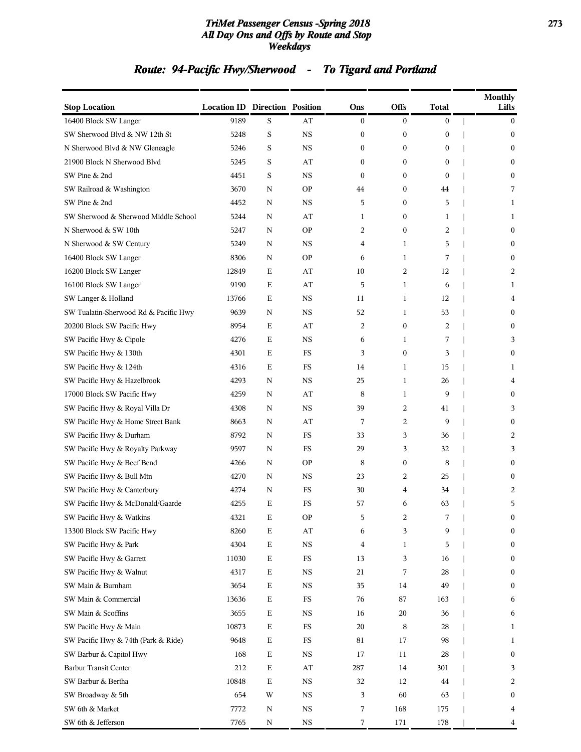#### *TriMet Passenger Census -Spring 2018* **273** *All Day Ons and Offs by Route and Stop Weekdays*

# *Route: 94-Pacific Hwy/Sherwood - To Tigard and Portland*

| <b>Stop Location</b>                  | <b>Location ID Direction Position</b> |             |             | Ons              | Offs             | <b>Total</b>     | <b>Monthly</b><br>Lifts |
|---------------------------------------|---------------------------------------|-------------|-------------|------------------|------------------|------------------|-------------------------|
| 16400 Block SW Langer                 | 9189                                  | S           | AT          | $\boldsymbol{0}$ | $\boldsymbol{0}$ | $\bf{0}$         | $\overline{0}$          |
| SW Sherwood Blvd & NW 12th St         | 5248                                  | S           | <b>NS</b>   | 0                | $\boldsymbol{0}$ | $\boldsymbol{0}$ | $\mathbf{0}$            |
| N Sherwood Blvd & NW Gleneagle        | 5246                                  | S           | <b>NS</b>   | 0                | $\boldsymbol{0}$ | $\bf{0}$         | $\mathbf{0}$            |
| 21900 Block N Sherwood Blvd           | 5245                                  | S           | AT          | 0                | $\boldsymbol{0}$ | $\bf{0}$         | $\boldsymbol{0}$        |
| SW Pine & 2nd                         | 4451                                  | S           | <b>NS</b>   | $\mathbf{0}$     | $\mathbf{0}$     | $\mathbf{0}$     | $\mathbf{0}$            |
| SW Railroad & Washington              | 3670                                  | N           | <b>OP</b>   | 44               | $\boldsymbol{0}$ | 44               | 7                       |
| SW Pine & 2nd                         | 4452                                  | N           | $_{\rm NS}$ | 5                | $\boldsymbol{0}$ | 5                | 1                       |
| SW Sherwood & Sherwood Middle School  | 5244                                  | N           | AT          | 1                | $\boldsymbol{0}$ | 1                | 1                       |
| N Sherwood & SW 10th                  | 5247                                  | N           | <b>OP</b>   | 2                | $\boldsymbol{0}$ | $\overline{c}$   | $\boldsymbol{0}$        |
| N Sherwood & SW Century               | 5249                                  | N           | NS          | 4                | $\mathbf{1}$     | 5                | $\mathbf{0}$            |
| 16400 Block SW Langer                 | 8306                                  | N           | <b>OP</b>   | 6                | 1                | 7                | $\mathbf{0}$            |
| 16200 Block SW Langer                 | 12849                                 | E           | AT          | 10               | 2                | 12               | 2                       |
| 16100 Block SW Langer                 | 9190                                  | E           | AT          | 5                | 1                | 6                | 1                       |
| SW Langer & Holland                   | 13766                                 | E           | $_{\rm NS}$ | 11               | 1                | 12               | 4                       |
| SW Tualatin-Sherwood Rd & Pacific Hwy | 9639                                  | N           | <b>NS</b>   | 52               | $\mathbf{1}$     | 53               | $\mathbf{0}$            |
| 20200 Block SW Pacific Hwy            | 8954                                  | Ε           | AT          | 2                | $\boldsymbol{0}$ | 2                | $\mathbf{0}$            |
| SW Pacific Hwy & Cipole               | 4276                                  | Е           | $_{\rm NS}$ | 6                | 1                | 7                | 3                       |
| SW Pacific Hwy & 130th                | 4301                                  | E           | FS          | 3                | $\boldsymbol{0}$ | 3                | $\mathbf{0}$            |
| SW Pacific Hwy & 124th                | 4316                                  | E           | FS          | 14               | 1                | 15               | 1                       |
| SW Pacific Hwy & Hazelbrook           | 4293                                  | N           | <b>NS</b>   | 25               | $\mathbf{1}$     | 26               | 4                       |
| 17000 Block SW Pacific Hwy            | 4259                                  | N           | AT          | 8                | 1                | 9                | $\mathbf{0}$            |
| SW Pacific Hwy & Royal Villa Dr       | 4308                                  | N           | $_{\rm NS}$ | 39               | 2                | 41               | 3                       |
| SW Pacific Hwy & Home Street Bank     | 8663                                  | N           | AT          | 7                | 2                | 9                | $\mathbf{0}$            |
| SW Pacific Hwy & Durham               | 8792                                  | N           | FS          | 33               | 3                | 36               | 2                       |
| SW Pacific Hwy & Royalty Parkway      | 9597                                  | N           | FS          | 29               | 3                | 32               | 3                       |
| SW Pacific Hwy & Beef Bend            | 4266                                  | N           | <b>OP</b>   | 8                | $\bf{0}$         | 8                | $\mathbf{0}$            |
| SW Pacific Hwy & Bull Mtn             | 4270                                  | N           | $_{\rm NS}$ | 23               | 2                | 25               | $\mathbf{0}$            |
| SW Pacific Hwy & Canterbury           | 4274                                  | N           | FS          | 30               | 4                | 34               | 2                       |
| SW Pacific Hwy & McDonald/Gaarde      | 4255                                  | Е           | <b>FS</b>   | 57               | 6                | 63               | 5                       |
| SW Pacific Hwy & Watkins              | 4321                                  | Ε           | <b>OP</b>   | 5                | 2                |                  | 0                       |
| 13300 Block SW Pacific Hwy            | 8260                                  | Е           | AT          | 6                | 3                | 9                | $\boldsymbol{0}$        |
| SW Pacific Hwy & Park                 | 4304                                  | E           | $_{\rm NS}$ | 4                | 1                | 5                | $\boldsymbol{0}$        |
| SW Pacific Hwy & Garrett              | 11030                                 | Ε           | $_{\rm FS}$ | 13               | 3                | 16               | $\boldsymbol{0}$        |
| SW Pacific Hwy & Walnut               | 4317                                  | $\mathbf E$ | $_{\rm NS}$ | 21               | 7                | 28               | $\boldsymbol{0}$        |
| SW Main & Burnham                     | 3654                                  | E           | $_{\rm NS}$ | 35               | 14               | 49               | $\boldsymbol{0}$        |
| SW Main & Commercial                  | 13636                                 | $\mathbf E$ | $_{\rm FS}$ | 76               | 87               | 163              | 6                       |
| SW Main & Scoffins                    | 3655                                  | $\mathbf E$ | $_{\rm NS}$ | 16               | 20               | 36               | 6                       |
| SW Pacific Hwy & Main                 | 10873                                 | Е           | $_{\rm FS}$ | 20               | 8                | 28               | 1                       |
| SW Pacific Hwy & 74th (Park & Ride)   | 9648                                  | $\mathbf E$ | $_{\rm FS}$ | 81               | 17               | 98               | 1                       |
| SW Barbur & Capitol Hwy               | 168                                   | $\mathbf E$ | $_{\rm NS}$ | 17               | 11               | 28               | $\boldsymbol{0}$        |
| <b>Barbur Transit Center</b>          | 212                                   | $\mathbf E$ | AT          | 287              | 14               | 301              | 3                       |
| SW Barbur & Bertha                    | 10848                                 | E           | $_{\rm NS}$ | 32               | 12               | 44               | 2                       |
| SW Broadway & 5th                     | 654                                   | W           | $_{\rm NS}$ | 3                | 60               | 63               | $\boldsymbol{0}$        |
| SW 6th & Market                       | 7772                                  | N           | $_{\rm NS}$ | 7                | 168              | 175              | 4                       |
| SW 6th & Jefferson                    | 7765                                  | N           | $_{\rm NS}$ | 7                | 171              | 178              | 4                       |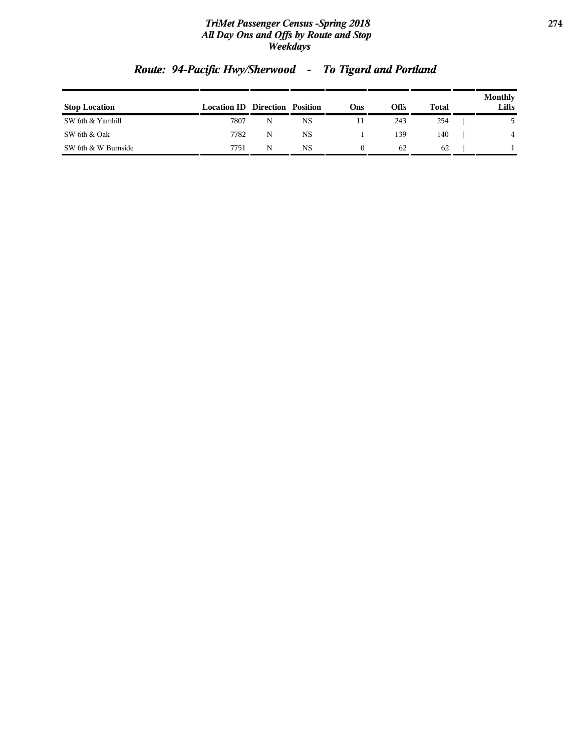#### *TriMet Passenger Census -Spring 2018* **274** *All Day Ons and Offs by Route and Stop Weekdays*

| <b>Stop Location</b> | <b>Location ID Direction Position</b> |   |    | Ons | Offs | Total | Monthly<br>Lifts |
|----------------------|---------------------------------------|---|----|-----|------|-------|------------------|
| SW 6th & Yamhill     | 7807                                  | N | NS |     | 243  | 254   |                  |
| SW 6th & Oak         | 7782                                  | N | NS |     | 139  | 140   | 4                |
| SW 6th & W Burnside  | 7751                                  | N | NS |     | 62   | 62    |                  |

# *Route: 94-Pacific Hwy/Sherwood - To Tigard and Portland*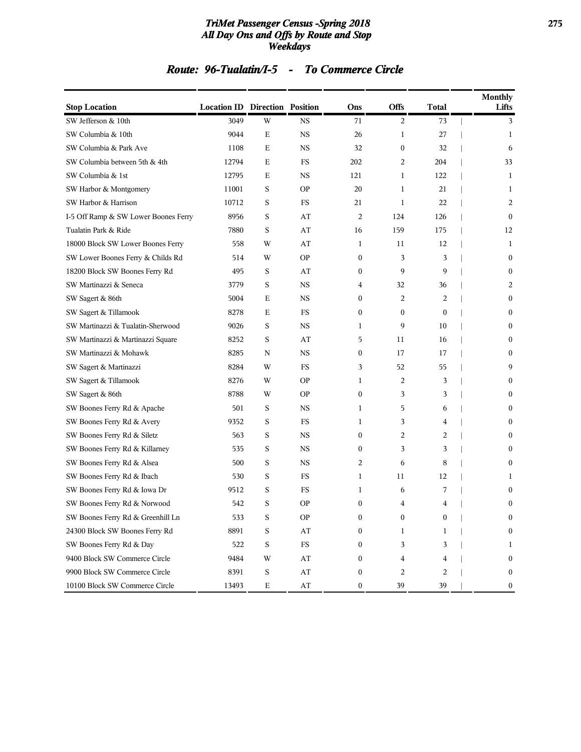#### *TriMet Passenger Census -Spring 2018* **275** *All Day Ons and Offs by Route and Stop Weekdays*

### *Route: 96-Tualatin/I-5 - To Commerce Circle*

| <b>Stop Location</b>                 | <b>Location ID Direction Position</b> |             |                        | Ons              | <b>Offs</b>      | <b>Total</b> | Monthly<br>Lifts |
|--------------------------------------|---------------------------------------|-------------|------------------------|------------------|------------------|--------------|------------------|
| SW Jefferson & 10th                  | 3049                                  | W           | <b>NS</b>              | 71               | $\overline{c}$   | 73           | 3                |
| SW Columbia & 10th                   | 9044                                  | Е           | <b>NS</b>              | 26               | 1                | 27           | 1                |
| SW Columbia & Park Ave               | 1108                                  | Е           | <b>NS</b>              | 32               | $\boldsymbol{0}$ | 32           | 6                |
| SW Columbia between 5th & 4th        | 12794                                 | Е           | FS                     | 202              | 2                | 204          | 33               |
| SW Columbia & 1st                    | 12795                                 | Е           | <b>NS</b>              | 121              | 1                | 122          | 1                |
| SW Harbor & Montgomery               | 11001                                 | S           | <b>OP</b>              | 20               | 1                | 21           | 1                |
| SW Harbor & Harrison                 | 10712                                 | S           | FS                     | 21               | 1                | 22           | 2                |
| I-5 Off Ramp & SW Lower Boones Ferry | 8956                                  | S           | AT                     | 2                | 124              | 126          | $\mathbf{0}$     |
| Tualatin Park & Ride                 | 7880                                  | S           | AT                     | 16               | 159              | 175          | 12               |
| 18000 Block SW Lower Boones Ferry    | 558                                   | W           | AT                     | 1                | 11               | 12           | 1                |
| SW Lower Boones Ferry & Childs Rd    | 514                                   | W           | <b>OP</b>              | 0                | 3                | 3            | $\mathbf{0}$     |
| 18200 Block SW Boones Ferry Rd       | 495                                   | S           | AT                     | 0                | 9                | 9            | $\mathbf{0}$     |
| SW Martinazzi & Seneca               | 3779                                  | S           | <b>NS</b>              | 4                | 32               | 36           | 2                |
| SW Sagert & 86th                     | 5004                                  | Е           | <b>NS</b>              | 0                | 2                | 2            | $\mathbf{0}$     |
| SW Sagert & Tillamook                | 8278                                  | Е           | <b>FS</b>              | $\boldsymbol{0}$ | $\mathbf{0}$     | $\mathbf{0}$ | $\mathbf{0}$     |
| SW Martinazzi & Tualatin-Sherwood    | 9026                                  | S           | <b>NS</b>              | 1                | 9                | 10           | $\mathbf{0}$     |
| SW Martinazzi & Martinazzi Square    | 8252                                  | S           | AT                     | 5                | 11               | 16           | $\mathbf{0}$     |
| SW Martinazzi & Mohawk               | 8285                                  | N           | <b>NS</b>              | 0                | 17               | 17           | $\mathbf{0}$     |
| SW Sagert & Martinazzi               | 8284                                  | W           | FS                     | 3                | 52               | 55           | 9                |
| SW Sagert & Tillamook                | 8276                                  | W           | <b>OP</b>              | 1                | 2                | 3            | $\mathbf{0}$     |
| SW Sagert & 86th                     | 8788                                  | W           | <b>OP</b>              | 0                | 3                | 3            | $\mathbf{0}$     |
| SW Boones Ferry Rd & Apache          | 501                                   | S           | <b>NS</b>              | 1                | 5                | 6            | $\mathbf{0}$     |
| SW Boones Ferry Rd & Avery           | 9352                                  | S           | <b>FS</b>              | 1                | 3                | 4            | $\mathbf{0}$     |
| SW Boones Ferry Rd & Siletz          | 563                                   | S           | <b>NS</b>              | 0                | 2                | 2            | $\mathbf{0}$     |
| SW Boones Ferry Rd & Killarney       | 535                                   | S           | <b>NS</b>              | $\boldsymbol{0}$ | 3                | 3            | $\mathbf{0}$     |
| SW Boones Ferry Rd & Alsea           | 500                                   | S           | <b>NS</b>              | 2                | 6                | 8            | $\mathbf{0}$     |
| SW Boones Ferry Rd & Ibach           | 530                                   | S           | FS                     | 1                | 11               | 12           | 1                |
| SW Boones Ferry Rd & Iowa Dr         | 9512                                  | S           | <b>FS</b>              | 1                | 6                | 7            | $\mathbf{0}$     |
| SW Boones Ferry Rd & Norwood         | 542                                   | S           | <b>OP</b>              | $\boldsymbol{0}$ | 4                | 4            | $\mathbf{0}$     |
| SW Boones Ferry Rd & Greenhill Ln    | 533                                   | S           | <b>OP</b>              | 0                | 0                | 0            | $\mathbf{0}$     |
| 24300 Block SW Boones Ferry Rd       | 8891                                  | S           | AT                     | 0                | 1                | 1            | $\mathbf{0}$     |
| SW Boones Ferry Rd & Day             | 522                                   | S           | $_{\rm FS}$            | $\mathbf{0}$     | 3                | 3            | 1                |
| 9400 Block SW Commerce Circle        | 9484                                  | W           | AT                     | $\mathbf{0}$     | 4                | 4            | $\mathbf{0}$     |
| 9900 Block SW Commerce Circle        | 8391                                  | $\mathbf S$ | $\mathbf{A}\mathbf{T}$ | 0                | 2                | 2            | $\bf{0}$         |
| 10100 Block SW Commerce Circle       | 13493                                 | ${\bf E}$   | $\mathbf{A}\mathbf{T}$ | $\boldsymbol{0}$ | 39               | 39           | $\bf{0}$         |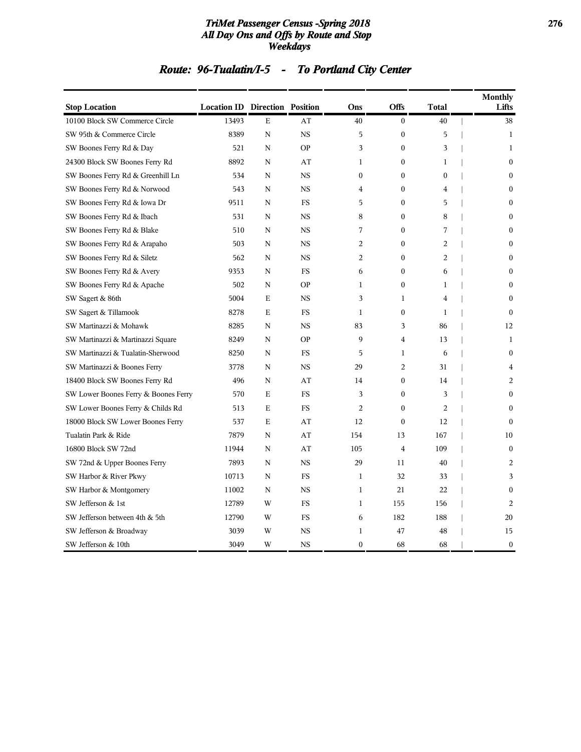#### *TriMet Passenger Census -Spring 2018* **276** *All Day Ons and Offs by Route and Stop Weekdays*

# *Route: 96-Tualatin/I-5 - To Portland City Center*

| <b>Stop Location</b>                 | <b>Location ID Direction Position</b> |   |             | Ons            | <b>Offs</b>      | <b>Total</b>     | <b>Monthly</b><br>Lifts |
|--------------------------------------|---------------------------------------|---|-------------|----------------|------------------|------------------|-------------------------|
| 10100 Block SW Commerce Circle       | 13493                                 | E | AT          | 40             | $\mathbf{0}$     | 40               | 38                      |
| SW 95th & Commerce Circle            | 8389                                  | N | <b>NS</b>   | 5              | $\mathbf{0}$     | 5                | $\mathbf{1}$            |
| SW Boones Ferry Rd & Day             | 521                                   | N | <b>OP</b>   | 3              | $\boldsymbol{0}$ | 3                | $\mathbf{1}$            |
| 24300 Block SW Boones Ferry Rd       | 8892                                  | N | AT          | 1              | $\overline{0}$   | $\mathbf{1}$     | $\mathbf{0}$            |
| SW Boones Ferry Rd & Greenhill Ln    | 534                                   | N | <b>NS</b>   | 0              | 0                | $\boldsymbol{0}$ | $\mathbf{0}$            |
| SW Boones Ferry Rd & Norwood         | 543                                   | N | <b>NS</b>   | 4              | $\boldsymbol{0}$ | $\overline{4}$   | $\Omega$                |
| SW Boones Ferry Rd & Iowa Dr         | 9511                                  | N | $_{\rm FS}$ | 5              | $\boldsymbol{0}$ | 5                | $\Omega$                |
| SW Boones Ferry Rd & Ibach           | 531                                   | N | <b>NS</b>   | 8              | $\boldsymbol{0}$ | 8                | $\boldsymbol{0}$        |
| SW Boones Ferry Rd & Blake           | 510                                   | N | <b>NS</b>   | 7              | $\overline{0}$   | 7                | $\mathbf{0}$            |
| SW Boones Ferry Rd & Arapaho         | 503                                   | N | <b>NS</b>   | 2              | 0                | 2                | $\mathbf{0}$            |
| SW Boones Ferry Rd & Siletz          | 562                                   | N | <b>NS</b>   | 2              | $\mathbf{0}$     | 2                | $\Omega$                |
| SW Boones Ferry Rd & Avery           | 9353                                  | N | FS          | 6              | $\boldsymbol{0}$ | 6                | $\mathbf{0}$            |
| SW Boones Ferry Rd & Apache          | 502                                   | N | <b>OP</b>   | 1              | $\boldsymbol{0}$ | $\mathbf{1}$     | $\mathbf{0}$            |
| SW Sagert & 86th                     | 5004                                  | E | <b>NS</b>   | 3              | 1                | 4                | $\Omega$                |
| SW Sagert & Tillamook                | 8278                                  | E | <b>FS</b>   | 1              | $\mathbf{0}$     | 1                | $\Omega$                |
| SW Martinazzi & Mohawk               | 8285                                  | N | <b>NS</b>   | 83             | 3                | 86               | 12                      |
| SW Martinazzi & Martinazzi Square    | 8249                                  | N | <b>OP</b>   | 9              | 4                | 13               | $\mathbf{1}$            |
| SW Martinazzi & Tualatin-Sherwood    | 8250                                  | N | FS          | 5              | 1                | 6                | $\mathbf{0}$            |
| SW Martinazzi & Boones Ferry         | 3778                                  | N | <b>NS</b>   | 29             | 2                | 31               | 4                       |
| 18400 Block SW Boones Ferry Rd       | 496                                   | N | AT          | 14             | $\mathbf{0}$     | 14               | 2                       |
| SW Lower Boones Ferry & Boones Ferry | 570                                   | E | <b>FS</b>   | 3              | $\boldsymbol{0}$ | 3                | $\mathbf{0}$            |
| SW Lower Boones Ferry & Childs Rd    | 513                                   | Е | FS          | $\overline{c}$ | $\mathbf{0}$     | 2                | $\Omega$                |
| 18000 Block SW Lower Boones Ferry    | 537                                   | E | AT          | 12             | $\mathbf{0}$     | 12               | $\Omega$                |
| Tualatin Park & Ride                 | 7879                                  | N | AT          | 154            | 13               | 167              | 10                      |
| 16800 Block SW 72nd                  | 11944                                 | N | AT          | 105            | $\overline{4}$   | 109              | $\mathbf{0}$            |
| SW 72nd & Upper Boones Ferry         | 7893                                  | N | <b>NS</b>   | 29             | 11               | 40               | $\overline{c}$          |
| SW Harbor & River Pkwy               | 10713                                 | N | FS          | 1              | 32               | 33               | 3                       |
| SW Harbor & Montgomery               | 11002                                 | N | <b>NS</b>   | 1              | 21               | 22               | $\mathbf{0}$            |
| SW Jefferson & 1st                   | 12789                                 | W | <b>FS</b>   | $\mathbf{1}$   | 155              | 156              | $\overline{2}$          |
| SW Jefferson between 4th & 5th       | 12790                                 | W | <b>FS</b>   | 6              | 182              | 188              | 20                      |
| SW Jefferson & Broadway              | 3039                                  | W | <b>NS</b>   | 1              | 47               | 48               | 15                      |
| SW Jefferson & 10th                  | 3049                                  | W | <b>NS</b>   | $\mathbf{0}$   | 68               | 68               | $\boldsymbol{0}$        |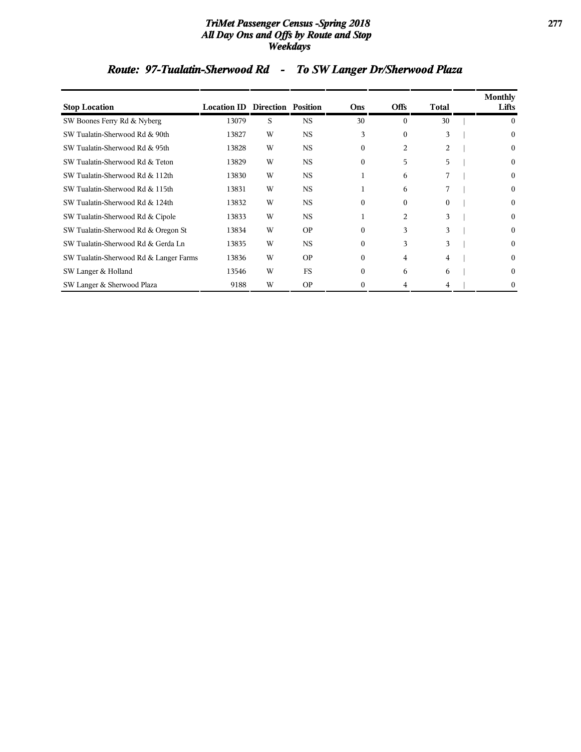#### *TriMet Passenger Census -Spring 2018* **277** *All Day Ons and Offs by Route and Stop Weekdays*

# *Route: 97-Tualatin-Sherwood Rd - To SW Langer Dr/Sherwood Plaza*

|                                        |                                       |   |           |              |                |              | <b>Monthly</b>   |
|----------------------------------------|---------------------------------------|---|-----------|--------------|----------------|--------------|------------------|
| <b>Stop Location</b>                   | <b>Location ID Direction Position</b> |   |           | Ons          | <b>Offs</b>    | Total        | Lifts            |
| SW Boones Ferry Rd & Nyberg            | 13079                                 | S | <b>NS</b> | 30           | $\Omega$       | 30           | 0                |
| SW Tualatin-Sherwood Rd & 90th         | 13827                                 | W | <b>NS</b> | 3            | $\mathbf{0}$   | 3            | 0                |
| SW Tualatin-Sherwood Rd & 95th         | 13828                                 | W | <b>NS</b> | $\Omega$     | $\overline{c}$ | 2            | $\Omega$         |
| SW Tualatin-Sherwood Rd & Teton        | 13829                                 | W | <b>NS</b> | $\mathbf{0}$ | 5              | 5            | 0                |
| SW Tualatin-Sherwood Rd & 112th        | 13830                                 | W | <b>NS</b> |              | 6              | 7            | 0                |
| SW Tualatin-Sherwood Rd & 115th        | 13831                                 | W | <b>NS</b> | 1            | 6              |              | $\boldsymbol{0}$ |
| SW Tualatin-Sherwood Rd & 124th        | 13832                                 | W | <b>NS</b> | $\Omega$     | $\mathbf{0}$   | $\mathbf{0}$ | 0                |
| SW Tualatin-Sherwood Rd & Cipole       | 13833                                 | W | <b>NS</b> |              | 2              | 3            | $\boldsymbol{0}$ |
| SW Tualatin-Sherwood Rd & Oregon St    | 13834                                 | W | <b>OP</b> | $\Omega$     | 3              | 3            | $\theta$         |
| SW Tualatin-Sherwood Rd & Gerda Ln     | 13835                                 | W | <b>NS</b> | $\mathbf{0}$ | 3              | 3            | $\mathbf{0}$     |
| SW Tualatin-Sherwood Rd & Langer Farms | 13836                                 | W | <b>OP</b> | $\Omega$     | 4              | 4            | $\Omega$         |
| SW Langer & Holland                    | 13546                                 | W | <b>FS</b> | $\mathbf{0}$ | 6              | 6            | $\mathbf{0}$     |
| SW Langer & Sherwood Plaza             | 9188                                  | W | <b>OP</b> | $\Omega$     | 4              | 4            | 0                |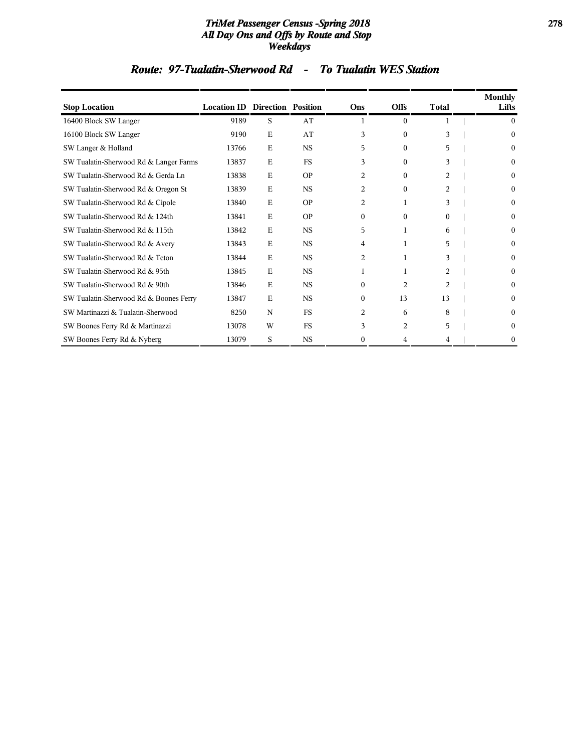#### *TriMet Passenger Census -Spring 2018* **278** *All Day Ons and Offs by Route and Stop Weekdays*

### *Route: 97-Tualatin-Sherwood Rd - To Tualatin WES Station*

| <b>Stop Location</b>                   | <b>Location ID Direction Position</b> |             |           | Ons            | <b>Offs</b>    | <b>Total</b>   | Monthly<br>Lifts |
|----------------------------------------|---------------------------------------|-------------|-----------|----------------|----------------|----------------|------------------|
| 16400 Block SW Langer                  | 9189                                  | S           | AT        |                | $\mathbf{0}$   |                | $\theta$         |
| 16100 Block SW Langer                  | 9190                                  | E           | AT        | 3              | $\mathbf{0}$   | 3              | $\Omega$         |
| SW Langer & Holland                    | 13766                                 | Ε           | <b>NS</b> | 5              | $\mathbf{0}$   | 5              | $\theta$         |
| SW Tualatin-Sherwood Rd & Langer Farms | 13837                                 | Ε           | <b>FS</b> | 3              | $\mathbf{0}$   | 3              | $\theta$         |
| SW Tualatin-Sherwood Rd & Gerda Ln     | 13838                                 | E           | <b>OP</b> | 2              | $\mathbf{0}$   | 2              | $\theta$         |
| SW Tualatin-Sherwood Rd & Oregon St    | 13839                                 | Ε           | <b>NS</b> | 2              | $\mathbf{0}$   | $\overline{c}$ | $\bf{0}$         |
| SW Tualatin-Sherwood Rd & Cipole       | 13840                                 | E           | <b>OP</b> | $\overline{c}$ | 1              | 3              | $\theta$         |
| SW Tualatin-Sherwood Rd & 124th        | 13841                                 | E           | <b>OP</b> | $\Omega$       | $\mathbf{0}$   | $\Omega$       | $\bf{0}$         |
| SW Tualatin-Sherwood Rd & 115th        | 13842                                 | $\mathbf E$ | <b>NS</b> | 5              | 1              | 6              | $\Omega$         |
| SW Tualatin-Sherwood Rd & Avery        | 13843                                 | E           | <b>NS</b> | 4              | 1              | 5              | $\Omega$         |
| SW Tualatin-Sherwood Rd & Teton        | 13844                                 | $\mathbf E$ | <b>NS</b> | 2              | 1              | 3              | $\Omega$         |
| SW Tualatin-Sherwood Rd & 95th         | 13845                                 | $\mathbf E$ | <b>NS</b> | 1              | 1              | 2              | $\Omega$         |
| SW Tualatin-Sherwood Rd & 90th         | 13846                                 | E           | <b>NS</b> | $\Omega$       | $\overline{c}$ | $\overline{2}$ | $\Omega$         |
| SW Tualatin-Sherwood Rd & Boones Ferry | 13847                                 | Ε           | <b>NS</b> | $\mathbf{0}$   | 13             | 13             | $\Omega$         |
| SW Martinazzi & Tualatin-Sherwood      | 8250                                  | N           | <b>FS</b> | 2              | 6              | 8              | $\Omega$         |
| SW Boones Ferry Rd & Martinazzi        | 13078                                 | W           | <b>FS</b> | 3              | 2              | 5              | $\Omega$         |
| SW Boones Ferry Rd & Nyberg            | 13079                                 | S           | <b>NS</b> | $\mathbf{0}$   | 4              | 4              | 0                |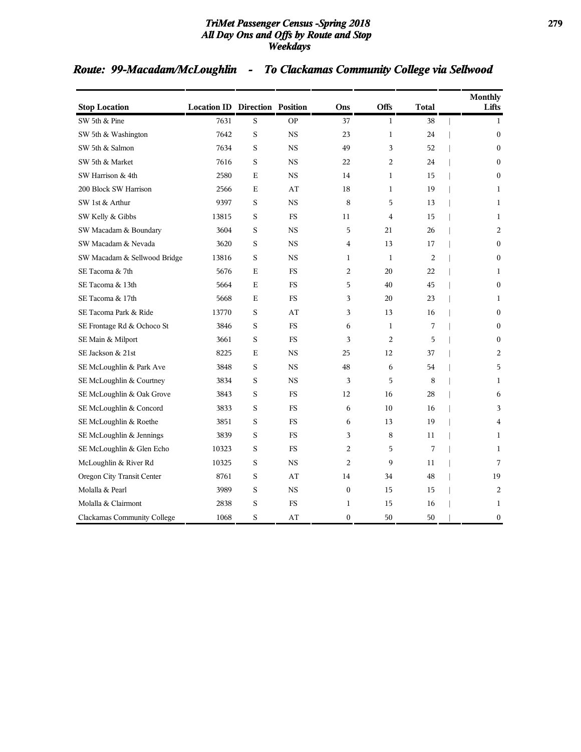#### *TriMet Passenger Census -Spring 2018* **279** *All Day Ons and Offs by Route and Stop Weekdays*

# *Route: 99-Macadam/McLoughlin - To Clackamas Community College via Sellwood*

| <b>Stop Location</b>               | <b>Location ID Direction Position</b> |             |           | Ons            | <b>Offs</b>    | Total          | <b>Monthly</b><br>Lifts |
|------------------------------------|---------------------------------------|-------------|-----------|----------------|----------------|----------------|-------------------------|
| SW 5th & Pine                      | 7631                                  | S           | <b>OP</b> | 37             | $\mathbf{1}$   | 38             | $\mathbf{1}$            |
| SW 5th & Washington                | 7642                                  | $\,$ S      | <b>NS</b> | 23             | $\mathbf{1}$   | 24             | $\mathbf{0}$            |
| SW 5th & Salmon                    | 7634                                  | S           | <b>NS</b> | 49             | 3              | 52             | $\mathbf{0}$            |
| SW 5th & Market                    | 7616                                  | S           | <b>NS</b> | 22             | $\overline{2}$ | 24             | $\mathbf{0}$            |
| SW Harrison & 4th                  | 2580                                  | $\mathbf E$ | <b>NS</b> | 14             | $\mathbf{1}$   | 15             | $\Omega$                |
| 200 Block SW Harrison              | 2566                                  | E           | AT        | 18             | $\mathbf 1$    | 19             | 1                       |
| SW 1st & Arthur                    | 9397                                  | S           | <b>NS</b> | 8              | 5              | 13             | 1                       |
| SW Kelly & Gibbs                   | 13815                                 | S           | <b>FS</b> | 11             | 4              | 15             | 1                       |
| SW Macadam & Boundary              | 3604                                  | S           | <b>NS</b> | 5              | 21             | 26             | 2                       |
| SW Macadam & Nevada                | 3620                                  | S           | <b>NS</b> | $\overline{4}$ | 13             | 17             | $\mathbf{0}$            |
| SW Macadam & Sellwood Bridge       | 13816                                 | S           | <b>NS</b> | $\mathbf{1}$   | $\mathbf{1}$   | $\overline{2}$ | $\mathbf{0}$            |
| SE Tacoma & 7th                    | 5676                                  | E           | <b>FS</b> | 2              | 20             | 22             | 1                       |
| SE Tacoma & 13th                   | 5664                                  | $\mathbf E$ | <b>FS</b> | 5              | 40             | 45             | $\mathbf{0}$            |
| SE Tacoma & 17th                   | 5668                                  | E           | <b>FS</b> | 3              | 20             | 23             | 1                       |
| SE Tacoma Park & Ride              | 13770                                 | S           | AT        | 3              | 13             | 16             | $\mathbf{0}$            |
| SE Frontage Rd & Ochoco St         | 3846                                  | S           | <b>FS</b> | 6              | $\mathbf{1}$   | 7              | $\Omega$                |
| SE Main & Milport                  | 3661                                  | S           | <b>FS</b> | 3              | $\overline{2}$ | 5              | $\Omega$                |
| SE Jackson & 21st                  | 8225                                  | E           | <b>NS</b> | 25             | 12             | 37             | 2                       |
| SE McLoughlin & Park Ave           | 3848                                  | S           | <b>NS</b> | 48             | 6              | 54             | 5                       |
| SE McLoughlin & Courtney           | 3834                                  | S           | <b>NS</b> | 3              | 5              | 8              | $\mathbf{1}$            |
| SE McLoughlin & Oak Grove          | 3843                                  | S           | FS        | 12             | 16             | 28             | 6                       |
| SE McLoughlin & Concord            | 3833                                  | S           | <b>FS</b> | 6              | 10             | 16             | 3                       |
| SE McLoughlin & Roethe             | 3851                                  | S           | <b>FS</b> | 6              | 13             | 19             | 4                       |
| SE McLoughlin & Jennings           | 3839                                  | S           | <b>FS</b> | 3              | 8              | 11             | 1                       |
| SE McLoughlin & Glen Echo          | 10323                                 | S           | <b>FS</b> | 2              | 5              | 7              | 1                       |
| McLoughlin & River Rd              | 10325                                 | S           | <b>NS</b> | $\overline{2}$ | 9              | 11             | 7                       |
| Oregon City Transit Center         | 8761                                  | S           | AT        | 14             | 34             | 48             | 19                      |
| Molalla & Pearl                    | 3989                                  | S           | <b>NS</b> | $\mathbf{0}$   | 15             | 15             | $\overline{2}$          |
| Molalla & Clairmont                | 2838                                  | S           | <b>FS</b> | $\mathbf{1}$   | 15             | 16             | $\mathbf{1}$            |
| <b>Clackamas Community College</b> | 1068                                  | S           | AT        | $\mathbf{0}$   | 50             | 50             | $\boldsymbol{0}$        |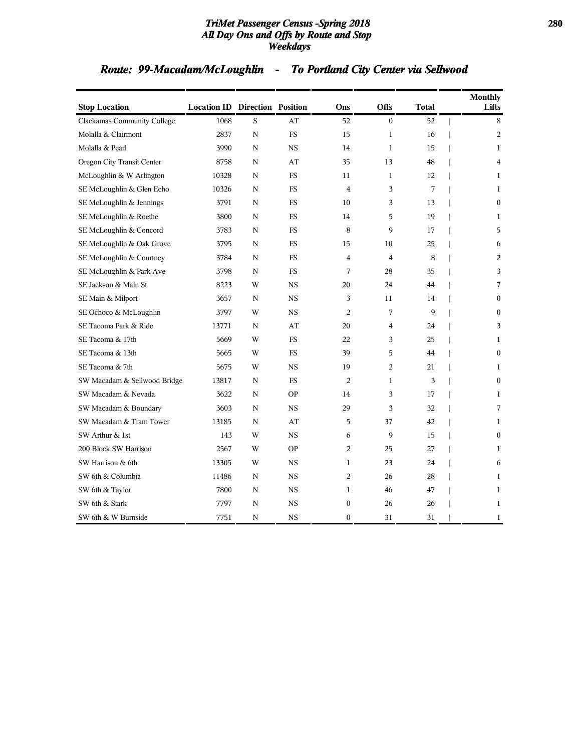#### *TriMet Passenger Census -Spring 2018* **280** *All Day Ons and Offs by Route and Stop Weekdays*

# *Route: 99-Macadam/McLoughlin - To Portland City Center via Sellwood*

| <b>Stop Location</b>         | <b>Location ID Direction Position</b> |   |             | Ons            | Offs           | Total | <b>Monthly</b><br>Lifts |
|------------------------------|---------------------------------------|---|-------------|----------------|----------------|-------|-------------------------|
| Clackamas Community College  | 1068                                  | S | AT          | 52             | $\Omega$       | 52    | 8                       |
| Molalla & Clairmont          | 2837                                  | N | <b>FS</b>   | 15             | $\mathbf 1$    | 16    | 2                       |
| Molalla & Pearl              | 3990                                  | N | <b>NS</b>   | 14             | $\mathbf{1}$   | 15    | $\mathbf{1}$            |
| Oregon City Transit Center   | 8758                                  | N | AT          | 35             | 13             | 48    | $\overline{4}$          |
| McLoughlin & W Arlington     | 10328                                 | N | <b>FS</b>   | 11             | $\mathbf{1}$   | 12    | $\mathbf{1}$            |
| SE McLoughlin & Glen Echo    | 10326                                 | N | <b>FS</b>   | $\overline{4}$ | 3              | 7     | 1                       |
| SE McLoughlin & Jennings     | 3791                                  | N | <b>FS</b>   | 10             | 3              | 13    | $\Omega$                |
| SE McLoughlin & Roethe       | 3800                                  | N | <b>FS</b>   | 14             | 5              | 19    | 1                       |
| SE McLoughlin & Concord      | 3783                                  | N | <b>FS</b>   | 8              | 9              | 17    | 5                       |
| SE McLoughlin & Oak Grove    | 3795                                  | N | <b>FS</b>   | 15             | 10             | 25    | 6                       |
| SE McLoughlin & Courtney     | 3784                                  | N | <b>FS</b>   | $\overline{4}$ | $\overline{4}$ | 8     | 2                       |
| SE McLoughlin & Park Ave     | 3798                                  | N | <b>FS</b>   | 7              | 28             | 35    | 3                       |
| SE Jackson & Main St         | 8223                                  | W | <b>NS</b>   | 20             | 24             | 44    | 7                       |
| SE Main & Milport            | 3657                                  | N | <b>NS</b>   | 3              | 11             | 14    | $\mathbf{0}$            |
| SE Ochoco & McLoughlin       | 3797                                  | W | <b>NS</b>   | 2              | 7              | 9     | $\Omega$                |
| SE Tacoma Park & Ride        | 13771                                 | N | AT          | 20             | 4              | 24    | 3                       |
| SE Tacoma & 17th             | 5669                                  | W | <b>FS</b>   | 22             | 3              | 25    | $\mathbf{1}$            |
| SE Tacoma & 13th             | 5665                                  | W | FS.         | 39             | 5              | 44    | $\theta$                |
| SE Tacoma & 7th              | 5675                                  | W | <b>NS</b>   | 19             | 2              | 21    | 1                       |
| SW Macadam & Sellwood Bridge | 13817                                 | N | <b>FS</b>   | $\overline{2}$ | $\mathbf{1}$   | 3     | $\mathbf{0}$            |
| SW Macadam & Nevada          | 3622                                  | N | <b>OP</b>   | 14             | 3              | 17    | 1                       |
| SW Macadam & Boundary        | 3603                                  | N | <b>NS</b>   | 29             | 3              | 32    | 7                       |
| SW Macadam & Tram Tower      | 13185                                 | N | AT          | 5              | 37             | 42    | 1                       |
| SW Arthur & 1st              | 143                                   | W | <b>NS</b>   | 6              | 9              | 15    | $\Omega$                |
| 200 Block SW Harrison        | 2567                                  | W | <b>OP</b>   | 2              | 25             | 27    | 1                       |
| SW Harrison & 6th            | 13305                                 | W | <b>NS</b>   | $\mathbf{1}$   | 23             | 24    | 6                       |
| SW 6th & Columbia            | 11486                                 | N | $_{\rm NS}$ | 2              | 26             | 28    | 1                       |
| SW 6th & Taylor              | 7800                                  | N | <b>NS</b>   | $\mathbf{1}$   | 46             | 47    | 1                       |
| SW 6th & Stark               | 7797                                  | N | <b>NS</b>   | $\mathbf{0}$   | 26             | 26    | $\mathbf{1}$            |
| SW 6th & W Burnside          | 7751                                  | N | $_{\rm NS}$ | $\mathbf{0}$   | 31             | 31    | 1                       |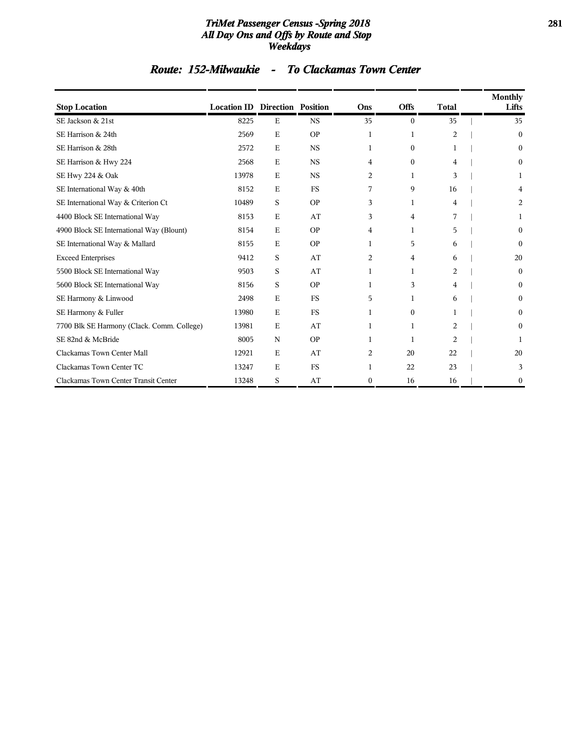#### *TriMet Passenger Census -Spring 2018* **281** *All Day Ons and Offs by Route and Stop Weekdays*

### *Route: 152-Milwaukie - To Clackamas Town Center*

| <b>Stop Location</b>                       | <b>Location ID Direction Position</b> |             |           | Ons          | <b>Offs</b>  | <b>Total</b>   | <b>Monthly</b><br>Lifts |
|--------------------------------------------|---------------------------------------|-------------|-----------|--------------|--------------|----------------|-------------------------|
| SE Jackson & 21st                          | 8225                                  | $\mathbf E$ | <b>NS</b> | 35           | $\theta$     | 35             | 35                      |
| SE Harrison & 24th                         | 2569                                  | E           | <b>OP</b> | 1            | 1            | $\overline{2}$ | 0                       |
| SE Harrison & 28th                         | 2572                                  | E           | <b>NS</b> | 1            | $\mathbf{0}$ | 1              | 0                       |
| SE Harrison & Hwy 224                      | 2568                                  | $\mathbf E$ | <b>NS</b> | 4            | $\Omega$     | 4              | 0                       |
| SE Hwy 224 & Oak                           | 13978                                 | E           | <b>NS</b> | 2            | 1            | 3              |                         |
| SE International Way & 40th                | 8152                                  | $\mathbf E$ | <b>FS</b> | 7            | 9            | 16             |                         |
| SE International Way & Criterion Ct        | 10489                                 | S           | <b>OP</b> | 3            | 1            | 4              | 2                       |
| 4400 Block SE International Way            | 8153                                  | E           | AT        | 3            | 4            | 7              |                         |
| 4900 Block SE International Way (Blount)   | 8154                                  | E           | <b>OP</b> | 4            | 1            | 5              | 0                       |
| SE International Way & Mallard             | 8155                                  | E           | <b>OP</b> | 1            | 5            | 6              | 0                       |
| <b>Exceed Enterprises</b>                  | 9412                                  | S           | AT        | 2            | 4            | 6              | 20                      |
| 5500 Block SE International Way            | 9503                                  | S           | AT        | 1            | 1            | 2              | 0                       |
| 5600 Block SE International Way            | 8156                                  | S           | <b>OP</b> | 1            | 3            | 4              | 0                       |
| SE Harmony & Linwood                       | 2498                                  | E           | <b>FS</b> | 5            | 1            | 6              | 0                       |
| SE Harmony & Fuller                        | 13980                                 | E           | <b>FS</b> | 1            | $\mathbf{0}$ |                | 0                       |
| 7700 Blk SE Harmony (Clack. Comm. College) | 13981                                 | E           | AT        | 1            | 1            | 2              | 0                       |
| SE 82nd & McBride                          | 8005                                  | N           | <b>OP</b> | 1            | 1            | 2              |                         |
| Clackamas Town Center Mall                 | 12921                                 | $\mathbf E$ | AT        | 2            | 20           | 22             | 20                      |
| Clackamas Town Center TC                   | 13247                                 | E           | <b>FS</b> | 1            | 22           | 23             | 3                       |
| Clackamas Town Center Transit Center       | 13248                                 | S           | AT        | $\mathbf{0}$ | 16           | 16             | 0                       |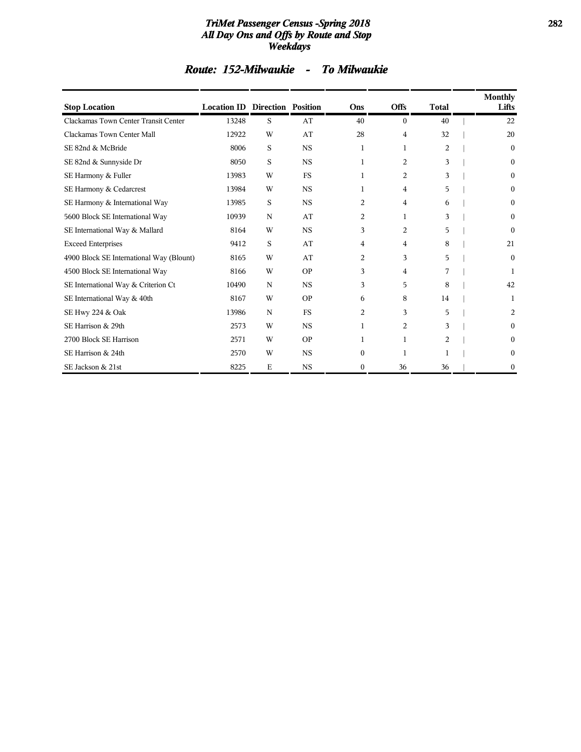#### *TriMet Passenger Census -Spring 2018* **282** *All Day Ons and Offs by Route and Stop Weekdays*

### *Route: 152-Milwaukie - To Milwaukie*

| <b>Stop Location</b>                     | <b>Location ID Direction Position</b> |             |             | Ons          | <b>Offs</b>    | <b>Total</b> | <b>Monthly</b><br>Lifts |
|------------------------------------------|---------------------------------------|-------------|-------------|--------------|----------------|--------------|-------------------------|
| Clackamas Town Center Transit Center     | 13248                                 | S           | AT          | 40           | $\theta$       | 40           | 22                      |
| Clackamas Town Center Mall               | 12922                                 | W           | AT          | 28           | 4              | 32           | 20                      |
| SE 82nd & McBride                        | 8006                                  | S           | <b>NS</b>   | 1            | $\mathbf{1}$   | 2            | $\mathbf{0}$            |
| SE 82nd & Sunnyside Dr                   | 8050                                  | S           | <b>NS</b>   | 1            | 2              | 3            | $\mathbf{0}$            |
| SE Harmony & Fuller                      | 13983                                 | W           | <b>FS</b>   | 1            | 2              | 3            | $\mathbf{0}$            |
| SE Harmony & Cedarcrest                  | 13984                                 | W           | <b>NS</b>   | 1            | 4              | 5            | $\mathbf{0}$            |
| SE Harmony & International Way           | 13985                                 | S           | <b>NS</b>   | 2            | 4              | 6            | $\mathbf{0}$            |
| 5600 Block SE International Way          | 10939                                 | $\mathbf N$ | AT          | 2            | $\mathbf{1}$   | 3            | $\mathbf{0}$            |
| SE International Way & Mallard           | 8164                                  | W           | $_{\rm NS}$ | 3            | $\overline{c}$ | 5            | $\Omega$                |
| <b>Exceed Enterprises</b>                | 9412                                  | S           | AT          | 4            | 4              | 8            | 21                      |
| 4900 Block SE International Way (Blount) | 8165                                  | W           | AT          | 2            | 3              | 5            | $\theta$                |
| 4500 Block SE International Way          | 8166                                  | W           | <b>OP</b>   | 3            | 4              | 7            | 1                       |
| SE International Way & Criterion Ct      | 10490                                 | N           | <b>NS</b>   | 3            | 5              | 8            | 42                      |
| SE International Way & 40th              | 8167                                  | W           | <b>OP</b>   | 6            | 8              | 14           | 1                       |
| SE Hwy 224 & Oak                         | 13986                                 | N           | <b>FS</b>   | 2            | 3              | 5            | 2                       |
| SE Harrison & 29th                       | 2573                                  | W           | <b>NS</b>   | 1            | 2              | 3            | $\Omega$                |
| 2700 Block SE Harrison                   | 2571                                  | W           | <b>OP</b>   | 1            | 1              | 2            | $\Omega$                |
| SE Harrison & 24th                       | 2570                                  | W           | <b>NS</b>   | $\mathbf{0}$ | 1              | 1            | 0                       |
| SE Jackson & 21st                        | 8225                                  | E           | <b>NS</b>   | $\mathbf{0}$ | 36             | 36           | $\theta$                |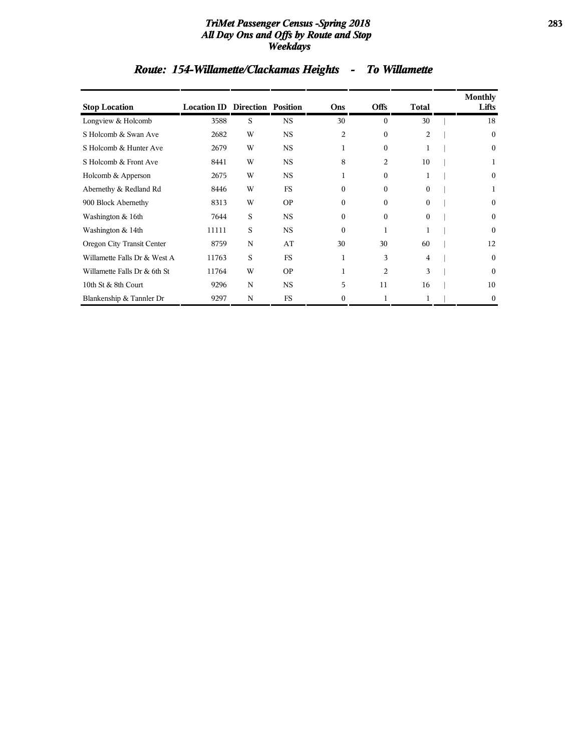#### *TriMet Passenger Census -Spring 2018* **283** *All Day Ons and Offs by Route and Stop Weekdays*

# *Route: 154-Willamette/Clackamas Heights - To Willamette*

| <b>Stop Location</b>         | <b>Location ID Direction Position</b> |   |           | Ons      | <b>Offs</b>    | Total          | Monthly<br>Lifts |
|------------------------------|---------------------------------------|---|-----------|----------|----------------|----------------|------------------|
| Longview & Holcomb           | 3588                                  | S | <b>NS</b> | 30       | $\Omega$       | 30             | 18               |
| S Holcomb & Swan Ave         | 2682                                  | W | <b>NS</b> | 2        | $\mathbf{0}$   | $\overline{c}$ | $\mathbf{0}$     |
| S Holcomb & Hunter Ave       | 2679                                  | W | <b>NS</b> | 1        | $\Omega$       | 1              | $\Omega$         |
| S Holcomb & Front Ave        | 8441                                  | W | <b>NS</b> | 8        | 2              | 10             |                  |
| Holcomb & Apperson           | 2675                                  | W | <b>NS</b> | 1        | $\mathbf{0}$   | 1              | $\bf{0}$         |
| Abernethy & Redland Rd       | 8446                                  | W | <b>FS</b> | $\Omega$ | $\Omega$       | $\theta$       |                  |
| 900 Block Abernethy          | 8313                                  | W | <b>OP</b> | $\Omega$ | $\Omega$       | 0              | $\mathbf{0}$     |
| Washington & 16th            | 7644                                  | S | <b>NS</b> | $\Omega$ | $\Omega$       | $\mathbf{0}$   | $\mathbf{0}$     |
| Washington & 14th            | 11111                                 | S | <b>NS</b> | $\Omega$ | 1              | 1              | $\Omega$         |
| Oregon City Transit Center   | 8759                                  | N | AT        | 30       | 30             | 60             | 12               |
| Willamette Falls Dr & West A | 11763                                 | S | <b>FS</b> | 1        | 3              | 4              | $\Omega$         |
| Willamette Falls Dr & 6th St | 11764                                 | W | <b>OP</b> | 1        | $\overline{2}$ | 3              | $\Omega$         |
| 10th St & 8th Court          | 9296                                  | N | <b>NS</b> | 5        | 11             | 16             | 10               |
| Blankenship & Tannler Dr     | 9297                                  | N | <b>FS</b> | 0        | 1              | 1              | $\bf{0}$         |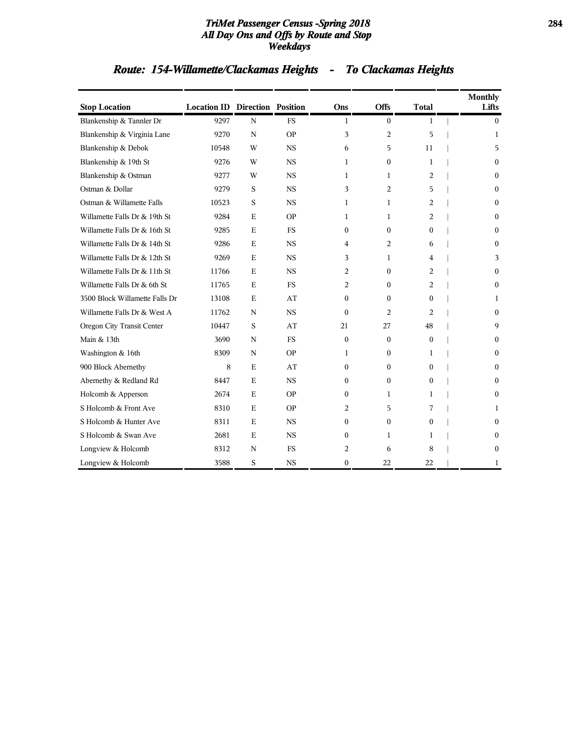#### *TriMet Passenger Census -Spring 2018* **284** *All Day Ons and Offs by Route and Stop Weekdays*

|                                |                                       |             |             |                |              |                | <b>Monthly</b> |
|--------------------------------|---------------------------------------|-------------|-------------|----------------|--------------|----------------|----------------|
| <b>Stop Location</b>           | <b>Location ID Direction Position</b> |             |             | Ons            | <b>Offs</b>  | <b>Total</b>   | Lifts          |
| Blankenship & Tannler Dr       | 9297                                  | $\mathbf N$ | <b>FS</b>   | $\mathbf{1}$   | $\mathbf{0}$ | 1              | $\theta$       |
| Blankenship & Virginia Lane    | 9270                                  | N           | <b>OP</b>   | 3              | 2            | 5              | 1              |
| Blankenship & Debok            | 10548                                 | W           | <b>NS</b>   | 6              | 5            | 11             | 5              |
| Blankenship & 19th St          | 9276                                  | W           | $_{\rm NS}$ | $\mathbf{1}$   | $\mathbf{0}$ | 1              | $\Omega$       |
| Blankenship & Ostman           | 9277                                  | W           | <b>NS</b>   | 1              | 1            | 2              | $\Omega$       |
| Ostman & Dollar                | 9279                                  | S           | <b>NS</b>   | 3              | 2            | 5              | 0              |
| Ostman & Willamette Falls      | 10523                                 | S           | <b>NS</b>   | $\mathbf{1}$   | $\mathbf{1}$ | 2              | $\Omega$       |
| Willamette Falls Dr & 19th St  | 9284                                  | $\mathbf E$ | <b>OP</b>   | $\mathbf{1}$   | 1            | 2              | $\Omega$       |
| Willamette Falls Dr & 16th St  | 9285                                  | E           | FS.         | $\mathbf{0}$   | $\mathbf{0}$ | $\mathbf{0}$   | $\Omega$       |
| Willamette Falls Dr & 14th St  | 9286                                  | $\mathbf E$ | <b>NS</b>   | $\overline{4}$ | 2            | 6              | $\Omega$       |
| Willamette Falls Dr & 12th St  | 9269                                  | $\mathbf E$ | $_{\rm NS}$ | 3              | 1            | 4              | 3              |
| Willamette Falls Dr & 11th St  | 11766                                 | E           | <b>NS</b>   | 2              | $\mathbf{0}$ | $\overline{a}$ | $\Omega$       |
| Willamette Falls Dr & 6th St   | 11765                                 | E           | <b>FS</b>   | 2              | $\mathbf{0}$ | 2              | $\Omega$       |
| 3500 Block Willamette Falls Dr | 13108                                 | E           | AT          | $\Omega$       | $\Omega$     | $\mathbf{0}$   | 1              |
| Willamette Falls Dr & West A   | 11762                                 | N           | <b>NS</b>   | $\theta$       | 2            | $\overline{c}$ | $\Omega$       |
| Oregon City Transit Center     | 10447                                 | S           | AT          | 21             | 27           | 48             | 9              |
| Main & 13th                    | 3690                                  | $\mathbf N$ | <b>FS</b>   | $\theta$       | $\Omega$     | $\mathbf{0}$   | 0              |
| Washington & 16th              | 8309                                  | N           | <b>OP</b>   | $\mathbf{1}$   | $\mathbf{0}$ | 1              | $\Omega$       |
| 900 Block Abernethy            | 8                                     | E           | AT          | $\mathbf{0}$   | $\mathbf{0}$ | $\mathbf{0}$   | $\Omega$       |
| Abernethy & Redland Rd         | 8447                                  | $\mathbf E$ | $_{\rm NS}$ | $\Omega$       | $\mathbf{0}$ | $\mathbf{0}$   | 0              |
| Holcomb & Apperson             | 2674                                  | $\mathbf E$ | <b>OP</b>   | $\mathbf{0}$   | 1            | $\mathbf{1}$   | $\Omega$       |
| S Holcomb & Front Ave          | 8310                                  | $\mathbf E$ | <b>OP</b>   | 2              | 5            | 7              | 1              |
| S Holcomb & Hunter Ave         | 8311                                  | Ε           | <b>NS</b>   | $\mathbf{0}$   | $\mathbf{0}$ | $\mathbf{0}$   | $\mathbf{0}$   |
| S Holcomb & Swan Ave           | 2681                                  | $\mathbf E$ | <b>NS</b>   | $\Omega$       | $\mathbf{1}$ | $\mathbf{1}$   | 0              |
| Longview & Holcomb             | 8312                                  | N           | FS          | 2              | 6            | 8              | $\Omega$       |
| Longview & Holcomb             | 3588                                  | S           | <b>NS</b>   | $\mathbf{0}$   | 22           | 22             | 1              |

# *Route: 154-Willamette/Clackamas Heights - To Clackamas Heights*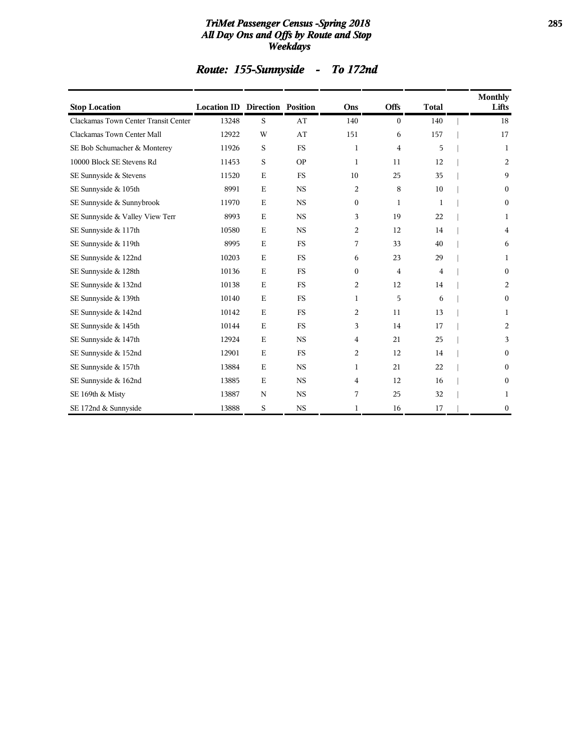#### *TriMet Passenger Census -Spring 2018* **285** *All Day Ons and Offs by Route and Stop Weekdays*

|  | <b>Route: 155-Sunnyside</b> |  | <b>To 172nd</b> |
|--|-----------------------------|--|-----------------|
|--|-----------------------------|--|-----------------|

| <b>Stop Location</b>                 | <b>Location ID Direction Position</b> |             |           | Ons          | <b>Offs</b>    | <b>Total</b> | <b>Monthly</b><br>Lifts |
|--------------------------------------|---------------------------------------|-------------|-----------|--------------|----------------|--------------|-------------------------|
| Clackamas Town Center Transit Center | 13248                                 | S           | AT        | 140          | $\overline{0}$ | 140          | 18                      |
| Clackamas Town Center Mall           | 12922                                 | W           | AT        | 151          | 6              | 157          | 17                      |
| SE Bob Schumacher & Monterey         | 11926                                 | S           | <b>FS</b> | 1            | 4              | 5            | 1                       |
| 10000 Block SE Stevens Rd            | 11453                                 | S           | <b>OP</b> | $\mathbf{1}$ | 11             | 12           | 2                       |
| SE Sunnyside & Stevens               | 11520                                 | $\mathbf E$ | <b>FS</b> | 10           | 25             | 35           | 9                       |
| SE Sunnyside & 105th                 | 8991                                  | $\mathbf E$ | <b>NS</b> | 2            | 8              | 10           | $\boldsymbol{0}$        |
| SE Sunnyside & Sunnybrook            | 11970                                 | E           | <b>NS</b> | $\mathbf{0}$ | 1              | 1            | $\mathbf{0}$            |
| SE Sunnyside & Valley View Terr      | 8993                                  | $\mathbf E$ | <b>NS</b> | 3            | 19             | 22           | 1                       |
| SE Sunnyside & 117th                 | 10580                                 | E           | <b>NS</b> | 2            | 12             | 14           | 4                       |
| SE Sunnyside & 119th                 | 8995                                  | $\mathbf E$ | <b>FS</b> | 7            | 33             | 40           | 6                       |
| SE Sunnyside & 122nd                 | 10203                                 | $\mathbf E$ | <b>FS</b> | 6            | 23             | 29           | 1                       |
| SE Sunnyside & 128th                 | 10136                                 | $\mathbf E$ | <b>FS</b> | $\mathbf{0}$ | $\overline{4}$ | 4            | $\boldsymbol{0}$        |
| SE Sunnyside & 132nd                 | 10138                                 | E           | <b>FS</b> | 2            | 12             | 14           | 2                       |
| SE Sunnyside & 139th                 | 10140                                 | E           | <b>FS</b> | 1            | 5              | 6            | $\mathbf{0}$            |
| SE Sunnyside & 142nd                 | 10142                                 | $\mathbf E$ | <b>FS</b> | 2            | 11             | 13           | 1                       |
| SE Sunnyside & 145th                 | 10144                                 | $\mathbf E$ | <b>FS</b> | 3            | 14             | 17           | 2                       |
| SE Sunnyside & 147th                 | 12924                                 | $\mathbf E$ | <b>NS</b> | 4            | 21             | 25           | 3                       |
| SE Sunnyside & 152nd                 | 12901                                 | $\mathbf E$ | <b>FS</b> | 2            | 12             | 14           | $\boldsymbol{0}$        |
| SE Sunnyside & 157th                 | 13884                                 | $\mathbf E$ | <b>NS</b> | 1            | 21             | 22           | $\boldsymbol{0}$        |
| SE Sunnyside & 162nd                 | 13885                                 | $\mathbf E$ | <b>NS</b> | 4            | 12             | 16           | $\boldsymbol{0}$        |
| SE 169th & Misty                     | 13887                                 | N           | <b>NS</b> | 7            | 25             | 32           | 1                       |
| SE 172nd & Sunnyside                 | 13888                                 | S           | <b>NS</b> | 1            | 16             | 17           | $\mathbf{0}$            |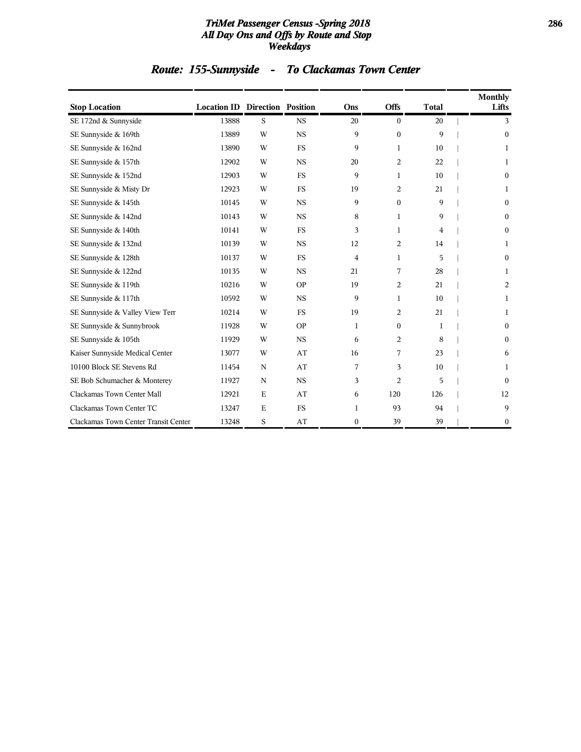#### *TriMet Passenger Census -Spring 2018* **286** *All Day Ons and Offs by Route and Stop Weekdays*

# *Route: 155-Sunnyside - To Clackamas Town Center*

| <b>Stop Location</b>                 | <b>Location ID Direction Position</b> |             |           | Ons          | <b>Offs</b>    | <b>Total</b> | <b>Monthly</b><br>Lifts |
|--------------------------------------|---------------------------------------|-------------|-----------|--------------|----------------|--------------|-------------------------|
| SE 172nd & Sunnyside                 | 13888                                 | S           | <b>NS</b> | 20           | $\mathbf{0}$   | 20           | 3                       |
| SE Sunnyside & 169th                 | 13889                                 | W           | <b>NS</b> | 9            | $\Omega$       | 9            | $\mathbf{0}$            |
| SE Sunnyside & 162nd                 | 13890                                 | W           | <b>FS</b> | 9            | 1              | 10           | 1                       |
| SE Sunnyside & 157th                 | 12902                                 | W           | <b>NS</b> | 20           | 2              | 22           | 1                       |
| SE Sunnyside & 152nd                 | 12903                                 | W           | <b>FS</b> | 9            | $\mathbf{1}$   | 10           | $\mathbf{0}$            |
| SE Sunnyside & Misty Dr              | 12923                                 | W           | <b>FS</b> | 19           | $\overline{2}$ | 21           | 1                       |
| SE Sunnyside & 145th                 | 10145                                 | W           | <b>NS</b> | 9            | $\mathbf{0}$   | 9            | $\mathbf{0}$            |
| SE Sunnyside & 142nd                 | 10143                                 | W           | <b>NS</b> | 8            | $\mathbf{1}$   | 9            | $\mathbf{0}$            |
| SE Sunnyside & 140th                 | 10141                                 | W           | <b>FS</b> | 3            | $\mathbf{1}$   | 4            | $\mathbf{0}$            |
| SE Sunnyside & 132nd                 | 10139                                 | W           | <b>NS</b> | 12           | 2              | 14           | 1                       |
| SE Sunnyside & 128th                 | 10137                                 | W           | <b>FS</b> | 4            | $\mathbf{1}$   | 5            | $\mathbf{0}$            |
| SE Sunnyside & 122nd                 | 10135                                 | W           | <b>NS</b> | 21           | 7              | 28           | 1                       |
| SE Sunnyside & 119th                 | 10216                                 | W           | <b>OP</b> | 19           | 2              | 21           | 2                       |
| SE Sunnyside & 117th                 | 10592                                 | W           | <b>NS</b> | 9            | $\mathbf{1}$   | 10           | 1                       |
| SE Sunnyside & Valley View Terr      | 10214                                 | W           | <b>FS</b> | 19           | 2              | 21           | 1                       |
| SE Sunnyside & Sunnybrook            | 11928                                 | W           | <b>OP</b> | 1            | $\mathbf{0}$   | 1            | $\mathbf{0}$            |
| SE Sunnyside & 105th                 | 11929                                 | W           | <b>NS</b> | 6            | 2              | 8            | $\mathbf{0}$            |
| Kaiser Sunnyside Medical Center      | 13077                                 | W           | AT        | 16           | 7              | 23           | 6                       |
| 10100 Block SE Stevens Rd            | 11454                                 | N           | AT        | 7            | 3              | 10           | 1                       |
| SE Bob Schumacher & Monterey         | 11927                                 | N           | <b>NS</b> | 3            | 2              | 5            | $\mathbf{0}$            |
| Clackamas Town Center Mall           | 12921                                 | $\mathbf E$ | AT        | 6            | 120            | 126          | 12                      |
| Clackamas Town Center TC             | 13247                                 | $\mathbf E$ | <b>FS</b> | 1            | 93             | 94           | 9                       |
| Clackamas Town Center Transit Center | 13248                                 | S           | AT        | $\mathbf{0}$ | 39             | 39           | $\bf{0}$                |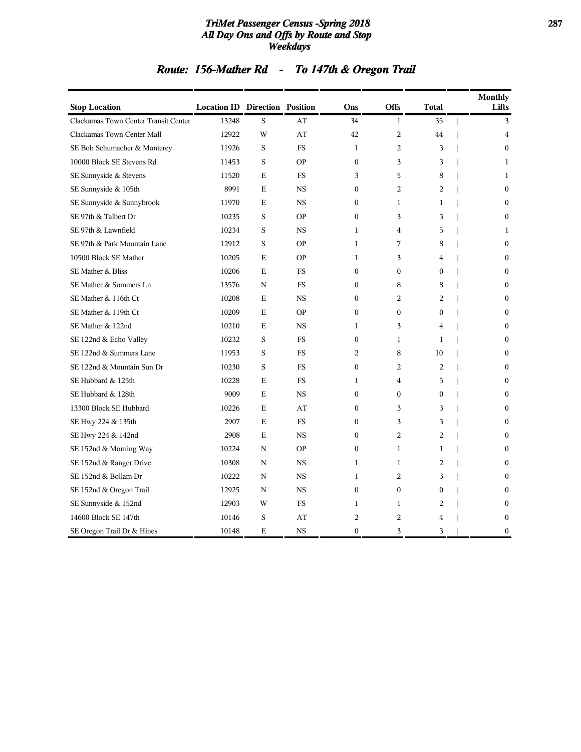#### *TriMet Passenger Census -Spring 2018* **287** *All Day Ons and Offs by Route and Stop Weekdays*

# *Route: 156-Mather Rd - To 147th & Oregon Trail*

| <b>Stop Location</b>                 | <b>Location ID Direction Position</b> |             |           | Ons              | Offs           | Total            | <b>Monthly</b><br>Lifts |
|--------------------------------------|---------------------------------------|-------------|-----------|------------------|----------------|------------------|-------------------------|
| Clackamas Town Center Transit Center | 13248                                 | S           | AT        | 34               | $\mathbf{1}$   | 35               | 3                       |
| Clackamas Town Center Mall           | 12922                                 | W           | AT        | 42               | $\overline{2}$ | 44               | $\overline{4}$          |
| SE Bob Schumacher & Monterey         | 11926                                 | S           | <b>FS</b> | $\mathbf{1}$     | $\overline{2}$ | 3                | $\theta$                |
| 10000 Block SE Stevens Rd            | 11453                                 | S           | <b>OP</b> | $\mathbf{0}$     | 3              | 3                | $\mathbf{1}$            |
| SE Sunnyside & Stevens               | 11520                                 | E           | <b>FS</b> | 3                | 5              | 8                | 1                       |
| SE Sunnyside & 105th                 | 8991                                  | E           | <b>NS</b> | $\mathbf{0}$     | 2              | 2                | $\mathbf{0}$            |
| SE Sunnyside & Sunnybrook            | 11970                                 | $\mathbf E$ | <b>NS</b> | $\mathbf{0}$     | $\mathbf{1}$   | $\mathbf{1}$     | $\mathbf{0}$            |
| SE 97th & Talbert Dr                 | 10235                                 | S           | <b>OP</b> | $\mathbf{0}$     | 3              | 3                | $\mathbf{0}$            |
| SE 97th & Lawnfield                  | 10234                                 | S           | <b>NS</b> | 1                | 4              | 5                | 1                       |
| SE 97th & Park Mountain Lane         | 12912                                 | S           | <b>OP</b> | 1                | 7              | 8                | $\mathbf{0}$            |
| 10500 Block SE Mather                | 10205                                 | E           | <b>OP</b> | 1                | 3              | $\overline{4}$   | $\mathbf{0}$            |
| SE Mather & Bliss                    | 10206                                 | E           | <b>FS</b> | $\mathbf{0}$     | $\mathbf{0}$   | $\mathbf{0}$     | $\mathbf{0}$            |
| SE Mather & Summers Ln               | 13576                                 | N           | <b>FS</b> | $\Omega$         | 8              | 8                | $\mathbf{0}$            |
| SE Mather & 116th Ct                 | 10208                                 | E           | <b>NS</b> | $\boldsymbol{0}$ | 2              | 2                | $\boldsymbol{0}$        |
| SE Mather & 119th Ct                 | 10209                                 | E           | <b>OP</b> | $\boldsymbol{0}$ | $\mathbf{0}$   | $\boldsymbol{0}$ | $\mathbf{0}$            |
| SE Mather & 122nd                    | 10210                                 | E           | <b>NS</b> | 1                | 3              | $\overline{4}$   | $\mathbf{0}$            |
| SE 122nd & Echo Valley               | 10232                                 | S           | <b>FS</b> | $\mathbf{0}$     | $\mathbf{1}$   | $\mathbf{1}$     | $\mathbf{0}$            |
| SE 122nd & Summers Lane              | 11953                                 | S           | <b>FS</b> | 2                | 8              | 10               | $\mathbf{0}$            |
| SE 122nd & Mountain Sun Dr           | 10230                                 | S           | <b>FS</b> | $\mathbf{0}$     | 2              | 2                | $\mathbf{0}$            |
| SE Hubbard & 125th                   | 10228                                 | $\mathbf E$ | <b>FS</b> | 1                | 4              | 5                | $\Omega$                |
| SE Hubbard & 128th                   | 9009                                  | E           | <b>NS</b> | $\mathbf{0}$     | $\theta$       | $\mathbf{0}$     | $\mathbf{0}$            |
| 13300 Block SE Hubbard               | 10226                                 | E           | AT        | $\mathbf{0}$     | 3              | 3                | $\Omega$                |
| SE Hwy 224 & 135th                   | 2907                                  | Е           | FS        | $\boldsymbol{0}$ | 3              | 3                | $\mathbf{0}$            |
| SE Hwy 224 & 142nd                   | 2908                                  | E           | <b>NS</b> | $\mathbf{0}$     | 2              | 2                | $\mathbf{0}$            |
| SE 152nd & Morning Way               | 10224                                 | N           | <b>OP</b> | $\mathbf{0}$     | $\mathbf{1}$   | 1                | $\mathbf{0}$            |
| SE 152nd & Ranger Drive              | 10308                                 | N           | <b>NS</b> | 1                | $\mathbf{1}$   | 2                | $\mathbf{0}$            |
| SE 152nd & Bollam Dr                 | 10222                                 | N           | <b>NS</b> | $\mathbf{1}$     | 2              | 3                | $\Omega$                |
| SE 152nd & Oregon Trail              | 12925                                 | N           | <b>NS</b> | $\mathbf{0}$     | $\mathbf{0}$   | $\mathbf{0}$     | $\mathbf{0}$            |
| SE Sunnyside & 152nd                 | 12903                                 | W           | <b>FS</b> | $\mathbf{1}$     | $\mathbf{1}$   | 2                | $\mathbf{0}$            |
| 14600 Block SE 147th                 | 10146                                 | S           | AT        | $\overline{2}$   | $\overline{2}$ | $\overline{4}$   | $\mathbf{0}$            |
| SE Oregon Trail Dr & Hines           | 10148                                 | E           | <b>NS</b> | $\Omega$         | 3              | 3                | $\theta$                |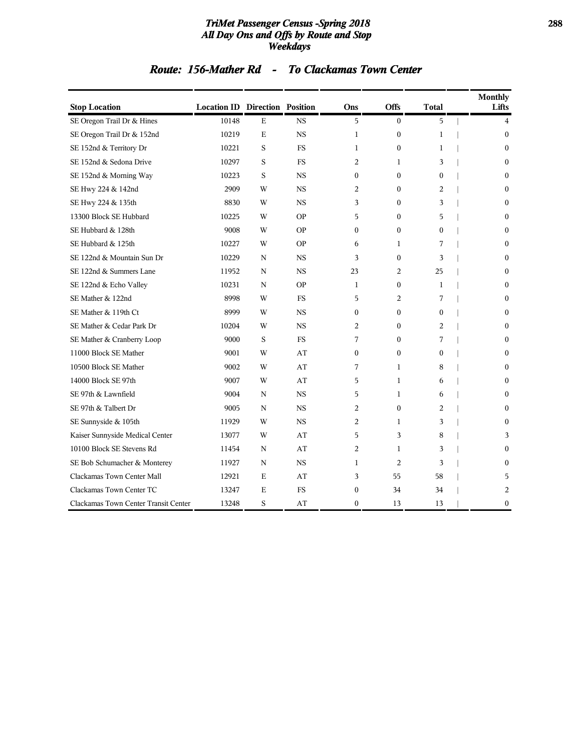#### *TriMet Passenger Census -Spring 2018* **288** *All Day Ons and Offs by Route and Stop Weekdays*

### *Route: 156-Mather Rd - To Clackamas Town Center*

| <b>Stop Location</b>                 | <b>Location ID Direction Position</b> |             |           | Ons              | <b>Offs</b>    | Total        | <b>Monthly</b><br>Lifts |
|--------------------------------------|---------------------------------------|-------------|-----------|------------------|----------------|--------------|-------------------------|
| SE Oregon Trail Dr & Hines           | 10148                                 | $\mathbf E$ | <b>NS</b> | 5                | $\Omega$       | 5            | $\overline{4}$          |
| SE Oregon Trail Dr & 152nd           | 10219                                 | $\mathbf E$ | <b>NS</b> | $\mathbf{1}$     | $\mathbf{0}$   | $\mathbf{1}$ | $\theta$                |
| SE 152nd & Territory Dr              | 10221                                 | S           | <b>FS</b> | 1                | $\Omega$       | $\mathbf{1}$ | $\mathbf{0}$            |
| SE 152nd & Sedona Drive              | 10297                                 | S           | <b>FS</b> | 2                | 1              | 3            | $\mathbf{0}$            |
| SE 152nd & Morning Way               | 10223                                 | S           | <b>NS</b> | $\Omega$         | $\Omega$       | $\Omega$     | $\Omega$                |
| SE Hwy 224 & 142nd                   | 2909                                  | W           | <b>NS</b> | 2                | $\mathbf{0}$   | 2            | $\mathbf{0}$            |
| SE Hwy 224 & 135th                   | 8830                                  | W           | <b>NS</b> | 3                | $\mathbf{0}$   | 3            | $\mathbf{0}$            |
| 13300 Block SE Hubbard               | 10225                                 | W           | <b>OP</b> | 5                | $\mathbf{0}$   | 5            | $\mathbf{0}$            |
| SE Hubbard & 128th                   | 9008                                  | W           | <b>OP</b> | $\mathbf{0}$     | $\Omega$       | $\mathbf{0}$ | $\theta$                |
| SE Hubbard & 125th                   | 10227                                 | W           | <b>OP</b> | 6                | $\mathbf{1}$   | 7            | $\Omega$                |
| SE 122nd & Mountain Sun Dr           | 10229                                 | N           | <b>NS</b> | 3                | $\theta$       | 3            | $\Omega$                |
| SE 122nd & Summers Lane              | 11952                                 | N           | <b>NS</b> | 23               | 2              | 25           | $\Omega$                |
| SE 122nd & Echo Valley               | 10231                                 | N           | <b>OP</b> | $\mathbf{1}$     | $\mathbf{0}$   | $\mathbf{1}$ | $\mathbf{0}$            |
| SE Mather & 122nd                    | 8998                                  | W           | <b>FS</b> | 5                | 2              | 7            | $\mathbf{0}$            |
| SE Mather & 119th Ct                 | 8999                                  | W           | <b>NS</b> | $\mathbf{0}$     | $\Omega$       | $\mathbf{0}$ | $\Omega$                |
| SE Mather & Cedar Park Dr            | 10204                                 | W           | <b>NS</b> | 2                | $\Omega$       | 2            | $\mathbf{0}$            |
| SE Mather & Cranberry Loop           | 9000                                  | S           | FS        | 7                | $\mathbf{0}$   | 7            | $\mathbf{0}$            |
| 11000 Block SE Mather                | 9001                                  | W           | AT        | $\mathbf{0}$     | $\mathbf{0}$   | $\mathbf{0}$ | $\mathbf{0}$            |
| 10500 Block SE Mather                | 9002                                  | W           | AT        | 7                | 1              | 8            | $\mathbf{0}$            |
| 14000 Block SE 97th                  | 9007                                  | W           | AT        | 5                | $\mathbf{1}$   | 6            | $\Omega$                |
| SE 97th & Lawnfield                  | 9004                                  | N           | <b>NS</b> | 5                | $\mathbf{1}$   | 6            | $\Omega$                |
| SE 97th & Talbert Dr                 | 9005                                  | N           | <b>NS</b> | 2                | $\mathbf{0}$   | 2            | $\Omega$                |
| SE Sunnyside & 105th                 | 11929                                 | W           | <b>NS</b> | 2                | 1              | 3            | $\mathbf{0}$            |
| Kaiser Sunnyside Medical Center      | 13077                                 | W           | AT        | 5                | 3              | 8            | 3                       |
| 10100 Block SE Stevens Rd            | 11454                                 | N           | AT        | 2                | 1              | 3            | $\Omega$                |
| SE Bob Schumacher & Monterey         | 11927                                 | N           | <b>NS</b> | 1                | $\overline{2}$ | 3            | $\Omega$                |
| Clackamas Town Center Mall           | 12921                                 | E           | AT        | 3                | 55             | 58           | 5                       |
| Clackamas Town Center TC             | 13247                                 | E           | <b>FS</b> | $\boldsymbol{0}$ | 34             | 34           | 2                       |
| Clackamas Town Center Transit Center | 13248                                 | S           | AT        | $\mathbf{0}$     | 13             | 13           | $\boldsymbol{0}$        |